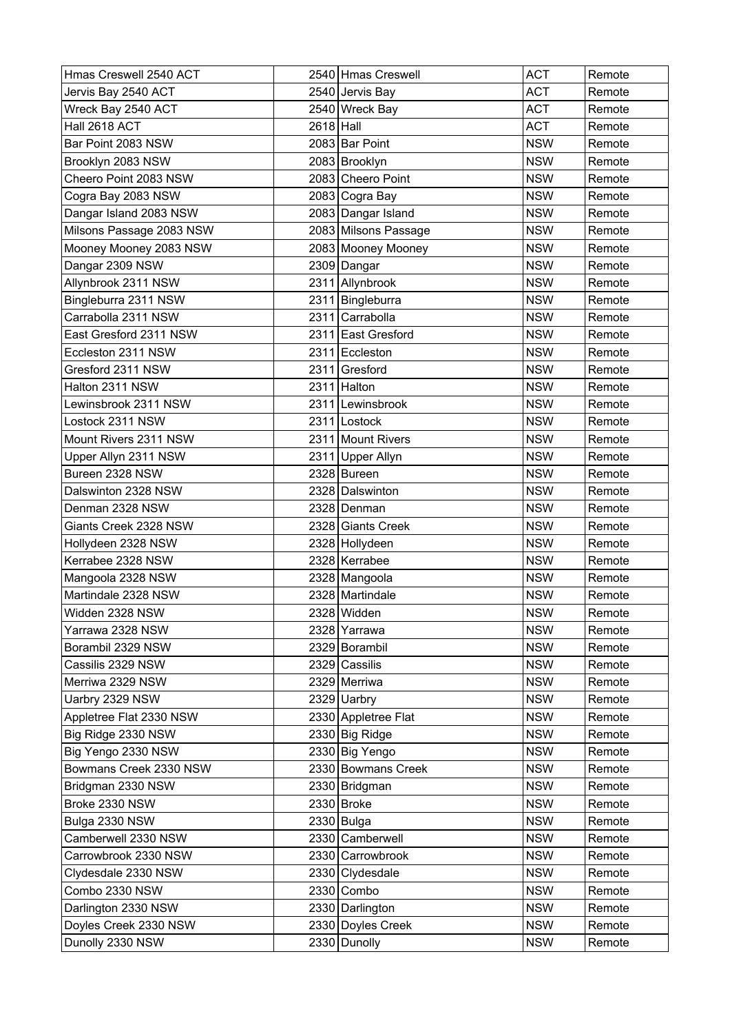| Hmas Creswell 2540 ACT   |             | 2540 Hmas Creswell   | <b>ACT</b> | Remote |
|--------------------------|-------------|----------------------|------------|--------|
| Jervis Bay 2540 ACT      |             | 2540 Jervis Bay      | ACT        | Remote |
| Wreck Bay 2540 ACT       |             | 2540 Wreck Bay       | ACT        | Remote |
| Hall 2618 ACT            | $2618$ Hall |                      | ACT        | Remote |
| Bar Point 2083 NSW       |             | 2083 Bar Point       | <b>NSW</b> | Remote |
| Brooklyn 2083 NSW        |             | 2083 Brooklyn        | <b>NSW</b> | Remote |
| Cheero Point 2083 NSW    |             | 2083 Cheero Point    | <b>NSW</b> | Remote |
| Cogra Bay 2083 NSW       |             | 2083 Cogra Bay       | <b>NSW</b> | Remote |
| Dangar Island 2083 NSW   |             | 2083 Dangar Island   | <b>NSW</b> | Remote |
| Milsons Passage 2083 NSW |             | 2083 Milsons Passage | <b>NSW</b> | Remote |
| Mooney Mooney 2083 NSW   |             | 2083 Mooney Mooney   | <b>NSW</b> | Remote |
| Dangar 2309 NSW          |             | 2309 Dangar          | <b>NSW</b> | Remote |
| Allynbrook 2311 NSW      |             | 2311 Allynbrook      | <b>NSW</b> | Remote |
| Bingleburra 2311 NSW     |             | 2311 Bingleburra     | <b>NSW</b> | Remote |
| Carrabolla 2311 NSW      |             | 2311 Carrabolla      | <b>NSW</b> | Remote |
| East Gresford 2311 NSW   |             | 2311 East Gresford   | <b>NSW</b> | Remote |
| Eccleston 2311 NSW       |             | 2311 Eccleston       | <b>NSW</b> | Remote |
| Gresford 2311 NSW        |             | 2311 Gresford        | <b>NSW</b> | Remote |
| Halton 2311 NSW          |             | 2311 Halton          | <b>NSW</b> | Remote |
| Lewinsbrook 2311 NSW     |             | 2311 Lewinsbrook     | <b>NSW</b> | Remote |
| Lostock 2311 NSW         |             | 2311 Lostock         | <b>NSW</b> | Remote |
| Mount Rivers 2311 NSW    |             | 2311 Mount Rivers    | <b>NSW</b> | Remote |
| Upper Allyn 2311 NSW     |             | 2311 Upper Allyn     | <b>NSW</b> | Remote |
| Bureen 2328 NSW          |             | 2328 Bureen          | <b>NSW</b> | Remote |
| Dalswinton 2328 NSW      |             | 2328 Dalswinton      | <b>NSW</b> | Remote |
| Denman 2328 NSW          |             | 2328 Denman          | <b>NSW</b> | Remote |
| Giants Creek 2328 NSW    |             | 2328 Giants Creek    | <b>NSW</b> | Remote |
| Hollydeen 2328 NSW       |             | 2328 Hollydeen       | <b>NSW</b> | Remote |
| Kerrabee 2328 NSW        |             | 2328 Kerrabee        | <b>NSW</b> | Remote |
| Mangoola 2328 NSW        |             | 2328 Mangoola        | <b>NSW</b> | Remote |
| Martindale 2328 NSW      |             | 2328 Martindale      | <b>NSW</b> | Remote |
| Widden 2328 NSW          |             | 2328 Widden          | <b>NSW</b> | Remote |
| Yarrawa 2328 NSW         |             | 2328 Yarrawa         | <b>NSW</b> | Remote |
| Borambil 2329 NSW        |             | 2329 Borambil        | <b>NSW</b> | Remote |
| Cassilis 2329 NSW        |             | 2329 Cassilis        | <b>NSW</b> | Remote |
| Merriwa 2329 NSW         |             | 2329 Merriwa         | <b>NSW</b> | Remote |
| Uarbry 2329 NSW          |             | 2329 Uarbry          | <b>NSW</b> | Remote |
| Appletree Flat 2330 NSW  |             | 2330 Appletree Flat  | <b>NSW</b> | Remote |
| Big Ridge 2330 NSW       |             | 2330 Big Ridge       | <b>NSW</b> | Remote |
| Big Yengo 2330 NSW       |             | 2330 Big Yengo       | <b>NSW</b> | Remote |
| Bowmans Creek 2330 NSW   |             | 2330 Bowmans Creek   | <b>NSW</b> | Remote |
| Bridgman 2330 NSW        |             | 2330 Bridgman        | <b>NSW</b> | Remote |
| Broke 2330 NSW           |             | $2330$ Broke         | <b>NSW</b> | Remote |
| Bulga 2330 NSW           |             | $2330$ Bulga         | <b>NSW</b> | Remote |
| Camberwell 2330 NSW      |             | 2330 Camberwell      | <b>NSW</b> | Remote |
| Carrowbrook 2330 NSW     |             | 2330 Carrowbrook     | <b>NSW</b> | Remote |
| Clydesdale 2330 NSW      |             | 2330 Clydesdale      | <b>NSW</b> | Remote |
| Combo 2330 NSW           |             | $2330$ Combo         | <b>NSW</b> | Remote |
| Darlington 2330 NSW      |             | 2330 Darlington      | <b>NSW</b> | Remote |
| Doyles Creek 2330 NSW    |             | 2330 Doyles Creek    | <b>NSW</b> | Remote |
| Dunolly 2330 NSW         |             | 2330 Dunolly         | <b>NSW</b> | Remote |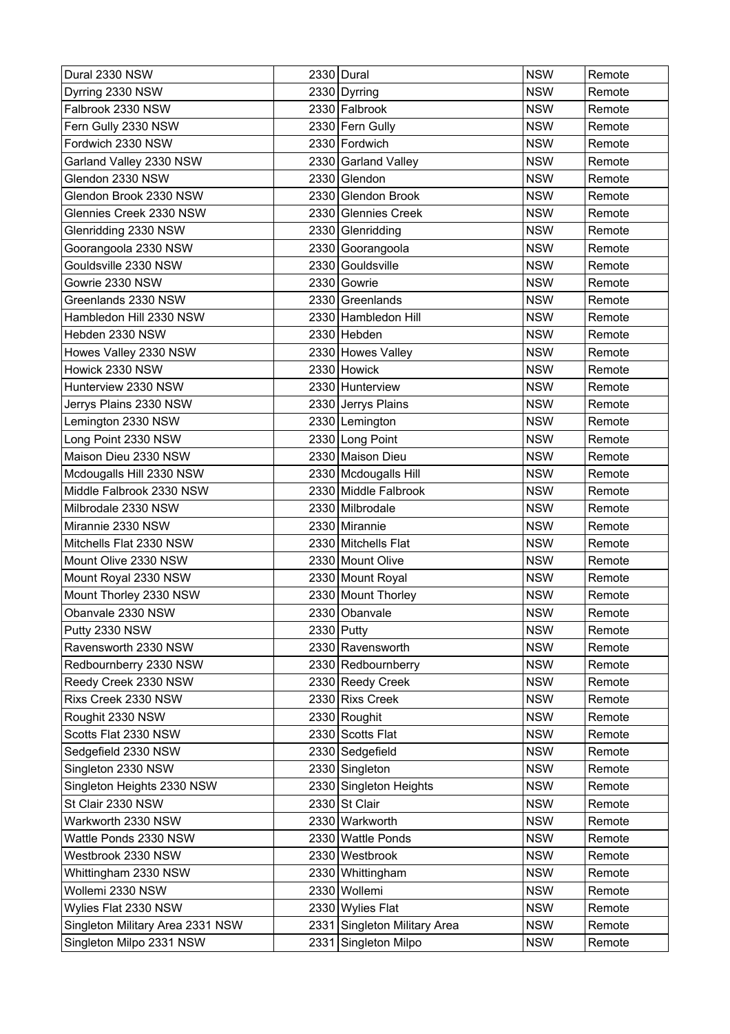| Dural 2330 NSW                   |      | 2330 Dural                   | <b>NSW</b> | Remote |
|----------------------------------|------|------------------------------|------------|--------|
| Dyrring 2330 NSW                 |      | 2330 Dyrring                 | <b>NSW</b> | Remote |
| Falbrook 2330 NSW                |      | 2330 Falbrook                | <b>NSW</b> | Remote |
| Fern Gully 2330 NSW              |      | 2330 Fern Gully              | <b>NSW</b> | Remote |
| Fordwich 2330 NSW                |      | 2330 Fordwich                | <b>NSW</b> | Remote |
| Garland Valley 2330 NSW          |      | 2330 Garland Valley          | <b>NSW</b> | Remote |
| Glendon 2330 NSW                 |      | 2330 Glendon                 | <b>NSW</b> | Remote |
| Glendon Brook 2330 NSW           |      | 2330 Glendon Brook           | <b>NSW</b> | Remote |
| Glennies Creek 2330 NSW          |      | 2330 Glennies Creek          | <b>NSW</b> | Remote |
| Glenridding 2330 NSW             |      | 2330 Glenridding             | <b>NSW</b> | Remote |
| Goorangoola 2330 NSW             |      | 2330 Goorangoola             | <b>NSW</b> | Remote |
| Gouldsville 2330 NSW             |      | 2330 Gouldsville             | <b>NSW</b> | Remote |
| Gowrie 2330 NSW                  |      | 2330 Gowrie                  | <b>NSW</b> | Remote |
| Greenlands 2330 NSW              |      | 2330 Greenlands              | <b>NSW</b> | Remote |
| Hambledon Hill 2330 NSW          |      | 2330 Hambledon Hill          | <b>NSW</b> | Remote |
| Hebden 2330 NSW                  |      | 2330 Hebden                  | <b>NSW</b> | Remote |
| Howes Valley 2330 NSW            |      | 2330 Howes Valley            | <b>NSW</b> | Remote |
| Howick 2330 NSW                  |      | 2330 Howick                  | <b>NSW</b> | Remote |
| Hunterview 2330 NSW              |      | 2330 Hunterview              | <b>NSW</b> | Remote |
| Jerrys Plains 2330 NSW           |      | 2330 Jerrys Plains           | <b>NSW</b> | Remote |
| Lemington 2330 NSW               |      | 2330 Lemington               | <b>NSW</b> | Remote |
| Long Point 2330 NSW              |      | 2330 Long Point              | <b>NSW</b> | Remote |
| Maison Dieu 2330 NSW             |      | 2330 Maison Dieu             | <b>NSW</b> | Remote |
| Mcdougalls Hill 2330 NSW         |      | 2330 Mcdougalls Hill         | <b>NSW</b> | Remote |
| Middle Falbrook 2330 NSW         |      | 2330 Middle Falbrook         | <b>NSW</b> | Remote |
| Milbrodale 2330 NSW              |      | 2330 Milbrodale              | <b>NSW</b> | Remote |
| Mirannie 2330 NSW                |      | 2330 Mirannie                | <b>NSW</b> | Remote |
| Mitchells Flat 2330 NSW          |      | 2330 Mitchells Flat          | <b>NSW</b> | Remote |
| Mount Olive 2330 NSW             |      | 2330 Mount Olive             | <b>NSW</b> | Remote |
| Mount Royal 2330 NSW             |      | 2330 Mount Royal             | <b>NSW</b> | Remote |
| Mount Thorley 2330 NSW           |      | 2330 Mount Thorley           | <b>NSW</b> | Remote |
| Obanvale 2330 NSW                |      | 2330 Obanvale                | <b>NSW</b> | Remote |
| Putty 2330 NSW                   |      | 2330 Putty                   | <b>NSW</b> | Remote |
| Ravensworth 2330 NSW             |      | 2330 Ravensworth             | <b>NSW</b> | Remote |
| Redbournberry 2330 NSW           |      | 2330 Redbournberry           | <b>NSW</b> | Remote |
| Reedy Creek 2330 NSW             |      | 2330 Reedy Creek             | <b>NSW</b> | Remote |
| Rixs Creek 2330 NSW              |      | 2330 Rixs Creek              | <b>NSW</b> | Remote |
| Roughit 2330 NSW                 |      | 2330 Roughit                 | <b>NSW</b> | Remote |
| Scotts Flat 2330 NSW             |      | 2330 Scotts Flat             | <b>NSW</b> | Remote |
| Sedgefield 2330 NSW              |      | 2330 Sedgefield              | <b>NSW</b> | Remote |
| Singleton 2330 NSW               |      | 2330 Singleton               | <b>NSW</b> | Remote |
| Singleton Heights 2330 NSW       |      | 2330 Singleton Heights       | <b>NSW</b> | Remote |
| St Clair 2330 NSW                |      | $2330$ St Clair              | <b>NSW</b> | Remote |
| Warkworth 2330 NSW               |      | 2330 Warkworth               | <b>NSW</b> | Remote |
| Wattle Ponds 2330 NSW            |      | 2330 Wattle Ponds            | <b>NSW</b> | Remote |
| Westbrook 2330 NSW               |      | 2330 Westbrook               | <b>NSW</b> | Remote |
| Whittingham 2330 NSW             |      | 2330 Whittingham             | <b>NSW</b> | Remote |
| Wollemi 2330 NSW                 |      | 2330 Wollemi                 | <b>NSW</b> | Remote |
| Wylies Flat 2330 NSW             |      | 2330 Wylies Flat             | <b>NSW</b> | Remote |
| Singleton Military Area 2331 NSW |      | 2331 Singleton Military Area | <b>NSW</b> | Remote |
| Singleton Milpo 2331 NSW         | 2331 | Singleton Milpo              | <b>NSW</b> | Remote |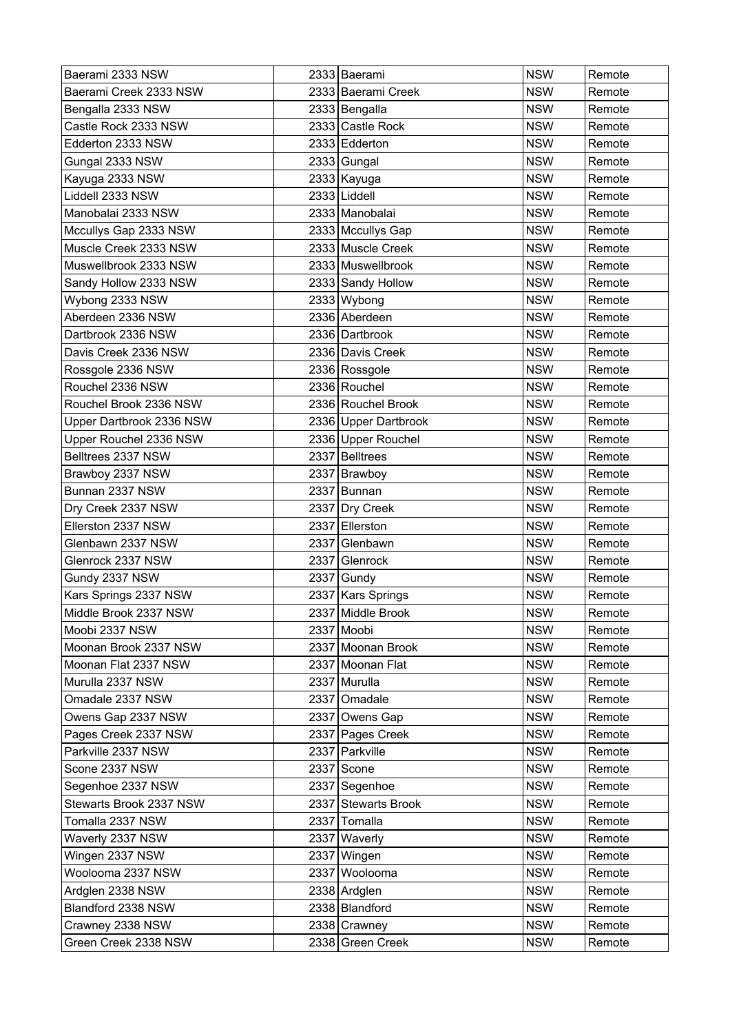| Baerami 2333 NSW         |      | 2333 Baerami         | <b>NSW</b> | Remote |
|--------------------------|------|----------------------|------------|--------|
| Baerami Creek 2333 NSW   |      | 2333 Baerami Creek   | <b>NSW</b> | Remote |
| Bengalla 2333 NSW        |      | 2333 Bengalla        | <b>NSW</b> | Remote |
| Castle Rock 2333 NSW     |      | 2333 Castle Rock     | <b>NSW</b> | Remote |
| Edderton 2333 NSW        |      | 2333 Edderton        | <b>NSW</b> | Remote |
| Gungal 2333 NSW          |      | 2333 Gungal          | <b>NSW</b> | Remote |
| Kayuga 2333 NSW          |      | 2333 Kayuga          | <b>NSW</b> | Remote |
| Liddell 2333 NSW         |      | 2333 Liddell         | <b>NSW</b> | Remote |
| Manobalai 2333 NSW       |      | 2333 Manobalai       | <b>NSW</b> | Remote |
| Mccullys Gap 2333 NSW    |      | 2333 Mccullys Gap    | <b>NSW</b> | Remote |
| Muscle Creek 2333 NSW    |      | 2333 Muscle Creek    | <b>NSW</b> | Remote |
| Muswellbrook 2333 NSW    |      | 2333 Muswellbrook    | <b>NSW</b> | Remote |
| Sandy Hollow 2333 NSW    |      | 2333 Sandy Hollow    | <b>NSW</b> | Remote |
| Wybong 2333 NSW          |      | 2333 Wybong          | <b>NSW</b> | Remote |
| Aberdeen 2336 NSW        |      | 2336 Aberdeen        | <b>NSW</b> | Remote |
| Dartbrook 2336 NSW       |      | 2336 Dartbrook       | <b>NSW</b> | Remote |
| Davis Creek 2336 NSW     |      | 2336 Davis Creek     | <b>NSW</b> | Remote |
| Rossgole 2336 NSW        |      | 2336 Rossgole        | <b>NSW</b> | Remote |
| Rouchel 2336 NSW         |      | 2336 Rouchel         | <b>NSW</b> | Remote |
| Rouchel Brook 2336 NSW   |      | 2336 Rouchel Brook   | <b>NSW</b> | Remote |
| Upper Dartbrook 2336 NSW |      | 2336 Upper Dartbrook | <b>NSW</b> | Remote |
| Upper Rouchel 2336 NSW   |      | 2336 Upper Rouchel   | <b>NSW</b> | Remote |
| Belltrees 2337 NSW       |      | 2337 Belltrees       | <b>NSW</b> | Remote |
| Brawboy 2337 NSW         |      | 2337 Brawboy         | <b>NSW</b> | Remote |
| Bunnan 2337 NSW          |      | 2337 Bunnan          | <b>NSW</b> | Remote |
| Dry Creek 2337 NSW       |      | 2337 Dry Creek       | <b>NSW</b> | Remote |
| Ellerston 2337 NSW       | 2337 | Ellerston            | <b>NSW</b> | Remote |
| Glenbawn 2337 NSW        |      | 2337 Glenbawn        | <b>NSW</b> | Remote |
| Glenrock 2337 NSW        | 2337 | Glenrock             | <b>NSW</b> | Remote |
| Gundy 2337 NSW           |      | 2337 Gundy           | <b>NSW</b> | Remote |
| Kars Springs 2337 NSW    |      | 2337 Kars Springs    | <b>NSW</b> | Remote |
| Middle Brook 2337 NSW    |      | 2337 Middle Brook    | <b>NSW</b> | Remote |
| Moobi 2337 NSW           |      | 2337 Moobi           | <b>NSW</b> | Remote |
| Moonan Brook 2337 NSW    |      | 2337 Moonan Brook    | <b>NSW</b> | Remote |
| Moonan Flat 2337 NSW     |      | 2337 Moonan Flat     | <b>NSW</b> | Remote |
| Murulla 2337 NSW         |      | 2337 Murulla         | <b>NSW</b> | Remote |
| Omadale 2337 NSW         |      | 2337 Omadale         | <b>NSW</b> | Remote |
| Owens Gap 2337 NSW       |      | 2337 Owens Gap       | <b>NSW</b> | Remote |
| Pages Creek 2337 NSW     |      | 2337 Pages Creek     | <b>NSW</b> | Remote |
| Parkville 2337 NSW       |      | 2337 Parkville       | <b>NSW</b> | Remote |
| Scone 2337 NSW           |      | 2337 Scone           | <b>NSW</b> | Remote |
| Segenhoe 2337 NSW        |      | 2337 Segenhoe        | <b>NSW</b> | Remote |
| Stewarts Brook 2337 NSW  |      | 2337 Stewarts Brook  | <b>NSW</b> | Remote |
| Tomalla 2337 NSW         |      | 2337 Tomalla         | <b>NSW</b> | Remote |
| Waverly 2337 NSW         |      | 2337 Waverly         | <b>NSW</b> | Remote |
| Wingen 2337 NSW          |      | 2337 Wingen          | <b>NSW</b> | Remote |
| Woolooma 2337 NSW        |      | 2337 Woolooma        | <b>NSW</b> | Remote |
| Ardglen 2338 NSW         |      | 2338 Ardglen         | <b>NSW</b> | Remote |
| Blandford 2338 NSW       |      | 2338 Blandford       | <b>NSW</b> | Remote |
| Crawney 2338 NSW         |      | 2338 Crawney         | <b>NSW</b> | Remote |
| Green Creek 2338 NSW     |      | 2338 Green Creek     | <b>NSW</b> | Remote |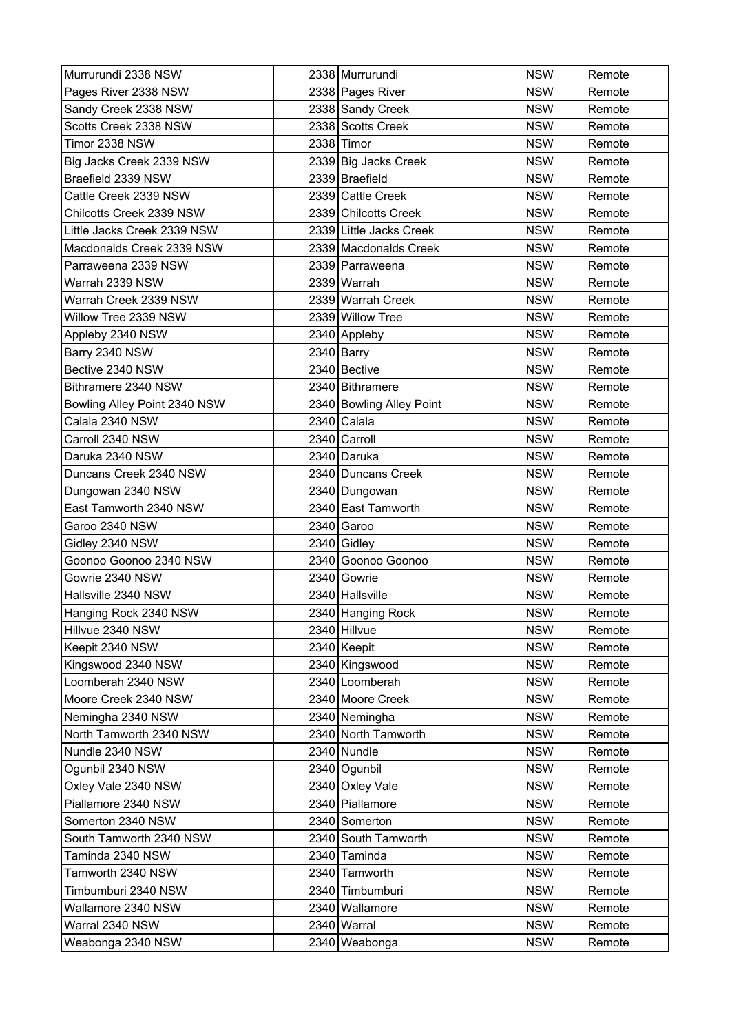| Murrurundi 2338 NSW          | 2338 Murrurundi          | <b>NSW</b> | Remote |
|------------------------------|--------------------------|------------|--------|
| Pages River 2338 NSW         | 2338 Pages River         | <b>NSW</b> | Remote |
| Sandy Creek 2338 NSW         | 2338 Sandy Creek         | <b>NSW</b> | Remote |
| Scotts Creek 2338 NSW        | 2338 Scotts Creek        | <b>NSW</b> | Remote |
| Timor 2338 NSW               | $2338$ Timor             | <b>NSW</b> | Remote |
| Big Jacks Creek 2339 NSW     | 2339 Big Jacks Creek     | <b>NSW</b> | Remote |
| Braefield 2339 NSW           | 2339 Braefield           | <b>NSW</b> | Remote |
| Cattle Creek 2339 NSW        | 2339 Cattle Creek        | <b>NSW</b> | Remote |
| Chilcotts Creek 2339 NSW     | 2339 Chilcotts Creek     | <b>NSW</b> | Remote |
| Little Jacks Creek 2339 NSW  | 2339 Little Jacks Creek  | <b>NSW</b> | Remote |
| Macdonalds Creek 2339 NSW    | 2339 Macdonalds Creek    | <b>NSW</b> | Remote |
| Parraweena 2339 NSW          | 2339 Parraweena          | <b>NSW</b> | Remote |
| Warrah 2339 NSW              | 2339 Warrah              | <b>NSW</b> | Remote |
| Warrah Creek 2339 NSW        | 2339 Warrah Creek        | <b>NSW</b> | Remote |
| Willow Tree 2339 NSW         | 2339 Willow Tree         | <b>NSW</b> | Remote |
| Appleby 2340 NSW             | 2340 Appleby             | <b>NSW</b> | Remote |
| Barry 2340 NSW               | 2340 Barry               | <b>NSW</b> | Remote |
| Bective 2340 NSW             | 2340 Bective             | <b>NSW</b> | Remote |
| Bithramere 2340 NSW          | 2340 Bithramere          | <b>NSW</b> | Remote |
| Bowling Alley Point 2340 NSW | 2340 Bowling Alley Point | <b>NSW</b> | Remote |
| Calala 2340 NSW              | 2340 Calala              | <b>NSW</b> | Remote |
| Carroll 2340 NSW             | 2340 Carroll             | <b>NSW</b> | Remote |
| Daruka 2340 NSW              | 2340 Daruka              | <b>NSW</b> | Remote |
| Duncans Creek 2340 NSW       | 2340 Duncans Creek       | <b>NSW</b> | Remote |
| Dungowan 2340 NSW            | 2340 Dungowan            | <b>NSW</b> | Remote |
| East Tamworth 2340 NSW       | 2340 East Tamworth       | <b>NSW</b> | Remote |
| Garoo 2340 NSW               | $2340$ Garoo             | <b>NSW</b> | Remote |
| Gidley 2340 NSW              | $2340$ Gidley            | <b>NSW</b> | Remote |
| Goonoo Goonoo 2340 NSW       | 2340 Goonoo Goonoo       | <b>NSW</b> | Remote |
| Gowrie 2340 NSW              | 2340 Gowrie              | <b>NSW</b> | Remote |
| Hallsville 2340 NSW          | 2340 Hallsville          | <b>NSW</b> | Remote |
| Hanging Rock 2340 NSW        | 2340 Hanging Rock        | <b>NSW</b> | Remote |
| Hillvue 2340 NSW             | 2340 Hillvue             | <b>NSW</b> | Remote |
| Keepit 2340 NSW              | 2340 Keepit              | <b>NSW</b> | Remote |
| Kingswood 2340 NSW           | 2340 Kingswood           | <b>NSW</b> | Remote |
| Loomberah 2340 NSW           | 2340 Loomberah           | <b>NSW</b> | Remote |
| Moore Creek 2340 NSW         | 2340 Moore Creek         | <b>NSW</b> | Remote |
| Nemingha 2340 NSW            | 2340 Nemingha            | <b>NSW</b> | Remote |
| North Tamworth 2340 NSW      | 2340 North Tamworth      | <b>NSW</b> | Remote |
| Nundle 2340 NSW              | 2340 Nundle              | <b>NSW</b> | Remote |
| Ogunbil 2340 NSW             | 2340 Ogunbil             | <b>NSW</b> | Remote |
| Oxley Vale 2340 NSW          | 2340 Oxley Vale          | <b>NSW</b> | Remote |
| Piallamore 2340 NSW          | 2340 Piallamore          | <b>NSW</b> | Remote |
| Somerton 2340 NSW            | 2340 Somerton            | <b>NSW</b> | Remote |
| South Tamworth 2340 NSW      | 2340 South Tamworth      | <b>NSW</b> | Remote |
| Taminda 2340 NSW             | 2340 Taminda             | <b>NSW</b> | Remote |
| Tamworth 2340 NSW            | 2340 Tamworth            | <b>NSW</b> | Remote |
| Timbumburi 2340 NSW          | 2340 Timbumburi          | <b>NSW</b> | Remote |
| Wallamore 2340 NSW           | 2340 Wallamore           | <b>NSW</b> | Remote |
| Warral 2340 NSW              | 2340 Warral              | <b>NSW</b> | Remote |
| Weabonga 2340 NSW            | 2340 Weabonga            | <b>NSW</b> | Remote |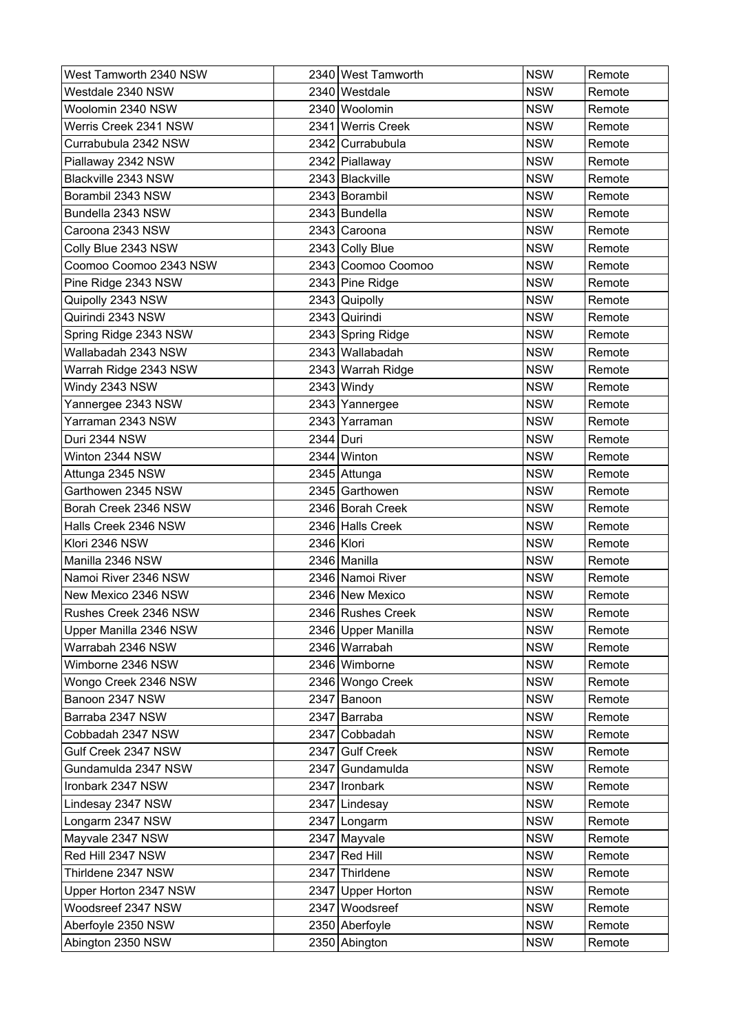| West Tamworth 2340 NSW |            | 2340 West Tamworth | <b>NSW</b> | Remote |
|------------------------|------------|--------------------|------------|--------|
| Westdale 2340 NSW      |            | 2340 Westdale      | <b>NSW</b> | Remote |
| Woolomin 2340 NSW      |            | 2340 Woolomin      | <b>NSW</b> | Remote |
| Werris Creek 2341 NSW  |            | 2341 Werris Creek  | <b>NSW</b> | Remote |
| Currabubula 2342 NSW   |            | 2342 Currabubula   | <b>NSW</b> | Remote |
| Piallaway 2342 NSW     |            | 2342 Piallaway     | <b>NSW</b> | Remote |
| Blackville 2343 NSW    |            | 2343 Blackville    | <b>NSW</b> | Remote |
| Borambil 2343 NSW      |            | 2343 Borambil      | <b>NSW</b> | Remote |
| Bundella 2343 NSW      |            | 2343 Bundella      | <b>NSW</b> | Remote |
| Caroona 2343 NSW       |            | 2343 Caroona       | <b>NSW</b> | Remote |
| Colly Blue 2343 NSW    |            | 2343 Colly Blue    | <b>NSW</b> | Remote |
| Coomoo Coomoo 2343 NSW |            | 2343 Coomoo Coomoo | <b>NSW</b> | Remote |
| Pine Ridge 2343 NSW    |            | 2343 Pine Ridge    | <b>NSW</b> | Remote |
| Quipolly 2343 NSW      |            | 2343 Quipolly      | <b>NSW</b> | Remote |
| Quirindi 2343 NSW      |            | 2343 Quirindi      | <b>NSW</b> | Remote |
| Spring Ridge 2343 NSW  |            | 2343 Spring Ridge  | <b>NSW</b> | Remote |
| Wallabadah 2343 NSW    |            | 2343 Wallabadah    | <b>NSW</b> | Remote |
| Warrah Ridge 2343 NSW  |            | 2343 Warrah Ridge  | <b>NSW</b> | Remote |
| Windy 2343 NSW         |            | 2343 Windy         | <b>NSW</b> | Remote |
| Yannergee 2343 NSW     |            | 2343 Yannergee     | <b>NSW</b> | Remote |
| Yarraman 2343 NSW      |            | 2343 Yarraman      | <b>NSW</b> | Remote |
| Duri 2344 NSW          | 2344 Duri  |                    | <b>NSW</b> | Remote |
| Winton 2344 NSW        |            | 2344 Winton        | <b>NSW</b> | Remote |
| Attunga 2345 NSW       |            | 2345 Attunga       | <b>NSW</b> | Remote |
| Garthowen 2345 NSW     |            | 2345 Garthowen     | <b>NSW</b> | Remote |
| Borah Creek 2346 NSW   |            | 2346 Borah Creek   | <b>NSW</b> | Remote |
| Halls Creek 2346 NSW   |            | 2346 Halls Creek   | <b>NSW</b> | Remote |
| Klori 2346 NSW         | 2346 Klori |                    | <b>NSW</b> | Remote |
| Manilla 2346 NSW       |            | 2346 Manilla       | <b>NSW</b> | Remote |
| Namoi River 2346 NSW   |            | 2346 Namoi River   | <b>NSW</b> | Remote |
| New Mexico 2346 NSW    |            | 2346 New Mexico    | <b>NSW</b> | Remote |
| Rushes Creek 2346 NSW  |            | 2346 Rushes Creek  | <b>NSW</b> | Remote |
| Upper Manilla 2346 NSW |            | 2346 Upper Manilla | <b>NSW</b> | Remote |
| Warrabah 2346 NSW      |            | 2346 Warrabah      | <b>NSW</b> | Remote |
| Wimborne 2346 NSW      |            | 2346 Wimborne      | <b>NSW</b> | Remote |
| Wongo Creek 2346 NSW   |            | 2346 Wongo Creek   | <b>NSW</b> | Remote |
| Banoon 2347 NSW        |            | 2347 Banoon        | <b>NSW</b> | Remote |
| Barraba 2347 NSW       |            | 2347 Barraba       | <b>NSW</b> | Remote |
| Cobbadah 2347 NSW      |            | 2347 Cobbadah      | <b>NSW</b> | Remote |
| Gulf Creek 2347 NSW    |            | 2347 Gulf Creek    | <b>NSW</b> | Remote |
| Gundamulda 2347 NSW    |            | 2347 Gundamulda    | <b>NSW</b> | Remote |
| Ironbark 2347 NSW      |            | 2347   Ironbark    | <b>NSW</b> | Remote |
| Lindesay 2347 NSW      |            | 2347 Lindesay      | <b>NSW</b> | Remote |
| Longarm 2347 NSW       |            | 2347 Longarm       | <b>NSW</b> | Remote |
| Mayvale 2347 NSW       |            | 2347 Mayvale       | <b>NSW</b> | Remote |
| Red Hill 2347 NSW      |            | $2347$ Red Hill    | <b>NSW</b> | Remote |
| Thirldene 2347 NSW     |            | 2347 Thirldene     | <b>NSW</b> | Remote |
| Upper Horton 2347 NSW  |            | 2347 Upper Horton  | <b>NSW</b> | Remote |
| Woodsreef 2347 NSW     |            | 2347 Woodsreef     | <b>NSW</b> | Remote |
| Aberfoyle 2350 NSW     |            | 2350 Aberfoyle     | <b>NSW</b> | Remote |
| Abington 2350 NSW      |            | 2350 Abington      | <b>NSW</b> | Remote |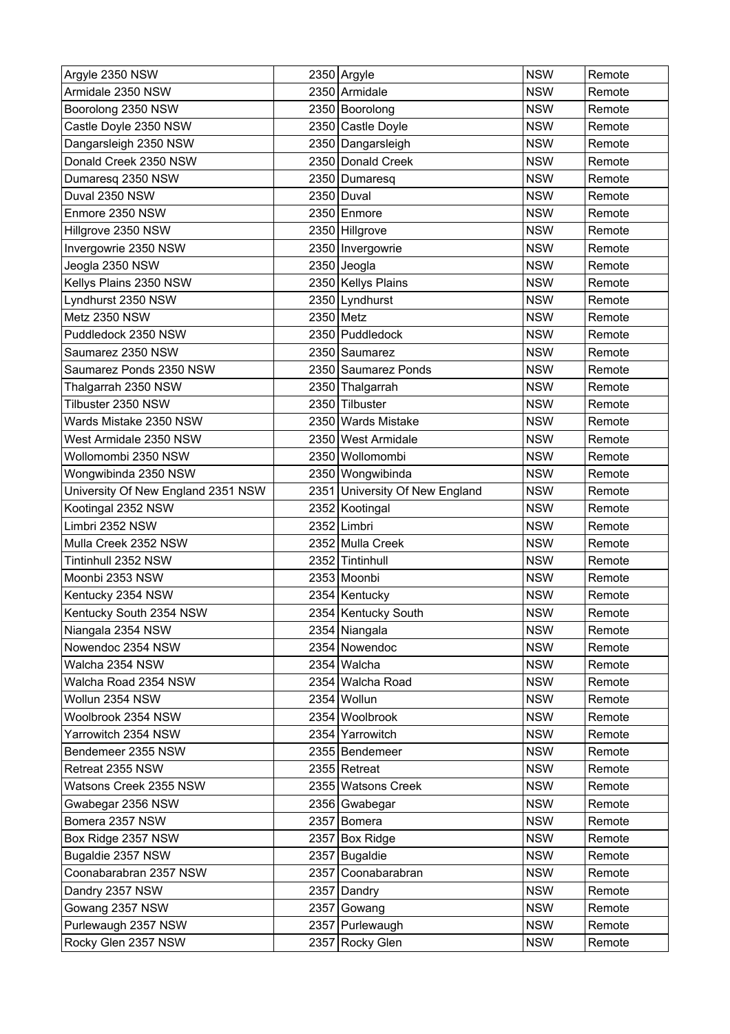| Argyle 2350 NSW                    |           | 2350 Argyle                    | <b>NSW</b> | Remote |
|------------------------------------|-----------|--------------------------------|------------|--------|
| Armidale 2350 NSW                  |           | 2350 Armidale                  | <b>NSW</b> | Remote |
| Boorolong 2350 NSW                 |           | 2350 Boorolong                 | <b>NSW</b> | Remote |
| Castle Doyle 2350 NSW              |           | 2350 Castle Doyle              | <b>NSW</b> | Remote |
| Dangarsleigh 2350 NSW              |           | 2350 Dangarsleigh              | <b>NSW</b> | Remote |
| Donald Creek 2350 NSW              |           | 2350 Donald Creek              | <b>NSW</b> | Remote |
| Dumaresq 2350 NSW                  |           | 2350 Dumaresq                  | <b>NSW</b> | Remote |
| Duval 2350 NSW                     |           | 2350 Duval                     | <b>NSW</b> | Remote |
| Enmore 2350 NSW                    |           | 2350 Enmore                    | <b>NSW</b> | Remote |
| Hillgrove 2350 NSW                 |           | 2350 Hillgrove                 | <b>NSW</b> | Remote |
| Invergowrie 2350 NSW               |           | 2350   Invergowrie             | <b>NSW</b> | Remote |
| Jeogla 2350 NSW                    |           | 2350 Jeogla                    | <b>NSW</b> | Remote |
| Kellys Plains 2350 NSW             |           | 2350 Kellys Plains             | <b>NSW</b> | Remote |
| Lyndhurst 2350 NSW                 |           | 2350 Lyndhurst                 | <b>NSW</b> | Remote |
| Metz 2350 NSW                      | 2350 Metz |                                | <b>NSW</b> | Remote |
| Puddledock 2350 NSW                |           | 2350 Puddledock                | <b>NSW</b> | Remote |
| Saumarez 2350 NSW                  |           | 2350 Saumarez                  | <b>NSW</b> | Remote |
| Saumarez Ponds 2350 NSW            |           | 2350 Saumarez Ponds            | <b>NSW</b> | Remote |
| Thalgarrah 2350 NSW                |           | 2350 Thalgarrah                | <b>NSW</b> | Remote |
| Tilbuster 2350 NSW                 |           | 2350 Tilbuster                 | <b>NSW</b> | Remote |
| Wards Mistake 2350 NSW             |           | 2350 Wards Mistake             | <b>NSW</b> | Remote |
| West Armidale 2350 NSW             |           | 2350 West Armidale             | <b>NSW</b> | Remote |
| Wollomombi 2350 NSW                |           | 2350 Wollomombi                | <b>NSW</b> | Remote |
| Wongwibinda 2350 NSW               |           | 2350 Wongwibinda               | <b>NSW</b> | Remote |
| University Of New England 2351 NSW |           | 2351 University Of New England | <b>NSW</b> | Remote |
| Kootingal 2352 NSW                 |           | 2352 Kootingal                 | <b>NSW</b> | Remote |
| Limbri 2352 NSW                    |           | 2352 Limbri                    | <b>NSW</b> | Remote |
| Mulla Creek 2352 NSW               |           | 2352 Mulla Creek               | <b>NSW</b> | Remote |
| Tintinhull 2352 NSW                |           | 2352 Tintinhull                | <b>NSW</b> | Remote |
| Moonbi 2353 NSW                    |           | 2353 Moonbi                    | <b>NSW</b> | Remote |
| Kentucky 2354 NSW                  |           | 2354 Kentucky                  | <b>NSW</b> | Remote |
| Kentucky South 2354 NSW            |           | 2354 Kentucky South            | <b>NSW</b> | Remote |
| Niangala 2354 NSW                  |           | 2354 Niangala                  | <b>NSW</b> | Remote |
| Nowendoc 2354 NSW                  |           | 2354 Nowendoc                  | <b>NSW</b> | Remote |
| Walcha 2354 NSW                    |           | 2354 Walcha                    | <b>NSW</b> | Remote |
| Walcha Road 2354 NSW               |           | 2354 Walcha Road               | <b>NSW</b> | Remote |
| Wollun 2354 NSW                    |           | 2354 Wollun                    | <b>NSW</b> | Remote |
| Woolbrook 2354 NSW                 |           | 2354 Woolbrook                 | <b>NSW</b> | Remote |
| Yarrowitch 2354 NSW                |           | 2354 Yarrowitch                | <b>NSW</b> | Remote |
| Bendemeer 2355 NSW                 |           | 2355 Bendemeer                 | <b>NSW</b> | Remote |
| Retreat 2355 NSW                   |           | 2355 Retreat                   | <b>NSW</b> | Remote |
| Watsons Creek 2355 NSW             |           | 2355 Watsons Creek             | <b>NSW</b> | Remote |
| Gwabegar 2356 NSW                  |           | 2356 Gwabegar                  | <b>NSW</b> | Remote |
| Bomera 2357 NSW                    |           | 2357 Bomera                    | <b>NSW</b> | Remote |
| Box Ridge 2357 NSW                 |           | 2357 Box Ridge                 | <b>NSW</b> | Remote |
| Bugaldie 2357 NSW                  |           | 2357 Bugaldie                  | <b>NSW</b> | Remote |
| Coonabarabran 2357 NSW             |           | 2357 Coonabarabran             | <b>NSW</b> | Remote |
| Dandry 2357 NSW                    |           | 2357 Dandry                    | <b>NSW</b> | Remote |
| Gowang 2357 NSW                    |           | 2357 Gowang                    | <b>NSW</b> | Remote |
| Purlewaugh 2357 NSW                |           | 2357 Purlewaugh                | <b>NSW</b> | Remote |
| Rocky Glen 2357 NSW                |           | 2357 Rocky Glen                | <b>NSW</b> | Remote |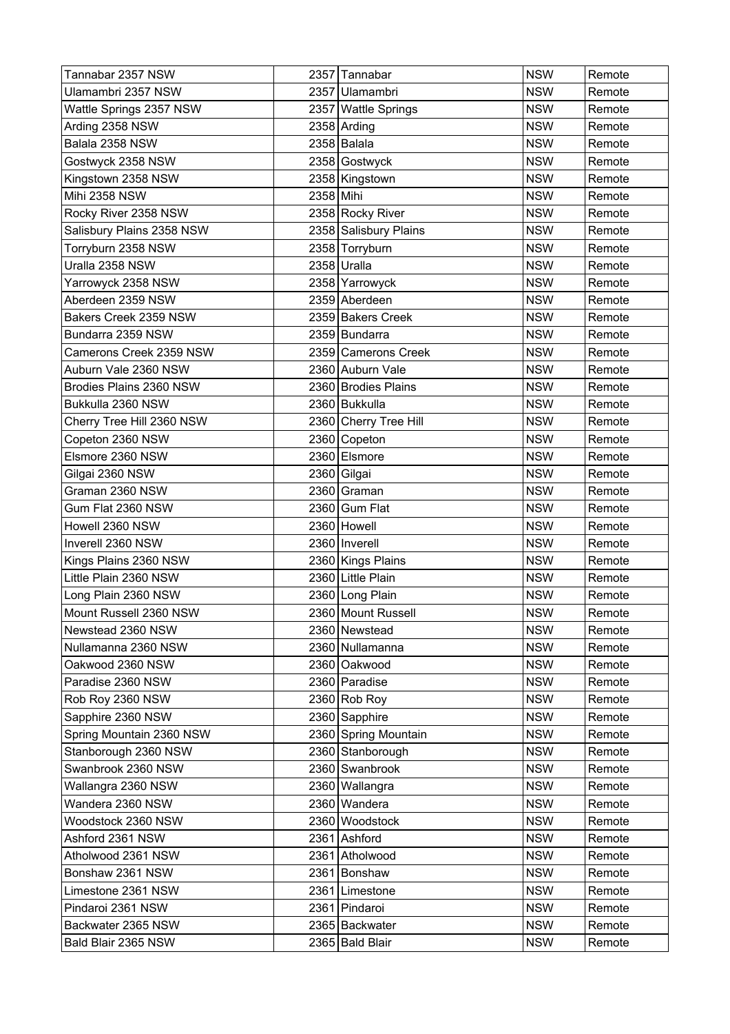| Tannabar 2357 NSW         |           | 2357 Tannabar         | <b>NSW</b> | Remote |
|---------------------------|-----------|-----------------------|------------|--------|
| Ulamambri 2357 NSW        |           | 2357 Ulamambri        | <b>NSW</b> | Remote |
| Wattle Springs 2357 NSW   |           | 2357 Wattle Springs   | <b>NSW</b> | Remote |
| Arding 2358 NSW           |           | 2358 Arding           | <b>NSW</b> | Remote |
| Balala 2358 NSW           |           | 2358 Balala           | <b>NSW</b> | Remote |
| Gostwyck 2358 NSW         |           | 2358 Gostwyck         | <b>NSW</b> | Remote |
| Kingstown 2358 NSW        |           | 2358 Kingstown        | <b>NSW</b> | Remote |
| <b>Mihi 2358 NSW</b>      | 2358 Mihi |                       | <b>NSW</b> | Remote |
| Rocky River 2358 NSW      |           | 2358 Rocky River      | <b>NSW</b> | Remote |
| Salisbury Plains 2358 NSW |           | 2358 Salisbury Plains | <b>NSW</b> | Remote |
| Torryburn 2358 NSW        |           | 2358 Torryburn        | <b>NSW</b> | Remote |
| Uralla 2358 NSW           |           | 2358 Uralla           | <b>NSW</b> | Remote |
| Yarrowyck 2358 NSW        |           | 2358 Yarrowyck        | <b>NSW</b> | Remote |
| Aberdeen 2359 NSW         |           | 2359 Aberdeen         | <b>NSW</b> | Remote |
| Bakers Creek 2359 NSW     |           | 2359 Bakers Creek     | <b>NSW</b> | Remote |
| Bundarra 2359 NSW         |           | 2359 Bundarra         | <b>NSW</b> | Remote |
| Camerons Creek 2359 NSW   |           | 2359 Camerons Creek   | <b>NSW</b> | Remote |
| Auburn Vale 2360 NSW      |           | 2360 Auburn Vale      | <b>NSW</b> | Remote |
| Brodies Plains 2360 NSW   |           | 2360 Brodies Plains   | <b>NSW</b> | Remote |
| Bukkulla 2360 NSW         |           | 2360 Bukkulla         | <b>NSW</b> | Remote |
| Cherry Tree Hill 2360 NSW |           | 2360 Cherry Tree Hill | <b>NSW</b> | Remote |
| Copeton 2360 NSW          |           | 2360 Copeton          | <b>NSW</b> | Remote |
| Elsmore 2360 NSW          |           | 2360 Elsmore          | <b>NSW</b> | Remote |
| Gilgai 2360 NSW           |           | 2360 Gilgai           | <b>NSW</b> | Remote |
| Graman 2360 NSW           |           | 2360 Graman           | <b>NSW</b> | Remote |
| Gum Flat 2360 NSW         |           | 2360 Gum Flat         | <b>NSW</b> | Remote |
| Howell 2360 NSW           |           | 2360 Howell           | <b>NSW</b> | Remote |
| Inverell 2360 NSW         |           | 2360   Inverell       | <b>NSW</b> | Remote |
| Kings Plains 2360 NSW     |           | 2360 Kings Plains     | <b>NSW</b> | Remote |
| Little Plain 2360 NSW     |           | 2360 Little Plain     | <b>NSW</b> | Remote |
| Long Plain 2360 NSW       |           | 2360 Long Plain       | <b>NSW</b> | Remote |
| Mount Russell 2360 NSW    |           | 2360 Mount Russell    | <b>NSW</b> | Remote |
| Newstead 2360 NSW         |           | 2360 Newstead         | <b>NSW</b> | Remote |
| Nullamanna 2360 NSW       |           | 2360 Nullamanna       | <b>NSW</b> | Remote |
| Oakwood 2360 NSW          |           | 2360 Oakwood          | <b>NSW</b> | Remote |
| Paradise 2360 NSW         |           | 2360 Paradise         | <b>NSW</b> | Remote |
| Rob Roy 2360 NSW          |           | $2360$ Rob Roy        | <b>NSW</b> | Remote |
| Sapphire 2360 NSW         |           | 2360 Sapphire         | <b>NSW</b> | Remote |
| Spring Mountain 2360 NSW  |           | 2360 Spring Mountain  | <b>NSW</b> | Remote |
| Stanborough 2360 NSW      |           | 2360 Stanborough      | <b>NSW</b> | Remote |
| Swanbrook 2360 NSW        |           | 2360 Swanbrook        | <b>NSW</b> | Remote |
| Wallangra 2360 NSW        |           | 2360 Wallangra        | <b>NSW</b> | Remote |
| Wandera 2360 NSW          |           | 2360 Wandera          | <b>NSW</b> | Remote |
| Woodstock 2360 NSW        |           | 2360 Woodstock        | <b>NSW</b> | Remote |
| Ashford 2361 NSW          |           | 2361 Ashford          | <b>NSW</b> | Remote |
| Atholwood 2361 NSW        |           | 2361 Atholwood        | <b>NSW</b> | Remote |
| Bonshaw 2361 NSW          |           | 2361 Bonshaw          | <b>NSW</b> | Remote |
| Limestone 2361 NSW        |           | 2361 Limestone        | <b>NSW</b> | Remote |
| Pindaroi 2361 NSW         |           | 2361 Pindaroi         | <b>NSW</b> | Remote |
| Backwater 2365 NSW        |           | 2365 Backwater        | <b>NSW</b> | Remote |
| Bald Blair 2365 NSW       |           | 2365 Bald Blair       | <b>NSW</b> | Remote |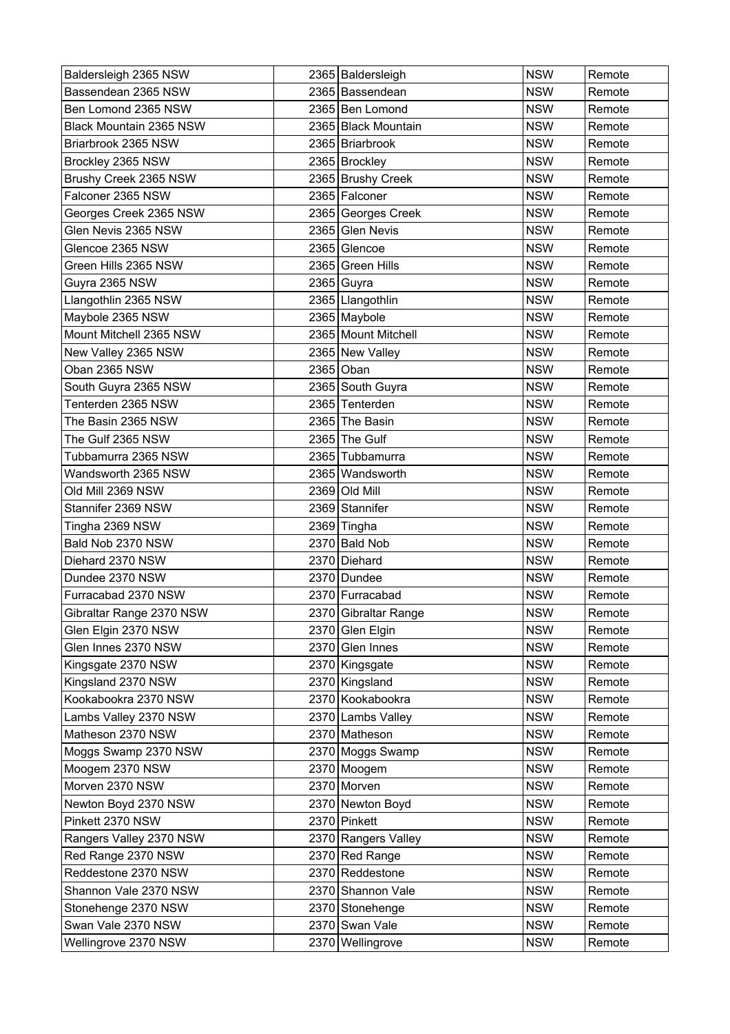| Baldersleigh 2365 NSW    | 2365   Baldersleigh  | <b>NSW</b> | Remote |
|--------------------------|----------------------|------------|--------|
| Bassendean 2365 NSW      | 2365 Bassendean      | <b>NSW</b> | Remote |
| Ben Lomond 2365 NSW      | 2365 Ben Lomond      | <b>NSW</b> | Remote |
| Black Mountain 2365 NSW  | 2365 Black Mountain  | <b>NSW</b> | Remote |
| Briarbrook 2365 NSW      | 2365 Briarbrook      | <b>NSW</b> | Remote |
| Brockley 2365 NSW        | 2365 Brockley        | <b>NSW</b> | Remote |
| Brushy Creek 2365 NSW    | 2365 Brushy Creek    | <b>NSW</b> | Remote |
| Falconer 2365 NSW        | 2365 Falconer        | <b>NSW</b> | Remote |
| Georges Creek 2365 NSW   | 2365 Georges Creek   | <b>NSW</b> | Remote |
| Glen Nevis 2365 NSW      | 2365 Glen Nevis      | <b>NSW</b> | Remote |
| Glencoe 2365 NSW         | 2365 Glencoe         | <b>NSW</b> | Remote |
| Green Hills 2365 NSW     | 2365 Green Hills     | <b>NSW</b> | Remote |
| Guyra 2365 NSW           | 2365 Guyra           | <b>NSW</b> | Remote |
| Llangothlin 2365 NSW     | 2365   Llangothlin   | <b>NSW</b> | Remote |
| Maybole 2365 NSW         | 2365 Maybole         | <b>NSW</b> | Remote |
| Mount Mitchell 2365 NSW  | 2365 Mount Mitchell  | <b>NSW</b> | Remote |
| New Valley 2365 NSW      | 2365 New Valley      | <b>NSW</b> | Remote |
| Oban 2365 NSW            | 2365 Oban            | <b>NSW</b> | Remote |
| South Guyra 2365 NSW     | 2365 South Guyra     | <b>NSW</b> | Remote |
| Tenterden 2365 NSW       | 2365 Tenterden       | <b>NSW</b> | Remote |
| The Basin 2365 NSW       | 2365 The Basin       | <b>NSW</b> | Remote |
| The Gulf 2365 NSW        | 2365 The Gulf        | <b>NSW</b> | Remote |
| Tubbamurra 2365 NSW      | 2365 Tubbamurra      | <b>NSW</b> | Remote |
| Wandsworth 2365 NSW      | 2365 Wandsworth      | <b>NSW</b> | Remote |
| Old Mill 2369 NSW        | 2369 Old Mill        | <b>NSW</b> | Remote |
| Stannifer 2369 NSW       | 2369 Stannifer       | <b>NSW</b> | Remote |
| Tingha 2369 NSW          | 2369 Tingha          | <b>NSW</b> | Remote |
| Bald Nob 2370 NSW        | 2370 Bald Nob        | <b>NSW</b> | Remote |
| Diehard 2370 NSW         | 2370 Diehard         | <b>NSW</b> | Remote |
| Dundee 2370 NSW          | 2370 Dundee          | <b>NSW</b> | Remote |
| Furracabad 2370 NSW      | 2370 Furracabad      | <b>NSW</b> | Remote |
| Gibraltar Range 2370 NSW | 2370 Gibraltar Range | <b>NSW</b> | Remote |
| Glen Elgin 2370 NSW      | 2370 Glen Elgin      | <b>NSW</b> | Remote |
| Glen Innes 2370 NSW      | 2370 Glen Innes      | <b>NSW</b> | Remote |
| Kingsgate 2370 NSW       | 2370 Kingsgate       | <b>NSW</b> | Remote |
| Kingsland 2370 NSW       | 2370 Kingsland       | <b>NSW</b> | Remote |
| Kookabookra 2370 NSW     | 2370 Kookabookra     | <b>NSW</b> | Remote |
| Lambs Valley 2370 NSW    | 2370 Lambs Valley    | <b>NSW</b> | Remote |
| Matheson 2370 NSW        | 2370 Matheson        | <b>NSW</b> | Remote |
| Moggs Swamp 2370 NSW     | 2370 Moggs Swamp     | <b>NSW</b> | Remote |
| Moogem 2370 NSW          | 2370 Moogem          | <b>NSW</b> | Remote |
| Morven 2370 NSW          | 2370 Morven          | <b>NSW</b> | Remote |
| Newton Boyd 2370 NSW     | 2370 Newton Boyd     | <b>NSW</b> | Remote |
| Pinkett 2370 NSW         | 2370 Pinkett         | <b>NSW</b> | Remote |
| Rangers Valley 2370 NSW  | 2370 Rangers Valley  | <b>NSW</b> | Remote |
| Red Range 2370 NSW       | 2370 Red Range       | <b>NSW</b> | Remote |
| Reddestone 2370 NSW      | 2370 Reddestone      | <b>NSW</b> | Remote |
| Shannon Vale 2370 NSW    | 2370 Shannon Vale    | <b>NSW</b> | Remote |
| Stonehenge 2370 NSW      | 2370 Stonehenge      | <b>NSW</b> | Remote |
| Swan Vale 2370 NSW       | 2370 Swan Vale       | <b>NSW</b> | Remote |
| Wellingrove 2370 NSW     | 2370 Wellingrove     | <b>NSW</b> | Remote |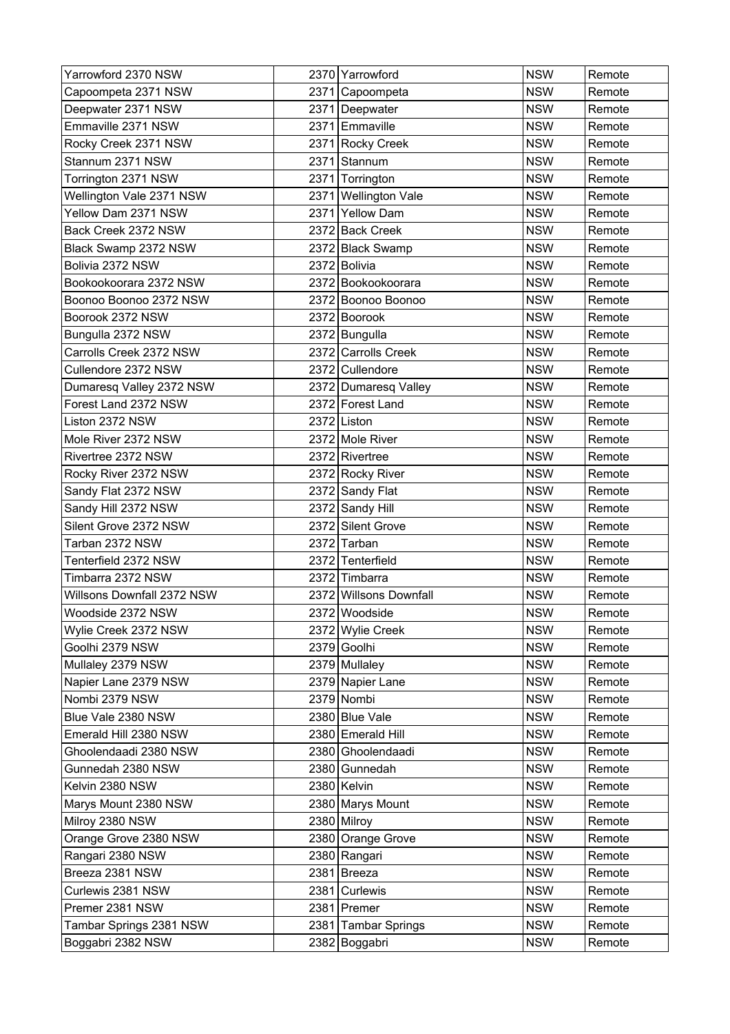| Yarrowford 2370 NSW        |      | 2370 Yarrowford        | <b>NSW</b> | Remote |
|----------------------------|------|------------------------|------------|--------|
| Capoompeta 2371 NSW        |      | 2371 Capoompeta        | <b>NSW</b> | Remote |
| Deepwater 2371 NSW         |      | 2371 Deepwater         | <b>NSW</b> | Remote |
| Emmaville 2371 NSW         |      | 2371 Emmaville         | <b>NSW</b> | Remote |
| Rocky Creek 2371 NSW       |      | 2371 Rocky Creek       | <b>NSW</b> | Remote |
| Stannum 2371 NSW           | 2371 | Stannum                | <b>NSW</b> | Remote |
| Torrington 2371 NSW        |      | 2371 Torrington        | <b>NSW</b> | Remote |
| Wellington Vale 2371 NSW   |      | 2371 Wellington Vale   | <b>NSW</b> | Remote |
| Yellow Dam 2371 NSW        | 2371 | Yellow Dam             | <b>NSW</b> | Remote |
| Back Creek 2372 NSW        |      | 2372 Back Creek        | <b>NSW</b> | Remote |
| Black Swamp 2372 NSW       |      | 2372 Black Swamp       | <b>NSW</b> | Remote |
| Bolivia 2372 NSW           |      | 2372 Bolivia           | <b>NSW</b> | Remote |
| Bookookoorara 2372 NSW     |      | 2372 Bookookoorara     | <b>NSW</b> | Remote |
| Boonoo Boonoo 2372 NSW     |      | 2372 Boonoo Boonoo     | <b>NSW</b> | Remote |
| Boorook 2372 NSW           |      | 2372 Boorook           | <b>NSW</b> | Remote |
| Bungulla 2372 NSW          |      | 2372 Bungulla          | <b>NSW</b> | Remote |
| Carrolls Creek 2372 NSW    |      | 2372 Carrolls Creek    | <b>NSW</b> | Remote |
| Cullendore 2372 NSW        |      | 2372 Cullendore        | <b>NSW</b> | Remote |
| Dumaresq Valley 2372 NSW   |      | 2372 Dumaresq Valley   | <b>NSW</b> | Remote |
| Forest Land 2372 NSW       |      | 2372 Forest Land       | <b>NSW</b> | Remote |
| Liston 2372 NSW            |      | 2372 Liston            | <b>NSW</b> | Remote |
| Mole River 2372 NSW        |      | 2372 Mole River        | <b>NSW</b> | Remote |
| Rivertree 2372 NSW         |      | 2372 Rivertree         | <b>NSW</b> | Remote |
| Rocky River 2372 NSW       |      | 2372 Rocky River       | <b>NSW</b> | Remote |
| Sandy Flat 2372 NSW        |      | 2372 Sandy Flat        | <b>NSW</b> | Remote |
| Sandy Hill 2372 NSW        |      | 2372 Sandy Hill        | <b>NSW</b> | Remote |
| Silent Grove 2372 NSW      |      | 2372 Silent Grove      | <b>NSW</b> | Remote |
| Tarban 2372 NSW            |      | 2372 Tarban            | <b>NSW</b> | Remote |
| Tenterfield 2372 NSW       |      | 2372 Tenterfield       | <b>NSW</b> | Remote |
| Timbarra 2372 NSW          |      | 2372 Timbarra          | <b>NSW</b> | Remote |
| Willsons Downfall 2372 NSW |      | 2372 Willsons Downfall | <b>NSW</b> | Remote |
| Woodside 2372 NSW          |      | 2372 Woodside          | <b>NSW</b> | Remote |
| Wylie Creek 2372 NSW       |      | 2372 Wylie Creek       | <b>NSW</b> | Remote |
| Goolhi 2379 NSW            |      | 2379 Goolhi            | <b>NSW</b> | Remote |
| Mullaley 2379 NSW          |      | 2379 Mullaley          | <b>NSW</b> | Remote |
| Napier Lane 2379 NSW       |      | 2379 Napier Lane       | <b>NSW</b> | Remote |
| Nombi 2379 NSW             |      | 2379 Nombi             | <b>NSW</b> | Remote |
| Blue Vale 2380 NSW         |      | 2380 Blue Vale         | <b>NSW</b> | Remote |
| Emerald Hill 2380 NSW      |      | 2380 Emerald Hill      | <b>NSW</b> | Remote |
| Ghoolendaadi 2380 NSW      |      | 2380 Ghoolendaadi      | <b>NSW</b> | Remote |
| Gunnedah 2380 NSW          |      | 2380 Gunnedah          | <b>NSW</b> | Remote |
| Kelvin 2380 NSW            |      | 2380 Kelvin            | <b>NSW</b> | Remote |
| Marys Mount 2380 NSW       |      | 2380 Marys Mount       | <b>NSW</b> | Remote |
| Milroy 2380 NSW            |      | 2380 Milroy            | <b>NSW</b> | Remote |
| Orange Grove 2380 NSW      |      | 2380 Orange Grove      | <b>NSW</b> | Remote |
| Rangari 2380 NSW           |      | 2380 Rangari           | <b>NSW</b> | Remote |
| Breeza 2381 NSW            |      | 2381 Breeza            | <b>NSW</b> | Remote |
| Curlewis 2381 NSW          |      | 2381 Curlewis          | <b>NSW</b> | Remote |
| Premer 2381 NSW            |      | 2381 Premer            | <b>NSW</b> | Remote |
| Tambar Springs 2381 NSW    |      | 2381 Tambar Springs    | <b>NSW</b> | Remote |
| Boggabri 2382 NSW          |      | 2382 Boggabri          | <b>NSW</b> | Remote |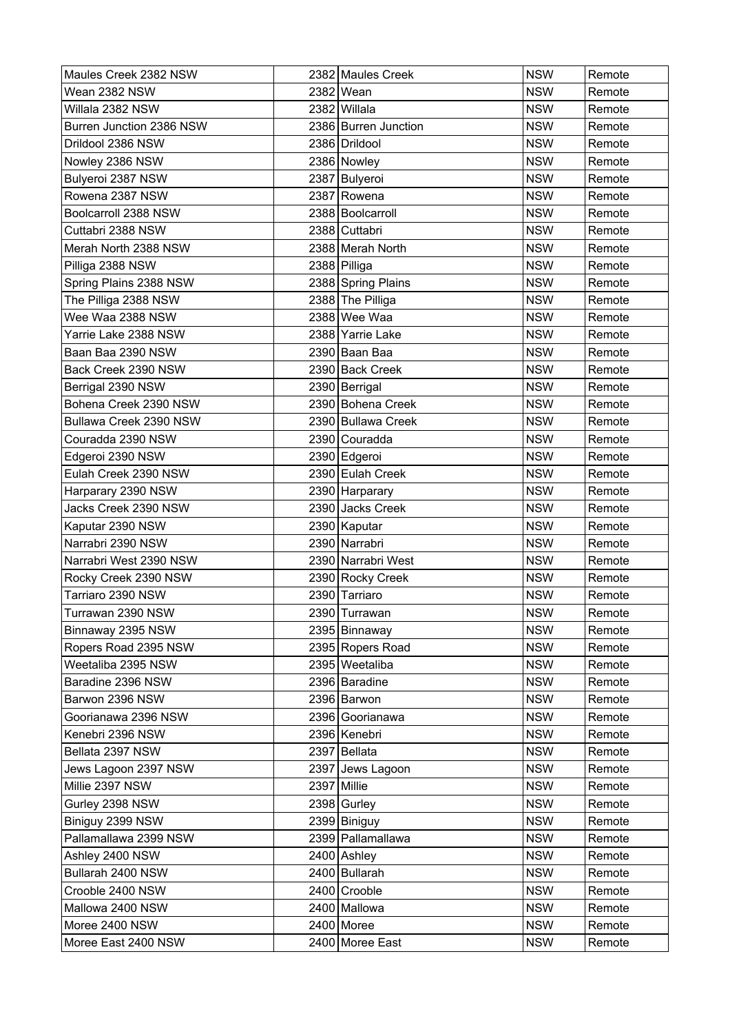| Maules Creek 2382 NSW    | 2382 Maules Creek    | <b>NSW</b> | Remote |
|--------------------------|----------------------|------------|--------|
| Wean 2382 NSW            | 2382 Wean            | <b>NSW</b> | Remote |
| Willala 2382 NSW         | 2382 Willala         | <b>NSW</b> | Remote |
| Burren Junction 2386 NSW | 2386 Burren Junction | <b>NSW</b> | Remote |
| Drildool 2386 NSW        | 2386 Drildool        | <b>NSW</b> | Remote |
| Nowley 2386 NSW          | 2386 Nowley          | <b>NSW</b> | Remote |
| Bulyeroi 2387 NSW        | 2387 Bulyeroi        | <b>NSW</b> | Remote |
| Rowena 2387 NSW          | 2387 Rowena          | <b>NSW</b> | Remote |
| Boolcarroll 2388 NSW     | 2388 Boolcarroll     | <b>NSW</b> | Remote |
| Cuttabri 2388 NSW        | 2388 Cuttabri        | <b>NSW</b> | Remote |
| Merah North 2388 NSW     | 2388 Merah North     | <b>NSW</b> | Remote |
| Pilliga 2388 NSW         | 2388 Pilliga         | <b>NSW</b> | Remote |
| Spring Plains 2388 NSW   | 2388 Spring Plains   | <b>NSW</b> | Remote |
| The Pilliga 2388 NSW     | 2388 The Pilliga     | <b>NSW</b> | Remote |
| Wee Waa 2388 NSW         | 2388 Wee Waa         | <b>NSW</b> | Remote |
| Yarrie Lake 2388 NSW     | 2388 Yarrie Lake     | <b>NSW</b> | Remote |
| Baan Baa 2390 NSW        | 2390 Baan Baa        | <b>NSW</b> | Remote |
| Back Creek 2390 NSW      | 2390 Back Creek      | <b>NSW</b> | Remote |
| Berrigal 2390 NSW        | 2390 Berrigal        | <b>NSW</b> | Remote |
| Bohena Creek 2390 NSW    | 2390 Bohena Creek    | <b>NSW</b> | Remote |
| Bullawa Creek 2390 NSW   | 2390 Bullawa Creek   | <b>NSW</b> | Remote |
| Couradda 2390 NSW        | 2390 Couradda        | <b>NSW</b> | Remote |
| Edgeroi 2390 NSW         | 2390 Edgeroi         | <b>NSW</b> | Remote |
| Eulah Creek 2390 NSW     | 2390 Eulah Creek     | <b>NSW</b> | Remote |
| Harparary 2390 NSW       | 2390 Harparary       | <b>NSW</b> | Remote |
| Jacks Creek 2390 NSW     | 2390 Jacks Creek     | <b>NSW</b> | Remote |
| Kaputar 2390 NSW         | 2390 Kaputar         | <b>NSW</b> | Remote |
| Narrabri 2390 NSW        | 2390 Narrabri        | <b>NSW</b> | Remote |
| Narrabri West 2390 NSW   | 2390 Narrabri West   | <b>NSW</b> | Remote |
| Rocky Creek 2390 NSW     | 2390 Rocky Creek     | <b>NSW</b> | Remote |
| Tarriaro 2390 NSW        | 2390 Tarriaro        | <b>NSW</b> | Remote |
| Turrawan 2390 NSW        | 2390 Turrawan        | <b>NSW</b> | Remote |
| Binnaway 2395 NSW        | 2395 Binnaway        | <b>NSW</b> | Remote |
| Ropers Road 2395 NSW     | 2395 Ropers Road     | <b>NSW</b> | Remote |
| Weetaliba 2395 NSW       | 2395 Weetaliba       | <b>NSW</b> | Remote |
| Baradine 2396 NSW        | 2396 Baradine        | <b>NSW</b> | Remote |
| Barwon 2396 NSW          | 2396 Barwon          | <b>NSW</b> | Remote |
| Goorianawa 2396 NSW      | 2396 Goorianawa      | <b>NSW</b> | Remote |
| Kenebri 2396 NSW         | 2396 Kenebri         | <b>NSW</b> | Remote |
| Bellata 2397 NSW         | 2397 Bellata         | <b>NSW</b> | Remote |
| Jews Lagoon 2397 NSW     | 2397 Jews Lagoon     | <b>NSW</b> | Remote |
| Millie 2397 NSW          | 2397 Millie          | <b>NSW</b> | Remote |
| Gurley 2398 NSW          | 2398 Gurley          | <b>NSW</b> | Remote |
| Biniguy 2399 NSW         | 2399 Biniguy         | <b>NSW</b> | Remote |
| Pallamallawa 2399 NSW    | 2399 Pallamallawa    | <b>NSW</b> | Remote |
| Ashley 2400 NSW          | 2400 Ashley          | <b>NSW</b> | Remote |
| Bullarah 2400 NSW        | 2400 Bullarah        | <b>NSW</b> | Remote |
| Crooble 2400 NSW         | 2400 Crooble         | <b>NSW</b> | Remote |
| Mallowa 2400 NSW         | 2400 Mallowa         | <b>NSW</b> | Remote |
| Moree 2400 NSW           | 2400 Moree           | <b>NSW</b> | Remote |
| Moree East 2400 NSW      | 2400 Moree East      | <b>NSW</b> | Remote |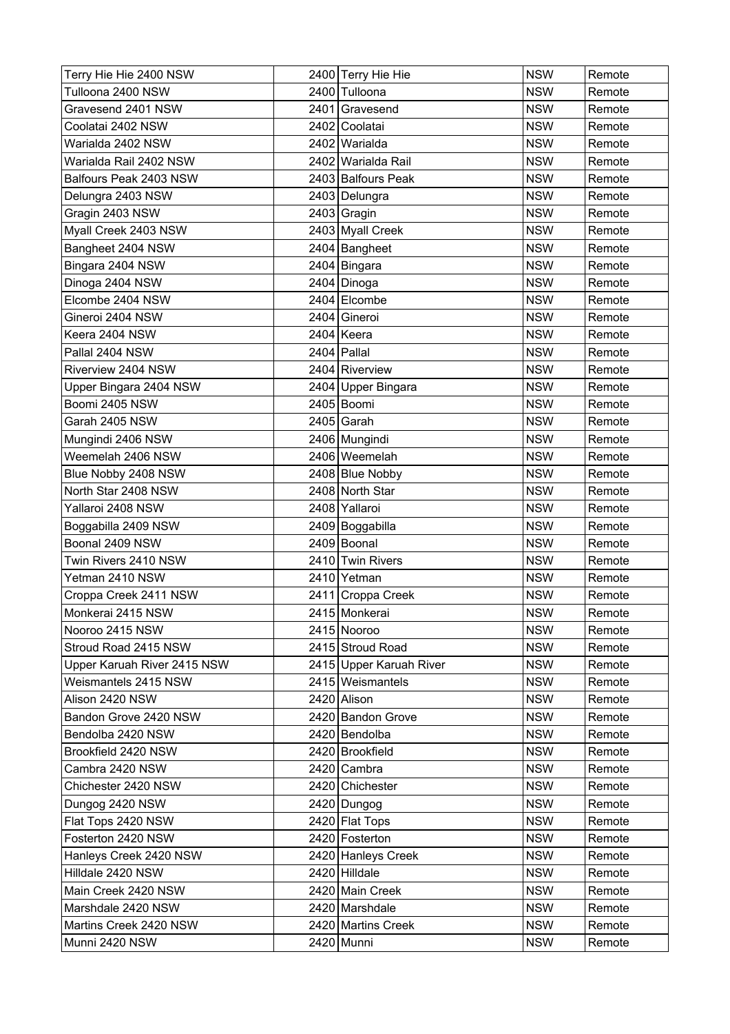| Terry Hie Hie 2400 NSW      | 2400 Terry Hie Hie      | <b>NSW</b> | Remote |
|-----------------------------|-------------------------|------------|--------|
| Tulloona 2400 NSW           | 2400 Tulloona           | <b>NSW</b> | Remote |
| Gravesend 2401 NSW          | 2401 Gravesend          | <b>NSW</b> | Remote |
| Coolatai 2402 NSW           | 2402 Coolatai           | <b>NSW</b> | Remote |
| Warialda 2402 NSW           | 2402 Warialda           | <b>NSW</b> | Remote |
| Warialda Rail 2402 NSW      | 2402 Warialda Rail      | <b>NSW</b> | Remote |
| Balfours Peak 2403 NSW      | 2403 Balfours Peak      | <b>NSW</b> | Remote |
| Delungra 2403 NSW           | 2403 Delungra           | <b>NSW</b> | Remote |
| Gragin 2403 NSW             | 2403 Gragin             | <b>NSW</b> | Remote |
| Myall Creek 2403 NSW        | 2403 Myall Creek        | <b>NSW</b> | Remote |
| Bangheet 2404 NSW           | 2404 Bangheet           | <b>NSW</b> | Remote |
| Bingara 2404 NSW            | 2404 Bingara            | <b>NSW</b> | Remote |
| Dinoga 2404 NSW             | 2404 Dinoga             | <b>NSW</b> | Remote |
| Elcombe 2404 NSW            | 2404 Elcombe            | <b>NSW</b> | Remote |
| Gineroi 2404 NSW            | 2404 Gineroi            | <b>NSW</b> | Remote |
| Keera 2404 NSW              | 2404 Keera              | <b>NSW</b> | Remote |
| Pallal 2404 NSW             | $2404$ Pallal           | <b>NSW</b> | Remote |
| Riverview 2404 NSW          | 2404 Riverview          | <b>NSW</b> | Remote |
| Upper Bingara 2404 NSW      | 2404 Upper Bingara      | <b>NSW</b> | Remote |
| Boomi 2405 NSW              | 2405 Boomi              | <b>NSW</b> | Remote |
| Garah 2405 NSW              | 2405 Garah              | <b>NSW</b> | Remote |
| Mungindi 2406 NSW           | 2406 Mungindi           | <b>NSW</b> | Remote |
| Weemelah 2406 NSW           | 2406 Weemelah           | <b>NSW</b> | Remote |
| Blue Nobby 2408 NSW         | 2408 Blue Nobby         | <b>NSW</b> | Remote |
| North Star 2408 NSW         | 2408 North Star         | <b>NSW</b> | Remote |
| Yallaroi 2408 NSW           | 2408 Yallaroi           | <b>NSW</b> | Remote |
| Boggabilla 2409 NSW         | 2409 Boggabilla         | <b>NSW</b> | Remote |
| Boonal 2409 NSW             | 2409 Boonal             | <b>NSW</b> | Remote |
| Twin Rivers 2410 NSW        | 2410 Twin Rivers        | <b>NSW</b> | Remote |
| Yetman 2410 NSW             | 2410 Yetman             | <b>NSW</b> | Remote |
| Croppa Creek 2411 NSW       | 2411 Croppa Creek       | <b>NSW</b> | Remote |
| Monkerai 2415 NSW           | 2415 Monkerai           | <b>NSW</b> | Remote |
| Nooroo 2415 NSW             | 2415 Nooroo             | <b>NSW</b> | Remote |
| Stroud Road 2415 NSW        | 2415 Stroud Road        | <b>NSW</b> | Remote |
| Upper Karuah River 2415 NSW | 2415 Upper Karuah River | <b>NSW</b> | Remote |
| Weismantels 2415 NSW        | 2415 Weismantels        | <b>NSW</b> | Remote |
| Alison 2420 NSW             | 2420 Alison             | <b>NSW</b> | Remote |
| Bandon Grove 2420 NSW       | 2420 Bandon Grove       | <b>NSW</b> | Remote |
| Bendolba 2420 NSW           | 2420 Bendolba           | <b>NSW</b> | Remote |
| Brookfield 2420 NSW         | 2420 Brookfield         | <b>NSW</b> | Remote |
| Cambra 2420 NSW             | 2420 Cambra             | <b>NSW</b> | Remote |
| Chichester 2420 NSW         | 2420 Chichester         | <b>NSW</b> | Remote |
| Dungog 2420 NSW             | 2420 Dungog             | <b>NSW</b> | Remote |
| Flat Tops 2420 NSW          | 2420 Flat Tops          | <b>NSW</b> | Remote |
| Fosterton 2420 NSW          | 2420 Fosterton          | <b>NSW</b> | Remote |
| Hanleys Creek 2420 NSW      | 2420 Hanleys Creek      | <b>NSW</b> | Remote |
| Hilldale 2420 NSW           | 2420 Hilldale           | <b>NSW</b> | Remote |
| Main Creek 2420 NSW         | 2420 Main Creek         | <b>NSW</b> | Remote |
| Marshdale 2420 NSW          | 2420 Marshdale          | <b>NSW</b> | Remote |
| Martins Creek 2420 NSW      | 2420 Martins Creek      | <b>NSW</b> | Remote |
| Munni 2420 NSW              | 2420 Munni              | <b>NSW</b> | Remote |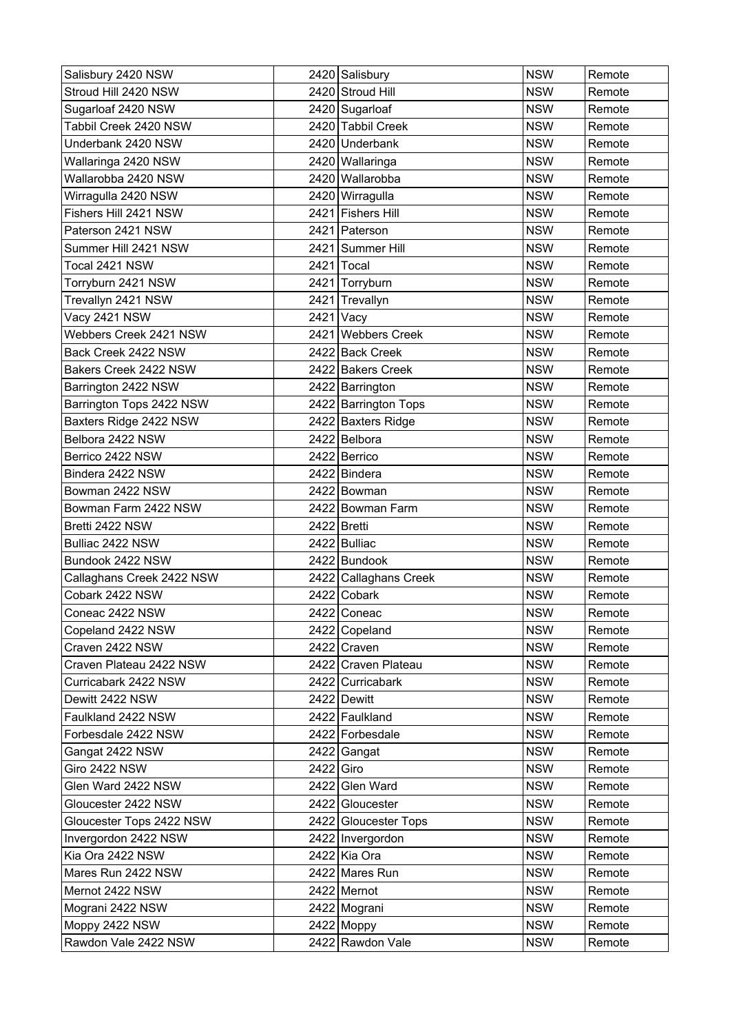| Salisbury 2420 NSW        |           | 2420 Salisbury        | <b>NSW</b> | Remote |
|---------------------------|-----------|-----------------------|------------|--------|
| Stroud Hill 2420 NSW      |           | 2420 Stroud Hill      | <b>NSW</b> | Remote |
| Sugarloaf 2420 NSW        |           | 2420 Sugarloaf        | <b>NSW</b> | Remote |
| Tabbil Creek 2420 NSW     |           | 2420 Tabbil Creek     | <b>NSW</b> | Remote |
| Underbank 2420 NSW        |           | 2420 Underbank        | <b>NSW</b> | Remote |
| Wallaringa 2420 NSW       |           | 2420 Wallaringa       | <b>NSW</b> | Remote |
| Wallarobba 2420 NSW       |           | 2420 Wallarobba       | <b>NSW</b> | Remote |
| Wirragulla 2420 NSW       |           | 2420 Wirragulla       | <b>NSW</b> | Remote |
| Fishers Hill 2421 NSW     |           | 2421 Fishers Hill     | <b>NSW</b> | Remote |
| Paterson 2421 NSW         |           | 2421 Paterson         | <b>NSW</b> | Remote |
| Summer Hill 2421 NSW      |           | 2421 Summer Hill      | <b>NSW</b> | Remote |
| Tocal 2421 NSW            |           | 2421 Tocal            | <b>NSW</b> | Remote |
| Torryburn 2421 NSW        |           | 2421 Torryburn        | <b>NSW</b> | Remote |
| Trevallyn 2421 NSW        |           | 2421 Trevallyn        | <b>NSW</b> | Remote |
| Vacy 2421 NSW             |           | 2421 Vacy             | <b>NSW</b> | Remote |
| Webbers Creek 2421 NSW    |           | 2421 Webbers Creek    | <b>NSW</b> | Remote |
| Back Creek 2422 NSW       |           | 2422 Back Creek       | <b>NSW</b> | Remote |
| Bakers Creek 2422 NSW     |           | 2422 Bakers Creek     | <b>NSW</b> | Remote |
| Barrington 2422 NSW       |           | 2422 Barrington       | <b>NSW</b> | Remote |
| Barrington Tops 2422 NSW  |           | 2422 Barrington Tops  | <b>NSW</b> | Remote |
| Baxters Ridge 2422 NSW    |           | 2422 Baxters Ridge    | <b>NSW</b> | Remote |
| Belbora 2422 NSW          |           | 2422 Belbora          | <b>NSW</b> | Remote |
| Berrico 2422 NSW          |           | 2422 Berrico          | <b>NSW</b> | Remote |
| Bindera 2422 NSW          |           | 2422 Bindera          | <b>NSW</b> | Remote |
| Bowman 2422 NSW           |           | 2422 Bowman           | <b>NSW</b> | Remote |
| Bowman Farm 2422 NSW      |           | 2422 Bowman Farm      | <b>NSW</b> | Remote |
| Bretti 2422 NSW           |           | 2422 Bretti           | <b>NSW</b> | Remote |
| Bulliac 2422 NSW          |           | 2422 Bulliac          | <b>NSW</b> | Remote |
| Bundook 2422 NSW          |           | 2422 Bundook          | <b>NSW</b> | Remote |
| Callaghans Creek 2422 NSW |           | 2422 Callaghans Creek | <b>NSW</b> | Remote |
| Cobark 2422 NSW           |           | 2422 Cobark           | <b>NSW</b> | Remote |
| Coneac 2422 NSW           |           | 2422 Coneac           | <b>NSW</b> | Remote |
| Copeland 2422 NSW         |           | 2422 Copeland         | <b>NSW</b> | Remote |
| Craven 2422 NSW           |           | 2422 Craven           | <b>NSW</b> | Remote |
| Craven Plateau 2422 NSW   |           | 2422 Craven Plateau   | <b>NSW</b> | Remote |
| Curricabark 2422 NSW      |           | 2422 Curricabark      | <b>NSW</b> | Remote |
| Dewitt 2422 NSW           |           | 2422 Dewitt           | <b>NSW</b> | Remote |
| Faulkland 2422 NSW        |           | 2422 Faulkland        | <b>NSW</b> | Remote |
| Forbesdale 2422 NSW       |           | 2422 Forbesdale       | <b>NSW</b> | Remote |
| Gangat 2422 NSW           |           | 2422 Gangat           | <b>NSW</b> | Remote |
| Giro 2422 NSW             | 2422 Giro |                       | <b>NSW</b> | Remote |
| Glen Ward 2422 NSW        |           | 2422 Glen Ward        | <b>NSW</b> | Remote |
| Gloucester 2422 NSW       |           | 2422 Gloucester       | <b>NSW</b> | Remote |
| Gloucester Tops 2422 NSW  |           | 2422 Gloucester Tops  | <b>NSW</b> | Remote |
| Invergordon 2422 NSW      |           | 2422 Invergordon      | <b>NSW</b> | Remote |
| Kia Ora 2422 NSW          |           | 2422 Kia Ora          | <b>NSW</b> | Remote |
| Mares Run 2422 NSW        |           | 2422 Mares Run        | <b>NSW</b> | Remote |
| Mernot 2422 NSW           |           | 2422 Mernot           | <b>NSW</b> | Remote |
| Mograni 2422 NSW          |           | 2422 Mograni          | <b>NSW</b> | Remote |
| Moppy 2422 NSW            |           | 2422 Moppy            | <b>NSW</b> | Remote |
| Rawdon Vale 2422 NSW      |           | 2422 Rawdon Vale      | <b>NSW</b> | Remote |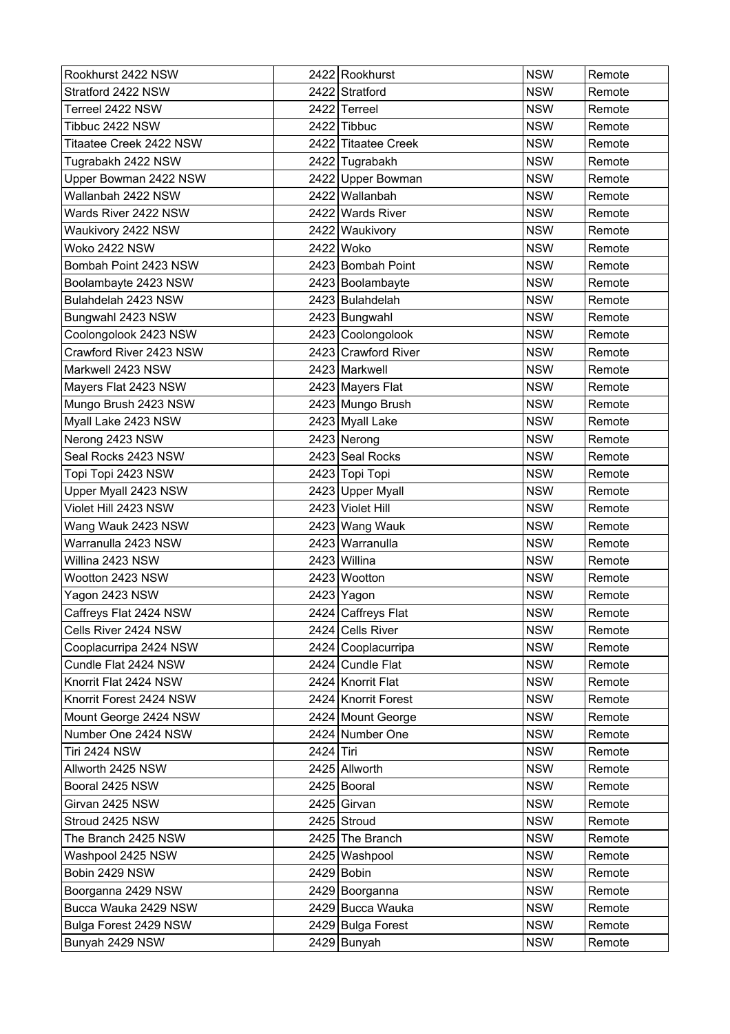| Rookhurst 2422 NSW      |           | 2422 Rookhurst      | <b>NSW</b> | Remote |
|-------------------------|-----------|---------------------|------------|--------|
| Stratford 2422 NSW      |           | 2422 Stratford      | <b>NSW</b> | Remote |
| Terreel 2422 NSW        |           | 2422 Terreel        | <b>NSW</b> | Remote |
| Tibbuc 2422 NSW         |           | 2422 Tibbuc         | <b>NSW</b> | Remote |
| Titaatee Creek 2422 NSW |           | 2422 Titaatee Creek | <b>NSW</b> | Remote |
| Tugrabakh 2422 NSW      |           | 2422 Tugrabakh      | <b>NSW</b> | Remote |
| Upper Bowman 2422 NSW   |           | 2422 Upper Bowman   | <b>NSW</b> | Remote |
| Wallanbah 2422 NSW      |           | 2422 Wallanbah      | <b>NSW</b> | Remote |
| Wards River 2422 NSW    |           | 2422 Wards River    | <b>NSW</b> | Remote |
| Waukivory 2422 NSW      |           | 2422 Waukivory      | <b>NSW</b> | Remote |
| Woko 2422 NSW           |           | 2422 Woko           | <b>NSW</b> | Remote |
| Bombah Point 2423 NSW   |           | 2423 Bombah Point   | <b>NSW</b> | Remote |
| Boolambayte 2423 NSW    |           | 2423 Boolambayte    | <b>NSW</b> | Remote |
| Bulahdelah 2423 NSW     |           | 2423 Bulahdelah     | <b>NSW</b> | Remote |
| Bungwahl 2423 NSW       |           | 2423 Bungwahl       | <b>NSW</b> | Remote |
| Coolongolook 2423 NSW   |           | 2423 Coolongolook   | <b>NSW</b> | Remote |
| Crawford River 2423 NSW |           | 2423 Crawford River | <b>NSW</b> | Remote |
| Markwell 2423 NSW       |           | 2423 Markwell       | <b>NSW</b> | Remote |
| Mayers Flat 2423 NSW    |           | 2423 Mayers Flat    | <b>NSW</b> | Remote |
| Mungo Brush 2423 NSW    |           | 2423 Mungo Brush    | <b>NSW</b> | Remote |
| Myall Lake 2423 NSW     |           | 2423 Myall Lake     | <b>NSW</b> | Remote |
| Nerong 2423 NSW         |           | 2423 Nerong         | <b>NSW</b> | Remote |
| Seal Rocks 2423 NSW     |           | 2423 Seal Rocks     | <b>NSW</b> | Remote |
| Topi Topi 2423 NSW      |           | 2423 Topi Topi      | <b>NSW</b> | Remote |
| Upper Myall 2423 NSW    |           | 2423 Upper Myall    | <b>NSW</b> | Remote |
| Violet Hill 2423 NSW    |           | 2423 Violet Hill    | <b>NSW</b> | Remote |
| Wang Wauk 2423 NSW      |           | 2423 Wang Wauk      | <b>NSW</b> | Remote |
| Warranulla 2423 NSW     |           | 2423 Warranulla     | <b>NSW</b> | Remote |
| Willina 2423 NSW        |           | 2423 Willina        | <b>NSW</b> | Remote |
| Wootton 2423 NSW        |           | 2423 Wootton        | <b>NSW</b> | Remote |
| Yagon 2423 NSW          |           | 2423 Yagon          | <b>NSW</b> | Remote |
| Caffreys Flat 2424 NSW  |           | 2424 Caffreys Flat  | <b>NSW</b> | Remote |
| Cells River 2424 NSW    |           | 2424 Cells River    | <b>NSW</b> | Remote |
| Cooplacurripa 2424 NSW  |           | 2424 Cooplacurripa  | <b>NSW</b> | Remote |
| Cundle Flat 2424 NSW    |           | 2424 Cundle Flat    | <b>NSW</b> | Remote |
| Knorrit Flat 2424 NSW   |           | 2424 Knorrit Flat   | <b>NSW</b> | Remote |
| Knorrit Forest 2424 NSW |           | 2424 Knorrit Forest | <b>NSW</b> | Remote |
| Mount George 2424 NSW   |           | 2424 Mount George   | <b>NSW</b> | Remote |
| Number One 2424 NSW     |           | 2424 Number One     | <b>NSW</b> | Remote |
| <b>Tiri 2424 NSW</b>    | 2424 Tiri |                     | <b>NSW</b> | Remote |
| Allworth 2425 NSW       |           | 2425 Allworth       | <b>NSW</b> | Remote |
| Booral 2425 NSW         |           | 2425 Booral         | <b>NSW</b> | Remote |
| Girvan 2425 NSW         |           | 2425 Girvan         | <b>NSW</b> | Remote |
| Stroud 2425 NSW         |           | 2425 Stroud         | <b>NSW</b> | Remote |
| The Branch 2425 NSW     |           | 2425 The Branch     | <b>NSW</b> | Remote |
| Washpool 2425 NSW       |           | 2425 Washpool       | <b>NSW</b> | Remote |
| Bobin 2429 NSW          |           | 2429 Bobin          | <b>NSW</b> | Remote |
| Boorganna 2429 NSW      |           | 2429 Boorganna      | <b>NSW</b> | Remote |
| Bucca Wauka 2429 NSW    |           | 2429 Bucca Wauka    | <b>NSW</b> | Remote |
| Bulga Forest 2429 NSW   |           | 2429 Bulga Forest   | <b>NSW</b> | Remote |
| Bunyah 2429 NSW         |           | 2429 Bunyah         | <b>NSW</b> | Remote |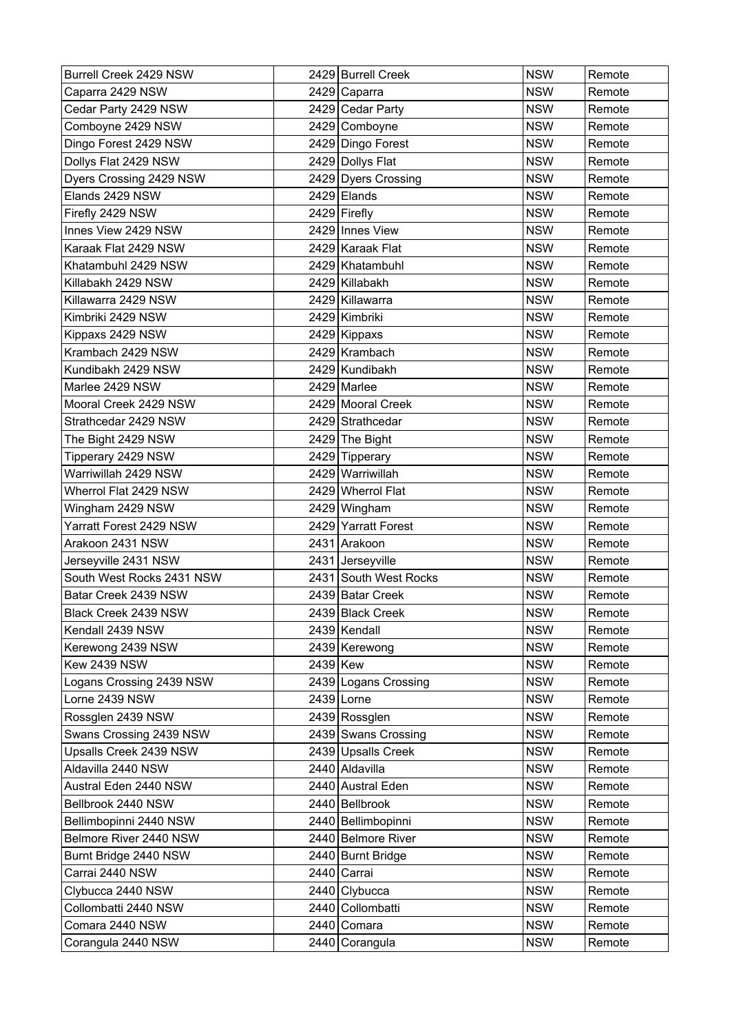| Burrell Creek 2429 NSW    |          | 2429 Burrell Creek    | <b>NSW</b> | Remote |
|---------------------------|----------|-----------------------|------------|--------|
| Caparra 2429 NSW          |          | 2429 Caparra          | <b>NSW</b> | Remote |
| Cedar Party 2429 NSW      |          | 2429 Cedar Party      | <b>NSW</b> | Remote |
| Comboyne 2429 NSW         |          | 2429 Comboyne         | <b>NSW</b> | Remote |
| Dingo Forest 2429 NSW     |          | 2429 Dingo Forest     | <b>NSW</b> | Remote |
| Dollys Flat 2429 NSW      |          | 2429 Dollys Flat      | <b>NSW</b> | Remote |
| Dyers Crossing 2429 NSW   |          | 2429 Dyers Crossing   | <b>NSW</b> | Remote |
| Elands 2429 NSW           |          | $2429$ Elands         | <b>NSW</b> | Remote |
| Firefly 2429 NSW          |          | 2429 Firefly          | <b>NSW</b> | Remote |
| Innes View 2429 NSW       |          | 2429 Innes View       | <b>NSW</b> | Remote |
| Karaak Flat 2429 NSW      |          | 2429 Karaak Flat      | <b>NSW</b> | Remote |
| Khatambuhl 2429 NSW       |          | 2429 Khatambuhl       | <b>NSW</b> | Remote |
| Killabakh 2429 NSW        |          | 2429 Killabakh        | <b>NSW</b> | Remote |
| Killawarra 2429 NSW       |          | 2429 Killawarra       | <b>NSW</b> | Remote |
| Kimbriki 2429 NSW         |          | 2429 Kimbriki         | <b>NSW</b> | Remote |
| Kippaxs 2429 NSW          |          | 2429 Kippaxs          | <b>NSW</b> | Remote |
| Krambach 2429 NSW         |          | 2429 Krambach         | <b>NSW</b> | Remote |
| Kundibakh 2429 NSW        |          | 2429 Kundibakh        | <b>NSW</b> | Remote |
| Marlee 2429 NSW           |          | 2429 Marlee           | <b>NSW</b> | Remote |
| Mooral Creek 2429 NSW     |          | 2429 Mooral Creek     | <b>NSW</b> | Remote |
| Strathcedar 2429 NSW      |          | 2429 Strathcedar      | <b>NSW</b> | Remote |
| The Bight 2429 NSW        |          | 2429 The Bight        | <b>NSW</b> | Remote |
| Tipperary 2429 NSW        |          | 2429 Tipperary        | <b>NSW</b> | Remote |
| Warriwillah 2429 NSW      |          | 2429 Warriwillah      | <b>NSW</b> | Remote |
| Wherrol Flat 2429 NSW     |          | 2429 Wherrol Flat     | <b>NSW</b> | Remote |
| Wingham 2429 NSW          |          | 2429 Wingham          | <b>NSW</b> | Remote |
| Yarratt Forest 2429 NSW   |          | 2429 Yarratt Forest   | <b>NSW</b> | Remote |
| Arakoon 2431 NSW          |          | 2431 Arakoon          | <b>NSW</b> | Remote |
| Jerseyville 2431 NSW      |          | 2431 Jerseyville      | <b>NSW</b> | Remote |
| South West Rocks 2431 NSW |          | 2431 South West Rocks | <b>NSW</b> | Remote |
| Batar Creek 2439 NSW      |          | 2439 Batar Creek      | <b>NSW</b> | Remote |
| Black Creek 2439 NSW      |          | 2439 Black Creek      | <b>NSW</b> | Remote |
| Kendall 2439 NSW          |          | 2439 Kendall          | <b>NSW</b> | Remote |
| Kerewong 2439 NSW         |          | 2439 Kerewong         | <b>NSW</b> | Remote |
| <b>Kew 2439 NSW</b>       | 2439 Kew |                       | <b>NSW</b> | Remote |
| Logans Crossing 2439 NSW  |          | 2439 Logans Crossing  | <b>NSW</b> | Remote |
| Lorne 2439 NSW            |          | 2439 Lorne            | <b>NSW</b> | Remote |
| Rossglen 2439 NSW         |          | 2439 Rossglen         | <b>NSW</b> | Remote |
| Swans Crossing 2439 NSW   |          | 2439 Swans Crossing   | <b>NSW</b> | Remote |
| Upsalls Creek 2439 NSW    |          | 2439 Upsalls Creek    | <b>NSW</b> | Remote |
| Aldavilla 2440 NSW        |          | 2440 Aldavilla        | <b>NSW</b> | Remote |
| Austral Eden 2440 NSW     |          | 2440 Austral Eden     | <b>NSW</b> | Remote |
| Bellbrook 2440 NSW        |          | 2440 Bellbrook        | <b>NSW</b> | Remote |
| Bellimbopinni 2440 NSW    |          | 2440 Bellimbopinni    | <b>NSW</b> | Remote |
| Belmore River 2440 NSW    |          | 2440 Belmore River    | <b>NSW</b> | Remote |
| Burnt Bridge 2440 NSW     |          | 2440 Burnt Bridge     | <b>NSW</b> | Remote |
| Carrai 2440 NSW           |          | 2440 Carrai           | <b>NSW</b> | Remote |
| Clybucca 2440 NSW         |          | 2440 Clybucca         | <b>NSW</b> | Remote |
| Collombatti 2440 NSW      |          | 2440 Collombatti      | <b>NSW</b> | Remote |
| Comara 2440 NSW           |          | 2440 Comara           | <b>NSW</b> | Remote |
| Corangula 2440 NSW        |          | 2440 Corangula        | <b>NSW</b> | Remote |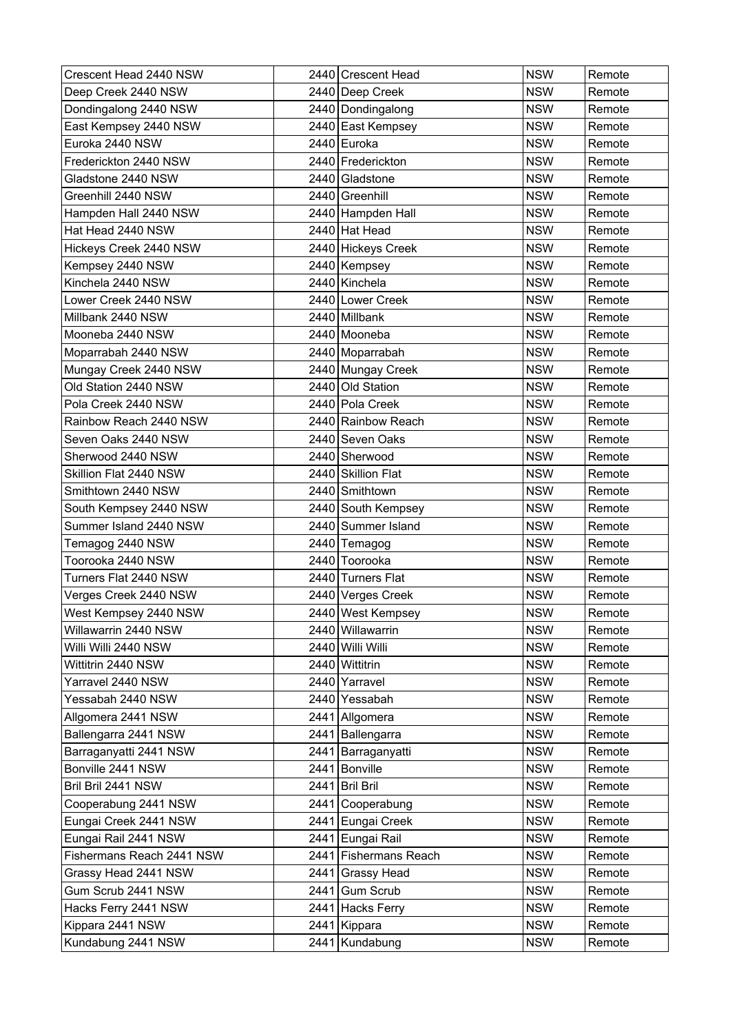| Crescent Head 2440 NSW    | 2440 Crescent Head    | <b>NSW</b> | Remote |
|---------------------------|-----------------------|------------|--------|
| Deep Creek 2440 NSW       | 2440 Deep Creek       | <b>NSW</b> | Remote |
| Dondingalong 2440 NSW     | 2440 Dondingalong     | <b>NSW</b> | Remote |
| East Kempsey 2440 NSW     | 2440 East Kempsey     | <b>NSW</b> | Remote |
| Euroka 2440 NSW           | 2440 Euroka           | <b>NSW</b> | Remote |
| Frederickton 2440 NSW     | 2440 Frederickton     | <b>NSW</b> | Remote |
| Gladstone 2440 NSW        | 2440 Gladstone        | <b>NSW</b> | Remote |
| Greenhill 2440 NSW        | 2440 Greenhill        | <b>NSW</b> | Remote |
| Hampden Hall 2440 NSW     | 2440 Hampden Hall     | <b>NSW</b> | Remote |
| Hat Head 2440 NSW         | 2440 Hat Head         | <b>NSW</b> | Remote |
| Hickeys Creek 2440 NSW    | 2440 Hickeys Creek    | <b>NSW</b> | Remote |
| Kempsey 2440 NSW          | 2440 Kempsey          | <b>NSW</b> | Remote |
| Kinchela 2440 NSW         | 2440 Kinchela         | <b>NSW</b> | Remote |
| Lower Creek 2440 NSW      | 2440 Lower Creek      | <b>NSW</b> | Remote |
| Millbank 2440 NSW         | 2440 Millbank         | <b>NSW</b> | Remote |
| Mooneba 2440 NSW          | 2440 Mooneba          | <b>NSW</b> | Remote |
| Moparrabah 2440 NSW       | 2440 Moparrabah       | <b>NSW</b> | Remote |
| Mungay Creek 2440 NSW     | 2440 Mungay Creek     | <b>NSW</b> | Remote |
| Old Station 2440 NSW      | 2440 Old Station      | <b>NSW</b> | Remote |
| Pola Creek 2440 NSW       | 2440 Pola Creek       | <b>NSW</b> | Remote |
| Rainbow Reach 2440 NSW    | 2440 Rainbow Reach    | <b>NSW</b> | Remote |
| Seven Oaks 2440 NSW       | 2440 Seven Oaks       | <b>NSW</b> | Remote |
| Sherwood 2440 NSW         | 2440 Sherwood         | <b>NSW</b> | Remote |
| Skillion Flat 2440 NSW    | 2440 Skillion Flat    | <b>NSW</b> | Remote |
| Smithtown 2440 NSW        | 2440 Smithtown        | <b>NSW</b> | Remote |
| South Kempsey 2440 NSW    | 2440 South Kempsey    | <b>NSW</b> | Remote |
| Summer Island 2440 NSW    | 2440 Summer Island    | <b>NSW</b> | Remote |
| Temagog 2440 NSW          | 2440 Temagog          | <b>NSW</b> | Remote |
| Toorooka 2440 NSW         | 2440 Toorooka         | <b>NSW</b> | Remote |
| Turners Flat 2440 NSW     | 2440 Turners Flat     | <b>NSW</b> | Remote |
| Verges Creek 2440 NSW     | 2440 Verges Creek     | <b>NSW</b> | Remote |
| West Kempsey 2440 NSW     | 2440 West Kempsey     | <b>NSW</b> | Remote |
| Willawarrin 2440 NSW      | 2440 Willawarrin      | <b>NSW</b> | Remote |
| Willi Willi 2440 NSW      | 2440 Willi Willi      | <b>NSW</b> | Remote |
| Wittitrin 2440 NSW        | 2440 Wittitrin        | <b>NSW</b> | Remote |
| Yarravel 2440 NSW         | 2440 Yarravel         | <b>NSW</b> | Remote |
| Yessabah 2440 NSW         | 2440 Yessabah         | <b>NSW</b> | Remote |
| Allgomera 2441 NSW        | 2441 Allgomera        | <b>NSW</b> | Remote |
| Ballengarra 2441 NSW      | 2441   Ballengarra    | <b>NSW</b> | Remote |
| Barraganyatti 2441 NSW    | 2441 Barraganyatti    | <b>NSW</b> | Remote |
| Bonville 2441 NSW         | 2441 Bonville         | <b>NSW</b> | Remote |
| Bril Bril 2441 NSW        | 2441 Bril Bril        | <b>NSW</b> | Remote |
| Cooperabung 2441 NSW      | 2441 Cooperabung      | <b>NSW</b> | Remote |
| Eungai Creek 2441 NSW     | 2441 Eungai Creek     | <b>NSW</b> | Remote |
| Eungai Rail 2441 NSW      | 2441 Eungai Rail      | <b>NSW</b> | Remote |
| Fishermans Reach 2441 NSW | 2441 Fishermans Reach | <b>NSW</b> | Remote |
| Grassy Head 2441 NSW      | 2441 Grassy Head      | <b>NSW</b> | Remote |
| Gum Scrub 2441 NSW        | 2441 Gum Scrub        | <b>NSW</b> | Remote |
| Hacks Ferry 2441 NSW      | 2441 Hacks Ferry      | <b>NSW</b> | Remote |
| Kippara 2441 NSW          | 2441 Kippara          | <b>NSW</b> | Remote |
| Kundabung 2441 NSW        | 2441 Kundabung        | <b>NSW</b> | Remote |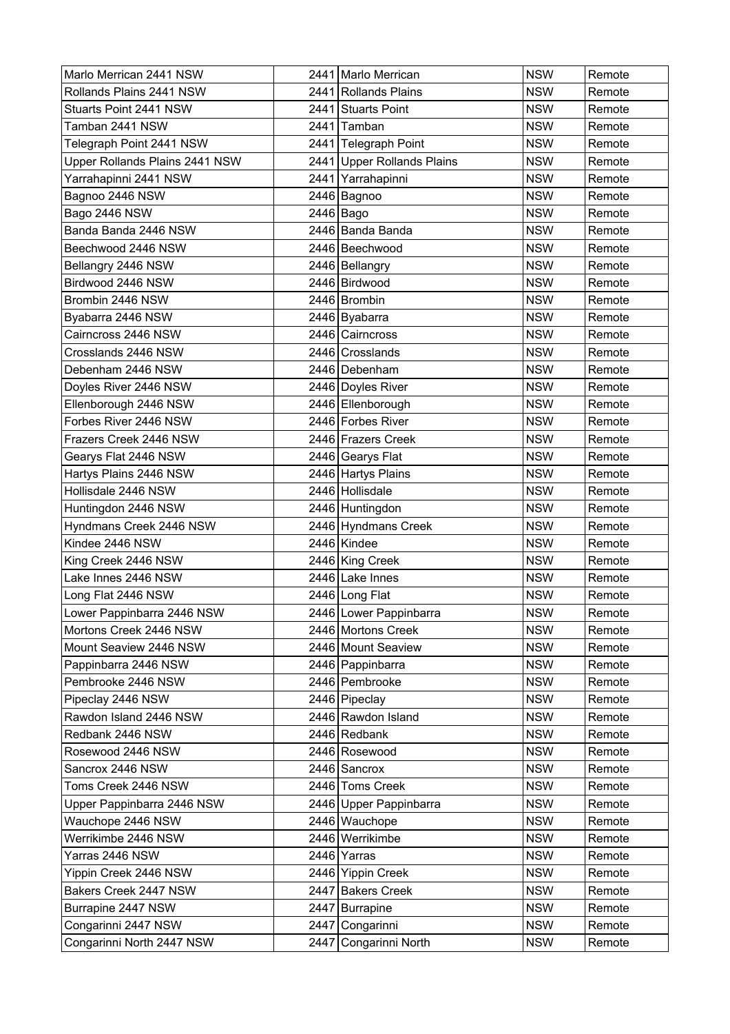| Marlo Merrican 2441 NSW        | 2441   Marlo Merrican      | <b>NSW</b> | Remote |
|--------------------------------|----------------------------|------------|--------|
| Rollands Plains 2441 NSW       | 2441 Rollands Plains       | <b>NSW</b> | Remote |
| Stuarts Point 2441 NSW         | 2441 Stuarts Point         | <b>NSW</b> | Remote |
| Tamban 2441 NSW                | 2441 Tamban                | <b>NSW</b> | Remote |
| Telegraph Point 2441 NSW       | 2441 Telegraph Point       | <b>NSW</b> | Remote |
| Upper Rollands Plains 2441 NSW | 2441 Upper Rollands Plains | <b>NSW</b> | Remote |
| Yarrahapinni 2441 NSW          | 2441 Yarrahapinni          | <b>NSW</b> | Remote |
| Bagnoo 2446 NSW                | 2446 Bagnoo                | <b>NSW</b> | Remote |
| Bago 2446 NSW                  | 2446 Bago                  | <b>NSW</b> | Remote |
| Banda Banda 2446 NSW           | 2446 Banda Banda           | <b>NSW</b> | Remote |
| Beechwood 2446 NSW             | 2446 Beechwood             | <b>NSW</b> | Remote |
| Bellangry 2446 NSW             | 2446 Bellangry             | <b>NSW</b> | Remote |
| Birdwood 2446 NSW              | 2446 Birdwood              | <b>NSW</b> | Remote |
| Brombin 2446 NSW               | 2446 Brombin               | <b>NSW</b> | Remote |
| Byabarra 2446 NSW              | 2446 Byabarra              | <b>NSW</b> | Remote |
| Cairncross 2446 NSW            | 2446 Cairncross            | <b>NSW</b> | Remote |
| Crosslands 2446 NSW            | 2446 Crosslands            | <b>NSW</b> | Remote |
| Debenham 2446 NSW              | 2446 Debenham              | <b>NSW</b> | Remote |
| Doyles River 2446 NSW          | 2446 Doyles River          | <b>NSW</b> | Remote |
| Ellenborough 2446 NSW          | 2446 Ellenborough          | <b>NSW</b> | Remote |
| Forbes River 2446 NSW          | 2446 Forbes River          | <b>NSW</b> | Remote |
| Frazers Creek 2446 NSW         | 2446 Frazers Creek         | <b>NSW</b> | Remote |
| Gearys Flat 2446 NSW           | 2446 Gearys Flat           | <b>NSW</b> | Remote |
| Hartys Plains 2446 NSW         | 2446 Hartys Plains         | <b>NSW</b> | Remote |
| Hollisdale 2446 NSW            | 2446 Hollisdale            | <b>NSW</b> | Remote |
| Huntingdon 2446 NSW            | 2446 Huntingdon            | <b>NSW</b> | Remote |
| Hyndmans Creek 2446 NSW        | 2446 Hyndmans Creek        | <b>NSW</b> | Remote |
| Kindee 2446 NSW                | 2446 Kindee                | <b>NSW</b> | Remote |
| King Creek 2446 NSW            | 2446 King Creek            | <b>NSW</b> | Remote |
| Lake Innes 2446 NSW            | 2446 Lake Innes            | <b>NSW</b> | Remote |
| Long Flat 2446 NSW             | 2446 Long Flat             | <b>NSW</b> | Remote |
| Lower Pappinbarra 2446 NSW     | 2446 Lower Pappinbarra     | <b>NSW</b> | Remote |
| Mortons Creek 2446 NSW         | 2446 Mortons Creek         | <b>NSW</b> | Remote |
| Mount Seaview 2446 NSW         | 2446 Mount Seaview         | <b>NSW</b> | Remote |
| Pappinbarra 2446 NSW           | 2446 Pappinbarra           | <b>NSW</b> | Remote |
| Pembrooke 2446 NSW             | 2446 Pembrooke             | <b>NSW</b> | Remote |
| Pipeclay 2446 NSW              | 2446 Pipeclay              | <b>NSW</b> | Remote |
| Rawdon Island 2446 NSW         | 2446 Rawdon Island         | <b>NSW</b> | Remote |
| Redbank 2446 NSW               | 2446 Redbank               | <b>NSW</b> | Remote |
| Rosewood 2446 NSW              | 2446 Rosewood              | <b>NSW</b> | Remote |
| Sancrox 2446 NSW               | 2446 Sancrox               | <b>NSW</b> | Remote |
| Toms Creek 2446 NSW            | 2446 Toms Creek            | <b>NSW</b> | Remote |
| Upper Pappinbarra 2446 NSW     | 2446 Upper Pappinbarra     | <b>NSW</b> | Remote |
| Wauchope 2446 NSW              | 2446 Wauchope              | <b>NSW</b> | Remote |
| Werrikimbe 2446 NSW            | 2446 Werrikimbe            | <b>NSW</b> | Remote |
| Yarras 2446 NSW                | 2446 Yarras                | <b>NSW</b> | Remote |
| Yippin Creek 2446 NSW          | 2446 Yippin Creek          | <b>NSW</b> | Remote |
| Bakers Creek 2447 NSW          | 2447 Bakers Creek          | <b>NSW</b> | Remote |
| Burrapine 2447 NSW             | 2447 Burrapine             | <b>NSW</b> | Remote |
| Congarinni 2447 NSW            | 2447 Congarinni            | <b>NSW</b> | Remote |
| Congarinni North 2447 NSW      | 2447 Congarinni North      | <b>NSW</b> | Remote |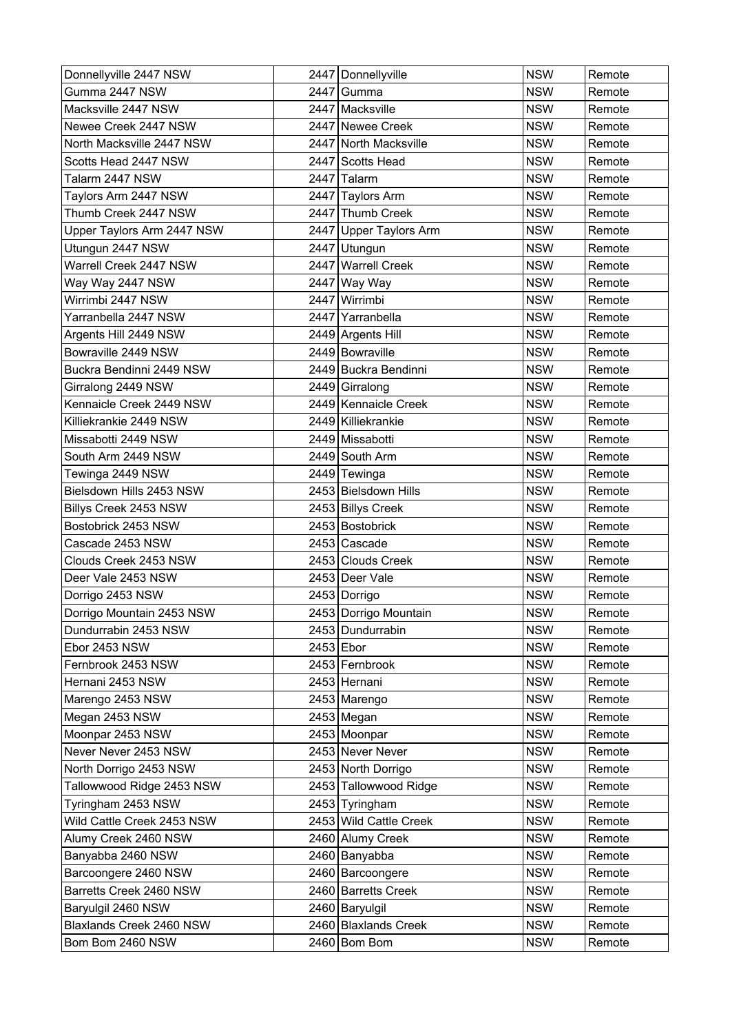| Donnellyville 2447 NSW     | 2447 Donnellyville     | <b>NSW</b> | Remote |
|----------------------------|------------------------|------------|--------|
| Gumma 2447 NSW             | 2447 Gumma             | <b>NSW</b> | Remote |
| Macksville 2447 NSW        | 2447 Macksville        | <b>NSW</b> | Remote |
| Newee Creek 2447 NSW       | 2447 Newee Creek       | <b>NSW</b> | Remote |
| North Macksville 2447 NSW  | 2447 North Macksville  | <b>NSW</b> | Remote |
| Scotts Head 2447 NSW       | 2447 Scotts Head       | <b>NSW</b> | Remote |
| Talarm 2447 NSW            | 2447 Talarm            | <b>NSW</b> | Remote |
| Taylors Arm 2447 NSW       | 2447 Taylors Arm       | <b>NSW</b> | Remote |
| Thumb Creek 2447 NSW       | 2447 Thumb Creek       | <b>NSW</b> | Remote |
| Upper Taylors Arm 2447 NSW | 2447 Upper Taylors Arm | <b>NSW</b> | Remote |
| Utungun 2447 NSW           | 2447 Utungun           | <b>NSW</b> | Remote |
| Warrell Creek 2447 NSW     | 2447 Warrell Creek     | <b>NSW</b> | Remote |
| Way Way 2447 NSW           | 2447 Way Way           | <b>NSW</b> | Remote |
| Wirrimbi 2447 NSW          | 2447 Wirrimbi          | <b>NSW</b> | Remote |
| Yarranbella 2447 NSW       | 2447 Yarranbella       | <b>NSW</b> | Remote |
| Argents Hill 2449 NSW      | 2449 Argents Hill      | <b>NSW</b> | Remote |
| Bowraville 2449 NSW        | 2449 Bowraville        | <b>NSW</b> | Remote |
| Buckra Bendinni 2449 NSW   | 2449 Buckra Bendinni   | <b>NSW</b> | Remote |
| Girralong 2449 NSW         | 2449 Girralong         | <b>NSW</b> | Remote |
| Kennaicle Creek 2449 NSW   | 2449 Kennaicle Creek   | <b>NSW</b> | Remote |
| Killiekrankie 2449 NSW     | 2449 Killiekrankie     | <b>NSW</b> | Remote |
| Missabotti 2449 NSW        | 2449 Missabotti        | <b>NSW</b> | Remote |
| South Arm 2449 NSW         | 2449 South Arm         | <b>NSW</b> | Remote |
| Tewinga 2449 NSW           | 2449 Tewinga           | <b>NSW</b> | Remote |
| Bielsdown Hills 2453 NSW   | 2453 Bielsdown Hills   | <b>NSW</b> | Remote |
| Billys Creek 2453 NSW      | 2453 Billys Creek      | <b>NSW</b> | Remote |
| Bostobrick 2453 NSW        | 2453 Bostobrick        | <b>NSW</b> | Remote |
| Cascade 2453 NSW           | 2453 Cascade           | <b>NSW</b> | Remote |
| Clouds Creek 2453 NSW      | 2453 Clouds Creek      | <b>NSW</b> | Remote |
| Deer Vale 2453 NSW         | 2453 Deer Vale         | <b>NSW</b> | Remote |
| Dorrigo 2453 NSW           | 2453 Dorrigo           | <b>NSW</b> | Remote |
| Dorrigo Mountain 2453 NSW  | 2453 Dorrigo Mountain  | <b>NSW</b> | Remote |
| Dundurrabin 2453 NSW       | 2453 Dundurrabin       | <b>NSW</b> | Remote |
| Ebor 2453 NSW              | 2453 Ebor              | <b>NSW</b> | Remote |
| Fernbrook 2453 NSW         | 2453 Fernbrook         | <b>NSW</b> | Remote |
| Hernani 2453 NSW           | 2453 Hernani           | <b>NSW</b> | Remote |
| Marengo 2453 NSW           | 2453 Marengo           | <b>NSW</b> | Remote |
| Megan 2453 NSW             | $2453$ Megan           | <b>NSW</b> | Remote |
| Moonpar 2453 NSW           | 2453 Moonpar           | <b>NSW</b> | Remote |
| Never Never 2453 NSW       | 2453 Never Never       | <b>NSW</b> | Remote |
| North Dorrigo 2453 NSW     | 2453 North Dorrigo     | <b>NSW</b> | Remote |
| Tallowwood Ridge 2453 NSW  | 2453 Tallowwood Ridge  | <b>NSW</b> | Remote |
| Tyringham 2453 NSW         | 2453 Tyringham         | <b>NSW</b> | Remote |
| Wild Cattle Creek 2453 NSW | 2453 Wild Cattle Creek | <b>NSW</b> | Remote |
| Alumy Creek 2460 NSW       | 2460 Alumy Creek       | <b>NSW</b> | Remote |
| Banyabba 2460 NSW          | 2460 Banyabba          | <b>NSW</b> | Remote |
| Barcoongere 2460 NSW       | 2460 Barcoongere       | <b>NSW</b> | Remote |
| Barretts Creek 2460 NSW    | 2460 Barretts Creek    | <b>NSW</b> | Remote |
| Baryulgil 2460 NSW         | 2460 Baryulgil         | <b>NSW</b> | Remote |
| Blaxlands Creek 2460 NSW   | 2460 Blaxlands Creek   | <b>NSW</b> | Remote |
| Bom Bom 2460 NSW           | 2460 Bom Bom           | <b>NSW</b> | Remote |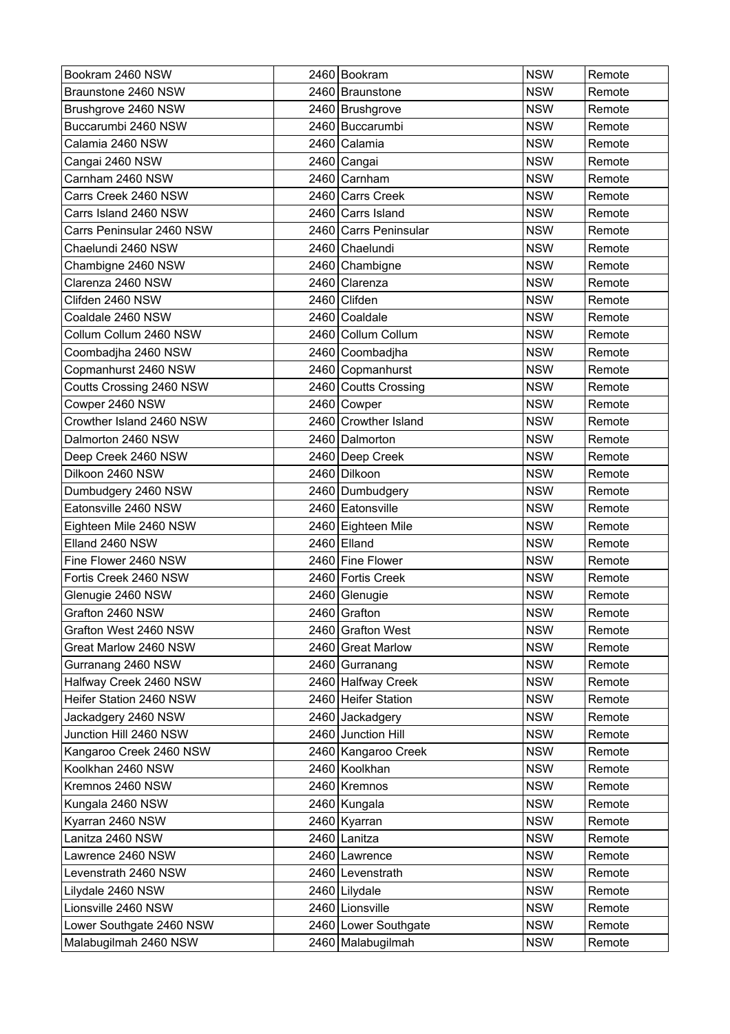| Bookram 2460 NSW          |      | 2460 Bookram          | <b>NSW</b> | Remote |
|---------------------------|------|-----------------------|------------|--------|
| Braunstone 2460 NSW       |      | 2460 Braunstone       | <b>NSW</b> | Remote |
| Brushgrove 2460 NSW       |      | 2460 Brushgrove       | <b>NSW</b> | Remote |
| Buccarumbi 2460 NSW       |      | 2460 Buccarumbi       | <b>NSW</b> | Remote |
| Calamia 2460 NSW          |      | 2460 Calamia          | <b>NSW</b> | Remote |
| Cangai 2460 NSW           |      | 2460 Cangai           | <b>NSW</b> | Remote |
| Carnham 2460 NSW          |      | 2460 Carnham          | <b>NSW</b> | Remote |
| Carrs Creek 2460 NSW      |      | 2460 Carrs Creek      | <b>NSW</b> | Remote |
| Carrs Island 2460 NSW     |      | 2460 Carrs Island     | <b>NSW</b> | Remote |
| Carrs Peninsular 2460 NSW |      | 2460 Carrs Peninsular | <b>NSW</b> | Remote |
| Chaelundi 2460 NSW        |      | 2460 Chaelundi        | <b>NSW</b> | Remote |
| Chambigne 2460 NSW        |      | 2460 Chambigne        | <b>NSW</b> | Remote |
| Clarenza 2460 NSW         |      | 2460 Clarenza         | <b>NSW</b> | Remote |
| Clifden 2460 NSW          |      | 2460 Clifden          | <b>NSW</b> | Remote |
| Coaldale 2460 NSW         | 2460 | Coaldale              | <b>NSW</b> | Remote |
| Collum Collum 2460 NSW    |      | 2460 Collum Collum    | <b>NSW</b> | Remote |
| Coombadjha 2460 NSW       |      | 2460 Coombadiha       | <b>NSW</b> | Remote |
| Copmanhurst 2460 NSW      |      | 2460 Copmanhurst      | <b>NSW</b> | Remote |
| Coutts Crossing 2460 NSW  |      | 2460 Coutts Crossing  | <b>NSW</b> | Remote |
| Cowper 2460 NSW           |      | 2460 Cowper           | <b>NSW</b> | Remote |
| Crowther Island 2460 NSW  |      | 2460 Crowther Island  | <b>NSW</b> | Remote |
| Dalmorton 2460 NSW        |      | 2460 Dalmorton        | <b>NSW</b> | Remote |
| Deep Creek 2460 NSW       |      | 2460 Deep Creek       | <b>NSW</b> | Remote |
| Dilkoon 2460 NSW          |      | 2460 Dilkoon          | <b>NSW</b> | Remote |
| Dumbudgery 2460 NSW       |      | 2460 Dumbudgery       | <b>NSW</b> | Remote |
| Eatonsville 2460 NSW      |      | 2460 Eatonsville      | <b>NSW</b> | Remote |
| Eighteen Mile 2460 NSW    |      | 2460 Eighteen Mile    | <b>NSW</b> | Remote |
| Elland 2460 NSW           |      | 2460 Elland           | <b>NSW</b> | Remote |
| Fine Flower 2460 NSW      |      | 2460 Fine Flower      | <b>NSW</b> | Remote |
| Fortis Creek 2460 NSW     |      | 2460 Fortis Creek     | <b>NSW</b> | Remote |
| Glenugie 2460 NSW         |      | 2460 Glenugie         | <b>NSW</b> | Remote |
| Grafton 2460 NSW          |      | 2460 Grafton          | <b>NSW</b> | Remote |
| Grafton West 2460 NSW     |      | 2460 Grafton West     | <b>NSW</b> | Remote |
| Great Marlow 2460 NSW     |      | 2460 Great Marlow     | <b>NSW</b> | Remote |
| Gurranang 2460 NSW        |      | 2460 Gurranang        | <b>NSW</b> | Remote |
| Halfway Creek 2460 NSW    |      | 2460 Halfway Creek    | <b>NSW</b> | Remote |
| Heifer Station 2460 NSW   |      | 2460 Heifer Station   | <b>NSW</b> | Remote |
| Jackadgery 2460 NSW       |      | 2460 Jackadgery       | <b>NSW</b> | Remote |
| Junction Hill 2460 NSW    |      | 2460 Junction Hill    | <b>NSW</b> | Remote |
| Kangaroo Creek 2460 NSW   |      | 2460 Kangaroo Creek   | <b>NSW</b> | Remote |
| Koolkhan 2460 NSW         |      | 2460 Koolkhan         | <b>NSW</b> | Remote |
| Kremnos 2460 NSW          |      | 2460 Kremnos          | <b>NSW</b> | Remote |
| Kungala 2460 NSW          |      | 2460 Kungala          | <b>NSW</b> | Remote |
| Kyarran 2460 NSW          |      | 2460 Kyarran          | <b>NSW</b> | Remote |
| Lanitza 2460 NSW          |      | 2460 Lanitza          | <b>NSW</b> | Remote |
| Lawrence 2460 NSW         |      | 2460 Lawrence         | <b>NSW</b> | Remote |
| Levenstrath 2460 NSW      |      | 2460 Levenstrath      | <b>NSW</b> | Remote |
| Lilydale 2460 NSW         |      | 2460 Lilydale         | <b>NSW</b> | Remote |
| Lionsville 2460 NSW       |      | 2460 Lionsville       | <b>NSW</b> | Remote |
| Lower Southgate 2460 NSW  |      | 2460 Lower Southgate  | <b>NSW</b> | Remote |
| Malabugilmah 2460 NSW     |      | 2460 Malabugilmah     | <b>NSW</b> | Remote |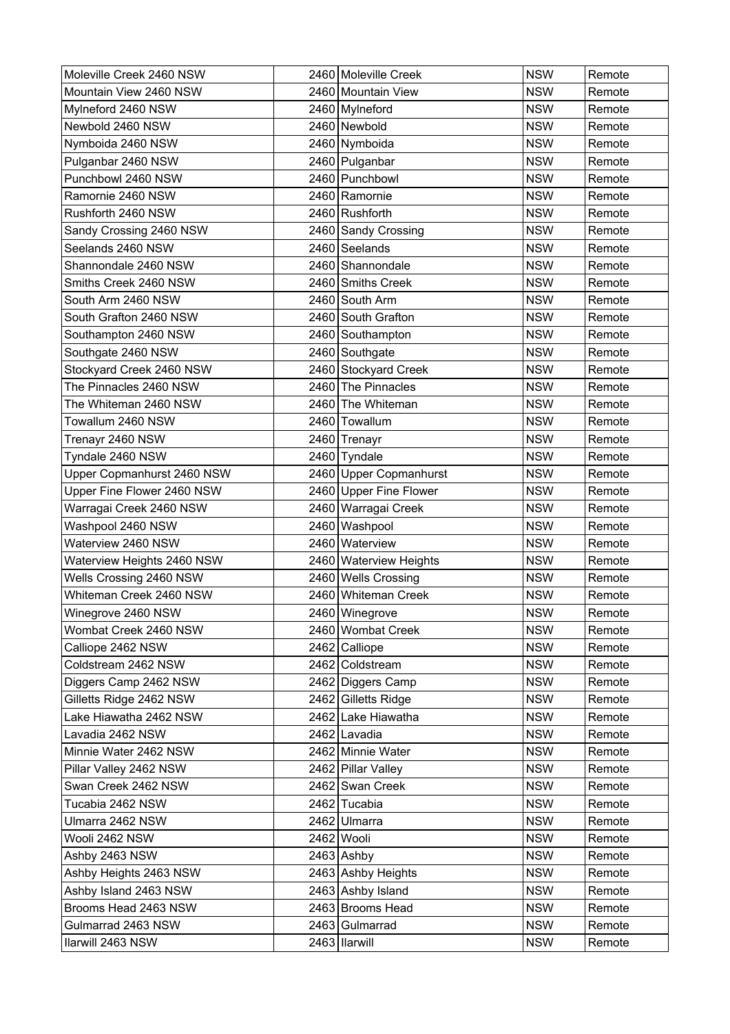| Moleville Creek 2460 NSW   |      | 2460 Moleville Creek   | <b>NSW</b> | Remote |
|----------------------------|------|------------------------|------------|--------|
| Mountain View 2460 NSW     |      | 2460 Mountain View     | <b>NSW</b> | Remote |
| Mylneford 2460 NSW         |      | 2460 Mylneford         | <b>NSW</b> | Remote |
| Newbold 2460 NSW           |      | 2460 Newbold           | <b>NSW</b> | Remote |
| Nymboida 2460 NSW          |      | 2460 Nymboida          | <b>NSW</b> | Remote |
| Pulganbar 2460 NSW         |      | 2460 Pulganbar         | <b>NSW</b> | Remote |
| Punchbowl 2460 NSW         |      | 2460 Punchbowl         | <b>NSW</b> | Remote |
| Ramornie 2460 NSW          |      | 2460 Ramornie          | <b>NSW</b> | Remote |
| Rushforth 2460 NSW         |      | 2460 Rushforth         | <b>NSW</b> | Remote |
| Sandy Crossing 2460 NSW    |      | 2460 Sandy Crossing    | <b>NSW</b> | Remote |
| Seelands 2460 NSW          |      | 2460 Seelands          | <b>NSW</b> | Remote |
| Shannondale 2460 NSW       |      | 2460 Shannondale       | <b>NSW</b> | Remote |
| Smiths Creek 2460 NSW      |      | 2460 Smiths Creek      | <b>NSW</b> | Remote |
| South Arm 2460 NSW         |      | 2460 South Arm         | <b>NSW</b> | Remote |
| South Grafton 2460 NSW     |      | 2460 South Grafton     | <b>NSW</b> | Remote |
| Southampton 2460 NSW       |      | 2460 Southampton       | <b>NSW</b> | Remote |
| Southgate 2460 NSW         |      | 2460 Southgate         | <b>NSW</b> | Remote |
| Stockyard Creek 2460 NSW   |      | 2460 Stockyard Creek   | <b>NSW</b> | Remote |
| The Pinnacles 2460 NSW     |      | 2460 The Pinnacles     | <b>NSW</b> | Remote |
| The Whiteman 2460 NSW      |      | 2460 The Whiteman      | <b>NSW</b> | Remote |
| Towallum 2460 NSW          |      | 2460 Towallum          | <b>NSW</b> | Remote |
| Trenayr 2460 NSW           |      | 2460 Trenayr           | <b>NSW</b> | Remote |
| Tyndale 2460 NSW           |      | 2460 Tyndale           | <b>NSW</b> | Remote |
| Upper Copmanhurst 2460 NSW |      | 2460 Upper Copmanhurst | <b>NSW</b> | Remote |
| Upper Fine Flower 2460 NSW |      | 2460 Upper Fine Flower | <b>NSW</b> | Remote |
| Warragai Creek 2460 NSW    |      | 2460 Warragai Creek    | <b>NSW</b> | Remote |
| Washpool 2460 NSW          | 2460 | Washpool               | <b>NSW</b> | Remote |
| Waterview 2460 NSW         |      | 2460 Waterview         | <b>NSW</b> | Remote |
| Waterview Heights 2460 NSW |      | 2460 Waterview Heights | <b>NSW</b> | Remote |
| Wells Crossing 2460 NSW    |      | 2460 Wells Crossing    | <b>NSW</b> | Remote |
| Whiteman Creek 2460 NSW    |      | 2460 Whiteman Creek    | <b>NSW</b> | Remote |
| Winegrove 2460 NSW         |      | 2460 Winegrove         | <b>NSW</b> | Remote |
| Wombat Creek 2460 NSW      |      | 2460 Wombat Creek      | <b>NSW</b> | Remote |
| Calliope 2462 NSW          |      | 2462 Calliope          | <b>NSW</b> | Remote |
| Coldstream 2462 NSW        |      | 2462 Coldstream        | <b>NSW</b> | Remote |
| Diggers Camp 2462 NSW      |      | 2462 Diggers Camp      | <b>NSW</b> | Remote |
| Gilletts Ridge 2462 NSW    |      | 2462 Gilletts Ridge    | <b>NSW</b> | Remote |
| Lake Hiawatha 2462 NSW     |      | 2462 Lake Hiawatha     | <b>NSW</b> | Remote |
| Lavadia 2462 NSW           |      | 2462 Lavadia           | <b>NSW</b> | Remote |
| Minnie Water 2462 NSW      |      | 2462 Minnie Water      | <b>NSW</b> | Remote |
| Pillar Valley 2462 NSW     |      | 2462 Pillar Valley     | <b>NSW</b> | Remote |
| Swan Creek 2462 NSW        |      | 2462 Swan Creek        | <b>NSW</b> | Remote |
| Tucabia 2462 NSW           |      | 2462 Tucabia           | <b>NSW</b> | Remote |
| Ulmarra 2462 NSW           |      | 2462 Ulmarra           | <b>NSW</b> | Remote |
| Wooli 2462 NSW             |      | 2462 Wooli             | <b>NSW</b> | Remote |
| Ashby 2463 NSW             |      | 2463 Ashby             | <b>NSW</b> | Remote |
| Ashby Heights 2463 NSW     |      | 2463 Ashby Heights     | <b>NSW</b> | Remote |
| Ashby Island 2463 NSW      |      | 2463 Ashby Island      | <b>NSW</b> | Remote |
| Brooms Head 2463 NSW       |      | 2463 Brooms Head       | <b>NSW</b> | Remote |
| Gulmarrad 2463 NSW         |      | 2463 Gulmarrad         | <b>NSW</b> | Remote |
| Ilarwill 2463 NSW          |      | 2463   Ilarwill        | <b>NSW</b> | Remote |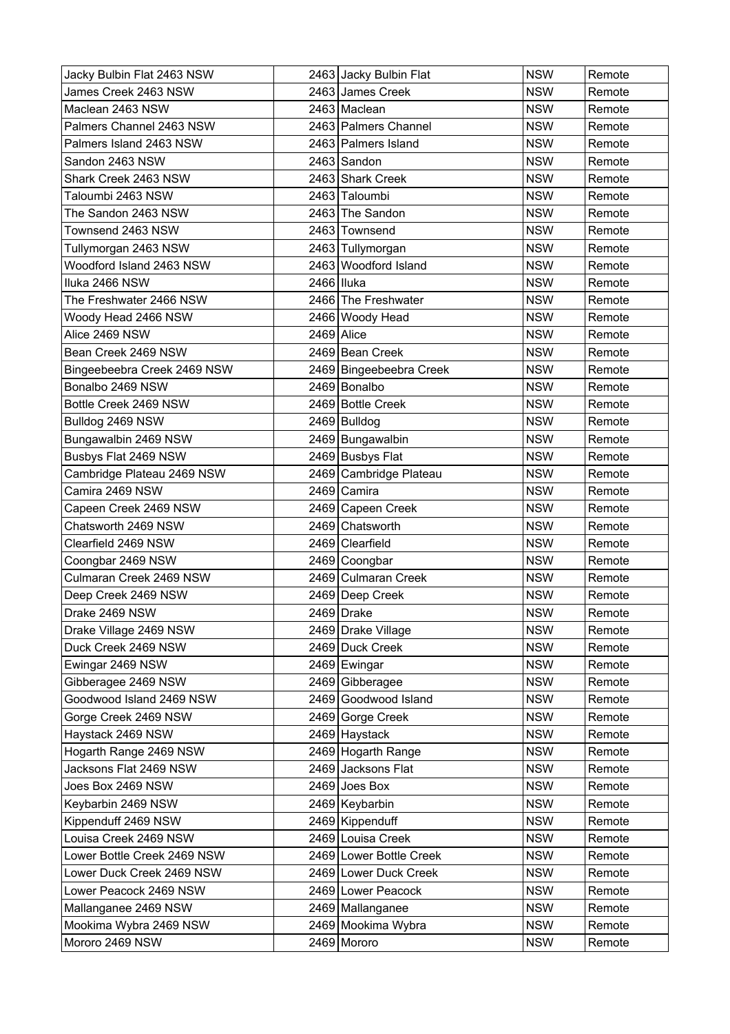| Jacky Bulbin Flat 2463 NSW  |            | 2463 Jacky Bulbin Flat  | <b>NSW</b> | Remote |
|-----------------------------|------------|-------------------------|------------|--------|
| James Creek 2463 NSW        |            | 2463 James Creek        | <b>NSW</b> | Remote |
| Maclean 2463 NSW            |            | 2463 Maclean            | <b>NSW</b> | Remote |
| Palmers Channel 2463 NSW    |            | 2463   Palmers Channel  | <b>NSW</b> | Remote |
| Palmers Island 2463 NSW     |            | 2463 Palmers Island     | <b>NSW</b> | Remote |
| Sandon 2463 NSW             |            | 2463 Sandon             | <b>NSW</b> | Remote |
| Shark Creek 2463 NSW        |            | 2463 Shark Creek        | <b>NSW</b> | Remote |
| Taloumbi 2463 NSW           |            | 2463 Taloumbi           | <b>NSW</b> | Remote |
| The Sandon 2463 NSW         |            | 2463 The Sandon         | <b>NSW</b> | Remote |
| Townsend 2463 NSW           |            | 2463 Townsend           | <b>NSW</b> | Remote |
| Tullymorgan 2463 NSW        |            | 2463 Tullymorgan        | <b>NSW</b> | Remote |
| Woodford Island 2463 NSW    |            | 2463 Woodford Island    | <b>NSW</b> | Remote |
| Iluka 2466 NSW              | 2466 Iluka |                         | <b>NSW</b> | Remote |
| The Freshwater 2466 NSW     |            | 2466 The Freshwater     | <b>NSW</b> | Remote |
| Woody Head 2466 NSW         |            | 2466 Woody Head         | <b>NSW</b> | Remote |
| Alice 2469 NSW              | 2469       | Alice                   | <b>NSW</b> | Remote |
| Bean Creek 2469 NSW         |            | 2469 Bean Creek         | <b>NSW</b> | Remote |
| Bingeebeebra Creek 2469 NSW |            | 2469 Bingeebeebra Creek | <b>NSW</b> | Remote |
| Bonalbo 2469 NSW            |            | 2469 Bonalbo            | <b>NSW</b> | Remote |
| Bottle Creek 2469 NSW       |            | 2469 Bottle Creek       | <b>NSW</b> | Remote |
| Bulldog 2469 NSW            |            | 2469 Bulldog            | <b>NSW</b> | Remote |
| Bungawalbin 2469 NSW        |            | 2469 Bungawalbin        | <b>NSW</b> | Remote |
| Busbys Flat 2469 NSW        |            | 2469 Busbys Flat        | <b>NSW</b> | Remote |
| Cambridge Plateau 2469 NSW  |            | 2469 Cambridge Plateau  | <b>NSW</b> | Remote |
| Camira 2469 NSW             |            | 2469 Camira             | <b>NSW</b> | Remote |
| Capeen Creek 2469 NSW       |            | 2469 Capeen Creek       | <b>NSW</b> | Remote |
| Chatsworth 2469 NSW         |            | 2469 Chatsworth         | <b>NSW</b> | Remote |
| Clearfield 2469 NSW         |            | 2469 Clearfield         | <b>NSW</b> | Remote |
| Coongbar 2469 NSW           |            | 2469 Coongbar           | <b>NSW</b> | Remote |
| Culmaran Creek 2469 NSW     |            | 2469 Culmaran Creek     | <b>NSW</b> | Remote |
| Deep Creek 2469 NSW         |            | 2469 Deep Creek         | <b>NSW</b> | Remote |
| Drake 2469 NSW              |            | 2469 Drake              | <b>NSW</b> | Remote |
| Drake Village 2469 NSW      |            | 2469 Drake Village      | <b>NSW</b> | Remote |
| Duck Creek 2469 NSW         |            | 2469 Duck Creek         | <b>NSW</b> | Remote |
| Ewingar 2469 NSW            |            | 2469 Ewingar            | <b>NSW</b> | Remote |
| Gibberagee 2469 NSW         |            | 2469 Gibberagee         | <b>NSW</b> | Remote |
| Goodwood Island 2469 NSW    |            | 2469 Goodwood Island    | <b>NSW</b> | Remote |
| Gorge Creek 2469 NSW        |            | 2469 Gorge Creek        | <b>NSW</b> | Remote |
| Haystack 2469 NSW           |            | 2469 Haystack           | <b>NSW</b> | Remote |
| Hogarth Range 2469 NSW      |            | 2469 Hogarth Range      | <b>NSW</b> | Remote |
| Jacksons Flat 2469 NSW      |            | 2469 Jacksons Flat      | <b>NSW</b> | Remote |
| Joes Box 2469 NSW           |            | $2469$ Joes Box         | <b>NSW</b> | Remote |
| Keybarbin 2469 NSW          |            | 2469 Keybarbin          | <b>NSW</b> | Remote |
| Kippenduff 2469 NSW         |            | 2469 Kippenduff         | <b>NSW</b> | Remote |
| Louisa Creek 2469 NSW       |            | 2469 Louisa Creek       | <b>NSW</b> | Remote |
| Lower Bottle Creek 2469 NSW |            | 2469 Lower Bottle Creek | <b>NSW</b> | Remote |
| Lower Duck Creek 2469 NSW   |            | 2469 Lower Duck Creek   | <b>NSW</b> | Remote |
| Lower Peacock 2469 NSW      |            | 2469 Lower Peacock      | <b>NSW</b> | Remote |
| Mallanganee 2469 NSW        |            | 2469 Mallanganee        | <b>NSW</b> | Remote |
| Mookima Wybra 2469 NSW      |            | 2469 Mookima Wybra      | <b>NSW</b> | Remote |
| Mororo 2469 NSW             |            | 2469 Mororo             | <b>NSW</b> | Remote |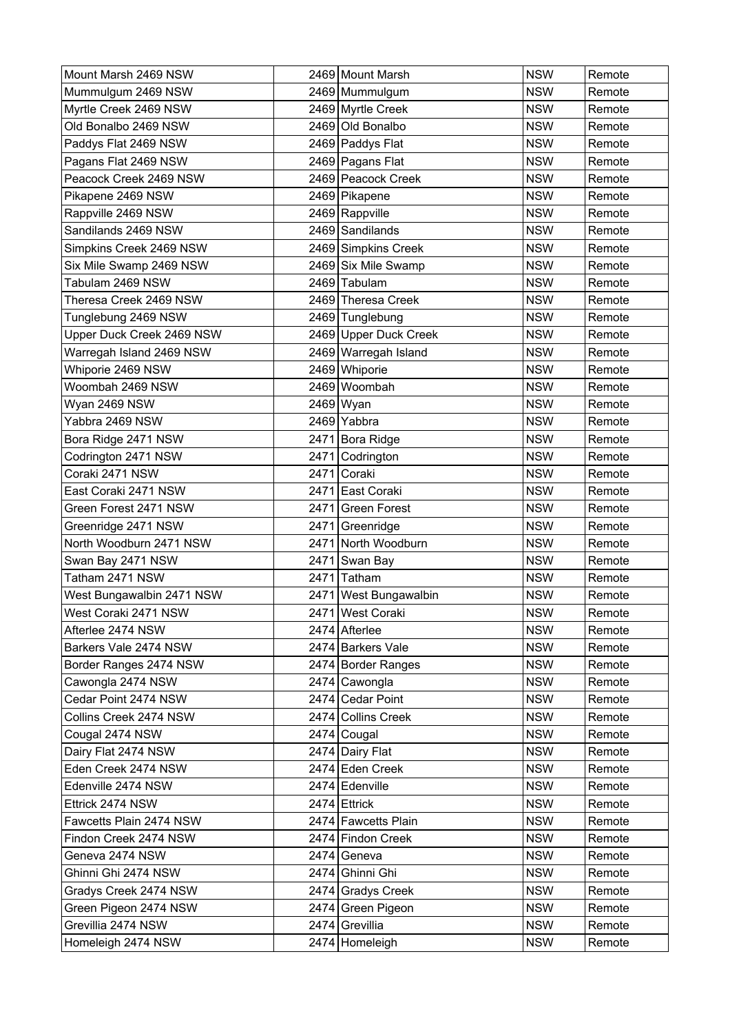| Mount Marsh 2469 NSW      |      | 2469 Mount Marsh      | <b>NSW</b> | Remote |
|---------------------------|------|-----------------------|------------|--------|
| Mummulgum 2469 NSW        |      | 2469 Mummulgum        | <b>NSW</b> | Remote |
| Myrtle Creek 2469 NSW     |      | 2469 Myrtle Creek     | <b>NSW</b> | Remote |
| Old Bonalbo 2469 NSW      |      | 2469 Old Bonalbo      | <b>NSW</b> | Remote |
| Paddys Flat 2469 NSW      |      | 2469 Paddys Flat      | <b>NSW</b> | Remote |
| Pagans Flat 2469 NSW      |      | 2469 Pagans Flat      | <b>NSW</b> | Remote |
| Peacock Creek 2469 NSW    |      | 2469 Peacock Creek    | <b>NSW</b> | Remote |
| Pikapene 2469 NSW         |      | 2469 Pikapene         | <b>NSW</b> | Remote |
| Rappville 2469 NSW        |      | 2469 Rappville        | <b>NSW</b> | Remote |
| Sandilands 2469 NSW       |      | 2469 Sandilands       | <b>NSW</b> | Remote |
| Simpkins Creek 2469 NSW   |      | 2469 Simpkins Creek   | <b>NSW</b> | Remote |
| Six Mile Swamp 2469 NSW   |      | 2469 Six Mile Swamp   | <b>NSW</b> | Remote |
| Tabulam 2469 NSW          |      | 2469 Tabulam          | <b>NSW</b> | Remote |
| Theresa Creek 2469 NSW    |      | 2469 Theresa Creek    | <b>NSW</b> | Remote |
| Tunglebung 2469 NSW       |      | 2469 Tunglebung       | <b>NSW</b> | Remote |
| Upper Duck Creek 2469 NSW |      | 2469 Upper Duck Creek | <b>NSW</b> | Remote |
| Warregah Island 2469 NSW  |      | 2469 Warregah Island  | <b>NSW</b> | Remote |
| Whiporie 2469 NSW         |      | 2469 Whiporie         | <b>NSW</b> | Remote |
| Woombah 2469 NSW          |      | 2469 Woombah          | <b>NSW</b> | Remote |
| Wyan 2469 NSW             |      | 2469 Wyan             | <b>NSW</b> | Remote |
| Yabbra 2469 NSW           |      | 2469 Yabbra           | <b>NSW</b> | Remote |
| Bora Ridge 2471 NSW       |      | 2471 Bora Ridge       | <b>NSW</b> | Remote |
| Codrington 2471 NSW       | 2471 | Codrington            | <b>NSW</b> | Remote |
| Coraki 2471 NSW           | 2471 | Coraki                | <b>NSW</b> | Remote |
| East Coraki 2471 NSW      |      | 2471 East Coraki      | <b>NSW</b> | Remote |
| Green Forest 2471 NSW     | 2471 | <b>Green Forest</b>   | <b>NSW</b> | Remote |
| Greenridge 2471 NSW       | 2471 | Greenridge            | <b>NSW</b> | Remote |
| North Woodburn 2471 NSW   |      | 2471 North Woodburn   | <b>NSW</b> | Remote |
| Swan Bay 2471 NSW         | 2471 | Swan Bay              | <b>NSW</b> | Remote |
| Tatham 2471 NSW           |      | 2471 Tatham           | <b>NSW</b> | Remote |
| West Bungawalbin 2471 NSW |      | 2471 West Bungawalbin | <b>NSW</b> | Remote |
| West Coraki 2471 NSW      |      | 2471 West Coraki      | <b>NSW</b> | Remote |
| Afterlee 2474 NSW         |      | 2474 Afterlee         | <b>NSW</b> | Remote |
| Barkers Vale 2474 NSW     |      | 2474 Barkers Vale     | <b>NSW</b> | Remote |
| Border Ranges 2474 NSW    |      | 2474 Border Ranges    | <b>NSW</b> | Remote |
| Cawongla 2474 NSW         |      | 2474 Cawongla         | <b>NSW</b> | Remote |
| Cedar Point 2474 NSW      |      | 2474 Cedar Point      | <b>NSW</b> | Remote |
| Collins Creek 2474 NSW    |      | 2474 Collins Creek    | <b>NSW</b> | Remote |
| Cougal 2474 NSW           |      | 2474 Cougal           | <b>NSW</b> | Remote |
| Dairy Flat 2474 NSW       |      | 2474 Dairy Flat       | <b>NSW</b> | Remote |
| Eden Creek 2474 NSW       |      | 2474 Eden Creek       | <b>NSW</b> | Remote |
| Edenville 2474 NSW        |      | 2474 Edenville        | <b>NSW</b> | Remote |
| Ettrick 2474 NSW          |      | 2474 Ettrick          | <b>NSW</b> | Remote |
| Fawcetts Plain 2474 NSW   |      | 2474 Fawcetts Plain   | <b>NSW</b> | Remote |
| Findon Creek 2474 NSW     |      | 2474 Findon Creek     | <b>NSW</b> | Remote |
| Geneva 2474 NSW           |      | 2474 Geneva           | <b>NSW</b> | Remote |
| Ghinni Ghi 2474 NSW       |      | 2474 Ghinni Ghi       | <b>NSW</b> | Remote |
| Gradys Creek 2474 NSW     |      | 2474 Gradys Creek     | <b>NSW</b> | Remote |
| Green Pigeon 2474 NSW     |      | 2474 Green Pigeon     | <b>NSW</b> | Remote |
| Grevillia 2474 NSW        |      | 2474 Grevillia        | <b>NSW</b> | Remote |
| Homeleigh 2474 NSW        |      | 2474 Homeleigh        | <b>NSW</b> | Remote |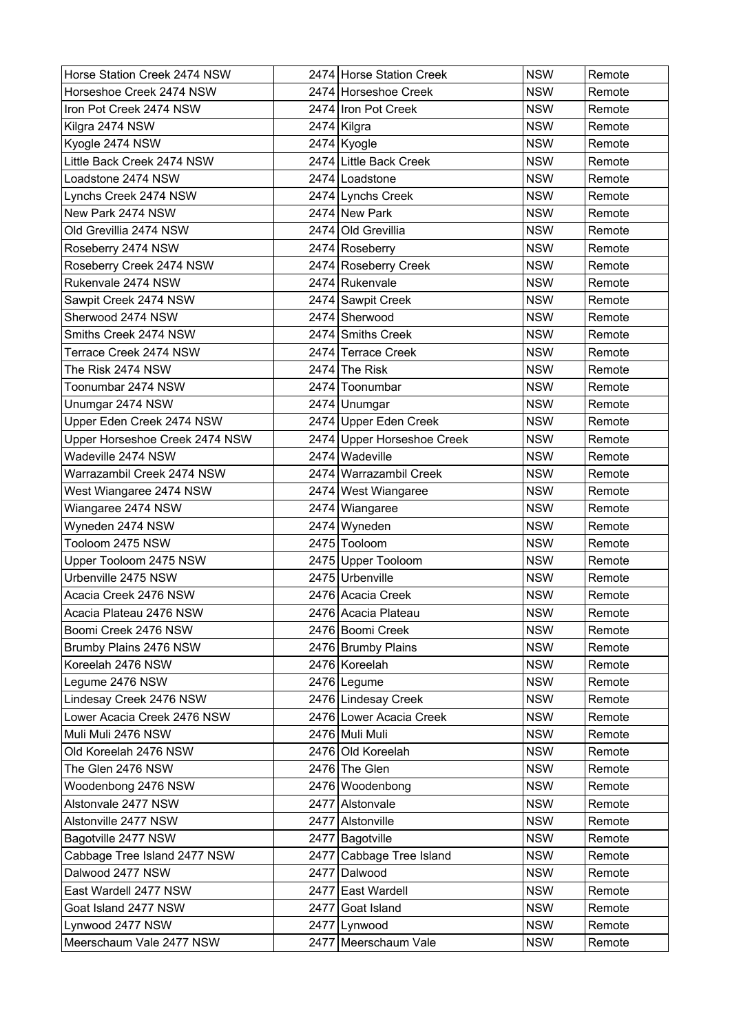| Horse Station Creek 2474 NSW   | 2474 Horse Station Creek   | <b>NSW</b> | Remote |
|--------------------------------|----------------------------|------------|--------|
| Horseshoe Creek 2474 NSW       | 2474 Horseshoe Creek       | <b>NSW</b> | Remote |
| Iron Pot Creek 2474 NSW        | 2474 Iron Pot Creek        | <b>NSW</b> | Remote |
| Kilgra 2474 NSW                | 2474 Kilgra                | <b>NSW</b> | Remote |
| Kyogle 2474 NSW                | 2474 Kyogle                | <b>NSW</b> | Remote |
| Little Back Creek 2474 NSW     | 2474 Little Back Creek     | <b>NSW</b> | Remote |
| Loadstone 2474 NSW             | 2474   Loadstone           | <b>NSW</b> | Remote |
| Lynchs Creek 2474 NSW          | 2474 Lynchs Creek          | <b>NSW</b> | Remote |
| New Park 2474 NSW              | 2474 New Park              | <b>NSW</b> | Remote |
| Old Grevillia 2474 NSW         | 2474 Old Grevillia         | <b>NSW</b> | Remote |
| Roseberry 2474 NSW             | 2474 Roseberry             | <b>NSW</b> | Remote |
| Roseberry Creek 2474 NSW       | 2474 Roseberry Creek       | <b>NSW</b> | Remote |
| Rukenvale 2474 NSW             | 2474 Rukenvale             | <b>NSW</b> | Remote |
| Sawpit Creek 2474 NSW          | 2474 Sawpit Creek          | <b>NSW</b> | Remote |
| Sherwood 2474 NSW              | 2474 Sherwood              | <b>NSW</b> | Remote |
| Smiths Creek 2474 NSW          | 2474 Smiths Creek          | <b>NSW</b> | Remote |
| Terrace Creek 2474 NSW         | 2474 Terrace Creek         | <b>NSW</b> | Remote |
| The Risk 2474 NSW              | $2474$ The Risk            | <b>NSW</b> | Remote |
| Toonumbar 2474 NSW             | 2474 Toonumbar             | <b>NSW</b> | Remote |
| Unumgar 2474 NSW               | 2474 Unumgar               | <b>NSW</b> | Remote |
| Upper Eden Creek 2474 NSW      | 2474 Upper Eden Creek      | <b>NSW</b> | Remote |
| Upper Horseshoe Creek 2474 NSW | 2474 Upper Horseshoe Creek | <b>NSW</b> | Remote |
| Wadeville 2474 NSW             | 2474 Wadeville             | <b>NSW</b> | Remote |
| Warrazambil Creek 2474 NSW     | 2474 Warrazambil Creek     | <b>NSW</b> | Remote |
| West Wiangaree 2474 NSW        | 2474 West Wiangaree        | <b>NSW</b> | Remote |
| Wiangaree 2474 NSW             | 2474 Wiangaree             | <b>NSW</b> | Remote |
| Wyneden 2474 NSW               | 2474 Wyneden               | <b>NSW</b> | Remote |
| Tooloom 2475 NSW               | 2475 Tooloom               | <b>NSW</b> | Remote |
| Upper Tooloom 2475 NSW         | 2475 Upper Tooloom         | <b>NSW</b> | Remote |
| Urbenville 2475 NSW            | 2475 Urbenville            | <b>NSW</b> | Remote |
| Acacia Creek 2476 NSW          | 2476 Acacia Creek          | <b>NSW</b> | Remote |
| Acacia Plateau 2476 NSW        | 2476 Acacia Plateau        | <b>NSW</b> | Remote |
| Boomi Creek 2476 NSW           | 2476 Boomi Creek           | <b>NSW</b> | Remote |
| Brumby Plains 2476 NSW         | 2476 Brumby Plains         | <b>NSW</b> | Remote |
| Koreelah 2476 NSW              | 2476 Koreelah              | <b>NSW</b> | Remote |
| Legume 2476 NSW                | 2476 Legume                | <b>NSW</b> | Remote |
| Lindesay Creek 2476 NSW        | 2476 Lindesay Creek        | <b>NSW</b> | Remote |
| Lower Acacia Creek 2476 NSW    | 2476 Lower Acacia Creek    | <b>NSW</b> | Remote |
| Muli Muli 2476 NSW             | 2476 Muli Muli             | <b>NSW</b> | Remote |
| Old Koreelah 2476 NSW          | 2476 Old Koreelah          | <b>NSW</b> | Remote |
| The Glen 2476 NSW              | 2476 The Glen              | <b>NSW</b> | Remote |
| Woodenbong 2476 NSW            | 2476 Woodenbong            | <b>NSW</b> | Remote |
| Alstonvale 2477 NSW            | 2477 Alstonvale            | <b>NSW</b> | Remote |
| Alstonville 2477 NSW           | 2477 Alstonville           | <b>NSW</b> | Remote |
| Bagotville 2477 NSW            | 2477 Bagotville            | <b>NSW</b> | Remote |
| Cabbage Tree Island 2477 NSW   | 2477 Cabbage Tree Island   | <b>NSW</b> | Remote |
| Dalwood 2477 NSW               | 2477 Dalwood               | <b>NSW</b> | Remote |
| East Wardell 2477 NSW          | 2477 East Wardell          | <b>NSW</b> | Remote |
| Goat Island 2477 NSW           | 2477 Goat Island           | <b>NSW</b> | Remote |
| Lynwood 2477 NSW               | 2477 Lynwood               | <b>NSW</b> | Remote |
| Meerschaum Vale 2477 NSW       | 2477 Meerschaum Vale       | <b>NSW</b> | Remote |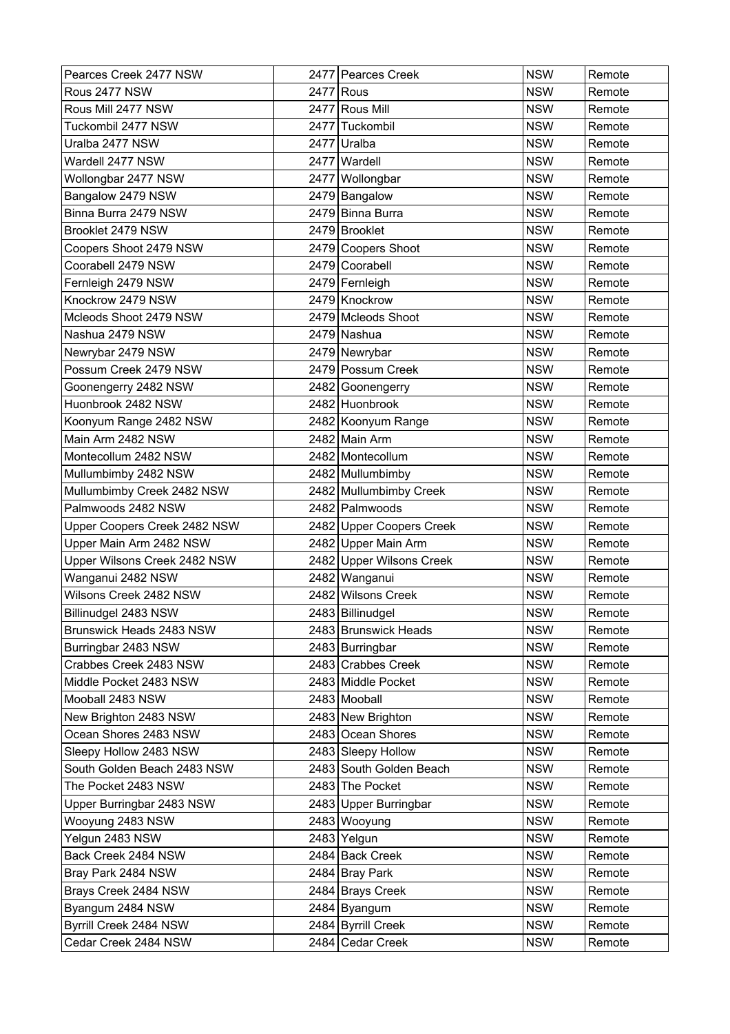| Pearces Creek 2477 NSW       |      | 2477 Pearces Creek       | <b>NSW</b> | Remote |
|------------------------------|------|--------------------------|------------|--------|
| Rous 2477 NSW                |      | 2477 Rous                | <b>NSW</b> | Remote |
| Rous Mill 2477 NSW           |      | 2477 Rous Mill           | <b>NSW</b> | Remote |
| Tuckombil 2477 NSW           | 2477 | Tuckombil                | <b>NSW</b> | Remote |
| Uralba 2477 NSW              | 2477 | Uralba                   | <b>NSW</b> | Remote |
| Wardell 2477 NSW             |      | 2477 Wardell             | <b>NSW</b> | Remote |
| Wollongbar 2477 NSW          | 2477 | Wollongbar               | <b>NSW</b> | Remote |
| Bangalow 2479 NSW            |      | 2479 Bangalow            | <b>NSW</b> | Remote |
| Binna Burra 2479 NSW         |      | 2479 Binna Burra         | <b>NSW</b> | Remote |
| Brooklet 2479 NSW            |      | 2479 Brooklet            | <b>NSW</b> | Remote |
| Coopers Shoot 2479 NSW       |      | 2479 Coopers Shoot       | <b>NSW</b> | Remote |
| Coorabell 2479 NSW           |      | 2479 Coorabell           | <b>NSW</b> | Remote |
| Fernleigh 2479 NSW           |      | 2479 Fernleigh           | <b>NSW</b> | Remote |
| Knockrow 2479 NSW            |      | 2479 Knockrow            | <b>NSW</b> | Remote |
| Mcleods Shoot 2479 NSW       |      | 2479 Mcleods Shoot       | <b>NSW</b> | Remote |
| Nashua 2479 NSW              |      | 2479 Nashua              | <b>NSW</b> | Remote |
| Newrybar 2479 NSW            |      | 2479 Newrybar            | <b>NSW</b> | Remote |
| Possum Creek 2479 NSW        |      | 2479 Possum Creek        | <b>NSW</b> | Remote |
| Goonengerry 2482 NSW         |      | 2482 Goonengerry         | <b>NSW</b> | Remote |
| Huonbrook 2482 NSW           |      | 2482 Huonbrook           | <b>NSW</b> | Remote |
| Koonyum Range 2482 NSW       |      | 2482 Koonyum Range       | <b>NSW</b> | Remote |
| Main Arm 2482 NSW            |      | 2482 Main Arm            | <b>NSW</b> | Remote |
| Montecollum 2482 NSW         |      | 2482 Montecollum         | <b>NSW</b> | Remote |
| Mullumbimby 2482 NSW         |      | 2482 Mullumbimby         | <b>NSW</b> | Remote |
| Mullumbimby Creek 2482 NSW   |      | 2482 Mullumbimby Creek   | <b>NSW</b> | Remote |
| Palmwoods 2482 NSW           |      | 2482 Palmwoods           | <b>NSW</b> | Remote |
| Upper Coopers Creek 2482 NSW |      | 2482 Upper Coopers Creek | <b>NSW</b> | Remote |
| Upper Main Arm 2482 NSW      |      | 2482 Upper Main Arm      | <b>NSW</b> | Remote |
| Upper Wilsons Creek 2482 NSW |      | 2482 Upper Wilsons Creek | <b>NSW</b> | Remote |
| Wanganui 2482 NSW            |      | 2482 Wanganui            | <b>NSW</b> | Remote |
| Wilsons Creek 2482 NSW       |      | 2482 Wilsons Creek       | <b>NSW</b> | Remote |
| Billinudgel 2483 NSW         |      | 2483   Billinudgel       | <b>NSW</b> | Remote |
| Brunswick Heads 2483 NSW     |      | 2483 Brunswick Heads     | <b>NSW</b> | Remote |
| Burringbar 2483 NSW          |      | 2483 Burringbar          | <b>NSW</b> | Remote |
| Crabbes Creek 2483 NSW       |      | 2483 Crabbes Creek       | <b>NSW</b> | Remote |
| Middle Pocket 2483 NSW       |      | 2483 Middle Pocket       | <b>NSW</b> | Remote |
| Mooball 2483 NSW             |      | 2483 Mooball             | <b>NSW</b> | Remote |
| New Brighton 2483 NSW        |      | 2483 New Brighton        | <b>NSW</b> | Remote |
| Ocean Shores 2483 NSW        |      | 2483 Ocean Shores        | <b>NSW</b> | Remote |
| Sleepy Hollow 2483 NSW       |      | 2483 Sleepy Hollow       | <b>NSW</b> | Remote |
| South Golden Beach 2483 NSW  |      | 2483 South Golden Beach  | <b>NSW</b> | Remote |
| The Pocket 2483 NSW          |      | 2483 The Pocket          | <b>NSW</b> | Remote |
| Upper Burringbar 2483 NSW    |      | 2483 Upper Burringbar    | <b>NSW</b> | Remote |
| Wooyung 2483 NSW             |      | 2483 Wooyung             | <b>NSW</b> | Remote |
| Yelgun 2483 NSW              |      | 2483 Yelgun              | <b>NSW</b> | Remote |
| Back Creek 2484 NSW          |      | 2484 Back Creek          | <b>NSW</b> | Remote |
| Bray Park 2484 NSW           |      | 2484 Bray Park           | <b>NSW</b> | Remote |
| Brays Creek 2484 NSW         |      | 2484 Brays Creek         | <b>NSW</b> | Remote |
| Byangum 2484 NSW             |      | 2484 Byangum             | <b>NSW</b> | Remote |
| Byrrill Creek 2484 NSW       |      | 2484 Byrrill Creek       | <b>NSW</b> | Remote |
| Cedar Creek 2484 NSW         |      | 2484 Cedar Creek         | <b>NSW</b> | Remote |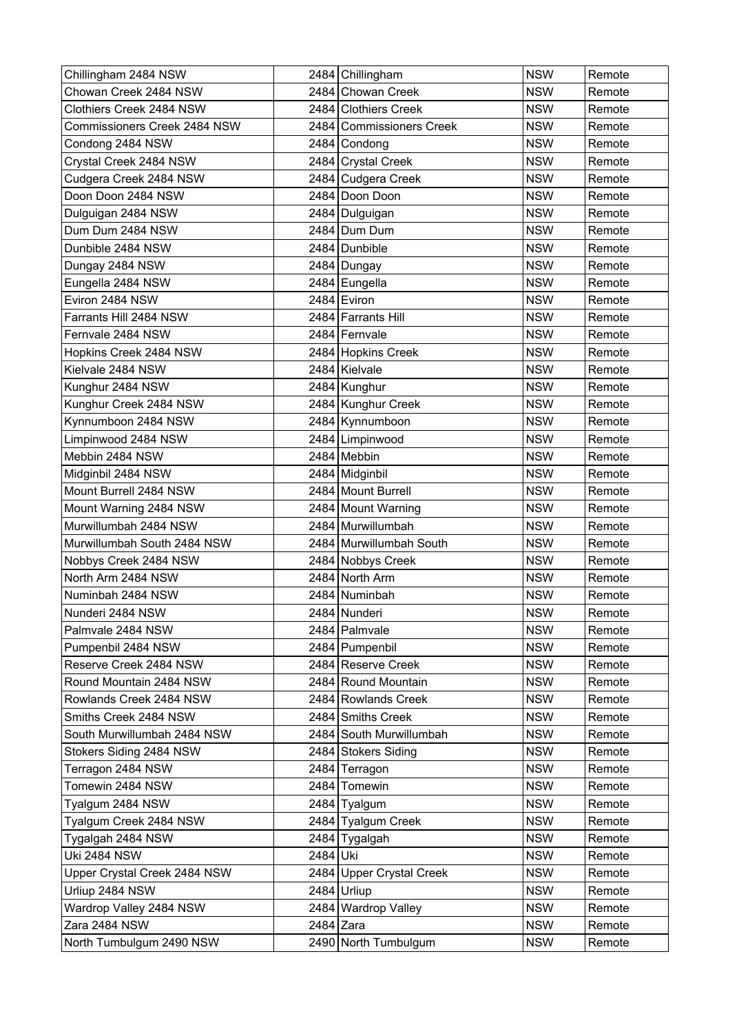| Chillingham 2484 NSW         |           | 2484 Chillingham         | <b>NSW</b> | Remote |
|------------------------------|-----------|--------------------------|------------|--------|
| Chowan Creek 2484 NSW        |           | 2484 Chowan Creek        | <b>NSW</b> | Remote |
| Clothiers Creek 2484 NSW     |           | 2484 Clothiers Creek     | <b>NSW</b> | Remote |
| Commissioners Creek 2484 NSW | 2484      | Commissioners Creek      | <b>NSW</b> | Remote |
| Condong 2484 NSW             |           | 2484 Condong             | <b>NSW</b> | Remote |
| Crystal Creek 2484 NSW       |           | 2484 Crystal Creek       | <b>NSW</b> | Remote |
| Cudgera Creek 2484 NSW       |           | 2484 Cudgera Creek       | <b>NSW</b> | Remote |
| Doon Doon 2484 NSW           |           | 2484 Doon Doon           | <b>NSW</b> | Remote |
| Dulguigan 2484 NSW           |           | 2484 Dulguigan           | <b>NSW</b> | Remote |
| Dum Dum 2484 NSW             |           | 2484 Dum Dum             | <b>NSW</b> | Remote |
| Dunbible 2484 NSW            |           | 2484 Dunbible            | <b>NSW</b> | Remote |
| Dungay 2484 NSW              |           | 2484 Dungay              | <b>NSW</b> | Remote |
| Eungella 2484 NSW            |           | 2484 Eungella            | <b>NSW</b> | Remote |
| Eviron 2484 NSW              |           | 2484 Eviron              | <b>NSW</b> | Remote |
| Farrants Hill 2484 NSW       |           | 2484 Farrants Hill       | <b>NSW</b> | Remote |
| Fernvale 2484 NSW            |           | 2484 Fernvale            | <b>NSW</b> | Remote |
| Hopkins Creek 2484 NSW       |           | 2484 Hopkins Creek       | <b>NSW</b> | Remote |
| Kielvale 2484 NSW            |           | 2484 Kielvale            | <b>NSW</b> | Remote |
| Kunghur 2484 NSW             |           | 2484 Kunghur             | <b>NSW</b> | Remote |
| Kunghur Creek 2484 NSW       |           | 2484 Kunghur Creek       | <b>NSW</b> | Remote |
| Kynnumboon 2484 NSW          |           | 2484 Kynnumboon          | <b>NSW</b> | Remote |
| Limpinwood 2484 NSW          |           | 2484 Limpinwood          | <b>NSW</b> | Remote |
| Mebbin 2484 NSW              |           | 2484 Mebbin              | <b>NSW</b> | Remote |
| Midginbil 2484 NSW           |           | 2484 Midginbil           | <b>NSW</b> | Remote |
| Mount Burrell 2484 NSW       |           | 2484 Mount Burrell       | <b>NSW</b> | Remote |
| Mount Warning 2484 NSW       |           | 2484 Mount Warning       | <b>NSW</b> | Remote |
| Murwillumbah 2484 NSW        |           | 2484 Murwillumbah        | <b>NSW</b> | Remote |
| Murwillumbah South 2484 NSW  |           | 2484 Murwillumbah South  | <b>NSW</b> | Remote |
| Nobbys Creek 2484 NSW        |           | 2484 Nobbys Creek        | <b>NSW</b> | Remote |
| North Arm 2484 NSW           |           | 2484 North Arm           | <b>NSW</b> | Remote |
| Numinbah 2484 NSW            |           | 2484 Numinbah            | <b>NSW</b> | Remote |
| Nunderi 2484 NSW             |           | 2484 Nunderi             | <b>NSW</b> | Remote |
| Palmvale 2484 NSW            |           | 2484   Palmvale          | <b>NSW</b> | Remote |
| Pumpenbil 2484 NSW           |           | 2484 Pumpenbil           | <b>NSW</b> | Remote |
| Reserve Creek 2484 NSW       |           | 2484 Reserve Creek       | <b>NSW</b> | Remote |
| Round Mountain 2484 NSW      |           | 2484 Round Mountain      | <b>NSW</b> | Remote |
| Rowlands Creek 2484 NSW      |           | 2484 Rowlands Creek      | <b>NSW</b> | Remote |
| Smiths Creek 2484 NSW        |           | 2484 Smiths Creek        | <b>NSW</b> | Remote |
| South Murwillumbah 2484 NSW  |           | 2484 South Murwillumbah  | <b>NSW</b> | Remote |
| Stokers Siding 2484 NSW      |           | 2484 Stokers Siding      | <b>NSW</b> | Remote |
| Terragon 2484 NSW            |           | 2484 Terragon            | <b>NSW</b> | Remote |
| Tomewin 2484 NSW             |           | 2484 Tomewin             | <b>NSW</b> | Remote |
| Tyalgum 2484 NSW             |           | 2484 Tyalgum             | <b>NSW</b> | Remote |
| Tyalgum Creek 2484 NSW       |           | 2484 Tyalgum Creek       | <b>NSW</b> | Remote |
| Tygalgah 2484 NSW            |           | 2484 Tygalgah            | <b>NSW</b> | Remote |
| <b>Uki 2484 NSW</b>          | 2484 Uki  |                          | <b>NSW</b> | Remote |
| Upper Crystal Creek 2484 NSW |           | 2484 Upper Crystal Creek | <b>NSW</b> | Remote |
| Urliup 2484 NSW              |           | $2484$ Urliup            | <b>NSW</b> | Remote |
| Wardrop Valley 2484 NSW      |           | 2484 Wardrop Valley      | <b>NSW</b> | Remote |
| Zara 2484 NSW                | 2484 Zara |                          | <b>NSW</b> | Remote |
| North Tumbulgum 2490 NSW     |           | 2490 North Tumbulgum     | <b>NSW</b> | Remote |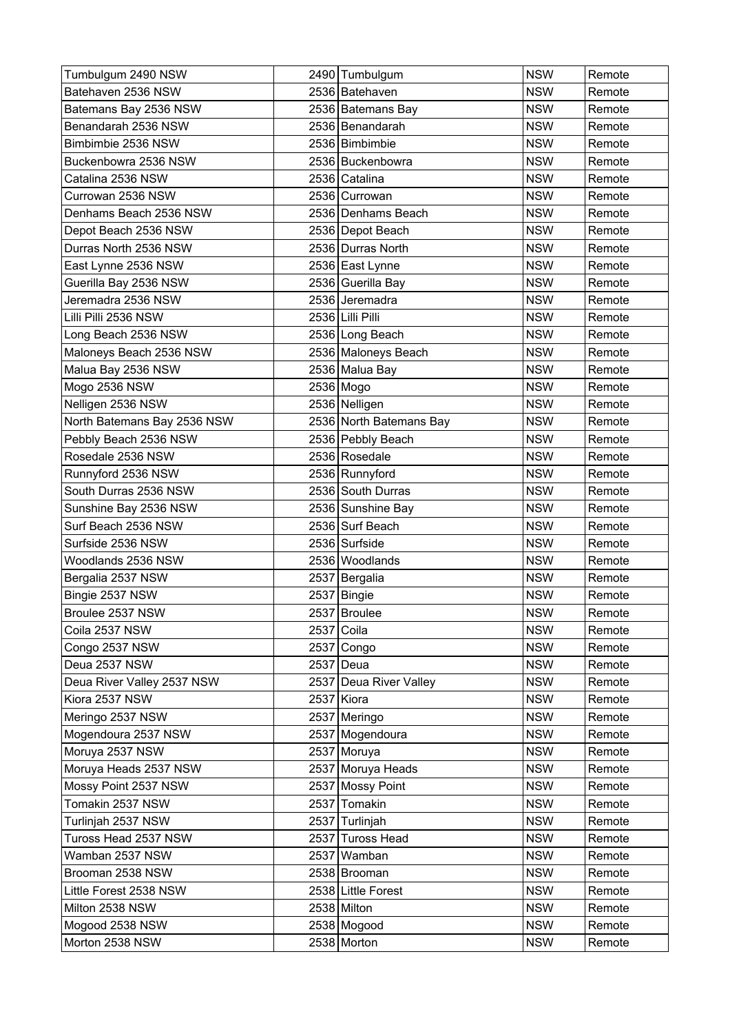| Tumbulgum 2490 NSW          | 2490 Tumbulgum          | <b>NSW</b> | Remote |
|-----------------------------|-------------------------|------------|--------|
| Batehaven 2536 NSW          | 2536 Batehaven          | <b>NSW</b> | Remote |
| Batemans Bay 2536 NSW       | 2536 Batemans Bay       | <b>NSW</b> | Remote |
| Benandarah 2536 NSW         | 2536 Benandarah         | <b>NSW</b> | Remote |
| Bimbimbie 2536 NSW          | 2536 Bimbimbie          | <b>NSW</b> | Remote |
| Buckenbowra 2536 NSW        | 2536 Buckenbowra        | <b>NSW</b> | Remote |
| Catalina 2536 NSW           | 2536 Catalina           | <b>NSW</b> | Remote |
| Currowan 2536 NSW           | 2536 Currowan           | <b>NSW</b> | Remote |
| Denhams Beach 2536 NSW      | 2536 Denhams Beach      | <b>NSW</b> | Remote |
| Depot Beach 2536 NSW        | 2536 Depot Beach        | <b>NSW</b> | Remote |
| Durras North 2536 NSW       | 2536 Durras North       | <b>NSW</b> | Remote |
| East Lynne 2536 NSW         | 2536 East Lynne         | <b>NSW</b> | Remote |
| Guerilla Bay 2536 NSW       | 2536 Guerilla Bay       | <b>NSW</b> | Remote |
| Jeremadra 2536 NSW          | 2536 Jeremadra          | <b>NSW</b> | Remote |
| Lilli Pilli 2536 NSW        | 2536 Lilli Pilli        | <b>NSW</b> | Remote |
| Long Beach 2536 NSW         | 2536 Long Beach         | <b>NSW</b> | Remote |
| Maloneys Beach 2536 NSW     | 2536 Maloneys Beach     | <b>NSW</b> | Remote |
| Malua Bay 2536 NSW          | 2536 Malua Bay          | <b>NSW</b> | Remote |
| Mogo 2536 NSW               | 2536 Mogo               | <b>NSW</b> | Remote |
| Nelligen 2536 NSW           | 2536 Nelligen           | <b>NSW</b> | Remote |
| North Batemans Bay 2536 NSW | 2536 North Batemans Bay | <b>NSW</b> | Remote |
| Pebbly Beach 2536 NSW       | 2536 Pebbly Beach       | <b>NSW</b> | Remote |
| Rosedale 2536 NSW           | 2536 Rosedale           | <b>NSW</b> | Remote |
| Runnyford 2536 NSW          | 2536 Runnyford          | <b>NSW</b> | Remote |
| South Durras 2536 NSW       | 2536 South Durras       | <b>NSW</b> | Remote |
| Sunshine Bay 2536 NSW       | 2536 Sunshine Bay       | <b>NSW</b> | Remote |
| Surf Beach 2536 NSW         | 2536 Surf Beach         | <b>NSW</b> | Remote |
| Surfside 2536 NSW           | 2536 Surfside           | <b>NSW</b> | Remote |
| Woodlands 2536 NSW          | 2536 Woodlands          | <b>NSW</b> | Remote |
| Bergalia 2537 NSW           | 2537 Bergalia           | <b>NSW</b> | Remote |
| Bingie 2537 NSW             | 2537 Bingie             | <b>NSW</b> | Remote |
| Broulee 2537 NSW            | 2537 Broulee            | <b>NSW</b> | Remote |
| Coila 2537 NSW              | 2537 Coila              | <b>NSW</b> | Remote |
| Congo 2537 NSW              | 2537 Congo              | <b>NSW</b> | Remote |
| Deua 2537 NSW               | 2537 Deua               | <b>NSW</b> | Remote |
| Deua River Valley 2537 NSW  | 2537 Deua River Valley  | <b>NSW</b> | Remote |
| Kiora 2537 NSW              | 2537 Kiora              | <b>NSW</b> | Remote |
| Meringo 2537 NSW            | 2537 Meringo            | <b>NSW</b> | Remote |
| Mogendoura 2537 NSW         | 2537 Mogendoura         | <b>NSW</b> | Remote |
| Moruya 2537 NSW             | 2537 Moruya             | <b>NSW</b> | Remote |
| Moruya Heads 2537 NSW       | 2537 Moruya Heads       | <b>NSW</b> | Remote |
| Mossy Point 2537 NSW        | 2537 Mossy Point        | <b>NSW</b> | Remote |
| Tomakin 2537 NSW            | 2537 Tomakin            | <b>NSW</b> | Remote |
| Turlinjah 2537 NSW          | 2537 Turlinjah          | <b>NSW</b> | Remote |
| Tuross Head 2537 NSW        | 2537 Tuross Head        | <b>NSW</b> | Remote |
| Wamban 2537 NSW             | 2537 Wamban             | <b>NSW</b> | Remote |
| Brooman 2538 NSW            | 2538 Brooman            | <b>NSW</b> | Remote |
| Little Forest 2538 NSW      | 2538 Little Forest      | <b>NSW</b> | Remote |
| Milton 2538 NSW             | 2538 Milton             | <b>NSW</b> | Remote |
| Mogood 2538 NSW             | 2538 Mogood             | <b>NSW</b> | Remote |
| Morton 2538 NSW             | 2538 Morton             | <b>NSW</b> | Remote |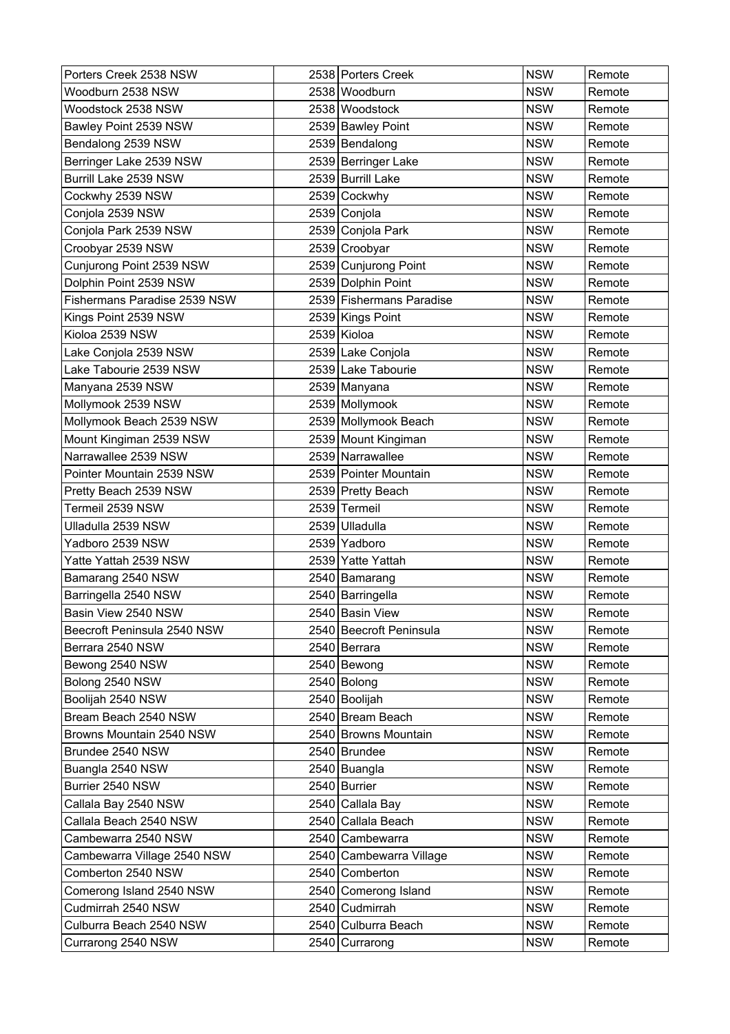| Porters Creek 2538 NSW       |      | 2538 Porters Creek       | <b>NSW</b> | Remote |
|------------------------------|------|--------------------------|------------|--------|
| Woodburn 2538 NSW            |      | 2538 Woodburn            | <b>NSW</b> | Remote |
| Woodstock 2538 NSW           |      | 2538 Woodstock           | <b>NSW</b> | Remote |
| Bawley Point 2539 NSW        |      | 2539 Bawley Point        | <b>NSW</b> | Remote |
| Bendalong 2539 NSW           |      | 2539 Bendalong           | <b>NSW</b> | Remote |
| Berringer Lake 2539 NSW      |      | 2539 Berringer Lake      | <b>NSW</b> | Remote |
| Burrill Lake 2539 NSW        |      | 2539 Burrill Lake        | <b>NSW</b> | Remote |
| Cockwhy 2539 NSW             |      | 2539 Cockwhy             | <b>NSW</b> | Remote |
| Conjola 2539 NSW             |      | 2539 Conjola             | <b>NSW</b> | Remote |
| Conjola Park 2539 NSW        |      | 2539 Conjola Park        | <b>NSW</b> | Remote |
| Croobyar 2539 NSW            |      | 2539 Croobyar            | <b>NSW</b> | Remote |
| Cunjurong Point 2539 NSW     |      | 2539 Cunjurong Point     | <b>NSW</b> | Remote |
| Dolphin Point 2539 NSW       |      | 2539 Dolphin Point       | <b>NSW</b> | Remote |
| Fishermans Paradise 2539 NSW |      | 2539 Fishermans Paradise | <b>NSW</b> | Remote |
| Kings Point 2539 NSW         |      | 2539 Kings Point         | <b>NSW</b> | Remote |
| Kioloa 2539 NSW              |      | 2539 Kioloa              | <b>NSW</b> | Remote |
| Lake Conjola 2539 NSW        |      | 2539 Lake Conjola        | <b>NSW</b> | Remote |
| Lake Tabourie 2539 NSW       |      | 2539 Lake Tabourie       | <b>NSW</b> | Remote |
| Manyana 2539 NSW             |      | 2539 Manyana             | <b>NSW</b> | Remote |
| Mollymook 2539 NSW           |      | 2539 Mollymook           | <b>NSW</b> | Remote |
| Mollymook Beach 2539 NSW     |      | 2539 Mollymook Beach     | <b>NSW</b> | Remote |
| Mount Kingiman 2539 NSW      |      | 2539 Mount Kingiman      | <b>NSW</b> | Remote |
| Narrawallee 2539 NSW         |      | 2539 Narrawallee         | <b>NSW</b> | Remote |
| Pointer Mountain 2539 NSW    |      | 2539 Pointer Mountain    | <b>NSW</b> | Remote |
| Pretty Beach 2539 NSW        |      | 2539 Pretty Beach        | <b>NSW</b> | Remote |
| Termeil 2539 NSW             |      | 2539 Termeil             | <b>NSW</b> | Remote |
| Ulladulla 2539 NSW           | 2539 | Ulladulla                | <b>NSW</b> | Remote |
| Yadboro 2539 NSW             |      | 2539 Yadboro             | <b>NSW</b> | Remote |
| Yatte Yattah 2539 NSW        |      | 2539 Yatte Yattah        | <b>NSW</b> | Remote |
| Bamarang 2540 NSW            |      | 2540 Bamarang            | <b>NSW</b> | Remote |
| Barringella 2540 NSW         |      | 2540 Barringella         | <b>NSW</b> | Remote |
| Basin View 2540 NSW          |      | 2540 Basin View          | <b>NSW</b> | Remote |
| Beecroft Peninsula 2540 NSW  |      | 2540 Beecroft Peninsula  | <b>NSW</b> | Remote |
| Berrara 2540 NSW             |      | 2540 Berrara             | <b>NSW</b> | Remote |
| Bewong 2540 NSW              |      | 2540 Bewong              | <b>NSW</b> | Remote |
| Bolong 2540 NSW              |      | $2540$ Bolong            | <b>NSW</b> | Remote |
| Boolijah 2540 NSW            |      | 2540 Boolijah            | <b>NSW</b> | Remote |
| Bream Beach 2540 NSW         |      | 2540 Bream Beach         | <b>NSW</b> | Remote |
| Browns Mountain 2540 NSW     |      | 2540 Browns Mountain     | <b>NSW</b> | Remote |
| Brundee 2540 NSW             |      | 2540 Brundee             | <b>NSW</b> | Remote |
| Buangla 2540 NSW             |      | 2540 Buangla             | <b>NSW</b> | Remote |
| Burrier 2540 NSW             |      | 2540 Burrier             | <b>NSW</b> | Remote |
| Callala Bay 2540 NSW         |      | 2540 Callala Bay         | <b>NSW</b> | Remote |
| Callala Beach 2540 NSW       |      | 2540 Callala Beach       | <b>NSW</b> | Remote |
| Cambewarra 2540 NSW          |      | 2540 Cambewarra          | <b>NSW</b> | Remote |
| Cambewarra Village 2540 NSW  |      | 2540 Cambewarra Village  | <b>NSW</b> | Remote |
| Comberton 2540 NSW           |      | 2540 Comberton           | <b>NSW</b> | Remote |
| Comerong Island 2540 NSW     |      | 2540 Comerong Island     | <b>NSW</b> | Remote |
| Cudmirrah 2540 NSW           |      | 2540 Cudmirrah           | <b>NSW</b> | Remote |
| Culburra Beach 2540 NSW      |      | 2540 Culburra Beach      | <b>NSW</b> | Remote |
| Currarong 2540 NSW           |      | 2540 Currarong           | <b>NSW</b> | Remote |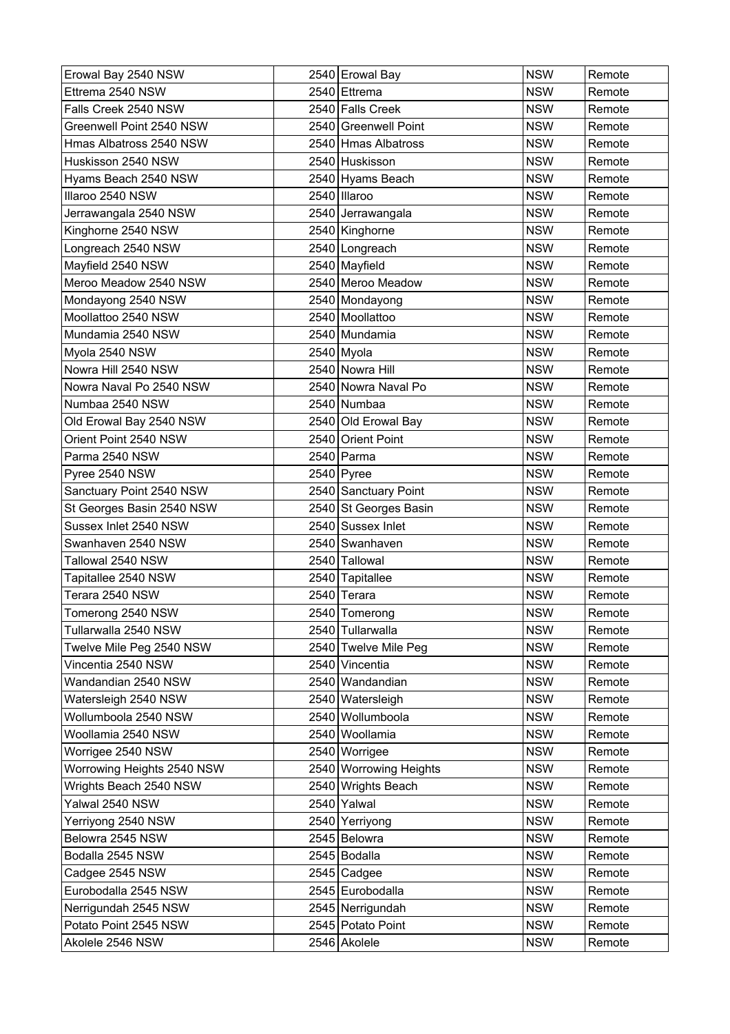| Erowal Bay 2540 NSW        | 2540 Erowal Bay        | <b>NSW</b> | Remote |
|----------------------------|------------------------|------------|--------|
| Ettrema 2540 NSW           | 2540 Ettrema           | <b>NSW</b> | Remote |
| Falls Creek 2540 NSW       | 2540 Falls Creek       | <b>NSW</b> | Remote |
| Greenwell Point 2540 NSW   | 2540 Greenwell Point   | <b>NSW</b> | Remote |
| Hmas Albatross 2540 NSW    | 2540 Hmas Albatross    | <b>NSW</b> | Remote |
| Huskisson 2540 NSW         | 2540 Huskisson         | <b>NSW</b> | Remote |
| Hyams Beach 2540 NSW       | 2540 Hyams Beach       | <b>NSW</b> | Remote |
| Illaroo 2540 NSW           | 2540 Illaroo           | <b>NSW</b> | Remote |
| Jerrawangala 2540 NSW      | 2540 Jerrawangala      | <b>NSW</b> | Remote |
| Kinghorne 2540 NSW         | 2540 Kinghorne         | <b>NSW</b> | Remote |
| Longreach 2540 NSW         | 2540 Longreach         | <b>NSW</b> | Remote |
| Mayfield 2540 NSW          | 2540 Mayfield          | <b>NSW</b> | Remote |
| Meroo Meadow 2540 NSW      | 2540 Meroo Meadow      | <b>NSW</b> | Remote |
| Mondayong 2540 NSW         | 2540 Mondayong         | <b>NSW</b> | Remote |
| Moollattoo 2540 NSW        | 2540 Moollattoo        | <b>NSW</b> | Remote |
| Mundamia 2540 NSW          | 2540 Mundamia          | <b>NSW</b> | Remote |
| Myola 2540 NSW             | 2540 Myola             | <b>NSW</b> | Remote |
| Nowra Hill 2540 NSW        | 2540 Nowra Hill        | <b>NSW</b> | Remote |
| Nowra Naval Po 2540 NSW    | 2540 Nowra Naval Po    | <b>NSW</b> | Remote |
| Numbaa 2540 NSW            | 2540 Numbaa            | <b>NSW</b> | Remote |
| Old Erowal Bay 2540 NSW    | 2540 Old Erowal Bay    | <b>NSW</b> | Remote |
| Orient Point 2540 NSW      | 2540 Orient Point      | <b>NSW</b> | Remote |
| Parma 2540 NSW             | 2540 Parma             | <b>NSW</b> | Remote |
| Pyree 2540 NSW             | $2540$ Pyree           | <b>NSW</b> | Remote |
| Sanctuary Point 2540 NSW   | 2540 Sanctuary Point   | <b>NSW</b> | Remote |
| St Georges Basin 2540 NSW  | 2540 St Georges Basin  | <b>NSW</b> | Remote |
| Sussex Inlet 2540 NSW      | 2540 Sussex Inlet      | <b>NSW</b> | Remote |
| Swanhaven 2540 NSW         | 2540 Swanhaven         | <b>NSW</b> | Remote |
| Tallowal 2540 NSW          | 2540 Tallowal          | <b>NSW</b> | Remote |
| Tapitallee 2540 NSW        | 2540 Tapitallee        | <b>NSW</b> | Remote |
| Terara 2540 NSW            | 2540 Terara            | <b>NSW</b> | Remote |
| Tomerong 2540 NSW          | 2540 Tomerong          | <b>NSW</b> | Remote |
| Tullarwalla 2540 NSW       | 2540 Tullarwalla       | <b>NSW</b> | Remote |
| Twelve Mile Peg 2540 NSW   | 2540 Twelve Mile Peg   | <b>NSW</b> | Remote |
| Vincentia 2540 NSW         | 2540 Vincentia         | <b>NSW</b> | Remote |
| Wandandian 2540 NSW        | 2540 Wandandian        | <b>NSW</b> | Remote |
| Watersleigh 2540 NSW       | 2540 Watersleigh       | <b>NSW</b> | Remote |
| Wollumboola 2540 NSW       | 2540 Wollumboola       | <b>NSW</b> | Remote |
| Woollamia 2540 NSW         | 2540 Woollamia         | <b>NSW</b> | Remote |
| Worrigee 2540 NSW          | 2540 Worrigee          | <b>NSW</b> | Remote |
| Worrowing Heights 2540 NSW | 2540 Worrowing Heights | <b>NSW</b> | Remote |
| Wrights Beach 2540 NSW     | 2540 Wrights Beach     | <b>NSW</b> | Remote |
| Yalwal 2540 NSW            | 2540 Yalwal            | <b>NSW</b> | Remote |
| Yerriyong 2540 NSW         | 2540 Yerriyong         | <b>NSW</b> | Remote |
| Belowra 2545 NSW           | 2545 Belowra           | <b>NSW</b> | Remote |
| Bodalla 2545 NSW           | 2545 Bodalla           | <b>NSW</b> | Remote |
| Cadgee 2545 NSW            | $2545$ Cadgee          | <b>NSW</b> | Remote |
| Eurobodalla 2545 NSW       | 2545 Eurobodalla       | <b>NSW</b> | Remote |
| Nerrigundah 2545 NSW       | 2545 Nerrigundah       | <b>NSW</b> | Remote |
| Potato Point 2545 NSW      | 2545 Potato Point      | <b>NSW</b> | Remote |
| Akolele 2546 NSW           | 2546 Akolele           | <b>NSW</b> | Remote |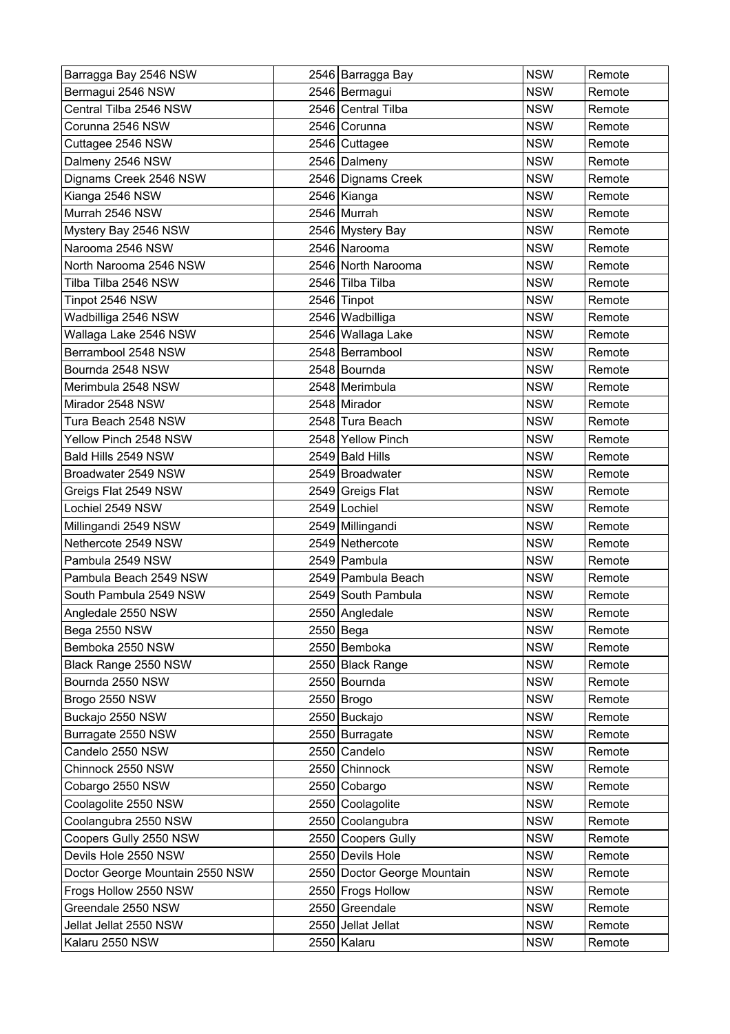| Barragga Bay 2546 NSW           | 2546 Barragga Bay           | <b>NSW</b> | Remote |
|---------------------------------|-----------------------------|------------|--------|
| Bermagui 2546 NSW               | 2546 Bermagui               | <b>NSW</b> | Remote |
| Central Tilba 2546 NSW          | 2546 Central Tilba          | <b>NSW</b> | Remote |
| Corunna 2546 NSW                | 2546 Corunna                | <b>NSW</b> | Remote |
| Cuttagee 2546 NSW               | 2546 Cuttagee               | <b>NSW</b> | Remote |
| Dalmeny 2546 NSW                | 2546 Dalmeny                | <b>NSW</b> | Remote |
| Dignams Creek 2546 NSW          | 2546 Dignams Creek          | <b>NSW</b> | Remote |
| Kianga 2546 NSW                 | 2546 Kianga                 | <b>NSW</b> | Remote |
| Murrah 2546 NSW                 | 2546 Murrah                 | <b>NSW</b> | Remote |
| Mystery Bay 2546 NSW            | 2546 Mystery Bay            | <b>NSW</b> | Remote |
| Narooma 2546 NSW                | 2546 Narooma                | <b>NSW</b> | Remote |
| North Narooma 2546 NSW          | 2546 North Narooma          | <b>NSW</b> | Remote |
| Tilba Tilba 2546 NSW            | 2546 Tilba Tilba            | <b>NSW</b> | Remote |
| Tinpot 2546 NSW                 | 2546 Tinpot                 | <b>NSW</b> | Remote |
| Wadbilliga 2546 NSW             | 2546 Wadbilliga             | <b>NSW</b> | Remote |
| Wallaga Lake 2546 NSW           | 2546 Wallaga Lake           | <b>NSW</b> | Remote |
| Berrambool 2548 NSW             | 2548 Berrambool             | <b>NSW</b> | Remote |
| Bournda 2548 NSW                | 2548 Bournda                | <b>NSW</b> | Remote |
| Merimbula 2548 NSW              | 2548 Merimbula              | <b>NSW</b> | Remote |
| Mirador 2548 NSW                | 2548 Mirador                | <b>NSW</b> | Remote |
| Tura Beach 2548 NSW             | 2548 Tura Beach             | <b>NSW</b> | Remote |
| Yellow Pinch 2548 NSW           | 2548 Yellow Pinch           | <b>NSW</b> | Remote |
| Bald Hills 2549 NSW             | 2549 Bald Hills             | <b>NSW</b> | Remote |
| Broadwater 2549 NSW             | 2549 Broadwater             | <b>NSW</b> | Remote |
| Greigs Flat 2549 NSW            | 2549 Greigs Flat            | <b>NSW</b> | Remote |
| Lochiel 2549 NSW                | 2549 Lochiel                | <b>NSW</b> | Remote |
| Millingandi 2549 NSW            | 2549 Millingandi            | <b>NSW</b> | Remote |
| Nethercote 2549 NSW             | 2549 Nethercote             | <b>NSW</b> | Remote |
| Pambula 2549 NSW                | 2549 Pambula                | <b>NSW</b> | Remote |
| Pambula Beach 2549 NSW          | 2549 Pambula Beach          | <b>NSW</b> | Remote |
| South Pambula 2549 NSW          | 2549 South Pambula          | <b>NSW</b> | Remote |
| Angledale 2550 NSW              | 2550 Angledale              | <b>NSW</b> | Remote |
| Bega 2550 NSW                   | $2550$ Bega                 | <b>NSW</b> | Remote |
| Bemboka 2550 NSW                | 2550 Bemboka                | <b>NSW</b> | Remote |
| Black Range 2550 NSW            | 2550 Black Range            | <b>NSW</b> | Remote |
| Bournda 2550 NSW                | 2550 Bournda                | <b>NSW</b> | Remote |
| Brogo 2550 NSW                  | 2550 Brogo                  | <b>NSW</b> | Remote |
| Buckajo 2550 NSW                | 2550 Buckajo                | <b>NSW</b> | Remote |
| Burragate 2550 NSW              | 2550 Burragate              | <b>NSW</b> | Remote |
| Candelo 2550 NSW                | 2550 Candelo                | <b>NSW</b> | Remote |
| Chinnock 2550 NSW               | 2550 Chinnock               | <b>NSW</b> | Remote |
| Cobargo 2550 NSW                | 2550 Cobargo                | <b>NSW</b> | Remote |
| Coolagolite 2550 NSW            | 2550 Coolagolite            | <b>NSW</b> | Remote |
| Coolangubra 2550 NSW            | 2550 Coolangubra            | <b>NSW</b> | Remote |
| Coopers Gully 2550 NSW          | 2550 Coopers Gully          | <b>NSW</b> | Remote |
| Devils Hole 2550 NSW            | 2550 Devils Hole            | <b>NSW</b> | Remote |
| Doctor George Mountain 2550 NSW | 2550 Doctor George Mountain | <b>NSW</b> | Remote |
| Frogs Hollow 2550 NSW           | 2550 Frogs Hollow           | <b>NSW</b> | Remote |
| Greendale 2550 NSW              | 2550 Greendale              | <b>NSW</b> | Remote |
| Jellat Jellat 2550 NSW          | 2550 Jellat Jellat          | <b>NSW</b> | Remote |
| Kalaru 2550 NSW                 | 2550 Kalaru                 | <b>NSW</b> | Remote |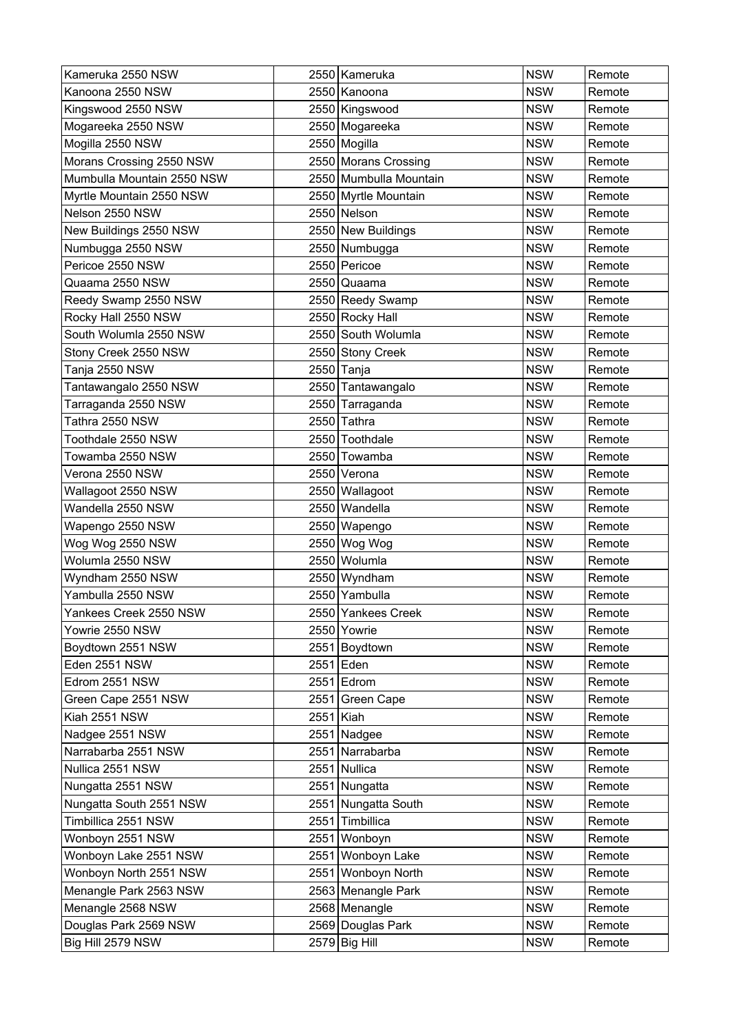| Kameruka 2550 NSW          |      | 2550 Kameruka          | <b>NSW</b> | Remote |
|----------------------------|------|------------------------|------------|--------|
| Kanoona 2550 NSW           |      | 2550 Kanoona           | <b>NSW</b> | Remote |
| Kingswood 2550 NSW         |      | 2550 Kingswood         | <b>NSW</b> | Remote |
| Mogareeka 2550 NSW         |      | 2550 Mogareeka         | <b>NSW</b> | Remote |
| Mogilla 2550 NSW           |      | 2550 Mogilla           | <b>NSW</b> | Remote |
| Morans Crossing 2550 NSW   |      | 2550 Morans Crossing   | <b>NSW</b> | Remote |
| Mumbulla Mountain 2550 NSW |      | 2550 Mumbulla Mountain | <b>NSW</b> | Remote |
| Myrtle Mountain 2550 NSW   |      | 2550 Myrtle Mountain   | <b>NSW</b> | Remote |
| Nelson 2550 NSW            |      | 2550 Nelson            | <b>NSW</b> | Remote |
| New Buildings 2550 NSW     |      | 2550 New Buildings     | <b>NSW</b> | Remote |
| Numbugga 2550 NSW          |      | 2550 Numbugga          | <b>NSW</b> | Remote |
| Pericoe 2550 NSW           |      | 2550 Pericoe           | <b>NSW</b> | Remote |
| Quaama 2550 NSW            |      | 2550 Quaama            | <b>NSW</b> | Remote |
| Reedy Swamp 2550 NSW       |      | 2550 Reedy Swamp       | <b>NSW</b> | Remote |
| Rocky Hall 2550 NSW        |      | 2550 Rocky Hall        | <b>NSW</b> | Remote |
| South Wolumla 2550 NSW     |      | 2550 South Wolumla     | <b>NSW</b> | Remote |
| Stony Creek 2550 NSW       |      | 2550 Stony Creek       | <b>NSW</b> | Remote |
| Tanja 2550 NSW             |      | 2550 Tanja             | <b>NSW</b> | Remote |
| Tantawangalo 2550 NSW      |      | 2550 Tantawangalo      | <b>NSW</b> | Remote |
| Tarraganda 2550 NSW        |      | 2550 Tarraganda        | <b>NSW</b> | Remote |
| Tathra 2550 NSW            |      | 2550 Tathra            | <b>NSW</b> | Remote |
| Toothdale 2550 NSW         |      | 2550 Toothdale         | <b>NSW</b> | Remote |
| Towamba 2550 NSW           |      | 2550 Towamba           | <b>NSW</b> | Remote |
| Verona 2550 NSW            |      | 2550 Verona            | <b>NSW</b> | Remote |
| Wallagoot 2550 NSW         |      | 2550 Wallagoot         | <b>NSW</b> | Remote |
| Wandella 2550 NSW          | 2550 | Wandella               | <b>NSW</b> | Remote |
| Wapengo 2550 NSW           | 2550 | Wapengo                | <b>NSW</b> | Remote |
| Wog Wog 2550 NSW           |      | 2550 Wog Wog           | <b>NSW</b> | Remote |
| Wolumla 2550 NSW           |      | 2550 Wolumla           | <b>NSW</b> | Remote |
| Wyndham 2550 NSW           |      | 2550 Wyndham           | <b>NSW</b> | Remote |
| Yambulla 2550 NSW          |      | 2550 Yambulla          | <b>NSW</b> | Remote |
| Yankees Creek 2550 NSW     |      | 2550 Yankees Creek     | <b>NSW</b> | Remote |
| Yowrie 2550 NSW            |      | 2550 Yowrie            | <b>NSW</b> | Remote |
| Boydtown 2551 NSW          |      | 2551 Boydtown          | <b>NSW</b> | Remote |
| Eden 2551 NSW              |      | 2551 Eden              | <b>NSW</b> | Remote |
| Edrom 2551 NSW             |      | $2551$ Edrom           | <b>NSW</b> | Remote |
| Green Cape 2551 NSW        | 2551 | Green Cape             | <b>NSW</b> | Remote |
| Kiah 2551 NSW              | 2551 | Kiah                   | <b>NSW</b> | Remote |
| Nadgee 2551 NSW            |      | 2551 Nadgee            | <b>NSW</b> | Remote |
| Narrabarba 2551 NSW        |      | 2551 Narrabarba        | <b>NSW</b> | Remote |
| Nullica 2551 NSW           | 2551 | Nullica                | <b>NSW</b> | Remote |
| Nungatta 2551 NSW          |      | 2551 Nungatta          | <b>NSW</b> | Remote |
| Nungatta South 2551 NSW    |      | 2551 Nungatta South    | <b>NSW</b> | Remote |
| Timbillica 2551 NSW        | 2551 | Timbillica             | <b>NSW</b> | Remote |
| Wonboyn 2551 NSW           |      | 2551 Wonboyn           | <b>NSW</b> | Remote |
| Wonboyn Lake 2551 NSW      | 2551 | Wonboyn Lake           | <b>NSW</b> | Remote |
| Wonboyn North 2551 NSW     |      | 2551 Wonboyn North     | <b>NSW</b> | Remote |
| Menangle Park 2563 NSW     |      | 2563 Menangle Park     | <b>NSW</b> | Remote |
| Menangle 2568 NSW          |      | 2568 Menangle          | <b>NSW</b> | Remote |
| Douglas Park 2569 NSW      |      | 2569 Douglas Park      | <b>NSW</b> | Remote |
| Big Hill 2579 NSW          |      | 2579 Big Hill          | <b>NSW</b> | Remote |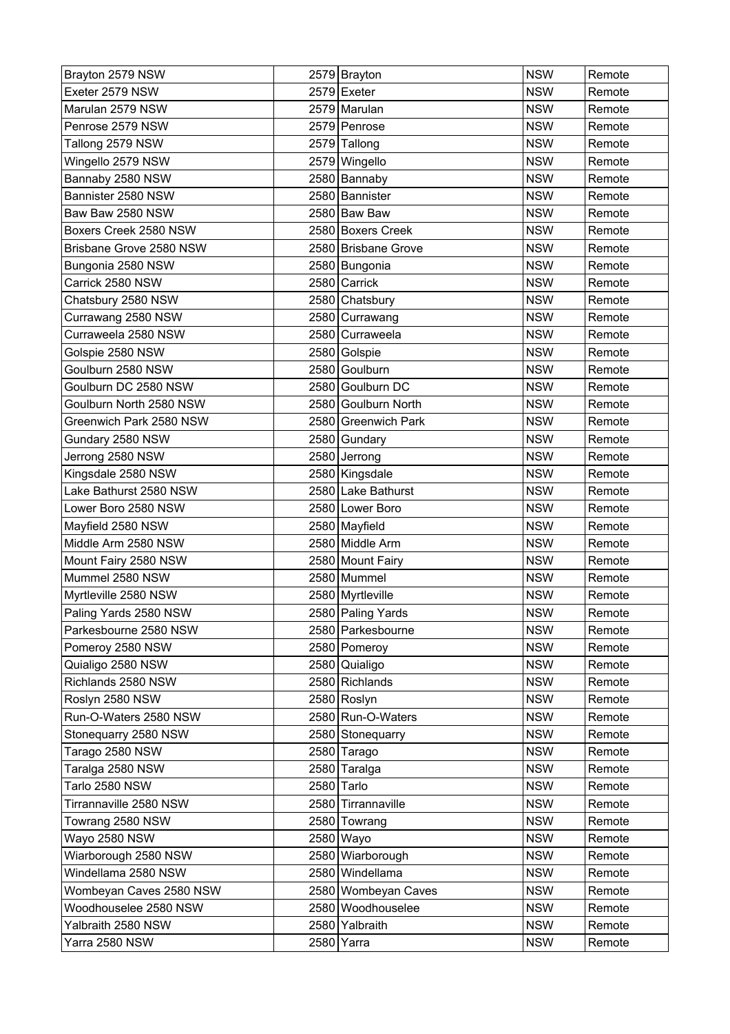| Brayton 2579 NSW        | 2579 Brayton        | <b>NSW</b> | Remote |
|-------------------------|---------------------|------------|--------|
| Exeter 2579 NSW         | 2579 Exeter         | <b>NSW</b> | Remote |
| Marulan 2579 NSW        | 2579 Marulan        | <b>NSW</b> | Remote |
| Penrose 2579 NSW        | 2579 Penrose        | <b>NSW</b> | Remote |
| Tallong 2579 NSW        | 2579 Tallong        | <b>NSW</b> | Remote |
| Wingello 2579 NSW       | 2579 Wingello       | <b>NSW</b> | Remote |
| Bannaby 2580 NSW        | 2580 Bannaby        | <b>NSW</b> | Remote |
| Bannister 2580 NSW      | 2580 Bannister      | <b>NSW</b> | Remote |
| Baw Baw 2580 NSW        | 2580 Baw Baw        | <b>NSW</b> | Remote |
| Boxers Creek 2580 NSW   | 2580 Boxers Creek   | <b>NSW</b> | Remote |
| Brisbane Grove 2580 NSW | 2580 Brisbane Grove | <b>NSW</b> | Remote |
| Bungonia 2580 NSW       | 2580 Bungonia       | <b>NSW</b> | Remote |
| Carrick 2580 NSW        | 2580 Carrick        | <b>NSW</b> | Remote |
| Chatsbury 2580 NSW      | 2580 Chatsbury      | <b>NSW</b> | Remote |
| Currawang 2580 NSW      | 2580 Currawang      | <b>NSW</b> | Remote |
| Curraweela 2580 NSW     | 2580 Curraweela     | <b>NSW</b> | Remote |
| Golspie 2580 NSW        | 2580 Golspie        | <b>NSW</b> | Remote |
| Goulburn 2580 NSW       | 2580 Goulburn       | <b>NSW</b> | Remote |
| Goulburn DC 2580 NSW    | 2580 Goulburn DC    | <b>NSW</b> | Remote |
| Goulburn North 2580 NSW | 2580 Goulburn North | <b>NSW</b> | Remote |
| Greenwich Park 2580 NSW | 2580 Greenwich Park | <b>NSW</b> | Remote |
| Gundary 2580 NSW        | 2580 Gundary        | <b>NSW</b> | Remote |
| Jerrong 2580 NSW        | 2580 Jerrong        | <b>NSW</b> | Remote |
| Kingsdale 2580 NSW      | 2580 Kingsdale      | <b>NSW</b> | Remote |
| Lake Bathurst 2580 NSW  | 2580 Lake Bathurst  | <b>NSW</b> | Remote |
| Lower Boro 2580 NSW     | 2580 Lower Boro     | <b>NSW</b> | Remote |
| Mayfield 2580 NSW       | 2580 Mayfield       | <b>NSW</b> | Remote |
| Middle Arm 2580 NSW     | 2580 Middle Arm     | <b>NSW</b> | Remote |
| Mount Fairy 2580 NSW    | 2580 Mount Fairy    | <b>NSW</b> | Remote |
| Mummel 2580 NSW         | 2580 Mummel         | <b>NSW</b> | Remote |
| Myrtleville 2580 NSW    | 2580 Myrtleville    | <b>NSW</b> | Remote |
| Paling Yards 2580 NSW   | 2580   Paling Yards | <b>NSW</b> | Remote |
| Parkesbourne 2580 NSW   | 2580 Parkesbourne   | <b>NSW</b> | Remote |
| Pomeroy 2580 NSW        | 2580 Pomeroy        | <b>NSW</b> | Remote |
| Quialigo 2580 NSW       | 2580 Quialigo       | <b>NSW</b> | Remote |
| Richlands 2580 NSW      | 2580 Richlands      | <b>NSW</b> | Remote |
| Roslyn 2580 NSW         | 2580 Roslyn         | <b>NSW</b> | Remote |
| Run-O-Waters 2580 NSW   | 2580 Run-O-Waters   | <b>NSW</b> | Remote |
| Stonequarry 2580 NSW    | 2580 Stonequarry    | <b>NSW</b> | Remote |
| Tarago 2580 NSW         | 2580 Tarago         | <b>NSW</b> | Remote |
| Taralga 2580 NSW        | 2580 Taralga        | <b>NSW</b> | Remote |
| Tarlo 2580 NSW          | 2580 Tarlo          | <b>NSW</b> | Remote |
| Tirrannaville 2580 NSW  | 2580 Tirrannaville  | <b>NSW</b> | Remote |
| Towrang 2580 NSW        | 2580 Towrang        | <b>NSW</b> | Remote |
| Wayo 2580 NSW           | 2580 Wayo           | <b>NSW</b> | Remote |
| Wiarborough 2580 NSW    | 2580 Wiarborough    | <b>NSW</b> | Remote |
| Windellama 2580 NSW     | 2580 Windellama     | <b>NSW</b> | Remote |
| Wombeyan Caves 2580 NSW | 2580 Wombeyan Caves | <b>NSW</b> | Remote |
| Woodhouselee 2580 NSW   | 2580 Woodhouselee   | <b>NSW</b> | Remote |
| Yalbraith 2580 NSW      | 2580 Yalbraith      | <b>NSW</b> | Remote |
| Yarra 2580 NSW          | 2580 Yarra          | <b>NSW</b> | Remote |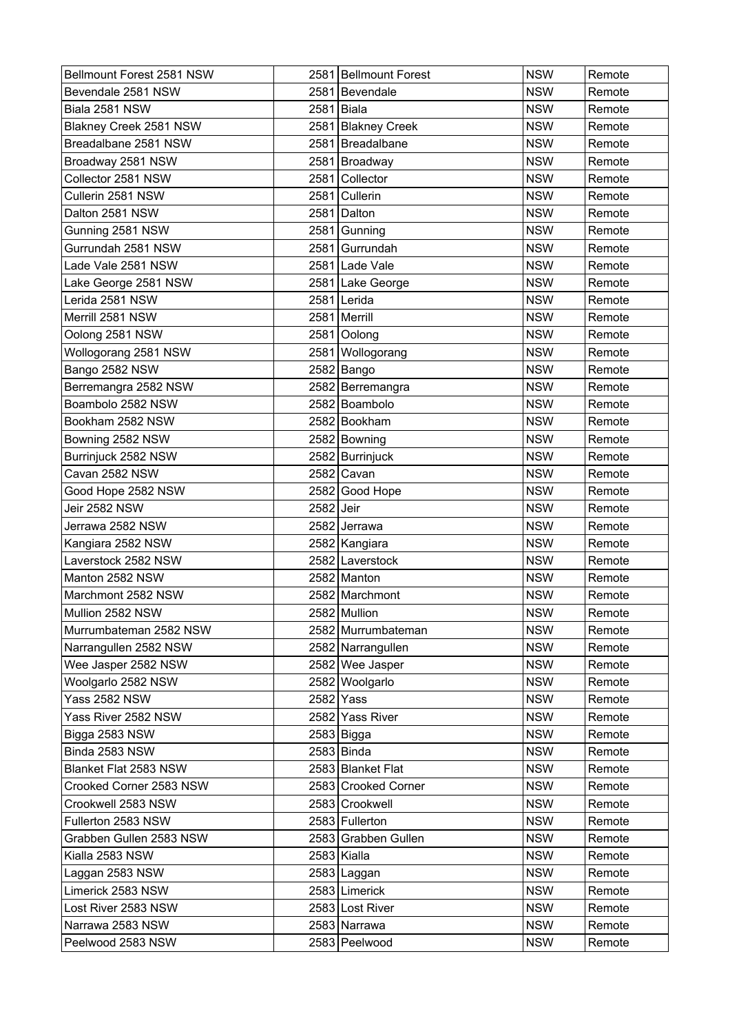| Bellmount Forest 2581 NSW |           | 2581 Bellmount Forest | <b>NSW</b> | Remote |
|---------------------------|-----------|-----------------------|------------|--------|
| Bevendale 2581 NSW        |           | 2581 Bevendale        | <b>NSW</b> | Remote |
| Biala 2581 NSW            |           | 2581 Biala            | <b>NSW</b> | Remote |
| Blakney Creek 2581 NSW    | 2581      | <b>Blakney Creek</b>  | <b>NSW</b> | Remote |
| Breadalbane 2581 NSW      | 2581      | Breadalbane           | <b>NSW</b> | Remote |
| Broadway 2581 NSW         |           | 2581 Broadway         | <b>NSW</b> | Remote |
| Collector 2581 NSW        | 2581      | Collector             | <b>NSW</b> | Remote |
| Cullerin 2581 NSW         |           | 2581 Cullerin         | <b>NSW</b> | Remote |
| Dalton 2581 NSW           |           | 2581 Dalton           | <b>NSW</b> | Remote |
| Gunning 2581 NSW          |           | 2581 Gunning          | <b>NSW</b> | Remote |
| Gurrundah 2581 NSW        |           | 2581 Gurrundah        | <b>NSW</b> | Remote |
| Lade Vale 2581 NSW        |           | 2581 Lade Vale        | <b>NSW</b> | Remote |
| Lake George 2581 NSW      |           | 2581 Lake George      | <b>NSW</b> | Remote |
| Lerida 2581 NSW           |           | 2581 Lerida           | <b>NSW</b> | Remote |
| Merrill 2581 NSW          |           | 2581   Merrill        | <b>NSW</b> | Remote |
| Oolong 2581 NSW           |           | 2581 Oolong           | <b>NSW</b> | Remote |
| Wollogorang 2581 NSW      |           | 2581 Wollogorang      | <b>NSW</b> | Remote |
| Bango 2582 NSW            |           | 2582 Bango            | <b>NSW</b> | Remote |
| Berremangra 2582 NSW      |           | 2582 Berremangra      | <b>NSW</b> | Remote |
| Boambolo 2582 NSW         |           | 2582 Boambolo         | <b>NSW</b> | Remote |
| Bookham 2582 NSW          |           | 2582 Bookham          | <b>NSW</b> | Remote |
| Bowning 2582 NSW          |           | 2582 Bowning          | <b>NSW</b> | Remote |
| Burrinjuck 2582 NSW       |           | 2582 Burrinjuck       | <b>NSW</b> | Remote |
| Cavan 2582 NSW            |           | 2582 Cavan            | <b>NSW</b> | Remote |
| Good Hope 2582 NSW        |           | 2582 Good Hope        | <b>NSW</b> | Remote |
| Jeir 2582 NSW             | 2582 Jeir |                       | <b>NSW</b> | Remote |
| Jerrawa 2582 NSW          |           | 2582 Jerrawa          | <b>NSW</b> | Remote |
| Kangiara 2582 NSW         |           | 2582 Kangiara         | <b>NSW</b> | Remote |
| Laverstock 2582 NSW       |           | 2582 Laverstock       | <b>NSW</b> | Remote |
| Manton 2582 NSW           |           | 2582 Manton           | <b>NSW</b> | Remote |
| Marchmont 2582 NSW        |           | 2582 Marchmont        | <b>NSW</b> | Remote |
| Mullion 2582 NSW          |           | 2582 Mullion          | <b>NSW</b> | Remote |
| Murrumbateman 2582 NSW    |           | 2582 Murrumbateman    | <b>NSW</b> | Remote |
| Narrangullen 2582 NSW     |           | 2582 Narrangullen     | <b>NSW</b> | Remote |
| Wee Jasper 2582 NSW       |           | 2582 Wee Jasper       | <b>NSW</b> | Remote |
| Woolgarlo 2582 NSW        |           | 2582 Woolgarlo        | <b>NSW</b> | Remote |
| <b>Yass 2582 NSW</b>      |           | 2582 Yass             | <b>NSW</b> | Remote |
| Yass River 2582 NSW       |           | 2582 Yass River       | <b>NSW</b> | Remote |
| Bigga 2583 NSW            |           | $2583$ Bigga          | <b>NSW</b> | Remote |
| Binda 2583 NSW            |           | $2583$ Binda          | <b>NSW</b> | Remote |
| Blanket Flat 2583 NSW     |           | 2583 Blanket Flat     | <b>NSW</b> | Remote |
| Crooked Corner 2583 NSW   |           | 2583 Crooked Corner   | <b>NSW</b> | Remote |
| Crookwell 2583 NSW        |           | 2583 Crookwell        | <b>NSW</b> | Remote |
| Fullerton 2583 NSW        |           | 2583 Fullerton        | <b>NSW</b> | Remote |
| Grabben Gullen 2583 NSW   |           | 2583 Grabben Gullen   | <b>NSW</b> | Remote |
| Kialla 2583 NSW           |           | 2583 Kialla           | <b>NSW</b> | Remote |
| Laggan 2583 NSW           |           | 2583 Laggan           | <b>NSW</b> | Remote |
| Limerick 2583 NSW         |           | 2583 Limerick         | <b>NSW</b> | Remote |
| Lost River 2583 NSW       |           | 2583 Lost River       | <b>NSW</b> | Remote |
| Narrawa 2583 NSW          |           | 2583 Narrawa          | <b>NSW</b> | Remote |
| Peelwood 2583 NSW         |           | 2583 Peelwood         | <b>NSW</b> | Remote |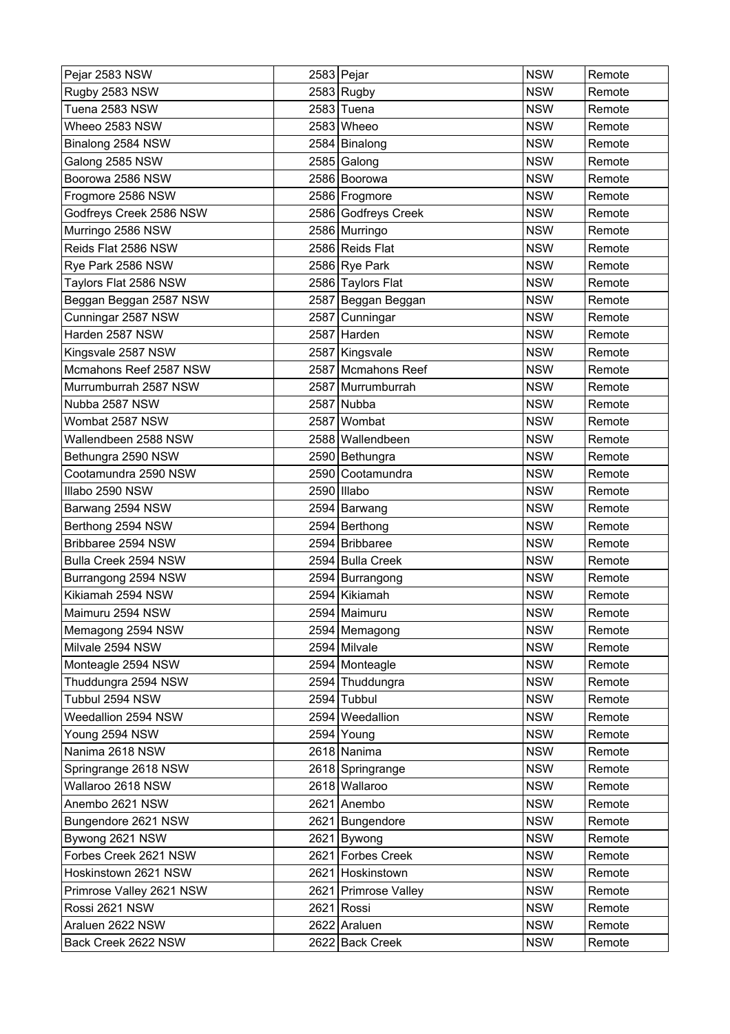| Pejar 2583 NSW           |      | 2583 Pejar           | <b>NSW</b> | Remote |
|--------------------------|------|----------------------|------------|--------|
| Rugby 2583 NSW           |      | $2583$ Rugby         | <b>NSW</b> | Remote |
| Tuena 2583 NSW           |      | 2583 Tuena           | <b>NSW</b> | Remote |
| Wheeo 2583 NSW           |      | 2583 Wheeo           | <b>NSW</b> | Remote |
| Binalong 2584 NSW        |      | 2584 Binalong        | <b>NSW</b> | Remote |
| Galong 2585 NSW          |      | 2585 Galong          | <b>NSW</b> | Remote |
| Boorowa 2586 NSW         |      | 2586 Boorowa         | <b>NSW</b> | Remote |
| Frogmore 2586 NSW        |      | 2586 Frogmore        | <b>NSW</b> | Remote |
| Godfreys Creek 2586 NSW  |      | 2586 Godfreys Creek  | <b>NSW</b> | Remote |
| Murringo 2586 NSW        |      | 2586 Murringo        | <b>NSW</b> | Remote |
| Reids Flat 2586 NSW      |      | 2586 Reids Flat      | <b>NSW</b> | Remote |
| Rye Park 2586 NSW        |      | 2586 Rye Park        | <b>NSW</b> | Remote |
| Taylors Flat 2586 NSW    |      | 2586 Taylors Flat    | <b>NSW</b> | Remote |
| Beggan Beggan 2587 NSW   |      | 2587 Beggan Beggan   | <b>NSW</b> | Remote |
| Cunningar 2587 NSW       |      | 2587 Cunningar       | <b>NSW</b> | Remote |
| Harden 2587 NSW          |      | 2587 Harden          | <b>NSW</b> | Remote |
| Kingsvale 2587 NSW       |      | 2587 Kingsvale       | <b>NSW</b> | Remote |
| Mcmahons Reef 2587 NSW   |      | 2587 Mcmahons Reef   | <b>NSW</b> | Remote |
| Murrumburrah 2587 NSW    |      | 2587 Murrumburrah    | <b>NSW</b> | Remote |
| Nubba 2587 NSW           |      | 2587 Nubba           | <b>NSW</b> | Remote |
| Wombat 2587 NSW          | 2587 | Wombat               | <b>NSW</b> | Remote |
| Wallendbeen 2588 NSW     |      | 2588 Wallendbeen     | <b>NSW</b> | Remote |
| Bethungra 2590 NSW       |      | 2590 Bethungra       | <b>NSW</b> | Remote |
| Cootamundra 2590 NSW     |      | 2590 Cootamundra     | <b>NSW</b> | Remote |
| Illabo 2590 NSW          |      | 2590 Illabo          | <b>NSW</b> | Remote |
| Barwang 2594 NSW         |      | 2594 Barwang         | <b>NSW</b> | Remote |
| Berthong 2594 NSW        |      | 2594 Berthong        | <b>NSW</b> | Remote |
| Bribbaree 2594 NSW       |      | 2594 Bribbaree       | <b>NSW</b> | Remote |
| Bulla Creek 2594 NSW     |      | 2594 Bulla Creek     | <b>NSW</b> | Remote |
| Burrangong 2594 NSW      |      | 2594   Burrangong    | <b>NSW</b> | Remote |
| Kikiamah 2594 NSW        |      | 2594 Kikiamah        | <b>NSW</b> | Remote |
| Maimuru 2594 NSW         |      | 2594 Maimuru         | <b>NSW</b> | Remote |
| Memagong 2594 NSW        |      | 2594 Memagong        | <b>NSW</b> | Remote |
| Milvale 2594 NSW         |      | 2594 Milvale         | <b>NSW</b> | Remote |
| Monteagle 2594 NSW       |      | 2594 Monteagle       | <b>NSW</b> | Remote |
| Thuddungra 2594 NSW      |      | 2594 Thuddungra      | <b>NSW</b> | Remote |
| Tubbul 2594 NSW          |      | 2594 Tubbul          | <b>NSW</b> | Remote |
| Weedallion 2594 NSW      |      | 2594 Weedallion      | <b>NSW</b> | Remote |
| Young 2594 NSW           |      | 2594 Young           | <b>NSW</b> | Remote |
| Nanima 2618 NSW          |      | 2618 Nanima          | <b>NSW</b> | Remote |
| Springrange 2618 NSW     |      | 2618 Springrange     | <b>NSW</b> | Remote |
| Wallaroo 2618 NSW        |      | 2618 Wallaroo        | <b>NSW</b> | Remote |
| Anembo 2621 NSW          |      | 2621 Anembo          | <b>NSW</b> | Remote |
| Bungendore 2621 NSW      |      | 2621 Bungendore      | <b>NSW</b> | Remote |
| Bywong 2621 NSW          |      | 2621 Bywong          | <b>NSW</b> | Remote |
| Forbes Creek 2621 NSW    |      | 2621 Forbes Creek    | <b>NSW</b> | Remote |
| Hoskinstown 2621 NSW     |      | 2621 Hoskinstown     | <b>NSW</b> | Remote |
| Primrose Valley 2621 NSW |      | 2621 Primrose Valley | <b>NSW</b> | Remote |
| Rossi 2621 NSW           |      | 2621 Rossi           | <b>NSW</b> | Remote |
| Araluen 2622 NSW         |      | 2622 Araluen         | <b>NSW</b> | Remote |
| Back Creek 2622 NSW      |      | 2622 Back Creek      | <b>NSW</b> | Remote |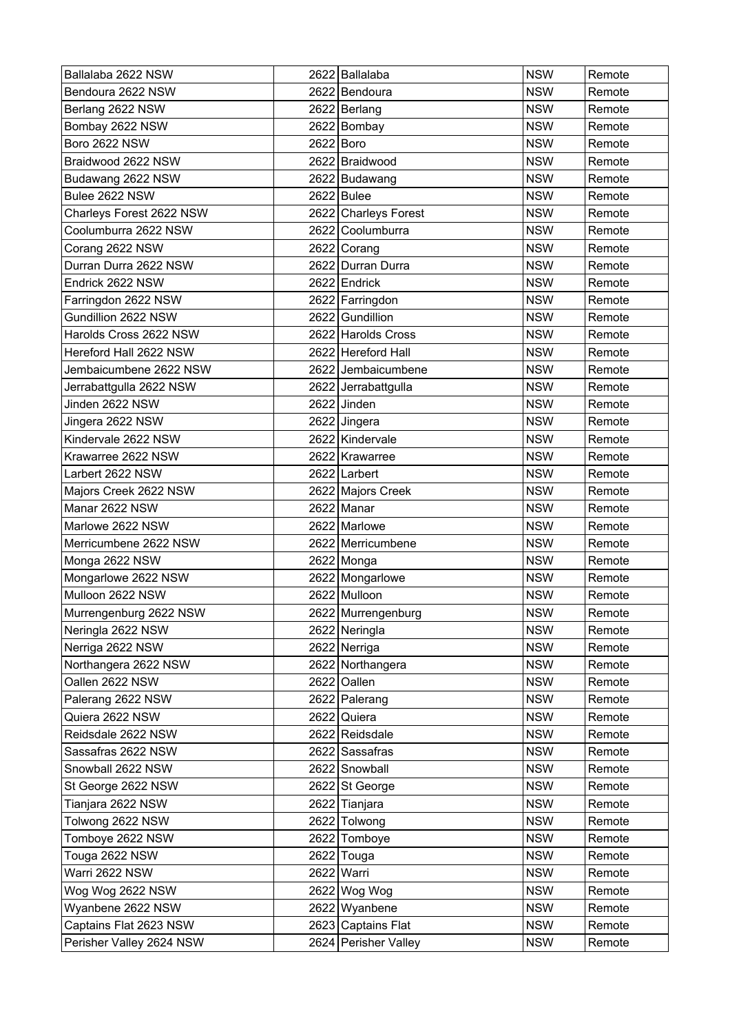| Ballalaba 2622 NSW       |           | 2622 Ballalaba       | <b>NSW</b> | Remote |
|--------------------------|-----------|----------------------|------------|--------|
| Bendoura 2622 NSW        |           | 2622 Bendoura        | <b>NSW</b> | Remote |
| Berlang 2622 NSW         |           | 2622 Berlang         | <b>NSW</b> | Remote |
| Bombay 2622 NSW          |           | 2622 Bombay          | <b>NSW</b> | Remote |
| <b>Boro 2622 NSW</b>     | 2622 Boro |                      | <b>NSW</b> | Remote |
| Braidwood 2622 NSW       |           | 2622 Braidwood       | <b>NSW</b> | Remote |
| Budawang 2622 NSW        |           | 2622 Budawang        | <b>NSW</b> | Remote |
| Bulee 2622 NSW           |           | 2622 Bulee           | <b>NSW</b> | Remote |
| Charleys Forest 2622 NSW |           | 2622 Charleys Forest | <b>NSW</b> | Remote |
| Coolumburra 2622 NSW     |           | 2622 Coolumburra     | <b>NSW</b> | Remote |
| Corang 2622 NSW          |           | 2622 Corang          | <b>NSW</b> | Remote |
| Durran Durra 2622 NSW    |           | 2622 Durran Durra    | <b>NSW</b> | Remote |
| Endrick 2622 NSW         |           | 2622 Endrick         | <b>NSW</b> | Remote |
| Farringdon 2622 NSW      |           | 2622 Farringdon      | <b>NSW</b> | Remote |
| Gundillion 2622 NSW      |           | 2622 Gundillion      | <b>NSW</b> | Remote |
| Harolds Cross 2622 NSW   |           | 2622 Harolds Cross   | <b>NSW</b> | Remote |
| Hereford Hall 2622 NSW   |           | 2622 Hereford Hall   | <b>NSW</b> | Remote |
| Jembaicumbene 2622 NSW   |           | 2622 Jembaicumbene   | <b>NSW</b> | Remote |
| Jerrabattgulla 2622 NSW  |           | 2622 Jerrabattgulla  | <b>NSW</b> | Remote |
| Jinden 2622 NSW          |           | 2622 Jinden          | <b>NSW</b> | Remote |
| Jingera 2622 NSW         |           | 2622 Jingera         | <b>NSW</b> | Remote |
| Kindervale 2622 NSW      |           | 2622 Kindervale      | <b>NSW</b> | Remote |
| Krawarree 2622 NSW       |           | 2622 Krawarree       | <b>NSW</b> | Remote |
| Larbert 2622 NSW         |           | 2622 Larbert         | <b>NSW</b> | Remote |
| Majors Creek 2622 NSW    |           | 2622 Majors Creek    | <b>NSW</b> | Remote |
| Manar 2622 NSW           |           | 2622 Manar           | <b>NSW</b> | Remote |
| Marlowe 2622 NSW         |           | 2622 Marlowe         | <b>NSW</b> | Remote |
| Merricumbene 2622 NSW    |           | 2622 Merricumbene    | <b>NSW</b> | Remote |
| Monga 2622 NSW           |           | 2622 Monga           | <b>NSW</b> | Remote |
| Mongarlowe 2622 NSW      |           | 2622 Mongarlowe      | <b>NSW</b> | Remote |
| Mulloon 2622 NSW         |           | 2622 Mulloon         | <b>NSW</b> | Remote |
| Murrengenburg 2622 NSW   |           | 2622 Murrengenburg   | <b>NSW</b> | Remote |
| Neringla 2622 NSW        |           | 2622 Neringla        | <b>NSW</b> | Remote |
| Nerriga 2622 NSW         |           | 2622 Nerriga         | <b>NSW</b> | Remote |
| Northangera 2622 NSW     |           | 2622 Northangera     | <b>NSW</b> | Remote |
| Oallen 2622 NSW          |           | 2622 Oallen          | <b>NSW</b> | Remote |
| Palerang 2622 NSW        |           | 2622 Palerang        | <b>NSW</b> | Remote |
| Quiera 2622 NSW          |           | 2622 Quiera          | <b>NSW</b> | Remote |
| Reidsdale 2622 NSW       |           | 2622 Reidsdale       | <b>NSW</b> | Remote |
| Sassafras 2622 NSW       |           | 2622 Sassafras       | <b>NSW</b> | Remote |
| Snowball 2622 NSW        |           | 2622 Snowball        | <b>NSW</b> | Remote |
| St George 2622 NSW       |           | 2622 St George       | <b>NSW</b> | Remote |
| Tianjara 2622 NSW        |           | 2622 Tianjara        | <b>NSW</b> | Remote |
| Tolwong 2622 NSW         |           | 2622 Tolwong         | <b>NSW</b> | Remote |
| Tomboye 2622 NSW         |           | 2622 Tomboye         | <b>NSW</b> | Remote |
| Touga 2622 NSW           |           | 2622 Touga           | <b>NSW</b> | Remote |
| Warri 2622 NSW           |           | 2622 Warri           | <b>NSW</b> | Remote |
| Wog Wog 2622 NSW         |           | 2622 Wog Wog         | <b>NSW</b> | Remote |
| Wyanbene 2622 NSW        |           | 2622 Wyanbene        | <b>NSW</b> | Remote |
| Captains Flat 2623 NSW   |           | 2623 Captains Flat   | <b>NSW</b> | Remote |
| Perisher Valley 2624 NSW |           | 2624 Perisher Valley | <b>NSW</b> | Remote |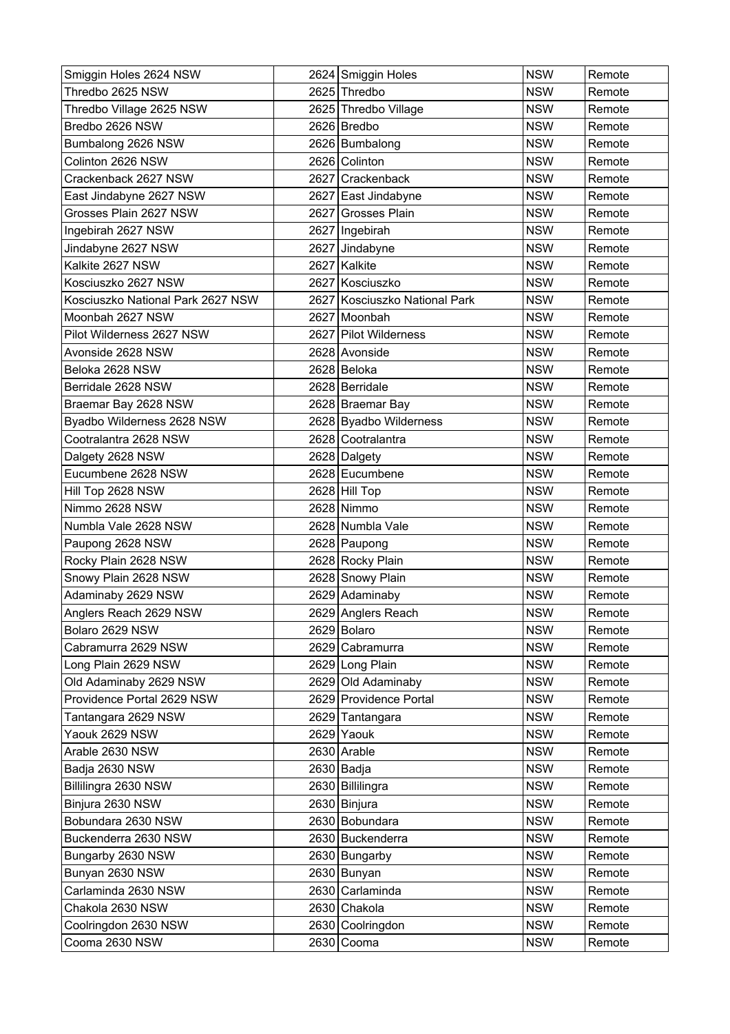| Smiggin Holes 2624 NSW            |      | 2624 Smiggin Holes            | <b>NSW</b> | Remote |
|-----------------------------------|------|-------------------------------|------------|--------|
| Thredbo 2625 NSW                  |      | 2625 Thredbo                  | <b>NSW</b> | Remote |
| Thredbo Village 2625 NSW          |      | 2625 Thredbo Village          | <b>NSW</b> | Remote |
| Bredbo 2626 NSW                   |      | 2626 Bredbo                   | <b>NSW</b> | Remote |
| Bumbalong 2626 NSW                |      | 2626 Bumbalong                | <b>NSW</b> | Remote |
| Colinton 2626 NSW                 |      | 2626 Colinton                 | <b>NSW</b> | Remote |
| Crackenback 2627 NSW              |      | 2627 Crackenback              | <b>NSW</b> | Remote |
| East Jindabyne 2627 NSW           |      | 2627 East Jindabyne           | <b>NSW</b> | Remote |
| Grosses Plain 2627 NSW            |      | 2627 Grosses Plain            | <b>NSW</b> | Remote |
| Ingebirah 2627 NSW                |      | 2627   Ingebirah              | <b>NSW</b> | Remote |
| Jindabyne 2627 NSW                |      | 2627 Jindabyne                | <b>NSW</b> | Remote |
| Kalkite 2627 NSW                  |      | 2627 Kalkite                  | <b>NSW</b> | Remote |
| Kosciuszko 2627 NSW               |      | 2627 Kosciuszko               | <b>NSW</b> | Remote |
| Kosciuszko National Park 2627 NSW |      | 2627 Kosciuszko National Park | <b>NSW</b> | Remote |
| Moonbah 2627 NSW                  | 2627 | Moonbah                       | <b>NSW</b> | Remote |
| Pilot Wilderness 2627 NSW         |      | 2627 Pilot Wilderness         | <b>NSW</b> | Remote |
| Avonside 2628 NSW                 |      | 2628 Avonside                 | <b>NSW</b> | Remote |
| Beloka 2628 NSW                   |      | 2628 Beloka                   | <b>NSW</b> | Remote |
| Berridale 2628 NSW                |      | 2628 Berridale                | <b>NSW</b> | Remote |
| Braemar Bay 2628 NSW              |      | 2628 Braemar Bay              | <b>NSW</b> | Remote |
| Byadbo Wilderness 2628 NSW        |      | 2628 Byadbo Wilderness        | <b>NSW</b> | Remote |
| Cootralantra 2628 NSW             |      | 2628 Cootralantra             | <b>NSW</b> | Remote |
| Dalgety 2628 NSW                  |      | 2628 Dalgety                  | <b>NSW</b> | Remote |
| Eucumbene 2628 NSW                |      | 2628 Eucumbene                | <b>NSW</b> | Remote |
| Hill Top 2628 NSW                 |      | 2628 Hill Top                 | <b>NSW</b> | Remote |
| Nimmo 2628 NSW                    |      | 2628 Nimmo                    | <b>NSW</b> | Remote |
| Numbla Vale 2628 NSW              |      | 2628 Numbla Vale              | <b>NSW</b> | Remote |
| Paupong 2628 NSW                  |      | 2628 Paupong                  | <b>NSW</b> | Remote |
| Rocky Plain 2628 NSW              |      | 2628 Rocky Plain              | <b>NSW</b> | Remote |
| Snowy Plain 2628 NSW              |      | 2628 Snowy Plain              | <b>NSW</b> | Remote |
| Adaminaby 2629 NSW                |      | 2629 Adaminaby                | <b>NSW</b> | Remote |
| Anglers Reach 2629 NSW            |      | 2629 Anglers Reach            | <b>NSW</b> | Remote |
| Bolaro 2629 NSW                   |      | 2629 Bolaro                   | <b>NSW</b> | Remote |
| Cabramurra 2629 NSW               |      | 2629 Cabramurra               | <b>NSW</b> | Remote |
| Long Plain 2629 NSW               |      | 2629 Long Plain               | <b>NSW</b> | Remote |
| Old Adaminaby 2629 NSW            |      | 2629 Old Adaminaby            | <b>NSW</b> | Remote |
| Providence Portal 2629 NSW        |      | 2629 Providence Portal        | <b>NSW</b> | Remote |
| Tantangara 2629 NSW               |      | 2629 Tantangara               | <b>NSW</b> | Remote |
| Yaouk 2629 NSW                    |      | 2629 Yaouk                    | <b>NSW</b> | Remote |
| Arable 2630 NSW                   |      | 2630 Arable                   | <b>NSW</b> | Remote |
| Badja 2630 NSW                    |      | 2630 Badja                    | <b>NSW</b> | Remote |
| Billilingra 2630 NSW              |      | 2630 Billilingra              | <b>NSW</b> | Remote |
| Binjura 2630 NSW                  |      | 2630 Binjura                  | <b>NSW</b> | Remote |
| Bobundara 2630 NSW                |      | 2630 Bobundara                | <b>NSW</b> | Remote |
| Buckenderra 2630 NSW              |      | 2630 Buckenderra              | <b>NSW</b> | Remote |
| Bungarby 2630 NSW                 |      | 2630 Bungarby                 | <b>NSW</b> | Remote |
| Bunyan 2630 NSW                   |      | 2630 Bunyan                   | <b>NSW</b> | Remote |
| Carlaminda 2630 NSW               |      | 2630 Carlaminda               | <b>NSW</b> | Remote |
| Chakola 2630 NSW                  |      | 2630 Chakola                  | <b>NSW</b> | Remote |
| Coolringdon 2630 NSW              |      | 2630 Coolringdon              | <b>NSW</b> | Remote |
| Cooma 2630 NSW                    |      | 2630 Cooma                    | <b>NSW</b> | Remote |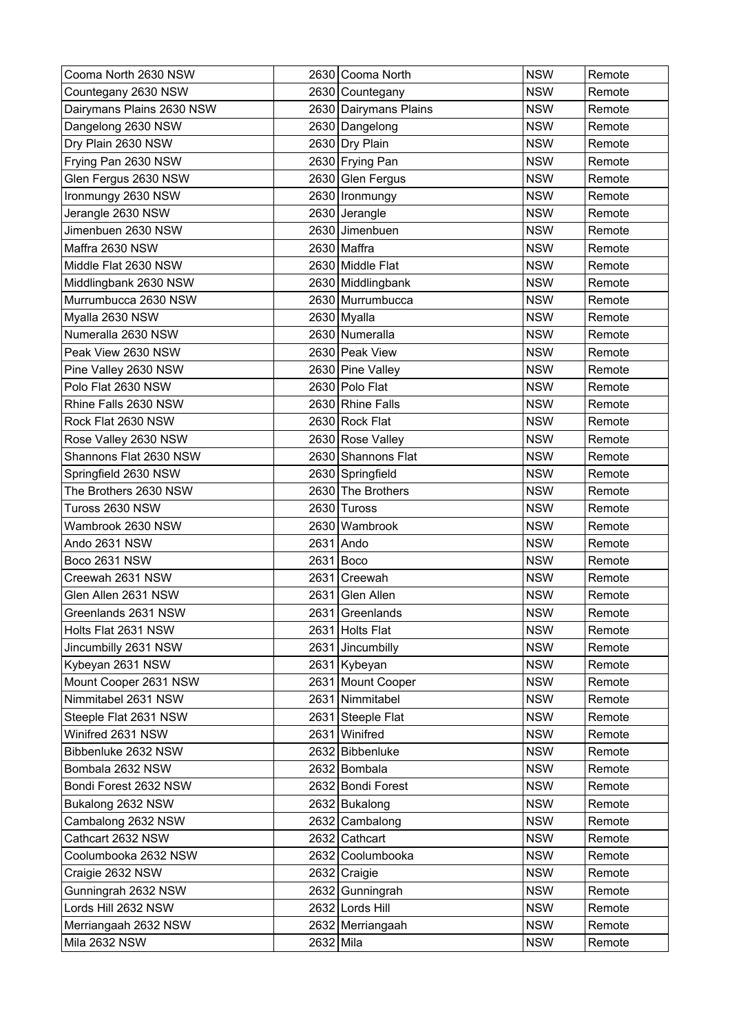| Cooma North 2630 NSW      |           | 2630 Cooma North      | <b>NSW</b> | Remote |
|---------------------------|-----------|-----------------------|------------|--------|
| Countegany 2630 NSW       |           | 2630 Countegany       | <b>NSW</b> | Remote |
| Dairymans Plains 2630 NSW |           | 2630 Dairymans Plains | <b>NSW</b> | Remote |
| Dangelong 2630 NSW        |           | 2630 Dangelong        | <b>NSW</b> | Remote |
| Dry Plain 2630 NSW        |           | 2630 Dry Plain        | <b>NSW</b> | Remote |
| Frying Pan 2630 NSW       |           | 2630 Frying Pan       | <b>NSW</b> | Remote |
| Glen Fergus 2630 NSW      |           | 2630 Glen Fergus      | <b>NSW</b> | Remote |
| Ironmungy 2630 NSW        |           | 2630   Ironmungy      | <b>NSW</b> | Remote |
| Jerangle 2630 NSW         |           | 2630 Jerangle         | <b>NSW</b> | Remote |
| Jimenbuen 2630 NSW        |           | 2630 Jimenbuen        | <b>NSW</b> | Remote |
| Maffra 2630 NSW           |           | 2630 Maffra           | <b>NSW</b> | Remote |
| Middle Flat 2630 NSW      |           | 2630 Middle Flat      | <b>NSW</b> | Remote |
| Middlingbank 2630 NSW     |           | 2630 Middlingbank     | <b>NSW</b> | Remote |
| Murrumbucca 2630 NSW      |           | 2630 Murrumbucca      | <b>NSW</b> | Remote |
| Myalla 2630 NSW           |           | 2630 Myalla           | <b>NSW</b> | Remote |
| Numeralla 2630 NSW        |           | 2630 Numeralla        | <b>NSW</b> | Remote |
| Peak View 2630 NSW        |           | 2630 Peak View        | <b>NSW</b> | Remote |
| Pine Valley 2630 NSW      |           | 2630 Pine Valley      | <b>NSW</b> | Remote |
| Polo Flat 2630 NSW        |           | 2630 Polo Flat        | <b>NSW</b> | Remote |
| Rhine Falls 2630 NSW      |           | 2630 Rhine Falls      | <b>NSW</b> | Remote |
| Rock Flat 2630 NSW        |           | 2630 Rock Flat        | <b>NSW</b> | Remote |
| Rose Valley 2630 NSW      |           | 2630 Rose Valley      | <b>NSW</b> | Remote |
| Shannons Flat 2630 NSW    |           | 2630 Shannons Flat    | <b>NSW</b> | Remote |
| Springfield 2630 NSW      |           | 2630 Springfield      | <b>NSW</b> | Remote |
| The Brothers 2630 NSW     |           | 2630 The Brothers     | <b>NSW</b> | Remote |
| Tuross 2630 NSW           |           | 2630 Tuross           | <b>NSW</b> | Remote |
| Wambrook 2630 NSW         | 2630      | Wambrook              | <b>NSW</b> | Remote |
| Ando 2631 NSW             |           | 2631 Ando             | <b>NSW</b> | Remote |
| Boco 2631 NSW             |           | $2631$ Boco           | <b>NSW</b> | Remote |
| Creewah 2631 NSW          | 2631      | <b>Creewah</b>        | <b>NSW</b> | Remote |
| Glen Allen 2631 NSW       | 2631      | Glen Allen            | <b>NSW</b> | Remote |
| Greenlands 2631 NSW       |           | 2631 Greenlands       | <b>NSW</b> | Remote |
| Holts Flat 2631 NSW       |           | 2631 Holts Flat       | <b>NSW</b> | Remote |
| Jincumbilly 2631 NSW      |           | 2631 Jincumbilly      | <b>NSW</b> | Remote |
| Kybeyan 2631 NSW          |           | 2631 Kybeyan          | <b>NSW</b> | Remote |
| Mount Cooper 2631 NSW     |           | 2631 Mount Cooper     | <b>NSW</b> | Remote |
| Nimmitabel 2631 NSW       |           | 2631 Nimmitabel       | <b>NSW</b> | Remote |
| Steeple Flat 2631 NSW     |           | 2631 Steeple Flat     | <b>NSW</b> | Remote |
| Winifred 2631 NSW         |           | 2631 Winifred         | <b>NSW</b> | Remote |
| Bibbenluke 2632 NSW       |           | 2632 Bibbenluke       | <b>NSW</b> | Remote |
| Bombala 2632 NSW          |           | 2632 Bombala          | <b>NSW</b> | Remote |
| Bondi Forest 2632 NSW     |           | 2632 Bondi Forest     | <b>NSW</b> | Remote |
| Bukalong 2632 NSW         |           | 2632 Bukalong         | <b>NSW</b> | Remote |
| Cambalong 2632 NSW        |           | 2632 Cambalong        | <b>NSW</b> | Remote |
| Cathcart 2632 NSW         |           | 2632 Cathcart         | <b>NSW</b> | Remote |
| Coolumbooka 2632 NSW      |           | 2632 Coolumbooka      | <b>NSW</b> | Remote |
| Craigie 2632 NSW          |           | 2632 Craigie          | <b>NSW</b> | Remote |
| Gunningrah 2632 NSW       |           | 2632 Gunningrah       | <b>NSW</b> | Remote |
| Lords Hill 2632 NSW       |           | 2632 Lords Hill       | <b>NSW</b> | Remote |
| Merriangaah 2632 NSW      |           | 2632 Merriangaah      | <b>NSW</b> | Remote |
| Mila 2632 NSW             | 2632 Mila |                       | <b>NSW</b> | Remote |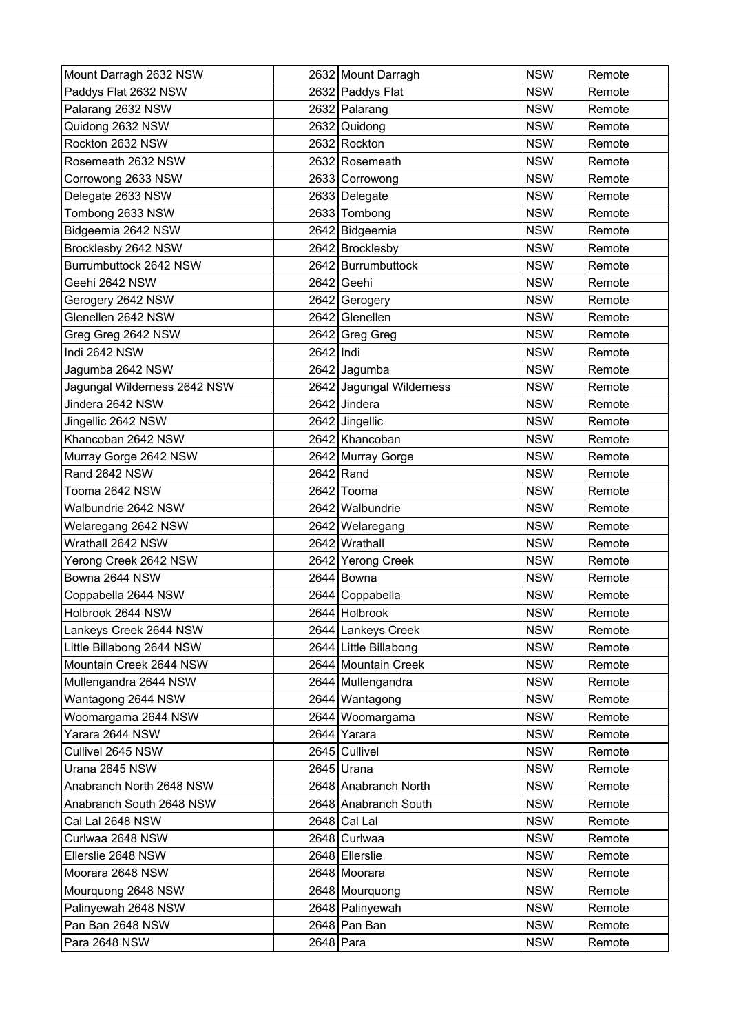| Mount Darragh 2632 NSW       |           | 2632 Mount Darragh       | <b>NSW</b> | Remote |
|------------------------------|-----------|--------------------------|------------|--------|
| Paddys Flat 2632 NSW         |           | 2632 Paddys Flat         | <b>NSW</b> | Remote |
| Palarang 2632 NSW            |           | 2632 Palarang            | <b>NSW</b> | Remote |
| Quidong 2632 NSW             |           | 2632 Quidong             | <b>NSW</b> | Remote |
| Rockton 2632 NSW             |           | 2632 Rockton             | <b>NSW</b> | Remote |
| Rosemeath 2632 NSW           |           | 2632 Rosemeath           | <b>NSW</b> | Remote |
| Corrowong 2633 NSW           |           | 2633 Corrowong           | <b>NSW</b> | Remote |
| Delegate 2633 NSW            |           | 2633 Delegate            | <b>NSW</b> | Remote |
| Tombong 2633 NSW             |           | 2633 Tombong             | <b>NSW</b> | Remote |
| Bidgeemia 2642 NSW           |           | 2642 Bidgeemia           | <b>NSW</b> | Remote |
| Brocklesby 2642 NSW          |           | 2642 Brocklesby          | <b>NSW</b> | Remote |
| Burrumbuttock 2642 NSW       |           | 2642 Burrumbuttock       | <b>NSW</b> | Remote |
| Geehi 2642 NSW               |           | 2642 Geehi               | <b>NSW</b> | Remote |
| Gerogery 2642 NSW            |           | 2642 Gerogery            | <b>NSW</b> | Remote |
| Glenellen 2642 NSW           |           | 2642 Glenellen           | <b>NSW</b> | Remote |
| Greg Greg 2642 NSW           |           | 2642 Greg Greg           | <b>NSW</b> | Remote |
| Indi 2642 NSW                | 2642 Indi |                          | <b>NSW</b> | Remote |
| Jagumba 2642 NSW             |           | 2642 Jagumba             | <b>NSW</b> | Remote |
| Jagungal Wilderness 2642 NSW |           | 2642 Jagungal Wilderness | <b>NSW</b> | Remote |
| Jindera 2642 NSW             |           | 2642 Jindera             | <b>NSW</b> | Remote |
| Jingellic 2642 NSW           |           | 2642 Jingellic           | <b>NSW</b> | Remote |
| Khancoban 2642 NSW           |           | 2642 Khancoban           | <b>NSW</b> | Remote |
| Murray Gorge 2642 NSW        |           | 2642 Murray Gorge        | <b>NSW</b> | Remote |
| Rand 2642 NSW                |           | 2642 Rand                | <b>NSW</b> | Remote |
| Tooma 2642 NSW               |           | 2642 Tooma               | <b>NSW</b> | Remote |
| Walbundrie 2642 NSW          |           | 2642 Walbundrie          | <b>NSW</b> | Remote |
| Welaregang 2642 NSW          |           | 2642 Welaregang          | <b>NSW</b> | Remote |
| Wrathall 2642 NSW            |           | 2642 Wrathall            | <b>NSW</b> | Remote |
| Yerong Creek 2642 NSW        |           | 2642 Yerong Creek        | <b>NSW</b> | Remote |
| Bowna 2644 NSW               |           | 2644 Bowna               | <b>NSW</b> | Remote |
| Coppabella 2644 NSW          |           | 2644 Coppabella          | <b>NSW</b> | Remote |
| Holbrook 2644 NSW            |           | 2644 Holbrook            | <b>NSW</b> | Remote |
| Lankeys Creek 2644 NSW       |           | 2644 Lankeys Creek       | <b>NSW</b> | Remote |
| Little Billabong 2644 NSW    |           | 2644 Little Billabong    | <b>NSW</b> | Remote |
| Mountain Creek 2644 NSW      |           | 2644 Mountain Creek      | <b>NSW</b> | Remote |
| Mullengandra 2644 NSW        |           | 2644 Mullengandra        | <b>NSW</b> | Remote |
| Wantagong 2644 NSW           |           | 2644 Wantagong           | <b>NSW</b> | Remote |
| Woomargama 2644 NSW          |           | 2644 Woomargama          | <b>NSW</b> | Remote |
| Yarara 2644 NSW              |           | 2644 Yarara              | <b>NSW</b> | Remote |
| Cullivel 2645 NSW            |           | 2645 Cullivel            | <b>NSW</b> | Remote |
| Urana 2645 NSW               |           | 2645 Urana               | <b>NSW</b> | Remote |
| Anabranch North 2648 NSW     |           | 2648 Anabranch North     | <b>NSW</b> | Remote |
| Anabranch South 2648 NSW     |           | 2648 Anabranch South     | <b>NSW</b> | Remote |
| Cal Lal 2648 NSW             |           | $2648$ Cal Lal           | <b>NSW</b> | Remote |
| Curlwaa 2648 NSW             |           | 2648 Curlwaa             | <b>NSW</b> | Remote |
| Ellerslie 2648 NSW           |           | 2648 Ellerslie           | <b>NSW</b> | Remote |
| Moorara 2648 NSW             |           | 2648 Moorara             | <b>NSW</b> | Remote |
| Mourquong 2648 NSW           |           | 2648 Mourquong           | <b>NSW</b> | Remote |
| Palinyewah 2648 NSW          |           | 2648 Palinyewah          | <b>NSW</b> | Remote |
| Pan Ban 2648 NSW             |           | 2648 Pan Ban             | <b>NSW</b> | Remote |
| Para 2648 NSW                | 2648 Para |                          | <b>NSW</b> | Remote |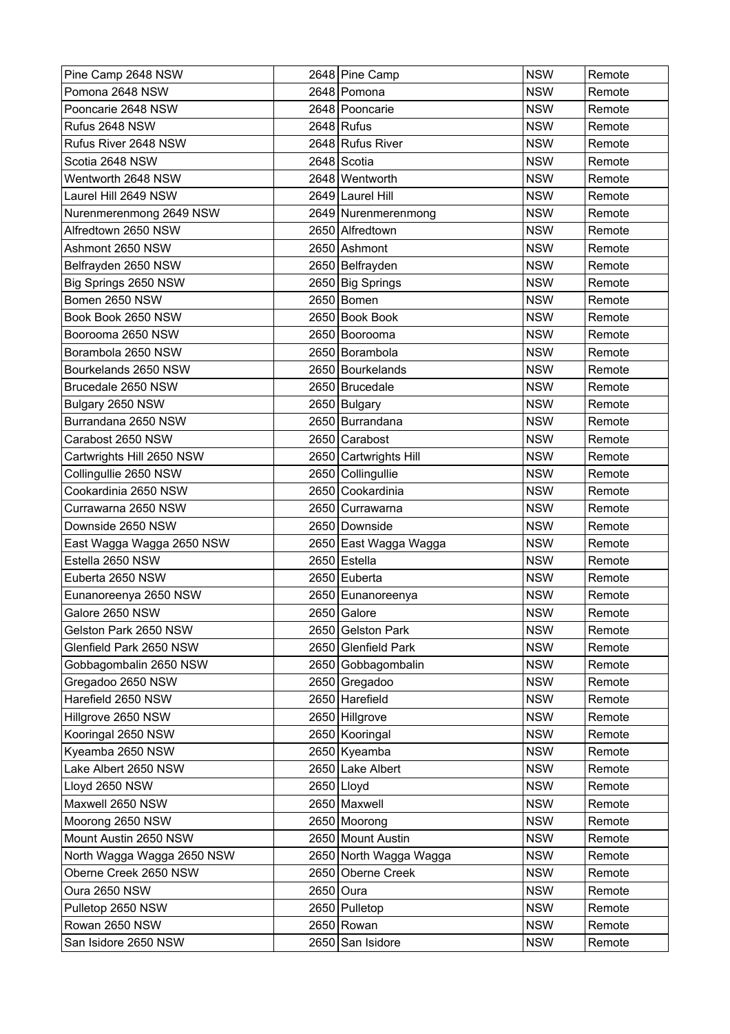| Pine Camp 2648 NSW         | 2648 Pine Camp         | <b>NSW</b> | Remote |
|----------------------------|------------------------|------------|--------|
| Pomona 2648 NSW            | 2648 Pomona            | <b>NSW</b> | Remote |
| Pooncarie 2648 NSW         | 2648 Pooncarie         | <b>NSW</b> | Remote |
| Rufus 2648 NSW             | $2648$ Rufus           | <b>NSW</b> | Remote |
| Rufus River 2648 NSW       | 2648 Rufus River       | <b>NSW</b> | Remote |
| Scotia 2648 NSW            | 2648 Scotia            | <b>NSW</b> | Remote |
| Wentworth 2648 NSW         | 2648 Wentworth         | <b>NSW</b> | Remote |
| Laurel Hill 2649 NSW       | 2649 Laurel Hill       | <b>NSW</b> | Remote |
| Nurenmerenmong 2649 NSW    | 2649 Nurenmerenmong    | <b>NSW</b> | Remote |
| Alfredtown 2650 NSW        | 2650 Alfredtown        | <b>NSW</b> | Remote |
| Ashmont 2650 NSW           | 2650 Ashmont           | <b>NSW</b> | Remote |
| Belfrayden 2650 NSW        | 2650 Belfrayden        | <b>NSW</b> | Remote |
| Big Springs 2650 NSW       | 2650 Big Springs       | <b>NSW</b> | Remote |
| Bomen 2650 NSW             | 2650 Bomen             | <b>NSW</b> | Remote |
| Book Book 2650 NSW         | 2650 Book Book         | <b>NSW</b> | Remote |
| Boorooma 2650 NSW          | 2650 Boorooma          | <b>NSW</b> | Remote |
| Borambola 2650 NSW         | 2650 Borambola         | <b>NSW</b> | Remote |
| Bourkelands 2650 NSW       | 2650 Bourkelands       | <b>NSW</b> | Remote |
| Brucedale 2650 NSW         | 2650 Brucedale         | <b>NSW</b> | Remote |
| Bulgary 2650 NSW           | 2650 Bulgary           | <b>NSW</b> | Remote |
| Burrandana 2650 NSW        | 2650 Burrandana        | <b>NSW</b> | Remote |
| Carabost 2650 NSW          | 2650 Carabost          | <b>NSW</b> | Remote |
| Cartwrights Hill 2650 NSW  | 2650 Cartwrights Hill  | <b>NSW</b> | Remote |
| Collingullie 2650 NSW      | 2650 Collingullie      | <b>NSW</b> | Remote |
| Cookardinia 2650 NSW       | 2650 Cookardinia       | <b>NSW</b> | Remote |
| Currawarna 2650 NSW        | 2650 Currawarna        | <b>NSW</b> | Remote |
| Downside 2650 NSW          | 2650 Downside          | <b>NSW</b> | Remote |
| East Wagga Wagga 2650 NSW  | 2650 East Wagga Wagga  | <b>NSW</b> | Remote |
| Estella 2650 NSW           | 2650 Estella           | <b>NSW</b> | Remote |
| Euberta 2650 NSW           | 2650 Euberta           | <b>NSW</b> | Remote |
| Eunanoreenya 2650 NSW      | 2650 Eunanoreenya      | <b>NSW</b> | Remote |
| Galore 2650 NSW            | 2650 Galore            | <b>NSW</b> | Remote |
| Gelston Park 2650 NSW      | 2650 Gelston Park      | <b>NSW</b> | Remote |
| Glenfield Park 2650 NSW    | 2650 Glenfield Park    | <b>NSW</b> | Remote |
| Gobbagombalin 2650 NSW     | 2650 Gobbagombalin     | <b>NSW</b> | Remote |
| Gregadoo 2650 NSW          | 2650 Gregadoo          | <b>NSW</b> | Remote |
| Harefield 2650 NSW         | 2650 Harefield         | <b>NSW</b> | Remote |
| Hillgrove 2650 NSW         | 2650 Hillgrove         | <b>NSW</b> | Remote |
| Kooringal 2650 NSW         | 2650 Kooringal         | <b>NSW</b> | Remote |
| Kyeamba 2650 NSW           | 2650 Kyeamba           | <b>NSW</b> | Remote |
| Lake Albert 2650 NSW       | 2650 Lake Albert       | <b>NSW</b> | Remote |
| Lloyd 2650 NSW             | 2650 Lloyd             | <b>NSW</b> | Remote |
| Maxwell 2650 NSW           | 2650 Maxwell           | <b>NSW</b> | Remote |
| Moorong 2650 NSW           | 2650 Moorong           | <b>NSW</b> | Remote |
| Mount Austin 2650 NSW      | 2650 Mount Austin      | <b>NSW</b> | Remote |
| North Wagga Wagga 2650 NSW | 2650 North Wagga Wagga | <b>NSW</b> | Remote |
| Oberne Creek 2650 NSW      | 2650 Oberne Creek      | <b>NSW</b> | Remote |
| Oura 2650 NSW              | 2650 Oura              | <b>NSW</b> | Remote |
| Pulletop 2650 NSW          | 2650 Pulletop          | <b>NSW</b> | Remote |
| Rowan 2650 NSW             | 2650 Rowan             | <b>NSW</b> | Remote |
| San Isidore 2650 NSW       | 2650 San Isidore       | <b>NSW</b> | Remote |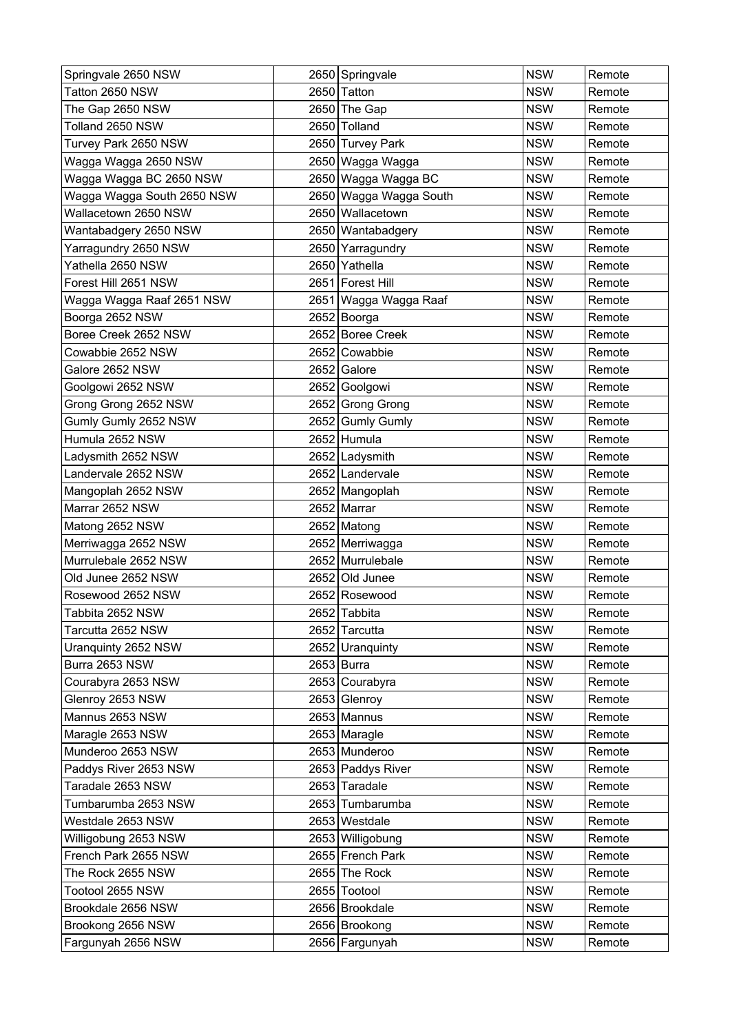| Springvale 2650 NSW        | 2650 Springvale        | <b>NSW</b> | Remote |
|----------------------------|------------------------|------------|--------|
| Tatton 2650 NSW            | 2650 Tatton            | <b>NSW</b> | Remote |
| The Gap 2650 NSW           | 2650 The Gap           | <b>NSW</b> | Remote |
| Tolland 2650 NSW           | 2650 Tolland           | <b>NSW</b> | Remote |
| Turvey Park 2650 NSW       | 2650 Turvey Park       | <b>NSW</b> | Remote |
| Wagga Wagga 2650 NSW       | 2650 Wagga Wagga       | <b>NSW</b> | Remote |
| Wagga Wagga BC 2650 NSW    | 2650 Wagga Wagga BC    | <b>NSW</b> | Remote |
| Wagga Wagga South 2650 NSW | 2650 Wagga Wagga South | <b>NSW</b> | Remote |
| Wallacetown 2650 NSW       | 2650 Wallacetown       | <b>NSW</b> | Remote |
| Wantabadgery 2650 NSW      | 2650 Wantabadgery      | <b>NSW</b> | Remote |
| Yarragundry 2650 NSW       | 2650 Yarragundry       | <b>NSW</b> | Remote |
| Yathella 2650 NSW          | 2650 Yathella          | <b>NSW</b> | Remote |
| Forest Hill 2651 NSW       | 2651 Forest Hill       | <b>NSW</b> | Remote |
| Wagga Wagga Raaf 2651 NSW  | 2651 Wagga Wagga Raaf  | <b>NSW</b> | Remote |
| Boorga 2652 NSW            | 2652 Boorga            | <b>NSW</b> | Remote |
| Boree Creek 2652 NSW       | 2652 Boree Creek       | <b>NSW</b> | Remote |
| Cowabbie 2652 NSW          | 2652 Cowabbie          | <b>NSW</b> | Remote |
| Galore 2652 NSW            | 2652 Galore            | <b>NSW</b> | Remote |
| Goolgowi 2652 NSW          | 2652 Goolgowi          | <b>NSW</b> | Remote |
| Grong Grong 2652 NSW       | 2652 Grong Grong       | <b>NSW</b> | Remote |
| Gumly Gumly 2652 NSW       | 2652 Gumly Gumly       | <b>NSW</b> | Remote |
| Humula 2652 NSW            | 2652 Humula            | <b>NSW</b> | Remote |
| Ladysmith 2652 NSW         | 2652 Ladysmith         | <b>NSW</b> | Remote |
| Landervale 2652 NSW        | 2652 Landervale        | <b>NSW</b> | Remote |
| Mangoplah 2652 NSW         | 2652 Mangoplah         | <b>NSW</b> | Remote |
| Marrar 2652 NSW            | 2652 Marrar            | <b>NSW</b> | Remote |
| Matong 2652 NSW            | 2652 Matong            | <b>NSW</b> | Remote |
| Merriwagga 2652 NSW        | 2652 Merriwagga        | <b>NSW</b> | Remote |
| Murrulebale 2652 NSW       | 2652 Murrulebale       | <b>NSW</b> | Remote |
| Old Junee 2652 NSW         | 2652 Old Junee         | <b>NSW</b> | Remote |
| Rosewood 2652 NSW          | 2652 Rosewood          | <b>NSW</b> | Remote |
| Tabbita 2652 NSW           | 2652 Tabbita           | <b>NSW</b> | Remote |
| Tarcutta 2652 NSW          | 2652 Tarcutta          | <b>NSW</b> | Remote |
| Uranguinty 2652 NSW        | 2652 Uranquinty        | <b>NSW</b> | Remote |
| Burra 2653 NSW             | $2653$ Burra           | <b>NSW</b> | Remote |
| Courabyra 2653 NSW         | 2653 Courabyra         | <b>NSW</b> | Remote |
| Glenroy 2653 NSW           | 2653 Glenroy           | <b>NSW</b> | Remote |
| Mannus 2653 NSW            | 2653 Mannus            | <b>NSW</b> | Remote |
| Maragle 2653 NSW           | 2653 Maragle           | <b>NSW</b> | Remote |
| Munderoo 2653 NSW          | 2653 Munderoo          | <b>NSW</b> | Remote |
| Paddys River 2653 NSW      | 2653 Paddys River      | <b>NSW</b> | Remote |
| Taradale 2653 NSW          | 2653 Taradale          | <b>NSW</b> | Remote |
| Tumbarumba 2653 NSW        | 2653 Tumbarumba        | <b>NSW</b> | Remote |
| Westdale 2653 NSW          | 2653 Westdale          | <b>NSW</b> | Remote |
| Willigobung 2653 NSW       | 2653 Willigobung       | <b>NSW</b> | Remote |
| French Park 2655 NSW       | 2655 French Park       | <b>NSW</b> | Remote |
| The Rock 2655 NSW          | 2655 The Rock          | <b>NSW</b> | Remote |
| Tootool 2655 NSW           | 2655 Tootool           | <b>NSW</b> | Remote |
| Brookdale 2656 NSW         | 2656 Brookdale         | <b>NSW</b> | Remote |
| Brookong 2656 NSW          | 2656 Brookong          | <b>NSW</b> | Remote |
| Fargunyah 2656 NSW         | 2656 Fargunyah         | <b>NSW</b> | Remote |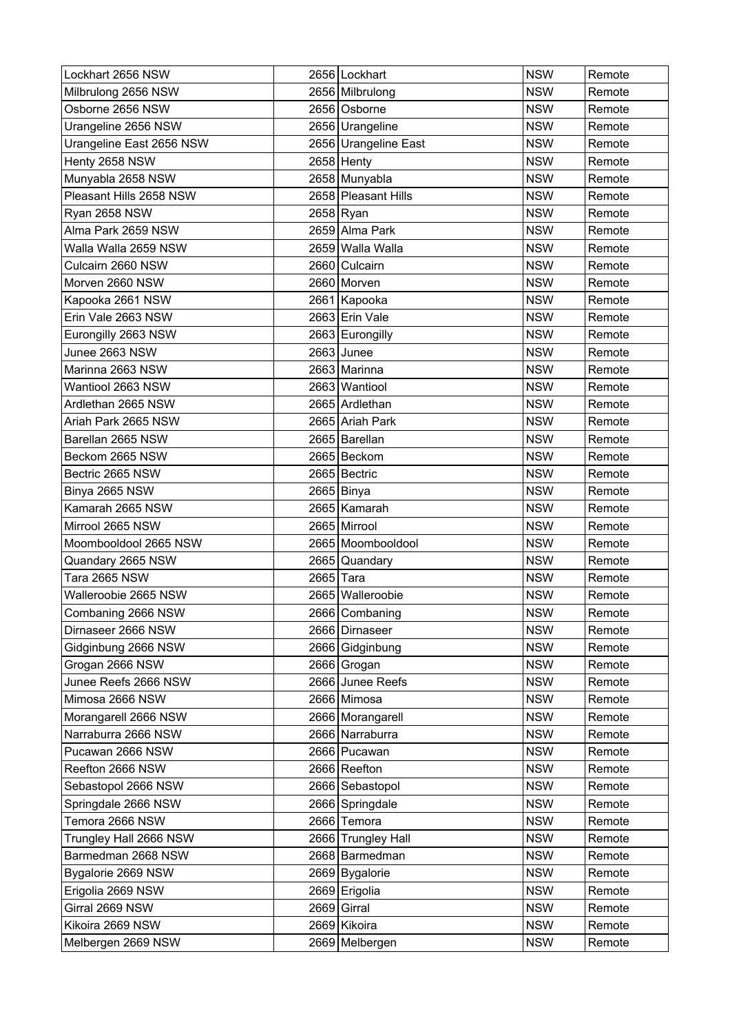| Lockhart 2656 NSW        |           | 2656 Lockhart        | <b>NSW</b> | Remote |
|--------------------------|-----------|----------------------|------------|--------|
| Milbrulong 2656 NSW      |           | 2656 Milbrulong      | <b>NSW</b> | Remote |
| Osborne 2656 NSW         |           | 2656 Osborne         | <b>NSW</b> | Remote |
| Urangeline 2656 NSW      |           | 2656 Urangeline      | <b>NSW</b> | Remote |
| Urangeline East 2656 NSW |           | 2656 Urangeline East | <b>NSW</b> | Remote |
| Henty 2658 NSW           |           | $2658$ Henty         | <b>NSW</b> | Remote |
| Munyabla 2658 NSW        |           | 2658 Munyabla        | <b>NSW</b> | Remote |
| Pleasant Hills 2658 NSW  |           | 2658 Pleasant Hills  | <b>NSW</b> | Remote |
| Ryan 2658 NSW            |           | 2658 Ryan            | <b>NSW</b> | Remote |
| Alma Park 2659 NSW       |           | 2659 Alma Park       | <b>NSW</b> | Remote |
| Walla Walla 2659 NSW     |           | 2659 Walla Walla     | <b>NSW</b> | Remote |
| Culcairn 2660 NSW        |           | 2660 Culcairn        | <b>NSW</b> | Remote |
| Morven 2660 NSW          |           | 2660 Morven          | <b>NSW</b> | Remote |
| Kapooka 2661 NSW         |           | 2661 Kapooka         | <b>NSW</b> | Remote |
| Erin Vale 2663 NSW       |           | 2663 Erin Vale       | <b>NSW</b> | Remote |
| Eurongilly 2663 NSW      |           | 2663 Eurongilly      | <b>NSW</b> | Remote |
| Junee 2663 NSW           |           | $2663$ Junee         | <b>NSW</b> | Remote |
| Marinna 2663 NSW         |           | 2663 Marinna         | <b>NSW</b> | Remote |
| Wantiool 2663 NSW        |           | 2663 Wantiool        | <b>NSW</b> | Remote |
| Ardlethan 2665 NSW       |           | 2665 Ardlethan       | <b>NSW</b> | Remote |
| Ariah Park 2665 NSW      |           | 2665 Ariah Park      | <b>NSW</b> | Remote |
| Barellan 2665 NSW        |           | 2665 Barellan        | <b>NSW</b> | Remote |
| Beckom 2665 NSW          |           | 2665 Beckom          | <b>NSW</b> | Remote |
| Bectric 2665 NSW         |           | 2665 Bectric         | <b>NSW</b> | Remote |
| Binya 2665 NSW           |           | 2665 Binya           | <b>NSW</b> | Remote |
| Kamarah 2665 NSW         |           | 2665 Kamarah         | <b>NSW</b> | Remote |
| Mirrool 2665 NSW         |           | 2665 Mirrool         | <b>NSW</b> | Remote |
| Moombooldool 2665 NSW    |           | 2665 Moombooldool    | <b>NSW</b> | Remote |
| Quandary 2665 NSW        |           | 2665 Quandary        | <b>NSW</b> | Remote |
| <b>Tara 2665 NSW</b>     | 2665 Tara |                      | <b>NSW</b> | Remote |
| Walleroobie 2665 NSW     |           | 2665 Walleroobie     | <b>NSW</b> | Remote |
| Combaning 2666 NSW       |           | 2666 Combaning       | <b>NSW</b> | Remote |
| Dirnaseer 2666 NSW       |           | 2666 Dirnaseer       | <b>NSW</b> | Remote |
| Gidginbung 2666 NSW      |           | 2666 Gidginbung      | <b>NSW</b> | Remote |
| Grogan 2666 NSW          |           | 2666 Grogan          | <b>NSW</b> | Remote |
| Junee Reefs 2666 NSW     |           | 2666 Junee Reefs     | <b>NSW</b> | Remote |
| Mimosa 2666 NSW          |           | 2666 Mimosa          | <b>NSW</b> | Remote |
| Morangarell 2666 NSW     |           | 2666 Morangarell     | <b>NSW</b> | Remote |
| Narraburra 2666 NSW      |           | 2666 Narraburra      | <b>NSW</b> | Remote |
| Pucawan 2666 NSW         |           | 2666 Pucawan         | <b>NSW</b> | Remote |
| Reefton 2666 NSW         |           | 2666 Reefton         | <b>NSW</b> | Remote |
| Sebastopol 2666 NSW      |           | 2666 Sebastopol      | <b>NSW</b> | Remote |
| Springdale 2666 NSW      |           | 2666 Springdale      | <b>NSW</b> | Remote |
| Temora 2666 NSW          |           | 2666 Temora          | <b>NSW</b> | Remote |
| Trungley Hall 2666 NSW   |           | 2666 Trungley Hall   | <b>NSW</b> | Remote |
| Barmedman 2668 NSW       |           | 2668 Barmedman       | <b>NSW</b> | Remote |
| Bygalorie 2669 NSW       |           | 2669 Bygalorie       | <b>NSW</b> | Remote |
| Erigolia 2669 NSW        |           | 2669 Erigolia        | <b>NSW</b> | Remote |
| Girral 2669 NSW          |           | $2669$ Girral        | <b>NSW</b> | Remote |
| Kikoira 2669 NSW         |           | 2669 Kikoira         | <b>NSW</b> | Remote |
| Melbergen 2669 NSW       |           | 2669 Melbergen       | <b>NSW</b> | Remote |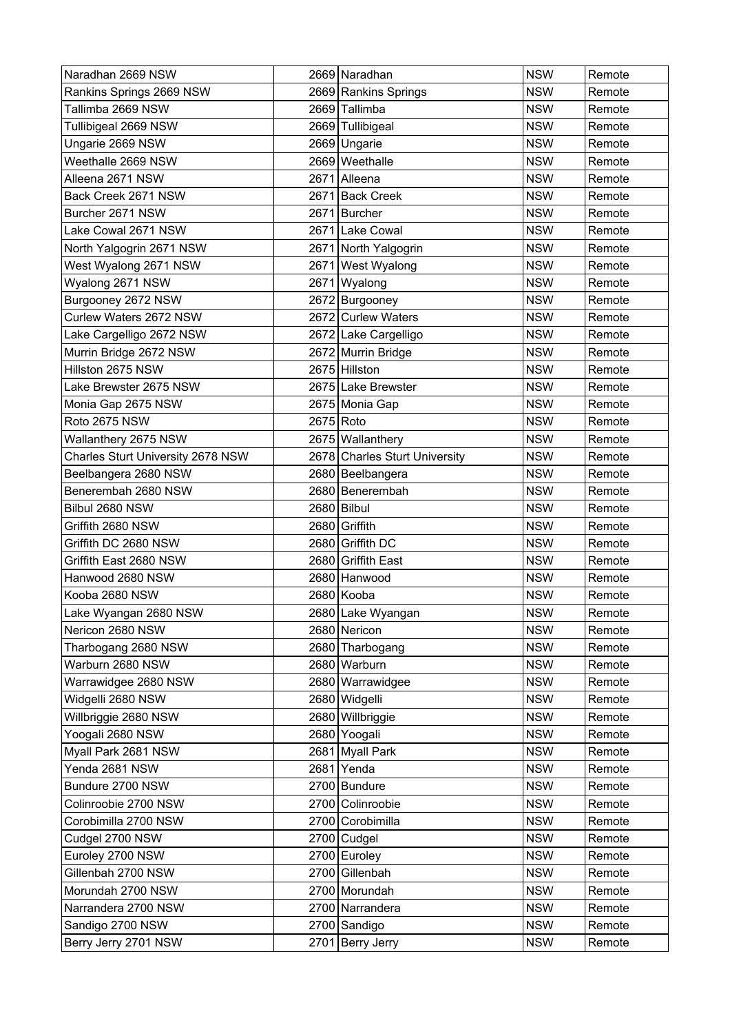| Naradhan 2669 NSW                 |           | 2669 Naradhan                 | <b>NSW</b> | Remote |
|-----------------------------------|-----------|-------------------------------|------------|--------|
| Rankins Springs 2669 NSW          |           | 2669 Rankins Springs          | <b>NSW</b> | Remote |
| Tallimba 2669 NSW                 |           | 2669 Tallimba                 | <b>NSW</b> | Remote |
| Tullibigeal 2669 NSW              |           | 2669 Tullibigeal              | <b>NSW</b> | Remote |
| Ungarie 2669 NSW                  |           | 2669 Ungarie                  | <b>NSW</b> | Remote |
| Weethalle 2669 NSW                |           | 2669 Weethalle                | <b>NSW</b> | Remote |
| Alleena 2671 NSW                  |           | 2671 Alleena                  | <b>NSW</b> | Remote |
| Back Creek 2671 NSW               |           | 2671 Back Creek               | <b>NSW</b> | Remote |
| Burcher 2671 NSW                  | 2671      | Burcher                       | <b>NSW</b> | Remote |
| Lake Cowal 2671 NSW               |           | 2671 Lake Cowal               | <b>NSW</b> | Remote |
| North Yalgogrin 2671 NSW          |           | 2671 North Yalgogrin          | <b>NSW</b> | Remote |
| West Wyalong 2671 NSW             | 2671      | <b>West Wyalong</b>           | <b>NSW</b> | Remote |
| Wyalong 2671 NSW                  | 2671      | Wyalong                       | <b>NSW</b> | Remote |
| Burgooney 2672 NSW                |           | 2672 Burgooney                | <b>NSW</b> | Remote |
| Curlew Waters 2672 NSW            |           | 2672 Curlew Waters            | <b>NSW</b> | Remote |
| Lake Cargelligo 2672 NSW          |           | 2672 Lake Cargelligo          | <b>NSW</b> | Remote |
| Murrin Bridge 2672 NSW            |           | 2672 Murrin Bridge            | <b>NSW</b> | Remote |
| Hillston 2675 NSW                 |           | 2675 Hillston                 | <b>NSW</b> | Remote |
| Lake Brewster 2675 NSW            |           | 2675 Lake Brewster            | <b>NSW</b> | Remote |
| Monia Gap 2675 NSW                |           | 2675 Monia Gap                | <b>NSW</b> | Remote |
| Roto 2675 NSW                     | 2675 Roto |                               | <b>NSW</b> | Remote |
| Wallanthery 2675 NSW              |           | 2675 Wallanthery              | <b>NSW</b> | Remote |
| Charles Sturt University 2678 NSW |           | 2678 Charles Sturt University | <b>NSW</b> | Remote |
| Beelbangera 2680 NSW              |           | 2680 Beelbangera              | <b>NSW</b> | Remote |
| Benerembah 2680 NSW               |           | 2680 Benerembah               | <b>NSW</b> | Remote |
| Bilbul 2680 NSW                   |           | 2680 Bilbul                   | <b>NSW</b> | Remote |
| Griffith 2680 NSW                 | 2680      | Griffith                      | <b>NSW</b> | Remote |
| Griffith DC 2680 NSW              |           | 2680 Griffith DC              | <b>NSW</b> | Remote |
| Griffith East 2680 NSW            | 2680      | Griffith East                 | <b>NSW</b> | Remote |
| Hanwood 2680 NSW                  |           | 2680 Hanwood                  | <b>NSW</b> | Remote |
| Kooba 2680 NSW                    |           | 2680 Kooba                    | <b>NSW</b> | Remote |
| Lake Wyangan 2680 NSW             |           | 2680 Lake Wyangan             | <b>NSW</b> | Remote |
| Nericon 2680 NSW                  |           | 2680 Nericon                  | <b>NSW</b> | Remote |
| Tharbogang 2680 NSW               |           | 2680 Tharbogang               | <b>NSW</b> | Remote |
| Warburn 2680 NSW                  |           | 2680 Warburn                  | <b>NSW</b> | Remote |
| Warrawidgee 2680 NSW              |           | 2680 Warrawidgee              | <b>NSW</b> | Remote |
| Widgelli 2680 NSW                 |           | 2680 Widgelli                 | <b>NSW</b> | Remote |
| Willbriggie 2680 NSW              |           | 2680 Willbriggie              | <b>NSW</b> | Remote |
| Yoogali 2680 NSW                  |           | 2680 Yoogali                  | <b>NSW</b> | Remote |
| Myall Park 2681 NSW               |           | 2681 Myall Park               | <b>NSW</b> | Remote |
| Yenda 2681 NSW                    |           | 2681 Yenda                    | <b>NSW</b> | Remote |
| Bundure 2700 NSW                  |           | 2700 Bundure                  | <b>NSW</b> | Remote |
| Colinroobie 2700 NSW              |           | 2700 Colinroobie              | <b>NSW</b> | Remote |
| Corobimilla 2700 NSW              |           | 2700 Corobimilla              | <b>NSW</b> | Remote |
| Cudgel 2700 NSW                   |           | 2700 Cudgel                   | <b>NSW</b> | Remote |
| Euroley 2700 NSW                  |           | 2700 Euroley                  | <b>NSW</b> | Remote |
| Gillenbah 2700 NSW                |           | 2700 Gillenbah                | <b>NSW</b> | Remote |
| Morundah 2700 NSW                 |           | 2700 Morundah                 | <b>NSW</b> | Remote |
| Narrandera 2700 NSW               |           | 2700 Narrandera               | <b>NSW</b> | Remote |
| Sandigo 2700 NSW                  |           | 2700 Sandigo                  | <b>NSW</b> | Remote |
| Berry Jerry 2701 NSW              |           | 2701 Berry Jerry              | <b>NSW</b> | Remote |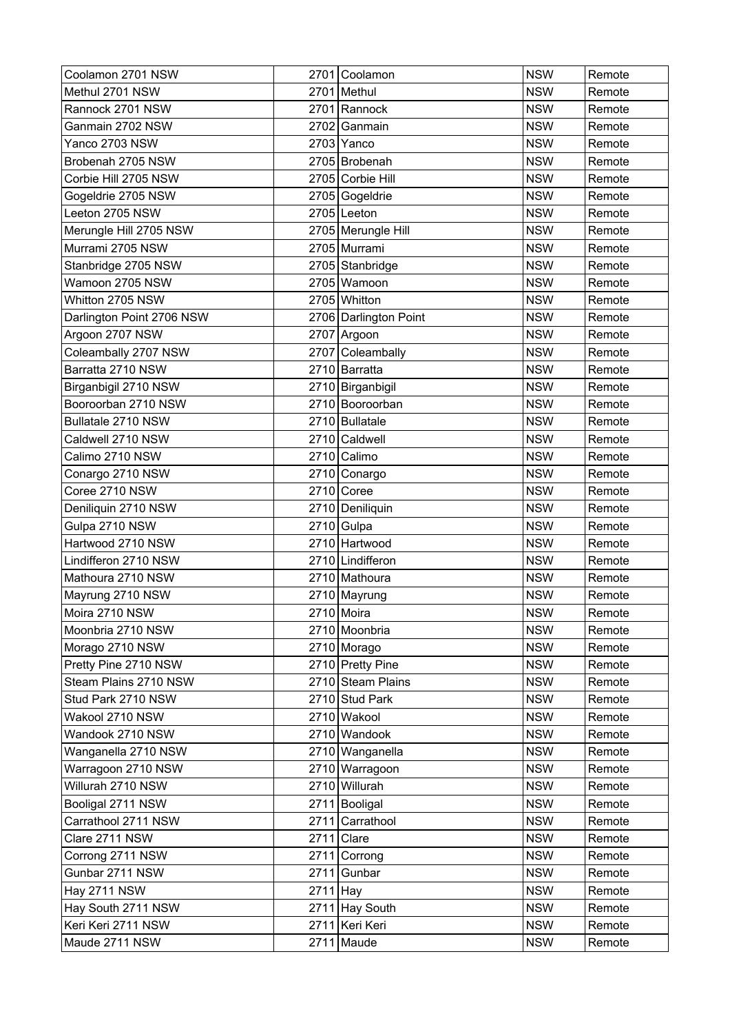| Coolamon 2701 NSW         |            | 2701 Coolamon         | <b>NSW</b> | Remote |
|---------------------------|------------|-----------------------|------------|--------|
| Methul 2701 NSW           |            | 2701 Methul           | <b>NSW</b> | Remote |
| Rannock 2701 NSW          |            | 2701 Rannock          | <b>NSW</b> | Remote |
| Ganmain 2702 NSW          | 2702       | Ganmain               | <b>NSW</b> | Remote |
| Yanco 2703 NSW            |            | 2703 Yanco            | <b>NSW</b> | Remote |
| Brobenah 2705 NSW         |            | 2705 Brobenah         | <b>NSW</b> | Remote |
| Corbie Hill 2705 NSW      |            | 2705 Corbie Hill      | <b>NSW</b> | Remote |
| Gogeldrie 2705 NSW        |            | 2705 Gogeldrie        | <b>NSW</b> | Remote |
| Leeton 2705 NSW           |            | 2705 Leeton           | <b>NSW</b> | Remote |
| Merungle Hill 2705 NSW    |            | 2705 Merungle Hill    | <b>NSW</b> | Remote |
| Murrami 2705 NSW          |            | 2705 Murrami          | <b>NSW</b> | Remote |
| Stanbridge 2705 NSW       |            | 2705 Stanbridge       | <b>NSW</b> | Remote |
| Wamoon 2705 NSW           |            | 2705 Wamoon           | <b>NSW</b> | Remote |
| Whitton 2705 NSW          |            | 2705 Whitton          | <b>NSW</b> | Remote |
| Darlington Point 2706 NSW |            | 2706 Darlington Point | <b>NSW</b> | Remote |
| Argoon 2707 NSW           |            | 2707 Argoon           | <b>NSW</b> | Remote |
| Coleambally 2707 NSW      |            | 2707 Coleambally      | <b>NSW</b> | Remote |
| Barratta 2710 NSW         |            | 2710 Barratta         | <b>NSW</b> | Remote |
| Birganbigil 2710 NSW      |            | 2710 Birganbigil      | <b>NSW</b> | Remote |
| Booroorban 2710 NSW       |            | 2710 Booroorban       | <b>NSW</b> | Remote |
| Bullatale 2710 NSW        |            | 2710 Bullatale        | <b>NSW</b> | Remote |
| Caldwell 2710 NSW         |            | 2710 Caldwell         | <b>NSW</b> | Remote |
| Calimo 2710 NSW           |            | 2710 Calimo           | <b>NSW</b> | Remote |
| Conargo 2710 NSW          |            | 2710 Conargo          | <b>NSW</b> | Remote |
| Coree 2710 NSW            |            | $2710$ Coree          | <b>NSW</b> | Remote |
| Deniliquin 2710 NSW       |            | 2710 Deniliquin       | <b>NSW</b> | Remote |
| Gulpa 2710 NSW            |            | 2710 Gulpa            | <b>NSW</b> | Remote |
| Hartwood 2710 NSW         |            | 2710 Hartwood         | <b>NSW</b> | Remote |
| Lindifferon 2710 NSW      |            | 2710 Lindifferon      | <b>NSW</b> | Remote |
| Mathoura 2710 NSW         |            | 2710 Mathoura         | <b>NSW</b> | Remote |
| Mayrung 2710 NSW          |            | 2710 Mayrung          | <b>NSW</b> | Remote |
| Moira 2710 NSW            |            | 2710 Moira            | <b>NSW</b> | Remote |
| Moonbria 2710 NSW         |            | 2710 Moonbria         | <b>NSW</b> | Remote |
| Morago 2710 NSW           |            | 2710 Morago           | <b>NSW</b> | Remote |
| Pretty Pine 2710 NSW      |            | 2710 Pretty Pine      | <b>NSW</b> | Remote |
| Steam Plains 2710 NSW     |            | 2710 Steam Plains     | <b>NSW</b> | Remote |
| Stud Park 2710 NSW        |            | 2710 Stud Park        | <b>NSW</b> | Remote |
| Wakool 2710 NSW           |            | 2710 Wakool           | <b>NSW</b> | Remote |
| Wandook 2710 NSW          |            | 2710 Wandook          | <b>NSW</b> | Remote |
| Wanganella 2710 NSW       |            | 2710 Wanganella       | <b>NSW</b> | Remote |
| Warragoon 2710 NSW        |            | 2710 Warragoon        | <b>NSW</b> | Remote |
| Willurah 2710 NSW         |            | 2710 Willurah         | <b>NSW</b> | Remote |
| Booligal 2711 NSW         |            | 2711 Booligal         | <b>NSW</b> | Remote |
| Carrathool 2711 NSW       |            | 2711 Carrathool       | <b>NSW</b> | Remote |
| Clare 2711 NSW            |            | $2711$ Clare          | <b>NSW</b> | Remote |
| Corrong 2711 NSW          |            | 2711 Corrong          | <b>NSW</b> | Remote |
| Gunbar 2711 NSW           |            | 2711 Gunbar           | <b>NSW</b> | Remote |
| <b>Hay 2711 NSW</b>       | $2711$ Hay |                       | <b>NSW</b> | Remote |
| Hay South 2711 NSW        |            | 2711 Hay South        | <b>NSW</b> | Remote |
| Keri Keri 2711 NSW        |            | 2711 Keri Keri        | <b>NSW</b> | Remote |
| Maude 2711 NSW            |            | $2711$ Maude          | <b>NSW</b> | Remote |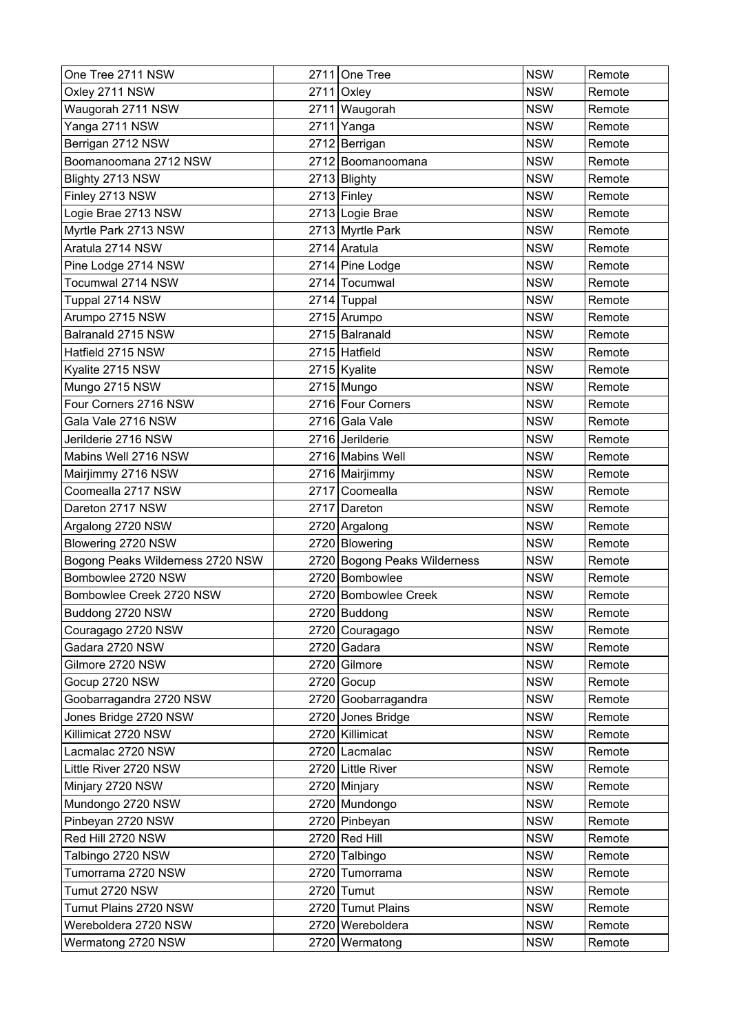| One Tree 2711 NSW                | 2711 One Tree                | <b>NSW</b> | Remote |
|----------------------------------|------------------------------|------------|--------|
| Oxley 2711 NSW                   | $2711$ Oxley                 | <b>NSW</b> | Remote |
| Waugorah 2711 NSW                | 2711 Waugorah                | <b>NSW</b> | Remote |
| Yanga 2711 NSW                   | 2711 Yanga                   | <b>NSW</b> | Remote |
| Berrigan 2712 NSW                | 2712 Berrigan                | <b>NSW</b> | Remote |
| Boomanoomana 2712 NSW            | 2712 Boomanoomana            | <b>NSW</b> | Remote |
| Blighty 2713 NSW                 | 2713 Blighty                 | <b>NSW</b> | Remote |
| Finley 2713 NSW                  | 2713 Finley                  | <b>NSW</b> | Remote |
| Logie Brae 2713 NSW              | 2713 Logie Brae              | <b>NSW</b> | Remote |
| Myrtle Park 2713 NSW             | 2713 Myrtle Park             | <b>NSW</b> | Remote |
| Aratula 2714 NSW                 | 2714 Aratula                 | <b>NSW</b> | Remote |
| Pine Lodge 2714 NSW              | 2714 Pine Lodge              | <b>NSW</b> | Remote |
| Tocumwal 2714 NSW                | 2714 Tocumwal                | <b>NSW</b> | Remote |
| Tuppal 2714 NSW                  | 2714 Tuppal                  | <b>NSW</b> | Remote |
| Arumpo 2715 NSW                  | 2715 Arumpo                  | <b>NSW</b> | Remote |
| Balranald 2715 NSW               | 2715 Balranald               | <b>NSW</b> | Remote |
| Hatfield 2715 NSW                | 2715 Hatfield                | <b>NSW</b> | Remote |
| Kyalite 2715 NSW                 | 2715 Kyalite                 | <b>NSW</b> | Remote |
| Mungo 2715 NSW                   | $2715$ Mungo                 | <b>NSW</b> | Remote |
| Four Corners 2716 NSW            | 2716 Four Corners            | <b>NSW</b> | Remote |
| Gala Vale 2716 NSW               | 2716 Gala Vale               | <b>NSW</b> | Remote |
| Jerilderie 2716 NSW              | 2716 Jerilderie              | <b>NSW</b> | Remote |
| Mabins Well 2716 NSW             | 2716 Mabins Well             | <b>NSW</b> | Remote |
| Mairjimmy 2716 NSW               | 2716 Mairjimmy               | <b>NSW</b> | Remote |
| Coomealla 2717 NSW               | 2717 Coomealla               | <b>NSW</b> | Remote |
| Dareton 2717 NSW                 | 2717 Dareton                 | <b>NSW</b> | Remote |
| Argalong 2720 NSW                | 2720 Argalong                | <b>NSW</b> | Remote |
| Blowering 2720 NSW               | 2720 Blowering               | <b>NSW</b> | Remote |
| Bogong Peaks Wilderness 2720 NSW | 2720 Bogong Peaks Wilderness | <b>NSW</b> | Remote |
| Bombowlee 2720 NSW               | 2720 Bombowlee               | <b>NSW</b> | Remote |
| Bombowlee Creek 2720 NSW         | 2720 Bombowlee Creek         | <b>NSW</b> | Remote |
| Buddong 2720 NSW                 | 2720 Buddong                 | <b>NSW</b> | Remote |
| Couragago 2720 NSW               | 2720 Couragago               | <b>NSW</b> | Remote |
| Gadara 2720 NSW                  | 2720 Gadara                  | <b>NSW</b> | Remote |
| Gilmore 2720 NSW                 | 2720 Gilmore                 | <b>NSW</b> | Remote |
| Gocup 2720 NSW                   | $2720$ Gocup                 | <b>NSW</b> | Remote |
| Goobarragandra 2720 NSW          | 2720 Goobarragandra          | <b>NSW</b> | Remote |
| Jones Bridge 2720 NSW            | 2720 Jones Bridge            | <b>NSW</b> | Remote |
| Killimicat 2720 NSW              | 2720 Killimicat              | <b>NSW</b> | Remote |
| Lacmalac 2720 NSW                | 2720 Lacmalac                | <b>NSW</b> | Remote |
| Little River 2720 NSW            | 2720 Little River            | <b>NSW</b> | Remote |
| Minjary 2720 NSW                 | 2720 Minjary                 | <b>NSW</b> | Remote |
| Mundongo 2720 NSW                | 2720 Mundongo                | <b>NSW</b> | Remote |
| Pinbeyan 2720 NSW                | 2720 Pinbeyan                | <b>NSW</b> | Remote |
| Red Hill 2720 NSW                | 2720 Red Hill                | <b>NSW</b> | Remote |
| Talbingo 2720 NSW                | 2720 Talbingo                | <b>NSW</b> | Remote |
| Tumorrama 2720 NSW               | 2720 Tumorrama               | <b>NSW</b> | Remote |
| Tumut 2720 NSW                   | 2720 Tumut                   | <b>NSW</b> | Remote |
| Tumut Plains 2720 NSW            | 2720 Tumut Plains            | <b>NSW</b> | Remote |
| Wereboldera 2720 NSW             | 2720 Wereboldera             | <b>NSW</b> | Remote |
| Wermatong 2720 NSW               | 2720 Wermatong               | <b>NSW</b> | Remote |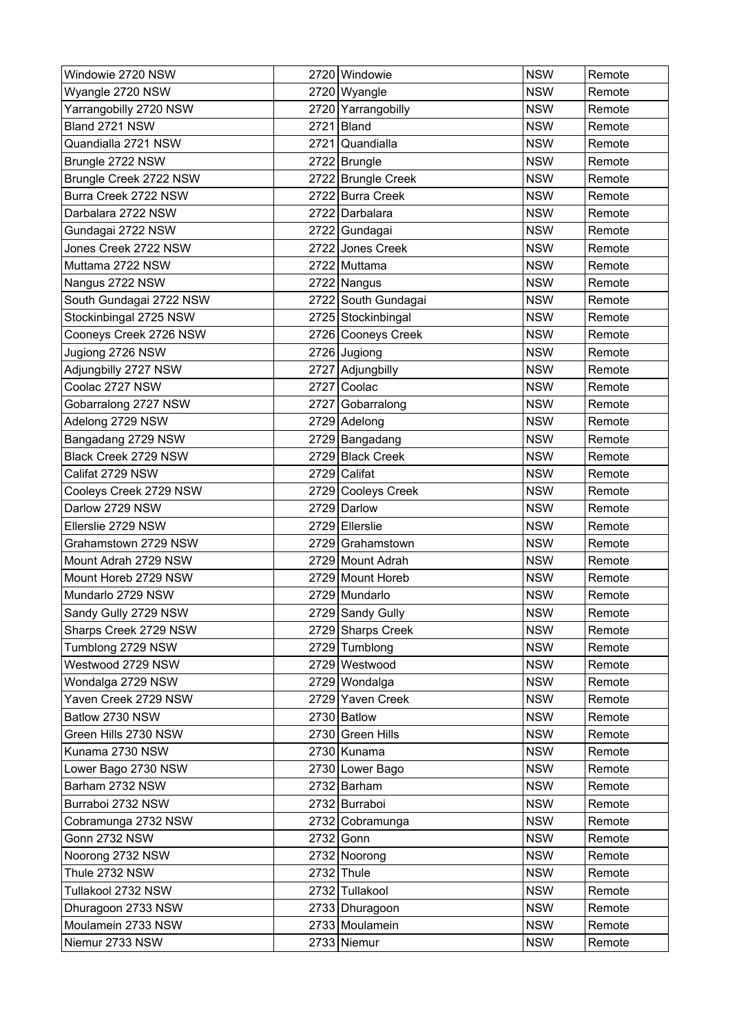| Windowie 2720 NSW       |      | 2720 Windowie       | <b>NSW</b> | Remote |
|-------------------------|------|---------------------|------------|--------|
| Wyangle 2720 NSW        |      | 2720 Wyangle        | <b>NSW</b> | Remote |
| Yarrangobilly 2720 NSW  |      | 2720 Yarrangobilly  | <b>NSW</b> | Remote |
| Bland 2721 NSW          | 2721 | Bland               | <b>NSW</b> | Remote |
| Quandialla 2721 NSW     |      | 2721 Quandialla     | <b>NSW</b> | Remote |
| Brungle 2722 NSW        |      | 2722 Brungle        | <b>NSW</b> | Remote |
| Brungle Creek 2722 NSW  |      | 2722 Brungle Creek  | <b>NSW</b> | Remote |
| Burra Creek 2722 NSW    |      | 2722 Burra Creek    | <b>NSW</b> | Remote |
| Darbalara 2722 NSW      |      | 2722 Darbalara      | <b>NSW</b> | Remote |
| Gundagai 2722 NSW       |      | 2722 Gundagai       | <b>NSW</b> | Remote |
| Jones Creek 2722 NSW    |      | 2722 Jones Creek    | <b>NSW</b> | Remote |
| Muttama 2722 NSW        |      | 2722 Muttama        | <b>NSW</b> | Remote |
| Nangus 2722 NSW         |      | 2722 Nangus         | <b>NSW</b> | Remote |
| South Gundagai 2722 NSW |      | 2722 South Gundagai | <b>NSW</b> | Remote |
| Stockinbingal 2725 NSW  |      | 2725 Stockinbingal  | <b>NSW</b> | Remote |
| Cooneys Creek 2726 NSW  |      | 2726 Cooneys Creek  | <b>NSW</b> | Remote |
| Jugiong 2726 NSW        |      | 2726 Jugiong        | <b>NSW</b> | Remote |
| Adjungbilly 2727 NSW    |      | 2727 Adjungbilly    | <b>NSW</b> | Remote |
| Coolac 2727 NSW         |      | 2727 Coolac         | <b>NSW</b> | Remote |
| Gobarralong 2727 NSW    |      | 2727 Gobarralong    | <b>NSW</b> | Remote |
| Adelong 2729 NSW        |      | 2729 Adelong        | <b>NSW</b> | Remote |
| Bangadang 2729 NSW      |      | 2729 Bangadang      | <b>NSW</b> | Remote |
| Black Creek 2729 NSW    |      | 2729 Black Creek    | <b>NSW</b> | Remote |
| Califat 2729 NSW        |      | 2729 Califat        | <b>NSW</b> | Remote |
| Cooleys Creek 2729 NSW  |      | 2729 Cooleys Creek  | <b>NSW</b> | Remote |
| Darlow 2729 NSW         |      | 2729 Darlow         | <b>NSW</b> | Remote |
| Ellerslie 2729 NSW      |      | 2729 Ellerslie      | <b>NSW</b> | Remote |
| Grahamstown 2729 NSW    |      | 2729 Grahamstown    | <b>NSW</b> | Remote |
| Mount Adrah 2729 NSW    |      | 2729 Mount Adrah    | <b>NSW</b> | Remote |
| Mount Horeb 2729 NSW    |      | 2729 Mount Horeb    | <b>NSW</b> | Remote |
| Mundarlo 2729 NSW       |      | 2729 Mundarlo       | <b>NSW</b> | Remote |
| Sandy Gully 2729 NSW    |      | 2729 Sandy Gully    | <b>NSW</b> | Remote |
| Sharps Creek 2729 NSW   |      | 2729 Sharps Creek   | <b>NSW</b> | Remote |
| Tumblong 2729 NSW       |      | 2729 Tumblong       | <b>NSW</b> | Remote |
| Westwood 2729 NSW       |      | 2729 Westwood       | <b>NSW</b> | Remote |
| Wondalga 2729 NSW       |      | 2729 Wondalga       | <b>NSW</b> | Remote |
| Yaven Creek 2729 NSW    |      | 2729 Yaven Creek    | <b>NSW</b> | Remote |
| Batlow 2730 NSW         |      | 2730 Batlow         | <b>NSW</b> | Remote |
| Green Hills 2730 NSW    |      | 2730 Green Hills    | <b>NSW</b> | Remote |
| Kunama 2730 NSW         |      | 2730 Kunama         | <b>NSW</b> | Remote |
| Lower Bago 2730 NSW     |      | 2730 Lower Bago     | <b>NSW</b> | Remote |
| Barham 2732 NSW         |      | 2732 Barham         | <b>NSW</b> | Remote |
| Burraboi 2732 NSW       |      | 2732 Burraboi       | <b>NSW</b> | Remote |
| Cobramunga 2732 NSW     |      | 2732 Cobramunga     | <b>NSW</b> | Remote |
| <b>Gonn 2732 NSW</b>    |      | 2732 Gonn           | <b>NSW</b> | Remote |
| Noorong 2732 NSW        |      | 2732 Noorong        | <b>NSW</b> | Remote |
| Thule 2732 NSW          |      | 2732 Thule          | <b>NSW</b> | Remote |
| Tullakool 2732 NSW      |      | 2732 Tullakool      | <b>NSW</b> | Remote |
| Dhuragoon 2733 NSW      |      | 2733 Dhuragoon      | <b>NSW</b> | Remote |
| Moulamein 2733 NSW      |      | 2733 Moulamein      | <b>NSW</b> | Remote |
| Niemur 2733 NSW         |      | 2733 Niemur         | <b>NSW</b> | Remote |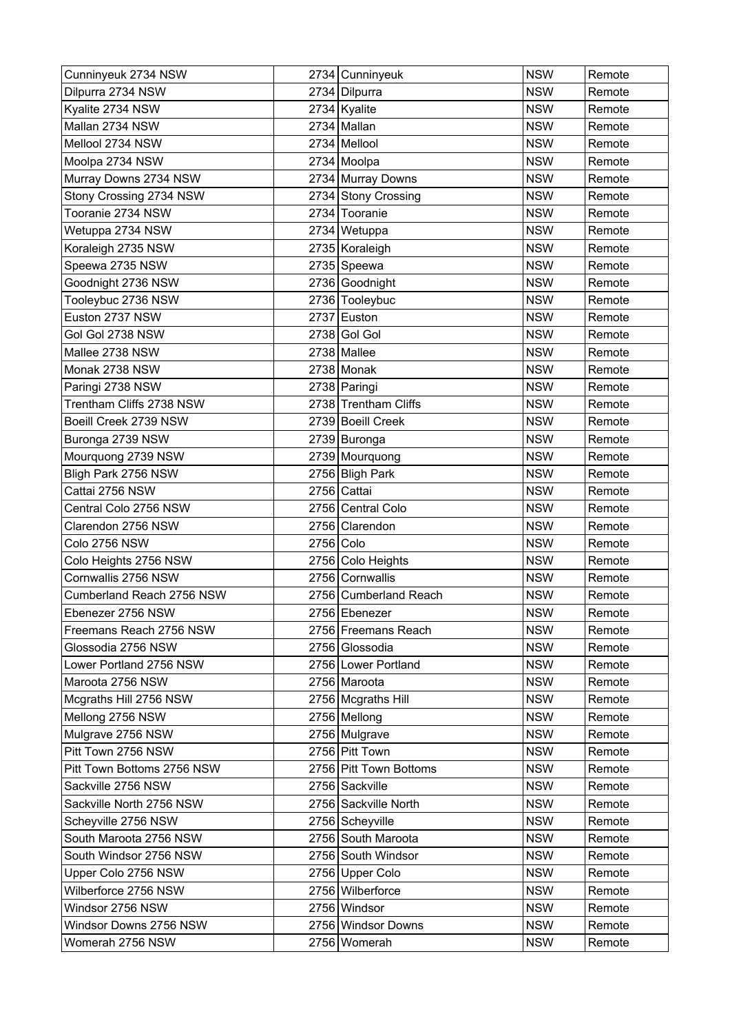| Cunninyeuk 2734 NSW        |           | 2734 Cunninyeuk        | <b>NSW</b> | Remote |
|----------------------------|-----------|------------------------|------------|--------|
| Dilpurra 2734 NSW          |           | 2734 Dilpurra          | <b>NSW</b> | Remote |
| Kyalite 2734 NSW           |           | $2734$ Kyalite         | <b>NSW</b> | Remote |
| Mallan 2734 NSW            |           | 2734 Mallan            | <b>NSW</b> | Remote |
| Mellool 2734 NSW           |           | 2734 Mellool           | <b>NSW</b> | Remote |
| Moolpa 2734 NSW            |           | 2734 Moolpa            | <b>NSW</b> | Remote |
| Murray Downs 2734 NSW      |           | 2734 Murray Downs      | <b>NSW</b> | Remote |
| Stony Crossing 2734 NSW    |           | 2734 Stony Crossing    | <b>NSW</b> | Remote |
| Tooranie 2734 NSW          |           | 2734 Tooranie          | <b>NSW</b> | Remote |
| Wetuppa 2734 NSW           |           | 2734 Wetuppa           | <b>NSW</b> | Remote |
| Koraleigh 2735 NSW         |           | 2735 Koraleigh         | <b>NSW</b> | Remote |
| Speewa 2735 NSW            |           | 2735 Speewa            | <b>NSW</b> | Remote |
| Goodnight 2736 NSW         |           | 2736 Goodnight         | <b>NSW</b> | Remote |
| Tooleybuc 2736 NSW         |           | 2736 Tooleybuc         | <b>NSW</b> | Remote |
| Euston 2737 NSW            |           | 2737 Euston            | <b>NSW</b> | Remote |
| Gol Gol 2738 NSW           |           | 2738 Gol Gol           | <b>NSW</b> | Remote |
| Mallee 2738 NSW            |           | 2738 Mallee            | <b>NSW</b> | Remote |
| Monak 2738 NSW             |           | $2738$ Monak           | <b>NSW</b> | Remote |
| Paringi 2738 NSW           |           | 2738 Paringi           | <b>NSW</b> | Remote |
| Trentham Cliffs 2738 NSW   |           | 2738 Trentham Cliffs   | <b>NSW</b> | Remote |
| Boeill Creek 2739 NSW      |           | 2739 Boeill Creek      | <b>NSW</b> | Remote |
| Buronga 2739 NSW           |           | 2739 Buronga           | <b>NSW</b> | Remote |
| Mourquong 2739 NSW         |           | 2739 Mourquong         | <b>NSW</b> | Remote |
| Bligh Park 2756 NSW        |           | 2756 Bligh Park        | <b>NSW</b> | Remote |
| Cattai 2756 NSW            |           | 2756 Cattai            | <b>NSW</b> | Remote |
| Central Colo 2756 NSW      |           | 2756 Central Colo      | <b>NSW</b> | Remote |
| Clarendon 2756 NSW         |           | 2756 Clarendon         | <b>NSW</b> | Remote |
| Colo 2756 NSW              | 2756 Colo |                        | <b>NSW</b> | Remote |
| Colo Heights 2756 NSW      |           | 2756 Colo Heights      | <b>NSW</b> | Remote |
| Cornwallis 2756 NSW        |           | 2756 Cornwallis        | <b>NSW</b> | Remote |
| Cumberland Reach 2756 NSW  |           | 2756 Cumberland Reach  | <b>NSW</b> | Remote |
| Ebenezer 2756 NSW          |           | 2756 Ebenezer          | <b>NSW</b> | Remote |
| Freemans Reach 2756 NSW    |           | 2756 Freemans Reach    | <b>NSW</b> | Remote |
| Glossodia 2756 NSW         |           | 2756 Glossodia         | <b>NSW</b> | Remote |
| Lower Portland 2756 NSW    |           | 2756 Lower Portland    | <b>NSW</b> | Remote |
| Maroota 2756 NSW           |           | 2756 Maroota           | <b>NSW</b> | Remote |
| Mcgraths Hill 2756 NSW     |           | 2756 Mcgraths Hill     | <b>NSW</b> | Remote |
| Mellong 2756 NSW           |           | 2756 Mellong           | <b>NSW</b> | Remote |
| Mulgrave 2756 NSW          |           | 2756 Mulgrave          | <b>NSW</b> | Remote |
| Pitt Town 2756 NSW         |           | 2756 Pitt Town         | <b>NSW</b> | Remote |
| Pitt Town Bottoms 2756 NSW |           | 2756 Pitt Town Bottoms | <b>NSW</b> | Remote |
| Sackville 2756 NSW         |           | 2756 Sackville         | <b>NSW</b> | Remote |
| Sackville North 2756 NSW   |           | 2756 Sackville North   | <b>NSW</b> | Remote |
| Scheyville 2756 NSW        |           | 2756 Scheyville        | <b>NSW</b> | Remote |
| South Maroota 2756 NSW     |           | 2756 South Maroota     | <b>NSW</b> | Remote |
| South Windsor 2756 NSW     |           | 2756 South Windsor     | <b>NSW</b> | Remote |
| Upper Colo 2756 NSW        |           | 2756 Upper Colo        | <b>NSW</b> | Remote |
| Wilberforce 2756 NSW       |           | 2756 Wilberforce       | <b>NSW</b> | Remote |
| Windsor 2756 NSW           |           | 2756 Windsor           | <b>NSW</b> | Remote |
| Windsor Downs 2756 NSW     |           | 2756 Windsor Downs     | <b>NSW</b> | Remote |
| Womerah 2756 NSW           |           | 2756 Womerah           | <b>NSW</b> | Remote |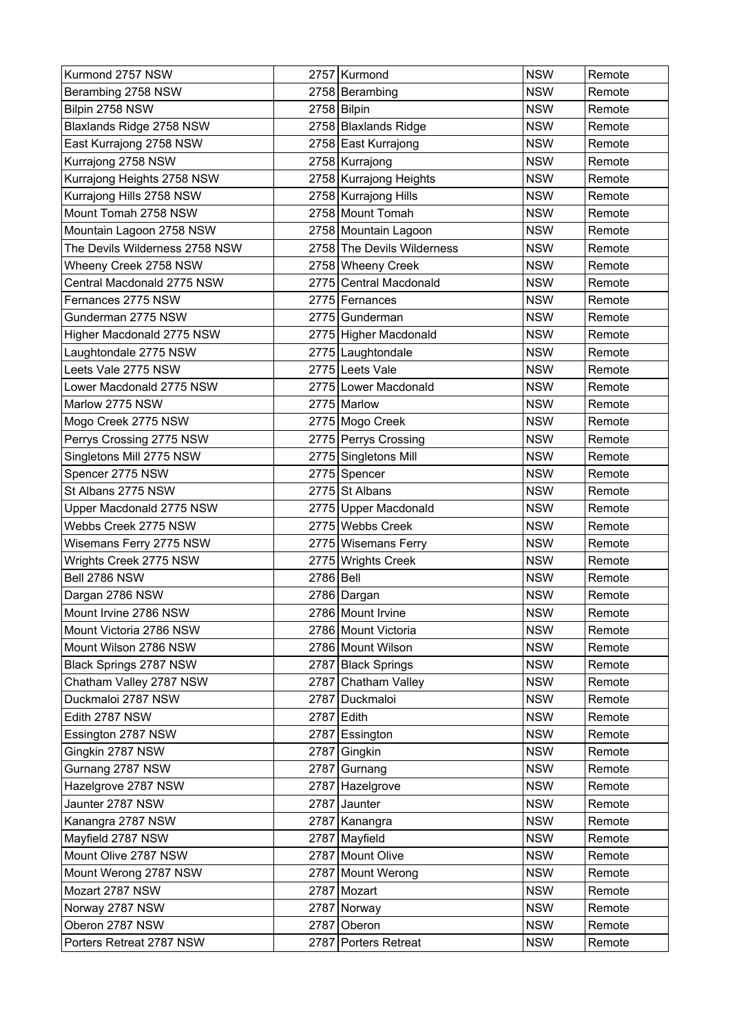| Kurmond 2757 NSW               |      | 2757 Kurmond               | <b>NSW</b> | Remote |
|--------------------------------|------|----------------------------|------------|--------|
| Berambing 2758 NSW             |      | 2758 Berambing             | <b>NSW</b> | Remote |
| Bilpin 2758 NSW                |      | 2758 Bilpin                | <b>NSW</b> | Remote |
| Blaxlands Ridge 2758 NSW       |      | 2758 Blaxlands Ridge       | <b>NSW</b> | Remote |
| East Kurrajong 2758 NSW        |      | 2758 East Kurrajong        | <b>NSW</b> | Remote |
| Kurrajong 2758 NSW             |      | 2758 Kurrajong             | <b>NSW</b> | Remote |
| Kurrajong Heights 2758 NSW     |      | 2758 Kurrajong Heights     | <b>NSW</b> | Remote |
| Kurrajong Hills 2758 NSW       |      | 2758   Kurrajong Hills     | <b>NSW</b> | Remote |
| Mount Tomah 2758 NSW           |      | 2758 Mount Tomah           | <b>NSW</b> | Remote |
| Mountain Lagoon 2758 NSW       |      | 2758 Mountain Lagoon       | <b>NSW</b> | Remote |
| The Devils Wilderness 2758 NSW |      | 2758 The Devils Wilderness | <b>NSW</b> | Remote |
| Wheeny Creek 2758 NSW          |      | 2758 Wheeny Creek          | <b>NSW</b> | Remote |
| Central Macdonald 2775 NSW     |      | 2775 Central Macdonald     | <b>NSW</b> | Remote |
| Fernances 2775 NSW             |      | 2775 Fernances             | <b>NSW</b> | Remote |
| Gunderman 2775 NSW             |      | 2775 Gunderman             | <b>NSW</b> | Remote |
| Higher Macdonald 2775 NSW      |      | 2775 Higher Macdonald      | <b>NSW</b> | Remote |
| Laughtondale 2775 NSW          |      | 2775 Laughtondale          | <b>NSW</b> | Remote |
| Leets Vale 2775 NSW            |      | 2775 Leets Vale            | <b>NSW</b> | Remote |
| Lower Macdonald 2775 NSW       |      | 2775 Lower Macdonald       | <b>NSW</b> | Remote |
| Marlow 2775 NSW                |      | 2775 Marlow                | <b>NSW</b> | Remote |
| Mogo Creek 2775 NSW            |      | 2775 Mogo Creek            | <b>NSW</b> | Remote |
| Perrys Crossing 2775 NSW       |      | 2775 Perrys Crossing       | <b>NSW</b> | Remote |
| Singletons Mill 2775 NSW       |      | 2775 Singletons Mill       | <b>NSW</b> | Remote |
| Spencer 2775 NSW               |      | 2775 Spencer               | <b>NSW</b> | Remote |
| St Albans 2775 NSW             |      | 2775 St Albans             | <b>NSW</b> | Remote |
| Upper Macdonald 2775 NSW       |      | 2775 Upper Macdonald       | <b>NSW</b> | Remote |
| Webbs Creek 2775 NSW           |      | 2775 Webbs Creek           | <b>NSW</b> | Remote |
| Wisemans Ferry 2775 NSW        |      | 2775 Wisemans Ferry        | <b>NSW</b> | Remote |
| Wrights Creek 2775 NSW         | 2775 | <b>Wrights Creek</b>       | <b>NSW</b> | Remote |
| Bell 2786 NSW                  | 2786 | Bell                       | <b>NSW</b> | Remote |
| Dargan 2786 NSW                |      | 2786 Dargan                | <b>NSW</b> | Remote |
| Mount Irvine 2786 NSW          |      | 2786 Mount Irvine          | <b>NSW</b> | Remote |
| Mount Victoria 2786 NSW        |      | 2786 Mount Victoria        | <b>NSW</b> | Remote |
| Mount Wilson 2786 NSW          |      | 2786 Mount Wilson          | <b>NSW</b> | Remote |
| Black Springs 2787 NSW         |      | 2787 Black Springs         | <b>NSW</b> | Remote |
| Chatham Valley 2787 NSW        |      | 2787 Chatham Valley        | <b>NSW</b> | Remote |
| Duckmaloi 2787 NSW             |      | 2787 Duckmaloi             | <b>NSW</b> | Remote |
| Edith 2787 NSW                 |      | 2787 Edith                 | <b>NSW</b> | Remote |
| Essington 2787 NSW             |      | 2787 Essington             | <b>NSW</b> | Remote |
| Gingkin 2787 NSW               |      | 2787 Gingkin               | <b>NSW</b> | Remote |
| Gurnang 2787 NSW               |      | 2787 Gurnang               | <b>NSW</b> | Remote |
| Hazelgrove 2787 NSW            |      | 2787 Hazelgrove            | <b>NSW</b> | Remote |
| Jaunter 2787 NSW               |      | 2787 Jaunter               | <b>NSW</b> | Remote |
| Kanangra 2787 NSW              |      | 2787 Kanangra              | <b>NSW</b> | Remote |
| Mayfield 2787 NSW              |      | 2787 Mayfield              | <b>NSW</b> | Remote |
| Mount Olive 2787 NSW           |      | 2787 Mount Olive           | <b>NSW</b> | Remote |
| Mount Werong 2787 NSW          |      | 2787 Mount Werong          | <b>NSW</b> | Remote |
| Mozart 2787 NSW                |      | 2787 Mozart                | <b>NSW</b> | Remote |
| Norway 2787 NSW                |      | 2787 Norway                | <b>NSW</b> | Remote |
| Oberon 2787 NSW                |      | 2787 Oberon                | <b>NSW</b> | Remote |
| Porters Retreat 2787 NSW       |      | 2787 Porters Retreat       | <b>NSW</b> | Remote |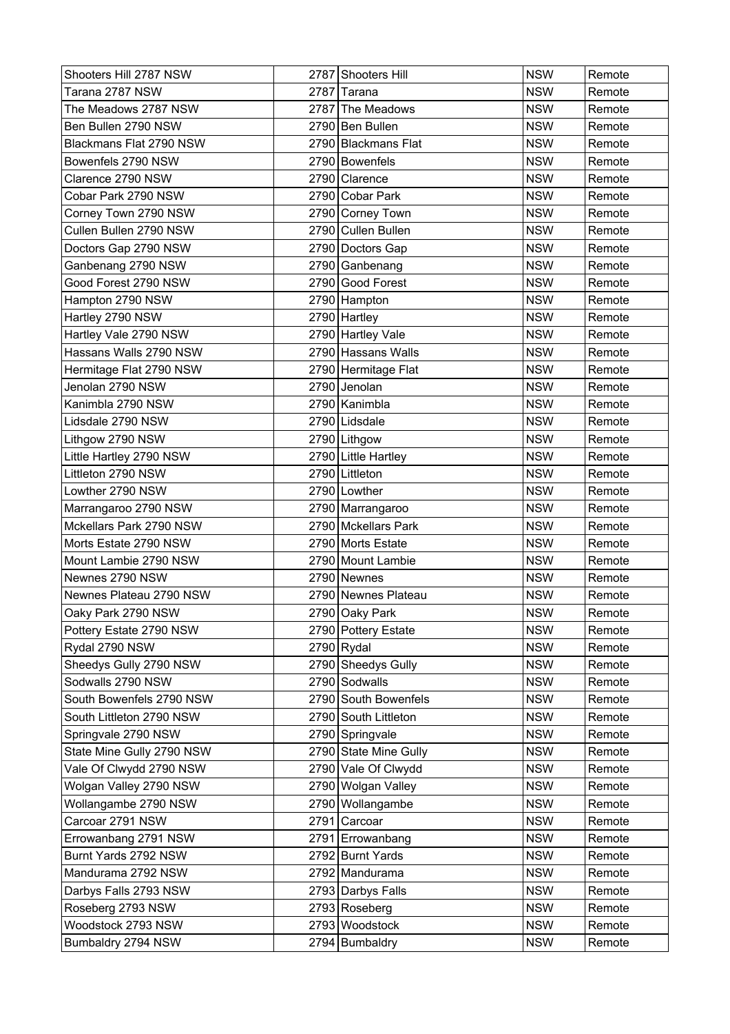| Shooters Hill 2787 NSW    | 2787 Shooters Hill    | <b>NSW</b> | Remote |
|---------------------------|-----------------------|------------|--------|
| Tarana 2787 NSW           | 2787 Tarana           | <b>NSW</b> | Remote |
| The Meadows 2787 NSW      | 2787 The Meadows      | <b>NSW</b> | Remote |
| Ben Bullen 2790 NSW       | 2790 Ben Bullen       | <b>NSW</b> | Remote |
| Blackmans Flat 2790 NSW   | 2790 Blackmans Flat   | <b>NSW</b> | Remote |
| Bowenfels 2790 NSW        | 2790 Bowenfels        | <b>NSW</b> | Remote |
| Clarence 2790 NSW         | 2790 Clarence         | <b>NSW</b> | Remote |
| Cobar Park 2790 NSW       | 2790 Cobar Park       | <b>NSW</b> | Remote |
| Corney Town 2790 NSW      | 2790 Corney Town      | <b>NSW</b> | Remote |
| Cullen Bullen 2790 NSW    | 2790 Cullen Bullen    | <b>NSW</b> | Remote |
| Doctors Gap 2790 NSW      | 2790 Doctors Gap      | <b>NSW</b> | Remote |
| Ganbenang 2790 NSW        | 2790 Ganbenang        | <b>NSW</b> | Remote |
| Good Forest 2790 NSW      | 2790 Good Forest      | <b>NSW</b> | Remote |
| Hampton 2790 NSW          | 2790 Hampton          | <b>NSW</b> | Remote |
| Hartley 2790 NSW          | 2790 Hartley          | <b>NSW</b> | Remote |
| Hartley Vale 2790 NSW     | 2790 Hartley Vale     | <b>NSW</b> | Remote |
| Hassans Walls 2790 NSW    | 2790 Hassans Walls    | <b>NSW</b> | Remote |
| Hermitage Flat 2790 NSW   | 2790 Hermitage Flat   | <b>NSW</b> | Remote |
| Jenolan 2790 NSW          | 2790 Jenolan          | <b>NSW</b> | Remote |
| Kanimbla 2790 NSW         | 2790 Kanimbla         | <b>NSW</b> | Remote |
| Lidsdale 2790 NSW         | 2790 Lidsdale         | <b>NSW</b> | Remote |
| Lithgow 2790 NSW          | 2790 Lithgow          | <b>NSW</b> | Remote |
| Little Hartley 2790 NSW   | 2790 Little Hartley   | <b>NSW</b> | Remote |
| Littleton 2790 NSW        | 2790 Littleton        | <b>NSW</b> | Remote |
| Lowther 2790 NSW          | 2790 Lowther          | <b>NSW</b> | Remote |
| Marrangaroo 2790 NSW      | 2790 Marrangaroo      | <b>NSW</b> | Remote |
| Mckellars Park 2790 NSW   | 2790 Mckellars Park   | <b>NSW</b> | Remote |
| Morts Estate 2790 NSW     | 2790 Morts Estate     | <b>NSW</b> | Remote |
| Mount Lambie 2790 NSW     | 2790 Mount Lambie     | <b>NSW</b> | Remote |
| Newnes 2790 NSW           | 2790 Newnes           | <b>NSW</b> | Remote |
| Newnes Plateau 2790 NSW   | 2790 Newnes Plateau   | <b>NSW</b> | Remote |
| Oaky Park 2790 NSW        | 2790 Oaky Park        | <b>NSW</b> | Remote |
| Pottery Estate 2790 NSW   | 2790 Pottery Estate   | <b>NSW</b> | Remote |
| Rydal 2790 NSW            | 2790 Rydal            | <b>NSW</b> | Remote |
| Sheedys Gully 2790 NSW    | 2790 Sheedys Gully    | <b>NSW</b> | Remote |
| Sodwalls 2790 NSW         | 2790 Sodwalls         | <b>NSW</b> | Remote |
| South Bowenfels 2790 NSW  | 2790 South Bowenfels  | <b>NSW</b> | Remote |
| South Littleton 2790 NSW  | 2790 South Littleton  | <b>NSW</b> | Remote |
| Springvale 2790 NSW       | 2790 Springvale       | <b>NSW</b> | Remote |
| State Mine Gully 2790 NSW | 2790 State Mine Gully | <b>NSW</b> | Remote |
| Vale Of Clwydd 2790 NSW   | 2790 Vale Of Clwydd   | <b>NSW</b> | Remote |
| Wolgan Valley 2790 NSW    | 2790 Wolgan Valley    | <b>NSW</b> | Remote |
| Wollangambe 2790 NSW      | 2790 Wollangambe      | <b>NSW</b> | Remote |
| Carcoar 2791 NSW          | 2791 Carcoar          | <b>NSW</b> | Remote |
| Errowanbang 2791 NSW      | 2791 Errowanbang      | <b>NSW</b> | Remote |
| Burnt Yards 2792 NSW      | 2792 Burnt Yards      | <b>NSW</b> | Remote |
| Mandurama 2792 NSW        | 2792 Mandurama        | <b>NSW</b> | Remote |
| Darbys Falls 2793 NSW     | 2793 Darbys Falls     | <b>NSW</b> | Remote |
| Roseberg 2793 NSW         | 2793 Roseberg         | <b>NSW</b> | Remote |
| Woodstock 2793 NSW        | 2793 Woodstock        | <b>NSW</b> | Remote |
| Bumbaldry 2794 NSW        | 2794 Bumbaldry        | <b>NSW</b> | Remote |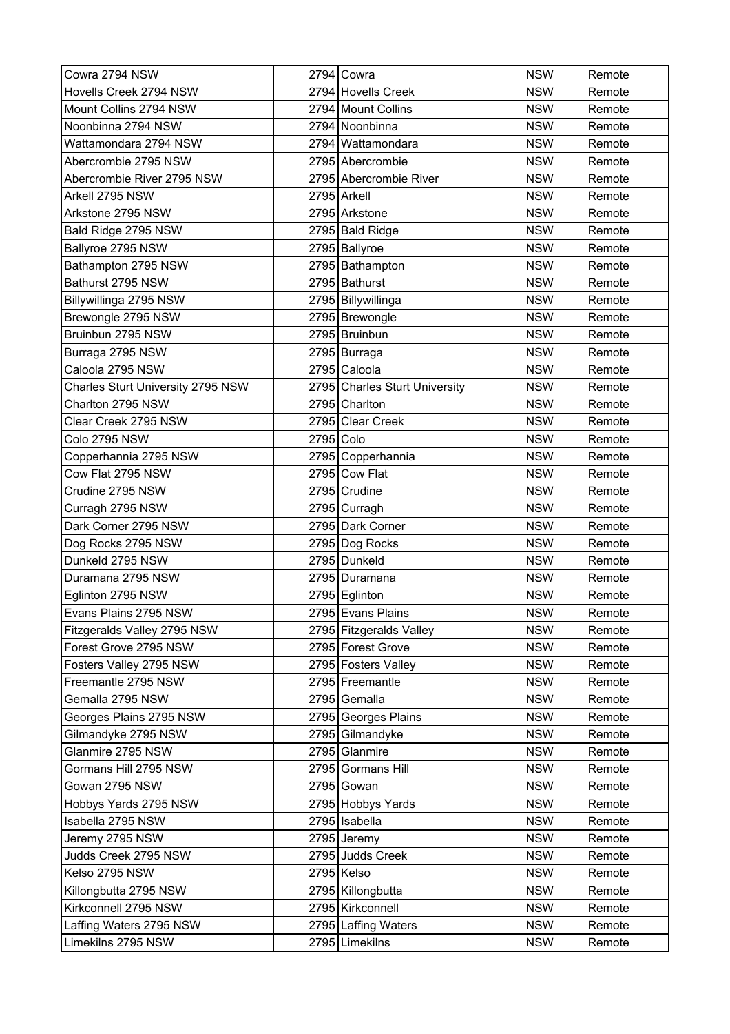| Cowra 2794 NSW                    |           | 2794 Cowra                    | <b>NSW</b> | Remote |
|-----------------------------------|-----------|-------------------------------|------------|--------|
| Hovells Creek 2794 NSW            |           | 2794 Hovells Creek            | <b>NSW</b> | Remote |
| Mount Collins 2794 NSW            |           | 2794 Mount Collins            | <b>NSW</b> | Remote |
| Noonbinna 2794 NSW                |           | 2794 Noonbinna                | <b>NSW</b> | Remote |
| Wattamondara 2794 NSW             |           | 2794 Wattamondara             | <b>NSW</b> | Remote |
| Abercrombie 2795 NSW              |           | 2795 Abercrombie              | <b>NSW</b> | Remote |
| Abercrombie River 2795 NSW        |           | 2795 Abercrombie River        | <b>NSW</b> | Remote |
| Arkell 2795 NSW                   |           | 2795 Arkell                   | <b>NSW</b> | Remote |
| Arkstone 2795 NSW                 |           | 2795 Arkstone                 | <b>NSW</b> | Remote |
| Bald Ridge 2795 NSW               |           | 2795 Bald Ridge               | <b>NSW</b> | Remote |
| Ballyroe 2795 NSW                 |           | 2795 Ballyroe                 | <b>NSW</b> | Remote |
| Bathampton 2795 NSW               |           | 2795 Bathampton               | <b>NSW</b> | Remote |
| Bathurst 2795 NSW                 |           | 2795 Bathurst                 | <b>NSW</b> | Remote |
| Billywillinga 2795 NSW            |           | 2795   Billywillinga          | <b>NSW</b> | Remote |
| Brewongle 2795 NSW                |           | 2795 Brewongle                | <b>NSW</b> | Remote |
| Bruinbun 2795 NSW                 |           | 2795 Bruinbun                 | <b>NSW</b> | Remote |
| Burraga 2795 NSW                  |           | 2795 Burraga                  | <b>NSW</b> | Remote |
| Caloola 2795 NSW                  |           | 2795 Caloola                  | <b>NSW</b> | Remote |
| Charles Sturt University 2795 NSW |           | 2795 Charles Sturt University | <b>NSW</b> | Remote |
| Charlton 2795 NSW                 |           | 2795 Charlton                 | <b>NSW</b> | Remote |
| Clear Creek 2795 NSW              |           | 2795 Clear Creek              | <b>NSW</b> | Remote |
| Colo 2795 NSW                     | 2795 Colo |                               | <b>NSW</b> | Remote |
| Copperhannia 2795 NSW             |           | 2795 Copperhannia             | <b>NSW</b> | Remote |
| Cow Flat 2795 NSW                 |           | 2795 Cow Flat                 | <b>NSW</b> | Remote |
| Crudine 2795 NSW                  |           | 2795 Crudine                  | <b>NSW</b> | Remote |
| Curragh 2795 NSW                  |           | 2795 Curragh                  | <b>NSW</b> | Remote |
| Dark Corner 2795 NSW              |           | 2795 Dark Corner              | <b>NSW</b> | Remote |
| Dog Rocks 2795 NSW                |           | 2795 Dog Rocks                | <b>NSW</b> | Remote |
| Dunkeld 2795 NSW                  |           | 2795 Dunkeld                  | <b>NSW</b> | Remote |
| Duramana 2795 NSW                 |           | 2795 Duramana                 | <b>NSW</b> | Remote |
| Eglinton 2795 NSW                 |           | 2795 Eglinton                 | <b>NSW</b> | Remote |
| Evans Plains 2795 NSW             |           | 2795 Evans Plains             | <b>NSW</b> | Remote |
| Fitzgeralds Valley 2795 NSW       |           | 2795 Fitzgeralds Valley       | <b>NSW</b> | Remote |
| Forest Grove 2795 NSW             |           | 2795 Forest Grove             | <b>NSW</b> | Remote |
| Fosters Valley 2795 NSW           |           | 2795 Fosters Valley           | <b>NSW</b> | Remote |
| Freemantle 2795 NSW               |           | 2795 Freemantle               | <b>NSW</b> | Remote |
| Gemalla 2795 NSW                  |           | 2795 Gemalla                  | <b>NSW</b> | Remote |
| Georges Plains 2795 NSW           |           | 2795 Georges Plains           | <b>NSW</b> | Remote |
| Gilmandyke 2795 NSW               |           | 2795 Gilmandyke               | <b>NSW</b> | Remote |
| Glanmire 2795 NSW                 |           | 2795 Glanmire                 | <b>NSW</b> | Remote |
| Gormans Hill 2795 NSW             |           | 2795 Gormans Hill             | <b>NSW</b> | Remote |
| Gowan 2795 NSW                    |           | 2795 Gowan                    | <b>NSW</b> | Remote |
| Hobbys Yards 2795 NSW             |           | 2795 Hobbys Yards             | <b>NSW</b> | Remote |
| Isabella 2795 NSW                 |           | 2795   Isabella               | <b>NSW</b> | Remote |
| Jeremy 2795 NSW                   |           | 2795 Jeremy                   | <b>NSW</b> | Remote |
| Judds Creek 2795 NSW              |           | 2795 Judds Creek              | <b>NSW</b> | Remote |
| Kelso 2795 NSW                    |           | $2795$ Kelso                  | <b>NSW</b> | Remote |
| Killongbutta 2795 NSW             |           | 2795   Killongbutta           | <b>NSW</b> | Remote |
| Kirkconnell 2795 NSW              |           | 2795   Kirkconnell            | <b>NSW</b> | Remote |
| Laffing Waters 2795 NSW           |           | 2795 Laffing Waters           | <b>NSW</b> | Remote |
| Limekilns 2795 NSW                |           | 2795 Limekilns                | <b>NSW</b> | Remote |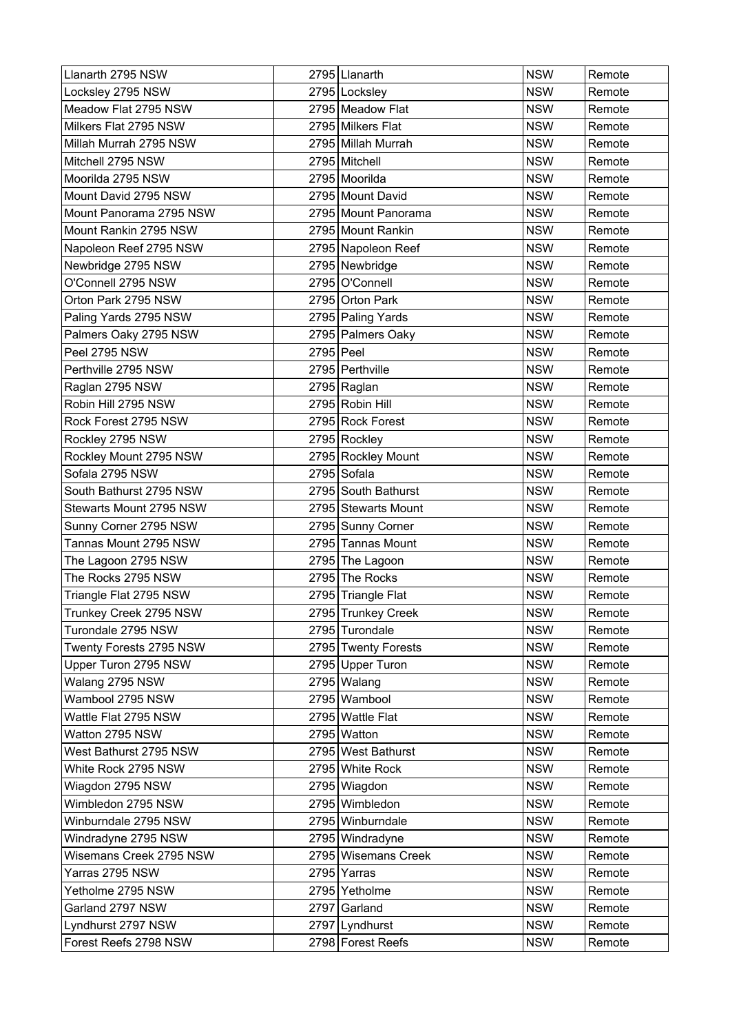| Llanarth 2795 NSW       |           | 2795 Llanarth       | <b>NSW</b> | Remote |
|-------------------------|-----------|---------------------|------------|--------|
| Locksley 2795 NSW       |           | 2795 Locksley       | <b>NSW</b> | Remote |
| Meadow Flat 2795 NSW    |           | 2795 Meadow Flat    | <b>NSW</b> | Remote |
| Milkers Flat 2795 NSW   |           | 2795 Milkers Flat   | <b>NSW</b> | Remote |
| Millah Murrah 2795 NSW  |           | 2795 Millah Murrah  | <b>NSW</b> | Remote |
| Mitchell 2795 NSW       |           | 2795 Mitchell       | <b>NSW</b> | Remote |
| Moorilda 2795 NSW       |           | 2795 Moorilda       | <b>NSW</b> | Remote |
| Mount David 2795 NSW    |           | 2795 Mount David    | <b>NSW</b> | Remote |
| Mount Panorama 2795 NSW |           | 2795 Mount Panorama | <b>NSW</b> | Remote |
| Mount Rankin 2795 NSW   |           | 2795 Mount Rankin   | <b>NSW</b> | Remote |
| Napoleon Reef 2795 NSW  |           | 2795 Napoleon Reef  | <b>NSW</b> | Remote |
| Newbridge 2795 NSW      |           | 2795 Newbridge      | <b>NSW</b> | Remote |
| O'Connell 2795 NSW      |           | 2795 O'Connell      | <b>NSW</b> | Remote |
| Orton Park 2795 NSW     |           | 2795 Orton Park     | <b>NSW</b> | Remote |
| Paling Yards 2795 NSW   |           | 2795 Paling Yards   | <b>NSW</b> | Remote |
| Palmers Oaky 2795 NSW   |           | 2795 Palmers Oaky   | <b>NSW</b> | Remote |
| Peel 2795 NSW           | 2795 Peel |                     | <b>NSW</b> | Remote |
| Perthville 2795 NSW     |           | 2795 Perthville     | <b>NSW</b> | Remote |
| Raglan 2795 NSW         |           | 2795 Raglan         | <b>NSW</b> | Remote |
| Robin Hill 2795 NSW     |           | 2795 Robin Hill     | <b>NSW</b> | Remote |
| Rock Forest 2795 NSW    |           | 2795 Rock Forest    | <b>NSW</b> | Remote |
| Rockley 2795 NSW        |           | 2795 Rockley        | <b>NSW</b> | Remote |
| Rockley Mount 2795 NSW  |           | 2795 Rockley Mount  | <b>NSW</b> | Remote |
| Sofala 2795 NSW         |           | 2795 Sofala         | <b>NSW</b> | Remote |
| South Bathurst 2795 NSW |           | 2795 South Bathurst | <b>NSW</b> | Remote |
| Stewarts Mount 2795 NSW |           | 2795 Stewarts Mount | <b>NSW</b> | Remote |
| Sunny Corner 2795 NSW   |           | 2795 Sunny Corner   | <b>NSW</b> | Remote |
| Tannas Mount 2795 NSW   |           | 2795 Tannas Mount   | <b>NSW</b> | Remote |
| The Lagoon 2795 NSW     |           | 2795 The Lagoon     | <b>NSW</b> | Remote |
| The Rocks 2795 NSW      |           | 2795 The Rocks      | <b>NSW</b> | Remote |
| Triangle Flat 2795 NSW  |           | 2795 Triangle Flat  | <b>NSW</b> | Remote |
| Trunkey Creek 2795 NSW  |           | 2795 Trunkey Creek  | <b>NSW</b> | Remote |
| Turondale 2795 NSW      |           | 2795 Turondale      | <b>NSW</b> | Remote |
| Twenty Forests 2795 NSW |           | 2795 Twenty Forests | <b>NSW</b> | Remote |
| Upper Turon 2795 NSW    |           | 2795 Upper Turon    | <b>NSW</b> | Remote |
| Walang 2795 NSW         |           | 2795 Walang         | <b>NSW</b> | Remote |
| Wambool 2795 NSW        |           | 2795 Wambool        | <b>NSW</b> | Remote |
| Wattle Flat 2795 NSW    |           | 2795 Wattle Flat    | <b>NSW</b> | Remote |
| Watton 2795 NSW         |           | 2795 Watton         | <b>NSW</b> | Remote |
| West Bathurst 2795 NSW  |           | 2795 West Bathurst  | <b>NSW</b> | Remote |
| White Rock 2795 NSW     |           | 2795 White Rock     | <b>NSW</b> | Remote |
| Wiagdon 2795 NSW        |           | 2795 Wiagdon        | <b>NSW</b> | Remote |
| Wimbledon 2795 NSW      |           | 2795 Wimbledon      | <b>NSW</b> | Remote |
| Winburndale 2795 NSW    |           | 2795 Winburndale    | <b>NSW</b> | Remote |
| Windradyne 2795 NSW     |           | 2795 Windradyne     | <b>NSW</b> | Remote |
| Wisemans Creek 2795 NSW |           | 2795 Wisemans Creek | <b>NSW</b> | Remote |
| Yarras 2795 NSW         |           | 2795 Yarras         | <b>NSW</b> | Remote |
| Yetholme 2795 NSW       |           | 2795 Yetholme       | <b>NSW</b> | Remote |
| Garland 2797 NSW        |           | 2797 Garland        | <b>NSW</b> | Remote |
| Lyndhurst 2797 NSW      |           | 2797 Lyndhurst      | <b>NSW</b> | Remote |
| Forest Reefs 2798 NSW   |           | 2798 Forest Reefs   | <b>NSW</b> | Remote |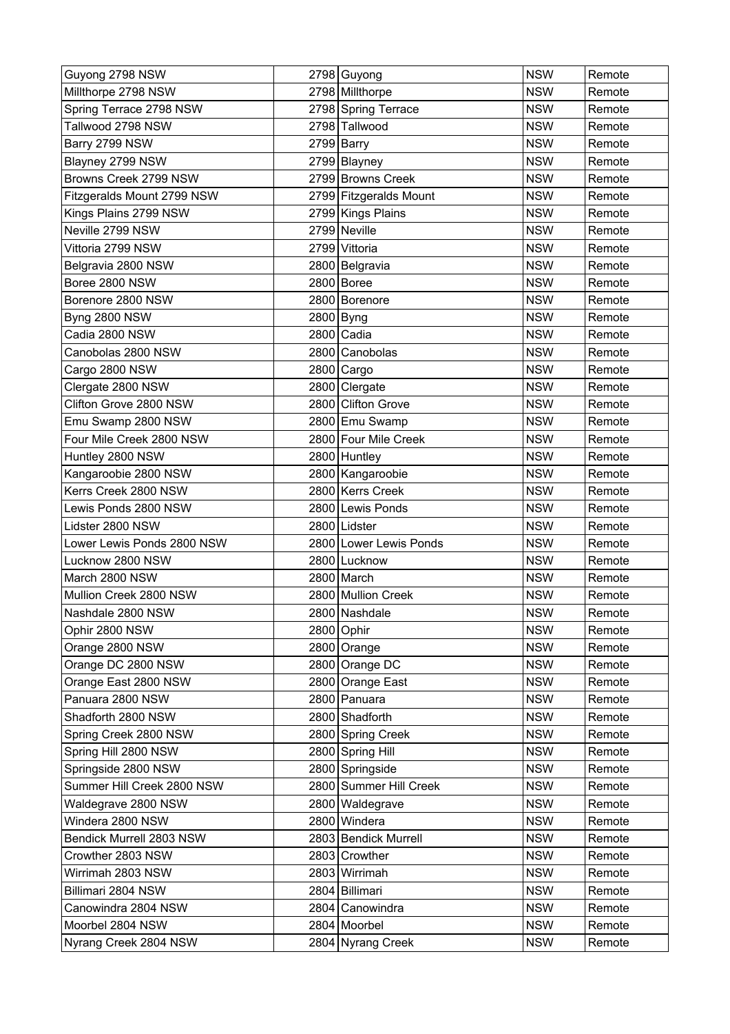| Guyong 2798 NSW            | 2798 Guyong            | <b>NSW</b> | Remote |
|----------------------------|------------------------|------------|--------|
| Millthorpe 2798 NSW        | 2798 Millthorpe        | <b>NSW</b> | Remote |
| Spring Terrace 2798 NSW    | 2798 Spring Terrace    | <b>NSW</b> | Remote |
| Tallwood 2798 NSW          | 2798 Tallwood          | <b>NSW</b> | Remote |
| Barry 2799 NSW             | 2799 Barry             | <b>NSW</b> | Remote |
| Blayney 2799 NSW           | 2799 Blayney           | <b>NSW</b> | Remote |
| Browns Creek 2799 NSW      | 2799 Browns Creek      | <b>NSW</b> | Remote |
| Fitzgeralds Mount 2799 NSW | 2799 Fitzgeralds Mount | <b>NSW</b> | Remote |
| Kings Plains 2799 NSW      | 2799 Kings Plains      | <b>NSW</b> | Remote |
| Neville 2799 NSW           | 2799 Neville           | <b>NSW</b> | Remote |
| Vittoria 2799 NSW          | 2799 Vittoria          | <b>NSW</b> | Remote |
| Belgravia 2800 NSW         | 2800 Belgravia         | <b>NSW</b> | Remote |
| Boree 2800 NSW             | 2800 Boree             | <b>NSW</b> | Remote |
| Borenore 2800 NSW          | 2800 Borenore          | <b>NSW</b> | Remote |
| <b>Byng 2800 NSW</b>       | 2800 Byng              | <b>NSW</b> | Remote |
| Cadia 2800 NSW             | 2800 Cadia             | <b>NSW</b> | Remote |
| Canobolas 2800 NSW         | 2800 Canobolas         | <b>NSW</b> | Remote |
| Cargo 2800 NSW             | 2800 Cargo             | <b>NSW</b> | Remote |
| Clergate 2800 NSW          | 2800 Clergate          | <b>NSW</b> | Remote |
| Clifton Grove 2800 NSW     | 2800 Clifton Grove     | <b>NSW</b> | Remote |
| Emu Swamp 2800 NSW         | 2800 Emu Swamp         | <b>NSW</b> | Remote |
| Four Mile Creek 2800 NSW   | 2800 Four Mile Creek   | <b>NSW</b> | Remote |
| Huntley 2800 NSW           | 2800 Huntley           | <b>NSW</b> | Remote |
| Kangaroobie 2800 NSW       | 2800 Kangaroobie       | <b>NSW</b> | Remote |
| Kerrs Creek 2800 NSW       | 2800 Kerrs Creek       | <b>NSW</b> | Remote |
| Lewis Ponds 2800 NSW       | 2800 Lewis Ponds       | <b>NSW</b> | Remote |
| Lidster 2800 NSW           | 2800 Lidster           | <b>NSW</b> | Remote |
| Lower Lewis Ponds 2800 NSW | 2800 Lower Lewis Ponds | <b>NSW</b> | Remote |
| Lucknow 2800 NSW           | 2800 Lucknow           | <b>NSW</b> | Remote |
| March 2800 NSW             | 2800 March             | <b>NSW</b> | Remote |
| Mullion Creek 2800 NSW     | 2800 Mullion Creek     | <b>NSW</b> | Remote |
| Nashdale 2800 NSW          | 2800 Nashdale          | <b>NSW</b> | Remote |
| Ophir 2800 NSW             | 2800 Ophir             | <b>NSW</b> | Remote |
| Orange 2800 NSW            | 2800 Orange            | <b>NSW</b> | Remote |
| Orange DC 2800 NSW         | 2800 Orange DC         | <b>NSW</b> | Remote |
| Orange East 2800 NSW       | 2800 Orange East       | <b>NSW</b> | Remote |
| Panuara 2800 NSW           | 2800 Panuara           | <b>NSW</b> | Remote |
| Shadforth 2800 NSW         | 2800 Shadforth         | <b>NSW</b> | Remote |
| Spring Creek 2800 NSW      | 2800 Spring Creek      | <b>NSW</b> | Remote |
| Spring Hill 2800 NSW       | 2800 Spring Hill       | <b>NSW</b> | Remote |
| Springside 2800 NSW        | 2800 Springside        | <b>NSW</b> | Remote |
| Summer Hill Creek 2800 NSW | 2800 Summer Hill Creek | <b>NSW</b> | Remote |
| Waldegrave 2800 NSW        | 2800 Waldegrave        | <b>NSW</b> | Remote |
| Windera 2800 NSW           | 2800 Windera           | <b>NSW</b> | Remote |
| Bendick Murrell 2803 NSW   | 2803 Bendick Murrell   | <b>NSW</b> | Remote |
| Crowther 2803 NSW          | 2803 Crowther          | <b>NSW</b> | Remote |
| Wirrimah 2803 NSW          | 2803 Wirrimah          | <b>NSW</b> | Remote |
| Billimari 2804 NSW         | 2804 Billimari         | <b>NSW</b> | Remote |
| Canowindra 2804 NSW        | 2804 Canowindra        | <b>NSW</b> | Remote |
| Moorbel 2804 NSW           | 2804 Moorbel           | <b>NSW</b> | Remote |
| Nyrang Creek 2804 NSW      | 2804 Nyrang Creek      | <b>NSW</b> | Remote |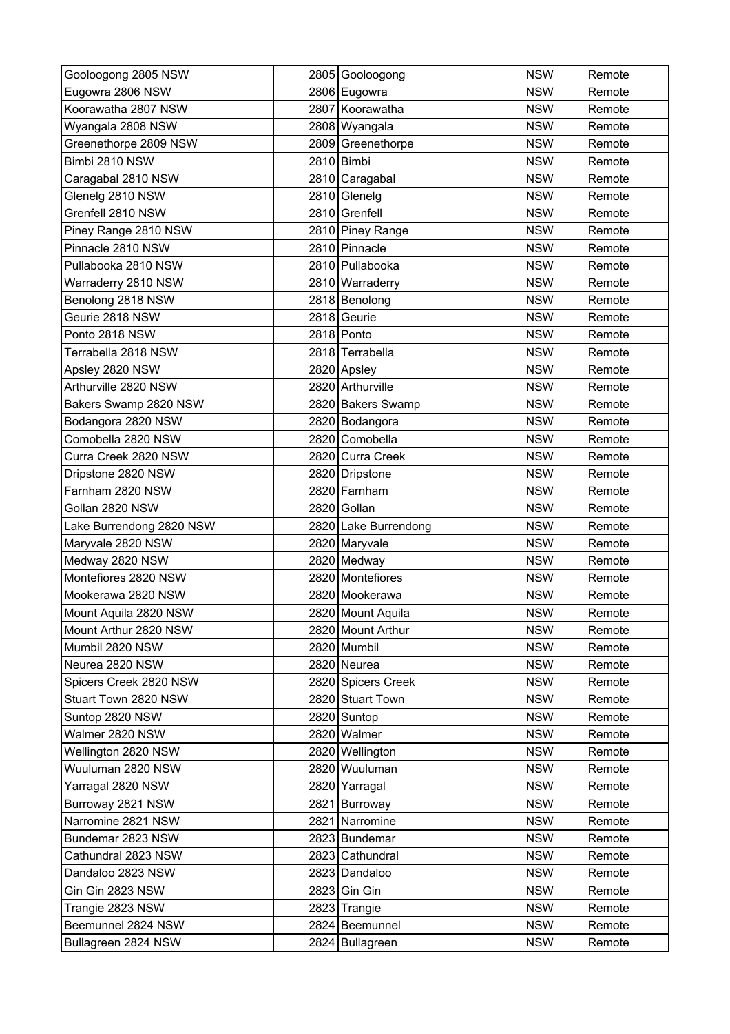| Gooloogong 2805 NSW      | 2805 Gooloogong      | <b>NSW</b> | Remote |
|--------------------------|----------------------|------------|--------|
| Eugowra 2806 NSW         | 2806 Eugowra         | <b>NSW</b> | Remote |
| Koorawatha 2807 NSW      | 2807 Koorawatha      | <b>NSW</b> | Remote |
| Wyangala 2808 NSW        | 2808 Wyangala        | <b>NSW</b> | Remote |
| Greenethorpe 2809 NSW    | 2809 Greenethorpe    | <b>NSW</b> | Remote |
| Bimbi 2810 NSW           | 2810 Bimbi           | <b>NSW</b> | Remote |
| Caragabal 2810 NSW       | 2810 Caragabal       | <b>NSW</b> | Remote |
| Glenelg 2810 NSW         | 2810 Glenelg         | <b>NSW</b> | Remote |
| Grenfell 2810 NSW        | 2810 Grenfell        | <b>NSW</b> | Remote |
| Piney Range 2810 NSW     | 2810 Piney Range     | <b>NSW</b> | Remote |
| Pinnacle 2810 NSW        | 2810 Pinnacle        | <b>NSW</b> | Remote |
| Pullabooka 2810 NSW      | 2810 Pullabooka      | <b>NSW</b> | Remote |
| Warraderry 2810 NSW      | 2810 Warraderry      | <b>NSW</b> | Remote |
| Benolong 2818 NSW        | 2818 Benolong        | <b>NSW</b> | Remote |
| Geurie 2818 NSW          | 2818 Geurie          | <b>NSW</b> | Remote |
| Ponto 2818 NSW           | 2818 Ponto           | <b>NSW</b> | Remote |
| Terrabella 2818 NSW      | 2818 Terrabella      | <b>NSW</b> | Remote |
| Apsley 2820 NSW          | 2820 Apsley          | <b>NSW</b> | Remote |
| Arthurville 2820 NSW     | 2820 Arthurville     | <b>NSW</b> | Remote |
| Bakers Swamp 2820 NSW    | 2820 Bakers Swamp    | <b>NSW</b> | Remote |
| Bodangora 2820 NSW       | 2820 Bodangora       | <b>NSW</b> | Remote |
| Comobella 2820 NSW       | 2820 Comobella       | <b>NSW</b> | Remote |
| Curra Creek 2820 NSW     | 2820 Curra Creek     | <b>NSW</b> | Remote |
| Dripstone 2820 NSW       | 2820 Dripstone       | <b>NSW</b> | Remote |
| Farnham 2820 NSW         | 2820 Farnham         | <b>NSW</b> | Remote |
| Gollan 2820 NSW          | 2820 Gollan          | <b>NSW</b> | Remote |
| Lake Burrendong 2820 NSW | 2820 Lake Burrendong | <b>NSW</b> | Remote |
| Maryvale 2820 NSW        | 2820 Maryvale        | <b>NSW</b> | Remote |
| Medway 2820 NSW          | 2820 Medway          | <b>NSW</b> | Remote |
| Montefiores 2820 NSW     | 2820 Montefiores     | <b>NSW</b> | Remote |
| Mookerawa 2820 NSW       | 2820 Mookerawa       | <b>NSW</b> | Remote |
| Mount Aquila 2820 NSW    | 2820 Mount Aquila    | <b>NSW</b> | Remote |
| Mount Arthur 2820 NSW    | 2820 Mount Arthur    | <b>NSW</b> | Remote |
| Mumbil 2820 NSW          | 2820 Mumbil          | <b>NSW</b> | Remote |
| Neurea 2820 NSW          | 2820 Neurea          | <b>NSW</b> | Remote |
| Spicers Creek 2820 NSW   | 2820 Spicers Creek   | <b>NSW</b> | Remote |
| Stuart Town 2820 NSW     | 2820 Stuart Town     | <b>NSW</b> | Remote |
| Suntop 2820 NSW          | 2820 Suntop          | <b>NSW</b> | Remote |
| Walmer 2820 NSW          | 2820 Walmer          | <b>NSW</b> | Remote |
| Wellington 2820 NSW      | 2820 Wellington      | <b>NSW</b> | Remote |
| Wuuluman 2820 NSW        | 2820 Wuuluman        | <b>NSW</b> | Remote |
| Yarragal 2820 NSW        | 2820 Yarragal        | <b>NSW</b> | Remote |
| Burroway 2821 NSW        | 2821 Burroway        | <b>NSW</b> | Remote |
| Narromine 2821 NSW       | 2821 Narromine       | <b>NSW</b> | Remote |
| Bundemar 2823 NSW        | 2823 Bundemar        | <b>NSW</b> | Remote |
| Cathundral 2823 NSW      | 2823 Cathundral      | <b>NSW</b> | Remote |
| Dandaloo 2823 NSW        | 2823 Dandaloo        | <b>NSW</b> | Remote |
| Gin Gin 2823 NSW         | 2823 Gin Gin         | <b>NSW</b> | Remote |
| Trangie 2823 NSW         | 2823 Trangie         | <b>NSW</b> | Remote |
| Beemunnel 2824 NSW       | 2824 Beemunnel       | <b>NSW</b> | Remote |
| Bullagreen 2824 NSW      | 2824 Bullagreen      | <b>NSW</b> | Remote |
|                          |                      |            |        |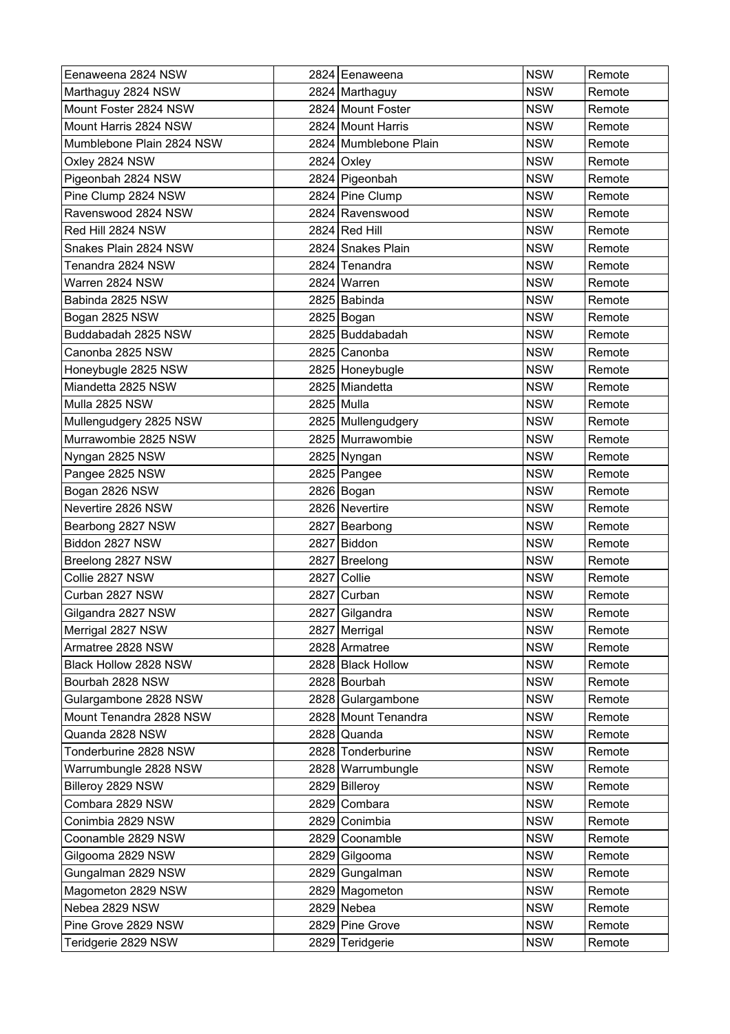| Eenaweena 2824 NSW        |      | 2824 Eenaweena        | <b>NSW</b> | Remote |
|---------------------------|------|-----------------------|------------|--------|
| Marthaguy 2824 NSW        |      | 2824 Marthaguy        | <b>NSW</b> | Remote |
| Mount Foster 2824 NSW     |      | 2824 Mount Foster     | <b>NSW</b> | Remote |
| Mount Harris 2824 NSW     |      | 2824 Mount Harris     | <b>NSW</b> | Remote |
| Mumblebone Plain 2824 NSW |      | 2824 Mumblebone Plain | <b>NSW</b> | Remote |
| Oxley 2824 NSW            |      | 2824 Oxley            | <b>NSW</b> | Remote |
| Pigeonbah 2824 NSW        |      | 2824 Pigeonbah        | <b>NSW</b> | Remote |
| Pine Clump 2824 NSW       |      | 2824 Pine Clump       | <b>NSW</b> | Remote |
| Ravenswood 2824 NSW       |      | 2824 Ravenswood       | <b>NSW</b> | Remote |
| Red Hill 2824 NSW         |      | 2824 Red Hill         | <b>NSW</b> | Remote |
| Snakes Plain 2824 NSW     |      | 2824 Snakes Plain     | <b>NSW</b> | Remote |
| Tenandra 2824 NSW         |      | 2824 Tenandra         | <b>NSW</b> | Remote |
| Warren 2824 NSW           |      | 2824 Warren           | <b>NSW</b> | Remote |
| Babinda 2825 NSW          |      | 2825 Babinda          | <b>NSW</b> | Remote |
| Bogan 2825 NSW            |      | 2825 Bogan            | <b>NSW</b> | Remote |
| Buddabadah 2825 NSW       |      | 2825 Buddabadah       | <b>NSW</b> | Remote |
| Canonba 2825 NSW          |      | 2825 Canonba          | <b>NSW</b> | Remote |
| Honeybugle 2825 NSW       |      | 2825 Honeybugle       | <b>NSW</b> | Remote |
| Miandetta 2825 NSW        |      | 2825 Miandetta        | <b>NSW</b> | Remote |
| Mulla 2825 NSW            |      | 2825 Mulla            | <b>NSW</b> | Remote |
| Mullengudgery 2825 NSW    |      | 2825   Mullengudgery  | <b>NSW</b> | Remote |
| Murrawombie 2825 NSW      |      | 2825 Murrawombie      | <b>NSW</b> | Remote |
| Nyngan 2825 NSW           |      | 2825 Nyngan           | <b>NSW</b> | Remote |
| Pangee 2825 NSW           |      | $2825$ Pangee         | <b>NSW</b> | Remote |
| Bogan 2826 NSW            |      | 2826 Bogan            | <b>NSW</b> | Remote |
| Nevertire 2826 NSW        |      | 2826 Nevertire        | <b>NSW</b> | Remote |
| Bearbong 2827 NSW         |      | 2827 Bearbong         | <b>NSW</b> | Remote |
| Biddon 2827 NSW           |      | 2827 Biddon           | <b>NSW</b> | Remote |
| Breelong 2827 NSW         |      | 2827 Breelong         | <b>NSW</b> | Remote |
| Collie 2827 NSW           | 2827 | Collie                | <b>NSW</b> | Remote |
| Curban 2827 NSW           |      | 2827 Curban           | <b>NSW</b> | Remote |
| Gilgandra 2827 NSW        |      | 2827 Gilgandra        | <b>NSW</b> | Remote |
| Merrigal 2827 NSW         |      | 2827 Merrigal         | <b>NSW</b> | Remote |
| Armatree 2828 NSW         |      | 2828 Armatree         | <b>NSW</b> | Remote |
| Black Hollow 2828 NSW     |      | 2828 Black Hollow     | <b>NSW</b> | Remote |
| Bourbah 2828 NSW          |      | 2828 Bourbah          | <b>NSW</b> | Remote |
| Gulargambone 2828 NSW     |      | 2828 Gulargambone     | <b>NSW</b> | Remote |
| Mount Tenandra 2828 NSW   |      | 2828 Mount Tenandra   | <b>NSW</b> | Remote |
| Quanda 2828 NSW           |      | 2828 Quanda           | <b>NSW</b> | Remote |
| Tonderburine 2828 NSW     |      | 2828 Tonderburine     | <b>NSW</b> | Remote |
| Warrumbungle 2828 NSW     |      | 2828 Warrumbungle     | <b>NSW</b> | Remote |
| Billeroy 2829 NSW         |      | 2829 Billeroy         | <b>NSW</b> | Remote |
| Combara 2829 NSW          |      | 2829 Combara          | <b>NSW</b> | Remote |
| Conimbia 2829 NSW         |      | 2829 Conimbia         | <b>NSW</b> | Remote |
| Coonamble 2829 NSW        |      | 2829 Coonamble        | <b>NSW</b> | Remote |
| Gilgooma 2829 NSW         |      | 2829 Gilgooma         | <b>NSW</b> | Remote |
| Gungalman 2829 NSW        |      | 2829 Gungalman        | <b>NSW</b> | Remote |
| Magometon 2829 NSW        |      | 2829 Magometon        | <b>NSW</b> | Remote |
| Nebea 2829 NSW            |      | $2829$ Nebea          | <b>NSW</b> | Remote |
| Pine Grove 2829 NSW       |      | 2829 Pine Grove       | <b>NSW</b> | Remote |
| Teridgerie 2829 NSW       |      | 2829 Teridgerie       | <b>NSW</b> | Remote |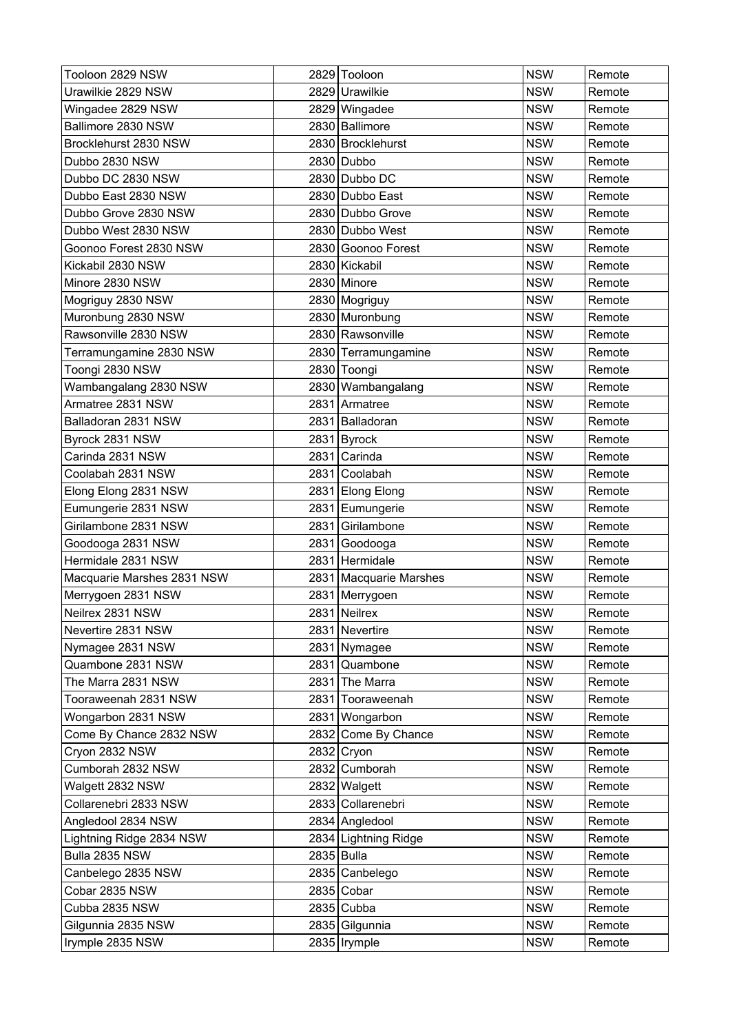| Tooloon 2829 NSW           |      | 2829 Tooloon           | <b>NSW</b> | Remote |
|----------------------------|------|------------------------|------------|--------|
| Urawilkie 2829 NSW         |      | 2829 Urawilkie         | <b>NSW</b> | Remote |
| Wingadee 2829 NSW          |      | 2829 Wingadee          | <b>NSW</b> | Remote |
| Ballimore 2830 NSW         |      | 2830 Ballimore         | <b>NSW</b> | Remote |
| Brocklehurst 2830 NSW      |      | 2830 Brocklehurst      | <b>NSW</b> | Remote |
| Dubbo 2830 NSW             |      | 2830 Dubbo             | <b>NSW</b> | Remote |
| Dubbo DC 2830 NSW          |      | 2830 Dubbo DC          | <b>NSW</b> | Remote |
| Dubbo East 2830 NSW        |      | 2830 Dubbo East        | <b>NSW</b> | Remote |
| Dubbo Grove 2830 NSW       |      | 2830 Dubbo Grove       | <b>NSW</b> | Remote |
| Dubbo West 2830 NSW        |      | 2830 Dubbo West        | <b>NSW</b> | Remote |
| Goonoo Forest 2830 NSW     |      | 2830 Goonoo Forest     | <b>NSW</b> | Remote |
| Kickabil 2830 NSW          |      | 2830 Kickabil          | <b>NSW</b> | Remote |
| Minore 2830 NSW            |      | 2830 Minore            | <b>NSW</b> | Remote |
| Mogriguy 2830 NSW          |      | 2830 Mogriguy          | <b>NSW</b> | Remote |
| Muronbung 2830 NSW         |      | 2830 Muronbung         | <b>NSW</b> | Remote |
| Rawsonville 2830 NSW       |      | 2830 Rawsonville       | <b>NSW</b> | Remote |
| Terramungamine 2830 NSW    |      | 2830 Terramungamine    | <b>NSW</b> | Remote |
| Toongi 2830 NSW            |      | 2830 Toongi            | <b>NSW</b> | Remote |
| Wambangalang 2830 NSW      |      | 2830 Wambangalang      | <b>NSW</b> | Remote |
| Armatree 2831 NSW          |      | 2831 Armatree          | <b>NSW</b> | Remote |
| Balladoran 2831 NSW        | 2831 | Balladoran             | <b>NSW</b> | Remote |
| Byrock 2831 NSW            |      | 2831 Byrock            | <b>NSW</b> | Remote |
| Carinda 2831 NSW           | 2831 | Carinda                | <b>NSW</b> | Remote |
| Coolabah 2831 NSW          | 2831 | Coolabah               | <b>NSW</b> | Remote |
| Elong Elong 2831 NSW       |      | 2831 Elong Elong       | <b>NSW</b> | Remote |
| Eumungerie 2831 NSW        | 2831 | Eumungerie             | <b>NSW</b> | Remote |
| Girilambone 2831 NSW       | 2831 | Girilambone            | <b>NSW</b> | Remote |
| Goodooga 2831 NSW          |      | 2831 Goodooga          | <b>NSW</b> | Remote |
| Hermidale 2831 NSW         |      | 2831 Hermidale         | <b>NSW</b> | Remote |
| Macquarie Marshes 2831 NSW |      | 2831 Macquarie Marshes | <b>NSW</b> | Remote |
| Merrygoen 2831 NSW         |      | 2831   Merrygoen       | <b>NSW</b> | Remote |
| Neilrex 2831 NSW           |      | 2831 Neilrex           | <b>NSW</b> | Remote |
| Nevertire 2831 NSW         |      | 2831 Nevertire         | <b>NSW</b> | Remote |
| Nymagee 2831 NSW           |      | 2831 Nymagee           | <b>NSW</b> | Remote |
| Quambone 2831 NSW          |      | 2831 Quambone          | <b>NSW</b> | Remote |
| The Marra 2831 NSW         |      | 2831 The Marra         | <b>NSW</b> | Remote |
| Tooraweenah 2831 NSW       |      | 2831 Tooraweenah       | <b>NSW</b> | Remote |
| Wongarbon 2831 NSW         |      | 2831 Wongarbon         | <b>NSW</b> | Remote |
| Come By Chance 2832 NSW    |      | 2832 Come By Chance    | <b>NSW</b> | Remote |
| Cryon 2832 NSW             |      | 2832 Cryon             | <b>NSW</b> | Remote |
| Cumborah 2832 NSW          |      | 2832 Cumborah          | <b>NSW</b> | Remote |
| Walgett 2832 NSW           |      | 2832 Walgett           | <b>NSW</b> | Remote |
| Collarenebri 2833 NSW      |      | 2833 Collarenebri      | <b>NSW</b> | Remote |
| Angledool 2834 NSW         |      | 2834 Angledool         | <b>NSW</b> | Remote |
| Lightning Ridge 2834 NSW   |      | 2834 Lightning Ridge   | <b>NSW</b> | Remote |
| Bulla 2835 NSW             |      | 2835 Bulla             | <b>NSW</b> | Remote |
| Canbelego 2835 NSW         |      | 2835 Canbelego         | <b>NSW</b> | Remote |
| Cobar 2835 NSW             |      | $2835$ Cobar           | <b>NSW</b> | Remote |
| Cubba 2835 NSW             |      | $2835$ Cubba           | <b>NSW</b> | Remote |
| Gilgunnia 2835 NSW         |      | 2835 Gilgunnia         | <b>NSW</b> | Remote |
| Irymple 2835 NSW           |      | 2835   Irymple         | <b>NSW</b> | Remote |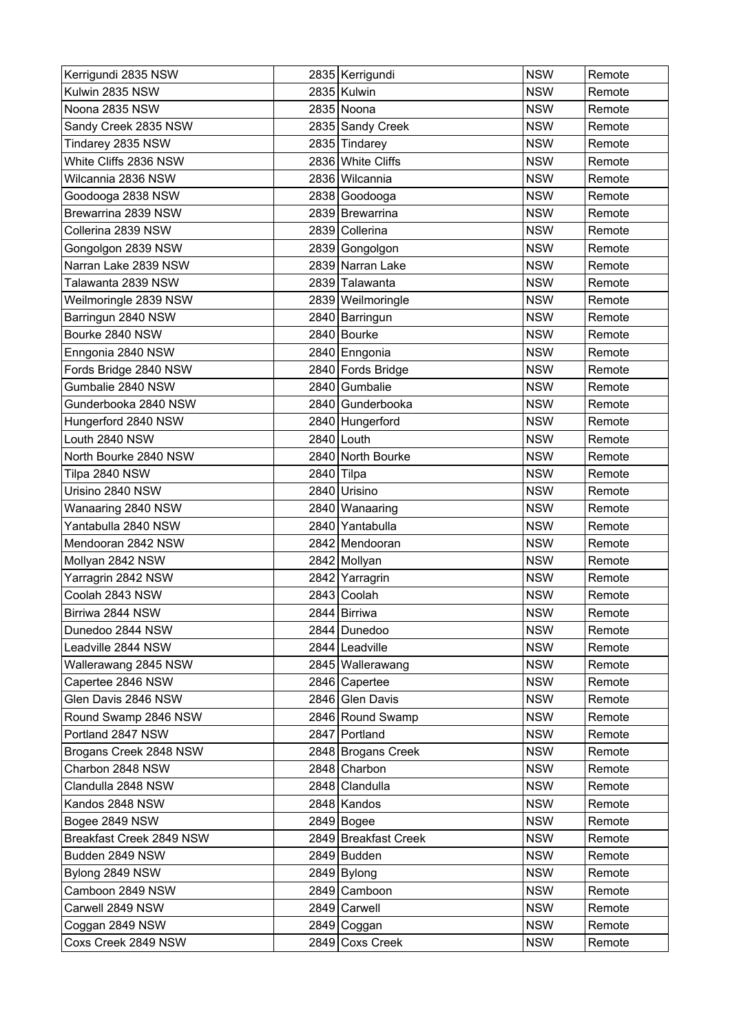| Kerrigundi 2835 NSW      |            | 2835 Kerrigundi      | <b>NSW</b> | Remote |
|--------------------------|------------|----------------------|------------|--------|
| Kulwin 2835 NSW          |            | 2835 Kulwin          | <b>NSW</b> | Remote |
| Noona 2835 NSW           |            | 2835 Noona           | <b>NSW</b> | Remote |
| Sandy Creek 2835 NSW     |            | 2835 Sandy Creek     | <b>NSW</b> | Remote |
| Tindarey 2835 NSW        |            | 2835 Tindarey        | <b>NSW</b> | Remote |
| White Cliffs 2836 NSW    |            | 2836 White Cliffs    | <b>NSW</b> | Remote |
| Wilcannia 2836 NSW       |            | 2836 Wilcannia       | <b>NSW</b> | Remote |
| Goodooga 2838 NSW        |            | 2838 Goodooga        | <b>NSW</b> | Remote |
| Brewarrina 2839 NSW      |            | 2839 Brewarrina      | <b>NSW</b> | Remote |
| Collerina 2839 NSW       |            | 2839 Collerina       | <b>NSW</b> | Remote |
| Gongolgon 2839 NSW       |            | 2839 Gongolgon       | <b>NSW</b> | Remote |
| Narran Lake 2839 NSW     |            | 2839 Narran Lake     | <b>NSW</b> | Remote |
| Talawanta 2839 NSW       |            | 2839 Talawanta       | <b>NSW</b> | Remote |
| Weilmoringle 2839 NSW    |            | 2839 Weilmoringle    | <b>NSW</b> | Remote |
| Barringun 2840 NSW       |            | 2840 Barringun       | <b>NSW</b> | Remote |
| Bourke 2840 NSW          |            | 2840 Bourke          | <b>NSW</b> | Remote |
| Enngonia 2840 NSW        |            | 2840 Enngonia        | <b>NSW</b> | Remote |
| Fords Bridge 2840 NSW    |            | 2840 Fords Bridge    | <b>NSW</b> | Remote |
| Gumbalie 2840 NSW        |            | 2840 Gumbalie        | <b>NSW</b> | Remote |
| Gunderbooka 2840 NSW     |            | 2840 Gunderbooka     | <b>NSW</b> | Remote |
| Hungerford 2840 NSW      |            | 2840 Hungerford      | <b>NSW</b> | Remote |
| Louth 2840 NSW           |            | 2840 Louth           | <b>NSW</b> | Remote |
| North Bourke 2840 NSW    |            | 2840 North Bourke    | <b>NSW</b> | Remote |
| Tilpa 2840 NSW           | 2840 Tilpa |                      | <b>NSW</b> | Remote |
| Urisino 2840 NSW         |            | 2840 Urisino         | <b>NSW</b> | Remote |
| Wanaaring 2840 NSW       |            | 2840 Wanaaring       | <b>NSW</b> | Remote |
| Yantabulla 2840 NSW      |            | 2840 Yantabulla      | <b>NSW</b> | Remote |
| Mendooran 2842 NSW       |            | 2842 Mendooran       | <b>NSW</b> | Remote |
| Mollyan 2842 NSW         |            | 2842 Mollyan         | <b>NSW</b> | Remote |
| Yarragrin 2842 NSW       |            | 2842 Yarragrin       | <b>NSW</b> | Remote |
| Coolah 2843 NSW          |            | 2843 Coolah          | <b>NSW</b> | Remote |
| Birriwa 2844 NSW         |            | 2844 Birriwa         | <b>NSW</b> | Remote |
| Dunedoo 2844 NSW         |            | 2844 Dunedoo         | <b>NSW</b> | Remote |
| Leadville 2844 NSW       |            | 2844 Leadville       | <b>NSW</b> | Remote |
| Wallerawang 2845 NSW     |            | 2845   Wallerawang   | <b>NSW</b> | Remote |
| Capertee 2846 NSW        |            | 2846 Capertee        | <b>NSW</b> | Remote |
| Glen Davis 2846 NSW      |            | 2846 Glen Davis      | <b>NSW</b> | Remote |
| Round Swamp 2846 NSW     |            | 2846 Round Swamp     | <b>NSW</b> | Remote |
| Portland 2847 NSW        |            | 2847 Portland        | <b>NSW</b> | Remote |
| Brogans Creek 2848 NSW   |            | 2848 Brogans Creek   | <b>NSW</b> | Remote |
| Charbon 2848 NSW         |            | 2848 Charbon         | <b>NSW</b> | Remote |
| Clandulla 2848 NSW       |            | 2848 Clandulla       | <b>NSW</b> | Remote |
| Kandos 2848 NSW          |            | 2848 Kandos          | <b>NSW</b> | Remote |
| Bogee 2849 NSW           |            | 2849 Bogee           | <b>NSW</b> | Remote |
| Breakfast Creek 2849 NSW |            | 2849 Breakfast Creek | <b>NSW</b> | Remote |
| Budden 2849 NSW          |            | 2849 Budden          | <b>NSW</b> | Remote |
| Bylong 2849 NSW          |            | $2849$ Bylong        | <b>NSW</b> | Remote |
| Camboon 2849 NSW         |            | 2849 Camboon         | <b>NSW</b> | Remote |
| Carwell 2849 NSW         |            | 2849 Carwell         | <b>NSW</b> | Remote |
| Coggan 2849 NSW          |            | 2849 Coggan          | <b>NSW</b> | Remote |
| Coxs Creek 2849 NSW      |            | 2849 Coxs Creek      | <b>NSW</b> | Remote |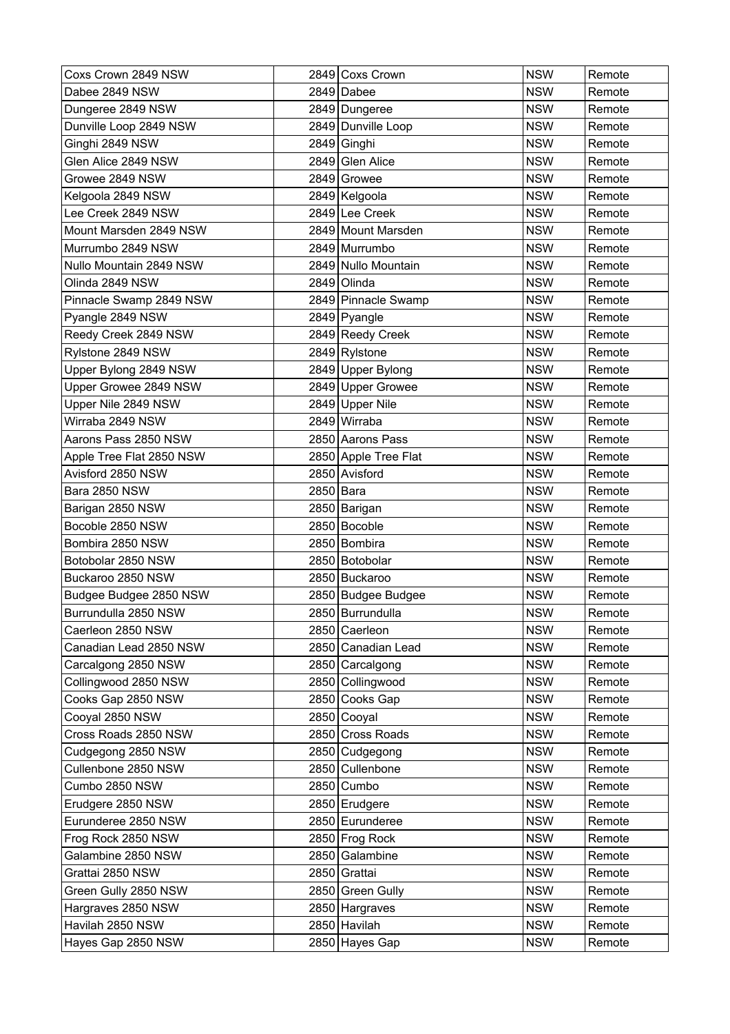| Coxs Crown 2849 NSW      |           | 2849 Coxs Crown      | <b>NSW</b> | Remote |
|--------------------------|-----------|----------------------|------------|--------|
| Dabee 2849 NSW           |           | 2849 Dabee           | <b>NSW</b> | Remote |
| Dungeree 2849 NSW        |           | 2849 Dungeree        | <b>NSW</b> | Remote |
| Dunville Loop 2849 NSW   |           | 2849 Dunville Loop   | <b>NSW</b> | Remote |
| Ginghi 2849 NSW          |           | 2849 Ginghi          | <b>NSW</b> | Remote |
| Glen Alice 2849 NSW      |           | 2849 Glen Alice      | <b>NSW</b> | Remote |
| Growee 2849 NSW          |           | 2849 Growee          | <b>NSW</b> | Remote |
| Kelgoola 2849 NSW        |           | 2849 Kelgoola        | <b>NSW</b> | Remote |
| Lee Creek 2849 NSW       |           | 2849 Lee Creek       | <b>NSW</b> | Remote |
| Mount Marsden 2849 NSW   |           | 2849 Mount Marsden   | <b>NSW</b> | Remote |
| Murrumbo 2849 NSW        |           | 2849 Murrumbo        | <b>NSW</b> | Remote |
| Nullo Mountain 2849 NSW  |           | 2849 Nullo Mountain  | <b>NSW</b> | Remote |
| Olinda 2849 NSW          |           | 2849 Olinda          | <b>NSW</b> | Remote |
| Pinnacle Swamp 2849 NSW  |           | 2849 Pinnacle Swamp  | <b>NSW</b> | Remote |
| Pyangle 2849 NSW         |           | 2849 Pyangle         | <b>NSW</b> | Remote |
| Reedy Creek 2849 NSW     |           | 2849 Reedy Creek     | <b>NSW</b> | Remote |
| Rylstone 2849 NSW        |           | 2849 Rylstone        | <b>NSW</b> | Remote |
| Upper Bylong 2849 NSW    |           | 2849 Upper Bylong    | <b>NSW</b> | Remote |
| Upper Growee 2849 NSW    |           | 2849 Upper Growee    | <b>NSW</b> | Remote |
| Upper Nile 2849 NSW      |           | 2849 Upper Nile      | <b>NSW</b> | Remote |
| Wirraba 2849 NSW         |           | 2849 Wirraba         | <b>NSW</b> | Remote |
| Aarons Pass 2850 NSW     |           | 2850 Aarons Pass     | <b>NSW</b> | Remote |
| Apple Tree Flat 2850 NSW |           | 2850 Apple Tree Flat | <b>NSW</b> | Remote |
| Avisford 2850 NSW        |           | 2850 Avisford        | <b>NSW</b> | Remote |
| Bara 2850 NSW            | 2850 Bara |                      | <b>NSW</b> | Remote |
| Barigan 2850 NSW         |           | 2850 Barigan         | <b>NSW</b> | Remote |
| Bocoble 2850 NSW         |           | 2850 Bocoble         | <b>NSW</b> | Remote |
| Bombira 2850 NSW         |           | 2850 Bombira         | <b>NSW</b> | Remote |
| Botobolar 2850 NSW       |           | 2850 Botobolar       | <b>NSW</b> | Remote |
| Buckaroo 2850 NSW        |           | 2850 Buckaroo        | <b>NSW</b> | Remote |
| Budgee Budgee 2850 NSW   |           | 2850 Budgee Budgee   | <b>NSW</b> | Remote |
| Burrundulla 2850 NSW     |           | 2850 Burrundulla     | <b>NSW</b> | Remote |
| Caerleon 2850 NSW        |           | 2850 Caerleon        | <b>NSW</b> | Remote |
| Canadian Lead 2850 NSW   |           | 2850 Canadian Lead   | <b>NSW</b> | Remote |
| Carcalgong 2850 NSW      |           | 2850 Carcalgong      | <b>NSW</b> | Remote |
| Collingwood 2850 NSW     |           | 2850 Collingwood     | <b>NSW</b> | Remote |
| Cooks Gap 2850 NSW       |           | 2850 Cooks Gap       | <b>NSW</b> | Remote |
| Cooyal 2850 NSW          |           | 2850 Cooyal          | <b>NSW</b> | Remote |
| Cross Roads 2850 NSW     |           | 2850 Cross Roads     | <b>NSW</b> | Remote |
| Cudgegong 2850 NSW       |           | 2850 Cudgegong       | <b>NSW</b> | Remote |
| Cullenbone 2850 NSW      |           | 2850 Cullenbone      | <b>NSW</b> | Remote |
| Cumbo 2850 NSW           |           | 2850 Cumbo           | <b>NSW</b> | Remote |
| Erudgere 2850 NSW        |           | 2850 Erudgere        | <b>NSW</b> | Remote |
| Eurunderee 2850 NSW      |           | 2850 Eurunderee      | <b>NSW</b> | Remote |
| Frog Rock 2850 NSW       |           | 2850 Frog Rock       | <b>NSW</b> | Remote |
| Galambine 2850 NSW       |           | 2850 Galambine       | <b>NSW</b> | Remote |
| Grattai 2850 NSW         |           | 2850 Grattai         | <b>NSW</b> | Remote |
| Green Gully 2850 NSW     |           | 2850 Green Gully     | <b>NSW</b> | Remote |
| Hargraves 2850 NSW       |           | 2850 Hargraves       | <b>NSW</b> | Remote |
| Havilah 2850 NSW         |           | 2850 Havilah         | <b>NSW</b> | Remote |
| Hayes Gap 2850 NSW       |           | 2850 Hayes Gap       | <b>NSW</b> | Remote |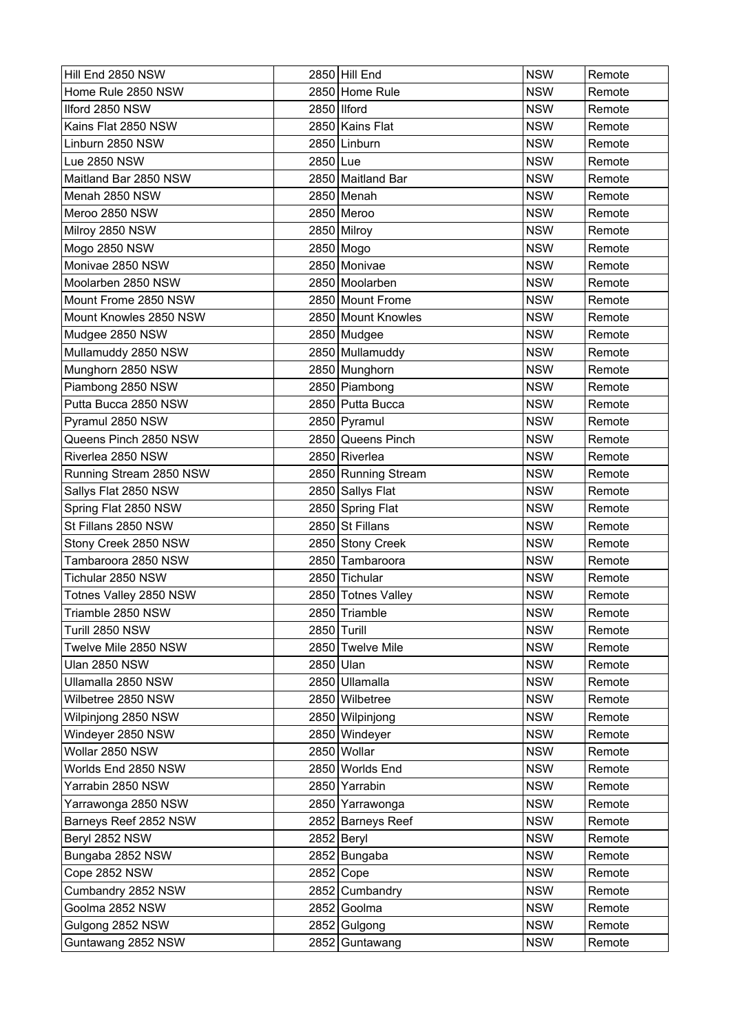| Hill End 2850 NSW       |           | 2850 Hill End       | <b>NSW</b> | Remote |
|-------------------------|-----------|---------------------|------------|--------|
| Home Rule 2850 NSW      |           | 2850 Home Rule      | <b>NSW</b> | Remote |
| Ilford 2850 NSW         |           | 2850 Ilford         | <b>NSW</b> | Remote |
| Kains Flat 2850 NSW     |           | 2850 Kains Flat     | <b>NSW</b> | Remote |
| Linburn 2850 NSW        |           | 2850 Linburn        | <b>NSW</b> | Remote |
| Lue 2850 NSW            | 2850 Lue  |                     | <b>NSW</b> | Remote |
| Maitland Bar 2850 NSW   |           | 2850 Maitland Bar   | <b>NSW</b> | Remote |
| Menah 2850 NSW          |           | 2850 Menah          | <b>NSW</b> | Remote |
| Meroo 2850 NSW          |           | 2850 Meroo          | <b>NSW</b> | Remote |
| Milroy 2850 NSW         |           | 2850 Milroy         | <b>NSW</b> | Remote |
| Mogo 2850 NSW           |           | 2850 Mogo           | <b>NSW</b> | Remote |
| Monivae 2850 NSW        |           | 2850 Monivae        | <b>NSW</b> | Remote |
| Moolarben 2850 NSW      |           | 2850 Moolarben      | <b>NSW</b> | Remote |
| Mount Frome 2850 NSW    |           | 2850 Mount Frome    | <b>NSW</b> | Remote |
| Mount Knowles 2850 NSW  |           | 2850 Mount Knowles  | <b>NSW</b> | Remote |
| Mudgee 2850 NSW         |           | 2850 Mudgee         | <b>NSW</b> | Remote |
| Mullamuddy 2850 NSW     |           | 2850 Mullamuddy     | <b>NSW</b> | Remote |
| Munghorn 2850 NSW       |           | 2850 Munghorn       | <b>NSW</b> | Remote |
| Piambong 2850 NSW       |           | 2850 Piambong       | <b>NSW</b> | Remote |
| Putta Bucca 2850 NSW    |           | 2850 Putta Bucca    | <b>NSW</b> | Remote |
| Pyramul 2850 NSW        |           | 2850 Pyramul        | <b>NSW</b> | Remote |
| Queens Pinch 2850 NSW   |           | 2850 Queens Pinch   | <b>NSW</b> | Remote |
| Riverlea 2850 NSW       |           | 2850 Riverlea       | <b>NSW</b> | Remote |
| Running Stream 2850 NSW |           | 2850 Running Stream | <b>NSW</b> | Remote |
| Sallys Flat 2850 NSW    |           | 2850 Sallys Flat    | <b>NSW</b> | Remote |
| Spring Flat 2850 NSW    |           | 2850 Spring Flat    | <b>NSW</b> | Remote |
| St Fillans 2850 NSW     |           | 2850 St Fillans     | <b>NSW</b> | Remote |
| Stony Creek 2850 NSW    |           | 2850 Stony Creek    | <b>NSW</b> | Remote |
| Tambaroora 2850 NSW     |           | 2850 Tambaroora     | <b>NSW</b> | Remote |
| Tichular 2850 NSW       |           | 2850 Tichular       | <b>NSW</b> | Remote |
| Totnes Valley 2850 NSW  |           | 2850 Totnes Valley  | <b>NSW</b> | Remote |
| Triamble 2850 NSW       |           | 2850 Triamble       | <b>NSW</b> | Remote |
| Turill 2850 NSW         |           | 2850 Turill         | <b>NSW</b> | Remote |
| Twelve Mile 2850 NSW    |           | 2850 Twelve Mile    | <b>NSW</b> | Remote |
| Ulan 2850 NSW           | 2850 Ulan |                     | <b>NSW</b> | Remote |
| Ullamalla 2850 NSW      |           | 2850 Ullamalla      | <b>NSW</b> | Remote |
| Wilbetree 2850 NSW      |           | 2850 Wilbetree      | <b>NSW</b> | Remote |
| Wilpinjong 2850 NSW     |           | 2850 Wilpinjong     | <b>NSW</b> | Remote |
| Windeyer 2850 NSW       |           | 2850 Windeyer       | <b>NSW</b> | Remote |
| Wollar 2850 NSW         |           | 2850 Wollar         | <b>NSW</b> | Remote |
| Worlds End 2850 NSW     |           | 2850 Worlds End     | <b>NSW</b> | Remote |
| Yarrabin 2850 NSW       |           | 2850 Yarrabin       | <b>NSW</b> | Remote |
| Yarrawonga 2850 NSW     |           | 2850 Yarrawonga     | <b>NSW</b> | Remote |
| Barneys Reef 2852 NSW   |           | 2852 Barneys Reef   | <b>NSW</b> | Remote |
| Beryl 2852 NSW          |           | 2852 Beryl          | <b>NSW</b> | Remote |
| Bungaba 2852 NSW        |           | 2852 Bungaba        | <b>NSW</b> | Remote |
| Cope 2852 NSW           |           | 2852 Cope           | <b>NSW</b> | Remote |
| Cumbandry 2852 NSW      |           | 2852 Cumbandry      | <b>NSW</b> | Remote |
| Goolma 2852 NSW         |           | 2852 Goolma         | <b>NSW</b> | Remote |
| Gulgong 2852 NSW        |           | 2852 Gulgong        | <b>NSW</b> | Remote |
| Guntawang 2852 NSW      |           | 2852 Guntawang      | <b>NSW</b> | Remote |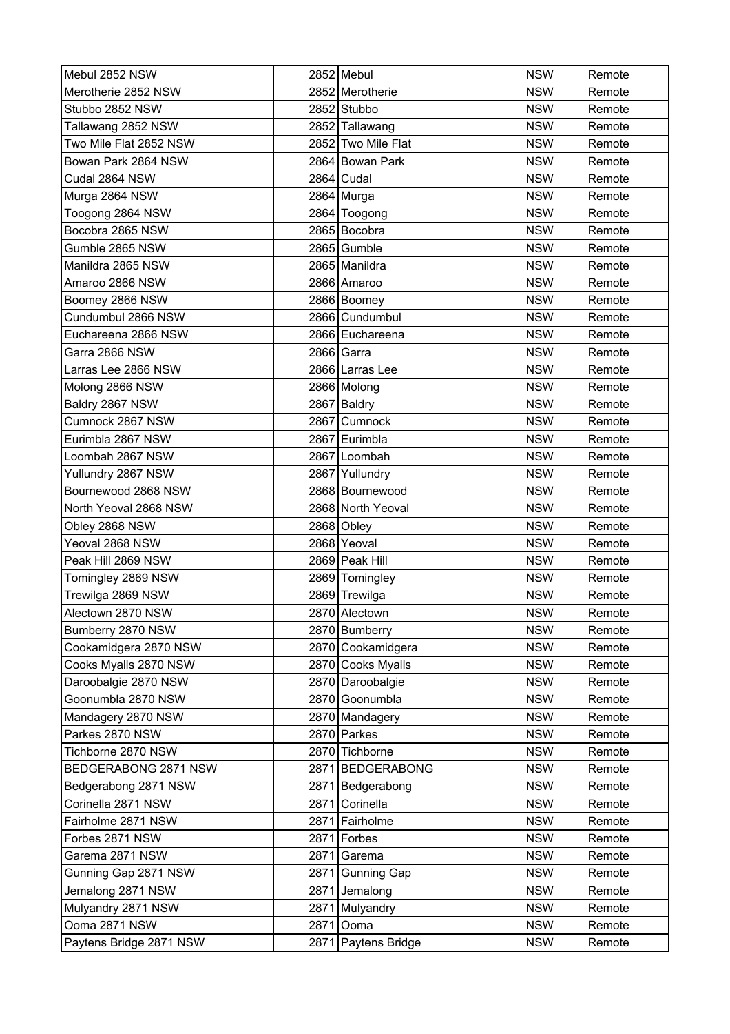| Mebul 2852 NSW          |      | 2852 Mebul         | <b>NSW</b> | Remote |
|-------------------------|------|--------------------|------------|--------|
| Merotherie 2852 NSW     |      | 2852 Merotherie    | <b>NSW</b> | Remote |
| Stubbo 2852 NSW         |      | 2852 Stubbo        | <b>NSW</b> | Remote |
| Tallawang 2852 NSW      |      | 2852 Tallawang     | <b>NSW</b> | Remote |
| Two Mile Flat 2852 NSW  |      | 2852 Two Mile Flat | <b>NSW</b> | Remote |
| Bowan Park 2864 NSW     |      | 2864 Bowan Park    | <b>NSW</b> | Remote |
| Cudal 2864 NSW          |      | $2864$ Cudal       | <b>NSW</b> | Remote |
| Murga 2864 NSW          |      | 2864 Murga         | <b>NSW</b> | Remote |
| Toogong 2864 NSW        |      | 2864 Toogong       | <b>NSW</b> | Remote |
| Bocobra 2865 NSW        |      | 2865 Bocobra       | <b>NSW</b> | Remote |
| Gumble 2865 NSW         |      | 2865 Gumble        | <b>NSW</b> | Remote |
| Manildra 2865 NSW       |      | 2865 Manildra      | <b>NSW</b> | Remote |
| Amaroo 2866 NSW         |      | 2866 Amaroo        | <b>NSW</b> | Remote |
| Boomey 2866 NSW         |      | 2866 Boomey        | <b>NSW</b> | Remote |
| Cundumbul 2866 NSW      |      | 2866 Cundumbul     | <b>NSW</b> | Remote |
| Euchareena 2866 NSW     |      | 2866 Euchareena    | <b>NSW</b> | Remote |
| Garra 2866 NSW          |      | 2866 Garra         | <b>NSW</b> | Remote |
| Larras Lee 2866 NSW     |      | 2866 Larras Lee    | <b>NSW</b> | Remote |
| Molong 2866 NSW         |      | 2866 Molong        | <b>NSW</b> | Remote |
| Baldry 2867 NSW         |      | 2867 Baldry        | <b>NSW</b> | Remote |
| Cumnock 2867 NSW        |      | 2867 Cumnock       | <b>NSW</b> | Remote |
| Eurimbla 2867 NSW       |      | 2867 Eurimbla      | <b>NSW</b> | Remote |
| Loombah 2867 NSW        |      | 2867 Loombah       | <b>NSW</b> | Remote |
| Yullundry 2867 NSW      |      | 2867 Yullundry     | <b>NSW</b> | Remote |
| Bournewood 2868 NSW     |      | 2868 Bournewood    | <b>NSW</b> | Remote |
| North Yeoval 2868 NSW   |      | 2868 North Yeoval  | <b>NSW</b> | Remote |
| Obley 2868 NSW          |      | 2868 Obley         | <b>NSW</b> | Remote |
| Yeoval 2868 NSW         |      | 2868 Yeoval        | <b>NSW</b> | Remote |
| Peak Hill 2869 NSW      |      | 2869 Peak Hill     | <b>NSW</b> | Remote |
| Tomingley 2869 NSW      |      | 2869 Tomingley     | <b>NSW</b> | Remote |
| Trewilga 2869 NSW       |      | 2869 Trewilga      | <b>NSW</b> | Remote |
| Alectown 2870 NSW       |      | 2870 Alectown      | <b>NSW</b> | Remote |
| Bumberry 2870 NSW       |      | 2870 Bumberry      | <b>NSW</b> | Remote |
| Cookamidgera 2870 NSW   |      | 2870 Cookamidgera  | <b>NSW</b> | Remote |
| Cooks Myalls 2870 NSW   |      | 2870 Cooks Myalls  | <b>NSW</b> | Remote |
| Daroobalgie 2870 NSW    |      | 2870 Daroobalgie   | <b>NSW</b> | Remote |
| Goonumbla 2870 NSW      |      | 2870 Goonumbla     | <b>NSW</b> | Remote |
| Mandagery 2870 NSW      |      | 2870 Mandagery     | <b>NSW</b> | Remote |
| Parkes 2870 NSW         |      | 2870 Parkes        | <b>NSW</b> | Remote |
| Tichborne 2870 NSW      |      | 2870 Tichborne     | <b>NSW</b> | Remote |
| BEDGERABONG 2871 NSW    |      | 2871 BEDGERABONG   | <b>NSW</b> | Remote |
| Bedgerabong 2871 NSW    |      | 2871   Bedgerabong | <b>NSW</b> | Remote |
| Corinella 2871 NSW      | 2871 | Corinella          | <b>NSW</b> | Remote |
| Fairholme 2871 NSW      |      | 2871 Fairholme     | <b>NSW</b> | Remote |
| Forbes 2871 NSW         | 2871 | Forbes             | <b>NSW</b> | Remote |
| Garema 2871 NSW         | 2871 | Garema             | <b>NSW</b> | Remote |
| Gunning Gap 2871 NSW    | 2871 | Gunning Gap        | <b>NSW</b> | Remote |
| Jemalong 2871 NSW       | 2871 | Jemalong           | <b>NSW</b> | Remote |
| Mulyandry 2871 NSW      | 2871 | Mulyandry          | <b>NSW</b> | Remote |
| Ooma 2871 NSW           | 2871 | Ooma               | <b>NSW</b> | Remote |
| Paytens Bridge 2871 NSW | 2871 | Paytens Bridge     | <b>NSW</b> | Remote |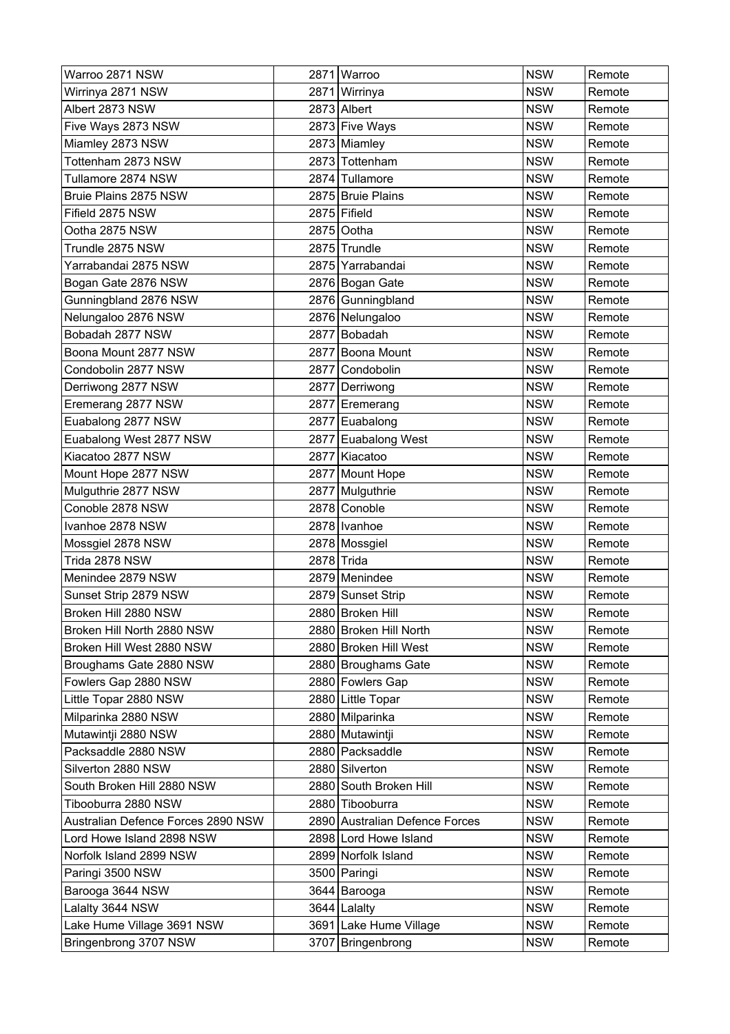| Warroo 2871 NSW                    |      | 2871 Warroo                    | <b>NSW</b> | Remote |
|------------------------------------|------|--------------------------------|------------|--------|
| Wirrinya 2871 NSW                  |      | 2871 Wirrinya                  | <b>NSW</b> | Remote |
| Albert 2873 NSW                    |      | 2873 Albert                    | <b>NSW</b> | Remote |
| Five Ways 2873 NSW                 |      | 2873 Five Ways                 | <b>NSW</b> | Remote |
| Miamley 2873 NSW                   |      | 2873 Miamley                   | <b>NSW</b> | Remote |
| Tottenham 2873 NSW                 |      | 2873 Tottenham                 | <b>NSW</b> | Remote |
| Tullamore 2874 NSW                 |      | 2874 Tullamore                 | <b>NSW</b> | Remote |
| Bruie Plains 2875 NSW              |      | 2875 Bruie Plains              | <b>NSW</b> | Remote |
| Fifield 2875 NSW                   |      | 2875 Fifield                   | <b>NSW</b> | Remote |
| Ootha 2875 NSW                     |      | 2875 Ootha                     | <b>NSW</b> | Remote |
| Trundle 2875 NSW                   |      | 2875 Trundle                   | <b>NSW</b> | Remote |
| Yarrabandai 2875 NSW               |      | 2875 Yarrabandai               | <b>NSW</b> | Remote |
| Bogan Gate 2876 NSW                |      | 2876 Bogan Gate                | <b>NSW</b> | Remote |
| Gunningbland 2876 NSW              |      | 2876 Gunningbland              | <b>NSW</b> | Remote |
| Nelungaloo 2876 NSW                |      | 2876 Nelungaloo                | <b>NSW</b> | Remote |
| Bobadah 2877 NSW                   | 2877 | Bobadah                        | <b>NSW</b> | Remote |
| Boona Mount 2877 NSW               |      | 2877 Boona Mount               | <b>NSW</b> | Remote |
| Condobolin 2877 NSW                | 2877 | Condobolin                     | <b>NSW</b> | Remote |
| Derriwong 2877 NSW                 |      | 2877 Derriwong                 | <b>NSW</b> | Remote |
| Eremerang 2877 NSW                 |      | 2877 Eremerang                 | <b>NSW</b> | Remote |
| Euabalong 2877 NSW                 |      | 2877 Euabalong                 | <b>NSW</b> | Remote |
| Euabalong West 2877 NSW            |      | 2877 Euabalong West            | <b>NSW</b> | Remote |
| Kiacatoo 2877 NSW                  |      | 2877 Kiacatoo                  | <b>NSW</b> | Remote |
| Mount Hope 2877 NSW                |      | 2877 Mount Hope                | <b>NSW</b> | Remote |
| Mulguthrie 2877 NSW                |      | 2877 Mulguthrie                | <b>NSW</b> | Remote |
| Conoble 2878 NSW                   |      | 2878 Conoble                   | <b>NSW</b> | Remote |
| Ivanhoe 2878 NSW                   |      | 2878   Ivanhoe                 | <b>NSW</b> | Remote |
| Mossgiel 2878 NSW                  |      | 2878   Mossgiel                | <b>NSW</b> | Remote |
| Trida 2878 NSW                     |      | 2878 Trida                     | <b>NSW</b> | Remote |
| Menindee 2879 NSW                  |      | 2879 Menindee                  | <b>NSW</b> | Remote |
| Sunset Strip 2879 NSW              |      | 2879 Sunset Strip              | <b>NSW</b> | Remote |
| Broken Hill 2880 NSW               |      | 2880 Broken Hill               | <b>NSW</b> | Remote |
| Broken Hill North 2880 NSW         |      | 2880 Broken Hill North         | <b>NSW</b> | Remote |
| Broken Hill West 2880 NSW          |      | 2880 Broken Hill West          | <b>NSW</b> | Remote |
| Broughams Gate 2880 NSW            |      | 2880 Broughams Gate            | <b>NSW</b> | Remote |
| Fowlers Gap 2880 NSW               |      | 2880 Fowlers Gap               | <b>NSW</b> | Remote |
| Little Topar 2880 NSW              |      | 2880 Little Topar              | <b>NSW</b> | Remote |
| Milparinka 2880 NSW                |      | 2880 Milparinka                | <b>NSW</b> | Remote |
| Mutawintji 2880 NSW                |      | 2880 Mutawintji                | <b>NSW</b> | Remote |
| Packsaddle 2880 NSW                |      | 2880 Packsaddle                | <b>NSW</b> | Remote |
| Silverton 2880 NSW                 |      | 2880 Silverton                 | <b>NSW</b> | Remote |
| South Broken Hill 2880 NSW         |      | 2880 South Broken Hill         | <b>NSW</b> | Remote |
| Tibooburra 2880 NSW                |      | 2880 Tibooburra                | <b>NSW</b> | Remote |
| Australian Defence Forces 2890 NSW |      | 2890 Australian Defence Forces | <b>NSW</b> | Remote |
| Lord Howe Island 2898 NSW          |      | 2898 Lord Howe Island          | <b>NSW</b> | Remote |
| Norfolk Island 2899 NSW            |      | 2899 Norfolk Island            | <b>NSW</b> | Remote |
| Paringi 3500 NSW                   |      | 3500 Paringi                   | <b>NSW</b> | Remote |
| Barooga 3644 NSW                   |      | 3644 Barooga                   | <b>NSW</b> | Remote |
| Lalalty 3644 NSW                   |      | 3644 Lalalty                   | <b>NSW</b> | Remote |
| Lake Hume Village 3691 NSW         |      | 3691 Lake Hume Village         | <b>NSW</b> | Remote |
| Bringenbrong 3707 NSW              |      | 3707   Bringenbrong            | <b>NSW</b> | Remote |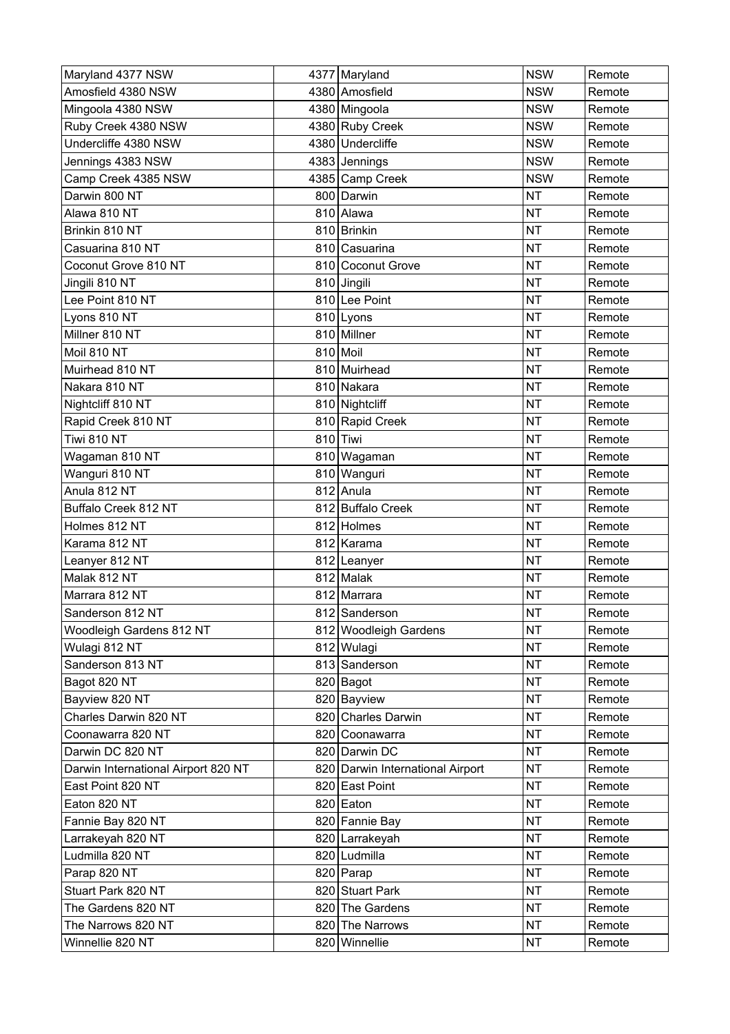| Maryland 4377 NSW                   |     | 4377 Maryland                    | <b>NSW</b> | Remote |
|-------------------------------------|-----|----------------------------------|------------|--------|
| Amosfield 4380 NSW                  |     | 4380 Amosfield                   | <b>NSW</b> | Remote |
| Mingoola 4380 NSW                   |     | 4380 Mingoola                    | <b>NSW</b> | Remote |
| Ruby Creek 4380 NSW                 |     | 4380 Ruby Creek                  | <b>NSW</b> | Remote |
| Undercliffe 4380 NSW                |     | 4380 Undercliffe                 | <b>NSW</b> | Remote |
| Jennings 4383 NSW                   |     | 4383 Jennings                    | <b>NSW</b> | Remote |
| Camp Creek 4385 NSW                 |     | 4385 Camp Creek                  | <b>NSW</b> | Remote |
| Darwin 800 NT                       |     | 800 Darwin                       | <b>NT</b>  | Remote |
| Alawa 810 NT                        |     | 810 Alawa                        | <b>NT</b>  | Remote |
| Brinkin 810 NT                      |     | 810 Brinkin                      | <b>NT</b>  | Remote |
| Casuarina 810 NT                    |     | 810 Casuarina                    | <b>NT</b>  | Remote |
| Coconut Grove 810 NT                |     | 810 Coconut Grove                | <b>NT</b>  | Remote |
| Jingili 810 NT                      |     | 810 Jingili                      | <b>NT</b>  | Remote |
| Lee Point 810 NT                    |     | 810 Lee Point                    | <b>NT</b>  | Remote |
| Lyons 810 NT                        |     | 810 Lyons                        | <b>NT</b>  | Remote |
| Millner 810 NT                      |     | 810 Millner                      | <b>NT</b>  | Remote |
| Moil 810 NT                         |     | 810 Moil                         | <b>NT</b>  | Remote |
| Muirhead 810 NT                     |     | 810 Muirhead                     | <b>NT</b>  | Remote |
| Nakara 810 NT                       |     | 810 Nakara                       | <b>NT</b>  | Remote |
| Nightcliff 810 NT                   |     | 810 Nightcliff                   | <b>NT</b>  | Remote |
| Rapid Creek 810 NT                  |     | 810 Rapid Creek                  | <b>NT</b>  | Remote |
| Tiwi 810 NT                         |     | 810 Tiwi                         | <b>NT</b>  | Remote |
| Wagaman 810 NT                      |     | 810 Wagaman                      | <b>NT</b>  | Remote |
| Wanguri 810 NT                      |     | 810 Wanguri                      | <b>NT</b>  | Remote |
| Anula 812 NT                        |     | 812 Anula                        | <b>NT</b>  | Remote |
| Buffalo Creek 812 NT                |     | 812 Buffalo Creek                | <b>NT</b>  | Remote |
| Holmes 812 NT                       |     | 812 Holmes                       | <b>NT</b>  | Remote |
| Karama 812 NT                       |     | 812 Karama                       | <b>NT</b>  | Remote |
| Leanyer 812 NT                      |     | 812 Leanyer                      | <b>NT</b>  | Remote |
| Malak 812 NT                        |     | 812 Malak                        | <b>NT</b>  | Remote |
| Marrara 812 NT                      |     | 812 Marrara                      | <b>NT</b>  | Remote |
| Sanderson 812 NT                    |     | 812 Sanderson                    | <b>NT</b>  | Remote |
| Woodleigh Gardens 812 NT            |     | 812 Woodleigh Gardens            | <b>NT</b>  | Remote |
| Wulagi 812 NT                       |     | 812 Wulagi                       | <b>NT</b>  | Remote |
| Sanderson 813 NT                    |     | 813 Sanderson                    | <b>NT</b>  | Remote |
| Bagot 820 NT                        |     | 820 Bagot                        | <b>NT</b>  | Remote |
| Bayview 820 NT                      |     | 820 Bayview                      | <b>NT</b>  | Remote |
| Charles Darwin 820 NT               |     | 820 Charles Darwin               | <b>NT</b>  | Remote |
| Coonawarra 820 NT                   |     | 820 Coonawarra                   | <b>NT</b>  | Remote |
| Darwin DC 820 NT                    |     | 820 Darwin DC                    | <b>NT</b>  | Remote |
| Darwin International Airport 820 NT |     | 820 Darwin International Airport | <b>NT</b>  | Remote |
| East Point 820 NT                   |     | 820 East Point                   | <b>NT</b>  | Remote |
| Eaton 820 NT                        |     | 820 Eaton                        | <b>NT</b>  | Remote |
| Fannie Bay 820 NT                   |     | 820 Fannie Bay                   | <b>NT</b>  | Remote |
| Larrakeyah 820 NT                   |     | 820 Larrakeyah                   | <b>NT</b>  | Remote |
| Ludmilla 820 NT                     |     | 820 Ludmilla                     | <b>NT</b>  | Remote |
| Parap 820 NT                        |     | 820 Parap                        | <b>NT</b>  | Remote |
| Stuart Park 820 NT                  |     | 820 Stuart Park                  | <b>NT</b>  | Remote |
| The Gardens 820 NT                  |     | 820 The Gardens                  | <b>NT</b>  | Remote |
| The Narrows 820 NT                  | 820 | The Narrows                      | <b>NT</b>  | Remote |
| Winnellie 820 NT                    |     | 820 Winnellie                    | <b>NT</b>  | Remote |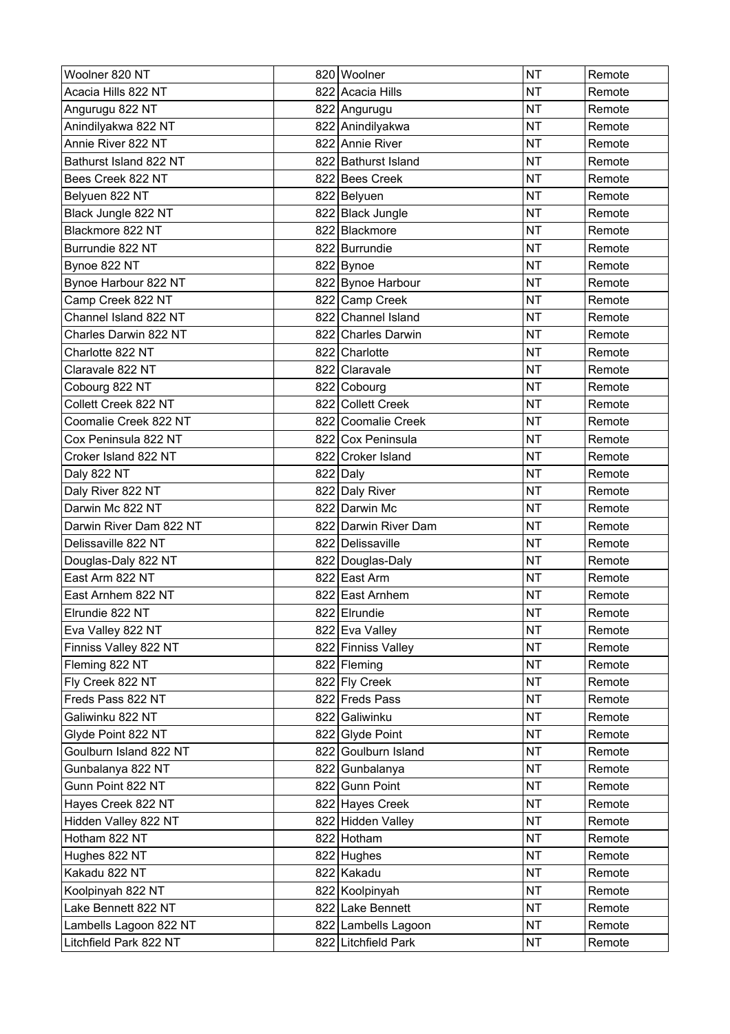| Woolner 820 NT          | 820 Woolner          | <b>NT</b> | Remote |
|-------------------------|----------------------|-----------|--------|
| Acacia Hills 822 NT     | 822 Acacia Hills     | <b>NT</b> | Remote |
| Angurugu 822 NT         | 822 Angurugu         | <b>NT</b> | Remote |
| Anindilyakwa 822 NT     | 822 Anindilyakwa     | <b>NT</b> | Remote |
| Annie River 822 NT      | 822 Annie River      | <b>NT</b> | Remote |
| Bathurst Island 822 NT  | 822 Bathurst Island  | <b>NT</b> | Remote |
| Bees Creek 822 NT       | 822 Bees Creek       | <b>NT</b> | Remote |
| Belyuen 822 NT          | 822 Belyuen          | <b>NT</b> | Remote |
| Black Jungle 822 NT     | 822 Black Jungle     | <b>NT</b> | Remote |
| Blackmore 822 NT        | 822 Blackmore        | <b>NT</b> | Remote |
| Burrundie 822 NT        | 822 Burrundie        | <b>NT</b> | Remote |
| Bynoe 822 NT            | 822 Bynoe            | <b>NT</b> | Remote |
| Bynoe Harbour 822 NT    | 822 Bynoe Harbour    | <b>NT</b> | Remote |
| Camp Creek 822 NT       | 822 Camp Creek       | <b>NT</b> | Remote |
| Channel Island 822 NT   | 822 Channel Island   | <b>NT</b> | Remote |
| Charles Darwin 822 NT   | 822 Charles Darwin   | <b>NT</b> | Remote |
| Charlotte 822 NT        | 822 Charlotte        | <b>NT</b> | Remote |
| Claravale 822 NT        | 822 Claravale        | <b>NT</b> | Remote |
| Cobourg 822 NT          | 822 Cobourg          | <b>NT</b> | Remote |
| Collett Creek 822 NT    | 822 Collett Creek    | <b>NT</b> | Remote |
| Coomalie Creek 822 NT   | 822 Coomalie Creek   | <b>NT</b> | Remote |
| Cox Peninsula 822 NT    | 822 Cox Peninsula    | <b>NT</b> | Remote |
| Croker Island 822 NT    | 822 Croker Island    | <b>NT</b> | Remote |
| Daly 822 NT             | 822 Daly             | <b>NT</b> | Remote |
| Daly River 822 NT       | 822 Daly River       | <b>NT</b> | Remote |
| Darwin Mc 822 NT        | 822 Darwin Mc        | <b>NT</b> | Remote |
| Darwin River Dam 822 NT | 822 Darwin River Dam | <b>NT</b> | Remote |
| Delissaville 822 NT     | 822 Delissaville     | <b>NT</b> | Remote |
| Douglas-Daly 822 NT     | 822 Douglas-Daly     | <b>NT</b> | Remote |
| East Arm 822 NT         | 822 East Arm         | <b>NT</b> | Remote |
| East Arnhem 822 NT      | 822 East Arnhem      | <b>NT</b> | Remote |
| Elrundie 822 NT         | 822 Elrundie         | <b>NT</b> | Remote |
| Eva Valley 822 NT       | 822 Eva Valley       | <b>NT</b> | Remote |
| Finniss Valley 822 NT   | 822 Finniss Valley   | <b>NT</b> | Remote |
| Fleming 822 NT          | 822 Fleming          | <b>NT</b> | Remote |
| Fly Creek 822 NT        | 822 Fly Creek        | <b>NT</b> | Remote |
| Freds Pass 822 NT       | 822 Freds Pass       | <b>NT</b> | Remote |
| Galiwinku 822 NT        | 822 Galiwinku        | <b>NT</b> | Remote |
| Glyde Point 822 NT      | 822 Glyde Point      | <b>NT</b> | Remote |
| Goulburn Island 822 NT  | 822 Goulburn Island  | <b>NT</b> | Remote |
| Gunbalanya 822 NT       | 822 Gunbalanya       | <b>NT</b> | Remote |
| Gunn Point 822 NT       | 822 Gunn Point       | <b>NT</b> | Remote |
| Hayes Creek 822 NT      | 822 Hayes Creek      | <b>NT</b> | Remote |
| Hidden Valley 822 NT    | 822 Hidden Valley    | <b>NT</b> | Remote |
| Hotham 822 NT           | 822 Hotham           | <b>NT</b> | Remote |
| Hughes 822 NT           | 822 Hughes           | <b>NT</b> | Remote |
| Kakadu 822 NT           | 822 Kakadu           | <b>NT</b> | Remote |
| Koolpinyah 822 NT       | 822 Koolpinyah       | <b>NT</b> | Remote |
| Lake Bennett 822 NT     | 822 Lake Bennett     | <b>NT</b> | Remote |
| Lambells Lagoon 822 NT  | 822 Lambells Lagoon  | <b>NT</b> | Remote |
| Litchfield Park 822 NT  | 822 Litchfield Park  | <b>NT</b> | Remote |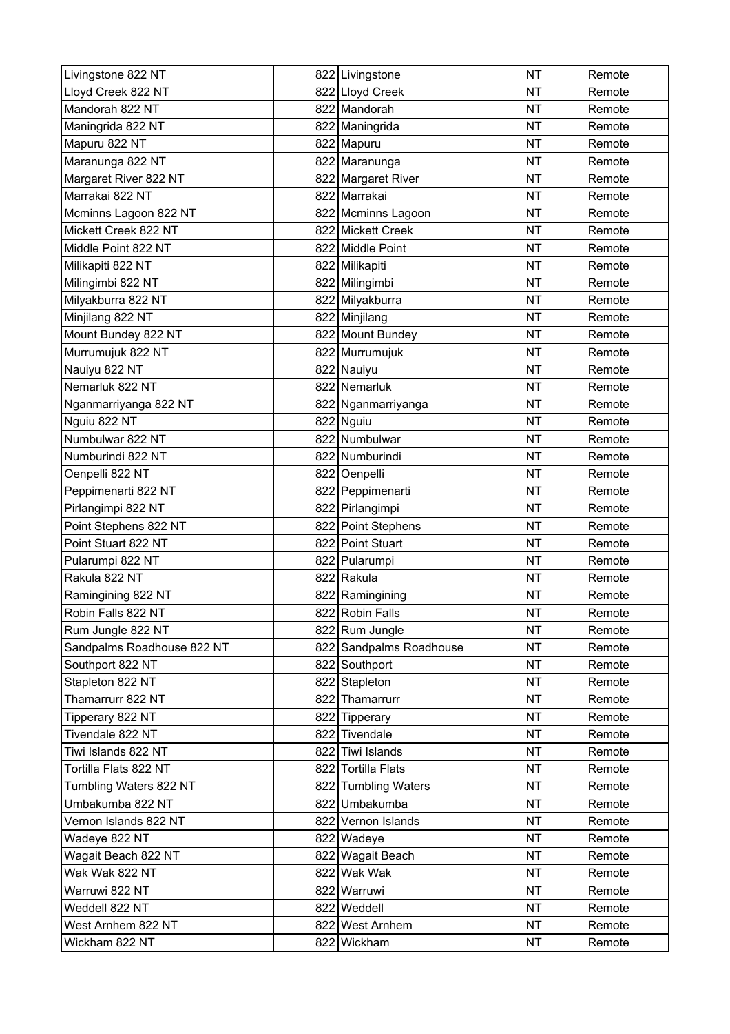| Livingstone 822 NT         | 822 Livingstone         | <b>NT</b> | Remote |
|----------------------------|-------------------------|-----------|--------|
| Lloyd Creek 822 NT         | 822 Lloyd Creek         | <b>NT</b> | Remote |
| Mandorah 822 NT            | 822 Mandorah            | <b>NT</b> | Remote |
| Maningrida 822 NT          | 822 Maningrida          | <b>NT</b> | Remote |
| Mapuru 822 NT              | 822 Mapuru              | <b>NT</b> | Remote |
| Maranunga 822 NT           | 822 Maranunga           | <b>NT</b> | Remote |
| Margaret River 822 NT      | 822 Margaret River      | <b>NT</b> | Remote |
| Marrakai 822 NT            | 822 Marrakai            | <b>NT</b> | Remote |
| Mcminns Lagoon 822 NT      | 822 Mcminns Lagoon      | <b>NT</b> | Remote |
| Mickett Creek 822 NT       | 822 Mickett Creek       | <b>NT</b> | Remote |
| Middle Point 822 NT        | 822 Middle Point        | <b>NT</b> | Remote |
| Milikapiti 822 NT          | 822 Milikapiti          | <b>NT</b> | Remote |
| Milingimbi 822 NT          | 822 Milingimbi          | <b>NT</b> | Remote |
| Milyakburra 822 NT         | 822 Milyakburra         | <b>NT</b> | Remote |
| Minjilang 822 NT           | 822 Minjilang           | <b>NT</b> | Remote |
| Mount Bundey 822 NT        | 822 Mount Bundey        | <b>NT</b> | Remote |
| Murrumujuk 822 NT          | 822 Murrumujuk          | <b>NT</b> | Remote |
| Nauiyu 822 NT              | 822 Nauiyu              | <b>NT</b> | Remote |
| Nemarluk 822 NT            | 822 Nemarluk            | <b>NT</b> | Remote |
| Nganmarriyanga 822 NT      | 822 Nganmarriyanga      | <b>NT</b> | Remote |
| Nguiu 822 NT               | 822 Nguiu               | <b>NT</b> | Remote |
| Numbulwar 822 NT           | 822 Numbulwar           | <b>NT</b> | Remote |
| Numburindi 822 NT          | 822 Numburindi          | <b>NT</b> | Remote |
| Oenpelli 822 NT            | 822 Oenpelli            | <b>NT</b> | Remote |
| Peppimenarti 822 NT        | 822 Peppimenarti        | <b>NT</b> | Remote |
| Pirlangimpi 822 NT         | 822 Pirlangimpi         | <b>NT</b> | Remote |
| Point Stephens 822 NT      | 822 Point Stephens      | <b>NT</b> | Remote |
| Point Stuart 822 NT        | 822 Point Stuart        | <b>NT</b> | Remote |
| Pularumpi 822 NT           | 822 Pularumpi           | <b>NT</b> | Remote |
| Rakula 822 NT              | 822 Rakula              | <b>NT</b> | Remote |
| Ramingining 822 NT         | 822 Ramingining         | <b>NT</b> | Remote |
| Robin Falls 822 NT         | 822 Robin Falls         | <b>NT</b> | Remote |
| Rum Jungle 822 NT          | 822 Rum Jungle          | <b>NT</b> | Remote |
| Sandpalms Roadhouse 822 NT | 822 Sandpalms Roadhouse | <b>NT</b> | Remote |
| Southport 822 NT           | 822 Southport           | <b>NT</b> | Remote |
| Stapleton 822 NT           | 822 Stapleton           | <b>NT</b> | Remote |
| Thamarrurr 822 NT          | 822 Thamarrurr          | <b>NT</b> | Remote |
| Tipperary 822 NT           | 822 Tipperary           | <b>NT</b> | Remote |
| Tivendale 822 NT           | 822 Tivendale           | <b>NT</b> | Remote |
| Tiwi Islands 822 NT        | 822 Tiwi Islands        | <b>NT</b> | Remote |
| Tortilla Flats 822 NT      | 822 Tortilla Flats      | <b>NT</b> | Remote |
| Tumbling Waters 822 NT     | 822 Tumbling Waters     | <b>NT</b> | Remote |
| Umbakumba 822 NT           | 822 Umbakumba           | <b>NT</b> | Remote |
| Vernon Islands 822 NT      | 822 Vernon Islands      | <b>NT</b> | Remote |
| Wadeye 822 NT              | 822 Wadeye              | <b>NT</b> | Remote |
| Wagait Beach 822 NT        | 822 Wagait Beach        | <b>NT</b> | Remote |
| Wak Wak 822 NT             | 822 Wak Wak             | <b>NT</b> | Remote |
| Warruwi 822 NT             | 822 Warruwi             | <b>NT</b> | Remote |
| Weddell 822 NT             | 822 Weddell             | <b>NT</b> | Remote |
| West Arnhem 822 NT         | 822 West Arnhem         | <b>NT</b> | Remote |
| Wickham 822 NT             | 822 Wickham             | <b>NT</b> | Remote |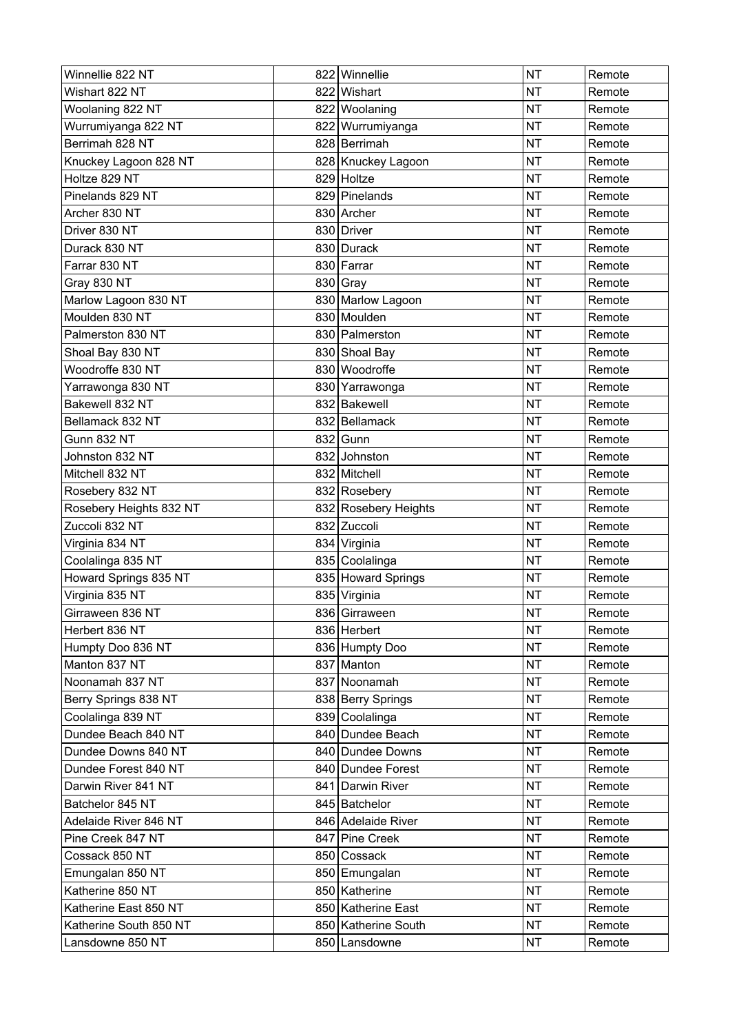| Winnellie 822 NT        | 822 Winnellie        | <b>NT</b> | Remote |
|-------------------------|----------------------|-----------|--------|
| Wishart 822 NT          | 822 Wishart          | <b>NT</b> | Remote |
| Woolaning 822 NT        | 822 Woolaning        | <b>NT</b> | Remote |
| Wurrumiyanga 822 NT     | 822 Wurrumiyanga     | <b>NT</b> | Remote |
| Berrimah 828 NT         | 828 Berrimah         | <b>NT</b> | Remote |
| Knuckey Lagoon 828 NT   | 828 Knuckey Lagoon   | <b>NT</b> | Remote |
| Holtze 829 NT           | 829 Holtze           | <b>NT</b> | Remote |
| Pinelands 829 NT        | 829 Pinelands        | <b>NT</b> | Remote |
| Archer 830 NT           | 830 Archer           | <b>NT</b> | Remote |
| Driver 830 NT           | 830 Driver           | <b>NT</b> | Remote |
| Durack 830 NT           | 830 Durack           | <b>NT</b> | Remote |
| Farrar 830 NT           | 830 Farrar           | <b>NT</b> | Remote |
| Gray 830 NT             | $830$ Gray           | <b>NT</b> | Remote |
| Marlow Lagoon 830 NT    | 830 Marlow Lagoon    | <b>NT</b> | Remote |
| Moulden 830 NT          | 830 Moulden          | <b>NT</b> | Remote |
| Palmerston 830 NT       | 830 Palmerston       | <b>NT</b> | Remote |
| Shoal Bay 830 NT        | 830 Shoal Bay        | <b>NT</b> | Remote |
| Woodroffe 830 NT        | 830 Woodroffe        | <b>NT</b> | Remote |
| Yarrawonga 830 NT       | 830 Yarrawonga       | <b>NT</b> | Remote |
| Bakewell 832 NT         | 832 Bakewell         | <b>NT</b> | Remote |
| Bellamack 832 NT        | 832 Bellamack        | <b>NT</b> | Remote |
| <b>Gunn 832 NT</b>      | 832 Gunn             | <b>NT</b> | Remote |
| Johnston 832 NT         | 832 Johnston         | <b>NT</b> | Remote |
| Mitchell 832 NT         | 832 Mitchell         | <b>NT</b> | Remote |
| Rosebery 832 NT         | 832 Rosebery         | <b>NT</b> | Remote |
| Rosebery Heights 832 NT | 832 Rosebery Heights | <b>NT</b> | Remote |
| Zuccoli 832 NT          | 832 Zuccoli          | <b>NT</b> | Remote |
| Virginia 834 NT         | 834 Virginia         | <b>NT</b> | Remote |
| Coolalinga 835 NT       | 835 Coolalinga       | <b>NT</b> | Remote |
| Howard Springs 835 NT   | 835 Howard Springs   | <b>NT</b> | Remote |
| Virginia 835 NT         | 835 Virginia         | <b>NT</b> | Remote |
| Girraween 836 NT        | 836 Girraween        | <b>NT</b> | Remote |
| Herbert 836 NT          | 836 Herbert          | <b>NT</b> | Remote |
| Humpty Doo 836 NT       | 836 Humpty Doo       | <b>NT</b> | Remote |
| Manton 837 NT           | 837 Manton           | <b>NT</b> | Remote |
| Noonamah 837 NT         | 837 Noonamah         | <b>NT</b> | Remote |
| Berry Springs 838 NT    | 838 Berry Springs    | <b>NT</b> | Remote |
| Coolalinga 839 NT       | 839 Coolalinga       | <b>NT</b> | Remote |
| Dundee Beach 840 NT     | 840 Dundee Beach     | <b>NT</b> | Remote |
| Dundee Downs 840 NT     | 840 Dundee Downs     | <b>NT</b> | Remote |
| Dundee Forest 840 NT    | 840 Dundee Forest    | <b>NT</b> | Remote |
| Darwin River 841 NT     | 841 Darwin River     | <b>NT</b> | Remote |
| Batchelor 845 NT        | 845 Batchelor        | <b>NT</b> | Remote |
| Adelaide River 846 NT   | 846 Adelaide River   | <b>NT</b> | Remote |
| Pine Creek 847 NT       | 847 Pine Creek       | <b>NT</b> | Remote |
| Cossack 850 NT          | 850 Cossack          | <b>NT</b> | Remote |
| Emungalan 850 NT        | 850 Emungalan        | <b>NT</b> | Remote |
| Katherine 850 NT        | 850 Katherine        | <b>NT</b> | Remote |
| Katherine East 850 NT   | 850 Katherine East   | <b>NT</b> | Remote |
| Katherine South 850 NT  | 850 Katherine South  | <b>NT</b> | Remote |
| Lansdowne 850 NT        | 850 Lansdowne        | <b>NT</b> | Remote |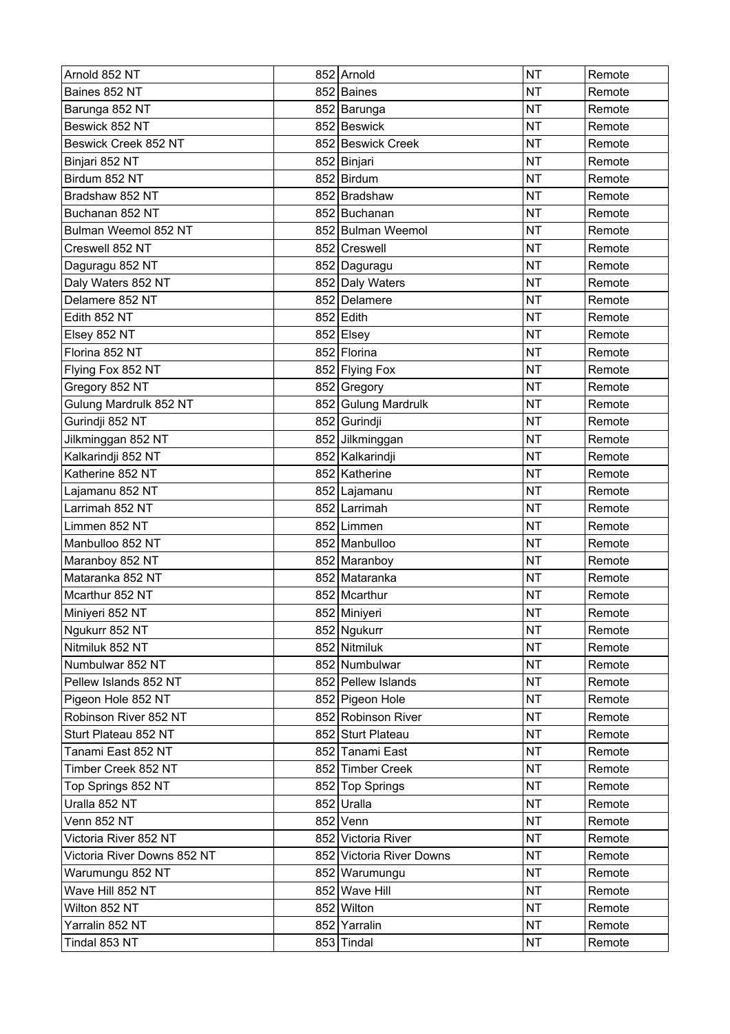| Arnold 852 NT               | 852 Arnold               | <b>NT</b> | Remote |
|-----------------------------|--------------------------|-----------|--------|
| Baines 852 NT               | 852 Baines               | <b>NT</b> | Remote |
| Barunga 852 NT              | 852 Barunga              | <b>NT</b> | Remote |
| Beswick 852 NT              | 852 Beswick              | <b>NT</b> | Remote |
| Beswick Creek 852 NT        | 852 Beswick Creek        | <b>NT</b> | Remote |
| Binjari 852 NT              | 852 Binjari              | <b>NT</b> | Remote |
| Birdum 852 NT               | 852 Birdum               | <b>NT</b> | Remote |
| Bradshaw 852 NT             | 852 Bradshaw             | <b>NT</b> | Remote |
| Buchanan 852 NT             | 852 Buchanan             | <b>NT</b> | Remote |
| Bulman Weemol 852 NT        | 852 Bulman Weemol        | <b>NT</b> | Remote |
| Creswell 852 NT             | 852 Creswell             | <b>NT</b> | Remote |
| Daguragu 852 NT             | 852 Daguragu             | <b>NT</b> | Remote |
| Daly Waters 852 NT          | 852 Daly Waters          | <b>NT</b> | Remote |
| Delamere 852 NT             | 852 Delamere             | <b>NT</b> | Remote |
| Edith 852 NT                | 852 Edith                | <b>NT</b> | Remote |
| Elsey 852 NT                | 852 Elsey                | <b>NT</b> | Remote |
| Florina 852 NT              | 852 Florina              | <b>NT</b> | Remote |
| Flying Fox 852 NT           | 852 Flying Fox           | <b>NT</b> | Remote |
| Gregory 852 NT              | 852 Gregory              | <b>NT</b> | Remote |
| Gulung Mardrulk 852 NT      | 852 Gulung Mardrulk      | <b>NT</b> | Remote |
| Gurindji 852 NT             | 852 Gurindji             | <b>NT</b> | Remote |
| Jilkminggan 852 NT          | 852 Jilkminggan          | <b>NT</b> | Remote |
| Kalkarindji 852 NT          | 852 Kalkarindji          | <b>NT</b> | Remote |
| Katherine 852 NT            | 852 Katherine            | <b>NT</b> | Remote |
| Lajamanu 852 NT             | 852 Lajamanu             | <b>NT</b> | Remote |
| Larrimah 852 NT             | 852 Larrimah             | <b>NT</b> | Remote |
| Limmen 852 NT               | 852 Limmen               | <b>NT</b> | Remote |
| Manbulloo 852 NT            | 852 Manbulloo            | <b>NT</b> | Remote |
| Maranboy 852 NT             | 852 Maranboy             | <b>NT</b> | Remote |
| Mataranka 852 NT            | 852 Mataranka            | <b>NT</b> | Remote |
| Mcarthur 852 NT             | 852 Mcarthur             | <b>NT</b> | Remote |
| Miniyeri 852 NT             | 852 Miniyeri             | <b>NT</b> | Remote |
| Ngukurr 852 NT              | 852 Ngukurr              | <b>NT</b> | Remote |
| Nitmiluk 852 NT             | 852 Nitmiluk             | <b>NT</b> | Remote |
| Numbulwar 852 NT            | 852 Numbulwar            | <b>NT</b> | Remote |
| Pellew Islands 852 NT       | 852 Pellew Islands       | <b>NT</b> | Remote |
| Pigeon Hole 852 NT          | 852 Pigeon Hole          | <b>NT</b> | Remote |
| Robinson River 852 NT       | 852 Robinson River       | <b>NT</b> | Remote |
| Sturt Plateau 852 NT        | 852 Sturt Plateau        | <b>NT</b> | Remote |
| Tanami East 852 NT          | 852 Tanami East          | <b>NT</b> | Remote |
| Timber Creek 852 NT         | 852 Timber Creek         | <b>NT</b> | Remote |
| Top Springs 852 NT          | 852 Top Springs          | <b>NT</b> | Remote |
| Uralla 852 NT               | 852 Uralla               | <b>NT</b> | Remote |
| Venn 852 NT                 | 852 Venn                 | <b>NT</b> | Remote |
| Victoria River 852 NT       | 852 Victoria River       | <b>NT</b> | Remote |
| Victoria River Downs 852 NT | 852 Victoria River Downs | <b>NT</b> | Remote |
| Warumungu 852 NT            | 852 Warumungu            | <b>NT</b> | Remote |
| Wave Hill 852 NT            | 852 Wave Hill            | <b>NT</b> | Remote |
| Wilton 852 NT               | 852 Wilton               | <b>NT</b> | Remote |
| Yarralin 852 NT             | 852 Yarralin             | <b>NT</b> | Remote |
| Tindal 853 NT               | 853 Tindal               | <b>NT</b> | Remote |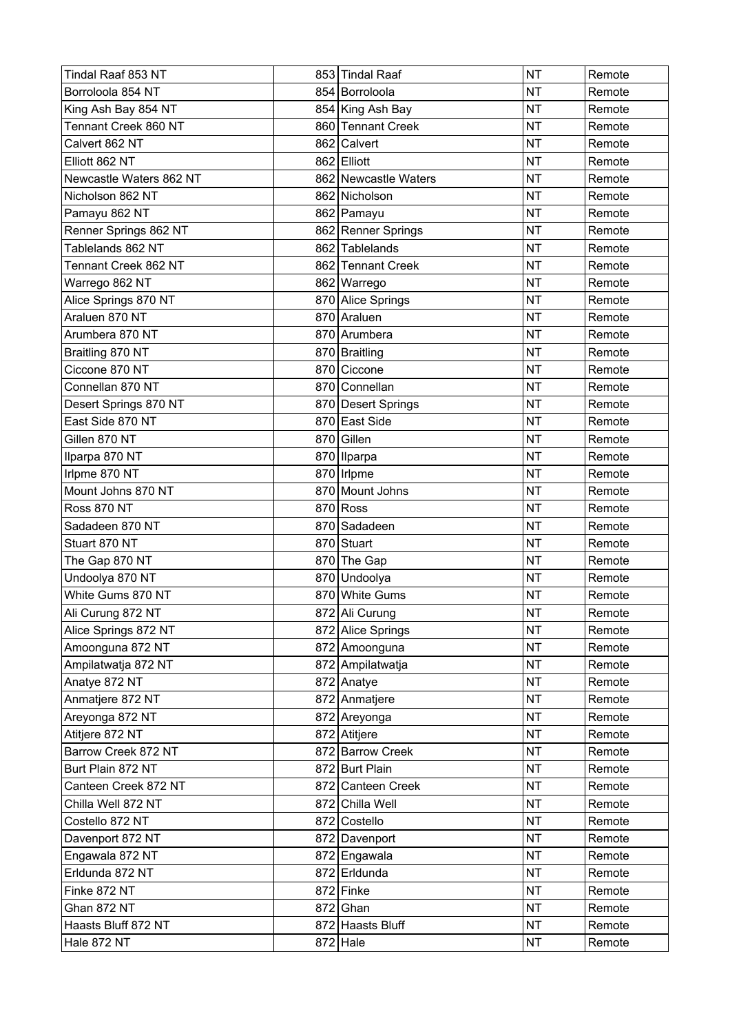| Tindal Raaf 853 NT      | 853 Tindal Raaf      | <b>NT</b> | Remote |
|-------------------------|----------------------|-----------|--------|
| Borroloola 854 NT       | 854 Borroloola       | <b>NT</b> | Remote |
| King Ash Bay 854 NT     | 854 King Ash Bay     | <b>NT</b> | Remote |
| Tennant Creek 860 NT    | 860 Tennant Creek    | <b>NT</b> | Remote |
| Calvert 862 NT          | 862 Calvert          | <b>NT</b> | Remote |
| Elliott 862 NT          | 862 Elliott          | <b>NT</b> | Remote |
| Newcastle Waters 862 NT | 862 Newcastle Waters | <b>NT</b> | Remote |
| Nicholson 862 NT        | 862 Nicholson        | <b>NT</b> | Remote |
| Pamayu 862 NT           | 862 Pamayu           | <b>NT</b> | Remote |
| Renner Springs 862 NT   | 862 Renner Springs   | <b>NT</b> | Remote |
| Tablelands 862 NT       | 862 Tablelands       | <b>NT</b> | Remote |
| Tennant Creek 862 NT    | 862 Tennant Creek    | <b>NT</b> | Remote |
| Warrego 862 NT          | 862 Warrego          | <b>NT</b> | Remote |
| Alice Springs 870 NT    | 870 Alice Springs    | <b>NT</b> | Remote |
| Araluen 870 NT          | 870 Araluen          | <b>NT</b> | Remote |
| Arumbera 870 NT         | 870 Arumbera         | <b>NT</b> | Remote |
| Braitling 870 NT        | 870   Braitling      | <b>NT</b> | Remote |
| Ciccone 870 NT          | 870 Ciccone          | <b>NT</b> | Remote |
| Connellan 870 NT        | 870 Connellan        | <b>NT</b> | Remote |
| Desert Springs 870 NT   | 870 Desert Springs   | <b>NT</b> | Remote |
| East Side 870 NT        | 870 East Side        | <b>NT</b> | Remote |
| Gillen 870 NT           | 870 Gillen           | <b>NT</b> | Remote |
| Ilparpa 870 NT          | 870   Ilparpa        | <b>NT</b> | Remote |
| Irlpme 870 NT           | 870 Irlpme           | <b>NT</b> | Remote |
| Mount Johns 870 NT      | 870 Mount Johns      | <b>NT</b> | Remote |
| <b>Ross 870 NT</b>      | $870$ Ross           | <b>NT</b> | Remote |
| Sadadeen 870 NT         | 870 Sadadeen         | <b>NT</b> | Remote |
| Stuart 870 NT           | 870 Stuart           | <b>NT</b> | Remote |
| The Gap 870 NT          | 870 The Gap          | <b>NT</b> | Remote |
| Undoolya 870 NT         | 870 Undoolya         | <b>NT</b> | Remote |
| White Gums 870 NT       | 870 White Gums       | <b>NT</b> | Remote |
| Ali Curung 872 NT       | 872 Ali Curung       | <b>NT</b> | Remote |
| Alice Springs 872 NT    | 872 Alice Springs    | <b>NT</b> | Remote |
| Amoonguna 872 NT        | 872 Amoonguna        | <b>NT</b> | Remote |
| Ampilatwatja 872 NT     | 872 Ampilatwatja     | <b>NT</b> | Remote |
| Anatye 872 NT           | 872 Anatye           | <b>NT</b> | Remote |
| Anmatjere 872 NT        | 872 Anmatjere        | <b>NT</b> | Remote |
| Areyonga 872 NT         | 872 Areyonga         | <b>NT</b> | Remote |
| Atitjere 872 NT         | 872 Atitjere         | <b>NT</b> | Remote |
| Barrow Creek 872 NT     | 872 Barrow Creek     | <b>NT</b> | Remote |
| Burt Plain 872 NT       | 872 Burt Plain       | <b>NT</b> | Remote |
| Canteen Creek 872 NT    | 872 Canteen Creek    | <b>NT</b> | Remote |
| Chilla Well 872 NT      | 872 Chilla Well      | <b>NT</b> | Remote |
| Costello 872 NT         | 872 Costello         | <b>NT</b> | Remote |
| Davenport 872 NT        | 872 Davenport        | <b>NT</b> | Remote |
| Engawala 872 NT         | 872 Engawala         | <b>NT</b> | Remote |
| Erldunda 872 NT         | 872 Erldunda         | <b>NT</b> | Remote |
| Finke 872 NT            | 872 Finke            | <b>NT</b> | Remote |
| Ghan 872 NT             | $872$ Ghan           | <b>NT</b> | Remote |
| Haasts Bluff 872 NT     | 872 Haasts Bluff     | <b>NT</b> | Remote |
| Hale 872 NT             | $872$ Hale           | <b>NT</b> | Remote |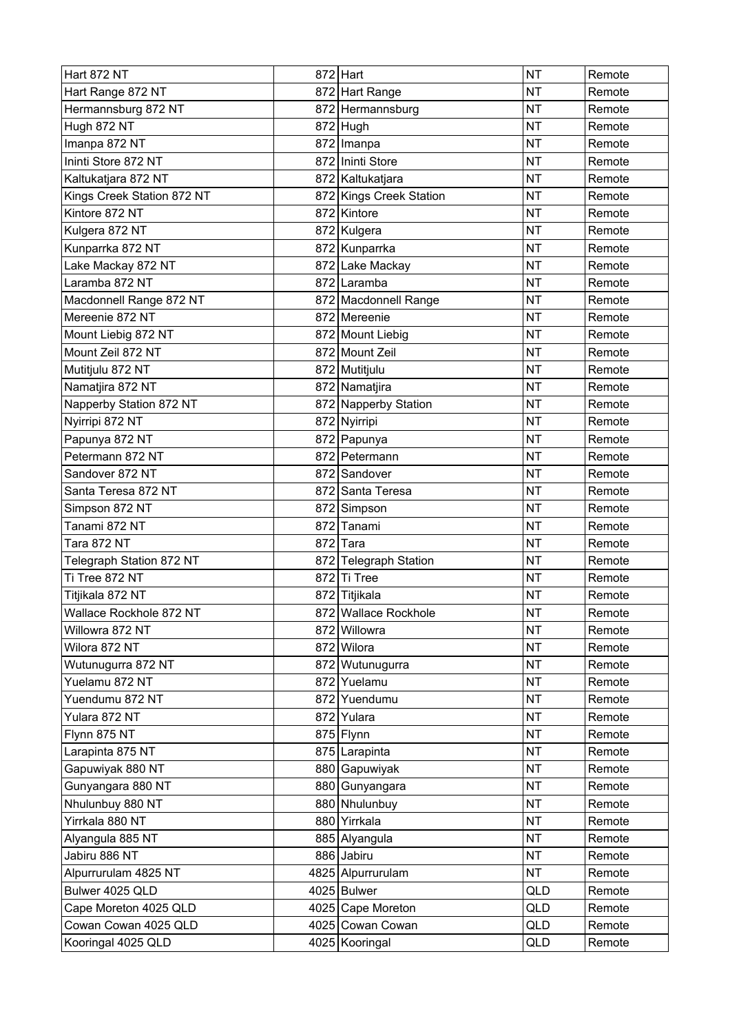| <b>Hart 872 NT</b>         | $872$ Hart              | <b>NT</b> | Remote |
|----------------------------|-------------------------|-----------|--------|
| Hart Range 872 NT          | 872 Hart Range          | <b>NT</b> | Remote |
| Hermannsburg 872 NT        | 872 Hermannsburg        | <b>NT</b> | Remote |
| Hugh 872 NT                | $872$ Hugh              | <b>NT</b> | Remote |
| Imanpa 872 NT              | 872 Imanpa              | <b>NT</b> | Remote |
| Ininti Store 872 NT        | 872 Ininti Store        | <b>NT</b> | Remote |
| Kaltukatjara 872 NT        | 872 Kaltukatjara        | <b>NT</b> | Remote |
| Kings Creek Station 872 NT | 872 Kings Creek Station | <b>NT</b> | Remote |
| Kintore 872 NT             | 872 Kintore             | <b>NT</b> | Remote |
| Kulgera 872 NT             | 872 Kulgera             | <b>NT</b> | Remote |
| Kunparrka 872 NT           | 872 Kunparrka           | <b>NT</b> | Remote |
| Lake Mackay 872 NT         | 872 Lake Mackay         | <b>NT</b> | Remote |
| Laramba 872 NT             | 872 Laramba             | <b>NT</b> | Remote |
| Macdonnell Range 872 NT    | 872 Macdonnell Range    | <b>NT</b> | Remote |
| Mereenie 872 NT            | 872 Mereenie            | <b>NT</b> | Remote |
| Mount Liebig 872 NT        | 872 Mount Liebig        | <b>NT</b> | Remote |
| Mount Zeil 872 NT          | 872 Mount Zeil          | <b>NT</b> | Remote |
| Mutitjulu 872 NT           | 872 Mutitjulu           | <b>NT</b> | Remote |
| Namatjira 872 NT           | 872 Namatjira           | <b>NT</b> | Remote |
| Napperby Station 872 NT    | 872 Napperby Station    | <b>NT</b> | Remote |
| Nyirripi 872 NT            | 872 Nyirripi            | <b>NT</b> | Remote |
| Papunya 872 NT             | 872 Papunya             | <b>NT</b> | Remote |
| Petermann 872 NT           | 872 Petermann           | <b>NT</b> | Remote |
| Sandover 872 NT            | 872 Sandover            | <b>NT</b> | Remote |
| Santa Teresa 872 NT        | 872 Santa Teresa        | <b>NT</b> | Remote |
| Simpson 872 NT             | 872 Simpson             | <b>NT</b> | Remote |
| Tanami 872 NT              | 872 Tanami              | <b>NT</b> | Remote |
| Tara 872 NT                | 872 Tara                | <b>NT</b> | Remote |
| Telegraph Station 872 NT   | 872 Telegraph Station   | <b>NT</b> | Remote |
| Ti Tree 872 NT             | 872 Ti Tree             | <b>NT</b> | Remote |
| Titjikala 872 NT           | 872 Titjikala           | <b>NT</b> | Remote |
| Wallace Rockhole 872 NT    | 872 Wallace Rockhole    | <b>NT</b> | Remote |
| Willowra 872 NT            | 872 Willowra            | <b>NT</b> | Remote |
| Wilora 872 NT              | 872 Wilora              | <b>NT</b> | Remote |
| Wutunugurra 872 NT         | 872 Wutunugurra         | <b>NT</b> | Remote |
| Yuelamu 872 NT             | 872 Yuelamu             | <b>NT</b> | Remote |
| Yuendumu 872 NT            | 872 Yuendumu            | <b>NT</b> | Remote |
| Yulara 872 NT              | 872 Yulara              | <b>NT</b> | Remote |
| Flynn 875 NT               | 875 Flynn               | <b>NT</b> | Remote |
| Larapinta 875 NT           | 875 Larapinta           | <b>NT</b> | Remote |
| Gapuwiyak 880 NT           | 880 Gapuwiyak           | <b>NT</b> | Remote |
| Gunyangara 880 NT          | 880 Gunyangara          | <b>NT</b> | Remote |
| Nhulunbuy 880 NT           | 880 Nhulunbuy           | <b>NT</b> | Remote |
| Yirrkala 880 NT            | 880 Yirrkala            | <b>NT</b> | Remote |
| Alyangula 885 NT           | 885 Alyangula           | <b>NT</b> | Remote |
| Jabiru 886 NT              | 886 Jabiru              | <b>NT</b> | Remote |
| Alpurrurulam 4825 NT       | 4825 Alpurrurulam       | <b>NT</b> | Remote |
| Bulwer 4025 QLD            | 4025 Bulwer             | QLD       | Remote |
| Cape Moreton 4025 QLD      | 4025 Cape Moreton       | QLD       | Remote |
| Cowan Cowan 4025 QLD       | 4025 Cowan Cowan        | QLD       | Remote |
| Kooringal 4025 QLD         | 4025 Kooringal          | QLD       | Remote |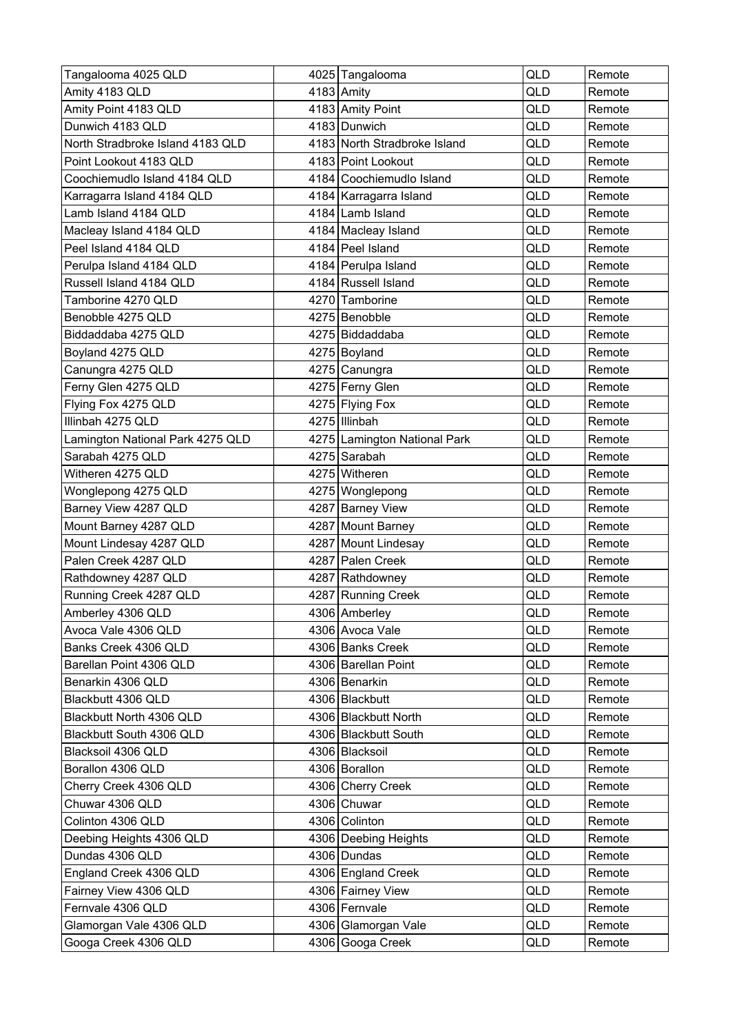| Tangalooma 4025 QLD              | 4025 Tangalooma              | <b>QLD</b> | Remote |
|----------------------------------|------------------------------|------------|--------|
| Amity 4183 QLD                   | $4183$ Amity                 | QLD        | Remote |
| Amity Point 4183 QLD             | 4183 Amity Point             | QLD        | Remote |
| Dunwich 4183 QLD                 | 4183 Dunwich                 | QLD        | Remote |
| North Stradbroke Island 4183 QLD | 4183 North Stradbroke Island | QLD        | Remote |
| Point Lookout 4183 QLD           | 4183 Point Lookout           | QLD        | Remote |
| Coochiemudlo Island 4184 QLD     | 4184 Coochiemudlo Island     | QLD        | Remote |
| Karragarra Island 4184 QLD       | 4184 Karragarra Island       | QLD        | Remote |
| Lamb Island 4184 QLD             | 4184 Lamb Island             | QLD        | Remote |
| Macleay Island 4184 QLD          | 4184 Macleay Island          | QLD        | Remote |
| Peel Island 4184 QLD             | 4184 Peel Island             | <b>QLD</b> | Remote |
| Perulpa Island 4184 QLD          | 4184 Perulpa Island          | QLD        | Remote |
| Russell Island 4184 QLD          | 4184 Russell Island          | QLD        | Remote |
| Tamborine 4270 QLD               | 4270 Tamborine               | QLD        | Remote |
| Benobble 4275 QLD                | 4275 Benobble                | QLD        | Remote |
| Biddaddaba 4275 QLD              | 4275 Biddaddaba              | QLD        | Remote |
| Boyland 4275 QLD                 | 4275 Boyland                 | QLD        | Remote |
| Canungra 4275 QLD                | 4275 Canungra                | QLD        | Remote |
| Ferny Glen 4275 QLD              | 4275 Ferny Glen              | QLD        | Remote |
| Flying Fox 4275 QLD              | 4275 Flying Fox              | QLD        | Remote |
| Illinbah 4275 QLD                | 4275 Illinbah                | QLD        | Remote |
| Lamington National Park 4275 QLD | 4275 Lamington National Park | <b>QLD</b> | Remote |
| Sarabah 4275 QLD                 | 4275 Sarabah                 | QLD        | Remote |
| Witheren 4275 QLD                | 4275 Witheren                | QLD        | Remote |
| Wonglepong 4275 QLD              | 4275 Wonglepong              | <b>QLD</b> | Remote |
| Barney View 4287 QLD             | 4287 Barney View             | QLD        | Remote |
| Mount Barney 4287 QLD            | 4287 Mount Barney            | QLD        | Remote |
| Mount Lindesay 4287 QLD          | 4287 Mount Lindesay          | QLD        | Remote |
| Palen Creek 4287 QLD             | 4287 Palen Creek             | QLD        | Remote |
| Rathdowney 4287 QLD              | 4287 Rathdowney              | QLD        | Remote |
| Running Creek 4287 QLD           | 4287 Running Creek           | QLD        | Remote |
| Amberley 4306 QLD                | 4306 Amberley                | QLD        | Remote |
| Avoca Vale 4306 QLD              | 4306 Avoca Vale              | QLD        | Remote |
| Banks Creek 4306 QLD             | 4306 Banks Creek             | QLD        | Remote |
| Barellan Point 4306 QLD          | 4306 Barellan Point          | QLD        | Remote |
| Benarkin 4306 QLD                | 4306 Benarkin                | QLD        | Remote |
| Blackbutt 4306 QLD               | 4306 Blackbutt               | QLD        | Remote |
| Blackbutt North 4306 QLD         | 4306 Blackbutt North         | QLD        | Remote |
| Blackbutt South 4306 QLD         | 4306 Blackbutt South         | QLD        | Remote |
| Blacksoil 4306 QLD               | 4306 Blacksoil               | QLD        | Remote |
| Borallon 4306 QLD                | 4306 Borallon                | QLD        | Remote |
| Cherry Creek 4306 QLD            | 4306 Cherry Creek            | QLD        | Remote |
| Chuwar 4306 QLD                  | 4306 Chuwar                  | QLD        | Remote |
| Colinton 4306 QLD                | 4306 Colinton                | QLD        | Remote |
| Deebing Heights 4306 QLD         | 4306 Deebing Heights         | QLD        | Remote |
| Dundas 4306 QLD                  | 4306 Dundas                  | QLD        | Remote |
| England Creek 4306 QLD           | 4306 England Creek           | QLD        | Remote |
| Fairney View 4306 QLD            | 4306 Fairney View            | QLD        | Remote |
| Fernvale 4306 QLD                | 4306 Fernvale                | QLD        | Remote |
| Glamorgan Vale 4306 QLD          | 4306 Glamorgan Vale          | QLD        | Remote |
| Googa Creek 4306 QLD             | 4306 Googa Creek             | QLD        | Remote |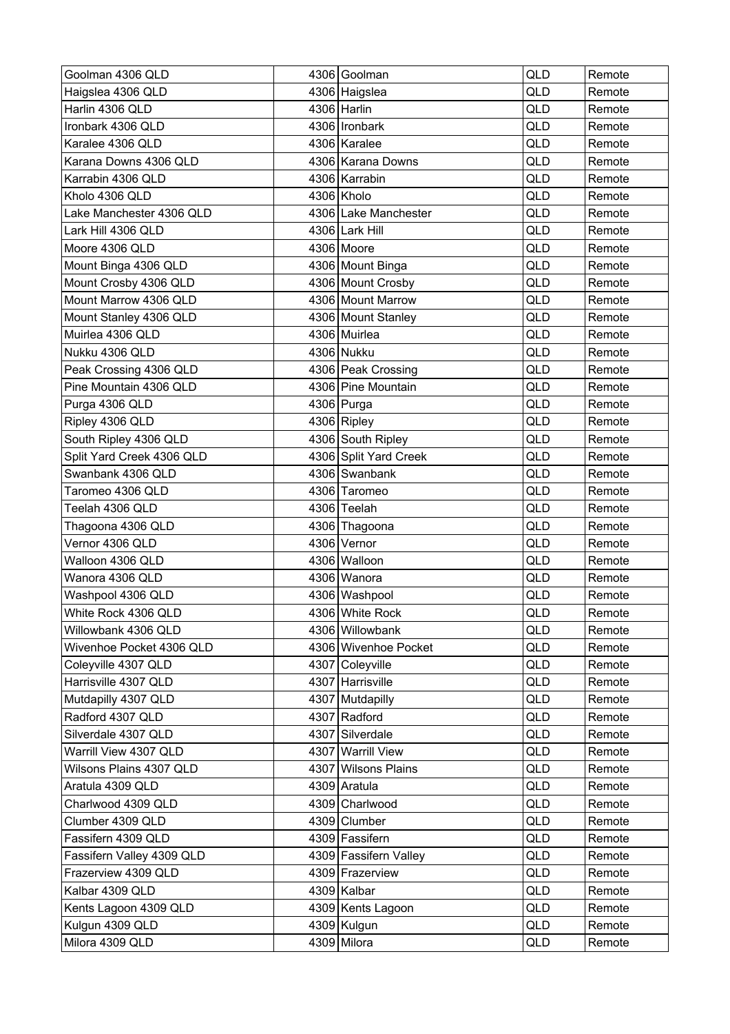| Goolman 4306 QLD          | 4306 Goolman          | QLD        | Remote |
|---------------------------|-----------------------|------------|--------|
| Haigslea 4306 QLD         | 4306 Haigslea         | QLD        | Remote |
| Harlin 4306 QLD           | 4306 Harlin           | <b>QLD</b> | Remote |
| Ironbark 4306 QLD         | 4306   Ironbark       | QLD        | Remote |
| Karalee 4306 QLD          | 4306 Karalee          | QLD        | Remote |
| Karana Downs 4306 QLD     | 4306 Karana Downs     | QLD        | Remote |
| Karrabin 4306 QLD         | 4306 Karrabin         | QLD        | Remote |
| Kholo 4306 QLD            | 4306 Kholo            | QLD        | Remote |
| Lake Manchester 4306 QLD  | 4306 Lake Manchester  | QLD        | Remote |
| Lark Hill 4306 QLD        | 4306 Lark Hill        | QLD        | Remote |
| Moore 4306 QLD            | 4306 Moore            | QLD        | Remote |
| Mount Binga 4306 QLD      | 4306 Mount Binga      | QLD        | Remote |
| Mount Crosby 4306 QLD     | 4306 Mount Crosby     | QLD        | Remote |
| Mount Marrow 4306 QLD     | 4306 Mount Marrow     | QLD        | Remote |
| Mount Stanley 4306 QLD    | 4306 Mount Stanley    | QLD        | Remote |
| Muirlea 4306 QLD          | 4306 Muirlea          | QLD        | Remote |
| Nukku 4306 QLD            | 4306 Nukku            | QLD        | Remote |
| Peak Crossing 4306 QLD    | 4306 Peak Crossing    | QLD        | Remote |
| Pine Mountain 4306 QLD    | 4306 Pine Mountain    | QLD        | Remote |
| Purga 4306 QLD            | 4306 Purga            | QLD        | Remote |
| Ripley 4306 QLD           | 4306 Ripley           | QLD        | Remote |
| South Ripley 4306 QLD     | 4306 South Ripley     | QLD        | Remote |
| Split Yard Creek 4306 QLD | 4306 Split Yard Creek | QLD        | Remote |
| Swanbank 4306 QLD         | 4306 Swanbank         | QLD        | Remote |
| Taromeo 4306 QLD          | 4306 Taromeo          | QLD        | Remote |
| Teelah 4306 QLD           | 4306 Teelah           | QLD        | Remote |
| Thagoona 4306 QLD         | 4306 Thagoona         | QLD        | Remote |
| Vernor 4306 QLD           | 4306 Vernor           | QLD        | Remote |
| Walloon 4306 QLD          | 4306 Walloon          | QLD        | Remote |
| Wanora 4306 QLD           | 4306 Wanora           | <b>QLD</b> | Remote |
| Washpool 4306 QLD         | 4306 Washpool         | QLD        | Remote |
| White Rock 4306 QLD       | 4306 White Rock       | QLD        | Remote |
| Willowbank 4306 QLD       | 4306 Willowbank       | QLD        | Remote |
| Wivenhoe Pocket 4306 QLD  | 4306 Wivenhoe Pocket  | QLD        | Remote |
| Coleyville 4307 QLD       | 4307 Coleyville       | QLD        | Remote |
| Harrisville 4307 QLD      | 4307 Harrisville      | QLD        | Remote |
| Mutdapilly 4307 QLD       | 4307 Mutdapilly       | QLD        | Remote |
| Radford 4307 QLD          | 4307 Radford          | QLD        | Remote |
| Silverdale 4307 QLD       | 4307 Silverdale       | QLD        | Remote |
| Warrill View 4307 QLD     | 4307 Warrill View     | QLD        | Remote |
| Wilsons Plains 4307 QLD   | 4307 Wilsons Plains   | QLD        | Remote |
| Aratula 4309 QLD          | 4309 Aratula          | QLD        | Remote |
| Charlwood 4309 QLD        | 4309 Charlwood        | QLD        | Remote |
| Clumber 4309 QLD          | 4309 Clumber          | QLD        | Remote |
| Fassifern 4309 QLD        | 4309 Fassifern        | QLD        | Remote |
| Fassifern Valley 4309 QLD | 4309 Fassifern Valley | QLD        | Remote |
| Frazerview 4309 QLD       | 4309 Frazerview       | QLD        | Remote |
| Kalbar 4309 QLD           | 4309 Kalbar           | QLD        | Remote |
| Kents Lagoon 4309 QLD     | 4309 Kents Lagoon     | QLD        | Remote |
| Kulgun 4309 QLD           | 4309 Kulgun           | QLD        | Remote |
| Milora 4309 QLD           | 4309 Milora           | QLD        | Remote |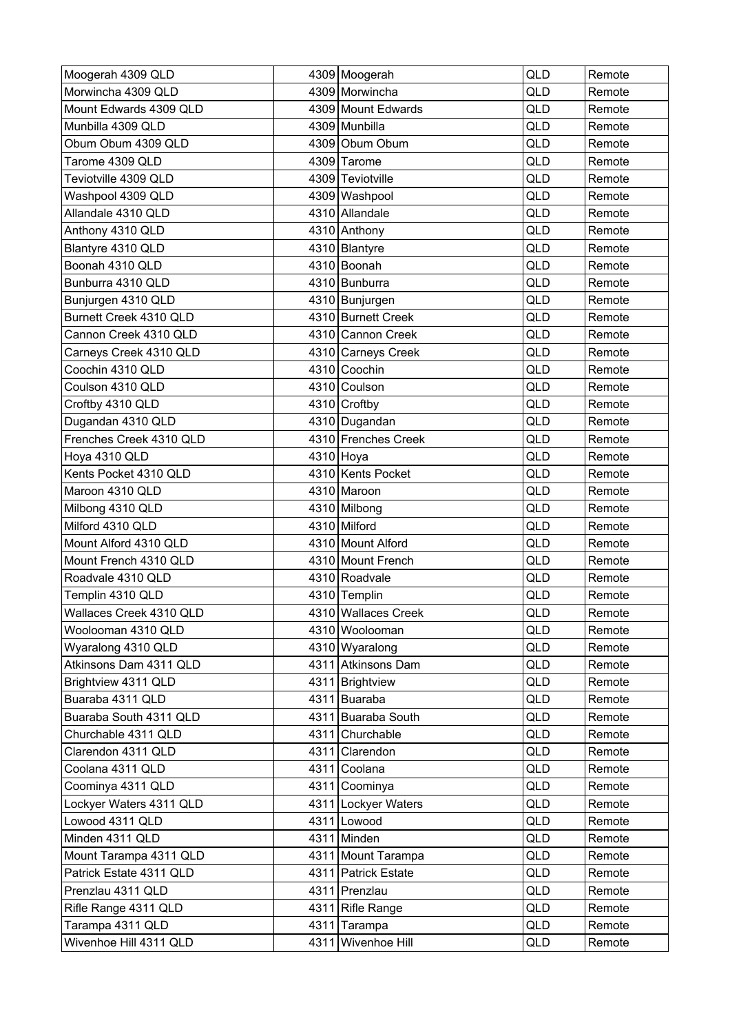| Moogerah 4309 QLD       | 4309 Moogerah       | QLD        | Remote |
|-------------------------|---------------------|------------|--------|
| Morwincha 4309 QLD      | 4309 Morwincha      | <b>QLD</b> | Remote |
| Mount Edwards 4309 QLD  | 4309 Mount Edwards  | <b>QLD</b> | Remote |
| Munbilla 4309 QLD       | 4309 Munbilla       | QLD        | Remote |
| Obum Obum 4309 QLD      | 4309 Obum Obum      | QLD        | Remote |
| Tarome 4309 QLD         | 4309 Tarome         | QLD        | Remote |
| Teviotville 4309 QLD    | 4309 Teviotville    | QLD        | Remote |
| Washpool 4309 QLD       | 4309 Washpool       | QLD        | Remote |
| Allandale 4310 QLD      | 4310 Allandale      | <b>QLD</b> | Remote |
| Anthony 4310 QLD        | 4310 Anthony        | QLD        | Remote |
| Blantyre 4310 QLD       | 4310 Blantyre       | QLD        | Remote |
| Boonah 4310 QLD         | 4310 Boonah         | QLD        | Remote |
| Bunburra 4310 QLD       | 4310 Bunburra       | QLD        | Remote |
| Bunjurgen 4310 QLD      | 4310 Bunjurgen      | <b>QLD</b> | Remote |
| Burnett Creek 4310 QLD  | 4310 Burnett Creek  | QLD        | Remote |
| Cannon Creek 4310 QLD   | 4310 Cannon Creek   | QLD        | Remote |
| Carneys Creek 4310 QLD  | 4310 Carneys Creek  | QLD        | Remote |
| Coochin 4310 QLD        | 4310 Coochin        | QLD        | Remote |
| Coulson 4310 QLD        | 4310 Coulson        | QLD        | Remote |
| Croftby 4310 QLD        | 4310 Croftby        | <b>QLD</b> | Remote |
| Dugandan 4310 QLD       | 4310 Dugandan       | QLD        | Remote |
| Frenches Creek 4310 QLD | 4310 Frenches Creek | QLD        | Remote |
| Hoya 4310 QLD           | 4310 Hoya           | <b>QLD</b> | Remote |
| Kents Pocket 4310 QLD   | 4310 Kents Pocket   | <b>QLD</b> | Remote |
| Maroon 4310 QLD         | 4310 Maroon         | QLD        | Remote |
| Milbong 4310 QLD        | 4310 Milbong        | <b>QLD</b> | Remote |
| Milford 4310 QLD        | 4310 Milford        | QLD        | Remote |
| Mount Alford 4310 QLD   | 4310 Mount Alford   | QLD        | Remote |
| Mount French 4310 QLD   | 4310 Mount French   | QLD        | Remote |
| Roadvale 4310 QLD       | 4310 Roadvale       | <b>QLD</b> | Remote |
| Templin 4310 QLD        | 4310 Templin        | QLD        | Remote |
| Wallaces Creek 4310 QLD | 4310 Wallaces Creek | QLD        | Remote |
| Woolooman 4310 QLD      | 4310 Woolooman      | QLD        | Remote |
| Wyaralong 4310 QLD      | 4310 Wyaralong      | QLD        | Remote |
| Atkinsons Dam 4311 QLD  | 4311 Atkinsons Dam  | QLD        | Remote |
| Brightview 4311 QLD     | 4311 Brightview     | QLD        | Remote |
| Buaraba 4311 QLD        | 4311 Buaraba        | QLD        | Remote |
| Buaraba South 4311 QLD  | 4311 Buaraba South  | QLD        | Remote |
| Churchable 4311 QLD     | 4311 Churchable     | QLD        | Remote |
| Clarendon 4311 QLD      | 4311 Clarendon      | QLD        | Remote |
| Coolana 4311 QLD        | 4311 Coolana        | QLD        | Remote |
| Coominya 4311 QLD       | 4311 Coominya       | QLD        | Remote |
| Lockyer Waters 4311 QLD | 4311 Lockyer Waters | QLD        | Remote |
| Lowood 4311 QLD         | 4311 Lowood         | QLD        | Remote |
| Minden 4311 QLD         | 4311 Minden         | QLD        | Remote |
| Mount Tarampa 4311 QLD  | 4311 Mount Tarampa  | QLD        | Remote |
| Patrick Estate 4311 QLD | 4311 Patrick Estate | QLD        | Remote |
| Prenzlau 4311 QLD       | 4311 Prenzlau       | <b>QLD</b> | Remote |
| Rifle Range 4311 QLD    | 4311 Rifle Range    | QLD        | Remote |
| Tarampa 4311 QLD        | 4311 Tarampa        | QLD        | Remote |
| Wivenhoe Hill 4311 QLD  | 4311 Wivenhoe Hill  | QLD        | Remote |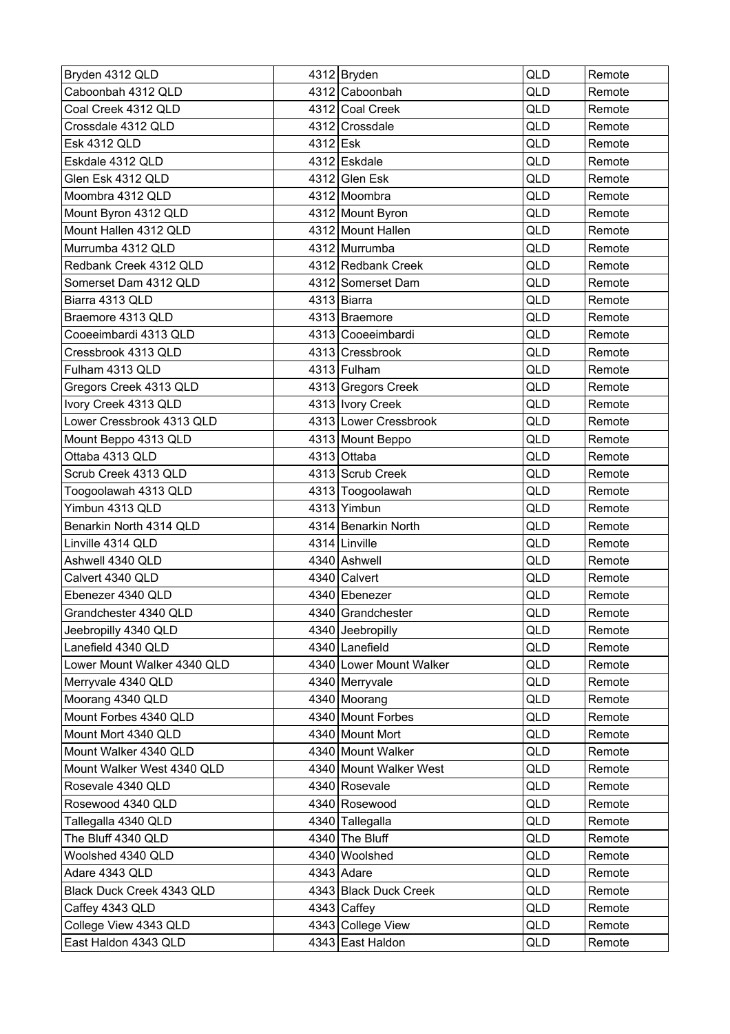| Bryden 4312 QLD             |          | $4312$ Bryden           | QLD | Remote |
|-----------------------------|----------|-------------------------|-----|--------|
| Caboonbah 4312 QLD          |          | 4312 Caboonbah          | QLD | Remote |
| Coal Creek 4312 QLD         |          | 4312 Coal Creek         | QLD | Remote |
| Crossdale 4312 QLD          |          | 4312 Crossdale          | QLD | Remote |
| <b>Esk 4312 QLD</b>         | 4312 Esk |                         | QLD | Remote |
| Eskdale 4312 QLD            |          | 4312 Eskdale            | QLD | Remote |
| Glen Esk 4312 QLD           |          | 4312 Glen Esk           | QLD | Remote |
| Moombra 4312 QLD            |          | 4312 Moombra            | QLD | Remote |
| Mount Byron 4312 QLD        |          | 4312 Mount Byron        | QLD | Remote |
| Mount Hallen 4312 QLD       |          | 4312 Mount Hallen       | QLD | Remote |
| Murrumba 4312 QLD           |          | 4312 Murrumba           | QLD | Remote |
| Redbank Creek 4312 QLD      |          | 4312 Redbank Creek      | QLD | Remote |
| Somerset Dam 4312 QLD       |          | 4312 Somerset Dam       | QLD | Remote |
| Biarra 4313 QLD             |          | 4313 Biarra             | QLD | Remote |
| Braemore 4313 QLD           |          | 4313 Braemore           | QLD | Remote |
| Cooeeimbardi 4313 QLD       |          | 4313 Cooeeimbardi       | QLD | Remote |
| Cressbrook 4313 QLD         |          | 4313 Cressbrook         | QLD | Remote |
| Fulham 4313 QLD             |          | 4313 Fulham             | QLD | Remote |
| Gregors Creek 4313 QLD      |          | 4313 Gregors Creek      | QLD | Remote |
| Ivory Creek 4313 QLD        |          | 4313   Ivory Creek      | QLD | Remote |
| Lower Cressbrook 4313 QLD   |          | 4313 Lower Cressbrook   | QLD | Remote |
| Mount Beppo 4313 QLD        |          | 4313 Mount Beppo        | QLD | Remote |
| Ottaba 4313 QLD             |          | 4313 Ottaba             | QLD | Remote |
| Scrub Creek 4313 QLD        |          | 4313 Scrub Creek        | QLD | Remote |
| Toogoolawah 4313 QLD        |          | 4313 Toogoolawah        | QLD | Remote |
| Yimbun 4313 QLD             |          | 4313 Yimbun             | QLD | Remote |
| Benarkin North 4314 QLD     |          | 4314 Benarkin North     | QLD | Remote |
| Linville 4314 QLD           |          | 4314 Linville           | QLD | Remote |
| Ashwell 4340 QLD            |          | 4340 Ashwell            | QLD | Remote |
| Calvert 4340 QLD            |          | 4340 Calvert            | QLD | Remote |
| Ebenezer 4340 QLD           |          | 4340 Ebenezer           | QLD | Remote |
| Grandchester 4340 QLD       |          | 4340 Grandchester       | QLD | Remote |
| Jeebropilly 4340 QLD        |          | 4340 Jeebropilly        | QLD | Remote |
| Lanefield 4340 QLD          |          | 4340 Lanefield          | QLD | Remote |
| Lower Mount Walker 4340 QLD |          | 4340 Lower Mount Walker | QLD | Remote |
| Merryvale 4340 QLD          |          | 4340 Merryvale          | QLD | Remote |
| Moorang 4340 QLD            |          | 4340 Moorang            | QLD | Remote |
| Mount Forbes 4340 QLD       |          | 4340 Mount Forbes       | QLD | Remote |
| Mount Mort 4340 QLD         |          | 4340 Mount Mort         | QLD | Remote |
| Mount Walker 4340 QLD       |          | 4340 Mount Walker       | QLD | Remote |
| Mount Walker West 4340 QLD  |          | 4340 Mount Walker West  | QLD | Remote |
| Rosevale 4340 QLD           |          | 4340 Rosevale           | QLD | Remote |
| Rosewood 4340 QLD           |          | 4340 Rosewood           | QLD | Remote |
| Tallegalla 4340 QLD         |          | 4340 Tallegalla         | QLD | Remote |
| The Bluff 4340 QLD          |          | 4340 The Bluff          | QLD | Remote |
| Woolshed 4340 QLD           |          | 4340 Woolshed           | QLD | Remote |
| Adare 4343 QLD              |          | 4343 Adare              | QLD | Remote |
| Black Duck Creek 4343 QLD   |          | 4343 Black Duck Creek   | QLD | Remote |
| Caffey 4343 QLD             |          | $4343$ Caffey           | QLD | Remote |
| College View 4343 QLD       |          | 4343 College View       | QLD | Remote |
| East Haldon 4343 QLD        |          | 4343 East Haldon        | QLD | Remote |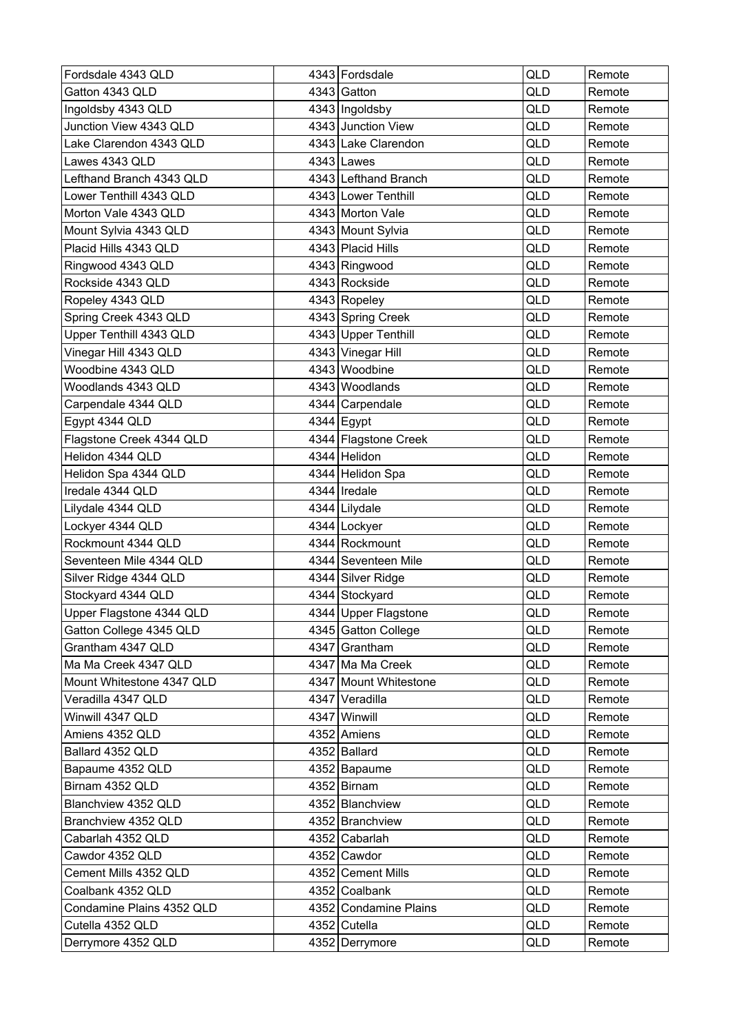| Fordsdale 4343 QLD        | 4343 Fordsdale        | <b>QLD</b> | Remote |
|---------------------------|-----------------------|------------|--------|
| Gatton 4343 QLD           | 4343 Gatton           | QLD        | Remote |
| Ingoldsby 4343 QLD        | 4343 Ingoldsby        | QLD        | Remote |
| Junction View 4343 QLD    | 4343 Junction View    | QLD        | Remote |
| Lake Clarendon 4343 QLD   | 4343 Lake Clarendon   | QLD        | Remote |
| Lawes 4343 QLD            | $4343$ Lawes          | QLD        | Remote |
| Lefthand Branch 4343 QLD  | 4343 Lefthand Branch  | QLD        | Remote |
| Lower Tenthill 4343 QLD   | 4343 Lower Tenthill   | QLD        | Remote |
| Morton Vale 4343 QLD      | 4343 Morton Vale      | QLD        | Remote |
| Mount Sylvia 4343 QLD     | 4343 Mount Sylvia     | QLD        | Remote |
| Placid Hills 4343 QLD     | 4343 Placid Hills     | QLD        | Remote |
| Ringwood 4343 QLD         | 4343 Ringwood         | QLD        | Remote |
| Rockside 4343 QLD         | 4343 Rockside         | QLD        | Remote |
| Ropeley 4343 QLD          | 4343 Ropeley          | <b>QLD</b> | Remote |
| Spring Creek 4343 QLD     | 4343 Spring Creek     | QLD        | Remote |
| Upper Tenthill 4343 QLD   | 4343 Upper Tenthill   | QLD        | Remote |
| Vinegar Hill 4343 QLD     | 4343 Vinegar Hill     | QLD        | Remote |
| Woodbine 4343 QLD         | 4343 Woodbine         | QLD        | Remote |
| Woodlands 4343 QLD        | 4343 Woodlands        | QLD        | Remote |
| Carpendale 4344 QLD       | 4344 Carpendale       | QLD        | Remote |
| Egypt 4344 QLD            | 4344 Egypt            | QLD        | Remote |
| Flagstone Creek 4344 QLD  | 4344 Flagstone Creek  | QLD        | Remote |
| Helidon 4344 QLD          | 4344 Helidon          | QLD        | Remote |
| Helidon Spa 4344 QLD      | 4344 Helidon Spa      | QLD        | Remote |
| Iredale 4344 QLD          | 4344   Iredale        | <b>QLD</b> | Remote |
| Lilydale 4344 QLD         | 4344 Lilydale         | QLD        | Remote |
| Lockyer 4344 QLD          | 4344 Lockyer          | QLD        | Remote |
| Rockmount 4344 QLD        | 4344 Rockmount        | <b>QLD</b> | Remote |
| Seventeen Mile 4344 QLD   | 4344 Seventeen Mile   | QLD        | Remote |
| Silver Ridge 4344 QLD     | 4344 Silver Ridge     | QLD        | Remote |
| Stockyard 4344 QLD        | 4344 Stockyard        | QLD        | Remote |
| Upper Flagstone 4344 QLD  | 4344 Upper Flagstone  | QLD        | Remote |
| Gatton College 4345 QLD   | 4345 Gatton College   | QLD        | Remote |
| Grantham 4347 QLD         | 4347 Grantham         | QLD        | Remote |
| Ma Ma Creek 4347 QLD      | 4347 Ma Ma Creek      | QLD        | Remote |
| Mount Whitestone 4347 QLD | 4347 Mount Whitestone | QLD        | Remote |
| Veradilla 4347 QLD        | 4347 Veradilla        | QLD        | Remote |
| Winwill 4347 QLD          | 4347 Winwill          | QLD        | Remote |
| Amiens 4352 QLD           | 4352 Amiens           | QLD        | Remote |
| Ballard 4352 QLD          | 4352 Ballard          | QLD        | Remote |
| Bapaume 4352 QLD          | 4352 Bapaume          | QLD        | Remote |
| Birnam 4352 QLD           | 4352 Birnam           | QLD        | Remote |
| Blanchview 4352 QLD       | 4352 Blanchview       | QLD        | Remote |
| Branchview 4352 QLD       | 4352 Branchview       | QLD        | Remote |
| Cabarlah 4352 QLD         | 4352 Cabarlah         | QLD        | Remote |
| Cawdor 4352 QLD           | 4352 Cawdor           | QLD        | Remote |
| Cement Mills 4352 QLD     | 4352 Cement Mills     | QLD        | Remote |
| Coalbank 4352 QLD         | 4352 Coalbank         | QLD        | Remote |
| Condamine Plains 4352 QLD | 4352 Condamine Plains | QLD        | Remote |
| Cutella 4352 QLD          | 4352 Cutella          | QLD        | Remote |
| Derrymore 4352 QLD        | 4352 Derrymore        | QLD        | Remote |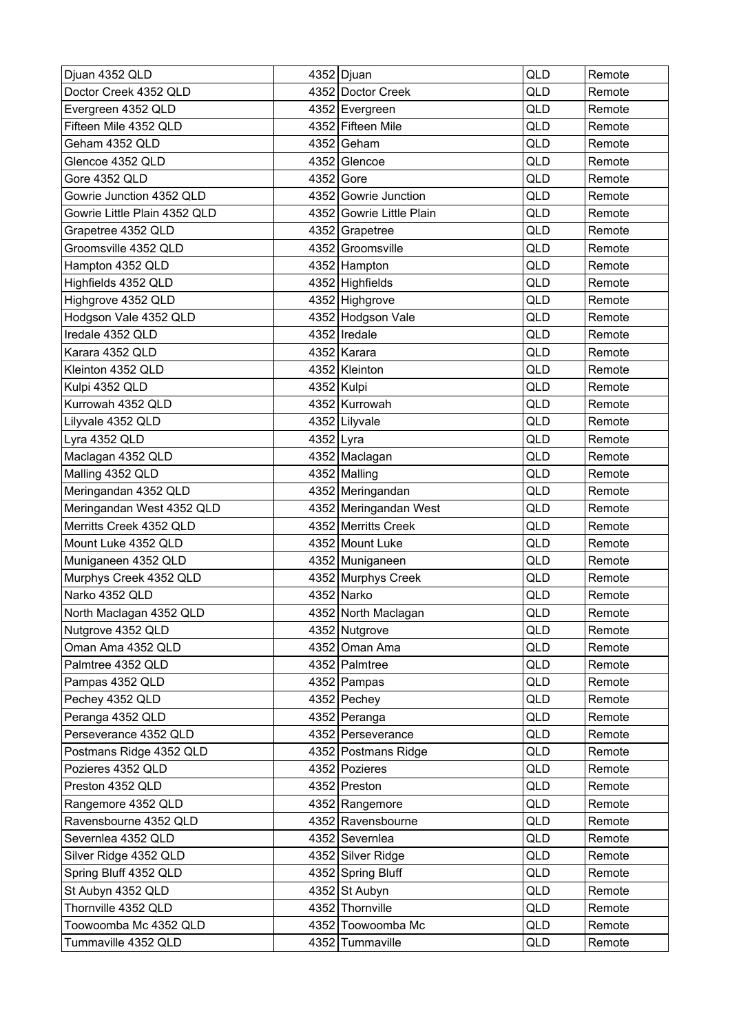| Djuan 4352 QLD               |           | 4352 Djuan               | QLD        | Remote |
|------------------------------|-----------|--------------------------|------------|--------|
| Doctor Creek 4352 QLD        |           | 4352 Doctor Creek        | QLD        | Remote |
| Evergreen 4352 QLD           |           | 4352 Evergreen           | QLD        | Remote |
| Fifteen Mile 4352 QLD        |           | 4352 Fifteen Mile        | QLD        | Remote |
| Geham 4352 QLD               |           | 4352 Geham               | QLD        | Remote |
| Glencoe 4352 QLD             |           | 4352 Glencoe             | QLD        | Remote |
| Gore 4352 QLD                |           | 4352 Gore                | QLD        | Remote |
| Gowrie Junction 4352 QLD     |           | 4352 Gowrie Junction     | QLD        | Remote |
| Gowrie Little Plain 4352 QLD |           | 4352 Gowrie Little Plain | QLD        | Remote |
| Grapetree 4352 QLD           |           | 4352 Grapetree           | QLD        | Remote |
| Groomsville 4352 QLD         |           | 4352 Groomsville         | QLD        | Remote |
| Hampton 4352 QLD             |           | 4352 Hampton             | QLD        | Remote |
| Highfields 4352 QLD          |           | 4352 Highfields          | QLD        | Remote |
| Highgrove 4352 QLD           |           | 4352 Highgrove           | QLD        | Remote |
| Hodgson Vale 4352 QLD        |           | 4352 Hodgson Vale        | QLD        | Remote |
| Iredale 4352 QLD             |           | 4352   Iredale           | QLD        | Remote |
| Karara 4352 QLD              |           | 4352 Karara              | QLD        | Remote |
| Kleinton 4352 QLD            |           | 4352 Kleinton            | QLD        | Remote |
| Kulpi 4352 QLD               |           | 4352 Kulpi               | QLD        | Remote |
| Kurrowah 4352 QLD            |           | 4352 Kurrowah            | QLD        | Remote |
| Lilyvale 4352 QLD            |           | 4352 Lilyvale            | QLD        | Remote |
| Lyra 4352 QLD                | 4352 Lyra |                          | QLD        | Remote |
| Maclagan 4352 QLD            |           | 4352 Maclagan            | QLD        | Remote |
| Malling 4352 QLD             |           | 4352 Malling             | QLD        | Remote |
| Meringandan 4352 QLD         |           | 4352 Meringandan         | <b>QLD</b> | Remote |
| Meringandan West 4352 QLD    |           | 4352 Meringandan West    | QLD        | Remote |
| Merritts Creek 4352 QLD      |           | 4352 Merritts Creek      | QLD        | Remote |
| Mount Luke 4352 QLD          |           | 4352 Mount Luke          | QLD        | Remote |
| Muniganeen 4352 QLD          |           | 4352 Muniganeen          | QLD        | Remote |
| Murphys Creek 4352 QLD       |           | 4352 Murphys Creek       | QLD        | Remote |
| Narko 4352 QLD               |           | 4352 Narko               | QLD        | Remote |
| North Maclagan 4352 QLD      |           | 4352 North Maclagan      | QLD        | Remote |
| Nutgrove 4352 QLD            |           | 4352 Nutgrove            | QLD        | Remote |
| Oman Ama 4352 QLD            |           | 4352 Oman Ama            | QLD        | Remote |
| Palmtree 4352 QLD            |           | 4352 Palmtree            | QLD        | Remote |
| Pampas 4352 QLD              |           | 4352 Pampas              | QLD        | Remote |
| Pechey 4352 QLD              |           | $4352$ Pechey            | QLD        | Remote |
| Peranga 4352 QLD             |           | 4352 Peranga             | QLD        | Remote |
| Perseverance 4352 QLD        |           | 4352 Perseverance        | QLD        | Remote |
| Postmans Ridge 4352 QLD      |           | 4352 Postmans Ridge      | QLD        | Remote |
| Pozieres 4352 QLD            |           | 4352 Pozieres            | QLD        | Remote |
| Preston 4352 QLD             |           | 4352 Preston             | QLD        | Remote |
| Rangemore 4352 QLD           |           | 4352 Rangemore           | QLD        | Remote |
| Ravensbourne 4352 QLD        |           | 4352 Ravensbourne        | QLD        | Remote |
| Severnlea 4352 QLD           |           | 4352 Severnlea           | QLD        | Remote |
| Silver Ridge 4352 QLD        |           | 4352 Silver Ridge        | QLD        | Remote |
| Spring Bluff 4352 QLD        |           | 4352 Spring Bluff        | QLD        | Remote |
| St Aubyn 4352 QLD            |           | 4352 St Aubyn            | QLD        | Remote |
| Thornville 4352 QLD          |           | 4352 Thornville          | QLD        | Remote |
| Toowoomba Mc 4352 QLD        |           | 4352 Toowoomba Mc        | QLD        | Remote |
| Tummaville 4352 QLD          |           | 4352 Tummaville          | QLD        | Remote |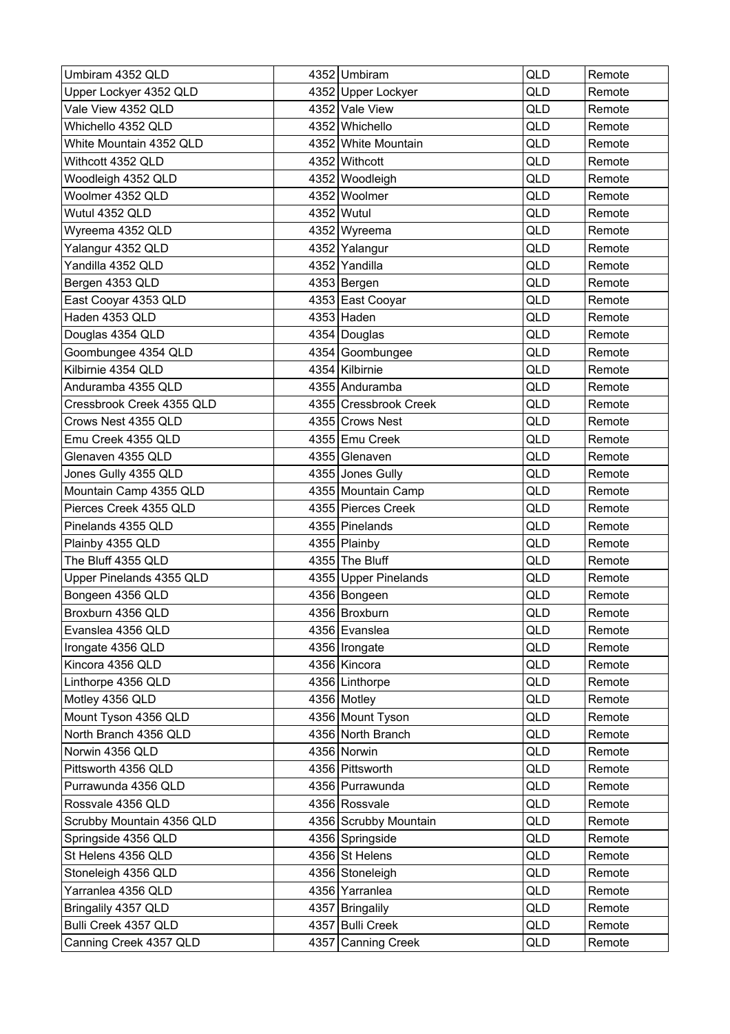| Umbiram 4352 QLD          | 4352 Umbiram          | QLD | Remote |
|---------------------------|-----------------------|-----|--------|
| Upper Lockyer 4352 QLD    | 4352 Upper Lockyer    | QLD | Remote |
| Vale View 4352 QLD        | 4352 Vale View        | QLD | Remote |
| Whichello 4352 QLD        | 4352 Whichello        | QLD | Remote |
| White Mountain 4352 QLD   | 4352 White Mountain   | QLD | Remote |
| Withcott 4352 QLD         | 4352 Withcott         | QLD | Remote |
| Woodleigh 4352 QLD        | 4352 Woodleigh        | QLD | Remote |
| Woolmer 4352 QLD          | 4352 Woolmer          | QLD | Remote |
| Wutul 4352 QLD            | 4352 Wutul            | QLD | Remote |
| Wyreema 4352 QLD          | 4352 Wyreema          | QLD | Remote |
| Yalangur 4352 QLD         | 4352 Yalangur         | QLD | Remote |
| Yandilla 4352 QLD         | 4352 Yandilla         | QLD | Remote |
| Bergen 4353 QLD           | 4353 Bergen           | QLD | Remote |
| East Cooyar 4353 QLD      | 4353 East Cooyar      | QLD | Remote |
| Haden 4353 QLD            | $4353$ Haden          | QLD | Remote |
| Douglas 4354 QLD          | 4354 Douglas          | QLD | Remote |
| Goombungee 4354 QLD       | 4354 Goombungee       | QLD | Remote |
| Kilbirnie 4354 QLD        | 4354 Kilbirnie        | QLD | Remote |
| Anduramba 4355 QLD        | 4355 Anduramba        | QLD | Remote |
| Cressbrook Creek 4355 QLD | 4355 Cressbrook Creek | QLD | Remote |
| Crows Nest 4355 QLD       | 4355 Crows Nest       | QLD | Remote |
| Emu Creek 4355 QLD        | 4355 Emu Creek        | QLD | Remote |
| Glenaven 4355 QLD         | 4355 Glenaven         | QLD | Remote |
| Jones Gully 4355 QLD      | 4355 Jones Gully      | QLD | Remote |
| Mountain Camp 4355 QLD    | 4355 Mountain Camp    | QLD | Remote |
| Pierces Creek 4355 QLD    | 4355 Pierces Creek    | QLD | Remote |
| Pinelands 4355 QLD        | 4355 Pinelands        | QLD | Remote |
| Plainby 4355 QLD          | 4355 Plainby          | QLD | Remote |
| The Bluff 4355 QLD        | 4355 The Bluff        | QLD | Remote |
| Upper Pinelands 4355 QLD  | 4355 Upper Pinelands  | QLD | Remote |
| Bongeen 4356 QLD          | 4356 Bongeen          | QLD | Remote |
| Broxburn 4356 QLD         | 4356 Broxburn         | QLD | Remote |
| Evanslea 4356 QLD         | 4356 Evanslea         | QLD | Remote |
| Irongate 4356 QLD         | 4356   Irongate       | QLD | Remote |
| Kincora 4356 QLD          | 4356 Kincora          | QLD | Remote |
| Linthorpe 4356 QLD        | 4356 Linthorpe        | QLD | Remote |
| Motley 4356 QLD           | 4356 Motley           | QLD | Remote |
| Mount Tyson 4356 QLD      | 4356 Mount Tyson      | QLD | Remote |
| North Branch 4356 QLD     | 4356 North Branch     | QLD | Remote |
| Norwin 4356 QLD           | 4356 Norwin           | QLD | Remote |
| Pittsworth 4356 QLD       | 4356 Pittsworth       | QLD | Remote |
| Purrawunda 4356 QLD       | 4356 Purrawunda       | QLD | Remote |
| Rossvale 4356 QLD         | 4356 Rossvale         | QLD | Remote |
| Scrubby Mountain 4356 QLD | 4356 Scrubby Mountain | QLD | Remote |
| Springside 4356 QLD       | 4356 Springside       | QLD | Remote |
| St Helens 4356 QLD        | 4356 St Helens        | QLD | Remote |
| Stoneleigh 4356 QLD       | 4356 Stoneleigh       | QLD | Remote |
| Yarranlea 4356 QLD        | 4356 Yarranlea        | QLD | Remote |
| Bringalily 4357 QLD       | 4357 Bringalily       | QLD | Remote |
| Bulli Creek 4357 QLD      | 4357 Bulli Creek      | QLD | Remote |
| Canning Creek 4357 QLD    | 4357 Canning Creek    | QLD | Remote |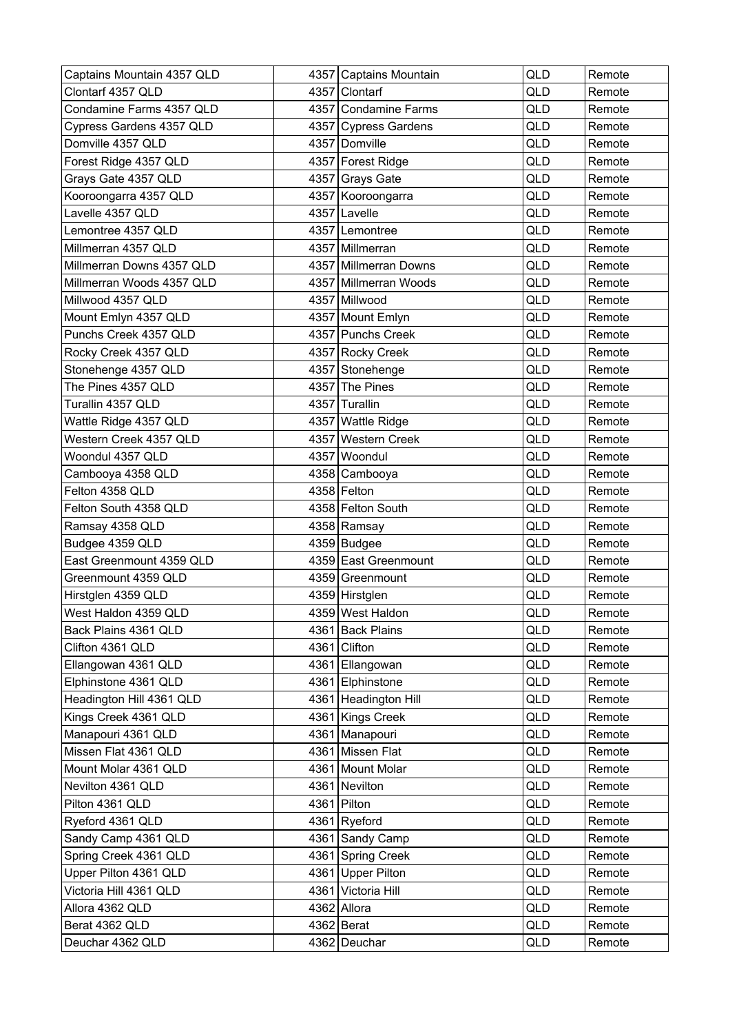| Captains Mountain 4357 QLD |      | 4357 Captains Mountain | QLD        | Remote |
|----------------------------|------|------------------------|------------|--------|
| Clontarf 4357 QLD          |      | 4357 Clontarf          | QLD        | Remote |
| Condamine Farms 4357 QLD   |      | 4357 Condamine Farms   | QLD        | Remote |
| Cypress Gardens 4357 QLD   |      | 4357 Cypress Gardens   | QLD        | Remote |
| Domville 4357 QLD          |      | 4357 Domville          | QLD        | Remote |
| Forest Ridge 4357 QLD      |      | 4357 Forest Ridge      | QLD        | Remote |
| Grays Gate 4357 QLD        |      | 4357 Grays Gate        | QLD        | Remote |
| Kooroongarra 4357 QLD      |      | 4357 Kooroongarra      | QLD        | Remote |
| Lavelle 4357 QLD           |      | 4357 Lavelle           | QLD        | Remote |
| Lemontree 4357 QLD         |      | 4357 Lemontree         | QLD        | Remote |
| Millmerran 4357 QLD        |      | 4357 Millmerran        | <b>QLD</b> | Remote |
| Millmerran Downs 4357 QLD  |      | 4357 Millmerran Downs  | QLD        | Remote |
| Millmerran Woods 4357 QLD  |      | 4357 Millmerran Woods  | QLD        | Remote |
| Millwood 4357 QLD          |      | 4357 Millwood          | QLD        | Remote |
| Mount Emlyn 4357 QLD       |      | 4357 Mount Emlyn       | QLD        | Remote |
| Punchs Creek 4357 QLD      |      | 4357 Punchs Creek      | QLD        | Remote |
| Rocky Creek 4357 QLD       |      | 4357 Rocky Creek       | QLD        | Remote |
| Stonehenge 4357 QLD        |      | 4357 Stonehenge        | QLD        | Remote |
| The Pines 4357 QLD         |      | 4357 The Pines         | QLD        | Remote |
| Turallin 4357 QLD          |      | 4357 Turallin          | QLD        | Remote |
| Wattle Ridge 4357 QLD      |      | 4357 Wattle Ridge      | QLD        | Remote |
| Western Creek 4357 QLD     | 4357 | <b>Western Creek</b>   | QLD        | Remote |
| Woondul 4357 QLD           |      | 4357 Woondul           | QLD        | Remote |
| Cambooya 4358 QLD          |      | 4358 Cambooya          | QLD        | Remote |
| Felton 4358 QLD            |      | 4358 Felton            | <b>QLD</b> | Remote |
| Felton South 4358 QLD      |      | 4358 Felton South      | QLD        | Remote |
| Ramsay 4358 QLD            |      | 4358 Ramsay            | QLD        | Remote |
| Budgee 4359 QLD            |      | $4359$ Budgee          | QLD        | Remote |
| East Greenmount 4359 QLD   |      | 4359 East Greenmount   | QLD        | Remote |
| Greenmount 4359 QLD        |      | 4359 Greenmount        | <b>QLD</b> | Remote |
| Hirstglen 4359 QLD         |      | 4359 Hirstglen         | QLD        | Remote |
| West Haldon 4359 QLD       |      | 4359 West Haldon       | <b>QLD</b> | Remote |
| Back Plains 4361 QLD       |      | 4361 Back Plains       | QLD        | Remote |
| Clifton 4361 QLD           |      | 4361 Clifton           | QLD        | Remote |
| Ellangowan 4361 QLD        |      | 4361 Ellangowan        | QLD        | Remote |
| Elphinstone 4361 QLD       |      | 4361 Elphinstone       | QLD        | Remote |
| Headington Hill 4361 QLD   |      | 4361 Headington Hill   | QLD        | Remote |
| Kings Creek 4361 QLD       |      | 4361 Kings Creek       | QLD        | Remote |
| Manapouri 4361 QLD         |      | 4361 Manapouri         | QLD        | Remote |
| Missen Flat 4361 QLD       |      | 4361 Missen Flat       | QLD        | Remote |
| Mount Molar 4361 QLD       |      | 4361 Mount Molar       | QLD        | Remote |
| Nevilton 4361 QLD          |      | 4361 Nevilton          | QLD        | Remote |
| Pilton 4361 QLD            |      | 4361 Pilton            | QLD        | Remote |
| Ryeford 4361 QLD           |      | 4361 Ryeford           | QLD        | Remote |
| Sandy Camp 4361 QLD        |      | 4361 Sandy Camp        | QLD        | Remote |
| Spring Creek 4361 QLD      |      | 4361 Spring Creek      | QLD        | Remote |
| Upper Pilton 4361 QLD      |      | 4361 Upper Pilton      | QLD        | Remote |
| Victoria Hill 4361 QLD     |      | 4361 Victoria Hill     | QLD        | Remote |
| Allora 4362 QLD            |      | 4362 Allora            | QLD        | Remote |
| Berat 4362 QLD             |      | $4362$ Berat           | QLD        | Remote |
| Deuchar 4362 QLD           |      | 4362 Deuchar           | QLD        | Remote |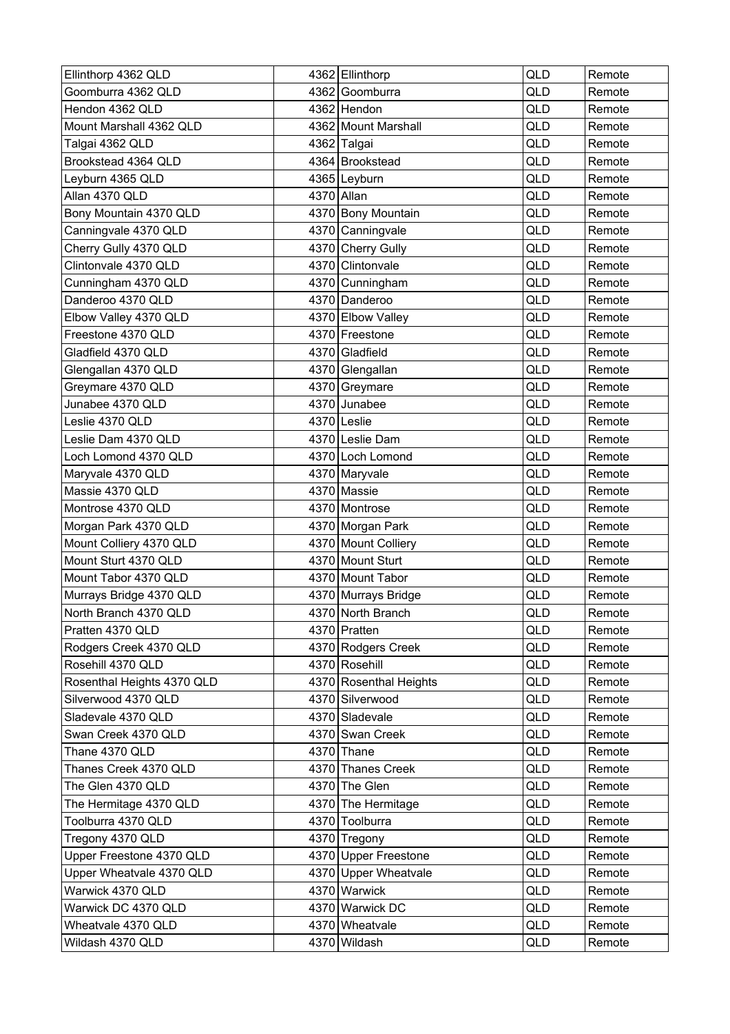| Ellinthorp 4362 QLD        | 4362 Ellinthorp        | <b>QLD</b> | Remote |
|----------------------------|------------------------|------------|--------|
| Goomburra 4362 QLD         | 4362 Goomburra         | QLD        | Remote |
| Hendon 4362 QLD            | 4362 Hendon            | QLD        | Remote |
| Mount Marshall 4362 QLD    | 4362 Mount Marshall    | QLD        | Remote |
| Talgai 4362 QLD            | 4362 Talgai            | QLD        | Remote |
| Brookstead 4364 QLD        | 4364 Brookstead        | QLD        | Remote |
| Leyburn 4365 QLD           | 4365 Leyburn           | <b>QLD</b> | Remote |
| Allan 4370 QLD             | 4370 Allan             | QLD        | Remote |
| Bony Mountain 4370 QLD     | 4370 Bony Mountain     | QLD        | Remote |
| Canningvale 4370 QLD       | 4370 Canningvale       | QLD        | Remote |
| Cherry Gully 4370 QLD      | 4370 Cherry Gully      | QLD        | Remote |
| Clintonvale 4370 QLD       | 4370 Clintonvale       | QLD        | Remote |
| Cunningham 4370 QLD        | 4370 Cunningham        | QLD        | Remote |
| Danderoo 4370 QLD          | 4370 Danderoo          | QLD        | Remote |
| Elbow Valley 4370 QLD      | 4370 Elbow Valley      | QLD        | Remote |
| Freestone 4370 QLD         | 4370 Freestone         | QLD        | Remote |
| Gladfield 4370 QLD         | 4370 Gladfield         | <b>QLD</b> | Remote |
| Glengallan 4370 QLD        | 4370 Glengallan        | QLD        | Remote |
| Greymare 4370 QLD          | 4370 Greymare          | QLD        | Remote |
| Junabee 4370 QLD           | 4370 Junabee           | <b>QLD</b> | Remote |
| Leslie 4370 QLD            | 4370 Leslie            | QLD        | Remote |
| Leslie Dam 4370 QLD        | 4370 Leslie Dam        | QLD        | Remote |
| Loch Lomond 4370 QLD       | 4370 Loch Lomond       | QLD        | Remote |
| Maryvale 4370 QLD          | 4370 Maryvale          | QLD        | Remote |
| Massie 4370 QLD            | 4370 Massie            | QLD        | Remote |
| Montrose 4370 QLD          | 4370 Montrose          | QLD        | Remote |
| Morgan Park 4370 QLD       | 4370 Morgan Park       | QLD        | Remote |
| Mount Colliery 4370 QLD    | 4370 Mount Colliery    | <b>QLD</b> | Remote |
| Mount Sturt 4370 QLD       | 4370 Mount Sturt       | QLD        | Remote |
| Mount Tabor 4370 QLD       | 4370 Mount Tabor       | QLD        | Remote |
| Murrays Bridge 4370 QLD    | 4370 Murrays Bridge    | QLD        | Remote |
| North Branch 4370 QLD      | 4370 North Branch      | QLD        | Remote |
| Pratten 4370 QLD           | 4370 Pratten           | QLD        | Remote |
| Rodgers Creek 4370 QLD     | 4370 Rodgers Creek     | QLD        | Remote |
| Rosehill 4370 QLD          | 4370 Rosehill          | QLD        | Remote |
| Rosenthal Heights 4370 QLD | 4370 Rosenthal Heights | QLD        | Remote |
| Silverwood 4370 QLD        | 4370 Silverwood        | QLD        | Remote |
| Sladevale 4370 QLD         | 4370 Sladevale         | QLD        | Remote |
| Swan Creek 4370 QLD        | 4370 Swan Creek        | QLD        | Remote |
| Thane 4370 QLD             | 4370 Thane             | QLD        | Remote |
| Thanes Creek 4370 QLD      | 4370 Thanes Creek      | QLD        | Remote |
| The Glen 4370 QLD          | 4370 The Glen          | QLD        | Remote |
| The Hermitage 4370 QLD     | 4370 The Hermitage     | QLD        | Remote |
| Toolburra 4370 QLD         | 4370 Toolburra         | QLD        | Remote |
| Tregony 4370 QLD           | 4370 Tregony           | QLD        | Remote |
| Upper Freestone 4370 QLD   | 4370 Upper Freestone   | QLD        | Remote |
| Upper Wheatvale 4370 QLD   | 4370 Upper Wheatvale   | QLD        | Remote |
| Warwick 4370 QLD           | 4370 Warwick           | QLD        | Remote |
| Warwick DC 4370 QLD        | 4370 Warwick DC        | QLD        | Remote |
| Wheatvale 4370 QLD         | 4370 Wheatvale         | QLD        | Remote |
| Wildash 4370 QLD           | 4370 Wildash           | QLD        | Remote |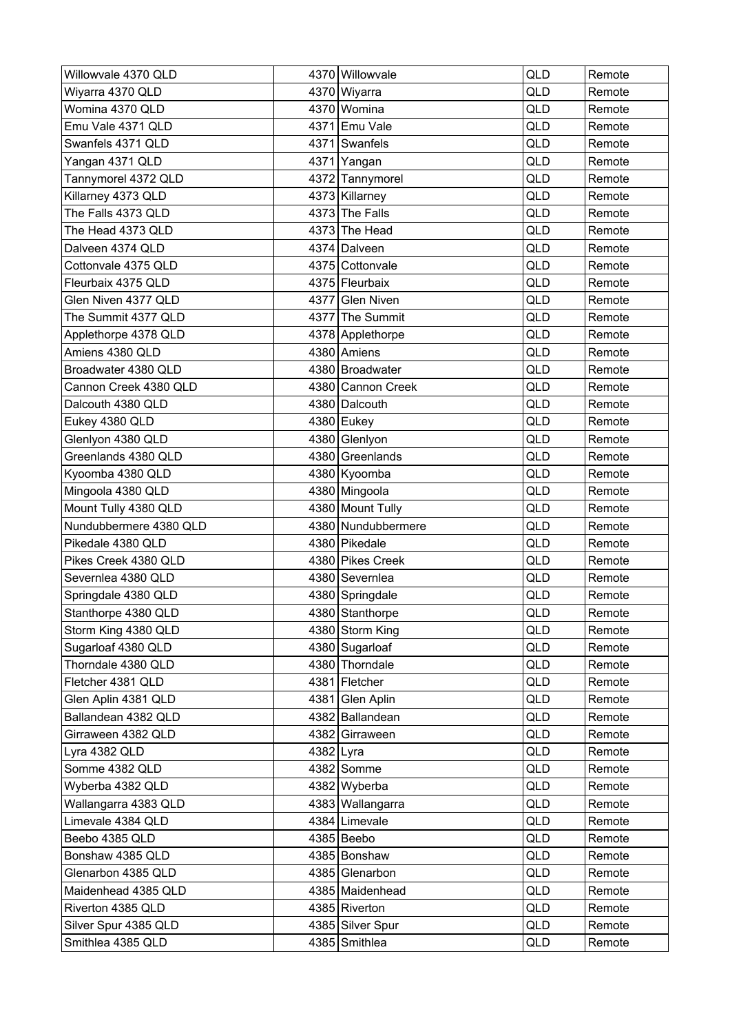| Willowvale 4370 QLD    |           | 4370 Willowvale    | <b>QLD</b> | Remote |
|------------------------|-----------|--------------------|------------|--------|
| Wiyarra 4370 QLD       |           | 4370 Wiyarra       | QLD        | Remote |
| Womina 4370 QLD        |           | 4370 Womina        | QLD        | Remote |
| Emu Vale 4371 QLD      |           | 4371 Emu Vale      | QLD        | Remote |
| Swanfels 4371 QLD      |           | 4371 Swanfels      | QLD        | Remote |
| Yangan 4371 QLD        |           | 4371 Yangan        | QLD        | Remote |
| Tannymorel 4372 QLD    |           | 4372 Tannymorel    | QLD        | Remote |
| Killarney 4373 QLD     |           | 4373 Killarney     | QLD        | Remote |
| The Falls 4373 QLD     |           | 4373 The Falls     | QLD        | Remote |
| The Head 4373 QLD      |           | 4373 The Head      | QLD        | Remote |
| Dalveen 4374 QLD       |           | 4374 Dalveen       | QLD        | Remote |
| Cottonvale 4375 QLD    |           | 4375 Cottonvale    | QLD        | Remote |
| Fleurbaix 4375 QLD     |           | 4375 Fleurbaix     | QLD        | Remote |
| Glen Niven 4377 QLD    |           | 4377 Glen Niven    | <b>QLD</b> | Remote |
| The Summit 4377 QLD    |           | 4377 The Summit    | QLD        | Remote |
| Applethorpe 4378 QLD   |           | 4378 Applethorpe   | QLD        | Remote |
| Amiens 4380 QLD        |           | 4380 Amiens        | QLD        | Remote |
| Broadwater 4380 QLD    |           | 4380 Broadwater    | QLD        | Remote |
| Cannon Creek 4380 QLD  |           | 4380 Cannon Creek  | QLD        | Remote |
| Dalcouth 4380 QLD      |           | 4380 Dalcouth      | QLD        | Remote |
| Eukey 4380 QLD         |           | 4380 Eukey         | QLD        | Remote |
| Glenlyon 4380 QLD      |           | 4380 Glenlyon      | QLD        | Remote |
| Greenlands 4380 QLD    |           | 4380 Greenlands    | QLD        | Remote |
| Kyoomba 4380 QLD       |           | 4380 Kyoomba       | QLD        | Remote |
| Mingoola 4380 QLD      |           | 4380 Mingoola      | QLD        | Remote |
| Mount Tully 4380 QLD   |           | 4380 Mount Tully   | QLD        | Remote |
| Nundubbermere 4380 QLD |           | 4380 Nundubbermere | QLD        | Remote |
| Pikedale 4380 QLD      |           | 4380 Pikedale      | <b>QLD</b> | Remote |
| Pikes Creek 4380 QLD   |           | 4380 Pikes Creek   | QLD        | Remote |
| Severnlea 4380 QLD     |           | 4380 Severnlea     | QLD        | Remote |
| Springdale 4380 QLD    |           | 4380 Springdale    | QLD        | Remote |
| Stanthorpe 4380 QLD    |           | 4380 Stanthorpe    | <b>QLD</b> | Remote |
| Storm King 4380 QLD    |           | 4380 Storm King    | QLD        | Remote |
| Sugarloaf 4380 QLD     |           | 4380 Sugarloaf     | QLD        | Remote |
| Thorndale 4380 QLD     |           | 4380 Thorndale     | QLD        | Remote |
| Fletcher 4381 QLD      |           | 4381 Fletcher      | QLD        | Remote |
| Glen Aplin 4381 QLD    |           | 4381 Glen Aplin    | QLD        | Remote |
| Ballandean 4382 QLD    |           | 4382 Ballandean    | QLD        | Remote |
| Girraween 4382 QLD     |           | 4382 Girraween     | QLD        | Remote |
| Lyra 4382 QLD          | 4382 Lyra |                    | QLD        | Remote |
| Somme 4382 QLD         |           | $4382$ Somme       | QLD        | Remote |
| Wyberba 4382 QLD       |           | 4382 Wyberba       | QLD        | Remote |
| Wallangarra 4383 QLD   |           | 4383 Wallangarra   | QLD        | Remote |
| Limevale 4384 QLD      |           | 4384 Limevale      | QLD        | Remote |
| Beebo 4385 QLD         |           | 4385 Beebo         | QLD        | Remote |
| Bonshaw 4385 QLD       |           | 4385 Bonshaw       | QLD        | Remote |
| Glenarbon 4385 QLD     |           | 4385 Glenarbon     | QLD        | Remote |
| Maidenhead 4385 QLD    |           | 4385 Maidenhead    | QLD        | Remote |
| Riverton 4385 QLD      |           | 4385 Riverton      | QLD        | Remote |
| Silver Spur 4385 QLD   |           | 4385 Silver Spur   | QLD        | Remote |
| Smithlea 4385 QLD      |           | 4385 Smithlea      | QLD        | Remote |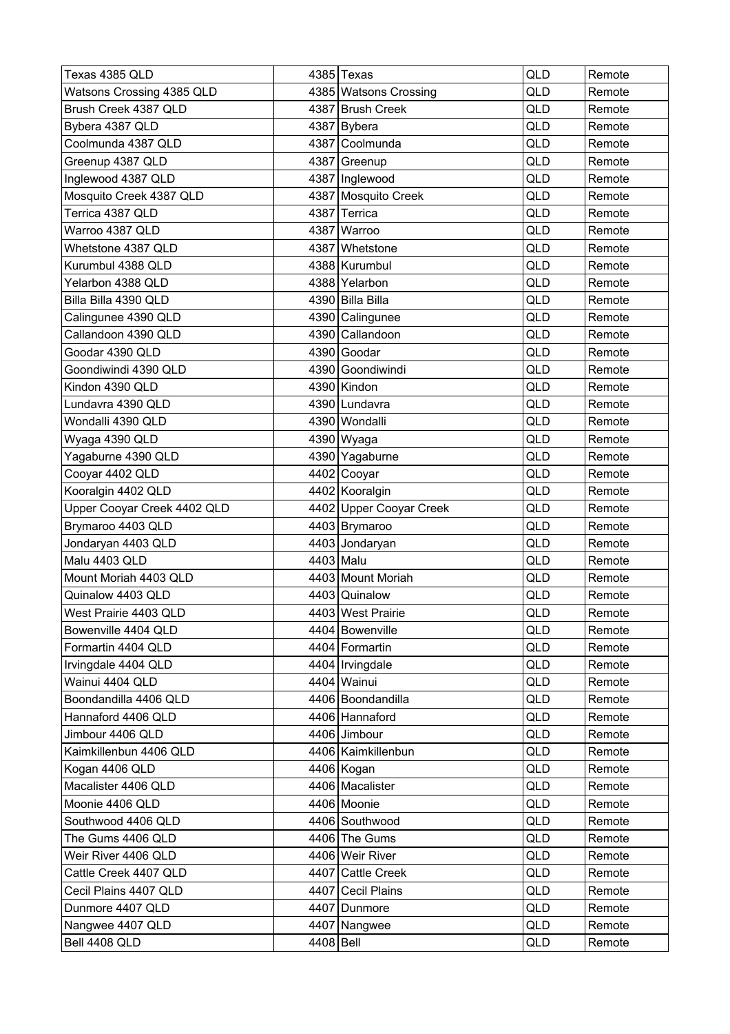| Texas 4385 QLD              |           | 4385 Texas              | QLD | Remote |
|-----------------------------|-----------|-------------------------|-----|--------|
| Watsons Crossing 4385 QLD   |           | 4385 Watsons Crossing   | QLD | Remote |
| Brush Creek 4387 QLD        |           | 4387 Brush Creek        | QLD | Remote |
| Bybera 4387 QLD             |           | 4387 Bybera             | QLD | Remote |
| Coolmunda 4387 QLD          |           | 4387 Coolmunda          | QLD | Remote |
| Greenup 4387 QLD            |           | 4387 Greenup            | QLD | Remote |
| Inglewood 4387 QLD          |           | 4387   Inglewood        | QLD | Remote |
| Mosquito Creek 4387 QLD     |           | 4387 Mosquito Creek     | QLD | Remote |
| Terrica 4387 QLD            |           | 4387 Terrica            | QLD | Remote |
| Warroo 4387 QLD             |           | 4387 Warroo             | QLD | Remote |
| Whetstone 4387 QLD          |           | 4387 Whetstone          | QLD | Remote |
| Kurumbul 4388 QLD           |           | 4388 Kurumbul           | QLD | Remote |
| Yelarbon 4388 QLD           |           | 4388 Yelarbon           | QLD | Remote |
| Billa Billa 4390 QLD        |           | 4390 Billa Billa        | QLD | Remote |
| Calingunee 4390 QLD         |           | 4390 Calingunee         | QLD | Remote |
| Callandoon 4390 QLD         |           | 4390 Callandoon         | QLD | Remote |
| Goodar 4390 QLD             |           | 4390 Goodar             | QLD | Remote |
| Goondiwindi 4390 QLD        |           | 4390 Goondiwindi        | QLD | Remote |
| Kindon 4390 QLD             |           | 4390 Kindon             | QLD | Remote |
| Lundavra 4390 QLD           |           | 4390 Lundavra           | QLD | Remote |
| Wondalli 4390 QLD           |           | 4390 Wondalli           | QLD | Remote |
| Wyaga 4390 QLD              |           | 4390 Wyaga              | QLD | Remote |
| Yagaburne 4390 QLD          |           | 4390 Yagaburne          | QLD | Remote |
| Cooyar 4402 QLD             |           | 4402 Cooyar             | QLD | Remote |
| Kooralgin 4402 QLD          |           | 4402 Kooralgin          | QLD | Remote |
| Upper Cooyar Creek 4402 QLD |           | 4402 Upper Cooyar Creek | QLD | Remote |
| Brymaroo 4403 QLD           |           | 4403 Brymaroo           | QLD | Remote |
| Jondaryan 4403 QLD          |           | 4403 Jondaryan          | QLD | Remote |
| Malu 4403 QLD               |           | 4403 Malu               | QLD | Remote |
| Mount Moriah 4403 QLD       |           | 4403 Mount Moriah       | QLD | Remote |
| Quinalow 4403 QLD           |           | 4403 Quinalow           | QLD | Remote |
| West Prairie 4403 QLD       |           | 4403 West Prairie       | QLD | Remote |
| Bowenville 4404 QLD         |           | 4404 Bowenville         | QLD | Remote |
| Formartin 4404 QLD          |           | 4404 Formartin          | QLD | Remote |
| Irvingdale 4404 QLD         |           | 4404   Irvingdale       | QLD | Remote |
| Wainui 4404 QLD             |           | 4404 Wainui             | QLD | Remote |
| Boondandilla 4406 QLD       |           | 4406 Boondandilla       | QLD | Remote |
| Hannaford 4406 QLD          |           | 4406 Hannaford          | QLD | Remote |
| Jimbour 4406 QLD            |           | 4406 Jimbour            | QLD | Remote |
| Kaimkillenbun 4406 QLD      |           | 4406 Kaimkillenbun      | QLD | Remote |
| Kogan 4406 QLD              |           | 4406 Kogan              | QLD | Remote |
| Macalister 4406 QLD         |           | 4406 Macalister         | QLD | Remote |
| Moonie 4406 QLD             |           | 4406 Moonie             | QLD | Remote |
| Southwood 4406 QLD          |           | 4406 Southwood          | QLD | Remote |
| The Gums 4406 QLD           |           | 4406 The Gums           | QLD | Remote |
| Weir River 4406 QLD         |           | 4406 Weir River         | QLD | Remote |
| Cattle Creek 4407 QLD       |           | 4407 Cattle Creek       | QLD | Remote |
| Cecil Plains 4407 QLD       |           | 4407 Cecil Plains       | QLD | Remote |
| Dunmore 4407 QLD            |           | 4407 Dunmore            | QLD | Remote |
| Nangwee 4407 QLD            |           | 4407 Nangwee            | QLD | Remote |
| Bell 4408 QLD               | 4408 Bell |                         | QLD | Remote |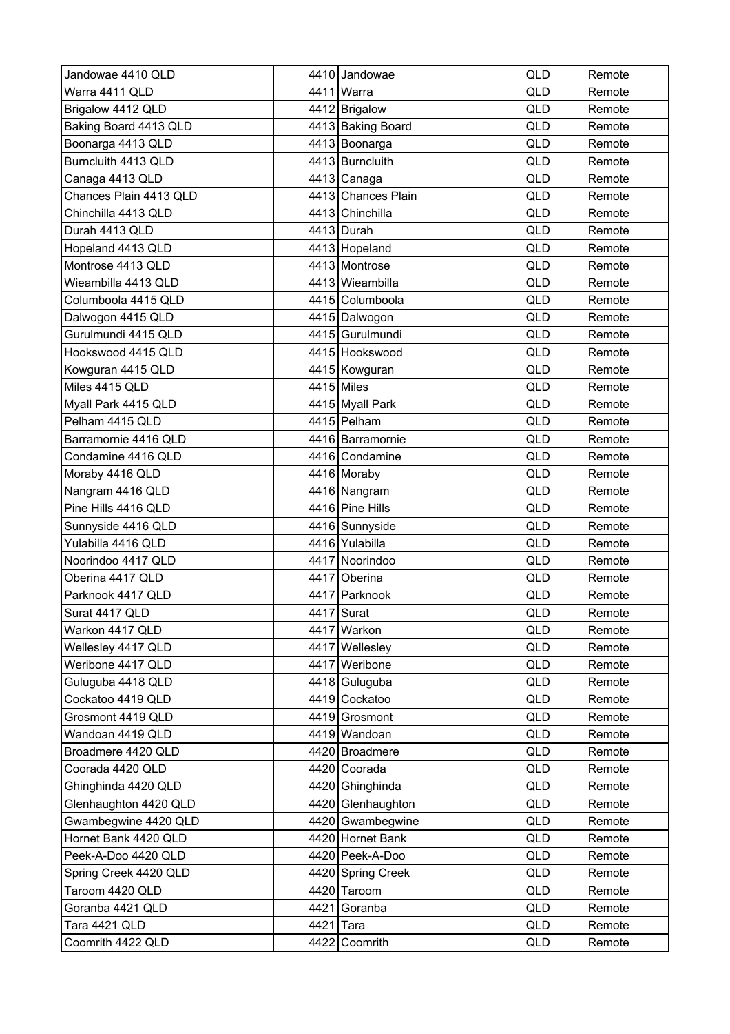| Jandowae 4410 QLD      |           | 4410 Jandowae      | <b>QLD</b> | Remote |
|------------------------|-----------|--------------------|------------|--------|
| Warra 4411 QLD         |           | 4411 Warra         | <b>QLD</b> | Remote |
| Brigalow 4412 QLD      |           | 4412 Brigalow      | QLD        | Remote |
| Baking Board 4413 QLD  |           | 4413 Baking Board  | QLD        | Remote |
| Boonarga 4413 QLD      |           | 4413 Boonarga      | QLD        | Remote |
| Burncluith 4413 QLD    |           | 4413 Burncluith    | QLD        | Remote |
| Canaga 4413 QLD        |           | 4413 Canaga        | QLD        | Remote |
| Chances Plain 4413 QLD |           | 4413 Chances Plain | QLD        | Remote |
| Chinchilla 4413 QLD    |           | 4413 Chinchilla    | QLD        | Remote |
| Durah 4413 QLD         |           | 4413 Durah         | QLD        | Remote |
| Hopeland 4413 QLD      |           | 4413 Hopeland      | QLD        | Remote |
| Montrose 4413 QLD      |           | 4413 Montrose      | QLD        | Remote |
| Wieambilla 4413 QLD    |           | 4413 Wieambilla    | QLD        | Remote |
| Columboola 4415 QLD    |           | 4415 Columboola    | QLD        | Remote |
| Dalwogon 4415 QLD      |           | 4415 Dalwogon      | QLD        | Remote |
| Gurulmundi 4415 QLD    |           | 4415 Gurulmundi    | QLD        | Remote |
| Hookswood 4415 QLD     |           | 4415 Hookswood     | QLD        | Remote |
| Kowguran 4415 QLD      |           | 4415 Kowguran      | <b>QLD</b> | Remote |
| Miles 4415 QLD         |           | 4415 Miles         | QLD        | Remote |
| Myall Park 4415 QLD    |           | 4415 Myall Park    | QLD        | Remote |
| Pelham 4415 QLD        |           | 4415 Pelham        | QLD        | Remote |
| Barramornie 4416 QLD   |           | 4416 Barramornie   | QLD        | Remote |
| Condamine 4416 QLD     |           | 4416 Condamine     | QLD        | Remote |
| Moraby 4416 QLD        |           | 4416 Moraby        | QLD        | Remote |
| Nangram 4416 QLD       |           | 4416 Nangram       | QLD        | Remote |
| Pine Hills 4416 QLD    |           | 4416 Pine Hills    | QLD        | Remote |
| Sunnyside 4416 QLD     |           | 4416 Sunnyside     | QLD        | Remote |
| Yulabilla 4416 QLD     |           | 4416 Yulabilla     | <b>QLD</b> | Remote |
| Noorindoo 4417 QLD     |           | 4417 Noorindoo     | QLD        | Remote |
| Oberina 4417 QLD       |           | 4417 Oberina       | QLD        | Remote |
| Parknook 4417 QLD      |           | 4417 Parknook      | QLD        | Remote |
| Surat 4417 QLD         |           | 4417 Surat         | QLD        | Remote |
| Warkon 4417 QLD        |           | 4417 Warkon        | QLD        | Remote |
| Wellesley 4417 QLD     |           | 4417 Wellesley     | QLD        | Remote |
| Weribone 4417 QLD      |           | 4417 Weribone      | QLD        | Remote |
| Guluguba 4418 QLD      |           | 4418 Guluguba      | QLD        | Remote |
| Cockatoo 4419 QLD      |           | 4419 Cockatoo      | QLD        | Remote |
| Grosmont 4419 QLD      |           | 4419 Grosmont      | QLD        | Remote |
| Wandoan 4419 QLD       |           | 4419 Wandoan       | QLD        | Remote |
| Broadmere 4420 QLD     |           | 4420 Broadmere     | QLD        | Remote |
| Coorada 4420 QLD       |           | 4420 Coorada       | QLD        | Remote |
| Ghinghinda 4420 QLD    |           | 4420 Ghinghinda    | QLD        | Remote |
| Glenhaughton 4420 QLD  |           | 4420 Glenhaughton  | QLD        | Remote |
| Gwambegwine 4420 QLD   |           | 4420 Gwambegwine   | QLD        | Remote |
| Hornet Bank 4420 QLD   |           | 4420 Hornet Bank   | QLD        | Remote |
| Peek-A-Doo 4420 QLD    |           | 4420 Peek-A-Doo    | QLD        | Remote |
| Spring Creek 4420 QLD  |           | 4420 Spring Creek  | QLD        | Remote |
| Taroom 4420 QLD        |           | 4420 Taroom        | QLD        | Remote |
| Goranba 4421 QLD       |           | 4421 Goranba       | QLD        | Remote |
| Tara 4421 QLD          | 4421 Tara |                    | QLD        | Remote |
| Coomrith 4422 QLD      |           | 4422 Coomrith      | QLD        | Remote |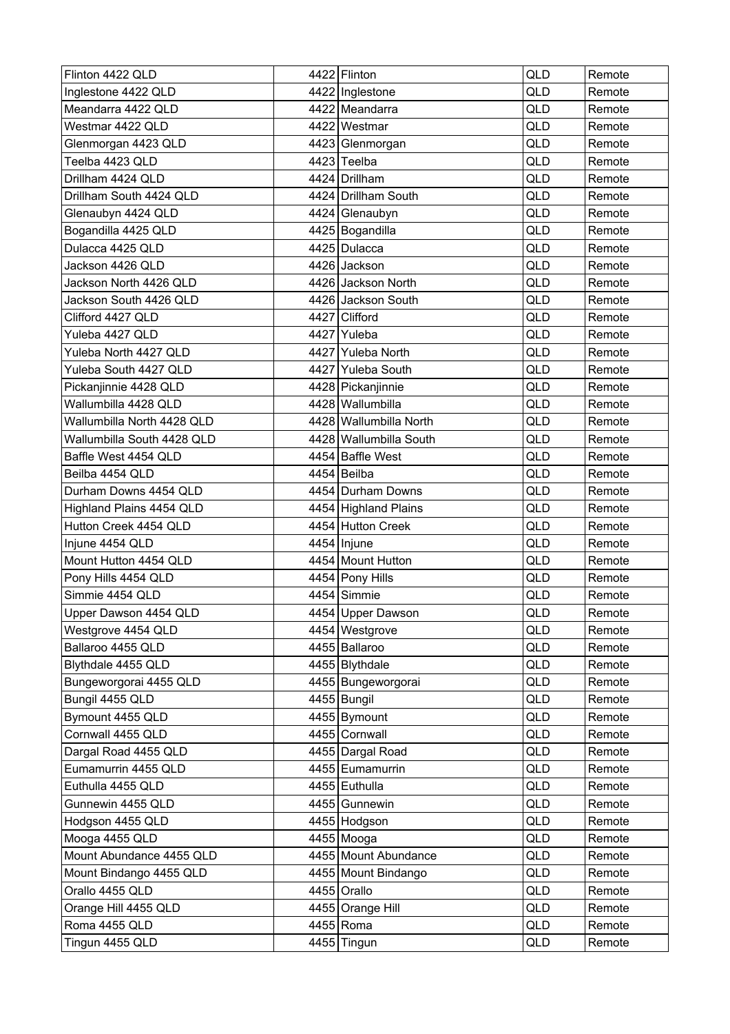| QLD<br>Inglestone 4422 QLD<br>4422   Inglestone<br>Remote<br>4422 Meandarra<br>QLD<br>Meandarra 4422 QLD<br>Remote<br>Westmar 4422 QLD<br>4422 Westmar<br>QLD<br>Remote<br>Glenmorgan 4423 QLD<br>QLD<br>4423 Glenmorgan<br>Remote<br>Teelba 4423 QLD<br>4423 Teelba<br>QLD<br>Remote<br><b>QLD</b><br>Drillham 4424 QLD<br>4424 Drillham<br>Remote<br>Drillham South 4424 QLD<br>4424 Drillham South<br>QLD<br>Remote<br>QLD<br>Glenaubyn 4424 QLD<br>4424 Glenaubyn<br>Remote<br>Bogandilla 4425 QLD<br>4425 Bogandilla<br>QLD<br>Remote<br>Dulacca 4425 QLD<br>4425 Dulacca<br>QLD<br>Remote<br>Jackson 4426 QLD<br>4426 Jackson<br>QLD<br>Remote<br>QLD<br>Jackson North 4426 QLD<br>4426 Jackson North<br>Remote<br><b>QLD</b><br>Jackson South 4426 QLD<br>4426 Jackson South<br>Remote<br>Clifford 4427 QLD<br>4427 Clifford<br>QLD<br>Remote<br>Yuleba 4427 QLD<br>4427 Yuleba<br>QLD<br>Remote<br><b>QLD</b><br>Yuleba North 4427 QLD<br>4427 Yuleba North<br>Remote<br>QLD<br>Yuleba South 4427 QLD<br>4427 Yuleba South<br>Remote<br>Pickanjinnie 4428 QLD<br>4428 Pickanjinnie<br>QLD<br>Remote<br>Wallumbilla 4428 QLD<br>4428 Wallumbilla<br><b>QLD</b><br>Remote<br>Wallumbilla North 4428 QLD<br>4428 Wallumbilla North<br>QLD<br>Remote<br>Wallumbilla South 4428 QLD<br>4428 Wallumbilla South<br>QLD<br>Remote<br>QLD<br>4454 Baffle West<br>Baffle West 4454 QLD<br>Remote<br>Beilba 4454 QLD<br>4454 Beilba<br>QLD<br>Remote<br>4454 Durham Downs<br><b>QLD</b><br>Durham Downs 4454 QLD<br>Remote<br>Highland Plains 4454 QLD<br>4454 Highland Plains<br>QLD<br>Remote<br>Hutton Creek 4454 QLD<br>QLD<br>4454 Hutton Creek<br>Remote<br><b>QLD</b><br>Injune 4454 QLD<br>4454   Injune<br>Remote<br>4454 Mount Hutton<br>Mount Hutton 4454 QLD<br>QLD<br>Remote<br>QLD<br>Pony Hills 4454 QLD<br>4454 Pony Hills<br>Remote<br>Simmie 4454 QLD<br>4454 Simmie<br>QLD<br>Remote<br>4454 Upper Dawson<br>QLD<br>Upper Dawson 4454 QLD<br>Remote<br>Westgrove 4454 QLD<br>QLD<br>4454   Westgrove<br>Remote<br>4455 Ballaroo<br>QLD<br>Ballaroo 4455 QLD<br>Remote<br>4455 Blythdale<br>Blythdale 4455 QLD<br>QLD<br>Remote<br>Bungeworgorai 4455 QLD<br>4455 Bungeworgorai<br>QLD<br>Remote<br>QLD<br>Bungil 4455 QLD<br>4455 Bungil<br>Remote<br>QLD<br>Bymount 4455 QLD<br>4455 Bymount<br>Remote<br>Cornwall 4455 QLD<br>4455 Cornwall<br>QLD<br>Remote<br>Dargal Road 4455 QLD<br>4455 Dargal Road<br>QLD<br>Remote<br>Eumamurrin 4455 QLD<br>QLD<br>4455 Eumamurrin<br>Remote<br>QLD<br>Euthulla 4455 QLD<br>4455 Euthulla<br>Remote<br>Gunnewin 4455 QLD<br>4455 Gunnewin<br>QLD<br>Remote<br>Hodgson 4455 QLD<br>QLD<br>4455 Hodgson<br>Remote<br>QLD<br>Mooga 4455 QLD<br>4455 Mooga<br>Remote<br>Mount Abundance 4455 QLD<br>4455 Mount Abundance<br>QLD<br>Remote<br>Mount Bindango 4455 QLD<br>4455 Mount Bindango<br>QLD<br>Remote<br>Orallo 4455 QLD<br>4455 Orallo<br>QLD<br>Remote<br>QLD<br>Orange Hill 4455 QLD<br>4455 Orange Hill<br>Remote<br>Roma 4455 QLD<br>4455 Roma<br>QLD<br>Remote<br>Tingun 4455 QLD<br>QLD<br>4455 Tingun<br>Remote | Flinton 4422 QLD | 4422 Flinton | <b>QLD</b> | Remote |
|--------------------------------------------------------------------------------------------------------------------------------------------------------------------------------------------------------------------------------------------------------------------------------------------------------------------------------------------------------------------------------------------------------------------------------------------------------------------------------------------------------------------------------------------------------------------------------------------------------------------------------------------------------------------------------------------------------------------------------------------------------------------------------------------------------------------------------------------------------------------------------------------------------------------------------------------------------------------------------------------------------------------------------------------------------------------------------------------------------------------------------------------------------------------------------------------------------------------------------------------------------------------------------------------------------------------------------------------------------------------------------------------------------------------------------------------------------------------------------------------------------------------------------------------------------------------------------------------------------------------------------------------------------------------------------------------------------------------------------------------------------------------------------------------------------------------------------------------------------------------------------------------------------------------------------------------------------------------------------------------------------------------------------------------------------------------------------------------------------------------------------------------------------------------------------------------------------------------------------------------------------------------------------------------------------------------------------------------------------------------------------------------------------------------------------------------------------------------------------------------------------------------------------------------------------------------------------------------------------------------------------------------------------------------------------------------------------------------------------------------------------------------------------------------------------------------------------------------------------------------------------------------------------------------------------------------------------------------------------------------------------------------------------------------------------------------------------------|------------------|--------------|------------|--------|
|                                                                                                                                                                                                                                                                                                                                                                                                                                                                                                                                                                                                                                                                                                                                                                                                                                                                                                                                                                                                                                                                                                                                                                                                                                                                                                                                                                                                                                                                                                                                                                                                                                                                                                                                                                                                                                                                                                                                                                                                                                                                                                                                                                                                                                                                                                                                                                                                                                                                                                                                                                                                                                                                                                                                                                                                                                                                                                                                                                                                                                                                                      |                  |              |            |        |
|                                                                                                                                                                                                                                                                                                                                                                                                                                                                                                                                                                                                                                                                                                                                                                                                                                                                                                                                                                                                                                                                                                                                                                                                                                                                                                                                                                                                                                                                                                                                                                                                                                                                                                                                                                                                                                                                                                                                                                                                                                                                                                                                                                                                                                                                                                                                                                                                                                                                                                                                                                                                                                                                                                                                                                                                                                                                                                                                                                                                                                                                                      |                  |              |            |        |
|                                                                                                                                                                                                                                                                                                                                                                                                                                                                                                                                                                                                                                                                                                                                                                                                                                                                                                                                                                                                                                                                                                                                                                                                                                                                                                                                                                                                                                                                                                                                                                                                                                                                                                                                                                                                                                                                                                                                                                                                                                                                                                                                                                                                                                                                                                                                                                                                                                                                                                                                                                                                                                                                                                                                                                                                                                                                                                                                                                                                                                                                                      |                  |              |            |        |
|                                                                                                                                                                                                                                                                                                                                                                                                                                                                                                                                                                                                                                                                                                                                                                                                                                                                                                                                                                                                                                                                                                                                                                                                                                                                                                                                                                                                                                                                                                                                                                                                                                                                                                                                                                                                                                                                                                                                                                                                                                                                                                                                                                                                                                                                                                                                                                                                                                                                                                                                                                                                                                                                                                                                                                                                                                                                                                                                                                                                                                                                                      |                  |              |            |        |
|                                                                                                                                                                                                                                                                                                                                                                                                                                                                                                                                                                                                                                                                                                                                                                                                                                                                                                                                                                                                                                                                                                                                                                                                                                                                                                                                                                                                                                                                                                                                                                                                                                                                                                                                                                                                                                                                                                                                                                                                                                                                                                                                                                                                                                                                                                                                                                                                                                                                                                                                                                                                                                                                                                                                                                                                                                                                                                                                                                                                                                                                                      |                  |              |            |        |
|                                                                                                                                                                                                                                                                                                                                                                                                                                                                                                                                                                                                                                                                                                                                                                                                                                                                                                                                                                                                                                                                                                                                                                                                                                                                                                                                                                                                                                                                                                                                                                                                                                                                                                                                                                                                                                                                                                                                                                                                                                                                                                                                                                                                                                                                                                                                                                                                                                                                                                                                                                                                                                                                                                                                                                                                                                                                                                                                                                                                                                                                                      |                  |              |            |        |
|                                                                                                                                                                                                                                                                                                                                                                                                                                                                                                                                                                                                                                                                                                                                                                                                                                                                                                                                                                                                                                                                                                                                                                                                                                                                                                                                                                                                                                                                                                                                                                                                                                                                                                                                                                                                                                                                                                                                                                                                                                                                                                                                                                                                                                                                                                                                                                                                                                                                                                                                                                                                                                                                                                                                                                                                                                                                                                                                                                                                                                                                                      |                  |              |            |        |
|                                                                                                                                                                                                                                                                                                                                                                                                                                                                                                                                                                                                                                                                                                                                                                                                                                                                                                                                                                                                                                                                                                                                                                                                                                                                                                                                                                                                                                                                                                                                                                                                                                                                                                                                                                                                                                                                                                                                                                                                                                                                                                                                                                                                                                                                                                                                                                                                                                                                                                                                                                                                                                                                                                                                                                                                                                                                                                                                                                                                                                                                                      |                  |              |            |        |
|                                                                                                                                                                                                                                                                                                                                                                                                                                                                                                                                                                                                                                                                                                                                                                                                                                                                                                                                                                                                                                                                                                                                                                                                                                                                                                                                                                                                                                                                                                                                                                                                                                                                                                                                                                                                                                                                                                                                                                                                                                                                                                                                                                                                                                                                                                                                                                                                                                                                                                                                                                                                                                                                                                                                                                                                                                                                                                                                                                                                                                                                                      |                  |              |            |        |
|                                                                                                                                                                                                                                                                                                                                                                                                                                                                                                                                                                                                                                                                                                                                                                                                                                                                                                                                                                                                                                                                                                                                                                                                                                                                                                                                                                                                                                                                                                                                                                                                                                                                                                                                                                                                                                                                                                                                                                                                                                                                                                                                                                                                                                                                                                                                                                                                                                                                                                                                                                                                                                                                                                                                                                                                                                                                                                                                                                                                                                                                                      |                  |              |            |        |
|                                                                                                                                                                                                                                                                                                                                                                                                                                                                                                                                                                                                                                                                                                                                                                                                                                                                                                                                                                                                                                                                                                                                                                                                                                                                                                                                                                                                                                                                                                                                                                                                                                                                                                                                                                                                                                                                                                                                                                                                                                                                                                                                                                                                                                                                                                                                                                                                                                                                                                                                                                                                                                                                                                                                                                                                                                                                                                                                                                                                                                                                                      |                  |              |            |        |
|                                                                                                                                                                                                                                                                                                                                                                                                                                                                                                                                                                                                                                                                                                                                                                                                                                                                                                                                                                                                                                                                                                                                                                                                                                                                                                                                                                                                                                                                                                                                                                                                                                                                                                                                                                                                                                                                                                                                                                                                                                                                                                                                                                                                                                                                                                                                                                                                                                                                                                                                                                                                                                                                                                                                                                                                                                                                                                                                                                                                                                                                                      |                  |              |            |        |
|                                                                                                                                                                                                                                                                                                                                                                                                                                                                                                                                                                                                                                                                                                                                                                                                                                                                                                                                                                                                                                                                                                                                                                                                                                                                                                                                                                                                                                                                                                                                                                                                                                                                                                                                                                                                                                                                                                                                                                                                                                                                                                                                                                                                                                                                                                                                                                                                                                                                                                                                                                                                                                                                                                                                                                                                                                                                                                                                                                                                                                                                                      |                  |              |            |        |
|                                                                                                                                                                                                                                                                                                                                                                                                                                                                                                                                                                                                                                                                                                                                                                                                                                                                                                                                                                                                                                                                                                                                                                                                                                                                                                                                                                                                                                                                                                                                                                                                                                                                                                                                                                                                                                                                                                                                                                                                                                                                                                                                                                                                                                                                                                                                                                                                                                                                                                                                                                                                                                                                                                                                                                                                                                                                                                                                                                                                                                                                                      |                  |              |            |        |
|                                                                                                                                                                                                                                                                                                                                                                                                                                                                                                                                                                                                                                                                                                                                                                                                                                                                                                                                                                                                                                                                                                                                                                                                                                                                                                                                                                                                                                                                                                                                                                                                                                                                                                                                                                                                                                                                                                                                                                                                                                                                                                                                                                                                                                                                                                                                                                                                                                                                                                                                                                                                                                                                                                                                                                                                                                                                                                                                                                                                                                                                                      |                  |              |            |        |
|                                                                                                                                                                                                                                                                                                                                                                                                                                                                                                                                                                                                                                                                                                                                                                                                                                                                                                                                                                                                                                                                                                                                                                                                                                                                                                                                                                                                                                                                                                                                                                                                                                                                                                                                                                                                                                                                                                                                                                                                                                                                                                                                                                                                                                                                                                                                                                                                                                                                                                                                                                                                                                                                                                                                                                                                                                                                                                                                                                                                                                                                                      |                  |              |            |        |
|                                                                                                                                                                                                                                                                                                                                                                                                                                                                                                                                                                                                                                                                                                                                                                                                                                                                                                                                                                                                                                                                                                                                                                                                                                                                                                                                                                                                                                                                                                                                                                                                                                                                                                                                                                                                                                                                                                                                                                                                                                                                                                                                                                                                                                                                                                                                                                                                                                                                                                                                                                                                                                                                                                                                                                                                                                                                                                                                                                                                                                                                                      |                  |              |            |        |
|                                                                                                                                                                                                                                                                                                                                                                                                                                                                                                                                                                                                                                                                                                                                                                                                                                                                                                                                                                                                                                                                                                                                                                                                                                                                                                                                                                                                                                                                                                                                                                                                                                                                                                                                                                                                                                                                                                                                                                                                                                                                                                                                                                                                                                                                                                                                                                                                                                                                                                                                                                                                                                                                                                                                                                                                                                                                                                                                                                                                                                                                                      |                  |              |            |        |
|                                                                                                                                                                                                                                                                                                                                                                                                                                                                                                                                                                                                                                                                                                                                                                                                                                                                                                                                                                                                                                                                                                                                                                                                                                                                                                                                                                                                                                                                                                                                                                                                                                                                                                                                                                                                                                                                                                                                                                                                                                                                                                                                                                                                                                                                                                                                                                                                                                                                                                                                                                                                                                                                                                                                                                                                                                                                                                                                                                                                                                                                                      |                  |              |            |        |
|                                                                                                                                                                                                                                                                                                                                                                                                                                                                                                                                                                                                                                                                                                                                                                                                                                                                                                                                                                                                                                                                                                                                                                                                                                                                                                                                                                                                                                                                                                                                                                                                                                                                                                                                                                                                                                                                                                                                                                                                                                                                                                                                                                                                                                                                                                                                                                                                                                                                                                                                                                                                                                                                                                                                                                                                                                                                                                                                                                                                                                                                                      |                  |              |            |        |
|                                                                                                                                                                                                                                                                                                                                                                                                                                                                                                                                                                                                                                                                                                                                                                                                                                                                                                                                                                                                                                                                                                                                                                                                                                                                                                                                                                                                                                                                                                                                                                                                                                                                                                                                                                                                                                                                                                                                                                                                                                                                                                                                                                                                                                                                                                                                                                                                                                                                                                                                                                                                                                                                                                                                                                                                                                                                                                                                                                                                                                                                                      |                  |              |            |        |
|                                                                                                                                                                                                                                                                                                                                                                                                                                                                                                                                                                                                                                                                                                                                                                                                                                                                                                                                                                                                                                                                                                                                                                                                                                                                                                                                                                                                                                                                                                                                                                                                                                                                                                                                                                                                                                                                                                                                                                                                                                                                                                                                                                                                                                                                                                                                                                                                                                                                                                                                                                                                                                                                                                                                                                                                                                                                                                                                                                                                                                                                                      |                  |              |            |        |
|                                                                                                                                                                                                                                                                                                                                                                                                                                                                                                                                                                                                                                                                                                                                                                                                                                                                                                                                                                                                                                                                                                                                                                                                                                                                                                                                                                                                                                                                                                                                                                                                                                                                                                                                                                                                                                                                                                                                                                                                                                                                                                                                                                                                                                                                                                                                                                                                                                                                                                                                                                                                                                                                                                                                                                                                                                                                                                                                                                                                                                                                                      |                  |              |            |        |
|                                                                                                                                                                                                                                                                                                                                                                                                                                                                                                                                                                                                                                                                                                                                                                                                                                                                                                                                                                                                                                                                                                                                                                                                                                                                                                                                                                                                                                                                                                                                                                                                                                                                                                                                                                                                                                                                                                                                                                                                                                                                                                                                                                                                                                                                                                                                                                                                                                                                                                                                                                                                                                                                                                                                                                                                                                                                                                                                                                                                                                                                                      |                  |              |            |        |
|                                                                                                                                                                                                                                                                                                                                                                                                                                                                                                                                                                                                                                                                                                                                                                                                                                                                                                                                                                                                                                                                                                                                                                                                                                                                                                                                                                                                                                                                                                                                                                                                                                                                                                                                                                                                                                                                                                                                                                                                                                                                                                                                                                                                                                                                                                                                                                                                                                                                                                                                                                                                                                                                                                                                                                                                                                                                                                                                                                                                                                                                                      |                  |              |            |        |
|                                                                                                                                                                                                                                                                                                                                                                                                                                                                                                                                                                                                                                                                                                                                                                                                                                                                                                                                                                                                                                                                                                                                                                                                                                                                                                                                                                                                                                                                                                                                                                                                                                                                                                                                                                                                                                                                                                                                                                                                                                                                                                                                                                                                                                                                                                                                                                                                                                                                                                                                                                                                                                                                                                                                                                                                                                                                                                                                                                                                                                                                                      |                  |              |            |        |
|                                                                                                                                                                                                                                                                                                                                                                                                                                                                                                                                                                                                                                                                                                                                                                                                                                                                                                                                                                                                                                                                                                                                                                                                                                                                                                                                                                                                                                                                                                                                                                                                                                                                                                                                                                                                                                                                                                                                                                                                                                                                                                                                                                                                                                                                                                                                                                                                                                                                                                                                                                                                                                                                                                                                                                                                                                                                                                                                                                                                                                                                                      |                  |              |            |        |
|                                                                                                                                                                                                                                                                                                                                                                                                                                                                                                                                                                                                                                                                                                                                                                                                                                                                                                                                                                                                                                                                                                                                                                                                                                                                                                                                                                                                                                                                                                                                                                                                                                                                                                                                                                                                                                                                                                                                                                                                                                                                                                                                                                                                                                                                                                                                                                                                                                                                                                                                                                                                                                                                                                                                                                                                                                                                                                                                                                                                                                                                                      |                  |              |            |        |
|                                                                                                                                                                                                                                                                                                                                                                                                                                                                                                                                                                                                                                                                                                                                                                                                                                                                                                                                                                                                                                                                                                                                                                                                                                                                                                                                                                                                                                                                                                                                                                                                                                                                                                                                                                                                                                                                                                                                                                                                                                                                                                                                                                                                                                                                                                                                                                                                                                                                                                                                                                                                                                                                                                                                                                                                                                                                                                                                                                                                                                                                                      |                  |              |            |        |
|                                                                                                                                                                                                                                                                                                                                                                                                                                                                                                                                                                                                                                                                                                                                                                                                                                                                                                                                                                                                                                                                                                                                                                                                                                                                                                                                                                                                                                                                                                                                                                                                                                                                                                                                                                                                                                                                                                                                                                                                                                                                                                                                                                                                                                                                                                                                                                                                                                                                                                                                                                                                                                                                                                                                                                                                                                                                                                                                                                                                                                                                                      |                  |              |            |        |
|                                                                                                                                                                                                                                                                                                                                                                                                                                                                                                                                                                                                                                                                                                                                                                                                                                                                                                                                                                                                                                                                                                                                                                                                                                                                                                                                                                                                                                                                                                                                                                                                                                                                                                                                                                                                                                                                                                                                                                                                                                                                                                                                                                                                                                                                                                                                                                                                                                                                                                                                                                                                                                                                                                                                                                                                                                                                                                                                                                                                                                                                                      |                  |              |            |        |
|                                                                                                                                                                                                                                                                                                                                                                                                                                                                                                                                                                                                                                                                                                                                                                                                                                                                                                                                                                                                                                                                                                                                                                                                                                                                                                                                                                                                                                                                                                                                                                                                                                                                                                                                                                                                                                                                                                                                                                                                                                                                                                                                                                                                                                                                                                                                                                                                                                                                                                                                                                                                                                                                                                                                                                                                                                                                                                                                                                                                                                                                                      |                  |              |            |        |
|                                                                                                                                                                                                                                                                                                                                                                                                                                                                                                                                                                                                                                                                                                                                                                                                                                                                                                                                                                                                                                                                                                                                                                                                                                                                                                                                                                                                                                                                                                                                                                                                                                                                                                                                                                                                                                                                                                                                                                                                                                                                                                                                                                                                                                                                                                                                                                                                                                                                                                                                                                                                                                                                                                                                                                                                                                                                                                                                                                                                                                                                                      |                  |              |            |        |
|                                                                                                                                                                                                                                                                                                                                                                                                                                                                                                                                                                                                                                                                                                                                                                                                                                                                                                                                                                                                                                                                                                                                                                                                                                                                                                                                                                                                                                                                                                                                                                                                                                                                                                                                                                                                                                                                                                                                                                                                                                                                                                                                                                                                                                                                                                                                                                                                                                                                                                                                                                                                                                                                                                                                                                                                                                                                                                                                                                                                                                                                                      |                  |              |            |        |
|                                                                                                                                                                                                                                                                                                                                                                                                                                                                                                                                                                                                                                                                                                                                                                                                                                                                                                                                                                                                                                                                                                                                                                                                                                                                                                                                                                                                                                                                                                                                                                                                                                                                                                                                                                                                                                                                                                                                                                                                                                                                                                                                                                                                                                                                                                                                                                                                                                                                                                                                                                                                                                                                                                                                                                                                                                                                                                                                                                                                                                                                                      |                  |              |            |        |
|                                                                                                                                                                                                                                                                                                                                                                                                                                                                                                                                                                                                                                                                                                                                                                                                                                                                                                                                                                                                                                                                                                                                                                                                                                                                                                                                                                                                                                                                                                                                                                                                                                                                                                                                                                                                                                                                                                                                                                                                                                                                                                                                                                                                                                                                                                                                                                                                                                                                                                                                                                                                                                                                                                                                                                                                                                                                                                                                                                                                                                                                                      |                  |              |            |        |
|                                                                                                                                                                                                                                                                                                                                                                                                                                                                                                                                                                                                                                                                                                                                                                                                                                                                                                                                                                                                                                                                                                                                                                                                                                                                                                                                                                                                                                                                                                                                                                                                                                                                                                                                                                                                                                                                                                                                                                                                                                                                                                                                                                                                                                                                                                                                                                                                                                                                                                                                                                                                                                                                                                                                                                                                                                                                                                                                                                                                                                                                                      |                  |              |            |        |
|                                                                                                                                                                                                                                                                                                                                                                                                                                                                                                                                                                                                                                                                                                                                                                                                                                                                                                                                                                                                                                                                                                                                                                                                                                                                                                                                                                                                                                                                                                                                                                                                                                                                                                                                                                                                                                                                                                                                                                                                                                                                                                                                                                                                                                                                                                                                                                                                                                                                                                                                                                                                                                                                                                                                                                                                                                                                                                                                                                                                                                                                                      |                  |              |            |        |
|                                                                                                                                                                                                                                                                                                                                                                                                                                                                                                                                                                                                                                                                                                                                                                                                                                                                                                                                                                                                                                                                                                                                                                                                                                                                                                                                                                                                                                                                                                                                                                                                                                                                                                                                                                                                                                                                                                                                                                                                                                                                                                                                                                                                                                                                                                                                                                                                                                                                                                                                                                                                                                                                                                                                                                                                                                                                                                                                                                                                                                                                                      |                  |              |            |        |
|                                                                                                                                                                                                                                                                                                                                                                                                                                                                                                                                                                                                                                                                                                                                                                                                                                                                                                                                                                                                                                                                                                                                                                                                                                                                                                                                                                                                                                                                                                                                                                                                                                                                                                                                                                                                                                                                                                                                                                                                                                                                                                                                                                                                                                                                                                                                                                                                                                                                                                                                                                                                                                                                                                                                                                                                                                                                                                                                                                                                                                                                                      |                  |              |            |        |
|                                                                                                                                                                                                                                                                                                                                                                                                                                                                                                                                                                                                                                                                                                                                                                                                                                                                                                                                                                                                                                                                                                                                                                                                                                                                                                                                                                                                                                                                                                                                                                                                                                                                                                                                                                                                                                                                                                                                                                                                                                                                                                                                                                                                                                                                                                                                                                                                                                                                                                                                                                                                                                                                                                                                                                                                                                                                                                                                                                                                                                                                                      |                  |              |            |        |
|                                                                                                                                                                                                                                                                                                                                                                                                                                                                                                                                                                                                                                                                                                                                                                                                                                                                                                                                                                                                                                                                                                                                                                                                                                                                                                                                                                                                                                                                                                                                                                                                                                                                                                                                                                                                                                                                                                                                                                                                                                                                                                                                                                                                                                                                                                                                                                                                                                                                                                                                                                                                                                                                                                                                                                                                                                                                                                                                                                                                                                                                                      |                  |              |            |        |
|                                                                                                                                                                                                                                                                                                                                                                                                                                                                                                                                                                                                                                                                                                                                                                                                                                                                                                                                                                                                                                                                                                                                                                                                                                                                                                                                                                                                                                                                                                                                                                                                                                                                                                                                                                                                                                                                                                                                                                                                                                                                                                                                                                                                                                                                                                                                                                                                                                                                                                                                                                                                                                                                                                                                                                                                                                                                                                                                                                                                                                                                                      |                  |              |            |        |
|                                                                                                                                                                                                                                                                                                                                                                                                                                                                                                                                                                                                                                                                                                                                                                                                                                                                                                                                                                                                                                                                                                                                                                                                                                                                                                                                                                                                                                                                                                                                                                                                                                                                                                                                                                                                                                                                                                                                                                                                                                                                                                                                                                                                                                                                                                                                                                                                                                                                                                                                                                                                                                                                                                                                                                                                                                                                                                                                                                                                                                                                                      |                  |              |            |        |
|                                                                                                                                                                                                                                                                                                                                                                                                                                                                                                                                                                                                                                                                                                                                                                                                                                                                                                                                                                                                                                                                                                                                                                                                                                                                                                                                                                                                                                                                                                                                                                                                                                                                                                                                                                                                                                                                                                                                                                                                                                                                                                                                                                                                                                                                                                                                                                                                                                                                                                                                                                                                                                                                                                                                                                                                                                                                                                                                                                                                                                                                                      |                  |              |            |        |
|                                                                                                                                                                                                                                                                                                                                                                                                                                                                                                                                                                                                                                                                                                                                                                                                                                                                                                                                                                                                                                                                                                                                                                                                                                                                                                                                                                                                                                                                                                                                                                                                                                                                                                                                                                                                                                                                                                                                                                                                                                                                                                                                                                                                                                                                                                                                                                                                                                                                                                                                                                                                                                                                                                                                                                                                                                                                                                                                                                                                                                                                                      |                  |              |            |        |
|                                                                                                                                                                                                                                                                                                                                                                                                                                                                                                                                                                                                                                                                                                                                                                                                                                                                                                                                                                                                                                                                                                                                                                                                                                                                                                                                                                                                                                                                                                                                                                                                                                                                                                                                                                                                                                                                                                                                                                                                                                                                                                                                                                                                                                                                                                                                                                                                                                                                                                                                                                                                                                                                                                                                                                                                                                                                                                                                                                                                                                                                                      |                  |              |            |        |
|                                                                                                                                                                                                                                                                                                                                                                                                                                                                                                                                                                                                                                                                                                                                                                                                                                                                                                                                                                                                                                                                                                                                                                                                                                                                                                                                                                                                                                                                                                                                                                                                                                                                                                                                                                                                                                                                                                                                                                                                                                                                                                                                                                                                                                                                                                                                                                                                                                                                                                                                                                                                                                                                                                                                                                                                                                                                                                                                                                                                                                                                                      |                  |              |            |        |
|                                                                                                                                                                                                                                                                                                                                                                                                                                                                                                                                                                                                                                                                                                                                                                                                                                                                                                                                                                                                                                                                                                                                                                                                                                                                                                                                                                                                                                                                                                                                                                                                                                                                                                                                                                                                                                                                                                                                                                                                                                                                                                                                                                                                                                                                                                                                                                                                                                                                                                                                                                                                                                                                                                                                                                                                                                                                                                                                                                                                                                                                                      |                  |              |            |        |
|                                                                                                                                                                                                                                                                                                                                                                                                                                                                                                                                                                                                                                                                                                                                                                                                                                                                                                                                                                                                                                                                                                                                                                                                                                                                                                                                                                                                                                                                                                                                                                                                                                                                                                                                                                                                                                                                                                                                                                                                                                                                                                                                                                                                                                                                                                                                                                                                                                                                                                                                                                                                                                                                                                                                                                                                                                                                                                                                                                                                                                                                                      |                  |              |            |        |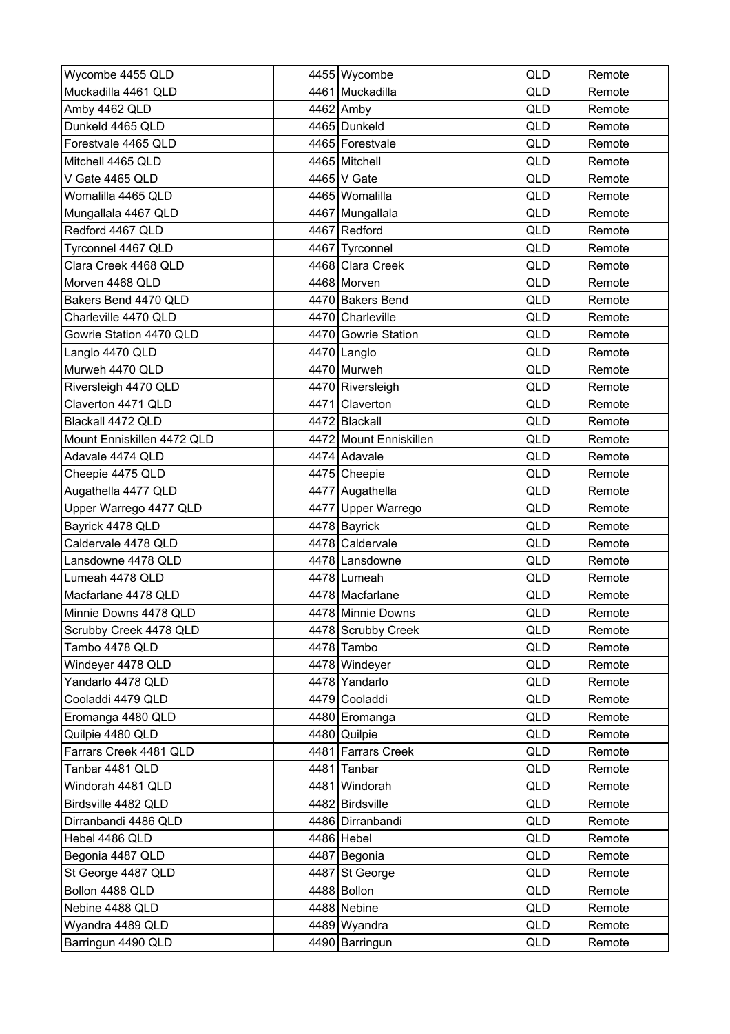| Wycombe 4455 QLD           | 4455 Wycombe           | <b>QLD</b> | Remote |
|----------------------------|------------------------|------------|--------|
| Muckadilla 4461 QLD        | 4461 Muckadilla        | QLD        | Remote |
| Amby 4462 QLD              | 4462 Amby              | QLD        | Remote |
| Dunkeld 4465 QLD           | 4465 Dunkeld           | QLD        | Remote |
| Forestvale 4465 QLD        | 4465   Forestvale      | QLD        | Remote |
| Mitchell 4465 QLD          | 4465   Mitchell        | QLD        | Remote |
| V Gate 4465 QLD            | 4465   V Gate          | <b>QLD</b> | Remote |
| Womalilla 4465 QLD         | 4465 Womalilla         | QLD        | Remote |
| Mungallala 4467 QLD        | 4467 Mungallala        | QLD        | Remote |
| Redford 4467 QLD           | 4467 Redford           | QLD        | Remote |
| Tyrconnel 4467 QLD         | 4467 Tyrconnel         | QLD        | Remote |
| Clara Creek 4468 QLD       | 4468 Clara Creek       | QLD        | Remote |
| Morven 4468 QLD            | 4468 Morven            | QLD        | Remote |
| Bakers Bend 4470 QLD       | 4470 Bakers Bend       | QLD        | Remote |
| Charleville 4470 QLD       | 4470 Charleville       | QLD        | Remote |
| Gowrie Station 4470 QLD    | 4470 Gowrie Station    | QLD        | Remote |
| Langlo 4470 QLD            | 4470 Langlo            | <b>QLD</b> | Remote |
| Murweh 4470 QLD            | 4470 Murweh            | QLD        | Remote |
| Riversleigh 4470 QLD       | 4470 Riversleigh       | QLD        | Remote |
| Claverton 4471 QLD         | 4471 Claverton         | <b>QLD</b> | Remote |
| Blackall 4472 QLD          | 4472 Blackall          | <b>QLD</b> | Remote |
| Mount Enniskillen 4472 QLD | 4472 Mount Enniskillen | QLD        | Remote |
| Adavale 4474 QLD           | 4474 Adavale           | QLD        | Remote |
| Cheepie 4475 QLD           | 4475 Cheepie           | QLD        | Remote |
| Augathella 4477 QLD        | 4477 Augathella        | <b>QLD</b> | Remote |
| Upper Warrego 4477 QLD     | 4477 Upper Warrego     | QLD        | Remote |
| Bayrick 4478 QLD           | 4478 Bayrick           | QLD        | Remote |
| Caldervale 4478 QLD        | 4478 Caldervale        | QLD        | Remote |
| Lansdowne 4478 QLD         | 4478 Lansdowne         | QLD        | Remote |
| Lumeah 4478 QLD            | 4478 Lumeah            | QLD        | Remote |
| Macfarlane 4478 QLD        | 4478 Macfarlane        | QLD        | Remote |
| Minnie Downs 4478 QLD      | 4478 Minnie Downs      | QLD        | Remote |
| Scrubby Creek 4478 QLD     | 4478 Scrubby Creek     | QLD        | Remote |
| Tambo 4478 QLD             | 4478 Tambo             | QLD        | Remote |
| Windeyer 4478 QLD          | 4478 Windeyer          | QLD        | Remote |
| Yandarlo 4478 QLD          | 4478 Yandarlo          | QLD        | Remote |
| Cooladdi 4479 QLD          | 4479 Cooladdi          | QLD        | Remote |
| Eromanga 4480 QLD          | 4480 Eromanga          | QLD        | Remote |
| Quilpie 4480 QLD           | 4480 Quilpie           | QLD        | Remote |
| Farrars Creek 4481 QLD     | 4481 Farrars Creek     | QLD        | Remote |
| Tanbar 4481 QLD            | 4481 Tanbar            | QLD        | Remote |
| Windorah 4481 QLD          | 4481 Windorah          | QLD        | Remote |
| Birdsville 4482 QLD        | 4482 Birdsville        | QLD        | Remote |
| Dirranbandi 4486 QLD       | 4486 Dirranbandi       | QLD        | Remote |
| Hebel 4486 QLD             | 4486 Hebel             | QLD        | Remote |
| Begonia 4487 QLD           | 4487 Begonia           | QLD        | Remote |
| St George 4487 QLD         | 4487 St George         | QLD        | Remote |
| Bollon 4488 QLD            | 4488 Bollon            | QLD        | Remote |
| Nebine 4488 QLD            | 4488 Nebine            | QLD        | Remote |
| Wyandra 4489 QLD           | 4489 Wyandra           | QLD        | Remote |
| Barringun 4490 QLD         | 4490 Barringun         | QLD        | Remote |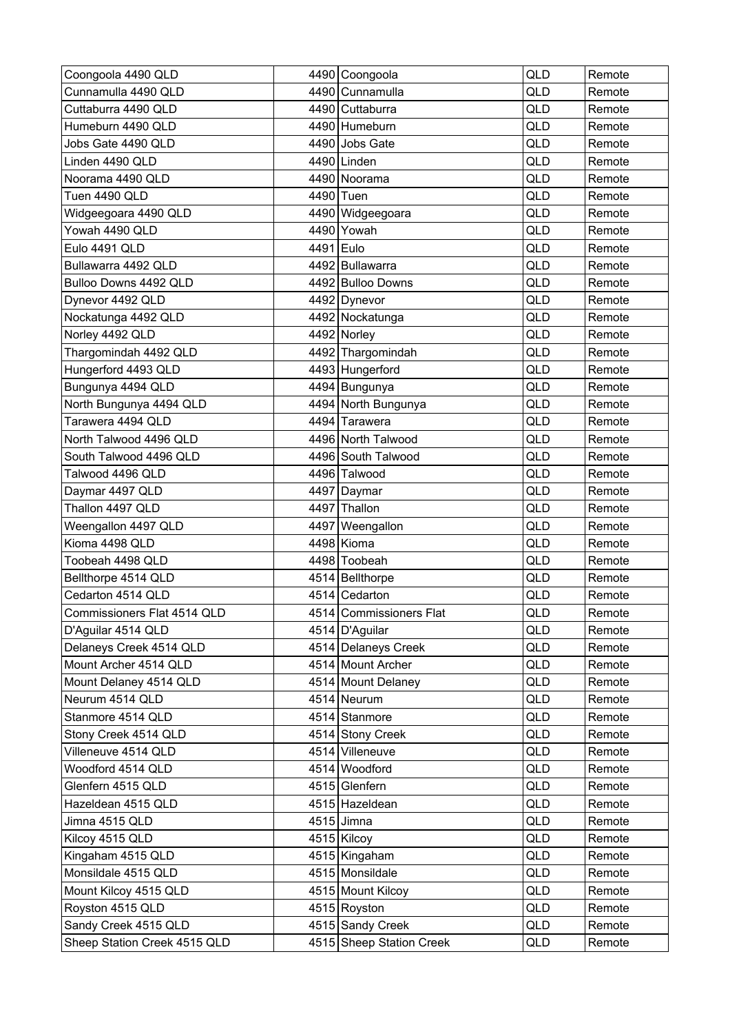| Coongoola 4490 QLD           |           | 4490 Coongoola           | QLD        | Remote |
|------------------------------|-----------|--------------------------|------------|--------|
| Cunnamulla 4490 QLD          |           | 4490 Cunnamulla          | QLD        | Remote |
| Cuttaburra 4490 QLD          |           | 4490 Cuttaburra          | QLD        | Remote |
| Humeburn 4490 QLD            |           | 4490 Humeburn            | QLD        | Remote |
| Jobs Gate 4490 QLD           |           | 4490 Jobs Gate           | QLD        | Remote |
| Linden 4490 QLD              |           | 4490 Linden              | QLD        | Remote |
| Noorama 4490 QLD             |           | 4490 Noorama             | <b>QLD</b> | Remote |
| Tuen 4490 QLD                |           | 4490 Tuen                | QLD        | Remote |
| Widgeegoara 4490 QLD         |           | 4490 Widgeegoara         | QLD        | Remote |
| Yowah 4490 QLD               |           | 4490 Yowah               | QLD        | Remote |
| Eulo 4491 QLD                | 4491 Eulo |                          | QLD        | Remote |
| Bullawarra 4492 QLD          |           | 4492 Bullawarra          | QLD        | Remote |
| Bulloo Downs 4492 QLD        |           | 4492 Bulloo Downs        | QLD        | Remote |
| Dynevor 4492 QLD             |           | 4492 Dynevor             | <b>QLD</b> | Remote |
| Nockatunga 4492 QLD          |           | 4492 Nockatunga          | QLD        | Remote |
| Norley 4492 QLD              |           | 4492 Norley              | QLD        | Remote |
| Thargomindah 4492 QLD        |           | 4492 Thargomindah        | QLD        | Remote |
| Hungerford 4493 QLD          |           | 4493 Hungerford          | QLD        | Remote |
| Bungunya 4494 QLD            |           | 4494 Bungunya            | QLD        | Remote |
| North Bungunya 4494 QLD      |           | 4494 North Bungunya      | <b>QLD</b> | Remote |
| Tarawera 4494 QLD            |           | 4494 Tarawera            | QLD        | Remote |
| North Talwood 4496 QLD       |           | 4496 North Talwood       | QLD        | Remote |
| South Talwood 4496 QLD       |           | 4496 South Talwood       | QLD        | Remote |
| Talwood 4496 QLD             |           | 4496 Talwood             | QLD        | Remote |
| Daymar 4497 QLD              |           | 4497 Daymar              | QLD        | Remote |
| Thallon 4497 QLD             |           | 4497 Thallon             | QLD        | Remote |
| Weengallon 4497 QLD          | 4497      | Weengallon               | QLD        | Remote |
| Kioma 4498 QLD               |           | 4498 Kioma               | <b>QLD</b> | Remote |
| Toobeah 4498 QLD             |           | 4498 Toobeah             | QLD        | Remote |
| Bellthorpe 4514 QLD          |           | 4514 Bellthorpe          | QLD        | Remote |
| Cedarton 4514 QLD            |           | 4514 Cedarton            | QLD        | Remote |
| Commissioners Flat 4514 QLD  |           | 4514 Commissioners Flat  | QLD        | Remote |
| D'Aguilar 4514 QLD           |           | 4514   D'Aguilar         | QLD        | Remote |
| Delaneys Creek 4514 QLD      |           | 4514 Delaneys Creek      | QLD        | Remote |
| Mount Archer 4514 QLD        |           | 4514 Mount Archer        | QLD        | Remote |
| Mount Delaney 4514 QLD       |           | 4514 Mount Delaney       | QLD        | Remote |
| Neurum 4514 QLD              |           | 4514 Neurum              | QLD        | Remote |
| Stanmore 4514 QLD            |           | 4514 Stanmore            | QLD        | Remote |
| Stony Creek 4514 QLD         |           | 4514 Stony Creek         | QLD        | Remote |
| Villeneuve 4514 QLD          |           | 4514 Villeneuve          | QLD        | Remote |
| Woodford 4514 QLD            |           | 4514 Woodford            | QLD        | Remote |
| Glenfern 4515 QLD            |           | 4515 Glenfern            | QLD        | Remote |
| Hazeldean 4515 QLD           |           | 4515 Hazeldean           | QLD        | Remote |
| Jimna 4515 QLD               |           | 4515 Jimna               | QLD        | Remote |
| Kilcoy 4515 QLD              |           | 4515 Kilcoy              | QLD        | Remote |
| Kingaham 4515 QLD            |           | 4515 Kingaham            | QLD        | Remote |
| Monsildale 4515 QLD          |           | 4515 Monsildale          | QLD        | Remote |
| Mount Kilcoy 4515 QLD        |           | 4515 Mount Kilcoy        | QLD        | Remote |
| Royston 4515 QLD             |           | 4515 Royston             | QLD        | Remote |
| Sandy Creek 4515 QLD         |           | 4515 Sandy Creek         | QLD        | Remote |
| Sheep Station Creek 4515 QLD |           | 4515 Sheep Station Creek | QLD        | Remote |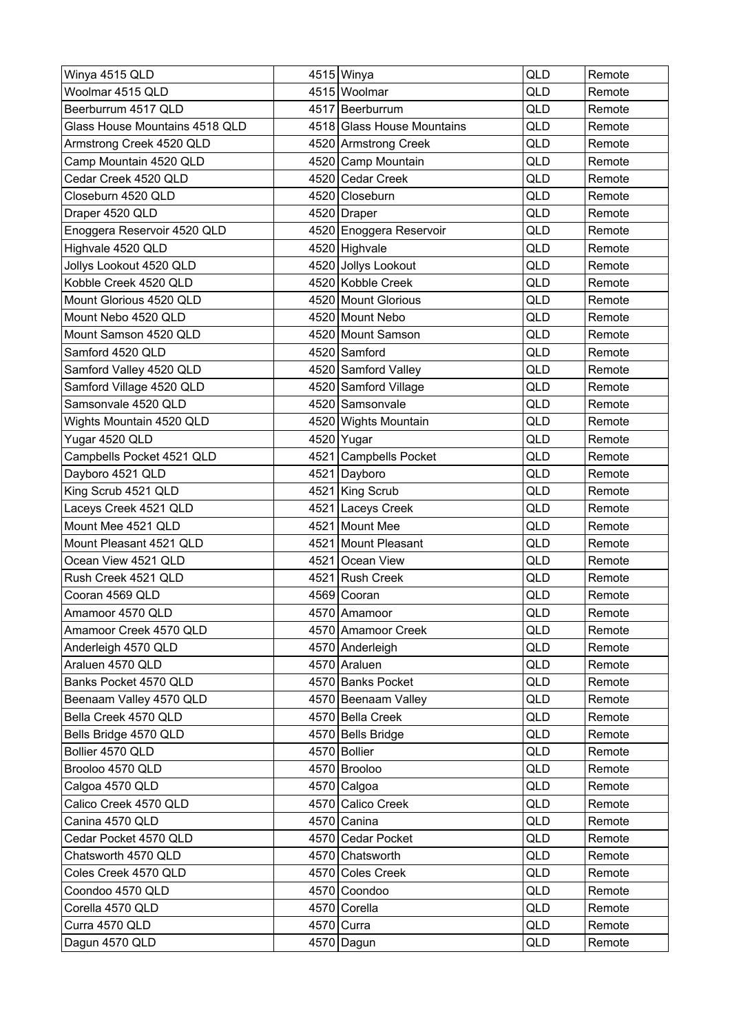| Winya 4515 QLD                 | 4515 Winya                 | QLD | Remote |
|--------------------------------|----------------------------|-----|--------|
| Woolmar 4515 QLD               | 4515 Woolmar               | QLD | Remote |
| Beerburrum 4517 QLD            | 4517 Beerburrum            | QLD | Remote |
| Glass House Mountains 4518 QLD | 4518 Glass House Mountains | QLD | Remote |
| Armstrong Creek 4520 QLD       | 4520 Armstrong Creek       | QLD | Remote |
| Camp Mountain 4520 QLD         | 4520 Camp Mountain         | QLD | Remote |
| Cedar Creek 4520 QLD           | 4520 Cedar Creek           | QLD | Remote |
| Closeburn 4520 QLD             | 4520 Closeburn             | QLD | Remote |
| Draper 4520 QLD                | 4520 Draper                | QLD | Remote |
| Enoggera Reservoir 4520 QLD    | 4520 Enoggera Reservoir    | QLD | Remote |
| Highvale 4520 QLD              | 4520 Highvale              | QLD | Remote |
| Jollys Lookout 4520 QLD        | 4520 Jollys Lookout        | QLD | Remote |
| Kobble Creek 4520 QLD          | 4520 Kobble Creek          | QLD | Remote |
| Mount Glorious 4520 QLD        | 4520 Mount Glorious        | QLD | Remote |
| Mount Nebo 4520 QLD            | 4520 Mount Nebo            | QLD | Remote |
| Mount Samson 4520 QLD          | 4520 Mount Samson          | QLD | Remote |
| Samford 4520 QLD               | 4520 Samford               | QLD | Remote |
| Samford Valley 4520 QLD        | 4520 Samford Valley        | QLD | Remote |
| Samford Village 4520 QLD       | 4520 Samford Village       | QLD | Remote |
| Samsonvale 4520 QLD            | 4520 Samsonvale            | QLD | Remote |
| Wights Mountain 4520 QLD       | 4520 Wights Mountain       | QLD | Remote |
| Yugar 4520 QLD                 | 4520 Yugar                 | QLD | Remote |
| Campbells Pocket 4521 QLD      | 4521 Campbells Pocket      | QLD | Remote |
| Dayboro 4521 QLD               | 4521 Dayboro               | QLD | Remote |
| King Scrub 4521 QLD            | 4521 King Scrub            | QLD | Remote |
| Laceys Creek 4521 QLD          | 4521 Laceys Creek          | QLD | Remote |
| Mount Mee 4521 QLD             | 4521 Mount Mee             | QLD | Remote |
| Mount Pleasant 4521 QLD        | 4521 Mount Pleasant        | QLD | Remote |
| Ocean View 4521 QLD            | 4521 Ocean View            | QLD | Remote |
| Rush Creek 4521 QLD            | 4521 Rush Creek            | QLD | Remote |
| Cooran 4569 QLD                | 4569 Cooran                | QLD | Remote |
| Amamoor 4570 QLD               | 4570 Amamoor               | QLD | Remote |
| Amamoor Creek 4570 QLD         | 4570 Amamoor Creek         | QLD | Remote |
| Anderleigh 4570 QLD            | 4570 Anderleigh            | QLD | Remote |
| Araluen 4570 QLD               | 4570 Araluen               | QLD | Remote |
| Banks Pocket 4570 QLD          | 4570 Banks Pocket          | QLD | Remote |
| Beenaam Valley 4570 QLD        | 4570 Beenaam Valley        | QLD | Remote |
| Bella Creek 4570 QLD           | 4570 Bella Creek           | QLD | Remote |
| Bells Bridge 4570 QLD          | 4570 Bells Bridge          | QLD | Remote |
| Bollier 4570 QLD               | 4570 Bollier               | QLD | Remote |
| Brooloo 4570 QLD               | 4570 Brooloo               | QLD | Remote |
| Calgoa 4570 QLD                | 4570 Calgoa                | QLD | Remote |
| Calico Creek 4570 QLD          | 4570 Calico Creek          | QLD | Remote |
| Canina 4570 QLD                | 4570 Canina                | QLD | Remote |
| Cedar Pocket 4570 QLD          | 4570 Cedar Pocket          | QLD | Remote |
| Chatsworth 4570 QLD            | 4570 Chatsworth            | QLD | Remote |
| Coles Creek 4570 QLD           | 4570 Coles Creek           | QLD | Remote |
| Coondoo 4570 QLD               | 4570 Coondoo               | QLD | Remote |
| Corella 4570 QLD               | 4570 Corella               | QLD | Remote |
| Curra 4570 QLD                 | 4570 Curra                 | QLD | Remote |
| Dagun 4570 QLD                 | 4570 Dagun                 | QLD | Remote |
|                                |                            |     |        |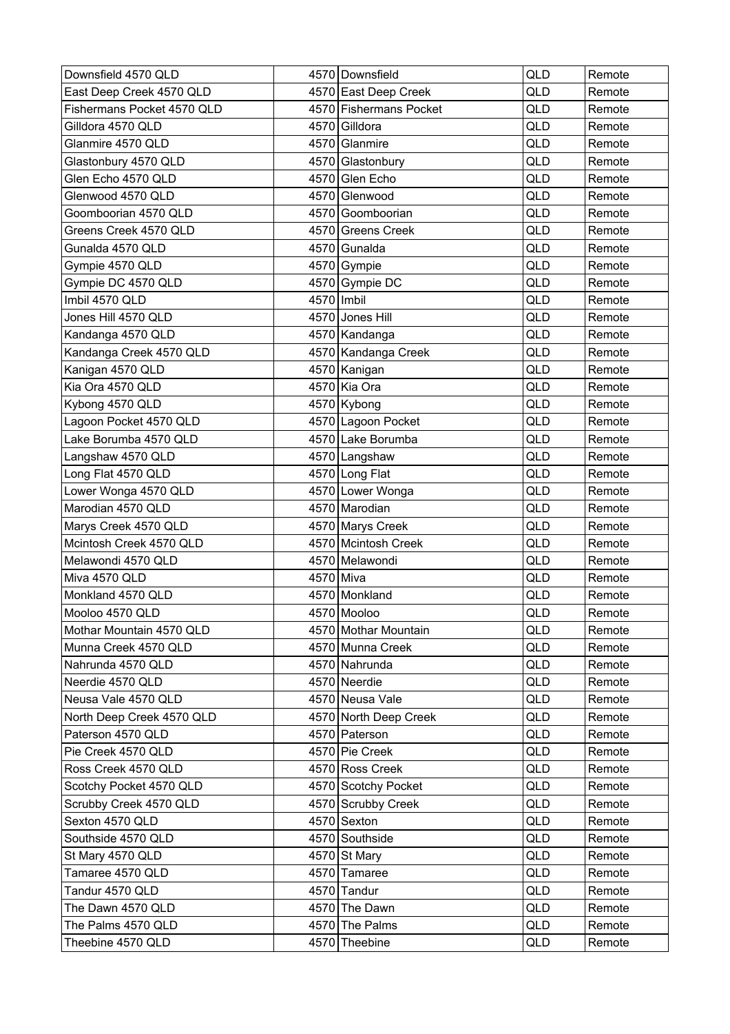| Downsfield 4570 QLD        |              | 4570 Downsfield        | QLD        | Remote |
|----------------------------|--------------|------------------------|------------|--------|
| East Deep Creek 4570 QLD   |              | 4570 East Deep Creek   | QLD        | Remote |
| Fishermans Pocket 4570 QLD |              | 4570 Fishermans Pocket | QLD        | Remote |
| Gilldora 4570 QLD          |              | 4570 Gilldora          | QLD        | Remote |
| Glanmire 4570 QLD          |              | 4570 Glanmire          | QLD        | Remote |
| Glastonbury 4570 QLD       |              | 4570 Glastonbury       | QLD        | Remote |
| Glen Echo 4570 QLD         |              | 4570 Glen Echo         | QLD        | Remote |
| Glenwood 4570 QLD          |              | 4570 Glenwood          | QLD        | Remote |
| Goomboorian 4570 QLD       |              | 4570 Goomboorian       | QLD        | Remote |
| Greens Creek 4570 QLD      |              | 4570 Greens Creek      | QLD        | Remote |
| Gunalda 4570 QLD           |              | 4570 Gunalda           | QLD        | Remote |
| Gympie 4570 QLD            |              | 4570 Gympie            | QLD        | Remote |
| Gympie DC 4570 QLD         |              | 4570 Gympie DC         | QLD        | Remote |
| Imbil 4570 QLD             | 4570   Imbil |                        | QLD        | Remote |
| Jones Hill 4570 QLD        |              | 4570 Jones Hill        | QLD        | Remote |
| Kandanga 4570 QLD          |              | 4570 Kandanga          | QLD        | Remote |
| Kandanga Creek 4570 QLD    |              | 4570 Kandanga Creek    | QLD        | Remote |
| Kanigan 4570 QLD           |              | 4570 Kanigan           | QLD        | Remote |
| Kia Ora 4570 QLD           |              | 4570 Kia Ora           | QLD        | Remote |
| Kybong 4570 QLD            |              | 4570 Kybong            | QLD        | Remote |
| Lagoon Pocket 4570 QLD     |              | 4570 Lagoon Pocket     | QLD        | Remote |
| Lake Borumba 4570 QLD      |              | 4570 Lake Borumba      | QLD        | Remote |
| Langshaw 4570 QLD          |              | 4570 Langshaw          | QLD        | Remote |
| Long Flat 4570 QLD         |              | 4570 Long Flat         | QLD        | Remote |
| Lower Wonga 4570 QLD       |              | 4570 Lower Wonga       | QLD        | Remote |
| Marodian 4570 QLD          |              | 4570 Marodian          | QLD        | Remote |
| Marys Creek 4570 QLD       |              | 4570 Marys Creek       | QLD        | Remote |
| Mcintosh Creek 4570 QLD    |              | 4570 Mcintosh Creek    | QLD        | Remote |
| Melawondi 4570 QLD         |              | 4570 Melawondi         | QLD        | Remote |
| Miva 4570 QLD              | 4570 Miva    |                        | QLD        | Remote |
| Monkland 4570 QLD          |              | 4570 Monkland          | QLD        | Remote |
| Mooloo 4570 QLD            |              | 4570 Mooloo            | <b>QLD</b> | Remote |
| Mothar Mountain 4570 QLD   |              | 4570 Mothar Mountain   | QLD        | Remote |
| Munna Creek 4570 QLD       |              | 4570 Munna Creek       | QLD        | Remote |
| Nahrunda 4570 QLD          |              | 4570 Nahrunda          | QLD        | Remote |
| Neerdie 4570 QLD           |              | 4570 Neerdie           | QLD        | Remote |
| Neusa Vale 4570 QLD        |              | 4570 Neusa Vale        | QLD        | Remote |
| North Deep Creek 4570 QLD  |              | 4570 North Deep Creek  | QLD        | Remote |
| Paterson 4570 QLD          |              | 4570 Paterson          | QLD        | Remote |
| Pie Creek 4570 QLD         |              | 4570 Pie Creek         | QLD        | Remote |
| Ross Creek 4570 QLD        |              | 4570 Ross Creek        | QLD        | Remote |
| Scotchy Pocket 4570 QLD    |              | 4570 Scotchy Pocket    | QLD        | Remote |
| Scrubby Creek 4570 QLD     |              | 4570 Scrubby Creek     | QLD        | Remote |
| Sexton 4570 QLD            |              | 4570 Sexton            | QLD        | Remote |
| Southside 4570 QLD         |              | 4570 Southside         | QLD        | Remote |
| St Mary 4570 QLD           |              | 4570 St Mary           | QLD        | Remote |
| Tamaree 4570 QLD           |              | 4570 Tamaree           | QLD        | Remote |
| Tandur 4570 QLD            |              | 4570 Tandur            | QLD        | Remote |
| The Dawn 4570 QLD          |              | 4570 The Dawn          | QLD        | Remote |
| The Palms 4570 QLD         |              | 4570 The Palms         | QLD        | Remote |
| Theebine 4570 QLD          |              | 4570 Theebine          | QLD        | Remote |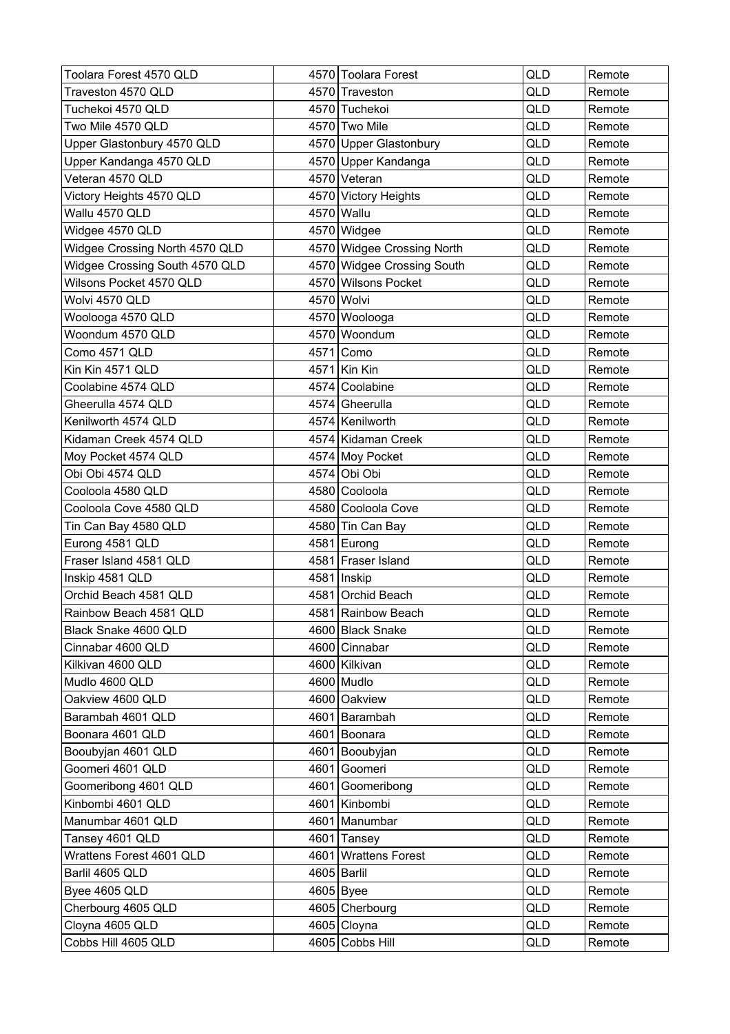| Toolara Forest 4570 QLD        |      | 4570 Toolara Forest        | QLD | Remote |
|--------------------------------|------|----------------------------|-----|--------|
| Traveston 4570 QLD             |      | 4570 Traveston             | QLD | Remote |
| Tuchekoi 4570 QLD              |      | 4570 Tuchekoi              | QLD | Remote |
| Two Mile 4570 QLD              |      | 4570 Two Mile              | QLD | Remote |
| Upper Glastonbury 4570 QLD     |      | 4570 Upper Glastonbury     | QLD | Remote |
| Upper Kandanga 4570 QLD        |      | 4570 Upper Kandanga        | QLD | Remote |
| Veteran 4570 QLD               |      | 4570 Veteran               | QLD | Remote |
| Victory Heights 4570 QLD       |      | 4570 Victory Heights       | QLD | Remote |
| Wallu 4570 QLD                 |      | 4570 Wallu                 | QLD | Remote |
| Widgee 4570 QLD                |      | 4570 Widgee                | QLD | Remote |
| Widgee Crossing North 4570 QLD |      | 4570 Widgee Crossing North | QLD | Remote |
| Widgee Crossing South 4570 QLD |      | 4570 Widgee Crossing South | QLD | Remote |
| Wilsons Pocket 4570 QLD        |      | 4570 Wilsons Pocket        | QLD | Remote |
| Wolvi 4570 QLD                 |      | 4570 Wolvi                 | QLD | Remote |
| Woolooga 4570 QLD              |      | 4570 Woolooga              | QLD | Remote |
| Woondum 4570 QLD               |      | 4570 Woondum               | QLD | Remote |
| Como 4571 QLD                  |      | 4571 Como                  | QLD | Remote |
| Kin Kin 4571 QLD               |      | 4571 Kin Kin               | QLD | Remote |
| Coolabine 4574 QLD             |      | 4574 Coolabine             | QLD | Remote |
| Gheerulla 4574 QLD             |      | 4574 Gheerulla             | QLD | Remote |
| Kenilworth 4574 QLD            |      | 4574 Kenilworth            | QLD | Remote |
| Kidaman Creek 4574 QLD         |      | 4574 Kidaman Creek         | QLD | Remote |
| Moy Pocket 4574 QLD            |      | 4574 Moy Pocket            | QLD | Remote |
| Obi Obi 4574 QLD               |      | 4574 Obi Obi               | QLD | Remote |
| Cooloola 4580 QLD              |      | 4580 Cooloola              | QLD | Remote |
| Cooloola Cove 4580 QLD         |      | 4580 Cooloola Cove         | QLD | Remote |
| Tin Can Bay 4580 QLD           |      | 4580 Tin Can Bay           | QLD | Remote |
| Eurong 4581 QLD                |      | 4581 Eurong                | QLD | Remote |
| Fraser Island 4581 QLD         |      | 4581 Fraser Island         | QLD | Remote |
| Inskip 4581 QLD                | 4581 | Inskip                     | QLD | Remote |
| Orchid Beach 4581 QLD          |      | 4581 Orchid Beach          | QLD | Remote |
| Rainbow Beach 4581 QLD         |      | 4581 Rainbow Beach         | QLD | Remote |
| Black Snake 4600 QLD           |      | 4600 Black Snake           | QLD | Remote |
| Cinnabar 4600 QLD              |      | 4600 Cinnabar              | QLD | Remote |
| Kilkivan 4600 QLD              |      | 4600 Kilkivan              | QLD | Remote |
| Mudlo 4600 QLD                 |      | 4600 Mudlo                 | QLD | Remote |
| Oakview 4600 QLD               |      | 4600 Oakview               | QLD | Remote |
| Barambah 4601 QLD              |      | 4601 Barambah              | QLD | Remote |
| Boonara 4601 QLD               |      | 4601 Boonara               | QLD | Remote |
| Booubyjan 4601 QLD             |      | 4601 Booubyjan             | QLD | Remote |
| Goomeri 4601 QLD               |      | 4601 Goomeri               | QLD | Remote |
| Goomeribong 4601 QLD           |      | 4601 Goomeribong           | QLD | Remote |
| Kinbombi 4601 QLD              |      | 4601 Kinbombi              | QLD | Remote |
| Manumbar 4601 QLD              |      | 4601 Manumbar              | QLD | Remote |
| Tansey 4601 QLD                |      | 4601 Tansey                | QLD | Remote |
| Wrattens Forest 4601 QLD       |      | 4601 Wrattens Forest       | QLD | Remote |
| Barlil 4605 QLD                |      | 4605 Barlil                | QLD | Remote |
| Byee 4605 QLD                  |      | 4605 Byee                  | QLD | Remote |
| Cherbourg 4605 QLD             |      | 4605 Cherbourg             | QLD | Remote |
| Cloyna 4605 QLD                |      | 4605 Cloyna                | QLD | Remote |
| Cobbs Hill 4605 QLD            |      | 4605 Cobbs Hill            | QLD | Remote |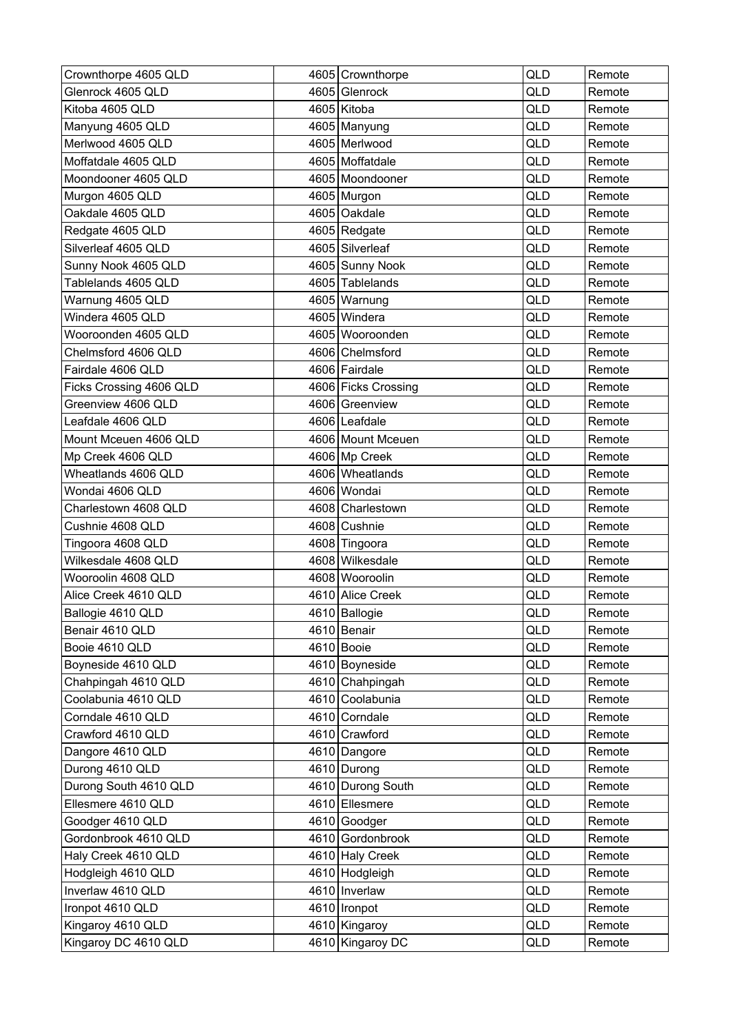| Crownthorpe 4605 QLD    | 4605 Crownthorpe    | <b>QLD</b> | Remote |
|-------------------------|---------------------|------------|--------|
| Glenrock 4605 QLD       | 4605 Glenrock       | QLD        | Remote |
| Kitoba 4605 QLD         | 4605 Kitoba         | QLD        | Remote |
| Manyung 4605 QLD        | 4605 Manyung        | QLD        | Remote |
| Merlwood 4605 QLD       | 4605 Merlwood       | QLD        | Remote |
| Moffatdale 4605 QLD     | 4605 Moffatdale     | QLD        | Remote |
| Moondooner 4605 QLD     | 4605   Moondooner   | <b>QLD</b> | Remote |
| Murgon 4605 QLD         | 4605 Murgon         | QLD        | Remote |
| Oakdale 4605 QLD        | 4605 Oakdale        | QLD        | Remote |
| Redgate 4605 QLD        | 4605 Redgate        | QLD        | Remote |
| Silverleaf 4605 QLD     | 4605 Silverleaf     | QLD        | Remote |
| Sunny Nook 4605 QLD     | 4605 Sunny Nook     | QLD        | Remote |
| Tablelands 4605 QLD     | 4605 Tablelands     | QLD        | Remote |
| Warnung 4605 QLD        | 4605 Warnung        | <b>QLD</b> | Remote |
| Windera 4605 QLD        | 4605 Windera        | QLD        | Remote |
| Wooroonden 4605 QLD     | 4605 Wooroonden     | QLD        | Remote |
| Chelmsford 4606 QLD     | 4606 Chelmsford     | <b>QLD</b> | Remote |
| Fairdale 4606 QLD       | 4606 Fairdale       | QLD        | Remote |
| Ficks Crossing 4606 QLD | 4606 Ficks Crossing | QLD        | Remote |
| Greenview 4606 QLD      | 4606 Greenview      | <b>QLD</b> | Remote |
| Leafdale 4606 QLD       | 4606 Leafdale       | <b>QLD</b> | Remote |
| Mount Mceuen 4606 QLD   | 4606 Mount Mceuen   | QLD        | Remote |
| Mp Creek 4606 QLD       | 4606 Mp Creek       | QLD        | Remote |
| Wheatlands 4606 QLD     | 4606 Wheatlands     | QLD        | Remote |
| Wondai 4606 QLD         | 4606 Wondai         | QLD        | Remote |
| Charlestown 4608 QLD    | 4608 Charlestown    | QLD        | Remote |
| Cushnie 4608 QLD        | 4608 Cushnie        | QLD        | Remote |
| Tingoora 4608 QLD       | 4608 Tingoora       | <b>QLD</b> | Remote |
| Wilkesdale 4608 QLD     | 4608 Wilkesdale     | QLD        | Remote |
| Wooroolin 4608 QLD      | 4608 Wooroolin      | QLD        | Remote |
| Alice Creek 4610 QLD    | 4610 Alice Creek    | QLD        | Remote |
| Ballogie 4610 QLD       | 4610 Ballogie       | QLD        | Remote |
| Benair 4610 QLD         | 4610 Benair         | QLD        | Remote |
| Booie 4610 QLD          | 4610 Booie          | QLD        | Remote |
| Boyneside 4610 QLD      | 4610 Boyneside      | QLD        | Remote |
| Chahpingah 4610 QLD     | 4610 Chahpingah     | QLD        | Remote |
| Coolabunia 4610 QLD     | 4610 Coolabunia     | QLD        | Remote |
| Corndale 4610 QLD       | 4610 Corndale       | QLD        | Remote |
| Crawford 4610 QLD       | 4610 Crawford       | QLD        | Remote |
| Dangore 4610 QLD        | 4610 Dangore        | QLD        | Remote |
| Durong 4610 QLD         | 4610 Durong         | QLD        | Remote |
| Durong South 4610 QLD   | 4610 Durong South   | QLD        | Remote |
| Ellesmere 4610 QLD      | 4610 Ellesmere      | QLD        | Remote |
| Goodger 4610 QLD        | 4610 Goodger        | QLD        | Remote |
| Gordonbrook 4610 QLD    | 4610 Gordonbrook    | QLD        | Remote |
| Haly Creek 4610 QLD     | 4610 Haly Creek     | QLD        | Remote |
| Hodgleigh 4610 QLD      | 4610 Hodgleigh      | QLD        | Remote |
| Inverlaw 4610 QLD       | 4610 Inverlaw       | QLD        | Remote |
| Ironpot 4610 QLD        | 4610   Ironpot      | QLD        | Remote |
| Kingaroy 4610 QLD       | 4610 Kingaroy       | QLD        | Remote |
| Kingaroy DC 4610 QLD    | 4610 Kingaroy DC    | QLD        | Remote |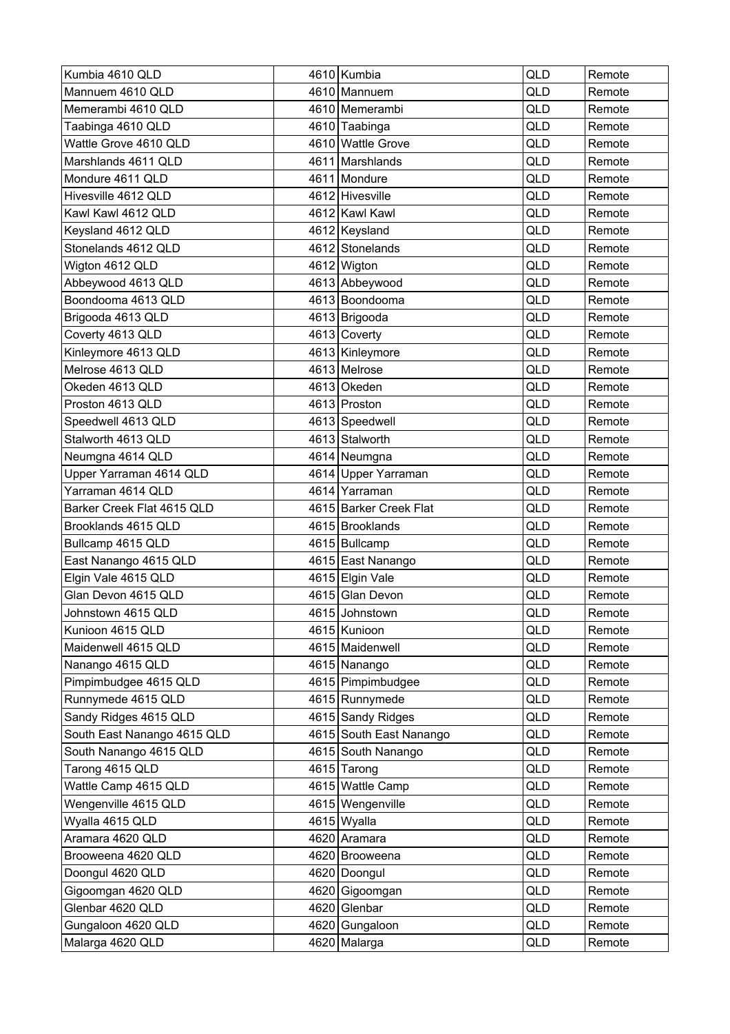| Kumbia 4610 QLD             | 4610 Kumbia             | <b>QLD</b> | Remote |
|-----------------------------|-------------------------|------------|--------|
| Mannuem 4610 QLD            | 4610 Mannuem            | QLD        | Remote |
| Memerambi 4610 QLD          | 4610 Memerambi          | QLD        | Remote |
| Taabinga 4610 QLD           | 4610 Taabinga           | QLD        | Remote |
| Wattle Grove 4610 QLD       | 4610 Wattle Grove       | QLD        | Remote |
| Marshlands 4611 QLD         | 4611 Marshlands         | QLD        | Remote |
| Mondure 4611 QLD            | 4611 Mondure            | <b>QLD</b> | Remote |
| Hivesville 4612 QLD         | 4612 Hivesville         | QLD        | Remote |
| Kawl Kawl 4612 QLD          | 4612 Kawl Kawl          | QLD        | Remote |
| Keysland 4612 QLD           | 4612   Keysland         | QLD        | Remote |
| Stonelands 4612 QLD         | 4612 Stonelands         | QLD        | Remote |
| Wigton 4612 QLD             | 4612 Wigton             | QLD        | Remote |
| Abbeywood 4613 QLD          | 4613 Abbeywood          | QLD        | Remote |
| Boondooma 4613 QLD          | 4613 Boondooma          | QLD        | Remote |
| Brigooda 4613 QLD           | 4613 Brigooda           | QLD        | Remote |
| Coverty 4613 QLD            | 4613 Coverty            | QLD        | Remote |
| Kinleymore 4613 QLD         | 4613 Kinleymore         | QLD        | Remote |
| Melrose 4613 QLD            | 4613 Melrose            | QLD        | Remote |
| Okeden 4613 QLD             | 4613 Okeden             | QLD        | Remote |
| Proston 4613 QLD            | 4613 Proston            | <b>QLD</b> | Remote |
| Speedwell 4613 QLD          | 4613 Speedwell          | QLD        | Remote |
| Stalworth 4613 QLD          | 4613 Stalworth          | QLD        | Remote |
| Neumgna 4614 QLD            | 4614 Neumgna            | QLD        | Remote |
| Upper Yarraman 4614 QLD     | 4614 Upper Yarraman     | QLD        | Remote |
| Yarraman 4614 QLD           | 4614 Yarraman           | <b>QLD</b> | Remote |
| Barker Creek Flat 4615 QLD  | 4615 Barker Creek Flat  | QLD        | Remote |
| Brooklands 4615 QLD         | 4615 Brooklands         | QLD        | Remote |
| Bullcamp 4615 QLD           | 4615 Bullcamp           | <b>QLD</b> | Remote |
| East Nanango 4615 QLD       | 4615 East Nanango       | QLD        | Remote |
| Elgin Vale 4615 QLD         | 4615 Elgin Vale         | QLD        | Remote |
| Glan Devon 4615 QLD         | 4615 Glan Devon         | QLD        | Remote |
| Johnstown 4615 QLD          | 4615 Johnstown          | QLD        | Remote |
| Kunioon 4615 QLD            | 4615 Kunioon            | QLD        | Remote |
| Maidenwell 4615 QLD         | 4615 Maidenwell         | QLD        | Remote |
| Nanango 4615 QLD            | 4615 Nanango            | QLD        | Remote |
| Pimpimbudgee 4615 QLD       | 4615 Pimpimbudgee       | QLD        | Remote |
| Runnymede 4615 QLD          | 4615 Runnymede          | QLD        | Remote |
| Sandy Ridges 4615 QLD       | 4615 Sandy Ridges       | QLD        | Remote |
| South East Nanango 4615 QLD | 4615 South East Nanango | QLD        | Remote |
| South Nanango 4615 QLD      | 4615 South Nanango      | QLD        | Remote |
| Tarong 4615 QLD             | 4615 Tarong             | QLD        | Remote |
| Wattle Camp 4615 QLD        | 4615 Wattle Camp        | QLD        | Remote |
| Wengenville 4615 QLD        | 4615 Wengenville        | QLD        | Remote |
| Wyalla 4615 QLD             | 4615 Wyalla             | QLD        | Remote |
| Aramara 4620 QLD            | 4620 Aramara            | QLD        | Remote |
| Brooweena 4620 QLD          | 4620 Brooweena          | QLD        | Remote |
| Doongul 4620 QLD            | 4620 Doongul            | QLD        | Remote |
| Gigoomgan 4620 QLD          | 4620 Gigoomgan          | QLD        | Remote |
| Glenbar 4620 QLD            | 4620 Glenbar            | QLD        | Remote |
| Gungaloon 4620 QLD          | 4620 Gungaloon          | QLD        | Remote |
| Malarga 4620 QLD            | 4620 Malarga            | QLD        | Remote |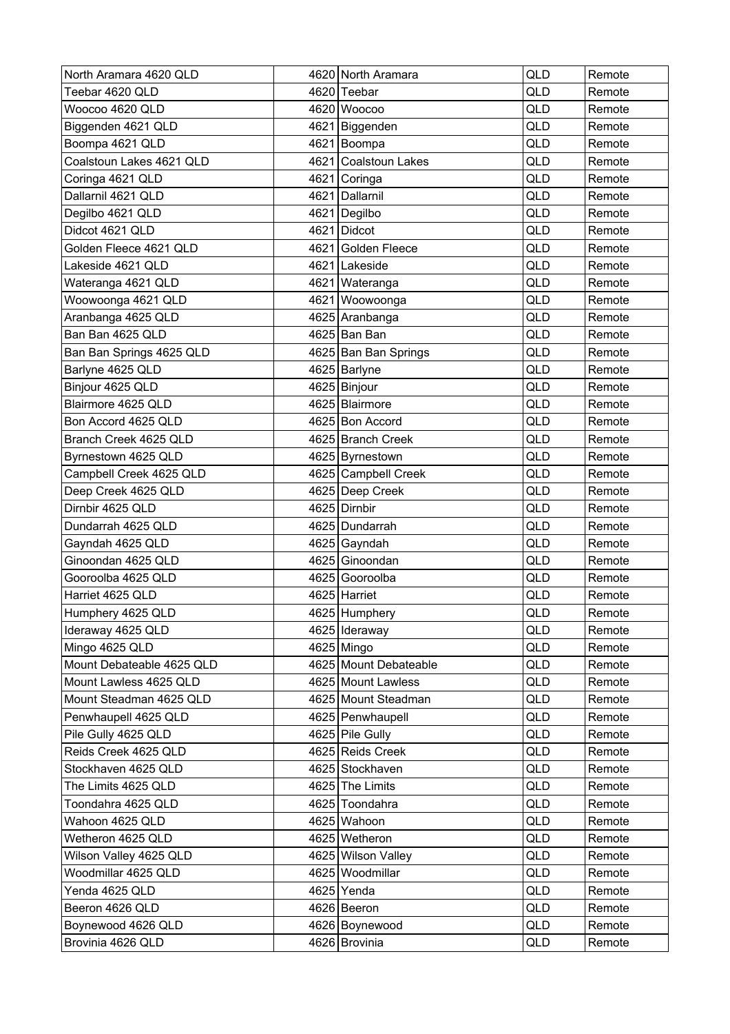| North Aramara 4620 QLD    | 4620 North Aramara    | QLD | Remote |
|---------------------------|-----------------------|-----|--------|
| Teebar 4620 QLD           | 4620 Teebar           | QLD | Remote |
| Woocoo 4620 QLD           | 4620 Woocoo           | QLD | Remote |
| Biggenden 4621 QLD        | 4621 Biggenden        | QLD | Remote |
| Boompa 4621 QLD           | 4621 Boompa           | QLD | Remote |
| Coalstoun Lakes 4621 QLD  | 4621 Coalstoun Lakes  | QLD | Remote |
| Coringa 4621 QLD          | 4621 Coringa          | QLD | Remote |
| Dallarnil 4621 QLD        | 4621 Dallarnil        | QLD | Remote |
| Degilbo 4621 QLD          | 4621 Degilbo          | QLD | Remote |
| Didcot 4621 QLD           | 4621 Didcot           | QLD | Remote |
| Golden Fleece 4621 QLD    | 4621 Golden Fleece    | QLD | Remote |
| Lakeside 4621 QLD         | 4621 Lakeside         | QLD | Remote |
| Wateranga 4621 QLD        | 4621 Wateranga        | QLD | Remote |
| Woowoonga 4621 QLD        | 4621 Woowoonga        | QLD | Remote |
| Aranbanga 4625 QLD        | 4625 Aranbanga        | QLD | Remote |
| Ban Ban 4625 QLD          | 4625 Ban Ban          | QLD | Remote |
| Ban Ban Springs 4625 QLD  | 4625 Ban Ban Springs  | QLD | Remote |
| Barlyne 4625 QLD          | 4625   Barlyne        | QLD | Remote |
| Binjour 4625 QLD          | 4625 Binjour          | QLD | Remote |
| Blairmore 4625 QLD        | 4625 Blairmore        | QLD | Remote |
| Bon Accord 4625 QLD       | 4625 Bon Accord       | QLD | Remote |
| Branch Creek 4625 QLD     | 4625 Branch Creek     | QLD | Remote |
| Byrnestown 4625 QLD       | 4625 Byrnestown       | QLD | Remote |
| Campbell Creek 4625 QLD   | 4625 Campbell Creek   | QLD | Remote |
| Deep Creek 4625 QLD       | 4625 Deep Creek       | QLD | Remote |
| Dirnbir 4625 QLD          | 4625 Dirnbir          | QLD | Remote |
| Dundarrah 4625 QLD        | 4625 Dundarrah        | QLD | Remote |
| Gayndah 4625 QLD          | 4625 Gayndah          | QLD | Remote |
| Ginoondan 4625 QLD        | 4625 Ginoondan        | QLD | Remote |
| Gooroolba 4625 QLD        | 4625 Gooroolba        | QLD | Remote |
| Harriet 4625 QLD          | 4625 Harriet          | QLD | Remote |
| Humphery 4625 QLD         | 4625 Humphery         | QLD | Remote |
| Ideraway 4625 QLD         | 4625 Ideraway         | QLD | Remote |
| Mingo 4625 QLD            | 4625 Mingo            | QLD | Remote |
| Mount Debateable 4625 QLD | 4625 Mount Debateable | QLD | Remote |
| Mount Lawless 4625 QLD    | 4625 Mount Lawless    | QLD | Remote |
| Mount Steadman 4625 QLD   | 4625 Mount Steadman   | QLD | Remote |
| Penwhaupell 4625 QLD      | 4625 Penwhaupell      | QLD | Remote |
| Pile Gully 4625 QLD       | 4625 Pile Gully       | QLD | Remote |
| Reids Creek 4625 QLD      | 4625 Reids Creek      | QLD | Remote |
| Stockhaven 4625 QLD       | 4625 Stockhaven       | QLD | Remote |
| The Limits 4625 QLD       | 4625 The Limits       | QLD | Remote |
| Toondahra 4625 QLD        | 4625 Toondahra        | QLD | Remote |
| Wahoon 4625 QLD           | 4625 Wahoon           | QLD | Remote |
| Wetheron 4625 QLD         | 4625 Wetheron         | QLD | Remote |
| Wilson Valley 4625 QLD    | 4625 Wilson Valley    | QLD | Remote |
| Woodmillar 4625 QLD       | 4625 Woodmillar       | QLD | Remote |
| Yenda 4625 QLD            | $4625$ Yenda          | QLD | Remote |
| Beeron 4626 QLD           | 4626 Beeron           | QLD | Remote |
| Boynewood 4626 QLD        | 4626 Boynewood        | QLD | Remote |
| Brovinia 4626 QLD         | 4626 Brovinia         | QLD | Remote |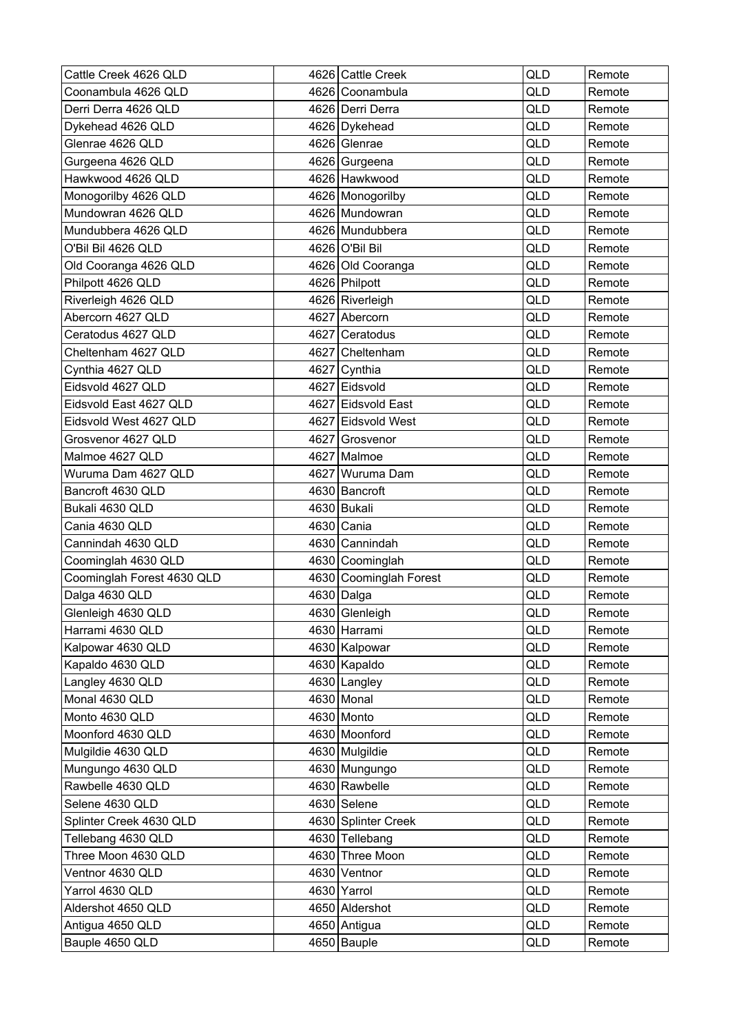| Cattle Creek 4626 QLD      | 4626 Cattle Creek      | QLD | Remote |
|----------------------------|------------------------|-----|--------|
| Coonambula 4626 QLD        | 4626 Coonambula        | QLD | Remote |
| Derri Derra 4626 QLD       | 4626 Derri Derra       | QLD | Remote |
| Dykehead 4626 QLD          | 4626 Dykehead          | QLD | Remote |
| Glenrae 4626 QLD           | 4626 Glenrae           | QLD | Remote |
| Gurgeena 4626 QLD          | 4626 Gurgeena          | QLD | Remote |
| Hawkwood 4626 QLD          | 4626 Hawkwood          | QLD | Remote |
| Monogorilby 4626 QLD       | 4626 Monogorilby       | QLD | Remote |
| Mundowran 4626 QLD         | 4626 Mundowran         | QLD | Remote |
| Mundubbera 4626 QLD        | 4626 Mundubbera        | QLD | Remote |
| O'Bil Bil 4626 QLD         | 4626 O'Bil Bil         | QLD | Remote |
| Old Cooranga 4626 QLD      | 4626 Old Cooranga      | QLD | Remote |
| Philpott 4626 QLD          | 4626 Philpott          | QLD | Remote |
| Riverleigh 4626 QLD        | 4626 Riverleigh        | QLD | Remote |
| Abercorn 4627 QLD          | 4627 Abercorn          | QLD | Remote |
| Ceratodus 4627 QLD         | 4627 Ceratodus         | QLD | Remote |
| Cheltenham 4627 QLD        | 4627 Cheltenham        | QLD | Remote |
| Cynthia 4627 QLD           | 4627 Cynthia           | QLD | Remote |
| Eidsvold 4627 QLD          | 4627 Eidsvold          | QLD | Remote |
| Eidsvold East 4627 QLD     | 4627 Eidsvold East     | QLD | Remote |
| Eidsvold West 4627 QLD     | 4627 Eidsvold West     | QLD | Remote |
| Grosvenor 4627 QLD         | 4627 Grosvenor         | QLD | Remote |
| Malmoe 4627 QLD            | 4627 Malmoe            | QLD | Remote |
| Wuruma Dam 4627 QLD        | 4627 Wuruma Dam        | QLD | Remote |
| Bancroft 4630 QLD          | 4630 Bancroft          | QLD | Remote |
| Bukali 4630 QLD            | 4630 Bukali            | QLD | Remote |
| Cania 4630 QLD             | 4630 Cania             | QLD | Remote |
| Cannindah 4630 QLD         | 4630 Cannindah         | QLD | Remote |
| Coominglah 4630 QLD        | 4630 Coominglah        | QLD | Remote |
| Coominglah Forest 4630 QLD | 4630 Coominglah Forest | QLD | Remote |
| Dalga 4630 QLD             | 4630 Dalga             | QLD | Remote |
| Glenleigh 4630 QLD         | 4630 Glenleigh         | QLD | Remote |
| Harrami 4630 QLD           | 4630 Harrami           | QLD | Remote |
| Kalpowar 4630 QLD          | 4630 Kalpowar          | QLD | Remote |
| Kapaldo 4630 QLD           | 4630 Kapaldo           | QLD | Remote |
| Langley 4630 QLD           | 4630 Langley           | QLD | Remote |
| Monal 4630 QLD             | 4630 Monal             | QLD | Remote |
| Monto 4630 QLD             | 4630 Monto             | QLD | Remote |
| Moonford 4630 QLD          | 4630 Moonford          | QLD | Remote |
| Mulgildie 4630 QLD         | 4630 Mulgildie         | QLD | Remote |
| Mungungo 4630 QLD          | 4630 Mungungo          | QLD | Remote |
| Rawbelle 4630 QLD          | 4630 Rawbelle          | QLD | Remote |
| Selene 4630 QLD            | $4630$ Selene          | QLD | Remote |
| Splinter Creek 4630 QLD    | 4630 Splinter Creek    | QLD | Remote |
| Tellebang 4630 QLD         | 4630 Tellebang         | QLD | Remote |
| Three Moon 4630 QLD        | 4630 Three Moon        | QLD | Remote |
| Ventnor 4630 QLD           | 4630 Ventnor           | QLD | Remote |
| Yarrol 4630 QLD            | 4630 Yarrol            | QLD | Remote |
| Aldershot 4650 QLD         | 4650 Aldershot         | QLD | Remote |
| Antigua 4650 QLD           | 4650 Antigua           | QLD | Remote |
| Bauple 4650 QLD            | 4650 Bauple            | QLD | Remote |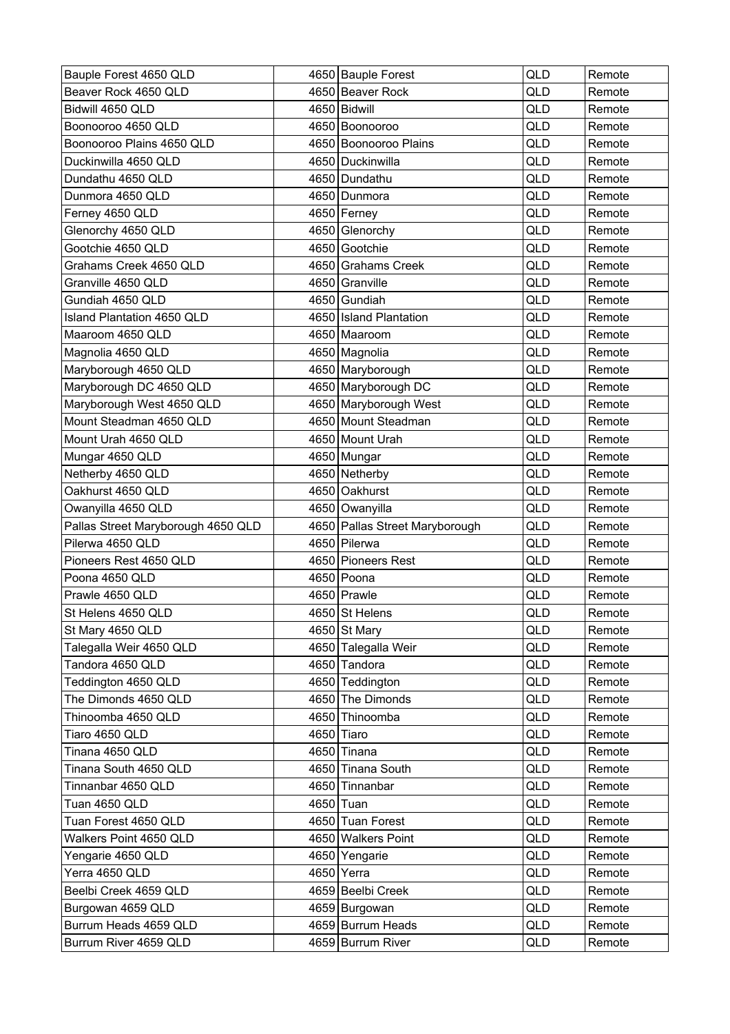| Bauple Forest 4650 QLD             | 4650 Bauple Forest             | QLD        | Remote |
|------------------------------------|--------------------------------|------------|--------|
| Beaver Rock 4650 QLD               | 4650 Beaver Rock               | QLD        | Remote |
| Bidwill 4650 QLD                   | 4650 Bidwill                   | <b>QLD</b> | Remote |
| Boonooroo 4650 QLD                 | 4650 Boonooroo                 | QLD        | Remote |
| Boonooroo Plains 4650 QLD          | 4650 Boonooroo Plains          | QLD        | Remote |
| Duckinwilla 4650 QLD               | 4650 Duckinwilla               | QLD        | Remote |
| Dundathu 4650 QLD                  | 4650 Dundathu                  | QLD        | Remote |
| Dunmora 4650 QLD                   | 4650 Dunmora                   | QLD        | Remote |
| Ferney 4650 QLD                    | 4650 Ferney                    | QLD        | Remote |
| Glenorchy 4650 QLD                 | 4650 Glenorchy                 | QLD        | Remote |
| Gootchie 4650 QLD                  | 4650 Gootchie                  | QLD        | Remote |
| Grahams Creek 4650 QLD             | 4650 Grahams Creek             | QLD        | Remote |
| Granville 4650 QLD                 | 4650 Granville                 | QLD        | Remote |
| Gundiah 4650 QLD                   | 4650 Gundiah                   | QLD        | Remote |
| Island Plantation 4650 QLD         | 4650 Island Plantation         | QLD        | Remote |
| Maaroom 4650 QLD                   | 4650 Maaroom                   | QLD        | Remote |
| Magnolia 4650 QLD                  | 4650 Magnolia                  | <b>QLD</b> | Remote |
| Maryborough 4650 QLD               | 4650 Maryborough               | QLD        | Remote |
| Maryborough DC 4650 QLD            | 4650 Maryborough DC            | QLD        | Remote |
| Maryborough West 4650 QLD          | 4650 Maryborough West          | QLD        | Remote |
| Mount Steadman 4650 QLD            | 4650 Mount Steadman            | QLD        | Remote |
| Mount Urah 4650 QLD                | 4650 Mount Urah                | QLD        | Remote |
| Mungar 4650 QLD                    | 4650 Mungar                    | QLD        | Remote |
| Netherby 4650 QLD                  | 4650 Netherby                  | QLD        | Remote |
| Oakhurst 4650 QLD                  | 4650 Oakhurst                  | QLD        | Remote |
| Owanyilla 4650 QLD                 | 4650 Owanyilla                 | <b>QLD</b> | Remote |
| Pallas Street Maryborough 4650 QLD | 4650 Pallas Street Maryborough | QLD        | Remote |
| Pilerwa 4650 QLD                   | 4650 Pilerwa                   | QLD        | Remote |
| Pioneers Rest 4650 QLD             | 4650 Pioneers Rest             | QLD        | Remote |
| Poona 4650 QLD                     | 4650 Poona                     | QLD        | Remote |
| Prawle 4650 QLD                    | 4650 Prawle                    | QLD        | Remote |
| St Helens 4650 QLD                 | 4650 St Helens                 | QLD        | Remote |
| St Mary 4650 QLD                   | 4650 St Mary                   | QLD        | Remote |
| Talegalla Weir 4650 QLD            | 4650 Talegalla Weir            | QLD        | Remote |
| Tandora 4650 QLD                   | 4650 Tandora                   | QLD        | Remote |
| Teddington 4650 QLD                | 4650 Teddington                | QLD        | Remote |
| The Dimonds 4650 QLD               | 4650 The Dimonds               | QLD        | Remote |
| Thinoomba 4650 QLD                 | 4650 Thinoomba                 | QLD        | Remote |
| Tiaro 4650 QLD                     | 4650 Tiaro                     | QLD        | Remote |
| Tinana 4650 QLD                    | 4650 Tinana                    | QLD        | Remote |
| Tinana South 4650 QLD              | 4650 Tinana South              | QLD        | Remote |
| Tinnanbar 4650 QLD                 | 4650 Tinnanbar                 | QLD        | Remote |
| Tuan 4650 QLD                      | 4650 Tuan                      | QLD        | Remote |
| Tuan Forest 4650 QLD               | 4650 Tuan Forest               | QLD        | Remote |
| Walkers Point 4650 QLD             | 4650 Walkers Point             | QLD        | Remote |
| Yengarie 4650 QLD                  | 4650 Yengarie                  | QLD        | Remote |
| Yerra 4650 QLD                     | 4650 Yerra                     | QLD        | Remote |
| Beelbi Creek 4659 QLD              | 4659 Beelbi Creek              | QLD        | Remote |
| Burgowan 4659 QLD                  | 4659 Burgowan                  | QLD        | Remote |
| Burrum Heads 4659 QLD              | 4659 Burrum Heads              | QLD        | Remote |
| Burrum River 4659 QLD              | 4659 Burrum River              | QLD        | Remote |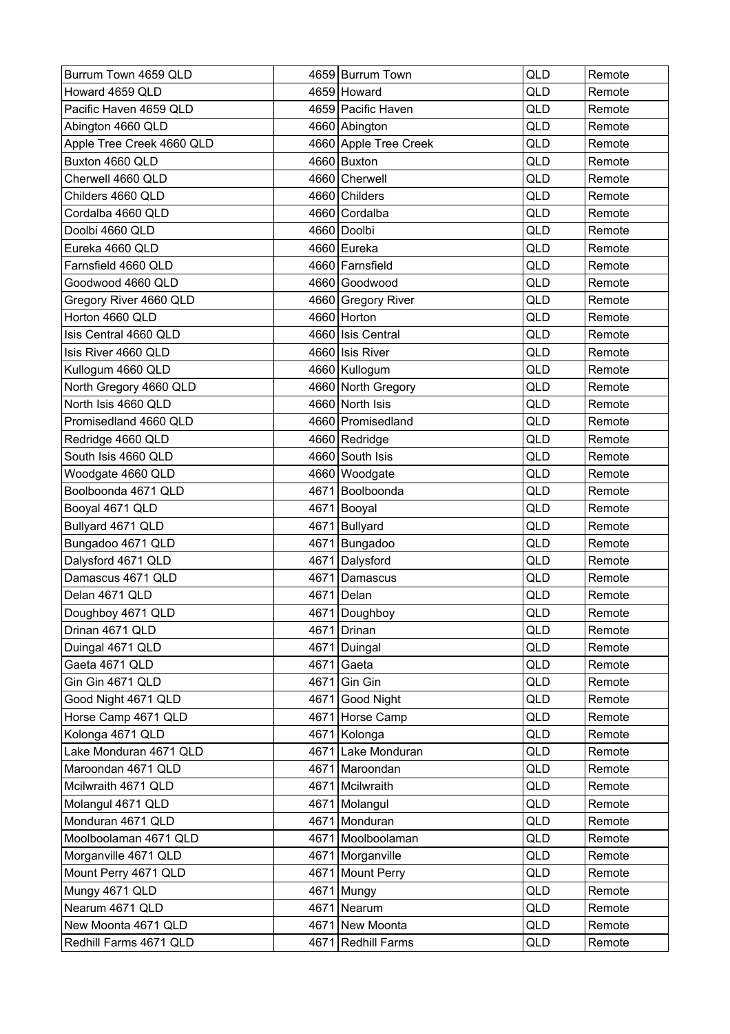| Burrum Town 4659 QLD      |      | 4659 Burrum Town      | QLD        | Remote |
|---------------------------|------|-----------------------|------------|--------|
| Howard 4659 QLD           |      | 4659 Howard           | QLD        | Remote |
| Pacific Haven 4659 QLD    |      | 4659 Pacific Haven    | <b>QLD</b> | Remote |
| Abington 4660 QLD         |      | 4660 Abington         | QLD        | Remote |
| Apple Tree Creek 4660 QLD |      | 4660 Apple Tree Creek | QLD        | Remote |
| Buxton 4660 QLD           |      | 4660 Buxton           | QLD        | Remote |
| Cherwell 4660 QLD         |      | 4660 Cherwell         | QLD        | Remote |
| Childers 4660 QLD         |      | 4660 Childers         | QLD        | Remote |
| Cordalba 4660 QLD         |      | 4660 Cordalba         | QLD        | Remote |
| Doolbi 4660 QLD           |      | 4660 Doolbi           | QLD        | Remote |
| Eureka 4660 QLD           |      | 4660 Eureka           | QLD        | Remote |
| Farnsfield 4660 QLD       |      | 4660 Farnsfield       | QLD        | Remote |
| Goodwood 4660 QLD         |      | 4660 Goodwood         | QLD        | Remote |
| Gregory River 4660 QLD    |      | 4660 Gregory River    | QLD        | Remote |
| Horton 4660 QLD           |      | 4660 Horton           | QLD        | Remote |
| Isis Central 4660 QLD     |      | 4660 Isis Central     | QLD        | Remote |
| Isis River 4660 QLD       |      | 4660 Isis River       | <b>QLD</b> | Remote |
| Kullogum 4660 QLD         |      | 4660 Kullogum         | QLD        | Remote |
| North Gregory 4660 QLD    |      | 4660 North Gregory    | QLD        | Remote |
| North Isis 4660 QLD       |      | 4660 North Isis       | QLD        | Remote |
| Promisedland 4660 QLD     |      | 4660 Promisedland     | QLD        | Remote |
| Redridge 4660 QLD         |      | 4660 Redridge         | QLD        | Remote |
| South Isis 4660 QLD       |      | 4660 South Isis       | QLD        | Remote |
| Woodgate 4660 QLD         |      | 4660 Woodgate         | QLD        | Remote |
| Boolboonda 4671 QLD       |      | 4671 Boolboonda       | QLD        | Remote |
| Booyal 4671 QLD           |      | 4671 Booyal           | QLD        | Remote |
| Bullyard 4671 QLD         |      | 4671 Bullyard         | QLD        | Remote |
| Bungadoo 4671 QLD         |      | 4671 Bungadoo         | QLD        | Remote |
| Dalysford 4671 QLD        |      | 4671 Dalysford        | QLD        | Remote |
| Damascus 4671 QLD         | 4671 | Damascus              | QLD        | Remote |
| Delan 4671 QLD            | 4671 | Delan                 | QLD        | Remote |
| Doughboy 4671 QLD         |      | 4671 Doughboy         | QLD        | Remote |
| Drinan 4671 QLD           |      | 4671 Drinan           | QLD        | Remote |
| Duingal 4671 QLD          |      | 4671 Duingal          | QLD        | Remote |
| Gaeta 4671 QLD            |      | 4671 Gaeta            | QLD        | Remote |
| Gin Gin 4671 QLD          |      | 4671 Gin Gin          | QLD        | Remote |
| Good Night 4671 QLD       |      | 4671 Good Night       | QLD        | Remote |
| Horse Camp 4671 QLD       |      | 4671 Horse Camp       | QLD        | Remote |
| Kolonga 4671 QLD          |      | 4671 Kolonga          | QLD        | Remote |
| Lake Monduran 4671 QLD    |      | 4671 Lake Monduran    | QLD        | Remote |
| Maroondan 4671 QLD        |      | 4671 Maroondan        | QLD        | Remote |
| Mcilwraith 4671 QLD       |      | 4671 Mcilwraith       | QLD        | Remote |
| Molangul 4671 QLD         |      | 4671 Molangul         | QLD        | Remote |
| Monduran 4671 QLD         |      | 4671 Monduran         | QLD        | Remote |
| Moolboolaman 4671 QLD     |      | 4671 Moolboolaman     | QLD        | Remote |
| Morganville 4671 QLD      |      | 4671 Morganville      | QLD        | Remote |
| Mount Perry 4671 QLD      |      | 4671 Mount Perry      | QLD        | Remote |
| Mungy 4671 QLD            |      | 4671 Mungy            | QLD        | Remote |
| Nearum 4671 QLD           |      | 4671 Nearum           | QLD        | Remote |
| New Moonta 4671 QLD       |      | 4671 New Moonta       | QLD        | Remote |
| Redhill Farms 4671 QLD    |      | 4671 Redhill Farms    | QLD        | Remote |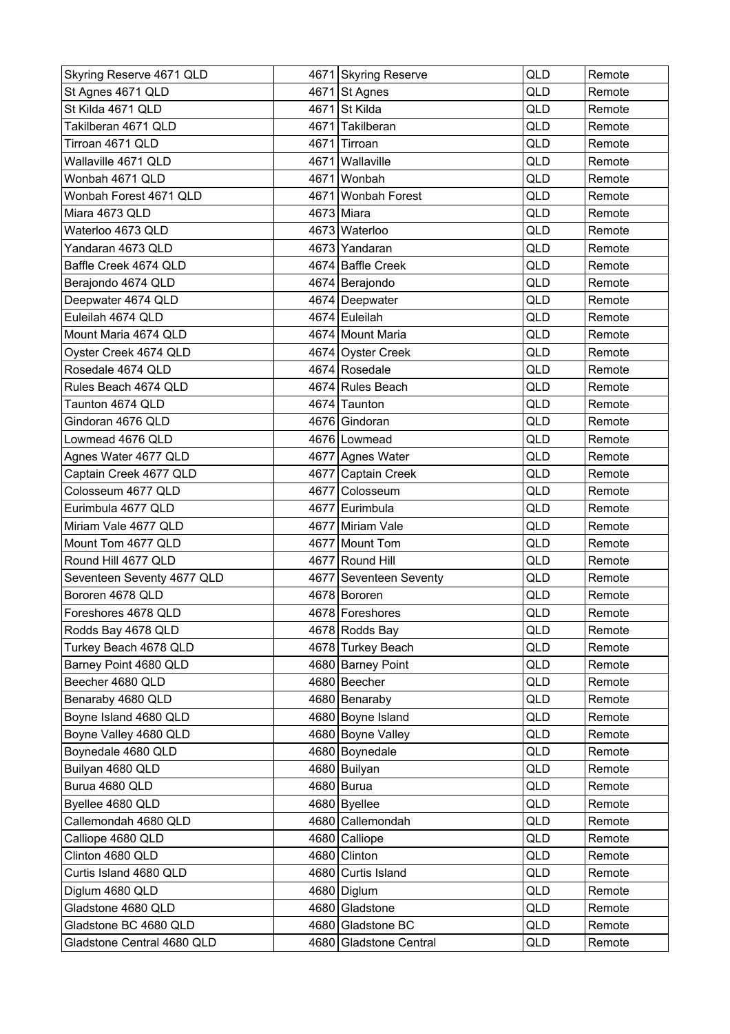| Skyring Reserve 4671 QLD   |      | 4671 Skyring Reserve   | <b>QLD</b> | Remote |
|----------------------------|------|------------------------|------------|--------|
| St Agnes 4671 QLD          |      | 4671 St Agnes          | <b>QLD</b> | Remote |
| St Kilda 4671 QLD          |      | 4671 St Kilda          | QLD        | Remote |
| Takilberan 4671 QLD        | 4671 | Takilberan             | <b>QLD</b> | Remote |
| Tirroan 4671 QLD           |      | 4671 Tirroan           | QLD        | Remote |
| Wallaville 4671 QLD        | 4671 | Wallaville             | QLD        | Remote |
| Wonbah 4671 QLD            | 4671 | Wonbah                 | QLD        | Remote |
| Wonbah Forest 4671 QLD     |      | 4671 Wonbah Forest     | QLD        | Remote |
| Miara 4673 QLD             |      | 4673 Miara             | QLD        | Remote |
| Waterloo 4673 QLD          |      | 4673 Waterloo          | QLD        | Remote |
| Yandaran 4673 QLD          |      | 4673 Yandaran          | QLD        | Remote |
| Baffle Creek 4674 QLD      |      | 4674 Baffle Creek      | QLD        | Remote |
| Berajondo 4674 QLD         |      | 4674 Berajondo         | QLD        | Remote |
| Deepwater 4674 QLD         |      | 4674 Deepwater         | <b>QLD</b> | Remote |
| Euleilah 4674 QLD          |      | 4674 Euleilah          | QLD        | Remote |
| Mount Maria 4674 QLD       |      | 4674 Mount Maria       | QLD        | Remote |
| Oyster Creek 4674 QLD      |      | 4674 Oyster Creek      | QLD        | Remote |
| Rosedale 4674 QLD          |      | 4674 Rosedale          | <b>QLD</b> | Remote |
| Rules Beach 4674 QLD       |      | 4674 Rules Beach       | QLD        | Remote |
| Taunton 4674 QLD           |      | 4674 Taunton           | <b>QLD</b> | Remote |
| Gindoran 4676 QLD          |      | 4676 Gindoran          | QLD        | Remote |
| Lowmead 4676 QLD           |      | 4676 Lowmead           | <b>QLD</b> | Remote |
| Agnes Water 4677 QLD       |      | 4677 Agnes Water       | QLD        | Remote |
| Captain Creek 4677 QLD     |      | 4677 Captain Creek     | QLD        | Remote |
| Colosseum 4677 QLD         |      | 4677 Colosseum         | QLD        | Remote |
| Eurimbula 4677 QLD         |      | 4677 Eurimbula         | QLD        | Remote |
| Miriam Vale 4677 QLD       |      | 4677 Miriam Vale       | QLD        | Remote |
| Mount Tom 4677 QLD         |      | 4677 Mount Tom         | QLD        | Remote |
| Round Hill 4677 QLD        |      | 4677 Round Hill        | QLD        | Remote |
| Seventeen Seventy 4677 QLD |      | 4677 Seventeen Seventy | QLD        | Remote |
| Bororen 4678 QLD           |      | 4678 Bororen           | QLD        | Remote |
| Foreshores 4678 QLD        |      | 4678 Foreshores        | QLD        | Remote |
| Rodds Bay 4678 QLD         |      | 4678 Rodds Bay         | QLD        | Remote |
| Turkey Beach 4678 QLD      |      | 4678 Turkey Beach      | QLD        | Remote |
| Barney Point 4680 QLD      |      | 4680 Barney Point      | QLD        | Remote |
| Beecher 4680 QLD           |      | 4680 Beecher           | QLD        | Remote |
| Benaraby 4680 QLD          |      | 4680 Benaraby          | QLD        | Remote |
| Boyne Island 4680 QLD      |      | 4680 Boyne Island      | QLD        | Remote |
| Boyne Valley 4680 QLD      |      | 4680 Boyne Valley      | QLD        | Remote |
| Boynedale 4680 QLD         |      | 4680 Boynedale         | QLD        | Remote |
| Builyan 4680 QLD           |      | 4680 Builyan           | QLD        | Remote |
| Burua 4680 QLD             |      | 4680 Burua             | QLD        | Remote |
| Byellee 4680 QLD           |      | 4680 Byellee           | <b>QLD</b> | Remote |
| Callemondah 4680 QLD       |      | 4680 Callemondah       | QLD        | Remote |
| Calliope 4680 QLD          |      | 4680 Calliope          | QLD        | Remote |
| Clinton 4680 QLD           |      | 4680 Clinton           | QLD        | Remote |
| Curtis Island 4680 QLD     |      | 4680 Curtis Island     | QLD        | Remote |
| Diglum 4680 QLD            |      | 4680 Diglum            | QLD        | Remote |
| Gladstone 4680 QLD         |      | 4680 Gladstone         | QLD        | Remote |
| Gladstone BC 4680 QLD      |      | 4680 Gladstone BC      | QLD        | Remote |
| Gladstone Central 4680 QLD |      | 4680 Gladstone Central | QLD        | Remote |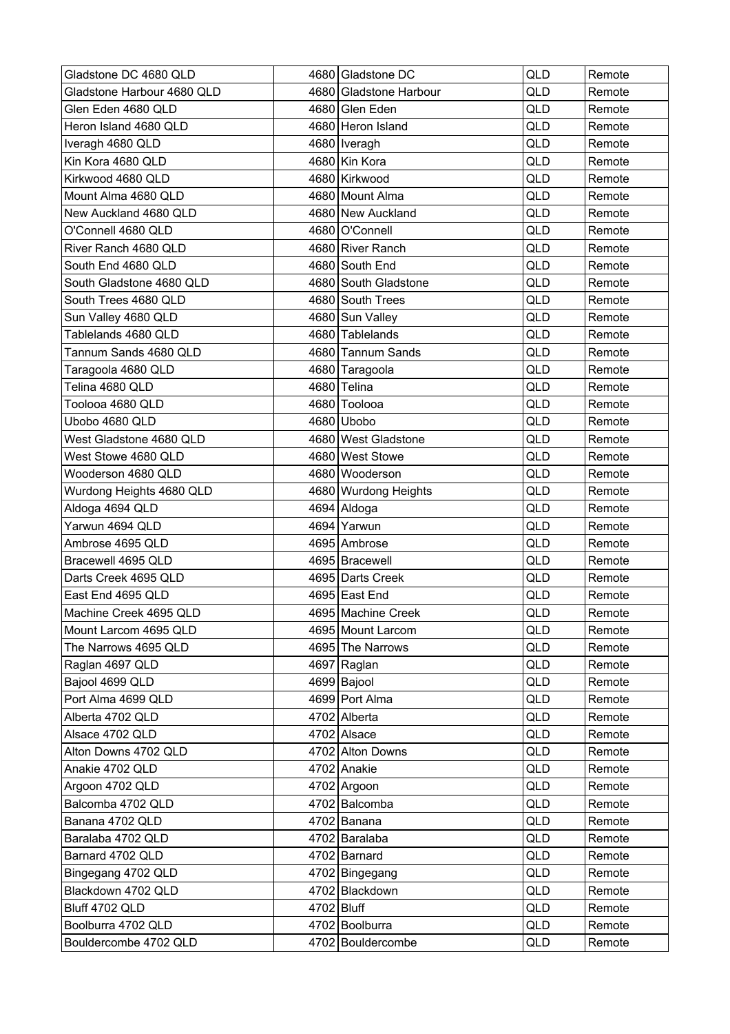| Gladstone DC 4680 QLD      |            | 4680 Gladstone DC      | <b>QLD</b> | Remote |
|----------------------------|------------|------------------------|------------|--------|
| Gladstone Harbour 4680 QLD |            | 4680 Gladstone Harbour | QLD        | Remote |
| Glen Eden 4680 QLD         |            | 4680 Glen Eden         | QLD        | Remote |
| Heron Island 4680 QLD      |            | 4680 Heron Island      | QLD        | Remote |
| Iveragh 4680 QLD           |            | 4680   Iveragh         | QLD        | Remote |
| Kin Kora 4680 QLD          |            | 4680 Kin Kora          | QLD        | Remote |
| Kirkwood 4680 QLD          |            | 4680 Kirkwood          | <b>QLD</b> | Remote |
| Mount Alma 4680 QLD        |            | 4680 Mount Alma        | QLD        | Remote |
| New Auckland 4680 QLD      |            | 4680 New Auckland      | QLD        | Remote |
| O'Connell 4680 QLD         |            | 4680 O'Connell         | QLD        | Remote |
| River Ranch 4680 QLD       |            | 4680 River Ranch       | QLD        | Remote |
| South End 4680 QLD         |            | 4680 South End         | QLD        | Remote |
| South Gladstone 4680 QLD   |            | 4680 South Gladstone   | QLD        | Remote |
| South Trees 4680 QLD       |            | 4680 South Trees       | <b>QLD</b> | Remote |
| Sun Valley 4680 QLD        |            | 4680 Sun Valley        | QLD        | Remote |
| Tablelands 4680 QLD        |            | 4680 Tablelands        | QLD        | Remote |
| Tannum Sands 4680 QLD      |            | 4680 Tannum Sands      | QLD        | Remote |
| Taragoola 4680 QLD         |            | 4680 Taragoola         | QLD        | Remote |
| Telina 4680 QLD            |            | 4680 Telina            | QLD        | Remote |
| Toolooa 4680 QLD           |            | 4680 Toolooa           | <b>QLD</b> | Remote |
| Ubobo 4680 QLD             |            | 4680 Ubobo             | QLD        | Remote |
| West Gladstone 4680 QLD    |            | 4680 West Gladstone    | QLD        | Remote |
| West Stowe 4680 QLD        |            | 4680 West Stowe        | QLD        | Remote |
| Wooderson 4680 QLD         |            | 4680 Wooderson         | QLD        | Remote |
| Wurdong Heights 4680 QLD   |            | 4680 Wurdong Heights   | QLD        | Remote |
| Aldoga 4694 QLD            |            | 4694 Aldoga            | QLD        | Remote |
| Yarwun 4694 QLD            |            | 4694 Yarwun            | QLD        | Remote |
| Ambrose 4695 QLD           |            | 4695 Ambrose           | <b>QLD</b> | Remote |
| Bracewell 4695 QLD         |            | 4695 Bracewell         | QLD        | Remote |
| Darts Creek 4695 QLD       |            | 4695 Darts Creek       | QLD        | Remote |
| East End 4695 QLD          |            | 4695 East End          | QLD        | Remote |
| Machine Creek 4695 QLD     |            | 4695 Machine Creek     | QLD        | Remote |
| Mount Larcom 4695 QLD      |            | 4695 Mount Larcom      | QLD        | Remote |
| The Narrows 4695 QLD       |            | 4695 The Narrows       | QLD        | Remote |
| Raglan 4697 QLD            |            | 4697 Raglan            | QLD        | Remote |
| Bajool 4699 QLD            |            | 4699 Bajool            | QLD        | Remote |
| Port Alma 4699 QLD         |            | 4699 Port Alma         | QLD        | Remote |
| Alberta 4702 QLD           |            | 4702 Alberta           | QLD        | Remote |
| Alsace 4702 QLD            |            | 4702 Alsace            | QLD        | Remote |
| Alton Downs 4702 QLD       |            | 4702 Alton Downs       | QLD        | Remote |
| Anakie 4702 QLD            |            | 4702 Anakie            | QLD        | Remote |
| Argoon 4702 QLD            |            | 4702 Argoon            | QLD        | Remote |
| Balcomba 4702 QLD          |            | 4702 Balcomba          | QLD        | Remote |
| Banana 4702 QLD            |            | 4702 Banana            | QLD        | Remote |
| Baralaba 4702 QLD          |            | 4702 Baralaba          | QLD        | Remote |
| Barnard 4702 QLD           |            | 4702 Barnard           | QLD        | Remote |
| Bingegang 4702 QLD         |            | 4702 Bingegang         | QLD        | Remote |
| Blackdown 4702 QLD         |            | 4702 Blackdown         | QLD        | Remote |
| Bluff 4702 QLD             | 4702 Bluff |                        | QLD        | Remote |
| Boolburra 4702 QLD         |            | 4702 Boolburra         | QLD        | Remote |
| Bouldercombe 4702 QLD      |            | 4702 Bouldercombe      | QLD        | Remote |
|                            |            |                        |            |        |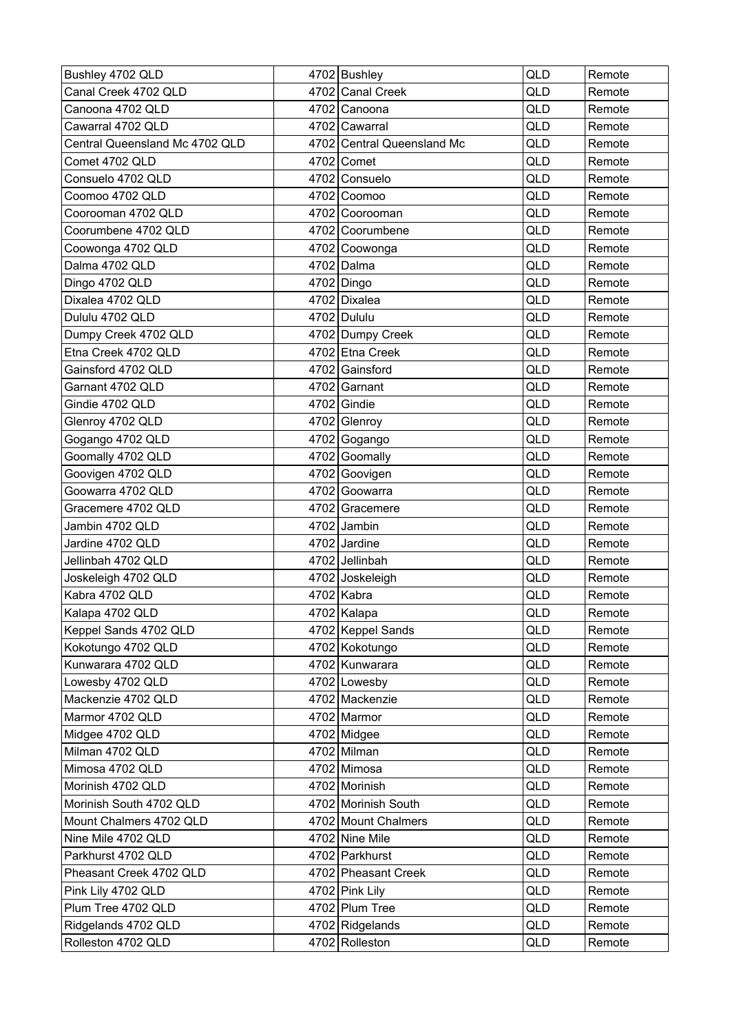| Bushley 4702 QLD               | 4702 Bushley               | QLD | Remote |
|--------------------------------|----------------------------|-----|--------|
| Canal Creek 4702 QLD           | 4702 Canal Creek           | QLD | Remote |
| Canoona 4702 QLD               | 4702 Canoona               | QLD | Remote |
| Cawarral 4702 QLD              | 4702 Cawarral              | QLD | Remote |
| Central Queensland Mc 4702 QLD | 4702 Central Queensland Mc | QLD | Remote |
| Comet 4702 QLD                 | 4702 Comet                 | QLD | Remote |
| Consuelo 4702 QLD              | 4702 Consuelo              | QLD | Remote |
| Coomoo 4702 QLD                | 4702 Coomoo                | QLD | Remote |
| Coorooman 4702 QLD             | 4702 Coorooman             | QLD | Remote |
| Coorumbene 4702 QLD            | 4702 Coorumbene            | QLD | Remote |
| Coowonga 4702 QLD              | 4702 Coowonga              | QLD | Remote |
| Dalma 4702 QLD                 | 4702 Dalma                 | QLD | Remote |
| Dingo 4702 QLD                 | 4702 Dingo                 | QLD | Remote |
| Dixalea 4702 QLD               | 4702 Dixalea               | QLD | Remote |
| Dululu 4702 QLD                | 4702 Dululu                | QLD | Remote |
| Dumpy Creek 4702 QLD           | 4702 Dumpy Creek           | QLD | Remote |
| Etna Creek 4702 QLD            | 4702 Etna Creek            | QLD | Remote |
| Gainsford 4702 QLD             | 4702 Gainsford             | QLD | Remote |
| Garnant 4702 QLD               | 4702 Garnant               | QLD | Remote |
| Gindie 4702 QLD                | $4702$ Gindie              | QLD | Remote |
| Glenroy 4702 QLD               | 4702 Glenroy               | QLD | Remote |
| Gogango 4702 QLD               | 4702 Gogango               | QLD | Remote |
| Goomally 4702 QLD              | 4702 Goomally              | QLD | Remote |
| Goovigen 4702 QLD              | 4702 Goovigen              | QLD | Remote |
| Goowarra 4702 QLD              | 4702 Goowarra              | QLD | Remote |
| Gracemere 4702 QLD             | 4702 Gracemere             | QLD | Remote |
| Jambin 4702 QLD                | 4702 Jambin                | QLD | Remote |
| Jardine 4702 QLD               | 4702 Jardine               | QLD | Remote |
| Jellinbah 4702 QLD             | 4702 Jellinbah             | QLD | Remote |
| Joskeleigh 4702 QLD            | 4702 Joskeleigh            | QLD | Remote |
| Kabra 4702 QLD                 | 4702 Kabra                 | QLD | Remote |
| Kalapa 4702 QLD                | 4702 Kalapa                | QLD | Remote |
| Keppel Sands 4702 QLD          | 4702 Keppel Sands          | QLD | Remote |
| Kokotungo 4702 QLD             | 4702 Kokotungo             | QLD | Remote |
| Kunwarara 4702 QLD             | 4702 Kunwarara             | QLD | Remote |
| Lowesby 4702 QLD               | 4702 Lowesby               | QLD | Remote |
| Mackenzie 4702 QLD             | 4702 Mackenzie             | QLD | Remote |
| Marmor 4702 QLD                | 4702 Marmor                | QLD | Remote |
| Midgee 4702 QLD                | $4702$ Midgee              | QLD | Remote |
| Milman 4702 QLD                | 4702 Milman                | QLD | Remote |
| Mimosa 4702 QLD                | 4702 Mimosa                | QLD | Remote |
| Morinish 4702 QLD              | 4702 Morinish              | QLD | Remote |
| Morinish South 4702 QLD        | 4702 Morinish South        | QLD | Remote |
| Mount Chalmers 4702 QLD        | 4702 Mount Chalmers        | QLD | Remote |
| Nine Mile 4702 QLD             | 4702 Nine Mile             | QLD | Remote |
| Parkhurst 4702 QLD             | 4702 Parkhurst             | QLD | Remote |
| Pheasant Creek 4702 QLD        | 4702 Pheasant Creek        | QLD | Remote |
| Pink Lily 4702 QLD             | 4702 Pink Lily             | QLD | Remote |
| Plum Tree 4702 QLD             | 4702 Plum Tree             | QLD | Remote |
| Ridgelands 4702 QLD            | 4702 Ridgelands            | QLD | Remote |
| Rolleston 4702 QLD             | 4702 Rolleston             | QLD | Remote |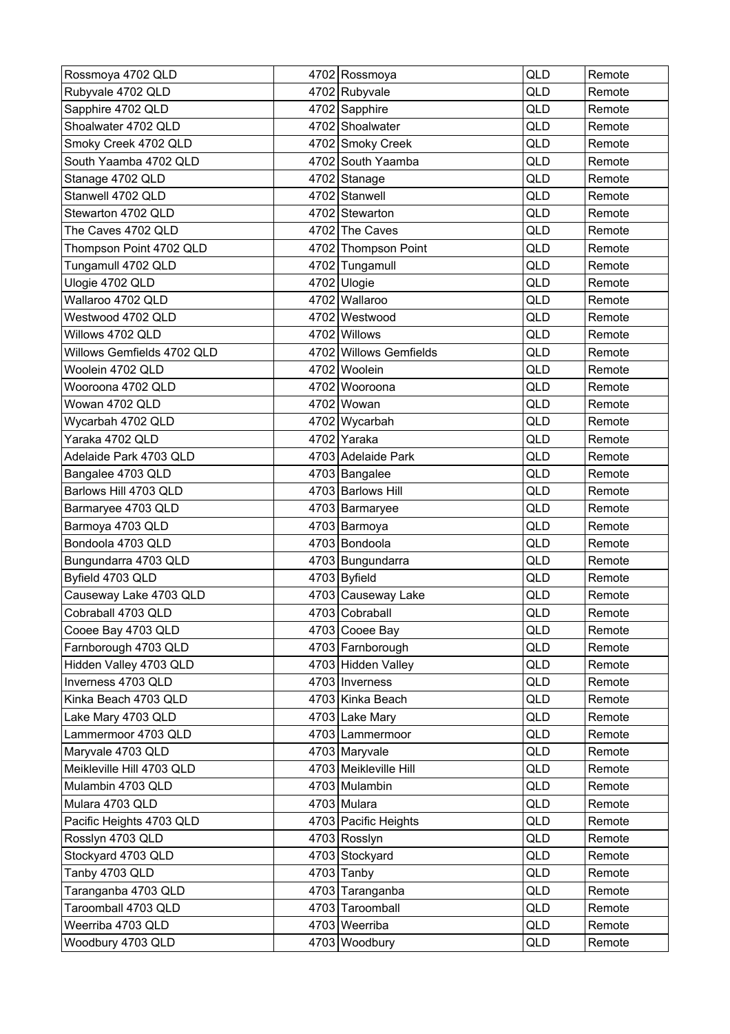| Rossmoya 4702 QLD          |      | 4702 Rossmoya          | <b>QLD</b> | Remote |
|----------------------------|------|------------------------|------------|--------|
| Rubyvale 4702 QLD          |      | 4702 Rubyvale          | QLD        | Remote |
| Sapphire 4702 QLD          |      | 4702 Sapphire          | QLD        | Remote |
| Shoalwater 4702 QLD        |      | 4702 Shoalwater        | QLD        | Remote |
| Smoky Creek 4702 QLD       |      | 4702 Smoky Creek       | QLD        | Remote |
| South Yaamba 4702 QLD      |      | 4702 South Yaamba      | <b>QLD</b> | Remote |
| Stanage 4702 QLD           |      | 4702 Stanage           | <b>QLD</b> | Remote |
| Stanwell 4702 QLD          |      | 4702 Stanwell          | QLD        | Remote |
| Stewarton 4702 QLD         |      | 4702 Stewarton         | QLD        | Remote |
| The Caves 4702 QLD         |      | 4702 The Caves         | QLD        | Remote |
| Thompson Point 4702 QLD    |      | 4702 Thompson Point    | <b>QLD</b> | Remote |
| Tungamull 4702 QLD         |      | 4702 Tungamull         | QLD        | Remote |
| Ulogie 4702 QLD            |      | 4702 Ulogie            | <b>QLD</b> | Remote |
| Wallaroo 4702 QLD          |      | 4702 Wallaroo          | QLD        | Remote |
| Westwood 4702 QLD          | 4702 | Westwood               | QLD        | Remote |
| Willows 4702 QLD           |      | 4702 Willows           | QLD        | Remote |
| Willows Gemfields 4702 QLD |      | 4702 Willows Gemfields | <b>QLD</b> | Remote |
| Woolein 4702 QLD           |      | 4702 Woolein           | QLD        | Remote |
| Wooroona 4702 QLD          |      | 4702 Wooroona          | QLD        | Remote |
| Wowan 4702 QLD             |      | 4702 Wowan             | <b>QLD</b> | Remote |
| Wycarbah 4702 QLD          |      | 4702 Wycarbah          | QLD        | Remote |
| Yaraka 4702 QLD            |      | 4702 Yaraka            | QLD        | Remote |
| Adelaide Park 4703 QLD     |      | 4703 Adelaide Park     | QLD        | Remote |
| Bangalee 4703 QLD          |      | 4703 Bangalee          | QLD        | Remote |
| Barlows Hill 4703 QLD      |      | 4703 Barlows Hill      | QLD        | Remote |
| Barmaryee 4703 QLD         |      | 4703 Barmaryee         | QLD        | Remote |
| Barmoya 4703 QLD           |      | 4703 Barmoya           | QLD        | Remote |
| Bondoola 4703 QLD          |      | 4703 Bondoola          | <b>QLD</b> | Remote |
| Bungundarra 4703 QLD       |      | 4703 Bungundarra       | QLD        | Remote |
| Byfield 4703 QLD           |      | 4703 Byfield           | QLD        | Remote |
| Causeway Lake 4703 QLD     |      | 4703 Causeway Lake     | QLD        | Remote |
| Cobraball 4703 QLD         |      | 4703 Cobraball         | QLD        | Remote |
| Cooee Bay 4703 QLD         |      | 4703 Cooee Bay         | QLD        | Remote |
| Farnborough 4703 QLD       |      | 4703 Farnborough       | QLD        | Remote |
| Hidden Valley 4703 QLD     |      | 4703 Hidden Valley     | QLD        | Remote |
| Inverness 4703 QLD         |      | 4703   Inverness       | QLD        | Remote |
| Kinka Beach 4703 QLD       |      | 4703 Kinka Beach       | QLD        | Remote |
| Lake Mary 4703 QLD         |      | 4703 Lake Mary         | QLD        | Remote |
| Lammermoor 4703 QLD        |      | 4703 Lammermoor        | QLD        | Remote |
| Maryvale 4703 QLD          |      | 4703 Maryvale          | QLD        | Remote |
| Meikleville Hill 4703 QLD  |      | 4703 Meikleville Hill  | QLD        | Remote |
| Mulambin 4703 QLD          |      | 4703 Mulambin          | QLD        | Remote |
| Mulara 4703 QLD            |      | 4703 Mulara            | QLD        | Remote |
| Pacific Heights 4703 QLD   |      | 4703 Pacific Heights   | QLD        | Remote |
| Rosslyn 4703 QLD           |      | 4703 Rosslyn           | QLD        | Remote |
| Stockyard 4703 QLD         |      | 4703 Stockyard         | QLD        | Remote |
| Tanby 4703 QLD             |      | $4703$ Tanby           | QLD        | Remote |
| Taranganba 4703 QLD        |      | 4703 Taranganba        | QLD        | Remote |
| Taroomball 4703 QLD        |      | 4703 Taroomball        | QLD        | Remote |
| Weerriba 4703 QLD          |      | 4703 Weerriba          | QLD        | Remote |
| Woodbury 4703 QLD          |      | 4703 Woodbury          | QLD        | Remote |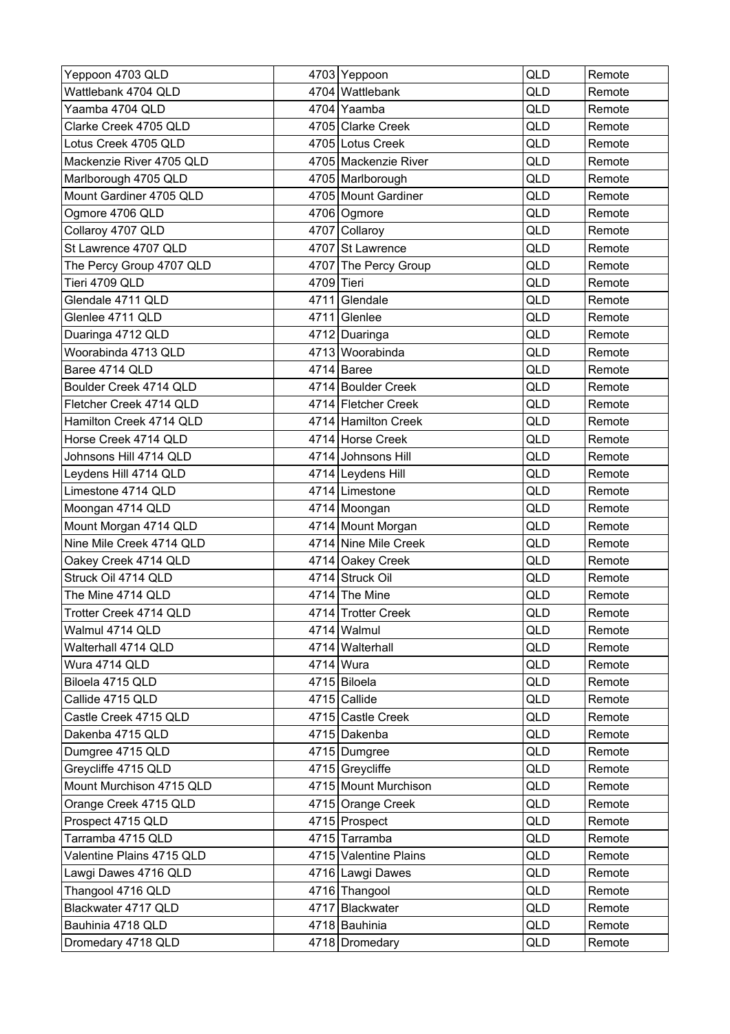| Yeppoon 4703 QLD          |            | 4703 Yeppoon          | QLD | Remote |
|---------------------------|------------|-----------------------|-----|--------|
| Wattlebank 4704 QLD       |            | 4704 Wattlebank       | QLD | Remote |
| Yaamba 4704 QLD           |            | 4704 Yaamba           | QLD | Remote |
| Clarke Creek 4705 QLD     |            | 4705 Clarke Creek     | QLD | Remote |
| Lotus Creek 4705 QLD      |            | 4705 Lotus Creek      | QLD | Remote |
| Mackenzie River 4705 QLD  |            | 4705 Mackenzie River  | QLD | Remote |
| Marlborough 4705 QLD      |            | 4705 Marlborough      | QLD | Remote |
| Mount Gardiner 4705 QLD   |            | 4705 Mount Gardiner   | QLD | Remote |
| Ogmore 4706 QLD           |            | 4706 Ogmore           | QLD | Remote |
| Collaroy 4707 QLD         |            | 4707 Collaroy         | QLD | Remote |
| St Lawrence 4707 QLD      |            | 4707 St Lawrence      | QLD | Remote |
| The Percy Group 4707 QLD  |            | 4707 The Percy Group  | QLD | Remote |
| Tieri 4709 QLD            | 4709 Tieri |                       | QLD | Remote |
| Glendale 4711 QLD         |            | 4711 Glendale         | QLD | Remote |
| Glenlee 4711 QLD          |            | 4711 Glenlee          | QLD | Remote |
| Duaringa 4712 QLD         |            | 4712 Duaringa         | QLD | Remote |
| Woorabinda 4713 QLD       |            | 4713 Woorabinda       | QLD | Remote |
| Baree 4714 QLD            |            | $4714$ Baree          | QLD | Remote |
| Boulder Creek 4714 QLD    |            | 4714 Boulder Creek    | QLD | Remote |
| Fletcher Creek 4714 QLD   |            | 4714 Fletcher Creek   | QLD | Remote |
| Hamilton Creek 4714 QLD   |            | 4714 Hamilton Creek   | QLD | Remote |
| Horse Creek 4714 QLD      |            | 4714 Horse Creek      | QLD | Remote |
| Johnsons Hill 4714 QLD    |            | 4714 Johnsons Hill    | QLD | Remote |
| Leydens Hill 4714 QLD     |            | 4714 Leydens Hill     | QLD | Remote |
| Limestone 4714 QLD        |            | 4714 Limestone        | QLD | Remote |
| Moongan 4714 QLD          |            | 4714 Moongan          | QLD | Remote |
| Mount Morgan 4714 QLD     |            | 4714 Mount Morgan     | QLD | Remote |
| Nine Mile Creek 4714 QLD  |            | 4714 Nine Mile Creek  | QLD | Remote |
| Oakey Creek 4714 QLD      |            | 4714 Oakey Creek      | QLD | Remote |
| Struck Oil 4714 QLD       |            | 4714 Struck Oil       | QLD | Remote |
| The Mine 4714 QLD         |            | $4714$ The Mine       | QLD | Remote |
| Trotter Creek 4714 QLD    |            | 4714 Trotter Creek    | QLD | Remote |
| Walmul 4714 QLD           |            | 4714 Walmul           | QLD | Remote |
| Walterhall 4714 QLD       |            | 4714 Walterhall       | QLD | Remote |
| Wura 4714 QLD             |            | 4714 Wura             | QLD | Remote |
| Biloela 4715 QLD          |            | 4715 Biloela          | QLD | Remote |
| Callide 4715 QLD          |            | 4715 Callide          | QLD | Remote |
| Castle Creek 4715 QLD     |            | 4715 Castle Creek     | QLD | Remote |
| Dakenba 4715 QLD          |            | 4715 Dakenba          | QLD | Remote |
| Dumgree 4715 QLD          |            | 4715 Dumgree          | QLD | Remote |
| Greycliffe 4715 QLD       |            | 4715 Greycliffe       | QLD | Remote |
| Mount Murchison 4715 QLD  |            | 4715 Mount Murchison  | QLD | Remote |
| Orange Creek 4715 QLD     |            | 4715 Orange Creek     | QLD | Remote |
| Prospect 4715 QLD         |            | 4715 Prospect         | QLD | Remote |
| Tarramba 4715 QLD         |            | 4715 Tarramba         | QLD | Remote |
| Valentine Plains 4715 QLD |            | 4715 Valentine Plains | QLD | Remote |
| Lawgi Dawes 4716 QLD      |            | 4716 Lawgi Dawes      | QLD | Remote |
| Thangool 4716 QLD         |            | 4716 Thangool         | QLD | Remote |
| Blackwater 4717 QLD       |            | 4717 Blackwater       | QLD | Remote |
| Bauhinia 4718 QLD         |            | 4718 Bauhinia         | QLD | Remote |
| Dromedary 4718 QLD        |            | 4718 Dromedary        | QLD | Remote |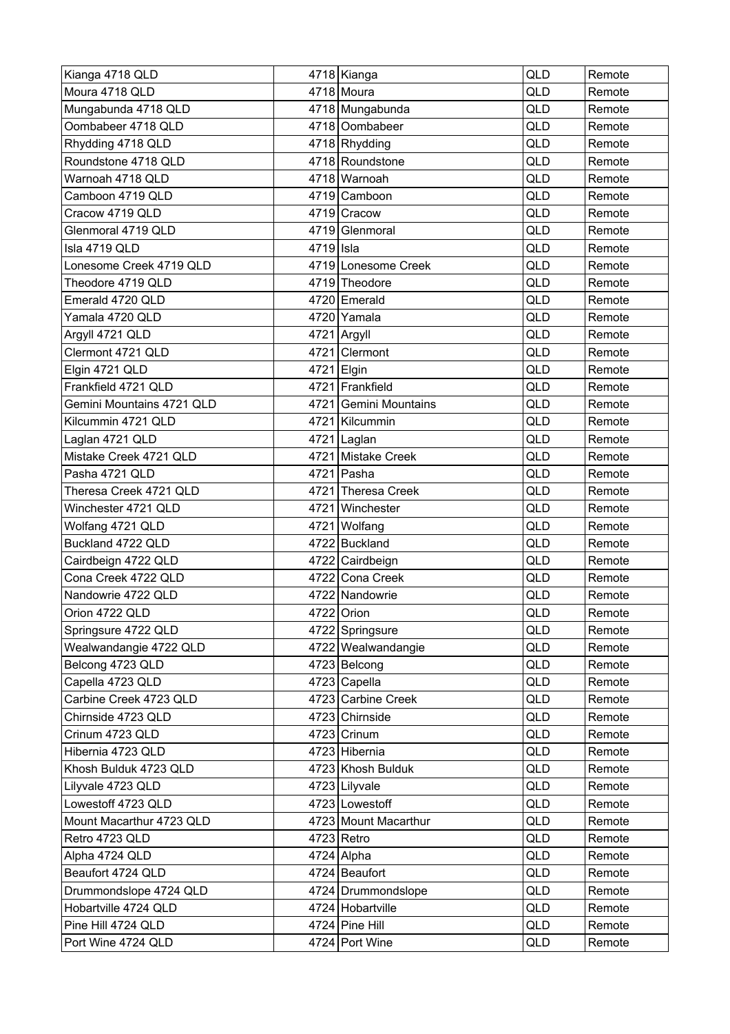| Kianga 4718 QLD           |           | 4718 Kianga           | <b>QLD</b> | Remote |
|---------------------------|-----------|-----------------------|------------|--------|
| Moura 4718 QLD            |           | 4718 Moura            | <b>QLD</b> | Remote |
| Mungabunda 4718 QLD       |           | 4718 Mungabunda       | <b>QLD</b> | Remote |
| Oombabeer 4718 QLD        |           | 4718 Oombabeer        | QLD        | Remote |
| Rhydding 4718 QLD         |           | 4718 Rhydding         | QLD        | Remote |
| Roundstone 4718 QLD       |           | 4718 Roundstone       | <b>QLD</b> | Remote |
| Warnoah 4718 QLD          |           | 4718 Warnoah          | <b>QLD</b> | Remote |
| Camboon 4719 QLD          |           | 4719 Camboon          | QLD        | Remote |
| Cracow 4719 QLD           |           | 4719 Cracow           | QLD        | Remote |
| Glenmoral 4719 QLD        |           | 4719 Glenmoral        | QLD        | Remote |
| Isla 4719 QLD             | 4719 Isla |                       | <b>QLD</b> | Remote |
| Lonesome Creek 4719 QLD   |           | 4719 Lonesome Creek   | QLD        | Remote |
| Theodore 4719 QLD         |           | 4719 Theodore         | <b>QLD</b> | Remote |
| Emerald 4720 QLD          |           | 4720 Emerald          | QLD        | Remote |
| Yamala 4720 QLD           |           | 4720 Yamala           | <b>QLD</b> | Remote |
| Argyll 4721 QLD           |           | 4721 Argyll           | QLD        | Remote |
| Clermont 4721 QLD         |           | 4721 Clermont         | <b>QLD</b> | Remote |
| Elgin 4721 QLD            |           | 4721 Elgin            | <b>QLD</b> | Remote |
| Frankfield 4721 QLD       |           | 4721 Frankfield       | <b>QLD</b> | Remote |
| Gemini Mountains 4721 QLD |           | 4721 Gemini Mountains | <b>QLD</b> | Remote |
| Kilcummin 4721 QLD        |           | 4721 Kilcummin        | <b>QLD</b> | Remote |
| Laglan 4721 QLD           |           | 4721 Laglan           | QLD        | Remote |
| Mistake Creek 4721 QLD    |           | 4721 Mistake Creek    | QLD        | Remote |
| Pasha 4721 QLD            |           | 4721 Pasha            | QLD        | Remote |
| Theresa Creek 4721 QLD    |           | 4721 Theresa Creek    | QLD        | Remote |
| Winchester 4721 QLD       | 4721      | Winchester            | QLD        | Remote |
| Wolfang 4721 QLD          | 4721      | Wolfang               | <b>QLD</b> | Remote |
| Buckland 4722 QLD         |           | 4722 Buckland         | QLD        | Remote |
| Cairdbeign 4722 QLD       |           | 4722 Cairdbeign       | QLD        | Remote |
| Cona Creek 4722 QLD       |           | 4722 Cona Creek       | <b>QLD</b> | Remote |
| Nandowrie 4722 QLD        |           | 4722 Nandowrie        | QLD        | Remote |
| Orion 4722 QLD            |           | 4722 Orion            | QLD        | Remote |
| Springsure 4722 QLD       |           | 4722 Springsure       | QLD        | Remote |
| Wealwandangie 4722 QLD    |           | 4722 Wealwandangie    | QLD        | Remote |
| Belcong 4723 QLD          |           | 4723 Belcong          | QLD        | Remote |
| Capella 4723 QLD          |           | 4723 Capella          | QLD        | Remote |
| Carbine Creek 4723 QLD    |           | 4723 Carbine Creek    | QLD        | Remote |
| Chirnside 4723 QLD        |           | 4723 Chirnside        | QLD        | Remote |
| Crinum 4723 QLD           |           | 4723 Crinum           | QLD        | Remote |
| Hibernia 4723 QLD         |           | 4723 Hibernia         | QLD        | Remote |
| Khosh Bulduk 4723 QLD     |           | 4723 Khosh Bulduk     | QLD        | Remote |
| Lilyvale 4723 QLD         |           | 4723 Lilyvale         | QLD        | Remote |
| Lowestoff 4723 QLD        |           | 4723 Lowestoff        | QLD        | Remote |
| Mount Macarthur 4723 QLD  |           | 4723 Mount Macarthur  | QLD        | Remote |
| Retro 4723 QLD            |           | $4723$ Retro          | QLD        | Remote |
| Alpha 4724 QLD            |           | 4724 Alpha            | QLD        | Remote |
| Beaufort 4724 QLD         |           | 4724 Beaufort         | QLD        | Remote |
| Drummondslope 4724 QLD    |           | 4724 Drummondslope    | QLD        | Remote |
| Hobartville 4724 QLD      |           | 4724 Hobartville      | QLD        | Remote |
| Pine Hill 4724 QLD        |           | 4724 Pine Hill        | QLD        | Remote |
| Port Wine 4724 QLD        |           | 4724 Port Wine        | QLD        | Remote |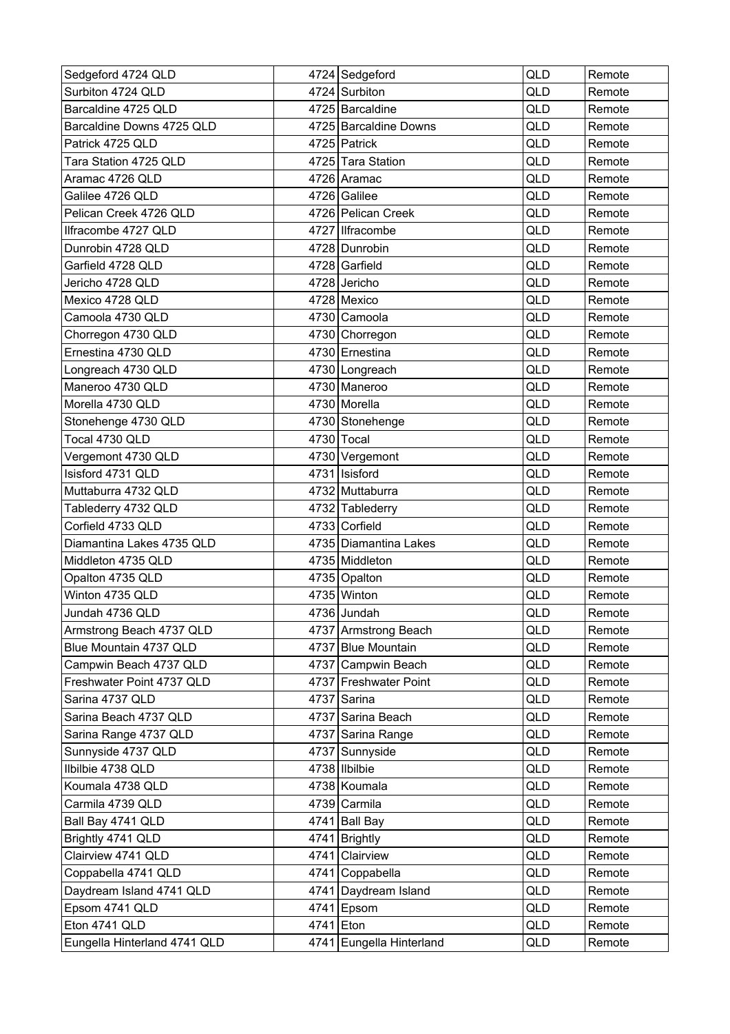| Sedgeford 4724 QLD           |           | 4724 Sedgeford           | <b>QLD</b> | Remote |
|------------------------------|-----------|--------------------------|------------|--------|
| Surbiton 4724 QLD            |           | 4724 Surbiton            | QLD        | Remote |
| Barcaldine 4725 QLD          |           | 4725 Barcaldine          | <b>QLD</b> | Remote |
| Barcaldine Downs 4725 QLD    |           | 4725 Barcaldine Downs    | QLD        | Remote |
| Patrick 4725 QLD             |           | 4725 Patrick             | QLD        | Remote |
| Tara Station 4725 QLD        |           | 4725 Tara Station        | <b>QLD</b> | Remote |
| Aramac 4726 QLD              |           | 4726 Aramac              | <b>QLD</b> | Remote |
| Galilee 4726 QLD             |           | 4726 Galilee             | QLD        | Remote |
| Pelican Creek 4726 QLD       |           | 4726 Pelican Creek       | QLD        | Remote |
| Ilfracombe 4727 QLD          |           | 4727   Ilfracombe        | QLD        | Remote |
| Dunrobin 4728 QLD            |           | 4728 Dunrobin            | <b>QLD</b> | Remote |
| Garfield 4728 QLD            |           | 4728 Garfield            | QLD        | Remote |
| Jericho 4728 QLD             |           | 4728 Jericho             | <b>QLD</b> | Remote |
| Mexico 4728 QLD              |           | 4728 Mexico              | <b>QLD</b> | Remote |
| Camoola 4730 QLD             |           | 4730 Camoola             | QLD        | Remote |
| Chorregon 4730 QLD           |           | 4730 Chorregon           | QLD        | Remote |
| Ernestina 4730 QLD           |           | 4730 Ernestina           | <b>QLD</b> | Remote |
| Longreach 4730 QLD           |           | 4730 Longreach           | QLD        | Remote |
| Maneroo 4730 QLD             |           | 4730 Maneroo             | QLD        | Remote |
| Morella 4730 QLD             |           | 4730 Morella             | <b>QLD</b> | Remote |
| Stonehenge 4730 QLD          |           | 4730 Stonehenge          | <b>QLD</b> | Remote |
| Tocal 4730 QLD               |           | 4730 Tocal               | QLD        | Remote |
| Vergemont 4730 QLD           |           | 4730 Vergemont           | QLD        | Remote |
| Isisford 4731 QLD            |           | 4731   Isisford          | QLD        | Remote |
| Muttaburra 4732 QLD          |           | 4732 Muttaburra          | QLD        | Remote |
| Tablederry 4732 QLD          |           | 4732 Tablederry          | QLD        | Remote |
| Corfield 4733 QLD            |           | 4733 Corfield            | <b>QLD</b> | Remote |
| Diamantina Lakes 4735 QLD    |           | 4735 Diamantina Lakes    | QLD        | Remote |
| Middleton 4735 QLD           |           | 4735 Middleton           | QLD        | Remote |
| Opalton 4735 QLD             |           | 4735 Opalton             | <b>QLD</b> | Remote |
| Winton 4735 QLD              |           | 4735 Winton              | QLD        | Remote |
| Jundah 4736 QLD              |           | 4736 Jundah              | QLD        | Remote |
| Armstrong Beach 4737 QLD     |           | 4737 Armstrong Beach     | QLD        | Remote |
| Blue Mountain 4737 QLD       |           | 4737 Blue Mountain       | QLD        | Remote |
| Campwin Beach 4737 QLD       |           | 4737 Campwin Beach       | QLD        | Remote |
| Freshwater Point 4737 QLD    |           | 4737 Freshwater Point    | QLD        | Remote |
| Sarina 4737 QLD              |           | 4737 Sarina              | QLD        | Remote |
| Sarina Beach 4737 QLD        |           | 4737 Sarina Beach        | QLD        | Remote |
| Sarina Range 4737 QLD        |           | 4737 Sarina Range        | QLD        | Remote |
| Sunnyside 4737 QLD           |           | 4737 Sunnyside           | QLD        | Remote |
| Ilbilbie 4738 QLD            |           | 4738 Ilbilbie            | QLD        | Remote |
| Koumala 4738 QLD             |           | 4738 Koumala             | QLD        | Remote |
| Carmila 4739 QLD             |           | 4739 Carmila             | QLD        | Remote |
| Ball Bay 4741 QLD            |           | 4741 Ball Bay            | QLD        | Remote |
| Brightly 4741 QLD            |           | 4741 Brightly            | QLD        | Remote |
| Clairview 4741 QLD           |           | 4741 Clairview           | QLD        | Remote |
| Coppabella 4741 QLD          |           | 4741 Coppabella          | QLD        | Remote |
| Daydream Island 4741 QLD     |           | 4741 Daydream Island     | QLD        | Remote |
| Epsom 4741 QLD               |           | 4741 Epsom               | QLD        | Remote |
| Eton 4741 QLD                | 4741 Eton |                          | QLD        | Remote |
| Eungella Hinterland 4741 QLD |           | 4741 Eungella Hinterland | QLD        | Remote |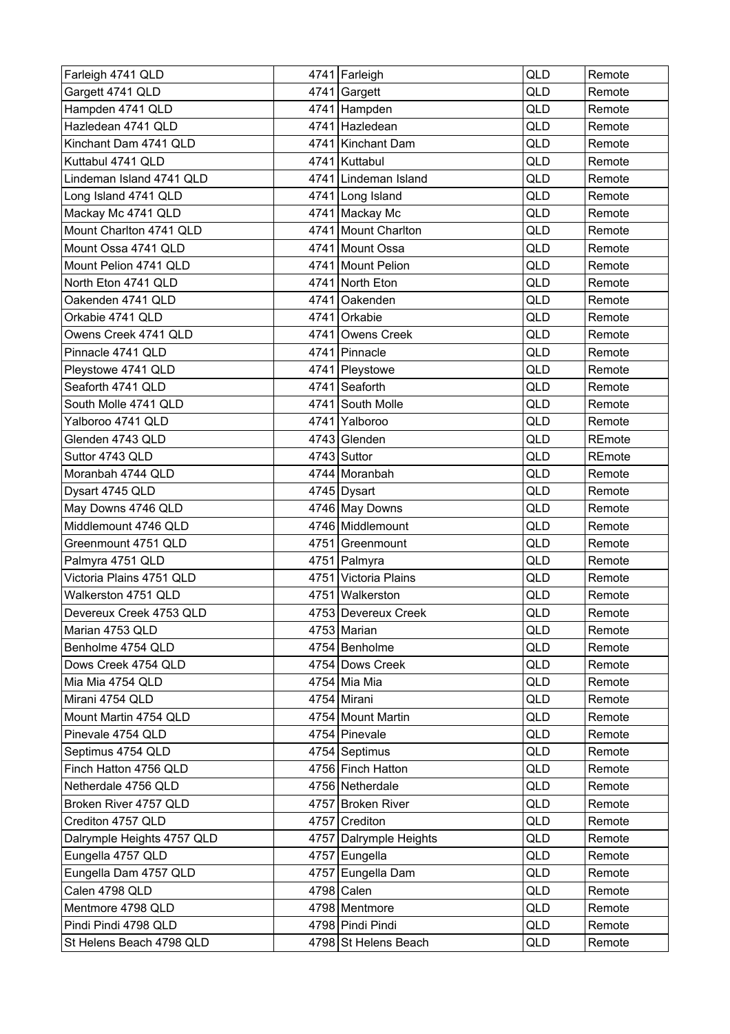| Farleigh 4741 QLD          | 4741 Farleigh          | QLD | Remote |
|----------------------------|------------------------|-----|--------|
| Gargett 4741 QLD           | 4741 Gargett           | QLD | Remote |
| Hampden 4741 QLD           | 4741 Hampden           | QLD | Remote |
| Hazledean 4741 QLD         | 4741 Hazledean         | QLD | Remote |
| Kinchant Dam 4741 QLD      | 4741 Kinchant Dam      | QLD | Remote |
| Kuttabul 4741 QLD          | 4741 Kuttabul          | QLD | Remote |
| Lindeman Island 4741 QLD   | 4741 Lindeman Island   | QLD | Remote |
| Long Island 4741 QLD       | 4741 Long Island       | QLD | Remote |
| Mackay Mc 4741 QLD         | 4741 Mackay Mc         | QLD | Remote |
| Mount Charlton 4741 QLD    | 4741 Mount Charlton    | QLD | Remote |
| Mount Ossa 4741 QLD        | 4741 Mount Ossa        | QLD | Remote |
| Mount Pelion 4741 QLD      | 4741 Mount Pelion      | QLD | Remote |
| North Eton 4741 QLD        | 4741 North Eton        | QLD | Remote |
| Oakenden 4741 QLD          | 4741 Oakenden          | QLD | Remote |
| Orkabie 4741 QLD           | 4741 Orkabie           | QLD | Remote |
| Owens Creek 4741 QLD       | 4741 Owens Creek       | QLD | Remote |
| Pinnacle 4741 QLD          | 4741 Pinnacle          | QLD | Remote |
| Pleystowe 4741 QLD         | 4741 Pleystowe         | QLD | Remote |
| Seaforth 4741 QLD          | 4741 Seaforth          | QLD | Remote |
| South Molle 4741 QLD       | 4741 South Molle       | QLD | Remote |
| Yalboroo 4741 QLD          | 4741 Yalboroo          | QLD | Remote |
| Glenden 4743 QLD           | 4743 Glenden           | QLD | REmote |
| Suttor 4743 QLD            | 4743 Suttor            | QLD | REmote |
| Moranbah 4744 QLD          | 4744 Moranbah          | QLD | Remote |
| Dysart 4745 QLD            | 4745 Dysart            | QLD | Remote |
| May Downs 4746 QLD         | 4746 May Downs         | QLD | Remote |
| Middlemount 4746 QLD       | 4746 Middlemount       | QLD | Remote |
| Greenmount 4751 QLD        | 4751 Greenmount        | QLD | Remote |
| Palmyra 4751 QLD           | 4751   Palmyra         | QLD | Remote |
| Victoria Plains 4751 QLD   | 4751 Victoria Plains   | QLD | Remote |
| Walkerston 4751 QLD        | 4751 Walkerston        | QLD | Remote |
| Devereux Creek 4753 QLD    | 4753 Devereux Creek    | QLD | Remote |
| Marian 4753 QLD            | 4753 Marian            | QLD | Remote |
| Benholme 4754 QLD          | 4754 Benholme          | QLD | Remote |
| Dows Creek 4754 QLD        | 4754 Dows Creek        | QLD | Remote |
| Mia Mia 4754 QLD           | 4754 Mia Mia           | QLD | Remote |
| Mirani 4754 QLD            | 4754 Mirani            | QLD | Remote |
| Mount Martin 4754 QLD      | 4754 Mount Martin      | QLD | Remote |
| Pinevale 4754 QLD          | 4754 Pinevale          | QLD | Remote |
| Septimus 4754 QLD          | 4754 Septimus          | QLD | Remote |
| Finch Hatton 4756 QLD      | 4756 Finch Hatton      | QLD | Remote |
| Netherdale 4756 QLD        | 4756 Netherdale        | QLD | Remote |
| Broken River 4757 QLD      | 4757 Broken River      | QLD | Remote |
| Crediton 4757 QLD          | 4757 Crediton          | QLD | Remote |
| Dalrymple Heights 4757 QLD | 4757 Dalrymple Heights | QLD | Remote |
| Eungella 4757 QLD          | 4757 Eungella          | QLD | Remote |
| Eungella Dam 4757 QLD      | 4757 Eungella Dam      | QLD | Remote |
| Calen 4798 QLD             | 4798 Calen             | QLD | Remote |
| Mentmore 4798 QLD          | 4798 Mentmore          | QLD | Remote |
| Pindi Pindi 4798 QLD       | 4798 Pindi Pindi       | QLD | Remote |
| St Helens Beach 4798 QLD   | 4798 St Helens Beach   | QLD | Remote |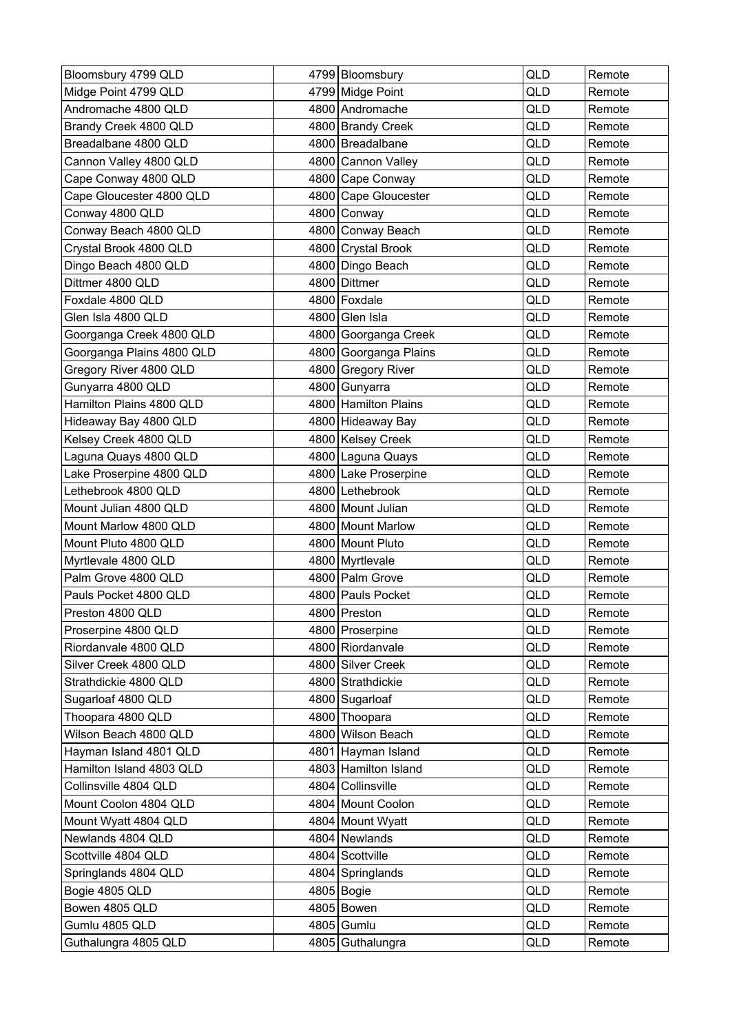| Bloomsbury 4799 QLD       | 4799 Bloomsbury       | <b>QLD</b> | Remote |
|---------------------------|-----------------------|------------|--------|
| Midge Point 4799 QLD      | 4799 Midge Point      | QLD        | Remote |
| Andromache 4800 QLD       | 4800 Andromache       | QLD        | Remote |
| Brandy Creek 4800 QLD     | 4800 Brandy Creek     | QLD        | Remote |
| Breadalbane 4800 QLD      | 4800 Breadalbane      | QLD        | Remote |
| Cannon Valley 4800 QLD    | 4800 Cannon Valley    | QLD        | Remote |
| Cape Conway 4800 QLD      | 4800 Cape Conway      | QLD        | Remote |
| Cape Gloucester 4800 QLD  | 4800 Cape Gloucester  | QLD        | Remote |
| Conway 4800 QLD           | 4800 Conway           | QLD        | Remote |
| Conway Beach 4800 QLD     | 4800 Conway Beach     | QLD        | Remote |
| Crystal Brook 4800 QLD    | 4800 Crystal Brook    | <b>QLD</b> | Remote |
| Dingo Beach 4800 QLD      | 4800 Dingo Beach      | QLD        | Remote |
| Dittmer 4800 QLD          | 4800 Dittmer          | QLD        | Remote |
| Foxdale 4800 QLD          | 4800 Foxdale          | QLD        | Remote |
| Glen Isla 4800 QLD        | 4800 Glen Isla        | QLD        | Remote |
| Goorganga Creek 4800 QLD  | 4800 Goorganga Creek  | QLD        | Remote |
| Goorganga Plains 4800 QLD | 4800 Goorganga Plains | QLD        | Remote |
| Gregory River 4800 QLD    | 4800 Gregory River    | QLD        | Remote |
| Gunyarra 4800 QLD         | 4800 Gunyarra         | QLD        | Remote |
| Hamilton Plains 4800 QLD  | 4800 Hamilton Plains  | QLD        | Remote |
| Hideaway Bay 4800 QLD     | 4800 Hideaway Bay     | QLD        | Remote |
| Kelsey Creek 4800 QLD     | 4800 Kelsey Creek     | QLD        | Remote |
| Laguna Quays 4800 QLD     | 4800 Laguna Quays     | QLD        | Remote |
| Lake Proserpine 4800 QLD  | 4800 Lake Proserpine  | QLD        | Remote |
| Lethebrook 4800 QLD       | 4800 Lethebrook       | <b>QLD</b> | Remote |
| Mount Julian 4800 QLD     | 4800 Mount Julian     | QLD        | Remote |
| Mount Marlow 4800 QLD     | 4800 Mount Marlow     | QLD        | Remote |
| Mount Pluto 4800 QLD      | 4800 Mount Pluto      | QLD        | Remote |
| Myrtlevale 4800 QLD       | 4800 Myrtlevale       | QLD        | Remote |
| Palm Grove 4800 QLD       | 4800 Palm Grove       | QLD        | Remote |
| Pauls Pocket 4800 QLD     | 4800 Pauls Pocket     | QLD        | Remote |
| Preston 4800 QLD          | 4800 Preston          | QLD        | Remote |
| Proserpine 4800 QLD       | 4800 Proserpine       | QLD        | Remote |
| Riordanvale 4800 QLD      | 4800 Riordanvale      | QLD        | Remote |
| Silver Creek 4800 QLD     | 4800 Silver Creek     | QLD        | Remote |
| Strathdickie 4800 QLD     | 4800 Strathdickie     | QLD        | Remote |
| Sugarloaf 4800 QLD        | 4800 Sugarloaf        | QLD        | Remote |
| Thoopara 4800 QLD         | 4800 Thoopara         | QLD        | Remote |
| Wilson Beach 4800 QLD     | 4800 Wilson Beach     | QLD        | Remote |
| Hayman Island 4801 QLD    | 4801 Hayman Island    | QLD        | Remote |
| Hamilton Island 4803 QLD  | 4803 Hamilton Island  | QLD        | Remote |
| Collinsville 4804 QLD     | 4804 Collinsville     | QLD        | Remote |
| Mount Coolon 4804 QLD     | 4804 Mount Coolon     | QLD        | Remote |
| Mount Wyatt 4804 QLD      | 4804 Mount Wyatt      | QLD        | Remote |
| Newlands 4804 QLD         | 4804 Newlands         | QLD        | Remote |
| Scottville 4804 QLD       | 4804 Scottville       | QLD        | Remote |
| Springlands 4804 QLD      | 4804 Springlands      | QLD        | Remote |
| Bogie 4805 QLD            | 4805 Bogie            | QLD        | Remote |
| Bowen 4805 QLD            | 4805 Bowen            | QLD        | Remote |
| Gumlu 4805 QLD            | 4805 Gumlu            | QLD        | Remote |
| Guthalungra 4805 QLD      | 4805 Guthalungra      | QLD        | Remote |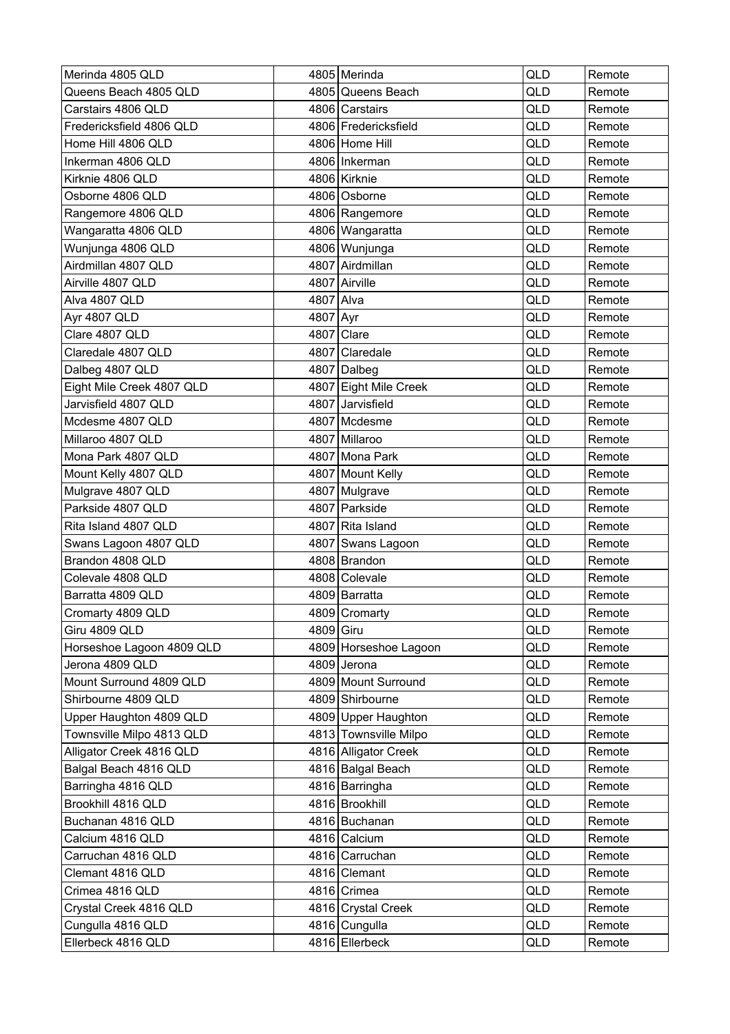| Merinda 4805 QLD          |           | 4805 Merinda          | <b>QLD</b> | Remote |
|---------------------------|-----------|-----------------------|------------|--------|
| Queens Beach 4805 QLD     |           | 4805 Queens Beach     | QLD        | Remote |
| Carstairs 4806 QLD        |           | 4806 Carstairs        | QLD        | Remote |
| Fredericksfield 4806 QLD  |           | 4806 Fredericksfield  | QLD        | Remote |
| Home Hill 4806 QLD        |           | 4806 Home Hill        | QLD        | Remote |
| Inkerman 4806 QLD         |           | 4806 Inkerman         | QLD        | Remote |
| Kirknie 4806 QLD          |           | 4806 Kirknie          | <b>QLD</b> | Remote |
| Osborne 4806 QLD          |           | 4806 Osborne          | QLD        | Remote |
| Rangemore 4806 QLD        |           | 4806 Rangemore        | QLD        | Remote |
| Wangaratta 4806 QLD       |           | 4806   Wangaratta     | QLD        | Remote |
| Wunjunga 4806 QLD         |           | 4806 Wunjunga         | QLD        | Remote |
| Airdmillan 4807 QLD       |           | 4807 Airdmillan       | QLD        | Remote |
| Airville 4807 QLD         |           | 4807 Airville         | QLD        | Remote |
| Alva 4807 QLD             | 4807 Alva |                       | <b>QLD</b> | Remote |
| Ayr 4807 QLD              | 4807 Ayr  |                       | QLD        | Remote |
| Clare 4807 QLD            |           | 4807 Clare            | QLD        | Remote |
| Claredale 4807 QLD        |           | 4807 Claredale        | QLD        | Remote |
| Dalbeg 4807 QLD           |           | 4807 Dalbeg           | QLD        | Remote |
| Eight Mile Creek 4807 QLD |           | 4807 Eight Mile Creek | QLD        | Remote |
| Jarvisfield 4807 QLD      |           | 4807 Jarvisfield      | <b>QLD</b> | Remote |
| Mcdesme 4807 QLD          |           | 4807 Mcdesme          | QLD        | Remote |
| Millaroo 4807 QLD         |           | 4807 Millaroo         | QLD        | Remote |
| Mona Park 4807 QLD        |           | 4807 Mona Park        | QLD        | Remote |
| Mount Kelly 4807 QLD      |           | 4807 Mount Kelly      | QLD        | Remote |
| Mulgrave 4807 QLD         |           | 4807 Mulgrave         | QLD        | Remote |
| Parkside 4807 QLD         |           | 4807 Parkside         | QLD        | Remote |
| Rita Island 4807 QLD      |           | 4807 Rita Island      | QLD        | Remote |
| Swans Lagoon 4807 QLD     |           | 4807 Swans Lagoon     | <b>QLD</b> | Remote |
| Brandon 4808 QLD          |           | 4808 Brandon          | QLD        | Remote |
| Colevale 4808 QLD         |           | 4808 Colevale         | QLD        | Remote |
| Barratta 4809 QLD         |           | 4809 Barratta         | QLD        | Remote |
| Cromarty 4809 QLD         |           | 4809 Cromarty         | QLD        | Remote |
| Giru 4809 QLD             | 4809 Giru |                       | QLD        | Remote |
| Horseshoe Lagoon 4809 QLD |           | 4809 Horseshoe Lagoon | QLD        | Remote |
| Jerona 4809 QLD           |           | 4809 Jerona           | QLD        | Remote |
| Mount Surround 4809 QLD   |           | 4809 Mount Surround   | QLD        | Remote |
| Shirbourne 4809 QLD       |           | 4809 Shirbourne       | QLD        | Remote |
| Upper Haughton 4809 QLD   |           | 4809 Upper Haughton   | QLD        | Remote |
| Townsville Milpo 4813 QLD |           | 4813 Townsville Milpo | QLD        | Remote |
| Alligator Creek 4816 QLD  |           | 4816 Alligator Creek  | QLD        | Remote |
| Balgal Beach 4816 QLD     |           | 4816 Balgal Beach     | QLD        | Remote |
| Barringha 4816 QLD        |           | 4816 Barringha        | QLD        | Remote |
| Brookhill 4816 QLD        |           | 4816 Brookhill        | QLD        | Remote |
| Buchanan 4816 QLD         |           | 4816 Buchanan         | QLD        | Remote |
| Calcium 4816 QLD          |           | 4816 Calcium          | QLD        | Remote |
| Carruchan 4816 QLD        |           | 4816 Carruchan        | QLD        | Remote |
| Clemant 4816 QLD          |           | 4816 Clemant          | QLD        | Remote |
| Crimea 4816 QLD           |           | 4816 Crimea           | QLD        | Remote |
| Crystal Creek 4816 QLD    |           | 4816 Crystal Creek    | QLD        | Remote |
| Cungulla 4816 QLD         |           | 4816 Cungulla         | QLD        | Remote |
| Ellerbeck 4816 QLD        |           | 4816 Ellerbeck        | QLD        | Remote |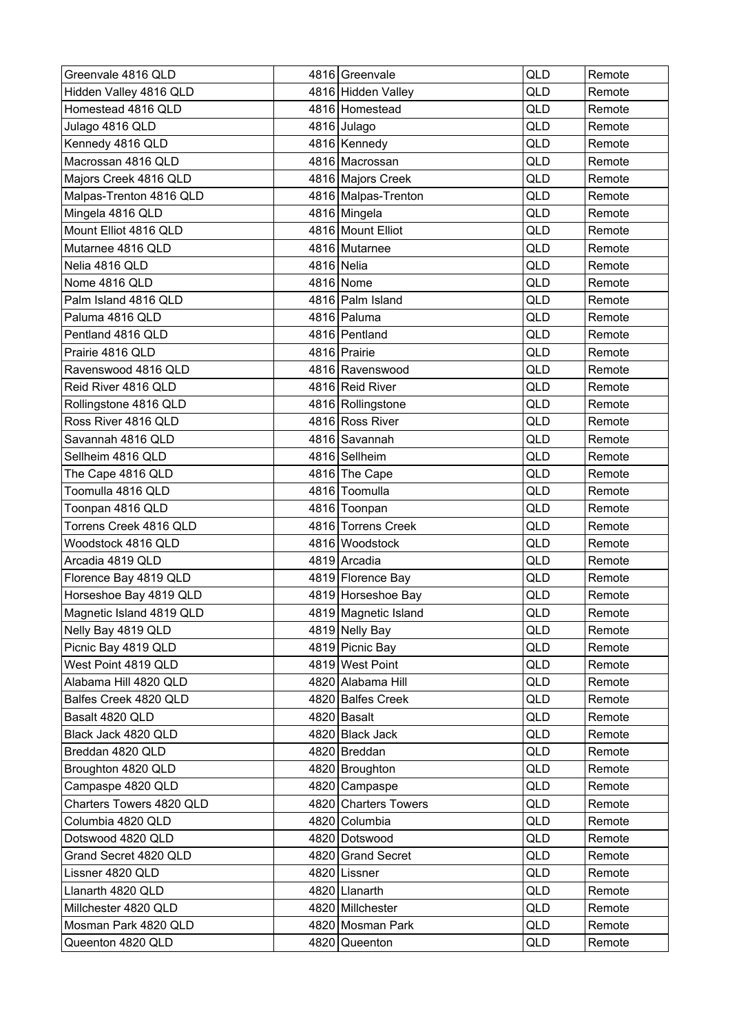| Greenvale 4816 QLD       |            | 4816 Greenvale       | QLD | Remote |
|--------------------------|------------|----------------------|-----|--------|
| Hidden Valley 4816 QLD   |            | 4816 Hidden Valley   | QLD | Remote |
| Homestead 4816 QLD       |            | 4816 Homestead       | QLD | Remote |
| Julago 4816 QLD          |            | 4816 Julago          | QLD | Remote |
| Kennedy 4816 QLD         |            | 4816   Kennedy       | QLD | Remote |
| Macrossan 4816 QLD       |            | 4816 Macrossan       | QLD | Remote |
| Majors Creek 4816 QLD    |            | 4816 Majors Creek    | QLD | Remote |
| Malpas-Trenton 4816 QLD  |            | 4816 Malpas-Trenton  | QLD | Remote |
| Mingela 4816 QLD         |            | 4816 Mingela         | QLD | Remote |
| Mount Elliot 4816 QLD    |            | 4816 Mount Elliot    | QLD | Remote |
| Mutarnee 4816 QLD        |            | 4816 Mutarnee        | QLD | Remote |
| Nelia 4816 QLD           | 4816 Nelia |                      | QLD | Remote |
| Nome 4816 QLD            |            | 4816 Nome            | QLD | Remote |
| Palm Island 4816 QLD     |            | 4816 Palm Island     | QLD | Remote |
| Paluma 4816 QLD          |            | 4816 Paluma          | QLD | Remote |
| Pentland 4816 QLD        |            | 4816 Pentland        | QLD | Remote |
| Prairie 4816 QLD         |            | 4816 Prairie         | QLD | Remote |
| Ravenswood 4816 QLD      |            | 4816 Ravenswood      | QLD | Remote |
| Reid River 4816 QLD      |            | 4816 Reid River      | QLD | Remote |
| Rollingstone 4816 QLD    |            | 4816 Rollingstone    | QLD | Remote |
| Ross River 4816 QLD      |            | 4816 Ross River      | QLD | Remote |
| Savannah 4816 QLD        |            | 4816 Savannah        | QLD | Remote |
| Sellheim 4816 QLD        |            | 4816 Sellheim        | QLD | Remote |
| The Cape 4816 QLD        |            | 4816 The Cape        | QLD | Remote |
| Toomulla 4816 QLD        |            | 4816 Toomulla        | QLD | Remote |
| Toonpan 4816 QLD         |            | 4816 Toonpan         | QLD | Remote |
| Torrens Creek 4816 QLD   |            | 4816 Torrens Creek   | QLD | Remote |
| Woodstock 4816 QLD       |            | 4816 Woodstock       | QLD | Remote |
| Arcadia 4819 QLD         |            | 4819 Arcadia         | QLD | Remote |
| Florence Bay 4819 QLD    |            | 4819 Florence Bay    | QLD | Remote |
| Horseshoe Bay 4819 QLD   |            | 4819 Horseshoe Bay   | QLD | Remote |
| Magnetic Island 4819 QLD |            | 4819 Magnetic Island | QLD | Remote |
| Nelly Bay 4819 QLD       |            | 4819 Nelly Bay       | QLD | Remote |
| Picnic Bay 4819 QLD      |            | 4819 Picnic Bay      | QLD | Remote |
| West Point 4819 QLD      |            | 4819 West Point      | QLD | Remote |
| Alabama Hill 4820 QLD    |            | 4820 Alabama Hill    | QLD | Remote |
| Balfes Creek 4820 QLD    |            | 4820 Balfes Creek    | QLD | Remote |
| Basalt 4820 QLD          |            | 4820 Basalt          | QLD | Remote |
| Black Jack 4820 QLD      |            | 4820 Black Jack      | QLD | Remote |
| Breddan 4820 QLD         |            | 4820 Breddan         | QLD | Remote |
| Broughton 4820 QLD       |            | 4820 Broughton       | QLD | Remote |
| Campaspe 4820 QLD        |            | 4820 Campaspe        | QLD | Remote |
| Charters Towers 4820 QLD |            | 4820 Charters Towers | QLD | Remote |
| Columbia 4820 QLD        |            | 4820 Columbia        | QLD | Remote |
| Dotswood 4820 QLD        |            | 4820 Dotswood        | QLD | Remote |
| Grand Secret 4820 QLD    |            | 4820 Grand Secret    | QLD | Remote |
| Lissner 4820 QLD         |            | 4820 Lissner         | QLD | Remote |
| Llanarth 4820 QLD        |            | 4820 Llanarth        | QLD | Remote |
| Millchester 4820 QLD     |            | 4820 Millchester     | QLD | Remote |
| Mosman Park 4820 QLD     |            | 4820 Mosman Park     | QLD | Remote |
| Queenton 4820 QLD        |            | 4820 Queenton        | QLD | Remote |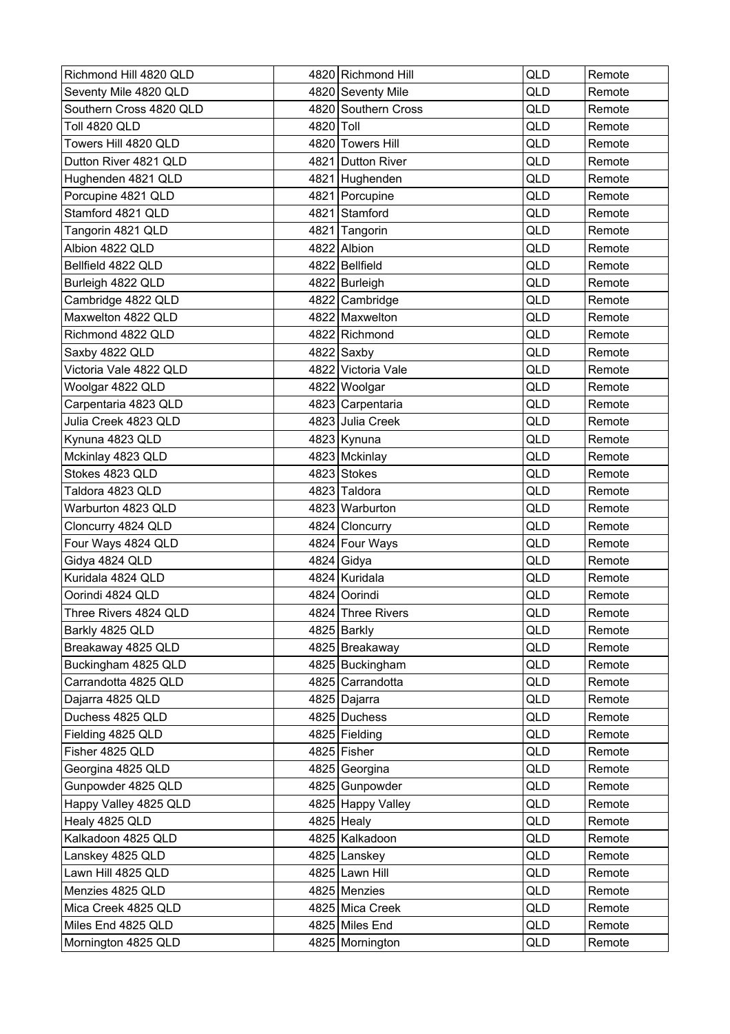| Richmond Hill 4820 QLD  |           | 4820 Richmond Hill  | QLD        | Remote |
|-------------------------|-----------|---------------------|------------|--------|
| Seventy Mile 4820 QLD   |           | 4820 Seventy Mile   | QLD        | Remote |
| Southern Cross 4820 QLD |           | 4820 Southern Cross | QLD        | Remote |
| Toll 4820 QLD           | 4820 Toll |                     | QLD        | Remote |
| Towers Hill 4820 QLD    |           | 4820 Towers Hill    | QLD        | Remote |
| Dutton River 4821 QLD   |           | 4821 Dutton River   | QLD        | Remote |
| Hughenden 4821 QLD      |           | 4821 Hughenden      | QLD        | Remote |
| Porcupine 4821 QLD      |           | 4821 Porcupine      | QLD        | Remote |
| Stamford 4821 QLD       |           | 4821 Stamford       | QLD        | Remote |
| Tangorin 4821 QLD       |           | 4821 Tangorin       | QLD        | Remote |
| Albion 4822 QLD         |           | 4822 Albion         | QLD        | Remote |
| Bellfield 4822 QLD      |           | 4822 Bellfield      | QLD        | Remote |
| Burleigh 4822 QLD       |           | 4822 Burleigh       | QLD        | Remote |
| Cambridge 4822 QLD      |           | 4822 Cambridge      | QLD        | Remote |
| Maxwelton 4822 QLD      |           | 4822 Maxwelton      | QLD        | Remote |
| Richmond 4822 QLD       |           | 4822 Richmond       | QLD        | Remote |
| Saxby 4822 QLD          |           | 4822 Saxby          | <b>QLD</b> | Remote |
| Victoria Vale 4822 QLD  |           | 4822 Victoria Vale  | QLD        | Remote |
| Woolgar 4822 QLD        |           | 4822 Woolgar        | QLD        | Remote |
| Carpentaria 4823 QLD    |           | 4823 Carpentaria    | QLD        | Remote |
| Julia Creek 4823 QLD    |           | 4823 Julia Creek    | QLD        | Remote |
| Kynuna 4823 QLD         |           | 4823 Kynuna         | QLD        | Remote |
| Mckinlay 4823 QLD       |           | 4823 Mckinlay       | QLD        | Remote |
| Stokes 4823 QLD         |           | 4823 Stokes         | QLD        | Remote |
| Taldora 4823 QLD        |           | 4823 Taldora        | QLD        | Remote |
| Warburton 4823 QLD      |           | 4823 Warburton      | QLD        | Remote |
| Cloncurry 4824 QLD      |           | 4824 Cloncurry      | QLD        | Remote |
| Four Ways 4824 QLD      |           | 4824 Four Ways      | QLD        | Remote |
| Gidya 4824 QLD          |           | 4824 Gidya          | QLD        | Remote |
| Kuridala 4824 QLD       |           | 4824 Kuridala       | QLD        | Remote |
| Oorindi 4824 QLD        |           | 4824 Oorindi        | QLD        | Remote |
| Three Rivers 4824 QLD   |           | 4824 Three Rivers   | QLD        | Remote |
| Barkly 4825 QLD         |           | 4825 Barkly         | QLD        | Remote |
| Breakaway 4825 QLD      |           | 4825 Breakaway      | QLD        | Remote |
| Buckingham 4825 QLD     |           | 4825 Buckingham     | QLD        | Remote |
| Carrandotta 4825 QLD    |           | 4825 Carrandotta    | QLD        | Remote |
| Dajarra 4825 QLD        |           | 4825 Dajarra        | QLD        | Remote |
| Duchess 4825 QLD        |           | 4825 Duchess        | QLD        | Remote |
| Fielding 4825 QLD       |           | 4825 Fielding       | QLD        | Remote |
| Fisher 4825 QLD         |           | 4825 Fisher         | QLD        | Remote |
| Georgina 4825 QLD       |           | 4825 Georgina       | QLD        | Remote |
| Gunpowder 4825 QLD      |           | 4825 Gunpowder      | QLD        | Remote |
| Happy Valley 4825 QLD   |           | 4825 Happy Valley   | QLD        | Remote |
| Healy 4825 QLD          |           | 4825 Healy          | QLD        | Remote |
| Kalkadoon 4825 QLD      |           | 4825 Kalkadoon      | QLD        | Remote |
| Lanskey 4825 QLD        |           | 4825 Lanskey        | QLD        | Remote |
| Lawn Hill 4825 QLD      |           | 4825 Lawn Hill      | QLD        | Remote |
| Menzies 4825 QLD        |           | 4825 Menzies        | QLD        | Remote |
| Mica Creek 4825 QLD     |           | 4825 Mica Creek     | QLD        | Remote |
| Miles End 4825 QLD      |           | 4825 Miles End      | QLD        | Remote |
| Mornington 4825 QLD     |           | 4825 Mornington     | QLD        | Remote |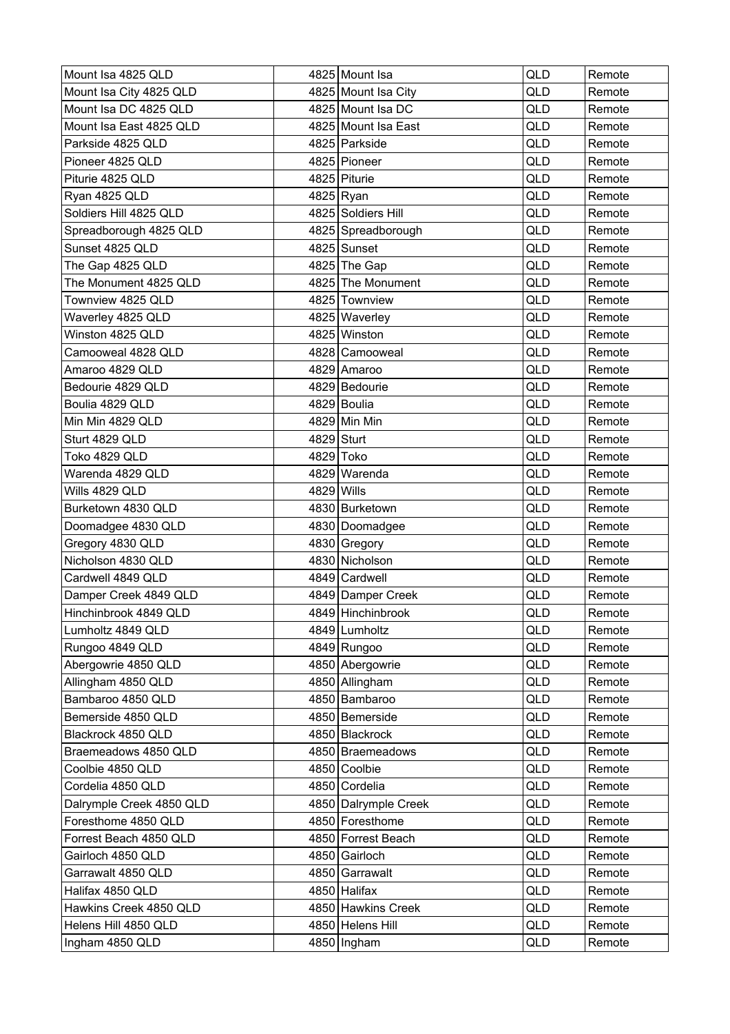| Mount Isa 4825 QLD       |            | 4825 Mount Isa       | <b>QLD</b> | Remote |
|--------------------------|------------|----------------------|------------|--------|
| Mount Isa City 4825 QLD  |            | 4825 Mount Isa City  | QLD        | Remote |
| Mount Isa DC 4825 QLD    |            | 4825 Mount Isa DC    | QLD        | Remote |
| Mount Isa East 4825 QLD  |            | 4825 Mount Isa East  | QLD        | Remote |
| Parkside 4825 QLD        |            | 4825 Parkside        | QLD        | Remote |
| Pioneer 4825 QLD         |            | 4825 Pioneer         | <b>QLD</b> | Remote |
| Piturie 4825 QLD         |            | 4825 Piturie         | <b>QLD</b> | Remote |
| Ryan 4825 QLD            |            | 4825 Ryan            | QLD        | Remote |
| Soldiers Hill 4825 QLD   |            | 4825 Soldiers Hill   | QLD        | Remote |
| Spreadborough 4825 QLD   |            | 4825 Spreadborough   | QLD        | Remote |
| Sunset 4825 QLD          |            | 4825 Sunset          | QLD        | Remote |
| The Gap 4825 QLD         |            | 4825 The Gap         | QLD        | Remote |
| The Monument 4825 QLD    |            | 4825 The Monument    | QLD        | Remote |
| Townview 4825 QLD        |            | 4825 Townview        | QLD        | Remote |
| Waverley 4825 QLD        |            | 4825 Waverley        | QLD        | Remote |
| Winston 4825 QLD         |            | 4825 Winston         | QLD        | Remote |
| Camooweal 4828 QLD       |            | 4828 Camooweal       | QLD        | Remote |
| Amaroo 4829 QLD          |            | 4829 Amaroo          | QLD        | Remote |
| Bedourie 4829 QLD        |            | 4829 Bedourie        | QLD        | Remote |
| Boulia 4829 QLD          |            | 4829 Boulia          | <b>QLD</b> | Remote |
| Min Min 4829 QLD         |            | 4829 Min Min         | QLD        | Remote |
| Sturt 4829 QLD           |            | 4829 Sturt           | QLD        | Remote |
| Toko 4829 QLD            |            | 4829 Toko            | QLD        | Remote |
| Warenda 4829 QLD         |            | 4829 Warenda         | QLD        | Remote |
| Wills 4829 QLD           | 4829 Wills |                      | QLD        | Remote |
| Burketown 4830 QLD       |            | 4830 Burketown       | QLD        | Remote |
| Doomadgee 4830 QLD       |            | 4830 Doomadgee       | QLD        | Remote |
| Gregory 4830 QLD         |            | 4830 Gregory         | <b>QLD</b> | Remote |
| Nicholson 4830 QLD       |            | 4830 Nicholson       | QLD        | Remote |
| Cardwell 4849 QLD        |            | 4849 Cardwell        | QLD        | Remote |
| Damper Creek 4849 QLD    |            | 4849 Damper Creek    | QLD        | Remote |
| Hinchinbrook 4849 QLD    |            | 4849 Hinchinbrook    | QLD        | Remote |
| Lumholtz 4849 QLD        |            | 4849 Lumholtz        | QLD        | Remote |
| Rungoo 4849 QLD          |            | 4849 Rungoo          | QLD        | Remote |
| Abergowrie 4850 QLD      |            | 4850 Abergowrie      | QLD        | Remote |
| Allingham 4850 QLD       |            | 4850 Allingham       | QLD        | Remote |
| Bambaroo 4850 QLD        |            | 4850 Bambaroo        | QLD        | Remote |
| Bemerside 4850 QLD       |            | 4850 Bemerside       | QLD        | Remote |
| Blackrock 4850 QLD       |            | 4850 Blackrock       | QLD        | Remote |
| Braemeadows 4850 QLD     |            | 4850 Braemeadows     | QLD        | Remote |
| Coolbie 4850 QLD         |            | 4850 Coolbie         | QLD        | Remote |
| Cordelia 4850 QLD        |            | 4850 Cordelia        | QLD        | Remote |
| Dalrymple Creek 4850 QLD |            | 4850 Dalrymple Creek | QLD        | Remote |
| Foresthome 4850 QLD      |            | 4850 Foresthome      | QLD        | Remote |
| Forrest Beach 4850 QLD   |            | 4850 Forrest Beach   | QLD        | Remote |
| Gairloch 4850 QLD        |            | 4850 Gairloch        | QLD        | Remote |
| Garrawalt 4850 QLD       |            | 4850 Garrawalt       | QLD        | Remote |
| Halifax 4850 QLD         |            | 4850 Halifax         | QLD        | Remote |
| Hawkins Creek 4850 QLD   |            | 4850 Hawkins Creek   | QLD        | Remote |
| Helens Hill 4850 QLD     |            | 4850 Helens Hill     | QLD        | Remote |
| Ingham 4850 QLD          |            | 4850   Ingham        | QLD        | Remote |
|                          |            |                      |            |        |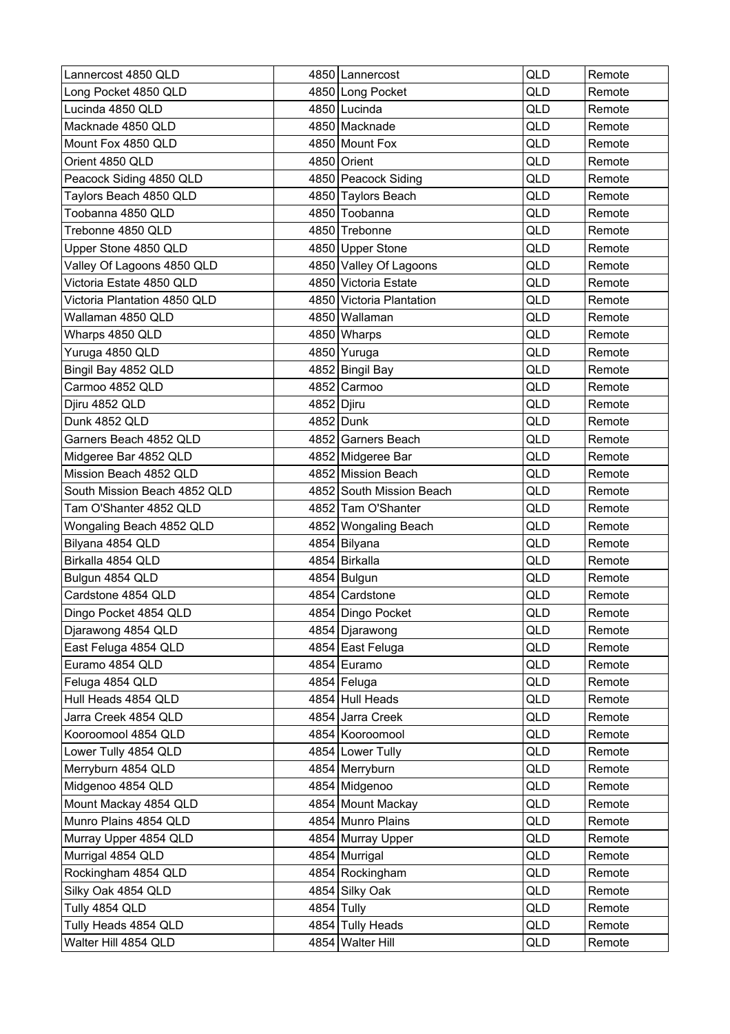| Lannercost 4850 QLD          |              | 4850   Lannercost        | QLD        | Remote |
|------------------------------|--------------|--------------------------|------------|--------|
| Long Pocket 4850 QLD         |              | 4850 Long Pocket         | QLD        | Remote |
| Lucinda 4850 QLD             |              | 4850 Lucinda             | QLD        | Remote |
| Macknade 4850 QLD            |              | 4850 Macknade            | QLD        | Remote |
| Mount Fox 4850 QLD           |              | 4850 Mount Fox           | QLD        | Remote |
| Orient 4850 QLD              |              | 4850 Orient              | QLD        | Remote |
| Peacock Siding 4850 QLD      |              | 4850 Peacock Siding      | QLD        | Remote |
| Taylors Beach 4850 QLD       |              | 4850 Taylors Beach       | QLD        | Remote |
| Toobanna 4850 QLD            |              | 4850 Toobanna            | QLD        | Remote |
| Trebonne 4850 QLD            |              | 4850 Trebonne            | QLD        | Remote |
| Upper Stone 4850 QLD         |              | 4850 Upper Stone         | QLD        | Remote |
| Valley Of Lagoons 4850 QLD   |              | 4850 Valley Of Lagoons   | QLD        | Remote |
| Victoria Estate 4850 QLD     |              | 4850 Victoria Estate     | QLD        | Remote |
| Victoria Plantation 4850 QLD |              | 4850 Victoria Plantation | <b>QLD</b> | Remote |
| Wallaman 4850 QLD            |              | 4850 Wallaman            | QLD        | Remote |
| Wharps 4850 QLD              |              | 4850 Wharps              | QLD        | Remote |
| Yuruga 4850 QLD              |              | 4850 Yuruga              | QLD        | Remote |
| Bingil Bay 4852 QLD          |              | 4852 Bingil Bay          | QLD        | Remote |
| Carmoo 4852 QLD              |              | 4852 Carmoo              | QLD        | Remote |
| Djiru 4852 QLD               | 4852   Djiru |                          | QLD        | Remote |
| Dunk 4852 QLD                |              | 4852 Dunk                | QLD        | Remote |
| Garners Beach 4852 QLD       |              | 4852 Garners Beach       | QLD        | Remote |
| Midgeree Bar 4852 QLD        |              | 4852 Midgeree Bar        | QLD        | Remote |
| Mission Beach 4852 QLD       |              | 4852 Mission Beach       | QLD        | Remote |
| South Mission Beach 4852 QLD |              | 4852 South Mission Beach | QLD        | Remote |
| Tam O'Shanter 4852 QLD       |              | 4852 Tam O'Shanter       | QLD        | Remote |
| Wongaling Beach 4852 QLD     |              | 4852 Wongaling Beach     | QLD        | Remote |
| Bilyana 4854 QLD             |              | 4854 Bilyana             | <b>QLD</b> | Remote |
| Birkalla 4854 QLD            |              | 4854 Birkalla            | QLD        | Remote |
| Bulgun 4854 QLD              |              | 4854 Bulgun              | QLD        | Remote |
| Cardstone 4854 QLD           |              | 4854 Cardstone           | QLD        | Remote |
| Dingo Pocket 4854 QLD        |              | 4854 Dingo Pocket        | QLD        | Remote |
| Djarawong 4854 QLD           |              | 4854 Djarawong           | QLD        | Remote |
| East Feluga 4854 QLD         |              | 4854 East Feluga         | QLD        | Remote |
| Euramo 4854 QLD              |              | 4854 Euramo              | QLD        | Remote |
| Feluga 4854 QLD              |              | 4854 Feluga              | QLD        | Remote |
| Hull Heads 4854 QLD          |              | 4854 Hull Heads          | QLD        | Remote |
| Jarra Creek 4854 QLD         |              | 4854 Jarra Creek         | QLD        | Remote |
| Kooroomool 4854 QLD          |              | 4854 Kooroomool          | QLD        | Remote |
| Lower Tully 4854 QLD         |              | 4854 Lower Tully         | QLD        | Remote |
| Merryburn 4854 QLD           |              | 4854 Merryburn           | QLD        | Remote |
| Midgenoo 4854 QLD            |              | 4854 Midgenoo            | QLD        | Remote |
| Mount Mackay 4854 QLD        |              | 4854 Mount Mackay        | QLD        | Remote |
| Munro Plains 4854 QLD        |              | 4854 Munro Plains        | QLD        | Remote |
| Murray Upper 4854 QLD        |              | 4854 Murray Upper        | QLD        | Remote |
| Murrigal 4854 QLD            |              | 4854 Murrigal            | QLD        | Remote |
| Rockingham 4854 QLD          |              | 4854 Rockingham          | QLD        | Remote |
| Silky Oak 4854 QLD           |              | 4854 Silky Oak           | QLD        | Remote |
| Tully 4854 QLD               |              | 4854 Tully               | QLD        | Remote |
| Tully Heads 4854 QLD         |              | 4854 Tully Heads         | QLD        | Remote |
| Walter Hill 4854 QLD         |              | 4854 Walter Hill         | QLD        | Remote |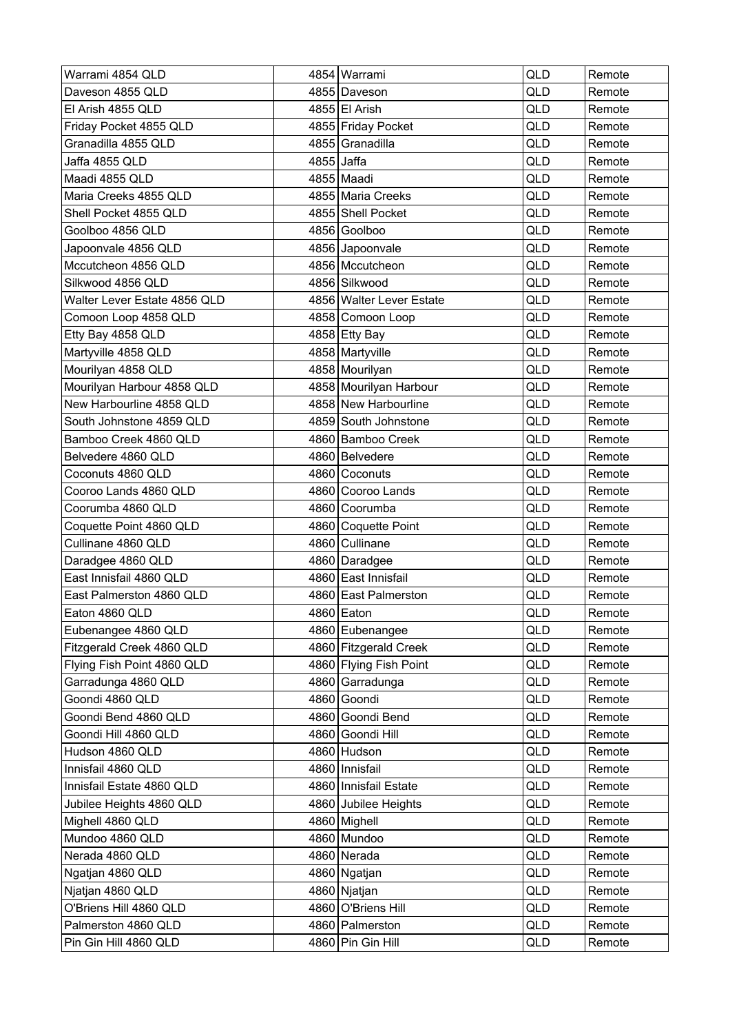| Warrami 4854 QLD             |            | 4854 Warrami             | QLD        | Remote |
|------------------------------|------------|--------------------------|------------|--------|
| Daveson 4855 QLD             |            | 4855 Daveson             | QLD        | Remote |
| El Arish 4855 QLD            |            | 4855 El Arish            | QLD        | Remote |
| Friday Pocket 4855 QLD       |            | 4855 Friday Pocket       | QLD        | Remote |
| Granadilla 4855 QLD          |            | 4855 Granadilla          | QLD        | Remote |
| Jaffa 4855 QLD               | 4855 Jaffa |                          | QLD        | Remote |
| Maadi 4855 QLD               |            | 4855 Maadi               | <b>QLD</b> | Remote |
| Maria Creeks 4855 QLD        |            | 4855 Maria Creeks        | QLD        | Remote |
| Shell Pocket 4855 QLD        |            | 4855 Shell Pocket        | QLD        | Remote |
| Goolboo 4856 QLD             |            | 4856 Goolboo             | QLD        | Remote |
| Japoonvale 4856 QLD          |            | 4856 Japoonvale          | QLD        | Remote |
| Mccutcheon 4856 QLD          |            | 4856 Mccutcheon          | QLD        | Remote |
| Silkwood 4856 QLD            |            | 4856 Silkwood            | QLD        | Remote |
| Walter Lever Estate 4856 QLD |            | 4856 Walter Lever Estate | <b>QLD</b> | Remote |
| Comoon Loop 4858 QLD         |            | 4858 Comoon Loop         | QLD        | Remote |
| Etty Bay 4858 QLD            |            | 4858 Etty Bay            | QLD        | Remote |
| Martyville 4858 QLD          |            | 4858 Martyville          | QLD        | Remote |
| Mourilyan 4858 QLD           |            | 4858 Mourilyan           | QLD        | Remote |
| Mourilyan Harbour 4858 QLD   |            | 4858 Mourilyan Harbour   | QLD        | Remote |
| New Harbourline 4858 QLD     |            | 4858 New Harbourline     | <b>QLD</b> | Remote |
| South Johnstone 4859 QLD     |            | 4859 South Johnstone     | QLD        | Remote |
| Bamboo Creek 4860 QLD        |            | 4860 Bamboo Creek        | QLD        | Remote |
| Belvedere 4860 QLD           |            | 4860 Belvedere           | QLD        | Remote |
| Coconuts 4860 QLD            |            | 4860 Coconuts            | QLD        | Remote |
| Cooroo Lands 4860 QLD        |            | 4860 Cooroo Lands        | QLD        | Remote |
| Coorumba 4860 QLD            |            | 4860 Coorumba            | QLD        | Remote |
| Coquette Point 4860 QLD      |            | 4860 Coquette Point      | QLD        | Remote |
| Cullinane 4860 QLD           |            | 4860 Cullinane           | <b>QLD</b> | Remote |
| Daradgee 4860 QLD            |            | 4860 Daradgee            | QLD        | Remote |
| East Innisfail 4860 QLD      |            | 4860 East Innisfail      | QLD        | Remote |
| East Palmerston 4860 QLD     |            | 4860 East Palmerston     | QLD        | Remote |
| Eaton 4860 QLD               |            | 4860 Eaton               | QLD        | Remote |
| Eubenangee 4860 QLD          |            | 4860 Eubenangee          | QLD        | Remote |
| Fitzgerald Creek 4860 QLD    |            | 4860 Fitzgerald Creek    | QLD        | Remote |
| Flying Fish Point 4860 QLD   |            | 4860 Flying Fish Point   | QLD        | Remote |
| Garradunga 4860 QLD          |            | 4860 Garradunga          | QLD        | Remote |
| Goondi 4860 QLD              |            | 4860 Goondi              | QLD        | Remote |
| Goondi Bend 4860 QLD         |            | 4860 Goondi Bend         | QLD        | Remote |
| Goondi Hill 4860 QLD         |            | 4860 Goondi Hill         | QLD        | Remote |
| Hudson 4860 QLD              |            | 4860 Hudson              | QLD        | Remote |
| Innisfail 4860 QLD           |            | 4860 Innisfail           | QLD        | Remote |
| Innisfail Estate 4860 QLD    |            | 4860 Innisfail Estate    | QLD        | Remote |
| Jubilee Heights 4860 QLD     |            | 4860 Jubilee Heights     | QLD        | Remote |
| Mighell 4860 QLD             |            | 4860 Mighell             | QLD        | Remote |
| Mundoo 4860 QLD              |            | 4860 Mundoo              | QLD        | Remote |
| Nerada 4860 QLD              |            | 4860 Nerada              | QLD        | Remote |
| Ngatjan 4860 QLD             |            | 4860 Ngatjan             | QLD        | Remote |
| Njatjan 4860 QLD             |            | 4860 Njatjan             | QLD        | Remote |
| O'Briens Hill 4860 QLD       |            | 4860 O'Briens Hill       | QLD        | Remote |
| Palmerston 4860 QLD          |            | 4860 Palmerston          | QLD        | Remote |
| Pin Gin Hill 4860 QLD        |            | 4860 Pin Gin Hill        | QLD        | Remote |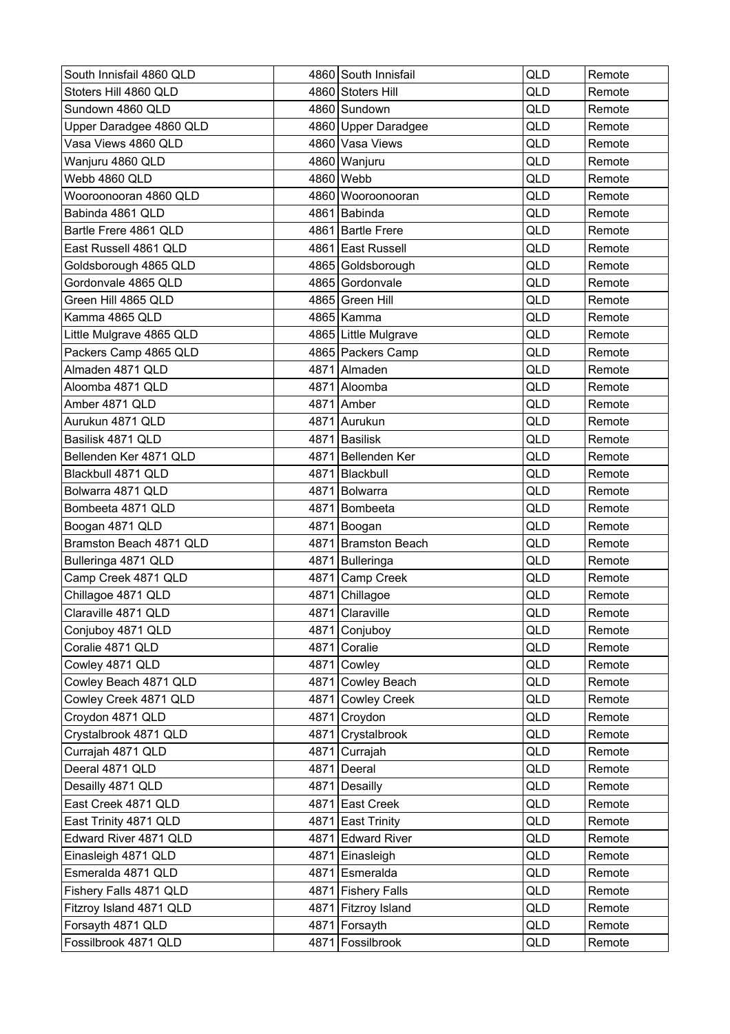| South Innisfail 4860 QLD |      | 4860 South Innisfail | QLD        | Remote |
|--------------------------|------|----------------------|------------|--------|
| Stoters Hill 4860 QLD    |      | 4860 Stoters Hill    | QLD        | Remote |
| Sundown 4860 QLD         |      | 4860 Sundown         | <b>QLD</b> | Remote |
| Upper Daradgee 4860 QLD  |      | 4860 Upper Daradgee  | QLD        | Remote |
| Vasa Views 4860 QLD      |      | 4860 Vasa Views      | QLD        | Remote |
| Wanjuru 4860 QLD         |      | 4860 Wanjuru         | QLD        | Remote |
| Webb 4860 QLD            |      | 4860 Webb            | QLD        | Remote |
| Wooroonooran 4860 QLD    |      | 4860 Wooroonooran    | QLD        | Remote |
| Babinda 4861 QLD         |      | 4861 Babinda         | QLD        | Remote |
| Bartle Frere 4861 QLD    |      | 4861 Bartle Frere    | QLD        | Remote |
| East Russell 4861 QLD    |      | 4861 East Russell    | QLD        | Remote |
| Goldsborough 4865 QLD    |      | 4865 Goldsborough    | QLD        | Remote |
| Gordonvale 4865 QLD      |      | 4865 Gordonvale      | QLD        | Remote |
| Green Hill 4865 QLD      |      | 4865 Green Hill      | QLD        | Remote |
| Kamma 4865 QLD           |      | 4865 Kamma           | QLD        | Remote |
| Little Mulgrave 4865 QLD |      | 4865 Little Mulgrave | QLD        | Remote |
| Packers Camp 4865 QLD    |      | 4865 Packers Camp    | QLD        | Remote |
| Almaden 4871 QLD         |      | 4871 Almaden         | QLD        | Remote |
| Aloomba 4871 QLD         |      | 4871 Aloomba         | QLD        | Remote |
| Amber 4871 QLD           |      | 4871 Amber           | QLD        | Remote |
| Aurukun 4871 QLD         |      | 4871 Aurukun         | QLD        | Remote |
| Basilisk 4871 QLD        |      | 4871 Basilisk        | QLD        | Remote |
| Bellenden Ker 4871 QLD   |      | 4871 Bellenden Ker   | QLD        | Remote |
| Blackbull 4871 QLD       |      | 4871 Blackbull       | QLD        | Remote |
| Bolwarra 4871 QLD        |      | 4871 Bolwarra        | QLD        | Remote |
| Bombeeta 4871 QLD        | 4871 | Bombeeta             | <b>QLD</b> | Remote |
| Boogan 4871 QLD          |      | 4871 Boogan          | QLD        | Remote |
| Bramston Beach 4871 QLD  |      | 4871 Bramston Beach  | QLD        | Remote |
| Bulleringa 4871 QLD      |      | 4871 Bulleringa      | QLD        | Remote |
| Camp Creek 4871 QLD      |      | 4871 Camp Creek      | QLD        | Remote |
| Chillagoe 4871 QLD       |      | 4871 Chillagoe       | <b>QLD</b> | Remote |
| Claraville 4871 QLD      |      | 4871 Claraville      | QLD        | Remote |
| Conjuboy 4871 QLD        |      | 4871 Conjuboy        | QLD        | Remote |
| Coralie 4871 QLD         |      | 4871 Coralie         | QLD        | Remote |
| Cowley 4871 QLD          |      | 4871 Cowley          | QLD        | Remote |
| Cowley Beach 4871 QLD    |      | 4871 Cowley Beach    | QLD        | Remote |
| Cowley Creek 4871 QLD    |      | 4871 Cowley Creek    | QLD        | Remote |
| Croydon 4871 QLD         |      | 4871 Croydon         | QLD        | Remote |
| Crystalbrook 4871 QLD    |      | 4871 Crystalbrook    | QLD        | Remote |
| Currajah 4871 QLD        |      | 4871 Currajah        | QLD        | Remote |
| Deeral 4871 QLD          |      | 4871 Deeral          | QLD        | Remote |
| Desailly 4871 QLD        |      | 4871 Desailly        | QLD        | Remote |
| East Creek 4871 QLD      |      | 4871 East Creek      | QLD        | Remote |
| East Trinity 4871 QLD    |      | 4871 East Trinity    | QLD        | Remote |
| Edward River 4871 QLD    |      | 4871 Edward River    | QLD        | Remote |
| Einasleigh 4871 QLD      |      | 4871 Einasleigh      | QLD        | Remote |
| Esmeralda 4871 QLD       |      | 4871 Esmeralda       | QLD        | Remote |
| Fishery Falls 4871 QLD   |      | 4871 Fishery Falls   | QLD        | Remote |
| Fitzroy Island 4871 QLD  |      | 4871 Fitzroy Island  | QLD        | Remote |
| Forsayth 4871 QLD        |      | 4871 Forsayth        | QLD        | Remote |
| Fossilbrook 4871 QLD     |      | 4871 Fossilbrook     | QLD        | Remote |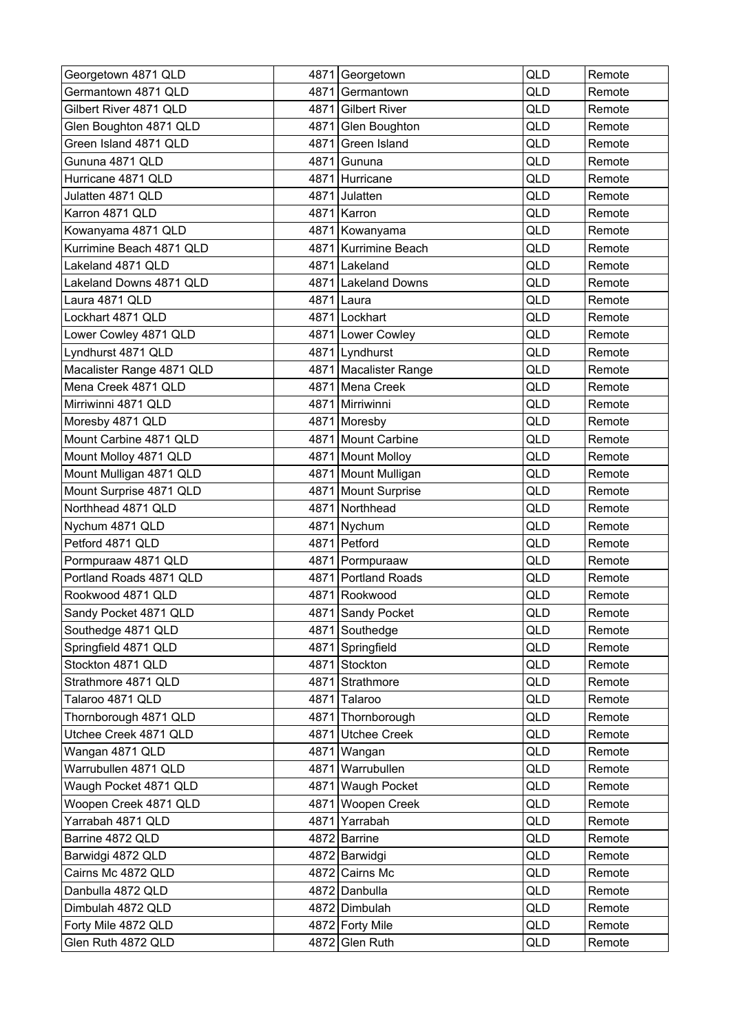| Georgetown 4871 QLD       |      | 4871 Georgetown       | QLD | Remote |
|---------------------------|------|-----------------------|-----|--------|
| Germantown 4871 QLD       | 4871 | Germantown            | QLD | Remote |
| Gilbert River 4871 QLD    |      | 4871 Gilbert River    | QLD | Remote |
| Glen Boughton 4871 QLD    | 4871 | Glen Boughton         | QLD | Remote |
| Green Island 4871 QLD     |      | 4871 Green Island     | QLD | Remote |
| Gununa 4871 QLD           | 4871 | Gununa                | QLD | Remote |
| Hurricane 4871 QLD        |      | 4871 Hurricane        | QLD | Remote |
| Julatten 4871 QLD         |      | 4871 Julatten         | QLD | Remote |
| Karron 4871 QLD           |      | 4871 Karron           | QLD | Remote |
| Kowanyama 4871 QLD        |      | 4871 Kowanyama        | QLD | Remote |
| Kurrimine Beach 4871 QLD  |      | 4871 Kurrimine Beach  | QLD | Remote |
| Lakeland 4871 QLD         |      | 4871 Lakeland         | QLD | Remote |
| Lakeland Downs 4871 QLD   |      | 4871 Lakeland Downs   | QLD | Remote |
| Laura 4871 QLD            |      | 4871 Laura            | QLD | Remote |
| Lockhart 4871 QLD         |      | 4871 Lockhart         | QLD | Remote |
| Lower Cowley 4871 QLD     |      | 4871 Lower Cowley     | QLD | Remote |
| Lyndhurst 4871 QLD        |      | 4871 Lyndhurst        | QLD | Remote |
| Macalister Range 4871 QLD |      | 4871 Macalister Range | QLD | Remote |
| Mena Creek 4871 QLD       |      | 4871 Mena Creek       | QLD | Remote |
| Mirriwinni 4871 QLD       |      | 4871 Mirriwinni       | QLD | Remote |
| Moresby 4871 QLD          |      | 4871 Moresby          | QLD | Remote |
| Mount Carbine 4871 QLD    |      | 4871 Mount Carbine    | QLD | Remote |
| Mount Molloy 4871 QLD     |      | 4871 Mount Molloy     | QLD | Remote |
| Mount Mulligan 4871 QLD   |      | 4871 Mount Mulligan   | QLD | Remote |
| Mount Surprise 4871 QLD   |      | 4871 Mount Surprise   | QLD | Remote |
| Northhead 4871 QLD        |      | 4871 Northhead        | QLD | Remote |
| Nychum 4871 QLD           | 4871 | Nychum                | QLD | Remote |
| Petford 4871 QLD          |      | 4871 Petford          | QLD | Remote |
| Pormpuraaw 4871 QLD       |      | 4871 Pormpuraaw       | QLD | Remote |
| Portland Roads 4871 QLD   |      | 4871 Portland Roads   | QLD | Remote |
| Rookwood 4871 QLD         |      | 4871 Rookwood         | QLD | Remote |
| Sandy Pocket 4871 QLD     |      | 4871 Sandy Pocket     | QLD | Remote |
| Southedge 4871 QLD        |      | 4871 Southedge        | QLD | Remote |
| Springfield 4871 QLD      |      | 4871 Springfield      | QLD | Remote |
| Stockton 4871 QLD         |      | 4871 Stockton         | QLD | Remote |
| Strathmore 4871 QLD       |      | 4871 Strathmore       | QLD | Remote |
| Talaroo 4871 QLD          |      | 4871 Talaroo          | QLD | Remote |
| Thornborough 4871 QLD     |      | 4871 Thornborough     | QLD | Remote |
| Utchee Creek 4871 QLD     |      | 4871 Utchee Creek     | QLD | Remote |
| Wangan 4871 QLD           |      | 4871 Wangan           | QLD | Remote |
| Warrubullen 4871 QLD      | 4871 | Warrubullen           | QLD | Remote |
| Waugh Pocket 4871 QLD     |      | 4871 Waugh Pocket     | QLD | Remote |
| Woopen Creek 4871 QLD     |      | 4871 Woopen Creek     | QLD | Remote |
| Yarrabah 4871 QLD         |      | 4871 Yarrabah         | QLD | Remote |
| Barrine 4872 QLD          |      | 4872 Barrine          | QLD | Remote |
| Barwidgi 4872 QLD         |      | 4872 Barwidgi         | QLD | Remote |
| Cairns Mc 4872 QLD        |      | 4872 Cairns Mc        | QLD | Remote |
| Danbulla 4872 QLD         |      | 4872 Danbulla         | QLD | Remote |
| Dimbulah 4872 QLD         |      | 4872 Dimbulah         | QLD | Remote |
| Forty Mile 4872 QLD       |      | 4872 Forty Mile       | QLD | Remote |
| Glen Ruth 4872 QLD        |      | 4872 Glen Ruth        | QLD | Remote |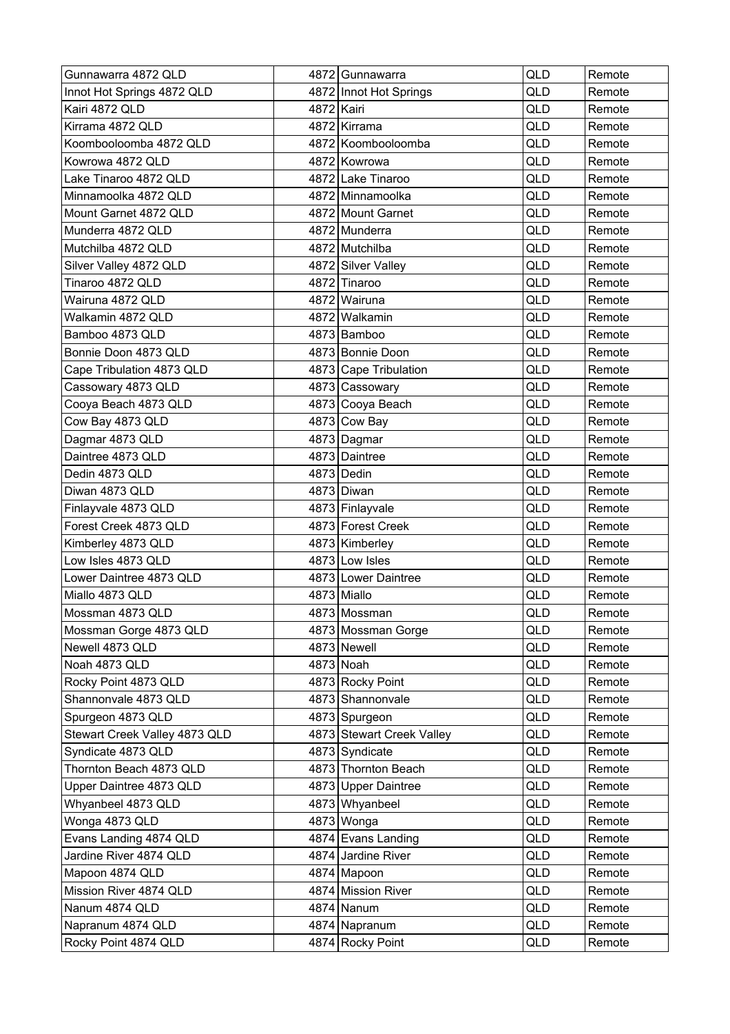| Gunnawarra 4872 QLD           |            | 4872 Gunnawarra           | <b>QLD</b> | Remote |
|-------------------------------|------------|---------------------------|------------|--------|
| Innot Hot Springs 4872 QLD    |            | 4872 Innot Hot Springs    | QLD        | Remote |
| Kairi 4872 QLD                | 4872 Kairi |                           | QLD        | Remote |
| Kirrama 4872 QLD              |            | 4872 Kirrama              | QLD        | Remote |
| Koombooloomba 4872 QLD        |            | 4872 Koombooloomba        | QLD        | Remote |
| Kowrowa 4872 QLD              |            | 4872 Kowrowa              | QLD        | Remote |
| Lake Tinaroo 4872 QLD         |            | 4872 Lake Tinaroo         | QLD        | Remote |
| Minnamoolka 4872 QLD          |            | 4872 Minnamoolka          | QLD        | Remote |
| Mount Garnet 4872 QLD         |            | 4872 Mount Garnet         | <b>QLD</b> | Remote |
| Munderra 4872 QLD             |            | 4872 Munderra             | QLD        | Remote |
| Mutchilba 4872 QLD            |            | 4872 Mutchilba            | QLD        | Remote |
| Silver Valley 4872 QLD        |            | 4872 Silver Valley        | QLD        | Remote |
| Tinaroo 4872 QLD              |            | 4872 Tinaroo              | QLD        | Remote |
| Wairuna 4872 QLD              |            | 4872 Wairuna              | <b>QLD</b> | Remote |
| Walkamin 4872 QLD             |            | 4872 Walkamin             | QLD        | Remote |
| Bamboo 4873 QLD               |            | 4873 Bamboo               | QLD        | Remote |
| Bonnie Doon 4873 QLD          |            | 4873 Bonnie Doon          | <b>QLD</b> | Remote |
| Cape Tribulation 4873 QLD     |            | 4873 Cape Tribulation     | QLD        | Remote |
| Cassowary 4873 QLD            |            | 4873 Cassowary            | QLD        | Remote |
| Cooya Beach 4873 QLD          |            | 4873 Cooya Beach          | <b>QLD</b> | Remote |
| Cow Bay 4873 QLD              |            | 4873 Cow Bay              | QLD        | Remote |
| Dagmar 4873 QLD               |            | 4873 Dagmar               | QLD        | Remote |
| Daintree 4873 QLD             |            | 4873 Daintree             | QLD        | Remote |
| Dedin 4873 QLD                |            | 4873 Dedin                | QLD        | Remote |
| Diwan 4873 QLD                |            | 4873 Diwan                | QLD        | Remote |
| Finlayvale 4873 QLD           |            | 4873 Finlayvale           | <b>QLD</b> | Remote |
| Forest Creek 4873 QLD         |            | 4873 Forest Creek         | QLD        | Remote |
| Kimberley 4873 QLD            |            | 4873 Kimberley            | QLD        | Remote |
| Low Isles 4873 QLD            |            | 4873 Low Isles            | QLD        | Remote |
| Lower Daintree 4873 QLD       |            | 4873 Lower Daintree       | <b>QLD</b> | Remote |
| Miallo 4873 QLD               |            | 4873 Miallo               | QLD        | Remote |
| Mossman 4873 QLD              |            | 4873 Mossman              | QLD        | Remote |
| Mossman Gorge 4873 QLD        |            | 4873 Mossman Gorge        | QLD        | Remote |
| Newell 4873 QLD               |            | 4873 Newell               | QLD        | Remote |
| Noah 4873 QLD                 |            | 4873 Noah                 | QLD        | Remote |
| Rocky Point 4873 QLD          |            | 4873 Rocky Point          | QLD        | Remote |
| Shannonvale 4873 QLD          |            | 4873 Shannonvale          | QLD        | Remote |
| Spurgeon 4873 QLD             |            | 4873 Spurgeon             | QLD        | Remote |
| Stewart Creek Valley 4873 QLD |            | 4873 Stewart Creek Valley | QLD        | Remote |
| Syndicate 4873 QLD            |            | 4873 Syndicate            | QLD        | Remote |
| Thornton Beach 4873 QLD       |            | 4873 Thornton Beach       | QLD        | Remote |
| Upper Daintree 4873 QLD       |            | 4873 Upper Daintree       | QLD        | Remote |
| Whyanbeel 4873 QLD            |            | 4873 Whyanbeel            | QLD        | Remote |
| Wonga 4873 QLD                |            | 4873 Wonga                | QLD        | Remote |
| Evans Landing 4874 QLD        |            | 4874 Evans Landing        | QLD        | Remote |
| Jardine River 4874 QLD        |            | 4874 Jardine River        | QLD        | Remote |
| Mapoon 4874 QLD               |            | 4874 Mapoon               | QLD        | Remote |
| Mission River 4874 QLD        |            | 4874 Mission River        | QLD        | Remote |
| Nanum 4874 QLD                |            | 4874 Nanum                | QLD        | Remote |
| Napranum 4874 QLD             |            | 4874 Napranum             | QLD        | Remote |
| Rocky Point 4874 QLD          |            | 4874 Rocky Point          | QLD        | Remote |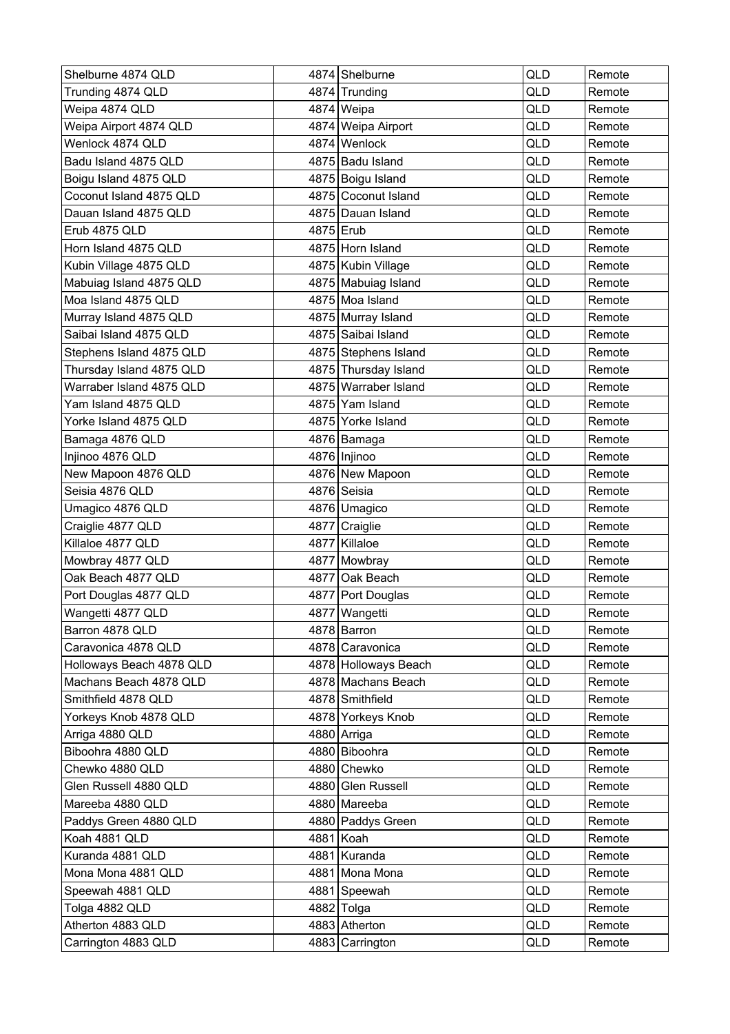| Shelburne 4874 QLD       | 4874 Shelburne       | <b>QLD</b> | Remote |
|--------------------------|----------------------|------------|--------|
| Trunding 4874 QLD        | 4874 Trunding        | QLD        | Remote |
| Weipa 4874 QLD           | 4874 Weipa           | QLD        | Remote |
| Weipa Airport 4874 QLD   | 4874 Weipa Airport   | QLD        | Remote |
| Wenlock 4874 QLD         | 4874 Wenlock         | QLD        | Remote |
| Badu Island 4875 QLD     | 4875 Badu Island     | QLD        | Remote |
| Boigu Island 4875 QLD    | 4875 Boigu Island    | QLD        | Remote |
| Coconut Island 4875 QLD  | 4875 Coconut Island  | QLD        | Remote |
| Dauan Island 4875 QLD    | 4875 Dauan Island    | QLD        | Remote |
| Erub 4875 QLD            | 4875 Erub            | QLD        | Remote |
| Horn Island 4875 QLD     | 4875 Horn Island     | <b>QLD</b> | Remote |
| Kubin Village 4875 QLD   | 4875 Kubin Village   | QLD        | Remote |
| Mabuiag Island 4875 QLD  | 4875 Mabuiag Island  | QLD        | Remote |
| Moa Island 4875 QLD      | 4875 Moa Island      | QLD        | Remote |
| Murray Island 4875 QLD   | 4875 Murray Island   | QLD        | Remote |
| Saibai Island 4875 QLD   | 4875 Saibai Island   | QLD        | Remote |
| Stephens Island 4875 QLD | 4875 Stephens Island | QLD        | Remote |
| Thursday Island 4875 QLD | 4875 Thursday Island | QLD        | Remote |
| Warraber Island 4875 QLD | 4875 Warraber Island | QLD        | Remote |
| Yam Island 4875 QLD      | 4875 Yam Island      | QLD        | Remote |
| Yorke Island 4875 QLD    | 4875 Yorke Island    | QLD        | Remote |
| Bamaga 4876 QLD          | 4876 Bamaga          | QLD        | Remote |
| Injinoo 4876 QLD         | 4876 Injinoo         | QLD        | Remote |
| New Mapoon 4876 QLD      | 4876 New Mapoon      | QLD        | Remote |
| Seisia 4876 QLD          | 4876 Seisia          | <b>QLD</b> | Remote |
| Umagico 4876 QLD         | 4876 Umagico         | QLD        | Remote |
| Craiglie 4877 QLD        | 4877 Craiglie        | QLD        | Remote |
| Killaloe 4877 QLD        | 4877 Killaloe        | QLD        | Remote |
| Mowbray 4877 QLD         | 4877 Mowbray         | QLD        | Remote |
| Oak Beach 4877 QLD       | 4877 Oak Beach       | QLD        | Remote |
| Port Douglas 4877 QLD    | 4877 Port Douglas    | QLD        | Remote |
| Wangetti 4877 QLD        | 4877   Wangetti      | QLD        | Remote |
| Barron 4878 QLD          | 4878 Barron          | QLD        | Remote |
| Caravonica 4878 QLD      | 4878 Caravonica      | QLD        | Remote |
| Holloways Beach 4878 QLD | 4878 Holloways Beach | QLD        | Remote |
| Machans Beach 4878 QLD   | 4878 Machans Beach   | QLD        | Remote |
| Smithfield 4878 QLD      | 4878 Smithfield      | QLD        | Remote |
| Yorkeys Knob 4878 QLD    | 4878 Yorkeys Knob    | QLD        | Remote |
| Arriga 4880 QLD          | 4880 Arriga          | QLD        | Remote |
| Biboohra 4880 QLD        | 4880 Biboohra        | QLD        | Remote |
| Chewko 4880 QLD          | 4880 Chewko          | QLD        | Remote |
| Glen Russell 4880 QLD    | 4880 Glen Russell    | QLD        | Remote |
| Mareeba 4880 QLD         | 4880 Mareeba         | QLD        | Remote |
| Paddys Green 4880 QLD    | 4880 Paddys Green    | QLD        | Remote |
| Koah 4881 QLD            | 4881 Koah            | QLD        | Remote |
| Kuranda 4881 QLD         | 4881 Kuranda         | QLD        | Remote |
| Mona Mona 4881 QLD       | 4881 Mona Mona       | QLD        | Remote |
| Speewah 4881 QLD         | 4881 Speewah         | QLD        | Remote |
| Tolga 4882 QLD           | 4882 Tolga           | QLD        | Remote |
| Atherton 4883 QLD        | 4883 Atherton        | QLD        | Remote |
| Carrington 4883 QLD      | 4883 Carrington      | QLD        | Remote |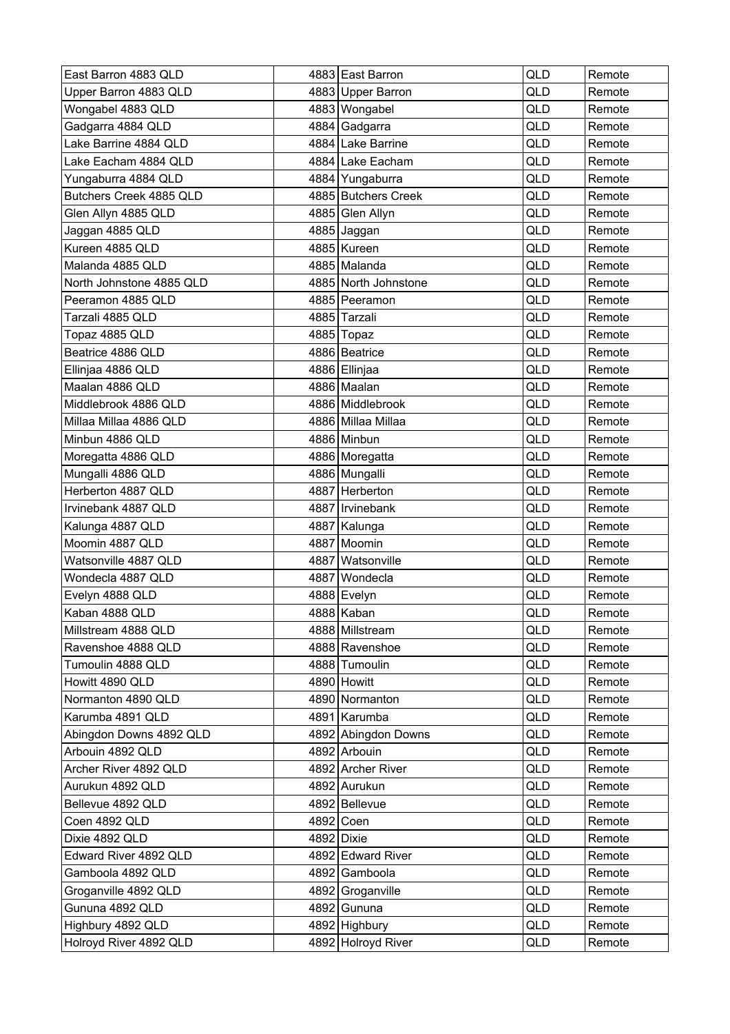| East Barron 4883 QLD     |      | 4883 East Barron     | QLD        | Remote |
|--------------------------|------|----------------------|------------|--------|
| Upper Barron 4883 QLD    |      | 4883 Upper Barron    | QLD        | Remote |
| Wongabel 4883 QLD        |      | 4883 Wongabel        | <b>QLD</b> | Remote |
| Gadgarra 4884 QLD        |      | 4884 Gadgarra        | QLD        | Remote |
| Lake Barrine 4884 QLD    |      | 4884 Lake Barrine    | QLD        | Remote |
| Lake Eacham 4884 QLD     |      | 4884 Lake Eacham     | QLD        | Remote |
| Yungaburra 4884 QLD      |      | 4884 Yungaburra      | QLD        | Remote |
| Butchers Creek 4885 QLD  |      | 4885 Butchers Creek  | QLD        | Remote |
| Glen Allyn 4885 QLD      |      | 4885 Glen Allyn      | QLD        | Remote |
| Jaggan 4885 QLD          |      | 4885 Jaggan          | QLD        | Remote |
| Kureen 4885 QLD          |      | 4885 Kureen          | QLD        | Remote |
| Malanda 4885 QLD         |      | 4885 Malanda         | QLD        | Remote |
| North Johnstone 4885 QLD |      | 4885 North Johnstone | QLD        | Remote |
| Peeramon 4885 QLD        |      | 4885 Peeramon        | QLD        | Remote |
| Tarzali 4885 QLD         |      | 4885 Tarzali         | QLD        | Remote |
| Topaz 4885 QLD           |      | 4885 Topaz           | QLD        | Remote |
| Beatrice 4886 QLD        |      | 4886 Beatrice        | <b>QLD</b> | Remote |
| Ellinjaa 4886 QLD        |      | 4886 Ellinjaa        | QLD        | Remote |
| Maalan 4886 QLD          |      | 4886 Maalan          | QLD        | Remote |
| Middlebrook 4886 QLD     |      | 4886 Middlebrook     | QLD        | Remote |
| Millaa Millaa 4886 QLD   |      | 4886 Millaa Millaa   | QLD        | Remote |
| Minbun 4886 QLD          |      | 4886 Minbun          | QLD        | Remote |
| Moregatta 4886 QLD       |      | 4886 Moregatta       | QLD        | Remote |
| Mungalli 4886 QLD        |      | 4886   Mungalli      | QLD        | Remote |
| Herberton 4887 QLD       |      | 4887 Herberton       | QLD        | Remote |
| Irvinebank 4887 QLD      |      | 4887 Irvinebank      | QLD        | Remote |
| Kalunga 4887 QLD         |      | 4887   Kalunga       | QLD        | Remote |
| Moomin 4887 QLD          |      | 4887 Moomin          | QLD        | Remote |
| Watsonville 4887 QLD     |      | 4887 Watsonville     | QLD        | Remote |
| Wondecla 4887 QLD        | 4887 | Wondecla             | <b>QLD</b> | Remote |
| Evelyn 4888 QLD          |      | 4888 Evelyn          | QLD        | Remote |
| Kaban 4888 QLD           |      | 4888 Kaban           | QLD        | Remote |
| Millstream 4888 QLD      |      | 4888 Millstream      | QLD        | Remote |
| Ravenshoe 4888 QLD       |      | 4888 Ravenshoe       | QLD        | Remote |
| Tumoulin 4888 QLD        |      | 4888 Tumoulin        | QLD        | Remote |
| Howitt 4890 QLD          |      | 4890 Howitt          | QLD        | Remote |
| Normanton 4890 QLD       |      | 4890 Normanton       | QLD        | Remote |
| Karumba 4891 QLD         |      | 4891 Karumba         | QLD        | Remote |
| Abingdon Downs 4892 QLD  |      | 4892 Abingdon Downs  | QLD        | Remote |
| Arbouin 4892 QLD         |      | 4892 Arbouin         | QLD        | Remote |
| Archer River 4892 QLD    |      | 4892 Archer River    | QLD        | Remote |
| Aurukun 4892 QLD         |      | 4892 Aurukun         | QLD        | Remote |
| Bellevue 4892 QLD        |      | 4892 Bellevue        | QLD        | Remote |
| Coen 4892 QLD            |      | 4892 Coen            | QLD        | Remote |
| Dixie 4892 QLD           |      | 4892 Dixie           | QLD        | Remote |
| Edward River 4892 QLD    |      | 4892 Edward River    | QLD        | Remote |
| Gamboola 4892 QLD        |      | 4892 Gamboola        | QLD        | Remote |
| Groganville 4892 QLD     |      | 4892 Groganville     | <b>QLD</b> | Remote |
| Gununa 4892 QLD          |      | 4892 Gununa          | QLD        | Remote |
| Highbury 4892 QLD        |      | 4892 Highbury        | QLD        | Remote |
| Holroyd River 4892 QLD   |      | 4892 Holroyd River   | QLD        | Remote |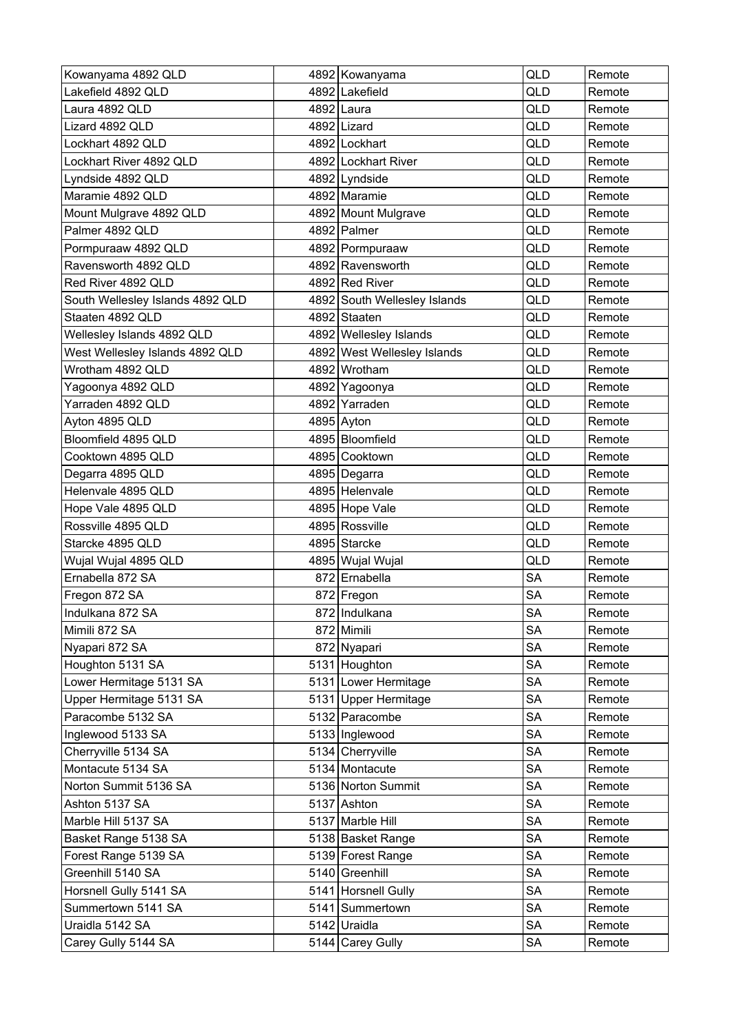| Kowanyama 4892 QLD               | 4892 Kowanyama               | <b>QLD</b> | Remote |
|----------------------------------|------------------------------|------------|--------|
| Lakefield 4892 QLD               | 4892 Lakefield               | QLD        | Remote |
| Laura 4892 QLD                   | 4892 Laura                   | QLD        | Remote |
| Lizard 4892 QLD                  | 4892 Lizard                  | QLD        | Remote |
| Lockhart 4892 QLD                | 4892 Lockhart                | QLD        | Remote |
| Lockhart River 4892 QLD          | 4892 Lockhart River          | QLD        | Remote |
| Lyndside 4892 QLD                | 4892 Lyndside                | QLD        | Remote |
| Maramie 4892 QLD                 | 4892 Maramie                 | QLD        | Remote |
| Mount Mulgrave 4892 QLD          | 4892 Mount Mulgrave          | QLD        | Remote |
| Palmer 4892 QLD                  | 4892 Palmer                  | QLD        | Remote |
| Pormpuraaw 4892 QLD              | 4892 Pormpuraaw              | QLD        | Remote |
| Ravensworth 4892 QLD             | 4892 Ravensworth             | QLD        | Remote |
| Red River 4892 QLD               | 4892 Red River               | QLD        | Remote |
| South Wellesley Islands 4892 QLD | 4892 South Wellesley Islands | QLD        | Remote |
| Staaten 4892 QLD                 | 4892 Staaten                 | QLD        | Remote |
| Wellesley Islands 4892 QLD       | 4892 Wellesley Islands       | QLD        | Remote |
| West Wellesley Islands 4892 QLD  | 4892 West Wellesley Islands  | QLD        | Remote |
| Wrotham 4892 QLD                 | 4892 Wrotham                 | QLD        | Remote |
| Yagoonya 4892 QLD                | 4892 Yagoonya                | QLD        | Remote |
| Yarraden 4892 QLD                | 4892 Yarraden                | QLD        | Remote |
| Ayton 4895 QLD                   | 4895 Ayton                   | QLD        | Remote |
| Bloomfield 4895 QLD              | 4895 Bloomfield              | QLD        | Remote |
| Cooktown 4895 QLD                | 4895 Cooktown                | QLD        | Remote |
| Degarra 4895 QLD                 | 4895 Degarra                 | QLD        | Remote |
| Helenvale 4895 QLD               | 4895 Helenvale               | <b>QLD</b> | Remote |
| Hope Vale 4895 QLD               | 4895 Hope Vale               | QLD        | Remote |
| Rossville 4895 QLD               | 4895 Rossville               | QLD        | Remote |
| Starcke 4895 QLD                 | 4895 Starcke                 | QLD        | Remote |
| Wujal Wujal 4895 QLD             | 4895 Wujal Wujal             | QLD        | Remote |
| Ernabella 872 SA                 | 872 Ernabella                | <b>SA</b>  | Remote |
| Fregon 872 SA                    | 872 Fregon                   | <b>SA</b>  | Remote |
| Indulkana 872 SA                 | 872 Indulkana                | <b>SA</b>  | Remote |
| Mimili 872 SA                    | 872 Mimili                   | <b>SA</b>  | Remote |
| Nyapari 872 SA                   | 872 Nyapari                  | <b>SA</b>  | Remote |
| Houghton 5131 SA                 | 5131 Houghton                | <b>SA</b>  | Remote |
| Lower Hermitage 5131 SA          | 5131 Lower Hermitage         | <b>SA</b>  | Remote |
| Upper Hermitage 5131 SA          | 5131 Upper Hermitage         | <b>SA</b>  | Remote |
| Paracombe 5132 SA                | 5132 Paracombe               | <b>SA</b>  | Remote |
| Inglewood 5133 SA                | 5133 Inglewood               | <b>SA</b>  | Remote |
| Cherryville 5134 SA              | 5134 Cherryville             | <b>SA</b>  | Remote |
| Montacute 5134 SA                | 5134 Montacute               | <b>SA</b>  | Remote |
| Norton Summit 5136 SA            | 5136 Norton Summit           | <b>SA</b>  | Remote |
| Ashton 5137 SA                   | 5137 Ashton                  | <b>SA</b>  | Remote |
| Marble Hill 5137 SA              | 5137 Marble Hill             | <b>SA</b>  | Remote |
| Basket Range 5138 SA             | 5138 Basket Range            | <b>SA</b>  | Remote |
| Forest Range 5139 SA             | 5139 Forest Range            | <b>SA</b>  | Remote |
| Greenhill 5140 SA                | 5140 Greenhill               | <b>SA</b>  | Remote |
| Horsnell Gully 5141 SA           | 5141 Horsnell Gully          | <b>SA</b>  | Remote |
| Summertown 5141 SA               | 5141 Summertown              | <b>SA</b>  | Remote |
| Uraidla 5142 SA                  | 5142 Uraidla                 | <b>SA</b>  | Remote |
| Carey Gully 5144 SA              | 5144 Carey Gully             | <b>SA</b>  | Remote |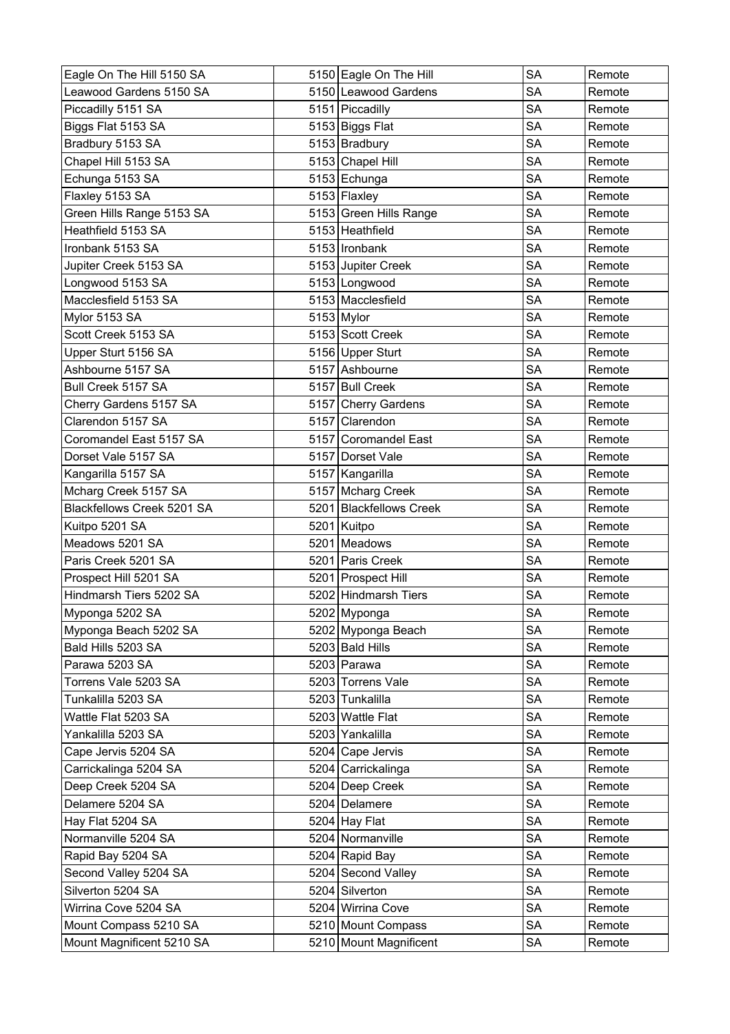| Eagle On The Hill 5150 SA  | 5150 Eagle On The Hill  | <b>SA</b> | Remote |
|----------------------------|-------------------------|-----------|--------|
| Leawood Gardens 5150 SA    | 5150 Leawood Gardens    | <b>SA</b> | Remote |
| Piccadilly 5151 SA         | 5151 Piccadilly         | <b>SA</b> | Remote |
| Biggs Flat 5153 SA         | 5153 Biggs Flat         | <b>SA</b> | Remote |
| Bradbury 5153 SA           | 5153 Bradbury           | <b>SA</b> | Remote |
| Chapel Hill 5153 SA        | 5153 Chapel Hill        | <b>SA</b> | Remote |
| Echunga 5153 SA            | 5153 Echunga            | <b>SA</b> | Remote |
| Flaxley 5153 SA            | $5153$ Flaxley          | <b>SA</b> | Remote |
| Green Hills Range 5153 SA  | 5153 Green Hills Range  | <b>SA</b> | Remote |
| Heathfield 5153 SA         | 5153 Heathfield         | <b>SA</b> | Remote |
| Ironbank 5153 SA           | 5153 Ironbank           | <b>SA</b> | Remote |
| Jupiter Creek 5153 SA      | 5153 Jupiter Creek      | <b>SA</b> | Remote |
| Longwood 5153 SA           | 5153 Longwood           | <b>SA</b> | Remote |
| Macclesfield 5153 SA       | 5153 Macclesfield       | <b>SA</b> | Remote |
| Mylor 5153 SA              | $5153$ Mylor            | <b>SA</b> | Remote |
| Scott Creek 5153 SA        | 5153 Scott Creek        | <b>SA</b> | Remote |
| Upper Sturt 5156 SA        | 5156 Upper Sturt        | <b>SA</b> | Remote |
| Ashbourne 5157 SA          | 5157 Ashbourne          | <b>SA</b> | Remote |
| Bull Creek 5157 SA         | 5157 Bull Creek         | <b>SA</b> | Remote |
| Cherry Gardens 5157 SA     | 5157 Cherry Gardens     | <b>SA</b> | Remote |
| Clarendon 5157 SA          | 5157 Clarendon          | <b>SA</b> | Remote |
| Coromandel East 5157 SA    | 5157 Coromandel East    | <b>SA</b> | Remote |
| Dorset Vale 5157 SA        | 5157 Dorset Vale        | <b>SA</b> | Remote |
| Kangarilla 5157 SA         | 5157 Kangarilla         | <b>SA</b> | Remote |
| Mcharg Creek 5157 SA       | 5157 Mcharg Creek       | <b>SA</b> | Remote |
| Blackfellows Creek 5201 SA | 5201 Blackfellows Creek | <b>SA</b> | Remote |
| Kuitpo 5201 SA             | 5201 Kuitpo             | <b>SA</b> | Remote |
| Meadows 5201 SA            | 5201 Meadows            | <b>SA</b> | Remote |
| Paris Creek 5201 SA        | 5201 Paris Creek        | <b>SA</b> | Remote |
| Prospect Hill 5201 SA      | 5201 Prospect Hill      | <b>SA</b> | Remote |
| Hindmarsh Tiers 5202 SA    | 5202 Hindmarsh Tiers    | <b>SA</b> | Remote |
| Myponga 5202 SA            | 5202 Myponga            | SA        | Remote |
| Myponga Beach 5202 SA      | 5202 Myponga Beach      | SA        | Remote |
| Bald Hills 5203 SA         | 5203 Bald Hills         | <b>SA</b> | Remote |
| Parawa 5203 SA             | 5203 Parawa             | <b>SA</b> | Remote |
| Torrens Vale 5203 SA       | 5203 Torrens Vale       | <b>SA</b> | Remote |
| Tunkalilla 5203 SA         | 5203 Tunkalilla         | <b>SA</b> | Remote |
| Wattle Flat 5203 SA        | 5203 Wattle Flat        | SA        | Remote |
| Yankalilla 5203 SA         | 5203 Yankalilla         | <b>SA</b> | Remote |
| Cape Jervis 5204 SA        | 5204 Cape Jervis        | <b>SA</b> | Remote |
| Carrickalinga 5204 SA      | 5204 Carrickalinga      | <b>SA</b> | Remote |
| Deep Creek 5204 SA         | 5204 Deep Creek         | <b>SA</b> | Remote |
| Delamere 5204 SA           | 5204 Delamere           | <b>SA</b> | Remote |
| Hay Flat 5204 SA           | $5204$ Hay Flat         | <b>SA</b> | Remote |
| Normanville 5204 SA        | 5204 Normanville        | <b>SA</b> | Remote |
| Rapid Bay 5204 SA          | 5204 Rapid Bay          | <b>SA</b> | Remote |
| Second Valley 5204 SA      | 5204 Second Valley      | SA        | Remote |
| Silverton 5204 SA          | 5204 Silverton          | <b>SA</b> | Remote |
| Wirrina Cove 5204 SA       | 5204 Wirrina Cove       | <b>SA</b> | Remote |
| Mount Compass 5210 SA      | 5210 Mount Compass      | SA        | Remote |
| Mount Magnificent 5210 SA  | 5210 Mount Magnificent  | <b>SA</b> | Remote |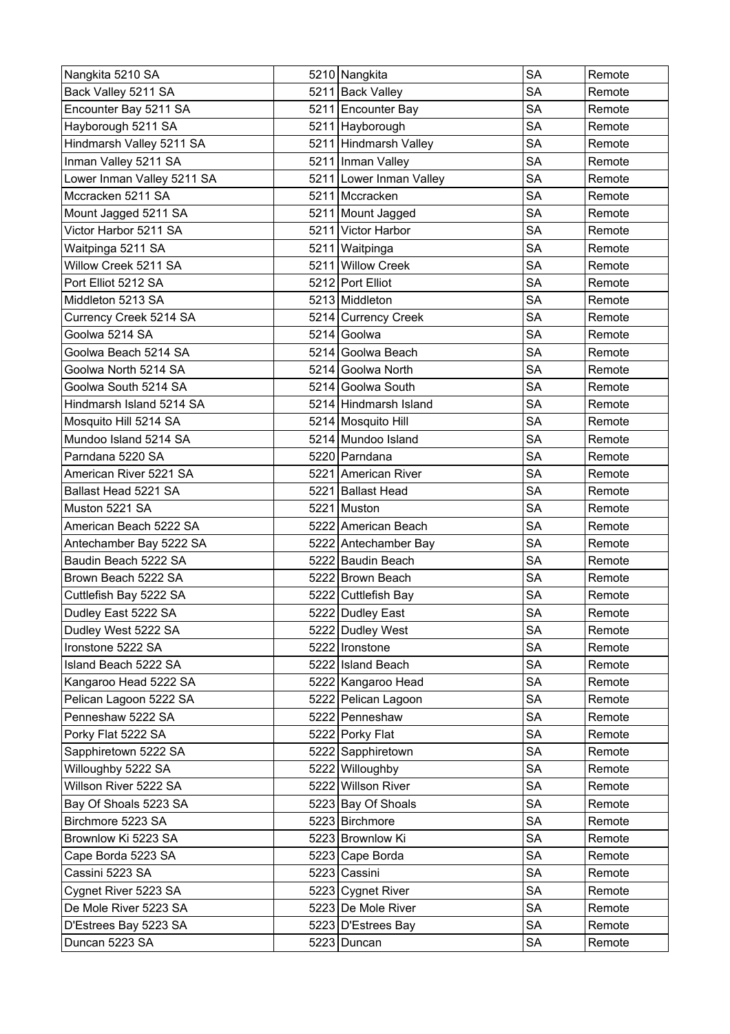| Nangkita 5210 SA           | 5210 Nangkita           | <b>SA</b> | Remote |
|----------------------------|-------------------------|-----------|--------|
| Back Valley 5211 SA        | 5211 Back Valley        | <b>SA</b> | Remote |
| Encounter Bay 5211 SA      | 5211 Encounter Bay      | <b>SA</b> | Remote |
| Hayborough 5211 SA         | 5211 Hayborough         | <b>SA</b> | Remote |
| Hindmarsh Valley 5211 SA   | 5211 Hindmarsh Valley   | <b>SA</b> | Remote |
| Inman Valley 5211 SA       | 5211 Inman Valley       | <b>SA</b> | Remote |
| Lower Inman Valley 5211 SA | 5211 Lower Inman Valley | <b>SA</b> | Remote |
| Mccracken 5211 SA          | 5211 Mccracken          | <b>SA</b> | Remote |
| Mount Jagged 5211 SA       | 5211 Mount Jagged       | <b>SA</b> | Remote |
| Victor Harbor 5211 SA      | 5211 Victor Harbor      | <b>SA</b> | Remote |
| Waitpinga 5211 SA          | 5211 Waitpinga          | <b>SA</b> | Remote |
| Willow Creek 5211 SA       | 5211 Willow Creek       | <b>SA</b> | Remote |
| Port Elliot 5212 SA        | 5212 Port Elliot        | <b>SA</b> | Remote |
| Middleton 5213 SA          | 5213 Middleton          | <b>SA</b> | Remote |
| Currency Creek 5214 SA     | 5214 Currency Creek     | <b>SA</b> | Remote |
| Goolwa 5214 SA             | 5214 Goolwa             | <b>SA</b> | Remote |
| Goolwa Beach 5214 SA       | 5214 Goolwa Beach       | <b>SA</b> | Remote |
| Goolwa North 5214 SA       | 5214 Goolwa North       | <b>SA</b> | Remote |
| Goolwa South 5214 SA       | 5214 Goolwa South       | <b>SA</b> | Remote |
| Hindmarsh Island 5214 SA   | 5214 Hindmarsh Island   | <b>SA</b> | Remote |
| Mosquito Hill 5214 SA      | 5214 Mosquito Hill      | SA        | Remote |
| Mundoo Island 5214 SA      | 5214 Mundoo Island      | <b>SA</b> | Remote |
| Parndana 5220 SA           | 5220 Parndana           | <b>SA</b> | Remote |
| American River 5221 SA     | 5221 American River     | <b>SA</b> | Remote |
| Ballast Head 5221 SA       | 5221 Ballast Head       | <b>SA</b> | Remote |
| Muston 5221 SA             | 5221 Muston             | <b>SA</b> | Remote |
| American Beach 5222 SA     | 5222 American Beach     | <b>SA</b> | Remote |
| Antechamber Bay 5222 SA    | 5222 Antechamber Bay    | <b>SA</b> | Remote |
| Baudin Beach 5222 SA       | 5222 Baudin Beach       | <b>SA</b> | Remote |
| Brown Beach 5222 SA        | 5222 Brown Beach        | SA        | Remote |
| Cuttlefish Bay 5222 SA     | 5222 Cuttlefish Bay     | <b>SA</b> | Remote |
| Dudley East 5222 SA        | 5222 Dudley East        | SA        | Remote |
| Dudley West 5222 SA        | 5222 Dudley West        | SA        | Remote |
| Ironstone 5222 SA          | 5222   Ironstone        | SA        | Remote |
| Island Beach 5222 SA       | 5222 Island Beach       | SA        | Remote |
| Kangaroo Head 5222 SA      | 5222 Kangaroo Head      | <b>SA</b> | Remote |
| Pelican Lagoon 5222 SA     | 5222 Pelican Lagoon     | <b>SA</b> | Remote |
| Penneshaw 5222 SA          | 5222 Penneshaw          | SA        | Remote |
| Porky Flat 5222 SA         | 5222 Porky Flat         | <b>SA</b> | Remote |
| Sapphiretown 5222 SA       | 5222 Sapphiretown       | SA        | Remote |
| Willoughby 5222 SA         | 5222 Willoughby         | SA        | Remote |
| Willson River 5222 SA      | 5222 Willson River      | <b>SA</b> | Remote |
| Bay Of Shoals 5223 SA      | 5223 Bay Of Shoals      | <b>SA</b> | Remote |
| Birchmore 5223 SA          | 5223 Birchmore          | SА        | Remote |
| Brownlow Ki 5223 SA        | 5223 Brownlow Ki        | <b>SA</b> | Remote |
| Cape Borda 5223 SA         | 5223 Cape Borda         | SA        | Remote |
| Cassini 5223 SA            | 5223 Cassini            | <b>SA</b> | Remote |
| Cygnet River 5223 SA       | 5223 Cygnet River       | <b>SA</b> | Remote |
| De Mole River 5223 SA      | 5223 De Mole River      | SA        | Remote |
| D'Estrees Bay 5223 SA      | 5223 D'Estrees Bay      | <b>SA</b> | Remote |
| Duncan 5223 SA             | 5223 Duncan             | <b>SA</b> | Remote |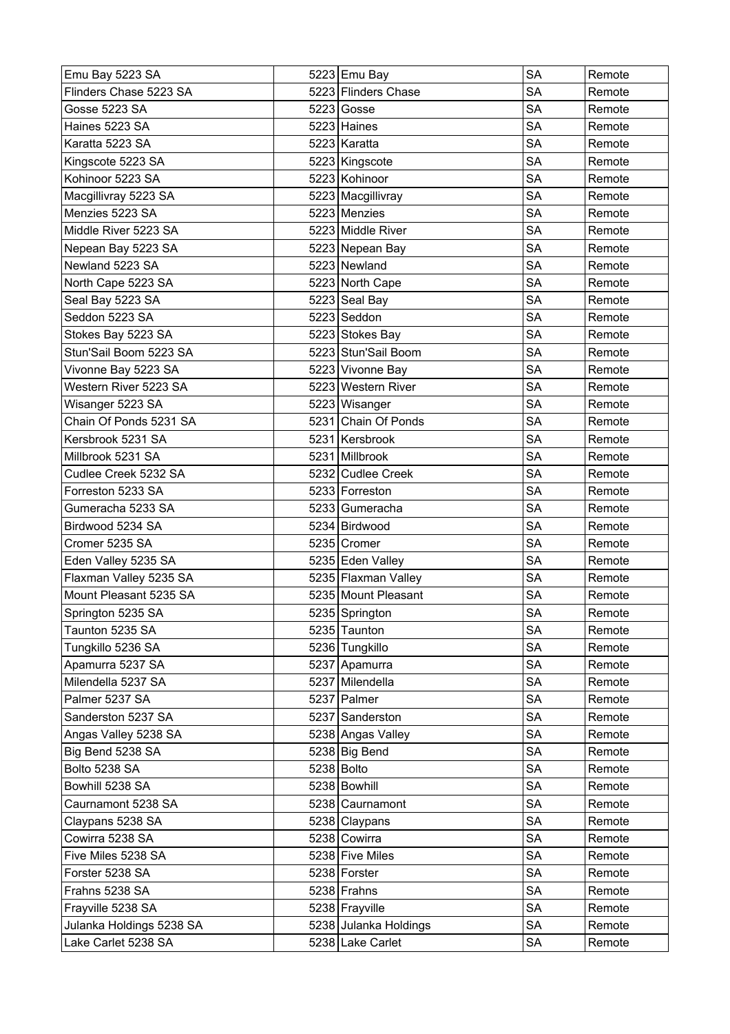| Emu Bay 5223 SA          | 5223 Emu Bay          | <b>SA</b> | Remote |
|--------------------------|-----------------------|-----------|--------|
| Flinders Chase 5223 SA   | 5223 Flinders Chase   | <b>SA</b> | Remote |
| <b>Gosse 5223 SA</b>     | $5223$ Gosse          | <b>SA</b> | Remote |
| Haines 5223 SA           | 5223 Haines           | <b>SA</b> | Remote |
| Karatta 5223 SA          | 5223 Karatta          | SA        | Remote |
| Kingscote 5223 SA        | 5223 Kingscote        | <b>SA</b> | Remote |
| Kohinoor 5223 SA         | 5223 Kohinoor         | <b>SA</b> | Remote |
| Macgillivray 5223 SA     | 5223 Macgillivray     | <b>SA</b> | Remote |
| Menzies 5223 SA          | 5223 Menzies          | <b>SA</b> | Remote |
| Middle River 5223 SA     | 5223 Middle River     | <b>SA</b> | Remote |
| Nepean Bay 5223 SA       | 5223 Nepean Bay       | <b>SA</b> | Remote |
| Newland 5223 SA          | 5223 Newland          | <b>SA</b> | Remote |
| North Cape 5223 SA       | 5223 North Cape       | <b>SA</b> | Remote |
| Seal Bay 5223 SA         | 5223 Seal Bay         | <b>SA</b> | Remote |
| Seddon 5223 SA           | 5223 Seddon           | <b>SA</b> | Remote |
| Stokes Bay 5223 SA       | 5223 Stokes Bay       | <b>SA</b> | Remote |
| Stun'Sail Boom 5223 SA   | 5223 Stun'Sail Boom   | <b>SA</b> | Remote |
| Vivonne Bay 5223 SA      | 5223 Vivonne Bay      | <b>SA</b> | Remote |
| Western River 5223 SA    | 5223 Western River    | SA        | Remote |
| Wisanger 5223 SA         | 5223 Wisanger         | <b>SA</b> | Remote |
| Chain Of Ponds 5231 SA   | 5231 Chain Of Ponds   | <b>SA</b> | Remote |
| Kersbrook 5231 SA        | 5231 Kersbrook        | <b>SA</b> | Remote |
| Millbrook 5231 SA        | 5231 Millbrook        | <b>SA</b> | Remote |
| Cudlee Creek 5232 SA     | 5232 Cudlee Creek     | <b>SA</b> | Remote |
| Forreston 5233 SA        | 5233 Forreston        | <b>SA</b> | Remote |
| Gumeracha 5233 SA        | 5233 Gumeracha        | SA        | Remote |
| Birdwood 5234 SA         | 5234 Birdwood         | <b>SA</b> | Remote |
| Cromer 5235 SA           | 5235 Cromer           | <b>SA</b> | Remote |
| Eden Valley 5235 SA      | 5235 Eden Valley      | <b>SA</b> | Remote |
| Flaxman Valley 5235 SA   | 5235 Flaxman Valley   | <b>SA</b> | Remote |
| Mount Pleasant 5235 SA   | 5235 Mount Pleasant   | <b>SA</b> | Remote |
| Springton 5235 SA        | 5235 Springton        | SA        | Remote |
| Taunton 5235 SA          | 5235 Taunton          | SA        | Remote |
| Tungkillo 5236 SA        | 5236 Tungkillo        | <b>SA</b> | Remote |
| Apamurra 5237 SA         | 5237 Apamurra         | SA        | Remote |
| Milendella 5237 SA       | 5237 Milendella       | <b>SA</b> | Remote |
| Palmer 5237 SA           | 5237 Palmer           | <b>SA</b> | Remote |
| Sanderston 5237 SA       | 5237 Sanderston       | SA        | Remote |
| Angas Valley 5238 SA     | 5238 Angas Valley     | <b>SA</b> | Remote |
| Big Bend 5238 SA         | 5238 Big Bend         | SA        | Remote |
| Bolto 5238 SA            | 5238 Bolto            | <b>SA</b> | Remote |
| Bowhill 5238 SA          | 5238 Bowhill          | <b>SA</b> | Remote |
| Caurnamont 5238 SA       | 5238 Caurnamont       | <b>SA</b> | Remote |
| Claypans 5238 SA         | 5238 Claypans         | <b>SA</b> | Remote |
| Cowirra 5238 SA          | 5238 Cowirra          | <b>SA</b> | Remote |
| Five Miles 5238 SA       | 5238 Five Miles       | <b>SA</b> | Remote |
| Forster 5238 SA          | 5238 Forster          | SA        | Remote |
| Frahns 5238 SA           | $5238$ Frahns         | <b>SA</b> | Remote |
| Frayville 5238 SA        | 5238 Frayville        | <b>SA</b> | Remote |
| Julanka Holdings 5238 SA | 5238 Julanka Holdings | <b>SA</b> | Remote |
| Lake Carlet 5238 SA      | 5238 Lake Carlet      | <b>SA</b> | Remote |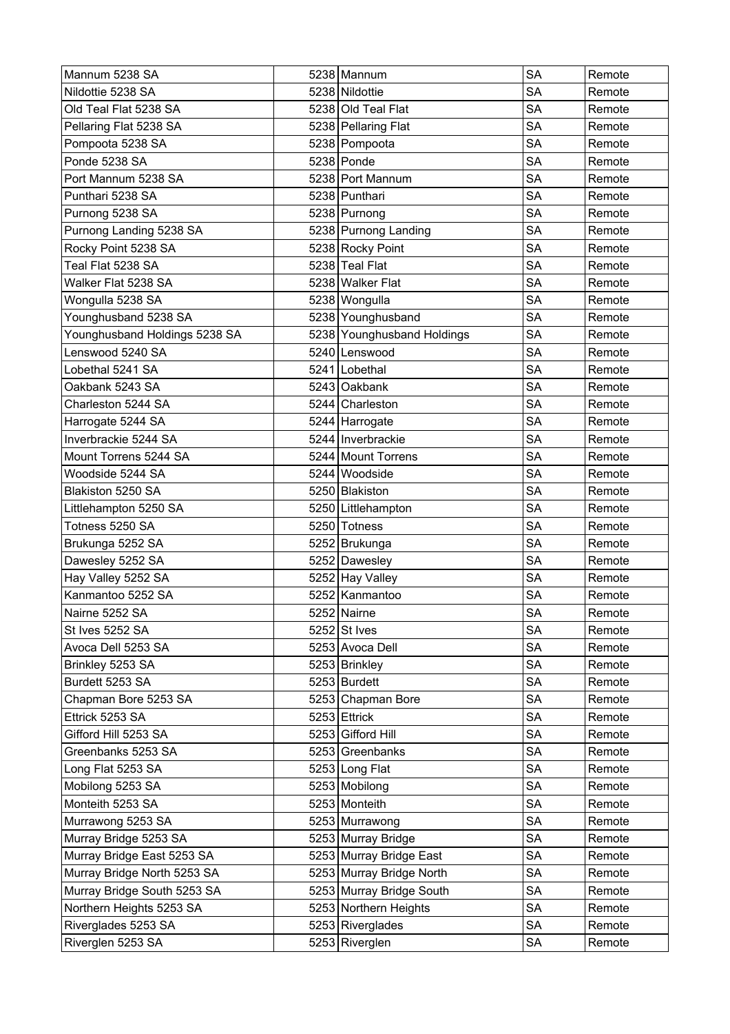| Mannum 5238 SA                | 5238 Mannum                | <b>SA</b> | Remote |
|-------------------------------|----------------------------|-----------|--------|
| Nildottie 5238 SA             | 5238 Nildottie             | <b>SA</b> | Remote |
| Old Teal Flat 5238 SA         | 5238 Old Teal Flat         | <b>SA</b> | Remote |
| Pellaring Flat 5238 SA        | 5238 Pellaring Flat        | <b>SA</b> | Remote |
| Pompoota 5238 SA              | 5238 Pompoota              | SA        | Remote |
| Ponde 5238 SA                 | 5238 Ponde                 | <b>SA</b> | Remote |
| Port Mannum 5238 SA           | 5238 Port Mannum           | <b>SA</b> | Remote |
| Punthari 5238 SA              | 5238 Punthari              | <b>SA</b> | Remote |
| Purnong 5238 SA               | 5238 Purnong               | <b>SA</b> | Remote |
| Purnong Landing 5238 SA       | 5238 Purnong Landing       | <b>SA</b> | Remote |
| Rocky Point 5238 SA           | 5238 Rocky Point           | <b>SA</b> | Remote |
| Teal Flat 5238 SA             | 5238 Teal Flat             | <b>SA</b> | Remote |
| Walker Flat 5238 SA           | 5238 Walker Flat           | <b>SA</b> | Remote |
| Wongulla 5238 SA              | 5238 Wongulla              | <b>SA</b> | Remote |
| Younghusband 5238 SA          | 5238 Younghusband          | <b>SA</b> | Remote |
| Younghusband Holdings 5238 SA | 5238 Younghusband Holdings | <b>SA</b> | Remote |
| Lenswood 5240 SA              | 5240 Lenswood              | SA        | Remote |
| Lobethal 5241 SA              | 5241 Lobethal              | <b>SA</b> | Remote |
| Oakbank 5243 SA               | 5243 Oakbank               | SA        | Remote |
| Charleston 5244 SA            | 5244 Charleston            | <b>SA</b> | Remote |
| Harrogate 5244 SA             | 5244 Harrogate             | <b>SA</b> | Remote |
| Inverbrackie 5244 SA          | 5244 Inverbrackie          | <b>SA</b> | Remote |
| Mount Torrens 5244 SA         | 5244 Mount Torrens         | <b>SA</b> | Remote |
| Woodside 5244 SA              | 5244 Woodside              | <b>SA</b> | Remote |
| Blakiston 5250 SA             | 5250 Blakiston             | <b>SA</b> | Remote |
| Littlehampton 5250 SA         | 5250   Littlehampton       | SA        | Remote |
| Totness 5250 SA               | 5250 Totness               | <b>SA</b> | Remote |
| Brukunga 5252 SA              | 5252 Brukunga              | <b>SA</b> | Remote |
| Dawesley 5252 SA              | 5252 Dawesley              | <b>SA</b> | Remote |
| Hay Valley 5252 SA            | 5252 Hay Valley            | <b>SA</b> | Remote |
| Kanmantoo 5252 SA             | 5252 Kanmantoo             | <b>SA</b> | Remote |
| Nairne 5252 SA                | $5252$ Nairne              | <b>SA</b> | Remote |
| St Ives 5252 SA               | $5252$ St Ives             | SA        | Remote |
| Avoca Dell 5253 SA            | 5253 Avoca Dell            | <b>SA</b> | Remote |
| Brinkley 5253 SA              | 5253 Brinkley              | <b>SA</b> | Remote |
| Burdett 5253 SA               | 5253 Burdett               | <b>SA</b> | Remote |
| Chapman Bore 5253 SA          | 5253 Chapman Bore          | <b>SA</b> | Remote |
| Ettrick 5253 SA               | $5253$ Ettrick             | SA        | Remote |
| Gifford Hill 5253 SA          | 5253 Gifford Hill          | <b>SA</b> | Remote |
| Greenbanks 5253 SA            | 5253 Greenbanks            | SA        | Remote |
| Long Flat 5253 SA             | 5253 Long Flat             | <b>SA</b> | Remote |
| Mobilong 5253 SA              | 5253 Mobilong              | <b>SA</b> | Remote |
| Monteith 5253 SA              | 5253 Monteith              | <b>SA</b> | Remote |
| Murrawong 5253 SA             | 5253 Murrawong             | <b>SA</b> | Remote |
| Murray Bridge 5253 SA         | 5253 Murray Bridge         | <b>SA</b> | Remote |
| Murray Bridge East 5253 SA    | 5253 Murray Bridge East    | <b>SA</b> | Remote |
| Murray Bridge North 5253 SA   | 5253 Murray Bridge North   | SA        | Remote |
| Murray Bridge South 5253 SA   | 5253 Murray Bridge South   | <b>SA</b> | Remote |
| Northern Heights 5253 SA      | 5253 Northern Heights      | <b>SA</b> | Remote |
| Riverglades 5253 SA           | 5253 Riverglades           | <b>SA</b> | Remote |
| Riverglen 5253 SA             | 5253 Riverglen             | <b>SA</b> | Remote |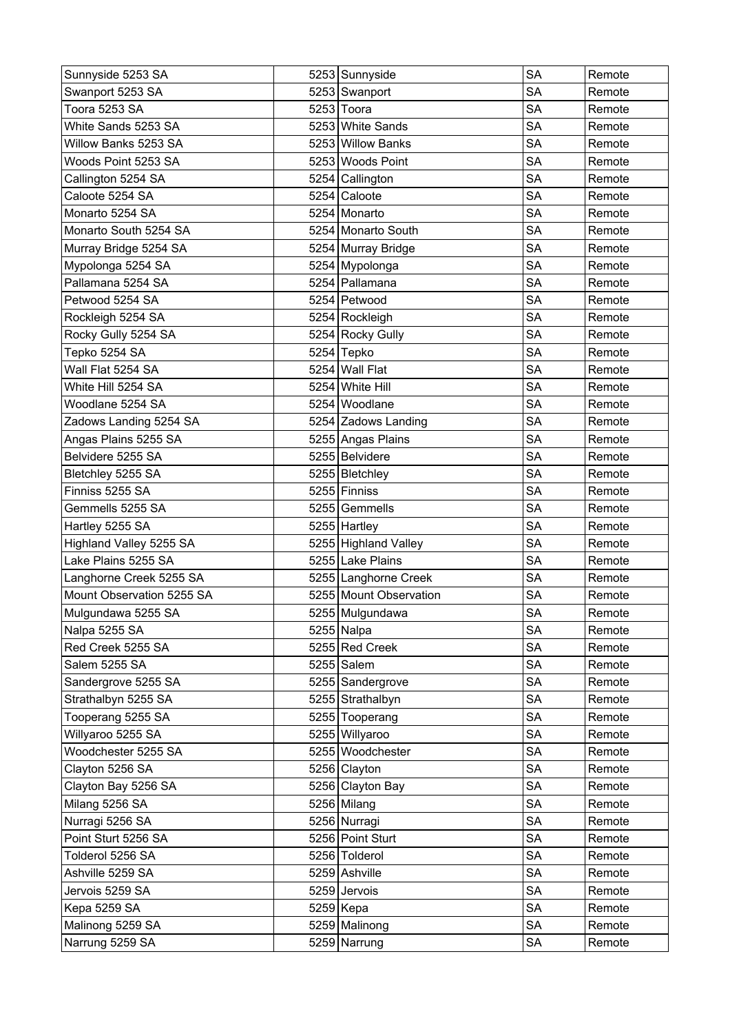| Sunnyside 5253 SA         | 5253 Sunnyside         | <b>SA</b> | Remote |
|---------------------------|------------------------|-----------|--------|
| Swanport 5253 SA          | 5253 Swanport          | <b>SA</b> | Remote |
| Toora 5253 SA             | 5253 Toora             | <b>SA</b> | Remote |
| White Sands 5253 SA       | 5253 White Sands       | <b>SA</b> | Remote |
| Willow Banks 5253 SA      | 5253 Willow Banks      | SA        | Remote |
| Woods Point 5253 SA       | 5253 Woods Point       | <b>SA</b> | Remote |
| Callington 5254 SA        | 5254 Callington        | <b>SA</b> | Remote |
| Caloote 5254 SA           | 5254 Caloote           | <b>SA</b> | Remote |
| Monarto 5254 SA           | 5254 Monarto           | <b>SA</b> | Remote |
| Monarto South 5254 SA     | 5254 Monarto South     | <b>SA</b> | Remote |
| Murray Bridge 5254 SA     | 5254 Murray Bridge     | <b>SA</b> | Remote |
| Mypolonga 5254 SA         | 5254 Mypolonga         | <b>SA</b> | Remote |
| Pallamana 5254 SA         | 5254 Pallamana         | <b>SA</b> | Remote |
| Petwood 5254 SA           | 5254 Petwood           | <b>SA</b> | Remote |
| Rockleigh 5254 SA         | 5254 Rockleigh         | <b>SA</b> | Remote |
| Rocky Gully 5254 SA       | 5254 Rocky Gully       | <b>SA</b> | Remote |
| Tepko 5254 SA             | 5254 Tepko             | <b>SA</b> | Remote |
| Wall Flat 5254 SA         | 5254 Wall Flat         | <b>SA</b> | Remote |
| White Hill 5254 SA        | 5254 White Hill        | SA        | Remote |
| Woodlane 5254 SA          | 5254 Woodlane          | <b>SA</b> | Remote |
| Zadows Landing 5254 SA    | 5254 Zadows Landing    | <b>SA</b> | Remote |
| Angas Plains 5255 SA      | 5255 Angas Plains      | <b>SA</b> | Remote |
| Belvidere 5255 SA         | 5255 Belvidere         | <b>SA</b> | Remote |
| Bletchley 5255 SA         | 5255   Bletchley       | SA        | Remote |
| Finniss 5255 SA           | 5255 Finniss           | <b>SA</b> | Remote |
| Gemmells 5255 SA          | 5255 Gemmells          | SA        | Remote |
| Hartley 5255 SA           | 5255 Hartley           | <b>SA</b> | Remote |
| Highland Valley 5255 SA   | 5255 Highland Valley   | <b>SA</b> | Remote |
| Lake Plains 5255 SA       | 5255 Lake Plains       | <b>SA</b> | Remote |
| Langhorne Creek 5255 SA   | 5255 Langhorne Creek   | <b>SA</b> | Remote |
| Mount Observation 5255 SA | 5255 Mount Observation | <b>SA</b> | Remote |
| Mulgundawa 5255 SA        | 5255 Mulgundawa        | <b>SA</b> | Remote |
| Nalpa 5255 SA             | 5255 Nalpa             | SA        | Remote |
| Red Creek 5255 SA         | 5255 Red Creek         | <b>SA</b> | Remote |
| Salem 5255 SA             | $5255$ Salem           | <b>SA</b> | Remote |
| Sandergrove 5255 SA       | 5255 Sandergrove       | <b>SA</b> | Remote |
| Strathalbyn 5255 SA       | 5255 Strathalbyn       | <b>SA</b> | Remote |
| Tooperang 5255 SA         | 5255 Tooperang         | SA        | Remote |
| Willyaroo 5255 SA         | 5255 Willyaroo         | <b>SA</b> | Remote |
| Woodchester 5255 SA       | 5255 Woodchester       | SA        | Remote |
| Clayton 5256 SA           | 5256 Clayton           | <b>SA</b> | Remote |
| Clayton Bay 5256 SA       | 5256 Clayton Bay       | <b>SA</b> | Remote |
| Milang 5256 SA            | 5256 Milang            | <b>SA</b> | Remote |
| Nurragi 5256 SA           | 5256 Nurragi           | <b>SA</b> | Remote |
| Point Sturt 5256 SA       | 5256 Point Sturt       | <b>SA</b> | Remote |
| Tolderol 5256 SA          | 5256 Tolderol          | <b>SA</b> | Remote |
| Ashville 5259 SA          | 5259 Ashville          | SA        | Remote |
| Jervois 5259 SA           | 5259 Jervois           | <b>SA</b> | Remote |
| Kepa 5259 SA              | 5259 Kepa              | <b>SA</b> | Remote |
| Malinong 5259 SA          | 5259 Malinong          | <b>SA</b> | Remote |
| Narrung 5259 SA           | 5259 Narrung           | <b>SA</b> | Remote |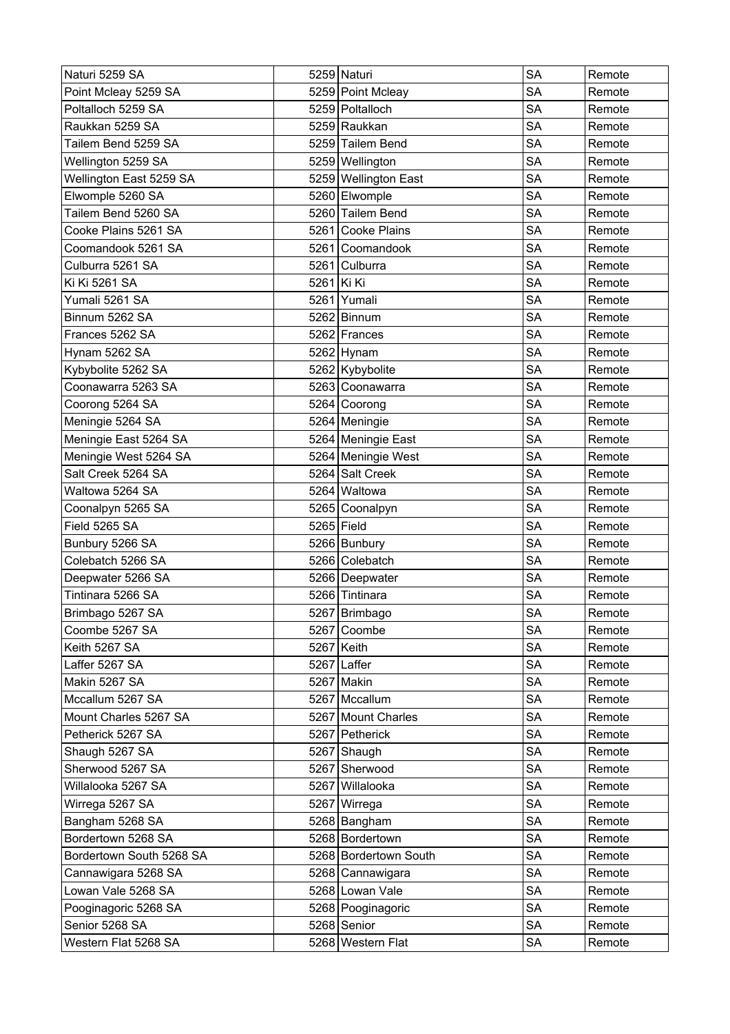| Naturi 5259 SA           |              | 5259 Naturi           | <b>SA</b> | Remote |
|--------------------------|--------------|-----------------------|-----------|--------|
| Point Mcleay 5259 SA     |              | 5259 Point Mcleay     | SA        | Remote |
| Poltalloch 5259 SA       |              | 5259 Poltalloch       | SA        | Remote |
| Raukkan 5259 SA          |              | 5259 Raukkan          | <b>SA</b> | Remote |
| Tailem Bend 5259 SA      |              | 5259 Tailem Bend      | <b>SA</b> | Remote |
| Wellington 5259 SA       |              | 5259 Wellington       | <b>SA</b> | Remote |
| Wellington East 5259 SA  |              | 5259 Wellington East  | <b>SA</b> | Remote |
| Elwomple 5260 SA         |              | 5260 Elwomple         | <b>SA</b> | Remote |
| Tailem Bend 5260 SA      |              | 5260 Tailem Bend      | SA        | Remote |
| Cooke Plains 5261 SA     |              | 5261 Cooke Plains     | <b>SA</b> | Remote |
| Coomandook 5261 SA       |              | 5261 Coomandook       | <b>SA</b> | Remote |
| Culburra 5261 SA         |              | 5261 Culburra         | <b>SA</b> | Remote |
| Ki Ki 5261 SA            | 5261 Ki Ki   |                       | <b>SA</b> | Remote |
| Yumali 5261 SA           |              | 5261 Yumali           | <b>SA</b> | Remote |
| Binnum 5262 SA           |              | 5262 Binnum           | <b>SA</b> | Remote |
| Frances 5262 SA          |              | 5262 Frances          | SA        | Remote |
| Hynam 5262 SA            |              | 5262 Hynam            | <b>SA</b> | Remote |
| Kybybolite 5262 SA       |              | 5262 Kybybolite       | <b>SA</b> | Remote |
| Coonawarra 5263 SA       |              | 5263 Coonawarra       | <b>SA</b> | Remote |
| Coorong 5264 SA          |              | 5264 Coorong          | <b>SA</b> | Remote |
| Meningie 5264 SA         |              | 5264   Meningie       | SA        | Remote |
| Meningie East 5264 SA    |              | 5264 Meningie East    | <b>SA</b> | Remote |
| Meningie West 5264 SA    |              | 5264 Meningie West    | <b>SA</b> | Remote |
| Salt Creek 5264 SA       |              | 5264 Salt Creek       | <b>SA</b> | Remote |
| Waltowa 5264 SA          |              | 5264 Waltowa          | <b>SA</b> | Remote |
| Coonalpyn 5265 SA        |              | 5265 Coonalpyn        | <b>SA</b> | Remote |
| Field 5265 SA            | $5265$ Field |                       | <b>SA</b> | Remote |
| Bunbury 5266 SA          |              | 5266 Bunbury          | <b>SA</b> | Remote |
| Colebatch 5266 SA        |              | 5266 Colebatch        | <b>SA</b> | Remote |
| Deepwater 5266 SA        |              | 5266 Deepwater        | SA        | Remote |
| Tintinara 5266 SA        |              | 5266 Tintinara        | <b>SA</b> | Remote |
| Brimbago 5267 SA         |              | 5267   Brimbago       | SA        | Remote |
| Coombe 5267 SA           |              | 5267 Coombe           | <b>SA</b> | Remote |
| Keith 5267 SA            |              | 5267 Keith            | SA        | Remote |
| Laffer 5267 SA           |              | 5267 Laffer           | SA        | Remote |
| Makin 5267 SA            |              | 5267 Makin            | <b>SA</b> | Remote |
| Mccallum 5267 SA         |              | 5267 Mccallum         | <b>SA</b> | Remote |
| Mount Charles 5267 SA    |              | 5267 Mount Charles    | <b>SA</b> | Remote |
| Petherick 5267 SA        |              | 5267 Petherick        | <b>SA</b> | Remote |
| Shaugh 5267 SA           |              | 5267 Shaugh           | <b>SA</b> | Remote |
| Sherwood 5267 SA         |              | 5267 Sherwood         | <b>SA</b> | Remote |
| Willalooka 5267 SA       |              | 5267 Willalooka       | <b>SA</b> | Remote |
| Wirrega 5267 SA          |              | 5267 Wirrega          | <b>SA</b> | Remote |
| Bangham 5268 SA          |              | 5268 Bangham          | SA        | Remote |
| Bordertown 5268 SA       |              | 5268 Bordertown       | <b>SA</b> | Remote |
| Bordertown South 5268 SA |              | 5268 Bordertown South | <b>SA</b> | Remote |
| Cannawigara 5268 SA      |              | 5268 Cannawigara      | <b>SA</b> | Remote |
| Lowan Vale 5268 SA       |              | 5268 Lowan Vale       | <b>SA</b> | Remote |
| Pooginagoric 5268 SA     |              | 5268 Pooginagoric     | SA        | Remote |
| Senior 5268 SA           |              | 5268 Senior           | <b>SA</b> | Remote |
| Western Flat 5268 SA     |              | 5268 Western Flat     | <b>SA</b> | Remote |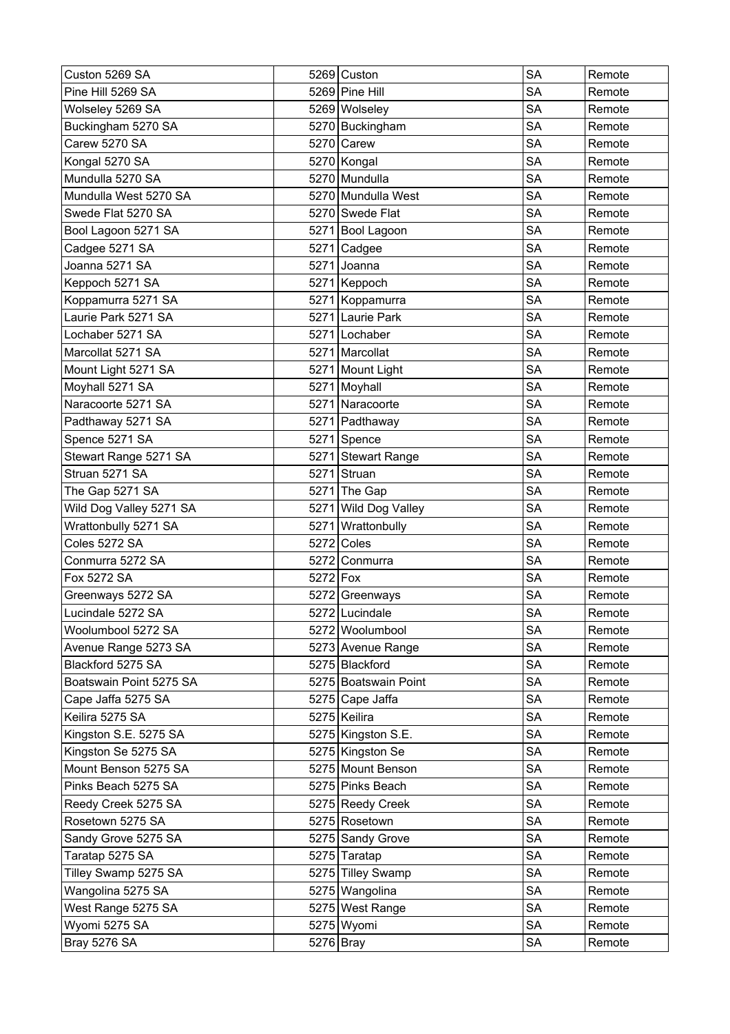| Custon 5269 SA          |           | 5269 Custon          | <b>SA</b> | Remote |
|-------------------------|-----------|----------------------|-----------|--------|
| Pine Hill 5269 SA       |           | 5269 Pine Hill       | <b>SA</b> | Remote |
| Wolseley 5269 SA        |           | 5269 Wolseley        | <b>SA</b> | Remote |
| Buckingham 5270 SA      |           | 5270 Buckingham      | <b>SA</b> | Remote |
| Carew 5270 SA           |           | 5270 Carew           | SA        | Remote |
| Kongal 5270 SA          |           | 5270 Kongal          | <b>SA</b> | Remote |
| Mundulla 5270 SA        |           | 5270 Mundulla        | <b>SA</b> | Remote |
| Mundulla West 5270 SA   |           | 5270 Mundulla West   | <b>SA</b> | Remote |
| Swede Flat 5270 SA      |           | 5270 Swede Flat      | <b>SA</b> | Remote |
| Bool Lagoon 5271 SA     |           | 5271 Bool Lagoon     | <b>SA</b> | Remote |
| Cadgee 5271 SA          |           | 5271 Cadgee          | <b>SA</b> | Remote |
| Joanna 5271 SA          |           | 5271 Joanna          | <b>SA</b> | Remote |
| Keppoch 5271 SA         |           | 5271 Keppoch         | <b>SA</b> | Remote |
| Koppamurra 5271 SA      |           | 5271 Koppamurra      | <b>SA</b> | Remote |
| Laurie Park 5271 SA     |           | 5271 Laurie Park     | <b>SA</b> | Remote |
| Lochaber 5271 SA        |           | 5271 Lochaber        | <b>SA</b> | Remote |
| Marcollat 5271 SA       |           | 5271 Marcollat       | <b>SA</b> | Remote |
| Mount Light 5271 SA     |           | 5271 Mount Light     | <b>SA</b> | Remote |
| Moyhall 5271 SA         |           | 5271 Moyhall         | SA        | Remote |
| Naracoorte 5271 SA      |           | 5271 Naracoorte      | <b>SA</b> | Remote |
| Padthaway 5271 SA       |           | 5271 Padthaway       | <b>SA</b> | Remote |
| Spence 5271 SA          |           | 5271 Spence          | <b>SA</b> | Remote |
| Stewart Range 5271 SA   |           | 5271 Stewart Range   | <b>SA</b> | Remote |
| Struan 5271 SA          |           | 5271 Struan          | <b>SA</b> | Remote |
| The Gap 5271 SA         |           | $5271$ The Gap       | <b>SA</b> | Remote |
| Wild Dog Valley 5271 SA |           | 5271 Wild Dog Valley | SA        | Remote |
| Wrattonbully 5271 SA    | 5271      | Wrattonbully         | <b>SA</b> | Remote |
| Coles 5272 SA           |           | $5272$ Coles         | <b>SA</b> | Remote |
| Conmurra 5272 SA        | 5272      | Conmurra             | <b>SA</b> | Remote |
| Fox 5272 SA             | 5272 Fox  |                      | <b>SA</b> | Remote |
| Greenways 5272 SA       |           | 5272 Greenways       | <b>SA</b> | Remote |
| Lucindale 5272 SA       |           | 5272 Lucindale       | <b>SA</b> | Remote |
| Woolumbool 5272 SA      |           | 5272 Woolumbool      | SA        | Remote |
| Avenue Range 5273 SA    |           | 5273 Avenue Range    | <b>SA</b> | Remote |
| Blackford 5275 SA       |           | 5275 Blackford       | <b>SA</b> | Remote |
| Boatswain Point 5275 SA |           | 5275 Boatswain Point | <b>SA</b> | Remote |
| Cape Jaffa 5275 SA      |           | 5275 Cape Jaffa      | <b>SA</b> | Remote |
| Keilira 5275 SA         |           | 5275 Keilira         | SA        | Remote |
| Kingston S.E. 5275 SA   |           | 5275 Kingston S.E.   | <b>SA</b> | Remote |
| Kingston Se 5275 SA     |           | 5275 Kingston Se     | SA        | Remote |
| Mount Benson 5275 SA    |           | 5275 Mount Benson    | <b>SA</b> | Remote |
| Pinks Beach 5275 SA     |           | 5275 Pinks Beach     | <b>SA</b> | Remote |
| Reedy Creek 5275 SA     |           | 5275 Reedy Creek     | <b>SA</b> | Remote |
| Rosetown 5275 SA        |           | 5275 Rosetown        | <b>SA</b> | Remote |
| Sandy Grove 5275 SA     |           | 5275 Sandy Grove     | <b>SA</b> | Remote |
| Taratap 5275 SA         |           | 5275 Taratap         | <b>SA</b> | Remote |
| Tilley Swamp 5275 SA    |           | 5275 Tilley Swamp    | SA        | Remote |
| Wangolina 5275 SA       |           | 5275 Wangolina       | <b>SA</b> | Remote |
| West Range 5275 SA      |           | 5275 West Range      | <b>SA</b> | Remote |
| Wyomi 5275 SA           |           | 5275 Wyomi           | <b>SA</b> | Remote |
| <b>Bray 5276 SA</b>     | 5276 Bray |                      | <b>SA</b> | Remote |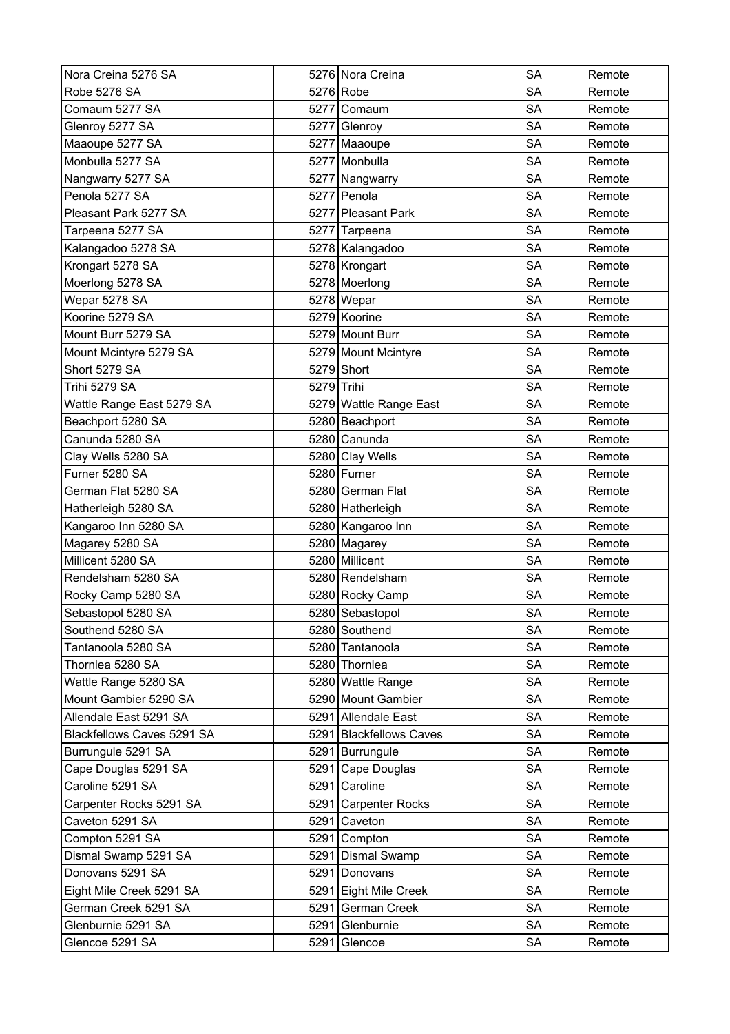| Nora Creina 5276 SA        |            | 5276 Nora Creina        | <b>SA</b> | Remote |
|----------------------------|------------|-------------------------|-----------|--------|
| <b>Robe 5276 SA</b>        |            | 5276 Robe               | <b>SA</b> | Remote |
| Comaum 5277 SA             |            | 5277 Comaum             | <b>SA</b> | Remote |
| Glenroy 5277 SA            |            | 5277 Glenroy            | <b>SA</b> | Remote |
| Maaoupe 5277 SA            |            | 5277 Maaoupe            | <b>SA</b> | Remote |
| Monbulla 5277 SA           |            | 5277 Monbulla           | <b>SA</b> | Remote |
| Nangwarry 5277 SA          |            | 5277 Nangwarry          | <b>SA</b> | Remote |
| Penola 5277 SA             |            | 5277 Penola             | <b>SA</b> | Remote |
| Pleasant Park 5277 SA      |            | 5277 Pleasant Park      | <b>SA</b> | Remote |
| Tarpeena 5277 SA           |            | 5277 Tarpeena           | <b>SA</b> | Remote |
| Kalangadoo 5278 SA         |            | 5278 Kalangadoo         | <b>SA</b> | Remote |
| Krongart 5278 SA           |            | 5278 Krongart           | <b>SA</b> | Remote |
| Moerlong 5278 SA           |            | 5278 Moerlong           | <b>SA</b> | Remote |
| Wepar 5278 SA              |            | 5278 Wepar              | <b>SA</b> | Remote |
| Koorine 5279 SA            |            | 5279 Koorine            | <b>SA</b> | Remote |
| Mount Burr 5279 SA         |            | 5279 Mount Burr         | <b>SA</b> | Remote |
| Mount Mcintyre 5279 SA     |            | 5279 Mount Mcintyre     | <b>SA</b> | Remote |
| Short 5279 SA              |            | 5279 Short              | <b>SA</b> | Remote |
| Trihi 5279 SA              | 5279 Trihi |                         | <b>SA</b> | Remote |
| Wattle Range East 5279 SA  |            | 5279 Wattle Range East  | SA        | Remote |
| Beachport 5280 SA          |            | 5280 Beachport          | <b>SA</b> | Remote |
| Canunda 5280 SA            |            | 5280 Canunda            | <b>SA</b> | Remote |
| Clay Wells 5280 SA         |            | 5280 Clay Wells         | <b>SA</b> | Remote |
| Furner 5280 SA             |            | 5280 Furner             | <b>SA</b> | Remote |
| German Flat 5280 SA        |            | 5280 German Flat        | <b>SA</b> | Remote |
| Hatherleigh 5280 SA        |            | 5280 Hatherleigh        | <b>SA</b> | Remote |
| Kangaroo Inn 5280 SA       |            | 5280 Kangaroo Inn       | <b>SA</b> | Remote |
| Magarey 5280 SA            |            | 5280 Magarey            | <b>SA</b> | Remote |
| Millicent 5280 SA          |            | 5280 Millicent          | <b>SA</b> | Remote |
| Rendelsham 5280 SA         |            | 5280 Rendelsham         | <b>SA</b> | Remote |
| Rocky Camp 5280 SA         |            | 5280 Rocky Camp         | <b>SA</b> | Remote |
| Sebastopol 5280 SA         |            | 5280 Sebastopol         | <b>SA</b> | Remote |
| Southend 5280 SA           |            | 5280 Southend           | <b>SA</b> | Remote |
| Tantanoola 5280 SA         |            | 5280 Tantanoola         | <b>SA</b> | Remote |
| Thornlea 5280 SA           |            | 5280 Thornlea           | SA        | Remote |
| Wattle Range 5280 SA       |            | 5280 Wattle Range       | <b>SA</b> | Remote |
| Mount Gambier 5290 SA      |            | 5290 Mount Gambier      | <b>SA</b> | Remote |
| Allendale East 5291 SA     |            | 5291 Allendale East     | SA        | Remote |
| Blackfellows Caves 5291 SA |            | 5291 Blackfellows Caves | SA        | Remote |
| Burrungule 5291 SA         |            | 5291 Burrungule         | <b>SA</b> | Remote |
| Cape Douglas 5291 SA       |            | 5291 Cape Douglas       | <b>SA</b> | Remote |
| Caroline 5291 SA           |            | 5291 Caroline           | <b>SA</b> | Remote |
| Carpenter Rocks 5291 SA    |            | 5291 Carpenter Rocks    | <b>SA</b> | Remote |
| Caveton 5291 SA            |            | 5291 Caveton            | SA        | Remote |
| Compton 5291 SA            |            | 5291 Compton            | <b>SA</b> | Remote |
| Dismal Swamp 5291 SA       |            | 5291 Dismal Swamp       | <b>SA</b> | Remote |
| Donovans 5291 SA           |            | 5291 Donovans           | <b>SA</b> | Remote |
| Eight Mile Creek 5291 SA   |            | 5291 Eight Mile Creek   | <b>SA</b> | Remote |
| German Creek 5291 SA       |            | 5291 German Creek       | SA        | Remote |
| Glenburnie 5291 SA         |            | 5291 Glenburnie         | <b>SA</b> | Remote |
| Glencoe 5291 SA            | 5291       | Glencoe                 | SA        | Remote |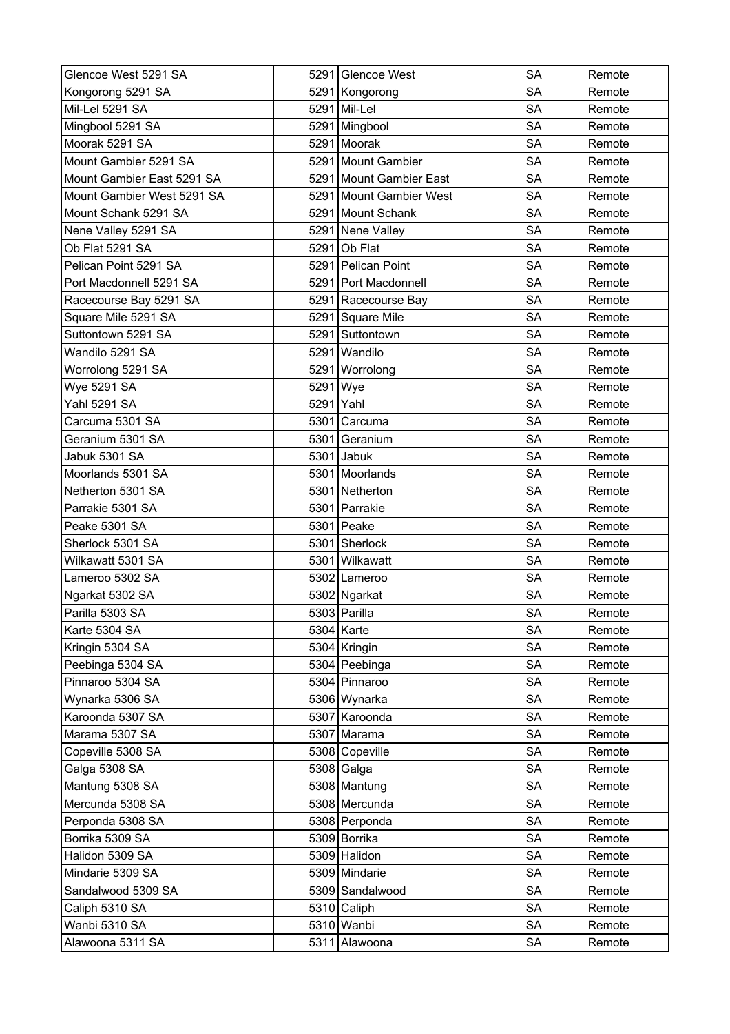| Glencoe West 5291 SA       |           | 5291 Glencoe West       | <b>SA</b> | Remote |
|----------------------------|-----------|-------------------------|-----------|--------|
| Kongorong 5291 SA          |           | 5291 Kongorong          | <b>SA</b> | Remote |
| Mil-Lel 5291 SA            |           | 5291 Mil-Lel            | <b>SA</b> | Remote |
| Mingbool 5291 SA           |           | 5291 Mingbool           | <b>SA</b> | Remote |
| Moorak 5291 SA             |           | 5291 Moorak             | <b>SA</b> | Remote |
| Mount Gambier 5291 SA      |           | 5291 Mount Gambier      | <b>SA</b> | Remote |
| Mount Gambier East 5291 SA |           | 5291 Mount Gambier East | <b>SA</b> | Remote |
| Mount Gambier West 5291 SA |           | 5291 Mount Gambier West | <b>SA</b> | Remote |
| Mount Schank 5291 SA       |           | 5291 Mount Schank       | <b>SA</b> | Remote |
| Nene Valley 5291 SA        |           | 5291 Nene Valley        | <b>SA</b> | Remote |
| Ob Flat 5291 SA            |           | 5291 Ob Flat            | <b>SA</b> | Remote |
| Pelican Point 5291 SA      |           | 5291 Pelican Point      | <b>SA</b> | Remote |
| Port Macdonnell 5291 SA    |           | 5291 Port Macdonnell    | <b>SA</b> | Remote |
| Racecourse Bay 5291 SA     |           | 5291 Racecourse Bay     | <b>SA</b> | Remote |
| Square Mile 5291 SA        |           | 5291 Square Mile        | <b>SA</b> | Remote |
| Suttontown 5291 SA         |           | 5291 Suttontown         | <b>SA</b> | Remote |
| Wandilo 5291 SA            |           | 5291 Wandilo            | <b>SA</b> | Remote |
| Worrolong 5291 SA          |           | 5291 Worrolong          | <b>SA</b> | Remote |
| Wye 5291 SA                | 5291 Wye  |                         | <b>SA</b> | Remote |
| <b>Yahl 5291 SA</b>        | 5291 Yahl |                         | <b>SA</b> | Remote |
| Carcuma 5301 SA            |           | 5301 Carcuma            | <b>SA</b> | Remote |
| Geranium 5301 SA           |           | 5301 Geranium           | <b>SA</b> | Remote |
| Jabuk 5301 SA              |           | 5301 Jabuk              | <b>SA</b> | Remote |
| Moorlands 5301 SA          |           | 5301 Moorlands          | <b>SA</b> | Remote |
| Netherton 5301 SA          |           | 5301 Netherton          | <b>SA</b> | Remote |
| Parrakie 5301 SA           |           | 5301 Parrakie           | <b>SA</b> | Remote |
| Peake 5301 SA              |           | 5301 Peake              | <b>SA</b> | Remote |
| Sherlock 5301 SA           |           | 5301 Sherlock           | <b>SA</b> | Remote |
| Wilkawatt 5301 SA          |           | 5301 Wilkawatt          | <b>SA</b> | Remote |
| Lameroo 5302 SA            |           | 5302 Lameroo            | <b>SA</b> | Remote |
| Ngarkat 5302 SA            |           | 5302 Ngarkat            | <b>SA</b> | Remote |
| Parilla 5303 SA            |           | 5303 Parilla            | <b>SA</b> | Remote |
| Karte 5304 SA              |           | $5304$ Karte            | <b>SA</b> | Remote |
| Kringin 5304 SA            |           | 5304 Kringin            | <b>SA</b> | Remote |
| Peebinga 5304 SA           |           | 5304 Peebinga           | SA        | Remote |
| Pinnaroo 5304 SA           |           | 5304 Pinnaroo           | <b>SA</b> | Remote |
| Wynarka 5306 SA            |           | 5306 Wynarka            | <b>SA</b> | Remote |
| Karoonda 5307 SA           |           | 5307 Karoonda           | <b>SA</b> | Remote |
| Marama 5307 SA             |           | 5307 Marama             | <b>SA</b> | Remote |
| Copeville 5308 SA          |           | 5308 Copeville          | <b>SA</b> | Remote |
| Galga 5308 SA              |           | 5308 Galga              | <b>SA</b> | Remote |
| Mantung 5308 SA            |           | 5308 Mantung            | <b>SA</b> | Remote |
| Mercunda 5308 SA           |           | 5308 Mercunda           | <b>SA</b> | Remote |
| Perponda 5308 SA           |           | 5308 Perponda           | <b>SA</b> | Remote |
| Borrika 5309 SA            |           | 5309 Borrika            | <b>SA</b> | Remote |
| Halidon 5309 SA            |           | 5309 Halidon            | <b>SA</b> | Remote |
| Mindarie 5309 SA           |           | 5309 Mindarie           | <b>SA</b> | Remote |
| Sandalwood 5309 SA         |           | 5309 Sandalwood         | <b>SA</b> | Remote |
| Caliph 5310 SA             |           | 5310 Caliph             | SA        | Remote |
| Wanbi 5310 SA              |           | 5310 Wanbi              | <b>SA</b> | Remote |
| Alawoona 5311 SA           |           | 5311 Alawoona           | SA        | Remote |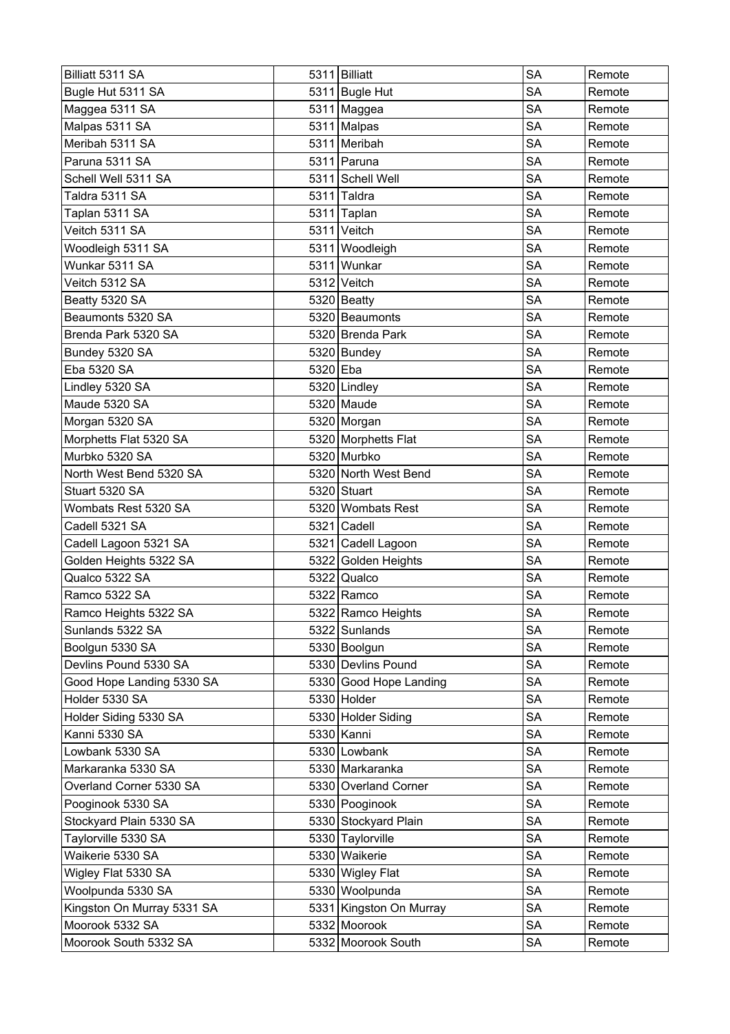| Billiatt 5311 SA           |          | 5311 Billiatt           | <b>SA</b> | Remote |
|----------------------------|----------|-------------------------|-----------|--------|
| Bugle Hut 5311 SA          |          | 5311 Bugle Hut          | <b>SA</b> | Remote |
| Maggea 5311 SA             |          | $5311$ Maggea           | <b>SA</b> | Remote |
| Malpas 5311 SA             |          | 5311 Malpas             | <b>SA</b> | Remote |
| Meribah 5311 SA            |          | 5311 Meribah            | SA        | Remote |
| Paruna 5311 SA             |          | 5311 Paruna             | <b>SA</b> | Remote |
| Schell Well 5311 SA        |          | 5311 Schell Well        | <b>SA</b> | Remote |
| Taldra 5311 SA             |          | 5311 Taldra             | <b>SA</b> | Remote |
| Taplan 5311 SA             |          | 5311 Taplan             | <b>SA</b> | Remote |
| Veitch 5311 SA             |          | 5311 Veitch             | <b>SA</b> | Remote |
| Woodleigh 5311 SA          |          | 5311 Woodleigh          | <b>SA</b> | Remote |
| Wunkar 5311 SA             |          | 5311 Wunkar             | SA        | Remote |
| Veitch 5312 SA             |          | 5312 Veitch             | <b>SA</b> | Remote |
| Beatty 5320 SA             |          | $5320$ Beatty           | <b>SA</b> | Remote |
| Beaumonts 5320 SA          |          | 5320 Beaumonts          | <b>SA</b> | Remote |
| Brenda Park 5320 SA        |          | 5320 Brenda Park        | <b>SA</b> | Remote |
| Bundey 5320 SA             |          | 5320 Bundey             | <b>SA</b> | Remote |
| Eba 5320 SA                | 5320 Eba |                         | <b>SA</b> | Remote |
| Lindley 5320 SA            |          | 5320 Lindley            | SA        | Remote |
| Maude 5320 SA              |          | 5320 Maude              | <b>SA</b> | Remote |
| Morgan 5320 SA             |          | 5320 Morgan             | <b>SA</b> | Remote |
| Morphetts Flat 5320 SA     |          | 5320 Morphetts Flat     | <b>SA</b> | Remote |
| Murbko 5320 SA             |          | 5320 Murbko             | <b>SA</b> | Remote |
| North West Bend 5320 SA    |          | 5320 North West Bend    | <b>SA</b> | Remote |
| Stuart 5320 SA             |          | 5320 Stuart             | <b>SA</b> | Remote |
| Wombats Rest 5320 SA       |          | 5320 Wombats Rest       | <b>SA</b> | Remote |
| Cadell 5321 SA             |          | 5321 Cadell             | <b>SA</b> | Remote |
| Cadell Lagoon 5321 SA      |          | 5321 Cadell Lagoon      | <b>SA</b> | Remote |
| Golden Heights 5322 SA     |          | 5322 Golden Heights     | <b>SA</b> | Remote |
| Qualco 5322 SA             |          | 5322 Qualco             | <b>SA</b> | Remote |
| Ramco 5322 SA              |          | $5322$ Ramco            | <b>SA</b> | Remote |
| Ramco Heights 5322 SA      |          | 5322 Ramco Heights      | <b>SA</b> | Remote |
| Sunlands 5322 SA           |          | 5322 Sunlands           | SA        | Remote |
| Boolgun 5330 SA            |          | 5330 Boolgun            | <b>SA</b> | Remote |
| Devlins Pound 5330 SA      |          | 5330 Devlins Pound      | SA        | Remote |
| Good Hope Landing 5330 SA  |          | 5330 Good Hope Landing  | <b>SA</b> | Remote |
| Holder 5330 SA             |          | 5330 Holder             | <b>SA</b> | Remote |
| Holder Siding 5330 SA      |          | 5330 Holder Siding      | SA        | Remote |
| Kanni 5330 SA              |          | 5330 Kanni              | <b>SA</b> | Remote |
| Lowbank 5330 SA            |          | 5330 Lowbank            | SA        | Remote |
| Markaranka 5330 SA         |          | 5330 Markaranka         | <b>SA</b> | Remote |
| Overland Corner 5330 SA    |          | 5330 Overland Corner    | <b>SA</b> | Remote |
| Pooginook 5330 SA          |          | 5330 Pooginook          | <b>SA</b> | Remote |
| Stockyard Plain 5330 SA    |          | 5330 Stockyard Plain    | SA        | Remote |
| Taylorville 5330 SA        |          | 5330 Taylorville        | SA        | Remote |
| Waikerie 5330 SA           |          | 5330 Waikerie           | <b>SA</b> | Remote |
| Wigley Flat 5330 SA        |          | 5330 Wigley Flat        | SA        | Remote |
| Woolpunda 5330 SA          |          | 5330 Woolpunda          | <b>SA</b> | Remote |
| Kingston On Murray 5331 SA |          | 5331 Kingston On Murray | <b>SA</b> | Remote |
| Moorook 5332 SA            |          | 5332 Moorook            | <b>SA</b> | Remote |
| Moorook South 5332 SA      |          | 5332 Moorook South      | <b>SA</b> | Remote |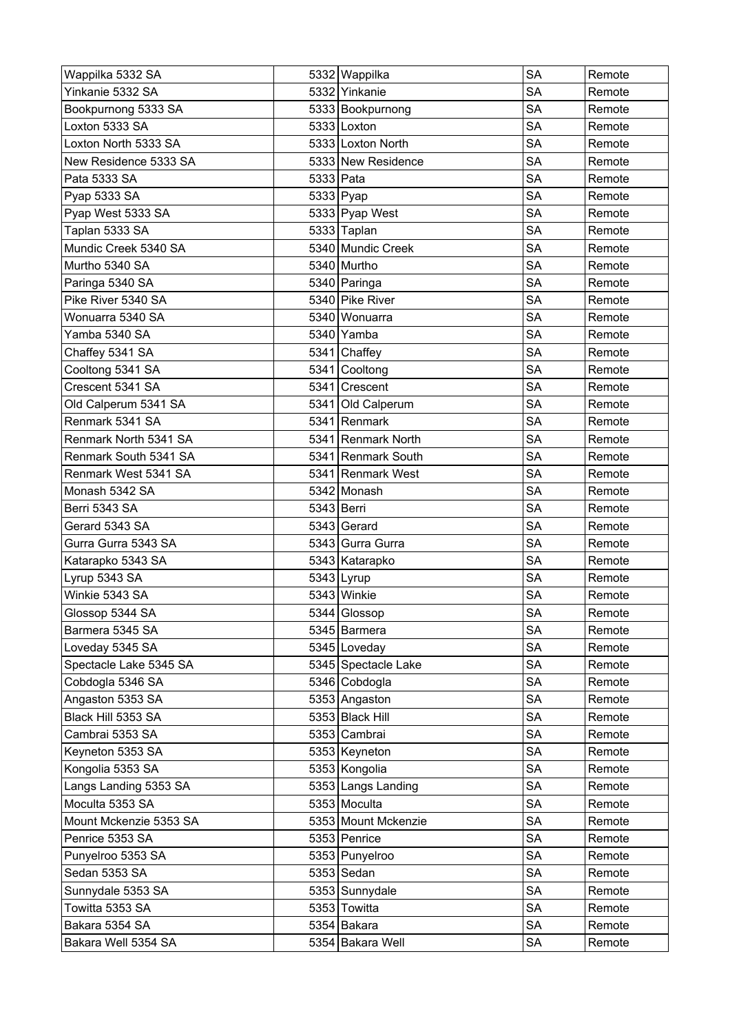| Wappilka 5332 SA       |           | 5332 Wappilka       | <b>SA</b> | Remote |
|------------------------|-----------|---------------------|-----------|--------|
| Yinkanie 5332 SA       |           | 5332 Yinkanie       | <b>SA</b> | Remote |
| Bookpurnong 5333 SA    |           | 5333 Bookpurnong    | <b>SA</b> | Remote |
| Loxton 5333 SA         |           | 5333 Loxton         | <b>SA</b> | Remote |
| Loxton North 5333 SA   |           | 5333 Loxton North   | <b>SA</b> | Remote |
| New Residence 5333 SA  |           | 5333 New Residence  | <b>SA</b> | Remote |
| Pata 5333 SA           | 5333 Pata |                     | <b>SA</b> | Remote |
| Pyap 5333 SA           |           | 5333 Pyap           | SA        | Remote |
| Pyap West 5333 SA      |           | 5333 Pyap West      | <b>SA</b> | Remote |
| Taplan 5333 SA         |           | 5333 Taplan         | <b>SA</b> | Remote |
| Mundic Creek 5340 SA   |           | 5340 Mundic Creek   | <b>SA</b> | Remote |
| Murtho 5340 SA         |           | 5340 Murtho         | <b>SA</b> | Remote |
| Paringa 5340 SA        |           | 5340 Paringa        | <b>SA</b> | Remote |
| Pike River 5340 SA     |           | 5340 Pike River     | <b>SA</b> | Remote |
| Wonuarra 5340 SA       |           | 5340 Wonuarra       | <b>SA</b> | Remote |
| Yamba 5340 SA          |           | 5340 Yamba          | <b>SA</b> | Remote |
| Chaffey 5341 SA        |           | 5341 Chaffey        | <b>SA</b> | Remote |
| Cooltong 5341 SA       |           | 5341 Cooltong       | <b>SA</b> | Remote |
| Crescent 5341 SA       |           | 5341 Crescent       | <b>SA</b> | Remote |
| Old Calperum 5341 SA   |           | 5341 Old Calperum   | <b>SA</b> | Remote |
| Renmark 5341 SA        |           | 5341 Renmark        | <b>SA</b> | Remote |
| Renmark North 5341 SA  |           | 5341 Renmark North  | SA        | Remote |
| Renmark South 5341 SA  |           | 5341 Renmark South  | <b>SA</b> | Remote |
| Renmark West 5341 SA   |           | 5341 Renmark West   | <b>SA</b> | Remote |
| Monash 5342 SA         |           | 5342 Monash         | <b>SA</b> | Remote |
| Berri 5343 SA          |           | 5343 Berri          | <b>SA</b> | Remote |
| Gerard 5343 SA         |           | 5343 Gerard         | <b>SA</b> | Remote |
| Gurra Gurra 5343 SA    |           | 5343 Gurra Gurra    | <b>SA</b> | Remote |
| Katarapko 5343 SA      |           | 5343 Katarapko      | <b>SA</b> | Remote |
| Lyrup 5343 SA          |           | $5343$   Lyrup      | <b>SA</b> | Remote |
| Winkie 5343 SA         |           | 5343 Winkie         | <b>SA</b> | Remote |
| Glossop 5344 SA        |           | 5344 Glossop        | <b>SA</b> | Remote |
| Barmera 5345 SA        |           | 5345 Barmera        | <b>SA</b> | Remote |
| Loveday 5345 SA        |           | 5345 Loveday        | <b>SA</b> | Remote |
| Spectacle Lake 5345 SA |           | 5345 Spectacle Lake | <b>SA</b> | Remote |
| Cobdogla 5346 SA       |           | 5346 Cobdogla       | SA        | Remote |
| Angaston 5353 SA       |           | 5353 Angaston       | <b>SA</b> | Remote |
| Black Hill 5353 SA     |           | 5353 Black Hill     | <b>SA</b> | Remote |
| Cambrai 5353 SA        |           | 5353 Cambrai        | <b>SA</b> | Remote |
| Keyneton 5353 SA       |           | 5353 Keyneton       | SA        | Remote |
| Kongolia 5353 SA       |           | 5353 Kongolia       | SA        | Remote |
| Langs Landing 5353 SA  |           | 5353 Langs Landing  | <b>SA</b> | Remote |
| Moculta 5353 SA        |           | 5353 Moculta        | <b>SA</b> | Remote |
| Mount Mckenzie 5353 SA |           | 5353 Mount Mckenzie | <b>SA</b> | Remote |
| Penrice 5353 SA        |           | 5353 Penrice        | <b>SA</b> | Remote |
| Punyelroo 5353 SA      |           | 5353 Punyelroo      | <b>SA</b> | Remote |
| Sedan 5353 SA          |           | $5353$ Sedan        | <b>SA</b> | Remote |
| Sunnydale 5353 SA      |           | 5353 Sunnydale      | <b>SA</b> | Remote |
| Towitta 5353 SA        |           | 5353 Towitta        | <b>SA</b> | Remote |
| Bakara 5354 SA         |           | 5354 Bakara         | SА        | Remote |
|                        |           |                     |           |        |
| Bakara Well 5354 SA    |           | 5354 Bakara Well    | SA        | Remote |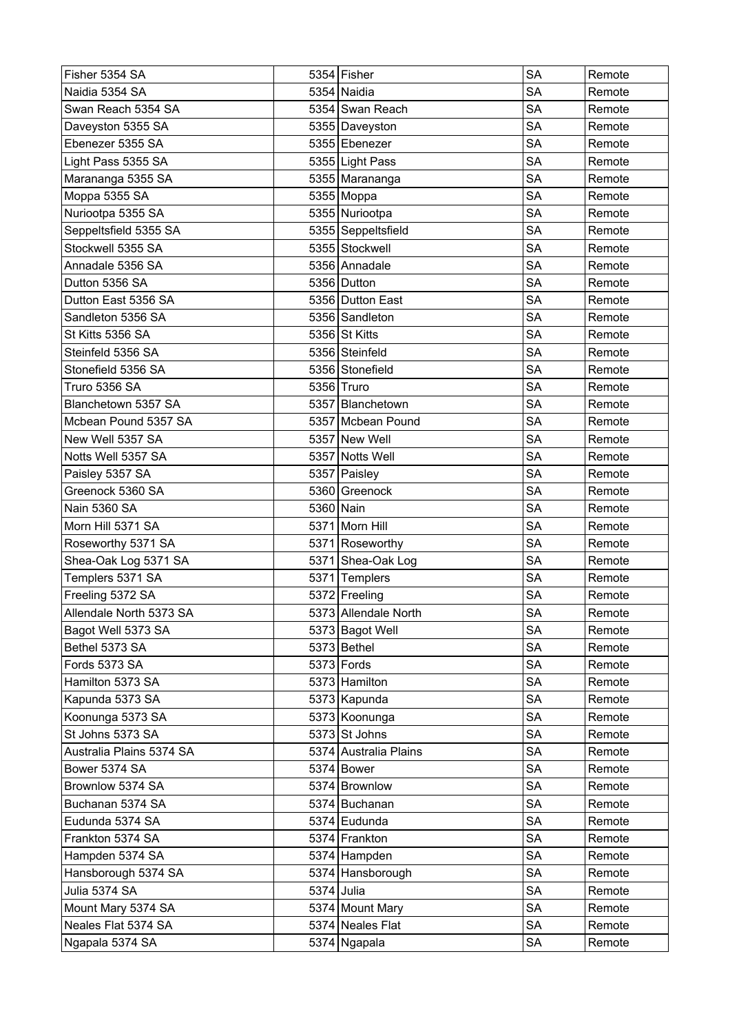| Fisher 5354 SA           |            | 5354 Fisher           | <b>SA</b> | Remote |
|--------------------------|------------|-----------------------|-----------|--------|
| Naidia 5354 SA           |            | 5354 Naidia           | <b>SA</b> | Remote |
| Swan Reach 5354 SA       |            | 5354 Swan Reach       | <b>SA</b> | Remote |
| Daveyston 5355 SA        |            | 5355 Daveyston        | <b>SA</b> | Remote |
| Ebenezer 5355 SA         |            | 5355 Ebenezer         | SA        | Remote |
| Light Pass 5355 SA       |            | 5355 Light Pass       | <b>SA</b> | Remote |
| Marananga 5355 SA        |            | 5355 Marananga        | <b>SA</b> | Remote |
| Moppa 5355 SA            |            | 5355 Moppa            | <b>SA</b> | Remote |
| Nuriootpa 5355 SA        |            | 5355 Nuriootpa        | <b>SA</b> | Remote |
| Seppeltsfield 5355 SA    |            | 5355 Seppeltsfield    | <b>SA</b> | Remote |
| Stockwell 5355 SA        |            | 5355 Stockwell        | <b>SA</b> | Remote |
| Annadale 5356 SA         |            | 5356 Annadale         | <b>SA</b> | Remote |
| Dutton 5356 SA           |            | 5356 Dutton           | <b>SA</b> | Remote |
| Dutton East 5356 SA      |            | 5356 Dutton East      | <b>SA</b> | Remote |
| Sandleton 5356 SA        |            | 5356 Sandleton        | <b>SA</b> | Remote |
| St Kitts 5356 SA         |            | 5356 St Kitts         | <b>SA</b> | Remote |
| Steinfeld 5356 SA        |            | 5356 Steinfeld        | <b>SA</b> | Remote |
| Stonefield 5356 SA       |            | 5356 Stonefield       | <b>SA</b> | Remote |
| Truro 5356 SA            |            | 5356 Truro            | SA        | Remote |
| Blanchetown 5357 SA      |            | 5357 Blanchetown      | <b>SA</b> | Remote |
| Mcbean Pound 5357 SA     |            | 5357 Mcbean Pound     | <b>SA</b> | Remote |
| New Well 5357 SA         |            | 5357 New Well         | <b>SA</b> | Remote |
| Notts Well 5357 SA       |            | 5357 Notts Well       | <b>SA</b> | Remote |
| Paisley 5357 SA          |            | 5357 Paisley          | <b>SA</b> | Remote |
| Greenock 5360 SA         |            | 5360 Greenock         | <b>SA</b> | Remote |
| Nain 5360 SA             | 5360 Nain  |                       | SA        | Remote |
| Morn Hill 5371 SA        |            | 5371 Morn Hill        | <b>SA</b> | Remote |
| Roseworthy 5371 SA       |            | 5371 Roseworthy       | <b>SA</b> | Remote |
| Shea-Oak Log 5371 SA     |            | 5371 Shea-Oak Log     | <b>SA</b> | Remote |
| Templers 5371 SA         |            | 5371 Templers         | <b>SA</b> | Remote |
| Freeling 5372 SA         |            | 5372 Freeling         | <b>SA</b> | Remote |
| Allendale North 5373 SA  |            | 5373 Allendale North  | SA        | Remote |
| Bagot Well 5373 SA       |            | 5373 Bagot Well       | SA        | Remote |
| Bethel 5373 SA           |            | $5373$ Bethel         | <b>SA</b> | Remote |
| Fords 5373 SA            |            | $5373$ Fords          | <b>SA</b> | Remote |
| Hamilton 5373 SA         |            | 5373 Hamilton         | <b>SA</b> | Remote |
| Kapunda 5373 SA          |            | 5373 Kapunda          | <b>SA</b> | Remote |
| Koonunga 5373 SA         |            | 5373 Koonunga         | <b>SA</b> | Remote |
| St Johns 5373 SA         |            | 5373 St Johns         | <b>SA</b> | Remote |
| Australia Plains 5374 SA |            | 5374 Australia Plains | SA        | Remote |
| Bower 5374 SA            |            | $5374$ Bower          | <b>SA</b> | Remote |
| Brownlow 5374 SA         |            | 5374 Brownlow         | <b>SA</b> | Remote |
| Buchanan 5374 SA         |            | 5374 Buchanan         | <b>SA</b> | Remote |
| Eudunda 5374 SA          |            | 5374 Eudunda          | <b>SA</b> | Remote |
| Frankton 5374 SA         |            | 5374 Frankton         | <b>SA</b> | Remote |
| Hampden 5374 SA          |            | 5374 Hampden          | <b>SA</b> | Remote |
| Hansborough 5374 SA      |            | 5374 Hansborough      | SA        | Remote |
| Julia 5374 SA            | 5374 Julia |                       | <b>SA</b> | Remote |
| Mount Mary 5374 SA       |            | 5374 Mount Mary       | <b>SA</b> | Remote |
| Neales Flat 5374 SA      |            | 5374 Neales Flat      | <b>SA</b> | Remote |
| Ngapala 5374 SA          |            | 5374 Ngapala          | <b>SA</b> | Remote |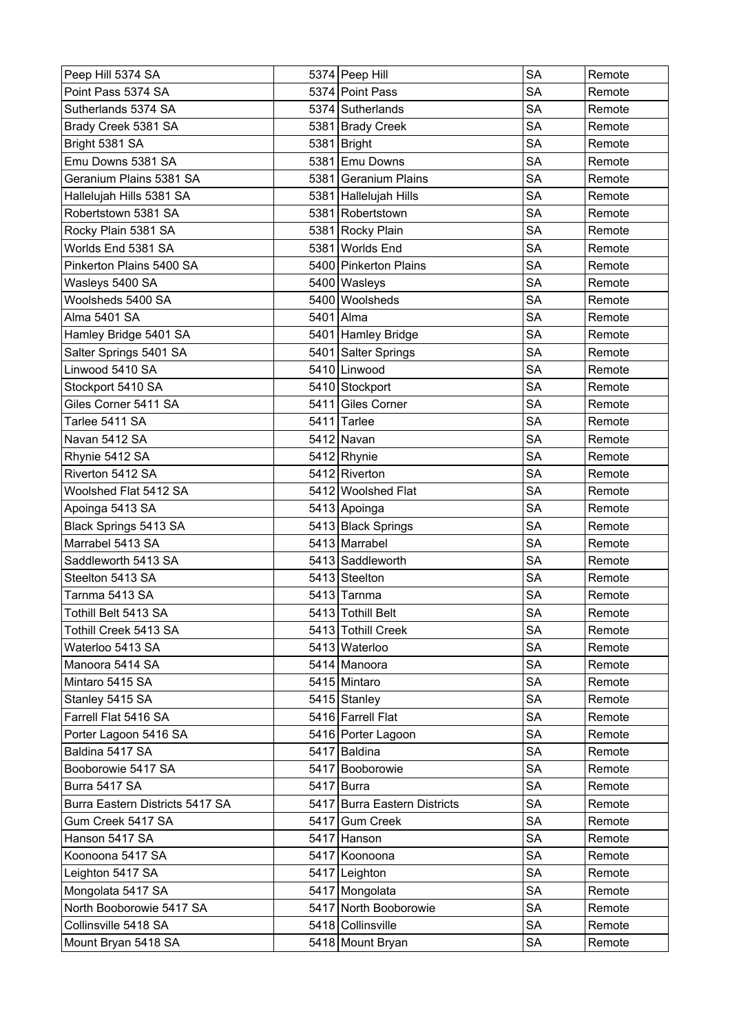| Peep Hill 5374 SA               | 5374 Peep Hill               | <b>SA</b> | Remote |
|---------------------------------|------------------------------|-----------|--------|
| Point Pass 5374 SA              | 5374 Point Pass              | <b>SA</b> | Remote |
| Sutherlands 5374 SA             | 5374 Sutherlands             | <b>SA</b> | Remote |
| Brady Creek 5381 SA             | 5381 Brady Creek             | <b>SA</b> | Remote |
| Bright 5381 SA                  | 5381 Bright                  | <b>SA</b> | Remote |
| Emu Downs 5381 SA               | 5381 Emu Downs               | <b>SA</b> | Remote |
| Geranium Plains 5381 SA         | 5381 Geranium Plains         | <b>SA</b> | Remote |
| Hallelujah Hills 5381 SA        | 5381 Hallelujah Hills        | <b>SA</b> | Remote |
| Robertstown 5381 SA             | 5381 Robertstown             | <b>SA</b> | Remote |
| Rocky Plain 5381 SA             | 5381 Rocky Plain             | <b>SA</b> | Remote |
| Worlds End 5381 SA              | 5381 Worlds End              | <b>SA</b> | Remote |
| Pinkerton Plains 5400 SA        | 5400 Pinkerton Plains        | <b>SA</b> | Remote |
| Wasleys 5400 SA                 | 5400 Wasleys                 | <b>SA</b> | Remote |
| Woolsheds 5400 SA               | 5400 Woolsheds               | <b>SA</b> | Remote |
| <b>Alma 5401 SA</b>             | 5401 Alma                    | <b>SA</b> | Remote |
| Hamley Bridge 5401 SA           | 5401 Hamley Bridge           | <b>SA</b> | Remote |
| Salter Springs 5401 SA          | 5401 Salter Springs          | <b>SA</b> | Remote |
| Linwood 5410 SA                 | 5410 Linwood                 | <b>SA</b> | Remote |
| Stockport 5410 SA               | 5410 Stockport               | <b>SA</b> | Remote |
| Giles Corner 5411 SA            | 5411 Giles Corner            | <b>SA</b> | Remote |
| Tarlee 5411 SA                  | 5411 Tarlee                  | <b>SA</b> | Remote |
| Navan 5412 SA                   | 5412 Navan                   | <b>SA</b> | Remote |
| Rhynie 5412 SA                  | $5412$ Rhynie                | <b>SA</b> | Remote |
| Riverton 5412 SA                | 5412 Riverton                | <b>SA</b> | Remote |
| Woolshed Flat 5412 SA           | 5412 Woolshed Flat           | <b>SA</b> | Remote |
| Apoinga 5413 SA                 | 5413 Apoinga                 | <b>SA</b> | Remote |
| Black Springs 5413 SA           | 5413 Black Springs           | <b>SA</b> | Remote |
| Marrabel 5413 SA                | 5413 Marrabel                | <b>SA</b> | Remote |
| Saddleworth 5413 SA             | 5413 Saddleworth             | <b>SA</b> | Remote |
| Steelton 5413 SA                | 5413 Steelton                | <b>SA</b> | Remote |
| Tarnma 5413 SA                  | 5413 Tarnma                  | <b>SA</b> | Remote |
| Tothill Belt 5413 SA            | 5413 Tothill Belt            | <b>SA</b> | Remote |
| Tothill Creek 5413 SA           | 5413 Tothill Creek           | <b>SA</b> | Remote |
| Waterloo 5413 SA                | 5413 Waterloo                | <b>SA</b> | Remote |
| Manoora 5414 SA                 | 5414 Manoora                 | SA        | Remote |
| Mintaro 5415 SA                 | 5415 Mintaro                 | <b>SA</b> | Remote |
| Stanley 5415 SA                 | 5415 Stanley                 | <b>SA</b> | Remote |
| Farrell Flat 5416 SA            | 5416 Farrell Flat            | <b>SA</b> | Remote |
| Porter Lagoon 5416 SA           | 5416 Porter Lagoon           | <b>SA</b> | Remote |
| Baldina 5417 SA                 | 5417 Baldina                 | <b>SA</b> | Remote |
| Booborowie 5417 SA              | 5417 Booborowie              | <b>SA</b> | Remote |
| Burra 5417 SA                   | 5417 Burra                   | <b>SA</b> | Remote |
| Burra Eastern Districts 5417 SA | 5417 Burra Eastern Districts | <b>SA</b> | Remote |
| Gum Creek 5417 SA               | 5417 Gum Creek               | <b>SA</b> | Remote |
| Hanson 5417 SA                  | 5417 Hanson                  | <b>SA</b> | Remote |
| Koonoona 5417 SA                | 5417 Koonoona                | <b>SA</b> | Remote |
| Leighton 5417 SA                | 5417 Leighton                | <b>SA</b> | Remote |
| Mongolata 5417 SA               | 5417 Mongolata               | <b>SA</b> | Remote |
| North Booborowie 5417 SA        | 5417 North Booborowie        | SA        | Remote |
| Collinsville 5418 SA            | 5418 Collinsville            | <b>SA</b> | Remote |
| Mount Bryan 5418 SA             | 5418 Mount Bryan             | SA        | Remote |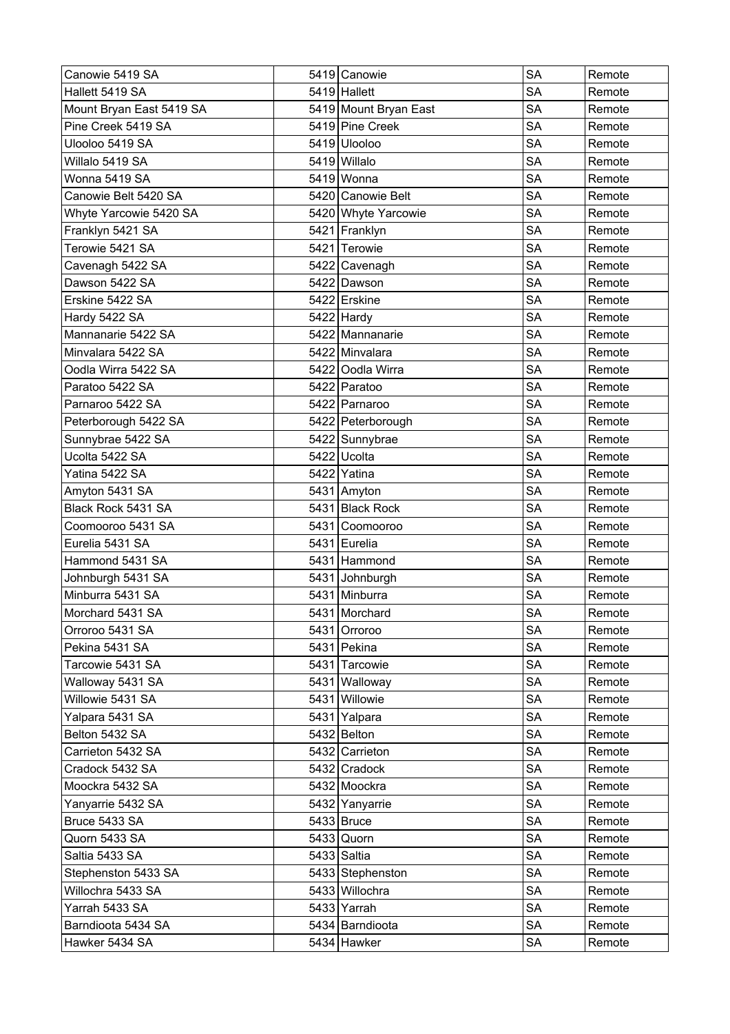| Canowie 5419 SA          | 5419 Canowie          | <b>SA</b> | Remote |
|--------------------------|-----------------------|-----------|--------|
| Hallett 5419 SA          | 5419 Hallett          | <b>SA</b> | Remote |
| Mount Bryan East 5419 SA | 5419 Mount Bryan East | <b>SA</b> | Remote |
| Pine Creek 5419 SA       | 5419 Pine Creek       | <b>SA</b> | Remote |
| Ulooloo 5419 SA          | 5419 Ulooloo          | SA        | Remote |
| Willalo 5419 SA          | 5419 Willalo          | <b>SA</b> | Remote |
| Wonna 5419 SA            | 5419 Wonna            | <b>SA</b> | Remote |
| Canowie Belt 5420 SA     | 5420 Canowie Belt     | <b>SA</b> | Remote |
| Whyte Yarcowie 5420 SA   | 5420 Whyte Yarcowie   | <b>SA</b> | Remote |
| Franklyn 5421 SA         | 5421 Franklyn         | <b>SA</b> | Remote |
| Terowie 5421 SA          | 5421 Terowie          | <b>SA</b> | Remote |
| Cavenagh 5422 SA         | 5422 Cavenagh         | <b>SA</b> | Remote |
| Dawson 5422 SA           | 5422 Dawson           | <b>SA</b> | Remote |
| Erskine 5422 SA          | 5422 Erskine          | <b>SA</b> | Remote |
| Hardy 5422 SA            | $5422$ Hardy          | <b>SA</b> | Remote |
| Mannanarie 5422 SA       | 5422 Mannanarie       | <b>SA</b> | Remote |
| Minvalara 5422 SA        | 5422 Minvalara        | <b>SA</b> | Remote |
| Oodla Wirra 5422 SA      | 5422 Oodla Wirra      | <b>SA</b> | Remote |
| Paratoo 5422 SA          | 5422 Paratoo          | SA        | Remote |
| Parnaroo 5422 SA         | 5422 Parnaroo         | <b>SA</b> | Remote |
| Peterborough 5422 SA     | 5422 Peterborough     | <b>SA</b> | Remote |
| Sunnybrae 5422 SA        | 5422 Sunnybrae        | <b>SA</b> | Remote |
| Ucolta 5422 SA           | 5422 Ucolta           | <b>SA</b> | Remote |
| Yatina 5422 SA           | 5422 Yatina           | <b>SA</b> | Remote |
| Amyton 5431 SA           | 5431 Amyton           | <b>SA</b> | Remote |
| Black Rock 5431 SA       | 5431 Black Rock       | <b>SA</b> | Remote |
| Coomooroo 5431 SA        | 5431 Coomooroo        | <b>SA</b> | Remote |
| Eurelia 5431 SA          | 5431 Eurelia          | <b>SA</b> | Remote |
| Hammond 5431 SA          | 5431 Hammond          | <b>SA</b> | Remote |
| Johnburgh 5431 SA        | 5431 Johnburgh        | <b>SA</b> | Remote |
| Minburra 5431 SA         | 5431 Minburra         | <b>SA</b> | Remote |
| Morchard 5431 SA         | 5431 Morchard         | <b>SA</b> | Remote |
| Orroroo 5431 SA          | 5431 Orroroo          | SA        | Remote |
| Pekina 5431 SA           | 5431 Pekina           | <b>SA</b> | Remote |
| Tarcowie 5431 SA         | 5431 Tarcowie         | SA        | Remote |
| Walloway 5431 SA         | 5431 Walloway         | <b>SA</b> | Remote |
| Willowie 5431 SA         | 5431 Willowie         | <b>SA</b> | Remote |
| Yalpara 5431 SA          | 5431 Yalpara          | SA        | Remote |
| Belton 5432 SA           | $5432$ Belton         | <b>SA</b> | Remote |
| Carrieton 5432 SA        | 5432 Carrieton        | SА        | Remote |
| Cradock 5432 SA          | 5432 Cradock          | <b>SA</b> | Remote |
| Moockra 5432 SA          | 5432 Moockra          | <b>SA</b> | Remote |
| Yanyarrie 5432 SA        | 5432 Yanyarrie        | <b>SA</b> | Remote |
| Bruce 5433 SA            | $5433$ Bruce          | <b>SA</b> | Remote |
| Quorn 5433 SA            | 5433 Quorn            | <b>SA</b> | Remote |
| Saltia 5433 SA           | 5433 Saltia           | <b>SA</b> | Remote |
| Stephenston 5433 SA      | 5433 Stephenston      | SА        | Remote |
| Willochra 5433 SA        | 5433 Willochra        | <b>SA</b> | Remote |
| Yarrah 5433 SA           | 5433 Yarrah           | <b>SA</b> | Remote |
| Barndioota 5434 SA       | 5434 Barndioota       | <b>SA</b> | Remote |
| Hawker 5434 SA           | 5434 Hawker           | <b>SA</b> | Remote |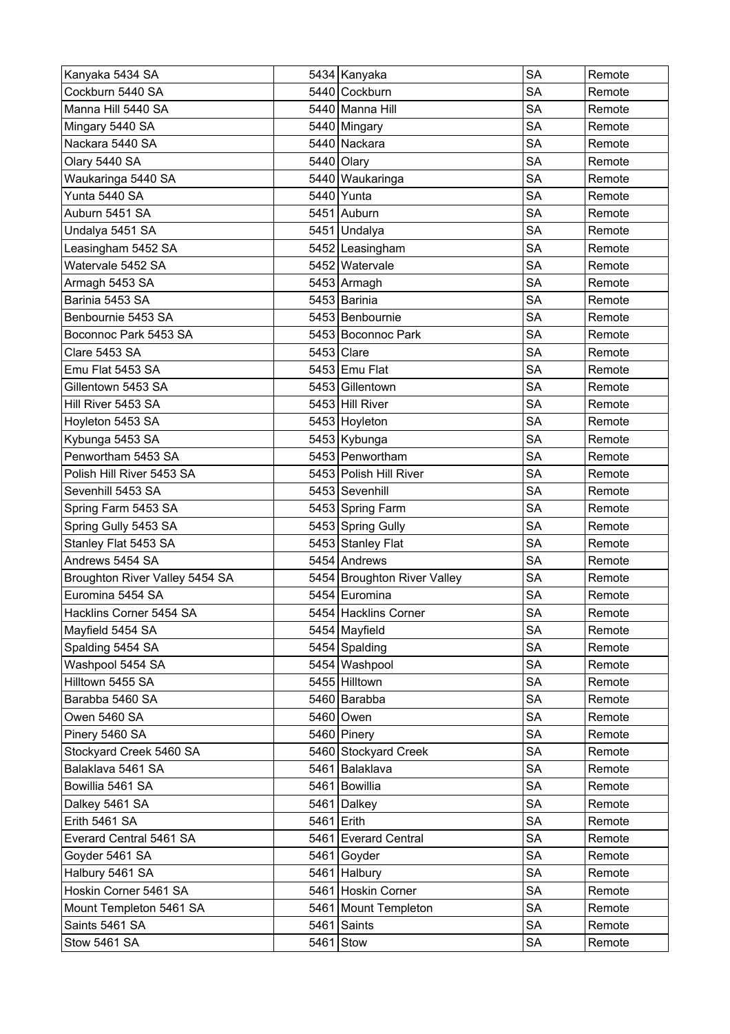| Kanyaka 5434 SA                |            | 5434 Kanyaka                | <b>SA</b> | Remote |
|--------------------------------|------------|-----------------------------|-----------|--------|
| Cockburn 5440 SA               |            | 5440 Cockburn               | <b>SA</b> | Remote |
| Manna Hill 5440 SA             |            | 5440 Manna Hill             | <b>SA</b> | Remote |
| Mingary 5440 SA                |            | 5440 Mingary                | <b>SA</b> | Remote |
| Nackara 5440 SA                |            | 5440 Nackara                | SA        | Remote |
| Olary 5440 SA                  |            | 5440 Olary                  | <b>SA</b> | Remote |
| Waukaringa 5440 SA             |            | 5440 Waukaringa             | <b>SA</b> | Remote |
| Yunta 5440 SA                  |            | 5440 Yunta                  | <b>SA</b> | Remote |
| Auburn 5451 SA                 |            | 5451 Auburn                 | <b>SA</b> | Remote |
| Undalya 5451 SA                |            | 5451 Undalya                | <b>SA</b> | Remote |
| Leasingham 5452 SA             |            | 5452 Leasingham             | <b>SA</b> | Remote |
| Watervale 5452 SA              |            | 5452 Watervale              | <b>SA</b> | Remote |
| Armagh 5453 SA                 |            | 5453 Armagh                 | <b>SA</b> | Remote |
| Barinia 5453 SA                |            | 5453 Barinia                | <b>SA</b> | Remote |
| Benbournie 5453 SA             |            | 5453 Benbournie             | <b>SA</b> | Remote |
| Boconnoc Park 5453 SA          |            | 5453 Boconnoc Park          | <b>SA</b> | Remote |
| Clare 5453 SA                  |            | 5453 Clare                  | <b>SA</b> | Remote |
| Emu Flat 5453 SA               |            | 5453 Emu Flat               | <b>SA</b> | Remote |
| Gillentown 5453 SA             |            | 5453 Gillentown             | SA        | Remote |
| Hill River 5453 SA             |            | 5453 Hill River             | <b>SA</b> | Remote |
| Hoyleton 5453 SA               |            | 5453 Hoyleton               | <b>SA</b> | Remote |
| Kybunga 5453 SA                |            | 5453 Kybunga                | <b>SA</b> | Remote |
| Penwortham 5453 SA             |            | 5453 Penwortham             | <b>SA</b> | Remote |
| Polish Hill River 5453 SA      |            | 5453 Polish Hill River      | SA        | Remote |
| Sevenhill 5453 SA              |            | 5453 Sevenhill              | <b>SA</b> | Remote |
| Spring Farm 5453 SA            |            | 5453 Spring Farm            | SA        | Remote |
| Spring Gully 5453 SA           |            | 5453 Spring Gully           | <b>SA</b> | Remote |
| Stanley Flat 5453 SA           |            | 5453 Stanley Flat           | <b>SA</b> | Remote |
| Andrews 5454 SA                |            | 5454 Andrews                | <b>SA</b> | Remote |
| Broughton River Valley 5454 SA |            | 5454 Broughton River Valley | <b>SA</b> | Remote |
| Euromina 5454 SA               |            | 5454 Euromina               | <b>SA</b> | Remote |
| Hacklins Corner 5454 SA        |            | 5454 Hacklins Corner        | SA        | Remote |
| Mayfield 5454 SA               |            | 5454 Mayfield               | SA        | Remote |
| Spalding 5454 SA               |            | 5454 Spalding               | <b>SA</b> | Remote |
| Washpool 5454 SA               |            | 5454   Washpool             | <b>SA</b> | Remote |
| Hilltown 5455 SA               |            | 5455 Hilltown               | <b>SA</b> | Remote |
| Barabba 5460 SA                |            | 5460 Barabba                | <b>SA</b> | Remote |
| Owen 5460 SA                   |            | 5460 Owen                   | SA        | Remote |
| Pinery 5460 SA                 |            | 5460 Pinery                 | <b>SA</b> | Remote |
| Stockyard Creek 5460 SA        |            | 5460 Stockyard Creek        | SA        | Remote |
| Balaklava 5461 SA              |            | 5461 Balaklava              | <b>SA</b> | Remote |
| Bowillia 5461 SA               |            | 5461 Bowillia               | <b>SA</b> | Remote |
| Dalkey 5461 SA                 |            | 5461 Dalkey                 | <b>SA</b> | Remote |
| Erith 5461 SA                  | 5461 Erith |                             | SA        | Remote |
| Everard Central 5461 SA        |            | 5461 Everard Central        | <b>SA</b> | Remote |
| Goyder 5461 SA                 |            | 5461 Goyder                 | <b>SA</b> | Remote |
| Halbury 5461 SA                | 5461       | Halbury                     | SА        | Remote |
| Hoskin Corner 5461 SA          |            | 5461 Hoskin Corner          | <b>SA</b> | Remote |
| Mount Templeton 5461 SA        |            | 5461 Mount Templeton        | <b>SA</b> | Remote |
| Saints 5461 SA                 |            | 5461 Saints                 | <b>SA</b> | Remote |
| Stow 5461 SA                   |            | $5461$ Stow                 | <b>SA</b> | Remote |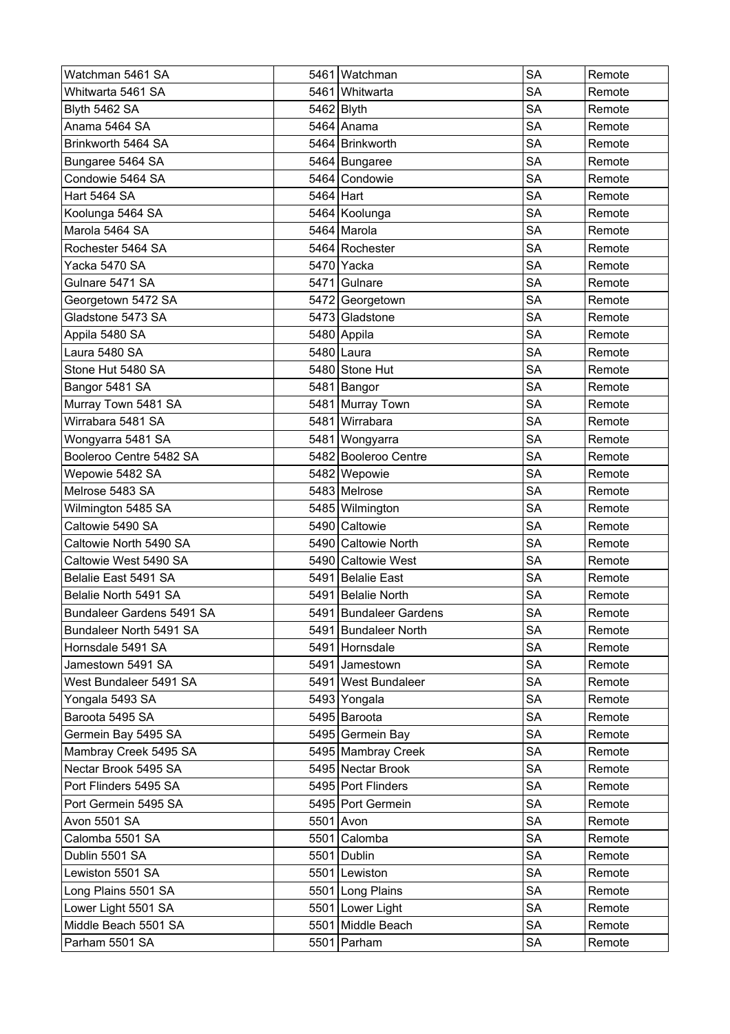| Watchman 5461 SA          |           | 5461 Watchman          | <b>SA</b> | Remote |
|---------------------------|-----------|------------------------|-----------|--------|
| Whitwarta 5461 SA         |           | 5461 Whitwarta         | <b>SA</b> | Remote |
| Blyth 5462 SA             |           | 5462 Blyth             | <b>SA</b> | Remote |
| Anama 5464 SA             |           | 5464 Anama             | <b>SA</b> | Remote |
| Brinkworth 5464 SA        |           | 5464 Brinkworth        | SА        | Remote |
| Bungaree 5464 SA          |           | 5464 Bungaree          | <b>SA</b> | Remote |
| Condowie 5464 SA          |           | 5464 Condowie          | <b>SA</b> | Remote |
| <b>Hart 5464 SA</b>       | 5464 Hart |                        | <b>SA</b> | Remote |
| Koolunga 5464 SA          |           | 5464 Koolunga          | <b>SA</b> | Remote |
| Marola 5464 SA            |           | 5464 Marola            | <b>SA</b> | Remote |
| Rochester 5464 SA         |           | 5464 Rochester         | <b>SA</b> | Remote |
| Yacka 5470 SA             |           | 5470 Yacka             | <b>SA</b> | Remote |
| Gulnare 5471 SA           |           | 5471 Gulnare           | <b>SA</b> | Remote |
| Georgetown 5472 SA        |           | 5472 Georgetown        | <b>SA</b> | Remote |
| Gladstone 5473 SA         |           | 5473 Gladstone         | <b>SA</b> | Remote |
| Appila 5480 SA            |           | 5480 Appila            | <b>SA</b> | Remote |
| Laura 5480 SA             |           | 5480 Laura             | <b>SA</b> | Remote |
| Stone Hut 5480 SA         |           | 5480 Stone Hut         | <b>SA</b> | Remote |
| Bangor 5481 SA            |           | 5481 Bangor            | SA        | Remote |
| Murray Town 5481 SA       |           | 5481 Murray Town       | <b>SA</b> | Remote |
| Wirrabara 5481 SA         |           | 5481 Wirrabara         | <b>SA</b> | Remote |
| Wongyarra 5481 SA         |           | 5481 Wongyarra         | <b>SA</b> | Remote |
| Booleroo Centre 5482 SA   |           | 5482 Booleroo Centre   | <b>SA</b> | Remote |
| Wepowie 5482 SA           |           | 5482 Wepowie           | <b>SA</b> | Remote |
| Melrose 5483 SA           |           | 5483 Melrose           | <b>SA</b> | Remote |
| Wilmington 5485 SA        |           | 5485 Wilmington        | <b>SA</b> | Remote |
| Caltowie 5490 SA          |           | 5490 Caltowie          | <b>SA</b> | Remote |
| Caltowie North 5490 SA    |           | 5490 Caltowie North    | <b>SA</b> | Remote |
| Caltowie West 5490 SA     |           | 5490 Caltowie West     | <b>SA</b> | Remote |
| Belalie East 5491 SA      |           | 5491 Belalie East      | <b>SA</b> | Remote |
| Belalie North 5491 SA     |           | 5491 Belalie North     | <b>SA</b> | Remote |
| Bundaleer Gardens 5491 SA |           | 5491 Bundaleer Gardens | SA        | Remote |
| Bundaleer North 5491 SA   |           | 5491 Bundaleer North   | SA        | Remote |
| Hornsdale 5491 SA         |           | 5491 Hornsdale         | <b>SA</b> | Remote |
| Jamestown 5491 SA         |           | 5491 Jamestown         | SA        | Remote |
| West Bundaleer 5491 SA    |           | 5491 West Bundaleer    | <b>SA</b> | Remote |
| Yongala 5493 SA           |           | 5493 Yongala           | <b>SA</b> | Remote |
| Baroota 5495 SA           |           | 5495 Baroota           | SA        | Remote |
| Germein Bay 5495 SA       |           | 5495 Germein Bay       | <b>SA</b> | Remote |
| Mambray Creek 5495 SA     |           | 5495 Mambray Creek     | SA        | Remote |
| Nectar Brook 5495 SA      |           | 5495 Nectar Brook      | <b>SA</b> | Remote |
| Port Flinders 5495 SA     |           | 5495 Port Flinders     | <b>SA</b> | Remote |
| Port Germein 5495 SA      |           | 5495 Port Germein      | <b>SA</b> | Remote |
| Avon 5501 SA              |           | 5501 Avon              | <b>SA</b> | Remote |
| Calomba 5501 SA           |           | 5501 Calomba           | <b>SA</b> | Remote |
| Dublin 5501 SA            |           | 5501 Dublin            | <b>SA</b> | Remote |
| Lewiston 5501 SA          |           | 5501 Lewiston          | SА        | Remote |
| Long Plains 5501 SA       |           | 5501 Long Plains       | <b>SA</b> | Remote |
| Lower Light 5501 SA       |           | 5501 Lower Light       | <b>SA</b> | Remote |
| Middle Beach 5501 SA      |           | 5501 Middle Beach      | <b>SA</b> | Remote |
| Parham 5501 SA            |           | 5501 Parham            | <b>SA</b> | Remote |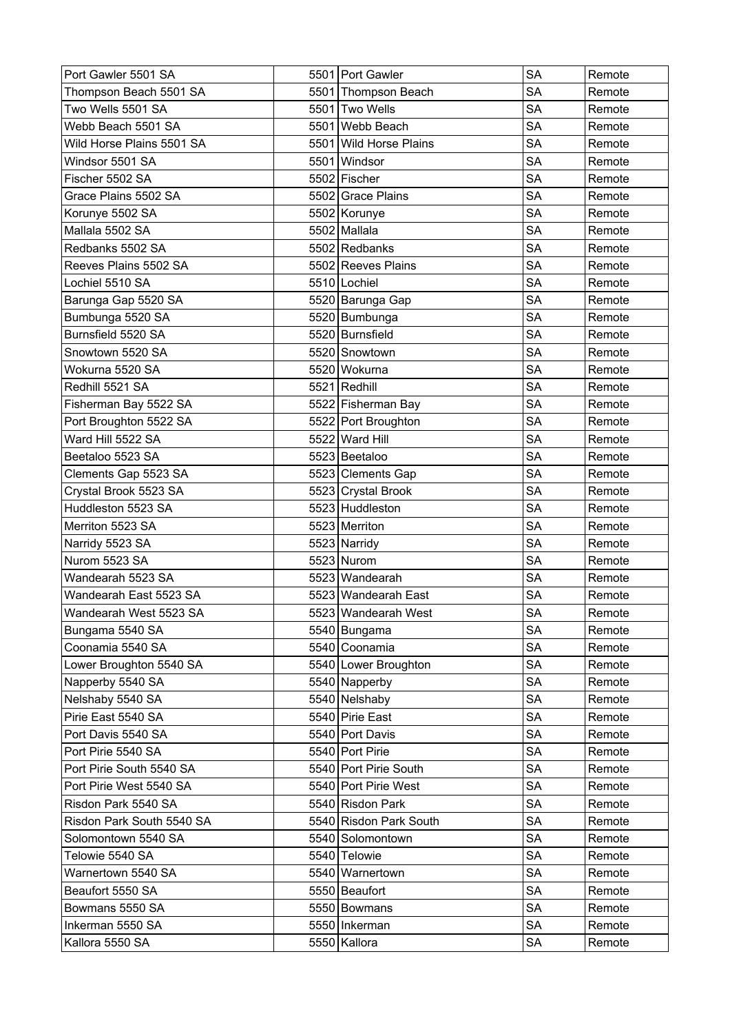| Port Gawler 5501 SA       |      | 5501 Port Gawler         | <b>SA</b> | Remote |
|---------------------------|------|--------------------------|-----------|--------|
| Thompson Beach 5501 SA    |      | 5501 Thompson Beach      | <b>SA</b> | Remote |
| Two Wells 5501 SA         |      | 5501 Two Wells           | <b>SA</b> | Remote |
| Webb Beach 5501 SA        |      | 5501 Webb Beach          | <b>SA</b> | Remote |
| Wild Horse Plains 5501 SA | 5501 | <b>Wild Horse Plains</b> | <b>SA</b> | Remote |
| Windsor 5501 SA           |      | 5501 Windsor             | <b>SA</b> | Remote |
| Fischer 5502 SA           |      | 5502 Fischer             | <b>SA</b> | Remote |
| Grace Plains 5502 SA      |      | 5502 Grace Plains        | <b>SA</b> | Remote |
| Korunye 5502 SA           |      | 5502 Korunye             | <b>SA</b> | Remote |
| Mallala 5502 SA           |      | 5502 Mallala             | <b>SA</b> | Remote |
| Redbanks 5502 SA          |      | 5502 Redbanks            | <b>SA</b> | Remote |
| Reeves Plains 5502 SA     |      | 5502 Reeves Plains       | <b>SA</b> | Remote |
| Lochiel 5510 SA           |      | 5510 Lochiel             | <b>SA</b> | Remote |
| Barunga Gap 5520 SA       |      | 5520 Barunga Gap         | <b>SA</b> | Remote |
| Bumbunga 5520 SA          |      | 5520 Bumbunga            | <b>SA</b> | Remote |
| Burnsfield 5520 SA        |      | 5520 Burnsfield          | <b>SA</b> | Remote |
| Snowtown 5520 SA          |      | 5520 Snowtown            | <b>SA</b> | Remote |
| Wokurna 5520 SA           |      | 5520 Wokurna             | <b>SA</b> | Remote |
| Redhill 5521 SA           |      | 5521 Redhill             | <b>SA</b> | Remote |
| Fisherman Bay 5522 SA     |      | 5522 Fisherman Bay       | <b>SA</b> | Remote |
| Port Broughton 5522 SA    |      | 5522 Port Broughton      | <b>SA</b> | Remote |
| Ward Hill 5522 SA         |      | 5522 Ward Hill           | <b>SA</b> | Remote |
| Beetaloo 5523 SA          |      | 5523 Beetaloo            | <b>SA</b> | Remote |
| Clements Gap 5523 SA      |      | 5523 Clements Gap        | <b>SA</b> | Remote |
| Crystal Brook 5523 SA     |      | 5523 Crystal Brook       | <b>SA</b> | Remote |
| Huddleston 5523 SA        |      | 5523 Huddleston          | <b>SA</b> | Remote |
| Merriton 5523 SA          |      | 5523 Merriton            | <b>SA</b> | Remote |
| Narridy 5523 SA           |      | 5523 Narridy             | <b>SA</b> | Remote |
| Nurom 5523 SA             |      | 5523 Nurom               | <b>SA</b> | Remote |
| Wandearah 5523 SA         |      | 5523 Wandearah           | <b>SA</b> | Remote |
| Wandearah East 5523 SA    |      | 5523 Wandearah East      | <b>SA</b> | Remote |
| Wandearah West 5523 SA    |      | 5523 Wandearah West      | <b>SA</b> | Remote |
| Bungama 5540 SA           |      | 5540 Bungama             | <b>SA</b> | Remote |
| Coonamia 5540 SA          |      | 5540 Coonamia            | <b>SA</b> | Remote |
| Lower Broughton 5540 SA   |      | 5540 Lower Broughton     | <b>SA</b> | Remote |
| Napperby 5540 SA          |      | 5540 Napperby            | SA        | Remote |
| Nelshaby 5540 SA          |      | 5540 Nelshaby            | <b>SA</b> | Remote |
| Pirie East 5540 SA        |      | 5540 Pirie East          | <b>SA</b> | Remote |
| Port Davis 5540 SA        |      | 5540 Port Davis          | <b>SA</b> | Remote |
| Port Pirie 5540 SA        |      | 5540 Port Pirie          | <b>SA</b> | Remote |
| Port Pirie South 5540 SA  |      | 5540 Port Pirie South    | SA        | Remote |
| Port Pirie West 5540 SA   |      | 5540 Port Pirie West     | <b>SA</b> | Remote |
| Risdon Park 5540 SA       |      | 5540 Risdon Park         | <b>SA</b> | Remote |
| Risdon Park South 5540 SA |      | 5540 Risdon Park South   | <b>SA</b> | Remote |
| Solomontown 5540 SA       |      | 5540 Solomontown         | <b>SA</b> | Remote |
| Telowie 5540 SA           |      | 5540 Telowie             | <b>SA</b> | Remote |
| Warnertown 5540 SA        |      | 5540 Warnertown          | <b>SA</b> | Remote |
| Beaufort 5550 SA          |      | 5550 Beaufort            | <b>SA</b> | Remote |
| Bowmans 5550 SA           |      | 5550 Bowmans             | <b>SA</b> | Remote |
| Inkerman 5550 SA          |      | 5550   Inkerman          | SA        | Remote |
| Kallora 5550 SA           |      | 5550 Kallora             | <b>SA</b> | Remote |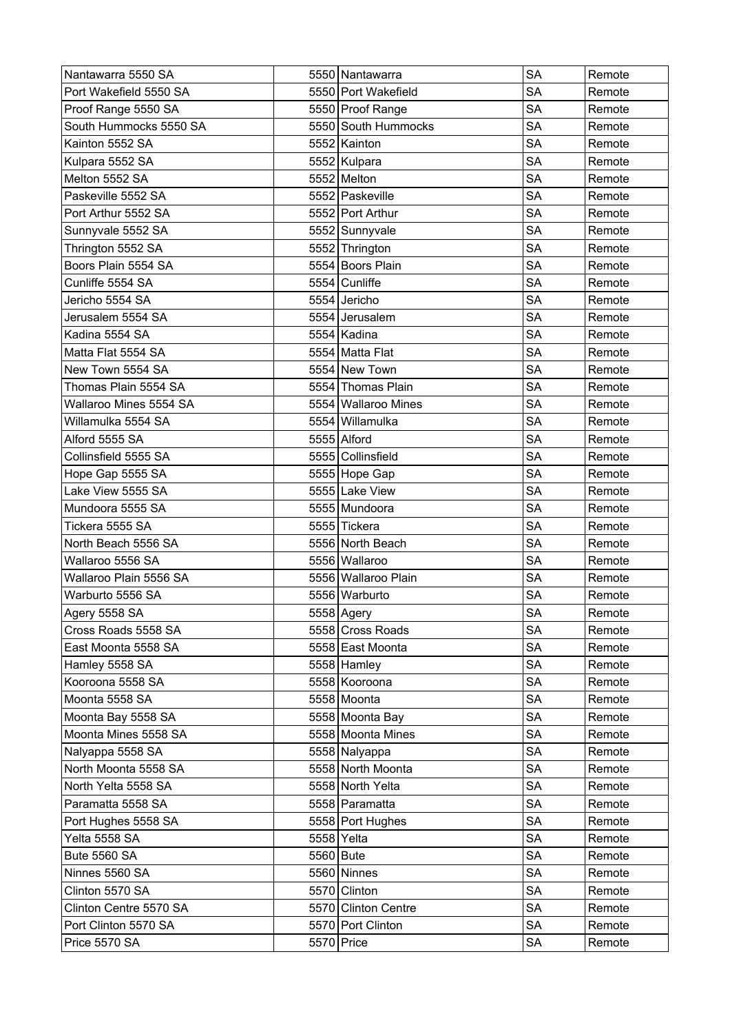| Nantawarra 5550 SA     |           | 5550 Nantawarra       | <b>SA</b> | Remote |
|------------------------|-----------|-----------------------|-----------|--------|
| Port Wakefield 5550 SA |           | 5550 Port Wakefield   | <b>SA</b> | Remote |
| Proof Range 5550 SA    |           | 5550 Proof Range      | <b>SA</b> | Remote |
| South Hummocks 5550 SA |           | 5550 South Hummocks   | <b>SA</b> | Remote |
| Kainton 5552 SA        |           | 5552 Kainton          | <b>SA</b> | Remote |
| Kulpara 5552 SA        |           | 5552 Kulpara          | <b>SA</b> | Remote |
| Melton 5552 SA         |           | 5552 Melton           | <b>SA</b> | Remote |
| Paskeville 5552 SA     |           | 5552 Paskeville       | <b>SA</b> | Remote |
| Port Arthur 5552 SA    |           | 5552 Port Arthur      | <b>SA</b> | Remote |
| Sunnyvale 5552 SA      |           | 5552 Sunnyvale        | <b>SA</b> | Remote |
| Thrington 5552 SA      |           | 5552 Thrington        | <b>SA</b> | Remote |
| Boors Plain 5554 SA    |           | 5554 Boors Plain      | <b>SA</b> | Remote |
| Cunliffe 5554 SA       |           | 5554 Cunliffe         | <b>SA</b> | Remote |
| Jericho 5554 SA        |           | 5554 Jericho          | <b>SA</b> | Remote |
| Jerusalem 5554 SA      |           | 5554 Jerusalem        | <b>SA</b> | Remote |
| Kadina 5554 SA         |           | 5554 Kadina           | <b>SA</b> | Remote |
| Matta Flat 5554 SA     |           | 5554 Matta Flat       | <b>SA</b> | Remote |
| New Town 5554 SA       |           | 5554 New Town         | <b>SA</b> | Remote |
| Thomas Plain 5554 SA   |           | 5554 Thomas Plain     | <b>SA</b> | Remote |
| Wallaroo Mines 5554 SA |           | 5554   Wallaroo Mines | <b>SA</b> | Remote |
| Willamulka 5554 SA     |           | 5554 Willamulka       | <b>SA</b> | Remote |
| Alford 5555 SA         |           | 5555 Alford           | <b>SA</b> | Remote |
| Collinsfield 5555 SA   |           | 5555 Collinsfield     | <b>SA</b> | Remote |
| Hope Gap 5555 SA       |           | 5555 Hope Gap         | <b>SA</b> | Remote |
| Lake View 5555 SA      |           | 5555 Lake View        | <b>SA</b> | Remote |
| Mundoora 5555 SA       |           | 5555 Mundoora         | <b>SA</b> | Remote |
| Tickera 5555 SA        |           | 5555 Tickera          | <b>SA</b> | Remote |
| North Beach 5556 SA    |           | 5556 North Beach      | <b>SA</b> | Remote |
| Wallaroo 5556 SA       |           | 5556 Wallaroo         | <b>SA</b> | Remote |
| Wallaroo Plain 5556 SA |           | 5556 Wallaroo Plain   | <b>SA</b> | Remote |
| Warburto 5556 SA       |           | 5556 Warburto         | <b>SA</b> | Remote |
| Agery 5558 SA          |           | 5558 Agery            | <b>SA</b> | Remote |
| Cross Roads 5558 SA    |           | 5558 Cross Roads      | <b>SA</b> | Remote |
| East Moonta 5558 SA    |           | 5558 East Moonta      | <b>SA</b> | Remote |
| Hamley 5558 SA         |           | $5558$ Hamley         | <b>SA</b> | Remote |
| Kooroona 5558 SA       |           | 5558 Kooroona         | SA        | Remote |
| Moonta 5558 SA         |           | 5558 Moonta           | <b>SA</b> | Remote |
| Moonta Bay 5558 SA     |           | 5558 Moonta Bay       | <b>SA</b> | Remote |
| Moonta Mines 5558 SA   |           | 5558 Moonta Mines     | <b>SA</b> | Remote |
| Nalyappa 5558 SA       |           | 5558 Nalyappa         | <b>SA</b> | Remote |
| North Moonta 5558 SA   |           | 5558 North Moonta     | <b>SA</b> | Remote |
| North Yelta 5558 SA    |           | 5558 North Yelta      | <b>SA</b> | Remote |
| Paramatta 5558 SA      |           | 5558 Paramatta        | <b>SA</b> | Remote |
| Port Hughes 5558 SA    |           | 5558 Port Hughes      | <b>SA</b> | Remote |
| Yelta 5558 SA          |           | 5558 Yelta            | <b>SA</b> | Remote |
| <b>Bute 5560 SA</b>    | 5560 Bute |                       | <b>SA</b> | Remote |
| Ninnes 5560 SA         |           | 5560 Ninnes           | <b>SA</b> | Remote |
| Clinton 5570 SA        |           | 5570 Clinton          | <b>SA</b> | Remote |
| Clinton Centre 5570 SA |           | 5570 Clinton Centre   | <b>SA</b> | Remote |
| Port Clinton 5570 SA   |           | 5570 Port Clinton     | SA        | Remote |
| Price 5570 SA          |           | 5570 Price            | SA        | Remote |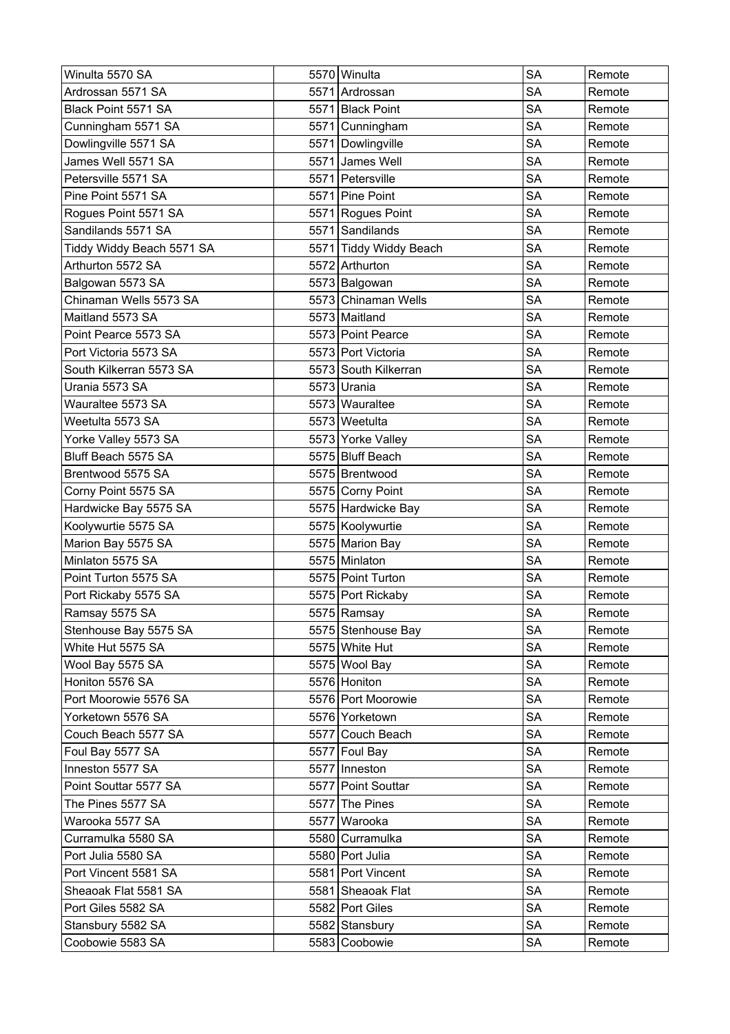| Winulta 5570 SA           | 5570 Winulta           | <b>SA</b> | Remote |
|---------------------------|------------------------|-----------|--------|
| Ardrossan 5571 SA         | 5571 Ardrossan         | <b>SA</b> | Remote |
| Black Point 5571 SA       | 5571 Black Point       | <b>SA</b> | Remote |
| Cunningham 5571 SA        | 5571 Cunningham        | <b>SA</b> | Remote |
| Dowlingville 5571 SA      | 5571 Dowlingville      | <b>SA</b> | Remote |
| James Well 5571 SA        | 5571 James Well        | <b>SA</b> | Remote |
| Petersville 5571 SA       | 5571 Petersville       | <b>SA</b> | Remote |
| Pine Point 5571 SA        | 5571 Pine Point        | <b>SA</b> | Remote |
| Rogues Point 5571 SA      | 5571 Rogues Point      | <b>SA</b> | Remote |
| Sandilands 5571 SA        | 5571 Sandilands        | <b>SA</b> | Remote |
| Tiddy Widdy Beach 5571 SA | 5571 Tiddy Widdy Beach | <b>SA</b> | Remote |
| Arthurton 5572 SA         | 5572 Arthurton         | <b>SA</b> | Remote |
| Balgowan 5573 SA          | 5573 Balgowan          | <b>SA</b> | Remote |
| Chinaman Wells 5573 SA    | 5573 Chinaman Wells    | <b>SA</b> | Remote |
| Maitland 5573 SA          | 5573 Maitland          | <b>SA</b> | Remote |
| Point Pearce 5573 SA      | 5573 Point Pearce      | <b>SA</b> | Remote |
| Port Victoria 5573 SA     | 5573 Port Victoria     | <b>SA</b> | Remote |
| South Kilkerran 5573 SA   | 5573 South Kilkerran   | <b>SA</b> | Remote |
| Urania 5573 SA            | 5573 Urania            | <b>SA</b> | Remote |
| Wauraltee 5573 SA         | 5573 Wauraltee         | <b>SA</b> | Remote |
| Weetulta 5573 SA          | 5573 Weetulta          | <b>SA</b> | Remote |
| Yorke Valley 5573 SA      | 5573 Yorke Valley      | <b>SA</b> | Remote |
| Bluff Beach 5575 SA       | 5575 Bluff Beach       | <b>SA</b> | Remote |
| Brentwood 5575 SA         | 5575 Brentwood         | <b>SA</b> | Remote |
| Corny Point 5575 SA       | 5575 Corny Point       | <b>SA</b> | Remote |
| Hardwicke Bay 5575 SA     | 5575 Hardwicke Bay     | <b>SA</b> | Remote |
| Koolywurtie 5575 SA       | 5575 Koolywurtie       | <b>SA</b> | Remote |
| Marion Bay 5575 SA        | 5575 Marion Bay        | <b>SA</b> | Remote |
| Minlaton 5575 SA          | 5575 Minlaton          | <b>SA</b> | Remote |
| Point Turton 5575 SA      | 5575 Point Turton      | <b>SA</b> | Remote |
| Port Rickaby 5575 SA      | 5575 Port Rickaby      | <b>SA</b> | Remote |
| Ramsay 5575 SA            | 5575 Ramsay            | <b>SA</b> | Remote |
| Stenhouse Bay 5575 SA     | 5575 Stenhouse Bay     | <b>SA</b> | Remote |
| White Hut 5575 SA         | 5575 White Hut         | <b>SA</b> | Remote |
| Wool Bay 5575 SA          | 5575 Wool Bay          | SA        | Remote |
| Honiton 5576 SA           | 5576 Honiton           | <b>SA</b> | Remote |
| Port Moorowie 5576 SA     | 5576 Port Moorowie     | <b>SA</b> | Remote |
| Yorketown 5576 SA         | 5576 Yorketown         | <b>SA</b> | Remote |
| Couch Beach 5577 SA       | 5577 Couch Beach       | <b>SA</b> | Remote |
| Foul Bay 5577 SA          | 5577 Foul Bay          | <b>SA</b> | Remote |
| Inneston 5577 SA          | 5577 Inneston          | <b>SA</b> | Remote |
| Point Souttar 5577 SA     | 5577 Point Souttar     | <b>SA</b> | Remote |
| The Pines 5577 SA         | 5577 The Pines         | <b>SA</b> | Remote |
| Warooka 5577 SA           | 5577 Warooka           | SA        | Remote |
| Curramulka 5580 SA        | 5580 Curramulka        | <b>SA</b> | Remote |
| Port Julia 5580 SA        | 5580 Port Julia        | <b>SA</b> | Remote |
| Port Vincent 5581 SA      | 5581 Port Vincent      | <b>SA</b> | Remote |
| Sheaoak Flat 5581 SA      | 5581 Sheaoak Flat      | <b>SA</b> | Remote |
| Port Giles 5582 SA        | 5582 Port Giles        | <b>SA</b> | Remote |
| Stansbury 5582 SA         | 5582 Stansbury         | <b>SA</b> | Remote |
| Coobowie 5583 SA          | 5583 Coobowie          | SA        | Remote |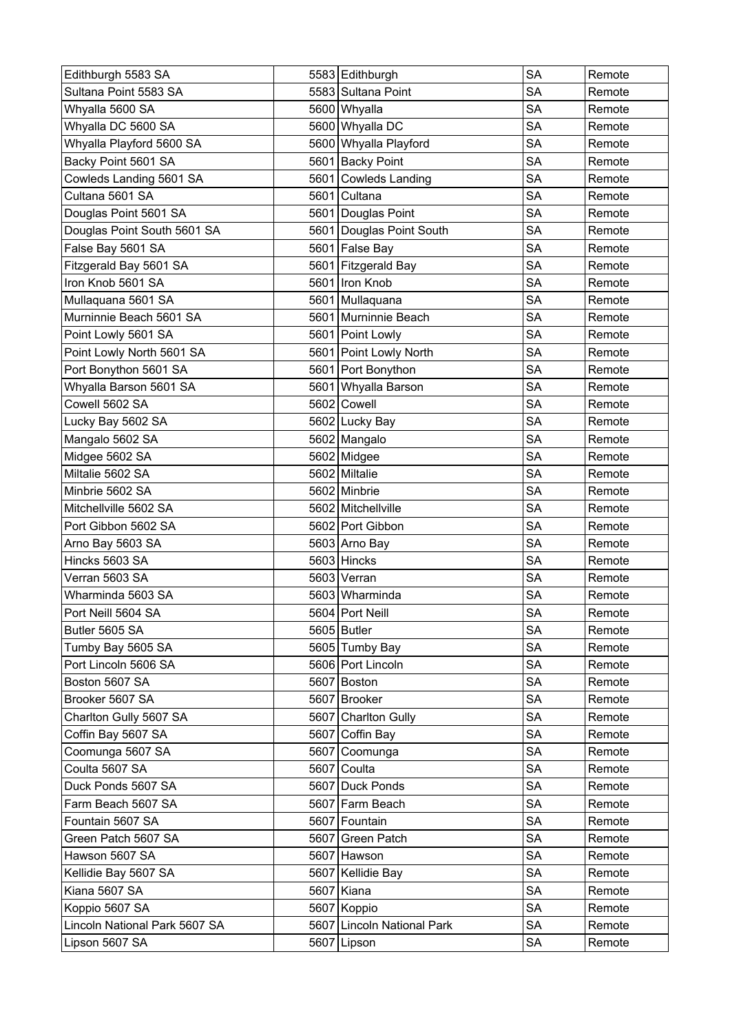| Edithburgh 5583 SA            |      | 5583 Edithburgh            | <b>SA</b> | Remote |
|-------------------------------|------|----------------------------|-----------|--------|
| Sultana Point 5583 SA         |      | 5583 Sultana Point         | <b>SA</b> | Remote |
| Whyalla 5600 SA               |      | 5600 Whyalla               | <b>SA</b> | Remote |
| Whyalla DC 5600 SA            |      | 5600 Whyalla DC            | <b>SA</b> | Remote |
| Whyalla Playford 5600 SA      |      | 5600 Whyalla Playford      | <b>SA</b> | Remote |
| Backy Point 5601 SA           |      | 5601 Backy Point           | <b>SA</b> | Remote |
| Cowleds Landing 5601 SA       |      | 5601 Cowleds Landing       | <b>SA</b> | Remote |
| Cultana 5601 SA               |      | 5601 Cultana               | <b>SA</b> | Remote |
| Douglas Point 5601 SA         |      | 5601 Douglas Point         | <b>SA</b> | Remote |
| Douglas Point South 5601 SA   |      | 5601 Douglas Point South   | <b>SA</b> | Remote |
| False Bay 5601 SA             |      | 5601 False Bay             | <b>SA</b> | Remote |
| Fitzgerald Bay 5601 SA        |      | 5601 Fitzgerald Bay        | <b>SA</b> | Remote |
| Iron Knob 5601 SA             | 5601 | Iron Knob                  | <b>SA</b> | Remote |
| Mullaquana 5601 SA            |      | 5601 Mullaquana            | <b>SA</b> | Remote |
| Murninnie Beach 5601 SA       |      | 5601 Murninnie Beach       | <b>SA</b> | Remote |
| Point Lowly 5601 SA           |      | 5601 Point Lowly           | <b>SA</b> | Remote |
| Point Lowly North 5601 SA     |      | 5601 Point Lowly North     | <b>SA</b> | Remote |
| Port Bonython 5601 SA         |      | 5601 Port Bonython         | <b>SA</b> | Remote |
| Whyalla Barson 5601 SA        |      | 5601 Whyalla Barson        | <b>SA</b> | Remote |
| Cowell 5602 SA                |      | 5602 Cowell                | <b>SA</b> | Remote |
| Lucky Bay 5602 SA             |      | 5602 Lucky Bay             | <b>SA</b> | Remote |
| Mangalo 5602 SA               |      | 5602 Mangalo               | SA        | Remote |
| Midgee 5602 SA                |      | 5602 Midgee                | <b>SA</b> | Remote |
| Miltalie 5602 SA              |      | 5602 Miltalie              | <b>SA</b> | Remote |
| Minbrie 5602 SA               |      | 5602 Minbrie               | <b>SA</b> | Remote |
| Mitchellville 5602 SA         |      | 5602 Mitchellville         | <b>SA</b> | Remote |
| Port Gibbon 5602 SA           |      | 5602 Port Gibbon           | <b>SA</b> | Remote |
| Arno Bay 5603 SA              |      | 5603 Arno Bay              | <b>SA</b> | Remote |
| Hincks 5603 SA                |      | 5603 Hincks                | <b>SA</b> | Remote |
| Verran 5603 SA                |      | 5603 Verran                | <b>SA</b> | Remote |
| Wharminda 5603 SA             |      | 5603 Wharminda             | <b>SA</b> | Remote |
| Port Neill 5604 SA            |      | 5604 Port Neill            | <b>SA</b> | Remote |
| Butler 5605 SA                |      | 5605 Butler                | <b>SA</b> | Remote |
| Tumby Bay 5605 SA             |      | 5605 Tumby Bay             | <b>SA</b> | Remote |
| Port Lincoln 5606 SA          |      | 5606 Port Lincoln          | <b>SA</b> | Remote |
| Boston 5607 SA                |      | 5607 Boston                | <b>SA</b> | Remote |
| Brooker 5607 SA               |      | 5607 Brooker               | <b>SA</b> | Remote |
| Charlton Gully 5607 SA        |      | 5607 Charlton Gully        | <b>SA</b> | Remote |
| Coffin Bay 5607 SA            |      | 5607 Coffin Bay            | <b>SA</b> | Remote |
| Coomunga 5607 SA              |      | 5607 Coomunga              | <b>SA</b> | Remote |
| Coulta 5607 SA                |      | 5607 Coulta                | <b>SA</b> | Remote |
| Duck Ponds 5607 SA            |      | 5607 Duck Ponds            | <b>SA</b> | Remote |
| Farm Beach 5607 SA            |      | 5607 Farm Beach            | <b>SA</b> | Remote |
| Fountain 5607 SA              |      | 5607 Fountain              | <b>SA</b> | Remote |
| Green Patch 5607 SA           |      | 5607 Green Patch           | <b>SA</b> | Remote |
| Hawson 5607 SA                |      | 5607 Hawson                | <b>SA</b> | Remote |
| Kellidie Bay 5607 SA          |      | 5607 Kellidie Bay          | <b>SA</b> | Remote |
| Kiana 5607 SA                 |      | 5607 Kiana                 | <b>SA</b> | Remote |
| Koppio 5607 SA                |      | 5607 Koppio                | <b>SA</b> | Remote |
| Lincoln National Park 5607 SA |      | 5607 Lincoln National Park | <b>SA</b> | Remote |
| Lipson 5607 SA                |      | 5607 Lipson                | <b>SA</b> | Remote |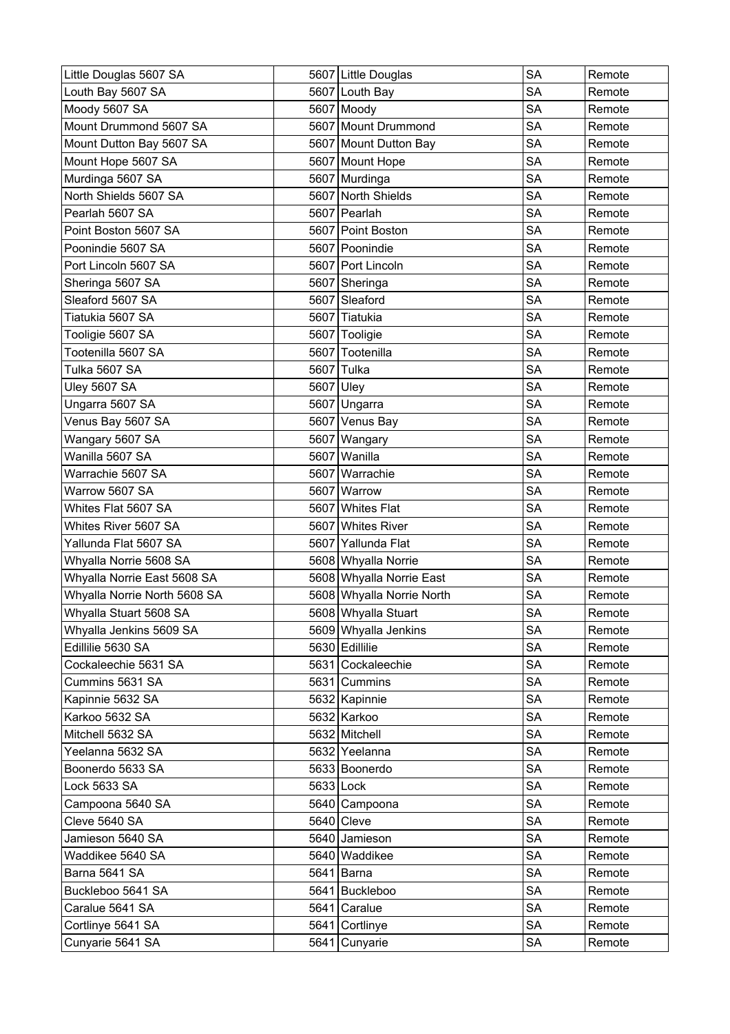| Little Douglas 5607 SA       |      | 5607 Little Douglas       | <b>SA</b> | Remote |
|------------------------------|------|---------------------------|-----------|--------|
| Louth Bay 5607 SA            |      | 5607 Louth Bay            | <b>SA</b> | Remote |
| Moody 5607 SA                |      | 5607 Moody                | <b>SA</b> | Remote |
| Mount Drummond 5607 SA       |      | 5607 Mount Drummond       | <b>SA</b> | Remote |
| Mount Dutton Bay 5607 SA     |      | 5607 Mount Dutton Bay     | <b>SA</b> | Remote |
| Mount Hope 5607 SA           |      | 5607 Mount Hope           | <b>SA</b> | Remote |
| Murdinga 5607 SA             |      | 5607 Murdinga             | <b>SA</b> | Remote |
| North Shields 5607 SA        |      | 5607 North Shields        | <b>SA</b> | Remote |
| Pearlah 5607 SA              |      | 5607 Pearlah              | SA        | Remote |
| Point Boston 5607 SA         |      | 5607 Point Boston         | <b>SA</b> | Remote |
| Poonindie 5607 SA            |      | 5607 Poonindie            | <b>SA</b> | Remote |
| Port Lincoln 5607 SA         |      | 5607 Port Lincoln         | <b>SA</b> | Remote |
| Sheringa 5607 SA             |      | 5607 Sheringa             | <b>SA</b> | Remote |
| Sleaford 5607 SA             |      | 5607 Sleaford             | <b>SA</b> | Remote |
| Tiatukia 5607 SA             |      | 5607 Tiatukia             | <b>SA</b> | Remote |
| Tooligie 5607 SA             |      | 5607 Tooligie             | <b>SA</b> | Remote |
| Tootenilla 5607 SA           |      | 5607 Tootenilla           | <b>SA</b> | Remote |
| Tulka 5607 SA                | 5607 | Tulka                     | <b>SA</b> | Remote |
| Uley 5607 SA                 | 5607 | Uley                      | <b>SA</b> | Remote |
| Ungarra 5607 SA              |      | 5607 Ungarra              | <b>SA</b> | Remote |
| Venus Bay 5607 SA            |      | 5607 Venus Bay            | <b>SA</b> | Remote |
| Wangary 5607 SA              |      | 5607 Wangary              | <b>SA</b> | Remote |
| Wanilla 5607 SA              |      | 5607 Wanilla              | <b>SA</b> | Remote |
| Warrachie 5607 SA            | 5607 | Warrachie                 | <b>SA</b> | Remote |
| Warrow 5607 SA               | 5607 | Warrow                    | <b>SA</b> | Remote |
| Whites Flat 5607 SA          | 5607 | Whites Flat               | <b>SA</b> | Remote |
| Whites River 5607 SA         | 5607 | <b>Whites River</b>       | <b>SA</b> | Remote |
| Yallunda Flat 5607 SA        |      | 5607 Yallunda Flat        | <b>SA</b> | Remote |
| Whyalla Norrie 5608 SA       |      | 5608 Whyalla Norrie       | <b>SA</b> | Remote |
| Whyalla Norrie East 5608 SA  |      | 5608 Whyalla Norrie East  | <b>SA</b> | Remote |
| Whyalla Norrie North 5608 SA |      | 5608 Whyalla Norrie North | <b>SA</b> | Remote |
| Whyalla Stuart 5608 SA       |      | 5608 Whyalla Stuart       | SA        | Remote |
| Whyalla Jenkins 5609 SA      |      | 5609 Whyalla Jenkins      | SA        | Remote |
| Edillilie 5630 SA            |      | 5630 Edillilie            | <b>SA</b> | Remote |
| Cockaleechie 5631 SA         |      | 5631 Cockaleechie         | <b>SA</b> | Remote |
| Cummins 5631 SA              |      | 5631 Cummins              | <b>SA</b> | Remote |
| Kapinnie 5632 SA             |      | 5632 Kapinnie             | <b>SA</b> | Remote |
| Karkoo 5632 SA               |      | 5632 Karkoo               | SA        | Remote |
| Mitchell 5632 SA             |      | 5632 Mitchell             | <b>SA</b> | Remote |
| Yeelanna 5632 SA             |      | 5632 Yeelanna             | SA        | Remote |
| Boonerdo 5633 SA             |      | 5633 Boonerdo             | <b>SA</b> | Remote |
| Lock 5633 SA                 |      | 5633 Lock                 | <b>SA</b> | Remote |
| Campoona 5640 SA             |      | 5640 Campoona             | <b>SA</b> | Remote |
| Cleve 5640 SA                |      | $5640$ Cleve              | <b>SA</b> | Remote |
| Jamieson 5640 SA             |      | 5640 Jamieson             | <b>SA</b> | Remote |
| Waddikee 5640 SA             |      | 5640 Waddikee             | <b>SA</b> | Remote |
| Barna 5641 SA                |      | 5641 Barna                | SA        | Remote |
| Buckleboo 5641 SA            |      | 5641 Buckleboo            | <b>SA</b> | Remote |
| Caralue 5641 SA              |      | 5641 Caralue              | <b>SA</b> | Remote |
| Cortlinye 5641 SA            |      | 5641 Cortlinye            | SA        | Remote |
| Cunyarie 5641 SA             |      | 5641 Cunyarie             | SA        | Remote |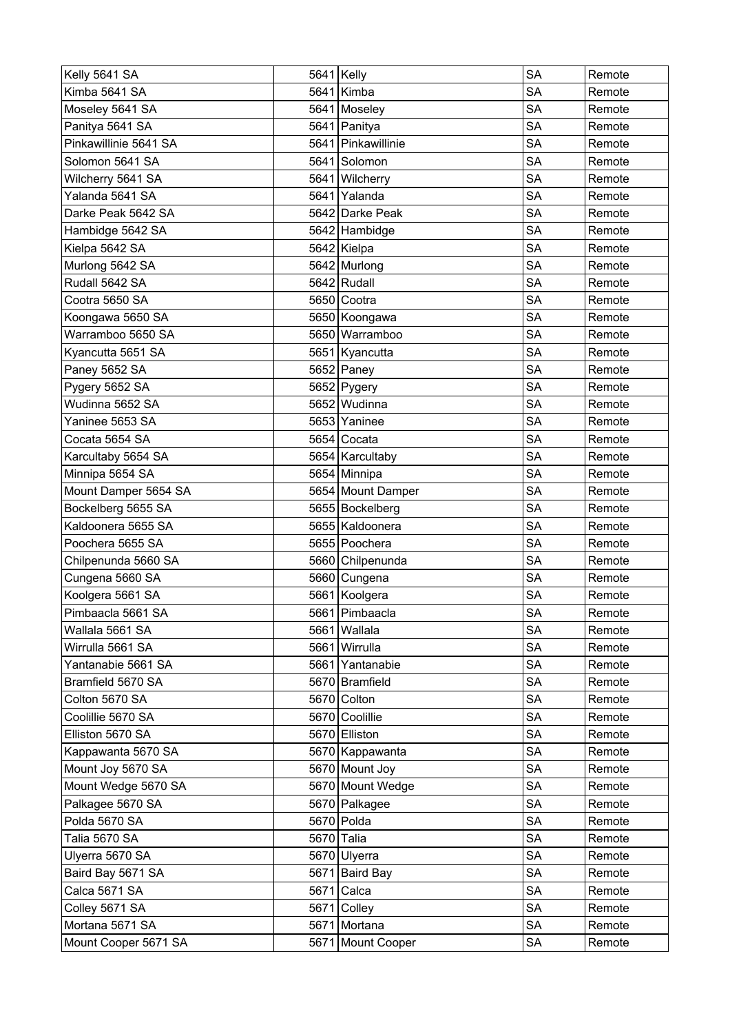| Kelly 5641 SA         |      | 5641 Kelly         | <b>SA</b> | Remote |
|-----------------------|------|--------------------|-----------|--------|
| Kimba 5641 SA         |      | 5641 Kimba         | <b>SA</b> | Remote |
| Moseley 5641 SA       |      | 5641 Moseley       | <b>SA</b> | Remote |
| Panitya 5641 SA       |      | 5641 Panitya       | <b>SA</b> | Remote |
| Pinkawillinie 5641 SA |      | 5641 Pinkawillinie | <b>SA</b> | Remote |
| Solomon 5641 SA       |      | 5641 Solomon       | <b>SA</b> | Remote |
| Wilcherry 5641 SA     |      | 5641 Wilcherry     | <b>SA</b> | Remote |
| Yalanda 5641 SA       |      | 5641 Yalanda       | SA        | Remote |
| Darke Peak 5642 SA    |      | 5642 Darke Peak    | <b>SA</b> | Remote |
| Hambidge 5642 SA      |      | 5642 Hambidge      | <b>SA</b> | Remote |
| Kielpa 5642 SA        |      | 5642 Kielpa        | <b>SA</b> | Remote |
| Murlong 5642 SA       |      | 5642 Murlong       | <b>SA</b> | Remote |
| Rudall 5642 SA        |      | $5642$ Rudall      | <b>SA</b> | Remote |
| Cootra 5650 SA        |      | 5650 Cootra        | <b>SA</b> | Remote |
| Koongawa 5650 SA      |      | 5650 Koongawa      | SA        | Remote |
| Warramboo 5650 SA     |      | 5650 Warramboo     | <b>SA</b> | Remote |
| Kyancutta 5651 SA     |      | 5651 Kyancutta     | <b>SA</b> | Remote |
| Paney 5652 SA         |      | 5652 Paney         | <b>SA</b> | Remote |
| Pygery 5652 SA        |      | 5652 Pygery        | <b>SA</b> | Remote |
| Wudinna 5652 SA       |      | 5652 Wudinna       | <b>SA</b> | Remote |
| Yaninee 5653 SA       |      | 5653 Yaninee       | <b>SA</b> | Remote |
| Cocata 5654 SA        |      | 5654 Cocata        | SA        | Remote |
| Karcultaby 5654 SA    |      | 5654 Karcultaby    | <b>SA</b> | Remote |
| Minnipa 5654 SA       |      | 5654 Minnipa       | <b>SA</b> | Remote |
| Mount Damper 5654 SA  |      | 5654 Mount Damper  | <b>SA</b> | Remote |
| Bockelberg 5655 SA    |      | 5655 Bockelberg    | <b>SA</b> | Remote |
| Kaldoonera 5655 SA    |      | 5655 Kaldoonera    | <b>SA</b> | Remote |
| Poochera 5655 SA      |      | 5655 Poochera      | <b>SA</b> | Remote |
| Chilpenunda 5660 SA   |      | 5660 Chilpenunda   | <b>SA</b> | Remote |
| Cungena 5660 SA       |      | 5660 Cungena       | <b>SA</b> | Remote |
| Koolgera 5661 SA      |      | 5661 Koolgera      | <b>SA</b> | Remote |
| Pimbaacla 5661 SA     |      | 5661 Pimbaacla     | <b>SA</b> | Remote |
| Wallala 5661 SA       |      | 5661 Wallala       | <b>SA</b> | Remote |
| Wirrulla 5661 SA      |      | 5661 Wirrulla      | <b>SA</b> | Remote |
| Yantanabie 5661 SA    |      | 5661 Yantanabie    | <b>SA</b> | Remote |
| Bramfield 5670 SA     |      | 5670 Bramfield     | SA        | Remote |
| Colton 5670 SA        |      | 5670 Colton        | <b>SA</b> | Remote |
| Coolillie 5670 SA     |      | 5670 Coolillie     | <b>SA</b> | Remote |
| Elliston 5670 SA      |      | 5670 Elliston      | <b>SA</b> | Remote |
| Kappawanta 5670 SA    |      | 5670 Kappawanta    | <b>SA</b> | Remote |
| Mount Joy 5670 SA     |      | 5670 Mount Joy     | <b>SA</b> | Remote |
| Mount Wedge 5670 SA   |      | 5670 Mount Wedge   | <b>SA</b> | Remote |
| Palkagee 5670 SA      |      | 5670 Palkagee      | <b>SA</b> | Remote |
| Polda 5670 SA         |      | 5670 Polda         | <b>SA</b> | Remote |
| Talia 5670 SA         |      | 5670 Talia         | <b>SA</b> | Remote |
| Ulyerra 5670 SA       |      | 5670 Ulyerra       | <b>SA</b> | Remote |
| Baird Bay 5671 SA     |      | 5671 Baird Bay     | <b>SA</b> | Remote |
| Calca 5671 SA         | 5671 | Calca              | <b>SA</b> | Remote |
| Colley 5671 SA        |      | 5671 Colley        | <b>SA</b> | Remote |
| Mortana 5671 SA       |      | 5671 Mortana       | <b>SA</b> | Remote |
| Mount Cooper 5671 SA  |      | 5671 Mount Cooper  | <b>SA</b> | Remote |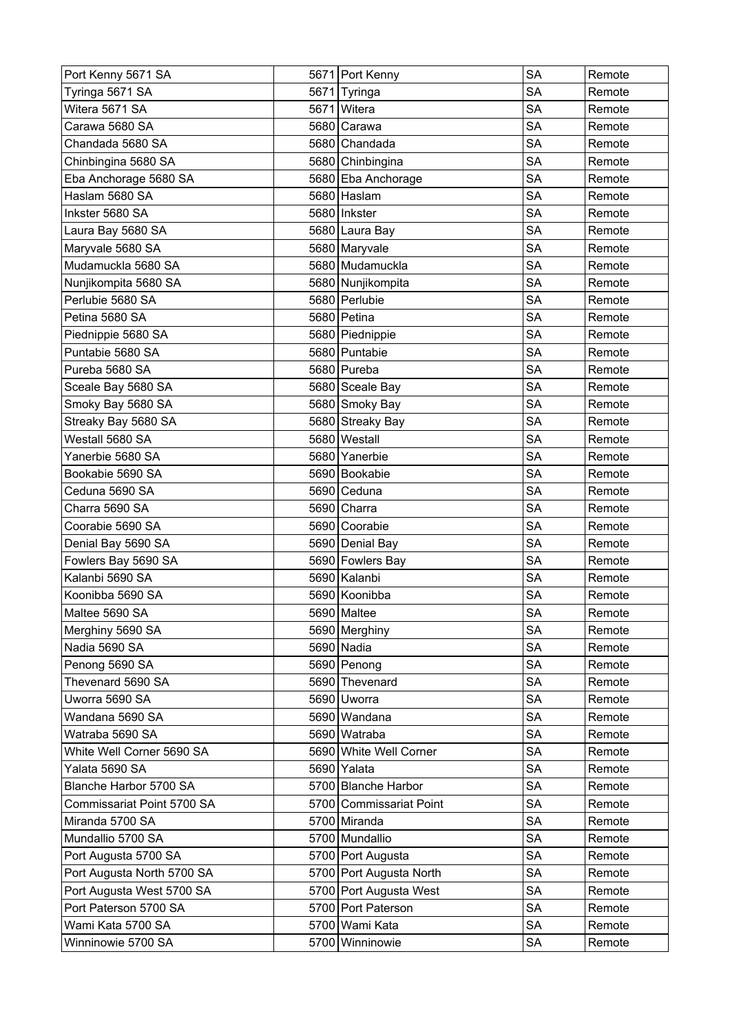| Port Kenny 5671 SA         |      | 5671 Port Kenny         | <b>SA</b> | Remote |
|----------------------------|------|-------------------------|-----------|--------|
| Tyringa 5671 SA            |      | 5671 Tyringa            | SA        | Remote |
| Witera 5671 SA             |      | 5671 Witera             | SA        | Remote |
| Carawa 5680 SA             | 5680 | Carawa                  | <b>SA</b> | Remote |
| Chandada 5680 SA           |      | 5680 Chandada           | <b>SA</b> | Remote |
| Chinbingina 5680 SA        |      | 5680 Chinbingina        | <b>SA</b> | Remote |
| Eba Anchorage 5680 SA      |      | 5680 Eba Anchorage      | <b>SA</b> | Remote |
| Haslam 5680 SA             |      | 5680 Haslam             | <b>SA</b> | Remote |
| Inkster 5680 SA            |      | 5680 Inkster            | SA        | Remote |
| Laura Bay 5680 SA          |      | 5680 Laura Bay          | <b>SA</b> | Remote |
| Maryvale 5680 SA           |      | 5680 Maryvale           | <b>SA</b> | Remote |
| Mudamuckla 5680 SA         |      | 5680 Mudamuckla         | <b>SA</b> | Remote |
| Nunjikompita 5680 SA       |      | 5680 Nunjikompita       | <b>SA</b> | Remote |
| Perlubie 5680 SA           |      | 5680 Perlubie           | <b>SA</b> | Remote |
| Petina 5680 SA             |      | 5680 Petina             | <b>SA</b> | Remote |
| Piednippie 5680 SA         |      | 5680 Piednippie         | SA        | Remote |
| Puntabie 5680 SA           |      | 5680 Puntabie           | <b>SA</b> | Remote |
| Pureba 5680 SA             |      | 5680 Pureba             | <b>SA</b> | Remote |
| Sceale Bay 5680 SA         |      | 5680 Sceale Bay         | <b>SA</b> | Remote |
| Smoky Bay 5680 SA          |      | 5680 Smoky Bay          | <b>SA</b> | Remote |
| Streaky Bay 5680 SA        |      | 5680 Streaky Bay        | SA        | Remote |
| Westall 5680 SA            |      | 5680 Westall            | <b>SA</b> | Remote |
| Yanerbie 5680 SA           |      | 5680 Yanerbie           | <b>SA</b> | Remote |
| Bookabie 5690 SA           |      | 5690 Bookabie           | <b>SA</b> | Remote |
| Ceduna 5690 SA             |      | 5690 Ceduna             | <b>SA</b> | Remote |
| Charra 5690 SA             | 5690 | Charra                  | <b>SA</b> | Remote |
| Coorabie 5690 SA           |      | 5690 Coorabie           | <b>SA</b> | Remote |
| Denial Bay 5690 SA         |      | 5690 Denial Bay         | <b>SA</b> | Remote |
| Fowlers Bay 5690 SA        |      | 5690 Fowlers Bay        | <b>SA</b> | Remote |
| Kalanbi 5690 SA            |      | 5690 Kalanbi            | SA        | Remote |
| Koonibba 5690 SA           |      | 5690 Koonibba           | <b>SA</b> | Remote |
| Maltee 5690 SA             |      | 5690 Maltee             | SA        | Remote |
| Merghiny 5690 SA           |      | 5690 Merghiny           | <b>SA</b> | Remote |
| Nadia 5690 SA              |      | 5690 Nadia              | <b>SA</b> | Remote |
| Penong 5690 SA             |      | 5690 Penong             | SA        | Remote |
| Thevenard 5690 SA          |      | 5690 Thevenard          | <b>SA</b> | Remote |
| Uworra 5690 SA             |      | 5690 Uworra             | <b>SA</b> | Remote |
| Wandana 5690 SA            |      | 5690 Wandana            | <b>SA</b> | Remote |
| Watraba 5690 SA            |      | 5690 Watraba            | <b>SA</b> | Remote |
| White Well Corner 5690 SA  |      | 5690 White Well Corner  | <b>SA</b> | Remote |
| Yalata 5690 SA             |      | 5690 Yalata             | <b>SA</b> | Remote |
| Blanche Harbor 5700 SA     |      | 5700 Blanche Harbor     | <b>SA</b> | Remote |
| Commissariat Point 5700 SA |      | 5700 Commissariat Point | <b>SA</b> | Remote |
| Miranda 5700 SA            |      | 5700 Miranda            | <b>SA</b> | Remote |
| Mundallio 5700 SA          |      | 5700 Mundallio          | <b>SA</b> | Remote |
| Port Augusta 5700 SA       |      | 5700 Port Augusta       | <b>SA</b> | Remote |
| Port Augusta North 5700 SA |      | 5700 Port Augusta North | <b>SA</b> | Remote |
| Port Augusta West 5700 SA  |      | 5700 Port Augusta West  | <b>SA</b> | Remote |
| Port Paterson 5700 SA      |      | 5700 Port Paterson      | SA        | Remote |
| Wami Kata 5700 SA          |      | 5700 Wami Kata          | <b>SA</b> | Remote |
| Winninowie 5700 SA         |      | 5700 Winninowie         | <b>SA</b> | Remote |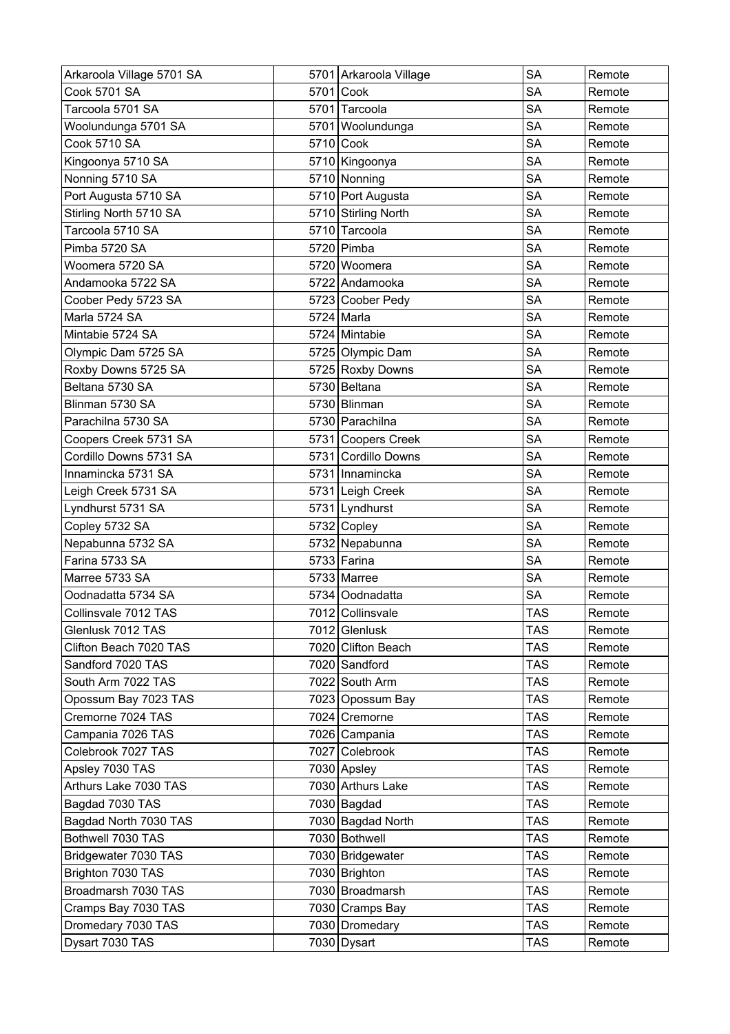| Arkaroola Village 5701 SA | 5701 Arkaroola Village | <b>SA</b>  | Remote |
|---------------------------|------------------------|------------|--------|
| <b>Cook 5701 SA</b>       | 5701 Cook              | <b>SA</b>  | Remote |
| Tarcoola 5701 SA          | 5701 Tarcoola          | <b>SA</b>  | Remote |
| Woolundunga 5701 SA       | 5701 Woolundunga       | <b>SA</b>  | Remote |
| <b>Cook 5710 SA</b>       | 5710 Cook              | <b>SA</b>  | Remote |
| Kingoonya 5710 SA         | 5710 Kingoonya         | <b>SA</b>  | Remote |
| Nonning 5710 SA           | 5710 Nonning           | <b>SA</b>  | Remote |
| Port Augusta 5710 SA      | 5710 Port Augusta      | <b>SA</b>  | Remote |
| Stirling North 5710 SA    | 5710 Stirling North    | <b>SA</b>  | Remote |
| Tarcoola 5710 SA          | 5710 Tarcoola          | <b>SA</b>  | Remote |
| Pimba 5720 SA             | 5720 Pimba             | <b>SA</b>  | Remote |
| Woomera 5720 SA           | 5720 Woomera           | <b>SA</b>  | Remote |
| Andamooka 5722 SA         | 5722 Andamooka         | <b>SA</b>  | Remote |
| Coober Pedy 5723 SA       | 5723 Coober Pedy       | <b>SA</b>  | Remote |
| Marla 5724 SA             | 5724 Marla             | <b>SA</b>  | Remote |
| Mintabie 5724 SA          | 5724 Mintabie          | <b>SA</b>  | Remote |
| Olympic Dam 5725 SA       | 5725 Olympic Dam       | <b>SA</b>  | Remote |
| Roxby Downs 5725 SA       | 5725 Roxby Downs       | <b>SA</b>  | Remote |
| Beltana 5730 SA           | 5730 Beltana           | <b>SA</b>  | Remote |
| Blinman 5730 SA           | 5730 Blinman           | <b>SA</b>  | Remote |
| Parachilna 5730 SA        | 5730 Parachilna        | <b>SA</b>  | Remote |
| Coopers Creek 5731 SA     | 5731 Coopers Creek     | <b>SA</b>  | Remote |
| Cordillo Downs 5731 SA    | 5731 Cordillo Downs    | <b>SA</b>  | Remote |
| Innamincka 5731 SA        | 5731 Innamincka        | <b>SA</b>  | Remote |
| Leigh Creek 5731 SA       | 5731 Leigh Creek       | <b>SA</b>  | Remote |
| Lyndhurst 5731 SA         | 5731 Lyndhurst         | <b>SA</b>  | Remote |
| Copley 5732 SA            | 5732 Copley            | <b>SA</b>  | Remote |
| Nepabunna 5732 SA         | 5732 Nepabunna         | <b>SA</b>  | Remote |
| Farina 5733 SA            | 5733 Farina            | <b>SA</b>  | Remote |
| Marree 5733 SA            | 5733 Marree            | <b>SA</b>  | Remote |
| Oodnadatta 5734 SA        | 5734 Oodnadatta        | <b>SA</b>  | Remote |
| Collinsvale 7012 TAS      | 7012 Collinsvale       | <b>TAS</b> | Remote |
| Glenlusk 7012 TAS         | 7012 Glenlusk          | <b>TAS</b> | Remote |
| Clifton Beach 7020 TAS    | 7020 Clifton Beach     | <b>TAS</b> | Remote |
| Sandford 7020 TAS         | 7020 Sandford          | <b>TAS</b> | Remote |
| South Arm 7022 TAS        | 7022 South Arm         | <b>TAS</b> | Remote |
| Opossum Bay 7023 TAS      | 7023 Opossum Bay       | <b>TAS</b> | Remote |
| Cremorne 7024 TAS         | 7024 Cremorne          | TAS        | Remote |
| Campania 7026 TAS         | 7026 Campania          | <b>TAS</b> | Remote |
| Colebrook 7027 TAS        | 7027 Colebrook         | TAS        | Remote |
| Apsley 7030 TAS           | 7030 Apsley            | TAS        | Remote |
| Arthurs Lake 7030 TAS     | 7030 Arthurs Lake      | <b>TAS</b> | Remote |
| Bagdad 7030 TAS           | 7030 Bagdad            | <b>TAS</b> | Remote |
| Bagdad North 7030 TAS     | 7030 Bagdad North      | <b>TAS</b> | Remote |
| Bothwell 7030 TAS         | 7030 Bothwell          | <b>TAS</b> | Remote |
| Bridgewater 7030 TAS      | 7030 Bridgewater       | <b>TAS</b> | Remote |
| Brighton 7030 TAS         | 7030 Brighton          | TAS        | Remote |
| Broadmarsh 7030 TAS       | 7030 Broadmarsh        | <b>TAS</b> | Remote |
| Cramps Bay 7030 TAS       | 7030 Cramps Bay        | <b>TAS</b> | Remote |
| Dromedary 7030 TAS        | 7030 Dromedary         | <b>TAS</b> | Remote |
| Dysart 7030 TAS           | 7030 Dysart            | <b>TAS</b> | Remote |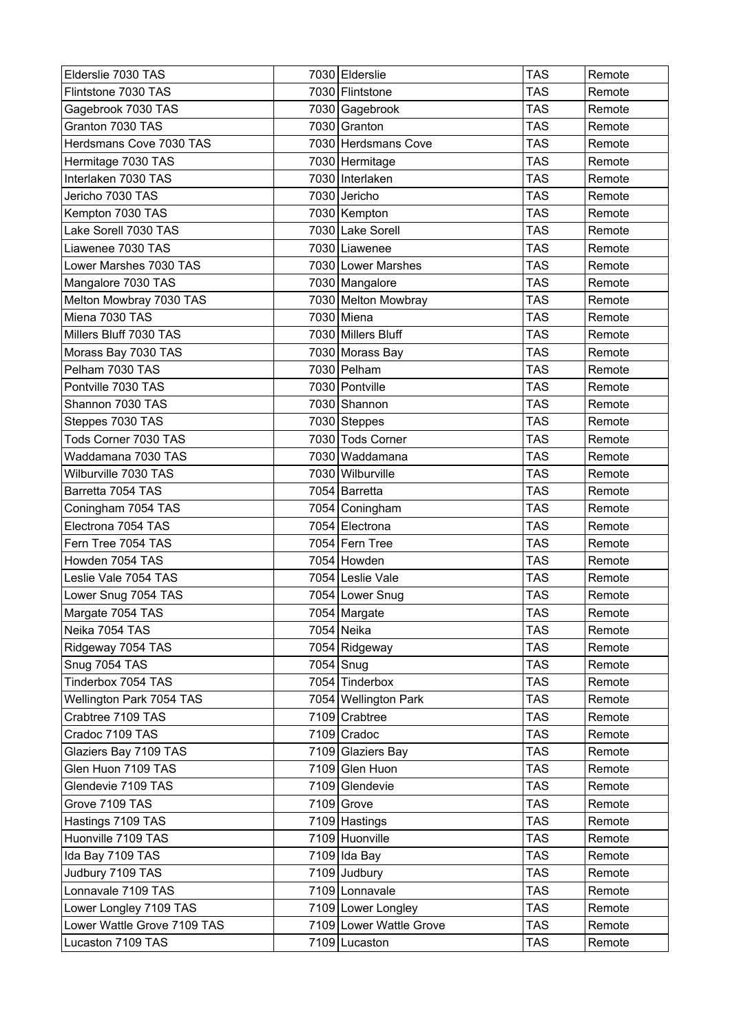| Elderslie 7030 TAS          | 7030 Elderslie          | <b>TAS</b> | Remote |
|-----------------------------|-------------------------|------------|--------|
| Flintstone 7030 TAS         | 7030 Flintstone         | <b>TAS</b> | Remote |
| Gagebrook 7030 TAS          | 7030 Gagebrook          | <b>TAS</b> | Remote |
| Granton 7030 TAS            | 7030 Granton            | <b>TAS</b> | Remote |
| Herdsmans Cove 7030 TAS     | 7030 Herdsmans Cove     | <b>TAS</b> | Remote |
| Hermitage 7030 TAS          | 7030 Hermitage          | <b>TAS</b> | Remote |
| Interlaken 7030 TAS         | 7030 Interlaken         | <b>TAS</b> | Remote |
| Jericho 7030 TAS            | 7030 Jericho            | <b>TAS</b> | Remote |
| Kempton 7030 TAS            | 7030 Kempton            | <b>TAS</b> | Remote |
| Lake Sorell 7030 TAS        | 7030 Lake Sorell        | <b>TAS</b> | Remote |
| Liawenee 7030 TAS           | 7030 Liawenee           | <b>TAS</b> | Remote |
| Lower Marshes 7030 TAS      | 7030 Lower Marshes      | <b>TAS</b> | Remote |
| Mangalore 7030 TAS          | 7030 Mangalore          | <b>TAS</b> | Remote |
| Melton Mowbray 7030 TAS     | 7030 Melton Mowbray     | <b>TAS</b> | Remote |
| Miena 7030 TAS              | 7030 Miena              | <b>TAS</b> | Remote |
| Millers Bluff 7030 TAS      | 7030 Millers Bluff      | <b>TAS</b> | Remote |
| Morass Bay 7030 TAS         | 7030 Morass Bay         | <b>TAS</b> | Remote |
| Pelham 7030 TAS             | 7030 Pelham             | <b>TAS</b> | Remote |
| Pontville 7030 TAS          | 7030 Pontville          | <b>TAS</b> | Remote |
| Shannon 7030 TAS            | 7030 Shannon            | <b>TAS</b> | Remote |
| Steppes 7030 TAS            | 7030 Steppes            | <b>TAS</b> | Remote |
| Tods Corner 7030 TAS        | 7030 Tods Corner        | <b>TAS</b> | Remote |
| Waddamana 7030 TAS          | 7030 Waddamana          | <b>TAS</b> | Remote |
| Wilburville 7030 TAS        | 7030 Wilburville        | <b>TAS</b> | Remote |
| Barretta 7054 TAS           | 7054 Barretta           | <b>TAS</b> | Remote |
| Coningham 7054 TAS          | 7054 Coningham          | <b>TAS</b> | Remote |
| Electrona 7054 TAS          | 7054 Electrona          | <b>TAS</b> | Remote |
| Fern Tree 7054 TAS          | 7054 Fern Tree          | <b>TAS</b> | Remote |
| Howden 7054 TAS             | 7054 Howden             | <b>TAS</b> | Remote |
| Leslie Vale 7054 TAS        | 7054 Leslie Vale        | <b>TAS</b> | Remote |
| Lower Snug 7054 TAS         | 7054 Lower Snug         | <b>TAS</b> | Remote |
| Margate 7054 TAS            | 7054 Margate            | <b>TAS</b> | Remote |
| Neika 7054 TAS              | 7054 Neika              | <b>TAS</b> | Remote |
| Ridgeway 7054 TAS           | 7054 Ridgeway           | <b>TAS</b> | Remote |
| Snug 7054 TAS               | 7054 Snug               | <b>TAS</b> | Remote |
| Tinderbox 7054 TAS          | 7054 Tinderbox          | TAS        | Remote |
| Wellington Park 7054 TAS    | 7054 Wellington Park    | <b>TAS</b> | Remote |
| Crabtree 7109 TAS           | 7109 Crabtree           | <b>TAS</b> | Remote |
| Cradoc 7109 TAS             | 7109 Cradoc             | <b>TAS</b> | Remote |
| Glaziers Bay 7109 TAS       | 7109 Glaziers Bay       | <b>TAS</b> | Remote |
| Glen Huon 7109 TAS          | 7109 Glen Huon          | <b>TAS</b> | Remote |
| Glendevie 7109 TAS          | 7109 Glendevie          | <b>TAS</b> | Remote |
| Grove 7109 TAS              | 7109 Grove              | <b>TAS</b> | Remote |
| Hastings 7109 TAS           | 7109 Hastings           | <b>TAS</b> | Remote |
| Huonville 7109 TAS          | 7109 Huonville          | <b>TAS</b> | Remote |
| Ida Bay 7109 TAS            | 7109 Ida Bay            | <b>TAS</b> | Remote |
| Judbury 7109 TAS            | 7109 Judbury            | TAS        | Remote |
| Lonnavale 7109 TAS          | 7109 Lonnavale          | <b>TAS</b> | Remote |
| Lower Longley 7109 TAS      | 7109 Lower Longley      | <b>TAS</b> | Remote |
| Lower Wattle Grove 7109 TAS | 7109 Lower Wattle Grove | <b>TAS</b> | Remote |
| Lucaston 7109 TAS           | 7109 Lucaston           | TAS        | Remote |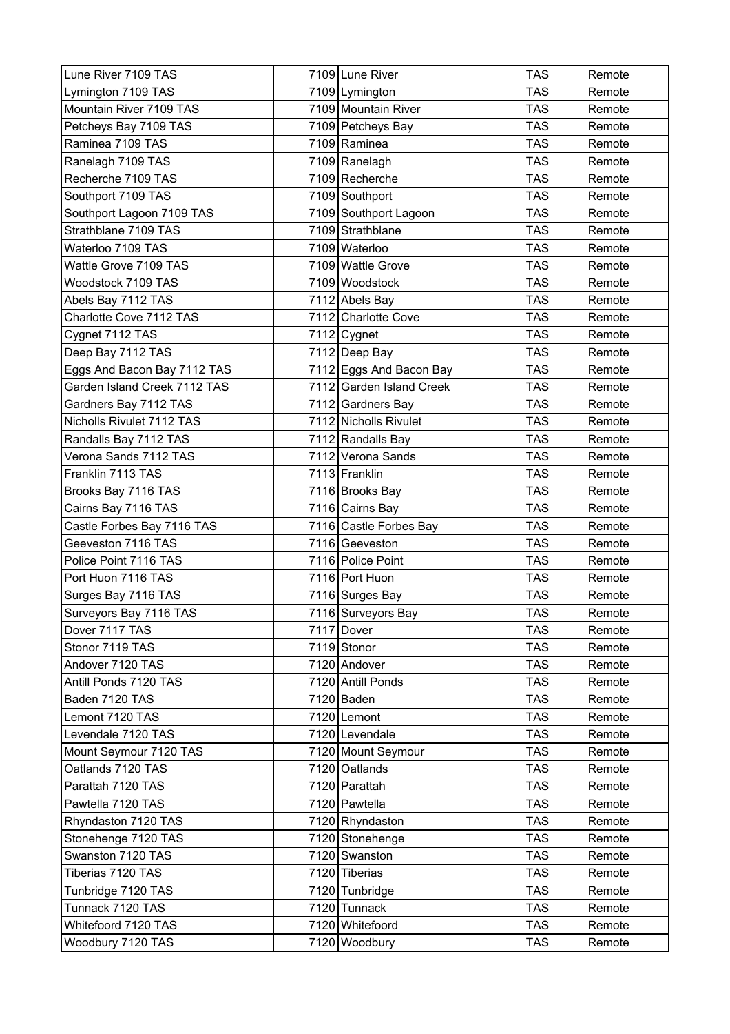| Lune River 7109 TAS          | 7109 Lune River          | <b>TAS</b> | Remote |
|------------------------------|--------------------------|------------|--------|
| Lymington 7109 TAS           | 7109 Lymington           | <b>TAS</b> | Remote |
| Mountain River 7109 TAS      | 7109 Mountain River      | TAS        | Remote |
| Petcheys Bay 7109 TAS        | 7109 Petcheys Bay        | <b>TAS</b> | Remote |
| Raminea 7109 TAS             | 7109 Raminea             | <b>TAS</b> | Remote |
| Ranelagh 7109 TAS            | 7109 Ranelagh            | <b>TAS</b> | Remote |
| Recherche 7109 TAS           | 7109 Recherche           | <b>TAS</b> | Remote |
| Southport 7109 TAS           | 7109 Southport           | <b>TAS</b> | Remote |
| Southport Lagoon 7109 TAS    | 7109 Southport Lagoon    | <b>TAS</b> | Remote |
| Strathblane 7109 TAS         | 7109 Strathblane         | <b>TAS</b> | Remote |
| Waterloo 7109 TAS            | 7109 Waterloo            | <b>TAS</b> | Remote |
| Wattle Grove 7109 TAS        | 7109 Wattle Grove        | <b>TAS</b> | Remote |
| Woodstock 7109 TAS           | 7109 Woodstock           | <b>TAS</b> | Remote |
| Abels Bay 7112 TAS           | 7112 Abels Bay           | <b>TAS</b> | Remote |
| Charlotte Cove 7112 TAS      | 7112 Charlotte Cove      | <b>TAS</b> | Remote |
| Cygnet 7112 TAS              | 7112 Cygnet              | <b>TAS</b> | Remote |
| Deep Bay 7112 TAS            | 7112 Deep Bay            | <b>TAS</b> | Remote |
| Eggs And Bacon Bay 7112 TAS  | 7112 Eggs And Bacon Bay  | <b>TAS</b> | Remote |
| Garden Island Creek 7112 TAS | 7112 Garden Island Creek | <b>TAS</b> | Remote |
| Gardners Bay 7112 TAS        | 7112 Gardners Bay        | <b>TAS</b> | Remote |
| Nicholls Rivulet 7112 TAS    | 7112 Nicholls Rivulet    | TAS        | Remote |
| Randalls Bay 7112 TAS        | 7112 Randalls Bay        | <b>TAS</b> | Remote |
| Verona Sands 7112 TAS        | 7112 Verona Sands        | <b>TAS</b> | Remote |
| Franklin 7113 TAS            | 7113 Franklin            | <b>TAS</b> | Remote |
| Brooks Bay 7116 TAS          | 7116 Brooks Bay          | <b>TAS</b> | Remote |
| Cairns Bay 7116 TAS          | 7116 Cairns Bay          | <b>TAS</b> | Remote |
| Castle Forbes Bay 7116 TAS   | 7116 Castle Forbes Bay   | <b>TAS</b> | Remote |
| Geeveston 7116 TAS           | 7116 Geeveston           | <b>TAS</b> | Remote |
| Police Point 7116 TAS        | 7116 Police Point        | <b>TAS</b> | Remote |
| Port Huon 7116 TAS           | 7116 Port Huon           | <b>TAS</b> | Remote |
| Surges Bay 7116 TAS          | 7116 Surges Bay          | <b>TAS</b> | Remote |
| Surveyors Bay 7116 TAS       | 7116 Surveyors Bay       | <b>TAS</b> | Remote |
| Dover 7117 TAS               | 7117 Dover               | <b>TAS</b> | Remote |
| Stonor 7119 TAS              | 7119 Stonor              | <b>TAS</b> | Remote |
| Andover 7120 TAS             | 7120 Andover             | TAS        | Remote |
| Antill Ponds 7120 TAS        | 7120 Antill Ponds        | <b>TAS</b> | Remote |
| Baden 7120 TAS               | 7120 Baden               | <b>TAS</b> | Remote |
| Lemont 7120 TAS              | 7120 Lemont              | TAS        | Remote |
| Levendale 7120 TAS           | 7120 Levendale           | <b>TAS</b> | Remote |
| Mount Seymour 7120 TAS       | 7120 Mount Seymour       | <b>TAS</b> | Remote |
| Oatlands 7120 TAS            | 7120 Oatlands            | <b>TAS</b> | Remote |
| Parattah 7120 TAS            | 7120 Parattah            | <b>TAS</b> | Remote |
| Pawtella 7120 TAS            | 7120 Pawtella            | <b>TAS</b> | Remote |
| Rhyndaston 7120 TAS          | 7120 Rhyndaston          | <b>TAS</b> | Remote |
| Stonehenge 7120 TAS          | 7120 Stonehenge          | <b>TAS</b> | Remote |
| Swanston 7120 TAS            | 7120 Swanston            | <b>TAS</b> | Remote |
| Tiberias 7120 TAS            | 7120 Tiberias            | <b>TAS</b> | Remote |
| Tunbridge 7120 TAS           | 7120 Tunbridge           | <b>TAS</b> | Remote |
| Tunnack 7120 TAS             | 7120 Tunnack             | <b>TAS</b> | Remote |
| Whitefoord 7120 TAS          | 7120 Whitefoord          | <b>TAS</b> | Remote |
| Woodbury 7120 TAS            | 7120 Woodbury            | <b>TAS</b> | Remote |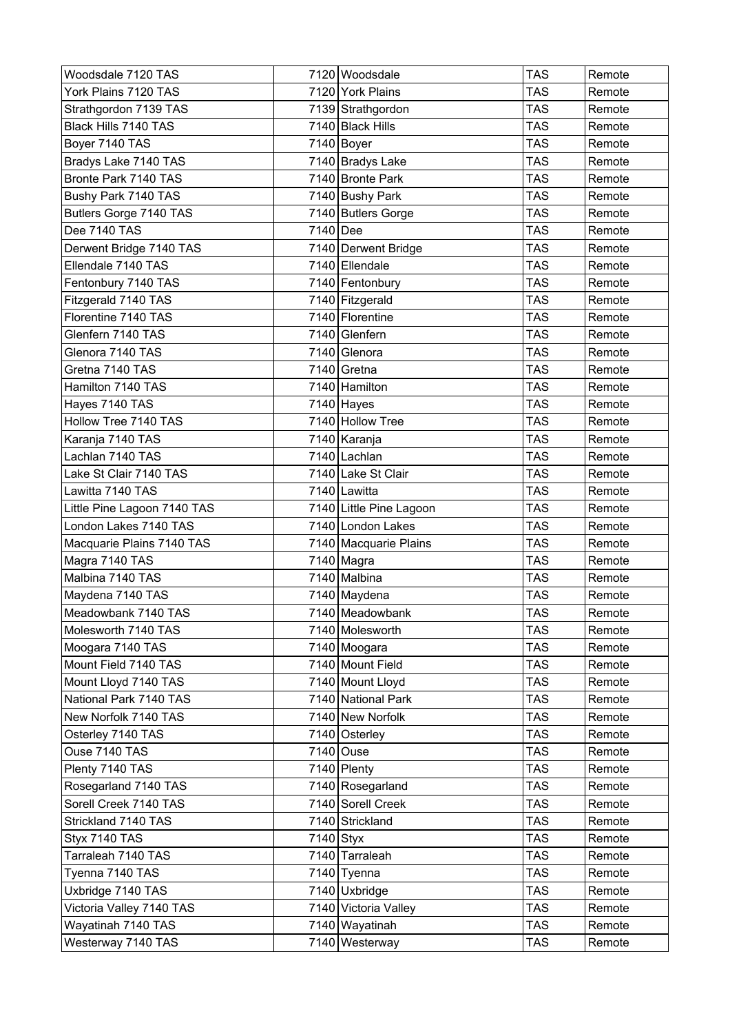| Woodsdale 7120 TAS          | 7120 Woodsdale          | <b>TAS</b><br>Remote |
|-----------------------------|-------------------------|----------------------|
| York Plains 7120 TAS        | 7120 York Plains        | <b>TAS</b><br>Remote |
| Strathgordon 7139 TAS       | 7139 Strathgordon       | TAS<br>Remote        |
| Black Hills 7140 TAS        | 7140 Black Hills        | <b>TAS</b><br>Remote |
| Boyer 7140 TAS              | 7140 Boyer              | TAS<br>Remote        |
| Bradys Lake 7140 TAS        | 7140 Bradys Lake        | <b>TAS</b><br>Remote |
| Bronte Park 7140 TAS        | 7140 Bronte Park        | <b>TAS</b><br>Remote |
| Bushy Park 7140 TAS         | 7140 Bushy Park         | <b>TAS</b><br>Remote |
| Butlers Gorge 7140 TAS      | 7140 Butlers Gorge      | <b>TAS</b><br>Remote |
| Dee 7140 TAS                | 7140 Dee                | TAS<br>Remote        |
| Derwent Bridge 7140 TAS     | 7140 Derwent Bridge     | <b>TAS</b><br>Remote |
| Ellendale 7140 TAS          | 7140 Ellendale          | <b>TAS</b><br>Remote |
| Fentonbury 7140 TAS         | 7140 Fentonbury         | TAS<br>Remote        |
| Fitzgerald 7140 TAS         | 7140 Fitzgerald         | <b>TAS</b><br>Remote |
| Florentine 7140 TAS         | 7140 Florentine         | <b>TAS</b><br>Remote |
| Glenfern 7140 TAS           | 7140 Glenfern           | <b>TAS</b><br>Remote |
| Glenora 7140 TAS            | 7140 Glenora            | <b>TAS</b><br>Remote |
| Gretna 7140 TAS             | 7140 Gretna             | <b>TAS</b><br>Remote |
| Hamilton 7140 TAS           | 7140 Hamilton           | TAS<br>Remote        |
| Hayes 7140 TAS              | 7140 Hayes              | <b>TAS</b><br>Remote |
| Hollow Tree 7140 TAS        | 7140 Hollow Tree        | TAS<br>Remote        |
| Karanja 7140 TAS            | 7140 Karanja            | <b>TAS</b><br>Remote |
| Lachlan 7140 TAS            | 7140 Lachlan            | <b>TAS</b><br>Remote |
| Lake St Clair 7140 TAS      | 7140 Lake St Clair      | TAS<br>Remote        |
| Lawitta 7140 TAS            | 7140 Lawitta            | <b>TAS</b><br>Remote |
| Little Pine Lagoon 7140 TAS | 7140 Little Pine Lagoon | TAS<br>Remote        |
| London Lakes 7140 TAS       | 7140 London Lakes       | TAS<br>Remote        |
| Macquarie Plains 7140 TAS   | 7140 Macquarie Plains   | <b>TAS</b><br>Remote |
| Magra 7140 TAS              | 7140 Magra              | <b>TAS</b><br>Remote |
| Malbina 7140 TAS            | 7140 Malbina            | <b>TAS</b><br>Remote |
| Maydena 7140 TAS            | 7140 Maydena            | TAS<br>Remote        |
| Meadowbank 7140 TAS         | 7140 Meadowbank         | <b>TAS</b><br>Remote |
| Molesworth 7140 TAS         | 7140 Molesworth         | TAS<br>Remote        |
| Moogara 7140 TAS            | 7140 Moogara            | <b>TAS</b><br>Remote |
| Mount Field 7140 TAS        | 7140 Mount Field        | <b>TAS</b><br>Remote |
| Mount Lloyd 7140 TAS        | 7140 Mount Lloyd        | <b>TAS</b><br>Remote |
| National Park 7140 TAS      | 7140 National Park      | <b>TAS</b><br>Remote |
| New Norfolk 7140 TAS        | 7140 New Norfolk        | TAS<br>Remote        |
| Osterley 7140 TAS           | 7140 Osterley           | <b>TAS</b><br>Remote |
| Ouse 7140 TAS               | 7140 Ouse               | <b>TAS</b><br>Remote |
| Plenty 7140 TAS             | 7140 Plenty             | TAS<br>Remote        |
| Rosegarland 7140 TAS        | 7140 Rosegarland        | <b>TAS</b><br>Remote |
| Sorell Creek 7140 TAS       | 7140 Sorell Creek       | <b>TAS</b><br>Remote |
| Strickland 7140 TAS         | 7140 Strickland         | <b>TAS</b><br>Remote |
| Styx 7140 TAS               | 7140 Styx               | <b>TAS</b><br>Remote |
| Tarraleah 7140 TAS          | 7140 Tarraleah          | <b>TAS</b><br>Remote |
| Tyenna 7140 TAS             | 7140 Tyenna             | TAS<br>Remote        |
| Uxbridge 7140 TAS           | 7140 Uxbridge           | <b>TAS</b><br>Remote |
| Victoria Valley 7140 TAS    | 7140 Victoria Valley    | <b>TAS</b><br>Remote |
| Wayatinah 7140 TAS          | 7140 Wayatinah          | <b>TAS</b><br>Remote |
| Westerway 7140 TAS          | 7140 Westerway          | <b>TAS</b><br>Remote |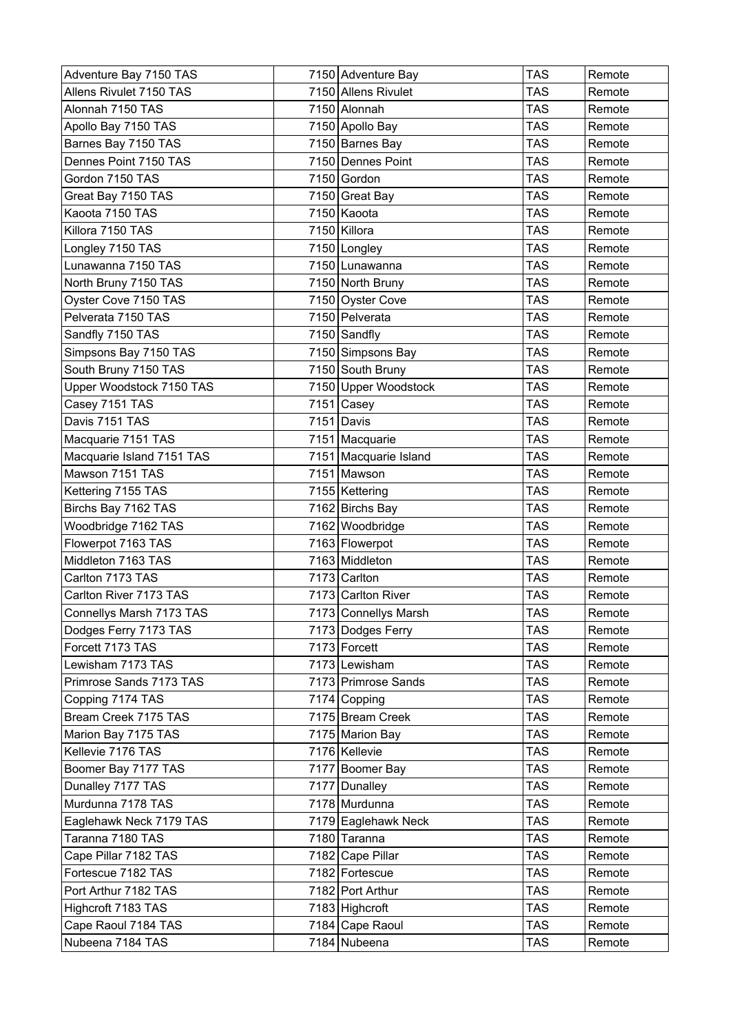| Adventure Bay 7150 TAS    | 7150 Adventure Bay    | <b>TAS</b> | Remote |
|---------------------------|-----------------------|------------|--------|
| Allens Rivulet 7150 TAS   | 7150 Allens Rivulet   | <b>TAS</b> | Remote |
| Alonnah 7150 TAS          | 7150 Alonnah          | TAS        | Remote |
| Apollo Bay 7150 TAS       | 7150 Apollo Bay       | <b>TAS</b> | Remote |
| Barnes Bay 7150 TAS       | 7150 Barnes Bay       | <b>TAS</b> | Remote |
| Dennes Point 7150 TAS     | 7150 Dennes Point     | <b>TAS</b> | Remote |
| Gordon 7150 TAS           | 7150 Gordon           | <b>TAS</b> | Remote |
| Great Bay 7150 TAS        | 7150 Great Bay        | <b>TAS</b> | Remote |
| Kaoota 7150 TAS           | 7150 Kaoota           | <b>TAS</b> | Remote |
| Killora 7150 TAS          | 7150 Killora          | <b>TAS</b> | Remote |
| Longley 7150 TAS          | 7150 Longley          | <b>TAS</b> | Remote |
| Lunawanna 7150 TAS        | 7150 Lunawanna        | <b>TAS</b> | Remote |
| North Bruny 7150 TAS      | 7150 North Bruny      | <b>TAS</b> | Remote |
| Oyster Cove 7150 TAS      | 7150 Oyster Cove      | <b>TAS</b> | Remote |
| Pelverata 7150 TAS        | 7150 Pelverata        | <b>TAS</b> | Remote |
| Sandfly 7150 TAS          | 7150 Sandfly          | <b>TAS</b> | Remote |
| Simpsons Bay 7150 TAS     | 7150 Simpsons Bay     | <b>TAS</b> | Remote |
| South Bruny 7150 TAS      | 7150 South Bruny      | <b>TAS</b> | Remote |
| Upper Woodstock 7150 TAS  | 7150 Upper Woodstock  | <b>TAS</b> | Remote |
| Casey 7151 TAS            | $7151$ Casey          | <b>TAS</b> | Remote |
| Davis 7151 TAS            | $7151$ Davis          | <b>TAS</b> | Remote |
| Macquarie 7151 TAS        | 7151 Macquarie        | <b>TAS</b> | Remote |
| Macquarie Island 7151 TAS | 7151 Macquarie Island | <b>TAS</b> | Remote |
| Mawson 7151 TAS           | 7151 Mawson           | TAS        | Remote |
| Kettering 7155 TAS        | 7155   Kettering      | <b>TAS</b> | Remote |
| Birchs Bay 7162 TAS       | 7162 Birchs Bay       | <b>TAS</b> | Remote |
| Woodbridge 7162 TAS       | 7162 Woodbridge       | <b>TAS</b> | Remote |
| Flowerpot 7163 TAS        | 7163 Flowerpot        | <b>TAS</b> | Remote |
| Middleton 7163 TAS        | 7163 Middleton        | <b>TAS</b> | Remote |
| Carlton 7173 TAS          | 7173 Carlton          | <b>TAS</b> | Remote |
| Carlton River 7173 TAS    | 7173 Carlton River    | <b>TAS</b> | Remote |
| Connellys Marsh 7173 TAS  | 7173 Connellys Marsh  | <b>TAS</b> | Remote |
| Dodges Ferry 7173 TAS     | 7173 Dodges Ferry     | <b>TAS</b> | Remote |
| Forcett 7173 TAS          | 7173 Forcett          | <b>TAS</b> | Remote |
| Lewisham 7173 TAS         | 7173 Lewisham         | <b>TAS</b> | Remote |
| Primrose Sands 7173 TAS   | 7173 Primrose Sands   | <b>TAS</b> | Remote |
| Copping 7174 TAS          | 7174 Copping          | <b>TAS</b> | Remote |
| Bream Creek 7175 TAS      | 7175 Bream Creek      | TAS        | Remote |
| Marion Bay 7175 TAS       | 7175 Marion Bay       | <b>TAS</b> | Remote |
| Kellevie 7176 TAS         | 7176 Kellevie         | <b>TAS</b> | Remote |
| Boomer Bay 7177 TAS       | 7177 Boomer Bay       | TAS        | Remote |
| Dunalley 7177 TAS         | 7177 Dunalley         | <b>TAS</b> | Remote |
| Murdunna 7178 TAS         | 7178 Murdunna         | <b>TAS</b> | Remote |
| Eaglehawk Neck 7179 TAS   | 7179 Eaglehawk Neck   | <b>TAS</b> | Remote |
| Taranna 7180 TAS          | 7180 Taranna          | <b>TAS</b> | Remote |
| Cape Pillar 7182 TAS      | 7182 Cape Pillar      | <b>TAS</b> | Remote |
| Fortescue 7182 TAS        | 7182 Fortescue        | TAS        | Remote |
| Port Arthur 7182 TAS      | 7182 Port Arthur      | <b>TAS</b> | Remote |
| Highcroft 7183 TAS        | 7183 Highcroft        | <b>TAS</b> | Remote |
| Cape Raoul 7184 TAS       | 7184 Cape Raoul       | <b>TAS</b> | Remote |
| Nubeena 7184 TAS          | 7184 Nubeena          | <b>TAS</b> | Remote |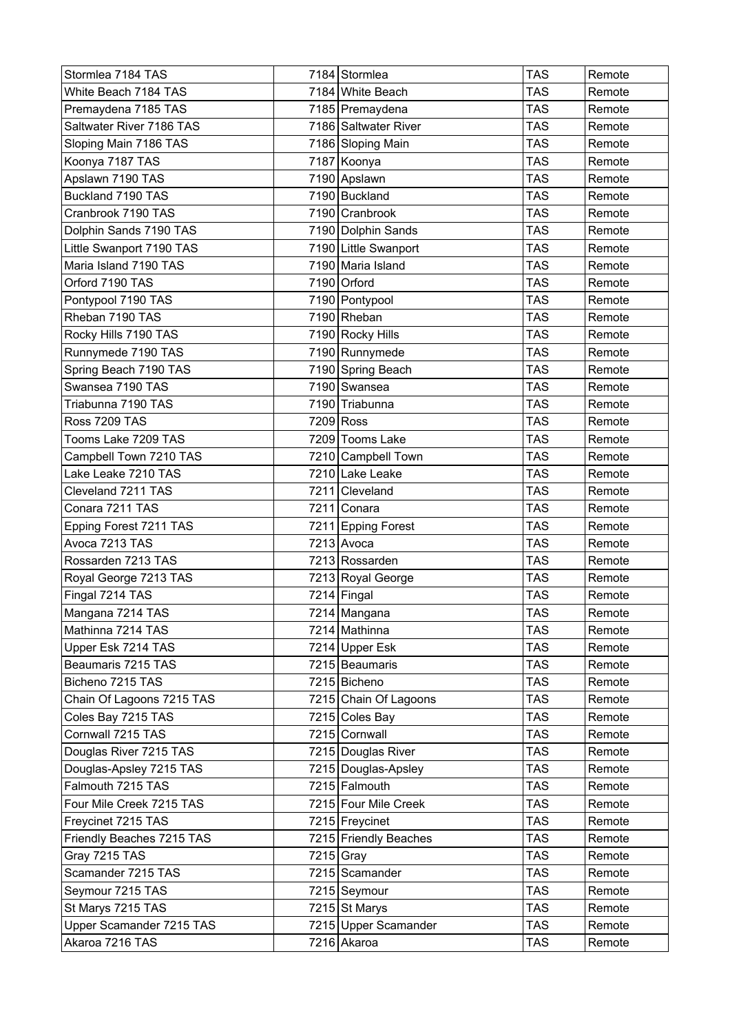| Stormlea 7184 TAS         | 7184 Stormlea         | <b>TAS</b> | Remote |
|---------------------------|-----------------------|------------|--------|
| White Beach 7184 TAS      | 7184 White Beach      | TAS        | Remote |
| Premaydena 7185 TAS       | 7185 Premaydena       | <b>TAS</b> | Remote |
| Saltwater River 7186 TAS  | 7186 Saltwater River  | <b>TAS</b> | Remote |
| Sloping Main 7186 TAS     | 7186 Sloping Main     | <b>TAS</b> | Remote |
| Koonya 7187 TAS           | 7187 Koonya           | <b>TAS</b> | Remote |
| Apslawn 7190 TAS          | 7190 Apslawn          | <b>TAS</b> | Remote |
| Buckland 7190 TAS         | 7190 Buckland         | <b>TAS</b> | Remote |
| Cranbrook 7190 TAS        | 7190 Cranbrook        | <b>TAS</b> | Remote |
| Dolphin Sands 7190 TAS    | 7190 Dolphin Sands    | <b>TAS</b> | Remote |
| Little Swanport 7190 TAS  | 7190 Little Swanport  | <b>TAS</b> | Remote |
| Maria Island 7190 TAS     | 7190 Maria Island     | <b>TAS</b> | Remote |
| Orford 7190 TAS           | 7190 Orford           | <b>TAS</b> | Remote |
| Pontypool 7190 TAS        | 7190 Pontypool        | <b>TAS</b> | Remote |
| Rheban 7190 TAS           | 7190 Rheban           | <b>TAS</b> | Remote |
| Rocky Hills 7190 TAS      | 7190 Rocky Hills      | <b>TAS</b> | Remote |
| Runnymede 7190 TAS        | 7190 Runnymede        | <b>TAS</b> | Remote |
| Spring Beach 7190 TAS     | 7190 Spring Beach     | <b>TAS</b> | Remote |
| Swansea 7190 TAS          | 7190 Swansea          | <b>TAS</b> | Remote |
| Triabunna 7190 TAS        | 7190 Triabunna        | <b>TAS</b> | Remote |
| Ross 7209 TAS             | 7209 Ross             | TAS        | Remote |
| Tooms Lake 7209 TAS       | 7209 Tooms Lake       | <b>TAS</b> | Remote |
| Campbell Town 7210 TAS    | 7210 Campbell Town    | <b>TAS</b> | Remote |
| Lake Leake 7210 TAS       | 7210 Lake Leake       | <b>TAS</b> | Remote |
| Cleveland 7211 TAS        | 7211 Cleveland        | <b>TAS</b> | Remote |
| Conara 7211 TAS           | 7211 Conara           | <b>TAS</b> | Remote |
| Epping Forest 7211 TAS    | 7211 Epping Forest    | <b>TAS</b> | Remote |
| Avoca 7213 TAS            | 7213 Avoca            | <b>TAS</b> | Remote |
| Rossarden 7213 TAS        | 7213 Rossarden        | <b>TAS</b> | Remote |
| Royal George 7213 TAS     | 7213 Royal George     | <b>TAS</b> | Remote |
| Fingal 7214 TAS           | 7214 Fingal           | <b>TAS</b> | Remote |
| Mangana 7214 TAS          | 7214 Mangana          | <b>TAS</b> | Remote |
| Mathinna 7214 TAS         | 7214 Mathinna         | <b>TAS</b> | Remote |
| Upper Esk 7214 TAS        | 7214 Upper Esk        | <b>TAS</b> | Remote |
| Beaumaris 7215 TAS        | 7215 Beaumaris        | TAS        | Remote |
| Bicheno 7215 TAS          | 7215 Bicheno          | <b>TAS</b> | Remote |
| Chain Of Lagoons 7215 TAS | 7215 Chain Of Lagoons | <b>TAS</b> | Remote |
| Coles Bay 7215 TAS        | 7215 Coles Bay        | TAS        | Remote |
| Cornwall 7215 TAS         | 7215 Cornwall         | <b>TAS</b> | Remote |
| Douglas River 7215 TAS    | 7215 Douglas River    | <b>TAS</b> | Remote |
| Douglas-Apsley 7215 TAS   | 7215 Douglas-Apsley   | <b>TAS</b> | Remote |
| Falmouth 7215 TAS         | 7215 Falmouth         | <b>TAS</b> | Remote |
| Four Mile Creek 7215 TAS  | 7215 Four Mile Creek  | TAS        | Remote |
| Freycinet 7215 TAS        | 7215 Freycinet        | TAS        | Remote |
| Friendly Beaches 7215 TAS | 7215 Friendly Beaches | <b>TAS</b> | Remote |
| Gray 7215 TAS             | 7215 Gray             | <b>TAS</b> | Remote |
| Scamander 7215 TAS        | 7215 Scamander        | <b>TAS</b> | Remote |
| Seymour 7215 TAS          | 7215 Seymour          | <b>TAS</b> | Remote |
| St Marys 7215 TAS         | 7215 St Marys         | <b>TAS</b> | Remote |
| Upper Scamander 7215 TAS  | 7215 Upper Scamander  | <b>TAS</b> | Remote |
| Akaroa 7216 TAS           | 7216 Akaroa           | <b>TAS</b> | Remote |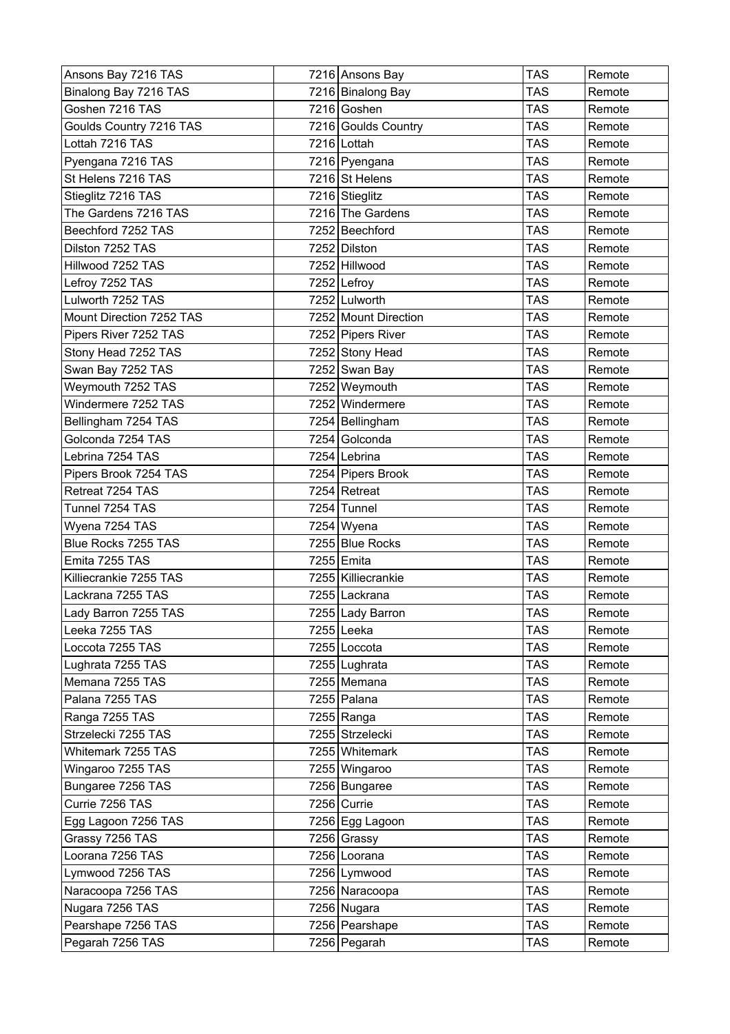| Ansons Bay 7216 TAS      | 7216 Ansons Bay      | <b>TAS</b> | Remote |
|--------------------------|----------------------|------------|--------|
| Binalong Bay 7216 TAS    | 7216 Binalong Bay    | <b>TAS</b> | Remote |
| Goshen 7216 TAS          | 7216 Goshen          | TAS        | Remote |
| Goulds Country 7216 TAS  | 7216 Goulds Country  | TAS        | Remote |
| Lottah 7216 TAS          | 7216 Lottah          | <b>TAS</b> | Remote |
| Pyengana 7216 TAS        | 7216 Pyengana        | <b>TAS</b> | Remote |
| St Helens 7216 TAS       | 7216 St Helens       | TAS        | Remote |
| Stieglitz 7216 TAS       | 7216 Stieglitz       | <b>TAS</b> | Remote |
| The Gardens 7216 TAS     | 7216 The Gardens     | TAS        | Remote |
| Beechford 7252 TAS       | 7252 Beechford       | TAS        | Remote |
| Dilston 7252 TAS         | 7252 Dilston         | <b>TAS</b> | Remote |
| Hillwood 7252 TAS        | 7252 Hillwood        | <b>TAS</b> | Remote |
| Lefroy 7252 TAS          | 7252 Lefroy          | TAS        | Remote |
| Lulworth 7252 TAS        | 7252 Lulworth        | TAS        | Remote |
| Mount Direction 7252 TAS | 7252 Mount Direction | <b>TAS</b> | Remote |
| Pipers River 7252 TAS    | 7252 Pipers River    | TAS        | Remote |
| Stony Head 7252 TAS      | 7252 Stony Head      | <b>TAS</b> | Remote |
| Swan Bay 7252 TAS        | 7252 Swan Bay        | <b>TAS</b> | Remote |
| Weymouth 7252 TAS        | 7252 Weymouth        | <b>TAS</b> | Remote |
| Windermere 7252 TAS      | 7252 Windermere      | <b>TAS</b> | Remote |
| Bellingham 7254 TAS      | 7254 Bellingham      | TAS        | Remote |
| Golconda 7254 TAS        | 7254 Golconda        | <b>TAS</b> | Remote |
| Lebrina 7254 TAS         | 7254 Lebrina         | <b>TAS</b> | Remote |
| Pipers Brook 7254 TAS    | 7254 Pipers Brook    | TAS        | Remote |
| Retreat 7254 TAS         | 7254 Retreat         | <b>TAS</b> | Remote |
| Tunnel 7254 TAS          | 7254 Tunnel          | TAS        | Remote |
| Wyena 7254 TAS           | $7254$ Wyena         | <b>TAS</b> | Remote |
| Blue Rocks 7255 TAS      | 7255 Blue Rocks      | TAS        | Remote |
| Emita 7255 TAS           | 7255 Emita           | <b>TAS</b> | Remote |
| Killiecrankie 7255 TAS   | 7255 Killiecrankie   | TAS        | Remote |
| Lackrana 7255 TAS        | 7255 Lackrana        | TAS        | Remote |
| Lady Barron 7255 TAS     | 7255 Lady Barron     | TAS        | Remote |
| Leeka 7255 TAS           | 7255 Leeka           | <b>TAS</b> | Remote |
| Loccota 7255 TAS         | 7255 Loccota         | <b>TAS</b> | Remote |
| Lughrata 7255 TAS        | 7255 Lughrata        | TAS        | Remote |
| Memana 7255 TAS          | 7255 Memana          | <b>TAS</b> | Remote |
| Palana 7255 TAS          | 7255 Palana          | <b>TAS</b> | Remote |
| Ranga 7255 TAS           | 7255 Ranga           | TAS        | Remote |
| Strzelecki 7255 TAS      | 7255 Strzelecki      | <b>TAS</b> | Remote |
| Whitemark 7255 TAS       | 7255 Whitemark       | <b>TAS</b> | Remote |
| Wingaroo 7255 TAS        | 7255 Wingaroo        | <b>TAS</b> | Remote |
| Bungaree 7256 TAS        | 7256 Bungaree        | <b>TAS</b> | Remote |
| Currie 7256 TAS          | 7256 Currie          | <b>TAS</b> | Remote |
| Egg Lagoon 7256 TAS      | 7256 Egg Lagoon      | TAS        | Remote |
| Grassy 7256 TAS          | 7256 Grassy          | <b>TAS</b> | Remote |
| Loorana 7256 TAS         | 7256 Loorana         | TAS        | Remote |
| Lymwood 7256 TAS         | 7256 Lymwood         | <b>TAS</b> | Remote |
| Naracoopa 7256 TAS       | 7256 Naracoopa       | <b>TAS</b> | Remote |
| Nugara 7256 TAS          | 7256 Nugara          | TAS        | Remote |
| Pearshape 7256 TAS       | 7256 Pearshape       | <b>TAS</b> | Remote |
| Pegarah 7256 TAS         | 7256 Pegarah         | TAS        | Remote |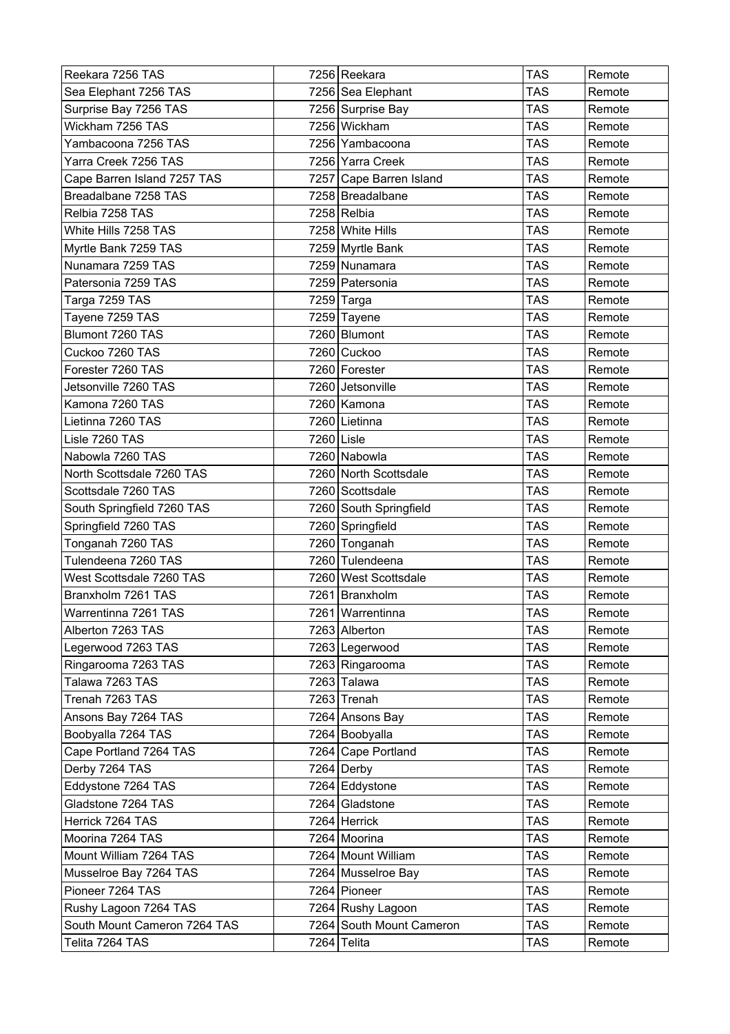| Reekara 7256 TAS             |            | 7256 Reekara             | <b>TAS</b> | Remote |
|------------------------------|------------|--------------------------|------------|--------|
| Sea Elephant 7256 TAS        |            | 7256 Sea Elephant        | TAS        | Remote |
| Surprise Bay 7256 TAS        |            | 7256 Surprise Bay        | <b>TAS</b> | Remote |
| Wickham 7256 TAS             |            | 7256 Wickham             | <b>TAS</b> | Remote |
| Yambacoona 7256 TAS          |            | 7256 Yambacoona          | <b>TAS</b> | Remote |
| Yarra Creek 7256 TAS         |            | 7256 Yarra Creek         | <b>TAS</b> | Remote |
| Cape Barren Island 7257 TAS  |            | 7257 Cape Barren Island  | <b>TAS</b> | Remote |
| Breadalbane 7258 TAS         |            | 7258 Breadalbane         | <b>TAS</b> | Remote |
| Relbia 7258 TAS              |            | 7258 Relbia              | <b>TAS</b> | Remote |
| White Hills 7258 TAS         |            | 7258 White Hills         | <b>TAS</b> | Remote |
| Myrtle Bank 7259 TAS         |            | 7259 Myrtle Bank         | <b>TAS</b> | Remote |
| Nunamara 7259 TAS            |            | 7259 Nunamara            | <b>TAS</b> | Remote |
| Patersonia 7259 TAS          |            | 7259 Patersonia          | <b>TAS</b> | Remote |
| Targa 7259 TAS               |            | 7259 Targa               | <b>TAS</b> | Remote |
| Tayene 7259 TAS              |            | 7259 Tayene              | <b>TAS</b> | Remote |
| Blumont 7260 TAS             |            | 7260 Blumont             | TAS        | Remote |
| Cuckoo 7260 TAS              |            | 7260 Cuckoo              | <b>TAS</b> | Remote |
| Forester 7260 TAS            |            | 7260 Forester            | <b>TAS</b> | Remote |
| Jetsonville 7260 TAS         |            | 7260 Jetsonville         | <b>TAS</b> | Remote |
| Kamona 7260 TAS              |            | 7260 Kamona              | <b>TAS</b> | Remote |
| Lietinna 7260 TAS            |            | 7260 Lietinna            | <b>TAS</b> | Remote |
| Lisle 7260 TAS               | 7260 Lisle |                          | <b>TAS</b> | Remote |
| Nabowla 7260 TAS             |            | 7260 Nabowla             | <b>TAS</b> | Remote |
| North Scottsdale 7260 TAS    |            | 7260 North Scottsdale    | <b>TAS</b> | Remote |
| Scottsdale 7260 TAS          |            | 7260 Scottsdale          | <b>TAS</b> | Remote |
| South Springfield 7260 TAS   |            | 7260 South Springfield   | <b>TAS</b> | Remote |
| Springfield 7260 TAS         |            | 7260 Springfield         | <b>TAS</b> | Remote |
| Tonganah 7260 TAS            |            | 7260 Tonganah            | <b>TAS</b> | Remote |
| Tulendeena 7260 TAS          |            | 7260 Tulendeena          | <b>TAS</b> | Remote |
| West Scottsdale 7260 TAS     |            | 7260 West Scottsdale     | TAS        | Remote |
| Branxholm 7261 TAS           |            | 7261 Branxholm           | <b>TAS</b> | Remote |
| Warrentinna 7261 TAS         |            | 7261 Warrentinna         | <b>TAS</b> | Remote |
| Alberton 7263 TAS            |            | 7263 Alberton            | <b>TAS</b> | Remote |
| Legerwood 7263 TAS           |            | 7263 Legerwood           | <b>TAS</b> | Remote |
| Ringarooma 7263 TAS          |            | 7263 Ringarooma          | <b>TAS</b> | Remote |
| Talawa 7263 TAS              |            | 7263 Talawa              | <b>TAS</b> | Remote |
| Trenah 7263 TAS              |            | 7263 Trenah              | <b>TAS</b> | Remote |
| Ansons Bay 7264 TAS          |            | 7264 Ansons Bay          | TAS        | Remote |
| Boobyalla 7264 TAS           |            | 7264 Boobyalla           | <b>TAS</b> | Remote |
| Cape Portland 7264 TAS       |            | 7264 Cape Portland       | TAS        | Remote |
| Derby 7264 TAS               |            | 7264 Derby               | TAS        | Remote |
| Eddystone 7264 TAS           |            | 7264 Eddystone           | <b>TAS</b> | Remote |
| Gladstone 7264 TAS           |            | 7264 Gladstone           | <b>TAS</b> | Remote |
| Herrick 7264 TAS             |            | 7264 Herrick             | TAS        | Remote |
| Moorina 7264 TAS             |            | 7264 Moorina             | <b>TAS</b> | Remote |
| Mount William 7264 TAS       |            | 7264 Mount William       | <b>TAS</b> | Remote |
| Musselroe Bay 7264 TAS       |            | 7264 Musselroe Bay       | TAS        | Remote |
| Pioneer 7264 TAS             |            | 7264 Pioneer             | <b>TAS</b> | Remote |
| Rushy Lagoon 7264 TAS        |            | 7264 Rushy Lagoon        | <b>TAS</b> | Remote |
| South Mount Cameron 7264 TAS |            | 7264 South Mount Cameron | <b>TAS</b> | Remote |
| Telita 7264 TAS              |            | 7264 Telita              | <b>TAS</b> | Remote |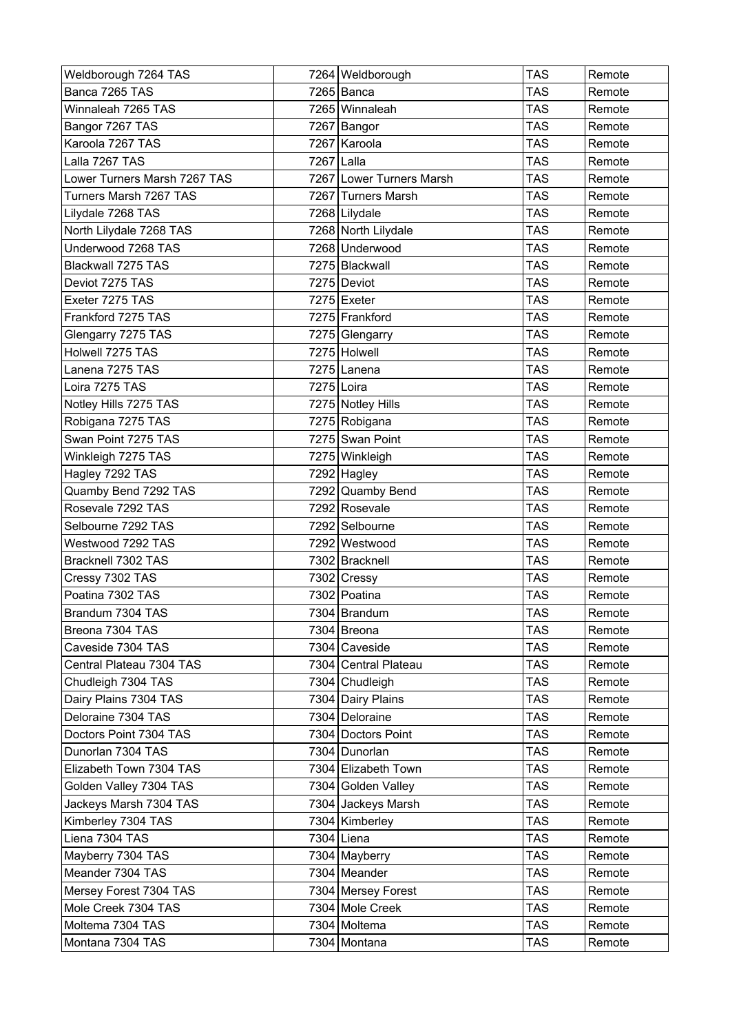| Weldborough 7264 TAS         |            | 7264 Weldborough         | <b>TAS</b> | Remote |
|------------------------------|------------|--------------------------|------------|--------|
| Banca 7265 TAS               |            | 7265 Banca               | TAS        | Remote |
| Winnaleah 7265 TAS           |            | 7265 Winnaleah           | <b>TAS</b> | Remote |
| Bangor 7267 TAS              |            | 7267   Bangor            | <b>TAS</b> | Remote |
| Karoola 7267 TAS             |            | 7267 Karoola             | <b>TAS</b> | Remote |
| Lalla 7267 TAS               | 7267 Lalla |                          | <b>TAS</b> | Remote |
| Lower Turners Marsh 7267 TAS |            | 7267 Lower Turners Marsh | <b>TAS</b> | Remote |
| Turners Marsh 7267 TAS       |            | 7267 Turners Marsh       | <b>TAS</b> | Remote |
| Lilydale 7268 TAS            |            | 7268 Lilydale            | <b>TAS</b> | Remote |
| North Lilydale 7268 TAS      |            | 7268 North Lilydale      | <b>TAS</b> | Remote |
| Underwood 7268 TAS           |            | 7268 Underwood           | <b>TAS</b> | Remote |
| Blackwall 7275 TAS           |            | 7275 Blackwall           | <b>TAS</b> | Remote |
| Deviot 7275 TAS              |            | 7275 Deviot              | TAS        | Remote |
| Exeter 7275 TAS              |            | 7275 Exeter              | <b>TAS</b> | Remote |
| Frankford 7275 TAS           |            | 7275 Frankford           | <b>TAS</b> | Remote |
| Glengarry 7275 TAS           |            | 7275 Glengarry           | <b>TAS</b> | Remote |
| Holwell 7275 TAS             |            | 7275 Holwell             | <b>TAS</b> | Remote |
| Lanena 7275 TAS              |            | 7275 Lanena              | <b>TAS</b> | Remote |
| Loira 7275 TAS               |            | 7275 Loira               | <b>TAS</b> | Remote |
| Notley Hills 7275 TAS        |            | 7275 Notley Hills        | <b>TAS</b> | Remote |
| Robigana 7275 TAS            |            | 7275 Robigana            | <b>TAS</b> | Remote |
| Swan Point 7275 TAS          |            | 7275 Swan Point          | <b>TAS</b> | Remote |
| Winkleigh 7275 TAS           |            | 7275 Winkleigh           | <b>TAS</b> | Remote |
| Hagley 7292 TAS              |            | 7292 Hagley              | <b>TAS</b> | Remote |
| Quamby Bend 7292 TAS         |            | 7292 Quamby Bend         | <b>TAS</b> | Remote |
| Rosevale 7292 TAS            |            | 7292 Rosevale            | <b>TAS</b> | Remote |
| Selbourne 7292 TAS           |            | 7292 Selbourne           | <b>TAS</b> | Remote |
| Westwood 7292 TAS            |            | 7292 Westwood            | <b>TAS</b> | Remote |
| Bracknell 7302 TAS           |            | 7302 Bracknell           | <b>TAS</b> | Remote |
| Cressy 7302 TAS              |            | 7302 Cressy              | <b>TAS</b> | Remote |
| Poatina 7302 TAS             |            | 7302 Poatina             | <b>TAS</b> | Remote |
| Brandum 7304 TAS             |            | 7304   Brandum           | <b>TAS</b> | Remote |
| Breona 7304 TAS              |            | 7304 Breona              | <b>TAS</b> | Remote |
| Caveside 7304 TAS            |            | 7304 Caveside            | <b>TAS</b> | Remote |
| Central Plateau 7304 TAS     |            | 7304 Central Plateau     | TAS        | Remote |
| Chudleigh 7304 TAS           |            | 7304 Chudleigh           | <b>TAS</b> | Remote |
| Dairy Plains 7304 TAS        |            | 7304 Dairy Plains        | <b>TAS</b> | Remote |
| Deloraine 7304 TAS           |            | 7304 Deloraine           | <b>TAS</b> | Remote |
| Doctors Point 7304 TAS       |            | 7304 Doctors Point       | <b>TAS</b> | Remote |
| Dunorlan 7304 TAS            |            | 7304 Dunorlan            | <b>TAS</b> | Remote |
| Elizabeth Town 7304 TAS      |            | 7304 Elizabeth Town      | <b>TAS</b> | Remote |
| Golden Valley 7304 TAS       |            | 7304 Golden Valley       | <b>TAS</b> | Remote |
| Jackeys Marsh 7304 TAS       |            | 7304 Jackeys Marsh       | TAS        | Remote |
| Kimberley 7304 TAS           |            | 7304 Kimberley           | TAS        | Remote |
| Liena 7304 TAS               |            | 7304 Liena               | <b>TAS</b> | Remote |
| Mayberry 7304 TAS            |            | 7304 Mayberry            | TAS        | Remote |
| Meander 7304 TAS             |            | 7304 Meander             | <b>TAS</b> | Remote |
| Mersey Forest 7304 TAS       |            | 7304 Mersey Forest       | <b>TAS</b> | Remote |
| Mole Creek 7304 TAS          |            | 7304 Mole Creek          | <b>TAS</b> | Remote |
| Moltema 7304 TAS             |            | 7304 Moltema             | <b>TAS</b> | Remote |
| Montana 7304 TAS             |            | 7304 Montana             | <b>TAS</b> | Remote |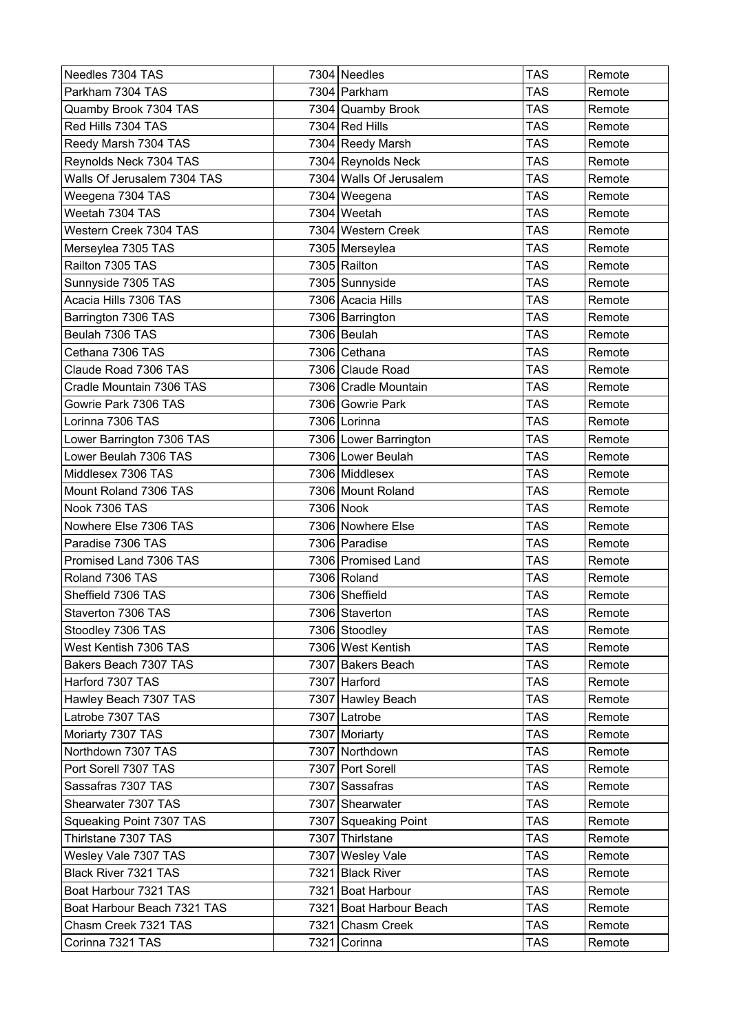| Needles 7304 TAS            |      | 7304 Needles            | <b>TAS</b> | Remote |
|-----------------------------|------|-------------------------|------------|--------|
| Parkham 7304 TAS            |      | 7304 Parkham            | <b>TAS</b> | Remote |
| Quamby Brook 7304 TAS       |      | 7304 Quamby Brook       | TAS        | Remote |
| Red Hills 7304 TAS          |      | 7304 Red Hills          | <b>TAS</b> | Remote |
| Reedy Marsh 7304 TAS        |      | 7304 Reedy Marsh        | <b>TAS</b> | Remote |
| Reynolds Neck 7304 TAS      |      | 7304 Reynolds Neck      | <b>TAS</b> | Remote |
| Walls Of Jerusalem 7304 TAS |      | 7304 Walls Of Jerusalem | <b>TAS</b> | Remote |
| Weegena 7304 TAS            |      | 7304 Weegena            | <b>TAS</b> | Remote |
| Weetah 7304 TAS             |      | 7304 Weetah             | <b>TAS</b> | Remote |
| Western Creek 7304 TAS      |      | 7304 Western Creek      | <b>TAS</b> | Remote |
| Merseylea 7305 TAS          |      | 7305 Merseylea          | <b>TAS</b> | Remote |
| Railton 7305 TAS            |      | 7305 Railton            | <b>TAS</b> | Remote |
| Sunnyside 7305 TAS          |      | 7305 Sunnyside          | TAS        | Remote |
| Acacia Hills 7306 TAS       |      | 7306 Acacia Hills       | <b>TAS</b> | Remote |
| Barrington 7306 TAS         |      | 7306 Barrington         | <b>TAS</b> | Remote |
| Beulah 7306 TAS             |      | 7306 Beulah             | <b>TAS</b> | Remote |
| Cethana 7306 TAS            |      | 7306 Cethana            | <b>TAS</b> | Remote |
| Claude Road 7306 TAS        |      | 7306 Claude Road        | <b>TAS</b> | Remote |
| Cradle Mountain 7306 TAS    |      | 7306 Cradle Mountain    | <b>TAS</b> | Remote |
| Gowrie Park 7306 TAS        |      | 7306 Gowrie Park        | <b>TAS</b> | Remote |
| Lorinna 7306 TAS            |      | 7306 Lorinna            | TAS        | Remote |
| Lower Barrington 7306 TAS   |      | 7306 Lower Barrington   | <b>TAS</b> | Remote |
| Lower Beulah 7306 TAS       |      | 7306 Lower Beulah       | <b>TAS</b> | Remote |
| Middlesex 7306 TAS          |      | 7306 Middlesex          | <b>TAS</b> | Remote |
| Mount Roland 7306 TAS       |      | 7306 Mount Roland       | <b>TAS</b> | Remote |
| Nook 7306 TAS               |      | 7306 Nook               | <b>TAS</b> | Remote |
| Nowhere Else 7306 TAS       |      | 7306 Nowhere Else       | <b>TAS</b> | Remote |
| Paradise 7306 TAS           |      | 7306 Paradise           | <b>TAS</b> | Remote |
| Promised Land 7306 TAS      |      | 7306 Promised Land      | <b>TAS</b> | Remote |
| Roland 7306 TAS             |      | 7306 Roland             | <b>TAS</b> | Remote |
| Sheffield 7306 TAS          |      | 7306 Sheffield          | <b>TAS</b> | Remote |
| Staverton 7306 TAS          |      | 7306 Staverton          | <b>TAS</b> | Remote |
| Stoodley 7306 TAS           |      | 7306 Stoodley           | <b>TAS</b> | Remote |
| West Kentish 7306 TAS       |      | 7306 West Kentish       | <b>TAS</b> | Remote |
| Bakers Beach 7307 TAS       |      | 7307 Bakers Beach       | <b>TAS</b> | Remote |
| Harford 7307 TAS            |      | 7307 Harford            | <b>TAS</b> | Remote |
| Hawley Beach 7307 TAS       |      | 7307 Hawley Beach       | <b>TAS</b> | Remote |
| Latrobe 7307 TAS            |      | 7307 Latrobe            | <b>TAS</b> | Remote |
| Moriarty 7307 TAS           |      | 7307 Moriarty           | <b>TAS</b> | Remote |
| Northdown 7307 TAS          |      | 7307 Northdown          | <b>TAS</b> | Remote |
| Port Sorell 7307 TAS        |      | 7307 Port Sorell        | <b>TAS</b> | Remote |
| Sassafras 7307 TAS          |      | 7307 Sassafras          | <b>TAS</b> | Remote |
| Shearwater 7307 TAS         |      | 7307 Shearwater         | <b>TAS</b> | Remote |
| Squeaking Point 7307 TAS    |      | 7307 Squeaking Point    | <b>TAS</b> | Remote |
| Thirlstane 7307 TAS         |      | 7307 Thirlstane         | <b>TAS</b> | Remote |
| Wesley Vale 7307 TAS        |      | 7307   Wesley Vale      | <b>TAS</b> | Remote |
| Black River 7321 TAS        |      | 7321 Black River        | <b>TAS</b> | Remote |
| Boat Harbour 7321 TAS       |      | 7321 Boat Harbour       | <b>TAS</b> | Remote |
| Boat Harbour Beach 7321 TAS |      | 7321 Boat Harbour Beach | <b>TAS</b> | Remote |
| Chasm Creek 7321 TAS        |      | 7321 Chasm Creek        | <b>TAS</b> | Remote |
| Corinna 7321 TAS            | 7321 | Corinna                 | <b>TAS</b> | Remote |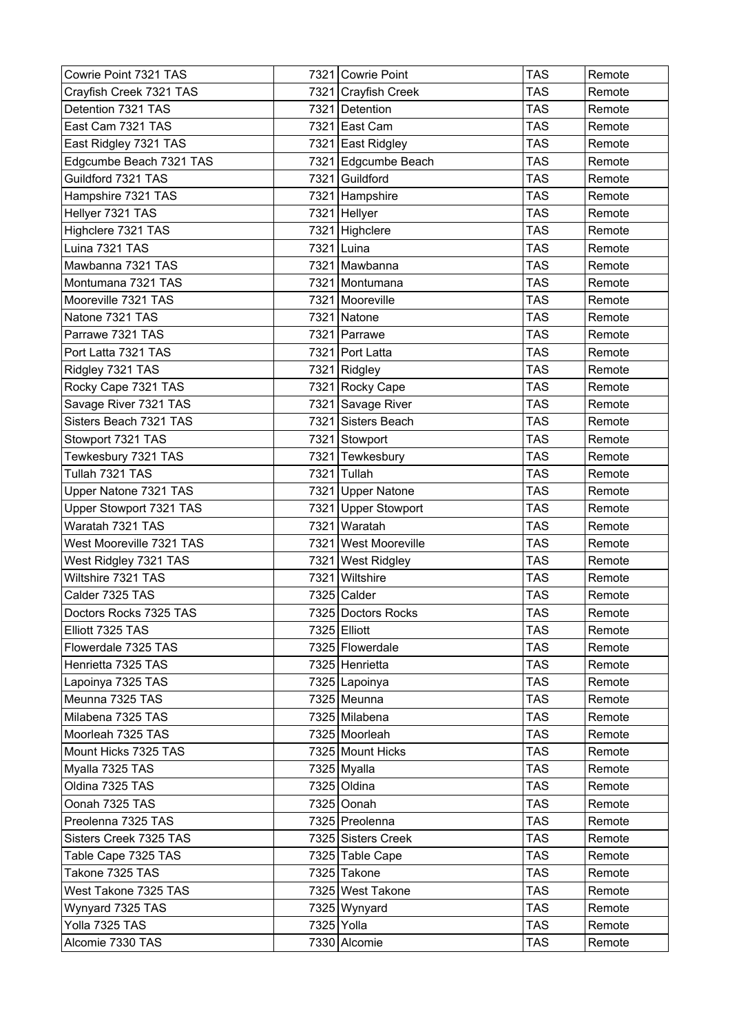| Cowrie Point 7321 TAS    |      | 7321 Cowrie Point    | <b>TAS</b> | Remote |
|--------------------------|------|----------------------|------------|--------|
| Crayfish Creek 7321 TAS  |      | 7321 Crayfish Creek  | <b>TAS</b> | Remote |
| Detention 7321 TAS       |      | 7321 Detention       | <b>TAS</b> | Remote |
| East Cam 7321 TAS        |      | 7321 East Cam        | <b>TAS</b> | Remote |
| East Ridgley 7321 TAS    |      | 7321 East Ridgley    | <b>TAS</b> | Remote |
| Edgcumbe Beach 7321 TAS  |      | 7321 Edgcumbe Beach  | <b>TAS</b> | Remote |
| Guildford 7321 TAS       |      | 7321 Guildford       | <b>TAS</b> | Remote |
| Hampshire 7321 TAS       |      | 7321 Hampshire       | <b>TAS</b> | Remote |
| Hellyer 7321 TAS         |      | 7321 Hellyer         | <b>TAS</b> | Remote |
| Highclere 7321 TAS       |      | 7321 Highclere       | <b>TAS</b> | Remote |
| Luina 7321 TAS           |      | 7321 Luina           | <b>TAS</b> | Remote |
| Mawbanna 7321 TAS        |      | 7321 Mawbanna        | <b>TAS</b> | Remote |
| Montumana 7321 TAS       |      | 7321 Montumana       | <b>TAS</b> | Remote |
| Mooreville 7321 TAS      |      | 7321 Mooreville      | <b>TAS</b> | Remote |
| Natone 7321 TAS          |      | 7321 Natone          | <b>TAS</b> | Remote |
| Parrawe 7321 TAS         |      | 7321 Parrawe         | <b>TAS</b> | Remote |
| Port Latta 7321 TAS      |      | 7321 Port Latta      | <b>TAS</b> | Remote |
| Ridgley 7321 TAS         |      | 7321 Ridgley         | <b>TAS</b> | Remote |
| Rocky Cape 7321 TAS      |      | 7321 Rocky Cape      | <b>TAS</b> | Remote |
| Savage River 7321 TAS    |      | 7321 Savage River    | <b>TAS</b> | Remote |
| Sisters Beach 7321 TAS   |      | 7321 Sisters Beach   | <b>TAS</b> | Remote |
| Stowport 7321 TAS        |      | 7321 Stowport        | <b>TAS</b> | Remote |
| Tewkesbury 7321 TAS      |      | 7321 Tewkesbury      | <b>TAS</b> | Remote |
| Tullah 7321 TAS          |      | 7321 Tullah          | <b>TAS</b> | Remote |
| Upper Natone 7321 TAS    |      | 7321 Upper Natone    | <b>TAS</b> | Remote |
| Upper Stowport 7321 TAS  |      | 7321 Upper Stowport  | <b>TAS</b> | Remote |
| Waratah 7321 TAS         | 7321 | Waratah              | <b>TAS</b> | Remote |
| West Mooreville 7321 TAS |      | 7321 West Mooreville | <b>TAS</b> | Remote |
| West Ridgley 7321 TAS    | 7321 | <b>West Ridgley</b>  | <b>TAS</b> | Remote |
| Wiltshire 7321 TAS       | 7321 | Wiltshire            | <b>TAS</b> | Remote |
| Calder 7325 TAS          |      | 7325 Calder          | <b>TAS</b> | Remote |
| Doctors Rocks 7325 TAS   |      | 7325 Doctors Rocks   | <b>TAS</b> | Remote |
| Elliott 7325 TAS         |      | 7325 Elliott         | <b>TAS</b> | Remote |
| Flowerdale 7325 TAS      |      | 7325 Flowerdale      | <b>TAS</b> | Remote |
| Henrietta 7325 TAS       |      | 7325 Henrietta       | <b>TAS</b> | Remote |
| Lapoinya 7325 TAS        |      | 7325 Lapoinya        | <b>TAS</b> | Remote |
| Meunna 7325 TAS          |      | 7325 Meunna          | <b>TAS</b> | Remote |
| Milabena 7325 TAS        |      | 7325 Milabena        | TAS        | Remote |
| Moorleah 7325 TAS        |      | 7325 Moorleah        | <b>TAS</b> | Remote |
| Mount Hicks 7325 TAS     |      | 7325 Mount Hicks     | <b>TAS</b> | Remote |
| Myalla 7325 TAS          |      | 7325 Myalla          | <b>TAS</b> | Remote |
| Oldina 7325 TAS          |      | 7325 Oldina          | <b>TAS</b> | Remote |
| Oonah 7325 TAS           |      | 7325 Oonah           | <b>TAS</b> | Remote |
| Preolenna 7325 TAS       |      | 7325 Preolenna       | <b>TAS</b> | Remote |
| Sisters Creek 7325 TAS   |      | 7325 Sisters Creek   | <b>TAS</b> | Remote |
| Table Cape 7325 TAS      |      | 7325 Table Cape      | <b>TAS</b> | Remote |
| Takone 7325 TAS          |      | 7325 Takone          | <b>TAS</b> | Remote |
| West Takone 7325 TAS     |      | 7325 West Takone     | <b>TAS</b> | Remote |
| Wynyard 7325 TAS         |      | 7325 Wynyard         | <b>TAS</b> | Remote |
| Yolla 7325 TAS           |      | 7325 Yolla           | <b>TAS</b> | Remote |
| Alcomie 7330 TAS         |      | 7330 Alcomie         | <b>TAS</b> | Remote |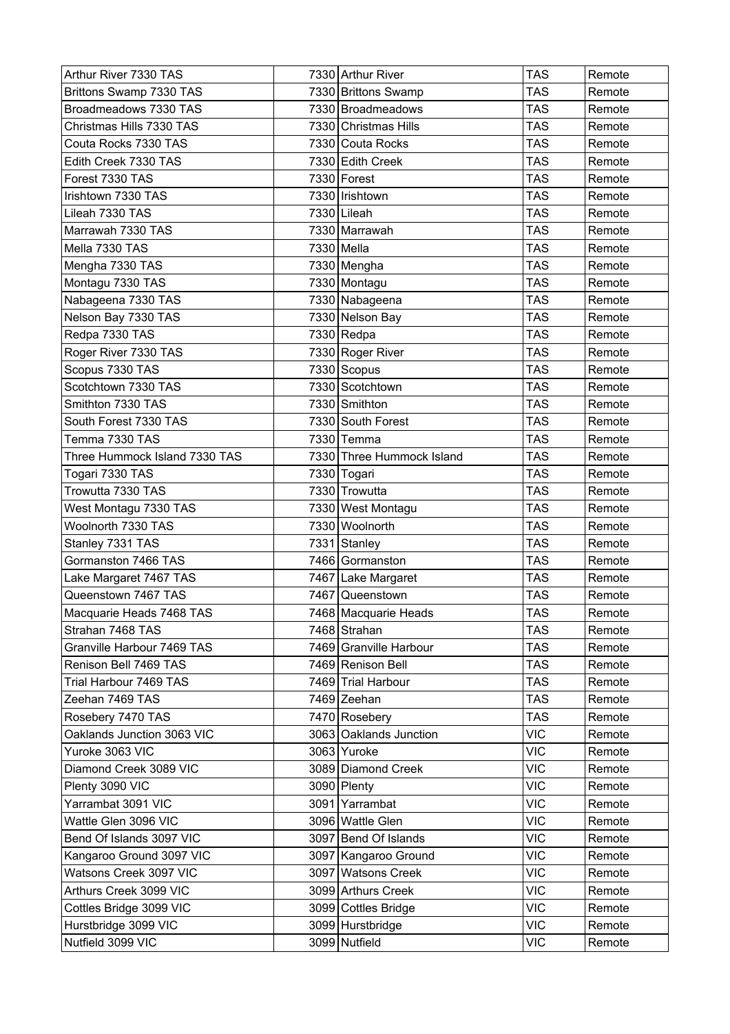| Arthur River 7330 TAS         | 7330 Arthur River         | <b>TAS</b> | Remote |
|-------------------------------|---------------------------|------------|--------|
| Brittons Swamp 7330 TAS       | 7330 Brittons Swamp       | <b>TAS</b> | Remote |
| Broadmeadows 7330 TAS         | 7330 Broadmeadows         | <b>TAS</b> | Remote |
| Christmas Hills 7330 TAS      | 7330 Christmas Hills      | <b>TAS</b> | Remote |
| Couta Rocks 7330 TAS          | 7330 Couta Rocks          | <b>TAS</b> | Remote |
| Edith Creek 7330 TAS          | 7330 Edith Creek          | <b>TAS</b> | Remote |
| Forest 7330 TAS               | 7330 Forest               | <b>TAS</b> | Remote |
| Irishtown 7330 TAS            | 7330   Irishtown          | <b>TAS</b> | Remote |
| Lileah 7330 TAS               | 7330 Lileah               | <b>TAS</b> | Remote |
| Marrawah 7330 TAS             | 7330 Marrawah             | <b>TAS</b> | Remote |
| Mella 7330 TAS                | 7330 Mella                | <b>TAS</b> | Remote |
| Mengha 7330 TAS               | 7330 Mengha               | <b>TAS</b> | Remote |
| Montagu 7330 TAS              | 7330 Montagu              | TAS        | Remote |
| Nabageena 7330 TAS            | 7330 Nabageena            | <b>TAS</b> | Remote |
| Nelson Bay 7330 TAS           | 7330 Nelson Bay           | <b>TAS</b> | Remote |
| Redpa 7330 TAS                | 7330 Redpa                | <b>TAS</b> | Remote |
| Roger River 7330 TAS          | 7330 Roger River          | <b>TAS</b> | Remote |
| Scopus 7330 TAS               | 7330 Scopus               | <b>TAS</b> | Remote |
| Scotchtown 7330 TAS           | 7330 Scotchtown           | <b>TAS</b> | Remote |
| Smithton 7330 TAS             | 7330 Smithton             | <b>TAS</b> | Remote |
| South Forest 7330 TAS         | 7330 South Forest         | TAS        | Remote |
| Temma 7330 TAS                | 7330 Temma                | <b>TAS</b> | Remote |
| Three Hummock Island 7330 TAS | 7330 Three Hummock Island | <b>TAS</b> | Remote |
| Togari 7330 TAS               | 7330 Togari               | <b>TAS</b> | Remote |
| Trowutta 7330 TAS             | 7330 Trowutta             | <b>TAS</b> | Remote |
| West Montagu 7330 TAS         | 7330 West Montagu         | <b>TAS</b> | Remote |
| Woolnorth 7330 TAS            | 7330 Woolnorth            | <b>TAS</b> | Remote |
| Stanley 7331 TAS              | 7331 Stanley              | <b>TAS</b> | Remote |
| Gormanston 7466 TAS           | 7466 Gormanston           | <b>TAS</b> | Remote |
| Lake Margaret 7467 TAS        | 7467 Lake Margaret        | <b>TAS</b> | Remote |
| Queenstown 7467 TAS           | 7467 Queenstown           | <b>TAS</b> | Remote |
| Macquarie Heads 7468 TAS      | 7468 Macquarie Heads      | <b>TAS</b> | Remote |
| Strahan 7468 TAS              | 7468 Strahan              | <b>TAS</b> | Remote |
| Granville Harbour 7469 TAS    | 7469 Granville Harbour    | <b>TAS</b> | Remote |
| Renison Bell 7469 TAS         | 7469 Renison Bell         | TAS        | Remote |
| Trial Harbour 7469 TAS        | 7469 Trial Harbour        | <b>TAS</b> | Remote |
| Zeehan 7469 TAS               | 7469 Zeehan               | <b>TAS</b> | Remote |
| Rosebery 7470 TAS             | 7470 Rosebery             | <b>TAS</b> | Remote |
| Oaklands Junction 3063 VIC    | 3063 Oaklands Junction    | <b>VIC</b> | Remote |
| Yuroke 3063 VIC               | 3063 Yuroke               | <b>VIC</b> | Remote |
| Diamond Creek 3089 VIC        | 3089 Diamond Creek        | <b>VIC</b> | Remote |
| Plenty 3090 VIC               | 3090 Plenty               | <b>VIC</b> | Remote |
| Yarrambat 3091 VIC            | 3091 Yarrambat            | <b>VIC</b> | Remote |
| Wattle Glen 3096 VIC          | 3096 Wattle Glen          | <b>VIC</b> | Remote |
| Bend Of Islands 3097 VIC      | 3097 Bend Of Islands      | <b>VIC</b> | Remote |
| Kangaroo Ground 3097 VIC      | 3097   Kangaroo Ground    | <b>VIC</b> | Remote |
| Watsons Creek 3097 VIC        | 3097 Watsons Creek        | <b>VIC</b> | Remote |
| Arthurs Creek 3099 VIC        | 3099 Arthurs Creek        | <b>VIC</b> | Remote |
| Cottles Bridge 3099 VIC       | 3099 Cottles Bridge       | <b>VIC</b> | Remote |
| Hurstbridge 3099 VIC          | 3099 Hurstbridge          | <b>VIC</b> | Remote |
| Nutfield 3099 VIC             | 3099 Nutfield             | <b>VIC</b> | Remote |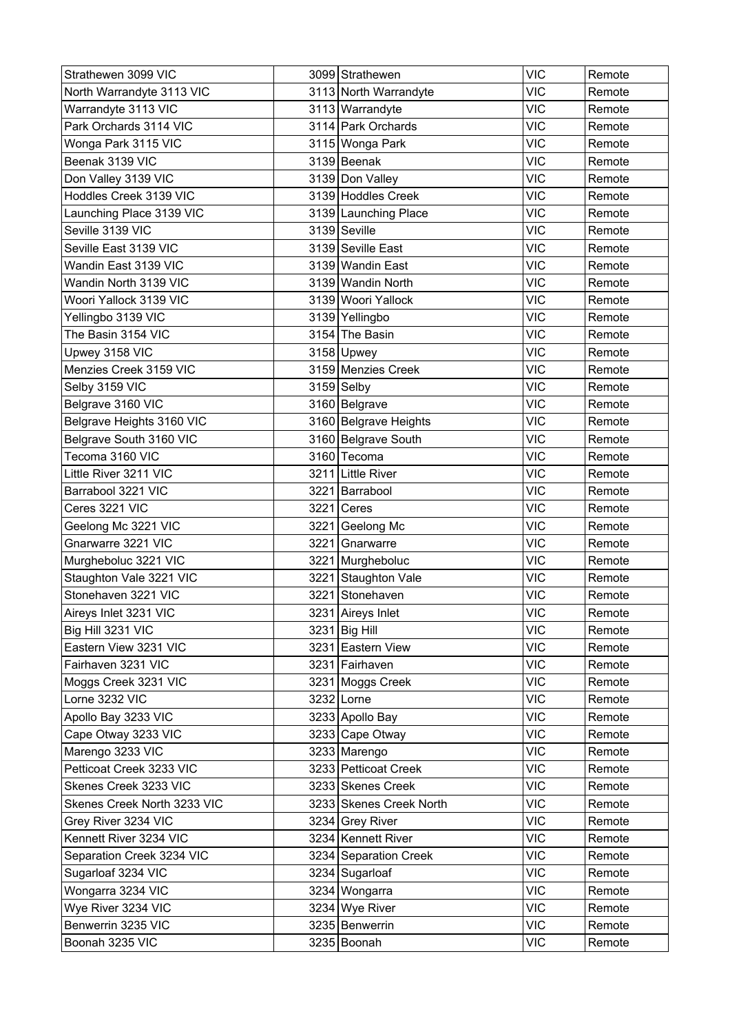| Strathewen 3099 VIC         |      | 3099 Strathewen         | <b>VIC</b> | Remote |
|-----------------------------|------|-------------------------|------------|--------|
| North Warrandyte 3113 VIC   |      | 3113 North Warrandyte   | <b>VIC</b> | Remote |
| Warrandyte 3113 VIC         |      | 3113 Warrandyte         | <b>VIC</b> | Remote |
| Park Orchards 3114 VIC      |      | 3114 Park Orchards      | <b>VIC</b> | Remote |
| Wonga Park 3115 VIC         |      | 3115 Wonga Park         | <b>VIC</b> | Remote |
| Beenak 3139 VIC             |      | 3139 Beenak             | <b>VIC</b> | Remote |
| Don Valley 3139 VIC         |      | 3139 Don Valley         | <b>VIC</b> | Remote |
| Hoddles Creek 3139 VIC      |      | 3139 Hoddles Creek      | <b>VIC</b> | Remote |
| Launching Place 3139 VIC    |      | 3139 Launching Place    | <b>VIC</b> | Remote |
| Seville 3139 VIC            |      | 3139 Seville            | <b>VIC</b> | Remote |
| Seville East 3139 VIC       |      | 3139 Seville East       | <b>VIC</b> | Remote |
| Wandin East 3139 VIC        |      | 3139 Wandin East        | <b>VIC</b> | Remote |
| Wandin North 3139 VIC       |      | 3139 Wandin North       | <b>VIC</b> | Remote |
| Woori Yallock 3139 VIC      |      | 3139 Woori Yallock      | <b>VIC</b> | Remote |
| Yellingbo 3139 VIC          |      | 3139 Yellingbo          | <b>VIC</b> | Remote |
| The Basin 3154 VIC          |      | 3154 The Basin          | <b>VIC</b> | Remote |
| Upwey 3158 VIC              |      | $3158$ Upwey            | <b>VIC</b> | Remote |
| Menzies Creek 3159 VIC      |      | 3159 Menzies Creek      | <b>VIC</b> | Remote |
| Selby 3159 VIC              |      | $3159$ Selby            | <b>VIC</b> | Remote |
| Belgrave 3160 VIC           |      | 3160 Belgrave           | <b>VIC</b> | Remote |
| Belgrave Heights 3160 VIC   |      | 3160 Belgrave Heights   | <b>VIC</b> | Remote |
| Belgrave South 3160 VIC     |      | 3160 Belgrave South     | <b>VIC</b> | Remote |
| Tecoma 3160 VIC             |      | 3160 Tecoma             | <b>VIC</b> | Remote |
| Little River 3211 VIC       |      | 3211 Little River       | <b>VIC</b> | Remote |
| Barrabool 3221 VIC          |      | 3221 Barrabool          | <b>VIC</b> | Remote |
| Ceres 3221 VIC              | 3221 | Ceres                   | <b>VIC</b> | Remote |
| Geelong Mc 3221 VIC         | 3221 | Geelong Mc              | <b>VIC</b> | Remote |
| Gnarwarre 3221 VIC          |      | 3221 Gnarwarre          | <b>VIC</b> | Remote |
| Murgheboluc 3221 VIC        |      | 3221 Murgheboluc        | <b>VIC</b> | Remote |
| Staughton Vale 3221 VIC     |      | 3221 Staughton Vale     | <b>VIC</b> | Remote |
| Stonehaven 3221 VIC         |      | 3221 Stonehaven         | <b>VIC</b> | Remote |
| Aireys Inlet 3231 VIC       |      | 3231 Aireys Inlet       | <b>VIC</b> | Remote |
| Big Hill 3231 VIC           |      | 3231 Big Hill           | <b>VIC</b> | Remote |
| Eastern View 3231 VIC       |      | 3231 Eastern View       | <b>VIC</b> | Remote |
| Fairhaven 3231 VIC          |      | 3231 Fairhaven          | <b>VIC</b> | Remote |
| Moggs Creek 3231 VIC        |      | 3231 Moggs Creek        | <b>VIC</b> | Remote |
| Lorne 3232 VIC              |      | 3232 Lorne              | <b>VIC</b> | Remote |
| Apollo Bay 3233 VIC         |      | 3233 Apollo Bay         | <b>VIC</b> | Remote |
| Cape Otway 3233 VIC         |      | 3233 Cape Otway         | <b>VIC</b> | Remote |
| Marengo 3233 VIC            |      | 3233 Marengo            | <b>VIC</b> | Remote |
| Petticoat Creek 3233 VIC    |      | 3233 Petticoat Creek    | <b>VIC</b> | Remote |
| Skenes Creek 3233 VIC       |      | 3233 Skenes Creek       | <b>VIC</b> | Remote |
| Skenes Creek North 3233 VIC |      | 3233 Skenes Creek North | <b>VIC</b> | Remote |
| Grey River 3234 VIC         |      | 3234 Grey River         | <b>VIC</b> | Remote |
| Kennett River 3234 VIC      |      | 3234 Kennett River      | <b>VIC</b> | Remote |
| Separation Creek 3234 VIC   |      | 3234 Separation Creek   | <b>VIC</b> | Remote |
| Sugarloaf 3234 VIC          |      | 3234 Sugarloaf          | <b>VIC</b> | Remote |
| Wongarra 3234 VIC           |      | 3234 Wongarra           | <b>VIC</b> | Remote |
| Wye River 3234 VIC          |      | 3234 Wye River          | <b>VIC</b> | Remote |
| Benwerrin 3235 VIC          |      | 3235 Benwerrin          | <b>VIC</b> | Remote |
| Boonah 3235 VIC             |      | 3235 Boonah             | <b>VIC</b> | Remote |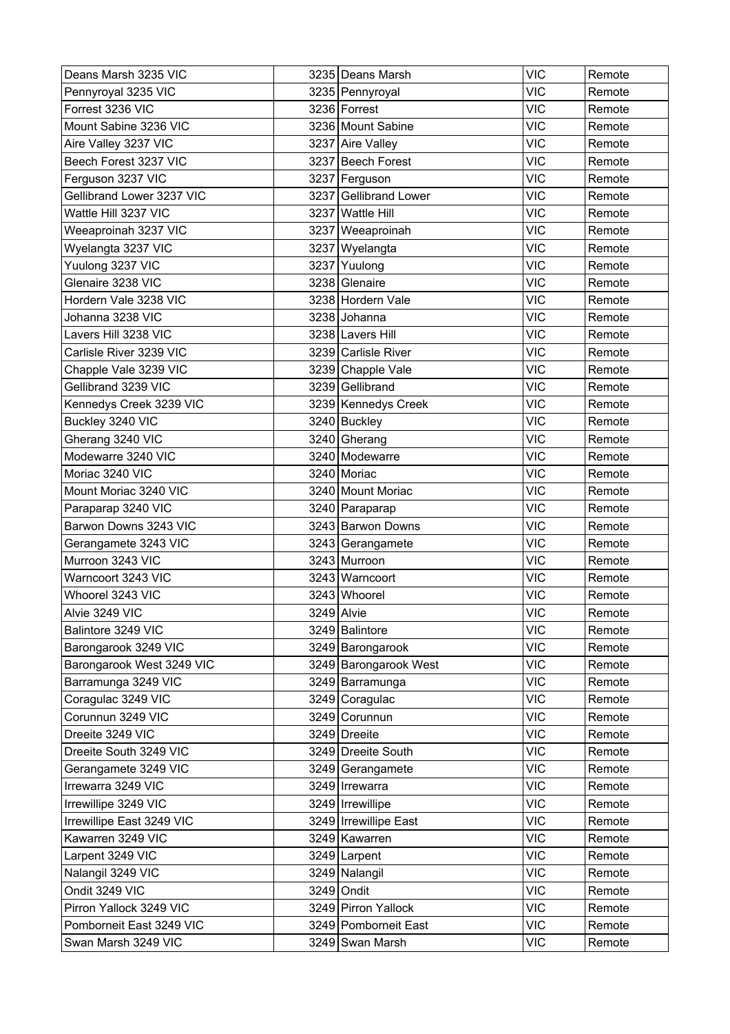| Deans Marsh 3235 VIC      | 3235 Deans Marsh      | <b>VIC</b> | Remote |
|---------------------------|-----------------------|------------|--------|
| Pennyroyal 3235 VIC       | 3235 Pennyroyal       | <b>VIC</b> | Remote |
| Forrest 3236 VIC          | 3236 Forrest          | <b>VIC</b> | Remote |
| Mount Sabine 3236 VIC     | 3236 Mount Sabine     | <b>VIC</b> | Remote |
| Aire Valley 3237 VIC      | 3237 Aire Valley      | <b>VIC</b> | Remote |
| Beech Forest 3237 VIC     | 3237 Beech Forest     | <b>VIC</b> | Remote |
| Ferguson 3237 VIC         | 3237 Ferguson         | <b>VIC</b> | Remote |
| Gellibrand Lower 3237 VIC | 3237 Gellibrand Lower | <b>VIC</b> | Remote |
| Wattle Hill 3237 VIC      | 3237 Wattle Hill      | <b>VIC</b> | Remote |
| Weeaproinah 3237 VIC      | 3237 Weeaproinah      | <b>VIC</b> | Remote |
| Wyelangta 3237 VIC        | 3237 Wyelangta        | <b>VIC</b> | Remote |
| Yuulong 3237 VIC          | 3237 Yuulong          | <b>VIC</b> | Remote |
| Glenaire 3238 VIC         | 3238 Glenaire         | <b>VIC</b> | Remote |
| Hordern Vale 3238 VIC     | 3238 Hordern Vale     | <b>VIC</b> | Remote |
| Johanna 3238 VIC          | 3238 Johanna          | <b>VIC</b> | Remote |
| Lavers Hill 3238 VIC      | 3238 Lavers Hill      | <b>VIC</b> | Remote |
| Carlisle River 3239 VIC   | 3239 Carlisle River   | <b>VIC</b> | Remote |
| Chapple Vale 3239 VIC     | 3239 Chapple Vale     | <b>VIC</b> | Remote |
| Gellibrand 3239 VIC       | 3239 Gellibrand       | <b>VIC</b> | Remote |
| Kennedys Creek 3239 VIC   | 3239 Kennedys Creek   | <b>VIC</b> | Remote |
| Buckley 3240 VIC          | 3240 Buckley          | <b>VIC</b> | Remote |
| Gherang 3240 VIC          | 3240 Gherang          | <b>VIC</b> | Remote |
| Modewarre 3240 VIC        | 3240 Modewarre        | <b>VIC</b> | Remote |
| Moriac 3240 VIC           | 3240 Moriac           | <b>VIC</b> | Remote |
| Mount Moriac 3240 VIC     | 3240 Mount Moriac     | <b>VIC</b> | Remote |
| Paraparap 3240 VIC        | 3240 Paraparap        | <b>VIC</b> | Remote |
| Barwon Downs 3243 VIC     | 3243 Barwon Downs     | <b>VIC</b> | Remote |
| Gerangamete 3243 VIC      | 3243 Gerangamete      | <b>VIC</b> | Remote |
| Murroon 3243 VIC          | 3243 Murroon          | <b>VIC</b> | Remote |
| Warncoort 3243 VIC        | 3243 Warncoort        | <b>VIC</b> | Remote |
| Whoorel 3243 VIC          | 3243 Whoorel          | <b>VIC</b> | Remote |
| Alvie 3249 VIC            | 3249 Alvie            | <b>VIC</b> | Remote |
| Balintore 3249 VIC        | 3249 Balintore        | <b>VIC</b> | Remote |
| Barongarook 3249 VIC      | 3249 Barongarook      | <b>VIC</b> | Remote |
| Barongarook West 3249 VIC | 3249 Barongarook West | <b>VIC</b> | Remote |
| Barramunga 3249 VIC       | 3249 Barramunga       | <b>VIC</b> | Remote |
| Coragulac 3249 VIC        | 3249 Coragulac        | <b>VIC</b> | Remote |
| Corunnun 3249 VIC         | 3249 Corunnun         | <b>VIC</b> | Remote |
| Dreeite 3249 VIC          | 3249 Dreeite          | <b>VIC</b> | Remote |
| Dreeite South 3249 VIC    | 3249 Dreeite South    | <b>VIC</b> | Remote |
| Gerangamete 3249 VIC      | 3249 Gerangamete      | <b>VIC</b> | Remote |
| Irrewarra 3249 VIC        | 3249   Irrewarra      | <b>VIC</b> | Remote |
| Irrewillipe 3249 VIC      | 3249   Irrewillipe    | <b>VIC</b> | Remote |
| Irrewillipe East 3249 VIC | 3249 Irrewillipe East | <b>VIC</b> | Remote |
| Kawarren 3249 VIC         | 3249 Kawarren         | <b>VIC</b> | Remote |
| Larpent 3249 VIC          | 3249 Larpent          | <b>VIC</b> | Remote |
| Nalangil 3249 VIC         | 3249 Nalangil         | <b>VIC</b> | Remote |
| Ondit 3249 VIC            | 3249 Ondit            | <b>VIC</b> | Remote |
| Pirron Yallock 3249 VIC   | 3249 Pirron Yallock   | <b>VIC</b> | Remote |
| Pomborneit East 3249 VIC  | 3249 Pomborneit East  | <b>VIC</b> | Remote |
| Swan Marsh 3249 VIC       | 3249 Swan Marsh       | <b>VIC</b> | Remote |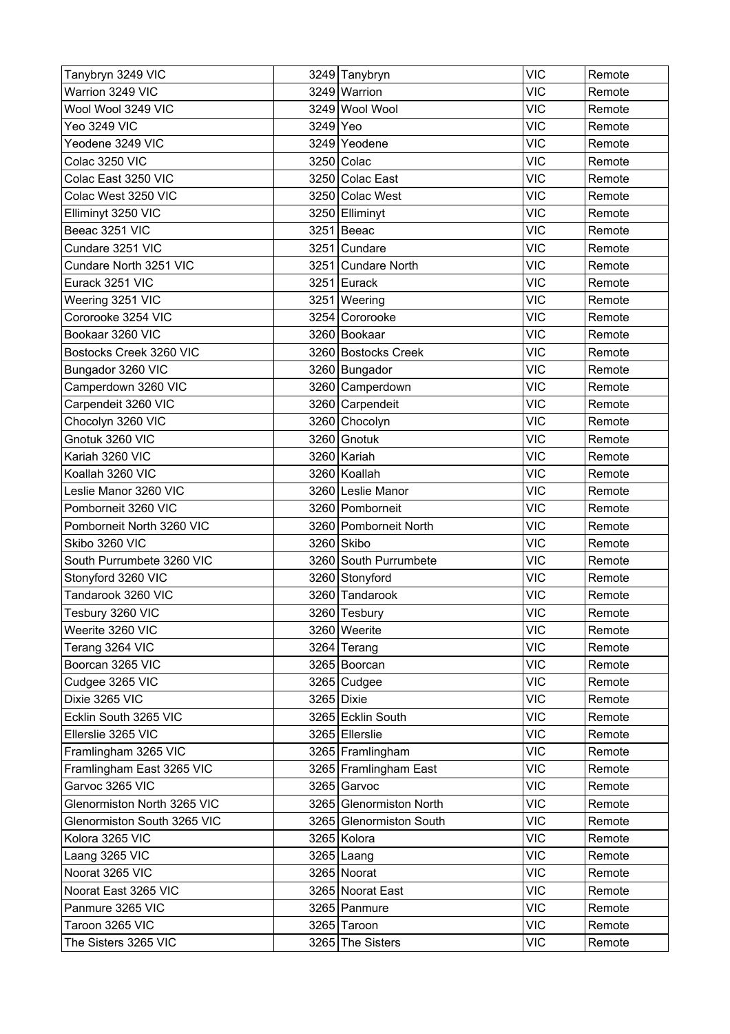| Tanybryn 3249 VIC           |          | 3249 Tanybryn           | <b>VIC</b> | Remote |
|-----------------------------|----------|-------------------------|------------|--------|
| Warrion 3249 VIC            |          | 3249 Warrion            | <b>VIC</b> | Remote |
| Wool Wool 3249 VIC          |          | 3249 Wool Wool          | <b>VIC</b> | Remote |
| <b>Yeo 3249 VIC</b>         | 3249 Yeo |                         | <b>VIC</b> | Remote |
| Yeodene 3249 VIC            |          | 3249 Yeodene            | <b>VIC</b> | Remote |
| Colac 3250 VIC              |          | 3250 Colac              | <b>VIC</b> | Remote |
| Colac East 3250 VIC         |          | 3250 Colac East         | <b>VIC</b> | Remote |
| Colac West 3250 VIC         |          | 3250 Colac West         | <b>VIC</b> | Remote |
| Elliminyt 3250 VIC          |          | 3250 Elliminyt          | <b>VIC</b> | Remote |
| Beeac 3251 VIC              |          | 3251 Beeac              | <b>VIC</b> | Remote |
| Cundare 3251 VIC            |          | 3251 Cundare            | <b>VIC</b> | Remote |
| Cundare North 3251 VIC      |          | 3251 Cundare North      | <b>VIC</b> | Remote |
| Eurack 3251 VIC             |          | 3251 Eurack             | <b>VIC</b> | Remote |
| Weering 3251 VIC            |          | 3251 Weering            | <b>VIC</b> | Remote |
| Cororooke 3254 VIC          |          | 3254 Cororooke          | <b>VIC</b> | Remote |
| Bookaar 3260 VIC            |          | 3260 Bookaar            | <b>VIC</b> | Remote |
| Bostocks Creek 3260 VIC     |          | 3260 Bostocks Creek     | <b>VIC</b> | Remote |
| Bungador 3260 VIC           |          | 3260 Bungador           | <b>VIC</b> | Remote |
| Camperdown 3260 VIC         |          | 3260 Camperdown         | <b>VIC</b> | Remote |
| Carpendeit 3260 VIC         |          | 3260 Carpendeit         | <b>VIC</b> | Remote |
| Chocolyn 3260 VIC           |          | 3260 Chocolyn           | <b>VIC</b> | Remote |
| Gnotuk 3260 VIC             |          | 3260 Gnotuk             | <b>VIC</b> | Remote |
| Kariah 3260 VIC             |          | 3260 Kariah             | <b>VIC</b> | Remote |
| Koallah 3260 VIC            |          | 3260 Koallah            | <b>VIC</b> | Remote |
| Leslie Manor 3260 VIC       |          | 3260 Leslie Manor       | <b>VIC</b> | Remote |
| Pomborneit 3260 VIC         |          | 3260 Pomborneit         | <b>VIC</b> | Remote |
| Pomborneit North 3260 VIC   |          | 3260 Pomborneit North   | <b>VIC</b> | Remote |
| Skibo 3260 VIC              |          | 3260 Skibo              | <b>VIC</b> | Remote |
| South Purrumbete 3260 VIC   |          | 3260 South Purrumbete   | <b>VIC</b> | Remote |
| Stonyford 3260 VIC          |          | 3260 Stonyford          | <b>VIC</b> | Remote |
| Tandarook 3260 VIC          |          | 3260 Tandarook          | <b>VIC</b> | Remote |
| Tesbury 3260 VIC            |          | 3260 Tesbury            | <b>VIC</b> | Remote |
| Weerite 3260 VIC            |          | 3260 Weerite            | <b>VIC</b> | Remote |
| Terang 3264 VIC             |          | 3264 Terang             | <b>VIC</b> | Remote |
| Boorcan 3265 VIC            |          | 3265 Boorcan            | <b>VIC</b> | Remote |
| Cudgee 3265 VIC             |          | 3265 Cudgee             | <b>VIC</b> | Remote |
| Dixie 3265 VIC              |          | 3265 Dixie              | <b>VIC</b> | Remote |
| Ecklin South 3265 VIC       |          | 3265 Ecklin South       | <b>VIC</b> | Remote |
| Ellerslie 3265 VIC          |          | 3265 Ellerslie          | <b>VIC</b> | Remote |
| Framlingham 3265 VIC        |          | 3265 Framlingham        | <b>VIC</b> | Remote |
| Framlingham East 3265 VIC   |          | 3265 Framlingham East   | <b>VIC</b> | Remote |
| Garvoc 3265 VIC             |          | 3265 Garvoc             | <b>VIC</b> | Remote |
| Glenormiston North 3265 VIC |          | 3265 Glenormiston North | <b>VIC</b> | Remote |
| Glenormiston South 3265 VIC |          | 3265 Glenormiston South | <b>VIC</b> | Remote |
| Kolora 3265 VIC             |          | 3265 Kolora             | <b>VIC</b> | Remote |
| Laang 3265 VIC              |          | $3265$   Laang          | <b>VIC</b> | Remote |
| Noorat 3265 VIC             |          | 3265 Noorat             | <b>VIC</b> | Remote |
| Noorat East 3265 VIC        |          | 3265 Noorat East        | <b>VIC</b> | Remote |
| Panmure 3265 VIC            |          | 3265 Panmure            | <b>VIC</b> | Remote |
| Taroon 3265 VIC             |          | 3265 Taroon             | <b>VIC</b> | Remote |
| The Sisters 3265 VIC        |          | 3265 The Sisters        | VIC        | Remote |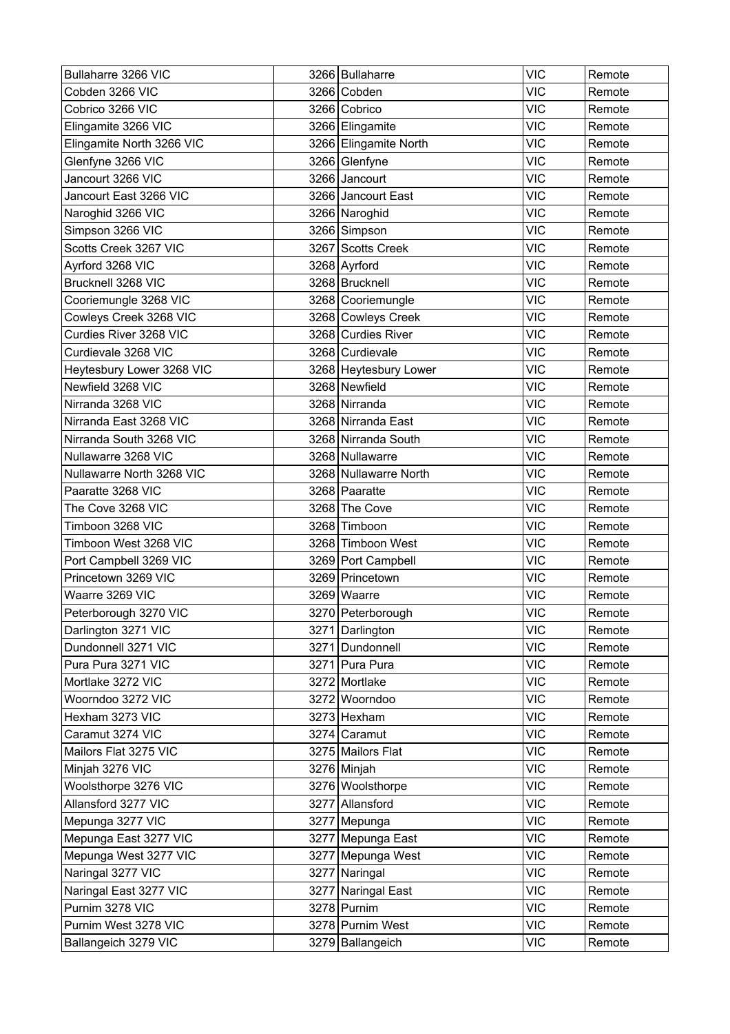| Bullaharre 3266 VIC       | 3266   Bullaharre     | <b>VIC</b> | Remote |
|---------------------------|-----------------------|------------|--------|
| Cobden 3266 VIC           | 3266 Cobden           | <b>VIC</b> | Remote |
| Cobrico 3266 VIC          | 3266 Cobrico          | <b>VIC</b> | Remote |
| Elingamite 3266 VIC       | 3266 Elingamite       | <b>VIC</b> | Remote |
| Elingamite North 3266 VIC | 3266 Elingamite North | <b>VIC</b> | Remote |
| Glenfyne 3266 VIC         | 3266 Glenfyne         | <b>VIC</b> | Remote |
| Jancourt 3266 VIC         | 3266 Jancourt         | <b>VIC</b> | Remote |
| Jancourt East 3266 VIC    | 3266 Jancourt East    | <b>VIC</b> | Remote |
| Naroghid 3266 VIC         | 3266 Naroghid         | <b>VIC</b> | Remote |
| Simpson 3266 VIC          | 3266 Simpson          | <b>VIC</b> | Remote |
| Scotts Creek 3267 VIC     | 3267 Scotts Creek     | <b>VIC</b> | Remote |
| Ayrford 3268 VIC          | 3268 Ayrford          | <b>VIC</b> | Remote |
| Brucknell 3268 VIC        | 3268 Brucknell        | <b>VIC</b> | Remote |
| Cooriemungle 3268 VIC     | 3268 Cooriemungle     | <b>VIC</b> | Remote |
| Cowleys Creek 3268 VIC    | 3268 Cowleys Creek    | <b>VIC</b> | Remote |
| Curdies River 3268 VIC    | 3268 Curdies River    | <b>VIC</b> | Remote |
| Curdievale 3268 VIC       | 3268 Curdievale       | <b>VIC</b> | Remote |
| Heytesbury Lower 3268 VIC | 3268 Heytesbury Lower | <b>VIC</b> | Remote |
| Newfield 3268 VIC         | 3268 Newfield         | <b>VIC</b> | Remote |
| Nirranda 3268 VIC         | 3268 Nirranda         | <b>VIC</b> | Remote |
| Nirranda East 3268 VIC    | 3268 Nirranda East    | <b>VIC</b> | Remote |
| Nirranda South 3268 VIC   | 3268 Nirranda South   | <b>VIC</b> | Remote |
| Nullawarre 3268 VIC       | 3268 Nullawarre       | <b>VIC</b> | Remote |
| Nullawarre North 3268 VIC | 3268 Nullawarre North | <b>VIC</b> | Remote |
| Paaratte 3268 VIC         | 3268 Paaratte         | <b>VIC</b> | Remote |
| The Cove 3268 VIC         | 3268 The Cove         | <b>VIC</b> | Remote |
| Timboon 3268 VIC          | 3268 Timboon          | <b>VIC</b> | Remote |
| Timboon West 3268 VIC     | 3268 Timboon West     | <b>VIC</b> | Remote |
| Port Campbell 3269 VIC    | 3269 Port Campbell    | <b>VIC</b> | Remote |
| Princetown 3269 VIC       | 3269 Princetown       | <b>VIC</b> | Remote |
| Waarre 3269 VIC           | 3269 Waarre           | <b>VIC</b> | Remote |
| Peterborough 3270 VIC     | 3270 Peterborough     | <b>VIC</b> | Remote |
| Darlington 3271 VIC       | 3271 Darlington       | <b>VIC</b> | Remote |
| Dundonnell 3271 VIC       | 3271 Dundonnell       | <b>VIC</b> | Remote |
| Pura Pura 3271 VIC        | 3271 Pura Pura        | <b>VIC</b> | Remote |
| Mortlake 3272 VIC         | 3272 Mortlake         | <b>VIC</b> | Remote |
| Woorndoo 3272 VIC         | 3272 Woorndoo         | <b>VIC</b> | Remote |
| Hexham 3273 VIC           | 3273 Hexham           | <b>VIC</b> | Remote |
| Caramut 3274 VIC          | 3274 Caramut          | <b>VIC</b> | Remote |
| Mailors Flat 3275 VIC     | 3275 Mailors Flat     | <b>VIC</b> | Remote |
| Minjah 3276 VIC           | 3276 Minjah           | <b>VIC</b> | Remote |
| Woolsthorpe 3276 VIC      | 3276 Woolsthorpe      | <b>VIC</b> | Remote |
| Allansford 3277 VIC       | 3277 Allansford       | <b>VIC</b> | Remote |
| Mepunga 3277 VIC          | 3277 Mepunga          | <b>VIC</b> | Remote |
| Mepunga East 3277 VIC     | 3277 Mepunga East     | <b>VIC</b> | Remote |
| Mepunga West 3277 VIC     | 3277 Mepunga West     | <b>VIC</b> | Remote |
| Naringal 3277 VIC         | 3277 Naringal         | <b>VIC</b> | Remote |
| Naringal East 3277 VIC    | 3277 Naringal East    | <b>VIC</b> | Remote |
| Purnim 3278 VIC           | 3278 Purnim           | <b>VIC</b> | Remote |
| Purnim West 3278 VIC      | 3278 Purnim West      | <b>VIC</b> | Remote |
| Ballangeich 3279 VIC      | 3279 Ballangeich      | <b>VIC</b> | Remote |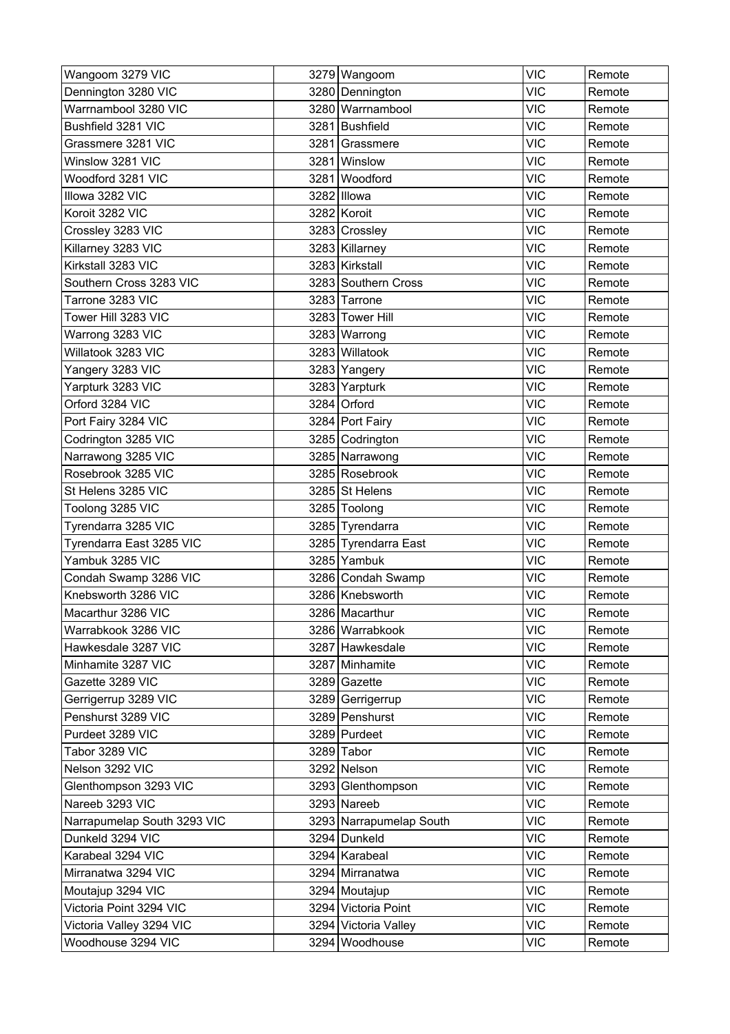| Wangoom 3279 VIC            |      | 3279 Wangoom            | <b>VIC</b> | Remote |
|-----------------------------|------|-------------------------|------------|--------|
| Dennington 3280 VIC         |      | 3280 Dennington         | <b>VIC</b> | Remote |
| Warrnambool 3280 VIC        |      | 3280 Warrnambool        | <b>VIC</b> | Remote |
| Bushfield 3281 VIC          |      | 3281 Bushfield          | <b>VIC</b> | Remote |
| Grassmere 3281 VIC          | 3281 | Grassmere               | <b>VIC</b> | Remote |
| Winslow 3281 VIC            |      | 3281 Winslow            | <b>VIC</b> | Remote |
| Woodford 3281 VIC           | 3281 | Woodford                | <b>VIC</b> | Remote |
| Illowa 3282 VIC             |      | 3282 Illowa             | <b>VIC</b> | Remote |
| Koroit 3282 VIC             |      | 3282 Koroit             | <b>VIC</b> | Remote |
| Crossley 3283 VIC           |      | 3283 Crossley           | <b>VIC</b> | Remote |
| Killarney 3283 VIC          |      | 3283 Killarney          | <b>VIC</b> | Remote |
| Kirkstall 3283 VIC          |      | 3283 Kirkstall          | <b>VIC</b> | Remote |
| Southern Cross 3283 VIC     |      | 3283 Southern Cross     | <b>VIC</b> | Remote |
| Tarrone 3283 VIC            |      | 3283 Tarrone            | <b>VIC</b> | Remote |
| Tower Hill 3283 VIC         |      | 3283 Tower Hill         | <b>VIC</b> | Remote |
| Warrong 3283 VIC            |      | 3283 Warrong            | <b>VIC</b> | Remote |
| Willatook 3283 VIC          |      | 3283 Willatook          | <b>VIC</b> | Remote |
| Yangery 3283 VIC            |      | 3283 Yangery            | <b>VIC</b> | Remote |
| Yarpturk 3283 VIC           |      | 3283 Yarpturk           | <b>VIC</b> | Remote |
| Orford 3284 VIC             |      | 3284 Orford             | <b>VIC</b> | Remote |
| Port Fairy 3284 VIC         |      | 3284 Port Fairy         | <b>VIC</b> | Remote |
| Codrington 3285 VIC         |      | 3285 Codrington         | <b>VIC</b> | Remote |
| Narrawong 3285 VIC          |      | 3285 Narrawong          | <b>VIC</b> | Remote |
| Rosebrook 3285 VIC          |      | 3285 Rosebrook          | <b>VIC</b> | Remote |
| St Helens 3285 VIC          |      | 3285 St Helens          | <b>VIC</b> | Remote |
| Toolong 3285 VIC            |      | 3285 Toolong            | <b>VIC</b> | Remote |
| Tyrendarra 3285 VIC         |      | 3285 Tyrendarra         | <b>VIC</b> | Remote |
| Tyrendarra East 3285 VIC    |      | 3285 Tyrendarra East    | <b>VIC</b> | Remote |
| Yambuk 3285 VIC             |      | 3285 Yambuk             | <b>VIC</b> | Remote |
| Condah Swamp 3286 VIC       |      | 3286 Condah Swamp       | <b>VIC</b> | Remote |
| Knebsworth 3286 VIC         |      | 3286 Knebsworth         | <b>VIC</b> | Remote |
| Macarthur 3286 VIC          |      | 3286 Macarthur          | <b>VIC</b> | Remote |
| Warrabkook 3286 VIC         |      | 3286 Warrabkook         | <b>VIC</b> | Remote |
| Hawkesdale 3287 VIC         |      | 3287 Hawkesdale         | <b>VIC</b> | Remote |
| Minhamite 3287 VIC          |      | 3287 Minhamite          | <b>VIC</b> | Remote |
| Gazette 3289 VIC            |      | 3289 Gazette            | <b>VIC</b> | Remote |
| Gerrigerrup 3289 VIC        |      | 3289 Gerrigerrup        | <b>VIC</b> | Remote |
| Penshurst 3289 VIC          |      | 3289 Penshurst          | <b>VIC</b> | Remote |
| Purdeet 3289 VIC            |      | 3289 Purdeet            | <b>VIC</b> | Remote |
| Tabor 3289 VIC              |      | 3289 Tabor              | <b>VIC</b> | Remote |
| Nelson 3292 VIC             |      | 3292 Nelson             | <b>VIC</b> | Remote |
| Glenthompson 3293 VIC       |      | 3293 Glenthompson       | <b>VIC</b> | Remote |
| Nareeb 3293 VIC             |      | 3293 Nareeb             | <b>VIC</b> | Remote |
| Narrapumelap South 3293 VIC |      | 3293 Narrapumelap South | <b>VIC</b> | Remote |
| Dunkeld 3294 VIC            |      | 3294 Dunkeld            | <b>VIC</b> | Remote |
| Karabeal 3294 VIC           |      | 3294 Karabeal           | <b>VIC</b> | Remote |
| Mirranatwa 3294 VIC         |      | 3294 Mirranatwa         | <b>VIC</b> | Remote |
| Moutajup 3294 VIC           |      | 3294 Moutajup           | <b>VIC</b> | Remote |
| Victoria Point 3294 VIC     |      | 3294 Victoria Point     | <b>VIC</b> | Remote |
| Victoria Valley 3294 VIC    |      | 3294 Victoria Valley    | <b>VIC</b> | Remote |
| Woodhouse 3294 VIC          |      | 3294 Woodhouse          | VIC        | Remote |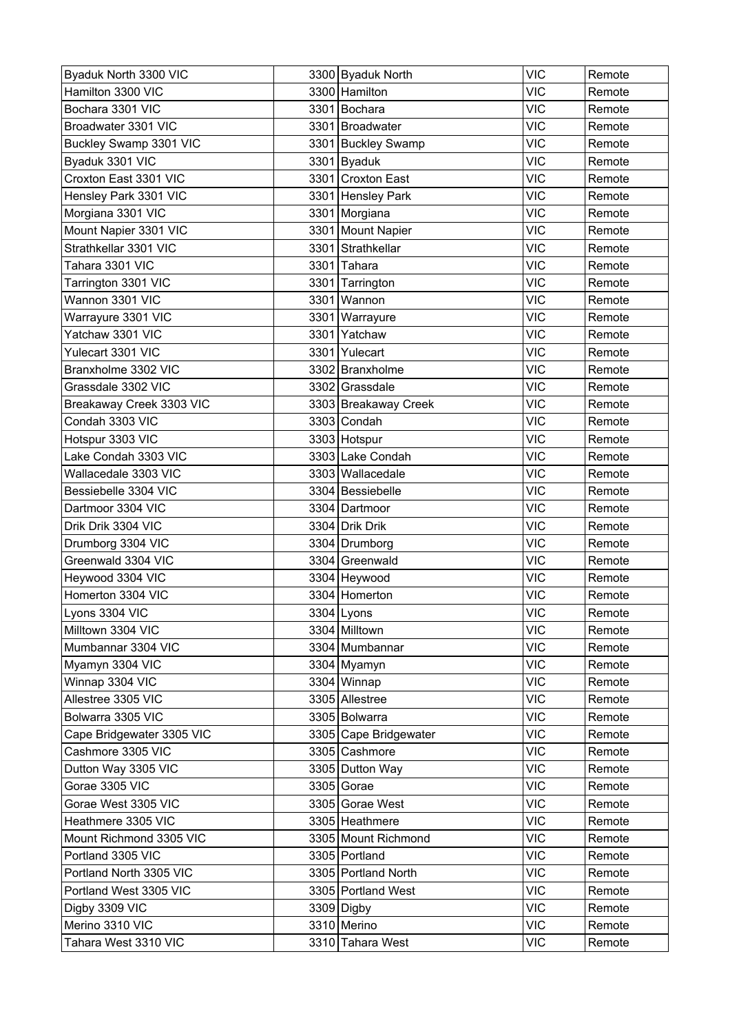| Byaduk North 3300 VIC     |      | 3300 Byaduk North     | <b>VIC</b> | Remote |
|---------------------------|------|-----------------------|------------|--------|
| Hamilton 3300 VIC         |      | 3300 Hamilton         | <b>VIC</b> | Remote |
| Bochara 3301 VIC          |      | 3301 Bochara          | <b>VIC</b> | Remote |
| Broadwater 3301 VIC       |      | 3301 Broadwater       | <b>VIC</b> | Remote |
| Buckley Swamp 3301 VIC    |      | 3301 Buckley Swamp    | <b>VIC</b> | Remote |
| Byaduk 3301 VIC           |      | 3301 Byaduk           | <b>VIC</b> | Remote |
| Croxton East 3301 VIC     |      | 3301 Croxton East     | <b>VIC</b> | Remote |
| Hensley Park 3301 VIC     |      | 3301 Hensley Park     | <b>VIC</b> | Remote |
| Morgiana 3301 VIC         |      | 3301 Morgiana         | <b>VIC</b> | Remote |
| Mount Napier 3301 VIC     |      | 3301 Mount Napier     | <b>VIC</b> | Remote |
| Strathkellar 3301 VIC     |      | 3301 Strathkellar     | <b>VIC</b> | Remote |
| Tahara 3301 VIC           |      | 3301 Tahara           | <b>VIC</b> | Remote |
| Tarrington 3301 VIC       |      | 3301 Tarrington       | <b>VIC</b> | Remote |
| Wannon 3301 VIC           |      | 3301 Wannon           | <b>VIC</b> | Remote |
| Warrayure 3301 VIC        | 3301 | Warrayure             | <b>VIC</b> | Remote |
| Yatchaw 3301 VIC          | 3301 | Yatchaw               | <b>VIC</b> | Remote |
| Yulecart 3301 VIC         |      | 3301 Yulecart         | <b>VIC</b> | Remote |
| Branxholme 3302 VIC       |      | 3302 Branxholme       | <b>VIC</b> | Remote |
| Grassdale 3302 VIC        |      | 3302 Grassdale        | <b>VIC</b> | Remote |
| Breakaway Creek 3303 VIC  |      | 3303 Breakaway Creek  | <b>VIC</b> | Remote |
| Condah 3303 VIC           |      | 3303 Condah           | <b>VIC</b> | Remote |
| Hotspur 3303 VIC          |      | 3303 Hotspur          | <b>VIC</b> | Remote |
| Lake Condah 3303 VIC      |      | 3303 Lake Condah      | <b>VIC</b> | Remote |
| Wallacedale 3303 VIC      |      | 3303 Wallacedale      | <b>VIC</b> | Remote |
| Bessiebelle 3304 VIC      |      | 3304 Bessiebelle      | <b>VIC</b> | Remote |
| Dartmoor 3304 VIC         |      | 3304 Dartmoor         | <b>VIC</b> | Remote |
| Drik Drik 3304 VIC        |      | 3304 Drik Drik        | <b>VIC</b> | Remote |
| Drumborg 3304 VIC         |      | 3304 Drumborg         | <b>VIC</b> | Remote |
| Greenwald 3304 VIC        |      | 3304 Greenwald        | <b>VIC</b> | Remote |
| Heywood 3304 VIC          |      | 3304 Heywood          | <b>VIC</b> | Remote |
| Homerton 3304 VIC         |      | 3304 Homerton         | <b>VIC</b> | Remote |
| Lyons 3304 VIC            |      | 3304 Lyons            | <b>VIC</b> | Remote |
| Milltown 3304 VIC         |      | 3304 Milltown         | <b>VIC</b> | Remote |
| Mumbannar 3304 VIC        |      | 3304 Mumbannar        | <b>VIC</b> | Remote |
| Myamyn 3304 VIC           |      | 3304 Myamyn           | <b>VIC</b> | Remote |
| Winnap 3304 VIC           |      | 3304 Winnap           | <b>VIC</b> | Remote |
| Allestree 3305 VIC        |      | 3305 Allestree        | <b>VIC</b> | Remote |
| Bolwarra 3305 VIC         |      | 3305 Bolwarra         | <b>VIC</b> | Remote |
| Cape Bridgewater 3305 VIC |      | 3305 Cape Bridgewater | <b>VIC</b> | Remote |
| Cashmore 3305 VIC         |      | 3305 Cashmore         | <b>VIC</b> | Remote |
| Dutton Way 3305 VIC       |      | 3305 Dutton Way       | <b>VIC</b> | Remote |
| Gorae 3305 VIC            |      | 3305 Gorae            | <b>VIC</b> | Remote |
| Gorae West 3305 VIC       |      | 3305 Gorae West       | <b>VIC</b> | Remote |
| Heathmere 3305 VIC        |      | 3305 Heathmere        | <b>VIC</b> | Remote |
| Mount Richmond 3305 VIC   |      | 3305 Mount Richmond   | <b>VIC</b> | Remote |
| Portland 3305 VIC         |      | 3305 Portland         | <b>VIC</b> | Remote |
| Portland North 3305 VIC   |      | 3305 Portland North   | <b>VIC</b> | Remote |
| Portland West 3305 VIC    |      | 3305 Portland West    | <b>VIC</b> | Remote |
| Digby 3309 VIC            |      | 3309 Digby            | <b>VIC</b> | Remote |
| Merino 3310 VIC           |      | 3310 Merino           | <b>VIC</b> | Remote |
| Tahara West 3310 VIC      |      | 3310 Tahara West      | <b>VIC</b> | Remote |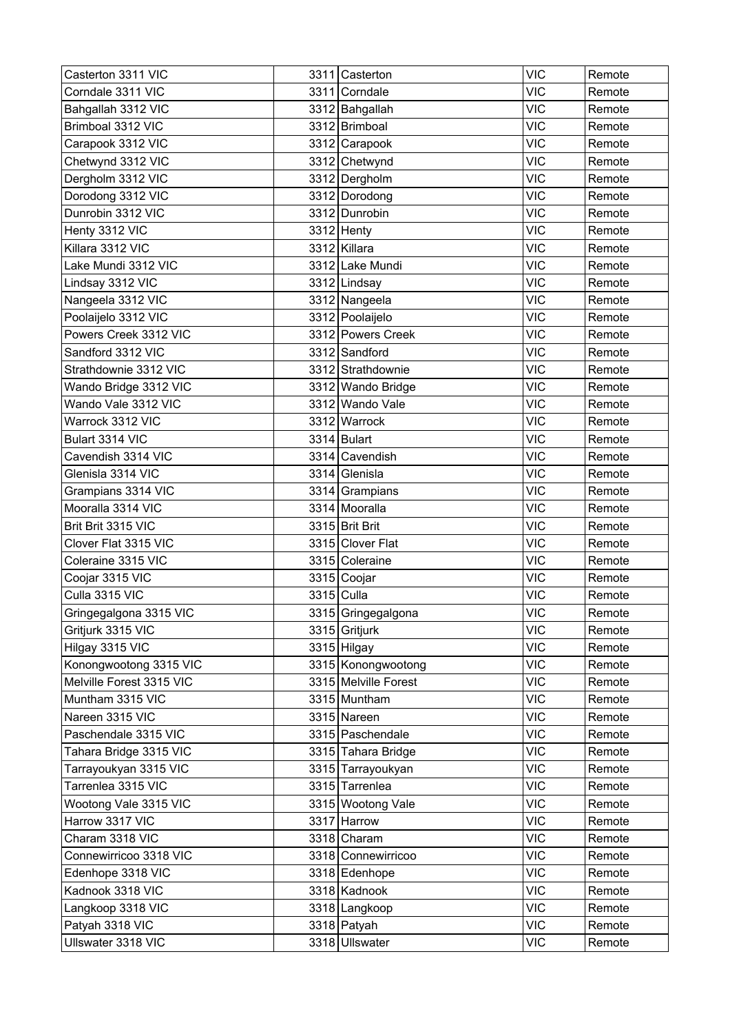| Casterton 3311 VIC       | 3311 Casterton       | <b>VIC</b> | Remote |
|--------------------------|----------------------|------------|--------|
| Corndale 3311 VIC        | 3311 Corndale        | <b>VIC</b> | Remote |
| Bahgallah 3312 VIC       | 3312 Bahgallah       | <b>VIC</b> | Remote |
| Brimboal 3312 VIC        | 3312 Brimboal        | <b>VIC</b> | Remote |
| Carapook 3312 VIC        | 3312 Carapook        | <b>VIC</b> | Remote |
| Chetwynd 3312 VIC        | 3312 Chetwynd        | <b>VIC</b> | Remote |
| Dergholm 3312 VIC        | 3312 Dergholm        | <b>VIC</b> | Remote |
| Dorodong 3312 VIC        | 3312 Dorodong        | <b>VIC</b> | Remote |
| Dunrobin 3312 VIC        | 3312 Dunrobin        | <b>VIC</b> | Remote |
| Henty 3312 VIC           | 3312 Henty           | <b>VIC</b> | Remote |
| Killara 3312 VIC         | 3312 Killara         | <b>VIC</b> | Remote |
| Lake Mundi 3312 VIC      | 3312 Lake Mundi      | <b>VIC</b> | Remote |
| Lindsay 3312 VIC         | 3312 Lindsay         | <b>VIC</b> | Remote |
| Nangeela 3312 VIC        | 3312 Nangeela        | <b>VIC</b> | Remote |
| Poolaijelo 3312 VIC      | 3312 Poolaijelo      | <b>VIC</b> | Remote |
| Powers Creek 3312 VIC    | 3312 Powers Creek    | <b>VIC</b> | Remote |
| Sandford 3312 VIC        | 3312 Sandford        | <b>VIC</b> | Remote |
| Strathdownie 3312 VIC    | 3312 Strathdownie    | <b>VIC</b> | Remote |
| Wando Bridge 3312 VIC    | 3312 Wando Bridge    | <b>VIC</b> | Remote |
| Wando Vale 3312 VIC      | 3312 Wando Vale      | <b>VIC</b> | Remote |
| Warrock 3312 VIC         | 3312 Warrock         | <b>VIC</b> | Remote |
| Bulart 3314 VIC          | 3314 Bulart          | <b>VIC</b> | Remote |
| Cavendish 3314 VIC       | 3314 Cavendish       | <b>VIC</b> | Remote |
| Glenisla 3314 VIC        | 3314 Glenisla        | <b>VIC</b> | Remote |
| Grampians 3314 VIC       | 3314 Grampians       | <b>VIC</b> | Remote |
| Mooralla 3314 VIC        | 3314 Mooralla        | <b>VIC</b> | Remote |
| Brit Brit 3315 VIC       | 3315 Brit Brit       | <b>VIC</b> | Remote |
| Clover Flat 3315 VIC     | 3315 Clover Flat     | <b>VIC</b> | Remote |
| Coleraine 3315 VIC       | 3315 Coleraine       | <b>VIC</b> | Remote |
| Coojar 3315 VIC          | 3315 Coojar          | <b>VIC</b> | Remote |
| Culla 3315 VIC           | 3315 Culla           | <b>VIC</b> | Remote |
| Gringegalgona 3315 VIC   | 3315 Gringegalgona   | <b>VIC</b> | Remote |
| Gritjurk 3315 VIC        | 3315 Gritjurk        | <b>VIC</b> | Remote |
| Hilgay 3315 VIC          | 3315 Hilgay          | <b>VIC</b> | Remote |
| Konongwootong 3315 VIC   | 3315 Konongwootong   | <b>VIC</b> | Remote |
| Melville Forest 3315 VIC | 3315 Melville Forest | <b>VIC</b> | Remote |
| Muntham 3315 VIC         | 3315 Muntham         | <b>VIC</b> | Remote |
| Nareen 3315 VIC          | 3315 Nareen          | <b>VIC</b> | Remote |
| Paschendale 3315 VIC     | 3315 Paschendale     | <b>VIC</b> | Remote |
| Tahara Bridge 3315 VIC   | 3315 Tahara Bridge   | <b>VIC</b> | Remote |
| Tarrayoukyan 3315 VIC    | 3315 Tarrayoukyan    | <b>VIC</b> | Remote |
| Tarrenlea 3315 VIC       | 3315 Tarrenlea       | <b>VIC</b> | Remote |
| Wootong Vale 3315 VIC    | 3315 Wootong Vale    | <b>VIC</b> | Remote |
| Harrow 3317 VIC          | 3317 Harrow          | <b>VIC</b> | Remote |
| Charam 3318 VIC          | 3318 Charam          | <b>VIC</b> | Remote |
| Connewirricoo 3318 VIC   | 3318 Connewirricoo   | <b>VIC</b> | Remote |
| Edenhope 3318 VIC        | 3318 Edenhope        | <b>VIC</b> | Remote |
| Kadnook 3318 VIC         | 3318 Kadnook         | <b>VIC</b> | Remote |
| Langkoop 3318 VIC        | 3318 Langkoop        | <b>VIC</b> | Remote |
| Patyah 3318 VIC          | 3318 Patyah          | <b>VIC</b> | Remote |
| Ullswater 3318 VIC       | 3318 Ullswater       | <b>VIC</b> | Remote |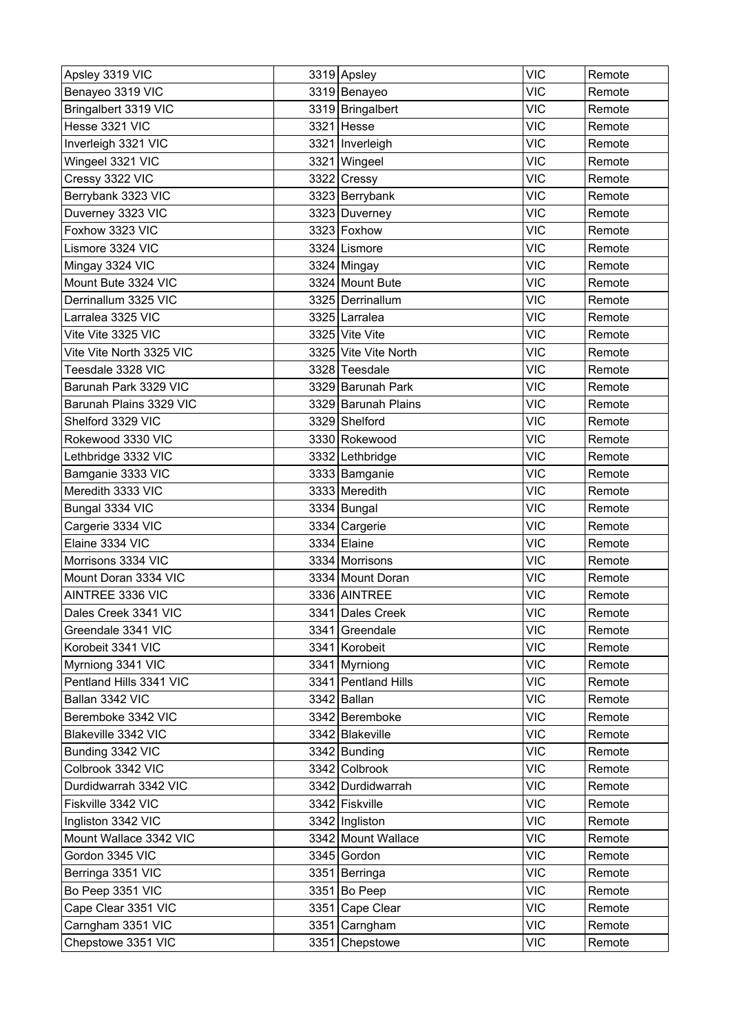| Apsley 3319 VIC          |      | 3319 Apsley          | <b>VIC</b> | Remote |
|--------------------------|------|----------------------|------------|--------|
| Benayeo 3319 VIC         |      | 3319 Benayeo         | <b>VIC</b> | Remote |
| Bringalbert 3319 VIC     |      | 3319 Bringalbert     | <b>VIC</b> | Remote |
| Hesse 3321 VIC           |      | 3321 Hesse           | <b>VIC</b> | Remote |
| Inverleigh 3321 VIC      |      | 3321 Inverleigh      | <b>VIC</b> | Remote |
| Wingeel 3321 VIC         |      | 3321 Wingeel         | <b>VIC</b> | Remote |
| Cressy 3322 VIC          |      | 3322 Cressy          | <b>VIC</b> | Remote |
| Berrybank 3323 VIC       |      | 3323 Berrybank       | <b>VIC</b> | Remote |
| Duverney 3323 VIC        |      | 3323 Duverney        | <b>VIC</b> | Remote |
| Foxhow 3323 VIC          |      | 3323 Foxhow          | <b>VIC</b> | Remote |
| Lismore 3324 VIC         |      | 3324 Lismore         | <b>VIC</b> | Remote |
| Mingay 3324 VIC          |      | 3324 Mingay          | <b>VIC</b> | Remote |
| Mount Bute 3324 VIC      |      | 3324 Mount Bute      | <b>VIC</b> | Remote |
| Derrinallum 3325 VIC     |      | 3325 Derrinallum     | <b>VIC</b> | Remote |
| Larralea 3325 VIC        |      | 3325 Larralea        | <b>VIC</b> | Remote |
| Vite Vite 3325 VIC       |      | 3325 Vite Vite       | <b>VIC</b> | Remote |
| Vite Vite North 3325 VIC |      | 3325 Vite Vite North | <b>VIC</b> | Remote |
| Teesdale 3328 VIC        |      | 3328 Teesdale        | <b>VIC</b> | Remote |
| Barunah Park 3329 VIC    |      | 3329 Barunah Park    | <b>VIC</b> | Remote |
| Barunah Plains 3329 VIC  |      | 3329 Barunah Plains  | <b>VIC</b> | Remote |
| Shelford 3329 VIC        |      | 3329 Shelford        | <b>VIC</b> | Remote |
| Rokewood 3330 VIC        |      | 3330 Rokewood        | <b>VIC</b> | Remote |
| Lethbridge 3332 VIC      |      | 3332 Lethbridge      | <b>VIC</b> | Remote |
| Bamganie 3333 VIC        |      | 3333 Bamganie        | <b>VIC</b> | Remote |
| Meredith 3333 VIC        |      | 3333 Meredith        | <b>VIC</b> | Remote |
| Bungal 3334 VIC          |      | 3334 Bungal          | <b>VIC</b> | Remote |
| Cargerie 3334 VIC        |      | 3334 Cargerie        | <b>VIC</b> | Remote |
| Elaine 3334 VIC          |      | 3334 Elaine          | <b>VIC</b> | Remote |
| Morrisons 3334 VIC       |      | 3334 Morrisons       | <b>VIC</b> | Remote |
| Mount Doran 3334 VIC     |      | 3334 Mount Doran     | <b>VIC</b> | Remote |
| AINTREE 3336 VIC         |      | 3336 AINTREE         | <b>VIC</b> | Remote |
| Dales Creek 3341 VIC     |      | 3341 Dales Creek     | <b>VIC</b> | Remote |
| Greendale 3341 VIC       |      | 3341 Greendale       | <b>VIC</b> | Remote |
| Korobeit 3341 VIC        |      | 3341 Korobeit        | <b>VIC</b> | Remote |
| Myrniong 3341 VIC        |      | 3341 Myrniong        | <b>VIC</b> | Remote |
| Pentland Hills 3341 VIC  |      | 3341 Pentland Hills  | <b>VIC</b> | Remote |
| Ballan 3342 VIC          |      | 3342 Ballan          | <b>VIC</b> | Remote |
| Beremboke 3342 VIC       |      | 3342 Beremboke       | <b>VIC</b> | Remote |
| Blakeville 3342 VIC      |      | 3342 Blakeville      | <b>VIC</b> | Remote |
| Bunding 3342 VIC         |      | 3342 Bunding         | <b>VIC</b> | Remote |
| Colbrook 3342 VIC        |      | 3342 Colbrook        | <b>VIC</b> | Remote |
| Durdidwarrah 3342 VIC    |      | 3342 Durdidwarrah    | <b>VIC</b> | Remote |
| Fiskville 3342 VIC       |      | 3342 Fiskville       | <b>VIC</b> | Remote |
| Ingliston 3342 VIC       |      | 3342 Ingliston       | <b>VIC</b> | Remote |
| Mount Wallace 3342 VIC   |      | 3342 Mount Wallace   | <b>VIC</b> | Remote |
| Gordon 3345 VIC          |      | 3345 Gordon          | <b>VIC</b> | Remote |
| Berringa 3351 VIC        |      | 3351 Berringa        | <b>VIC</b> | Remote |
| Bo Peep 3351 VIC         |      | 3351 Bo Peep         | <b>VIC</b> | Remote |
| Cape Clear 3351 VIC      |      | 3351 Cape Clear      | <b>VIC</b> | Remote |
| Carngham 3351 VIC        |      | 3351 Carngham        | <b>VIC</b> | Remote |
| Chepstowe 3351 VIC       | 3351 | Chepstowe            | <b>VIC</b> | Remote |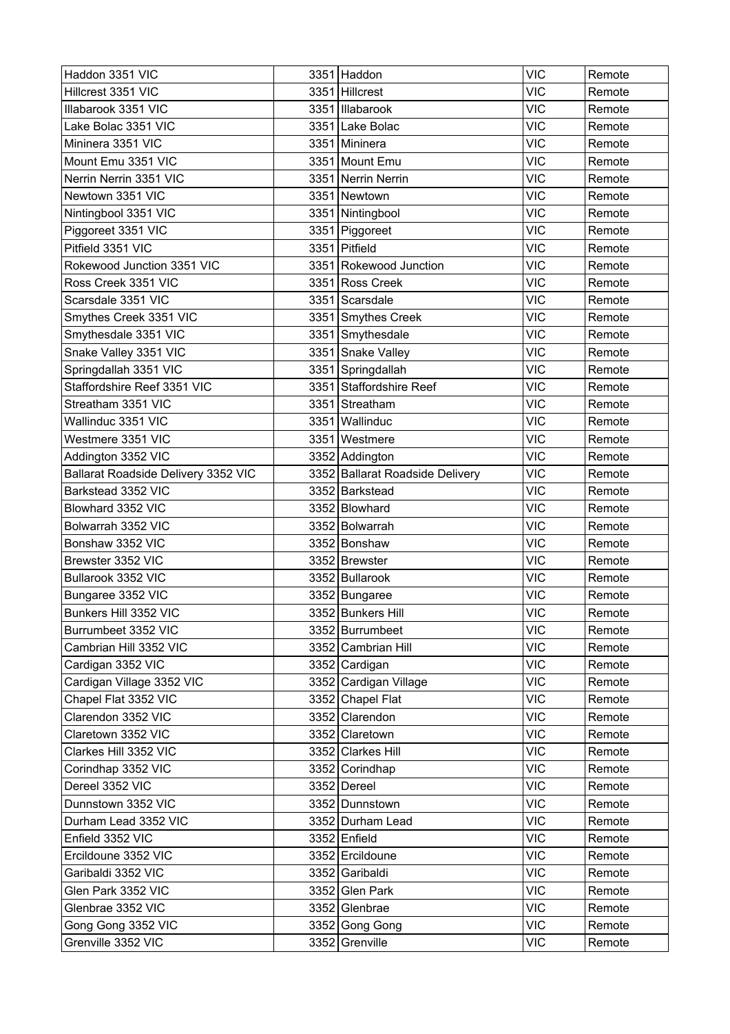| Haddon 3351 VIC                     |      | 3351 Haddon                     | <b>VIC</b> | Remote |
|-------------------------------------|------|---------------------------------|------------|--------|
| Hillcrest 3351 VIC                  |      | 3351 Hillcrest                  | <b>VIC</b> | Remote |
| Illabarook 3351 VIC                 |      | 3351 Illabarook                 | <b>VIC</b> | Remote |
| Lake Bolac 3351 VIC                 |      | 3351 Lake Bolac                 | <b>VIC</b> | Remote |
| Mininera 3351 VIC                   |      | 3351 Mininera                   | <b>VIC</b> | Remote |
| Mount Emu 3351 VIC                  |      | 3351 Mount Emu                  | <b>VIC</b> | Remote |
| Nerrin Nerrin 3351 VIC              |      | 3351 Nerrin Nerrin              | <b>VIC</b> | Remote |
| Newtown 3351 VIC                    |      | 3351 Newtown                    | <b>VIC</b> | Remote |
| Nintingbool 3351 VIC                |      | 3351 Nintingbool                | <b>VIC</b> | Remote |
| Piggoreet 3351 VIC                  |      | 3351 Piggoreet                  | <b>VIC</b> | Remote |
| Pitfield 3351 VIC                   |      | 3351 Pitfield                   | <b>VIC</b> | Remote |
| Rokewood Junction 3351 VIC          |      | 3351 Rokewood Junction          | <b>VIC</b> | Remote |
| Ross Creek 3351 VIC                 |      | 3351 Ross Creek                 | <b>VIC</b> | Remote |
| Scarsdale 3351 VIC                  |      | 3351 Scarsdale                  | <b>VIC</b> | Remote |
| Smythes Creek 3351 VIC              |      | 3351 Smythes Creek              | <b>VIC</b> | Remote |
| Smythesdale 3351 VIC                |      | 3351 Smythesdale                | <b>VIC</b> | Remote |
| Snake Valley 3351 VIC               |      | 3351 Snake Valley               | <b>VIC</b> | Remote |
| Springdallah 3351 VIC               |      | 3351 Springdallah               | <b>VIC</b> | Remote |
| Staffordshire Reef 3351 VIC         |      | 3351 Staffordshire Reef         | <b>VIC</b> | Remote |
| Streatham 3351 VIC                  |      | 3351 Streatham                  | <b>VIC</b> | Remote |
| Wallinduc 3351 VIC                  | 3351 | Wallinduc                       | <b>VIC</b> | Remote |
| Westmere 3351 VIC                   |      | 3351 Westmere                   | <b>VIC</b> | Remote |
| Addington 3352 VIC                  |      | 3352 Addington                  | <b>VIC</b> | Remote |
| Ballarat Roadside Delivery 3352 VIC |      | 3352 Ballarat Roadside Delivery | <b>VIC</b> | Remote |
| Barkstead 3352 VIC                  |      | 3352 Barkstead                  | <b>VIC</b> | Remote |
| Blowhard 3352 VIC                   |      | 3352 Blowhard                   | <b>VIC</b> | Remote |
| Bolwarrah 3352 VIC                  |      | 3352 Bolwarrah                  | <b>VIC</b> | Remote |
| Bonshaw 3352 VIC                    |      | 3352 Bonshaw                    | <b>VIC</b> | Remote |
| Brewster 3352 VIC                   |      | 3352 Brewster                   | <b>VIC</b> | Remote |
| Bullarook 3352 VIC                  |      | 3352 Bullarook                  | <b>VIC</b> | Remote |
| Bungaree 3352 VIC                   |      | 3352 Bungaree                   | <b>VIC</b> | Remote |
| Bunkers Hill 3352 VIC               |      | 3352 Bunkers Hill               | <b>VIC</b> | Remote |
| Burrumbeet 3352 VIC                 |      | 3352 Burrumbeet                 | <b>VIC</b> | Remote |
| Cambrian Hill 3352 VIC              |      | 3352 Cambrian Hill              | <b>VIC</b> | Remote |
| Cardigan 3352 VIC                   |      | 3352 Cardigan                   | <b>VIC</b> | Remote |
| Cardigan Village 3352 VIC           |      | 3352 Cardigan Village           | <b>VIC</b> | Remote |
| Chapel Flat 3352 VIC                |      | 3352 Chapel Flat                | <b>VIC</b> | Remote |
| Clarendon 3352 VIC                  |      | 3352 Clarendon                  | <b>VIC</b> | Remote |
| Claretown 3352 VIC                  |      | 3352 Claretown                  | <b>VIC</b> | Remote |
| Clarkes Hill 3352 VIC               |      | 3352 Clarkes Hill               | <b>VIC</b> | Remote |
| Corindhap 3352 VIC                  |      | 3352 Corindhap                  | <b>VIC</b> | Remote |
| Dereel 3352 VIC                     |      | 3352 Dereel                     | <b>VIC</b> | Remote |
| Dunnstown 3352 VIC                  |      | 3352 Dunnstown                  | <b>VIC</b> | Remote |
| Durham Lead 3352 VIC                |      | 3352 Durham Lead                | <b>VIC</b> | Remote |
| Enfield 3352 VIC                    |      | 3352 Enfield                    | <b>VIC</b> | Remote |
| Ercildoune 3352 VIC                 |      | 3352 Ercildoune                 | <b>VIC</b> | Remote |
| Garibaldi 3352 VIC                  |      | 3352 Garibaldi                  | <b>VIC</b> | Remote |
| Glen Park 3352 VIC                  |      | 3352 Glen Park                  | <b>VIC</b> | Remote |
| Glenbrae 3352 VIC                   |      | 3352 Glenbrae                   | <b>VIC</b> | Remote |
| Gong Gong 3352 VIC                  |      | 3352 Gong Gong                  | <b>VIC</b> | Remote |
| Grenville 3352 VIC                  |      | 3352 Grenville                  | <b>VIC</b> | Remote |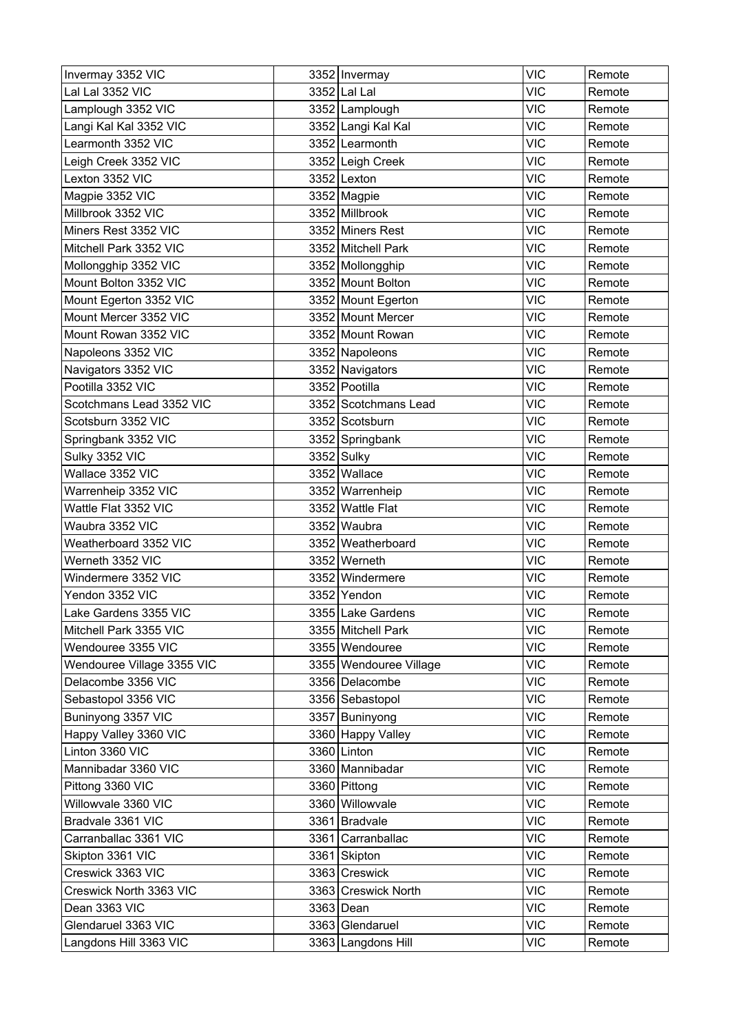| Invermay 3352 VIC          | 3352 Invermay          | <b>VIC</b> | Remote |
|----------------------------|------------------------|------------|--------|
| Lal Lal 3352 VIC           | 3352 Lal Lal           | <b>VIC</b> | Remote |
| Lamplough 3352 VIC         | 3352 Lamplough         | <b>VIC</b> | Remote |
| Langi Kal Kal 3352 VIC     | 3352 Langi Kal Kal     | <b>VIC</b> | Remote |
| Learmonth 3352 VIC         | 3352 Learmonth         | <b>VIC</b> | Remote |
| Leigh Creek 3352 VIC       | 3352 Leigh Creek       | <b>VIC</b> | Remote |
| Lexton 3352 VIC            | $3352$ Lexton          | <b>VIC</b> | Remote |
| Magpie 3352 VIC            | 3352 Magpie            | <b>VIC</b> | Remote |
| Millbrook 3352 VIC         | 3352 Millbrook         | <b>VIC</b> | Remote |
| Miners Rest 3352 VIC       | 3352 Miners Rest       | <b>VIC</b> | Remote |
| Mitchell Park 3352 VIC     | 3352 Mitchell Park     | <b>VIC</b> | Remote |
| Mollongghip 3352 VIC       | 3352 Mollongghip       | <b>VIC</b> | Remote |
| Mount Bolton 3352 VIC      | 3352 Mount Bolton      | <b>VIC</b> | Remote |
| Mount Egerton 3352 VIC     | 3352 Mount Egerton     | <b>VIC</b> | Remote |
| Mount Mercer 3352 VIC      | 3352 Mount Mercer      | <b>VIC</b> | Remote |
| Mount Rowan 3352 VIC       | 3352 Mount Rowan       | <b>VIC</b> | Remote |
| Napoleons 3352 VIC         | 3352 Napoleons         | <b>VIC</b> | Remote |
| Navigators 3352 VIC        | 3352 Navigators        | <b>VIC</b> | Remote |
| Pootilla 3352 VIC          | 3352 Pootilla          | <b>VIC</b> | Remote |
| Scotchmans Lead 3352 VIC   | 3352 Scotchmans Lead   | <b>VIC</b> | Remote |
| Scotsburn 3352 VIC         | 3352 Scotsburn         | <b>VIC</b> | Remote |
| Springbank 3352 VIC        | 3352 Springbank        | <b>VIC</b> | Remote |
| Sulky 3352 VIC             | 3352 Sulky             | <b>VIC</b> | Remote |
| Wallace 3352 VIC           | 3352 Wallace           | <b>VIC</b> | Remote |
| Warrenheip 3352 VIC        | 3352 Warrenheip        | <b>VIC</b> | Remote |
| Wattle Flat 3352 VIC       | 3352 Wattle Flat       | <b>VIC</b> | Remote |
| Waubra 3352 VIC            | 3352 Waubra            | <b>VIC</b> | Remote |
| Weatherboard 3352 VIC      | 3352 Weatherboard      | <b>VIC</b> | Remote |
| Werneth 3352 VIC           | 3352 Werneth           | <b>VIC</b> | Remote |
| Windermere 3352 VIC        | 3352 Windermere        | <b>VIC</b> | Remote |
| Yendon 3352 VIC            | 3352 Yendon            | <b>VIC</b> | Remote |
| Lake Gardens 3355 VIC      | 3355 Lake Gardens      | <b>VIC</b> | Remote |
| Mitchell Park 3355 VIC     | 3355 Mitchell Park     | <b>VIC</b> | Remote |
| Wendouree 3355 VIC         | 3355 Wendouree         | <b>VIC</b> | Remote |
| Wendouree Village 3355 VIC | 3355 Wendouree Village | <b>VIC</b> | Remote |
| Delacombe 3356 VIC         | 3356 Delacombe         | <b>VIC</b> | Remote |
| Sebastopol 3356 VIC        | 3356 Sebastopol        | <b>VIC</b> | Remote |
| Buninyong 3357 VIC         | 3357 Buninyong         | <b>VIC</b> | Remote |
| Happy Valley 3360 VIC      | 3360 Happy Valley      | <b>VIC</b> | Remote |
| Linton 3360 VIC            | 3360 Linton            | <b>VIC</b> | Remote |
| Mannibadar 3360 VIC        | 3360 Mannibadar        | <b>VIC</b> | Remote |
| Pittong 3360 VIC           | 3360 Pittong           | <b>VIC</b> | Remote |
| Willowvale 3360 VIC        | 3360 Willowvale        | <b>VIC</b> | Remote |
| Bradvale 3361 VIC          | 3361 Bradvale          | <b>VIC</b> | Remote |
| Carranballac 3361 VIC      | 3361 Carranballac      | <b>VIC</b> | Remote |
| Skipton 3361 VIC           | 3361 Skipton           | <b>VIC</b> | Remote |
| Creswick 3363 VIC          | 3363 Creswick          | <b>VIC</b> | Remote |
| Creswick North 3363 VIC    | 3363 Creswick North    | <b>VIC</b> | Remote |
| Dean 3363 VIC              | 3363 Dean              | <b>VIC</b> | Remote |
| Glendaruel 3363 VIC        | 3363 Glendaruel        | <b>VIC</b> | Remote |
| Langdons Hill 3363 VIC     | 3363 Langdons Hill     | VIC        | Remote |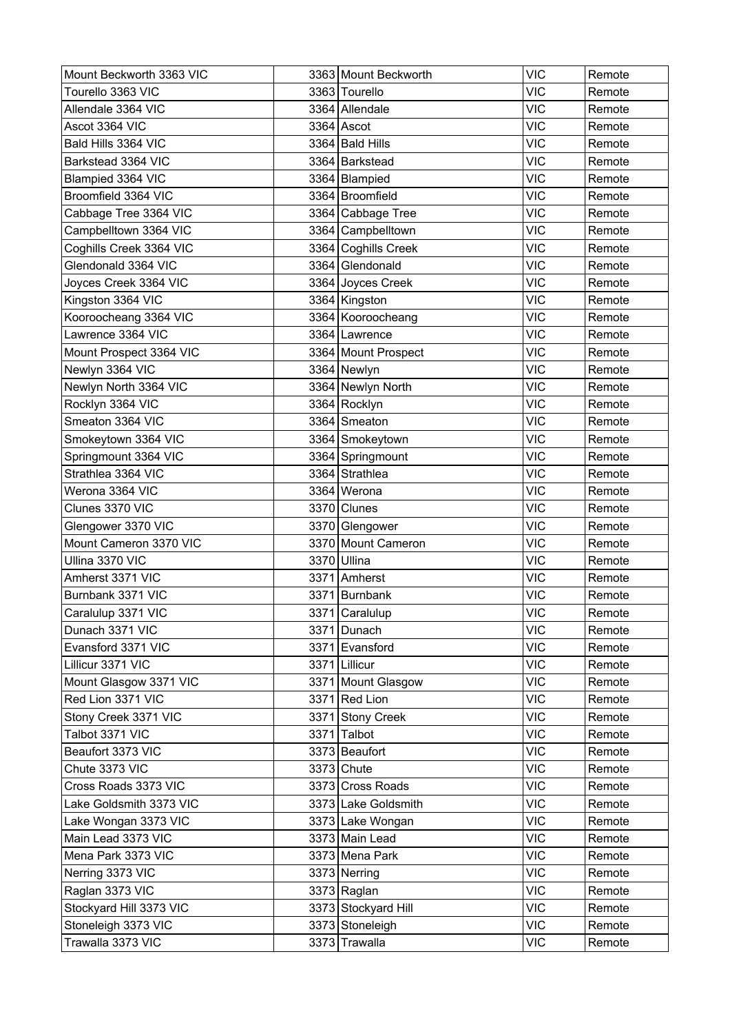| Mount Beckworth 3363 VIC | 3363 Mount Beckworth  | <b>VIC</b> | Remote |
|--------------------------|-----------------------|------------|--------|
| Tourello 3363 VIC        | 3363 Tourello         | <b>VIC</b> | Remote |
| Allendale 3364 VIC       | 3364 Allendale        | <b>VIC</b> | Remote |
| Ascot 3364 VIC           | 3364 Ascot            | <b>VIC</b> | Remote |
| Bald Hills 3364 VIC      | 3364 Bald Hills       | <b>VIC</b> | Remote |
| Barkstead 3364 VIC       | 3364 Barkstead        | <b>VIC</b> | Remote |
| Blampied 3364 VIC        | 3364   Blampied       | <b>VIC</b> | Remote |
| Broomfield 3364 VIC      | 3364 Broomfield       | <b>VIC</b> | Remote |
| Cabbage Tree 3364 VIC    | 3364 Cabbage Tree     | <b>VIC</b> | Remote |
| Campbelltown 3364 VIC    | 3364 Campbelltown     | <b>VIC</b> | Remote |
| Coghills Creek 3364 VIC  | 3364 Coghills Creek   | <b>VIC</b> | Remote |
| Glendonald 3364 VIC      | 3364 Glendonald       | <b>VIC</b> | Remote |
| Joyces Creek 3364 VIC    | 3364 Joyces Creek     | <b>VIC</b> | Remote |
| Kingston 3364 VIC        | 3364 Kingston         | <b>VIC</b> | Remote |
| Kooroocheang 3364 VIC    | 3364 Kooroocheang     | <b>VIC</b> | Remote |
| Lawrence 3364 VIC        | 3364 Lawrence         | <b>VIC</b> | Remote |
| Mount Prospect 3364 VIC  | 3364   Mount Prospect | <b>VIC</b> | Remote |
| Newlyn 3364 VIC          | 3364 Newlyn           | <b>VIC</b> | Remote |
| Newlyn North 3364 VIC    | 3364 Newlyn North     | <b>VIC</b> | Remote |
| Rocklyn 3364 VIC         | 3364 Rocklyn          | <b>VIC</b> | Remote |
| Smeaton 3364 VIC         | 3364 Smeaton          | <b>VIC</b> | Remote |
| Smokeytown 3364 VIC      | 3364 Smokeytown       | <b>VIC</b> | Remote |
| Springmount 3364 VIC     | 3364 Springmount      | <b>VIC</b> | Remote |
| Strathlea 3364 VIC       | 3364 Strathlea        | <b>VIC</b> | Remote |
| Werona 3364 VIC          | 3364 Werona           | <b>VIC</b> | Remote |
| Clunes 3370 VIC          | 3370 Clunes           | <b>VIC</b> | Remote |
| Glengower 3370 VIC       | 3370 Glengower        | <b>VIC</b> | Remote |
| Mount Cameron 3370 VIC   | 3370 Mount Cameron    | <b>VIC</b> | Remote |
| Ullina 3370 VIC          | 3370 Ullina           | <b>VIC</b> | Remote |
| Amherst 3371 VIC         | 3371 Amherst          | <b>VIC</b> | Remote |
| Burnbank 3371 VIC        | 3371 Burnbank         | <b>VIC</b> | Remote |
| Caralulup 3371 VIC       | 3371 Caralulup        | <b>VIC</b> | Remote |
| Dunach 3371 VIC          | 3371 Dunach           | <b>VIC</b> | Remote |
| Evansford 3371 VIC       | 3371 Evansford        | <b>VIC</b> | Remote |
| Lillicur 3371 VIC        | 3371 Lillicur         | <b>VIC</b> | Remote |
| Mount Glasgow 3371 VIC   | 3371 Mount Glasgow    | <b>VIC</b> | Remote |
| Red Lion 3371 VIC        | 3371 Red Lion         | <b>VIC</b> | Remote |
| Stony Creek 3371 VIC     | 3371 Stony Creek      | <b>VIC</b> | Remote |
| Talbot 3371 VIC          | 3371 Talbot           | <b>VIC</b> | Remote |
| Beaufort 3373 VIC        | 3373 Beaufort         | <b>VIC</b> | Remote |
| Chute 3373 VIC           | 3373 Chute            | <b>VIC</b> | Remote |
| Cross Roads 3373 VIC     | 3373 Cross Roads      | <b>VIC</b> | Remote |
| Lake Goldsmith 3373 VIC  | 3373 Lake Goldsmith   | <b>VIC</b> | Remote |
| Lake Wongan 3373 VIC     | 3373 Lake Wongan      | <b>VIC</b> | Remote |
| Main Lead 3373 VIC       | 3373 Main Lead        | <b>VIC</b> | Remote |
| Mena Park 3373 VIC       | 3373 Mena Park        | <b>VIC</b> | Remote |
| Nerring 3373 VIC         | 3373 Nerring          | <b>VIC</b> | Remote |
| Raglan 3373 VIC          | 3373 Raglan           | <b>VIC</b> | Remote |
| Stockyard Hill 3373 VIC  | 3373 Stockyard Hill   | <b>VIC</b> | Remote |
| Stoneleigh 3373 VIC      | 3373 Stoneleigh       | <b>VIC</b> | Remote |
| Trawalla 3373 VIC        | 3373 Trawalla         | <b>VIC</b> | Remote |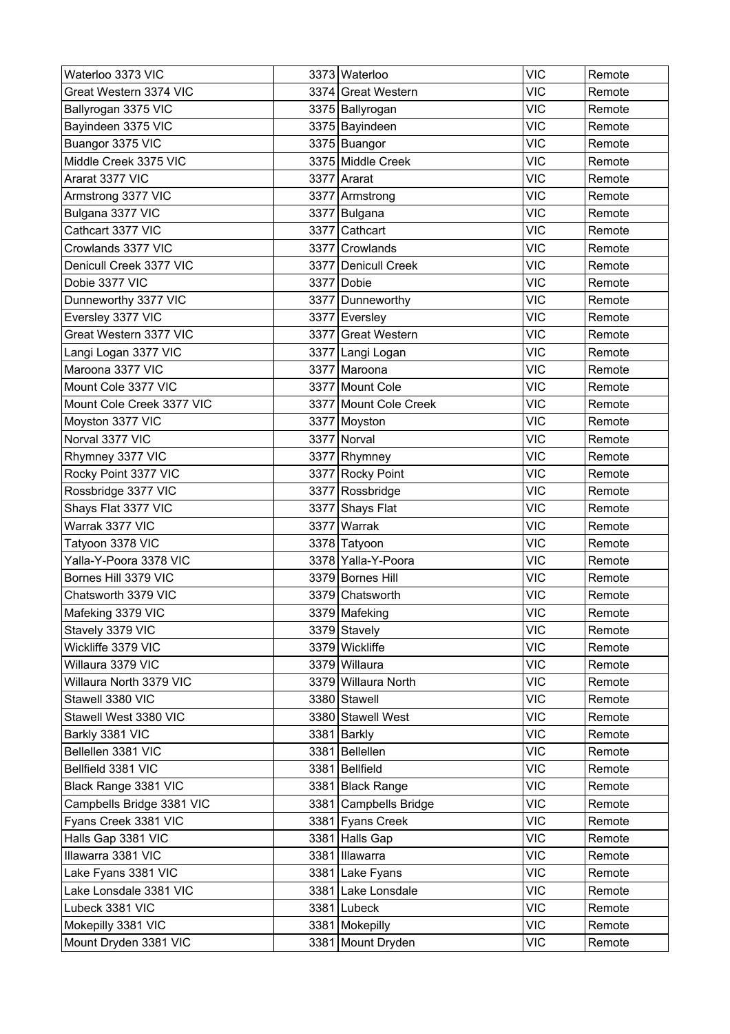| Waterloo 3373 VIC         |      | 3373 Waterloo         | <b>VIC</b> | Remote |
|---------------------------|------|-----------------------|------------|--------|
| Great Western 3374 VIC    |      | 3374 Great Western    | <b>VIC</b> | Remote |
| Ballyrogan 3375 VIC       |      | 3375   Ballyrogan     | <b>VIC</b> | Remote |
| Bayindeen 3375 VIC        |      | 3375 Bayindeen        | <b>VIC</b> | Remote |
| Buangor 3375 VIC          |      | 3375 Buangor          | <b>VIC</b> | Remote |
| Middle Creek 3375 VIC     |      | 3375 Middle Creek     | <b>VIC</b> | Remote |
| Ararat 3377 VIC           |      | 3377 Ararat           | <b>VIC</b> | Remote |
| Armstrong 3377 VIC        |      | 3377 Armstrong        | <b>VIC</b> | Remote |
| Bulgana 3377 VIC          |      | 3377 Bulgana          | <b>VIC</b> | Remote |
| Cathcart 3377 VIC         |      | 3377 Cathcart         | <b>VIC</b> | Remote |
| Crowlands 3377 VIC        |      | 3377 Crowlands        | <b>VIC</b> | Remote |
| Denicull Creek 3377 VIC   |      | 3377 Denicull Creek   | <b>VIC</b> | Remote |
| Dobie 3377 VIC            |      | 3377 Dobie            | <b>VIC</b> | Remote |
| Dunneworthy 3377 VIC      |      | 3377 Dunneworthy      | <b>VIC</b> | Remote |
| Eversley 3377 VIC         |      | 3377 Eversley         | <b>VIC</b> | Remote |
| Great Western 3377 VIC    |      | 3377 Great Western    | <b>VIC</b> | Remote |
| Langi Logan 3377 VIC      |      | 3377 Langi Logan      | <b>VIC</b> | Remote |
| Maroona 3377 VIC          |      | 3377 Maroona          | <b>VIC</b> | Remote |
| Mount Cole 3377 VIC       |      | 3377 Mount Cole       | <b>VIC</b> | Remote |
| Mount Cole Creek 3377 VIC |      | 3377 Mount Cole Creek | <b>VIC</b> | Remote |
| Moyston 3377 VIC          |      | 3377 Moyston          | <b>VIC</b> | Remote |
| Norval 3377 VIC           |      | 3377 Norval           | <b>VIC</b> | Remote |
| Rhymney 3377 VIC          |      | 3377 Rhymney          | <b>VIC</b> | Remote |
| Rocky Point 3377 VIC      |      | 3377 Rocky Point      | <b>VIC</b> | Remote |
| Rossbridge 3377 VIC       |      | 3377 Rossbridge       | <b>VIC</b> | Remote |
| Shays Flat 3377 VIC       | 3377 | Shays Flat            | <b>VIC</b> | Remote |
| Warrak 3377 VIC           | 3377 | Warrak                | <b>VIC</b> | Remote |
| Tatyoon 3378 VIC          |      | 3378 Tatyoon          | <b>VIC</b> | Remote |
| Yalla-Y-Poora 3378 VIC    |      | 3378 Yalla-Y-Poora    | <b>VIC</b> | Remote |
| Bornes Hill 3379 VIC      |      | 3379 Bornes Hill      | <b>VIC</b> | Remote |
| Chatsworth 3379 VIC       |      | 3379 Chatsworth       | <b>VIC</b> | Remote |
| Mafeking 3379 VIC         |      | 3379 Mafeking         | <b>VIC</b> | Remote |
| Stavely 3379 VIC          |      | 3379 Stavely          | <b>VIC</b> | Remote |
| Wickliffe 3379 VIC        |      | 3379 Wickliffe        | <b>VIC</b> | Remote |
| Willaura 3379 VIC         |      | 3379 Willaura         | <b>VIC</b> | Remote |
| Willaura North 3379 VIC   |      | 3379 Willaura North   | <b>VIC</b> | Remote |
| Stawell 3380 VIC          |      | 3380 Stawell          | <b>VIC</b> | Remote |
| Stawell West 3380 VIC     |      | 3380 Stawell West     | <b>VIC</b> | Remote |
| Barkly 3381 VIC           |      | 3381 Barkly           | <b>VIC</b> | Remote |
| Bellellen 3381 VIC        |      | 3381 Bellellen        | <b>VIC</b> | Remote |
| Bellfield 3381 VIC        |      | 3381 Bellfield        | <b>VIC</b> | Remote |
| Black Range 3381 VIC      |      | 3381 Black Range      | <b>VIC</b> | Remote |
| Campbells Bridge 3381 VIC |      | 3381 Campbells Bridge | <b>VIC</b> | Remote |
| Fyans Creek 3381 VIC      |      | 3381 Fyans Creek      | <b>VIC</b> | Remote |
| Halls Gap 3381 VIC        |      | 3381 Halls Gap        | <b>VIC</b> | Remote |
| Illawarra 3381 VIC        |      | 3381 Illawarra        | <b>VIC</b> | Remote |
| Lake Fyans 3381 VIC       |      | 3381 Lake Fyans       | <b>VIC</b> | Remote |
| Lake Lonsdale 3381 VIC    |      | 3381 Lake Lonsdale    | <b>VIC</b> | Remote |
| Lubeck 3381 VIC           |      | 3381 Lubeck           | <b>VIC</b> | Remote |
| Mokepilly 3381 VIC        |      | 3381 Mokepilly        | <b>VIC</b> | Remote |
| Mount Dryden 3381 VIC     |      | 3381 Mount Dryden     | <b>VIC</b> | Remote |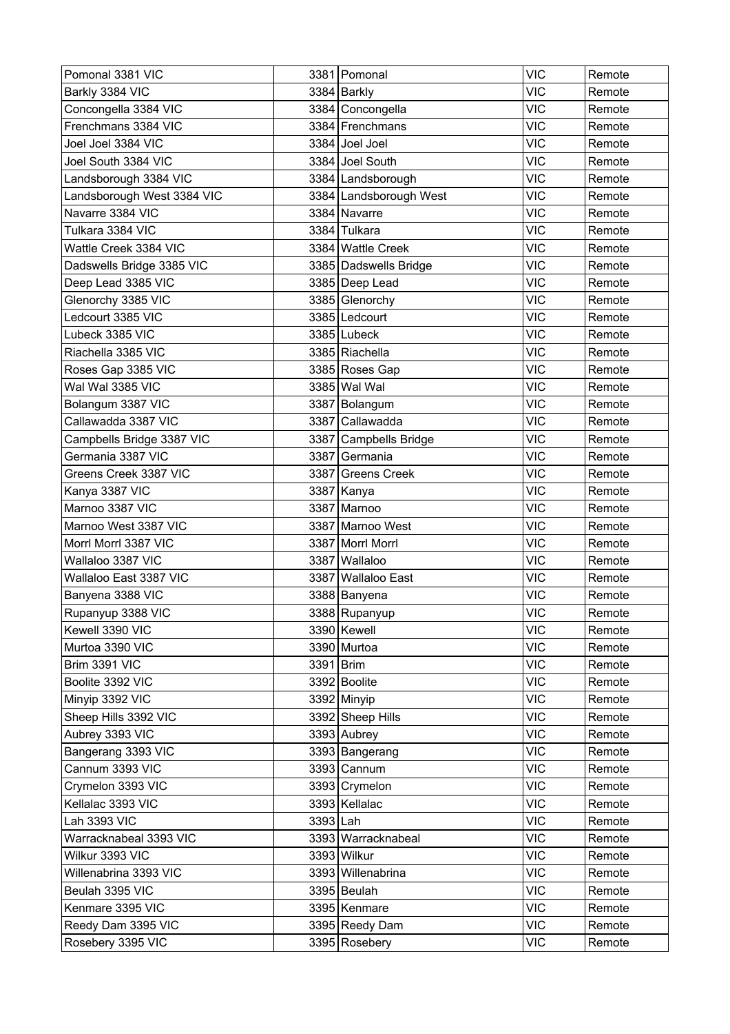| Pomonal 3381 VIC           |             | 3381 Pomonal           | <b>VIC</b> | Remote |
|----------------------------|-------------|------------------------|------------|--------|
| Barkly 3384 VIC            |             | 3384 Barkly            | <b>VIC</b> | Remote |
| Concongella 3384 VIC       |             | 3384 Concongella       | <b>VIC</b> | Remote |
| Frenchmans 3384 VIC        |             | 3384 Frenchmans        | <b>VIC</b> | Remote |
| Joel Joel 3384 VIC         |             | 3384 Joel Joel         | <b>VIC</b> | Remote |
| Joel South 3384 VIC        |             | 3384 Joel South        | <b>VIC</b> | Remote |
| Landsborough 3384 VIC      |             | 3384   Landsborough    | <b>VIC</b> | Remote |
| Landsborough West 3384 VIC |             | 3384 Landsborough West | <b>VIC</b> | Remote |
| Navarre 3384 VIC           |             | 3384 Navarre           | <b>VIC</b> | Remote |
| Tulkara 3384 VIC           |             | 3384 Tulkara           | <b>VIC</b> | Remote |
| Wattle Creek 3384 VIC      |             | 3384 Wattle Creek      | <b>VIC</b> | Remote |
| Dadswells Bridge 3385 VIC  |             | 3385 Dadswells Bridge  | <b>VIC</b> | Remote |
| Deep Lead 3385 VIC         |             | 3385 Deep Lead         | <b>VIC</b> | Remote |
| Glenorchy 3385 VIC         |             | 3385 Glenorchy         | <b>VIC</b> | Remote |
| Ledcourt 3385 VIC          |             | 3385 Ledcourt          | <b>VIC</b> | Remote |
| Lubeck 3385 VIC            |             | 3385 Lubeck            | <b>VIC</b> | Remote |
| Riachella 3385 VIC         |             | 3385 Riachella         | <b>VIC</b> | Remote |
| Roses Gap 3385 VIC         |             | 3385 Roses Gap         | <b>VIC</b> | Remote |
| Wal Wal 3385 VIC           |             | 3385 Wal Wal           | <b>VIC</b> | Remote |
| Bolangum 3387 VIC          |             | 3387 Bolangum          | <b>VIC</b> | Remote |
| Callawadda 3387 VIC        |             | 3387 Callawadda        | <b>VIC</b> | Remote |
| Campbells Bridge 3387 VIC  |             | 3387 Campbells Bridge  | <b>VIC</b> | Remote |
| Germania 3387 VIC          |             | 3387 Germania          | <b>VIC</b> | Remote |
| Greens Creek 3387 VIC      |             | 3387 Greens Creek      | <b>VIC</b> | Remote |
| Kanya 3387 VIC             |             | 3387 Kanya             | <b>VIC</b> | Remote |
| Marnoo 3387 VIC            | 3387        | Marnoo                 | <b>VIC</b> | Remote |
| Marnoo West 3387 VIC       |             | 3387 Marnoo West       | <b>VIC</b> | Remote |
| Morrl Morrl 3387 VIC       |             | 3387 Morrl Morrl       | <b>VIC</b> | Remote |
| Wallaloo 3387 VIC          | 3387        | Wallaloo               | <b>VIC</b> | Remote |
| Wallaloo East 3387 VIC     | 3387        | <b>Wallaloo East</b>   | <b>VIC</b> | Remote |
| Banyena 3388 VIC           |             | 3388 Banyena           | <b>VIC</b> | Remote |
| Rupanyup 3388 VIC          |             | 3388 Rupanyup          | <b>VIC</b> | Remote |
| Kewell 3390 VIC            |             | 3390   Kewell          | <b>VIC</b> | Remote |
| Murtoa 3390 VIC            |             | 3390 Murtoa            | <b>VIC</b> | Remote |
| Brim 3391 VIC              | 3391   Brim |                        | <b>VIC</b> | Remote |
| Boolite 3392 VIC           |             | 3392 Boolite           | <b>VIC</b> | Remote |
| Minyip 3392 VIC            |             | 3392 Minyip            | <b>VIC</b> | Remote |
| Sheep Hills 3392 VIC       |             | 3392 Sheep Hills       | <b>VIC</b> | Remote |
| Aubrey 3393 VIC            |             | 3393 Aubrey            | <b>VIC</b> | Remote |
| Bangerang 3393 VIC         |             | 3393 Bangerang         | <b>VIC</b> | Remote |
| Cannum 3393 VIC            |             | 3393 Cannum            | <b>VIC</b> | Remote |
| Crymelon 3393 VIC          |             | 3393 Crymelon          | <b>VIC</b> | Remote |
| Kellalac 3393 VIC          |             | 3393 Kellalac          | <b>VIC</b> | Remote |
| Lah 3393 VIC               | 3393 Lah    |                        | <b>VIC</b> | Remote |
| Warracknabeal 3393 VIC     |             | 3393 Warracknabeal     | <b>VIC</b> | Remote |
| Wilkur 3393 VIC            |             | 3393 Wilkur            | <b>VIC</b> | Remote |
| Willenabrina 3393 VIC      |             | 3393 Willenabrina      | <b>VIC</b> | Remote |
| Beulah 3395 VIC            |             | 3395 Beulah            | <b>VIC</b> | Remote |
| Kenmare 3395 VIC           |             | 3395 Kenmare           | <b>VIC</b> | Remote |
| Reedy Dam 3395 VIC         |             | 3395 Reedy Dam         | <b>VIC</b> | Remote |
| Rosebery 3395 VIC          |             | 3395 Rosebery          | <b>VIC</b> | Remote |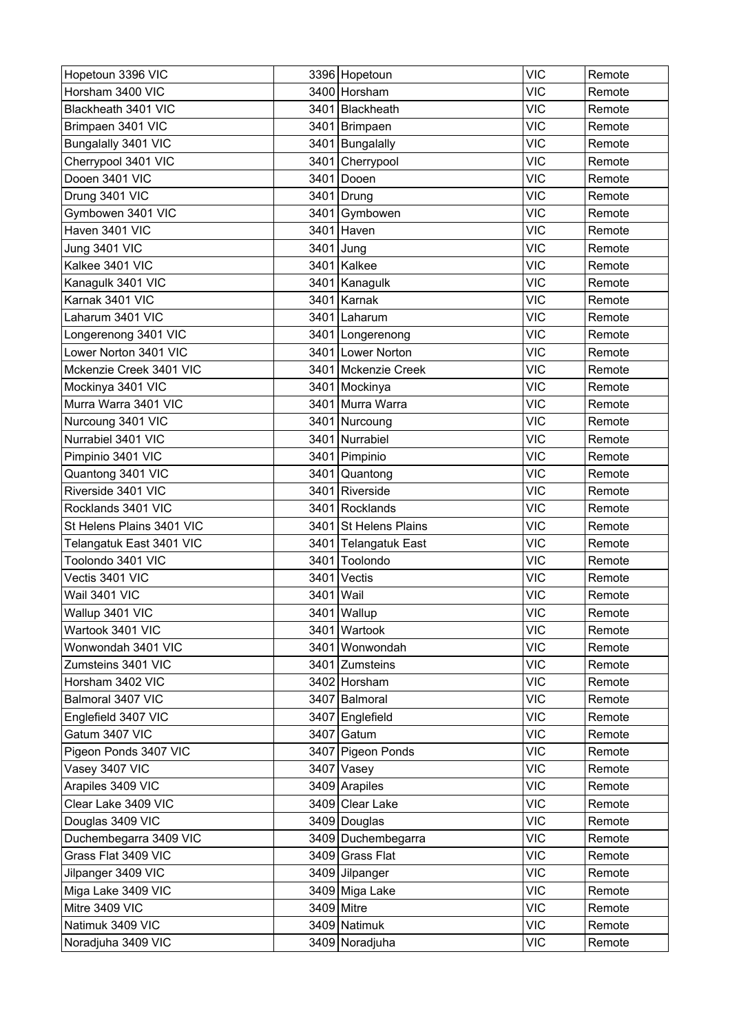| Hopetoun 3396 VIC         |      | 3396 Hopetoun         | <b>VIC</b> | Remote |
|---------------------------|------|-----------------------|------------|--------|
| Horsham 3400 VIC          |      | 3400 Horsham          | <b>VIC</b> | Remote |
| Blackheath 3401 VIC       |      | 3401 Blackheath       | <b>VIC</b> | Remote |
| Brimpaen 3401 VIC         |      | 3401 Brimpaen         | <b>VIC</b> | Remote |
| Bungalally 3401 VIC       |      | 3401 Bungalally       | <b>VIC</b> | Remote |
| Cherrypool 3401 VIC       | 3401 | Cherrypool            | <b>VIC</b> | Remote |
| Dooen 3401 VIC            | 3401 | Dooen                 | <b>VIC</b> | Remote |
| Drung 3401 VIC            |      | 3401 Drung            | <b>VIC</b> | Remote |
| Gymbowen 3401 VIC         | 3401 | Gymbowen              | <b>VIC</b> | Remote |
| Haven 3401 VIC            |      | 3401 Haven            | <b>VIC</b> | Remote |
| <b>Jung 3401 VIC</b>      |      | 3401 Jung             | <b>VIC</b> | Remote |
| Kalkee 3401 VIC           |      | 3401 Kalkee           | <b>VIC</b> | Remote |
| Kanagulk 3401 VIC         |      | 3401 Kanagulk         | <b>VIC</b> | Remote |
| Karnak 3401 VIC           |      | 3401 Karnak           | <b>VIC</b> | Remote |
| Laharum 3401 VIC          |      | 3401 Laharum          | <b>VIC</b> | Remote |
| Longerenong 3401 VIC      |      | 3401   Longerenong    | <b>VIC</b> | Remote |
| Lower Norton 3401 VIC     |      | 3401 Lower Norton     | <b>VIC</b> | Remote |
| Mckenzie Creek 3401 VIC   |      | 3401 Mckenzie Creek   | <b>VIC</b> | Remote |
| Mockinya 3401 VIC         |      | 3401 Mockinya         | <b>VIC</b> | Remote |
| Murra Warra 3401 VIC      | 3401 | Murra Warra           | <b>VIC</b> | Remote |
| Nurcoung 3401 VIC         | 3401 | Nurcoung              | VIC        | Remote |
| Nurrabiel 3401 VIC        |      | 3401 Nurrabiel        | <b>VIC</b> | Remote |
| Pimpinio 3401 VIC         |      | 3401 Pimpinio         | <b>VIC</b> | Remote |
| Quantong 3401 VIC         | 3401 | Quantong              | <b>VIC</b> | Remote |
| Riverside 3401 VIC        |      | 3401 Riverside        | <b>VIC</b> | Remote |
| Rocklands 3401 VIC        | 3401 | Rocklands             | <b>VIC</b> | Remote |
| St Helens Plains 3401 VIC |      | 3401 St Helens Plains | <b>VIC</b> | Remote |
| Telangatuk East 3401 VIC  |      | 3401 Telangatuk East  | <b>VIC</b> | Remote |
| Toolondo 3401 VIC         | 3401 | Toolondo              | <b>VIC</b> | Remote |
| Vectis 3401 VIC           | 3401 | Vectis                | <b>VIC</b> | Remote |
| Wail 3401 VIC             | 3401 | Wail                  | <b>VIC</b> | Remote |
| Wallup 3401 VIC           |      | 3401 Wallup           | <b>VIC</b> | Remote |
| Wartook 3401 VIC          |      | 3401 Wartook          | <b>VIC</b> | Remote |
| Wonwondah 3401 VIC        |      | 3401 Wonwondah        | <b>VIC</b> | Remote |
| Zumsteins 3401 VIC        |      | 3401 Zumsteins        | <b>VIC</b> | Remote |
| Horsham 3402 VIC          |      | 3402 Horsham          | <b>VIC</b> | Remote |
| Balmoral 3407 VIC         |      | 3407 Balmoral         | <b>VIC</b> | Remote |
| Englefield 3407 VIC       |      | 3407 Englefield       | <b>VIC</b> | Remote |
| Gatum 3407 VIC            |      | 3407 Gatum            | <b>VIC</b> | Remote |
| Pigeon Ponds 3407 VIC     |      | 3407 Pigeon Ponds     | <b>VIC</b> | Remote |
| Vasey 3407 VIC            |      | 3407 Vasey            | <b>VIC</b> | Remote |
| Arapiles 3409 VIC         |      | 3409 Arapiles         | <b>VIC</b> | Remote |
| Clear Lake 3409 VIC       |      | 3409 Clear Lake       | <b>VIC</b> | Remote |
| Douglas 3409 VIC          |      | 3409 Douglas          | <b>VIC</b> | Remote |
| Duchembegarra 3409 VIC    |      | 3409 Duchembegarra    | <b>VIC</b> | Remote |
| Grass Flat 3409 VIC       |      | 3409 Grass Flat       | <b>VIC</b> | Remote |
| Jilpanger 3409 VIC        |      | 3409 Jilpanger        | <b>VIC</b> | Remote |
| Miga Lake 3409 VIC        |      | 3409 Miga Lake        | <b>VIC</b> | Remote |
| Mitre 3409 VIC            |      | 3409 Mitre            | <b>VIC</b> | Remote |
| Natimuk 3409 VIC          |      | 3409 Natimuk          | <b>VIC</b> | Remote |
| Noradjuha 3409 VIC        |      | 3409 Noradjuha        | <b>VIC</b> | Remote |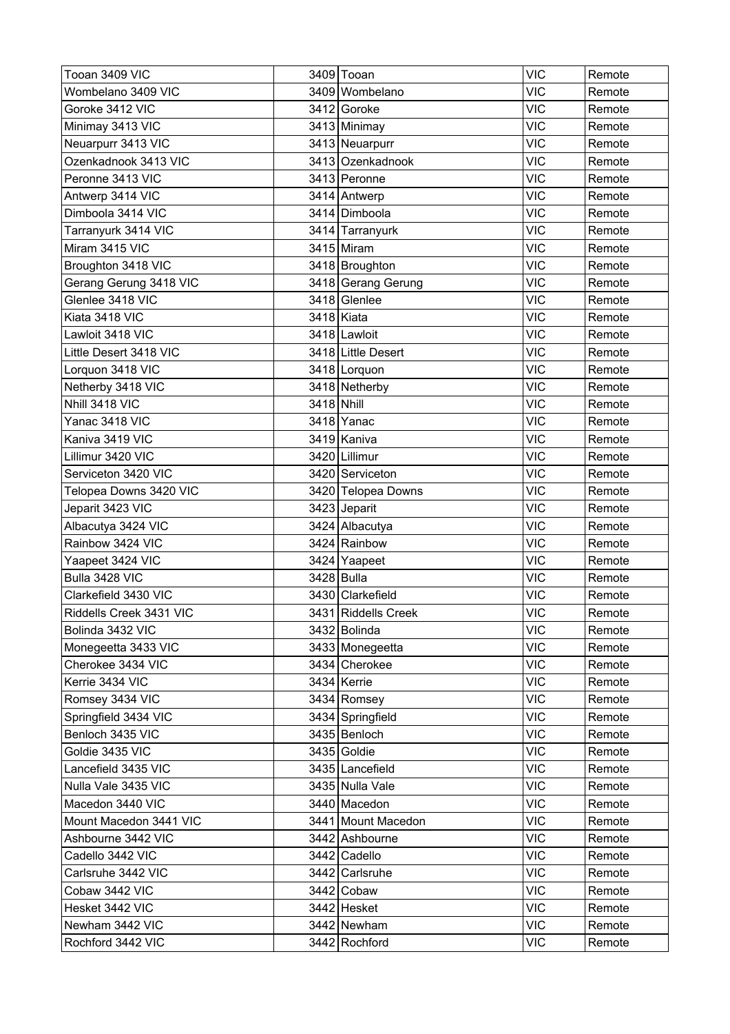| Tooan 3409 VIC          |            | 3409 Tooan          | <b>VIC</b> | Remote |
|-------------------------|------------|---------------------|------------|--------|
| Wombelano 3409 VIC      |            | 3409 Wombelano      | <b>VIC</b> | Remote |
| Goroke 3412 VIC         |            | 3412 Goroke         | <b>VIC</b> | Remote |
| Minimay 3413 VIC        |            | 3413 Minimay        | <b>VIC</b> | Remote |
| Neuarpurr 3413 VIC      |            | 3413 Neuarpurr      | <b>VIC</b> | Remote |
| Ozenkadnook 3413 VIC    |            | 3413 Ozenkadnook    | <b>VIC</b> | Remote |
| Peronne 3413 VIC        |            | 3413 Peronne        | <b>VIC</b> | Remote |
| Antwerp 3414 VIC        |            | 3414 Antwerp        | <b>VIC</b> | Remote |
| Dimboola 3414 VIC       |            | 3414 Dimboola       | <b>VIC</b> | Remote |
| Tarranyurk 3414 VIC     |            | 3414 Tarranyurk     | <b>VIC</b> | Remote |
| Miram 3415 VIC          |            | 3415 Miram          | <b>VIC</b> | Remote |
| Broughton 3418 VIC      |            | 3418 Broughton      | <b>VIC</b> | Remote |
| Gerang Gerung 3418 VIC  |            | 3418 Gerang Gerung  | <b>VIC</b> | Remote |
| Glenlee 3418 VIC        |            | 3418 Glenlee        | <b>VIC</b> | Remote |
| Kiata 3418 VIC          |            | 3418 Kiata          | <b>VIC</b> | Remote |
| Lawloit 3418 VIC        |            | 3418 Lawloit        | <b>VIC</b> | Remote |
| Little Desert 3418 VIC  |            | 3418 Little Desert  | <b>VIC</b> | Remote |
| Lorquon 3418 VIC        |            | 3418 Lorquon        | <b>VIC</b> | Remote |
| Netherby 3418 VIC       |            | 3418 Netherby       | <b>VIC</b> | Remote |
| Nhill 3418 VIC          | 3418 Nhill |                     | <b>VIC</b> | Remote |
| Yanac 3418 VIC          |            | 3418 Yanac          | <b>VIC</b> | Remote |
| Kaniva 3419 VIC         |            | 3419 Kaniva         | <b>VIC</b> | Remote |
| Lillimur 3420 VIC       |            | 3420 Lillimur       | <b>VIC</b> | Remote |
| Serviceton 3420 VIC     |            | 3420 Serviceton     | <b>VIC</b> | Remote |
| Telopea Downs 3420 VIC  |            | 3420 Telopea Downs  | <b>VIC</b> | Remote |
| Jeparit 3423 VIC        |            | 3423 Jeparit        | <b>VIC</b> | Remote |
| Albacutya 3424 VIC      |            | 3424 Albacutya      | <b>VIC</b> | Remote |
| Rainbow 3424 VIC        |            | 3424 Rainbow        | <b>VIC</b> | Remote |
| Yaapeet 3424 VIC        |            | 3424 Yaapeet        | <b>VIC</b> | Remote |
| Bulla 3428 VIC          |            | 3428 Bulla          | <b>VIC</b> | Remote |
| Clarkefield 3430 VIC    |            | 3430 Clarkefield    | <b>VIC</b> | Remote |
| Riddells Creek 3431 VIC |            | 3431 Riddells Creek | <b>VIC</b> | Remote |
| Bolinda 3432 VIC        |            | 3432 Bolinda        | <b>VIC</b> | Remote |
| Monegeetta 3433 VIC     |            | 3433 Monegeetta     | <b>VIC</b> | Remote |
| Cherokee 3434 VIC       |            | 3434 Cherokee       | <b>VIC</b> | Remote |
| Kerrie 3434 VIC         |            | 3434 Kerrie         | <b>VIC</b> | Remote |
| Romsey 3434 VIC         |            | 3434 Romsey         | <b>VIC</b> | Remote |
| Springfield 3434 VIC    |            | 3434 Springfield    | <b>VIC</b> | Remote |
| Benloch 3435 VIC        |            | 3435 Benloch        | <b>VIC</b> | Remote |
| Goldie 3435 VIC         |            | 3435 Goldie         | <b>VIC</b> | Remote |
| Lancefield 3435 VIC     |            | 3435 Lancefield     | <b>VIC</b> | Remote |
| Nulla Vale 3435 VIC     |            | 3435 Nulla Vale     | <b>VIC</b> | Remote |
| Macedon 3440 VIC        |            | 3440 Macedon        | <b>VIC</b> | Remote |
| Mount Macedon 3441 VIC  |            | 3441 Mount Macedon  | <b>VIC</b> | Remote |
| Ashbourne 3442 VIC      |            | 3442 Ashbourne      | <b>VIC</b> | Remote |
| Cadello 3442 VIC        |            | 3442 Cadello        | <b>VIC</b> | Remote |
| Carlsruhe 3442 VIC      |            | 3442 Carlsruhe      | <b>VIC</b> | Remote |
| Cobaw 3442 VIC          |            | 3442 Cobaw          | <b>VIC</b> | Remote |
| Hesket 3442 VIC         |            | 3442 Hesket         | <b>VIC</b> | Remote |
| Newham 3442 VIC         |            | 3442 Newham         | <b>VIC</b> | Remote |
| Rochford 3442 VIC       |            | 3442 Rochford       | <b>VIC</b> | Remote |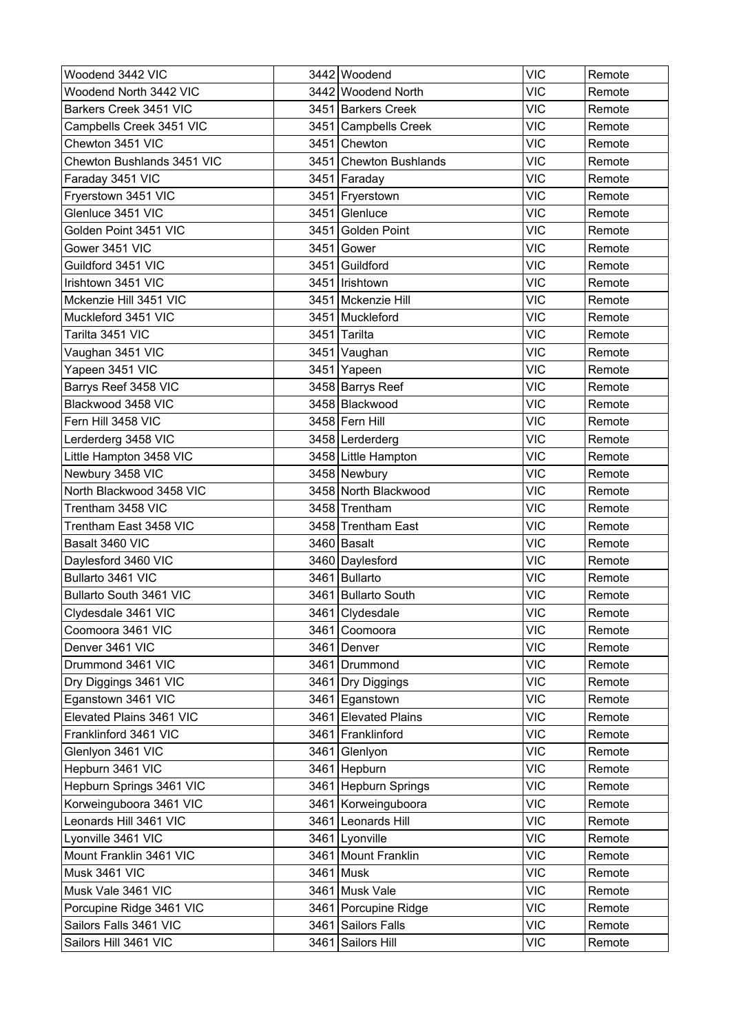| Woodend 3442 VIC           | 3442 Woodend           | <b>VIC</b> | Remote |
|----------------------------|------------------------|------------|--------|
| Woodend North 3442 VIC     | 3442 Woodend North     | <b>VIC</b> | Remote |
| Barkers Creek 3451 VIC     | 3451 Barkers Creek     | <b>VIC</b> | Remote |
| Campbells Creek 3451 VIC   | 3451 Campbells Creek   | <b>VIC</b> | Remote |
| Chewton 3451 VIC           | 3451 Chewton           | <b>VIC</b> | Remote |
| Chewton Bushlands 3451 VIC | 3451 Chewton Bushlands | <b>VIC</b> | Remote |
| Faraday 3451 VIC           | 3451 Faraday           | <b>VIC</b> | Remote |
| Fryerstown 3451 VIC        | 3451 Fryerstown        | <b>VIC</b> | Remote |
| Glenluce 3451 VIC          | 3451 Glenluce          | <b>VIC</b> | Remote |
| Golden Point 3451 VIC      | 3451 Golden Point      | <b>VIC</b> | Remote |
| Gower 3451 VIC             | 3451 Gower             | <b>VIC</b> | Remote |
| Guildford 3451 VIC         | 3451 Guildford         | <b>VIC</b> | Remote |
| Irishtown 3451 VIC         | 3451   Irishtown       | <b>VIC</b> | Remote |
| Mckenzie Hill 3451 VIC     | 3451   Mckenzie Hill   | <b>VIC</b> | Remote |
| Muckleford 3451 VIC        | 3451 Muckleford        | <b>VIC</b> | Remote |
| Tarilta 3451 VIC           | 3451 Tarilta           | <b>VIC</b> | Remote |
| Vaughan 3451 VIC           | 3451 Vaughan           | <b>VIC</b> | Remote |
| Yapeen 3451 VIC            | 3451 Yapeen            | <b>VIC</b> | Remote |
| Barrys Reef 3458 VIC       | 3458 Barrys Reef       | <b>VIC</b> | Remote |
| Blackwood 3458 VIC         | 3458 Blackwood         | <b>VIC</b> | Remote |
| Fern Hill 3458 VIC         | 3458 Fern Hill         | <b>VIC</b> | Remote |
| Lerderderg 3458 VIC        | 3458 Lerderderg        | <b>VIC</b> | Remote |
| Little Hampton 3458 VIC    | 3458 Little Hampton    | <b>VIC</b> | Remote |
| Newbury 3458 VIC           | 3458 Newbury           | <b>VIC</b> | Remote |
| North Blackwood 3458 VIC   | 3458 North Blackwood   | <b>VIC</b> | Remote |
| Trentham 3458 VIC          | 3458 Trentham          | <b>VIC</b> | Remote |
| Trentham East 3458 VIC     | 3458 Trentham East     | <b>VIC</b> | Remote |
| Basalt 3460 VIC            | 3460 Basalt            | <b>VIC</b> | Remote |
| Daylesford 3460 VIC        | 3460 Daylesford        | <b>VIC</b> | Remote |
| Bullarto 3461 VIC          | 3461 Bullarto          | <b>VIC</b> | Remote |
| Bullarto South 3461 VIC    | 3461 Bullarto South    | <b>VIC</b> | Remote |
| Clydesdale 3461 VIC        | 3461 Clydesdale        | <b>VIC</b> | Remote |
| Coomoora 3461 VIC          | 3461 Coomoora          | <b>VIC</b> | Remote |
| Denver 3461 VIC            | 3461 Denver            | <b>VIC</b> | Remote |
| Drummond 3461 VIC          | 3461   Drummond        | <b>VIC</b> | Remote |
| Dry Diggings 3461 VIC      | 3461 Dry Diggings      | <b>VIC</b> | Remote |
| Eganstown 3461 VIC         | 3461 Eganstown         | <b>VIC</b> | Remote |
| Elevated Plains 3461 VIC   | 3461 Elevated Plains   | <b>VIC</b> | Remote |
| Franklinford 3461 VIC      | 3461 Franklinford      | <b>VIC</b> | Remote |
| Glenlyon 3461 VIC          | 3461 Glenlyon          | <b>VIC</b> | Remote |
| Hepburn 3461 VIC           | 3461 Hepburn           | <b>VIC</b> | Remote |
| Hepburn Springs 3461 VIC   | 3461 Hepburn Springs   | <b>VIC</b> | Remote |
| Korweinguboora 3461 VIC    | 3461 Korweinguboora    | <b>VIC</b> | Remote |
| Leonards Hill 3461 VIC     | 3461 Leonards Hill     | <b>VIC</b> | Remote |
| Lyonville 3461 VIC         | 3461 Lyonville         | <b>VIC</b> | Remote |
| Mount Franklin 3461 VIC    | 3461 Mount Franklin    | <b>VIC</b> | Remote |
| Musk 3461 VIC              | 3461 Musk              | <b>VIC</b> | Remote |
| Musk Vale 3461 VIC         | 3461 Musk Vale         | <b>VIC</b> | Remote |
| Porcupine Ridge 3461 VIC   | 3461 Porcupine Ridge   | <b>VIC</b> | Remote |
| Sailors Falls 3461 VIC     | 3461 Sailors Falls     | <b>VIC</b> | Remote |
| Sailors Hill 3461 VIC      | 3461 Sailors Hill      | <b>VIC</b> | Remote |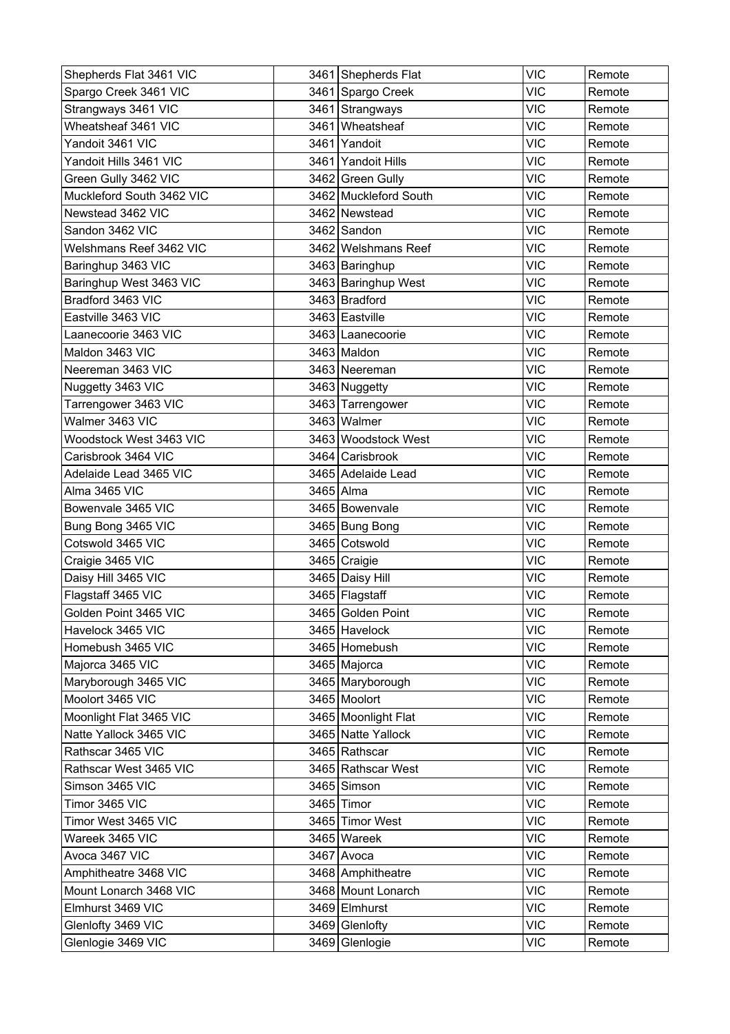| Shepherds Flat 3461 VIC   |      | 3461 Shepherds Flat   | <b>VIC</b> | Remote |
|---------------------------|------|-----------------------|------------|--------|
| Spargo Creek 3461 VIC     |      | 3461 Spargo Creek     | <b>VIC</b> | Remote |
| Strangways 3461 VIC       |      | 3461 Strangways       | <b>VIC</b> | Remote |
| Wheatsheaf 3461 VIC       | 3461 | Wheatsheaf            | <b>VIC</b> | Remote |
| Yandoit 3461 VIC          |      | 3461 Yandoit          | <b>VIC</b> | Remote |
| Yandoit Hills 3461 VIC    |      | 3461 Yandoit Hills    | <b>VIC</b> | Remote |
| Green Gully 3462 VIC      |      | 3462 Green Gully      | VIC        | Remote |
| Muckleford South 3462 VIC |      | 3462 Muckleford South | <b>VIC</b> | Remote |
| Newstead 3462 VIC         |      | 3462 Newstead         | <b>VIC</b> | Remote |
| Sandon 3462 VIC           |      | 3462 Sandon           | <b>VIC</b> | Remote |
| Welshmans Reef 3462 VIC   |      | 3462 Welshmans Reef   | <b>VIC</b> | Remote |
| Baringhup 3463 VIC        |      | 3463   Baringhup      | <b>VIC</b> | Remote |
| Baringhup West 3463 VIC   |      | 3463 Baringhup West   | <b>VIC</b> | Remote |
| Bradford 3463 VIC         |      | 3463 Bradford         | <b>VIC</b> | Remote |
| Eastville 3463 VIC        |      | 3463 Eastville        | <b>VIC</b> | Remote |
| Laanecoorie 3463 VIC      |      | 3463 Laanecoorie      | <b>VIC</b> | Remote |
| Maldon 3463 VIC           |      | 3463 Maldon           | <b>VIC</b> | Remote |
| Neereman 3463 VIC         |      | 3463 Neereman         | <b>VIC</b> | Remote |
| Nuggetty 3463 VIC         |      | 3463 Nuggetty         | <b>VIC</b> | Remote |
| Tarrengower 3463 VIC      |      | 3463 Tarrengower      | <b>VIC</b> | Remote |
| Walmer 3463 VIC           |      | 3463 Walmer           | <b>VIC</b> | Remote |
| Woodstock West 3463 VIC   |      | 3463 Woodstock West   | <b>VIC</b> | Remote |
| Carisbrook 3464 VIC       |      | 3464 Carisbrook       | <b>VIC</b> | Remote |
| Adelaide Lead 3465 VIC    |      | 3465 Adelaide Lead    | <b>VIC</b> | Remote |
| Alma 3465 VIC             |      | 3465 Alma             | <b>VIC</b> | Remote |
| Bowenvale 3465 VIC        |      | 3465 Bowenvale        | <b>VIC</b> | Remote |
| Bung Bong 3465 VIC        |      | 3465 Bung Bong        | <b>VIC</b> | Remote |
| Cotswold 3465 VIC         |      | 3465 Cotswold         | <b>VIC</b> | Remote |
| Craigie 3465 VIC          |      | 3465 Craigie          | <b>VIC</b> | Remote |
| Daisy Hill 3465 VIC       |      | 3465 Daisy Hill       | <b>VIC</b> | Remote |
| Flagstaff 3465 VIC        |      | 3465 Flagstaff        | <b>VIC</b> | Remote |
| Golden Point 3465 VIC     |      | 3465 Golden Point     | <b>VIC</b> | Remote |
| Havelock 3465 VIC         |      | 3465 Havelock         | <b>VIC</b> | Remote |
| Homebush 3465 VIC         |      | 3465 Homebush         | <b>VIC</b> | Remote |
| Majorca 3465 VIC          |      | 3465 Majorca          | <b>VIC</b> | Remote |
| Maryborough 3465 VIC      |      | 3465 Maryborough      | <b>VIC</b> | Remote |
| Moolort 3465 VIC          |      | 3465 Moolort          | <b>VIC</b> | Remote |
| Moonlight Flat 3465 VIC   |      | 3465 Moonlight Flat   | <b>VIC</b> | Remote |
| Natte Yallock 3465 VIC    |      | 3465 Natte Yallock    | <b>VIC</b> | Remote |
| Rathscar 3465 VIC         |      | 3465 Rathscar         | <b>VIC</b> | Remote |
| Rathscar West 3465 VIC    |      | 3465 Rathscar West    | <b>VIC</b> | Remote |
| Simson 3465 VIC           |      | 3465 Simson           | <b>VIC</b> | Remote |
| Timor 3465 VIC            |      | 3465 Timor            | <b>VIC</b> | Remote |
| Timor West 3465 VIC       |      | 3465 Timor West       | <b>VIC</b> | Remote |
| Wareek 3465 VIC           |      | 3465 Wareek           | <b>VIC</b> | Remote |
| Avoca 3467 VIC            |      | 3467 Avoca            | <b>VIC</b> | Remote |
| Amphitheatre 3468 VIC     |      | 3468 Amphitheatre     | <b>VIC</b> | Remote |
| Mount Lonarch 3468 VIC    |      | 3468 Mount Lonarch    | <b>VIC</b> | Remote |
| Elmhurst 3469 VIC         |      | 3469 Elmhurst         | <b>VIC</b> | Remote |
| Glenlofty 3469 VIC        |      | 3469 Glenlofty        | <b>VIC</b> | Remote |
| Glenlogie 3469 VIC        |      | 3469 Glenlogie        | <b>VIC</b> | Remote |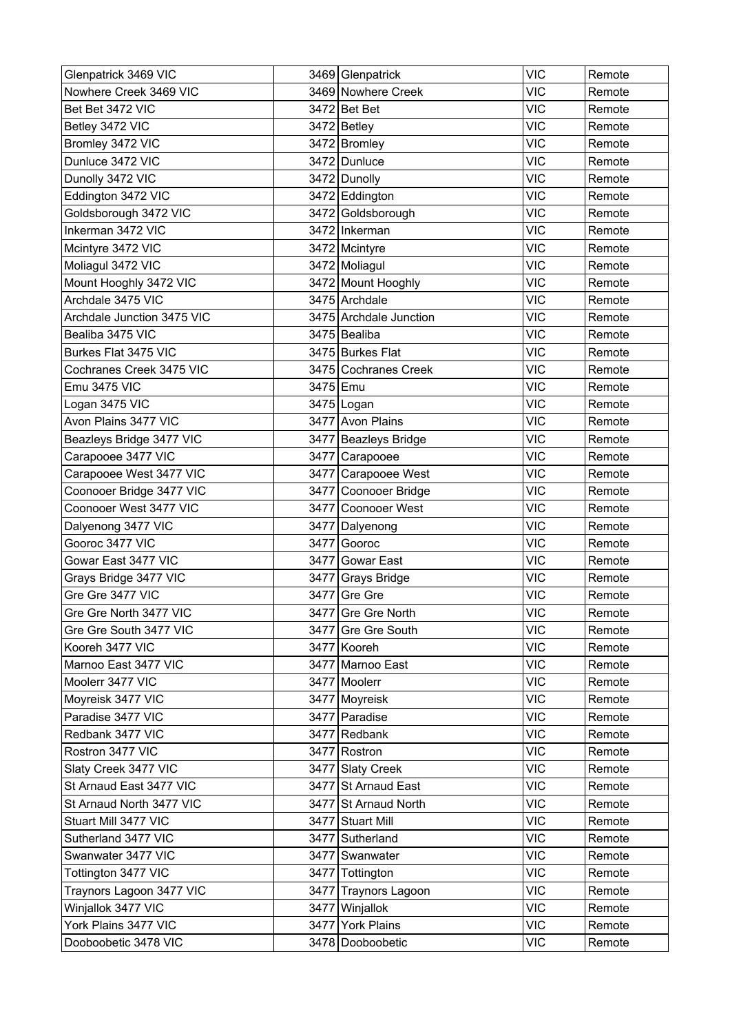| Glenpatrick 3469 VIC       |          | 3469 Glenpatrick       | <b>VIC</b> | Remote |
|----------------------------|----------|------------------------|------------|--------|
| Nowhere Creek 3469 VIC     |          | 3469 Nowhere Creek     | <b>VIC</b> | Remote |
| Bet Bet 3472 VIC           |          | 3472 Bet Bet           | <b>VIC</b> | Remote |
| Betley 3472 VIC            |          | 3472 Betley            | <b>VIC</b> | Remote |
| Bromley 3472 VIC           |          | 3472 Bromley           | <b>VIC</b> | Remote |
| Dunluce 3472 VIC           |          | 3472 Dunluce           | <b>VIC</b> | Remote |
| Dunolly 3472 VIC           |          | 3472 Dunolly           | <b>VIC</b> | Remote |
| Eddington 3472 VIC         |          | 3472 Eddington         | <b>VIC</b> | Remote |
| Goldsborough 3472 VIC      |          | 3472 Goldsborough      | <b>VIC</b> | Remote |
| Inkerman 3472 VIC          |          | 3472 Inkerman          | <b>VIC</b> | Remote |
| Mcintyre 3472 VIC          |          | 3472 Mcintyre          | <b>VIC</b> | Remote |
| Moliagul 3472 VIC          |          | 3472 Moliagul          | <b>VIC</b> | Remote |
| Mount Hooghly 3472 VIC     |          | 3472 Mount Hooghly     | <b>VIC</b> | Remote |
| Archdale 3475 VIC          |          | 3475 Archdale          | <b>VIC</b> | Remote |
| Archdale Junction 3475 VIC |          | 3475 Archdale Junction | <b>VIC</b> | Remote |
| Bealiba 3475 VIC           |          | 3475 Bealiba           | <b>VIC</b> | Remote |
| Burkes Flat 3475 VIC       |          | 3475 Burkes Flat       | <b>VIC</b> | Remote |
| Cochranes Creek 3475 VIC   |          | 3475 Cochranes Creek   | <b>VIC</b> | Remote |
| Emu 3475 VIC               | 3475 Emu |                        | <b>VIC</b> | Remote |
| Logan 3475 VIC             |          | 3475 Logan             | <b>VIC</b> | Remote |
| Avon Plains 3477 VIC       |          | 3477 Avon Plains       | <b>VIC</b> | Remote |
| Beazleys Bridge 3477 VIC   |          | 3477 Beazleys Bridge   | <b>VIC</b> | Remote |
| Carapooee 3477 VIC         |          | 3477 Carapooee         | <b>VIC</b> | Remote |
| Carapooee West 3477 VIC    |          | 3477 Carapooee West    | <b>VIC</b> | Remote |
| Coonooer Bridge 3477 VIC   |          | 3477 Coonooer Bridge   | <b>VIC</b> | Remote |
| Coonooer West 3477 VIC     | 3477     | Coonooer West          | <b>VIC</b> | Remote |
| Dalyenong 3477 VIC         | 3477     | Dalyenong              | <b>VIC</b> | Remote |
| Gooroc 3477 VIC            | 3477     | Gooroc                 | <b>VIC</b> | Remote |
| Gowar East 3477 VIC        | 3477     | Gowar East             | <b>VIC</b> | Remote |
| Grays Bridge 3477 VIC      |          | 3477 Grays Bridge      | <b>VIC</b> | Remote |
| Gre Gre 3477 VIC           |          | 3477 Gre Gre           | <b>VIC</b> | Remote |
| Gre Gre North 3477 VIC     |          | 3477 Gre Gre North     | <b>VIC</b> | Remote |
| Gre Gre South 3477 VIC     |          | 3477 Gre Gre South     | <b>VIC</b> | Remote |
| Kooreh 3477 VIC            |          | 3477 Kooreh            | <b>VIC</b> | Remote |
| Marnoo East 3477 VIC       |          | 3477 Marnoo East       | <b>VIC</b> | Remote |
| Moolerr 3477 VIC           |          | 3477 Moolerr           | <b>VIC</b> | Remote |
| Moyreisk 3477 VIC          |          | 3477 Moyreisk          | <b>VIC</b> | Remote |
| Paradise 3477 VIC          |          | 3477 Paradise          | <b>VIC</b> | Remote |
| Redbank 3477 VIC           |          | 3477 Redbank           | <b>VIC</b> | Remote |
| Rostron 3477 VIC           |          | 3477 Rostron           | <b>VIC</b> | Remote |
| Slaty Creek 3477 VIC       |          | 3477 Slaty Creek       | <b>VIC</b> | Remote |
| St Arnaud East 3477 VIC    |          | 3477 St Arnaud East    | <b>VIC</b> | Remote |
| St Arnaud North 3477 VIC   |          | 3477 St Arnaud North   | <b>VIC</b> | Remote |
| Stuart Mill 3477 VIC       |          | 3477 Stuart Mill       | <b>VIC</b> | Remote |
| Sutherland 3477 VIC        |          | 3477 Sutherland        | <b>VIC</b> | Remote |
| Swanwater 3477 VIC         |          | 3477 Swanwater         | <b>VIC</b> | Remote |
| Tottington 3477 VIC        |          | 3477 Tottington        | <b>VIC</b> | Remote |
| Traynors Lagoon 3477 VIC   |          | 3477 Traynors Lagoon   | <b>VIC</b> | Remote |
| Winjallok 3477 VIC         |          | 3477 Winjallok         | <b>VIC</b> | Remote |
| York Plains 3477 VIC       |          | 3477 York Plains       | <b>VIC</b> | Remote |
| Dooboobetic 3478 VIC       |          | 3478 Dooboobetic       | <b>VIC</b> | Remote |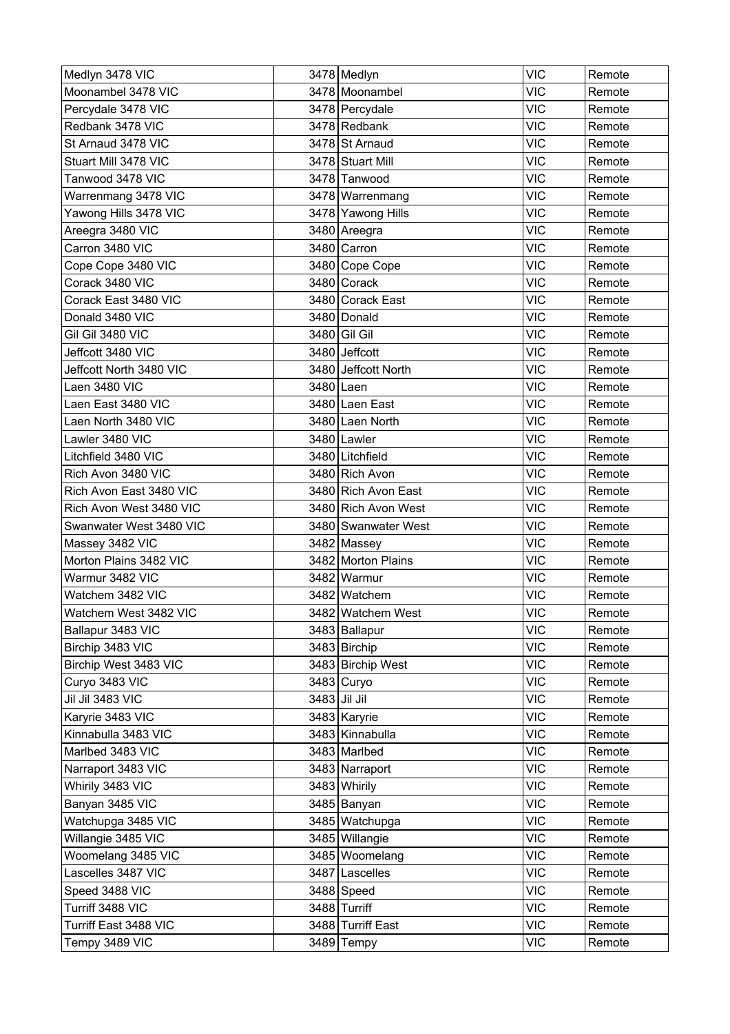| Medlyn 3478 VIC         | 3478 Medlyn         | <b>VIC</b> | Remote |
|-------------------------|---------------------|------------|--------|
| Moonambel 3478 VIC      | 3478 Moonambel      | <b>VIC</b> | Remote |
| Percydale 3478 VIC      | 3478 Percydale      | <b>VIC</b> | Remote |
| Redbank 3478 VIC        | 3478 Redbank        | <b>VIC</b> | Remote |
| St Arnaud 3478 VIC      | 3478 St Arnaud      | <b>VIC</b> | Remote |
| Stuart Mill 3478 VIC    | 3478 Stuart Mill    | <b>VIC</b> | Remote |
| Tanwood 3478 VIC        | 3478 Tanwood        | VIC        | Remote |
| Warrenmang 3478 VIC     | 3478 Warrenmang     | <b>VIC</b> | Remote |
| Yawong Hills 3478 VIC   | 3478 Yawong Hills   | <b>VIC</b> | Remote |
| Areegra 3480 VIC        | 3480 Areegra        | <b>VIC</b> | Remote |
| Carron 3480 VIC         | 3480 Carron         | <b>VIC</b> | Remote |
| Cope Cope 3480 VIC      | 3480 Cope Cope      | <b>VIC</b> | Remote |
| Corack 3480 VIC         | 3480 Corack         | <b>VIC</b> | Remote |
| Corack East 3480 VIC    | 3480 Corack East    | <b>VIC</b> | Remote |
| Donald 3480 VIC         | 3480 Donald         | <b>VIC</b> | Remote |
| Gil Gil 3480 VIC        | 3480 Gil Gil        | <b>VIC</b> | Remote |
| Jeffcott 3480 VIC       | 3480 Jeffcott       | <b>VIC</b> | Remote |
| Jeffcott North 3480 VIC | 3480 Jeffcott North | <b>VIC</b> | Remote |
| Laen 3480 VIC           | 3480 Laen           | <b>VIC</b> | Remote |
| Laen East 3480 VIC      | 3480 Laen East      | <b>VIC</b> | Remote |
| Laen North 3480 VIC     | 3480 Laen North     | <b>VIC</b> | Remote |
| Lawler 3480 VIC         | 3480 Lawler         | <b>VIC</b> | Remote |
| Litchfield 3480 VIC     | 3480 Litchfield     | <b>VIC</b> | Remote |
| Rich Avon 3480 VIC      | 3480 Rich Avon      | <b>VIC</b> | Remote |
| Rich Avon East 3480 VIC | 3480 Rich Avon East | <b>VIC</b> | Remote |
| Rich Avon West 3480 VIC | 3480 Rich Avon West | <b>VIC</b> | Remote |
| Swanwater West 3480 VIC | 3480 Swanwater West | <b>VIC</b> | Remote |
| Massey 3482 VIC         | 3482 Massey         | <b>VIC</b> | Remote |
| Morton Plains 3482 VIC  | 3482 Morton Plains  | <b>VIC</b> | Remote |
| Warmur 3482 VIC         | 3482 Warmur         | <b>VIC</b> | Remote |
| Watchem 3482 VIC        | 3482 Watchem        | <b>VIC</b> | Remote |
| Watchem West 3482 VIC   | 3482 Watchem West   | <b>VIC</b> | Remote |
| Ballapur 3483 VIC       | 3483 Ballapur       | <b>VIC</b> | Remote |
| Birchip 3483 VIC        | 3483 Birchip        | <b>VIC</b> | Remote |
| Birchip West 3483 VIC   | 3483 Birchip West   | <b>VIC</b> | Remote |
| Curyo 3483 VIC          | 3483 Curyo          | <b>VIC</b> | Remote |
| Jil Jil 3483 VIC        | 3483 Jil Jil        | <b>VIC</b> | Remote |
| Karyrie 3483 VIC        | 3483 Karyrie        | <b>VIC</b> | Remote |
| Kinnabulla 3483 VIC     | 3483 Kinnabulla     | <b>VIC</b> | Remote |
| Marlbed 3483 VIC        | 3483 Marlbed        | <b>VIC</b> | Remote |
| Narraport 3483 VIC      | 3483 Narraport      | <b>VIC</b> | Remote |
| Whirily 3483 VIC        | 3483 Whirily        | <b>VIC</b> | Remote |
| Banyan 3485 VIC         | 3485 Banyan         | <b>VIC</b> | Remote |
| Watchupga 3485 VIC      | 3485 Watchupga      | <b>VIC</b> | Remote |
| Willangie 3485 VIC      | 3485 Willangie      | <b>VIC</b> | Remote |
| Woomelang 3485 VIC      | 3485 Woomelang      | <b>VIC</b> | Remote |
| Lascelles 3487 VIC      | 3487 Lascelles      | <b>VIC</b> | Remote |
| Speed 3488 VIC          | 3488 Speed          | <b>VIC</b> | Remote |
| Turriff 3488 VIC        | 3488 Turriff        | <b>VIC</b> | Remote |
| Turriff East 3488 VIC   | 3488 Turriff East   | <b>VIC</b> | Remote |
| Tempy 3489 VIC          | $3489$ Tempy        | VIC        | Remote |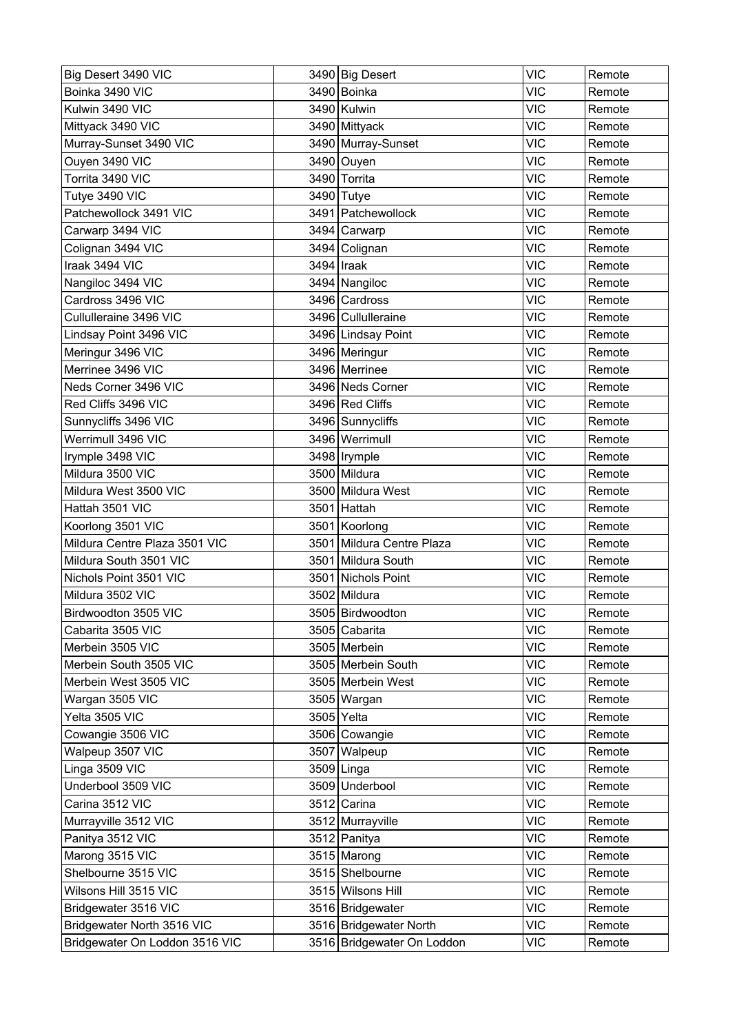| Big Desert 3490 VIC            | 3490 Big Desert            | <b>VIC</b> | Remote |
|--------------------------------|----------------------------|------------|--------|
| Boinka 3490 VIC                | 3490 Boinka                | <b>VIC</b> | Remote |
| Kulwin 3490 VIC                | 3490 Kulwin                | <b>VIC</b> | Remote |
| Mittyack 3490 VIC              | 3490 Mittyack              | <b>VIC</b> | Remote |
| Murray-Sunset 3490 VIC         | 3490 Murray-Sunset         | <b>VIC</b> | Remote |
| Ouyen 3490 VIC                 | 3490 Ouyen                 | <b>VIC</b> | Remote |
| Torrita 3490 VIC               | 3490 Torrita               | <b>VIC</b> | Remote |
| Tutye 3490 VIC                 | 3490 Tutye                 | <b>VIC</b> | Remote |
| Patchewollock 3491 VIC         | 3491 Patchewollock         | <b>VIC</b> | Remote |
| Carwarp 3494 VIC               | 3494 Carwarp               | <b>VIC</b> | Remote |
| Colignan 3494 VIC              | 3494 Colignan              | <b>VIC</b> | Remote |
| Iraak 3494 VIC                 | 3494   Iraak               | <b>VIC</b> | Remote |
| Nangiloc 3494 VIC              | 3494 Nangiloc              | <b>VIC</b> | Remote |
| Cardross 3496 VIC              | 3496 Cardross              | <b>VIC</b> | Remote |
| Cullulleraine 3496 VIC         | 3496 Cullulleraine         | <b>VIC</b> | Remote |
| Lindsay Point 3496 VIC         | 3496 Lindsay Point         | <b>VIC</b> | Remote |
| Meringur 3496 VIC              | 3496 Meringur              | <b>VIC</b> | Remote |
| Merrinee 3496 VIC              | 3496 Merrinee              | <b>VIC</b> | Remote |
| Neds Corner 3496 VIC           | 3496 Neds Corner           | <b>VIC</b> | Remote |
| Red Cliffs 3496 VIC            | 3496 Red Cliffs            | <b>VIC</b> | Remote |
| Sunnycliffs 3496 VIC           | 3496 Sunnycliffs           | <b>VIC</b> | Remote |
| Werrimull 3496 VIC             | 3496 Werrimull             | <b>VIC</b> | Remote |
| Irymple 3498 VIC               | 3498 Irymple               | <b>VIC</b> | Remote |
| Mildura 3500 VIC               | 3500 Mildura               | <b>VIC</b> | Remote |
| Mildura West 3500 VIC          | 3500 Mildura West          | <b>VIC</b> | Remote |
| Hattah 3501 VIC                | 3501 Hattah                | <b>VIC</b> | Remote |
| Koorlong 3501 VIC              | 3501 Koorlong              | <b>VIC</b> | Remote |
| Mildura Centre Plaza 3501 VIC  | 3501 Mildura Centre Plaza  | <b>VIC</b> | Remote |
| Mildura South 3501 VIC         | 3501 Mildura South         | <b>VIC</b> | Remote |
| Nichols Point 3501 VIC         | 3501 Nichols Point         | <b>VIC</b> | Remote |
| Mildura 3502 VIC               | 3502 Mildura               | <b>VIC</b> | Remote |
| Birdwoodton 3505 VIC           | 3505 Birdwoodton           | <b>VIC</b> | Remote |
| Cabarita 3505 VIC              | 3505 Cabarita              | <b>VIC</b> | Remote |
| Merbein 3505 VIC               | 3505 Merbein               | <b>VIC</b> | Remote |
| Merbein South 3505 VIC         | 3505 Merbein South         | <b>VIC</b> | Remote |
| Merbein West 3505 VIC          | 3505 Merbein West          | <b>VIC</b> | Remote |
| Wargan 3505 VIC                | 3505 Wargan                | <b>VIC</b> | Remote |
| Yelta 3505 VIC                 | 3505 Yelta                 | <b>VIC</b> | Remote |
| Cowangie 3506 VIC              | 3506 Cowangie              | <b>VIC</b> | Remote |
| Walpeup 3507 VIC               | 3507 Walpeup               | <b>VIC</b> | Remote |
| Linga 3509 VIC                 | 3509 Linga                 | <b>VIC</b> | Remote |
| Underbool 3509 VIC             | 3509 Underbool             | <b>VIC</b> | Remote |
| Carina 3512 VIC                | $3512$ Carina              | <b>VIC</b> | Remote |
| Murrayville 3512 VIC           | 3512 Murrayville           | <b>VIC</b> | Remote |
| Panitya 3512 VIC               | 3512 Panitya               | <b>VIC</b> | Remote |
| Marong 3515 VIC                | 3515 Marong                | <b>VIC</b> | Remote |
| Shelbourne 3515 VIC            | 3515 Shelbourne            | <b>VIC</b> | Remote |
| Wilsons Hill 3515 VIC          | 3515 Wilsons Hill          | <b>VIC</b> | Remote |
| Bridgewater 3516 VIC           | 3516 Bridgewater           | <b>VIC</b> | Remote |
| Bridgewater North 3516 VIC     | 3516 Bridgewater North     | <b>VIC</b> | Remote |
| Bridgewater On Loddon 3516 VIC | 3516 Bridgewater On Loddon | <b>VIC</b> | Remote |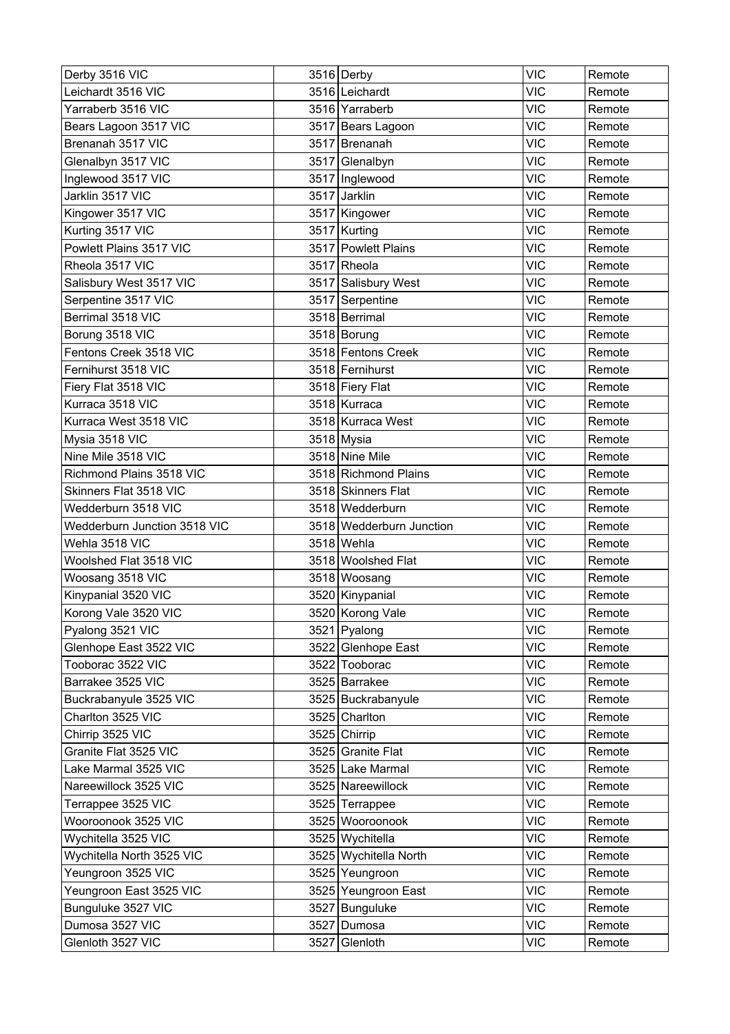| Derby 3516 VIC               |      | 3516 Derby               | <b>VIC</b> | Remote |
|------------------------------|------|--------------------------|------------|--------|
| Leichardt 3516 VIC           |      | 3516 Leichardt           | <b>VIC</b> | Remote |
| Yarraberb 3516 VIC           |      | 3516 Yarraberb           | <b>VIC</b> | Remote |
| Bears Lagoon 3517 VIC        |      | 3517 Bears Lagoon        | <b>VIC</b> | Remote |
| Brenanah 3517 VIC            |      | 3517 Brenanah            | <b>VIC</b> | Remote |
| Glenalbyn 3517 VIC           |      | 3517 Glenalbyn           | <b>VIC</b> | Remote |
| Inglewood 3517 VIC           |      | 3517 Inglewood           | <b>VIC</b> | Remote |
| Jarklin 3517 VIC             |      | 3517 Jarklin             | <b>VIC</b> | Remote |
| Kingower 3517 VIC            |      | 3517 Kingower            | <b>VIC</b> | Remote |
| Kurting 3517 VIC             |      | 3517 Kurting             | <b>VIC</b> | Remote |
| Powlett Plains 3517 VIC      |      | 3517 Powlett Plains      | <b>VIC</b> | Remote |
| Rheola 3517 VIC              |      | 3517 Rheola              | <b>VIC</b> | Remote |
| Salisbury West 3517 VIC      |      | 3517 Salisbury West      | <b>VIC</b> | Remote |
| Serpentine 3517 VIC          |      | 3517 Serpentine          | <b>VIC</b> | Remote |
| Berrimal 3518 VIC            |      | 3518 Berrimal            | <b>VIC</b> | Remote |
| Borung 3518 VIC              |      | 3518 Borung              | <b>VIC</b> | Remote |
| Fentons Creek 3518 VIC       |      | 3518 Fentons Creek       | <b>VIC</b> | Remote |
| Fernihurst 3518 VIC          |      | 3518 Fernihurst          | <b>VIC</b> | Remote |
| Fiery Flat 3518 VIC          |      | 3518 Fiery Flat          | <b>VIC</b> | Remote |
| Kurraca 3518 VIC             |      | 3518 Kurraca             | <b>VIC</b> | Remote |
| Kurraca West 3518 VIC        |      | 3518 Kurraca West        | <b>VIC</b> | Remote |
| Mysia 3518 VIC               |      | 3518 Mysia               | <b>VIC</b> | Remote |
| Nine Mile 3518 VIC           |      | 3518 Nine Mile           | <b>VIC</b> | Remote |
| Richmond Plains 3518 VIC     |      | 3518 Richmond Plains     | <b>VIC</b> | Remote |
| Skinners Flat 3518 VIC       |      | 3518 Skinners Flat       | <b>VIC</b> | Remote |
| Wedderburn 3518 VIC          |      | 3518 Wedderburn          | <b>VIC</b> | Remote |
| Wedderburn Junction 3518 VIC |      | 3518 Wedderburn Junction | <b>VIC</b> | Remote |
| Wehla 3518 VIC               |      | 3518 Wehla               | <b>VIC</b> | Remote |
| Woolshed Flat 3518 VIC       |      | 3518 Woolshed Flat       | <b>VIC</b> | Remote |
| Woosang 3518 VIC             |      | 3518 Woosang             | <b>VIC</b> | Remote |
| Kinypanial 3520 VIC          |      | 3520 Kinypanial          | <b>VIC</b> | Remote |
| Korong Vale 3520 VIC         |      | 3520 Korong Vale         | <b>VIC</b> | Remote |
| Pyalong 3521 VIC             |      | 3521 Pyalong             | <b>VIC</b> | Remote |
| Glenhope East 3522 VIC       |      | 3522 Glenhope East       | <b>VIC</b> | Remote |
| Tooborac 3522 VIC            |      | 3522 Tooborac            | <b>VIC</b> | Remote |
| Barrakee 3525 VIC            |      | 3525 Barrakee            | <b>VIC</b> | Remote |
| Buckrabanyule 3525 VIC       |      | 3525 Buckrabanyule       | <b>VIC</b> | Remote |
| Charlton 3525 VIC            |      | 3525 Charlton            | <b>VIC</b> | Remote |
| Chirrip 3525 VIC             |      | 3525 Chirrip             | <b>VIC</b> | Remote |
| Granite Flat 3525 VIC        |      | 3525 Granite Flat        | <b>VIC</b> | Remote |
| Lake Marmal 3525 VIC         |      | 3525 Lake Marmal         | <b>VIC</b> | Remote |
| Nareewillock 3525 VIC        |      | 3525 Nareewillock        | <b>VIC</b> | Remote |
| Terrappee 3525 VIC           |      | 3525 Terrappee           | <b>VIC</b> | Remote |
| Wooroonook 3525 VIC          |      | 3525 Wooroonook          | <b>VIC</b> | Remote |
| Wychitella 3525 VIC          |      | 3525 Wychitella          | <b>VIC</b> | Remote |
| Wychitella North 3525 VIC    |      | 3525 Wychitella North    | <b>VIC</b> | Remote |
| Yeungroon 3525 VIC           |      | 3525 Yeungroon           | <b>VIC</b> | Remote |
| Yeungroon East 3525 VIC      |      | 3525 Yeungroon East      | <b>VIC</b> | Remote |
| Bunguluke 3527 VIC           |      | 3527 Bunguluke           | <b>VIC</b> | Remote |
| Dumosa 3527 VIC              |      | 3527 Dumosa              | <b>VIC</b> | Remote |
| Glenloth 3527 VIC            | 3527 | Glenloth                 | <b>VIC</b> | Remote |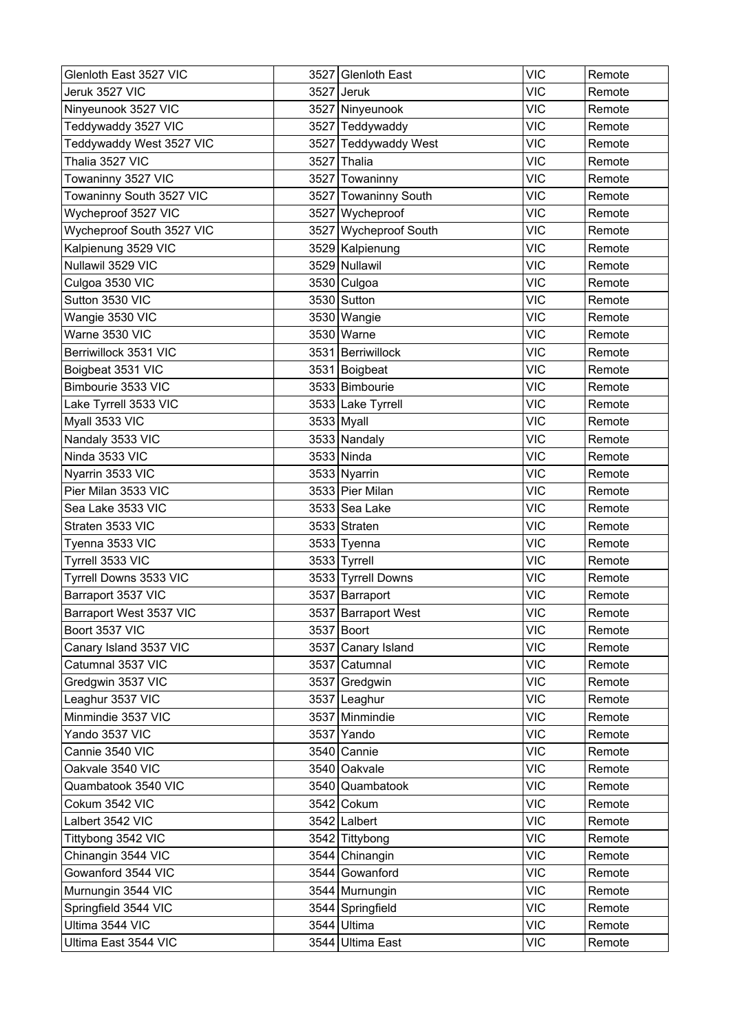| Glenloth East 3527 VIC    |      | 3527 Glenloth East    | <b>VIC</b> | Remote |
|---------------------------|------|-----------------------|------------|--------|
| Jeruk 3527 VIC            | 3527 | <b>Jeruk</b>          | <b>VIC</b> | Remote |
| Ninyeunook 3527 VIC       |      | 3527 Ninyeunook       | <b>VIC</b> | Remote |
| Teddywaddy 3527 VIC       |      | 3527 Teddywaddy       | <b>VIC</b> | Remote |
| Teddywaddy West 3527 VIC  |      | 3527 Teddywaddy West  | <b>VIC</b> | Remote |
| Thalia 3527 VIC           | 3527 | Thalia                | <b>VIC</b> | Remote |
| Towaninny 3527 VIC        | 3527 | Towaninny             | <b>VIC</b> | Remote |
| Towaninny South 3527 VIC  |      | 3527 Towaninny South  | <b>VIC</b> | Remote |
| Wycheproof 3527 VIC       |      | 3527 Wycheproof       | <b>VIC</b> | Remote |
| Wycheproof South 3527 VIC |      | 3527 Wycheproof South | <b>VIC</b> | Remote |
| Kalpienung 3529 VIC       |      | 3529 Kalpienung       | <b>VIC</b> | Remote |
| Nullawil 3529 VIC         |      | 3529 Nullawil         | <b>VIC</b> | Remote |
| Culgoa 3530 VIC           |      | 3530 Culgoa           | <b>VIC</b> | Remote |
| Sutton 3530 VIC           |      | 3530 Sutton           | <b>VIC</b> | Remote |
| Wangie 3530 VIC           |      | 3530 Wangie           | <b>VIC</b> | Remote |
| Warne 3530 VIC            |      | 3530 Warne            | <b>VIC</b> | Remote |
| Berriwillock 3531 VIC     |      | 3531 Berriwillock     | <b>VIC</b> | Remote |
| Boigbeat 3531 VIC         |      | 3531 Boigbeat         | <b>VIC</b> | Remote |
| Bimbourie 3533 VIC        |      | 3533 Bimbourie        | <b>VIC</b> | Remote |
| Lake Tyrrell 3533 VIC     |      | 3533 Lake Tyrrell     | <b>VIC</b> | Remote |
| Myall 3533 VIC            |      | 3533 Myall            | <b>VIC</b> | Remote |
| Nandaly 3533 VIC          |      | 3533 Nandaly          | <b>VIC</b> | Remote |
| Ninda 3533 VIC            |      | 3533 Ninda            | <b>VIC</b> | Remote |
| Nyarrin 3533 VIC          |      | 3533 Nyarrin          | <b>VIC</b> | Remote |
| Pier Milan 3533 VIC       |      | 3533 Pier Milan       | <b>VIC</b> | Remote |
| Sea Lake 3533 VIC         |      | 3533 Sea Lake         | <b>VIC</b> | Remote |
| Straten 3533 VIC          |      | 3533 Straten          | <b>VIC</b> | Remote |
| Tyenna 3533 VIC           |      | 3533 Tyenna           | <b>VIC</b> | Remote |
| Tyrrell 3533 VIC          |      | $3533$ Tyrrell        | <b>VIC</b> | Remote |
| Tyrrell Downs 3533 VIC    |      | 3533 Tyrrell Downs    | <b>VIC</b> | Remote |
| Barraport 3537 VIC        |      | 3537 Barraport        | <b>VIC</b> | Remote |
| Barraport West 3537 VIC   |      | 3537 Barraport West   | <b>VIC</b> | Remote |
| Boort 3537 VIC            |      | 3537 Boort            | <b>VIC</b> | Remote |
| Canary Island 3537 VIC    |      | 3537 Canary Island    | <b>VIC</b> | Remote |
| Catumnal 3537 VIC         |      | 3537 Catumnal         | <b>VIC</b> | Remote |
| Gredgwin 3537 VIC         |      | 3537 Gredgwin         | <b>VIC</b> | Remote |
| Leaghur 3537 VIC          |      | 3537 Leaghur          | <b>VIC</b> | Remote |
| Minmindie 3537 VIC        |      | 3537 Minmindie        | <b>VIC</b> | Remote |
| Yando 3537 VIC            |      | 3537 Yando            | <b>VIC</b> | Remote |
| Cannie 3540 VIC           |      | 3540 Cannie           | <b>VIC</b> | Remote |
| Oakvale 3540 VIC          |      | 3540 Oakvale          | <b>VIC</b> | Remote |
| Quambatook 3540 VIC       |      | 3540 Quambatook       | <b>VIC</b> | Remote |
| Cokum 3542 VIC            |      | 3542 Cokum            | <b>VIC</b> | Remote |
| Lalbert 3542 VIC          |      | 3542 Lalbert          | <b>VIC</b> | Remote |
| Tittybong 3542 VIC        |      | 3542 Tittybong        | <b>VIC</b> | Remote |
| Chinangin 3544 VIC        |      | 3544 Chinangin        | <b>VIC</b> | Remote |
| Gowanford 3544 VIC        |      | 3544 Gowanford        | <b>VIC</b> | Remote |
| Murnungin 3544 VIC        |      | 3544 Murnungin        | <b>VIC</b> | Remote |
| Springfield 3544 VIC      |      | 3544 Springfield      | <b>VIC</b> | Remote |
| Ultima 3544 VIC           |      | 3544 Ultima           | <b>VIC</b> | Remote |
| Ultima East 3544 VIC      |      | 3544 Ultima East      | <b>VIC</b> | Remote |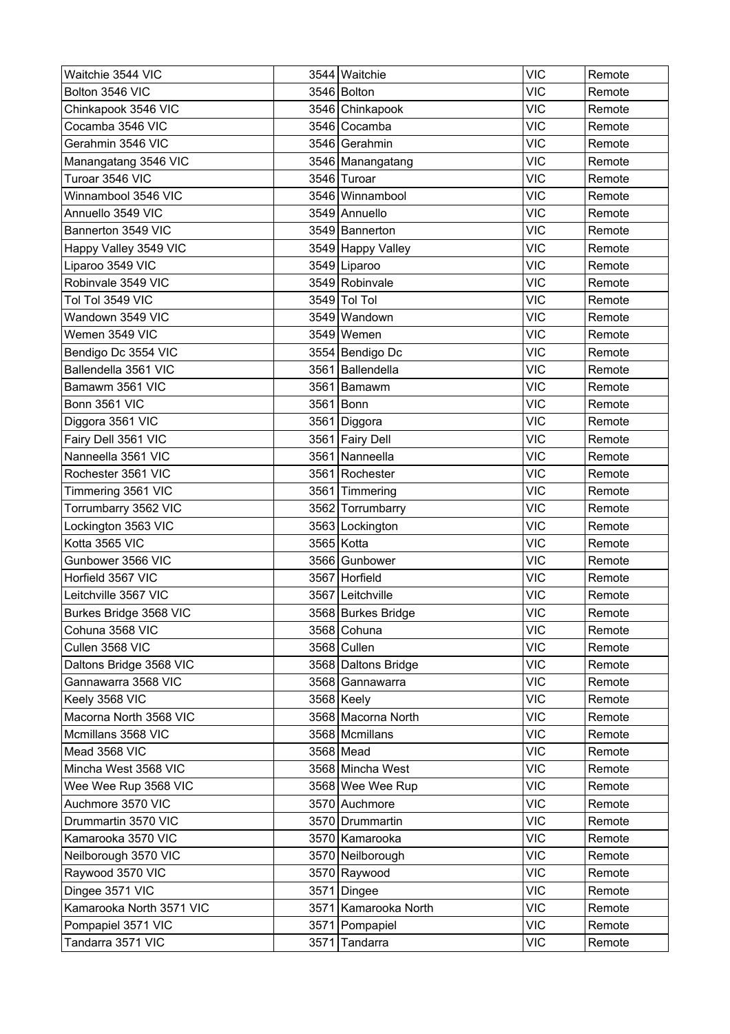| Waitchie 3544 VIC        | 3544 Waitchie        | <b>VIC</b> | Remote |
|--------------------------|----------------------|------------|--------|
| Bolton 3546 VIC          | 3546 Bolton          | <b>VIC</b> | Remote |
| Chinkapook 3546 VIC      | 3546 Chinkapook      | <b>VIC</b> | Remote |
| Cocamba 3546 VIC         | 3546 Cocamba         | <b>VIC</b> | Remote |
| Gerahmin 3546 VIC        | 3546 Gerahmin        | <b>VIC</b> | Remote |
| Manangatang 3546 VIC     | 3546   Manangatang   | <b>VIC</b> | Remote |
| Turoar 3546 VIC          | 3546 Turoar          | <b>VIC</b> | Remote |
| Winnambool 3546 VIC      | 3546 Winnambool      | <b>VIC</b> | Remote |
| Annuello 3549 VIC        | 3549 Annuello        | <b>VIC</b> | Remote |
| Bannerton 3549 VIC       | 3549 Bannerton       | <b>VIC</b> | Remote |
| Happy Valley 3549 VIC    | 3549 Happy Valley    | <b>VIC</b> | Remote |
| Liparoo 3549 VIC         | 3549 Liparoo         | <b>VIC</b> | Remote |
| Robinvale 3549 VIC       | 3549 Robinvale       | <b>VIC</b> | Remote |
| Tol Tol 3549 VIC         | 3549 Tol Tol         | <b>VIC</b> | Remote |
| Wandown 3549 VIC         | 3549 Wandown         | <b>VIC</b> | Remote |
| Wemen 3549 VIC           | 3549 Wemen           | <b>VIC</b> | Remote |
| Bendigo Dc 3554 VIC      | 3554 Bendigo Dc      | <b>VIC</b> | Remote |
| Ballendella 3561 VIC     | 3561 Ballendella     | <b>VIC</b> | Remote |
| Bamawm 3561 VIC          | 3561 Bamawm          | <b>VIC</b> | Remote |
| Bonn 3561 VIC            | 3561 Bonn            | <b>VIC</b> | Remote |
| Diggora 3561 VIC         | 3561   Diggora       | <b>VIC</b> | Remote |
| Fairy Dell 3561 VIC      | 3561 Fairy Dell      | <b>VIC</b> | Remote |
| Nanneella 3561 VIC       | 3561 Nanneella       | <b>VIC</b> | Remote |
| Rochester 3561 VIC       | 3561 Rochester       | <b>VIC</b> | Remote |
| Timmering 3561 VIC       | 3561 Timmering       | <b>VIC</b> | Remote |
| Torrumbarry 3562 VIC     | 3562 Torrumbarry     | <b>VIC</b> | Remote |
| Lockington 3563 VIC      | 3563 Lockington      | <b>VIC</b> | Remote |
| Kotta 3565 VIC           | 3565 Kotta           | <b>VIC</b> | Remote |
| Gunbower 3566 VIC        | 3566 Gunbower        | <b>VIC</b> | Remote |
| Horfield 3567 VIC        | 3567 Horfield        | <b>VIC</b> | Remote |
| Leitchville 3567 VIC     | 3567 Leitchville     | <b>VIC</b> | Remote |
| Burkes Bridge 3568 VIC   | 3568 Burkes Bridge   | <b>VIC</b> | Remote |
| Cohuna 3568 VIC          | 3568 Cohuna          | <b>VIC</b> | Remote |
| Cullen 3568 VIC          | 3568 Cullen          | <b>VIC</b> | Remote |
| Daltons Bridge 3568 VIC  | 3568 Daltons Bridge  | <b>VIC</b> | Remote |
| Gannawarra 3568 VIC      | 3568 Gannawarra      | <b>VIC</b> | Remote |
| Keely 3568 VIC           | 3568 Keely           | <b>VIC</b> | Remote |
| Macorna North 3568 VIC   | 3568 Macorna North   | <b>VIC</b> | Remote |
| Mcmillans 3568 VIC       | 3568 Mcmillans       | <b>VIC</b> | Remote |
| Mead 3568 VIC            | 3568 Mead            | <b>VIC</b> | Remote |
| Mincha West 3568 VIC     | 3568 Mincha West     | <b>VIC</b> | Remote |
| Wee Wee Rup 3568 VIC     | 3568 Wee Wee Rup     | <b>VIC</b> | Remote |
| Auchmore 3570 VIC        | 3570 Auchmore        | <b>VIC</b> | Remote |
| Drummartin 3570 VIC      | 3570 Drummartin      | <b>VIC</b> | Remote |
| Kamarooka 3570 VIC       | 3570 Kamarooka       | <b>VIC</b> | Remote |
| Neilborough 3570 VIC     | 3570 Neilborough     | <b>VIC</b> | Remote |
| Raywood 3570 VIC         | 3570 Raywood         | <b>VIC</b> | Remote |
| Dingee 3571 VIC          | 3571 Dingee          | <b>VIC</b> | Remote |
| Kamarooka North 3571 VIC | 3571 Kamarooka North | <b>VIC</b> | Remote |
| Pompapiel 3571 VIC       | 3571 Pompapiel       | <b>VIC</b> | Remote |
| Tandarra 3571 VIC        | 3571 Tandarra        | <b>VIC</b> | Remote |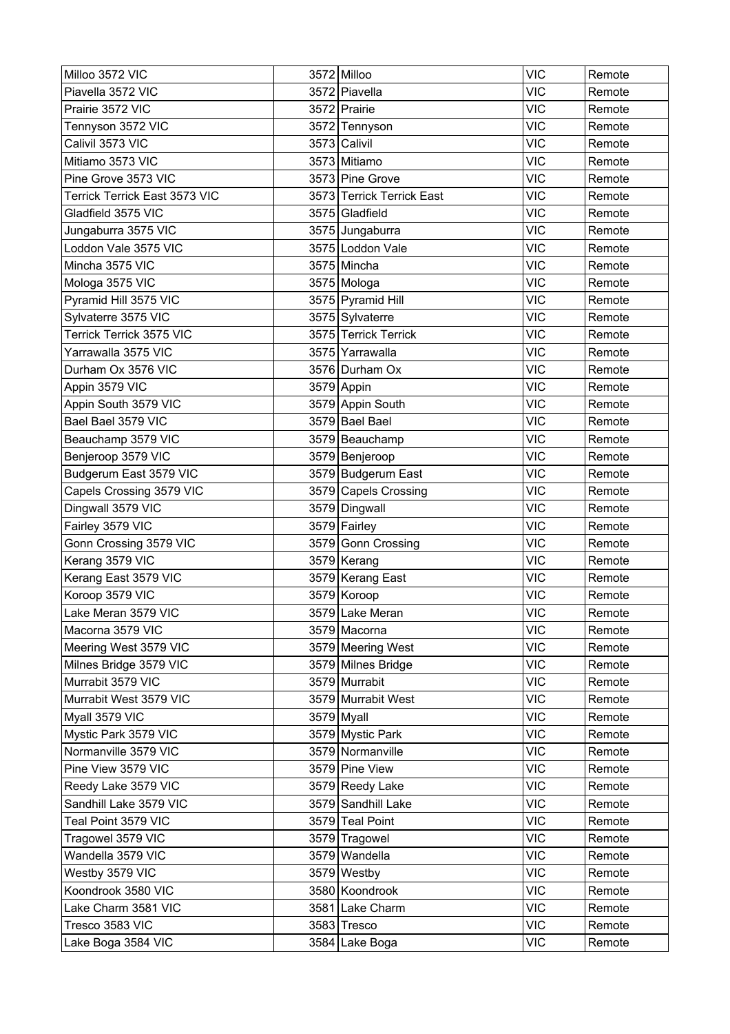| Milloo 3572 VIC               | 3572 Milloo               | <b>VIC</b> | Remote |
|-------------------------------|---------------------------|------------|--------|
| Piavella 3572 VIC             | 3572 Piavella             | <b>VIC</b> | Remote |
| Prairie 3572 VIC              | 3572 Prairie              | <b>VIC</b> | Remote |
| Tennyson 3572 VIC             | 3572 Tennyson             | <b>VIC</b> | Remote |
| Calivil 3573 VIC              | 3573 Calivil              | <b>VIC</b> | Remote |
| Mitiamo 3573 VIC              | 3573 Mitiamo              | <b>VIC</b> | Remote |
| Pine Grove 3573 VIC           | 3573 Pine Grove           | <b>VIC</b> | Remote |
| Terrick Terrick East 3573 VIC | 3573 Terrick Terrick East | <b>VIC</b> | Remote |
| Gladfield 3575 VIC            | 3575 Gladfield            | <b>VIC</b> | Remote |
| Jungaburra 3575 VIC           | 3575 Jungaburra           | <b>VIC</b> | Remote |
| Loddon Vale 3575 VIC          | 3575 Loddon Vale          | <b>VIC</b> | Remote |
| Mincha 3575 VIC               | 3575 Mincha               | <b>VIC</b> | Remote |
| Mologa 3575 VIC               | 3575 Mologa               | <b>VIC</b> | Remote |
| Pyramid Hill 3575 VIC         | 3575 Pyramid Hill         | <b>VIC</b> | Remote |
| Sylvaterre 3575 VIC           | 3575 Sylvaterre           | <b>VIC</b> | Remote |
| Terrick Terrick 3575 VIC      | 3575 Terrick Terrick      | <b>VIC</b> | Remote |
| Yarrawalla 3575 VIC           | 3575 Yarrawalla           | <b>VIC</b> | Remote |
| Durham Ox 3576 VIC            | 3576 Durham Ox            | <b>VIC</b> | Remote |
| Appin 3579 VIC                | 3579 Appin                | <b>VIC</b> | Remote |
| Appin South 3579 VIC          | 3579 Appin South          | <b>VIC</b> | Remote |
| Bael Bael 3579 VIC            | 3579 Bael Bael            | <b>VIC</b> | Remote |
| Beauchamp 3579 VIC            | 3579 Beauchamp            | <b>VIC</b> | Remote |
| Benjeroop 3579 VIC            | 3579 Benjeroop            | <b>VIC</b> | Remote |
| Budgerum East 3579 VIC        | 3579 Budgerum East        | <b>VIC</b> | Remote |
| Capels Crossing 3579 VIC      | 3579 Capels Crossing      | <b>VIC</b> | Remote |
| Dingwall 3579 VIC             | 3579 Dingwall             | <b>VIC</b> | Remote |
| Fairley 3579 VIC              | 3579 Fairley              | <b>VIC</b> | Remote |
| Gonn Crossing 3579 VIC        | 3579 Gonn Crossing        | <b>VIC</b> | Remote |
| Kerang 3579 VIC               | 3579 Kerang               | <b>VIC</b> | Remote |
| Kerang East 3579 VIC          | 3579 Kerang East          | <b>VIC</b> | Remote |
| Koroop 3579 VIC               | 3579 Koroop               | <b>VIC</b> | Remote |
| Lake Meran 3579 VIC           | 3579 Lake Meran           | <b>VIC</b> | Remote |
| Macorna 3579 VIC              | 3579 Macorna              | <b>VIC</b> | Remote |
| Meering West 3579 VIC         | 3579 Meering West         | <b>VIC</b> | Remote |
| Milnes Bridge 3579 VIC        | 3579 Milnes Bridge        | <b>VIC</b> | Remote |
| Murrabit 3579 VIC             | 3579 Murrabit             | <b>VIC</b> | Remote |
| Murrabit West 3579 VIC        | 3579 Murrabit West        | <b>VIC</b> | Remote |
| Myall 3579 VIC                | 3579 Myall                | <b>VIC</b> | Remote |
| Mystic Park 3579 VIC          | 3579 Mystic Park          | <b>VIC</b> | Remote |
| Normanville 3579 VIC          | 3579 Normanville          | <b>VIC</b> | Remote |
| Pine View 3579 VIC            | 3579 Pine View            | <b>VIC</b> | Remote |
| Reedy Lake 3579 VIC           | 3579 Reedy Lake           | <b>VIC</b> | Remote |
| Sandhill Lake 3579 VIC        | 3579 Sandhill Lake        | <b>VIC</b> | Remote |
| Teal Point 3579 VIC           | 3579 Teal Point           | <b>VIC</b> | Remote |
| Tragowel 3579 VIC             | 3579 Tragowel             | <b>VIC</b> | Remote |
| Wandella 3579 VIC             | 3579 Wandella             | <b>VIC</b> | Remote |
| Westby 3579 VIC               | 3579 Westby               | <b>VIC</b> | Remote |
| Koondrook 3580 VIC            | 3580 Koondrook            | <b>VIC</b> | Remote |
| Lake Charm 3581 VIC           | 3581 Lake Charm           | <b>VIC</b> | Remote |
| Tresco 3583 VIC               | 3583 Tresco               | <b>VIC</b> | Remote |
| Lake Boga 3584 VIC            | 3584 Lake Boga            | VIC        | Remote |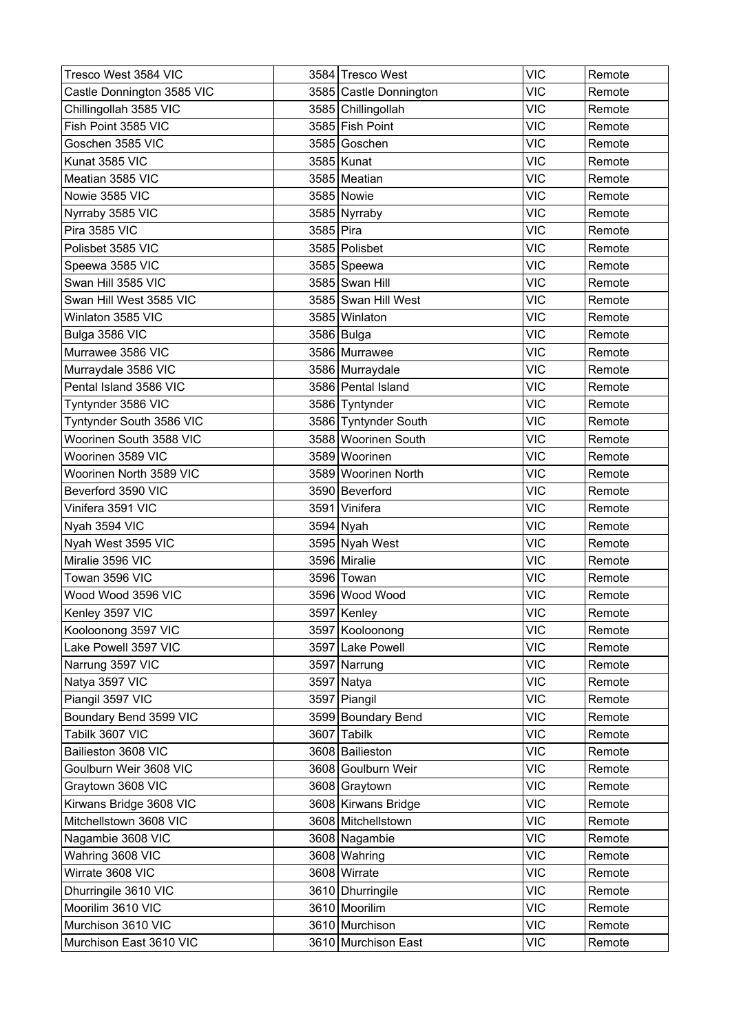| Tresco West 3584 VIC       |           | 3584 Tresco West       | <b>VIC</b> | Remote |
|----------------------------|-----------|------------------------|------------|--------|
| Castle Donnington 3585 VIC |           | 3585 Castle Donnington | <b>VIC</b> | Remote |
| Chillingollah 3585 VIC     |           | 3585 Chillingollah     | <b>VIC</b> | Remote |
| Fish Point 3585 VIC        |           | 3585 Fish Point        | <b>VIC</b> | Remote |
| Goschen 3585 VIC           |           | 3585 Goschen           | <b>VIC</b> | Remote |
| Kunat 3585 VIC             |           | 3585 Kunat             | <b>VIC</b> | Remote |
| Meatian 3585 VIC           |           | 3585 Meatian           | <b>VIC</b> | Remote |
| Nowie 3585 VIC             |           | 3585 Nowie             | <b>VIC</b> | Remote |
| Nyrraby 3585 VIC           |           | 3585 Nyrraby           | <b>VIC</b> | Remote |
| Pira 3585 VIC              | 3585 Pira |                        | <b>VIC</b> | Remote |
| Polisbet 3585 VIC          |           | 3585 Polisbet          | <b>VIC</b> | Remote |
| Speewa 3585 VIC            |           | 3585 Speewa            | <b>VIC</b> | Remote |
| Swan Hill 3585 VIC         |           | 3585 Swan Hill         | <b>VIC</b> | Remote |
| Swan Hill West 3585 VIC    |           | 3585 Swan Hill West    | <b>VIC</b> | Remote |
| Winlaton 3585 VIC          |           | 3585 Winlaton          | <b>VIC</b> | Remote |
| Bulga 3586 VIC             |           | 3586 Bulga             | <b>VIC</b> | Remote |
| Murrawee 3586 VIC          |           | 3586 Murrawee          | <b>VIC</b> | Remote |
| Murraydale 3586 VIC        |           | 3586 Murraydale        | <b>VIC</b> | Remote |
| Pental Island 3586 VIC     |           | 3586 Pental Island     | <b>VIC</b> | Remote |
| Tyntynder 3586 VIC         |           | 3586 Tyntynder         | <b>VIC</b> | Remote |
| Tyntynder South 3586 VIC   |           | 3586 Tyntynder South   | <b>VIC</b> | Remote |
| Woorinen South 3588 VIC    |           | 3588 Woorinen South    | <b>VIC</b> | Remote |
| Woorinen 3589 VIC          |           | 3589 Woorinen          | <b>VIC</b> | Remote |
| Woorinen North 3589 VIC    |           | 3589 Woorinen North    | <b>VIC</b> | Remote |
| Beverford 3590 VIC         |           | 3590 Beverford         | <b>VIC</b> | Remote |
| Vinifera 3591 VIC          |           | 3591 Vinifera          | <b>VIC</b> | Remote |
| Nyah 3594 VIC              |           | 3594 Nyah              | <b>VIC</b> | Remote |
| Nyah West 3595 VIC         |           | 3595 Nyah West         | <b>VIC</b> | Remote |
| Miralie 3596 VIC           |           | 3596 Miralie           | <b>VIC</b> | Remote |
| Towan 3596 VIC             |           | 3596 Towan             | <b>VIC</b> | Remote |
| Wood Wood 3596 VIC         |           | 3596 Wood Wood         | <b>VIC</b> | Remote |
| Kenley 3597 VIC            |           | 3597 Kenley            | <b>VIC</b> | Remote |
| Kooloonong 3597 VIC        |           | 3597 Kooloonong        | <b>VIC</b> | Remote |
| Lake Powell 3597 VIC       |           | 3597 Lake Powell       | <b>VIC</b> | Remote |
| Narrung 3597 VIC           |           | 3597 Narrung           | <b>VIC</b> | Remote |
| Natya 3597 VIC             |           | $3597$ Natya           | <b>VIC</b> | Remote |
| Piangil 3597 VIC           |           | 3597 Piangil           | <b>VIC</b> | Remote |
| Boundary Bend 3599 VIC     |           | 3599 Boundary Bend     | <b>VIC</b> | Remote |
| Tabilk 3607 VIC            |           | 3607 Tabilk            | <b>VIC</b> | Remote |
| Bailieston 3608 VIC        |           | 3608 Bailieston        | <b>VIC</b> | Remote |
| Goulburn Weir 3608 VIC     |           | 3608 Goulburn Weir     | <b>VIC</b> | Remote |
| Graytown 3608 VIC          |           | 3608 Graytown          | <b>VIC</b> | Remote |
| Kirwans Bridge 3608 VIC    |           | 3608 Kirwans Bridge    | <b>VIC</b> | Remote |
| Mitchellstown 3608 VIC     |           | 3608 Mitchellstown     | <b>VIC</b> | Remote |
| Nagambie 3608 VIC          |           | 3608 Nagambie          | <b>VIC</b> | Remote |
| Wahring 3608 VIC           |           | 3608 Wahring           | <b>VIC</b> | Remote |
| Wirrate 3608 VIC           |           | 3608 Wirrate           | <b>VIC</b> | Remote |
| Dhurringile 3610 VIC       |           | 3610 Dhurringile       | <b>VIC</b> | Remote |
| Moorilim 3610 VIC          |           | 3610 Moorilim          | <b>VIC</b> | Remote |
| Murchison 3610 VIC         |           | 3610 Murchison         | <b>VIC</b> | Remote |
| Murchison East 3610 VIC    |           | 3610 Murchison East    | <b>VIC</b> | Remote |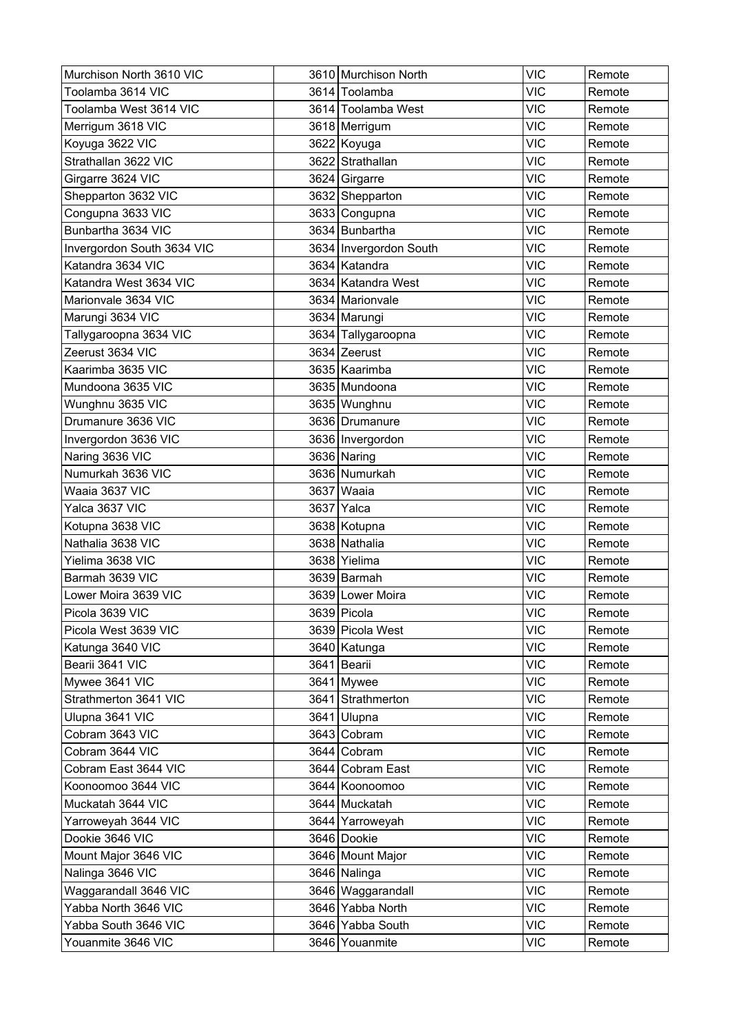| Murchison North 3610 VIC   | 3610 Murchison North   | <b>VIC</b> | Remote |
|----------------------------|------------------------|------------|--------|
| Toolamba 3614 VIC          | 3614 Toolamba          | <b>VIC</b> | Remote |
| Toolamba West 3614 VIC     | 3614 Toolamba West     | <b>VIC</b> | Remote |
| Merrigum 3618 VIC          | 3618 Merrigum          | <b>VIC</b> | Remote |
| Koyuga 3622 VIC            | 3622 Koyuga            | <b>VIC</b> | Remote |
| Strathallan 3622 VIC       | 3622 Strathallan       | <b>VIC</b> | Remote |
| Girgarre 3624 VIC          | 3624 Girgarre          | <b>VIC</b> | Remote |
| Shepparton 3632 VIC        | 3632 Shepparton        | <b>VIC</b> | Remote |
| Congupna 3633 VIC          | 3633 Congupna          | <b>VIC</b> | Remote |
| Bunbartha 3634 VIC         | 3634 Bunbartha         | <b>VIC</b> | Remote |
| Invergordon South 3634 VIC | 3634 Invergordon South | <b>VIC</b> | Remote |
| Katandra 3634 VIC          | 3634 Katandra          | <b>VIC</b> | Remote |
| Katandra West 3634 VIC     | 3634 Katandra West     | <b>VIC</b> | Remote |
| Marionvale 3634 VIC        | 3634 Marionvale        | <b>VIC</b> | Remote |
| Marungi 3634 VIC           | 3634 Marungi           | <b>VIC</b> | Remote |
| Tallygaroopna 3634 VIC     | 3634 Tallygaroopna     | <b>VIC</b> | Remote |
| Zeerust 3634 VIC           | 3634 Zeerust           | <b>VIC</b> | Remote |
| Kaarimba 3635 VIC          | 3635 Kaarimba          | <b>VIC</b> | Remote |
| Mundoona 3635 VIC          | 3635 Mundoona          | <b>VIC</b> | Remote |
| Wunghnu 3635 VIC           | 3635 Wunghnu           | <b>VIC</b> | Remote |
| Drumanure 3636 VIC         | 3636 Drumanure         | <b>VIC</b> | Remote |
| Invergordon 3636 VIC       | 3636 Invergordon       | <b>VIC</b> | Remote |
| Naring 3636 VIC            | 3636 Naring            | <b>VIC</b> | Remote |
| Numurkah 3636 VIC          | 3636 Numurkah          | <b>VIC</b> | Remote |
| Waaia 3637 VIC             | 3637 Waaia             | <b>VIC</b> | Remote |
| Yalca 3637 VIC             | 3637 Yalca             | <b>VIC</b> | Remote |
| Kotupna 3638 VIC           | 3638 Kotupna           | <b>VIC</b> | Remote |
| Nathalia 3638 VIC          | 3638 Nathalia          | <b>VIC</b> | Remote |
| Yielima 3638 VIC           | 3638 Yielima           | <b>VIC</b> | Remote |
| Barmah 3639 VIC            | 3639 Barmah            | <b>VIC</b> | Remote |
| Lower Moira 3639 VIC       | 3639 Lower Moira       | <b>VIC</b> | Remote |
| Picola 3639 VIC            | 3639 Picola            | <b>VIC</b> | Remote |
| Picola West 3639 VIC       | 3639 Picola West       | <b>VIC</b> | Remote |
| Katunga 3640 VIC           | 3640 Katunga           | <b>VIC</b> | Remote |
| Bearii 3641 VIC            | 3641 Bearii            | <b>VIC</b> | Remote |
| Mywee 3641 VIC             | 3641 Mywee             | <b>VIC</b> | Remote |
| Strathmerton 3641 VIC      | 3641 Strathmerton      | <b>VIC</b> | Remote |
| Ulupna 3641 VIC            | 3641 Ulupna            | <b>VIC</b> | Remote |
| Cobram 3643 VIC            | 3643 Cobram            | <b>VIC</b> | Remote |
| Cobram 3644 VIC            | 3644 Cobram            | <b>VIC</b> | Remote |
| Cobram East 3644 VIC       | 3644 Cobram East       | <b>VIC</b> | Remote |
| Koonoomoo 3644 VIC         | 3644 Koonoomoo         | <b>VIC</b> | Remote |
| Muckatah 3644 VIC          | 3644 Muckatah          | <b>VIC</b> | Remote |
| Yarroweyah 3644 VIC        | 3644 Yarroweyah        | <b>VIC</b> | Remote |
| Dookie 3646 VIC            | 3646 Dookie            | <b>VIC</b> | Remote |
| Mount Major 3646 VIC       | 3646 Mount Major       | <b>VIC</b> | Remote |
| Nalinga 3646 VIC           | 3646 Nalinga           | <b>VIC</b> | Remote |
| Waggarandall 3646 VIC      | 3646 Waggarandall      | <b>VIC</b> | Remote |
| Yabba North 3646 VIC       | 3646 Yabba North       | <b>VIC</b> | Remote |
| Yabba South 3646 VIC       | 3646 Yabba South       | <b>VIC</b> | Remote |
| Youanmite 3646 VIC         | 3646 Youanmite         | <b>VIC</b> | Remote |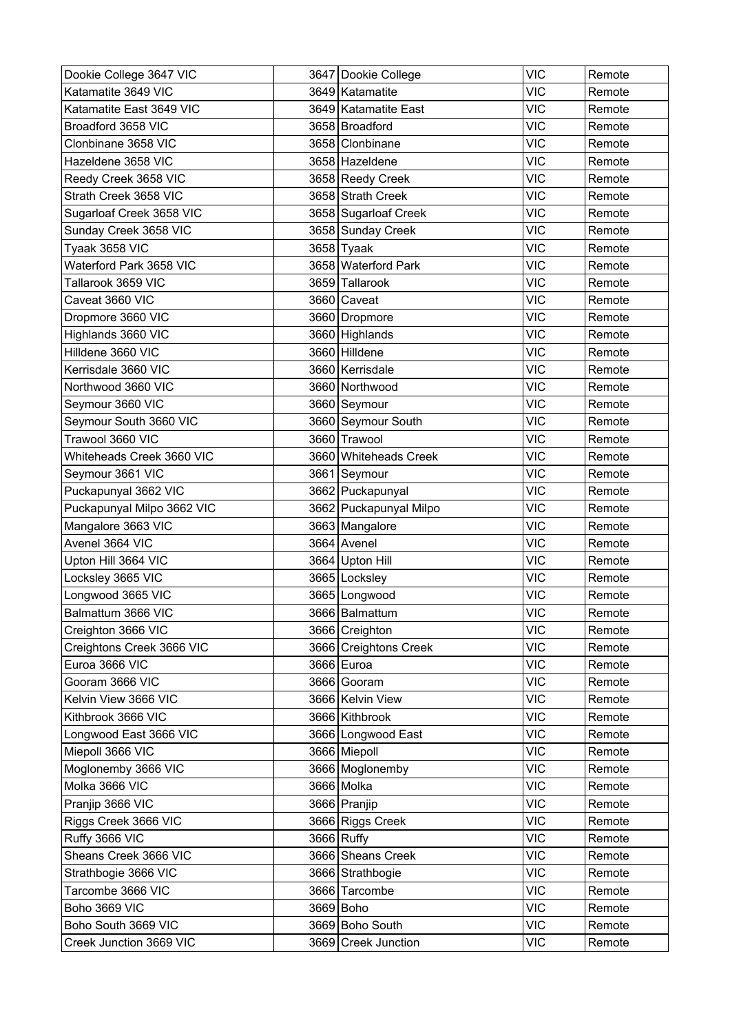| Dookie College 3647 VIC    | 3647 Dookie College    | <b>VIC</b> | Remote |
|----------------------------|------------------------|------------|--------|
| Katamatite 3649 VIC        | 3649 Katamatite        | <b>VIC</b> | Remote |
| Katamatite East 3649 VIC   | 3649 Katamatite East   | <b>VIC</b> | Remote |
| Broadford 3658 VIC         | 3658 Broadford         | <b>VIC</b> | Remote |
| Clonbinane 3658 VIC        | 3658 Clonbinane        | <b>VIC</b> | Remote |
| Hazeldene 3658 VIC         | 3658 Hazeldene         | <b>VIC</b> | Remote |
| Reedy Creek 3658 VIC       | 3658 Reedy Creek       | <b>VIC</b> | Remote |
| Strath Creek 3658 VIC      | 3658 Strath Creek      | <b>VIC</b> | Remote |
| Sugarloaf Creek 3658 VIC   | 3658 Sugarloaf Creek   | <b>VIC</b> | Remote |
| Sunday Creek 3658 VIC      | 3658 Sunday Creek      | <b>VIC</b> | Remote |
| Tyaak 3658 VIC             | $3658$ Tyaak           | <b>VIC</b> | Remote |
| Waterford Park 3658 VIC    | 3658 Waterford Park    | <b>VIC</b> | Remote |
| Tallarook 3659 VIC         | 3659 Tallarook         | <b>VIC</b> | Remote |
| Caveat 3660 VIC            | 3660 Caveat            | <b>VIC</b> | Remote |
| Dropmore 3660 VIC          | 3660 Dropmore          | <b>VIC</b> | Remote |
| Highlands 3660 VIC         | 3660 Highlands         | <b>VIC</b> | Remote |
| Hilldene 3660 VIC          | 3660 Hilldene          | <b>VIC</b> | Remote |
| Kerrisdale 3660 VIC        | 3660 Kerrisdale        | <b>VIC</b> | Remote |
| Northwood 3660 VIC         | 3660 Northwood         | <b>VIC</b> | Remote |
| Seymour 3660 VIC           | 3660 Seymour           | <b>VIC</b> | Remote |
| Seymour South 3660 VIC     | 3660 Seymour South     | VIC        | Remote |
| Trawool 3660 VIC           | 3660 Trawool           | <b>VIC</b> | Remote |
| Whiteheads Creek 3660 VIC  | 3660 Whiteheads Creek  | <b>VIC</b> | Remote |
| Seymour 3661 VIC           | 3661 Seymour           | <b>VIC</b> | Remote |
| Puckapunyal 3662 VIC       | 3662 Puckapunyal       | <b>VIC</b> | Remote |
| Puckapunyal Milpo 3662 VIC | 3662 Puckapunyal Milpo | <b>VIC</b> | Remote |
| Mangalore 3663 VIC         | 3663 Mangalore         | <b>VIC</b> | Remote |
| Avenel 3664 VIC            | 3664 Avenel            | <b>VIC</b> | Remote |
| Upton Hill 3664 VIC        | 3664 Upton Hill        | <b>VIC</b> | Remote |
| Locksley 3665 VIC          | 3665 Locksley          | VIC        | Remote |
| Longwood 3665 VIC          | 3665 Longwood          | <b>VIC</b> | Remote |
| Balmattum 3666 VIC         | 3666 Balmattum         | <b>VIC</b> | Remote |
| Creighton 3666 VIC         | 3666 Creighton         | <b>VIC</b> | Remote |
| Creightons Creek 3666 VIC  | 3666 Creightons Creek  | <b>VIC</b> | Remote |
| Euroa 3666 VIC             | 3666 Euroa             | <b>VIC</b> | Remote |
| Gooram 3666 VIC            | 3666 Gooram            | <b>VIC</b> | Remote |
| Kelvin View 3666 VIC       | 3666 Kelvin View       | <b>VIC</b> | Remote |
| Kithbrook 3666 VIC         | 3666 Kithbrook         | <b>VIC</b> | Remote |
| Longwood East 3666 VIC     | 3666 Longwood East     | <b>VIC</b> | Remote |
| Miepoll 3666 VIC           | 3666 Miepoll           | <b>VIC</b> | Remote |
| Moglonemby 3666 VIC        | 3666 Moglonemby        | <b>VIC</b> | Remote |
| Molka 3666 VIC             | 3666 Molka             | <b>VIC</b> | Remote |
| Pranjip 3666 VIC           | 3666 Pranjip           | <b>VIC</b> | Remote |
| Riggs Creek 3666 VIC       | 3666 Riggs Creek       | <b>VIC</b> | Remote |
| Ruffy 3666 VIC             | 3666 Ruffy             | <b>VIC</b> | Remote |
| Sheans Creek 3666 VIC      | 3666 Sheans Creek      | <b>VIC</b> | Remote |
| Strathbogie 3666 VIC       | 3666 Strathbogie       | <b>VIC</b> | Remote |
| Tarcombe 3666 VIC          | 3666 Tarcombe          | <b>VIC</b> | Remote |
| Boho 3669 VIC              | 3669 Boho              | <b>VIC</b> | Remote |
| Boho South 3669 VIC        | 3669 Boho South        | <b>VIC</b> | Remote |
| Creek Junction 3669 VIC    | 3669 Creek Junction    | <b>VIC</b> | Remote |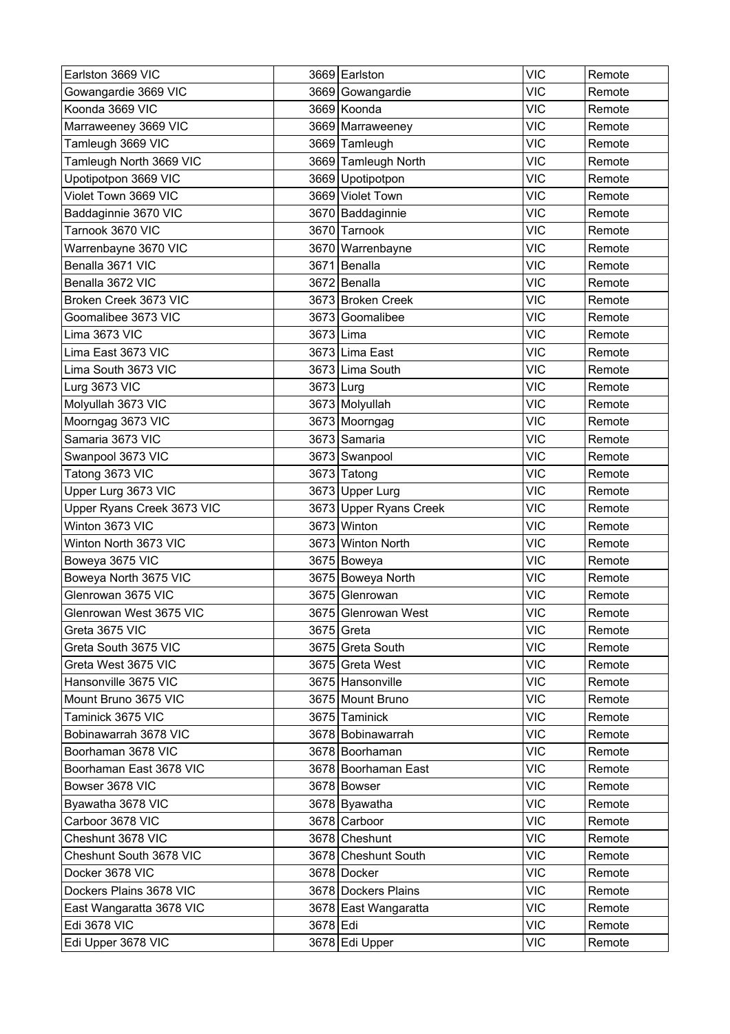| 3669 Gowangardie<br><b>VIC</b><br>Gowangardie 3669 VIC<br>Remote<br>3669 Koonda<br><b>VIC</b><br>Koonda 3669 VIC<br>Remote<br><b>VIC</b><br>Marraweeney 3669 VIC<br>3669 Marraweeney<br>Remote<br>Tamleugh 3669 VIC<br><b>VIC</b><br>3669 Tamleugh<br>Remote<br><b>VIC</b><br>Tamleugh North 3669 VIC<br>3669 Tamleugh North<br>Remote<br>Upotipotpon 3669 VIC<br><b>VIC</b><br>3669 Upotipotpon<br>Remote<br>Violet Town 3669 VIC<br>3669 Violet Town<br><b>VIC</b><br>Remote<br><b>VIC</b><br>3670 Baddaginnie<br>Baddaginnie 3670 VIC<br>Remote<br>Tarnook 3670 VIC<br>3670 Tarnook<br><b>VIC</b><br>Remote<br><b>VIC</b><br>Warrenbayne 3670 VIC<br>3670 Warrenbayne<br>Remote<br>Benalla 3671 VIC<br>3671 Benalla<br><b>VIC</b><br>Remote<br>Benalla 3672 VIC<br>3672 Benalla<br><b>VIC</b><br>Remote<br><b>VIC</b><br>Broken Creek 3673 VIC<br>3673 Broken Creek<br>Remote<br><b>VIC</b><br>Goomalibee 3673 VIC<br>3673<br>Goomalibee<br>Remote<br>Lima 3673 VIC<br>3673 Lima<br><b>VIC</b><br>Remote<br><b>VIC</b><br>3673 Lima East<br>Lima East 3673 VIC<br>Remote<br>Lima South 3673 VIC<br>3673 Lima South<br><b>VIC</b><br>Remote<br>3673 Lurg<br><b>VIC</b><br>Lurg 3673 VIC<br>Remote<br>3673 Molyullah<br><b>VIC</b><br>Molyullah 3673 VIC<br>Remote<br><b>VIC</b><br>Moorngag 3673 VIC<br>3673 Moorngag<br>Remote<br>Samaria 3673 VIC<br>3673 Samaria<br><b>VIC</b><br>Remote<br><b>VIC</b><br>3673 Swanpool<br>Swanpool 3673 VIC<br>Remote<br><b>VIC</b><br>Tatong 3673 VIC<br>3673 Tatong<br>Remote<br>Upper Lurg 3673 VIC<br><b>VIC</b><br>3673 Upper Lurg<br>Remote<br>3673 Upper Ryans Creek<br><b>VIC</b><br>Upper Ryans Creek 3673 VIC<br>Remote<br>Winton 3673 VIC<br>3673 Winton<br><b>VIC</b><br>Remote<br><b>VIC</b><br>Winton North 3673 VIC<br>3673 Winton North<br>Remote<br><b>VIC</b><br>Boweya 3675 VIC<br>3675 Boweya<br>Remote<br>Boweya North 3675 VIC<br>3675 Boweya North<br><b>VIC</b><br>Remote<br>Glenrowan 3675 VIC<br>3675 Glenrowan<br><b>VIC</b><br>Remote<br><b>VIC</b><br>3675 Glenrowan West<br>Glenrowan West 3675 VIC<br>Remote<br><b>VIC</b><br>Greta 3675 VIC<br>3675 Greta<br>Remote<br><b>VIC</b><br>Greta South 3675 VIC<br>3675 Greta South<br>Remote<br>Greta West 3675 VIC<br><b>VIC</b><br>3675 Greta West<br>Remote<br>Hansonville 3675 VIC<br>3675 Hansonville<br><b>VIC</b><br>Remote<br>Mount Bruno 3675 VIC<br><b>VIC</b><br>3675 Mount Bruno<br>Remote<br>Taminick 3675 VIC<br>3675 Taminick<br><b>VIC</b><br>Remote<br><b>VIC</b><br>Bobinawarrah 3678 VIC<br>3678 Bobinawarrah<br>Remote<br>Boorhaman 3678 VIC<br><b>VIC</b><br>3678 Boorhaman<br>Remote<br>Boorhaman East 3678 VIC<br>3678 Boorhaman East<br><b>VIC</b><br>Remote<br><b>VIC</b><br>Bowser 3678 VIC<br>3678 Bowser<br>Remote<br><b>VIC</b><br>Byawatha 3678 VIC<br>3678 Byawatha<br>Remote<br><b>VIC</b><br>Carboor 3678 VIC<br>3678 Carboor<br>Remote<br><b>VIC</b><br>Cheshunt 3678 VIC<br>3678 Cheshunt<br>Remote<br><b>VIC</b><br>Cheshunt South 3678 VIC<br>3678 Cheshunt South<br>Remote<br>Docker 3678 VIC<br>3678 Docker<br><b>VIC</b><br>Remote<br><b>VIC</b><br>Dockers Plains 3678 VIC<br>3678 Dockers Plains<br>Remote<br><b>VIC</b><br>East Wangaratta 3678 VIC<br>3678 East Wangaratta<br>Remote<br><b>Edi 3678 VIC</b><br><b>VIC</b><br>3678 Edi<br>Remote<br>Edi Upper 3678 VIC<br><b>VIC</b><br>3678 Edi Upper<br>Remote | Earlston 3669 VIC | 3669 Earlston | <b>VIC</b> | Remote |
|------------------------------------------------------------------------------------------------------------------------------------------------------------------------------------------------------------------------------------------------------------------------------------------------------------------------------------------------------------------------------------------------------------------------------------------------------------------------------------------------------------------------------------------------------------------------------------------------------------------------------------------------------------------------------------------------------------------------------------------------------------------------------------------------------------------------------------------------------------------------------------------------------------------------------------------------------------------------------------------------------------------------------------------------------------------------------------------------------------------------------------------------------------------------------------------------------------------------------------------------------------------------------------------------------------------------------------------------------------------------------------------------------------------------------------------------------------------------------------------------------------------------------------------------------------------------------------------------------------------------------------------------------------------------------------------------------------------------------------------------------------------------------------------------------------------------------------------------------------------------------------------------------------------------------------------------------------------------------------------------------------------------------------------------------------------------------------------------------------------------------------------------------------------------------------------------------------------------------------------------------------------------------------------------------------------------------------------------------------------------------------------------------------------------------------------------------------------------------------------------------------------------------------------------------------------------------------------------------------------------------------------------------------------------------------------------------------------------------------------------------------------------------------------------------------------------------------------------------------------------------------------------------------------------------------------------------------------------------------------------------------------------------------------------------------------------------------------------------------------------------------------------------------------------------------------------------------------------------------------------------------------------------------------------------------------------------------------------------------------------------|-------------------|---------------|------------|--------|
|                                                                                                                                                                                                                                                                                                                                                                                                                                                                                                                                                                                                                                                                                                                                                                                                                                                                                                                                                                                                                                                                                                                                                                                                                                                                                                                                                                                                                                                                                                                                                                                                                                                                                                                                                                                                                                                                                                                                                                                                                                                                                                                                                                                                                                                                                                                                                                                                                                                                                                                                                                                                                                                                                                                                                                                                                                                                                                                                                                                                                                                                                                                                                                                                                                                                                                                                                                              |                   |               |            |        |
|                                                                                                                                                                                                                                                                                                                                                                                                                                                                                                                                                                                                                                                                                                                                                                                                                                                                                                                                                                                                                                                                                                                                                                                                                                                                                                                                                                                                                                                                                                                                                                                                                                                                                                                                                                                                                                                                                                                                                                                                                                                                                                                                                                                                                                                                                                                                                                                                                                                                                                                                                                                                                                                                                                                                                                                                                                                                                                                                                                                                                                                                                                                                                                                                                                                                                                                                                                              |                   |               |            |        |
|                                                                                                                                                                                                                                                                                                                                                                                                                                                                                                                                                                                                                                                                                                                                                                                                                                                                                                                                                                                                                                                                                                                                                                                                                                                                                                                                                                                                                                                                                                                                                                                                                                                                                                                                                                                                                                                                                                                                                                                                                                                                                                                                                                                                                                                                                                                                                                                                                                                                                                                                                                                                                                                                                                                                                                                                                                                                                                                                                                                                                                                                                                                                                                                                                                                                                                                                                                              |                   |               |            |        |
|                                                                                                                                                                                                                                                                                                                                                                                                                                                                                                                                                                                                                                                                                                                                                                                                                                                                                                                                                                                                                                                                                                                                                                                                                                                                                                                                                                                                                                                                                                                                                                                                                                                                                                                                                                                                                                                                                                                                                                                                                                                                                                                                                                                                                                                                                                                                                                                                                                                                                                                                                                                                                                                                                                                                                                                                                                                                                                                                                                                                                                                                                                                                                                                                                                                                                                                                                                              |                   |               |            |        |
|                                                                                                                                                                                                                                                                                                                                                                                                                                                                                                                                                                                                                                                                                                                                                                                                                                                                                                                                                                                                                                                                                                                                                                                                                                                                                                                                                                                                                                                                                                                                                                                                                                                                                                                                                                                                                                                                                                                                                                                                                                                                                                                                                                                                                                                                                                                                                                                                                                                                                                                                                                                                                                                                                                                                                                                                                                                                                                                                                                                                                                                                                                                                                                                                                                                                                                                                                                              |                   |               |            |        |
|                                                                                                                                                                                                                                                                                                                                                                                                                                                                                                                                                                                                                                                                                                                                                                                                                                                                                                                                                                                                                                                                                                                                                                                                                                                                                                                                                                                                                                                                                                                                                                                                                                                                                                                                                                                                                                                                                                                                                                                                                                                                                                                                                                                                                                                                                                                                                                                                                                                                                                                                                                                                                                                                                                                                                                                                                                                                                                                                                                                                                                                                                                                                                                                                                                                                                                                                                                              |                   |               |            |        |
|                                                                                                                                                                                                                                                                                                                                                                                                                                                                                                                                                                                                                                                                                                                                                                                                                                                                                                                                                                                                                                                                                                                                                                                                                                                                                                                                                                                                                                                                                                                                                                                                                                                                                                                                                                                                                                                                                                                                                                                                                                                                                                                                                                                                                                                                                                                                                                                                                                                                                                                                                                                                                                                                                                                                                                                                                                                                                                                                                                                                                                                                                                                                                                                                                                                                                                                                                                              |                   |               |            |        |
|                                                                                                                                                                                                                                                                                                                                                                                                                                                                                                                                                                                                                                                                                                                                                                                                                                                                                                                                                                                                                                                                                                                                                                                                                                                                                                                                                                                                                                                                                                                                                                                                                                                                                                                                                                                                                                                                                                                                                                                                                                                                                                                                                                                                                                                                                                                                                                                                                                                                                                                                                                                                                                                                                                                                                                                                                                                                                                                                                                                                                                                                                                                                                                                                                                                                                                                                                                              |                   |               |            |        |
|                                                                                                                                                                                                                                                                                                                                                                                                                                                                                                                                                                                                                                                                                                                                                                                                                                                                                                                                                                                                                                                                                                                                                                                                                                                                                                                                                                                                                                                                                                                                                                                                                                                                                                                                                                                                                                                                                                                                                                                                                                                                                                                                                                                                                                                                                                                                                                                                                                                                                                                                                                                                                                                                                                                                                                                                                                                                                                                                                                                                                                                                                                                                                                                                                                                                                                                                                                              |                   |               |            |        |
|                                                                                                                                                                                                                                                                                                                                                                                                                                                                                                                                                                                                                                                                                                                                                                                                                                                                                                                                                                                                                                                                                                                                                                                                                                                                                                                                                                                                                                                                                                                                                                                                                                                                                                                                                                                                                                                                                                                                                                                                                                                                                                                                                                                                                                                                                                                                                                                                                                                                                                                                                                                                                                                                                                                                                                                                                                                                                                                                                                                                                                                                                                                                                                                                                                                                                                                                                                              |                   |               |            |        |
|                                                                                                                                                                                                                                                                                                                                                                                                                                                                                                                                                                                                                                                                                                                                                                                                                                                                                                                                                                                                                                                                                                                                                                                                                                                                                                                                                                                                                                                                                                                                                                                                                                                                                                                                                                                                                                                                                                                                                                                                                                                                                                                                                                                                                                                                                                                                                                                                                                                                                                                                                                                                                                                                                                                                                                                                                                                                                                                                                                                                                                                                                                                                                                                                                                                                                                                                                                              |                   |               |            |        |
|                                                                                                                                                                                                                                                                                                                                                                                                                                                                                                                                                                                                                                                                                                                                                                                                                                                                                                                                                                                                                                                                                                                                                                                                                                                                                                                                                                                                                                                                                                                                                                                                                                                                                                                                                                                                                                                                                                                                                                                                                                                                                                                                                                                                                                                                                                                                                                                                                                                                                                                                                                                                                                                                                                                                                                                                                                                                                                                                                                                                                                                                                                                                                                                                                                                                                                                                                                              |                   |               |            |        |
|                                                                                                                                                                                                                                                                                                                                                                                                                                                                                                                                                                                                                                                                                                                                                                                                                                                                                                                                                                                                                                                                                                                                                                                                                                                                                                                                                                                                                                                                                                                                                                                                                                                                                                                                                                                                                                                                                                                                                                                                                                                                                                                                                                                                                                                                                                                                                                                                                                                                                                                                                                                                                                                                                                                                                                                                                                                                                                                                                                                                                                                                                                                                                                                                                                                                                                                                                                              |                   |               |            |        |
|                                                                                                                                                                                                                                                                                                                                                                                                                                                                                                                                                                                                                                                                                                                                                                                                                                                                                                                                                                                                                                                                                                                                                                                                                                                                                                                                                                                                                                                                                                                                                                                                                                                                                                                                                                                                                                                                                                                                                                                                                                                                                                                                                                                                                                                                                                                                                                                                                                                                                                                                                                                                                                                                                                                                                                                                                                                                                                                                                                                                                                                                                                                                                                                                                                                                                                                                                                              |                   |               |            |        |
|                                                                                                                                                                                                                                                                                                                                                                                                                                                                                                                                                                                                                                                                                                                                                                                                                                                                                                                                                                                                                                                                                                                                                                                                                                                                                                                                                                                                                                                                                                                                                                                                                                                                                                                                                                                                                                                                                                                                                                                                                                                                                                                                                                                                                                                                                                                                                                                                                                                                                                                                                                                                                                                                                                                                                                                                                                                                                                                                                                                                                                                                                                                                                                                                                                                                                                                                                                              |                   |               |            |        |
|                                                                                                                                                                                                                                                                                                                                                                                                                                                                                                                                                                                                                                                                                                                                                                                                                                                                                                                                                                                                                                                                                                                                                                                                                                                                                                                                                                                                                                                                                                                                                                                                                                                                                                                                                                                                                                                                                                                                                                                                                                                                                                                                                                                                                                                                                                                                                                                                                                                                                                                                                                                                                                                                                                                                                                                                                                                                                                                                                                                                                                                                                                                                                                                                                                                                                                                                                                              |                   |               |            |        |
|                                                                                                                                                                                                                                                                                                                                                                                                                                                                                                                                                                                                                                                                                                                                                                                                                                                                                                                                                                                                                                                                                                                                                                                                                                                                                                                                                                                                                                                                                                                                                                                                                                                                                                                                                                                                                                                                                                                                                                                                                                                                                                                                                                                                                                                                                                                                                                                                                                                                                                                                                                                                                                                                                                                                                                                                                                                                                                                                                                                                                                                                                                                                                                                                                                                                                                                                                                              |                   |               |            |        |
|                                                                                                                                                                                                                                                                                                                                                                                                                                                                                                                                                                                                                                                                                                                                                                                                                                                                                                                                                                                                                                                                                                                                                                                                                                                                                                                                                                                                                                                                                                                                                                                                                                                                                                                                                                                                                                                                                                                                                                                                                                                                                                                                                                                                                                                                                                                                                                                                                                                                                                                                                                                                                                                                                                                                                                                                                                                                                                                                                                                                                                                                                                                                                                                                                                                                                                                                                                              |                   |               |            |        |
|                                                                                                                                                                                                                                                                                                                                                                                                                                                                                                                                                                                                                                                                                                                                                                                                                                                                                                                                                                                                                                                                                                                                                                                                                                                                                                                                                                                                                                                                                                                                                                                                                                                                                                                                                                                                                                                                                                                                                                                                                                                                                                                                                                                                                                                                                                                                                                                                                                                                                                                                                                                                                                                                                                                                                                                                                                                                                                                                                                                                                                                                                                                                                                                                                                                                                                                                                                              |                   |               |            |        |
|                                                                                                                                                                                                                                                                                                                                                                                                                                                                                                                                                                                                                                                                                                                                                                                                                                                                                                                                                                                                                                                                                                                                                                                                                                                                                                                                                                                                                                                                                                                                                                                                                                                                                                                                                                                                                                                                                                                                                                                                                                                                                                                                                                                                                                                                                                                                                                                                                                                                                                                                                                                                                                                                                                                                                                                                                                                                                                                                                                                                                                                                                                                                                                                                                                                                                                                                                                              |                   |               |            |        |
|                                                                                                                                                                                                                                                                                                                                                                                                                                                                                                                                                                                                                                                                                                                                                                                                                                                                                                                                                                                                                                                                                                                                                                                                                                                                                                                                                                                                                                                                                                                                                                                                                                                                                                                                                                                                                                                                                                                                                                                                                                                                                                                                                                                                                                                                                                                                                                                                                                                                                                                                                                                                                                                                                                                                                                                                                                                                                                                                                                                                                                                                                                                                                                                                                                                                                                                                                                              |                   |               |            |        |
|                                                                                                                                                                                                                                                                                                                                                                                                                                                                                                                                                                                                                                                                                                                                                                                                                                                                                                                                                                                                                                                                                                                                                                                                                                                                                                                                                                                                                                                                                                                                                                                                                                                                                                                                                                                                                                                                                                                                                                                                                                                                                                                                                                                                                                                                                                                                                                                                                                                                                                                                                                                                                                                                                                                                                                                                                                                                                                                                                                                                                                                                                                                                                                                                                                                                                                                                                                              |                   |               |            |        |
|                                                                                                                                                                                                                                                                                                                                                                                                                                                                                                                                                                                                                                                                                                                                                                                                                                                                                                                                                                                                                                                                                                                                                                                                                                                                                                                                                                                                                                                                                                                                                                                                                                                                                                                                                                                                                                                                                                                                                                                                                                                                                                                                                                                                                                                                                                                                                                                                                                                                                                                                                                                                                                                                                                                                                                                                                                                                                                                                                                                                                                                                                                                                                                                                                                                                                                                                                                              |                   |               |            |        |
|                                                                                                                                                                                                                                                                                                                                                                                                                                                                                                                                                                                                                                                                                                                                                                                                                                                                                                                                                                                                                                                                                                                                                                                                                                                                                                                                                                                                                                                                                                                                                                                                                                                                                                                                                                                                                                                                                                                                                                                                                                                                                                                                                                                                                                                                                                                                                                                                                                                                                                                                                                                                                                                                                                                                                                                                                                                                                                                                                                                                                                                                                                                                                                                                                                                                                                                                                                              |                   |               |            |        |
|                                                                                                                                                                                                                                                                                                                                                                                                                                                                                                                                                                                                                                                                                                                                                                                                                                                                                                                                                                                                                                                                                                                                                                                                                                                                                                                                                                                                                                                                                                                                                                                                                                                                                                                                                                                                                                                                                                                                                                                                                                                                                                                                                                                                                                                                                                                                                                                                                                                                                                                                                                                                                                                                                                                                                                                                                                                                                                                                                                                                                                                                                                                                                                                                                                                                                                                                                                              |                   |               |            |        |
|                                                                                                                                                                                                                                                                                                                                                                                                                                                                                                                                                                                                                                                                                                                                                                                                                                                                                                                                                                                                                                                                                                                                                                                                                                                                                                                                                                                                                                                                                                                                                                                                                                                                                                                                                                                                                                                                                                                                                                                                                                                                                                                                                                                                                                                                                                                                                                                                                                                                                                                                                                                                                                                                                                                                                                                                                                                                                                                                                                                                                                                                                                                                                                                                                                                                                                                                                                              |                   |               |            |        |
|                                                                                                                                                                                                                                                                                                                                                                                                                                                                                                                                                                                                                                                                                                                                                                                                                                                                                                                                                                                                                                                                                                                                                                                                                                                                                                                                                                                                                                                                                                                                                                                                                                                                                                                                                                                                                                                                                                                                                                                                                                                                                                                                                                                                                                                                                                                                                                                                                                                                                                                                                                                                                                                                                                                                                                                                                                                                                                                                                                                                                                                                                                                                                                                                                                                                                                                                                                              |                   |               |            |        |
|                                                                                                                                                                                                                                                                                                                                                                                                                                                                                                                                                                                                                                                                                                                                                                                                                                                                                                                                                                                                                                                                                                                                                                                                                                                                                                                                                                                                                                                                                                                                                                                                                                                                                                                                                                                                                                                                                                                                                                                                                                                                                                                                                                                                                                                                                                                                                                                                                                                                                                                                                                                                                                                                                                                                                                                                                                                                                                                                                                                                                                                                                                                                                                                                                                                                                                                                                                              |                   |               |            |        |
|                                                                                                                                                                                                                                                                                                                                                                                                                                                                                                                                                                                                                                                                                                                                                                                                                                                                                                                                                                                                                                                                                                                                                                                                                                                                                                                                                                                                                                                                                                                                                                                                                                                                                                                                                                                                                                                                                                                                                                                                                                                                                                                                                                                                                                                                                                                                                                                                                                                                                                                                                                                                                                                                                                                                                                                                                                                                                                                                                                                                                                                                                                                                                                                                                                                                                                                                                                              |                   |               |            |        |
|                                                                                                                                                                                                                                                                                                                                                                                                                                                                                                                                                                                                                                                                                                                                                                                                                                                                                                                                                                                                                                                                                                                                                                                                                                                                                                                                                                                                                                                                                                                                                                                                                                                                                                                                                                                                                                                                                                                                                                                                                                                                                                                                                                                                                                                                                                                                                                                                                                                                                                                                                                                                                                                                                                                                                                                                                                                                                                                                                                                                                                                                                                                                                                                                                                                                                                                                                                              |                   |               |            |        |
|                                                                                                                                                                                                                                                                                                                                                                                                                                                                                                                                                                                                                                                                                                                                                                                                                                                                                                                                                                                                                                                                                                                                                                                                                                                                                                                                                                                                                                                                                                                                                                                                                                                                                                                                                                                                                                                                                                                                                                                                                                                                                                                                                                                                                                                                                                                                                                                                                                                                                                                                                                                                                                                                                                                                                                                                                                                                                                                                                                                                                                                                                                                                                                                                                                                                                                                                                                              |                   |               |            |        |
|                                                                                                                                                                                                                                                                                                                                                                                                                                                                                                                                                                                                                                                                                                                                                                                                                                                                                                                                                                                                                                                                                                                                                                                                                                                                                                                                                                                                                                                                                                                                                                                                                                                                                                                                                                                                                                                                                                                                                                                                                                                                                                                                                                                                                                                                                                                                                                                                                                                                                                                                                                                                                                                                                                                                                                                                                                                                                                                                                                                                                                                                                                                                                                                                                                                                                                                                                                              |                   |               |            |        |
|                                                                                                                                                                                                                                                                                                                                                                                                                                                                                                                                                                                                                                                                                                                                                                                                                                                                                                                                                                                                                                                                                                                                                                                                                                                                                                                                                                                                                                                                                                                                                                                                                                                                                                                                                                                                                                                                                                                                                                                                                                                                                                                                                                                                                                                                                                                                                                                                                                                                                                                                                                                                                                                                                                                                                                                                                                                                                                                                                                                                                                                                                                                                                                                                                                                                                                                                                                              |                   |               |            |        |
|                                                                                                                                                                                                                                                                                                                                                                                                                                                                                                                                                                                                                                                                                                                                                                                                                                                                                                                                                                                                                                                                                                                                                                                                                                                                                                                                                                                                                                                                                                                                                                                                                                                                                                                                                                                                                                                                                                                                                                                                                                                                                                                                                                                                                                                                                                                                                                                                                                                                                                                                                                                                                                                                                                                                                                                                                                                                                                                                                                                                                                                                                                                                                                                                                                                                                                                                                                              |                   |               |            |        |
|                                                                                                                                                                                                                                                                                                                                                                                                                                                                                                                                                                                                                                                                                                                                                                                                                                                                                                                                                                                                                                                                                                                                                                                                                                                                                                                                                                                                                                                                                                                                                                                                                                                                                                                                                                                                                                                                                                                                                                                                                                                                                                                                                                                                                                                                                                                                                                                                                                                                                                                                                                                                                                                                                                                                                                                                                                                                                                                                                                                                                                                                                                                                                                                                                                                                                                                                                                              |                   |               |            |        |
|                                                                                                                                                                                                                                                                                                                                                                                                                                                                                                                                                                                                                                                                                                                                                                                                                                                                                                                                                                                                                                                                                                                                                                                                                                                                                                                                                                                                                                                                                                                                                                                                                                                                                                                                                                                                                                                                                                                                                                                                                                                                                                                                                                                                                                                                                                                                                                                                                                                                                                                                                                                                                                                                                                                                                                                                                                                                                                                                                                                                                                                                                                                                                                                                                                                                                                                                                                              |                   |               |            |        |
|                                                                                                                                                                                                                                                                                                                                                                                                                                                                                                                                                                                                                                                                                                                                                                                                                                                                                                                                                                                                                                                                                                                                                                                                                                                                                                                                                                                                                                                                                                                                                                                                                                                                                                                                                                                                                                                                                                                                                                                                                                                                                                                                                                                                                                                                                                                                                                                                                                                                                                                                                                                                                                                                                                                                                                                                                                                                                                                                                                                                                                                                                                                                                                                                                                                                                                                                                                              |                   |               |            |        |
|                                                                                                                                                                                                                                                                                                                                                                                                                                                                                                                                                                                                                                                                                                                                                                                                                                                                                                                                                                                                                                                                                                                                                                                                                                                                                                                                                                                                                                                                                                                                                                                                                                                                                                                                                                                                                                                                                                                                                                                                                                                                                                                                                                                                                                                                                                                                                                                                                                                                                                                                                                                                                                                                                                                                                                                                                                                                                                                                                                                                                                                                                                                                                                                                                                                                                                                                                                              |                   |               |            |        |
|                                                                                                                                                                                                                                                                                                                                                                                                                                                                                                                                                                                                                                                                                                                                                                                                                                                                                                                                                                                                                                                                                                                                                                                                                                                                                                                                                                                                                                                                                                                                                                                                                                                                                                                                                                                                                                                                                                                                                                                                                                                                                                                                                                                                                                                                                                                                                                                                                                                                                                                                                                                                                                                                                                                                                                                                                                                                                                                                                                                                                                                                                                                                                                                                                                                                                                                                                                              |                   |               |            |        |
|                                                                                                                                                                                                                                                                                                                                                                                                                                                                                                                                                                                                                                                                                                                                                                                                                                                                                                                                                                                                                                                                                                                                                                                                                                                                                                                                                                                                                                                                                                                                                                                                                                                                                                                                                                                                                                                                                                                                                                                                                                                                                                                                                                                                                                                                                                                                                                                                                                                                                                                                                                                                                                                                                                                                                                                                                                                                                                                                                                                                                                                                                                                                                                                                                                                                                                                                                                              |                   |               |            |        |
|                                                                                                                                                                                                                                                                                                                                                                                                                                                                                                                                                                                                                                                                                                                                                                                                                                                                                                                                                                                                                                                                                                                                                                                                                                                                                                                                                                                                                                                                                                                                                                                                                                                                                                                                                                                                                                                                                                                                                                                                                                                                                                                                                                                                                                                                                                                                                                                                                                                                                                                                                                                                                                                                                                                                                                                                                                                                                                                                                                                                                                                                                                                                                                                                                                                                                                                                                                              |                   |               |            |        |
|                                                                                                                                                                                                                                                                                                                                                                                                                                                                                                                                                                                                                                                                                                                                                                                                                                                                                                                                                                                                                                                                                                                                                                                                                                                                                                                                                                                                                                                                                                                                                                                                                                                                                                                                                                                                                                                                                                                                                                                                                                                                                                                                                                                                                                                                                                                                                                                                                                                                                                                                                                                                                                                                                                                                                                                                                                                                                                                                                                                                                                                                                                                                                                                                                                                                                                                                                                              |                   |               |            |        |
|                                                                                                                                                                                                                                                                                                                                                                                                                                                                                                                                                                                                                                                                                                                                                                                                                                                                                                                                                                                                                                                                                                                                                                                                                                                                                                                                                                                                                                                                                                                                                                                                                                                                                                                                                                                                                                                                                                                                                                                                                                                                                                                                                                                                                                                                                                                                                                                                                                                                                                                                                                                                                                                                                                                                                                                                                                                                                                                                                                                                                                                                                                                                                                                                                                                                                                                                                                              |                   |               |            |        |
|                                                                                                                                                                                                                                                                                                                                                                                                                                                                                                                                                                                                                                                                                                                                                                                                                                                                                                                                                                                                                                                                                                                                                                                                                                                                                                                                                                                                                                                                                                                                                                                                                                                                                                                                                                                                                                                                                                                                                                                                                                                                                                                                                                                                                                                                                                                                                                                                                                                                                                                                                                                                                                                                                                                                                                                                                                                                                                                                                                                                                                                                                                                                                                                                                                                                                                                                                                              |                   |               |            |        |
|                                                                                                                                                                                                                                                                                                                                                                                                                                                                                                                                                                                                                                                                                                                                                                                                                                                                                                                                                                                                                                                                                                                                                                                                                                                                                                                                                                                                                                                                                                                                                                                                                                                                                                                                                                                                                                                                                                                                                                                                                                                                                                                                                                                                                                                                                                                                                                                                                                                                                                                                                                                                                                                                                                                                                                                                                                                                                                                                                                                                                                                                                                                                                                                                                                                                                                                                                                              |                   |               |            |        |
|                                                                                                                                                                                                                                                                                                                                                                                                                                                                                                                                                                                                                                                                                                                                                                                                                                                                                                                                                                                                                                                                                                                                                                                                                                                                                                                                                                                                                                                                                                                                                                                                                                                                                                                                                                                                                                                                                                                                                                                                                                                                                                                                                                                                                                                                                                                                                                                                                                                                                                                                                                                                                                                                                                                                                                                                                                                                                                                                                                                                                                                                                                                                                                                                                                                                                                                                                                              |                   |               |            |        |
|                                                                                                                                                                                                                                                                                                                                                                                                                                                                                                                                                                                                                                                                                                                                                                                                                                                                                                                                                                                                                                                                                                                                                                                                                                                                                                                                                                                                                                                                                                                                                                                                                                                                                                                                                                                                                                                                                                                                                                                                                                                                                                                                                                                                                                                                                                                                                                                                                                                                                                                                                                                                                                                                                                                                                                                                                                                                                                                                                                                                                                                                                                                                                                                                                                                                                                                                                                              |                   |               |            |        |
|                                                                                                                                                                                                                                                                                                                                                                                                                                                                                                                                                                                                                                                                                                                                                                                                                                                                                                                                                                                                                                                                                                                                                                                                                                                                                                                                                                                                                                                                                                                                                                                                                                                                                                                                                                                                                                                                                                                                                                                                                                                                                                                                                                                                                                                                                                                                                                                                                                                                                                                                                                                                                                                                                                                                                                                                                                                                                                                                                                                                                                                                                                                                                                                                                                                                                                                                                                              |                   |               |            |        |
|                                                                                                                                                                                                                                                                                                                                                                                                                                                                                                                                                                                                                                                                                                                                                                                                                                                                                                                                                                                                                                                                                                                                                                                                                                                                                                                                                                                                                                                                                                                                                                                                                                                                                                                                                                                                                                                                                                                                                                                                                                                                                                                                                                                                                                                                                                                                                                                                                                                                                                                                                                                                                                                                                                                                                                                                                                                                                                                                                                                                                                                                                                                                                                                                                                                                                                                                                                              |                   |               |            |        |
|                                                                                                                                                                                                                                                                                                                                                                                                                                                                                                                                                                                                                                                                                                                                                                                                                                                                                                                                                                                                                                                                                                                                                                                                                                                                                                                                                                                                                                                                                                                                                                                                                                                                                                                                                                                                                                                                                                                                                                                                                                                                                                                                                                                                                                                                                                                                                                                                                                                                                                                                                                                                                                                                                                                                                                                                                                                                                                                                                                                                                                                                                                                                                                                                                                                                                                                                                                              |                   |               |            |        |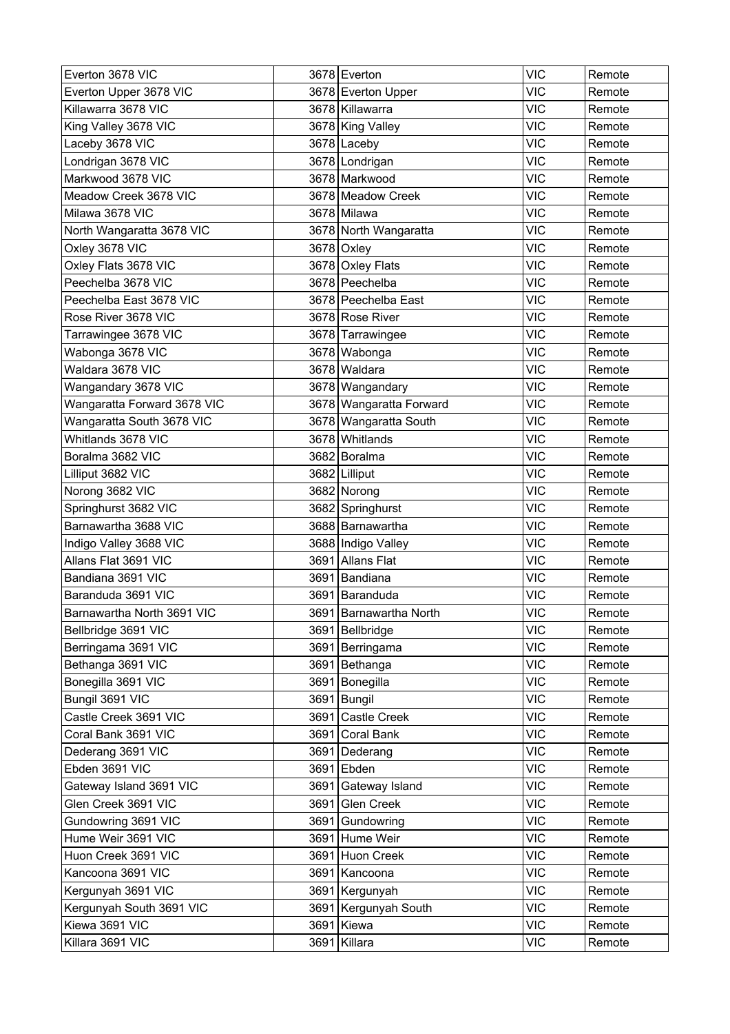| Everton 3678 VIC            |      | 3678 Everton            | <b>VIC</b> | Remote |
|-----------------------------|------|-------------------------|------------|--------|
| Everton Upper 3678 VIC      |      | 3678 Everton Upper      | <b>VIC</b> | Remote |
| Killawarra 3678 VIC         |      | 3678 Killawarra         | <b>VIC</b> | Remote |
| King Valley 3678 VIC        |      | 3678 King Valley        | <b>VIC</b> | Remote |
| Laceby 3678 VIC             |      | 3678 Laceby             | <b>VIC</b> | Remote |
| Londrigan 3678 VIC          |      | 3678 Londrigan          | <b>VIC</b> | Remote |
| Markwood 3678 VIC           |      | 3678 Markwood           | <b>VIC</b> | Remote |
| Meadow Creek 3678 VIC       |      | 3678 Meadow Creek       | <b>VIC</b> | Remote |
| Milawa 3678 VIC             |      | 3678 Milawa             | <b>VIC</b> | Remote |
| North Wangaratta 3678 VIC   |      | 3678 North Wangaratta   | <b>VIC</b> | Remote |
| Oxley 3678 VIC              |      | 3678 Oxley              | <b>VIC</b> | Remote |
| Oxley Flats 3678 VIC        |      | 3678 Oxley Flats        | <b>VIC</b> | Remote |
| Peechelba 3678 VIC          |      | 3678 Peechelba          | <b>VIC</b> | Remote |
| Peechelba East 3678 VIC     |      | 3678 Peechelba East     | <b>VIC</b> | Remote |
| Rose River 3678 VIC         |      | 3678 Rose River         | <b>VIC</b> | Remote |
| Tarrawingee 3678 VIC        |      | 3678 Tarrawingee        | <b>VIC</b> | Remote |
| Wabonga 3678 VIC            |      | 3678 Wabonga            | <b>VIC</b> | Remote |
| Waldara 3678 VIC            |      | 3678 Waldara            | <b>VIC</b> | Remote |
| Wangandary 3678 VIC         |      | 3678 Wangandary         | <b>VIC</b> | Remote |
| Wangaratta Forward 3678 VIC |      | 3678 Wangaratta Forward | <b>VIC</b> | Remote |
| Wangaratta South 3678 VIC   |      | 3678 Wangaratta South   | <b>VIC</b> | Remote |
| Whitlands 3678 VIC          |      | 3678 Whitlands          | <b>VIC</b> | Remote |
| Boralma 3682 VIC            |      | 3682 Boralma            | <b>VIC</b> | Remote |
| Lilliput 3682 VIC           |      | 3682 Lilliput           | <b>VIC</b> | Remote |
| Norong 3682 VIC             |      | 3682 Norong             | <b>VIC</b> | Remote |
| Springhurst 3682 VIC        |      | 3682 Springhurst        | <b>VIC</b> | Remote |
| Barnawartha 3688 VIC        |      | 3688 Barnawartha        | <b>VIC</b> | Remote |
| Indigo Valley 3688 VIC      |      | 3688 Indigo Valley      | <b>VIC</b> | Remote |
| Allans Flat 3691 VIC        |      | 3691 Allans Flat        | <b>VIC</b> | Remote |
| Bandiana 3691 VIC           |      | 3691 Bandiana           | <b>VIC</b> | Remote |
| Baranduda 3691 VIC          |      | 3691 Baranduda          | <b>VIC</b> | Remote |
| Barnawartha North 3691 VIC  |      | 3691 Barnawartha North  | <b>VIC</b> | Remote |
| Bellbridge 3691 VIC         |      | 3691 Bellbridge         | <b>VIC</b> | Remote |
| Berringama 3691 VIC         |      | 3691 Berringama         | <b>VIC</b> | Remote |
| Bethanga 3691 VIC           |      | 3691 Bethanga           | <b>VIC</b> | Remote |
| Bonegilla 3691 VIC          | 3691 | Bonegilla               | <b>VIC</b> | Remote |
| Bungil 3691 VIC             |      | 3691 Bungil             | <b>VIC</b> | Remote |
| Castle Creek 3691 VIC       |      | 3691 Castle Creek       | <b>VIC</b> | Remote |
| Coral Bank 3691 VIC         |      | 3691 Coral Bank         | <b>VIC</b> | Remote |
| Dederang 3691 VIC           |      | 3691   Dederang         | <b>VIC</b> | Remote |
| Ebden 3691 VIC              |      | 3691 Ebden              | <b>VIC</b> | Remote |
| Gateway Island 3691 VIC     |      | 3691 Gateway Island     | <b>VIC</b> | Remote |
| Glen Creek 3691 VIC         |      | 3691 Glen Creek         | <b>VIC</b> | Remote |
| Gundowring 3691 VIC         | 3691 | Gundowring              | <b>VIC</b> | Remote |
| Hume Weir 3691 VIC          |      | 3691 Hume Weir          | <b>VIC</b> | Remote |
| Huon Creek 3691 VIC         |      | 3691 Huon Creek         | <b>VIC</b> | Remote |
| Kancoona 3691 VIC           | 3691 | Kancoona                | <b>VIC</b> | Remote |
| Kergunyah 3691 VIC          |      | 3691   Kergunyah        | <b>VIC</b> | Remote |
| Kergunyah South 3691 VIC    |      | 3691 Kergunyah South    | <b>VIC</b> | Remote |
| Kiewa 3691 VIC              |      | 3691 Kiewa              | <b>VIC</b> | Remote |
| Killara 3691 VIC            |      | 3691 Killara            | VIC        | Remote |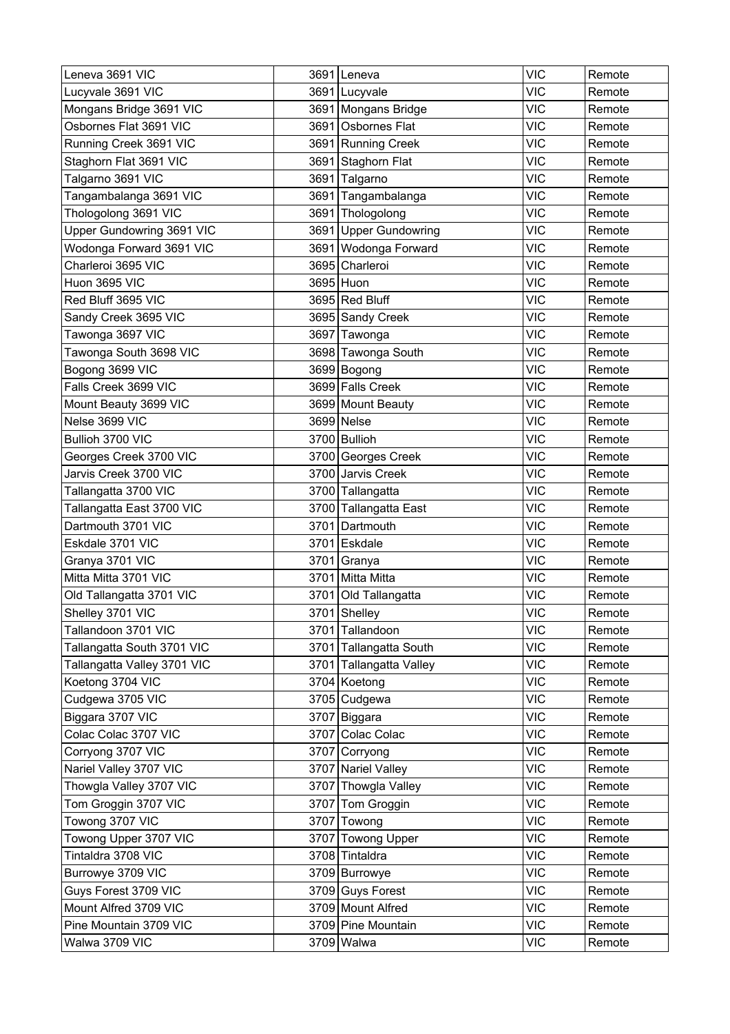| Leneva 3691 VIC             |      | 3691 Leneva             | <b>VIC</b> | Remote |
|-----------------------------|------|-------------------------|------------|--------|
| Lucyvale 3691 VIC           |      | 3691 Lucyvale           | VIC        | Remote |
| Mongans Bridge 3691 VIC     |      | 3691 Mongans Bridge     | <b>VIC</b> | Remote |
| Osbornes Flat 3691 VIC      |      | 3691 Osbornes Flat      | <b>VIC</b> | Remote |
| Running Creek 3691 VIC      |      | 3691 Running Creek      | <b>VIC</b> | Remote |
| Staghorn Flat 3691 VIC      |      | 3691 Staghorn Flat      | <b>VIC</b> | Remote |
| Talgarno 3691 VIC           |      | 3691 Talgarno           | <b>VIC</b> | Remote |
| Tangambalanga 3691 VIC      |      | 3691 Tangambalanga      | <b>VIC</b> | Remote |
| Thologolong 3691 VIC        |      | 3691 Thologolong        | <b>VIC</b> | Remote |
| Upper Gundowring 3691 VIC   |      | 3691 Upper Gundowring   | <b>VIC</b> | Remote |
| Wodonga Forward 3691 VIC    |      | 3691 Wodonga Forward    | <b>VIC</b> | Remote |
| Charleroi 3695 VIC          |      | 3695 Charleroi          | <b>VIC</b> | Remote |
| Huon 3695 VIC               |      | 3695 Huon               | <b>VIC</b> | Remote |
| Red Bluff 3695 VIC          |      | 3695 Red Bluff          | <b>VIC</b> | Remote |
| Sandy Creek 3695 VIC        |      | 3695 Sandy Creek        | <b>VIC</b> | Remote |
| Tawonga 3697 VIC            |      | 3697 Tawonga            | <b>VIC</b> | Remote |
| Tawonga South 3698 VIC      |      | 3698 Tawonga South      | <b>VIC</b> | Remote |
| Bogong 3699 VIC             |      | 3699 Bogong             | <b>VIC</b> | Remote |
| Falls Creek 3699 VIC        |      | 3699 Falls Creek        | <b>VIC</b> | Remote |
| Mount Beauty 3699 VIC       |      | 3699 Mount Beauty       | <b>VIC</b> | Remote |
| Nelse 3699 VIC              |      | 3699 Nelse              | <b>VIC</b> | Remote |
| Bullioh 3700 VIC            |      | 3700 Bullioh            | <b>VIC</b> | Remote |
| Georges Creek 3700 VIC      |      | 3700 Georges Creek      | <b>VIC</b> | Remote |
| Jarvis Creek 3700 VIC       |      | 3700 Jarvis Creek       | <b>VIC</b> | Remote |
| Tallangatta 3700 VIC        |      | 3700 Tallangatta        | <b>VIC</b> | Remote |
| Tallangatta East 3700 VIC   |      | 3700 Tallangatta East   | <b>VIC</b> | Remote |
| Dartmouth 3701 VIC          | 3701 | Dartmouth               | <b>VIC</b> | Remote |
| Eskdale 3701 VIC            |      | 3701 Eskdale            | <b>VIC</b> | Remote |
| Granya 3701 VIC             |      | 3701 Granya             | <b>VIC</b> | Remote |
| Mitta Mitta 3701 VIC        |      | 3701 Mitta Mitta        | <b>VIC</b> | Remote |
| Old Tallangatta 3701 VIC    |      | 3701 Old Tallangatta    | <b>VIC</b> | Remote |
| Shelley 3701 VIC            |      | 3701 Shelley            | <b>VIC</b> | Remote |
| Tallandoon 3701 VIC         |      | 3701 Tallandoon         | <b>VIC</b> | Remote |
| Tallangatta South 3701 VIC  |      | 3701 Tallangatta South  | <b>VIC</b> | Remote |
| Tallangatta Valley 3701 VIC |      | 3701 Tallangatta Valley | <b>VIC</b> | Remote |
| Koetong 3704 VIC            |      | 3704 Koetong            | <b>VIC</b> | Remote |
| Cudgewa 3705 VIC            |      | 3705 Cudgewa            | <b>VIC</b> | Remote |
| Biggara 3707 VIC            |      | 3707 Biggara            | <b>VIC</b> | Remote |
| Colac Colac 3707 VIC        |      | 3707 Colac Colac        | <b>VIC</b> | Remote |
| Corryong 3707 VIC           |      | 3707 Corryong           | <b>VIC</b> | Remote |
| Nariel Valley 3707 VIC      |      | 3707 Nariel Valley      | <b>VIC</b> | Remote |
| Thowgla Valley 3707 VIC     |      | 3707 Thowgla Valley     | <b>VIC</b> | Remote |
| Tom Groggin 3707 VIC        |      | 3707 Tom Groggin        | <b>VIC</b> | Remote |
| Towong 3707 VIC             |      | 3707 Towong             | <b>VIC</b> | Remote |
| Towong Upper 3707 VIC       |      | 3707 Towong Upper       | <b>VIC</b> | Remote |
| Tintaldra 3708 VIC          |      | 3708 Tintaldra          | <b>VIC</b> | Remote |
| Burrowye 3709 VIC           |      | 3709 Burrowye           | <b>VIC</b> | Remote |
| Guys Forest 3709 VIC        |      | 3709 Guys Forest        | <b>VIC</b> | Remote |
| Mount Alfred 3709 VIC       |      | 3709 Mount Alfred       | <b>VIC</b> | Remote |
| Pine Mountain 3709 VIC      |      | 3709 Pine Mountain      | <b>VIC</b> | Remote |
| Walwa 3709 VIC              |      | 3709 Walwa              | <b>VIC</b> | Remote |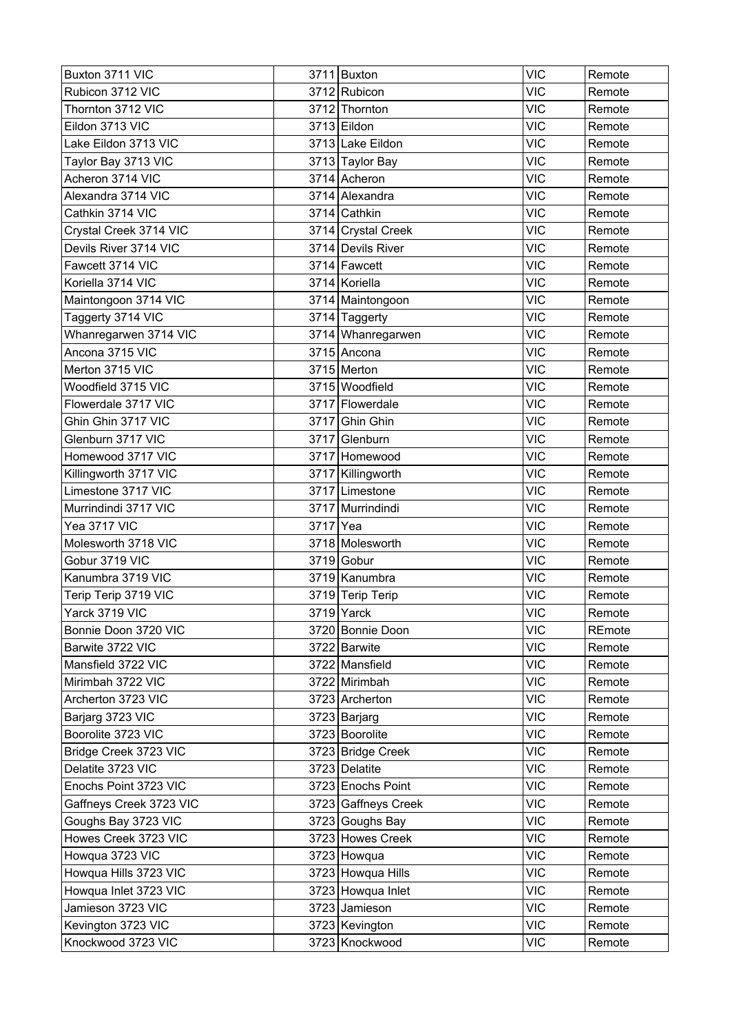| Buxton 3711 VIC         |      | 3711 Buxton         | <b>VIC</b> | Remote |
|-------------------------|------|---------------------|------------|--------|
| Rubicon 3712 VIC        |      | 3712 Rubicon        | <b>VIC</b> | Remote |
| Thornton 3712 VIC       |      | 3712 Thornton       | <b>VIC</b> | Remote |
| Eildon 3713 VIC         |      | 3713 Eildon         | <b>VIC</b> | Remote |
| Lake Eildon 3713 VIC    |      | 3713 Lake Eildon    | <b>VIC</b> | Remote |
| Taylor Bay 3713 VIC     |      | 3713 Taylor Bay     | <b>VIC</b> | Remote |
| Acheron 3714 VIC        |      | 3714 Acheron        | VIC        | Remote |
| Alexandra 3714 VIC      |      | 3714 Alexandra      | <b>VIC</b> | Remote |
| Cathkin 3714 VIC        |      | 3714 Cathkin        | <b>VIC</b> | Remote |
| Crystal Creek 3714 VIC  |      | 3714 Crystal Creek  | <b>VIC</b> | Remote |
| Devils River 3714 VIC   |      | 3714 Devils River   | <b>VIC</b> | Remote |
| Fawcett 3714 VIC        |      | 3714 Fawcett        | <b>VIC</b> | Remote |
| Koriella 3714 VIC       |      | 3714 Koriella       | <b>VIC</b> | Remote |
| Maintongoon 3714 VIC    |      | 3714 Maintongoon    | <b>VIC</b> | Remote |
| Taggerty 3714 VIC       |      | 3714 Taggerty       | <b>VIC</b> | Remote |
| Whanregarwen 3714 VIC   |      | 3714 Whanregarwen   | <b>VIC</b> | Remote |
| Ancona 3715 VIC         |      | 3715 Ancona         | <b>VIC</b> | Remote |
| Merton 3715 VIC         |      | 3715 Merton         | <b>VIC</b> | Remote |
| Woodfield 3715 VIC      |      | 3715 Woodfield      | <b>VIC</b> | Remote |
| Flowerdale 3717 VIC     |      | 3717 Flowerdale     | <b>VIC</b> | Remote |
| Ghin Ghin 3717 VIC      |      | 3717 Ghin Ghin      | <b>VIC</b> | Remote |
| Glenburn 3717 VIC       |      | 3717 Glenburn       | <b>VIC</b> | Remote |
| Homewood 3717 VIC       |      | 3717 Homewood       | <b>VIC</b> | Remote |
| Killingworth 3717 VIC   |      | 3717 Killingworth   | <b>VIC</b> | Remote |
| Limestone 3717 VIC      |      | 3717 Limestone      | <b>VIC</b> | Remote |
| Murrindindi 3717 VIC    |      | 3717 Murrindindi    | <b>VIC</b> | Remote |
| Yea 3717 VIC            | 3717 | Yea                 | <b>VIC</b> | Remote |
| Molesworth 3718 VIC     |      | 3718 Molesworth     | <b>VIC</b> | Remote |
| Gobur 3719 VIC          |      | 3719 Gobur          | <b>VIC</b> | Remote |
| Kanumbra 3719 VIC       |      | 3719 Kanumbra       | <b>VIC</b> | Remote |
| Terip Terip 3719 VIC    |      | 3719 Terip Terip    | <b>VIC</b> | Remote |
| Yarck 3719 VIC          |      | $3719$ Yarck        | <b>VIC</b> | Remote |
| Bonnie Doon 3720 VIC    |      | 3720 Bonnie Doon    | <b>VIC</b> | REmote |
| Barwite 3722 VIC        |      | 3722 Barwite        | <b>VIC</b> | Remote |
| Mansfield 3722 VIC      |      | 3722 Mansfield      | <b>VIC</b> | Remote |
| Mirimbah 3722 VIC       |      | 3722 Mirimbah       | <b>VIC</b> | Remote |
| Archerton 3723 VIC      |      | 3723 Archerton      | <b>VIC</b> | Remote |
| Barjarg 3723 VIC        |      | 3723 Barjarg        | <b>VIC</b> | Remote |
| Boorolite 3723 VIC      |      | 3723 Boorolite      | <b>VIC</b> | Remote |
| Bridge Creek 3723 VIC   |      | 3723 Bridge Creek   | <b>VIC</b> | Remote |
| Delatite 3723 VIC       |      | 3723 Delatite       | <b>VIC</b> | Remote |
| Enochs Point 3723 VIC   |      | 3723 Enochs Point   | <b>VIC</b> | Remote |
| Gaffneys Creek 3723 VIC |      | 3723 Gaffneys Creek | <b>VIC</b> | Remote |
| Goughs Bay 3723 VIC     |      | 3723 Goughs Bay     | <b>VIC</b> | Remote |
| Howes Creek 3723 VIC    |      | 3723 Howes Creek    | <b>VIC</b> | Remote |
| Howqua 3723 VIC         |      | 3723 Howqua         | <b>VIC</b> | Remote |
| Howqua Hills 3723 VIC   |      | 3723 Howqua Hills   | <b>VIC</b> | Remote |
| Howqua Inlet 3723 VIC   |      | 3723 Howqua Inlet   | <b>VIC</b> | Remote |
| Jamieson 3723 VIC       |      | 3723 Jamieson       | <b>VIC</b> | Remote |
| Kevington 3723 VIC      |      | 3723 Kevington      | <b>VIC</b> | Remote |
| Knockwood 3723 VIC      |      | 3723 Knockwood      | <b>VIC</b> | Remote |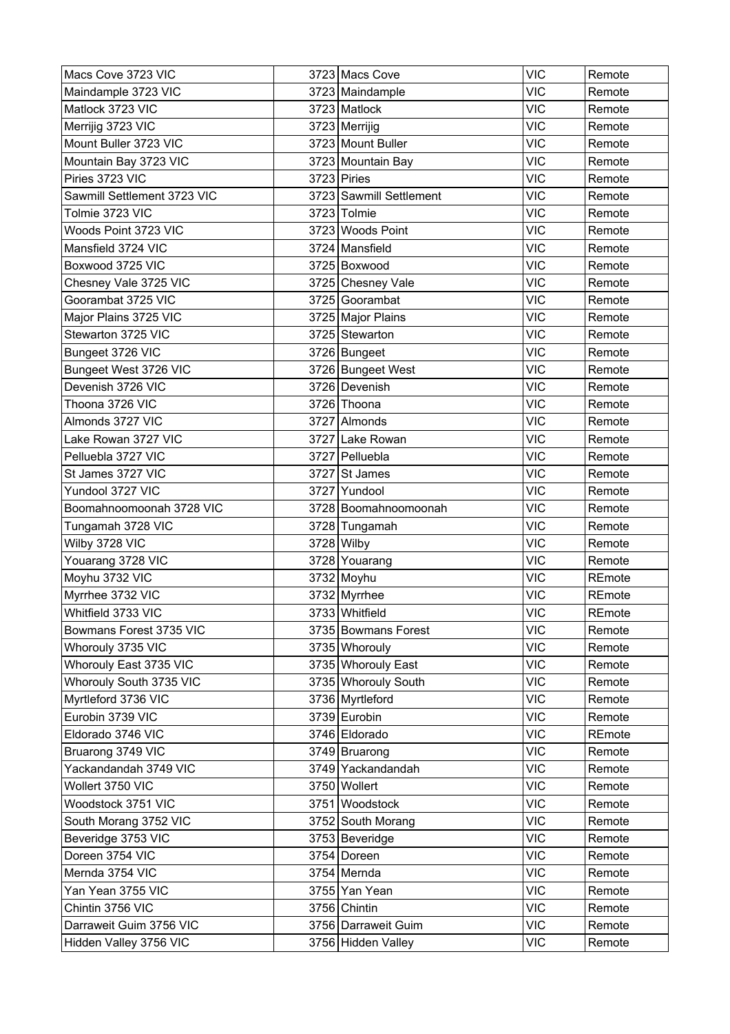| Macs Cove 3723 VIC          | 3723 Macs Cove          | <b>VIC</b> | Remote |
|-----------------------------|-------------------------|------------|--------|
| Maindample 3723 VIC         | 3723 Maindample         | <b>VIC</b> | Remote |
| Matlock 3723 VIC            | 3723 Matlock            | <b>VIC</b> | Remote |
| Merrijig 3723 VIC           | 3723 Merrijig           | <b>VIC</b> | Remote |
| Mount Buller 3723 VIC       | 3723 Mount Buller       | <b>VIC</b> | Remote |
| Mountain Bay 3723 VIC       | 3723 Mountain Bay       | <b>VIC</b> | Remote |
| Piries 3723 VIC             | $3723$ Piries           | <b>VIC</b> | Remote |
| Sawmill Settlement 3723 VIC | 3723 Sawmill Settlement | <b>VIC</b> | Remote |
| Tolmie 3723 VIC             | 3723 Tolmie             | <b>VIC</b> | Remote |
| Woods Point 3723 VIC        | 3723 Woods Point        | <b>VIC</b> | Remote |
| Mansfield 3724 VIC          | 3724 Mansfield          | <b>VIC</b> | Remote |
| Boxwood 3725 VIC            | 3725 Boxwood            | <b>VIC</b> | Remote |
| Chesney Vale 3725 VIC       | 3725 Chesney Vale       | <b>VIC</b> | Remote |
| Goorambat 3725 VIC          | 3725 Goorambat          | <b>VIC</b> | Remote |
| Major Plains 3725 VIC       | 3725 Major Plains       | <b>VIC</b> | Remote |
| Stewarton 3725 VIC          | 3725 Stewarton          | <b>VIC</b> | Remote |
| Bungeet 3726 VIC            | 3726 Bungeet            | <b>VIC</b> | Remote |
| Bungeet West 3726 VIC       | 3726 Bungeet West       | <b>VIC</b> | Remote |
| Devenish 3726 VIC           | 3726 Devenish           | <b>VIC</b> | Remote |
| Thoona 3726 VIC             | 3726 Thoona             | <b>VIC</b> | Remote |
| Almonds 3727 VIC            | 3727 Almonds            | <b>VIC</b> | Remote |
| Lake Rowan 3727 VIC         | 3727 Lake Rowan         | <b>VIC</b> | Remote |
| Pelluebla 3727 VIC          | 3727 Pelluebla          | <b>VIC</b> | Remote |
| St James 3727 VIC           | 3727 St James           | <b>VIC</b> | Remote |
| Yundool 3727 VIC            | 3727 Yundool            | <b>VIC</b> | Remote |
| Boomahnoomoonah 3728 VIC    | 3728 Boomahnoomoonah    | <b>VIC</b> | Remote |
| Tungamah 3728 VIC           | 3728 Tungamah           | <b>VIC</b> | Remote |
| Wilby 3728 VIC              | 3728 Wilby              | <b>VIC</b> | Remote |
| Youarang 3728 VIC           | 3728 Youarang           | <b>VIC</b> | Remote |
| Moyhu 3732 VIC              | 3732 Moyhu              | <b>VIC</b> | REmote |
| Myrrhee 3732 VIC            | 3732 Myrrhee            | <b>VIC</b> | REmote |
| Whitfield 3733 VIC          | 3733 Whitfield          | <b>VIC</b> | REmote |
| Bowmans Forest 3735 VIC     | 3735 Bowmans Forest     | <b>VIC</b> | Remote |
| Whorouly 3735 VIC           | 3735 Whorouly           | <b>VIC</b> | Remote |
| Whorouly East 3735 VIC      | 3735 Whorouly East      | <b>VIC</b> | Remote |
| Whorouly South 3735 VIC     | 3735 Whorouly South     | <b>VIC</b> | Remote |
| Myrtleford 3736 VIC         | 3736 Myrtleford         | <b>VIC</b> | Remote |
| Eurobin 3739 VIC            | 3739 Eurobin            | <b>VIC</b> | Remote |
| Eldorado 3746 VIC           | 3746 Eldorado           | <b>VIC</b> | REmote |
| Bruarong 3749 VIC           | 3749 Bruarong           | <b>VIC</b> | Remote |
| Yackandandah 3749 VIC       | 3749 Yackandandah       | <b>VIC</b> | Remote |
| Wollert 3750 VIC            | 3750 Wollert            | <b>VIC</b> | Remote |
| Woodstock 3751 VIC          | 3751 Woodstock          | <b>VIC</b> | Remote |
| South Morang 3752 VIC       | 3752 South Morang       | <b>VIC</b> | Remote |
| Beveridge 3753 VIC          | 3753 Beveridge          | <b>VIC</b> | Remote |
| Doreen 3754 VIC             | 3754 Doreen             | <b>VIC</b> | Remote |
| Mernda 3754 VIC             | 3754 Mernda             | <b>VIC</b> | Remote |
| Yan Yean 3755 VIC           | 3755 Yan Yean           | <b>VIC</b> | Remote |
| Chintin 3756 VIC            | 3756 Chintin            | <b>VIC</b> | Remote |
| Darraweit Guim 3756 VIC     | 3756 Darraweit Guim     | <b>VIC</b> | Remote |
| Hidden Valley 3756 VIC      | 3756 Hidden Valley      | <b>VIC</b> | Remote |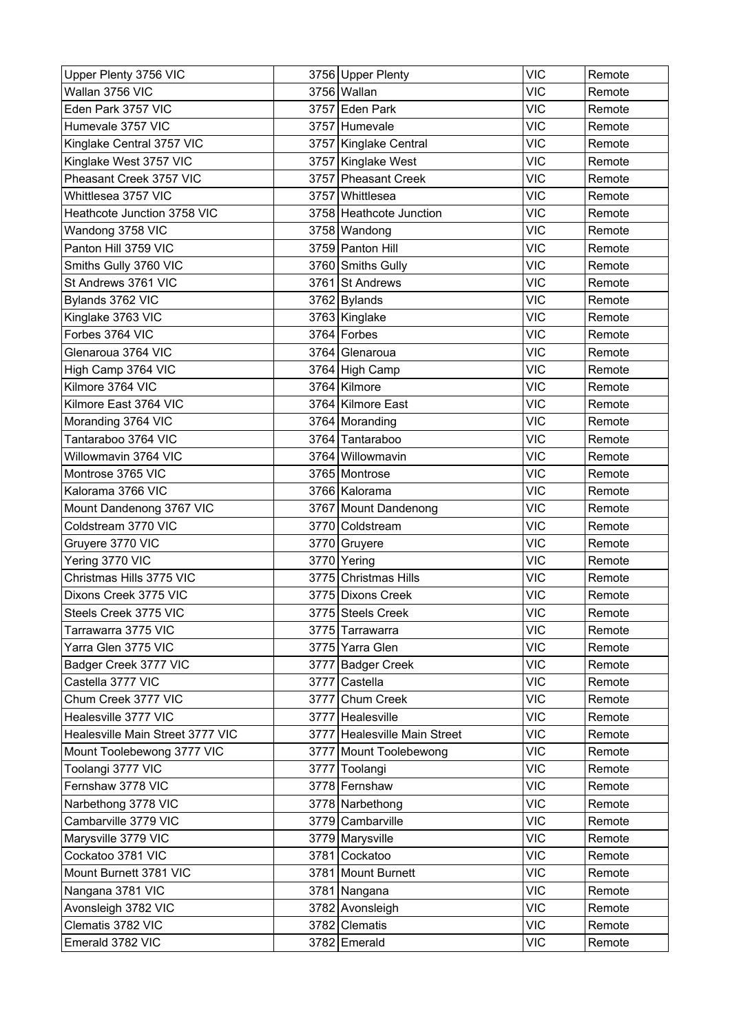| Upper Plenty 3756 VIC            | 3756 Upper Plenty            | <b>VIC</b> | Remote |
|----------------------------------|------------------------------|------------|--------|
| Wallan 3756 VIC                  | 3756 Wallan                  | <b>VIC</b> | Remote |
| Eden Park 3757 VIC               | 3757 Eden Park               | <b>VIC</b> | Remote |
| Humevale 3757 VIC                | 3757 Humevale                | <b>VIC</b> | Remote |
| Kinglake Central 3757 VIC        | 3757 Kinglake Central        | <b>VIC</b> | Remote |
| Kinglake West 3757 VIC           | 3757 Kinglake West           | <b>VIC</b> | Remote |
| Pheasant Creek 3757 VIC          | 3757 Pheasant Creek          | <b>VIC</b> | Remote |
| Whittlesea 3757 VIC              | 3757 Whittlesea              | <b>VIC</b> | Remote |
| Heathcote Junction 3758 VIC      | 3758 Heathcote Junction      | <b>VIC</b> | Remote |
| Wandong 3758 VIC                 | 3758 Wandong                 | <b>VIC</b> | Remote |
| Panton Hill 3759 VIC             | 3759 Panton Hill             | <b>VIC</b> | Remote |
| Smiths Gully 3760 VIC            | 3760 Smiths Gully            | <b>VIC</b> | Remote |
| St Andrews 3761 VIC              | 3761 St Andrews              | <b>VIC</b> | Remote |
| Bylands 3762 VIC                 | 3762 Bylands                 | <b>VIC</b> | Remote |
| Kinglake 3763 VIC                | 3763 Kinglake                | <b>VIC</b> | Remote |
| Forbes 3764 VIC                  | 3764 Forbes                  | <b>VIC</b> | Remote |
| Glenaroua 3764 VIC               | 3764 Glenaroua               | <b>VIC</b> | Remote |
| High Camp 3764 VIC               | 3764 High Camp               | <b>VIC</b> | Remote |
| Kilmore 3764 VIC                 | 3764 Kilmore                 | <b>VIC</b> | Remote |
| Kilmore East 3764 VIC            | 3764 Kilmore East            | <b>VIC</b> | Remote |
| Moranding 3764 VIC               | 3764 Moranding               | <b>VIC</b> | Remote |
| Tantaraboo 3764 VIC              | 3764 Tantaraboo              | <b>VIC</b> | Remote |
| Willowmavin 3764 VIC             | 3764 Willowmavin             | <b>VIC</b> | Remote |
| Montrose 3765 VIC                | 3765 Montrose                | <b>VIC</b> | Remote |
| Kalorama 3766 VIC                | 3766 Kalorama                | <b>VIC</b> | Remote |
| Mount Dandenong 3767 VIC         | 3767 Mount Dandenong         | <b>VIC</b> | Remote |
| Coldstream 3770 VIC              | 3770 Coldstream              | <b>VIC</b> | Remote |
| Gruyere 3770 VIC                 | 3770 Gruyere                 | <b>VIC</b> | Remote |
| Yering 3770 VIC                  | 3770 Yering                  | <b>VIC</b> | Remote |
| Christmas Hills 3775 VIC         | 3775 Christmas Hills         | <b>VIC</b> | Remote |
| Dixons Creek 3775 VIC            | 3775 Dixons Creek            | <b>VIC</b> | Remote |
| Steels Creek 3775 VIC            | 3775 Steels Creek            | <b>VIC</b> | Remote |
| Tarrawarra 3775 VIC              | 3775 Tarrawarra              | <b>VIC</b> | Remote |
| Yarra Glen 3775 VIC              | 3775 Yarra Glen              | <b>VIC</b> | Remote |
| Badger Creek 3777 VIC            | 3777 Badger Creek            | <b>VIC</b> | Remote |
| Castella 3777 VIC                | 3777 Castella                | <b>VIC</b> | Remote |
| Chum Creek 3777 VIC              | 3777 Chum Creek              | <b>VIC</b> | Remote |
| Healesville 3777 VIC             | 3777 Healesville             | <b>VIC</b> | Remote |
| Healesville Main Street 3777 VIC | 3777 Healesville Main Street | <b>VIC</b> | Remote |
| Mount Toolebewong 3777 VIC       | 3777 Mount Toolebewong       | <b>VIC</b> | Remote |
| Toolangi 3777 VIC                | 3777 Toolangi                | <b>VIC</b> | Remote |
| Fernshaw 3778 VIC                | 3778 Fernshaw                | <b>VIC</b> | Remote |
| Narbethong 3778 VIC              | 3778 Narbethong              | <b>VIC</b> | Remote |
| Cambarville 3779 VIC             | 3779 Cambarville             | <b>VIC</b> | Remote |
| Marysville 3779 VIC              | 3779 Marysville              | <b>VIC</b> | Remote |
| Cockatoo 3781 VIC                | 3781 Cockatoo                | <b>VIC</b> | Remote |
| Mount Burnett 3781 VIC           | 3781 Mount Burnett           | <b>VIC</b> | Remote |
| Nangana 3781 VIC                 | 3781 Nangana                 | <b>VIC</b> | Remote |
| Avonsleigh 3782 VIC              | 3782 Avonsleigh              | <b>VIC</b> | Remote |
| Clematis 3782 VIC                | 3782 Clematis                | <b>VIC</b> | Remote |
| Emerald 3782 VIC                 | 3782 Emerald                 | <b>VIC</b> | Remote |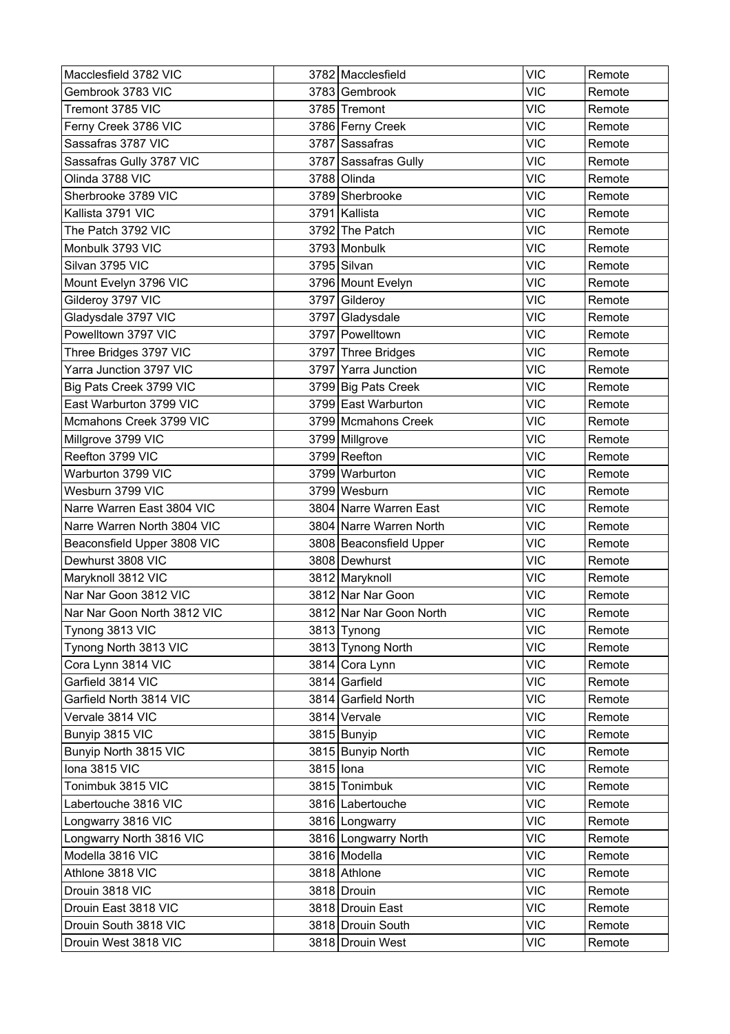| Macclesfield 3782 VIC       |           | 3782 Macclesfield       | <b>VIC</b> | Remote |
|-----------------------------|-----------|-------------------------|------------|--------|
| Gembrook 3783 VIC           |           | 3783 Gembrook           | <b>VIC</b> | Remote |
| Tremont 3785 VIC            |           | 3785 Tremont            | <b>VIC</b> | Remote |
| Ferny Creek 3786 VIC        |           | 3786 Ferny Creek        | <b>VIC</b> | Remote |
| Sassafras 3787 VIC          |           | 3787 Sassafras          | <b>VIC</b> | Remote |
| Sassafras Gully 3787 VIC    |           | 3787 Sassafras Gully    | <b>VIC</b> | Remote |
| Olinda 3788 VIC             |           | 3788 Olinda             | <b>VIC</b> | Remote |
| Sherbrooke 3789 VIC         |           | 3789 Sherbrooke         | <b>VIC</b> | Remote |
| Kallista 3791 VIC           |           | 3791 Kallista           | <b>VIC</b> | Remote |
| The Patch 3792 VIC          |           | 3792 The Patch          | <b>VIC</b> | Remote |
| Monbulk 3793 VIC            |           | 3793 Monbulk            | <b>VIC</b> | Remote |
| Silvan 3795 VIC             |           | 3795 Silvan             | <b>VIC</b> | Remote |
| Mount Evelyn 3796 VIC       |           | 3796 Mount Evelyn       | <b>VIC</b> | Remote |
| Gilderoy 3797 VIC           |           | 3797 Gilderoy           | <b>VIC</b> | Remote |
| Gladysdale 3797 VIC         |           | 3797 Gladysdale         | <b>VIC</b> | Remote |
| Powelltown 3797 VIC         |           | 3797 Powelltown         | <b>VIC</b> | Remote |
| Three Bridges 3797 VIC      |           | 3797 Three Bridges      | <b>VIC</b> | Remote |
| Yarra Junction 3797 VIC     |           | 3797 Yarra Junction     | <b>VIC</b> | Remote |
| Big Pats Creek 3799 VIC     |           | 3799 Big Pats Creek     | <b>VIC</b> | Remote |
| East Warburton 3799 VIC     |           | 3799 East Warburton     | <b>VIC</b> | Remote |
| Mcmahons Creek 3799 VIC     |           | 3799 Mcmahons Creek     | VIC        | Remote |
| Millgrove 3799 VIC          |           | 3799 Millgrove          | <b>VIC</b> | Remote |
| Reefton 3799 VIC            |           | 3799 Reefton            | <b>VIC</b> | Remote |
| Warburton 3799 VIC          |           | 3799 Warburton          | <b>VIC</b> | Remote |
| Wesburn 3799 VIC            |           | 3799 Wesburn            | <b>VIC</b> | Remote |
| Narre Warren East 3804 VIC  |           | 3804 Narre Warren East  | <b>VIC</b> | Remote |
| Narre Warren North 3804 VIC |           | 3804 Narre Warren North | <b>VIC</b> | Remote |
| Beaconsfield Upper 3808 VIC |           | 3808 Beaconsfield Upper | <b>VIC</b> | Remote |
| Dewhurst 3808 VIC           |           | 3808 Dewhurst           | <b>VIC</b> | Remote |
| Maryknoll 3812 VIC          |           | 3812 Maryknoll          | <b>VIC</b> | Remote |
| Nar Nar Goon 3812 VIC       |           | 3812 Nar Nar Goon       | <b>VIC</b> | Remote |
| Nar Nar Goon North 3812 VIC |           | 3812 Nar Nar Goon North | <b>VIC</b> | Remote |
| Tynong 3813 VIC             |           | 3813 Tynong             | <b>VIC</b> | Remote |
| Tynong North 3813 VIC       |           | 3813 Tynong North       | <b>VIC</b> | Remote |
| Cora Lynn 3814 VIC          |           | 3814 Cora Lynn          | <b>VIC</b> | Remote |
| Garfield 3814 VIC           |           | 3814 Garfield           | <b>VIC</b> | Remote |
| Garfield North 3814 VIC     |           | 3814 Garfield North     | <b>VIC</b> | Remote |
| Vervale 3814 VIC            |           | 3814 Vervale            | <b>VIC</b> | Remote |
| Bunyip 3815 VIC             |           | 3815 Bunyip             | <b>VIC</b> | Remote |
| Bunyip North 3815 VIC       |           | 3815 Bunyip North       | <b>VIC</b> | Remote |
| lona 3815 VIC               | 3815 lona |                         | <b>VIC</b> | Remote |
| Tonimbuk 3815 VIC           |           | 3815 Tonimbuk           | <b>VIC</b> | Remote |
| Labertouche 3816 VIC        |           | 3816 Labertouche        | <b>VIC</b> | Remote |
| Longwarry 3816 VIC          |           | 3816 Longwarry          | <b>VIC</b> | Remote |
| Longwarry North 3816 VIC    |           | 3816 Longwarry North    | <b>VIC</b> | Remote |
| Modella 3816 VIC            |           | 3816 Modella            | <b>VIC</b> | Remote |
| Athlone 3818 VIC            |           | 3818 Athlone            | <b>VIC</b> | Remote |
| Drouin 3818 VIC             |           | 3818 Drouin             | <b>VIC</b> | Remote |
| Drouin East 3818 VIC        |           | 3818 Drouin East        | <b>VIC</b> | Remote |
| Drouin South 3818 VIC       |           | 3818 Drouin South       | <b>VIC</b> | Remote |
| Drouin West 3818 VIC        |           | 3818 Drouin West        | <b>VIC</b> | Remote |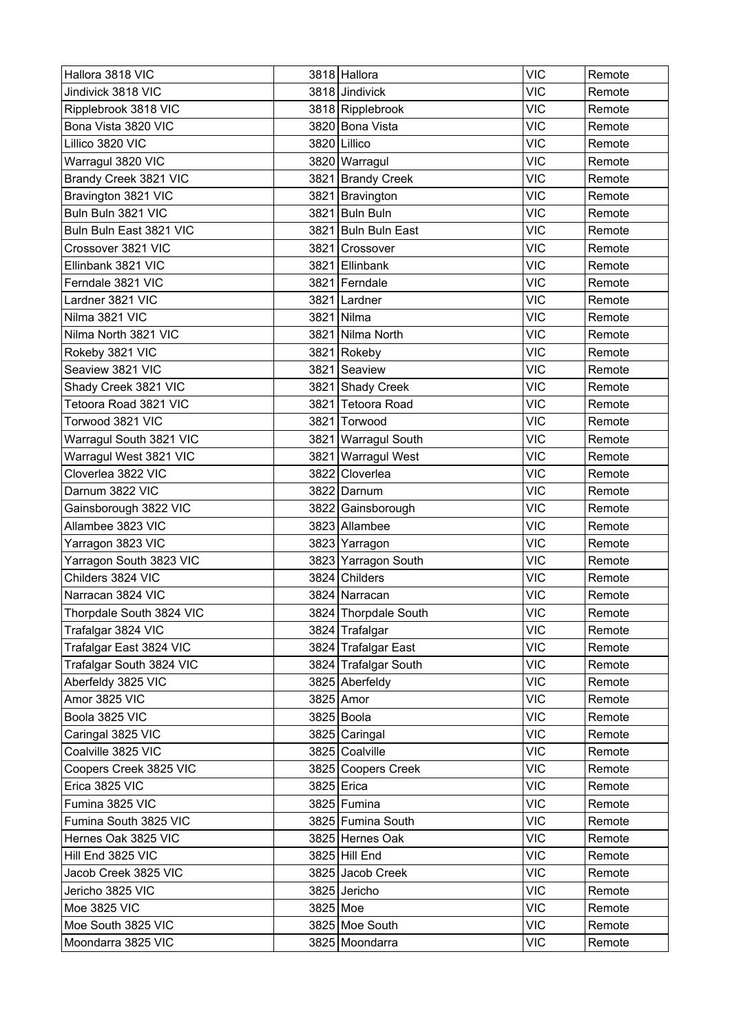| Hallora 3818 VIC         |          | 3818 Hallora         | <b>VIC</b> | Remote |
|--------------------------|----------|----------------------|------------|--------|
| Jindivick 3818 VIC       |          | 3818 Jindivick       | <b>VIC</b> | Remote |
| Ripplebrook 3818 VIC     |          | 3818 Ripplebrook     | <b>VIC</b> | Remote |
| Bona Vista 3820 VIC      |          | 3820 Bona Vista      | <b>VIC</b> | Remote |
| Lillico 3820 VIC         |          | 3820 Lillico         | VIC        | Remote |
| Warragul 3820 VIC        |          | 3820 Warragul        | <b>VIC</b> | Remote |
| Brandy Creek 3821 VIC    |          | 3821 Brandy Creek    | <b>VIC</b> | Remote |
| Bravington 3821 VIC      |          | 3821 Bravington      | <b>VIC</b> | Remote |
| Buln Buln 3821 VIC       |          | 3821 Buln Buln       | <b>VIC</b> | Remote |
| Buln Buln East 3821 VIC  | 3821     | Buln Buln East       | <b>VIC</b> | Remote |
| Crossover 3821 VIC       |          | 3821 Crossover       | <b>VIC</b> | Remote |
| Ellinbank 3821 VIC       |          | 3821 Ellinbank       | <b>VIC</b> | Remote |
| Ferndale 3821 VIC        |          | 3821 Ferndale        | <b>VIC</b> | Remote |
| Lardner 3821 VIC         |          | 3821 Lardner         | <b>VIC</b> | Remote |
| Nilma 3821 VIC           |          | 3821 Nilma           | <b>VIC</b> | Remote |
| Nilma North 3821 VIC     |          | 3821 Nilma North     | <b>VIC</b> | Remote |
| Rokeby 3821 VIC          |          | 3821 Rokeby          | <b>VIC</b> | Remote |
| Seaview 3821 VIC         |          | 3821 Seaview         | <b>VIC</b> | Remote |
| Shady Creek 3821 VIC     |          | 3821 Shady Creek     | <b>VIC</b> | Remote |
| Tetoora Road 3821 VIC    |          | 3821 Tetoora Road    | <b>VIC</b> | Remote |
| Torwood 3821 VIC         |          | 3821 Torwood         | <b>VIC</b> | Remote |
| Warragul South 3821 VIC  |          | 3821 Warragul South  | <b>VIC</b> | Remote |
| Warragul West 3821 VIC   |          | 3821 Warragul West   | <b>VIC</b> | Remote |
| Cloverlea 3822 VIC       |          | 3822 Cloverlea       | <b>VIC</b> | Remote |
| Darnum 3822 VIC          |          | 3822 Darnum          | <b>VIC</b> | Remote |
| Gainsborough 3822 VIC    |          | 3822 Gainsborough    | <b>VIC</b> | Remote |
| Allambee 3823 VIC        |          | 3823 Allambee        | <b>VIC</b> | Remote |
| Yarragon 3823 VIC        |          | 3823 Yarragon        | <b>VIC</b> | Remote |
| Yarragon South 3823 VIC  |          | 3823 Yarragon South  | <b>VIC</b> | Remote |
| Childers 3824 VIC        |          | 3824 Childers        | <b>VIC</b> | Remote |
| Narracan 3824 VIC        |          | 3824 Narracan        | <b>VIC</b> | Remote |
| Thorpdale South 3824 VIC |          | 3824 Thorpdale South | <b>VIC</b> | Remote |
| Trafalgar 3824 VIC       |          | 3824 Trafalgar       | <b>VIC</b> | Remote |
| Trafalgar East 3824 VIC  |          | 3824 Trafalgar East  | <b>VIC</b> | Remote |
| Trafalgar South 3824 VIC |          | 3824 Trafalgar South | <b>VIC</b> | Remote |
| Aberfeldy 3825 VIC       |          | 3825 Aberfeldy       | <b>VIC</b> | Remote |
| Amor 3825 VIC            |          | 3825 Amor            | <b>VIC</b> | Remote |
| Boola 3825 VIC           |          | 3825 Boola           | <b>VIC</b> | Remote |
| Caringal 3825 VIC        |          | 3825 Caringal        | <b>VIC</b> | Remote |
| Coalville 3825 VIC       |          | 3825 Coalville       | <b>VIC</b> | Remote |
| Coopers Creek 3825 VIC   |          | 3825 Coopers Creek   | <b>VIC</b> | Remote |
| Erica 3825 VIC           |          | 3825 Erica           | <b>VIC</b> | Remote |
| Fumina 3825 VIC          |          | 3825 Fumina          | <b>VIC</b> | Remote |
| Fumina South 3825 VIC    |          | 3825 Fumina South    | <b>VIC</b> | Remote |
| Hernes Oak 3825 VIC      |          | 3825 Hernes Oak      | <b>VIC</b> | Remote |
| Hill End 3825 VIC        |          | 3825 Hill End        | <b>VIC</b> | Remote |
| Jacob Creek 3825 VIC     |          | 3825 Jacob Creek     | <b>VIC</b> | Remote |
| Jericho 3825 VIC         |          | 3825 Jericho         | <b>VIC</b> | Remote |
| Moe 3825 VIC             | 3825 Moe |                      | <b>VIC</b> | Remote |
| Moe South 3825 VIC       |          | 3825 Moe South       | <b>VIC</b> | Remote |
| Moondarra 3825 VIC       |          | 3825 Moondarra       | <b>VIC</b> | Remote |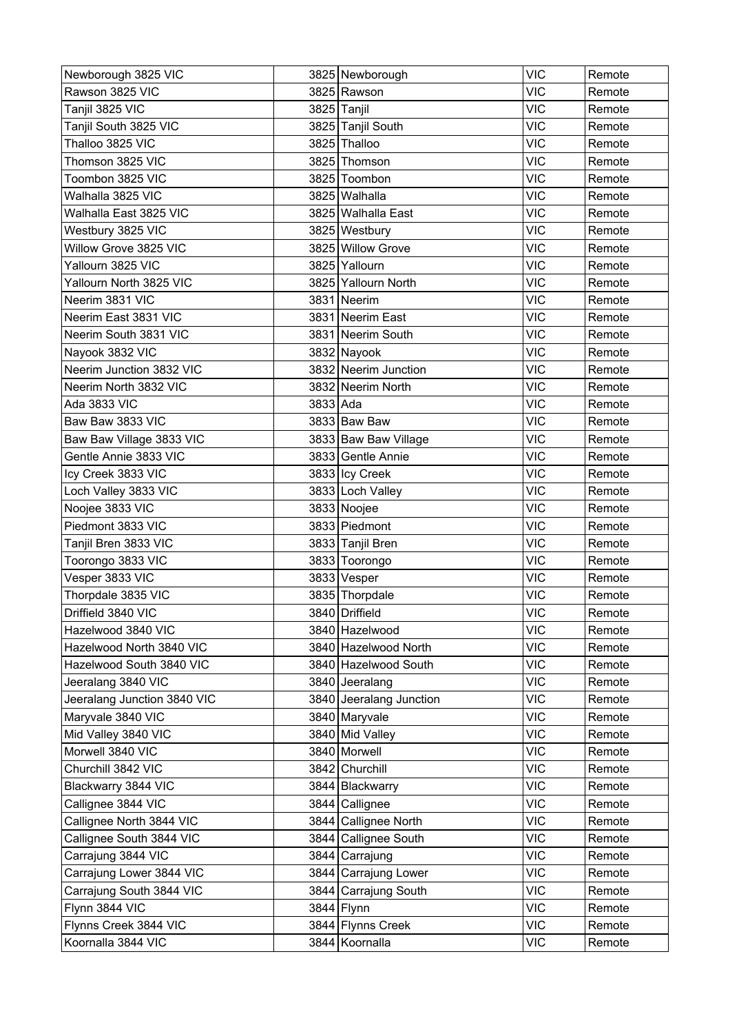| Rawson 3825 VIC<br>3825 Rawson<br><b>VIC</b><br>Remote<br><b>VIC</b><br>Tanjil 3825 VIC<br>3825 Tanjil<br>Remote<br><b>VIC</b><br>Tanjil South 3825 VIC<br>3825 Tanjil South<br>Remote<br>Thalloo 3825 VIC<br><b>VIC</b><br>3825 Thalloo<br>Remote<br><b>VIC</b><br>3825 Thomson<br>Thomson 3825 VIC<br>Remote<br><b>VIC</b><br>Toombon 3825 VIC<br>3825 Toombon<br>Remote<br><b>VIC</b><br>Walhalla 3825 VIC<br>3825 Walhalla<br>Remote<br><b>VIC</b><br>Walhalla East 3825 VIC<br>3825   Walhalla East<br>Remote<br><b>VIC</b><br>Westbury 3825 VIC<br>3825 Westbury<br>Remote<br>Willow Grove 3825 VIC<br>3825 Willow Grove<br><b>VIC</b><br>Remote<br>3825 Yallourn<br><b>VIC</b><br>Yallourn 3825 VIC<br>Remote<br>Yallourn North 3825 VIC<br>3825 Yallourn North<br><b>VIC</b><br>Remote<br><b>VIC</b><br>Neerim 3831 VIC<br>3831 Neerim<br>Remote<br><b>VIC</b><br>Neerim East 3831 VIC<br>3831 Neerim East<br>Remote<br>Neerim South 3831 VIC<br>3831 Neerim South<br><b>VIC</b><br>Remote<br><b>VIC</b><br>Nayook 3832 VIC<br>3832 Nayook<br>Remote<br>Neerim Junction 3832 VIC<br>3832 Neerim Junction<br><b>VIC</b><br>Remote<br>Neerim North 3832 VIC<br>3832 Neerim North<br><b>VIC</b><br>Remote<br><b>VIC</b><br>Ada 3833 VIC<br>3833 Ada<br>Remote<br>Baw Baw 3833 VIC<br><b>VIC</b><br>3833 Baw Baw<br>Remote<br><b>VIC</b><br>Baw Baw Village 3833 VIC<br>3833 Baw Baw Village<br>Remote<br>Gentle Annie 3833 VIC<br><b>VIC</b><br>3833 Gentle Annie<br>Remote<br><b>VIC</b><br>Icy Creek 3833 VIC<br>3833 Icy Creek<br>Remote<br><b>VIC</b><br>Loch Valley 3833 VIC<br>3833 Loch Valley<br>Remote<br><b>VIC</b><br>Noojee 3833 VIC<br>3833 Noojee<br>Remote<br>Piedmont 3833 VIC<br>3833 Piedmont<br><b>VIC</b><br>Remote<br><b>VIC</b><br>Tanjil Bren 3833 VIC<br>3833 Tanjil Bren<br>Remote<br><b>VIC</b><br>Toorongo 3833 VIC<br>3833 Toorongo<br>Remote<br>Vesper 3833 VIC<br>3833 Vesper<br><b>VIC</b><br>Remote<br>Thorpdale 3835 VIC<br>3835 Thorpdale<br><b>VIC</b><br>Remote<br><b>VIC</b><br>Driffield 3840 VIC<br>3840 Driffield<br>Remote<br><b>VIC</b><br>Hazelwood 3840 VIC<br>3840 Hazelwood<br>Remote<br><b>VIC</b><br>Hazelwood North 3840 VIC<br>3840 Hazelwood North<br>Remote<br><b>VIC</b><br>Hazelwood South 3840 VIC<br>3840 Hazelwood South<br>Remote<br><b>VIC</b><br>Jeeralang 3840 VIC<br>3840 Jeeralang<br>Remote<br><b>VIC</b><br>Jeeralang Junction 3840 VIC<br>3840 Jeeralang Junction<br>Remote<br>Maryvale 3840 VIC<br>3840 Maryvale<br><b>VIC</b><br>Remote<br><b>VIC</b><br>Mid Valley 3840 VIC<br>3840 Mid Valley<br>Remote<br>Morwell 3840 VIC<br>3840 Morwell<br><b>VIC</b><br>Remote<br>Churchill 3842 VIC<br>3842 Churchill<br><b>VIC</b><br>Remote<br><b>VIC</b><br>Blackwarry 3844 VIC<br>3844 Blackwarry<br>Remote<br>Callignee 3844 VIC<br><b>VIC</b><br>3844 Callignee<br>Remote<br>Callignee North 3844 VIC<br>3844 Callignee North<br><b>VIC</b><br>Remote<br><b>VIC</b><br>Callignee South 3844 VIC<br>3844 Callignee South<br>Remote<br>Carrajung 3844 VIC<br><b>VIC</b><br>3844 Carrajung<br>Remote<br>Carrajung Lower 3844 VIC<br><b>VIC</b><br>3844 Carrajung Lower<br>Remote<br><b>VIC</b><br>Carrajung South 3844 VIC<br>3844 Carrajung South<br>Remote<br>Flynn 3844 VIC<br><b>VIC</b><br>3844 Flynn<br>Remote | Newborough 3825 VIC   | 3825 Newborough | <b>VIC</b> | Remote |
|------------------------------------------------------------------------------------------------------------------------------------------------------------------------------------------------------------------------------------------------------------------------------------------------------------------------------------------------------------------------------------------------------------------------------------------------------------------------------------------------------------------------------------------------------------------------------------------------------------------------------------------------------------------------------------------------------------------------------------------------------------------------------------------------------------------------------------------------------------------------------------------------------------------------------------------------------------------------------------------------------------------------------------------------------------------------------------------------------------------------------------------------------------------------------------------------------------------------------------------------------------------------------------------------------------------------------------------------------------------------------------------------------------------------------------------------------------------------------------------------------------------------------------------------------------------------------------------------------------------------------------------------------------------------------------------------------------------------------------------------------------------------------------------------------------------------------------------------------------------------------------------------------------------------------------------------------------------------------------------------------------------------------------------------------------------------------------------------------------------------------------------------------------------------------------------------------------------------------------------------------------------------------------------------------------------------------------------------------------------------------------------------------------------------------------------------------------------------------------------------------------------------------------------------------------------------------------------------------------------------------------------------------------------------------------------------------------------------------------------------------------------------------------------------------------------------------------------------------------------------------------------------------------------------------------------------------------------------------------------------------------------------------------------------------------------------------------------------------------------------------------------------------------------------------------------------------------------------------------------------------------------------------------------|-----------------------|-----------------|------------|--------|
|                                                                                                                                                                                                                                                                                                                                                                                                                                                                                                                                                                                                                                                                                                                                                                                                                                                                                                                                                                                                                                                                                                                                                                                                                                                                                                                                                                                                                                                                                                                                                                                                                                                                                                                                                                                                                                                                                                                                                                                                                                                                                                                                                                                                                                                                                                                                                                                                                                                                                                                                                                                                                                                                                                                                                                                                                                                                                                                                                                                                                                                                                                                                                                                                                                                                                          |                       |                 |            |        |
|                                                                                                                                                                                                                                                                                                                                                                                                                                                                                                                                                                                                                                                                                                                                                                                                                                                                                                                                                                                                                                                                                                                                                                                                                                                                                                                                                                                                                                                                                                                                                                                                                                                                                                                                                                                                                                                                                                                                                                                                                                                                                                                                                                                                                                                                                                                                                                                                                                                                                                                                                                                                                                                                                                                                                                                                                                                                                                                                                                                                                                                                                                                                                                                                                                                                                          |                       |                 |            |        |
|                                                                                                                                                                                                                                                                                                                                                                                                                                                                                                                                                                                                                                                                                                                                                                                                                                                                                                                                                                                                                                                                                                                                                                                                                                                                                                                                                                                                                                                                                                                                                                                                                                                                                                                                                                                                                                                                                                                                                                                                                                                                                                                                                                                                                                                                                                                                                                                                                                                                                                                                                                                                                                                                                                                                                                                                                                                                                                                                                                                                                                                                                                                                                                                                                                                                                          |                       |                 |            |        |
|                                                                                                                                                                                                                                                                                                                                                                                                                                                                                                                                                                                                                                                                                                                                                                                                                                                                                                                                                                                                                                                                                                                                                                                                                                                                                                                                                                                                                                                                                                                                                                                                                                                                                                                                                                                                                                                                                                                                                                                                                                                                                                                                                                                                                                                                                                                                                                                                                                                                                                                                                                                                                                                                                                                                                                                                                                                                                                                                                                                                                                                                                                                                                                                                                                                                                          |                       |                 |            |        |
|                                                                                                                                                                                                                                                                                                                                                                                                                                                                                                                                                                                                                                                                                                                                                                                                                                                                                                                                                                                                                                                                                                                                                                                                                                                                                                                                                                                                                                                                                                                                                                                                                                                                                                                                                                                                                                                                                                                                                                                                                                                                                                                                                                                                                                                                                                                                                                                                                                                                                                                                                                                                                                                                                                                                                                                                                                                                                                                                                                                                                                                                                                                                                                                                                                                                                          |                       |                 |            |        |
|                                                                                                                                                                                                                                                                                                                                                                                                                                                                                                                                                                                                                                                                                                                                                                                                                                                                                                                                                                                                                                                                                                                                                                                                                                                                                                                                                                                                                                                                                                                                                                                                                                                                                                                                                                                                                                                                                                                                                                                                                                                                                                                                                                                                                                                                                                                                                                                                                                                                                                                                                                                                                                                                                                                                                                                                                                                                                                                                                                                                                                                                                                                                                                                                                                                                                          |                       |                 |            |        |
|                                                                                                                                                                                                                                                                                                                                                                                                                                                                                                                                                                                                                                                                                                                                                                                                                                                                                                                                                                                                                                                                                                                                                                                                                                                                                                                                                                                                                                                                                                                                                                                                                                                                                                                                                                                                                                                                                                                                                                                                                                                                                                                                                                                                                                                                                                                                                                                                                                                                                                                                                                                                                                                                                                                                                                                                                                                                                                                                                                                                                                                                                                                                                                                                                                                                                          |                       |                 |            |        |
|                                                                                                                                                                                                                                                                                                                                                                                                                                                                                                                                                                                                                                                                                                                                                                                                                                                                                                                                                                                                                                                                                                                                                                                                                                                                                                                                                                                                                                                                                                                                                                                                                                                                                                                                                                                                                                                                                                                                                                                                                                                                                                                                                                                                                                                                                                                                                                                                                                                                                                                                                                                                                                                                                                                                                                                                                                                                                                                                                                                                                                                                                                                                                                                                                                                                                          |                       |                 |            |        |
|                                                                                                                                                                                                                                                                                                                                                                                                                                                                                                                                                                                                                                                                                                                                                                                                                                                                                                                                                                                                                                                                                                                                                                                                                                                                                                                                                                                                                                                                                                                                                                                                                                                                                                                                                                                                                                                                                                                                                                                                                                                                                                                                                                                                                                                                                                                                                                                                                                                                                                                                                                                                                                                                                                                                                                                                                                                                                                                                                                                                                                                                                                                                                                                                                                                                                          |                       |                 |            |        |
|                                                                                                                                                                                                                                                                                                                                                                                                                                                                                                                                                                                                                                                                                                                                                                                                                                                                                                                                                                                                                                                                                                                                                                                                                                                                                                                                                                                                                                                                                                                                                                                                                                                                                                                                                                                                                                                                                                                                                                                                                                                                                                                                                                                                                                                                                                                                                                                                                                                                                                                                                                                                                                                                                                                                                                                                                                                                                                                                                                                                                                                                                                                                                                                                                                                                                          |                       |                 |            |        |
|                                                                                                                                                                                                                                                                                                                                                                                                                                                                                                                                                                                                                                                                                                                                                                                                                                                                                                                                                                                                                                                                                                                                                                                                                                                                                                                                                                                                                                                                                                                                                                                                                                                                                                                                                                                                                                                                                                                                                                                                                                                                                                                                                                                                                                                                                                                                                                                                                                                                                                                                                                                                                                                                                                                                                                                                                                                                                                                                                                                                                                                                                                                                                                                                                                                                                          |                       |                 |            |        |
|                                                                                                                                                                                                                                                                                                                                                                                                                                                                                                                                                                                                                                                                                                                                                                                                                                                                                                                                                                                                                                                                                                                                                                                                                                                                                                                                                                                                                                                                                                                                                                                                                                                                                                                                                                                                                                                                                                                                                                                                                                                                                                                                                                                                                                                                                                                                                                                                                                                                                                                                                                                                                                                                                                                                                                                                                                                                                                                                                                                                                                                                                                                                                                                                                                                                                          |                       |                 |            |        |
|                                                                                                                                                                                                                                                                                                                                                                                                                                                                                                                                                                                                                                                                                                                                                                                                                                                                                                                                                                                                                                                                                                                                                                                                                                                                                                                                                                                                                                                                                                                                                                                                                                                                                                                                                                                                                                                                                                                                                                                                                                                                                                                                                                                                                                                                                                                                                                                                                                                                                                                                                                                                                                                                                                                                                                                                                                                                                                                                                                                                                                                                                                                                                                                                                                                                                          |                       |                 |            |        |
|                                                                                                                                                                                                                                                                                                                                                                                                                                                                                                                                                                                                                                                                                                                                                                                                                                                                                                                                                                                                                                                                                                                                                                                                                                                                                                                                                                                                                                                                                                                                                                                                                                                                                                                                                                                                                                                                                                                                                                                                                                                                                                                                                                                                                                                                                                                                                                                                                                                                                                                                                                                                                                                                                                                                                                                                                                                                                                                                                                                                                                                                                                                                                                                                                                                                                          |                       |                 |            |        |
|                                                                                                                                                                                                                                                                                                                                                                                                                                                                                                                                                                                                                                                                                                                                                                                                                                                                                                                                                                                                                                                                                                                                                                                                                                                                                                                                                                                                                                                                                                                                                                                                                                                                                                                                                                                                                                                                                                                                                                                                                                                                                                                                                                                                                                                                                                                                                                                                                                                                                                                                                                                                                                                                                                                                                                                                                                                                                                                                                                                                                                                                                                                                                                                                                                                                                          |                       |                 |            |        |
|                                                                                                                                                                                                                                                                                                                                                                                                                                                                                                                                                                                                                                                                                                                                                                                                                                                                                                                                                                                                                                                                                                                                                                                                                                                                                                                                                                                                                                                                                                                                                                                                                                                                                                                                                                                                                                                                                                                                                                                                                                                                                                                                                                                                                                                                                                                                                                                                                                                                                                                                                                                                                                                                                                                                                                                                                                                                                                                                                                                                                                                                                                                                                                                                                                                                                          |                       |                 |            |        |
|                                                                                                                                                                                                                                                                                                                                                                                                                                                                                                                                                                                                                                                                                                                                                                                                                                                                                                                                                                                                                                                                                                                                                                                                                                                                                                                                                                                                                                                                                                                                                                                                                                                                                                                                                                                                                                                                                                                                                                                                                                                                                                                                                                                                                                                                                                                                                                                                                                                                                                                                                                                                                                                                                                                                                                                                                                                                                                                                                                                                                                                                                                                                                                                                                                                                                          |                       |                 |            |        |
|                                                                                                                                                                                                                                                                                                                                                                                                                                                                                                                                                                                                                                                                                                                                                                                                                                                                                                                                                                                                                                                                                                                                                                                                                                                                                                                                                                                                                                                                                                                                                                                                                                                                                                                                                                                                                                                                                                                                                                                                                                                                                                                                                                                                                                                                                                                                                                                                                                                                                                                                                                                                                                                                                                                                                                                                                                                                                                                                                                                                                                                                                                                                                                                                                                                                                          |                       |                 |            |        |
|                                                                                                                                                                                                                                                                                                                                                                                                                                                                                                                                                                                                                                                                                                                                                                                                                                                                                                                                                                                                                                                                                                                                                                                                                                                                                                                                                                                                                                                                                                                                                                                                                                                                                                                                                                                                                                                                                                                                                                                                                                                                                                                                                                                                                                                                                                                                                                                                                                                                                                                                                                                                                                                                                                                                                                                                                                                                                                                                                                                                                                                                                                                                                                                                                                                                                          |                       |                 |            |        |
|                                                                                                                                                                                                                                                                                                                                                                                                                                                                                                                                                                                                                                                                                                                                                                                                                                                                                                                                                                                                                                                                                                                                                                                                                                                                                                                                                                                                                                                                                                                                                                                                                                                                                                                                                                                                                                                                                                                                                                                                                                                                                                                                                                                                                                                                                                                                                                                                                                                                                                                                                                                                                                                                                                                                                                                                                                                                                                                                                                                                                                                                                                                                                                                                                                                                                          |                       |                 |            |        |
|                                                                                                                                                                                                                                                                                                                                                                                                                                                                                                                                                                                                                                                                                                                                                                                                                                                                                                                                                                                                                                                                                                                                                                                                                                                                                                                                                                                                                                                                                                                                                                                                                                                                                                                                                                                                                                                                                                                                                                                                                                                                                                                                                                                                                                                                                                                                                                                                                                                                                                                                                                                                                                                                                                                                                                                                                                                                                                                                                                                                                                                                                                                                                                                                                                                                                          |                       |                 |            |        |
|                                                                                                                                                                                                                                                                                                                                                                                                                                                                                                                                                                                                                                                                                                                                                                                                                                                                                                                                                                                                                                                                                                                                                                                                                                                                                                                                                                                                                                                                                                                                                                                                                                                                                                                                                                                                                                                                                                                                                                                                                                                                                                                                                                                                                                                                                                                                                                                                                                                                                                                                                                                                                                                                                                                                                                                                                                                                                                                                                                                                                                                                                                                                                                                                                                                                                          |                       |                 |            |        |
|                                                                                                                                                                                                                                                                                                                                                                                                                                                                                                                                                                                                                                                                                                                                                                                                                                                                                                                                                                                                                                                                                                                                                                                                                                                                                                                                                                                                                                                                                                                                                                                                                                                                                                                                                                                                                                                                                                                                                                                                                                                                                                                                                                                                                                                                                                                                                                                                                                                                                                                                                                                                                                                                                                                                                                                                                                                                                                                                                                                                                                                                                                                                                                                                                                                                                          |                       |                 |            |        |
|                                                                                                                                                                                                                                                                                                                                                                                                                                                                                                                                                                                                                                                                                                                                                                                                                                                                                                                                                                                                                                                                                                                                                                                                                                                                                                                                                                                                                                                                                                                                                                                                                                                                                                                                                                                                                                                                                                                                                                                                                                                                                                                                                                                                                                                                                                                                                                                                                                                                                                                                                                                                                                                                                                                                                                                                                                                                                                                                                                                                                                                                                                                                                                                                                                                                                          |                       |                 |            |        |
|                                                                                                                                                                                                                                                                                                                                                                                                                                                                                                                                                                                                                                                                                                                                                                                                                                                                                                                                                                                                                                                                                                                                                                                                                                                                                                                                                                                                                                                                                                                                                                                                                                                                                                                                                                                                                                                                                                                                                                                                                                                                                                                                                                                                                                                                                                                                                                                                                                                                                                                                                                                                                                                                                                                                                                                                                                                                                                                                                                                                                                                                                                                                                                                                                                                                                          |                       |                 |            |        |
|                                                                                                                                                                                                                                                                                                                                                                                                                                                                                                                                                                                                                                                                                                                                                                                                                                                                                                                                                                                                                                                                                                                                                                                                                                                                                                                                                                                                                                                                                                                                                                                                                                                                                                                                                                                                                                                                                                                                                                                                                                                                                                                                                                                                                                                                                                                                                                                                                                                                                                                                                                                                                                                                                                                                                                                                                                                                                                                                                                                                                                                                                                                                                                                                                                                                                          |                       |                 |            |        |
|                                                                                                                                                                                                                                                                                                                                                                                                                                                                                                                                                                                                                                                                                                                                                                                                                                                                                                                                                                                                                                                                                                                                                                                                                                                                                                                                                                                                                                                                                                                                                                                                                                                                                                                                                                                                                                                                                                                                                                                                                                                                                                                                                                                                                                                                                                                                                                                                                                                                                                                                                                                                                                                                                                                                                                                                                                                                                                                                                                                                                                                                                                                                                                                                                                                                                          |                       |                 |            |        |
|                                                                                                                                                                                                                                                                                                                                                                                                                                                                                                                                                                                                                                                                                                                                                                                                                                                                                                                                                                                                                                                                                                                                                                                                                                                                                                                                                                                                                                                                                                                                                                                                                                                                                                                                                                                                                                                                                                                                                                                                                                                                                                                                                                                                                                                                                                                                                                                                                                                                                                                                                                                                                                                                                                                                                                                                                                                                                                                                                                                                                                                                                                                                                                                                                                                                                          |                       |                 |            |        |
|                                                                                                                                                                                                                                                                                                                                                                                                                                                                                                                                                                                                                                                                                                                                                                                                                                                                                                                                                                                                                                                                                                                                                                                                                                                                                                                                                                                                                                                                                                                                                                                                                                                                                                                                                                                                                                                                                                                                                                                                                                                                                                                                                                                                                                                                                                                                                                                                                                                                                                                                                                                                                                                                                                                                                                                                                                                                                                                                                                                                                                                                                                                                                                                                                                                                                          |                       |                 |            |        |
|                                                                                                                                                                                                                                                                                                                                                                                                                                                                                                                                                                                                                                                                                                                                                                                                                                                                                                                                                                                                                                                                                                                                                                                                                                                                                                                                                                                                                                                                                                                                                                                                                                                                                                                                                                                                                                                                                                                                                                                                                                                                                                                                                                                                                                                                                                                                                                                                                                                                                                                                                                                                                                                                                                                                                                                                                                                                                                                                                                                                                                                                                                                                                                                                                                                                                          |                       |                 |            |        |
|                                                                                                                                                                                                                                                                                                                                                                                                                                                                                                                                                                                                                                                                                                                                                                                                                                                                                                                                                                                                                                                                                                                                                                                                                                                                                                                                                                                                                                                                                                                                                                                                                                                                                                                                                                                                                                                                                                                                                                                                                                                                                                                                                                                                                                                                                                                                                                                                                                                                                                                                                                                                                                                                                                                                                                                                                                                                                                                                                                                                                                                                                                                                                                                                                                                                                          |                       |                 |            |        |
|                                                                                                                                                                                                                                                                                                                                                                                                                                                                                                                                                                                                                                                                                                                                                                                                                                                                                                                                                                                                                                                                                                                                                                                                                                                                                                                                                                                                                                                                                                                                                                                                                                                                                                                                                                                                                                                                                                                                                                                                                                                                                                                                                                                                                                                                                                                                                                                                                                                                                                                                                                                                                                                                                                                                                                                                                                                                                                                                                                                                                                                                                                                                                                                                                                                                                          |                       |                 |            |        |
|                                                                                                                                                                                                                                                                                                                                                                                                                                                                                                                                                                                                                                                                                                                                                                                                                                                                                                                                                                                                                                                                                                                                                                                                                                                                                                                                                                                                                                                                                                                                                                                                                                                                                                                                                                                                                                                                                                                                                                                                                                                                                                                                                                                                                                                                                                                                                                                                                                                                                                                                                                                                                                                                                                                                                                                                                                                                                                                                                                                                                                                                                                                                                                                                                                                                                          |                       |                 |            |        |
|                                                                                                                                                                                                                                                                                                                                                                                                                                                                                                                                                                                                                                                                                                                                                                                                                                                                                                                                                                                                                                                                                                                                                                                                                                                                                                                                                                                                                                                                                                                                                                                                                                                                                                                                                                                                                                                                                                                                                                                                                                                                                                                                                                                                                                                                                                                                                                                                                                                                                                                                                                                                                                                                                                                                                                                                                                                                                                                                                                                                                                                                                                                                                                                                                                                                                          |                       |                 |            |        |
|                                                                                                                                                                                                                                                                                                                                                                                                                                                                                                                                                                                                                                                                                                                                                                                                                                                                                                                                                                                                                                                                                                                                                                                                                                                                                                                                                                                                                                                                                                                                                                                                                                                                                                                                                                                                                                                                                                                                                                                                                                                                                                                                                                                                                                                                                                                                                                                                                                                                                                                                                                                                                                                                                                                                                                                                                                                                                                                                                                                                                                                                                                                                                                                                                                                                                          |                       |                 |            |        |
|                                                                                                                                                                                                                                                                                                                                                                                                                                                                                                                                                                                                                                                                                                                                                                                                                                                                                                                                                                                                                                                                                                                                                                                                                                                                                                                                                                                                                                                                                                                                                                                                                                                                                                                                                                                                                                                                                                                                                                                                                                                                                                                                                                                                                                                                                                                                                                                                                                                                                                                                                                                                                                                                                                                                                                                                                                                                                                                                                                                                                                                                                                                                                                                                                                                                                          |                       |                 |            |        |
|                                                                                                                                                                                                                                                                                                                                                                                                                                                                                                                                                                                                                                                                                                                                                                                                                                                                                                                                                                                                                                                                                                                                                                                                                                                                                                                                                                                                                                                                                                                                                                                                                                                                                                                                                                                                                                                                                                                                                                                                                                                                                                                                                                                                                                                                                                                                                                                                                                                                                                                                                                                                                                                                                                                                                                                                                                                                                                                                                                                                                                                                                                                                                                                                                                                                                          |                       |                 |            |        |
|                                                                                                                                                                                                                                                                                                                                                                                                                                                                                                                                                                                                                                                                                                                                                                                                                                                                                                                                                                                                                                                                                                                                                                                                                                                                                                                                                                                                                                                                                                                                                                                                                                                                                                                                                                                                                                                                                                                                                                                                                                                                                                                                                                                                                                                                                                                                                                                                                                                                                                                                                                                                                                                                                                                                                                                                                                                                                                                                                                                                                                                                                                                                                                                                                                                                                          |                       |                 |            |        |
|                                                                                                                                                                                                                                                                                                                                                                                                                                                                                                                                                                                                                                                                                                                                                                                                                                                                                                                                                                                                                                                                                                                                                                                                                                                                                                                                                                                                                                                                                                                                                                                                                                                                                                                                                                                                                                                                                                                                                                                                                                                                                                                                                                                                                                                                                                                                                                                                                                                                                                                                                                                                                                                                                                                                                                                                                                                                                                                                                                                                                                                                                                                                                                                                                                                                                          |                       |                 |            |        |
|                                                                                                                                                                                                                                                                                                                                                                                                                                                                                                                                                                                                                                                                                                                                                                                                                                                                                                                                                                                                                                                                                                                                                                                                                                                                                                                                                                                                                                                                                                                                                                                                                                                                                                                                                                                                                                                                                                                                                                                                                                                                                                                                                                                                                                                                                                                                                                                                                                                                                                                                                                                                                                                                                                                                                                                                                                                                                                                                                                                                                                                                                                                                                                                                                                                                                          |                       |                 |            |        |
|                                                                                                                                                                                                                                                                                                                                                                                                                                                                                                                                                                                                                                                                                                                                                                                                                                                                                                                                                                                                                                                                                                                                                                                                                                                                                                                                                                                                                                                                                                                                                                                                                                                                                                                                                                                                                                                                                                                                                                                                                                                                                                                                                                                                                                                                                                                                                                                                                                                                                                                                                                                                                                                                                                                                                                                                                                                                                                                                                                                                                                                                                                                                                                                                                                                                                          |                       |                 |            |        |
|                                                                                                                                                                                                                                                                                                                                                                                                                                                                                                                                                                                                                                                                                                                                                                                                                                                                                                                                                                                                                                                                                                                                                                                                                                                                                                                                                                                                                                                                                                                                                                                                                                                                                                                                                                                                                                                                                                                                                                                                                                                                                                                                                                                                                                                                                                                                                                                                                                                                                                                                                                                                                                                                                                                                                                                                                                                                                                                                                                                                                                                                                                                                                                                                                                                                                          |                       |                 |            |        |
|                                                                                                                                                                                                                                                                                                                                                                                                                                                                                                                                                                                                                                                                                                                                                                                                                                                                                                                                                                                                                                                                                                                                                                                                                                                                                                                                                                                                                                                                                                                                                                                                                                                                                                                                                                                                                                                                                                                                                                                                                                                                                                                                                                                                                                                                                                                                                                                                                                                                                                                                                                                                                                                                                                                                                                                                                                                                                                                                                                                                                                                                                                                                                                                                                                                                                          |                       |                 |            |        |
|                                                                                                                                                                                                                                                                                                                                                                                                                                                                                                                                                                                                                                                                                                                                                                                                                                                                                                                                                                                                                                                                                                                                                                                                                                                                                                                                                                                                                                                                                                                                                                                                                                                                                                                                                                                                                                                                                                                                                                                                                                                                                                                                                                                                                                                                                                                                                                                                                                                                                                                                                                                                                                                                                                                                                                                                                                                                                                                                                                                                                                                                                                                                                                                                                                                                                          |                       |                 |            |        |
|                                                                                                                                                                                                                                                                                                                                                                                                                                                                                                                                                                                                                                                                                                                                                                                                                                                                                                                                                                                                                                                                                                                                                                                                                                                                                                                                                                                                                                                                                                                                                                                                                                                                                                                                                                                                                                                                                                                                                                                                                                                                                                                                                                                                                                                                                                                                                                                                                                                                                                                                                                                                                                                                                                                                                                                                                                                                                                                                                                                                                                                                                                                                                                                                                                                                                          |                       |                 |            |        |
|                                                                                                                                                                                                                                                                                                                                                                                                                                                                                                                                                                                                                                                                                                                                                                                                                                                                                                                                                                                                                                                                                                                                                                                                                                                                                                                                                                                                                                                                                                                                                                                                                                                                                                                                                                                                                                                                                                                                                                                                                                                                                                                                                                                                                                                                                                                                                                                                                                                                                                                                                                                                                                                                                                                                                                                                                                                                                                                                                                                                                                                                                                                                                                                                                                                                                          |                       |                 |            |        |
|                                                                                                                                                                                                                                                                                                                                                                                                                                                                                                                                                                                                                                                                                                                                                                                                                                                                                                                                                                                                                                                                                                                                                                                                                                                                                                                                                                                                                                                                                                                                                                                                                                                                                                                                                                                                                                                                                                                                                                                                                                                                                                                                                                                                                                                                                                                                                                                                                                                                                                                                                                                                                                                                                                                                                                                                                                                                                                                                                                                                                                                                                                                                                                                                                                                                                          |                       |                 |            |        |
|                                                                                                                                                                                                                                                                                                                                                                                                                                                                                                                                                                                                                                                                                                                                                                                                                                                                                                                                                                                                                                                                                                                                                                                                                                                                                                                                                                                                                                                                                                                                                                                                                                                                                                                                                                                                                                                                                                                                                                                                                                                                                                                                                                                                                                                                                                                                                                                                                                                                                                                                                                                                                                                                                                                                                                                                                                                                                                                                                                                                                                                                                                                                                                                                                                                                                          |                       |                 |            |        |
| 3844 Flynns Creek                                                                                                                                                                                                                                                                                                                                                                                                                                                                                                                                                                                                                                                                                                                                                                                                                                                                                                                                                                                                                                                                                                                                                                                                                                                                                                                                                                                                                                                                                                                                                                                                                                                                                                                                                                                                                                                                                                                                                                                                                                                                                                                                                                                                                                                                                                                                                                                                                                                                                                                                                                                                                                                                                                                                                                                                                                                                                                                                                                                                                                                                                                                                                                                                                                                                        | Flynns Creek 3844 VIC |                 | <b>VIC</b> | Remote |
| Koornalla 3844 VIC<br>3844 Koornalla<br><b>VIC</b><br>Remote                                                                                                                                                                                                                                                                                                                                                                                                                                                                                                                                                                                                                                                                                                                                                                                                                                                                                                                                                                                                                                                                                                                                                                                                                                                                                                                                                                                                                                                                                                                                                                                                                                                                                                                                                                                                                                                                                                                                                                                                                                                                                                                                                                                                                                                                                                                                                                                                                                                                                                                                                                                                                                                                                                                                                                                                                                                                                                                                                                                                                                                                                                                                                                                                                             |                       |                 |            |        |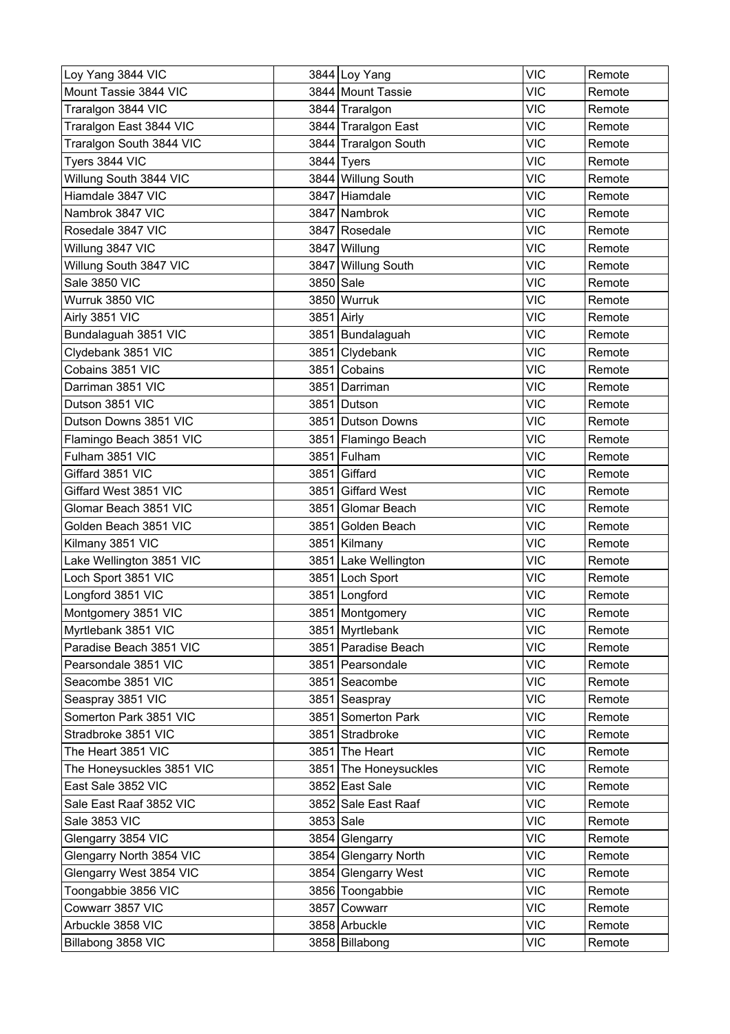| Loy Yang 3844 VIC         |            | 3844 Loy Yang         | <b>VIC</b> | Remote |
|---------------------------|------------|-----------------------|------------|--------|
| Mount Tassie 3844 VIC     |            | 3844 Mount Tassie     | <b>VIC</b> | Remote |
| Traralgon 3844 VIC        |            | 3844 Traralgon        | <b>VIC</b> | Remote |
| Traralgon East 3844 VIC   |            | 3844 Traralgon East   | <b>VIC</b> | Remote |
| Traralgon South 3844 VIC  |            | 3844 Traralgon South  | <b>VIC</b> | Remote |
| Tyers 3844 VIC            |            | $3844$ Tyers          | <b>VIC</b> | Remote |
| Willung South 3844 VIC    |            | 3844 Willung South    | <b>VIC</b> | Remote |
| Hiamdale 3847 VIC         |            | 3847 Hiamdale         | <b>VIC</b> | Remote |
| Nambrok 3847 VIC          |            | 3847 Nambrok          | <b>VIC</b> | Remote |
| Rosedale 3847 VIC         |            | 3847 Rosedale         | <b>VIC</b> | Remote |
| Willung 3847 VIC          |            | 3847 Willung          | <b>VIC</b> | Remote |
| Willung South 3847 VIC    |            | 3847 Willung South    | <b>VIC</b> | Remote |
| Sale 3850 VIC             | 3850 Sale  |                       | <b>VIC</b> | Remote |
| Wurruk 3850 VIC           |            | 3850 Wurruk           | <b>VIC</b> | Remote |
| Airly 3851 VIC            | 3851 Airly |                       | <b>VIC</b> | Remote |
| Bundalaguah 3851 VIC      |            | 3851 Bundalaguah      | <b>VIC</b> | Remote |
| Clydebank 3851 VIC        |            | 3851 Clydebank        | <b>VIC</b> | Remote |
| Cobains 3851 VIC          | 3851       | Cobains               | <b>VIC</b> | Remote |
| Darriman 3851 VIC         |            | 3851 Darriman         | <b>VIC</b> | Remote |
| Dutson 3851 VIC           | 3851       | Dutson                | <b>VIC</b> | Remote |
| Dutson Downs 3851 VIC     |            | 3851 Dutson Downs     | <b>VIC</b> | Remote |
| Flamingo Beach 3851 VIC   |            | 3851 Flamingo Beach   | <b>VIC</b> | Remote |
| Fulham 3851 VIC           |            | 3851 Fulham           | <b>VIC</b> | Remote |
| Giffard 3851 VIC          | 3851       | Giffard               | <b>VIC</b> | Remote |
| Giffard West 3851 VIC     |            | 3851 Giffard West     | <b>VIC</b> | Remote |
| Glomar Beach 3851 VIC     | 3851       | Glomar Beach          | <b>VIC</b> | Remote |
| Golden Beach 3851 VIC     | 3851       | Golden Beach          | <b>VIC</b> | Remote |
| Kilmany 3851 VIC          |            | 3851 Kilmany          | <b>VIC</b> | Remote |
| Lake Wellington 3851 VIC  |            | 3851 Lake Wellington  | <b>VIC</b> | Remote |
| Loch Sport 3851 VIC       |            | 3851 Loch Sport       | <b>VIC</b> | Remote |
| Longford 3851 VIC         |            | 3851 Longford         | <b>VIC</b> | Remote |
| Montgomery 3851 VIC       |            | 3851 Montgomery       | <b>VIC</b> | Remote |
| Myrtlebank 3851 VIC       |            | 3851 Myrtlebank       | <b>VIC</b> | Remote |
| Paradise Beach 3851 VIC   |            | 3851 Paradise Beach   | <b>VIC</b> | Remote |
| Pearsondale 3851 VIC      |            | 3851 Pearsondale      | <b>VIC</b> | Remote |
| Seacombe 3851 VIC         |            | 3851 Seacombe         | <b>VIC</b> | Remote |
| Seaspray 3851 VIC         |            | 3851 Seaspray         | <b>VIC</b> | Remote |
| Somerton Park 3851 VIC    |            | 3851 Somerton Park    | <b>VIC</b> | Remote |
| Stradbroke 3851 VIC       |            | 3851 Stradbroke       | <b>VIC</b> | Remote |
| The Heart 3851 VIC        |            | 3851 The Heart        | <b>VIC</b> | Remote |
| The Honeysuckles 3851 VIC |            | 3851 The Honeysuckles | <b>VIC</b> | Remote |
| East Sale 3852 VIC        |            | 3852 East Sale        | <b>VIC</b> | Remote |
| Sale East Raaf 3852 VIC   |            | 3852 Sale East Raaf   | <b>VIC</b> | Remote |
| Sale 3853 VIC             | 3853 Sale  |                       | <b>VIC</b> | Remote |
| Glengarry 3854 VIC        |            | 3854 Glengarry        | <b>VIC</b> | Remote |
| Glengarry North 3854 VIC  |            | 3854 Glengarry North  | <b>VIC</b> | Remote |
| Glengarry West 3854 VIC   |            | 3854 Glengarry West   | <b>VIC</b> | Remote |
| Toongabbie 3856 VIC       |            | 3856 Toongabbie       | <b>VIC</b> | Remote |
| Cowwarr 3857 VIC          |            | 3857 Cowwarr          | <b>VIC</b> | Remote |
| Arbuckle 3858 VIC         |            | 3858 Arbuckle         | <b>VIC</b> | Remote |
| Billabong 3858 VIC        |            | 3858 Billabong        | <b>VIC</b> | Remote |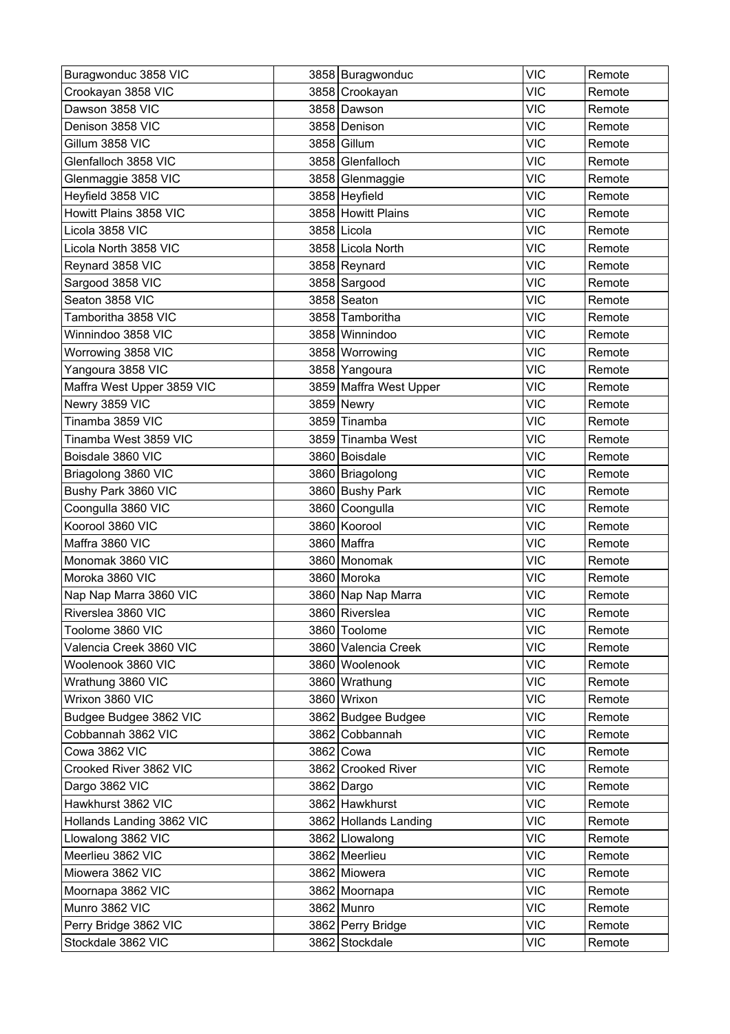| Buragwonduc 3858 VIC       |      | 3858 Buragwonduc       | <b>VIC</b> | Remote |
|----------------------------|------|------------------------|------------|--------|
| Crookayan 3858 VIC         |      | 3858 Crookayan         | <b>VIC</b> | Remote |
| Dawson 3858 VIC            |      | 3858 Dawson            | <b>VIC</b> | Remote |
| Denison 3858 VIC           |      | 3858 Denison           | <b>VIC</b> | Remote |
| Gillum 3858 VIC            |      | 3858 Gillum            | <b>VIC</b> | Remote |
| Glenfalloch 3858 VIC       |      | 3858 Glenfalloch       | <b>VIC</b> | Remote |
| Glenmaggie 3858 VIC        |      | 3858 Glenmaggie        | <b>VIC</b> | Remote |
| Heyfield 3858 VIC          |      | 3858 Heyfield          | <b>VIC</b> | Remote |
| Howitt Plains 3858 VIC     |      | 3858 Howitt Plains     | <b>VIC</b> | Remote |
| Licola 3858 VIC            |      | 3858 Licola            | <b>VIC</b> | Remote |
| Licola North 3858 VIC      |      | 3858 Licola North      | <b>VIC</b> | Remote |
| Reynard 3858 VIC           |      | 3858 Reynard           | <b>VIC</b> | Remote |
| Sargood 3858 VIC           |      | 3858 Sargood           | <b>VIC</b> | Remote |
| Seaton 3858 VIC            |      | 3858 Seaton            | <b>VIC</b> | Remote |
| Tamboritha 3858 VIC        |      | 3858 Tamboritha        | <b>VIC</b> | Remote |
| Winnindoo 3858 VIC         |      | 3858 Winnindoo         | <b>VIC</b> | Remote |
| Worrowing 3858 VIC         |      | 3858 Worrowing         | <b>VIC</b> | Remote |
| Yangoura 3858 VIC          |      | 3858 Yangoura          | <b>VIC</b> | Remote |
| Maffra West Upper 3859 VIC |      | 3859 Maffra West Upper | <b>VIC</b> | Remote |
| Newry 3859 VIC             |      | 3859 Newry             | <b>VIC</b> | Remote |
| Tinamba 3859 VIC           |      | 3859 Tinamba           | <b>VIC</b> | Remote |
| Tinamba West 3859 VIC      |      | 3859 Tinamba West      | <b>VIC</b> | Remote |
| Boisdale 3860 VIC          |      | 3860 Boisdale          | <b>VIC</b> | Remote |
| Briagolong 3860 VIC        |      | 3860   Briagolong      | <b>VIC</b> | Remote |
| Bushy Park 3860 VIC        |      | 3860 Bushy Park        | <b>VIC</b> | Remote |
| Coongulla 3860 VIC         | 3860 | Coongulla              | <b>VIC</b> | Remote |
| Koorool 3860 VIC           |      | 3860 Koorool           | <b>VIC</b> | Remote |
| Maffra 3860 VIC            |      | 3860 Maffra            | <b>VIC</b> | Remote |
| Monomak 3860 VIC           |      | 3860 Monomak           | <b>VIC</b> | Remote |
| Moroka 3860 VIC            |      | 3860 Moroka            | <b>VIC</b> | Remote |
| Nap Nap Marra 3860 VIC     |      | 3860 Nap Nap Marra     | <b>VIC</b> | Remote |
| Riverslea 3860 VIC         |      | 3860 Riverslea         | <b>VIC</b> | Remote |
| Toolome 3860 VIC           |      | 3860 Toolome           | <b>VIC</b> | Remote |
| Valencia Creek 3860 VIC    |      | 3860 Valencia Creek    | <b>VIC</b> | Remote |
| Woolenook 3860 VIC         |      | 3860 Woolenook         | <b>VIC</b> | Remote |
| Wrathung 3860 VIC          |      | 3860 Wrathung          | <b>VIC</b> | Remote |
| Wrixon 3860 VIC            |      | 3860 Wrixon            | <b>VIC</b> | Remote |
| Budgee Budgee 3862 VIC     |      | 3862 Budgee Budgee     | <b>VIC</b> | Remote |
| Cobbannah 3862 VIC         |      | 3862 Cobbannah         | <b>VIC</b> | Remote |
| Cowa 3862 VIC              |      | 3862 Cowa              | <b>VIC</b> | Remote |
| Crooked River 3862 VIC     |      | 3862 Crooked River     | <b>VIC</b> | Remote |
| Dargo 3862 VIC             |      | 3862 Dargo             | <b>VIC</b> | Remote |
| Hawkhurst 3862 VIC         |      | 3862 Hawkhurst         | <b>VIC</b> | Remote |
| Hollands Landing 3862 VIC  |      | 3862 Hollands Landing  | <b>VIC</b> | Remote |
| Llowalong 3862 VIC         |      | 3862 Llowalong         | <b>VIC</b> | Remote |
| Meerlieu 3862 VIC          |      | 3862 Meerlieu          | <b>VIC</b> | Remote |
| Miowera 3862 VIC           |      | 3862 Miowera           | <b>VIC</b> | Remote |
| Moornapa 3862 VIC          |      | 3862 Moornapa          | <b>VIC</b> | Remote |
| Munro 3862 VIC             |      | 3862 Munro             | <b>VIC</b> | Remote |
| Perry Bridge 3862 VIC      |      | 3862 Perry Bridge      | <b>VIC</b> | Remote |
| Stockdale 3862 VIC         |      | 3862 Stockdale         | <b>VIC</b> | Remote |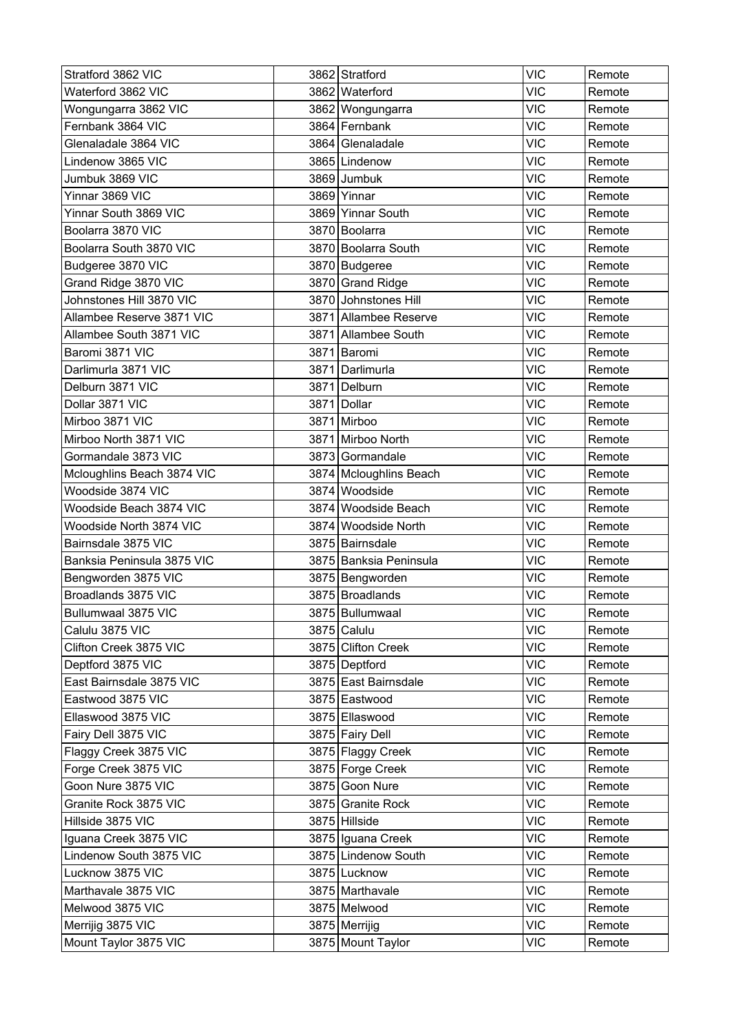| Stratford 3862 VIC         |      | 3862 Stratford         | <b>VIC</b> | Remote |
|----------------------------|------|------------------------|------------|--------|
| Waterford 3862 VIC         |      | 3862 Waterford         | <b>VIC</b> | Remote |
| Wongungarra 3862 VIC       |      | 3862 Wongungarra       | <b>VIC</b> | Remote |
| Fernbank 3864 VIC          |      | 3864 Fernbank          | <b>VIC</b> | Remote |
| Glenaladale 3864 VIC       |      | 3864 Glenaladale       | <b>VIC</b> | Remote |
| Lindenow 3865 VIC          |      | 3865 Lindenow          | <b>VIC</b> | Remote |
| Jumbuk 3869 VIC            |      | 3869 Jumbuk            | <b>VIC</b> | Remote |
| Yinnar 3869 VIC            | 3869 | Yinnar                 | <b>VIC</b> | Remote |
| Yinnar South 3869 VIC      |      | 3869 Yinnar South      | <b>VIC</b> | Remote |
| Boolarra 3870 VIC          |      | 3870 Boolarra          | <b>VIC</b> | Remote |
| Boolarra South 3870 VIC    |      | 3870 Boolarra South    | <b>VIC</b> | Remote |
| Budgeree 3870 VIC          |      | 3870 Budgeree          | <b>VIC</b> | Remote |
| Grand Ridge 3870 VIC       |      | 3870 Grand Ridge       | <b>VIC</b> | Remote |
| Johnstones Hill 3870 VIC   |      | 3870 Johnstones Hill   | <b>VIC</b> | Remote |
| Allambee Reserve 3871 VIC  |      | 3871 Allambee Reserve  | <b>VIC</b> | Remote |
| Allambee South 3871 VIC    |      | 3871 Allambee South    | <b>VIC</b> | Remote |
| Baromi 3871 VIC            |      | 3871 Baromi            | <b>VIC</b> | Remote |
| Darlimurla 3871 VIC        |      | 3871 Darlimurla        | <b>VIC</b> | Remote |
| Delburn 3871 VIC           |      | 3871 Delburn           | <b>VIC</b> | Remote |
| Dollar 3871 VIC            |      | 3871 Dollar            | <b>VIC</b> | Remote |
| Mirboo 3871 VIC            |      | 3871 Mirboo            | <b>VIC</b> | Remote |
| Mirboo North 3871 VIC      |      | 3871 Mirboo North      | <b>VIC</b> | Remote |
| Gormandale 3873 VIC        |      | 3873 Gormandale        | <b>VIC</b> | Remote |
| Mcloughlins Beach 3874 VIC |      | 3874 Mcloughlins Beach | <b>VIC</b> | Remote |
| Woodside 3874 VIC          |      | 3874 Woodside          | <b>VIC</b> | Remote |
| Woodside Beach 3874 VIC    |      | 3874 Woodside Beach    | <b>VIC</b> | Remote |
| Woodside North 3874 VIC    |      | 3874 Woodside North    | <b>VIC</b> | Remote |
| Bairnsdale 3875 VIC        |      | 3875 Bairnsdale        | <b>VIC</b> | Remote |
| Banksia Peninsula 3875 VIC |      | 3875 Banksia Peninsula | <b>VIC</b> | Remote |
| Bengworden 3875 VIC        |      | 3875 Bengworden        | <b>VIC</b> | Remote |
| Broadlands 3875 VIC        |      | 3875 Broadlands        | <b>VIC</b> | Remote |
| Bullumwaal 3875 VIC        |      | 3875 Bullumwaal        | <b>VIC</b> | Remote |
| Calulu 3875 VIC            |      | 3875 Calulu            | <b>VIC</b> | Remote |
| Clifton Creek 3875 VIC     |      | 3875 Clifton Creek     | <b>VIC</b> | Remote |
| Deptford 3875 VIC          |      | 3875 Deptford          | <b>VIC</b> | Remote |
| East Bairnsdale 3875 VIC   |      | 3875 East Bairnsdale   | <b>VIC</b> | Remote |
| Eastwood 3875 VIC          |      | 3875 Eastwood          | <b>VIC</b> | Remote |
| Ellaswood 3875 VIC         |      | 3875 Ellaswood         | <b>VIC</b> | Remote |
| Fairy Dell 3875 VIC        |      | 3875 Fairy Dell        | <b>VIC</b> | Remote |
| Flaggy Creek 3875 VIC      |      | 3875 Flaggy Creek      | <b>VIC</b> | Remote |
| Forge Creek 3875 VIC       |      | 3875 Forge Creek       | <b>VIC</b> | Remote |
| Goon Nure 3875 VIC         |      | 3875 Goon Nure         | <b>VIC</b> | Remote |
| Granite Rock 3875 VIC      |      | 3875 Granite Rock      | <b>VIC</b> | Remote |
| Hillside 3875 VIC          |      | 3875 Hillside          | <b>VIC</b> | Remote |
| Iguana Creek 3875 VIC      |      | 3875 Iguana Creek      | <b>VIC</b> | Remote |
| Lindenow South 3875 VIC    |      | 3875 Lindenow South    | <b>VIC</b> | Remote |
| Lucknow 3875 VIC           |      | 3875 Lucknow           | <b>VIC</b> | Remote |
| Marthavale 3875 VIC        |      | 3875 Marthavale        | <b>VIC</b> | Remote |
| Melwood 3875 VIC           |      | 3875 Melwood           | <b>VIC</b> | Remote |
| Merrijig 3875 VIC          |      | 3875 Merrijig          | <b>VIC</b> | Remote |
| Mount Taylor 3875 VIC      |      | 3875 Mount Taylor      | <b>VIC</b> | Remote |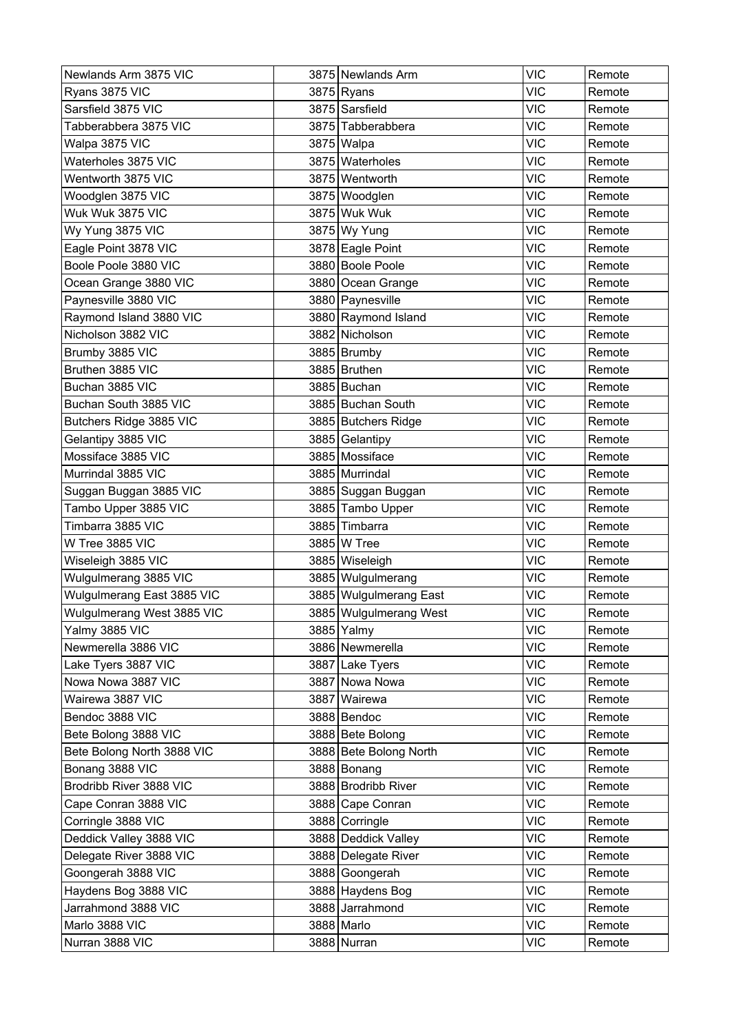| Newlands Arm 3875 VIC      | 3875 Newlands Arm      | <b>VIC</b> | Remote |
|----------------------------|------------------------|------------|--------|
| Ryans 3875 VIC             | 3875 Ryans             | <b>VIC</b> | Remote |
| Sarsfield 3875 VIC         | 3875 Sarsfield         | <b>VIC</b> | Remote |
| Tabberabbera 3875 VIC      | 3875 Tabberabbera      | <b>VIC</b> | Remote |
| Walpa 3875 VIC             | 3875 Walpa             | <b>VIC</b> | Remote |
| Waterholes 3875 VIC        | 3875 Waterholes        | <b>VIC</b> | Remote |
| Wentworth 3875 VIC         | 3875 Wentworth         | <b>VIC</b> | Remote |
| Woodglen 3875 VIC          | 3875 Woodglen          | <b>VIC</b> | Remote |
| Wuk Wuk 3875 VIC           | 3875 Wuk Wuk           | <b>VIC</b> | Remote |
| Wy Yung 3875 VIC           | 3875 Wy Yung           | <b>VIC</b> | Remote |
| Eagle Point 3878 VIC       | 3878 Eagle Point       | <b>VIC</b> | Remote |
| Boole Poole 3880 VIC       | 3880 Boole Poole       | <b>VIC</b> | Remote |
| Ocean Grange 3880 VIC      | 3880 Ocean Grange      | <b>VIC</b> | Remote |
| Paynesville 3880 VIC       | 3880 Paynesville       | <b>VIC</b> | Remote |
| Raymond Island 3880 VIC    | 3880 Raymond Island    | <b>VIC</b> | Remote |
| Nicholson 3882 VIC         | 3882 Nicholson         | <b>VIC</b> | Remote |
| Brumby 3885 VIC            | 3885 Brumby            | <b>VIC</b> | Remote |
| Bruthen 3885 VIC           | 3885 Bruthen           | <b>VIC</b> | Remote |
| Buchan 3885 VIC            | 3885 Buchan            | <b>VIC</b> | Remote |
| Buchan South 3885 VIC      | 3885 Buchan South      | <b>VIC</b> | Remote |
| Butchers Ridge 3885 VIC    | 3885 Butchers Ridge    | <b>VIC</b> | Remote |
| Gelantipy 3885 VIC         | 3885 Gelantipy         | <b>VIC</b> | Remote |
| Mossiface 3885 VIC         | 3885 Mossiface         | <b>VIC</b> | Remote |
| Murrindal 3885 VIC         | 3885 Murrindal         | <b>VIC</b> | Remote |
| Suggan Buggan 3885 VIC     | 3885 Suggan Buggan     | <b>VIC</b> | Remote |
| Tambo Upper 3885 VIC       | 3885 Tambo Upper       | <b>VIC</b> | Remote |
| Timbarra 3885 VIC          | 3885 Timbarra          | <b>VIC</b> | Remote |
| W Tree 3885 VIC            | 3885 W Tree            | <b>VIC</b> | Remote |
| Wiseleigh 3885 VIC         | 3885 Wiseleigh         | <b>VIC</b> | Remote |
| Wulgulmerang 3885 VIC      | 3885 Wulgulmerang      | <b>VIC</b> | Remote |
| Wulgulmerang East 3885 VIC | 3885 Wulgulmerang East | <b>VIC</b> | Remote |
| Wulgulmerang West 3885 VIC | 3885 Wulgulmerang West | <b>VIC</b> | Remote |
| Yalmy 3885 VIC             | 3885 Yalmy             | <b>VIC</b> | Remote |
| Newmerella 3886 VIC        | 3886 Newmerella        | <b>VIC</b> | Remote |
| Lake Tyers 3887 VIC        | 3887 Lake Tyers        | <b>VIC</b> | Remote |
| Nowa Nowa 3887 VIC         | 3887 Nowa Nowa         | <b>VIC</b> | Remote |
| Wairewa 3887 VIC           | 3887 Wairewa           | <b>VIC</b> | Remote |
| Bendoc 3888 VIC            | 3888 Bendoc            | <b>VIC</b> | Remote |
| Bete Bolong 3888 VIC       | 3888 Bete Bolong       | <b>VIC</b> | Remote |
| Bete Bolong North 3888 VIC | 3888 Bete Bolong North | <b>VIC</b> | Remote |
| Bonang 3888 VIC            | 3888 Bonang            | <b>VIC</b> | Remote |
| Brodribb River 3888 VIC    | 3888 Brodribb River    | <b>VIC</b> | Remote |
| Cape Conran 3888 VIC       | 3888 Cape Conran       | <b>VIC</b> | Remote |
| Corringle 3888 VIC         | 3888 Corringle         | <b>VIC</b> | Remote |
| Deddick Valley 3888 VIC    | 3888 Deddick Valley    | <b>VIC</b> | Remote |
| Delegate River 3888 VIC    | 3888 Delegate River    | <b>VIC</b> | Remote |
| Goongerah 3888 VIC         | 3888 Goongerah         | <b>VIC</b> | Remote |
| Haydens Bog 3888 VIC       | 3888 Haydens Bog       | <b>VIC</b> | Remote |
| Jarrahmond 3888 VIC        | 3888 Jarrahmond        | <b>VIC</b> | Remote |
| Marlo 3888 VIC             | 3888 Marlo             | <b>VIC</b> | Remote |
| Nurran 3888 VIC            | 3888 Nurran            | <b>VIC</b> | Remote |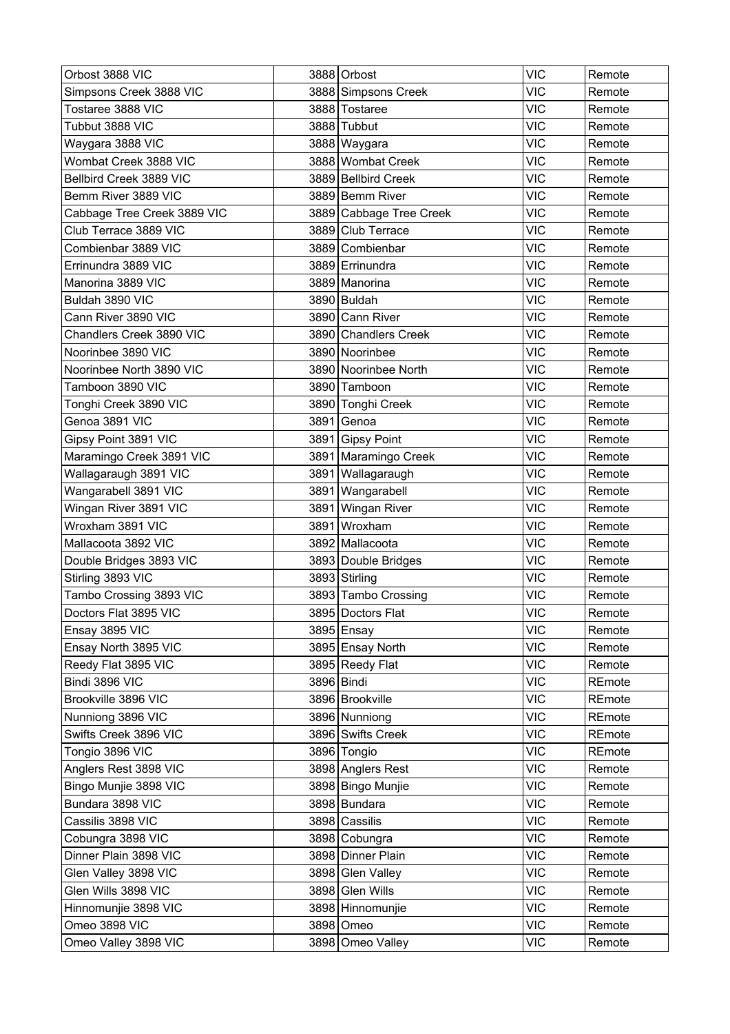| Orbost 3888 VIC             |      | 3888 Orbost             | <b>VIC</b> | Remote |
|-----------------------------|------|-------------------------|------------|--------|
| Simpsons Creek 3888 VIC     |      | 3888 Simpsons Creek     | <b>VIC</b> | Remote |
| Tostaree 3888 VIC           |      | 3888 Tostaree           | <b>VIC</b> | Remote |
| Tubbut 3888 VIC             |      | 3888 Tubbut             | <b>VIC</b> | Remote |
| Waygara 3888 VIC            |      | 3888 Waygara            | <b>VIC</b> | Remote |
| Wombat Creek 3888 VIC       |      | 3888 Wombat Creek       | <b>VIC</b> | Remote |
| Bellbird Creek 3889 VIC     |      | 3889 Bellbird Creek     | <b>VIC</b> | Remote |
| Bemm River 3889 VIC         |      | 3889 Bemm River         | <b>VIC</b> | Remote |
| Cabbage Tree Creek 3889 VIC |      | 3889 Cabbage Tree Creek | <b>VIC</b> | Remote |
| Club Terrace 3889 VIC       |      | 3889 Club Terrace       | <b>VIC</b> | Remote |
| Combienbar 3889 VIC         |      | 3889 Combienbar         | <b>VIC</b> | Remote |
| Errinundra 3889 VIC         |      | 3889 Errinundra         | <b>VIC</b> | Remote |
| Manorina 3889 VIC           |      | 3889 Manorina           | <b>VIC</b> | Remote |
| Buldah 3890 VIC             |      | 3890 Buldah             | <b>VIC</b> | Remote |
| Cann River 3890 VIC         |      | 3890 Cann River         | <b>VIC</b> | Remote |
| Chandlers Creek 3890 VIC    |      | 3890 Chandlers Creek    | <b>VIC</b> | Remote |
| Noorinbee 3890 VIC          |      | 3890 Noorinbee          | <b>VIC</b> | Remote |
| Noorinbee North 3890 VIC    |      | 3890 Noorinbee North    | <b>VIC</b> | Remote |
| Tamboon 3890 VIC            |      | 3890 Tamboon            | <b>VIC</b> | Remote |
| Tonghi Creek 3890 VIC       |      | 3890 Tonghi Creek       | <b>VIC</b> | Remote |
| Genoa 3891 VIC              | 3891 | Genoa                   | <b>VIC</b> | Remote |
| Gipsy Point 3891 VIC        |      | 3891 Gipsy Point        | <b>VIC</b> | Remote |
| Maramingo Creek 3891 VIC    |      | 3891 Maramingo Creek    | <b>VIC</b> | Remote |
| Wallagaraugh 3891 VIC       | 3891 | Wallagaraugh            | <b>VIC</b> | Remote |
| Wangarabell 3891 VIC        |      | 3891 Wangarabell        | <b>VIC</b> | Remote |
| Wingan River 3891 VIC       | 3891 | Wingan River            | <b>VIC</b> | Remote |
| Wroxham 3891 VIC            | 3891 | Wroxham                 | <b>VIC</b> | Remote |
| Mallacoota 3892 VIC         |      | 3892 Mallacoota         | <b>VIC</b> | Remote |
| Double Bridges 3893 VIC     |      | 3893 Double Bridges     | <b>VIC</b> | Remote |
| Stirling 3893 VIC           |      | 3893 Stirling           | <b>VIC</b> | Remote |
| Tambo Crossing 3893 VIC     |      | 3893 Tambo Crossing     | <b>VIC</b> | Remote |
| Doctors Flat 3895 VIC       |      | 3895 Doctors Flat       | <b>VIC</b> | Remote |
| Ensay 3895 VIC              |      | 3895 Ensay              | <b>VIC</b> | Remote |
| Ensay North 3895 VIC        |      | 3895 Ensay North        | <b>VIC</b> | Remote |
| Reedy Flat 3895 VIC         |      | 3895 Reedy Flat         | <b>VIC</b> | Remote |
| Bindi 3896 VIC              |      | 3896 Bindi              | <b>VIC</b> | REmote |
| Brookville 3896 VIC         |      | 3896 Brookville         | <b>VIC</b> | REmote |
| Nunniong 3896 VIC           |      | 3896 Nunniong           | <b>VIC</b> | REmote |
| Swifts Creek 3896 VIC       |      | 3896 Swifts Creek       | <b>VIC</b> | REmote |
| Tongio 3896 VIC             |      | 3896 Tongio             | <b>VIC</b> | REmote |
| Anglers Rest 3898 VIC       |      | 3898 Anglers Rest       | <b>VIC</b> | Remote |
| Bingo Munjie 3898 VIC       |      | 3898 Bingo Munjie       | <b>VIC</b> | Remote |
| Bundara 3898 VIC            |      | 3898 Bundara            | <b>VIC</b> | Remote |
| Cassilis 3898 VIC           |      | 3898 Cassilis           | <b>VIC</b> | Remote |
| Cobungra 3898 VIC           |      | 3898 Cobungra           | <b>VIC</b> | Remote |
| Dinner Plain 3898 VIC       |      | 3898 Dinner Plain       | <b>VIC</b> | Remote |
| Glen Valley 3898 VIC        |      | 3898 Glen Valley        | <b>VIC</b> | Remote |
| Glen Wills 3898 VIC         |      | 3898 Glen Wills         | <b>VIC</b> | Remote |
| Hinnomunjie 3898 VIC        |      | 3898 Hinnomunjie        | <b>VIC</b> | Remote |
| Omeo 3898 VIC               |      | 3898 Omeo               | <b>VIC</b> | Remote |
| Omeo Valley 3898 VIC        |      | 3898 Omeo Valley        | <b>VIC</b> | Remote |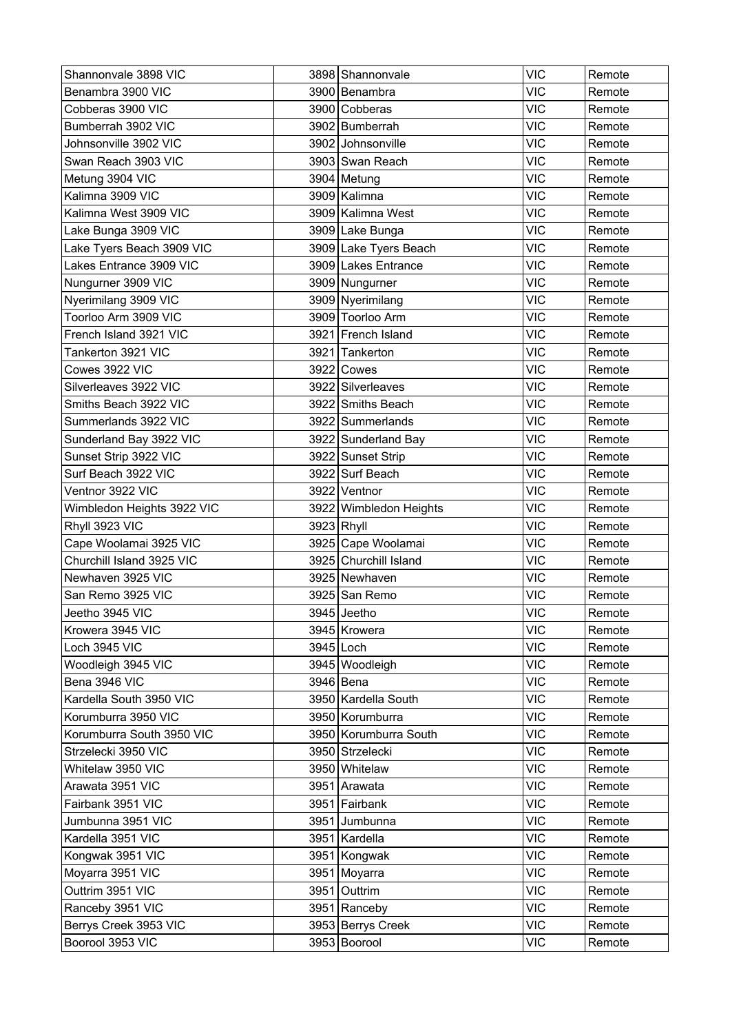| Shannonvale 3898 VIC       | 3898 Shannonvale       | <b>VIC</b> | Remote |
|----------------------------|------------------------|------------|--------|
| Benambra 3900 VIC          | 3900 Benambra          | <b>VIC</b> | Remote |
| Cobberas 3900 VIC          | 3900 Cobberas          | <b>VIC</b> | Remote |
| Bumberrah 3902 VIC         | 3902 Bumberrah         | <b>VIC</b> | Remote |
| Johnsonville 3902 VIC      | 3902 Johnsonville      | <b>VIC</b> | Remote |
| Swan Reach 3903 VIC        | 3903 Swan Reach        | <b>VIC</b> | Remote |
| Metung 3904 VIC            | 3904 Metung            | <b>VIC</b> | Remote |
| Kalimna 3909 VIC           | 3909 Kalimna           | <b>VIC</b> | Remote |
| Kalimna West 3909 VIC      | 3909 Kalimna West      | <b>VIC</b> | Remote |
| Lake Bunga 3909 VIC        | 3909 Lake Bunga        | <b>VIC</b> | Remote |
| Lake Tyers Beach 3909 VIC  | 3909 Lake Tyers Beach  | <b>VIC</b> | Remote |
| Lakes Entrance 3909 VIC    | 3909 Lakes Entrance    | <b>VIC</b> | Remote |
| Nungurner 3909 VIC         | 3909 Nungurner         | <b>VIC</b> | Remote |
| Nyerimilang 3909 VIC       | 3909 Nyerimilang       | <b>VIC</b> | Remote |
| Toorloo Arm 3909 VIC       | 3909 Toorloo Arm       | <b>VIC</b> | Remote |
| French Island 3921 VIC     | 3921 French Island     | <b>VIC</b> | Remote |
| Tankerton 3921 VIC         | 3921 Tankerton         | <b>VIC</b> | Remote |
| Cowes 3922 VIC             | 3922 Cowes             | <b>VIC</b> | Remote |
| Silverleaves 3922 VIC      | 3922 Silverleaves      | <b>VIC</b> | Remote |
| Smiths Beach 3922 VIC      | 3922 Smiths Beach      | <b>VIC</b> | Remote |
| Summerlands 3922 VIC       | 3922 Summerlands       | <b>VIC</b> | Remote |
| Sunderland Bay 3922 VIC    | 3922 Sunderland Bay    | <b>VIC</b> | Remote |
| Sunset Strip 3922 VIC      | 3922 Sunset Strip      | <b>VIC</b> | Remote |
| Surf Beach 3922 VIC        | 3922 Surf Beach        | <b>VIC</b> | Remote |
| Ventnor 3922 VIC           | 3922 Ventnor           | <b>VIC</b> | Remote |
| Wimbledon Heights 3922 VIC | 3922 Wimbledon Heights | <b>VIC</b> | Remote |
| Rhyll 3923 VIC             | 3923 Rhyll             | <b>VIC</b> | Remote |
| Cape Woolamai 3925 VIC     | 3925 Cape Woolamai     | <b>VIC</b> | Remote |
| Churchill Island 3925 VIC  | 3925 Churchill Island  | <b>VIC</b> | Remote |
| Newhaven 3925 VIC          | 3925 Newhaven          | <b>VIC</b> | Remote |
| San Remo 3925 VIC          | 3925 San Remo          | <b>VIC</b> | Remote |
| Jeetho 3945 VIC            | 3945 Jeetho            | <b>VIC</b> | Remote |
| Krowera 3945 VIC           | 3945 Krowera           | <b>VIC</b> | Remote |
| Loch 3945 VIC              | 3945 Loch              | <b>VIC</b> | Remote |
| Woodleigh 3945 VIC         | 3945 Woodleigh         | <b>VIC</b> | Remote |
| Bena 3946 VIC              | 3946 Bena              | <b>VIC</b> | Remote |
| Kardella South 3950 VIC    | 3950 Kardella South    | <b>VIC</b> | Remote |
| Korumburra 3950 VIC        | 3950 Korumburra        | <b>VIC</b> | Remote |
| Korumburra South 3950 VIC  | 3950 Korumburra South  | <b>VIC</b> | Remote |
| Strzelecki 3950 VIC        | 3950 Strzelecki        | <b>VIC</b> | Remote |
| Whitelaw 3950 VIC          | 3950 Whitelaw          | <b>VIC</b> | Remote |
| Arawata 3951 VIC           | 3951 Arawata           | <b>VIC</b> | Remote |
| Fairbank 3951 VIC          | 3951 Fairbank          | <b>VIC</b> | Remote |
| Jumbunna 3951 VIC          | 3951 Jumbunna          | <b>VIC</b> | Remote |
| Kardella 3951 VIC          | 3951   Kardella        | <b>VIC</b> | Remote |
| Kongwak 3951 VIC           | 3951 Kongwak           | <b>VIC</b> | Remote |
| Moyarra 3951 VIC           | 3951 Moyarra           | <b>VIC</b> | Remote |
| Outtrim 3951 VIC           | 3951 Outtrim           | <b>VIC</b> | Remote |
| Ranceby 3951 VIC           | 3951 Ranceby           | <b>VIC</b> | Remote |
| Berrys Creek 3953 VIC      | 3953 Berrys Creek      | <b>VIC</b> | Remote |
| Boorool 3953 VIC           | 3953 Boorool           | <b>VIC</b> | Remote |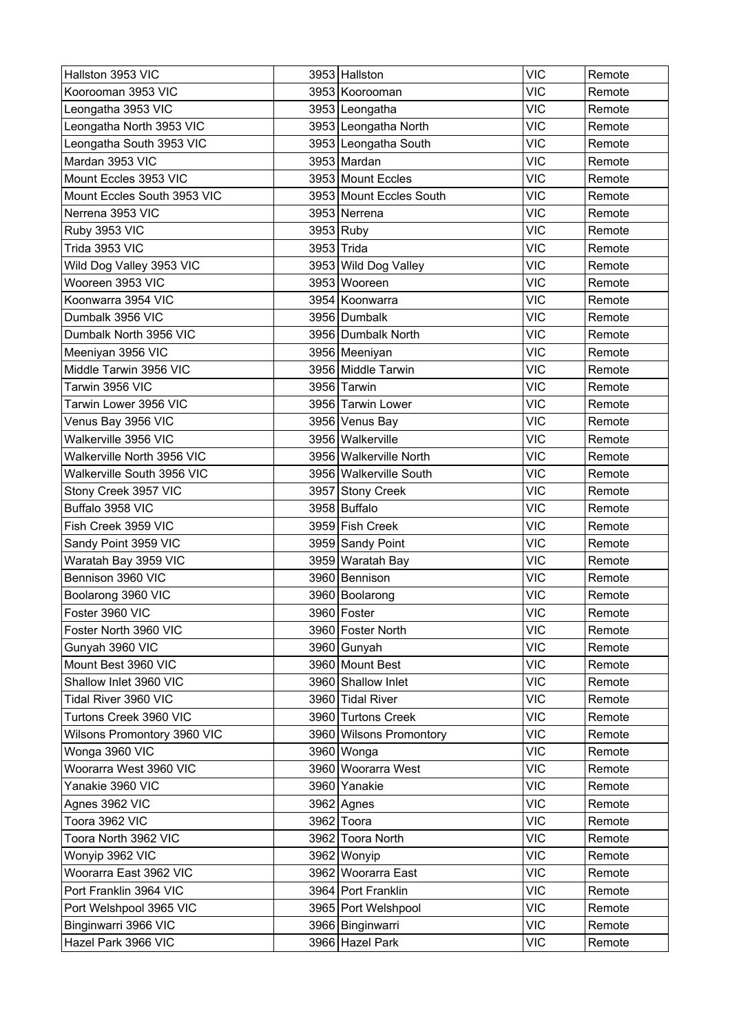| Hallston 3953 VIC           | 3953 Hallston           | <b>VIC</b> | Remote |
|-----------------------------|-------------------------|------------|--------|
| Koorooman 3953 VIC          | 3953 Koorooman          | <b>VIC</b> | Remote |
| Leongatha 3953 VIC          | 3953 Leongatha          | <b>VIC</b> | Remote |
| Leongatha North 3953 VIC    | 3953 Leongatha North    | <b>VIC</b> | Remote |
| Leongatha South 3953 VIC    | 3953 Leongatha South    | <b>VIC</b> | Remote |
| Mardan 3953 VIC             | 3953 Mardan             | <b>VIC</b> | Remote |
| Mount Eccles 3953 VIC       | 3953 Mount Eccles       | VIC        | Remote |
| Mount Eccles South 3953 VIC | 3953 Mount Eccles South | <b>VIC</b> | Remote |
| Nerrena 3953 VIC            | 3953 Nerrena            | <b>VIC</b> | Remote |
| Ruby 3953 VIC               | 3953 Ruby               | <b>VIC</b> | Remote |
| Trida 3953 VIC              | 3953 Trida              | <b>VIC</b> | Remote |
| Wild Dog Valley 3953 VIC    | 3953 Wild Dog Valley    | <b>VIC</b> | Remote |
| Wooreen 3953 VIC            | 3953 Wooreen            | <b>VIC</b> | Remote |
| Koonwarra 3954 VIC          | 3954 Koonwarra          | <b>VIC</b> | Remote |
| Dumbalk 3956 VIC            | 3956 Dumbalk            | <b>VIC</b> | Remote |
| Dumbalk North 3956 VIC      | 3956 Dumbalk North      | <b>VIC</b> | Remote |
| Meeniyan 3956 VIC           | 3956 Meeniyan           | <b>VIC</b> | Remote |
| Middle Tarwin 3956 VIC      | 3956 Middle Tarwin      | <b>VIC</b> | Remote |
| Tarwin 3956 VIC             | 3956 Tarwin             | <b>VIC</b> | Remote |
| Tarwin Lower 3956 VIC       | 3956 Tarwin Lower       | <b>VIC</b> | Remote |
| Venus Bay 3956 VIC          | 3956 Venus Bay          | <b>VIC</b> | Remote |
| Walkerville 3956 VIC        | 3956 Walkerville        | <b>VIC</b> | Remote |
| Walkerville North 3956 VIC  | 3956 Walkerville North  | <b>VIC</b> | Remote |
| Walkerville South 3956 VIC  | 3956 Walkerville South  | <b>VIC</b> | Remote |
| Stony Creek 3957 VIC        | 3957 Stony Creek        | <b>VIC</b> | Remote |
| Buffalo 3958 VIC            | 3958 Buffalo            | <b>VIC</b> | Remote |
| Fish Creek 3959 VIC         | 3959 Fish Creek         | <b>VIC</b> | Remote |
| Sandy Point 3959 VIC        | 3959 Sandy Point        | <b>VIC</b> | Remote |
| Waratah Bay 3959 VIC        | 3959 Waratah Bay        | <b>VIC</b> | Remote |
| Bennison 3960 VIC           | 3960 Bennison           | <b>VIC</b> | Remote |
| Boolarong 3960 VIC          | 3960 Boolarong          | <b>VIC</b> | Remote |
| Foster 3960 VIC             | 3960 Foster             | <b>VIC</b> | Remote |
| Foster North 3960 VIC       | 3960 Foster North       | <b>VIC</b> | Remote |
| Gunyah 3960 VIC             | 3960 Gunyah             | <b>VIC</b> | Remote |
| Mount Best 3960 VIC         | 3960 Mount Best         | <b>VIC</b> | Remote |
| Shallow Inlet 3960 VIC      | 3960 Shallow Inlet      | <b>VIC</b> | Remote |
| Tidal River 3960 VIC        | 3960 Tidal River        | <b>VIC</b> | Remote |
| Turtons Creek 3960 VIC      | 3960 Turtons Creek      | <b>VIC</b> | Remote |
| Wilsons Promontory 3960 VIC | 3960 Wilsons Promontory | <b>VIC</b> | Remote |
| Wonga 3960 VIC              | 3960 Wonga              | <b>VIC</b> | Remote |
| Woorarra West 3960 VIC      | 3960 Woorarra West      | <b>VIC</b> | Remote |
| Yanakie 3960 VIC            | 3960 Yanakie            | <b>VIC</b> | Remote |
| Agnes 3962 VIC              | 3962 Agnes              | <b>VIC</b> | Remote |
| Toora 3962 VIC              | 3962 Toora              | <b>VIC</b> | Remote |
| Toora North 3962 VIC        | 3962 Toora North        | <b>VIC</b> | Remote |
| Wonyip 3962 VIC             | 3962 Wonyip             | <b>VIC</b> | Remote |
| Woorarra East 3962 VIC      | 3962 Woorarra East      | <b>VIC</b> | Remote |
| Port Franklin 3964 VIC      | 3964 Port Franklin      | <b>VIC</b> | Remote |
| Port Welshpool 3965 VIC     | 3965 Port Welshpool     | <b>VIC</b> | Remote |
| Binginwarri 3966 VIC        | 3966 Binginwarri        | <b>VIC</b> | Remote |
| Hazel Park 3966 VIC         | 3966 Hazel Park         | <b>VIC</b> | Remote |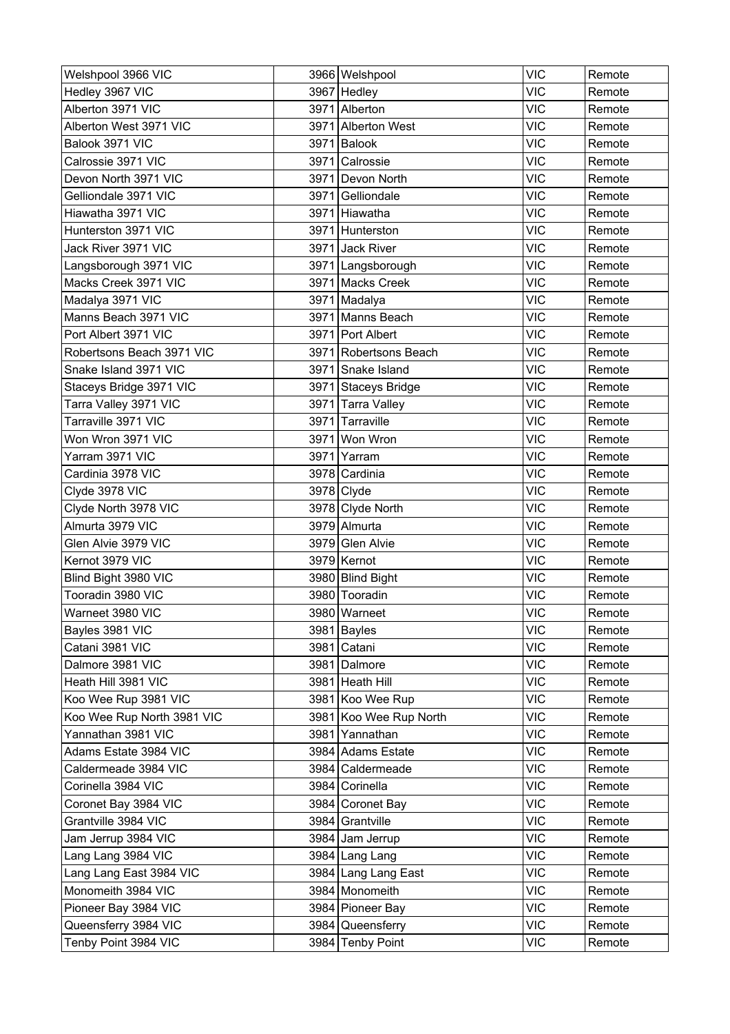| Welshpool 3966 VIC         |      | 3966 Welshpool         | <b>VIC</b> | Remote |
|----------------------------|------|------------------------|------------|--------|
| Hedley 3967 VIC            |      | 3967 Hedley            | <b>VIC</b> | Remote |
| Alberton 3971 VIC          |      | 3971 Alberton          | <b>VIC</b> | Remote |
| Alberton West 3971 VIC     |      | 3971 Alberton West     | <b>VIC</b> | Remote |
| Balook 3971 VIC            |      | 3971 Balook            | <b>VIC</b> | Remote |
| Calrossie 3971 VIC         | 3971 | Calrossie              | <b>VIC</b> | Remote |
| Devon North 3971 VIC       |      | 3971 Devon North       | <b>VIC</b> | Remote |
| Gelliondale 3971 VIC       |      | 3971 Gelliondale       | <b>VIC</b> | Remote |
| Hiawatha 3971 VIC          |      | 3971 Hiawatha          | <b>VIC</b> | Remote |
| Hunterston 3971 VIC        |      | 3971 Hunterston        | <b>VIC</b> | Remote |
| Jack River 3971 VIC        |      | 3971 Jack River        | <b>VIC</b> | Remote |
| Langsborough 3971 VIC      |      | 3971   Langsborough    | <b>VIC</b> | Remote |
| Macks Creek 3971 VIC       |      | 3971 Macks Creek       | <b>VIC</b> | Remote |
| Madalya 3971 VIC           |      | 3971 Madalya           | <b>VIC</b> | Remote |
| Manns Beach 3971 VIC       |      | 3971 Manns Beach       | <b>VIC</b> | Remote |
| Port Albert 3971 VIC       |      | 3971 Port Albert       | <b>VIC</b> | Remote |
| Robertsons Beach 3971 VIC  |      | 3971 Robertsons Beach  | <b>VIC</b> | Remote |
| Snake Island 3971 VIC      |      | 3971 Snake Island      | <b>VIC</b> | Remote |
| Staceys Bridge 3971 VIC    |      | 3971 Staceys Bridge    | <b>VIC</b> | Remote |
| Tarra Valley 3971 VIC      |      | 3971 Tarra Valley      | <b>VIC</b> | Remote |
| Tarraville 3971 VIC        |      | 3971 Tarraville        | <b>VIC</b> | Remote |
| Won Wron 3971 VIC          |      | 3971 Won Wron          | <b>VIC</b> | Remote |
| Yarram 3971 VIC            | 3971 | Yarram                 | <b>VIC</b> | Remote |
| Cardinia 3978 VIC          |      | 3978 Cardinia          | <b>VIC</b> | Remote |
| Clyde 3978 VIC             |      | 3978 Clyde             | <b>VIC</b> | Remote |
| Clyde North 3978 VIC       |      | 3978 Clyde North       | <b>VIC</b> | Remote |
| Almurta 3979 VIC           |      | 3979 Almurta           | <b>VIC</b> | Remote |
| Glen Alvie 3979 VIC        |      | 3979 Glen Alvie        | <b>VIC</b> | Remote |
| Kernot 3979 VIC            |      | 3979 Kernot            | <b>VIC</b> | Remote |
| Blind Bight 3980 VIC       |      | 3980 Blind Bight       | <b>VIC</b> | Remote |
| Tooradin 3980 VIC          |      | 3980 Tooradin          | <b>VIC</b> | Remote |
| Warneet 3980 VIC           |      | 3980 Warneet           | <b>VIC</b> | Remote |
| Bayles 3981 VIC            |      | 3981 Bayles            | <b>VIC</b> | Remote |
| Catani 3981 VIC            |      | 3981 Catani            | <b>VIC</b> | Remote |
| Dalmore 3981 VIC           |      | 3981 Dalmore           | <b>VIC</b> | Remote |
| Heath Hill 3981 VIC        |      | 3981 Heath Hill        | <b>VIC</b> | Remote |
| Koo Wee Rup 3981 VIC       |      | 3981 Koo Wee Rup       | <b>VIC</b> | Remote |
| Koo Wee Rup North 3981 VIC |      | 3981 Koo Wee Rup North | <b>VIC</b> | Remote |
| Yannathan 3981 VIC         |      | 3981 Yannathan         | <b>VIC</b> | Remote |
| Adams Estate 3984 VIC      |      | 3984 Adams Estate      | <b>VIC</b> | Remote |
| Caldermeade 3984 VIC       |      | 3984 Caldermeade       | <b>VIC</b> | Remote |
| Corinella 3984 VIC         |      | 3984 Corinella         | <b>VIC</b> | Remote |
| Coronet Bay 3984 VIC       |      | 3984 Coronet Bay       | <b>VIC</b> | Remote |
| Grantville 3984 VIC        |      | 3984 Grantville        | <b>VIC</b> | Remote |
| Jam Jerrup 3984 VIC        |      | 3984 Jam Jerrup        | <b>VIC</b> | Remote |
| Lang Lang 3984 VIC         |      | 3984 Lang Lang         | <b>VIC</b> | Remote |
| Lang Lang East 3984 VIC    |      | 3984 Lang Lang East    | <b>VIC</b> | Remote |
| Monomeith 3984 VIC         |      | 3984 Monomeith         | <b>VIC</b> | Remote |
| Pioneer Bay 3984 VIC       |      | 3984 Pioneer Bay       | <b>VIC</b> | Remote |
| Queensferry 3984 VIC       |      | 3984 Queensferry       | <b>VIC</b> | Remote |
| Tenby Point 3984 VIC       |      | 3984 Tenby Point       | <b>VIC</b> | Remote |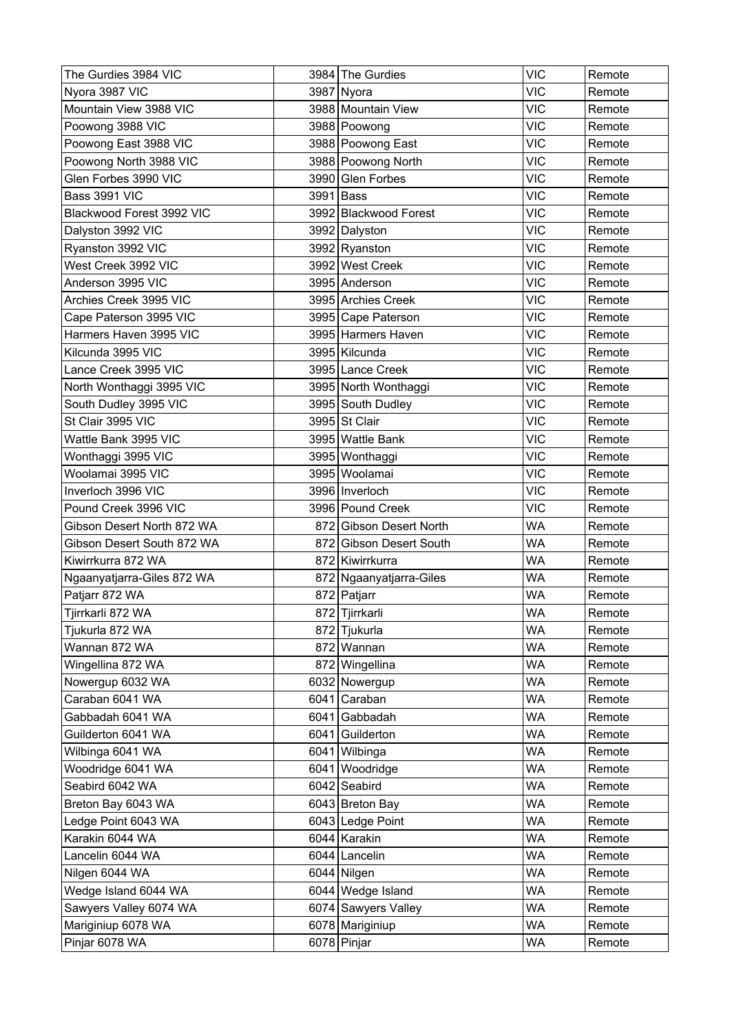| The Gurdies 3984 VIC       |      | 3984 The Gurdies        | <b>VIC</b> | Remote |
|----------------------------|------|-------------------------|------------|--------|
| Nyora 3987 VIC             |      | 3987 Nyora              | <b>VIC</b> | Remote |
| Mountain View 3988 VIC     |      | 3988 Mountain View      | <b>VIC</b> | Remote |
| Poowong 3988 VIC           |      | 3988 Poowong            | <b>VIC</b> | Remote |
| Poowong East 3988 VIC      |      | 3988 Poowong East       | <b>VIC</b> | Remote |
| Poowong North 3988 VIC     |      | 3988 Poowong North      | <b>VIC</b> | Remote |
| Glen Forbes 3990 VIC       |      | 3990 Glen Forbes        | <b>VIC</b> | Remote |
| Bass 3991 VIC              |      | 3991 Bass               | <b>VIC</b> | Remote |
| Blackwood Forest 3992 VIC  |      | 3992 Blackwood Forest   | <b>VIC</b> | Remote |
| Dalyston 3992 VIC          |      | 3992 Dalyston           | <b>VIC</b> | Remote |
| Ryanston 3992 VIC          |      | 3992 Ryanston           | <b>VIC</b> | Remote |
| West Creek 3992 VIC        |      | 3992 West Creek         | <b>VIC</b> | Remote |
| Anderson 3995 VIC          |      | 3995 Anderson           | <b>VIC</b> | Remote |
| Archies Creek 3995 VIC     |      | 3995 Archies Creek      | <b>VIC</b> | Remote |
| Cape Paterson 3995 VIC     |      | 3995 Cape Paterson      | <b>VIC</b> | Remote |
| Harmers Haven 3995 VIC     |      | 3995 Harmers Haven      | <b>VIC</b> | Remote |
| Kilcunda 3995 VIC          |      | 3995 Kilcunda           | <b>VIC</b> | Remote |
| Lance Creek 3995 VIC       |      | 3995 Lance Creek        | <b>VIC</b> | Remote |
| North Wonthaggi 3995 VIC   |      | 3995 North Wonthaggi    | <b>VIC</b> | Remote |
| South Dudley 3995 VIC      |      | 3995 South Dudley       | <b>VIC</b> | Remote |
| St Clair 3995 VIC          |      | 3995 St Clair           | <b>VIC</b> | Remote |
| Wattle Bank 3995 VIC       |      | 3995 Wattle Bank        | <b>VIC</b> | Remote |
| Wonthaggi 3995 VIC         |      | 3995 Wonthaggi          | <b>VIC</b> | Remote |
| Woolamai 3995 VIC          |      | 3995 Woolamai           | <b>VIC</b> | Remote |
| Inverloch 3996 VIC         |      | 3996   Inverloch        | <b>VIC</b> | Remote |
| Pound Creek 3996 VIC       |      | 3996 Pound Creek        | <b>VIC</b> | Remote |
| Gibson Desert North 872 WA |      | 872 Gibson Desert North | <b>WA</b>  | Remote |
| Gibson Desert South 872 WA |      | 872 Gibson Desert South | <b>WA</b>  | Remote |
| Kiwirrkurra 872 WA         |      | 872 Kiwirrkurra         | <b>WA</b>  | Remote |
| Ngaanyatjarra-Giles 872 WA |      | 872 Ngaanyatjarra-Giles | <b>WA</b>  | Remote |
| Patjarr 872 WA             |      | 872 Patjarr             | <b>WA</b>  | Remote |
| Tjirrkarli 872 WA          |      | 872 Tjirrkarli          | <b>WA</b>  | Remote |
| Tjukurla 872 WA            |      | 872 Tjukurla            | <b>WA</b>  | Remote |
| Wannan 872 WA              |      | 872 Wannan              | <b>WA</b>  | Remote |
| Wingellina 872 WA          |      | 872 Wingellina          | WA         | Remote |
| Nowergup 6032 WA           |      | 6032 Nowergup           | <b>WA</b>  | Remote |
| Caraban 6041 WA            |      | 6041 Caraban            | <b>WA</b>  | Remote |
| Gabbadah 6041 WA           |      | 6041 Gabbadah           | WA         | Remote |
| Guilderton 6041 WA         |      | 6041 Guilderton         | <b>WA</b>  | Remote |
| Wilbinga 6041 WA           |      | 6041 Wilbinga           | <b>WA</b>  | Remote |
| Woodridge 6041 WA          | 6041 | Woodridge               | <b>WA</b>  | Remote |
| Seabird 6042 WA            |      | 6042 Seabird            | <b>WA</b>  | Remote |
| Breton Bay 6043 WA         |      | 6043 Breton Bay         | <b>WA</b>  | Remote |
| Ledge Point 6043 WA        |      | 6043 Ledge Point        | <b>WA</b>  | Remote |
| Karakin 6044 WA            |      | 6044 Karakin            | <b>WA</b>  | Remote |
| Lancelin 6044 WA           |      | 6044 Lancelin           | WA         | Remote |
| Nilgen 6044 WA             |      | 6044 Nilgen             | <b>WA</b>  | Remote |
| Wedge Island 6044 WA       |      | 6044 Wedge Island       | <b>WA</b>  | Remote |
| Sawyers Valley 6074 WA     |      | 6074 Sawyers Valley     | WA         | Remote |
| Mariginiup 6078 WA         |      | 6078 Mariginiup         | <b>WA</b>  | Remote |
| Pinjar 6078 WA             |      | 6078 Pinjar             | <b>WA</b>  | Remote |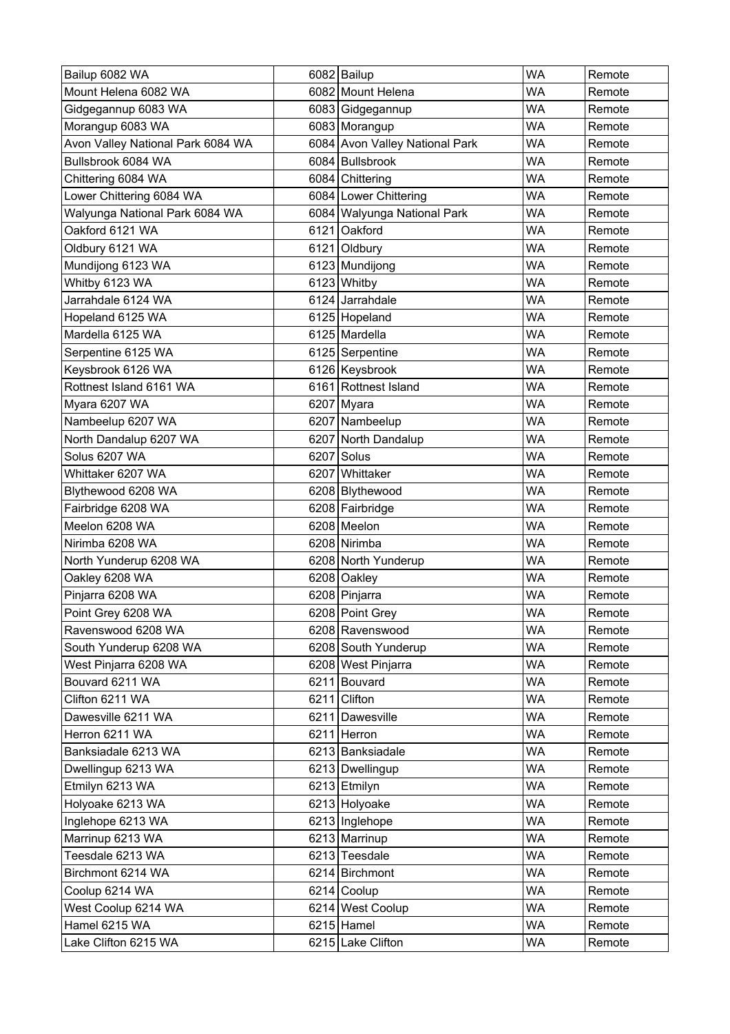| Bailup 6082 WA                    | 6082 Bailup                    | <b>WA</b> | Remote |
|-----------------------------------|--------------------------------|-----------|--------|
| Mount Helena 6082 WA              | 6082 Mount Helena              | <b>WA</b> | Remote |
| Gidgegannup 6083 WA               | 6083 Gidgegannup               | <b>WA</b> | Remote |
| Morangup 6083 WA                  | 6083 Morangup                  | <b>WA</b> | Remote |
| Avon Valley National Park 6084 WA | 6084 Avon Valley National Park | <b>WA</b> | Remote |
| Bullsbrook 6084 WA                | 6084 Bullsbrook                | <b>WA</b> | Remote |
| Chittering 6084 WA                | 6084 Chittering                | <b>WA</b> | Remote |
| Lower Chittering 6084 WA          | 6084 Lower Chittering          | <b>WA</b> | Remote |
| Walyunga National Park 6084 WA    | 6084 Walyunga National Park    | <b>WA</b> | Remote |
| Oakford 6121 WA                   | 6121 Oakford                   | WA        | Remote |
| Oldbury 6121 WA                   | 6121 Oldbury                   | <b>WA</b> | Remote |
| Mundijong 6123 WA                 | 6123 Mundijong                 | <b>WA</b> | Remote |
| Whitby 6123 WA                    | 6123 Whitby                    | <b>WA</b> | Remote |
| Jarrahdale 6124 WA                | 6124 Jarrahdale                | <b>WA</b> | Remote |
| Hopeland 6125 WA                  | 6125   Hopeland                | <b>WA</b> | Remote |
| Mardella 6125 WA                  | 6125 Mardella                  | <b>WA</b> | Remote |
| Serpentine 6125 WA                | 6125 Serpentine                | <b>WA</b> | Remote |
| Keysbrook 6126 WA                 | 6126 Keysbrook                 | <b>WA</b> | Remote |
| Rottnest Island 6161 WA           | 6161 Rottnest Island           | <b>WA</b> | Remote |
| Myara 6207 WA                     | 6207 Myara                     | <b>WA</b> | Remote |
| Nambeelup 6207 WA                 | 6207 Nambeelup                 | <b>WA</b> | Remote |
| North Dandalup 6207 WA            | 6207 North Dandalup            | <b>WA</b> | Remote |
| Solus 6207 WA                     | 6207 Solus                     | <b>WA</b> | Remote |
| Whittaker 6207 WA                 | 6207 Whittaker                 | WA        | Remote |
| Blythewood 6208 WA                | 6208 Blythewood                | <b>WA</b> | Remote |
| Fairbridge 6208 WA                | 6208 Fairbridge                | WA        | Remote |
| Meelon 6208 WA                    | 6208 Meelon                    | <b>WA</b> | Remote |
| Nirimba 6208 WA                   | 6208 Nirimba                   | <b>WA</b> | Remote |
| North Yunderup 6208 WA            | 6208 North Yunderup            | <b>WA</b> | Remote |
| Oakley 6208 WA                    | 6208 Oakley                    | <b>WA</b> | Remote |
| Pinjarra 6208 WA                  | 6208 Pinjarra                  | <b>WA</b> | Remote |
| Point Grey 6208 WA                | 6208 Point Grey                | <b>WA</b> | Remote |
| Ravenswood 6208 WA                | 6208 Ravenswood                | WA        | Remote |
| South Yunderup 6208 WA            | 6208 South Yunderup            | <b>WA</b> | Remote |
| West Pinjarra 6208 WA             | 6208 West Pinjarra             | <b>WA</b> | Remote |
| Bouvard 6211 WA                   | 6211 Bouvard                   | <b>WA</b> | Remote |
| Clifton 6211 WA                   | 6211 Clifton                   | <b>WA</b> | Remote |
| Dawesville 6211 WA                | 6211 Dawesville                | WA        | Remote |
| Herron 6211 WA                    | 6211 Herron                    | <b>WA</b> | Remote |
| Banksiadale 6213 WA               | 6213 Banksiadale               | WA        | Remote |
| Dwellingup 6213 WA                | 6213 Dwellingup                | <b>WA</b> | Remote |
| Etmilyn 6213 WA                   | 6213 Etmilyn                   | <b>WA</b> | Remote |
| Holyoake 6213 WA                  | 6213 Holyoake                  | <b>WA</b> | Remote |
| Inglehope 6213 WA                 | 6213 Inglehope                 | <b>WA</b> | Remote |
| Marrinup 6213 WA                  | 6213 Marrinup                  | <b>WA</b> | Remote |
| Teesdale 6213 WA                  | 6213 Teesdale                  | <b>WA</b> | Remote |
| Birchmont 6214 WA                 | 6214 Birchmont                 | WA        | Remote |
| Coolup 6214 WA                    | 6214 Coolup                    | <b>WA</b> | Remote |
| West Coolup 6214 WA               | 6214 West Coolup               | <b>WA</b> | Remote |
| Hamel 6215 WA                     | $6215$ Hamel                   | <b>WA</b> | Remote |
| Lake Clifton 6215 WA              | 6215 Lake Clifton              | WA        | Remote |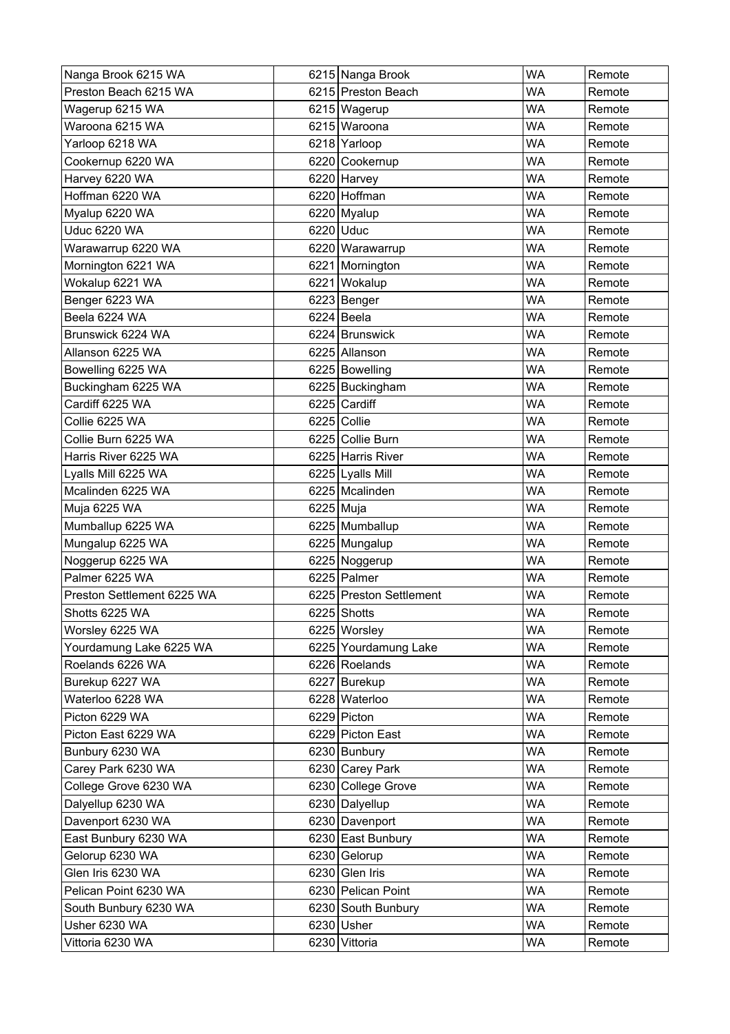| Nanga Brook 6215 WA        |           | 6215 Nanga Brook        | <b>WA</b> | Remote |
|----------------------------|-----------|-------------------------|-----------|--------|
| Preston Beach 6215 WA      |           | 6215 Preston Beach      | <b>WA</b> | Remote |
| Wagerup 6215 WA            |           | 6215 Wagerup            | <b>WA</b> | Remote |
| Waroona 6215 WA            |           | 6215 Waroona            | WA        | Remote |
| Yarloop 6218 WA            |           | 6218 Yarloop            | <b>WA</b> | Remote |
| Cookernup 6220 WA          |           | 6220 Cookernup          | <b>WA</b> | Remote |
| Harvey 6220 WA             |           | 6220 Harvey             | WA        | Remote |
| Hoffman 6220 WA            |           | 6220 Hoffman            | <b>WA</b> | Remote |
| Myalup 6220 WA             |           | 6220 Myalup             | <b>WA</b> | Remote |
| <b>Uduc 6220 WA</b>        |           | 6220 Uduc               | <b>WA</b> | Remote |
| Warawarrup 6220 WA         |           | 6220 Warawarrup         | <b>WA</b> | Remote |
| Mornington 6221 WA         |           | 6221 Mornington         | <b>WA</b> | Remote |
| Wokalup 6221 WA            |           | 6221 Wokalup            | <b>WA</b> | Remote |
| Benger 6223 WA             |           | 6223 Benger             | <b>WA</b> | Remote |
| Beela 6224 WA              |           | 6224 Beela              | <b>WA</b> | Remote |
| Brunswick 6224 WA          |           | 6224 Brunswick          | WA        | Remote |
| Allanson 6225 WA           |           | 6225 Allanson           | <b>WA</b> | Remote |
| Bowelling 6225 WA          |           | 6225 Bowelling          | <b>WA</b> | Remote |
| Buckingham 6225 WA         |           | 6225 Buckingham         | <b>WA</b> | Remote |
| Cardiff 6225 WA            |           | 6225 Cardiff            | <b>WA</b> | Remote |
| Collie 6225 WA             |           | 6225 Collie             | WA        | Remote |
| Collie Burn 6225 WA        |           | 6225 Collie Burn        | <b>WA</b> | Remote |
| Harris River 6225 WA       |           | 6225 Harris River       | <b>WA</b> | Remote |
| Lyalls Mill 6225 WA        |           | 6225 Lyalls Mill        | <b>WA</b> | Remote |
| Mcalinden 6225 WA          |           | 6225 Mcalinden          | <b>WA</b> | Remote |
| Muja 6225 WA               | 6225 Muja |                         | <b>WA</b> | Remote |
| Mumballup 6225 WA          |           | 6225 Mumballup          | <b>WA</b> | Remote |
| Mungalup 6225 WA           |           | 6225 Mungalup           | <b>WA</b> | Remote |
| Noggerup 6225 WA           |           | 6225 Noggerup           | <b>WA</b> | Remote |
| Palmer 6225 WA             |           | 6225 Palmer             | <b>WA</b> | Remote |
| Preston Settlement 6225 WA |           | 6225 Preston Settlement | <b>WA</b> | Remote |
| Shotts 6225 WA             |           | 6225 Shotts             | WA        | Remote |
| Worsley 6225 WA            |           | 6225 Worsley            | <b>WA</b> | Remote |
| Yourdamung Lake 6225 WA    |           | 6225 Yourdamung Lake    | <b>WA</b> | Remote |
| Roelands 6226 WA           |           | 6226 Roelands           | WA        | Remote |
| Burekup 6227 WA            |           | 6227 Burekup            | <b>WA</b> | Remote |
| Waterloo 6228 WA           |           | 6228 Waterloo           | <b>WA</b> | Remote |
| Picton 6229 WA             |           | 6229 Picton             | <b>WA</b> | Remote |
| Picton East 6229 WA        |           | 6229 Picton East        | <b>WA</b> | Remote |
| Bunbury 6230 WA            |           | 6230 Bunbury            | <b>WA</b> | Remote |
| Carey Park 6230 WA         |           | 6230 Carey Park         | <b>WA</b> | Remote |
| College Grove 6230 WA      |           | 6230 College Grove      | <b>WA</b> | Remote |
| Dalyellup 6230 WA          |           | 6230 Dalyellup          | WA        | Remote |
| Davenport 6230 WA          |           | 6230 Davenport          | <b>WA</b> | Remote |
| East Bunbury 6230 WA       |           | 6230 East Bunbury       | <b>WA</b> | Remote |
| Gelorup 6230 WA            |           | 6230 Gelorup            | <b>WA</b> | Remote |
| Glen Iris 6230 WA          |           | 6230 Glen Iris          | <b>WA</b> | Remote |
| Pelican Point 6230 WA      |           | 6230 Pelican Point      | <b>WA</b> | Remote |
| South Bunbury 6230 WA      |           | 6230 South Bunbury      | <b>WA</b> | Remote |
| Usher 6230 WA              |           | 6230 Usher              | <b>WA</b> | Remote |
| Vittoria 6230 WA           |           | 6230 Vittoria           | WA        | Remote |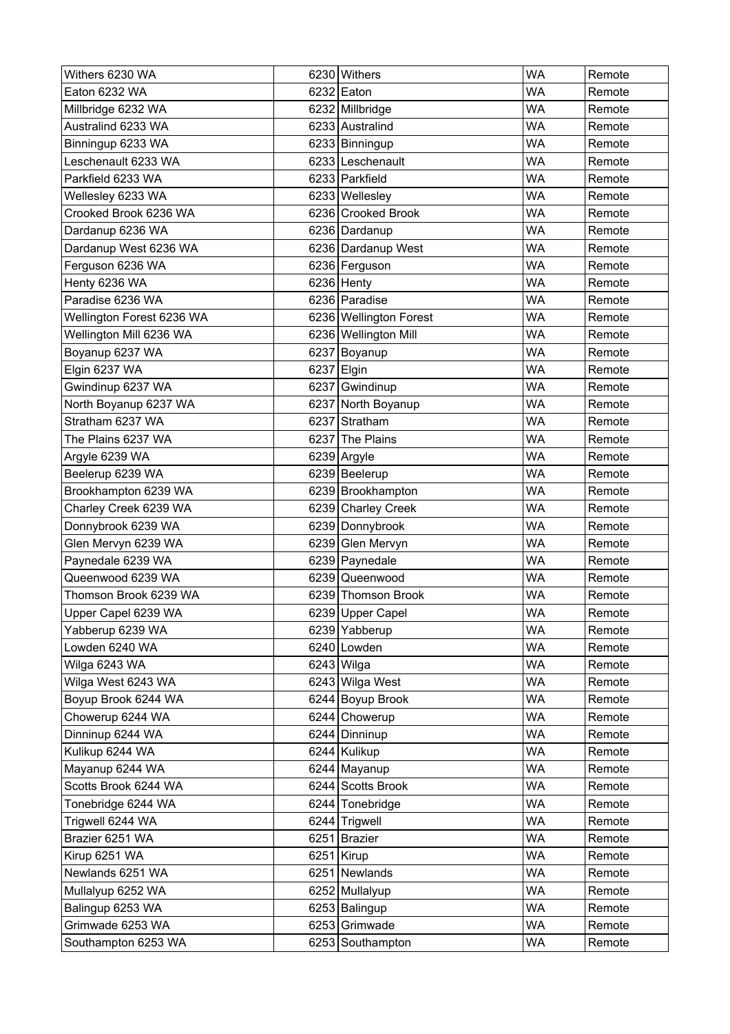| Withers 6230 WA           | 6230 Withers           | <b>WA</b> | Remote |
|---------------------------|------------------------|-----------|--------|
| Eaton 6232 WA             | 6232 Eaton             | WA        | Remote |
| Millbridge 6232 WA        | 6232 Millbridge        | WA        | Remote |
| Australind 6233 WA        | 6233 Australind        | WA        | Remote |
| Binningup 6233 WA         | 6233 Binningup         | <b>WA</b> | Remote |
| Leschenault 6233 WA       | 6233 Leschenault       | <b>WA</b> | Remote |
| Parkfield 6233 WA         | 6233 Parkfield         | WA        | Remote |
| Wellesley 6233 WA         | 6233 Wellesley         | <b>WA</b> | Remote |
| Crooked Brook 6236 WA     | 6236 Crooked Brook     | WA        | Remote |
| Dardanup 6236 WA          | 6236 Dardanup          | WA        | Remote |
| Dardanup West 6236 WA     | 6236 Dardanup West     | <b>WA</b> | Remote |
| Ferguson 6236 WA          | 6236 Ferguson          | <b>WA</b> | Remote |
| Henty 6236 WA             | 6236 Henty             | <b>WA</b> | Remote |
| Paradise 6236 WA          | 6236 Paradise          | WA        | Remote |
| Wellington Forest 6236 WA | 6236 Wellington Forest | WA        | Remote |
| Wellington Mill 6236 WA   | 6236 Wellington Mill   | WA        | Remote |
| Boyanup 6237 WA           | 6237 Boyanup           | <b>WA</b> | Remote |
| Elgin 6237 WA             | 6237 Elgin             | WA        | Remote |
| Gwindinup 6237 WA         | 6237 Gwindinup         | <b>WA</b> | Remote |
| North Boyanup 6237 WA     | 6237 North Boyanup     | <b>WA</b> | Remote |
| Stratham 6237 WA          | 6237 Stratham          | WA        | Remote |
| The Plains 6237 WA        | 6237 The Plains        | <b>WA</b> | Remote |
| Argyle 6239 WA            | 6239 Argyle            | <b>WA</b> | Remote |
| Beelerup 6239 WA          | 6239 Beelerup          | WA        | Remote |
| Brookhampton 6239 WA      | 6239 Brookhampton      | <b>WA</b> | Remote |
| Charley Creek 6239 WA     | 6239 Charley Creek     | <b>WA</b> | Remote |
| Donnybrook 6239 WA        | 6239 Donnybrook        | <b>WA</b> | Remote |
| Glen Mervyn 6239 WA       | 6239 Glen Mervyn       | <b>WA</b> | Remote |
| Paynedale 6239 WA         | 6239 Paynedale         | <b>WA</b> | Remote |
| Queenwood 6239 WA         | 6239 Queenwood         | WA        | Remote |
| Thomson Brook 6239 WA     | 6239 Thomson Brook     | WA        | Remote |
| Upper Capel 6239 WA       | 6239 Upper Capel       | <b>WA</b> | Remote |
| Yabberup 6239 WA          | 6239 Yabberup          | <b>WA</b> | Remote |
| Lowden 6240 WA            | 6240 Lowden            | <b>WA</b> | Remote |
| Wilga 6243 WA             | 6243 Wilga             | WA        | Remote |
| Wilga West 6243 WA        | 6243 Wilga West        | WA        | Remote |
| Boyup Brook 6244 WA       | 6244 Boyup Brook       | <b>WA</b> | Remote |
| Chowerup 6244 WA          | 6244 Chowerup          | <b>WA</b> | Remote |
| Dinninup 6244 WA          | 6244 Dinninup          | <b>WA</b> | Remote |
| Kulikup 6244 WA           | 6244 Kulikup           | <b>WA</b> | Remote |
| Mayanup 6244 WA           | 6244 Mayanup           | <b>WA</b> | Remote |
| Scotts Brook 6244 WA      | 6244 Scotts Brook      | <b>WA</b> | Remote |
| Tonebridge 6244 WA        | 6244 Tonebridge        | WA        | Remote |
| Trigwell 6244 WA          | 6244 Trigwell          | WA        | Remote |
| Brazier 6251 WA           | 6251 Brazier           | <b>WA</b> | Remote |
| Kirup 6251 WA             | 6251 Kirup             | <b>WA</b> | Remote |
| Newlands 6251 WA          | 6251 Newlands          | <b>WA</b> | Remote |
| Mullalyup 6252 WA         | 6252 Mullalyup         | <b>WA</b> | Remote |
| Balingup 6253 WA          | 6253 Balingup          | <b>WA</b> | Remote |
| Grimwade 6253 WA          | 6253 Grimwade          | WA        | Remote |
| Southampton 6253 WA       | 6253 Southampton       | WA        | Remote |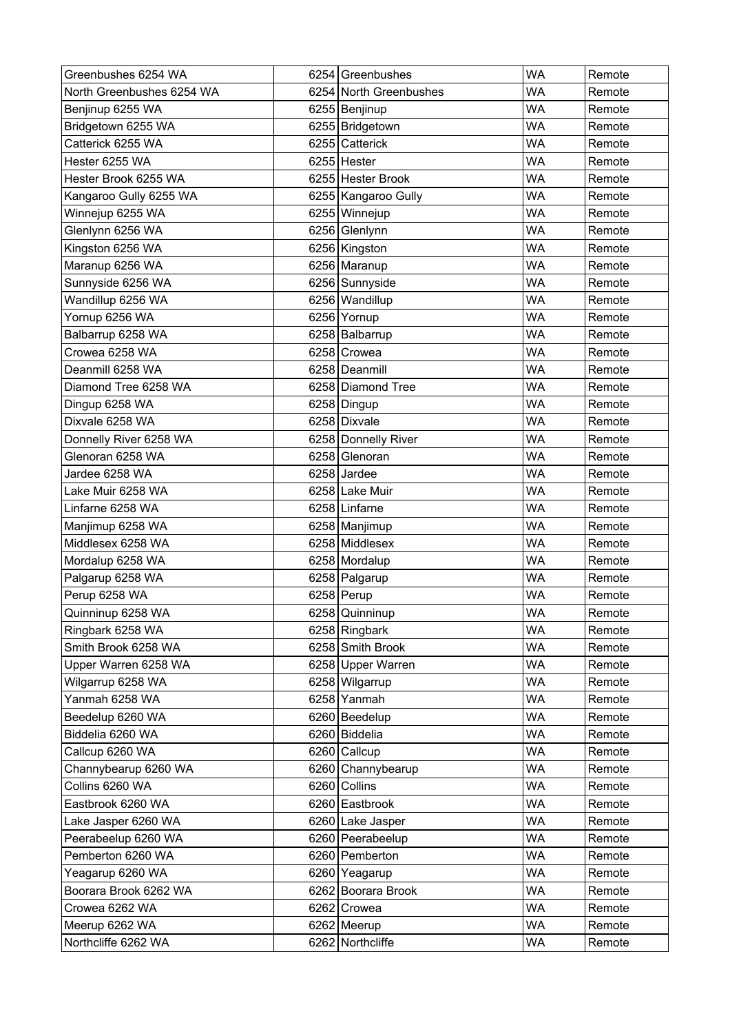| Greenbushes 6254 WA       | 6254 Greenbushes       | <b>WA</b> | Remote |
|---------------------------|------------------------|-----------|--------|
| North Greenbushes 6254 WA | 6254 North Greenbushes | <b>WA</b> | Remote |
| Benjinup 6255 WA          | 6255 Benjinup          | <b>WA</b> | Remote |
| Bridgetown 6255 WA        | 6255 Bridgetown        | <b>WA</b> | Remote |
| Catterick 6255 WA         | 6255 Catterick         | <b>WA</b> | Remote |
| Hester 6255 WA            | 6255 Hester            | <b>WA</b> | Remote |
| Hester Brook 6255 WA      | 6255 Hester Brook      | <b>WA</b> | Remote |
| Kangaroo Gully 6255 WA    | 6255 Kangaroo Gully    | <b>WA</b> | Remote |
| Winnejup 6255 WA          | 6255 Winnejup          | <b>WA</b> | Remote |
| Glenlynn 6256 WA          | 6256 Glenlynn          | WA        | Remote |
| Kingston 6256 WA          | 6256 Kingston          | <b>WA</b> | Remote |
| Maranup 6256 WA           | 6256 Maranup           | <b>WA</b> | Remote |
| Sunnyside 6256 WA         | 6256 Sunnyside         | <b>WA</b> | Remote |
| Wandillup 6256 WA         | 6256 Wandillup         | <b>WA</b> | Remote |
| Yornup 6256 WA            | 6256 Yornup            | <b>WA</b> | Remote |
| Balbarrup 6258 WA         | 6258 Balbarrup         | <b>WA</b> | Remote |
| Crowea 6258 WA            | 6258 Crowea            | <b>WA</b> | Remote |
| Deanmill 6258 WA          | 6258 Deanmill          | <b>WA</b> | Remote |
| Diamond Tree 6258 WA      | 6258 Diamond Tree      | <b>WA</b> | Remote |
| Dingup 6258 WA            | 6258 Dingup            | <b>WA</b> | Remote |
| Dixvale 6258 WA           | 6258 Dixvale           | <b>WA</b> | Remote |
| Donnelly River 6258 WA    | 6258 Donnelly River    | <b>WA</b> | Remote |
| Glenoran 6258 WA          | 6258 Glenoran          | <b>WA</b> | Remote |
| Jardee 6258 WA            | 6258 Jardee            | <b>WA</b> | Remote |
| Lake Muir 6258 WA         | 6258 Lake Muir         | <b>WA</b> | Remote |
| Linfarne 6258 WA          | 6258 Linfarne          | <b>WA</b> | Remote |
| Manjimup 6258 WA          | 6258 Manjimup          | <b>WA</b> | Remote |
| Middlesex 6258 WA         | 6258 Middlesex         | <b>WA</b> | Remote |
| Mordalup 6258 WA          | 6258 Mordalup          | <b>WA</b> | Remote |
| Palgarup 6258 WA          | 6258 Palgarup          | <b>WA</b> | Remote |
| Perup 6258 WA             | 6258 Perup             | <b>WA</b> | Remote |
| Quinninup 6258 WA         | 6258 Quinninup         | <b>WA</b> | Remote |
| Ringbark 6258 WA          | 6258 Ringbark          | <b>WA</b> | Remote |
| Smith Brook 6258 WA       | 6258 Smith Brook       | <b>WA</b> | Remote |
| Upper Warren 6258 WA      | 6258 Upper Warren      | <b>WA</b> | Remote |
| Wilgarrup 6258 WA         | 6258 Wilgarrup         | <b>WA</b> | Remote |
| Yanmah 6258 WA            | 6258 Yanmah            | <b>WA</b> | Remote |
| Beedelup 6260 WA          | 6260 Beedelup          | <b>WA</b> | Remote |
| Biddelia 6260 WA          | 6260 Biddelia          | <b>WA</b> | Remote |
| Callcup 6260 WA           | 6260 Callcup           | <b>WA</b> | Remote |
| Channybearup 6260 WA      | 6260 Channybearup      | <b>WA</b> | Remote |
| Collins 6260 WA           | 6260 Collins           | <b>WA</b> | Remote |
| Eastbrook 6260 WA         | 6260 Eastbrook         | <b>WA</b> | Remote |
| Lake Jasper 6260 WA       | 6260 Lake Jasper       | <b>WA</b> | Remote |
| Peerabeelup 6260 WA       | 6260 Peerabeelup       | <b>WA</b> | Remote |
| Pemberton 6260 WA         | 6260 Pemberton         | <b>WA</b> | Remote |
| Yeagarup 6260 WA          | 6260 Yeagarup          | <b>WA</b> | Remote |
| Boorara Brook 6262 WA     | 6262 Boorara Brook     | <b>WA</b> | Remote |
| Crowea 6262 WA            | 6262 Crowea            | <b>WA</b> | Remote |
| Meerup 6262 WA            | 6262 Meerup            | <b>WA</b> | Remote |
| Northcliffe 6262 WA       | 6262 Northcliffe       | <b>WA</b> | Remote |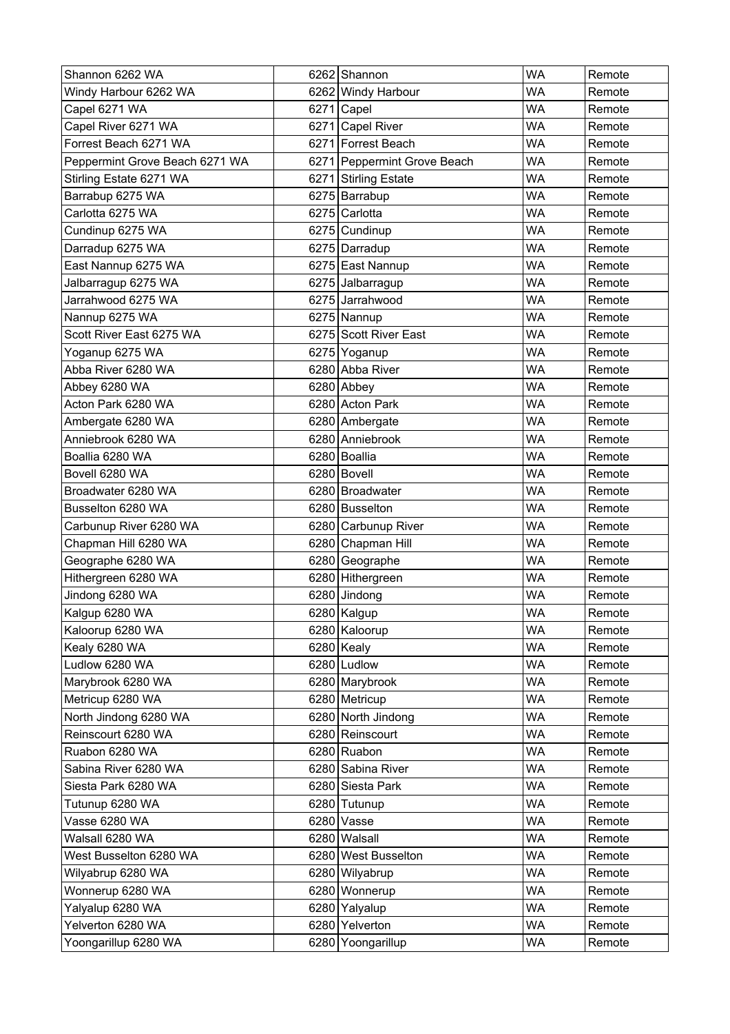| Shannon 6262 WA                | 6262 Shannon                | <b>WA</b> | Remote |
|--------------------------------|-----------------------------|-----------|--------|
| Windy Harbour 6262 WA          | 6262 Windy Harbour          | WA        | Remote |
| Capel 6271 WA                  | 6271 Capel                  | <b>WA</b> | Remote |
| Capel River 6271 WA            | 6271 Capel River            | <b>WA</b> | Remote |
| Forrest Beach 6271 WA          | 6271 Forrest Beach          | <b>WA</b> | Remote |
| Peppermint Grove Beach 6271 WA | 6271 Peppermint Grove Beach | <b>WA</b> | Remote |
| Stirling Estate 6271 WA        | 6271 Stirling Estate        | WA        | Remote |
| Barrabup 6275 WA               | 6275 Barrabup               | <b>WA</b> | Remote |
| Carlotta 6275 WA               | 6275 Carlotta               | WA        | Remote |
| Cundinup 6275 WA               | 6275 Cundinup               | WA        | Remote |
| Darradup 6275 WA               | 6275 Darradup               | <b>WA</b> | Remote |
| East Nannup 6275 WA            | 6275 East Nannup            | <b>WA</b> | Remote |
| Jalbarragup 6275 WA            | 6275 Jalbarragup            | <b>WA</b> | Remote |
| Jarrahwood 6275 WA             | 6275 Jarrahwood             | <b>WA</b> | Remote |
| Nannup 6275 WA                 | 6275 Nannup                 | <b>WA</b> | Remote |
| Scott River East 6275 WA       | 6275 Scott River East       | <b>WA</b> | Remote |
| Yoganup 6275 WA                | 6275 Yoganup                | <b>WA</b> | Remote |
| Abba River 6280 WA             | 6280 Abba River             | <b>WA</b> | Remote |
| Abbey 6280 WA                  | 6280 Abbey                  | <b>WA</b> | Remote |
| Acton Park 6280 WA             | 6280 Acton Park             | <b>WA</b> | Remote |
| Ambergate 6280 WA              | 6280 Ambergate              | <b>WA</b> | Remote |
| Anniebrook 6280 WA             | 6280 Anniebrook             | <b>WA</b> | Remote |
| Boallia 6280 WA                | 6280 Boallia                | <b>WA</b> | Remote |
| Bovell 6280 WA                 | 6280 Bovell                 | WA        | Remote |
| Broadwater 6280 WA             | 6280 Broadwater             | <b>WA</b> | Remote |
| Busselton 6280 WA              | 6280 Busselton              | <b>WA</b> | Remote |
| Carbunup River 6280 WA         | 6280 Carbunup River         | <b>WA</b> | Remote |
| Chapman Hill 6280 WA           | 6280 Chapman Hill           | <b>WA</b> | Remote |
| Geographe 6280 WA              | 6280 Geographe              | <b>WA</b> | Remote |
| Hithergreen 6280 WA            | 6280 Hithergreen            | <b>WA</b> | Remote |
| Jindong 6280 WA                | 6280 Jindong                | <b>WA</b> | Remote |
| Kalgup 6280 WA                 | 6280 Kalgup                 | <b>WA</b> | Remote |
| Kaloorup 6280 WA               | 6280 Kaloorup               | <b>WA</b> | Remote |
| Kealy 6280 WA                  | $6280$ Kealy                | <b>WA</b> | Remote |
| Ludlow 6280 WA                 | 6280 Ludlow                 | WA        | Remote |
| Marybrook 6280 WA              | 6280 Marybrook              | <b>WA</b> | Remote |
| Metricup 6280 WA               | 6280 Metricup               | <b>WA</b> | Remote |
| North Jindong 6280 WA          | 6280 North Jindong          | WA        | Remote |
| Reinscourt 6280 WA             | 6280 Reinscourt             | <b>WA</b> | Remote |
| Ruabon 6280 WA                 | 6280 Ruabon                 | <b>WA</b> | Remote |
| Sabina River 6280 WA           | 6280 Sabina River           | <b>WA</b> | Remote |
| Siesta Park 6280 WA            | 6280 Siesta Park            | <b>WA</b> | Remote |
| Tutunup 6280 WA                | 6280 Tutunup                | <b>WA</b> | Remote |
| Vasse 6280 WA                  | 6280 Vasse                  | <b>WA</b> | Remote |
| Walsall 6280 WA                | 6280 Walsall                | <b>WA</b> | Remote |
| West Busselton 6280 WA         | 6280 West Busselton         | WA        | Remote |
| Wilyabrup 6280 WA              | 6280 Wilyabrup              | <b>WA</b> | Remote |
| Wonnerup 6280 WA               | 6280 Wonnerup               | <b>WA</b> | Remote |
| Yalyalup 6280 WA               | 6280 Yalyalup               | WA        | Remote |
| Yelverton 6280 WA              | 6280 Yelverton              | <b>WA</b> | Remote |
| Yoongarillup 6280 WA           | 6280 Yoongarillup           | WA        | Remote |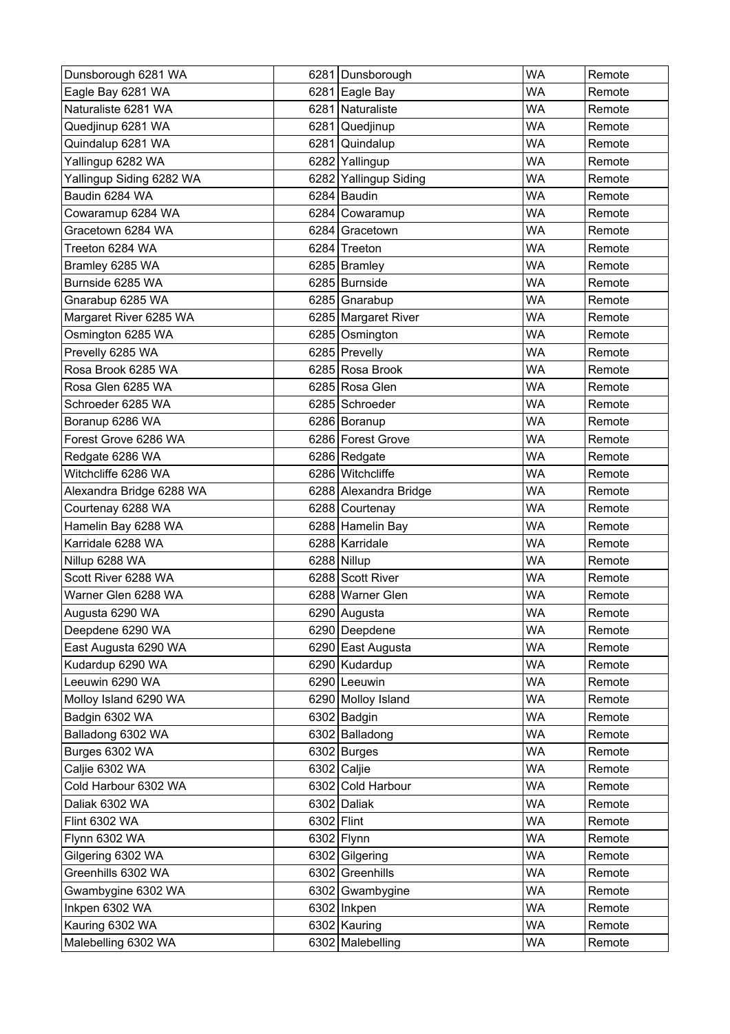| Dunsborough 6281 WA      |            | 6281 Dunsborough      | <b>WA</b> | Remote |
|--------------------------|------------|-----------------------|-----------|--------|
| Eagle Bay 6281 WA        |            | 6281 Eagle Bay        | WA        | Remote |
| Naturaliste 6281 WA      |            | 6281 Naturaliste      | WA        | Remote |
| Quedjinup 6281 WA        |            | 6281 Quedjinup        | WA        | Remote |
| Quindalup 6281 WA        |            | 6281 Quindalup        | <b>WA</b> | Remote |
| Yallingup 6282 WA        |            | 6282 Yallingup        | <b>WA</b> | Remote |
| Yallingup Siding 6282 WA |            | 6282 Yallingup Siding | WA        | Remote |
| Baudin 6284 WA           |            | 6284 Baudin           | <b>WA</b> | Remote |
| Cowaramup 6284 WA        |            | 6284 Cowaramup        | WA        | Remote |
| Gracetown 6284 WA        |            | 6284 Gracetown        | WA        | Remote |
| Treeton 6284 WA          |            | 6284 Treeton          | <b>WA</b> | Remote |
| Bramley 6285 WA          |            | 6285 Bramley          | <b>WA</b> | Remote |
| Burnside 6285 WA         |            | 6285 Burnside         | <b>WA</b> | Remote |
| Gnarabup 6285 WA         |            | 6285 Gnarabup         | <b>WA</b> | Remote |
| Margaret River 6285 WA   |            | 6285 Margaret River   | <b>WA</b> | Remote |
| Osmington 6285 WA        |            | 6285 Osmington        | <b>WA</b> | Remote |
| Prevelly 6285 WA         |            | 6285 Prevelly         | <b>WA</b> | Remote |
| Rosa Brook 6285 WA       |            | 6285 Rosa Brook       | <b>WA</b> | Remote |
| Rosa Glen 6285 WA        |            | 6285 Rosa Glen        | <b>WA</b> | Remote |
| Schroeder 6285 WA        |            | 6285 Schroeder        | <b>WA</b> | Remote |
| Boranup 6286 WA          |            | 6286 Boranup          | <b>WA</b> | Remote |
| Forest Grove 6286 WA     |            | 6286 Forest Grove     | <b>WA</b> | Remote |
| Redgate 6286 WA          |            | 6286 Redgate          | <b>WA</b> | Remote |
| Witchcliffe 6286 WA      |            | 6286 Witchcliffe      | WA        | Remote |
| Alexandra Bridge 6288 WA |            | 6288 Alexandra Bridge | <b>WA</b> | Remote |
| Courtenay 6288 WA        |            | 6288 Courtenay        | <b>WA</b> | Remote |
| Hamelin Bay 6288 WA      |            | 6288 Hamelin Bay      | <b>WA</b> | Remote |
| Karridale 6288 WA        |            | 6288 Karridale        | <b>WA</b> | Remote |
| Nillup 6288 WA           |            | 6288 Nillup           | <b>WA</b> | Remote |
| Scott River 6288 WA      |            | 6288 Scott River      | <b>WA</b> | Remote |
| Warner Glen 6288 WA      |            | 6288 Warner Glen      | <b>WA</b> | Remote |
| Augusta 6290 WA          |            | 6290 Augusta          | WA        | Remote |
| Deepdene 6290 WA         |            | 6290 Deepdene         | <b>WA</b> | Remote |
| East Augusta 6290 WA     |            | 6290 East Augusta     | <b>WA</b> | Remote |
| Kudardup 6290 WA         |            | 6290 Kudardup         | WA        | Remote |
| Leeuwin 6290 WA          |            | 6290 Leeuwin          | <b>WA</b> | Remote |
| Molloy Island 6290 WA    |            | 6290 Molloy Island    | <b>WA</b> | Remote |
| Badgin 6302 WA           |            | 6302 Badgin           | WA        | Remote |
| Balladong 6302 WA        |            | 6302 Balladong        | <b>WA</b> | Remote |
| Burges 6302 WA           |            | $6302$ Burges         | <b>WA</b> | Remote |
| Caljie 6302 WA           |            | 6302 Caljie           | <b>WA</b> | Remote |
| Cold Harbour 6302 WA     |            | 6302 Cold Harbour     | <b>WA</b> | Remote |
| Daliak 6302 WA           |            | 6302 Daliak           | <b>WA</b> | Remote |
| Flint 6302 WA            | 6302 Flint |                       | WA        | Remote |
| Flynn 6302 WA            |            | 6302 Flynn            | <b>WA</b> | Remote |
| Gilgering 6302 WA        |            | 6302 Gilgering        | WA        | Remote |
| Greenhills 6302 WA       |            | 6302 Greenhills       | <b>WA</b> | Remote |
| Gwambygine 6302 WA       |            | 6302 Gwambygine       | <b>WA</b> | Remote |
| Inkpen 6302 WA           |            | $6302$   Inkpen       | WA        | Remote |
| Kauring 6302 WA          |            | 6302 Kauring          | <b>WA</b> | Remote |
| Malebelling 6302 WA      |            | 6302 Malebelling      | WA        | Remote |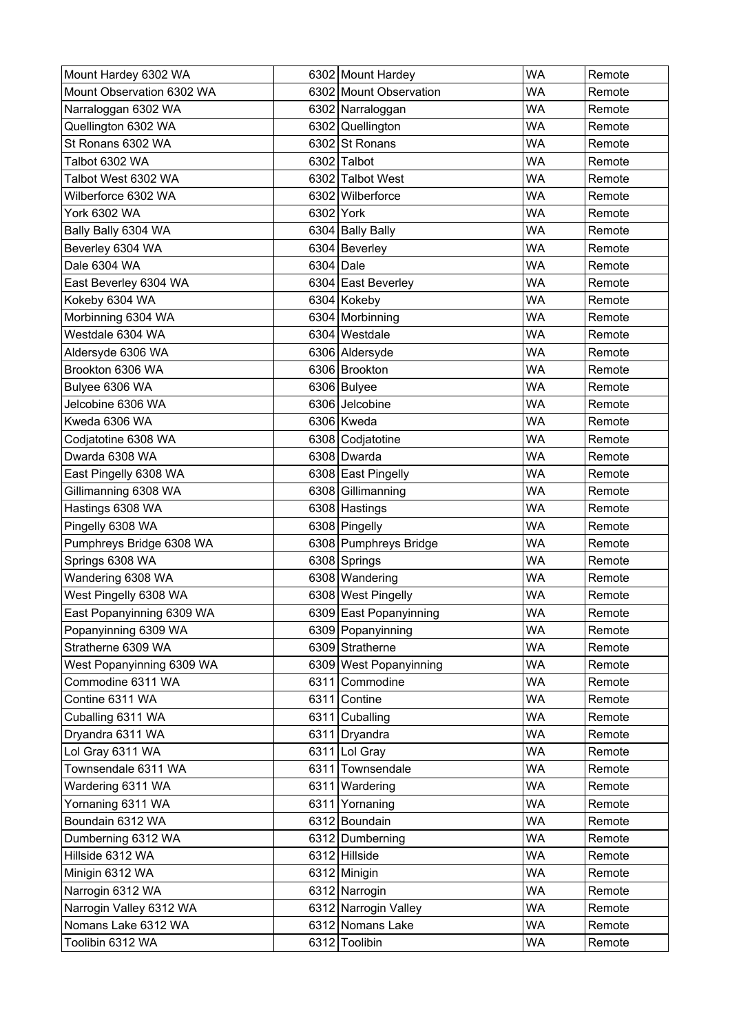| Mount Hardey 6302 WA      |           | 6302 Mount Hardey      | <b>WA</b> | Remote |
|---------------------------|-----------|------------------------|-----------|--------|
| Mount Observation 6302 WA |           | 6302 Mount Observation | WA        | Remote |
| Narraloggan 6302 WA       |           | 6302 Narraloggan       | <b>WA</b> | Remote |
| Quellington 6302 WA       |           | 6302 Quellington       | WA        | Remote |
| St Ronans 6302 WA         |           | 6302 St Ronans         | WA        | Remote |
| Talbot 6302 WA            |           | 6302 Talbot            | WA        | Remote |
| Talbot West 6302 WA       |           | 6302 Talbot West       | <b>WA</b> | Remote |
| Wilberforce 6302 WA       |           | 6302 Wilberforce       | WA        | Remote |
| <b>York 6302 WA</b>       | 6302 York |                        | <b>WA</b> | Remote |
| Bally Bally 6304 WA       |           | 6304 Bally Bally       | WA        | Remote |
| Beverley 6304 WA          |           | 6304 Beverley          | WA        | Remote |
| Dale 6304 WA              | 6304 Dale |                        | WA        | Remote |
| East Beverley 6304 WA     |           | 6304 East Beverley     | <b>WA</b> | Remote |
| Kokeby 6304 WA            |           | 6304 Kokeby            | <b>WA</b> | Remote |
| Morbinning 6304 WA        |           | 6304 Morbinning        | <b>WA</b> | Remote |
| Westdale 6304 WA          |           | 6304 Westdale          | WA        | Remote |
| Aldersyde 6306 WA         |           | 6306 Aldersyde         | WA        | Remote |
| Brookton 6306 WA          |           | 6306 Brookton          | <b>WA</b> | Remote |
| Bulyee 6306 WA            |           | 6306 Bulyee            | WA        | Remote |
| Jelcobine 6306 WA         |           | 6306 Jelcobine         | WA        | Remote |
| Kweda 6306 WA             |           | 6306 Kweda             | WA        | Remote |
| Codjatotine 6308 WA       |           | 6308 Codjatotine       | WA        | Remote |
| Dwarda 6308 WA            |           | 6308 Dwarda            | <b>WA</b> | Remote |
| East Pingelly 6308 WA     |           | 6308 East Pingelly     | WA        | Remote |
| Gillimanning 6308 WA      |           | 6308 Gillimanning      | WA        | Remote |
| Hastings 6308 WA          |           | 6308 Hastings          | WA        | Remote |
| Pingelly 6308 WA          |           | 6308 Pingelly          | <b>WA</b> | Remote |
| Pumphreys Bridge 6308 WA  |           | 6308 Pumphreys Bridge  | <b>WA</b> | Remote |
| Springs 6308 WA           |           | 6308 Springs           | <b>WA</b> | Remote |
| Wandering 6308 WA         |           | 6308 Wandering         | <b>WA</b> | Remote |
| West Pingelly 6308 WA     |           | 6308 West Pingelly     | <b>WA</b> | Remote |
| East Popanyinning 6309 WA |           | 6309 East Popanyinning | <b>WA</b> | Remote |
| Popanyinning 6309 WA      |           | 6309 Popanyinning      | <b>WA</b> | Remote |
| Stratherne 6309 WA        |           | 6309 Stratherne        | <b>WA</b> | Remote |
| West Popanyinning 6309 WA |           | 6309 West Popanyinning | <b>WA</b> | Remote |
| Commodine 6311 WA         |           | 6311 Commodine         | <b>WA</b> | Remote |
| Contine 6311 WA           |           | 6311 Contine           | <b>WA</b> | Remote |
| Cuballing 6311 WA         |           | 6311 Cuballing         | <b>WA</b> | Remote |
| Dryandra 6311 WA          |           | 6311 Dryandra          | WA        | Remote |
| Lol Gray 6311 WA          |           | 6311 Lol Gray          | WA        | Remote |
| Townsendale 6311 WA       |           | 6311 Townsendale       | WA        | Remote |
| Wardering 6311 WA         |           | 6311 Wardering         | <b>WA</b> | Remote |
| Yornaning 6311 WA         |           | 6311 Yornaning         | <b>WA</b> | Remote |
| Boundain 6312 WA          |           | 6312 Boundain          | <b>WA</b> | Remote |
| Dumberning 6312 WA        |           | 6312 Dumberning        | <b>WA</b> | Remote |
| Hillside 6312 WA          |           | 6312 Hillside          | WA        | Remote |
| Minigin 6312 WA           |           | 6312 Minigin           | WA        | Remote |
| Narrogin 6312 WA          |           | 6312 Narrogin          | <b>WA</b> | Remote |
| Narrogin Valley 6312 WA   |           | 6312 Narrogin Valley   | <b>WA</b> | Remote |
| Nomans Lake 6312 WA       |           | 6312 Nomans Lake       | <b>WA</b> | Remote |
| Toolibin 6312 WA          |           | 6312 Toolibin          | <b>WA</b> | Remote |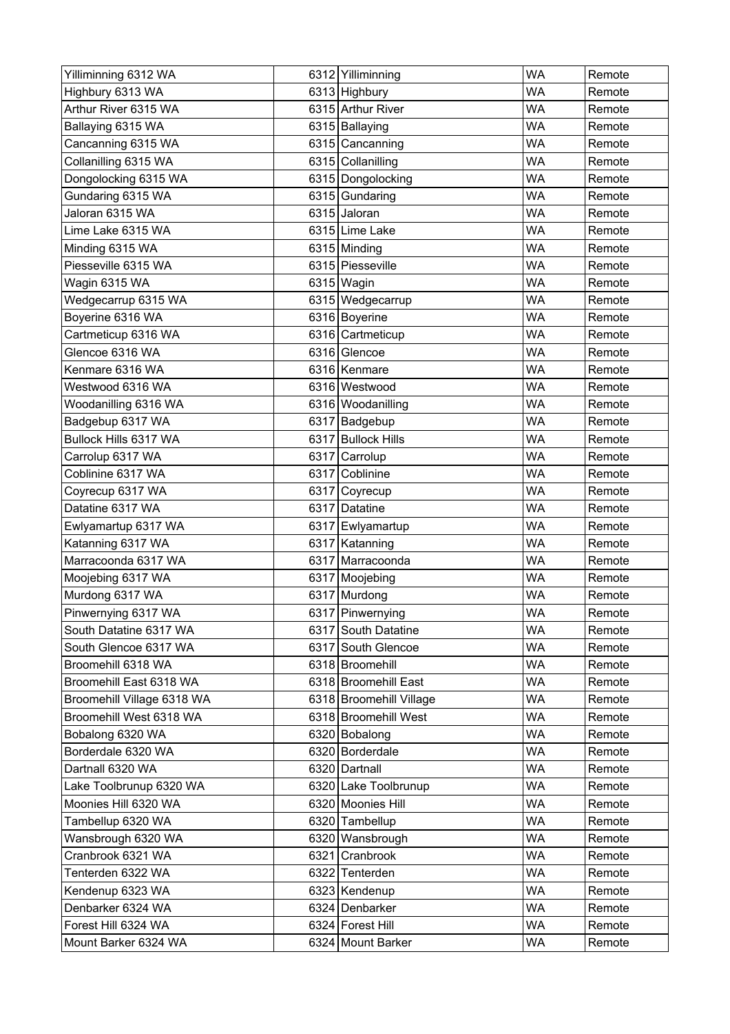| Yilliminning 6312 WA       | 6312 Yilliminning       | <b>WA</b> | Remote |
|----------------------------|-------------------------|-----------|--------|
| Highbury 6313 WA           | 6313 Highbury           | <b>WA</b> | Remote |
| Arthur River 6315 WA       | 6315 Arthur River       | <b>WA</b> | Remote |
| Ballaying 6315 WA          | 6315 Ballaying          | <b>WA</b> | Remote |
| Cancanning 6315 WA         | 6315 Cancanning         | <b>WA</b> | Remote |
| Collanilling 6315 WA       | 6315 Collanilling       | <b>WA</b> | Remote |
| Dongolocking 6315 WA       | 6315 Dongolocking       | <b>WA</b> | Remote |
| Gundaring 6315 WA          | 6315 Gundaring          | <b>WA</b> | Remote |
| Jaloran 6315 WA            | 6315 Jaloran            | WA        | Remote |
| Lime Lake 6315 WA          | 6315 Lime Lake          | <b>WA</b> | Remote |
| Minding 6315 WA            | 6315 Minding            | <b>WA</b> | Remote |
| Piesseville 6315 WA        | 6315 Piesseville        | <b>WA</b> | Remote |
| Wagin 6315 WA              | 6315 Wagin              | <b>WA</b> | Remote |
| Wedgecarrup 6315 WA        | 6315 Wedgecarrup        | <b>WA</b> | Remote |
| Boyerine 6316 WA           | 6316 Boyerine           | <b>WA</b> | Remote |
| Cartmeticup 6316 WA        | 6316 Cartmeticup        | <b>WA</b> | Remote |
| Glencoe 6316 WA            | 6316 Glencoe            | <b>WA</b> | Remote |
| Kenmare 6316 WA            | 6316   Kenmare          | <b>WA</b> | Remote |
| Westwood 6316 WA           | 6316 Westwood           | <b>WA</b> | Remote |
| Woodanilling 6316 WA       | 6316 Woodanilling       | <b>WA</b> | Remote |
| Badgebup 6317 WA           | 6317 Badgebup           | <b>WA</b> | Remote |
| Bullock Hills 6317 WA      | 6317 Bullock Hills      | <b>WA</b> | Remote |
| Carrolup 6317 WA           | 6317 Carrolup           | <b>WA</b> | Remote |
| Coblinine 6317 WA          | 6317 Coblinine          | <b>WA</b> | Remote |
| Coyrecup 6317 WA           | 6317 Coyrecup           | <b>WA</b> | Remote |
| Datatine 6317 WA           | 6317 Datatine           | <b>WA</b> | Remote |
| Ewlyamartup 6317 WA        | 6317 Ewlyamartup        | <b>WA</b> | Remote |
| Katanning 6317 WA          | 6317 Katanning          | <b>WA</b> | Remote |
| Marracoonda 6317 WA        | 6317 Marracoonda        | <b>WA</b> | Remote |
| Moojebing 6317 WA          | 6317 Moojebing          | <b>WA</b> | Remote |
| Murdong 6317 WA            | 6317 Murdong            | <b>WA</b> | Remote |
| Pinwernying 6317 WA        | 6317 Pinwernying        | <b>WA</b> | Remote |
| South Datatine 6317 WA     | 6317 South Datatine     | <b>WA</b> | Remote |
| South Glencoe 6317 WA      | 6317 South Glencoe      | <b>WA</b> | Remote |
| Broomehill 6318 WA         | 6318 Broomehill         | WA        | Remote |
| Broomehill East 6318 WA    | 6318 Broomehill East    | <b>WA</b> | Remote |
| Broomehill Village 6318 WA | 6318 Broomehill Village | <b>WA</b> | Remote |
| Broomehill West 6318 WA    | 6318 Broomehill West    | WA        | Remote |
| Bobalong 6320 WA           | 6320 Bobalong           | <b>WA</b> | Remote |
| Borderdale 6320 WA         | 6320 Borderdale         | <b>WA</b> | Remote |
| Dartnall 6320 WA           | 6320 Dartnall           | <b>WA</b> | Remote |
| Lake Toolbrunup 6320 WA    | 6320 Lake Toolbrunup    | <b>WA</b> | Remote |
| Moonies Hill 6320 WA       | 6320 Moonies Hill       | <b>WA</b> | Remote |
| Tambellup 6320 WA          | 6320 Tambellup          | WA        | Remote |
| Wansbrough 6320 WA         | 6320 Wansbrough         | <b>WA</b> | Remote |
| Cranbrook 6321 WA          | 6321 Cranbrook          | WA        | Remote |
| Tenterden 6322 WA          | 6322 Tenterden          | <b>WA</b> | Remote |
| Kendenup 6323 WA           | 6323 Kendenup           | <b>WA</b> | Remote |
| Denbarker 6324 WA          | 6324 Denbarker          | WA        | Remote |
| Forest Hill 6324 WA        | 6324 Forest Hill        | <b>WA</b> | Remote |
| Mount Barker 6324 WA       | 6324 Mount Barker       | <b>WA</b> | Remote |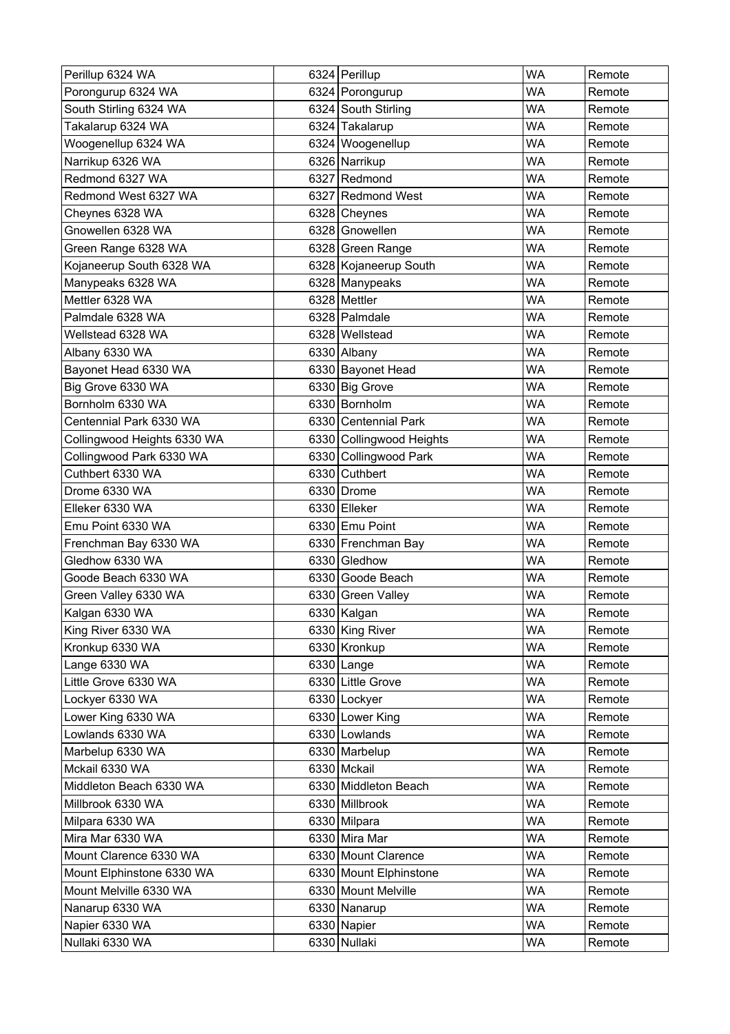| Perillup 6324 WA            | 6324 Perillup            | <b>WA</b> | Remote |
|-----------------------------|--------------------------|-----------|--------|
| Porongurup 6324 WA          | 6324 Porongurup          | <b>WA</b> | Remote |
| South Stirling 6324 WA      | 6324 South Stirling      | <b>WA</b> | Remote |
| Takalarup 6324 WA           | 6324 Takalarup           | <b>WA</b> | Remote |
| Woogenellup 6324 WA         | 6324 Woogenellup         | WA        | Remote |
| Narrikup 6326 WA            | 6326 Narrikup            | <b>WA</b> | Remote |
| Redmond 6327 WA             | 6327 Redmond             | <b>WA</b> | Remote |
| Redmond West 6327 WA        | 6327 Redmond West        | <b>WA</b> | Remote |
| Cheynes 6328 WA             | 6328 Cheynes             | <b>WA</b> | Remote |
| Gnowellen 6328 WA           | 6328 Gnowellen           | <b>WA</b> | Remote |
| Green Range 6328 WA         | 6328 Green Range         | <b>WA</b> | Remote |
| Kojaneerup South 6328 WA    | 6328 Kojaneerup South    | <b>WA</b> | Remote |
| Manypeaks 6328 WA           | 6328 Manypeaks           | <b>WA</b> | Remote |
| Mettler 6328 WA             | 6328 Mettler             | <b>WA</b> | Remote |
| Palmdale 6328 WA            | 6328 Palmdale            | <b>WA</b> | Remote |
| Wellstead 6328 WA           | 6328 Wellstead           | <b>WA</b> | Remote |
| Albany 6330 WA              | 6330 Albany              | <b>WA</b> | Remote |
| Bayonet Head 6330 WA        | 6330 Bayonet Head        | <b>WA</b> | Remote |
| Big Grove 6330 WA           | 6330 Big Grove           | WA        | Remote |
| Bornholm 6330 WA            | 6330 Bornholm            | <b>WA</b> | Remote |
| Centennial Park 6330 WA     | 6330 Centennial Park     | <b>WA</b> | Remote |
| Collingwood Heights 6330 WA | 6330 Collingwood Heights | <b>WA</b> | Remote |
| Collingwood Park 6330 WA    | 6330 Collingwood Park    | <b>WA</b> | Remote |
| Cuthbert 6330 WA            | 6330 Cuthbert            | <b>WA</b> | Remote |
| Drome 6330 WA               | 6330 Drome               | <b>WA</b> | Remote |
| Elleker 6330 WA             | 6330 Elleker             | WA        | Remote |
| Emu Point 6330 WA           | 6330 Emu Point           | <b>WA</b> | Remote |
| Frenchman Bay 6330 WA       | 6330 Frenchman Bay       | <b>WA</b> | Remote |
| Gledhow 6330 WA             | 6330 Gledhow             | <b>WA</b> | Remote |
| Goode Beach 6330 WA         | 6330 Goode Beach         | <b>WA</b> | Remote |
| Green Valley 6330 WA        | 6330 Green Valley        | <b>WA</b> | Remote |
| Kalgan 6330 WA              | 6330 Kalgan              | <b>WA</b> | Remote |
| King River 6330 WA          | 6330 King River          | <b>WA</b> | Remote |
| Kronkup 6330 WA             | 6330 Kronkup             | <b>WA</b> | Remote |
| Lange 6330 WA               | 6330 Lange               | <b>WA</b> | Remote |
| Little Grove 6330 WA        | 6330 Little Grove        | <b>WA</b> | Remote |
| Lockyer 6330 WA             | 6330 Lockyer             | <b>WA</b> | Remote |
| Lower King 6330 WA          | 6330 Lower King          | <b>WA</b> | Remote |
| Lowlands 6330 WA            | 6330 Lowlands            | <b>WA</b> | Remote |
| Marbelup 6330 WA            | 6330 Marbelup            | <b>WA</b> | Remote |
| Mckail 6330 WA              | 6330 Mckail              | <b>WA</b> | Remote |
| Middleton Beach 6330 WA     | 6330 Middleton Beach     | <b>WA</b> | Remote |
| Millbrook 6330 WA           | 6330 Millbrook           | <b>WA</b> | Remote |
| Milpara 6330 WA             | 6330 Milpara             | <b>WA</b> | Remote |
| Mira Mar 6330 WA            | 6330 Mira Mar            | <b>WA</b> | Remote |
| Mount Clarence 6330 WA      | 6330 Mount Clarence      | <b>WA</b> | Remote |
| Mount Elphinstone 6330 WA   | 6330 Mount Elphinstone   | WA        | Remote |
| Mount Melville 6330 WA      | 6330 Mount Melville      | <b>WA</b> | Remote |
| Nanarup 6330 WA             | 6330 Nanarup             | <b>WA</b> | Remote |
| Napier 6330 WA              | 6330 Napier              | <b>WA</b> | Remote |
| Nullaki 6330 WA             | 6330 Nullaki             | WA        | Remote |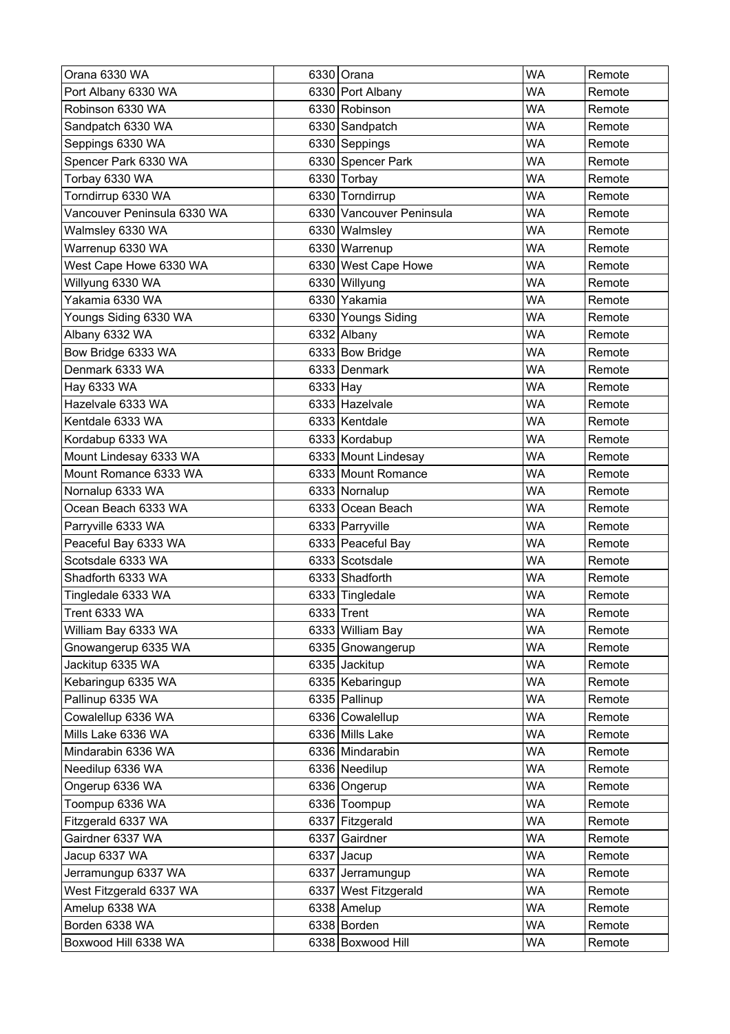| Orana 6330 WA               |          | 6330 Orana               | <b>WA</b> | Remote |
|-----------------------------|----------|--------------------------|-----------|--------|
| Port Albany 6330 WA         |          | 6330 Port Albany         | WA        | Remote |
| Robinson 6330 WA            |          | 6330 Robinson            | WA        | Remote |
| Sandpatch 6330 WA           |          | 6330 Sandpatch           | WA        | Remote |
| Seppings 6330 WA            |          | 6330 Seppings            | <b>WA</b> | Remote |
| Spencer Park 6330 WA        |          | 6330 Spencer Park        | <b>WA</b> | Remote |
| Torbay 6330 WA              |          | 6330 Torbay              | WA        | Remote |
| Torndirrup 6330 WA          |          | 6330 Torndirrup          | <b>WA</b> | Remote |
| Vancouver Peninsula 6330 WA |          | 6330 Vancouver Peninsula | <b>WA</b> | Remote |
| Walmsley 6330 WA            |          | 6330 Walmsley            | WA        | Remote |
| Warrenup 6330 WA            |          | 6330 Warrenup            | <b>WA</b> | Remote |
| West Cape Howe 6330 WA      |          | 6330 West Cape Howe      | <b>WA</b> | Remote |
| Willyung 6330 WA            |          | 6330 Willyung            | <b>WA</b> | Remote |
| Yakamia 6330 WA             |          | 6330 Yakamia             | <b>WA</b> | Remote |
| Youngs Siding 6330 WA       |          | 6330 Youngs Siding       | <b>WA</b> | Remote |
| Albany 6332 WA              |          | 6332 Albany              | <b>WA</b> | Remote |
| Bow Bridge 6333 WA          |          | 6333 Bow Bridge          | <b>WA</b> | Remote |
| Denmark 6333 WA             |          | 6333 Denmark             | <b>WA</b> | Remote |
| Hay 6333 WA                 | 6333 Hay |                          | <b>WA</b> | Remote |
| Hazelvale 6333 WA           |          | 6333 Hazelvale           | <b>WA</b> | Remote |
| Kentdale 6333 WA            |          | 6333 Kentdale            | WA        | Remote |
| Kordabup 6333 WA            |          | 6333 Kordabup            | <b>WA</b> | Remote |
| Mount Lindesay 6333 WA      |          | 6333 Mount Lindesay      | <b>WA</b> | Remote |
| Mount Romance 6333 WA       |          | 6333 Mount Romance       | WA        | Remote |
| Nornalup 6333 WA            |          | 6333 Nornalup            | <b>WA</b> | Remote |
| Ocean Beach 6333 WA         |          | 6333 Ocean Beach         | <b>WA</b> | Remote |
| Parryville 6333 WA          |          | 6333 Parryville          | <b>WA</b> | Remote |
| Peaceful Bay 6333 WA        |          | 6333 Peaceful Bay        | <b>WA</b> | Remote |
| Scotsdale 6333 WA           |          | 6333 Scotsdale           | <b>WA</b> | Remote |
| Shadforth 6333 WA           |          | 6333 Shadforth           | WA        | Remote |
| Tingledale 6333 WA          |          | 6333 Tingledale          | <b>WA</b> | Remote |
| Trent 6333 WA               |          | 6333 Trent               | <b>WA</b> | Remote |
| William Bay 6333 WA         |          | 6333 William Bay         | <b>WA</b> | Remote |
| Gnowangerup 6335 WA         |          | 6335 Gnowangerup         | <b>WA</b> | Remote |
| Jackitup 6335 WA            |          | 6335 Jackitup            | WA        | Remote |
| Kebaringup 6335 WA          |          | 6335 Kebaringup          | <b>WA</b> | Remote |
| Pallinup 6335 WA            |          | 6335 Pallinup            | <b>WA</b> | Remote |
| Cowalellup 6336 WA          |          | 6336 Cowalellup          | <b>WA</b> | Remote |
| Mills Lake 6336 WA          |          | 6336 Mills Lake          | <b>WA</b> | Remote |
| Mindarabin 6336 WA          |          | 6336 Mindarabin          | <b>WA</b> | Remote |
| Needilup 6336 WA            |          | 6336 Needilup            | <b>WA</b> | Remote |
| Ongerup 6336 WA             |          | 6336 Ongerup             | <b>WA</b> | Remote |
| Toompup 6336 WA             |          | 6336 Toompup             | <b>WA</b> | Remote |
| Fitzgerald 6337 WA          |          | 6337 Fitzgerald          | <b>WA</b> | Remote |
| Gairdner 6337 WA            |          | 6337 Gairdner            | <b>WA</b> | Remote |
| Jacup 6337 WA               | 6337     | Jacup                    | <b>WA</b> | Remote |
| Jerramungup 6337 WA         |          | 6337 Jerramungup         | <b>WA</b> | Remote |
| West Fitzgerald 6337 WA     |          | 6337 West Fitzgerald     | <b>WA</b> | Remote |
| Amelup 6338 WA              |          | 6338 Amelup              | <b>WA</b> | Remote |
| Borden 6338 WA              |          | 6338 Borden              | <b>WA</b> | Remote |
| Boxwood Hill 6338 WA        |          | 6338 Boxwood Hill        | <b>WA</b> | Remote |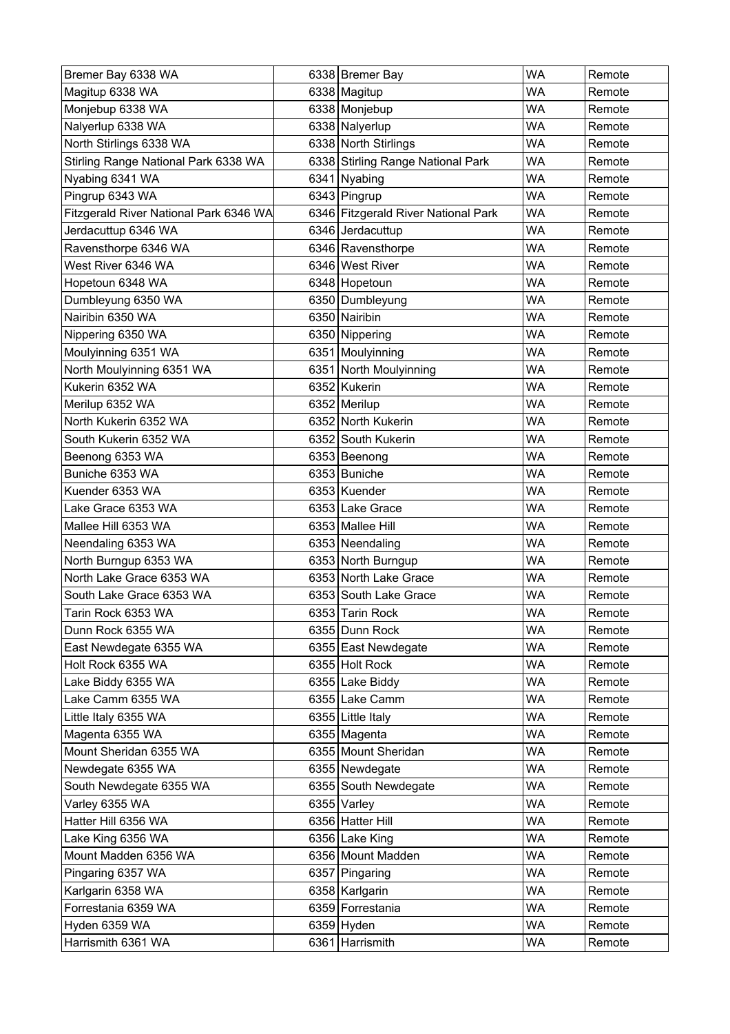| Bremer Bay 6338 WA                     | 6338 Bremer Bay                     | <b>WA</b> | Remote |
|----------------------------------------|-------------------------------------|-----------|--------|
| Magitup 6338 WA                        | 6338 Magitup                        | <b>WA</b> | Remote |
| Monjebup 6338 WA                       | 6338 Monjebup                       | WA        | Remote |
| Nalyerlup 6338 WA                      | 6338 Nalyerlup                      | <b>WA</b> | Remote |
| North Stirlings 6338 WA                | 6338 North Stirlings                | WA        | Remote |
| Stirling Range National Park 6338 WA   | 6338 Stirling Range National Park   | <b>WA</b> | Remote |
| Nyabing 6341 WA                        | 6341 Nyabing                        | <b>WA</b> | Remote |
| Pingrup 6343 WA                        | 6343 Pingrup                        | <b>WA</b> | Remote |
| Fitzgerald River National Park 6346 WA | 6346 Fitzgerald River National Park | <b>WA</b> | Remote |
| Jerdacuttup 6346 WA                    | 6346 Jerdacuttup                    | WA        | Remote |
| Ravensthorpe 6346 WA                   | 6346 Ravensthorpe                   | <b>WA</b> | Remote |
| West River 6346 WA                     | 6346 West River                     | <b>WA</b> | Remote |
| Hopetoun 6348 WA                       | 6348 Hopetoun                       | <b>WA</b> | Remote |
| Dumbleyung 6350 WA                     | 6350 Dumbleyung                     | <b>WA</b> | Remote |
| Nairibin 6350 WA                       | 6350 Nairibin                       | <b>WA</b> | Remote |
| Nippering 6350 WA                      | 6350 Nippering                      | <b>WA</b> | Remote |
| Moulyinning 6351 WA                    | 6351 Moulyinning                    | <b>WA</b> | Remote |
| North Moulyinning 6351 WA              | 6351 North Moulyinning              | <b>WA</b> | Remote |
| Kukerin 6352 WA                        | 6352 Kukerin                        | WA        | Remote |
| Merilup 6352 WA                        | 6352 Merilup                        | <b>WA</b> | Remote |
| North Kukerin 6352 WA                  | 6352 North Kukerin                  | WA        | Remote |
| South Kukerin 6352 WA                  | 6352 South Kukerin                  | <b>WA</b> | Remote |
| Beenong 6353 WA                        | 6353 Beenong                        | <b>WA</b> | Remote |
| Buniche 6353 WA                        | 6353 Buniche                        | WA        | Remote |
| Kuender 6353 WA                        | 6353 Kuender                        | <b>WA</b> | Remote |
| Lake Grace 6353 WA                     | 6353 Lake Grace                     | WA        | Remote |
| Mallee Hill 6353 WA                    | 6353 Mallee Hill                    | <b>WA</b> | Remote |
| Neendaling 6353 WA                     | 6353 Neendaling                     | <b>WA</b> | Remote |
| North Burngup 6353 WA                  | 6353 North Burngup                  | <b>WA</b> | Remote |
| North Lake Grace 6353 WA               | 6353 North Lake Grace               | <b>WA</b> | Remote |
| South Lake Grace 6353 WA               | 6353 South Lake Grace               | WA        | Remote |
| Tarin Rock 6353 WA                     | 6353 Tarin Rock                     | <b>WA</b> | Remote |
| Dunn Rock 6355 WA                      | 6355 Dunn Rock                      | WA        | Remote |
| East Newdegate 6355 WA                 | 6355 East Newdegate                 | <b>WA</b> | Remote |
| Holt Rock 6355 WA                      | 6355 Holt Rock                      | WA        | Remote |
| Lake Biddy 6355 WA                     | 6355 Lake Biddy                     | <b>WA</b> | Remote |
| Lake Camm 6355 WA                      | 6355 Lake Camm                      | <b>WA</b> | Remote |
| Little Italy 6355 WA                   | 6355 Little Italy                   | WA        | Remote |
| Magenta 6355 WA                        | 6355 Magenta                        | <b>WA</b> | Remote |
| Mount Sheridan 6355 WA                 | 6355 Mount Sheridan                 | WA        | Remote |
| Newdegate 6355 WA                      | 6355 Newdegate                      | <b>WA</b> | Remote |
| South Newdegate 6355 WA                | 6355 South Newdegate                | <b>WA</b> | Remote |
| Varley 6355 WA                         | 6355 Varley                         | <b>WA</b> | Remote |
| Hatter Hill 6356 WA                    | 6356 Hatter Hill                    | <b>WA</b> | Remote |
| Lake King 6356 WA                      | 6356 Lake King                      | <b>WA</b> | Remote |
| Mount Madden 6356 WA                   | 6356 Mount Madden                   | <b>WA</b> | Remote |
| Pingaring 6357 WA                      | 6357 Pingaring                      | WA        | Remote |
| Karlgarin 6358 WA                      | 6358 Karlgarin                      | <b>WA</b> | Remote |
| Forrestania 6359 WA                    | 6359 Forrestania                    | <b>WA</b> | Remote |
| Hyden 6359 WA                          | $6359$ Hyden                        | <b>WA</b> | Remote |
| Harrismith 6361 WA                     | 6361 Harrismith                     | WA        | Remote |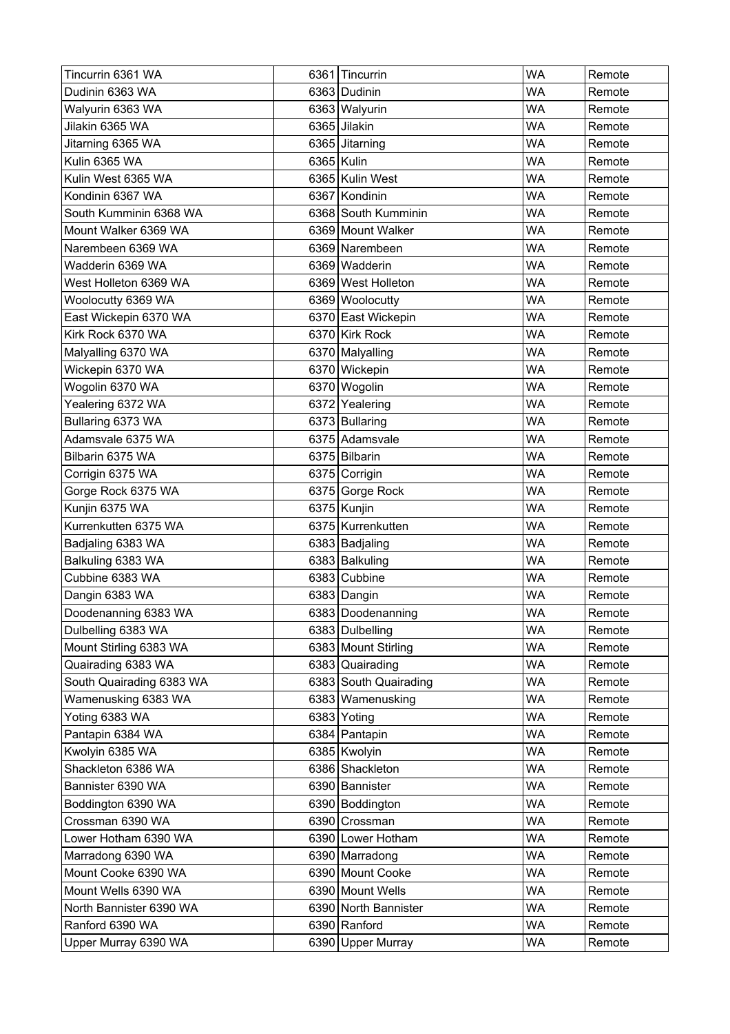| Tincurrin 6361 WA        | 6361 Tincurrin        | <b>WA</b> | Remote |
|--------------------------|-----------------------|-----------|--------|
| Dudinin 6363 WA          | 6363 Dudinin          | WA        | Remote |
| Walyurin 6363 WA         | 6363 Walyurin         | <b>WA</b> | Remote |
| Jilakin 6365 WA          | 6365 Jilakin          | <b>WA</b> | Remote |
| Jitarning 6365 WA        | 6365 Jitarning        | <b>WA</b> | Remote |
| Kulin 6365 WA            | 6365 Kulin            | <b>WA</b> | Remote |
| Kulin West 6365 WA       | 6365 Kulin West       | <b>WA</b> | Remote |
| Kondinin 6367 WA         | 6367 Kondinin         | <b>WA</b> | Remote |
| South Kumminin 6368 WA   | 6368 South Kumminin   | WA        | Remote |
| Mount Walker 6369 WA     | 6369 Mount Walker     | <b>WA</b> | Remote |
| Narembeen 6369 WA        | 6369 Narembeen        | <b>WA</b> | Remote |
| Wadderin 6369 WA         | 6369 Wadderin         | <b>WA</b> | Remote |
| West Holleton 6369 WA    | 6369 West Holleton    | <b>WA</b> | Remote |
| Woolocutty 6369 WA       | 6369 Woolocutty       | <b>WA</b> | Remote |
| East Wickepin 6370 WA    | 6370 East Wickepin    | <b>WA</b> | Remote |
| Kirk Rock 6370 WA        | 6370 Kirk Rock        | <b>WA</b> | Remote |
| Malyalling 6370 WA       | 6370 Malyalling       | <b>WA</b> | Remote |
| Wickepin 6370 WA         | 6370 Wickepin         | <b>WA</b> | Remote |
| Wogolin 6370 WA          | 6370 Wogolin          | <b>WA</b> | Remote |
| Yealering 6372 WA        | 6372 Yealering        | <b>WA</b> | Remote |
| Bullaring 6373 WA        | 6373 Bullaring        | <b>WA</b> | Remote |
| Adamsvale 6375 WA        | 6375 Adamsvale        | <b>WA</b> | Remote |
| Bilbarin 6375 WA         | 6375 Bilbarin         | <b>WA</b> | Remote |
| Corrigin 6375 WA         | 6375 Corrigin         | <b>WA</b> | Remote |
| Gorge Rock 6375 WA       | 6375 Gorge Rock       | <b>WA</b> | Remote |
| Kunjin 6375 WA           | 6375 Kunjin           | <b>WA</b> | Remote |
| Kurrenkutten 6375 WA     | 6375 Kurrenkutten     | <b>WA</b> | Remote |
| Badjaling 6383 WA        | 6383 Badjaling        | <b>WA</b> | Remote |
| Balkuling 6383 WA        | 6383 Balkuling        | <b>WA</b> | Remote |
| Cubbine 6383 WA          | 6383 Cubbine          | <b>WA</b> | Remote |
| Dangin 6383 WA           | 6383 Dangin           | <b>WA</b> | Remote |
| Doodenanning 6383 WA     | 6383 Doodenanning     | <b>WA</b> | Remote |
| Dulbelling 6383 WA       | 6383 Dulbelling       | <b>WA</b> | Remote |
| Mount Stirling 6383 WA   | 6383 Mount Stirling   | <b>WA</b> | Remote |
| Quairading 6383 WA       | 6383 Quairading       | WA        | Remote |
| South Quairading 6383 WA | 6383 South Quairading | <b>WA</b> | Remote |
| Wamenusking 6383 WA      | 6383 Wamenusking      | <b>WA</b> | Remote |
| Yoting 6383 WA           | 6383 Yoting           | WA        | Remote |
| Pantapin 6384 WA         | 6384 Pantapin         | <b>WA</b> | Remote |
| Kwolyin 6385 WA          | 6385 Kwolyin          | <b>WA</b> | Remote |
| Shackleton 6386 WA       | 6386 Shackleton       | <b>WA</b> | Remote |
| Bannister 6390 WA        | 6390 Bannister        | <b>WA</b> | Remote |
| Boddington 6390 WA       | 6390 Boddington       | <b>WA</b> | Remote |
| Crossman 6390 WA         | 6390 Crossman         | <b>WA</b> | Remote |
| Lower Hotham 6390 WA     | 6390 Lower Hotham     | <b>WA</b> | Remote |
| Marradong 6390 WA        | 6390   Marradong      | WA        | Remote |
| Mount Cooke 6390 WA      | 6390 Mount Cooke      | <b>WA</b> | Remote |
| Mount Wells 6390 WA      | 6390 Mount Wells      | <b>WA</b> | Remote |
| North Bannister 6390 WA  | 6390 North Bannister  | WA        | Remote |
| Ranford 6390 WA          | 6390 Ranford          | <b>WA</b> | Remote |
| Upper Murray 6390 WA     | 6390 Upper Murray     | <b>WA</b> | Remote |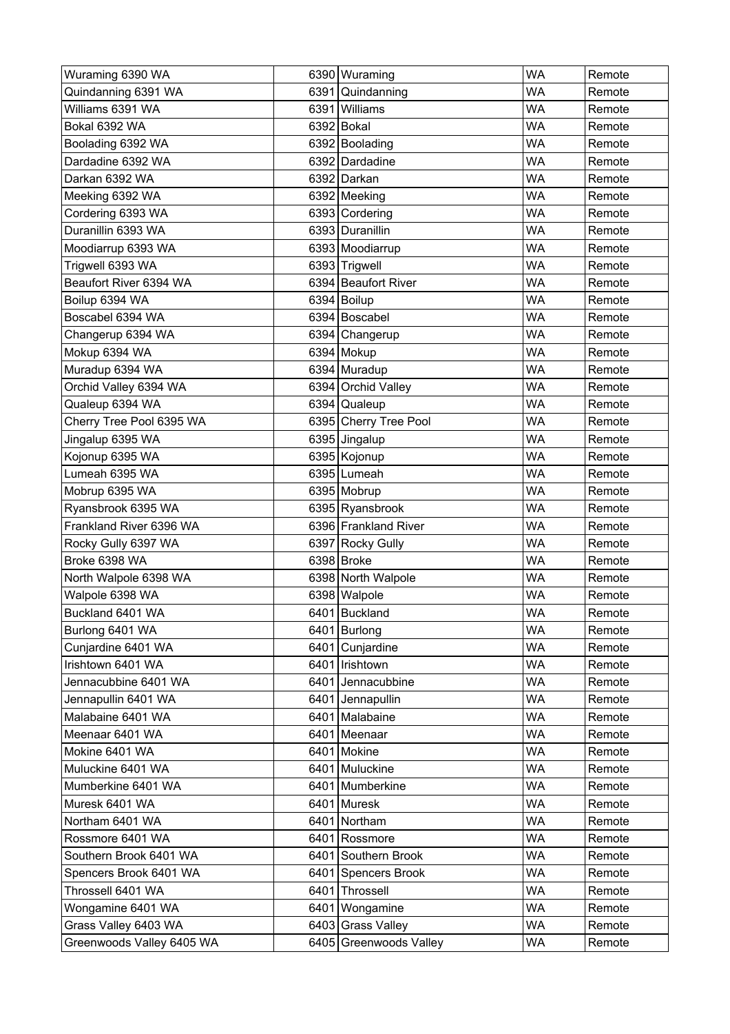| Wuraming 6390 WA          |      | 6390 Wuraming          | <b>WA</b> | Remote |
|---------------------------|------|------------------------|-----------|--------|
| Quindanning 6391 WA       |      | 6391 Quindanning       | WA        | Remote |
| Williams 6391 WA          |      | 6391 Williams          | WA        | Remote |
| Bokal 6392 WA             |      | 6392 Bokal             | WA        | Remote |
| Boolading 6392 WA         |      | 6392 Boolading         | <b>WA</b> | Remote |
| Dardadine 6392 WA         |      | 6392 Dardadine         | <b>WA</b> | Remote |
| Darkan 6392 WA            |      | 6392 Darkan            | WA        | Remote |
| Meeking 6392 WA           |      | 6392 Meeking           | <b>WA</b> | Remote |
| Cordering 6393 WA         |      | 6393 Cordering         | <b>WA</b> | Remote |
| Duranillin 6393 WA        |      | 6393 Duranillin        | WA        | Remote |
| Moodiarrup 6393 WA        |      | 6393 Moodiarrup        | <b>WA</b> | Remote |
| Trigwell 6393 WA          |      | 6393 Trigwell          | <b>WA</b> | Remote |
| Beaufort River 6394 WA    |      | 6394 Beaufort River    | <b>WA</b> | Remote |
| Boilup 6394 WA            |      | 6394 Boilup            | <b>WA</b> | Remote |
| Boscabel 6394 WA          |      | 6394 Boscabel          | <b>WA</b> | Remote |
| Changerup 6394 WA         |      | 6394 Changerup         | <b>WA</b> | Remote |
| Mokup 6394 WA             |      | 6394 Mokup             | <b>WA</b> | Remote |
| Muradup 6394 WA           |      | 6394 Muradup           | <b>WA</b> | Remote |
| Orchid Valley 6394 WA     |      | 6394 Orchid Valley     | <b>WA</b> | Remote |
| Qualeup 6394 WA           |      | 6394 Qualeup           | <b>WA</b> | Remote |
| Cherry Tree Pool 6395 WA  |      | 6395 Cherry Tree Pool  | <b>WA</b> | Remote |
| Jingalup 6395 WA          |      | 6395 Jingalup          | <b>WA</b> | Remote |
| Kojonup 6395 WA           |      | 6395 Kojonup           | <b>WA</b> | Remote |
| Lumeah 6395 WA            |      | 6395 Lumeah            | WA        | Remote |
| Mobrup 6395 WA            |      | 6395 Mobrup            | <b>WA</b> | Remote |
| Ryansbrook 6395 WA        |      | 6395 Ryansbrook        | <b>WA</b> | Remote |
| Frankland River 6396 WA   |      | 6396 Frankland River   | <b>WA</b> | Remote |
| Rocky Gully 6397 WA       |      | 6397 Rocky Gully       | <b>WA</b> | Remote |
| Broke 6398 WA             |      | 6398 Broke             | <b>WA</b> | Remote |
| North Walpole 6398 WA     |      | 6398 North Walpole     | <b>WA</b> | Remote |
| Walpole 6398 WA           |      | 6398 Walpole           | <b>WA</b> | Remote |
| Buckland 6401 WA          |      | 6401 Buckland          | WA        | Remote |
| Burlong 6401 WA           |      | 6401 Burlong           | <b>WA</b> | Remote |
| Cunjardine 6401 WA        |      | 6401 Cunjardine        | <b>WA</b> | Remote |
| Irishtown 6401 WA         |      | 6401   Irishtown       | WA        | Remote |
| Jennacubbine 6401 WA      |      | 6401 Jennacubbine      | <b>WA</b> | Remote |
| Jennapullin 6401 WA       |      | 6401 Jennapullin       | <b>WA</b> | Remote |
| Malabaine 6401 WA         |      | 6401 Malabaine         | <b>WA</b> | Remote |
| Meenaar 6401 WA           |      | 6401 Meenaar           | <b>WA</b> | Remote |
| Mokine 6401 WA            |      | 6401 Mokine            | <b>WA</b> | Remote |
| Muluckine 6401 WA         |      | 6401 Muluckine         | <b>WA</b> | Remote |
| Mumberkine 6401 WA        |      | 6401 Mumberkine        | <b>WA</b> | Remote |
| Muresk 6401 WA            |      | 6401 Muresk            | <b>WA</b> | Remote |
| Northam 6401 WA           |      | 6401 Northam           | <b>WA</b> | Remote |
| Rossmore 6401 WA          |      | 6401 Rossmore          | <b>WA</b> | Remote |
| Southern Brook 6401 WA    |      | 6401 Southern Brook    | WA        | Remote |
| Spencers Brook 6401 WA    |      | 6401 Spencers Brook    | <b>WA</b> | Remote |
| Throssell 6401 WA         | 6401 | Throssell              | <b>WA</b> | Remote |
| Wongamine 6401 WA         | 6401 | Wongamine              | WA        | Remote |
| Grass Valley 6403 WA      |      | 6403 Grass Valley      | <b>WA</b> | Remote |
| Greenwoods Valley 6405 WA |      | 6405 Greenwoods Valley | <b>WA</b> | Remote |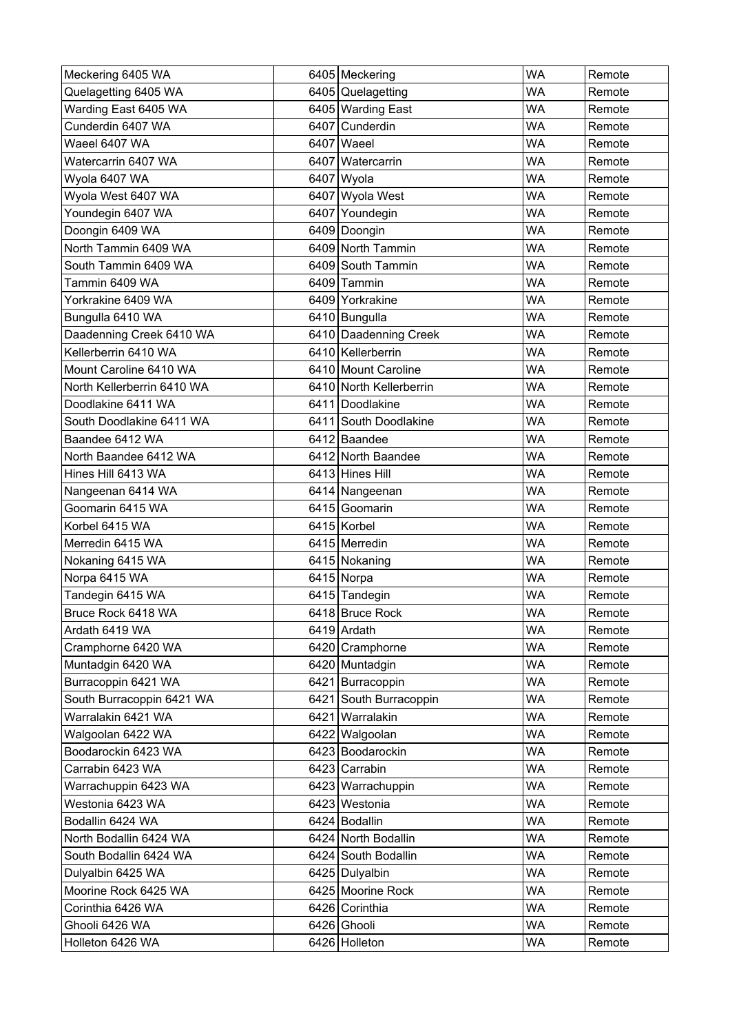| Meckering 6405 WA          | 6405 Meckering          | <b>WA</b> | Remote |
|----------------------------|-------------------------|-----------|--------|
| Quelagetting 6405 WA       | 6405 Quelagetting       | <b>WA</b> | Remote |
| Warding East 6405 WA       | 6405 Warding East       | <b>WA</b> | Remote |
| Cunderdin 6407 WA          | 6407 Cunderdin          | <b>WA</b> | Remote |
| Waeel 6407 WA              | 6407 Waeel              | <b>WA</b> | Remote |
| Watercarrin 6407 WA        | 6407   Watercarrin      | <b>WA</b> | Remote |
| Wyola 6407 WA              | 6407 Wyola              | <b>WA</b> | Remote |
| Wyola West 6407 WA         | 6407 Wyola West         | <b>WA</b> | Remote |
| Youndegin 6407 WA          | 6407 Youndegin          | WA        | Remote |
| Doongin 6409 WA            | 6409 Doongin            | <b>WA</b> | Remote |
| North Tammin 6409 WA       | 6409 North Tammin       | <b>WA</b> | Remote |
| South Tammin 6409 WA       | 6409 South Tammin       | <b>WA</b> | Remote |
| Tammin 6409 WA             | 6409 Tammin             | <b>WA</b> | Remote |
| Yorkrakine 6409 WA         | 6409 Yorkrakine         | <b>WA</b> | Remote |
| Bungulla 6410 WA           | 6410 Bungulla           | <b>WA</b> | Remote |
| Daadenning Creek 6410 WA   | 6410 Daadenning Creek   | <b>WA</b> | Remote |
| Kellerberrin 6410 WA       | 6410   Kellerberrin     | <b>WA</b> | Remote |
| Mount Caroline 6410 WA     | 6410 Mount Caroline     | <b>WA</b> | Remote |
| North Kellerberrin 6410 WA | 6410 North Kellerberrin | <b>WA</b> | Remote |
| Doodlakine 6411 WA         | 6411 Doodlakine         | <b>WA</b> | Remote |
| South Doodlakine 6411 WA   | 6411 South Doodlakine   | <b>WA</b> | Remote |
| Baandee 6412 WA            | 6412 Baandee            | <b>WA</b> | Remote |
| North Baandee 6412 WA      | 6412 North Baandee      | <b>WA</b> | Remote |
| Hines Hill 6413 WA         | 6413 Hines Hill         | WA        | Remote |
| Nangeenan 6414 WA          | 6414 Nangeenan          | <b>WA</b> | Remote |
| Goomarin 6415 WA           | 6415 Goomarin           | <b>WA</b> | Remote |
| Korbel 6415 WA             | 6415 Korbel             | <b>WA</b> | Remote |
| Merredin 6415 WA           | 6415 Merredin           | <b>WA</b> | Remote |
| Nokaning 6415 WA           | 6415 Nokaning           | <b>WA</b> | Remote |
| Norpa 6415 WA              | 6415 Norpa              | WA        | Remote |
| Tandegin 6415 WA           | 6415 Tandegin           | <b>WA</b> | Remote |
| Bruce Rock 6418 WA         | 6418 Bruce Rock         | <b>WA</b> | Remote |
| Ardath 6419 WA             | 6419 Ardath             | <b>WA</b> | Remote |
| Cramphorne 6420 WA         | 6420 Cramphorne         | <b>WA</b> | Remote |
| Muntadgin 6420 WA          | 6420 Muntadgin          | WA        | Remote |
| Burracoppin 6421 WA        | 6421 Burracoppin        | <b>WA</b> | Remote |
| South Burracoppin 6421 WA  | 6421 South Burracoppin  | <b>WA</b> | Remote |
| Warralakin 6421 WA         | 6421 Warralakin         | <b>WA</b> | Remote |
| Walgoolan 6422 WA          | 6422 Walgoolan          | <b>WA</b> | Remote |
| Boodarockin 6423 WA        | 6423 Boodarockin        | <b>WA</b> | Remote |
| Carrabin 6423 WA           | 6423 Carrabin           | <b>WA</b> | Remote |
| Warrachuppin 6423 WA       | 6423 Warrachuppin       | <b>WA</b> | Remote |
| Westonia 6423 WA           | 6423 Westonia           | <b>WA</b> | Remote |
| Bodallin 6424 WA           | 6424 Bodallin           | <b>WA</b> | Remote |
| North Bodallin 6424 WA     | 6424 North Bodallin     | <b>WA</b> | Remote |
| South Bodallin 6424 WA     | 6424 South Bodallin     | <b>WA</b> | Remote |
| Dulyalbin 6425 WA          | 6425 Dulyalbin          | <b>WA</b> | Remote |
| Moorine Rock 6425 WA       | 6425 Moorine Rock       | <b>WA</b> | Remote |
| Corinthia 6426 WA          | 6426 Corinthia          | WA        | Remote |
| Ghooli 6426 WA             | 6426 Ghooli             | <b>WA</b> | Remote |
| Holleton 6426 WA           | 6426 Holleton           | WA        | Remote |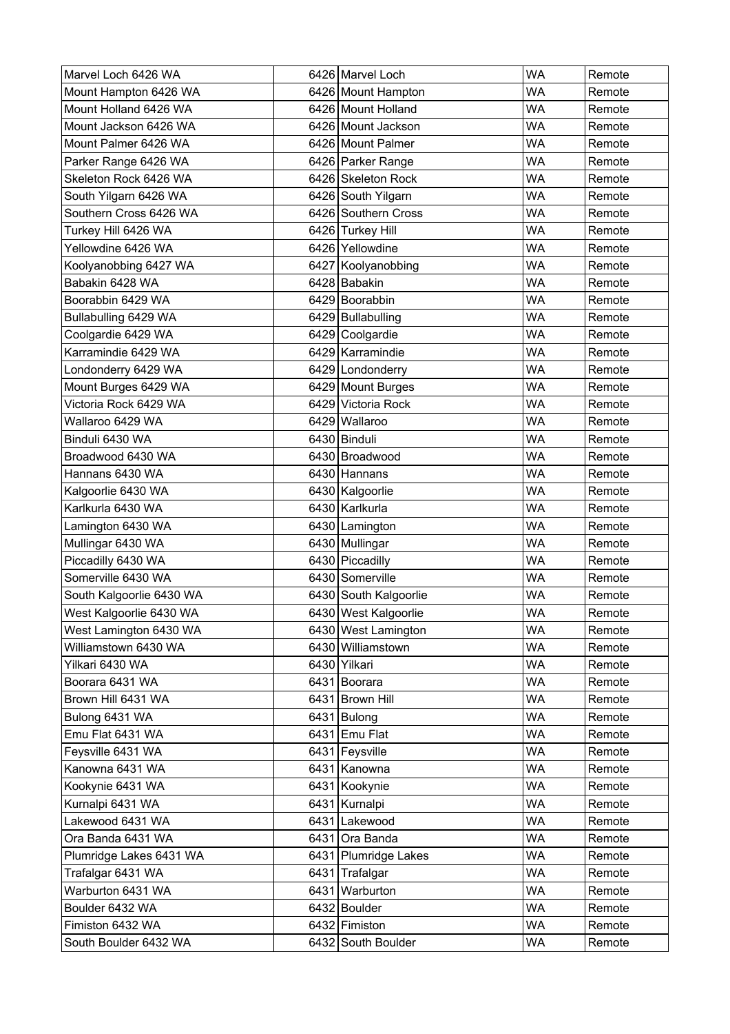| Marvel Loch 6426 WA      | 6426 Marvel Loch      | <b>WA</b> | Remote |
|--------------------------|-----------------------|-----------|--------|
| Mount Hampton 6426 WA    | 6426 Mount Hampton    | <b>WA</b> | Remote |
| Mount Holland 6426 WA    | 6426 Mount Holland    | <b>WA</b> | Remote |
| Mount Jackson 6426 WA    | 6426 Mount Jackson    | <b>WA</b> | Remote |
| Mount Palmer 6426 WA     | 6426 Mount Palmer     | <b>WA</b> | Remote |
| Parker Range 6426 WA     | 6426 Parker Range     | <b>WA</b> | Remote |
| Skeleton Rock 6426 WA    | 6426 Skeleton Rock    | WA        | Remote |
| South Yilgarn 6426 WA    | 6426 South Yilgarn    | <b>WA</b> | Remote |
| Southern Cross 6426 WA   | 6426 Southern Cross   | <b>WA</b> | Remote |
| Turkey Hill 6426 WA      | 6426 Turkey Hill      | <b>WA</b> | Remote |
| Yellowdine 6426 WA       | 6426 Yellowdine       | <b>WA</b> | Remote |
| Koolyanobbing 6427 WA    | 6427 Koolyanobbing    | <b>WA</b> | Remote |
| Babakin 6428 WA          | 6428 Babakin          | <b>WA</b> | Remote |
| Boorabbin 6429 WA        | 6429 Boorabbin        | <b>WA</b> | Remote |
| Bullabulling 6429 WA     | 6429 Bullabulling     | <b>WA</b> | Remote |
| Coolgardie 6429 WA       | 6429 Coolgardie       | <b>WA</b> | Remote |
| Karramindie 6429 WA      | 6429 Karramindie      | <b>WA</b> | Remote |
| Londonderry 6429 WA      | 6429 Londonderry      | <b>WA</b> | Remote |
| Mount Burges 6429 WA     | 6429 Mount Burges     | <b>WA</b> | Remote |
| Victoria Rock 6429 WA    | 6429 Victoria Rock    | <b>WA</b> | Remote |
| Wallaroo 6429 WA         | 6429 Wallaroo         | <b>WA</b> | Remote |
| Binduli 6430 WA          | 6430 Binduli          | <b>WA</b> | Remote |
| Broadwood 6430 WA        | 6430 Broadwood        | <b>WA</b> | Remote |
| Hannans 6430 WA          | 6430 Hannans          | <b>WA</b> | Remote |
| Kalgoorlie 6430 WA       | 6430   Kalgoorlie     | <b>WA</b> | Remote |
| Karlkurla 6430 WA        | 6430 Karlkurla        | <b>WA</b> | Remote |
| Lamington 6430 WA        | 6430 Lamington        | <b>WA</b> | Remote |
| Mullingar 6430 WA        | 6430 Mullingar        | <b>WA</b> | Remote |
| Piccadilly 6430 WA       | 6430 Piccadilly       | <b>WA</b> | Remote |
| Somerville 6430 WA       | 6430 Somerville       | <b>WA</b> | Remote |
| South Kalgoorlie 6430 WA | 6430 South Kalgoorlie | <b>WA</b> | Remote |
| West Kalgoorlie 6430 WA  | 6430 West Kalgoorlie  | <b>WA</b> | Remote |
| West Lamington 6430 WA   | 6430 West Lamington   | <b>WA</b> | Remote |
| Williamstown 6430 WA     | 6430 Williamstown     | WA        | Remote |
| Yilkari 6430 WA          | 6430 Yilkari          | WA        | Remote |
| Boorara 6431 WA          | 6431 Boorara          | <b>WA</b> | Remote |
| Brown Hill 6431 WA       | 6431 Brown Hill       | <b>WA</b> | Remote |
| Bulong 6431 WA           | 6431 Bulong           | WA        | Remote |
| Emu Flat 6431 WA         | 6431 Emu Flat         | <b>WA</b> | Remote |
| Feysville 6431 WA        | 6431 Feysville        | <b>WA</b> | Remote |
| Kanowna 6431 WA          | 6431 Kanowna          | WA        | Remote |
| Kookynie 6431 WA         | 6431 Kookynie         | <b>WA</b> | Remote |
| Kurnalpi 6431 WA         | 6431 Kurnalpi         | WA        | Remote |
| Lakewood 6431 WA         | 6431 Lakewood         | <b>WA</b> | Remote |
| Ora Banda 6431 WA        | 6431 Ora Banda        | WA        | Remote |
| Plumridge Lakes 6431 WA  | 6431 Plumridge Lakes  | WA        | Remote |
| Trafalgar 6431 WA        | 6431 Trafalgar        | <b>WA</b> | Remote |
| Warburton 6431 WA        | 6431 Warburton        | <b>WA</b> | Remote |
| Boulder 6432 WA          | 6432 Boulder          | WA        | Remote |
| Fimiston 6432 WA         | 6432 Fimiston         | <b>WA</b> | Remote |
| South Boulder 6432 WA    | 6432 South Boulder    | WA        | Remote |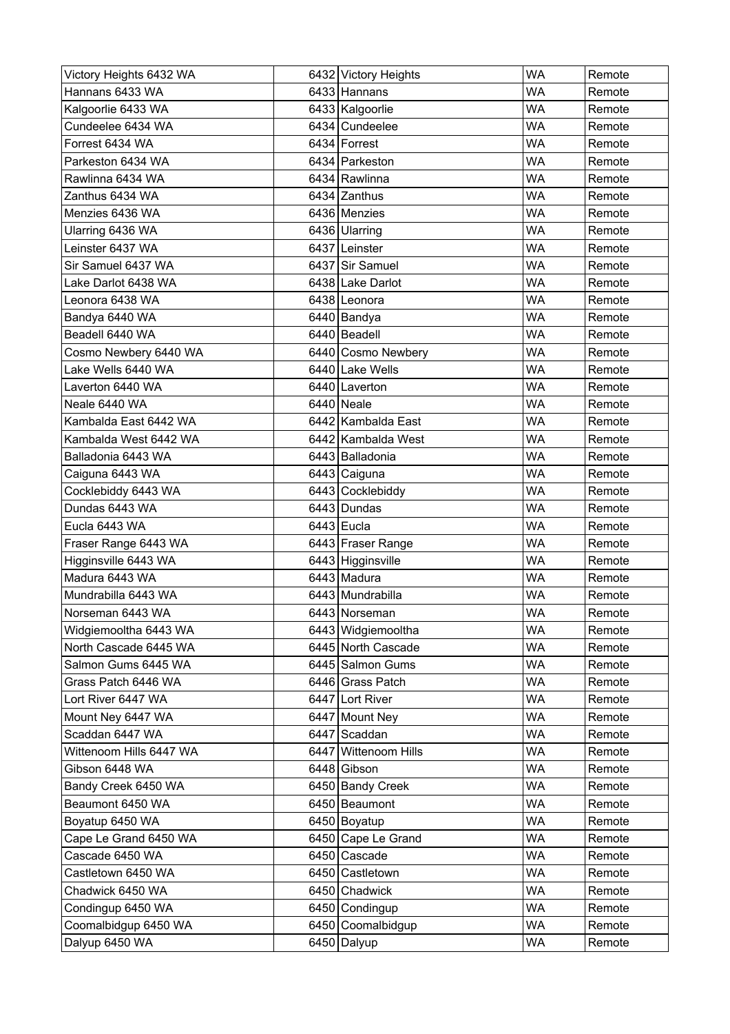| Victory Heights 6432 WA | 6432 Victory Heights | <b>WA</b> | Remote |
|-------------------------|----------------------|-----------|--------|
| Hannans 6433 WA         | 6433 Hannans         | <b>WA</b> | Remote |
| Kalgoorlie 6433 WA      | 6433 Kalgoorlie      | <b>WA</b> | Remote |
| Cundeelee 6434 WA       | 6434 Cundeelee       | WA        | Remote |
| Forrest 6434 WA         | 6434 Forrest         | <b>WA</b> | Remote |
| Parkeston 6434 WA       | 6434 Parkeston       | <b>WA</b> | Remote |
| Rawlinna 6434 WA        | 6434 Rawlinna        | WA        | Remote |
| Zanthus 6434 WA         | 6434 Zanthus         | <b>WA</b> | Remote |
| Menzies 6436 WA         | 6436 Menzies         | <b>WA</b> | Remote |
| Ularring 6436 WA        | 6436 Ularring        | WA        | Remote |
| Leinster 6437 WA        | 6437 Leinster        | <b>WA</b> | Remote |
| Sir Samuel 6437 WA      | 6437 Sir Samuel      | <b>WA</b> | Remote |
| Lake Darlot 6438 WA     | 6438 Lake Darlot     | <b>WA</b> | Remote |
| Leonora 6438 WA         | 6438 Leonora         | <b>WA</b> | Remote |
| Bandya 6440 WA          | 6440 Bandya          | <b>WA</b> | Remote |
| Beadell 6440 WA         | 6440 Beadell         | WA        | Remote |
| Cosmo Newbery 6440 WA   | 6440 Cosmo Newbery   | <b>WA</b> | Remote |
| Lake Wells 6440 WA      | 6440 Lake Wells      | <b>WA</b> | Remote |
| Laverton 6440 WA        | 6440 Laverton        | <b>WA</b> | Remote |
| Neale 6440 WA           | 6440 Neale           | <b>WA</b> | Remote |
| Kambalda East 6442 WA   | 6442 Kambalda East   | WA        | Remote |
| Kambalda West 6442 WA   | 6442 Kambalda West   | <b>WA</b> | Remote |
| Balladonia 6443 WA      | 6443 Balladonia      | <b>WA</b> | Remote |
| Caiguna 6443 WA         | 6443 Caiguna         | WA        | Remote |
| Cocklebiddy 6443 WA     | 6443 Cocklebiddy     | <b>WA</b> | Remote |
| Dundas 6443 WA          | 6443 Dundas          | <b>WA</b> | Remote |
| Eucla 6443 WA           | $6443$ Eucla         | <b>WA</b> | Remote |
| Fraser Range 6443 WA    | 6443 Fraser Range    | <b>WA</b> | Remote |
| Higginsville 6443 WA    | 6443 Higginsville    | <b>WA</b> | Remote |
| Madura 6443 WA          | 6443 Madura          | WA        | Remote |
| Mundrabilla 6443 WA     | 6443 Mundrabilla     | <b>WA</b> | Remote |
| Norseman 6443 WA        | 6443 Norseman        | <b>WA</b> | Remote |
| Widgiemooltha 6443 WA   | 6443 Widgiemooltha   | <b>WA</b> | Remote |
| North Cascade 6445 WA   | 6445 North Cascade   | <b>WA</b> | Remote |
| Salmon Gums 6445 WA     | 6445 Salmon Gums     | WA        | Remote |
| Grass Patch 6446 WA     | 6446 Grass Patch     | <b>WA</b> | Remote |
| Lort River 6447 WA      | 6447 Lort River      | <b>WA</b> | Remote |
| Mount Ney 6447 WA       | 6447 Mount Ney       | <b>WA</b> | Remote |
| Scaddan 6447 WA         | 6447 Scaddan         | <b>WA</b> | Remote |
| Wittenoom Hills 6447 WA | 6447 Wittenoom Hills | <b>WA</b> | Remote |
| Gibson 6448 WA          | 6448 Gibson          | <b>WA</b> | Remote |
| Bandy Creek 6450 WA     | 6450 Bandy Creek     | <b>WA</b> | Remote |
| Beaumont 6450 WA        | 6450 Beaumont        | WA        | Remote |
| Boyatup 6450 WA         | 6450 Boyatup         | <b>WA</b> | Remote |
| Cape Le Grand 6450 WA   | 6450 Cape Le Grand   | <b>WA</b> | Remote |
| Cascade 6450 WA         | 6450 Cascade         | <b>WA</b> | Remote |
| Castletown 6450 WA      | 6450 Castletown      | <b>WA</b> | Remote |
| Chadwick 6450 WA        | 6450 Chadwick        | <b>WA</b> | Remote |
| Condingup 6450 WA       | 6450 Condingup       | <b>WA</b> | Remote |
| Coomalbidgup 6450 WA    | 6450 Coomalbidgup    | <b>WA</b> | Remote |
| Dalyup 6450 WA          | 6450 Dalyup          | WA        | Remote |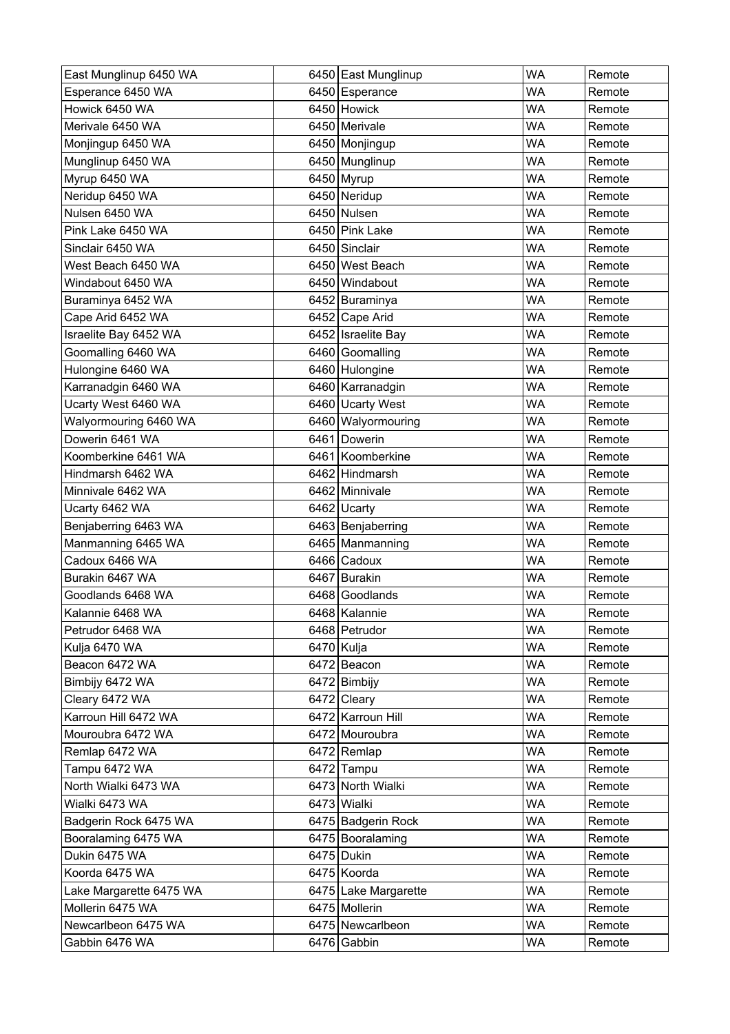| East Munglinup 6450 WA  | 6450 East Munglinup  | <b>WA</b> | Remote |
|-------------------------|----------------------|-----------|--------|
| Esperance 6450 WA       | 6450 Esperance       | <b>WA</b> | Remote |
| Howick 6450 WA          | 6450 Howick          | <b>WA</b> | Remote |
| Merivale 6450 WA        | 6450 Merivale        | <b>WA</b> | Remote |
| Monjingup 6450 WA       | 6450 Monjingup       | <b>WA</b> | Remote |
| Munglinup 6450 WA       | 6450 Munglinup       | <b>WA</b> | Remote |
| Myrup 6450 WA           | 6450 Myrup           | <b>WA</b> | Remote |
| Neridup 6450 WA         | 6450 Neridup         | WA        | Remote |
| Nulsen 6450 WA          | 6450 Nulsen          | <b>WA</b> | Remote |
| Pink Lake 6450 WA       | 6450 Pink Lake       | WA        | Remote |
| Sinclair 6450 WA        | 6450 Sinclair        | <b>WA</b> | Remote |
| West Beach 6450 WA      | 6450 West Beach      | <b>WA</b> | Remote |
| Windabout 6450 WA       | 6450 Windabout       | WA        | Remote |
| Buraminya 6452 WA       | 6452 Buraminya       | <b>WA</b> | Remote |
| Cape Arid 6452 WA       | 6452 Cape Arid       | WA        | Remote |
| Israelite Bay 6452 WA   | 6452 Israelite Bay   | <b>WA</b> | Remote |
| Goomalling 6460 WA      | 6460 Goomalling      | <b>WA</b> | Remote |
| Hulongine 6460 WA       | 6460 Hulongine       | <b>WA</b> | Remote |
| Karranadgin 6460 WA     | 6460 Karranadgin     | <b>WA</b> | Remote |
| Ucarty West 6460 WA     | 6460 Ucarty West     | WA        | Remote |
| Walyormouring 6460 WA   | 6460 Walyormouring   | <b>WA</b> | Remote |
| Dowerin 6461 WA         | 6461 Dowerin         | WA        | Remote |
| Koomberkine 6461 WA     | 6461 Koomberkine     | <b>WA</b> | Remote |
| Hindmarsh 6462 WA       | 6462 Hindmarsh       | WA        | Remote |
| Minnivale 6462 WA       | 6462 Minnivale       | <b>WA</b> | Remote |
| Ucarty 6462 WA          | 6462 Ucarty          | <b>WA</b> | Remote |
| Benjaberring 6463 WA    | 6463 Benjaberring    | WA        | Remote |
| Manmanning 6465 WA      | 6465 Manmanning      | <b>WA</b> | Remote |
| Cadoux 6466 WA          | 6466 Cadoux          | <b>WA</b> | Remote |
| Burakin 6467 WA         | 6467 Burakin         | <b>WA</b> | Remote |
| Goodlands 6468 WA       | 6468 Goodlands       | <b>WA</b> | Remote |
| Kalannie 6468 WA        | 6468 Kalannie        | <b>WA</b> | Remote |
| Petrudor 6468 WA        | 6468 Petrudor        | <b>WA</b> | Remote |
| Kulja 6470 WA           | 6470 Kulja           | <b>WA</b> | Remote |
| Beacon 6472 WA          | 6472 Beacon          | <b>WA</b> | Remote |
| Bimbijy 6472 WA         | 6472 Bimbijy         | WA        | Remote |
| Cleary 6472 WA          | 6472 Cleary          | <b>WA</b> | Remote |
| Karroun Hill 6472 WA    | 6472 Karroun Hill    | <b>WA</b> | Remote |
| Mouroubra 6472 WA       | 6472 Mouroubra       | <b>WA</b> | Remote |
| Remlap 6472 WA          | 6472 Remlap          | <b>WA</b> | Remote |
| Tampu 6472 WA           | 6472 Tampu           | <b>WA</b> | Remote |
| North Wialki 6473 WA    | 6473 North Wialki    | <b>WA</b> | Remote |
| Wialki 6473 WA          | 6473 Wialki          | <b>WA</b> | Remote |
| Badgerin Rock 6475 WA   | 6475 Badgerin Rock   | <b>WA</b> | Remote |
| Booralaming 6475 WA     | 6475 Booralaming     | <b>WA</b> | Remote |
| Dukin 6475 WA           | 6475 Dukin           | <b>WA</b> | Remote |
| Koorda 6475 WA          | 6475 Koorda          | <b>WA</b> | Remote |
| Lake Margarette 6475 WA | 6475 Lake Margarette | <b>WA</b> | Remote |
| Mollerin 6475 WA        | 6475 Mollerin        | <b>WA</b> | Remote |
| Newcarlbeon 6475 WA     | 6475 Newcarlbeon     | <b>WA</b> | Remote |
| Gabbin 6476 WA          | 6476 Gabbin          | WA        | Remote |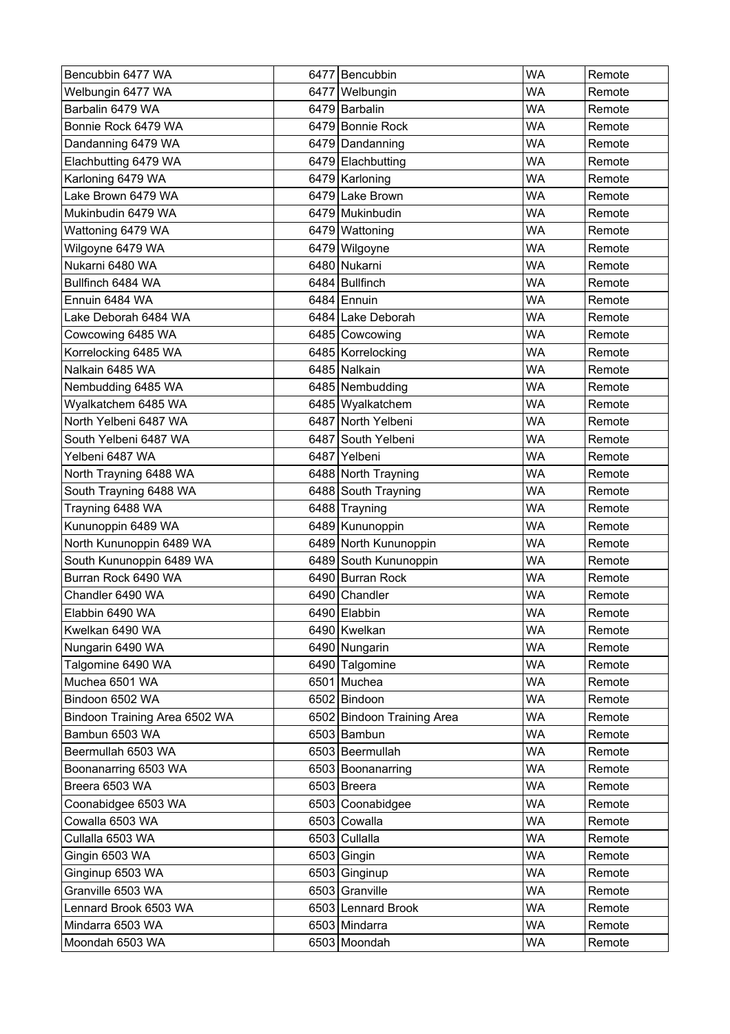| Bencubbin 6477 WA             | 6477 Bencubbin             | <b>WA</b> | Remote |
|-------------------------------|----------------------------|-----------|--------|
| Welbungin 6477 WA             | 6477 Welbungin             | <b>WA</b> | Remote |
| Barbalin 6479 WA              | 6479 Barbalin              | <b>WA</b> | Remote |
| Bonnie Rock 6479 WA           | 6479 Bonnie Rock           | <b>WA</b> | Remote |
| Dandanning 6479 WA            | 6479 Dandanning            | <b>WA</b> | Remote |
| Elachbutting 6479 WA          | 6479 Elachbutting          | <b>WA</b> | Remote |
| Karloning 6479 WA             | 6479 Karloning             | WA        | Remote |
| Lake Brown 6479 WA            | 6479 Lake Brown            | <b>WA</b> | Remote |
| Mukinbudin 6479 WA            | 6479 Mukinbudin            | WA        | Remote |
| Wattoning 6479 WA             | 6479 Wattoning             | <b>WA</b> | Remote |
| Wilgoyne 6479 WA              | 6479 Wilgoyne              | <b>WA</b> | Remote |
| Nukarni 6480 WA               | 6480 Nukarni               | <b>WA</b> | Remote |
| Bullfinch 6484 WA             | 6484 Bullfinch             | <b>WA</b> | Remote |
| Ennuin 6484 WA                | 6484 Ennuin                | <b>WA</b> | Remote |
| Lake Deborah 6484 WA          | 6484 Lake Deborah          | <b>WA</b> | Remote |
| Cowcowing 6485 WA             | 6485 Cowcowing             | <b>WA</b> | Remote |
| Korrelocking 6485 WA          | 6485 Korrelocking          | <b>WA</b> | Remote |
| Nalkain 6485 WA               | 6485 Nalkain               | <b>WA</b> | Remote |
| Nembudding 6485 WA            | 6485 Nembudding            | <b>WA</b> | Remote |
| Wyalkatchem 6485 WA           | 6485 Wyalkatchem           | <b>WA</b> | Remote |
| North Yelbeni 6487 WA         | 6487 North Yelbeni         | <b>WA</b> | Remote |
| South Yelbeni 6487 WA         | 6487 South Yelbeni         | <b>WA</b> | Remote |
| Yelbeni 6487 WA               | 6487 Yelbeni               | <b>WA</b> | Remote |
| North Trayning 6488 WA        | 6488 North Trayning        | <b>WA</b> | Remote |
| South Trayning 6488 WA        | 6488 South Trayning        | <b>WA</b> | Remote |
| Trayning 6488 WA              | 6488 Trayning              | <b>WA</b> | Remote |
| Kununoppin 6489 WA            | 6489 Kununoppin            | <b>WA</b> | Remote |
| North Kununoppin 6489 WA      | 6489 North Kununoppin      | <b>WA</b> | Remote |
| South Kununoppin 6489 WA      | 6489 South Kununoppin      | <b>WA</b> | Remote |
| Burran Rock 6490 WA           | 6490 Burran Rock           | <b>WA</b> | Remote |
| Chandler 6490 WA              | 6490 Chandler              | <b>WA</b> | Remote |
| Elabbin 6490 WA               | 6490 Elabbin               | <b>WA</b> | Remote |
| Kwelkan 6490 WA               | 6490 Kwelkan               | <b>WA</b> | Remote |
| Nungarin 6490 WA              | 6490 Nungarin              | <b>WA</b> | Remote |
| Talgomine 6490 WA             | 6490 Talgomine             | WA        | Remote |
| Muchea 6501 WA                | 6501 Muchea                | <b>WA</b> | Remote |
| Bindoon 6502 WA               | 6502 Bindoon               | <b>WA</b> | Remote |
| Bindoon Training Area 6502 WA | 6502 Bindoon Training Area | <b>WA</b> | Remote |
| Bambun 6503 WA                | 6503 Bambun                | <b>WA</b> | Remote |
| Beermullah 6503 WA            | 6503 Beermullah            | <b>WA</b> | Remote |
| Boonanarring 6503 WA          | 6503 Boonanarring          | <b>WA</b> | Remote |
| Breera 6503 WA                | 6503 Breera                | <b>WA</b> | Remote |
| Coonabidgee 6503 WA           | 6503 Coonabidgee           | <b>WA</b> | Remote |
| Cowalla 6503 WA               | 6503 Cowalla               | <b>WA</b> | Remote |
| Cullalla 6503 WA              | 6503 Cullalla              | <b>WA</b> | Remote |
| Gingin 6503 WA                | 6503 Gingin                | <b>WA</b> | Remote |
| Ginginup 6503 WA              | 6503 Ginginup              | <b>WA</b> | Remote |
| Granville 6503 WA             | 6503 Granville             | <b>WA</b> | Remote |
| Lennard Brook 6503 WA         | 6503 Lennard Brook         | WA        | Remote |
| Mindarra 6503 WA              | 6503 Mindarra              | <b>WA</b> | Remote |
| Moondah 6503 WA               | 6503 Moondah               | WA        | Remote |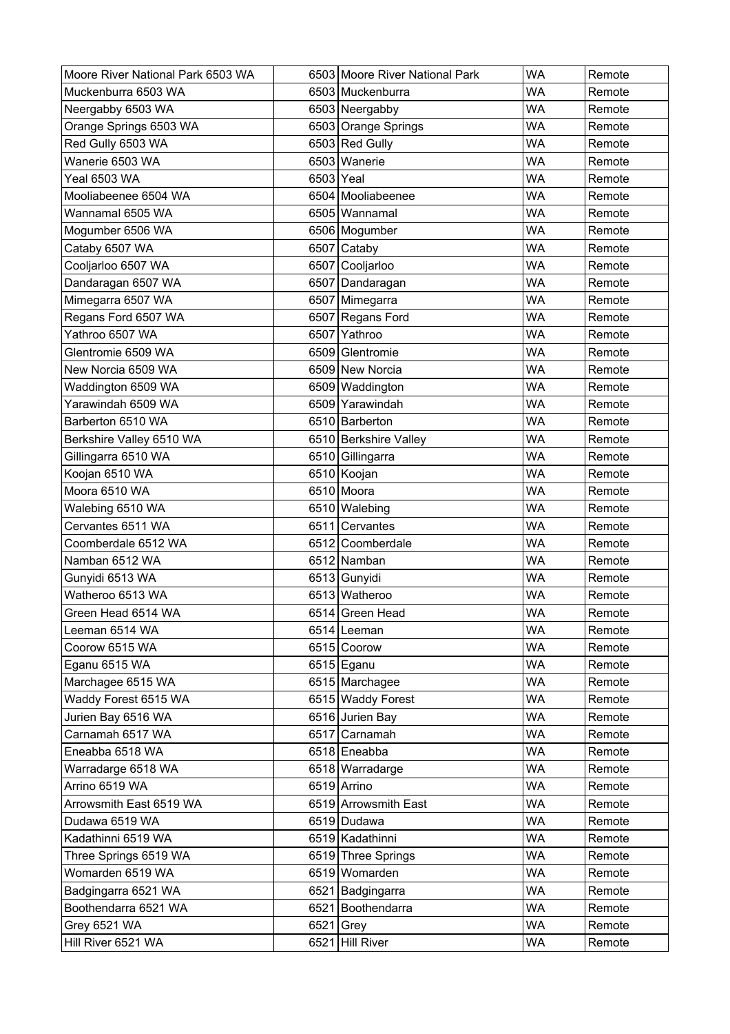| Moore River National Park 6503 WA |           | 6503 Moore River National Park | <b>WA</b> | Remote |
|-----------------------------------|-----------|--------------------------------|-----------|--------|
| Muckenburra 6503 WA               |           | 6503 Muckenburra               | <b>WA</b> | Remote |
| Neergabby 6503 WA                 |           | 6503 Neergabby                 | <b>WA</b> | Remote |
| Orange Springs 6503 WA            |           | 6503 Orange Springs            | <b>WA</b> | Remote |
| Red Gully 6503 WA                 |           | 6503 Red Gully                 | WA        | Remote |
| Wanerie 6503 WA                   |           | 6503 Wanerie                   | <b>WA</b> | Remote |
| <b>Yeal 6503 WA</b>               | 6503 Yeal |                                | <b>WA</b> | Remote |
| Mooliabeenee 6504 WA              |           | 6504 Mooliabeenee              | <b>WA</b> | Remote |
| Wannamal 6505 WA                  |           | 6505 Wannamal                  | <b>WA</b> | Remote |
| Mogumber 6506 WA                  |           | 6506   Mogumber                | <b>WA</b> | Remote |
| Cataby 6507 WA                    |           | 6507 Cataby                    | <b>WA</b> | Remote |
| Cooljarloo 6507 WA                |           | 6507 Cooljarloo                | <b>WA</b> | Remote |
| Dandaragan 6507 WA                |           | 6507 Dandaragan                | <b>WA</b> | Remote |
| Mimegarra 6507 WA                 |           | 6507 Mimegarra                 | <b>WA</b> | Remote |
| Regans Ford 6507 WA               |           | 6507 Regans Ford               | <b>WA</b> | Remote |
| Yathroo 6507 WA                   |           | 6507 Yathroo                   | <b>WA</b> | Remote |
| Glentromie 6509 WA                |           | 6509 Glentromie                | <b>WA</b> | Remote |
| New Norcia 6509 WA                |           | 6509 New Norcia                | <b>WA</b> | Remote |
| Waddington 6509 WA                |           | 6509 Waddington                | WA        | Remote |
| Yarawindah 6509 WA                |           | 6509 Yarawindah                | <b>WA</b> | Remote |
| Barberton 6510 WA                 |           | 6510 Barberton                 | <b>WA</b> | Remote |
| Berkshire Valley 6510 WA          |           | 6510 Berkshire Valley          | <b>WA</b> | Remote |
| Gillingarra 6510 WA               |           | 6510 Gillingarra               | <b>WA</b> | Remote |
| Koojan 6510 WA                    |           | 6510 Koojan                    | <b>WA</b> | Remote |
| Moora 6510 WA                     |           | 6510 Moora                     | <b>WA</b> | Remote |
| Walebing 6510 WA                  |           | 6510 Walebing                  | <b>WA</b> | Remote |
| Cervantes 6511 WA                 | 6511      | Cervantes                      | <b>WA</b> | Remote |
| Coomberdale 6512 WA               |           | 6512 Coomberdale               | <b>WA</b> | Remote |
| Namban 6512 WA                    |           | 6512 Namban                    | <b>WA</b> | Remote |
| Gunyidi 6513 WA                   |           | 6513 Gunyidi                   | <b>WA</b> | Remote |
| Watheroo 6513 WA                  |           | 6513 Watheroo                  | <b>WA</b> | Remote |
| Green Head 6514 WA                |           | 6514 Green Head                | <b>WA</b> | Remote |
| Leeman 6514 WA                    |           | 6514 Leeman                    | <b>WA</b> | Remote |
| Coorow 6515 WA                    |           | 6515 Coorow                    | <b>WA</b> | Remote |
| Eganu 6515 WA                     |           | 6515 Eganu                     | <b>WA</b> | Remote |
| Marchagee 6515 WA                 |           | 6515 Marchagee                 | <b>WA</b> | Remote |
| Waddy Forest 6515 WA              |           | 6515 Waddy Forest              | <b>WA</b> | Remote |
| Jurien Bay 6516 WA                |           | 6516 Jurien Bay                | <b>WA</b> | Remote |
| Carnamah 6517 WA                  |           | 6517 Carnamah                  | <b>WA</b> | Remote |
| Eneabba 6518 WA                   |           | 6518 Eneabba                   | <b>WA</b> | Remote |
| Warradarge 6518 WA                |           | 6518 Warradarge                | <b>WA</b> | Remote |
| Arrino 6519 WA                    |           | 6519 Arrino                    | <b>WA</b> | Remote |
| Arrowsmith East 6519 WA           |           | 6519 Arrowsmith East           | <b>WA</b> | Remote |
| Dudawa 6519 WA                    |           | 6519 Dudawa                    | <b>WA</b> | Remote |
| Kadathinni 6519 WA                |           | 6519 Kadathinni                | <b>WA</b> | Remote |
| Three Springs 6519 WA             |           | 6519 Three Springs             | <b>WA</b> | Remote |
| Womarden 6519 WA                  |           | 6519 Womarden                  | <b>WA</b> | Remote |
| Badgingarra 6521 WA               |           | 6521 Badgingarra               | <b>WA</b> | Remote |
| Boothendarra 6521 WA              |           | 6521 Boothendarra              | <b>WA</b> | Remote |
| <b>Grey 6521 WA</b>               |           | 6521 Grey                      | <b>WA</b> | Remote |
| Hill River 6521 WA                |           | 6521 Hill River                | WA        | Remote |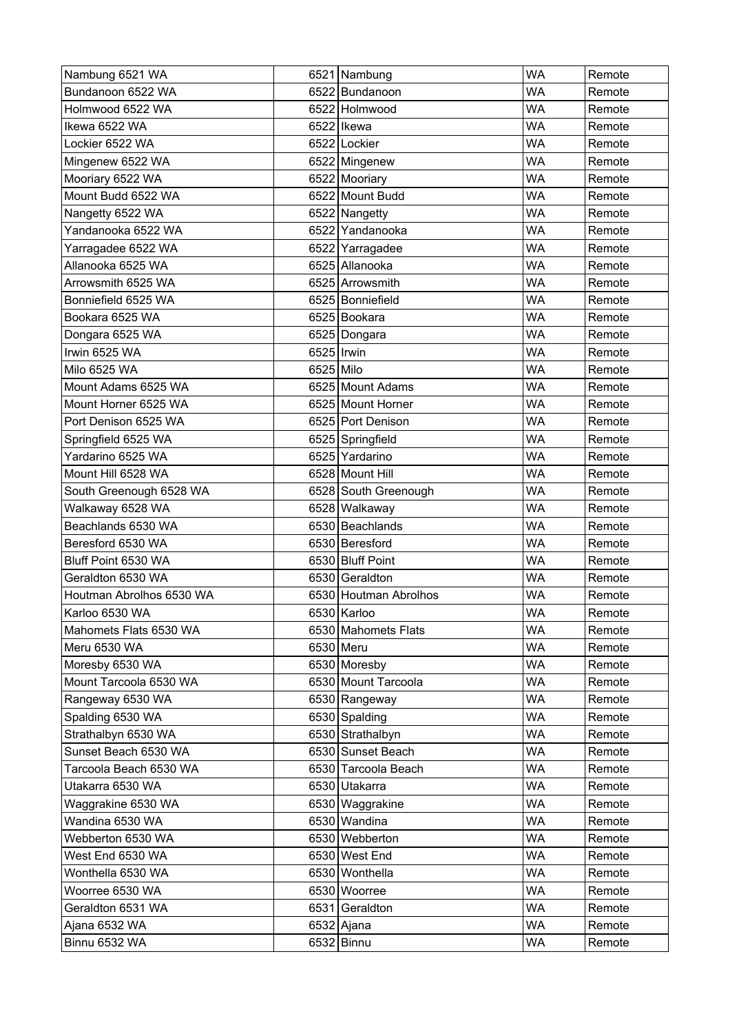| Nambung 6521 WA          |            | 6521 Nambung          | <b>WA</b> | Remote |
|--------------------------|------------|-----------------------|-----------|--------|
| Bundanoon 6522 WA        |            | 6522 Bundanoon        | <b>WA</b> | Remote |
| Holmwood 6522 WA         |            | 6522 Holmwood         | <b>WA</b> | Remote |
| Ikewa 6522 WA            |            | 6522   Ikewa          | <b>WA</b> | Remote |
| Lockier 6522 WA          |            | 6522 Lockier          | <b>WA</b> | Remote |
| Mingenew 6522 WA         |            | 6522 Mingenew         | <b>WA</b> | Remote |
| Mooriary 6522 WA         |            | 6522 Mooriary         | <b>WA</b> | Remote |
| Mount Budd 6522 WA       |            | 6522 Mount Budd       | <b>WA</b> | Remote |
| Nangetty 6522 WA         |            | 6522 Nangetty         | WA        | Remote |
| Yandanooka 6522 WA       |            | 6522 Yandanooka       | <b>WA</b> | Remote |
| Yarragadee 6522 WA       |            | 6522 Yarragadee       | <b>WA</b> | Remote |
| Allanooka 6525 WA        |            | 6525 Allanooka        | <b>WA</b> | Remote |
| Arrowsmith 6525 WA       |            | 6525 Arrowsmith       | <b>WA</b> | Remote |
| Bonniefield 6525 WA      |            | 6525 Bonniefield      | <b>WA</b> | Remote |
| Bookara 6525 WA          |            | 6525 Bookara          | <b>WA</b> | Remote |
| Dongara 6525 WA          |            | 6525 Dongara          | <b>WA</b> | Remote |
| Irwin 6525 WA            | 6525 Irwin |                       | <b>WA</b> | Remote |
| Milo 6525 WA             | 6525 Milo  |                       | <b>WA</b> | Remote |
| Mount Adams 6525 WA      |            | 6525 Mount Adams      | <b>WA</b> | Remote |
| Mount Horner 6525 WA     |            | 6525 Mount Horner     | <b>WA</b> | Remote |
| Port Denison 6525 WA     |            | 6525 Port Denison     | <b>WA</b> | Remote |
| Springfield 6525 WA      |            | 6525 Springfield      | <b>WA</b> | Remote |
| Yardarino 6525 WA        |            | 6525 Yardarino        | <b>WA</b> | Remote |
| Mount Hill 6528 WA       |            | 6528 Mount Hill       | <b>WA</b> | Remote |
| South Greenough 6528 WA  |            | 6528 South Greenough  | <b>WA</b> | Remote |
| Walkaway 6528 WA         |            | 6528 Walkaway         | <b>WA</b> | Remote |
| Beachlands 6530 WA       |            | 6530 Beachlands       | <b>WA</b> | Remote |
| Beresford 6530 WA        |            | 6530 Beresford        | <b>WA</b> | Remote |
| Bluff Point 6530 WA      |            | 6530 Bluff Point      | <b>WA</b> | Remote |
| Geraldton 6530 WA        |            | 6530 Geraldton        | <b>WA</b> | Remote |
| Houtman Abrolhos 6530 WA |            | 6530 Houtman Abrolhos | <b>WA</b> | Remote |
| Karloo 6530 WA           |            | 6530 Karloo           | <b>WA</b> | Remote |
| Mahomets Flats 6530 WA   |            | 6530 Mahomets Flats   | <b>WA</b> | Remote |
| Meru 6530 WA             |            | 6530 Meru             | <b>WA</b> | Remote |
| Moresby 6530 WA          |            | 6530 Moresby          | WA        | Remote |
| Mount Tarcoola 6530 WA   |            | 6530 Mount Tarcoola   | <b>WA</b> | Remote |
| Rangeway 6530 WA         |            | 6530 Rangeway         | <b>WA</b> | Remote |
| Spalding 6530 WA         |            | 6530 Spalding         | <b>WA</b> | Remote |
| Strathalbyn 6530 WA      |            | 6530 Strathalbyn      | <b>WA</b> | Remote |
| Sunset Beach 6530 WA     |            | 6530 Sunset Beach     | <b>WA</b> | Remote |
| Tarcoola Beach 6530 WA   |            | 6530 Tarcoola Beach   | <b>WA</b> | Remote |
| Utakarra 6530 WA         |            | 6530 Utakarra         | <b>WA</b> | Remote |
| Waggrakine 6530 WA       |            | 6530 Waggrakine       | <b>WA</b> | Remote |
| Wandina 6530 WA          |            | 6530 Wandina          | <b>WA</b> | Remote |
| Webberton 6530 WA        |            | 6530 Webberton        | <b>WA</b> | Remote |
| West End 6530 WA         |            | 6530 West End         | WA        | Remote |
| Wonthella 6530 WA        |            | 6530 Wonthella        | <b>WA</b> | Remote |
| Woorree 6530 WA          |            | 6530 Woorree          | <b>WA</b> | Remote |
| Geraldton 6531 WA        |            | 6531 Geraldton        | WA        | Remote |
| Ajana 6532 WA            |            | 6532 Ajana            | <b>WA</b> | Remote |
| Binnu 6532 WA            |            | 6532 Binnu            | WA        | Remote |
|                          |            |                       |           |        |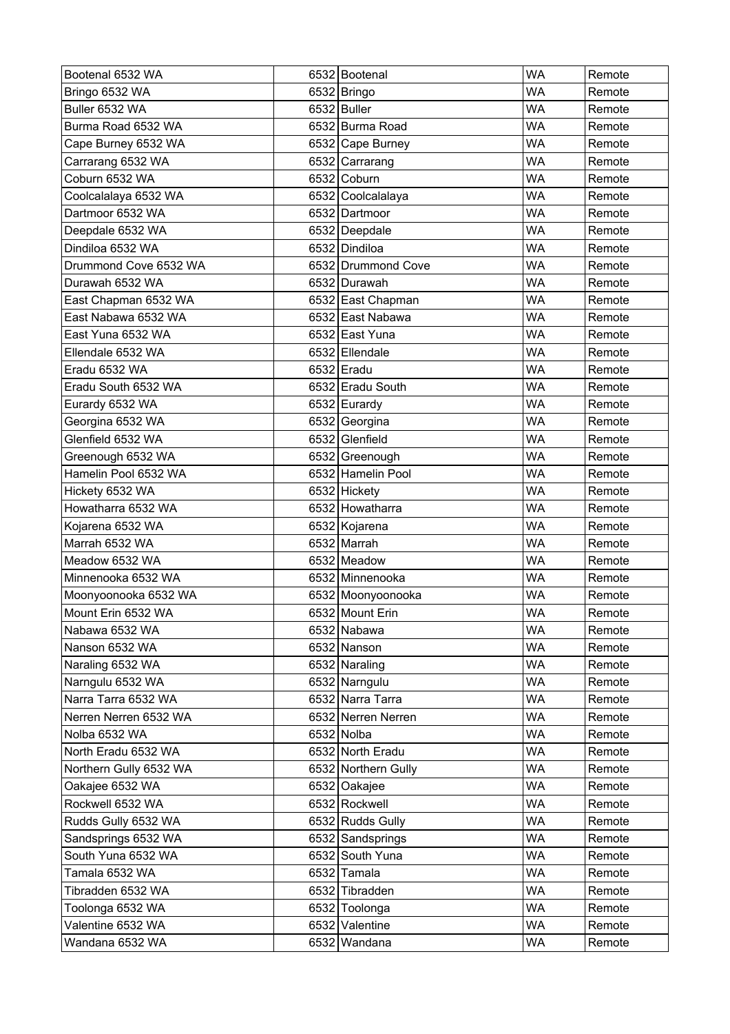| Bootenal 6532 WA       | 6532 Bootenal       | <b>WA</b> | Remote |
|------------------------|---------------------|-----------|--------|
| Bringo 6532 WA         | 6532 Bringo         | <b>WA</b> | Remote |
| Buller 6532 WA         | 6532 Buller         | <b>WA</b> | Remote |
| Burma Road 6532 WA     | 6532 Burma Road     | <b>WA</b> | Remote |
| Cape Burney 6532 WA    | 6532 Cape Burney    | WA        | Remote |
| Carrarang 6532 WA      | 6532 Carrarang      | <b>WA</b> | Remote |
| Coburn 6532 WA         | 6532 Coburn         | <b>WA</b> | Remote |
| Coolcalalaya 6532 WA   | 6532 Coolcalalaya   | <b>WA</b> | Remote |
| Dartmoor 6532 WA       | 6532 Dartmoor       | <b>WA</b> | Remote |
| Deepdale 6532 WA       | 6532 Deepdale       | <b>WA</b> | Remote |
| Dindiloa 6532 WA       | 6532 Dindiloa       | <b>WA</b> | Remote |
| Drummond Cove 6532 WA  | 6532 Drummond Cove  | <b>WA</b> | Remote |
| Durawah 6532 WA        | 6532 Durawah        | <b>WA</b> | Remote |
| East Chapman 6532 WA   | 6532 East Chapman   | <b>WA</b> | Remote |
| East Nabawa 6532 WA    | 6532 East Nabawa    | <b>WA</b> | Remote |
| East Yuna 6532 WA      | 6532 East Yuna      | <b>WA</b> | Remote |
| Ellendale 6532 WA      | 6532 Ellendale      | <b>WA</b> | Remote |
| Eradu 6532 WA          | 6532 Eradu          | <b>WA</b> | Remote |
| Eradu South 6532 WA    | 6532 Eradu South    | <b>WA</b> | Remote |
| Eurardy 6532 WA        | 6532 Eurardy        | <b>WA</b> | Remote |
| Georgina 6532 WA       | 6532 Georgina       | <b>WA</b> | Remote |
| Glenfield 6532 WA      | 6532 Glenfield      | <b>WA</b> | Remote |
| Greenough 6532 WA      | 6532 Greenough      | <b>WA</b> | Remote |
| Hamelin Pool 6532 WA   | 6532 Hamelin Pool   | <b>WA</b> | Remote |
| Hickety 6532 WA        | 6532 Hickety        | <b>WA</b> | Remote |
| Howatharra 6532 WA     | 6532 Howatharra     | WA        | Remote |
| Kojarena 6532 WA       | 6532 Kojarena       | <b>WA</b> | Remote |
| Marrah 6532 WA         | 6532 Marrah         | <b>WA</b> | Remote |
| Meadow 6532 WA         | 6532 Meadow         | <b>WA</b> | Remote |
| Minnenooka 6532 WA     | 6532 Minnenooka     | <b>WA</b> | Remote |
| Moonyoonooka 6532 WA   | 6532 Moonyoonooka   | <b>WA</b> | Remote |
| Mount Erin 6532 WA     | 6532 Mount Erin     | <b>WA</b> | Remote |
| Nabawa 6532 WA         | 6532 Nabawa         | <b>WA</b> | Remote |
| Nanson 6532 WA         | 6532 Nanson         | <b>WA</b> | Remote |
| Naraling 6532 WA       | 6532 Naraling       | WA        | Remote |
| Narngulu 6532 WA       | 6532 Narngulu       | <b>WA</b> | Remote |
| Narra Tarra 6532 WA    | 6532 Narra Tarra    | <b>WA</b> | Remote |
| Nerren Nerren 6532 WA  | 6532 Nerren Nerren  | <b>WA</b> | Remote |
| Nolba 6532 WA          | 6532 Nolba          | <b>WA</b> | Remote |
| North Eradu 6532 WA    | 6532 North Eradu    | <b>WA</b> | Remote |
| Northern Gully 6532 WA | 6532 Northern Gully | <b>WA</b> | Remote |
| Oakajee 6532 WA        | 6532 Oakajee        | <b>WA</b> | Remote |
| Rockwell 6532 WA       | 6532 Rockwell       | <b>WA</b> | Remote |
| Rudds Gully 6532 WA    | 6532 Rudds Gully    | <b>WA</b> | Remote |
| Sandsprings 6532 WA    | 6532 Sandsprings    | <b>WA</b> | Remote |
| South Yuna 6532 WA     | 6532 South Yuna     | <b>WA</b> | Remote |
| Tamala 6532 WA         | 6532 Tamala         | <b>WA</b> | Remote |
| Tibradden 6532 WA      | 6532 Tibradden      | <b>WA</b> | Remote |
| Toolonga 6532 WA       | 6532 Toolonga       | <b>WA</b> | Remote |
| Valentine 6532 WA      | 6532 Valentine      | <b>WA</b> | Remote |
| Wandana 6532 WA        | 6532 Wandana        | WA        | Remote |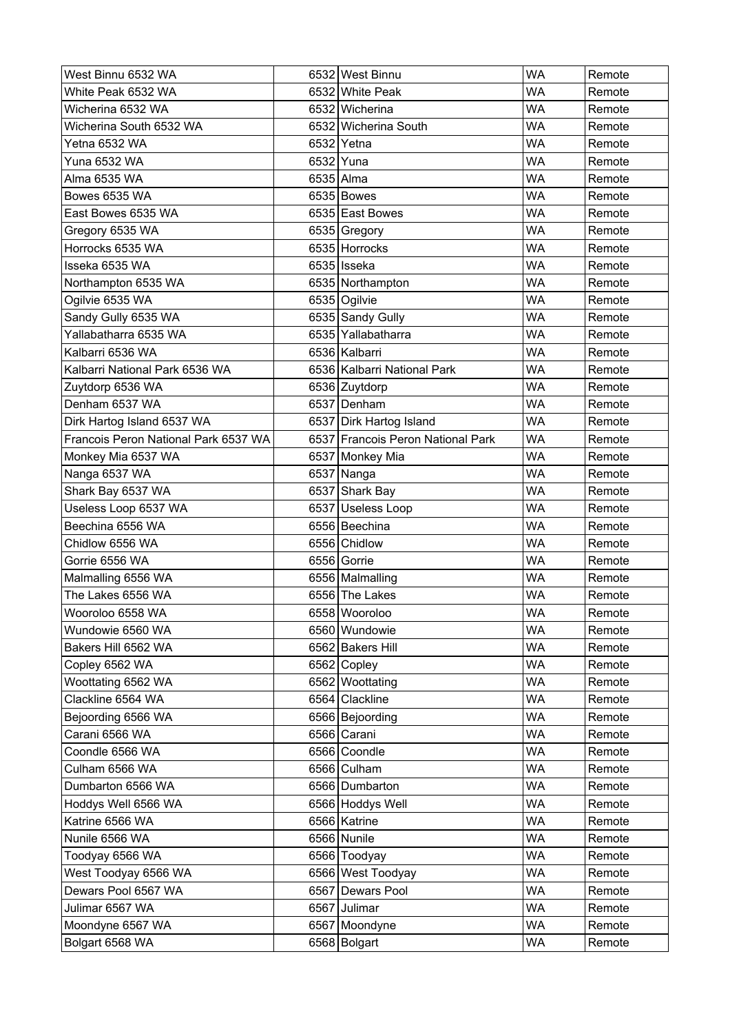| West Binnu 6532 WA                   | 6532 West Binnu                   | <b>WA</b> | Remote |
|--------------------------------------|-----------------------------------|-----------|--------|
| White Peak 6532 WA                   | 6532 White Peak                   | <b>WA</b> | Remote |
| Wicherina 6532 WA                    | 6532 Wicherina                    | <b>WA</b> | Remote |
| Wicherina South 6532 WA              | 6532 Wicherina South              | <b>WA</b> | Remote |
| Yetna 6532 WA                        | 6532 Yetna                        | <b>WA</b> | Remote |
| Yuna 6532 WA                         | 6532 Yuna                         | <b>WA</b> | Remote |
| Alma 6535 WA                         | 6535 Alma                         | <b>WA</b> | Remote |
| Bowes 6535 WA                        | 6535 Bowes                        | WA        | Remote |
| East Bowes 6535 WA                   | 6535 East Bowes                   | <b>WA</b> | Remote |
| Gregory 6535 WA                      | 6535 Gregory                      | WA        | Remote |
| Horrocks 6535 WA                     | 6535 Horrocks                     | <b>WA</b> | Remote |
| Isseka 6535 WA                       | 6535 Isseka                       | <b>WA</b> | Remote |
| Northampton 6535 WA                  | 6535 Northampton                  | WA        | Remote |
| Ogilvie 6535 WA                      | 6535 Ogilvie                      | <b>WA</b> | Remote |
| Sandy Gully 6535 WA                  | 6535 Sandy Gully                  | WA        | Remote |
| Yallabatharra 6535 WA                | 6535 Yallabatharra                | <b>WA</b> | Remote |
| Kalbarri 6536 WA                     | 6536 Kalbarri                     | <b>WA</b> | Remote |
| Kalbarri National Park 6536 WA       | 6536 Kalbarri National Park       | <b>WA</b> | Remote |
| Zuytdorp 6536 WA                     | 6536 Zuytdorp                     | <b>WA</b> | Remote |
| Denham 6537 WA                       | 6537 Denham                       | <b>WA</b> | Remote |
| Dirk Hartog Island 6537 WA           | 6537 Dirk Hartog Island           | <b>WA</b> | Remote |
| Francois Peron National Park 6537 WA | 6537 Francois Peron National Park | <b>WA</b> | Remote |
| Monkey Mia 6537 WA                   | 6537 Monkey Mia                   | <b>WA</b> | Remote |
| Nanga 6537 WA                        | 6537 Nanga                        | <b>WA</b> | Remote |
| Shark Bay 6537 WA                    | 6537 Shark Bay                    | <b>WA</b> | Remote |
| Useless Loop 6537 WA                 | 6537 Useless Loop                 | <b>WA</b> | Remote |
| Beechina 6556 WA                     | 6556 Beechina                     | WA        | Remote |
| Chidlow 6556 WA                      | 6556 Chidlow                      | <b>WA</b> | Remote |
| Gorrie 6556 WA                       | 6556 Gorrie                       | WA        | Remote |
| Malmalling 6556 WA                   | 6556   Malmalling                 | <b>WA</b> | Remote |
| The Lakes 6556 WA                    | 6556 The Lakes                    | <b>WA</b> | Remote |
| Wooroloo 6558 WA                     | 6558 Wooroloo                     | <b>WA</b> | Remote |
| Wundowie 6560 WA                     | 6560 Wundowie                     | <b>WA</b> | Remote |
| Bakers Hill 6562 WA                  | 6562 Bakers Hill                  | <b>WA</b> | Remote |
| Copley 6562 WA                       | 6562 Copley                       | <b>WA</b> | Remote |
| Woottating 6562 WA                   | 6562 Woottating                   | <b>WA</b> | Remote |
| Clackline 6564 WA                    | 6564 Clackline                    | <b>WA</b> | Remote |
| Bejoording 6566 WA                   | 6566 Bejoording                   | <b>WA</b> | Remote |
| Carani 6566 WA                       | 6566 Carani                       | <b>WA</b> | Remote |
| Coondle 6566 WA                      | 6566 Coondle                      | <b>WA</b> | Remote |
| Culham 6566 WA                       | 6566 Culham                       | <b>WA</b> | Remote |
| Dumbarton 6566 WA                    | 6566 Dumbarton                    | <b>WA</b> | Remote |
| Hoddys Well 6566 WA                  | 6566 Hoddys Well                  | <b>WA</b> | Remote |
| Katrine 6566 WA                      | 6566 Katrine                      | <b>WA</b> | Remote |
| Nunile 6566 WA                       | 6566 Nunile                       | <b>WA</b> | Remote |
| Toodyay 6566 WA                      | 6566 Toodyay                      | <b>WA</b> | Remote |
| West Toodyay 6566 WA                 | 6566 West Toodyay                 | <b>WA</b> | Remote |
| Dewars Pool 6567 WA                  | 6567 Dewars Pool                  | <b>WA</b> | Remote |
| Julimar 6567 WA                      | 6567 Julimar                      | <b>WA</b> | Remote |
| Moondyne 6567 WA                     | 6567 Moondyne                     | <b>WA</b> | Remote |
| Bolgart 6568 WA                      | 6568 Bolgart                      | WA        | Remote |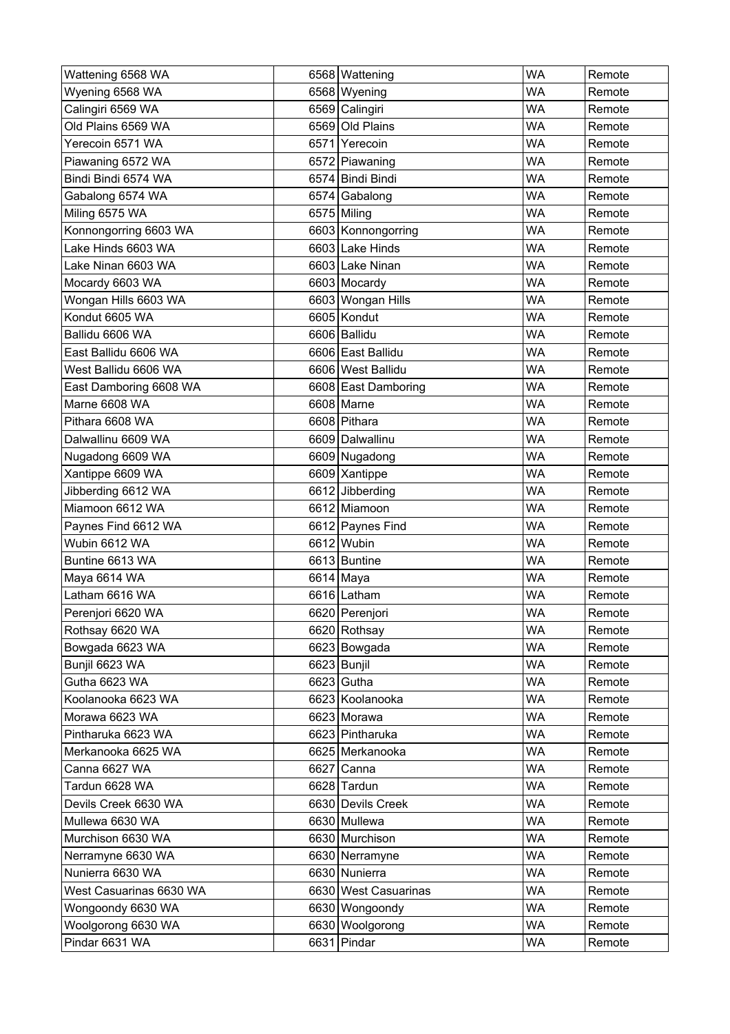| Wattening 6568 WA       | 6568 Wattening       | <b>WA</b> | Remote |
|-------------------------|----------------------|-----------|--------|
| Wyening 6568 WA         | 6568 Wyening         | <b>WA</b> | Remote |
| Calingiri 6569 WA       | 6569 Calingiri       | <b>WA</b> | Remote |
| Old Plains 6569 WA      | 6569 Old Plains      | <b>WA</b> | Remote |
| Yerecoin 6571 WA        | 6571 Yerecoin        | WA        | Remote |
| Piawaning 6572 WA       | 6572 Piawaning       | <b>WA</b> | Remote |
| Bindi Bindi 6574 WA     | 6574 Bindi Bindi     | <b>WA</b> | Remote |
| Gabalong 6574 WA        | 6574 Gabalong        | <b>WA</b> | Remote |
| Miling 6575 WA          | 6575 Miling          | <b>WA</b> | Remote |
| Konnongorring 6603 WA   | 6603 Konnongorring   | <b>WA</b> | Remote |
| Lake Hinds 6603 WA      | 6603 Lake Hinds      | <b>WA</b> | Remote |
| Lake Ninan 6603 WA      | 6603 Lake Ninan      | <b>WA</b> | Remote |
| Mocardy 6603 WA         | 6603 Mocardy         | <b>WA</b> | Remote |
| Wongan Hills 6603 WA    | 6603 Wongan Hills    | <b>WA</b> | Remote |
| Kondut 6605 WA          | 6605 Kondut          | <b>WA</b> | Remote |
| Ballidu 6606 WA         | 6606 Ballidu         | <b>WA</b> | Remote |
| East Ballidu 6606 WA    | 6606 East Ballidu    | <b>WA</b> | Remote |
| West Ballidu 6606 WA    | 6606 West Ballidu    | <b>WA</b> | Remote |
| East Damboring 6608 WA  | 6608 East Damboring  | WA        | Remote |
| Marne 6608 WA           | 6608 Marne           | <b>WA</b> | Remote |
| Pithara 6608 WA         | 6608 Pithara         | <b>WA</b> | Remote |
| Dalwallinu 6609 WA      | 6609 Dalwallinu      | <b>WA</b> | Remote |
| Nugadong 6609 WA        | 6609 Nugadong        | <b>WA</b> | Remote |
| Xantippe 6609 WA        | 6609 Xantippe        | <b>WA</b> | Remote |
| Jibberding 6612 WA      | 6612 Jibberding      | <b>WA</b> | Remote |
| Miamoon 6612 WA         | 6612 Miamoon         | WA        | Remote |
| Paynes Find 6612 WA     | 6612 Paynes Find     | <b>WA</b> | Remote |
| Wubin 6612 WA           | 6612 Wubin           | <b>WA</b> | Remote |
| Buntine 6613 WA         | 6613 Buntine         | <b>WA</b> | Remote |
| Maya 6614 WA            | 6614 Maya            | <b>WA</b> | Remote |
| Latham 6616 WA          | 6616 Latham          | <b>WA</b> | Remote |
| Perenjori 6620 WA       | 6620 Perenjori       | <b>WA</b> | Remote |
| Rothsay 6620 WA         | 6620 Rothsay         | <b>WA</b> | Remote |
| Bowgada 6623 WA         | 6623 Bowgada         | <b>WA</b> | Remote |
| Bunjil 6623 WA          | 6623 Bunjil          | <b>WA</b> | Remote |
| Gutha 6623 WA           | 6623 Gutha           | <b>WA</b> | Remote |
| Koolanooka 6623 WA      | 6623 Koolanooka      | <b>WA</b> | Remote |
| Morawa 6623 WA          | 6623 Morawa          | <b>WA</b> | Remote |
| Pintharuka 6623 WA      | 6623 Pintharuka      | <b>WA</b> | Remote |
| Merkanooka 6625 WA      | 6625 Merkanooka      | <b>WA</b> | Remote |
| Canna 6627 WA           | 6627 Canna           | <b>WA</b> | Remote |
| Tardun 6628 WA          | 6628 Tardun          | <b>WA</b> | Remote |
| Devils Creek 6630 WA    | 6630 Devils Creek    | <b>WA</b> | Remote |
| Mullewa 6630 WA         | 6630 Mullewa         | <b>WA</b> | Remote |
| Murchison 6630 WA       | 6630 Murchison       | <b>WA</b> | Remote |
| Nerramyne 6630 WA       | 6630 Nerramyne       | <b>WA</b> | Remote |
| Nunierra 6630 WA        | 6630 Nunierra        | <b>WA</b> | Remote |
| West Casuarinas 6630 WA | 6630 West Casuarinas | <b>WA</b> | Remote |
| Wongoondy 6630 WA       | 6630 Wongoondy       | <b>WA</b> | Remote |
| Woolgorong 6630 WA      | 6630 Woolgorong      | <b>WA</b> | Remote |
| Pindar 6631 WA          | 6631 Pindar          | WA        | Remote |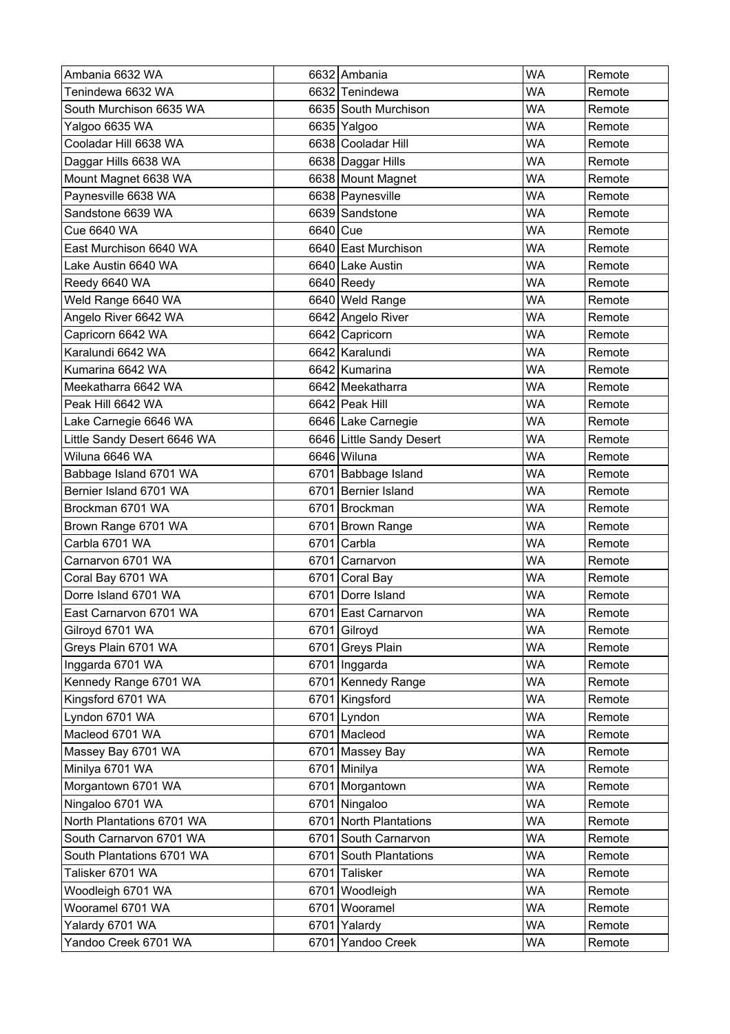| Ambania 6632 WA             |          | 6632 Ambania             | <b>WA</b> | Remote |
|-----------------------------|----------|--------------------------|-----------|--------|
| Tenindewa 6632 WA           |          | 6632 Tenindewa           | <b>WA</b> | Remote |
| South Murchison 6635 WA     |          | 6635 South Murchison     | WA        | Remote |
| Yalgoo 6635 WA              |          | 6635 Yalgoo              | <b>WA</b> | Remote |
| Cooladar Hill 6638 WA       |          | 6638 Cooladar Hill       | WA        | Remote |
| Daggar Hills 6638 WA        |          | 6638 Daggar Hills        | WA        | Remote |
| Mount Magnet 6638 WA        |          | 6638 Mount Magnet        | <b>WA</b> | Remote |
| Paynesville 6638 WA         |          | 6638 Paynesville         | WA        | Remote |
| Sandstone 6639 WA           |          | 6639 Sandstone           | <b>WA</b> | Remote |
| Cue 6640 WA                 | 6640 Cue |                          | WA        | Remote |
| East Murchison 6640 WA      |          | 6640 East Murchison      | WA        | Remote |
| Lake Austin 6640 WA         |          | 6640 Lake Austin         | <b>WA</b> | Remote |
| Reedy 6640 WA               |          | 6640 Reedy               | <b>WA</b> | Remote |
| Weld Range 6640 WA          |          | 6640 Weld Range          | <b>WA</b> | Remote |
| Angelo River 6642 WA        |          | 6642 Angelo River        | <b>WA</b> | Remote |
| Capricorn 6642 WA           |          | 6642 Capricorn           | <b>WA</b> | Remote |
| Karalundi 6642 WA           |          | 6642 Karalundi           | WA        | Remote |
| Kumarina 6642 WA            |          | 6642 Kumarina            | <b>WA</b> | Remote |
| Meekatharra 6642 WA         |          | 6642 Meekatharra         | WA        | Remote |
| Peak Hill 6642 WA           |          | 6642 Peak Hill           | WA        | Remote |
| Lake Carnegie 6646 WA       |          | 6646 Lake Carnegie       | <b>WA</b> | Remote |
| Little Sandy Desert 6646 WA |          | 6646 Little Sandy Desert | WA        | Remote |
| Wiluna 6646 WA              |          | 6646 Wiluna              | <b>WA</b> | Remote |
| Babbage Island 6701 WA      |          | 6701 Babbage Island      | WA        | Remote |
| Bernier Island 6701 WA      |          | 6701 Bernier Island      | WA        | Remote |
| Brockman 6701 WA            |          | 6701 Brockman            | WA        | Remote |
| Brown Range 6701 WA         |          | 6701 Brown Range         | <b>WA</b> | Remote |
| Carbla 6701 WA              | 6701     | Carbla                   | <b>WA</b> | Remote |
| Carnarvon 6701 WA           | 6701     | Carnarvon                | <b>WA</b> | Remote |
| Coral Bay 6701 WA           | 6701     | Coral Bay                | <b>WA</b> | Remote |
| Dorre Island 6701 WA        |          | 6701 Dorre Island        | WA        | Remote |
| East Carnarvon 6701 WA      |          | 6701 East Carnarvon      | <b>WA</b> | Remote |
| Gilroyd 6701 WA             |          | 6701 Gilroyd             | <b>WA</b> | Remote |
| Greys Plain 6701 WA         |          | 6701 Greys Plain         | <b>WA</b> | Remote |
| Inggarda 6701 WA            |          | 6701   Inggarda          | <b>WA</b> | Remote |
| Kennedy Range 6701 WA       |          | 6701 Kennedy Range       | <b>WA</b> | Remote |
| Kingsford 6701 WA           |          | 6701 Kingsford           | <b>WA</b> | Remote |
| Lyndon 6701 WA              |          | 6701 Lyndon              | <b>WA</b> | Remote |
| Macleod 6701 WA             |          | 6701 Macleod             | <b>WA</b> | Remote |
| Massey Bay 6701 WA          |          | 6701 Massey Bay          | <b>WA</b> | Remote |
| Minilya 6701 WA             |          | 6701 Minilya             | <b>WA</b> | Remote |
| Morgantown 6701 WA          |          | 6701 Morgantown          | <b>WA</b> | Remote |
| Ningaloo 6701 WA            |          | 6701 Ningaloo            | <b>WA</b> | Remote |
| North Plantations 6701 WA   |          | 6701 North Plantations   | <b>WA</b> | Remote |
| South Carnarvon 6701 WA     |          | 6701 South Carnarvon     | <b>WA</b> | Remote |
| South Plantations 6701 WA   |          | 6701 South Plantations   | WA        | Remote |
| Talisker 6701 WA            | 6701     | Talisker                 | <b>WA</b> | Remote |
| Woodleigh 6701 WA           |          | 6701 Woodleigh           | <b>WA</b> | Remote |
| Wooramel 6701 WA            |          | 6701 Wooramel            | <b>WA</b> | Remote |
| Yalardy 6701 WA             | 6701     | Yalardy                  | <b>WA</b> | Remote |
| Yandoo Creek 6701 WA        | 6701     | Yandoo Creek             | <b>WA</b> | Remote |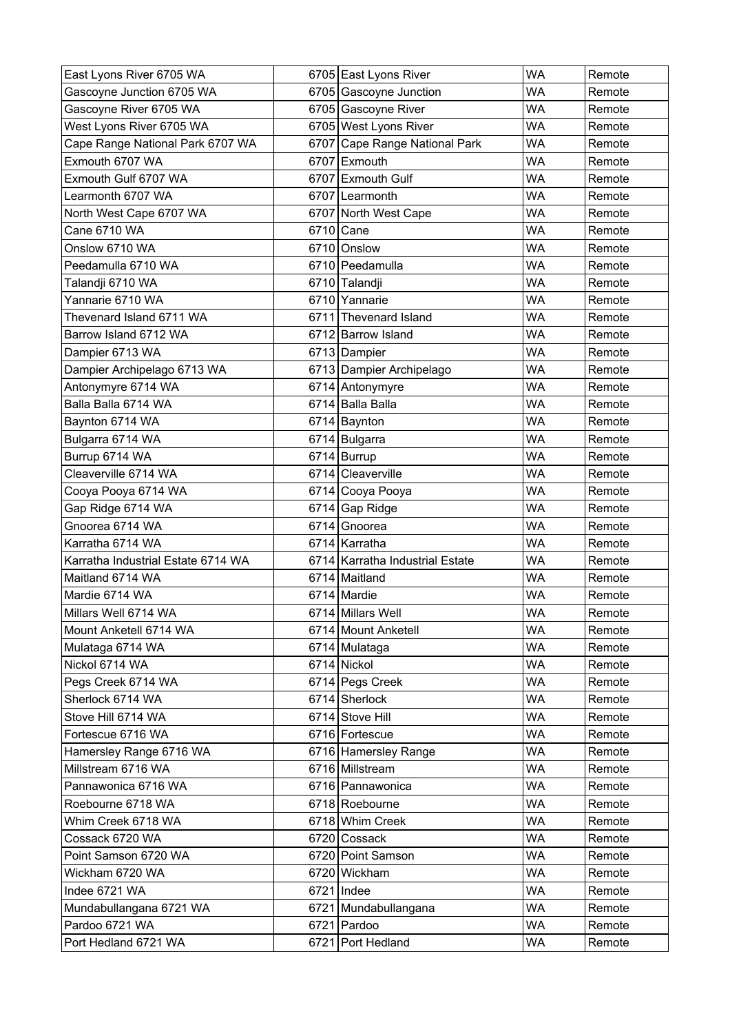| East Lyons River 6705 WA           |      | 6705 East Lyons River           | <b>WA</b> | Remote |
|------------------------------------|------|---------------------------------|-----------|--------|
| Gascoyne Junction 6705 WA          |      | 6705 Gascoyne Junction          | <b>WA</b> | Remote |
| Gascoyne River 6705 WA             |      | 6705 Gascoyne River             | <b>WA</b> | Remote |
| West Lyons River 6705 WA           |      | 6705 West Lyons River           | <b>WA</b> | Remote |
| Cape Range National Park 6707 WA   |      | 6707 Cape Range National Park   | <b>WA</b> | Remote |
| Exmouth 6707 WA                    |      | 6707 Exmouth                    | <b>WA</b> | Remote |
| Exmouth Gulf 6707 WA               |      | 6707 Exmouth Gulf               | <b>WA</b> | Remote |
| Learmonth 6707 WA                  |      | 6707 Learmonth                  | <b>WA</b> | Remote |
| North West Cape 6707 WA            |      | 6707 North West Cape            | <b>WA</b> | Remote |
| Cane 6710 WA                       |      | 6710 Cane                       | WA        | Remote |
| Onslow 6710 WA                     |      | 6710 Onslow                     | <b>WA</b> | Remote |
| Peedamulla 6710 WA                 |      | 6710 Peedamulla                 | <b>WA</b> | Remote |
| Talandji 6710 WA                   |      | 6710 Talandji                   | <b>WA</b> | Remote |
| Yannarie 6710 WA                   |      | 6710 Yannarie                   | <b>WA</b> | Remote |
| Thevenard Island 6711 WA           |      | 6711 Thevenard Island           | <b>WA</b> | Remote |
| Barrow Island 6712 WA              |      | 6712 Barrow Island              | <b>WA</b> | Remote |
| Dampier 6713 WA                    |      | 6713 Dampier                    | <b>WA</b> | Remote |
| Dampier Archipelago 6713 WA        |      | 6713 Dampier Archipelago        | <b>WA</b> | Remote |
| Antonymyre 6714 WA                 |      | 6714 Antonymyre                 | <b>WA</b> | Remote |
| Balla Balla 6714 WA                |      | 6714 Balla Balla                | <b>WA</b> | Remote |
| Baynton 6714 WA                    |      | 6714 Baynton                    | <b>WA</b> | Remote |
| Bulgarra 6714 WA                   |      | 6714 Bulgarra                   | <b>WA</b> | Remote |
| Burrup 6714 WA                     |      | 6714 Burrup                     | <b>WA</b> | Remote |
| Cleaverville 6714 WA               |      | 6714 Cleaverville               | <b>WA</b> | Remote |
| Cooya Pooya 6714 WA                |      | 6714 Cooya Pooya                | <b>WA</b> | Remote |
| Gap Ridge 6714 WA                  |      | 6714 Gap Ridge                  | <b>WA</b> | Remote |
| Gnoorea 6714 WA                    | 6714 | Gnoorea                         | <b>WA</b> | Remote |
| Karratha 6714 WA                   |      | 6714 Karratha                   | <b>WA</b> | Remote |
| Karratha Industrial Estate 6714 WA |      | 6714 Karratha Industrial Estate | <b>WA</b> | Remote |
| Maitland 6714 WA                   |      | 6714 Maitland                   | <b>WA</b> | Remote |
| Mardie 6714 WA                     |      | 6714 Mardie                     | <b>WA</b> | Remote |
| Millars Well 6714 WA               |      | 6714 Millars Well               | <b>WA</b> | Remote |
| Mount Anketell 6714 WA             |      | 6714 Mount Anketell             | <b>WA</b> | Remote |
| Mulataga 6714 WA                   |      | 6714 Mulataga                   | <b>WA</b> | Remote |
| Nickol 6714 WA                     |      | 6714 Nickol                     | <b>WA</b> | Remote |
| Pegs Creek 6714 WA                 |      | 6714 Pegs Creek                 | <b>WA</b> | Remote |
| Sherlock 6714 WA                   |      | 6714 Sherlock                   | <b>WA</b> | Remote |
| Stove Hill 6714 WA                 |      | 6714 Stove Hill                 | <b>WA</b> | Remote |
| Fortescue 6716 WA                  |      | 6716 Fortescue                  | <b>WA</b> | Remote |
| Hamersley Range 6716 WA            |      | 6716 Hamersley Range            | <b>WA</b> | Remote |
| Millstream 6716 WA                 |      | 6716 Millstream                 | <b>WA</b> | Remote |
| Pannawonica 6716 WA                |      | 6716 Pannawonica                | <b>WA</b> | Remote |
| Roebourne 6718 WA                  |      | 6718 Roebourne                  | <b>WA</b> | Remote |
| Whim Creek 6718 WA                 |      | 6718 Whim Creek                 | <b>WA</b> | Remote |
| Cossack 6720 WA                    |      | 6720 Cossack                    | <b>WA</b> | Remote |
| Point Samson 6720 WA               |      | 6720 Point Samson               | <b>WA</b> | Remote |
| Wickham 6720 WA                    |      | 6720 Wickham                    | <b>WA</b> | Remote |
| Indee 6721 WA                      |      | 6721   Indee                    | <b>WA</b> | Remote |
| Mundabullangana 6721 WA            |      | 6721 Mundabullangana            | <b>WA</b> | Remote |
| Pardoo 6721 WA                     |      | 6721 Pardoo                     | <b>WA</b> | Remote |
| Port Hedland 6721 WA               |      | 6721 Port Hedland               | <b>WA</b> | Remote |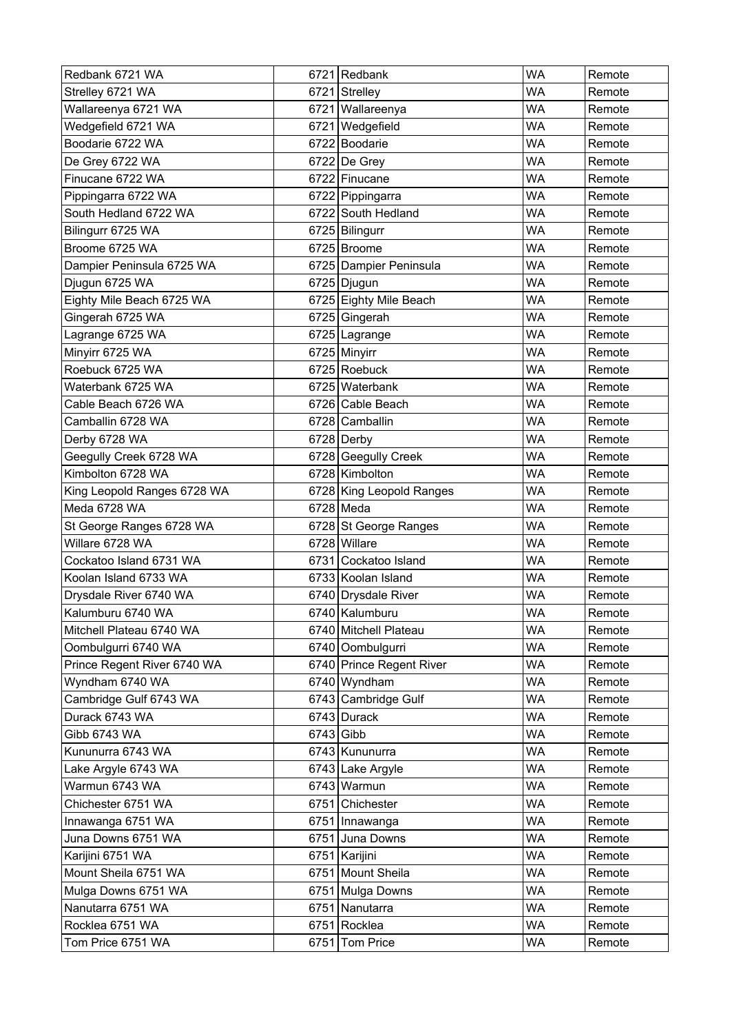| Redbank 6721 WA             |             | 6721 Redbank             | <b>WA</b> | Remote |
|-----------------------------|-------------|--------------------------|-----------|--------|
| Strelley 6721 WA            |             | 6721 Strelley            | WA        | Remote |
| Wallareenya 6721 WA         |             | 6721 Wallareenya         | WA        | Remote |
| Wedgefield 6721 WA          |             | 6721 Wedgefield          | WA        | Remote |
| Boodarie 6722 WA            |             | 6722 Boodarie            | WA        | Remote |
| De Grey 6722 WA             |             | $6722$ De Grey           | WA        | Remote |
| Finucane 6722 WA            |             | 6722 Finucane            | <b>WA</b> | Remote |
| Pippingarra 6722 WA         |             | 6722 Pippingarra         | WA        | Remote |
| South Hedland 6722 WA       |             | 6722 South Hedland       | <b>WA</b> | Remote |
| Bilingurr 6725 WA           |             | 6725 Bilingurr           | WA        | Remote |
| Broome 6725 WA              |             | 6725 Broome              | WA        | Remote |
| Dampier Peninsula 6725 WA   |             | 6725 Dampier Peninsula   | <b>WA</b> | Remote |
| Djugun 6725 WA              |             | 6725 Djugun              | <b>WA</b> | Remote |
| Eighty Mile Beach 6725 WA   |             | 6725 Eighty Mile Beach   | <b>WA</b> | Remote |
| Gingerah 6725 WA            |             | 6725 Gingerah            | <b>WA</b> | Remote |
| Lagrange 6725 WA            |             | 6725 Lagrange            | WA        | Remote |
| Minyirr 6725 WA             |             | 6725 Minyirr             | WA        | Remote |
| Roebuck 6725 WA             |             | 6725 Roebuck             | WA        | Remote |
| Waterbank 6725 WA           |             | 6725 Waterbank           | WA        | Remote |
| Cable Beach 6726 WA         |             | 6726 Cable Beach         | WA        | Remote |
| Camballin 6728 WA           |             | 6728 Camballin           | WA        | Remote |
| Derby 6728 WA               |             | 6728 Derby               | WA        | Remote |
| Geegully Creek 6728 WA      |             | 6728 Geegully Creek      | <b>WA</b> | Remote |
| Kimbolton 6728 WA           |             | 6728 Kimbolton           | WA        | Remote |
| King Leopold Ranges 6728 WA |             | 6728 King Leopold Ranges | WA        | Remote |
| Meda 6728 WA                |             | $6728$ Meda              | <b>WA</b> | Remote |
| St George Ranges 6728 WA    |             | 6728 St George Ranges    | WA        | Remote |
| Willare 6728 WA             |             | 6728 Willare             | <b>WA</b> | Remote |
| Cockatoo Island 6731 WA     |             | 6731 Cockatoo Island     | <b>WA</b> | Remote |
| Koolan Island 6733 WA       |             | 6733 Koolan Island       | <b>WA</b> | Remote |
| Drysdale River 6740 WA      |             | 6740 Drysdale River      | WA        | Remote |
| Kalumburu 6740 WA           |             | 6740 Kalumburu           | <b>WA</b> | Remote |
| Mitchell Plateau 6740 WA    |             | 6740 Mitchell Plateau    | <b>WA</b> | Remote |
| Oombulgurri 6740 WA         |             | 6740 Oombulgurri         | <b>WA</b> | Remote |
| Prince Regent River 6740 WA |             | 6740 Prince Regent River | <b>WA</b> | Remote |
| Wyndham 6740 WA             |             | 6740 Wyndham             | <b>WA</b> | Remote |
| Cambridge Gulf 6743 WA      |             | 6743 Cambridge Gulf      | <b>WA</b> | Remote |
| Durack 6743 WA              |             | 6743 Durack              | <b>WA</b> | Remote |
| Gibb 6743 WA                | $6743$ Gibb |                          | <b>WA</b> | Remote |
| Kununurra 6743 WA           |             | 6743 Kununurra           | <b>WA</b> | Remote |
| Lake Argyle 6743 WA         |             | 6743 Lake Argyle         | <b>WA</b> | Remote |
| Warmun 6743 WA              |             | 6743 Warmun              | <b>WA</b> | Remote |
| Chichester 6751 WA          |             | 6751 Chichester          | <b>WA</b> | Remote |
| Innawanga 6751 WA           |             | 6751 Innawanga           | <b>WA</b> | Remote |
| Juna Downs 6751 WA          |             | 6751 Juna Downs          | <b>WA</b> | Remote |
| Karijini 6751 WA            |             | 6751 Karijini            | WA        | Remote |
| Mount Sheila 6751 WA        |             | 6751 Mount Sheila        | <b>WA</b> | Remote |
| Mulga Downs 6751 WA         |             | 6751 Mulga Downs         | <b>WA</b> | Remote |
| Nanutarra 6751 WA           |             | 6751 Nanutarra           | <b>WA</b> | Remote |
| Rocklea 6751 WA             |             | 6751 Rocklea             | <b>WA</b> | Remote |
| Tom Price 6751 WA           | 6751        | Tom Price                | <b>WA</b> | Remote |